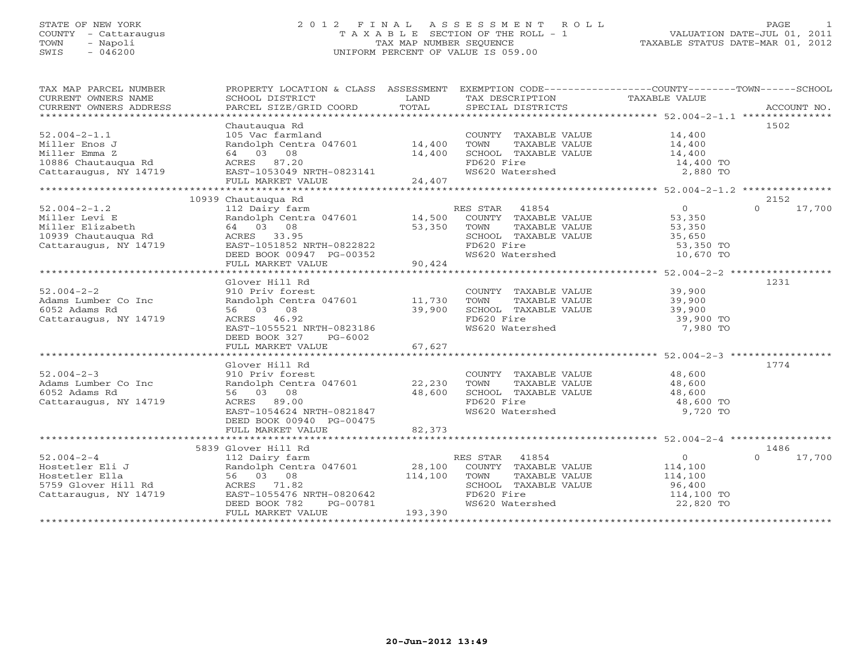# STATE OF NEW YORK 2 0 1 2 F I N A L A S S E S S M E N T R O L L PAGE 1 COUNTY - Cattaraugus T A X A B L E SECTION OF THE ROLL - 1 VALUATION DATE-JUL 01, 2011 TOWN - Napoli TAX MAP NUMBER SEQUENCE TAXABLE STATUS DATE-MAR 01, 2012 SWIS - 046200 UNIFORM PERCENT OF VALUE IS 059.00UNIFORM PERCENT OF VALUE IS 059.00

| TAX MAP PARCEL NUMBER<br>CURRENT OWNERS NAME<br>CURRENT OWNERS ADDRESS | PROPERTY LOCATION & CLASS ASSESSMENT EXEMPTION CODE----------------COUNTY-------TOWN------SCHOOL<br>SCHOOL DISTRICT<br>PARCEL SIZE/GRID COORD | LAND<br>TOTAL | TAX DESCRIPTION TAXABLE VALUE<br>SPECIAL DISTRICTS       |                  | ACCOUNT NO.        |
|------------------------------------------------------------------------|-----------------------------------------------------------------------------------------------------------------------------------------------|---------------|----------------------------------------------------------|------------------|--------------------|
|                                                                        |                                                                                                                                               |               |                                                          |                  |                    |
|                                                                        | Chautaugua Rd                                                                                                                                 |               |                                                          |                  | 1502               |
| $52.004 - 2 - 1.1$                                                     | 105 Vac farmland                                                                                                                              |               | COUNTY TAXABLE VALUE 14,400<br>TOWN TAXABLE VALUE 14,400 |                  |                    |
| Miller Enos J                                                          | Randolph Centra 047601 14,400                                                                                                                 |               |                                                          |                  |                    |
| Miller Emma Z                                                          | 64 03 08                                                                                                                                      | 14,400        | SCHOOL TAXABLE VALUE 14,400                              |                  |                    |
| 10886 Chautauqua Rd                                                    | ACRES 87.20                                                                                                                                   |               |                                                          |                  |                    |
| Cattaraugus, NY 14719                                                  | EAST-1053049 NRTH-0823141<br>FIILL MADVER ILLE                                                                                                |               | FD620 Fire 14,400 TO<br>WS620 Watershed 2,880 TO         |                  |                    |
|                                                                        | FULL MARKET VALUE                                                                                                                             | 24,407        |                                                          |                  |                    |
|                                                                        |                                                                                                                                               |               |                                                          |                  |                    |
|                                                                        | 10939 Chautauqua Rd                                                                                                                           |               |                                                          |                  | 2152               |
| $52.004 - 2 - 1.2$                                                     | 112 Dairy farm                                                                                                                                |               | RES STAR 41854                                           | $\overline{0}$   | 17,700<br>$\Omega$ |
| Miller Levi E                                                          | Randolph Centra 047601 14,500                                                                                                                 |               | COUNTY TAXABLE VALUE                                     |                  |                    |
| Miller Elizabeth                                                       | 64 03 08                                                                                                                                      | 53,350        | TOWN<br>TAXABLE VALUE                                    | 53,350<br>53,350 |                    |
| 10939 Chautauqua Rd                                                    | ACRES 33.95                                                                                                                                   |               | SCHOOL TAXABLE VALUE 35,650                              |                  |                    |
| Cattaraugus, NY 14719                                                  | EAST-1051852 NRTH-0822822                                                                                                                     |               |                                                          |                  |                    |
|                                                                        | DEED BOOK 00947 PG-00352                                                                                                                      |               | FD620 Fire<br>WS620 Watershed 10,670 TO                  |                  |                    |
|                                                                        | FULL MARKET VALUE                                                                                                                             | 90,424        |                                                          |                  |                    |
|                                                                        |                                                                                                                                               |               |                                                          |                  |                    |
|                                                                        | Glover Hill Rd                                                                                                                                |               |                                                          |                  | 1231               |
| $52.004 - 2 - 2$                                                       | 910 Priv forest                                                                                                                               |               | COUNTY TAXABLE VALUE                                     | 39,900           |                    |
| Adams Lumber Co Inc                                                    | Randolph Centra 047601 11,730                                                                                                                 |               | TAXABLE VALUE<br>TOWN                                    | 39,900           |                    |
| 6052 Adams Rd                                                          | 56 03 08                                                                                                                                      | 39,900        | SCHOOL TAXABLE VALUE                                     | 39,900           |                    |
| Cattaraugus, NY 14719                                                  | ACRES 46.92                                                                                                                                   |               |                                                          | 39,900 TO        |                    |
|                                                                        | EAST-1055521 NRTH-0823186                                                                                                                     |               | FD620 Fire<br>WS620 Watershed                            | 7,980 TO         |                    |
|                                                                        | DEED BOOK 327<br>PG-6002                                                                                                                      |               |                                                          |                  |                    |
|                                                                        |                                                                                                                                               |               |                                                          |                  |                    |
|                                                                        |                                                                                                                                               |               |                                                          |                  |                    |
|                                                                        | Glover Hill Rd                                                                                                                                |               |                                                          |                  | 1774               |
| $52.004 - 2 - 3$                                                       | 910 Priv forest                                                                                                                               |               | COUNTY TAXABLE VALUE 48,600                              |                  |                    |
| Adams Lumber Co Inc                                                    | Randolph Centra 047601 22,230                                                                                                                 |               | TOWN<br>TAXABLE VALUE                                    | 48,600           |                    |
| 6052 Adams Rd                                                          | 56 03 08                                                                                                                                      | 48,600        | SCHOOL TAXABLE VALUE                                     | 48,600           |                    |
| Cattaraugus, NY 14719                                                  | ACRES 89.00                                                                                                                                   |               |                                                          | 48,600 TO        |                    |
|                                                                        | EAST-1054624 NRTH-0821847                                                                                                                     |               | FD620 Fire<br>WS620 Watershed                            | 9,720 TO         |                    |
|                                                                        | DEED BOOK 00940 PG-00475                                                                                                                      |               |                                                          |                  |                    |
|                                                                        |                                                                                                                                               |               |                                                          |                  |                    |
|                                                                        |                                                                                                                                               |               |                                                          |                  |                    |
|                                                                        | 5839 Glover Hill Rd                                                                                                                           |               |                                                          |                  | 1486               |
| $52.004 - 2 - 4$                                                       | 112 Dairy farm                                                                                                                                |               | 41854<br>RES STAR                                        | $\overline{0}$   | 17,700<br>$\Omega$ |
| Hostetler Eli J                                                        | Randolph Centra 047601 28,100                                                                                                                 |               | COUNTY TAXABLE VALUE                                     | 114,100          |                    |
| Hostetler Ella                                                         | 56 03 08                                                                                                                                      | 114,100       | TOWN<br>TAXABLE VALUE                                    | 114,100          |                    |
| 5759 Glover Hill Rd                                                    | ACRES 71.82                                                                                                                                   |               | SCHOOL TAXABLE VALUE                                     |                  |                    |
| Cattaraugus, NY 14719                                                  | EAST-1055476 NRTH-0820642                                                                                                                     |               |                                                          | 96,400           |                    |
|                                                                        | DEED BOOK 782<br>PG-00781                                                                                                                     |               | FD620 Fire 114,100 TO<br>WS620 Watershed 22,820 TO       |                  |                    |
|                                                                        | FULL MARKET VALUE                                                                                                                             | 193,390       |                                                          |                  |                    |
|                                                                        |                                                                                                                                               |               |                                                          |                  |                    |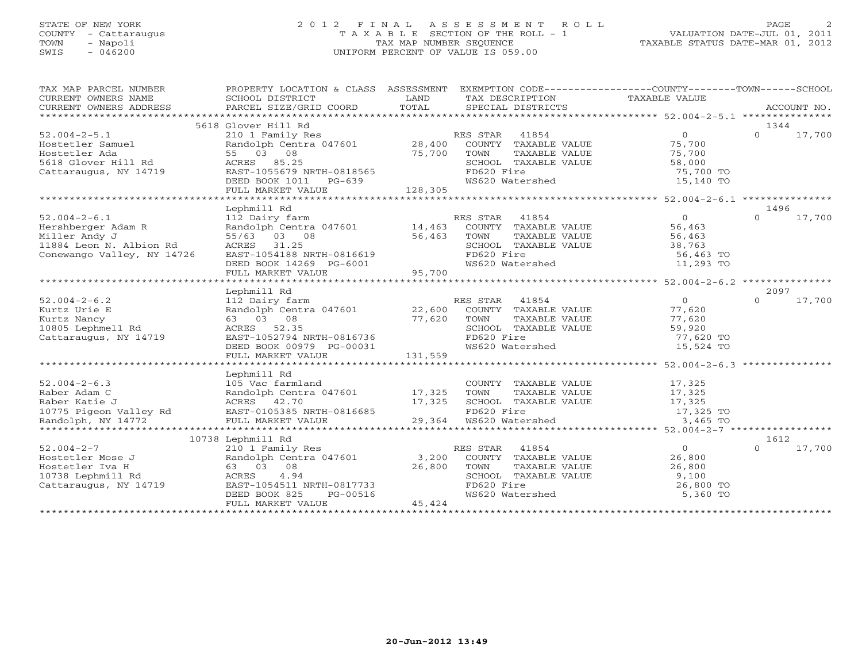## STATE OF NEW YORK 2 0 1 2 F I N A L A S S E S S M E N T R O L L PAGE 2 COUNTY - Cattaraugus T A X A B L E SECTION OF THE ROLL - 1 VALUATION DATE-JUL 01, 2011 TOWN - Napoli TAX MAP NUMBER SEQUENCE TAXABLE STATUS DATE-MAR 01, 2012 SWIS - 046200 UNIFORM PERCENT OF VALUE IS 059.00

| TAX MAP PARCEL NUMBER<br>ENGLES AND ENGLES CHOOL DISTRICT LAND INCOLLENT TAX DESCRIPTION TAXABLE VALUE<br>CURRENT OWNERS ADDRESS BORGEL SIZE/GRID COORD TOTAL TECHNOLOGY TOTAL TECHNOLOGY TOTAL TECHNOLOGY TOTAL TECHNOLOGY TOTAL TECHNOLOGY TOTAL SPECIAL | PROPERTY LOCATION & CLASS ASSESSMENT EXEMPTION CODE----------------COUNTY-------TOWN------SCHOOL |                |                                                                                                                                                                                                                                                     |                |                    |
|------------------------------------------------------------------------------------------------------------------------------------------------------------------------------------------------------------------------------------------------------------|--------------------------------------------------------------------------------------------------|----------------|-----------------------------------------------------------------------------------------------------------------------------------------------------------------------------------------------------------------------------------------------------|----------------|--------------------|
|                                                                                                                                                                                                                                                            |                                                                                                  |                |                                                                                                                                                                                                                                                     |                |                    |
|                                                                                                                                                                                                                                                            |                                                                                                  |                |                                                                                                                                                                                                                                                     |                |                    |
|                                                                                                                                                                                                                                                            | 5618 Glover Hill Rd                                                                              |                |                                                                                                                                                                                                                                                     |                | 1344               |
| $52.004 - 2 - 5.1$                                                                                                                                                                                                                                         |                                                                                                  |                |                                                                                                                                                                                                                                                     |                | $0 \t 17,700$      |
| Hostetler Samuel                                                                                                                                                                                                                                           |                                                                                                  |                |                                                                                                                                                                                                                                                     |                |                    |
| Hostetler Ada<br>5618 Glover Hill Rd<br>Cattaraugus, NY 14719                                                                                                                                                                                              |                                                                                                  |                |                                                                                                                                                                                                                                                     |                |                    |
|                                                                                                                                                                                                                                                            |                                                                                                  |                |                                                                                                                                                                                                                                                     |                |                    |
|                                                                                                                                                                                                                                                            |                                                                                                  |                |                                                                                                                                                                                                                                                     |                |                    |
|                                                                                                                                                                                                                                                            |                                                                                                  |                |                                                                                                                                                                                                                                                     |                |                    |
|                                                                                                                                                                                                                                                            |                                                                                                  |                |                                                                                                                                                                                                                                                     |                |                    |
| Hostetler Samuel Ramdolph Centra 04/601 28,400 COUNTY TAXABLE VALUE 75,700<br>Hostetler Ada 55 03 08<br>5618 Glover Hill Rd ACRES 85.25 SCHOOL TAXABLE VALUE 58,000<br>Cattaraugus, NY 14719 EAST-1055679 NRTH-0818565 FD620 Fire 12                       |                                                                                                  |                |                                                                                                                                                                                                                                                     |                |                    |
|                                                                                                                                                                                                                                                            | Lephmill Rd                                                                                      |                |                                                                                                                                                                                                                                                     |                | 1496               |
| $52.004 - 2 - 6.1$                                                                                                                                                                                                                                         | 112 Dairy farm                                                                                   |                | RES STAR 41854                                                                                                                                                                                                                                      | $\overline{0}$ | $0 \t 17,700$      |
| Hershberger Adam R                                                                                                                                                                                                                                         | Randolph Centra 047601 $14,463$                                                                  |                |                                                                                                                                                                                                                                                     |                |                    |
| Miller Andy J                                                                                                                                                                                                                                              | 55/63 03 08                                                                                      | 56,463         |                                                                                                                                                                                                                                                     |                |                    |
| 11884 Leon N. Albion Rd                                                                                                                                                                                                                                    |                                                                                                  |                |                                                                                                                                                                                                                                                     |                |                    |
| Conewango Valley, NY 14726                                                                                                                                                                                                                                 |                                                                                                  |                |                                                                                                                                                                                                                                                     |                |                    |
|                                                                                                                                                                                                                                                            |                                                                                                  |                | COUNTY TAXABLE VALUE<br>TOWN TAXABLE VALUE<br>SCHOOL TAXABLE VALUE<br>SCHOOL TAXABLE VALUE<br>FD620 Fire<br>WS620 Watershed<br>WS620 Watershed<br>11,293 TO                                                                                         |                |                    |
|                                                                                                                                                                                                                                                            |                                                                                                  |                |                                                                                                                                                                                                                                                     |                |                    |
|                                                                                                                                                                                                                                                            |                                                                                                  |                |                                                                                                                                                                                                                                                     |                |                    |
|                                                                                                                                                                                                                                                            | Lephmill Rd                                                                                      |                |                                                                                                                                                                                                                                                     |                | 2097               |
| $52.004 - 2 - 6.2$                                                                                                                                                                                                                                         | 112 Dairy farm<br>Randolph Centra 047601 22,600                                                  |                | RES STAR 41854                                                                                                                                                                                                                                      | $\overline{0}$ | $\Omega$<br>17,700 |
| Kurtz Urie E                                                                                                                                                                                                                                               |                                                                                                  |                |                                                                                                                                                                                                                                                     |                |                    |
| Kurtz Nancy<br>10805 Lephmell Rd                                                                                                                                                                                                                           | 63 03 08                                                                                         | 77,620         |                                                                                                                                                                                                                                                     |                |                    |
|                                                                                                                                                                                                                                                            | ACRES 52.35                                                                                      |                |                                                                                                                                                                                                                                                     |                |                    |
| Cattaraugus, NY 14719                                                                                                                                                                                                                                      | EAST-1052794 NRTH-0816736                                                                        |                |                                                                                                                                                                                                                                                     |                |                    |
|                                                                                                                                                                                                                                                            | DEED BOOK 00979 PG-00031                                                                         | 031<br>131,559 | TOWN TAXABLE VALUE<br>SCHOOL TAXABLE VALUE<br>FD620 Fire<br>WS620 Watershed<br>The MS620 Watershed<br>The MS620 Watershed<br>The MS620 Watershed<br>The MS620 Watershed<br>The MS620 Watershed<br>The MS620 Watershed<br>The MS620 Watershed<br>The |                |                    |
|                                                                                                                                                                                                                                                            | FULL MARKET VALUE                                                                                |                |                                                                                                                                                                                                                                                     |                |                    |
|                                                                                                                                                                                                                                                            |                                                                                                  |                |                                                                                                                                                                                                                                                     |                |                    |
|                                                                                                                                                                                                                                                            | Lephmill Rd                                                                                      |                |                                                                                                                                                                                                                                                     |                |                    |
| $52.004 - 2 - 6.3$                                                                                                                                                                                                                                         | 105 Vac farmland                                                                                 |                | COUNTY TAXABLE VALUE 17,325                                                                                                                                                                                                                         |                |                    |
|                                                                                                                                                                                                                                                            |                                                                                                  |                |                                                                                                                                                                                                                                                     |                |                    |
|                                                                                                                                                                                                                                                            | 10001 - Institute of the Randolph Centra 047601 - 17,325<br>ACRES 42.70 - 17,325                 |                |                                                                                                                                                                                                                                                     |                |                    |
|                                                                                                                                                                                                                                                            |                                                                                                  |                |                                                                                                                                                                                                                                                     |                |                    |
|                                                                                                                                                                                                                                                            |                                                                                                  |                |                                                                                                                                                                                                                                                     |                |                    |
| Raber Adam C<br>Raber Adam C<br>Raber Katie J<br>29,364 WS620 Watershed<br>29,364 WS620 Watershed<br>29,364 WS620 Watershed<br>29,364 WS620 Watershed<br>29,364 WS620 Watershed<br>29,364 WS620 Watershed<br>29,364 WS620 Watershed<br>29,364 WS62         |                                                                                                  |                |                                                                                                                                                                                                                                                     |                |                    |
|                                                                                                                                                                                                                                                            | 10738 Lephmill Rd                                                                                |                |                                                                                                                                                                                                                                                     |                | 1612               |
|                                                                                                                                                                                                                                                            |                                                                                                  |                | RES STAR 41854                                                                                                                                                                                                                                      | $\overline{0}$ | 17,700<br>$\Omega$ |
| 52.004-2-7<br>Hostetler Mose J<br>Hostetler Iva Hendrich Centra 047601 3,200<br>Hostetler Iva Hendrich Standard 1738 Lephmill Rd<br>Cattaraugus, NY 14719 EAST-105451 NRTH-0817733<br>Cattaraugus, NY 14719 EAST-105451 NRTH-0817733<br>NE                 |                                                                                                  |                | COUNTY TAXABLE VALUE 26,800                                                                                                                                                                                                                         |                |                    |
|                                                                                                                                                                                                                                                            |                                                                                                  |                |                                                                                                                                                                                                                                                     |                |                    |
|                                                                                                                                                                                                                                                            |                                                                                                  |                |                                                                                                                                                                                                                                                     |                |                    |
|                                                                                                                                                                                                                                                            |                                                                                                  |                |                                                                                                                                                                                                                                                     | 26,800 TO      |                    |
|                                                                                                                                                                                                                                                            | EAST-1054511 NRTH-0817733<br>DEED BOOK 825 PG-00516<br>FULL MARKET VALUE                         |                | TOWN TAXABLE VALUE 26,800<br>SCHOOL TAXABLE VALUE 9,100<br>FD620 Fire 26,800<br>WS620 Watershed 5,360                                                                                                                                               | 5,360 TO       |                    |
|                                                                                                                                                                                                                                                            | FULL MARKET VALUE                                                                                | 45,424         |                                                                                                                                                                                                                                                     |                |                    |
|                                                                                                                                                                                                                                                            |                                                                                                  |                |                                                                                                                                                                                                                                                     |                |                    |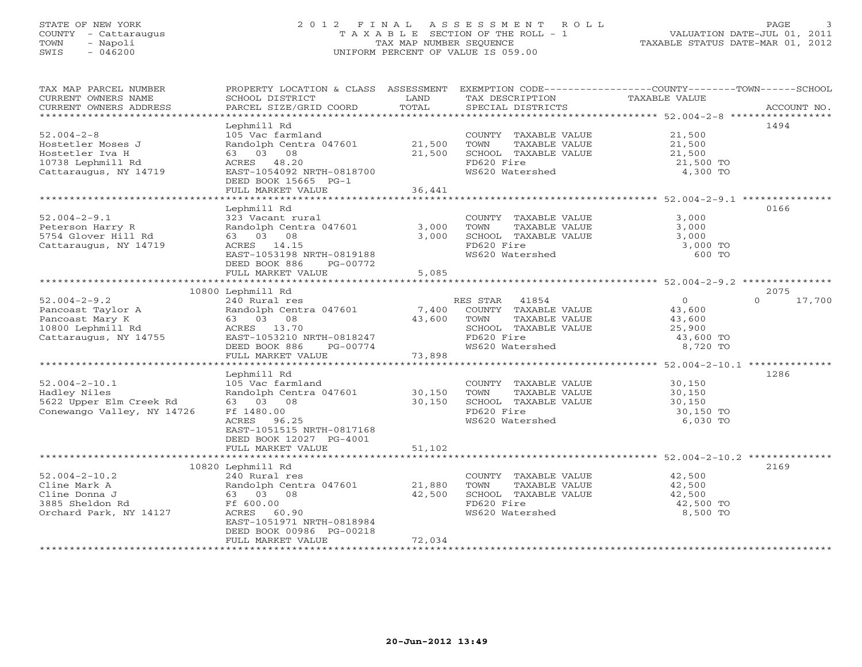# STATE OF NEW YORK 2 0 1 2 F I N A L A S S E S S M E N T R O L L PAGE 3 COUNTY - Cattaraugus T A X A B L E SECTION OF THE ROLL - 1 VALUATION DATE-JUL 01, 2011 TOWN - Napoli TAX MAP NUMBER SEQUENCE TAXABLE STATUS DATE-MAR 01, 2012 SWIS - 046200 UNIFORM PERCENT OF VALUE IS 059.00UNIFORM PERCENT OF VALUE IS 059.00

| TAX MAP PARCEL NUMBER<br>CURRENT OWNERS NAME<br>CURRENT OWNERS ADDRESS<br>************************ | PROPERTY LOCATION & CLASS ASSESSMENT<br>SCHOOL DISTRICT<br>PARCEL SIZE/GRID COORD | LAND<br>TOTAL | TAX DESCRIPTION<br>SPECIAL DISTRICTS | EXEMPTION CODE----------------COUNTY-------TOWN------SCHOOL<br>TAXABLE VALUE | ACCOUNT NO.        |
|----------------------------------------------------------------------------------------------------|-----------------------------------------------------------------------------------|---------------|--------------------------------------|------------------------------------------------------------------------------|--------------------|
|                                                                                                    |                                                                                   |               |                                      |                                                                              |                    |
|                                                                                                    | Lephmill Rd                                                                       |               |                                      |                                                                              | 1494               |
| $52.004 - 2 - 8$                                                                                   | 105 Vac farmland                                                                  |               | COUNTY TAXABLE VALUE 21,500          |                                                                              |                    |
| Hostetler Moses J                                                                                  | Randolph Centra 047601                                                            | 21,500        | TOWN<br>TAXABLE VALUE                | 21,500<br>21,500<br>21,500                                                   |                    |
| Hostetler Iva H                                                                                    | 63 03 08                                                                          | 21,500        | SCHOOL TAXABLE VALUE                 |                                                                              |                    |
| 10738 Lephmill Rd                                                                                  | ACRES 48.20                                                                       |               | FD620 Fire                           | 21,500 TO                                                                    |                    |
| Cattaraugus, NY 14719                                                                              | EAST-1054092 NRTH-0818700                                                         |               | WS620 Watershed                      | 4,300 TO                                                                     |                    |
|                                                                                                    | DEED BOOK 15665 PG-1                                                              |               |                                      |                                                                              |                    |
|                                                                                                    | FULL MARKET VALUE                                                                 | 36,441        |                                      |                                                                              |                    |
|                                                                                                    |                                                                                   |               |                                      |                                                                              |                    |
|                                                                                                    | Lephmill Rd                                                                       |               |                                      |                                                                              | 0166               |
| $52.004 - 2 - 9.1$                                                                                 | 323 Vacant rural                                                                  |               | COUNTY TAXABLE VALUE                 | 3,000                                                                        |                    |
| Peterson Harry R                                                                                   | Randolph Centra 047601                                                            | 3,000         | TAXABLE VALUE<br>TOWN                | 3,000                                                                        |                    |
| 5754 Glover Hill Rd                                                                                | 63 03 08                                                                          | 3,000         | SCHOOL TAXABLE VALUE                 | 3,000                                                                        |                    |
| Cattaraugus, NY 14719                                                                              | ACRES 14.15                                                                       |               | FD620 Fire                           | 3,000 TO                                                                     |                    |
|                                                                                                    | EAST-1053198 NRTH-0819188                                                         |               | WS620 Watershed                      | 600 TO                                                                       |                    |
|                                                                                                    | DEED BOOK 886<br>PG-00772                                                         |               |                                      |                                                                              |                    |
|                                                                                                    | FULL MARKET VALUE                                                                 | 5,085         |                                      |                                                                              |                    |
|                                                                                                    |                                                                                   |               |                                      |                                                                              |                    |
|                                                                                                    | 10800 Lephmill Rd                                                                 |               |                                      |                                                                              | 2075               |
| $52.004 - 2 - 9.2$                                                                                 | 240 Rural res                                                                     |               | RES STAR 41854                       | $\overline{0}$                                                               | $\Omega$<br>17,700 |
| Pancoast Taylor A                                                                                  | Randolph Centra 047601 7,400                                                      |               | COUNTY TAXABLE VALUE                 | 43,600                                                                       |                    |
| Pancoast Mary K                                                                                    | 63 03 08                                                                          | 43,600 TOWN   | TAXABLE VALUE                        | 43,600                                                                       |                    |
| 10800 Lephmill Rd                                                                                  | ACRES 13.70                                                                       |               | SCHOOL TAXABLE VALUE                 | 25,900                                                                       |                    |
| Cattaraugus, NY 14755                                                                              | EAST-1053210 NRTH-0818247                                                         |               | FD620 Fire                           | 43,600 TO                                                                    |                    |
|                                                                                                    | DEED BOOK 886<br>PG-00774                                                         |               | WS620 Watershed                      | 8,720 TO                                                                     |                    |
|                                                                                                    | FULL MARKET VALUE                                                                 | 73,898        |                                      |                                                                              |                    |
|                                                                                                    |                                                                                   |               |                                      |                                                                              |                    |
|                                                                                                    | Lephmill Rd                                                                       |               |                                      |                                                                              | 1286               |
| $52.004 - 2 - 10.1$                                                                                | 105 Vac farmland                                                                  |               | COUNTY TAXABLE VALUE                 | 30,150                                                                       |                    |
| Hadley Niles                                                                                       | Randolph Centra 047601                                                            | 30,150        | TAXABLE VALUE<br>TOWN                | 30,150                                                                       |                    |
| 5622 Upper Elm Creek Rd                                                                            | 63 03 08                                                                          | 30,150        | SCHOOL TAXABLE VALUE                 | 30,150                                                                       |                    |
| Conewango Valley, NY 14726                                                                         | Ff 1480.00                                                                        |               | FD620 Fire                           | 30,150 TO                                                                    |                    |
|                                                                                                    | ACRES 96.25                                                                       |               | WS620 Watershed                      | 6,030 TO                                                                     |                    |
|                                                                                                    | EAST-1051515 NRTH-0817168                                                         |               |                                      |                                                                              |                    |
|                                                                                                    | DEED BOOK 12027 PG-4001                                                           |               |                                      |                                                                              |                    |
|                                                                                                    | FULL MARKET VALUE                                                                 | 51,102        |                                      |                                                                              |                    |
|                                                                                                    |                                                                                   |               |                                      |                                                                              |                    |
|                                                                                                    | 10820 Lephmill Rd                                                                 |               |                                      |                                                                              | 2169               |
| $52.004 - 2 - 10.2$                                                                                | 240 Rural res                                                                     |               | COUNTY TAXABLE VALUE                 | 42,500                                                                       |                    |
| Cline Mark A                                                                                       | Randolph Centra 047601 21,880                                                     |               | TOWN<br>TAXABLE VALUE                | 42,500                                                                       |                    |
| Cline Donna J                                                                                      | 63 03 08                                                                          | 42,500        | SCHOOL TAXABLE VALUE                 | 42,500                                                                       |                    |
| 3885 Sheldon Rd                                                                                    | Ff 600.00                                                                         |               | FD620 Fire                           | 42,500 TO                                                                    |                    |
| Orchard Park, NY 14127                                                                             | ACRES 60.90                                                                       |               | WS620 Watershed                      | 8,500 TO                                                                     |                    |
|                                                                                                    | EAST-1051971 NRTH-0818984                                                         |               |                                      |                                                                              |                    |
|                                                                                                    | DEED BOOK 00986 PG-00218                                                          |               |                                      |                                                                              |                    |
|                                                                                                    | FULL MARKET VALUE                                                                 | 72,034        |                                      |                                                                              |                    |
| ********************                                                                               |                                                                                   |               |                                      |                                                                              |                    |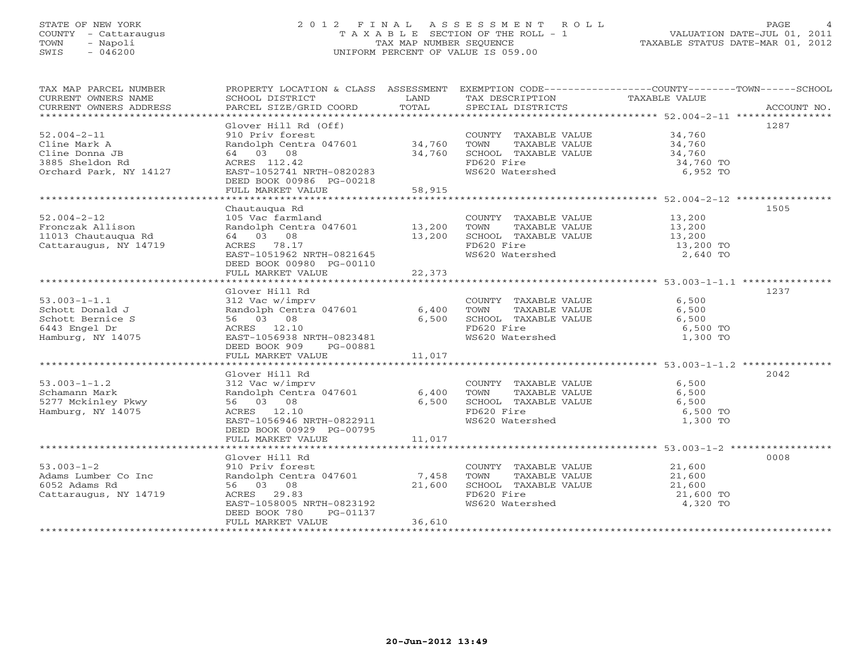# STATE OF NEW YORK 2 0 1 2 F I N A L A S S E S S M E N T R O L L PAGE 4 COUNTY - Cattaraugus T A X A B L E SECTION OF THE ROLL - 1 VALUATION DATE-JUL 01, 2011 TOWN - Napoli TAX MAP NUMBER SEQUENCE TAXABLE STATUS DATE-MAR 01, 2012 SWIS - 046200 UNIFORM PERCENT OF VALUE IS 059.00UNIFORM PERCENT OF VALUE IS 059.00

| TAX MAP PARCEL NUMBER                                                                                                                                                                 |                                                                                                                                                                                                                                                                         |        |                                                                                                                                                     | PROPERTY LOCATION & CLASS ASSESSMENT EXEMPTION CODE---------------COUNTY-------TOWN------SCHOOL<br>TA PIE TAND TRINITY AND TRINITY CONTRESS TO TAXABLE VALUE<br>CURRENT OWNERS NAME SCHOOL DISTRICT DAND TAXABLE TRINITY TAXABLE VALUE<br>CURRENT OWNERS ADDRESS PARCEL SIZE/GRID COORD TOTAL SPECIAL DISTRICTS ACCOUNT NO. |
|---------------------------------------------------------------------------------------------------------------------------------------------------------------------------------------|-------------------------------------------------------------------------------------------------------------------------------------------------------------------------------------------------------------------------------------------------------------------------|--------|-----------------------------------------------------------------------------------------------------------------------------------------------------|-----------------------------------------------------------------------------------------------------------------------------------------------------------------------------------------------------------------------------------------------------------------------------------------------------------------------------|
| $52.004 - 2 - 11$<br>Cline Mark A<br>Cline Donna JB<br>3885 Sheldon Rd<br>Orchard Park, NY 14127                                                                                      | Glover Hill Rd (Off)<br>910 Priv forest<br>Randolph Centra 047601 34,760<br>64 03 08 34,760<br>ACRES 112.42<br>ACRES 112.42<br>24,760 FD620 Fire<br>34,760 FD620 Fire<br>34,760 TO<br>EAST-1052741 NRTH-0820283<br>DEED BOOK 00986 PG-00218<br>FULL MARKET VALUE 58,915 |        | FD620 Fire<br>WS620 Watershed 6,952 TO                                                                                                              | 1287                                                                                                                                                                                                                                                                                                                        |
|                                                                                                                                                                                       |                                                                                                                                                                                                                                                                         |        |                                                                                                                                                     | 1505                                                                                                                                                                                                                                                                                                                        |
| $52.004 - 2 - 12$<br>Fronczak Allison<br>11013 Chautauqua Rd<br>Cattaraugus, NY 14719                                                                                                 | DEED BOOK 00980 PG-00110                                                                                                                                                                                                                                                |        | COUNTY TAXABLE VALUE 13,200<br>TOWN TAXABLE VALUE $13,200$<br>SCHOOL TAXABLE VALUE $13,200$<br>FD620 Fire $13,200$<br>FD620 Fire<br>WS620 Watershed | 13,200 TO<br>2,640 TO                                                                                                                                                                                                                                                                                                       |
|                                                                                                                                                                                       |                                                                                                                                                                                                                                                                         |        |                                                                                                                                                     |                                                                                                                                                                                                                                                                                                                             |
| $53.003 - 1 - 1.1$<br>6443 Engel Dr<br>Hamburg, NY 14075                                                                                                                              | Glover Hill Rd<br>312 Vac w/imprv<br>312 Vac w/imprv<br>Randolph Centra 047601 6,400 TOWN TAXABLE VALUE 6,500<br>56 03 08 6,500 SCHOOL TAXABLE VALUE 6,500<br>ACRES 12.10 FD620 Fire 6 500<br>EAST-1056938 NRTH-0823481<br>DEED BOOK 909 PG-00881                       |        | WS620 Watershed 1,300 TO                                                                                                                            | 1237<br>6,500 TO                                                                                                                                                                                                                                                                                                            |
|                                                                                                                                                                                       | FULL MARKET VALUE                                                                                                                                                                                                                                                       | 11,017 |                                                                                                                                                     |                                                                                                                                                                                                                                                                                                                             |
|                                                                                                                                                                                       |                                                                                                                                                                                                                                                                         |        |                                                                                                                                                     |                                                                                                                                                                                                                                                                                                                             |
| $53.003 - 1 - 1.2$<br>Schamann Mark<br>Hamburg, NY 14075                                                                                                                              | Glover Hill Rd<br>910Ver Hill Nu<br>312 Vac Wimpry<br>Randolph Centra 047601 6,400 TOWN TAXABLE VALUE 6,500<br>56 03 08 6,500 SCHOOL TAXABLE VALUE 6,500<br>ACRES 12.10 FD620 Fire 6,500 FORM<br>EAST-1056946 NRTH-0822911<br>DEED BOOK 00929 PG-00795                  |        | FD620 Fire<br>WS620 Watershed                                                                                                                       | 2042<br>1,300 TO                                                                                                                                                                                                                                                                                                            |
|                                                                                                                                                                                       |                                                                                                                                                                                                                                                                         |        |                                                                                                                                                     |                                                                                                                                                                                                                                                                                                                             |
|                                                                                                                                                                                       | Glover Hill Rd                                                                                                                                                                                                                                                          |        |                                                                                                                                                     | 0008                                                                                                                                                                                                                                                                                                                        |
| $53.003 - 1 - 2$<br>33.003-1-2<br>Adams Lumber Co Inc Randolph Centra 047601 7,458<br>6052 Adams Rd 56 03 08 21,600<br>Cattaraugus, NY 14719 ACRES 29.83<br>EAST-1058005 NRTH-0823192 | 910 Priv forest<br>PG-01137<br>DEED BOOK 780<br>FULL MARKET VALUE                                                                                                                                                                                                       | 36,610 | COUNTY TAXABLE VALUE 21,600<br>TOWN TAXABLE VALUE 21,600<br>SCHOOL TAXABLE VALUE 21,600<br>FD620 Fire 21,600 TO<br>WS620 Watershed 4,320 TO         |                                                                                                                                                                                                                                                                                                                             |
|                                                                                                                                                                                       |                                                                                                                                                                                                                                                                         |        |                                                                                                                                                     |                                                                                                                                                                                                                                                                                                                             |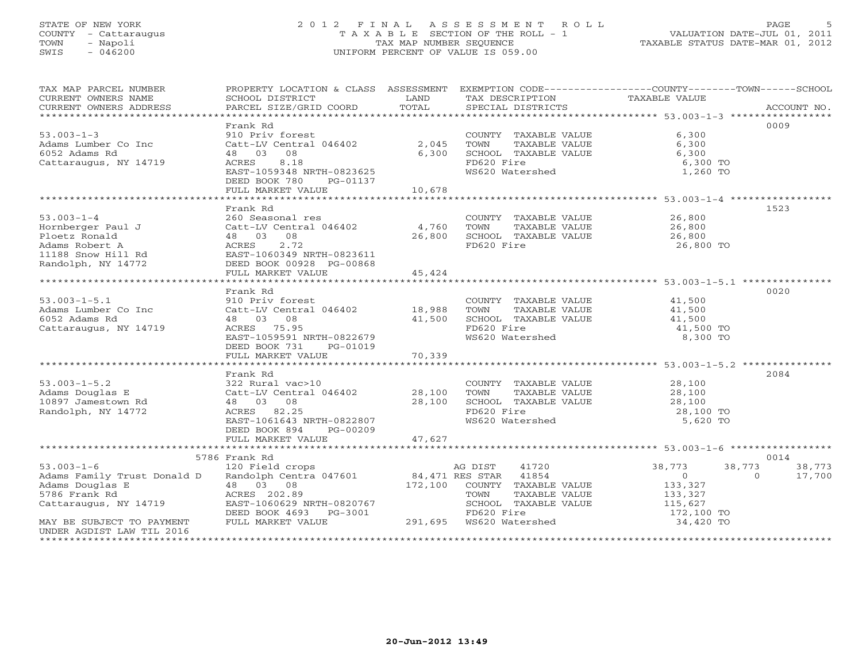# STATE OF NEW YORK 2 0 1 2 F I N A L A S S E S S M E N T R O L L PAGE 5 COUNTY - Cattaraugus T A X A B L E SECTION OF THE ROLL - 1 VALUATION DATE-JUL 01, 2011 TOWN - Napoli TAX MAP NUMBER SEQUENCE TAXABLE STATUS DATE-MAR 01, 2012 SWIS - 046200 UNIFORM PERCENT OF VALUE IS 059.00UNIFORM PERCENT OF VALUE IS 059.00

| TAX MAP PARCEL NUMBER<br>CURRENT OWNERS NAME<br>CURRENT OWNERS ADDRESS                                                              | <b>Example 19</b> LAND<br>SCHOOL DISTRICT<br>PARCEL SIZE/GRID COORD | TOTAL  | TAX DESCRIPTION<br>SPECIAL DISTRICTS              | PROPERTY LOCATION & CLASS ASSESSMENT EXEMPTION CODE---------------COUNTY-------TOWN------SCHOOL<br>TAXABLE VALUE<br>ACCOUNT NO. |
|-------------------------------------------------------------------------------------------------------------------------------------|---------------------------------------------------------------------|--------|---------------------------------------------------|---------------------------------------------------------------------------------------------------------------------------------|
|                                                                                                                                     |                                                                     |        |                                                   | 0009                                                                                                                            |
| $53.003 - 1 - 3$                                                                                                                    | Frank Rd<br>910 Priv forest                                         |        | COUNTY TAXABLE VALUE                              | 6,300                                                                                                                           |
| Adams Lumber Co Inc                                                                                                                 | Catt-LV Central 046402                                              | 2,045  | TOWN<br>TAXABLE VALUE                             | 6,300                                                                                                                           |
| 6052 Adams Rd                                                                                                                       | 48 03 08                                                            | 6,300  | SCHOOL TAXABLE VALUE                              | 6,300                                                                                                                           |
| Cattaraugus, NY 14719                                                                                                               | ACRES<br>8.18                                                       |        | FD620 Fire                                        | 6,300 TO                                                                                                                        |
|                                                                                                                                     | EAST-1059348 NRTH-0823625                                           |        | WS620 Watershed                                   | 1,260 TO                                                                                                                        |
|                                                                                                                                     | DEED BOOK 780<br>PG-01137                                           |        |                                                   |                                                                                                                                 |
|                                                                                                                                     | FULL MARKET VALUE                                                   | 10,678 |                                                   |                                                                                                                                 |
|                                                                                                                                     |                                                                     |        |                                                   |                                                                                                                                 |
|                                                                                                                                     | Frank Rd                                                            |        |                                                   | 1523                                                                                                                            |
| $53.003 - 1 - 4$                                                                                                                    | 260 Seasonal res                                                    |        | COUNTY TAXABLE VALUE                              | 26,800                                                                                                                          |
| Hornberger Paul J                                                                                                                   | 200 Seasonal Les<br>Catt-LV Central 046402 4,760                    |        | TOWN<br>TAXABLE VALUE                             | 26,800                                                                                                                          |
| Ploetz Ronald                                                                                                                       | 48 03 08                                                            | 26,800 | SCHOOL TAXABLE VALUE                              | 26,800                                                                                                                          |
| Adams Robert A                                                                                                                      | 2.72<br>ACRES                                                       |        | FD620 Fire                                        | 26,800 TO                                                                                                                       |
| 11188 Snow Hill Rd                                                                                                                  | EAST-1060349 NRTH-0823611                                           |        |                                                   |                                                                                                                                 |
| Randolph, NY 14772                                                                                                                  | DEED BOOK 00928 PG-00868                                            |        |                                                   |                                                                                                                                 |
|                                                                                                                                     | FULL MARKET VALUE                                                   | 45,424 |                                                   |                                                                                                                                 |
|                                                                                                                                     |                                                                     |        |                                                   |                                                                                                                                 |
|                                                                                                                                     | Frank Rd                                                            |        |                                                   | 0020                                                                                                                            |
| $53.003 - 1 - 5.1$                                                                                                                  | 910 Priv forest                                                     |        | COUNTY TAXABLE VALUE                              | 41,500                                                                                                                          |
| Adams Lumber Co Inc                                                                                                                 | Catt-LV Central 046402                                              | 18,988 | TOWN<br>TAXABLE VALUE                             | 41,500<br>41,500                                                                                                                |
| 6052 Adams Rd                                                                                                                       | 48 03 08                                                            | 41,500 | SCHOOL TAXABLE VALUE                              |                                                                                                                                 |
| Cattaraugus, NY 14719                                                                                                               | ACRES 75.95                                                         |        | FD620 Fire<br>WS620 Watershed                     | 41,500 TO                                                                                                                       |
|                                                                                                                                     | EAST-1059591 NRTH-0822679                                           |        |                                                   | 8,300 TO                                                                                                                        |
|                                                                                                                                     | DEED BOOK 731<br>PG-01019<br>FULL MARKET VALUE                      | 70,339 |                                                   |                                                                                                                                 |
|                                                                                                                                     |                                                                     |        |                                                   |                                                                                                                                 |
|                                                                                                                                     | Frank Rd                                                            |        |                                                   | 2084                                                                                                                            |
| $53.003 - 1 - 5.2$                                                                                                                  | 322 Rural vac>10                                                    |        |                                                   |                                                                                                                                 |
| Adams Douglas E                                                                                                                     | Catt-LV Central 046402 28,100                                       |        | COUNTY TAXABLE VALUE<br>TOWN TAXABLE VALUE 28,100 |                                                                                                                                 |
| 10897 Jamestown Rd                                                                                                                  | 48 03 08                                                            | 28,100 | SCHOOL TAXABLE VALUE                              | 28,100                                                                                                                          |
| Randolph, NY 14772                                                                                                                  | ACRES 82.25                                                         |        | FD620 Fire                                        | 28,100 TO                                                                                                                       |
|                                                                                                                                     | EAST-1061643 NRTH-0822807                                           |        | WS620 Watershed                                   | 5,620 TO                                                                                                                        |
|                                                                                                                                     | DEED BOOK 894<br>PG-00209                                           |        |                                                   |                                                                                                                                 |
|                                                                                                                                     | FULL MARKET VALUE                                                   | 47,627 |                                                   |                                                                                                                                 |
|                                                                                                                                     |                                                                     |        |                                                   |                                                                                                                                 |
|                                                                                                                                     | 5786 Frank Rd                                                       |        |                                                   | 0014                                                                                                                            |
| $53.003 - 1 - 6$                                                                                                                    | 120 Field crops                                                     |        | AG DIST<br>41720                                  | 38,773<br>38,773<br>38,773                                                                                                      |
| 23.000-1-0<br>Adams Family Trust Donald D Randolph Centra 047601 84,471 RES STAR 41854<br>And College Contra 172.100 COUNTY TAXARLE |                                                                     |        |                                                   | $\overline{0}$<br>$\overline{0}$<br>17,700                                                                                      |
| Adams Douglas E<br>5786 Frank Rd<br>Cattaraugus, NY 14719                                                                           | 48 03 08                                                            |        | 172,100 COUNTY TAXABLE VALUE                      | 133,327                                                                                                                         |
|                                                                                                                                     | ACRES 202.89                                                        |        | TAXABLE VALUE<br>TOWN                             | 133,327<br>115,627                                                                                                              |
|                                                                                                                                     | EAST-1060629 NRTH-0820767                                           |        | SCHOOL TAXABLE VALUE                              |                                                                                                                                 |
|                                                                                                                                     | DEED BOOK 4693 PG-3001                                              |        | FD620 Fire<br>291,695 WS620 Watershed             | 172,100 TO                                                                                                                      |
| MAY BE SUBJECT TO PAYMENT                                                                                                           | FULL MARKET VALUE                                                   |        |                                                   | 34,420 TO                                                                                                                       |
| UNDER AGDIST LAW TIL 2016                                                                                                           |                                                                     |        |                                                   |                                                                                                                                 |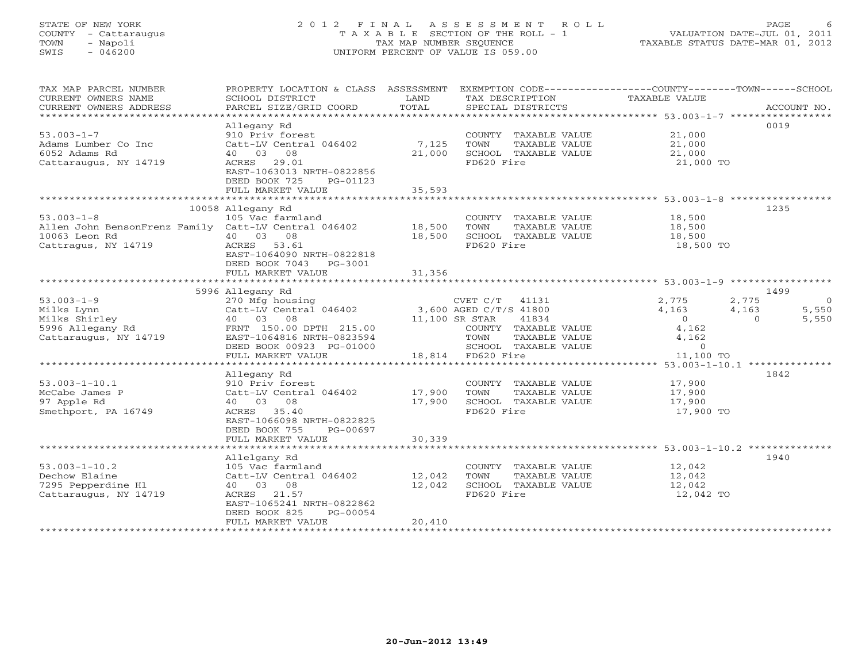# STATE OF NEW YORK 2 0 1 2 F I N A L A S S E S S M E N T R O L L PAGE 6 COUNTY - Cattaraugus T A X A B L E SECTION OF THE ROLL - 1 VALUATION DATE-JUL 01, 2011 TOWN - Napoli TAX MAP NUMBER SEQUENCE TAXABLE STATUS DATE-MAR 01, 2012 SWIS - 046200 UNIFORM PERCENT OF VALUE IS 059.00UNIFORM PERCENT OF VALUE IS 059.00

| TAX MAP PARCEL NUMBER<br>CURRENT OWNERS NAME<br>CURRENT OWNERS ADDRESS   | PROPERTY LOCATION & CLASS ASSESSMENT<br>SCHOOL DISTRICT<br>PARCEL SIZE/GRID COORD                                       | LAND<br>TOTAL | TAX DESCRIPTION<br>SPECIAL DISTRICTS          | EXEMPTION CODE-----------------COUNTY-------TOWN------SCHOOL<br>TAXABLE VALUE | ACCOUNT NO.    |
|--------------------------------------------------------------------------|-------------------------------------------------------------------------------------------------------------------------|---------------|-----------------------------------------------|-------------------------------------------------------------------------------|----------------|
| $53.003 - 1 - 7$                                                         | Allegany Rd<br>910 Priv forest                                                                                          |               | COUNTY TAXABLE VALUE 21,000                   |                                                                               | 0019           |
| Adams Lumber Co Inc<br>6052 Adams Rd                                     | Catt-LV Central 046402 7,125<br>40 03 08                                                                                | 21,000        | TOWN<br>TAXABLE VALUE<br>SCHOOL TAXABLE VALUE | 21,000<br>21,000                                                              |                |
| Cattaraugus, NY 14719                                                    | ACRES 29.01<br>EAST-1063013 NRTH-0822856<br>DEED BOOK 725<br>PG-01123                                                   |               | FD620 Fire                                    | 21,000 TO                                                                     |                |
|                                                                          | FULL MARKET VALUE                                                                                                       | 35,593        |                                               |                                                                               |                |
|                                                                          |                                                                                                                         |               |                                               |                                                                               |                |
| $53.003 - 1 - 8$                                                         | 10058 Allegany Rd<br>105 Vac farmland                                                                                   |               | COUNTY TAXABLE VALUE 18,500                   |                                                                               | 1235           |
| Allen John BensonFrenz Family Catt-LV Central 046402 18,500              |                                                                                                                         |               | TOWN<br>TAXABLE VALUE                         |                                                                               |                |
| 10063 Leon Rd                                                            | 40 03 08                                                                                                                | 18,500        | SCHOOL TAXABLE VALUE                          | 18,500<br>18,500                                                              |                |
| Cattragus, NY 14719                                                      | ACRES 53.61                                                                                                             |               | FD620 Fire                                    | 18,500 TO                                                                     |                |
|                                                                          | EAST-1064090 NRTH-0822818<br>DEED BOOK 7043 PG-3001                                                                     |               |                                               |                                                                               |                |
|                                                                          | FULL MARKET VALUE                                                                                                       | 31,356        |                                               |                                                                               |                |
|                                                                          | 5996 Allegany Rd                                                                                                        |               |                                               |                                                                               | 1499           |
| $53.003 - 1 - 9$                                                         |                                                                                                                         |               | CVET C/T 41131                                | 2,775<br>2,775                                                                | $\overline{0}$ |
| Milks Lynn                                                               | 270 $\text{Mfg}$ housing<br>Catt-LV Central 046402 3,600 AGED C/T/S 41800<br>40 03 08 DPTH 015 02 11,100 SR STERR 41834 |               |                                               | 4,163<br>4,163                                                                | 5,550          |
| miiks Lynn<br>Milks Shirley<br>5996 Allegany Rd<br>Cattaraugus, NY 14719 |                                                                                                                         |               |                                               | $\overline{O}$<br>$\Omega$                                                    | 5,550          |
|                                                                          | FRNT 150.00 DPTH 215.00                                                                                                 |               | COUNTY TAXABLE VALUE                          | 4,162                                                                         |                |
|                                                                          | EAST-1064816 NRTH-0823594                                                                                               |               | TOWN<br>TAXABLE VALUE                         | 4,162                                                                         |                |
|                                                                          | DEED BOOK 00923 PG-01000                                                                                                |               | SCHOOL TAXABLE VALUE                          | $\overline{0}$                                                                |                |
|                                                                          | FULL MARKET VALUE                                                                                                       |               | 18,814 FD620 Fire                             | 11,100 TO                                                                     |                |
|                                                                          |                                                                                                                         |               |                                               |                                                                               |                |
| $53.003 - 1 - 10.1$                                                      | Allegany Rd<br>910 Priv forest                                                                                          |               |                                               | 17,900                                                                        | 1842           |
| McCabe James P                                                           | Catt-LV Central 046402 17,900                                                                                           |               | COUNTY TAXABLE VALUE<br>TAXABLE VALUE<br>TOWN | 17,900                                                                        |                |
| 97 Apple Rd                                                              | 40 03 08                                                                                                                | 17,900        | SCHOOL TAXABLE VALUE                          | 17,900                                                                        |                |
| Smethport, PA 16749                                                      | ACRES 35.40                                                                                                             |               | FD620 Fire                                    | 17,900 TO                                                                     |                |
|                                                                          | EAST-1066098 NRTH-0822825<br>DEED BOOK 755<br>PG-00697                                                                  |               |                                               |                                                                               |                |
|                                                                          | FULL MARKET VALUE                                                                                                       | 30,339        |                                               |                                                                               |                |
|                                                                          |                                                                                                                         |               |                                               |                                                                               |                |
| $53.003 - 1 - 10.2$                                                      | Allelgany Rd<br>105 Vac farmland                                                                                        |               |                                               | 12,042                                                                        | 1940           |
| Dechow Elaine                                                            | Catt-LV Central 046402 12,042                                                                                           |               | COUNTY TAXABLE VALUE<br>TAXABLE VALUE<br>TOWN | 12,042                                                                        |                |
| 7295 Pepperdine Hl                                                       | 40 03 08                                                                                                                | 12,042        | SCHOOL TAXABLE VALUE                          | 12,042                                                                        |                |
| Cattaraugus, NY 14719                                                    | ACRES 21.57                                                                                                             |               | FD620 Fire                                    | 12,042 TO                                                                     |                |
|                                                                          | EAST-1065241 NRTH-0822862                                                                                               |               |                                               |                                                                               |                |
|                                                                          | DEED BOOK 825<br>PG-00054                                                                                               |               |                                               |                                                                               |                |
|                                                                          | FULL MARKET VALUE                                                                                                       | 20,410        |                                               |                                                                               |                |
|                                                                          |                                                                                                                         |               |                                               |                                                                               |                |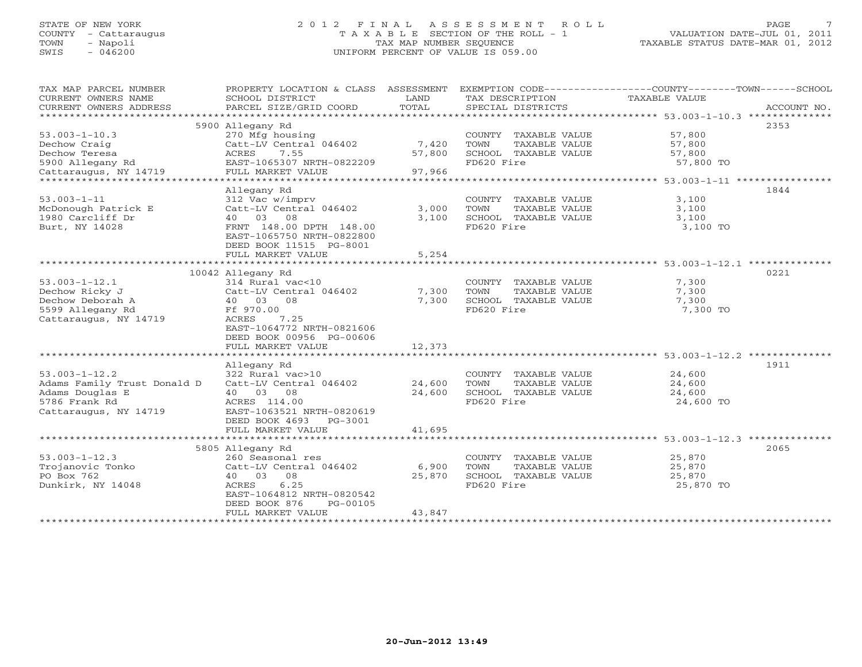# STATE OF NEW YORK 2 0 1 2 F I N A L A S S E S S M E N T R O L L PAGE 7 COUNTY - Cattaraugus T A X A B L E SECTION OF THE ROLL - 1 VALUATION DATE-JUL 01, 2011 TOWN - Napoli TAX MAP NUMBER SEQUENCE TAXABLE STATUS DATE-MAR 01, 2012 SWIS - 046200 UNIFORM PERCENT OF VALUE IS 059.00UNIFORM PERCENT OF VALUE IS 059.00

| TAX MAP PARCEL NUMBER                     | PROPERTY LOCATION & CLASS ASSESSMENT |        |                               | EXEMPTION CODE----------------COUNTY-------TOWN------SCHOOL |
|-------------------------------------------|--------------------------------------|--------|-------------------------------|-------------------------------------------------------------|
| CURRENT OWNERS NAME                       | SCHOOL DISTRICT                      | LAND   | TAX DESCRIPTION TAXABLE VALUE |                                                             |
| CURRENT OWNERS ADDRESS                    | PARCEL SIZE/GRID COORD               | TOTAL  | SPECIAL DISTRICTS             | ACCOUNT NO.                                                 |
|                                           |                                      |        |                               |                                                             |
|                                           | 5900 Allegany Rd                     |        |                               | 2353                                                        |
| $53.003 - 1 - 10.3$                       | 270 Mfg housing                      |        | COUNTY TAXABLE VALUE          | 57,800                                                      |
| Dechow Craig                              | Catt-LV Central 046402               | 7,420  | TAXABLE VALUE<br>TOWN         | 57,800                                                      |
| Dechow Teresa                             | 7.55<br>ACRES                        | 57,800 | SCHOOL TAXABLE VALUE          | 57,800                                                      |
|                                           | EAST-1065307 NRTH-0822209            |        | FD620 Fire                    | 57,800 TO                                                   |
| 5900 Allegany Rd<br>Cattaraugus, NY 14719 | FULL MARKET VALUE                    | 97,966 |                               |                                                             |
|                                           |                                      |        |                               |                                                             |
|                                           | Allegany Rd                          |        |                               | 1844                                                        |
| $53.003 - 1 - 11$                         | 312 Vac w/imprv                      |        | COUNTY TAXABLE VALUE          | 3,100                                                       |
| McDonough Patrick E                       | Catt-LV Central 046402               | 3,000  | TOWN<br>TAXABLE VALUE         | 3,100                                                       |
| 1980 Carcliff Dr                          | 40 03 08                             | 3,100  | SCHOOL TAXABLE VALUE          | 3,100                                                       |
| Burt, NY 14028                            | FRNT 148.00 DPTH 148.00              |        | FD620 Fire                    |                                                             |
|                                           | EAST-1065750 NRTH-0822800            |        |                               | 3,100 TO                                                    |
|                                           |                                      |        |                               |                                                             |
|                                           | DEED BOOK 11515 PG-8001              |        |                               |                                                             |
|                                           | FULL MARKET VALUE                    | 5,254  |                               |                                                             |
|                                           |                                      |        |                               | 0221                                                        |
|                                           | 10042 Allegany Rd                    |        |                               |                                                             |
| $53.003 - 1 - 12.1$                       | 314 Rural vac<10                     |        | COUNTY TAXABLE VALUE          | 7,300                                                       |
| Dechow Ricky J                            | Catt-LV Central 046402               | 7,300  | TOWN<br>TAXABLE VALUE         | 7,300                                                       |
| Dechow Deborah A                          | 40 03 08                             | 7,300  | SCHOOL TAXABLE VALUE          | 7,300                                                       |
| 5599 Allegany Rd                          | Ff 970.00                            |        | FD620 Fire                    | 7,300 TO                                                    |
| Cattaraugus, NY 14719                     | ACRES<br>7.25                        |        |                               |                                                             |
|                                           | EAST-1064772 NRTH-0821606            |        |                               |                                                             |
|                                           | DEED BOOK 00956 PG-00606             |        |                               |                                                             |
|                                           | FULL MARKET VALUE                    | 12,373 |                               |                                                             |
|                                           |                                      |        |                               |                                                             |
|                                           | Allegany Rd                          |        |                               | 1911                                                        |
| $53.003 - 1 - 12.2$                       | 322 Rural vac>10                     |        | COUNTY TAXABLE VALUE          | 24,600                                                      |
| Adams Family Trust Donald D               | Catt-LV Central 046402               | 24,600 | TOWN<br>TAXABLE VALUE         | 24,600                                                      |
| Adams Douglas E                           | 40 03 08                             | 24,600 | SCHOOL TAXABLE VALUE          | 24,600                                                      |
| 5786 Frank Rd                             | ACRES 114.00                         |        | FD620 Fire                    | 24,600 TO                                                   |
| Cattaraugus, NY 14719                     | EAST-1063521 NRTH-0820619            |        |                               |                                                             |
|                                           | DEED BOOK 4693 PG-3001               |        |                               |                                                             |
|                                           | FULL MARKET VALUE                    | 41,695 |                               |                                                             |
|                                           |                                      |        |                               |                                                             |
|                                           | 5805 Allegany Rd                     |        |                               | 2065                                                        |
| $53.003 - 1 - 12.3$                       | 260 Seasonal res                     |        | COUNTY TAXABLE VALUE          | 25,870                                                      |
| Trojanovic Tonko                          | Catt-LV Central 046402               | 6,900  | TOWN<br>TAXABLE VALUE         | 25,870                                                      |
| PO Box 762                                | 40 03 08                             | 25,870 | SCHOOL TAXABLE VALUE          | 25,870                                                      |
| Dunkirk, NY 14048                         | ACRES<br>6.25                        |        | FD620 Fire                    | 25,870 TO                                                   |
|                                           | EAST-1064812 NRTH-0820542            |        |                               |                                                             |
|                                           | DEED BOOK 876<br>PG-00105            |        |                               |                                                             |
|                                           | FULL MARKET VALUE                    | 43,847 |                               |                                                             |
|                                           | ********************************     |        |                               |                                                             |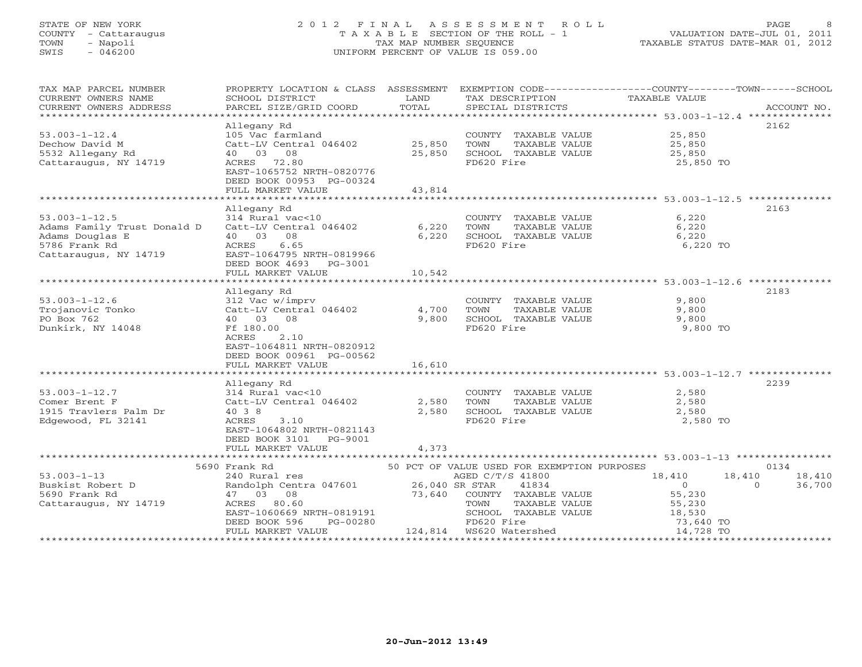# STATE OF NEW YORK 2 0 1 2 F I N A L A S S E S S M E N T R O L L PAGE 8 COUNTY - Cattaraugus T A X A B L E SECTION OF THE ROLL - 1 VALUATION DATE-JUL 01, 2011 TOWN - Napoli TAX MAP NUMBER SEQUENCE TAXABLE STATUS DATE-MAR 01, 2012 SWIS - 046200 UNIFORM PERCENT OF VALUE IS 059.00UNIFORM PERCENT OF VALUE IS 059.00

| TAX MAP PARCEL NUMBER<br>CURRENT OWNERS NAME<br>CURRENT OWNERS ADDRESS                                                                                                                        | SCHOOL DISTRICT<br>PARCEL SIZE/GRID COORD                                                                                                                                                          | <b>EXAMPLE SETTING STATE</b><br>TOTAL | TAX DESCRIPTION TAXABLE VALUE<br>SPECIAL DISTRICTS                                                       | PROPERTY LOCATION & CLASS ASSESSMENT EXEMPTION CODE----------------COUNTY-------TOWN------SCHOOL | ACCOUNT NO. |
|-----------------------------------------------------------------------------------------------------------------------------------------------------------------------------------------------|----------------------------------------------------------------------------------------------------------------------------------------------------------------------------------------------------|---------------------------------------|----------------------------------------------------------------------------------------------------------|--------------------------------------------------------------------------------------------------|-------------|
|                                                                                                                                                                                               |                                                                                                                                                                                                    |                                       |                                                                                                          |                                                                                                  |             |
|                                                                                                                                                                                               | Allegany Rd                                                                                                                                                                                        |                                       |                                                                                                          |                                                                                                  | 2162        |
| $53.003 - 1 - 12.4$                                                                                                                                                                           | 105 Vac farmland                                                                                                                                                                                   |                                       | COUNTY TAXABLE VALUE 25,850                                                                              |                                                                                                  |             |
| Dechow David M<br>5532 Allegany Rd                                                                                                                                                            | Catt-LV Central 046402 25,850<br>40 03 08                                                                                                                                                          |                                       |                                                                                                          |                                                                                                  |             |
| Cattaraugus, NY 14719                                                                                                                                                                         | ACRES 72.80                                                                                                                                                                                        |                                       | 25,850 TOWN TAXABLE VALUE<br>25,850 SCHOOL TAXABLE VALUE 25,850<br>25,850 SCHOOL TAXABLE VALUE 25,850 TO |                                                                                                  |             |
|                                                                                                                                                                                               | EAST-1065752 NRTH-0820776                                                                                                                                                                          |                                       |                                                                                                          |                                                                                                  |             |
|                                                                                                                                                                                               | DEED BOOK 00953 PG-00324                                                                                                                                                                           |                                       |                                                                                                          |                                                                                                  |             |
|                                                                                                                                                                                               | FULL MARKET VALUE                                                                                                                                                                                  | 43,814                                |                                                                                                          |                                                                                                  |             |
|                                                                                                                                                                                               |                                                                                                                                                                                                    |                                       |                                                                                                          |                                                                                                  |             |
|                                                                                                                                                                                               | Allegany Rd                                                                                                                                                                                        |                                       |                                                                                                          |                                                                                                  | 2163        |
|                                                                                                                                                                                               |                                                                                                                                                                                                    |                                       | COUNTY TAXABLE VALUE 6,220                                                                               |                                                                                                  |             |
|                                                                                                                                                                                               |                                                                                                                                                                                                    |                                       | TOWN TAXABLE VALUE<br>SCHOOL TAXABLE VALUE                                                               | 6,220                                                                                            |             |
| 53.003-1-12.5<br>Adams Family Trust Donald D (2011-1201 vac<10)<br>Adams Douglas E (6,220 Adams Douglas E (6,220 Adams Douglas E (6,220 Adams Couglas E (6,220 ACRES (6.65 )<br>5786 Frank Rd | ACRES 6.65                                                                                                                                                                                         |                                       | FD620 Fire                                                                                               | 6,220<br>6,220 TO                                                                                |             |
| Cattaraugus, NY 14719                                                                                                                                                                         | EAST-1064795 NRTH-0819966                                                                                                                                                                          |                                       |                                                                                                          |                                                                                                  |             |
|                                                                                                                                                                                               | DEED BOOK 4693 PG-3001                                                                                                                                                                             |                                       |                                                                                                          |                                                                                                  |             |
|                                                                                                                                                                                               | FULL MARKET VALUE                                                                                                                                                                                  | 10,542                                |                                                                                                          |                                                                                                  |             |
|                                                                                                                                                                                               |                                                                                                                                                                                                    |                                       |                                                                                                          |                                                                                                  |             |
|                                                                                                                                                                                               | Allegany Rd                                                                                                                                                                                        |                                       |                                                                                                          |                                                                                                  | 2183        |
|                                                                                                                                                                                               |                                                                                                                                                                                                    |                                       | COUNTY TAXABLE VALUE                                                                                     | 9,800                                                                                            |             |
| $53.003-1-12.6$<br>$Trojanovic Tonko$ $Catt-LV Central 046402$ $4,700$ $DOSox 762$ $A0 03 0$                                                                                                  |                                                                                                                                                                                                    |                                       | TOWN                                                                                                     | TAXABLE VALUE 9,800                                                                              |             |
| PO Box 762                                                                                                                                                                                    | 40 03 08                                                                                                                                                                                           | 9,800                                 | SCHOOL TAXABLE VALUE<br>FD620 Fire                                                                       | 9,800                                                                                            |             |
| Dunkirk, NY 14048                                                                                                                                                                             | Ff 180.00                                                                                                                                                                                          |                                       |                                                                                                          | 9,800 TO                                                                                         |             |
|                                                                                                                                                                                               | ACRES 2.10<br>EAST-1064811 NRTH-0820912                                                                                                                                                            |                                       |                                                                                                          |                                                                                                  |             |
|                                                                                                                                                                                               | DEED BOOK 00961 PG-00562                                                                                                                                                                           |                                       |                                                                                                          |                                                                                                  |             |
|                                                                                                                                                                                               | FULL MARKET VALUE 16,610                                                                                                                                                                           |                                       |                                                                                                          |                                                                                                  |             |
|                                                                                                                                                                                               |                                                                                                                                                                                                    |                                       |                                                                                                          |                                                                                                  |             |
|                                                                                                                                                                                               |                                                                                                                                                                                                    |                                       |                                                                                                          |                                                                                                  | 2239        |
| $53.003 - 1 - 12.7$                                                                                                                                                                           | Allegany Rd<br>314 Rural vac<10                                                                                                                                                                    |                                       | COUNTY TAXABLE VALUE 2,580                                                                               |                                                                                                  |             |
| alm Dr<br>Comer Brent F                                                                                                                                                                       | $Catt-LV$ Central 046402 2,580                                                                                                                                                                     |                                       | TOWN                                                                                                     | TAXABLE VALUE $2,580$<br>L TAXABLE VALUE $2,580$                                                 |             |
| 1915 Travlers Palm Dr                                                                                                                                                                         | 40 3 8                                                                                                                                                                                             |                                       | 2,580 SCHOOL TAXABLE VALUE<br>FD620 Fire                                                                 |                                                                                                  |             |
| Edgewood, FL 32141                                                                                                                                                                            | 3.10<br>ACRES                                                                                                                                                                                      |                                       |                                                                                                          | 2,580 TO                                                                                         |             |
|                                                                                                                                                                                               | EAST-1064802 NRTH-0821143                                                                                                                                                                          |                                       |                                                                                                          |                                                                                                  |             |
|                                                                                                                                                                                               | DEED BOOK 3101    PG-9001<br>FULL MARKET VALUE                                                                                                                                                     | 4,373                                 |                                                                                                          |                                                                                                  |             |
|                                                                                                                                                                                               |                                                                                                                                                                                                    |                                       |                                                                                                          |                                                                                                  |             |
|                                                                                                                                                                                               | 5690 Frank Rd                                                                                                                                                                                      |                                       |                                                                                                          |                                                                                                  | 0134        |
| $53.003 - 1 - 13$                                                                                                                                                                             |                                                                                                                                                                                                    |                                       |                                                                                                          |                                                                                                  | 18,410      |
| Buskist Robert D                                                                                                                                                                              |                                                                                                                                                                                                    |                                       |                                                                                                          |                                                                                                  | 36,700      |
| 5690 Frank Rd                                                                                                                                                                                 |                                                                                                                                                                                                    |                                       |                                                                                                          |                                                                                                  |             |
| Cattaraugus, NY 14719                                                                                                                                                                         |                                                                                                                                                                                                    |                                       |                                                                                                          |                                                                                                  |             |
|                                                                                                                                                                                               | 47 03 08 73,640 COUNTY TAXABLE VALUE 55,230<br>ACRES 80.60 73,640 COUNTY TAXABLE VALUE 55,230<br>EAST-1060669 NRTH-0819191 SCHOOL TAXABLE VALUE 55,230<br>DEED BOOK 596 PG-00280 FD620 Fire 73,640 |                                       | COUNTY TAAADDE VALUE<br>TOWN TAXABLE VALUE 55,230<br>SCHOOL TAXABLE VALUE 18,530<br>COLORATION 73,640 TO |                                                                                                  |             |
|                                                                                                                                                                                               |                                                                                                                                                                                                    |                                       | 00280 124,814 12620 11re<br>124,814 12620 Watershed 14,728 TO                                            |                                                                                                  |             |
|                                                                                                                                                                                               | FULL MARKET VALUE                                                                                                                                                                                  |                                       |                                                                                                          |                                                                                                  |             |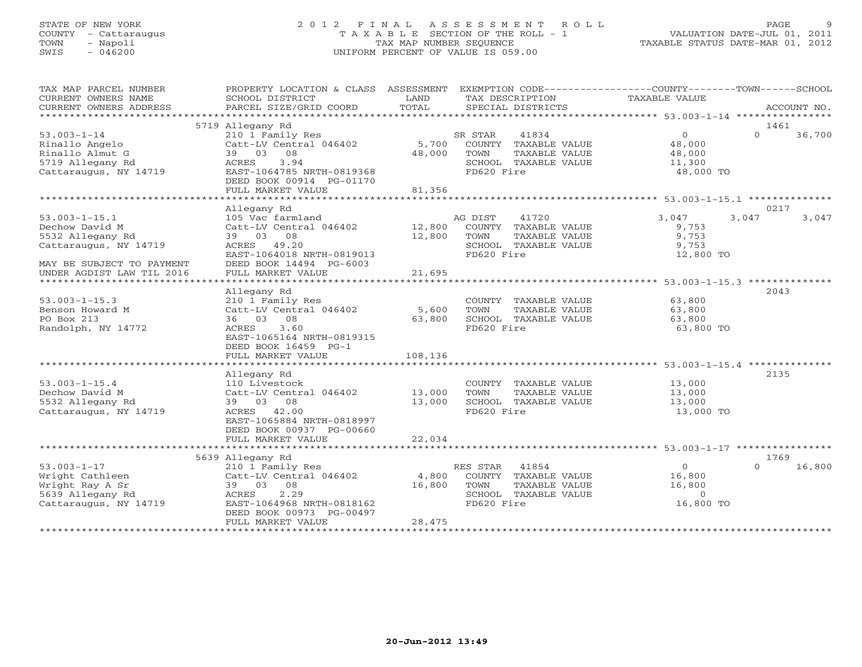# STATE OF NEW YORK 2 0 1 2 F I N A L A S S E S S M E N T R O L L PAGE 9 COUNTY - Cattaraugus T A X A B L E SECTION OF THE ROLL - 1 VALUATION DATE-JUL 01, 2011 TOWN - Napoli TAX MAP NUMBER SEQUENCE TAXABLE STATUS DATE-MAR 01, 2012 SWIS - 046200 UNIFORM PERCENT OF VALUE IS 059.00UNIFORM PERCENT OF VALUE IS 059.00

| TAX MAP PARCEL NUMBER<br>CURRENT OWNERS NAME<br>CURRENT OWNERS ADDRESS                                          | PROPERTY LOCATION & CLASS ASSESSMENT EXEMPTION CODE---------------COUNTY-------TOWN------SCHOOL<br>SCHOOL DISTRICT<br>PARCEL SIZE/GRID COORD                              | LAND<br>TOTAL              | TAX DESCRIPTION<br>SPECIAL DISTRICTS                                                                    | TAXABLE VALUE                                                     | ACCOUNT NO.                |
|-----------------------------------------------------------------------------------------------------------------|---------------------------------------------------------------------------------------------------------------------------------------------------------------------------|----------------------------|---------------------------------------------------------------------------------------------------------|-------------------------------------------------------------------|----------------------------|
|                                                                                                                 |                                                                                                                                                                           |                            |                                                                                                         |                                                                   |                            |
| $53.003 - 1 - 14$<br>Rinallo Angelo<br>Rinallo Almut G<br>5719 Allegany Rd<br>Cattaraugus, NY 14719             | 5719 Allegany Rd<br>210 1 Family Res<br>Catt-LV Central 046402<br>39 03 08<br>ACRES<br>3.94<br>EAST-1064785 NRTH-0819368<br>DEED BOOK 00914 PG-01170<br>FULL MARKET VALUE | 5,700<br>48,000<br>81,356  | 41834<br>SR STAR<br>COUNTY TAXABLE VALUE<br>TOWN<br>TAXABLE VALUE<br>SCHOOL TAXABLE VALUE<br>FD620 Fire | $\Omega$<br>48,000<br>48,000<br>11,300<br>48,000 TO               | 1461<br>$\Omega$<br>36,700 |
|                                                                                                                 |                                                                                                                                                                           |                            |                                                                                                         |                                                                   |                            |
| $53.003 - 1 - 15.1$<br>Dechow David M<br>5532 Allegany Rd<br>Cattaraugus, NY 14719<br>MAY BE SUBJECT TO PAYMENT | Allegany Rd<br>105 Vac farmland<br>Catt-LV Central 046402<br>39 03 08<br>ACRES 49.20<br>EAST-1064018 NRTH-0819013<br>DEED BOOK 14494 PG-6003                              | 12,800<br>12,800<br>21,695 | 41720<br>AG DIST<br>COUNTY TAXABLE VALUE<br>TOWN<br>TAXABLE VALUE<br>SCHOOL TAXABLE VALUE<br>FD620 Fire | 3,047<br>3,047<br>9,753<br>9,753<br>9,753<br>12,800 TO            | 0217<br>3,047              |
| UNDER AGDIST LAW TIL 2016                                                                                       | FULL MARKET VALUE                                                                                                                                                         |                            |                                                                                                         |                                                                   |                            |
| $53.003 - 1 - 15.3$<br>Benson Howard M<br>PO Box 213<br>Randolph, NY 14772                                      | Allegany Rd<br>210 1 Family Res<br>Catt-LV Central 046402<br>36 03 08<br>ACRES 3.60<br>EAST-1065164 NRTH-0819315<br>DEED BOOK 16459 PG-1<br>FULL MARKET VALUE             | 5,600<br>63,800<br>108,136 | COUNTY TAXABLE VALUE<br>TOWN<br>TAXABLE VALUE<br>SCHOOL TAXABLE VALUE<br>FD620 Fire                     | 63,800<br>63,800<br>63,800<br>63,800 TO                           | 2043                       |
|                                                                                                                 | Allegany Rd                                                                                                                                                               |                            |                                                                                                         |                                                                   | 2135                       |
| $53.003 - 1 - 15.4$<br>Dechow David M<br>5532 Allegany Rd<br>Cattaraugus, NY 14719                              | 110 Livestock<br>Catt-LV Central 046402<br>39 03 08<br>ACRES 42.00<br>EAST-1065884 NRTH-0818997<br>DEED BOOK 00937 PG-00660<br>FULL MARKET VALUE                          | 13,000<br>13,000<br>22,034 | COUNTY TAXABLE VALUE<br>TOWN<br>TAXABLE VALUE<br>SCHOOL TAXABLE VALUE<br>FD620 Fire                     | 13,000<br>13,000<br>13,000<br>13,000 TO                           |                            |
|                                                                                                                 |                                                                                                                                                                           |                            |                                                                                                         |                                                                   |                            |
| $53.003 - 1 - 17$<br>Wright Cathleen<br>Wright Ray A Sr<br>5639 Allegany Rd<br>Cattaraugus, NY 14719            | 5639 Allegany Rd<br>210 1 Family Res<br>Catt-LV Central 046402<br>39 03 08<br>2.29<br>ACRES<br>EAST-1064968 NRTH-0818162<br>DEED BOOK 00973 PG-00497<br>FULL MARKET VALUE | 4,800<br>16,800<br>28,475  | RES STAR 41854<br>COUNTY TAXABLE VALUE<br>TOWN<br>TAXABLE VALUE<br>SCHOOL TAXABLE VALUE<br>FD620 Fire   | $\overline{0}$<br>16,800<br>16,800<br>$\overline{0}$<br>16,800 TO | 1769<br>$\Omega$<br>16,800 |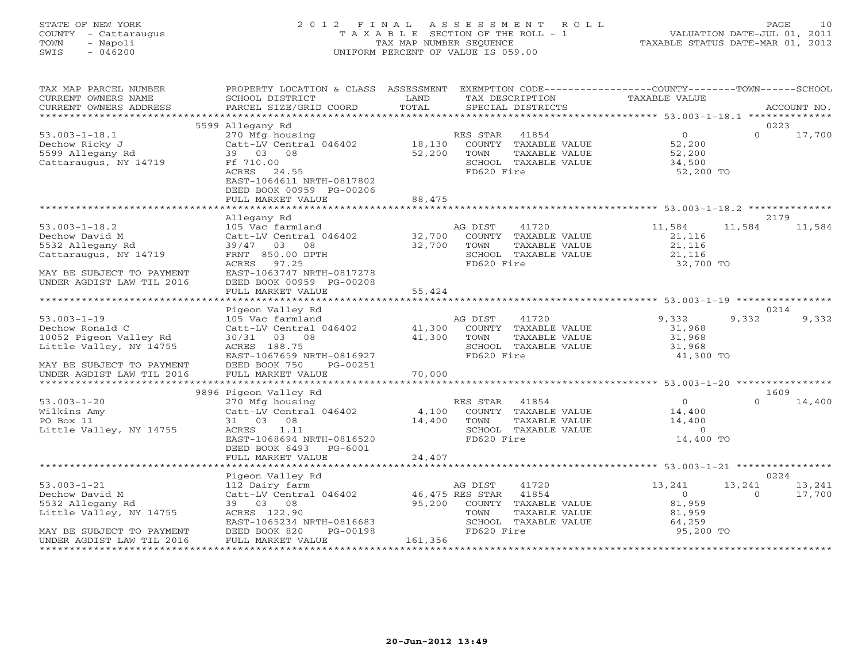# STATE OF NEW YORK 2 0 1 2 F I N A L A S S E S S M E N T R O L L PAGE 10 COUNTY - Cattaraugus T A X A B L E SECTION OF THE ROLL - 1 VALUATION DATE-JUL 01, 2011 TOWN - Napoli TAX MAP NUMBER SEQUENCE TAXABLE STATUS DATE-MAR 01, 2012 SWIS - 046200 UNIFORM PERCENT OF VALUE IS 059.00UNIFORM PERCENT OF VALUE IS 059.00

| TAX MAP PARCEL NUMBER<br>CURRENT OWNERS NAME<br>CURRENT OWNERS ADDRESS                                                                              | PROPERTY LOCATION & CLASS ASSESSMENT<br>SCHOOL DISTRICT<br>PARCEL SIZE/GRID COORD                                                                                                       | LAND<br>TOTAL              | EXEMPTION CODE-----------------COUNTY-------TOWN------SCHOOL<br>TAX DESCRIPTION<br>SPECIAL DISTRICTS                                                                        | TAXABLE VALUE                                                 | ACCOUNT NO.                                    |
|-----------------------------------------------------------------------------------------------------------------------------------------------------|-----------------------------------------------------------------------------------------------------------------------------------------------------------------------------------------|----------------------------|-----------------------------------------------------------------------------------------------------------------------------------------------------------------------------|---------------------------------------------------------------|------------------------------------------------|
|                                                                                                                                                     |                                                                                                                                                                                         |                            |                                                                                                                                                                             |                                                               |                                                |
| $53.003 - 1 - 18.1$<br>Dechow Ricky J<br>5599 Allegany Rd<br>Cattaraugus, NY 14719                                                                  | 5599 Allegany Rd<br>270 Mfg housing<br>Catt-LV Central 046402<br>39 03 08<br>Ff 710.00<br>ACRES<br>24.55<br>EAST-1064611 NRTH-0817802<br>DEED BOOK 00959 PG-00206<br>FULL MARKET VALUE  | 18,130<br>52,200<br>88,475 | RES STAR<br>41854<br>COUNTY TAXABLE VALUE<br>TAXABLE VALUE<br>TOWN<br>SCHOOL TAXABLE VALUE<br>FD620 Fire                                                                    | $\overline{0}$<br>52,200<br>52,200<br>34,500<br>52,200 TO     | 0223<br>$\Omega$<br>17,700                     |
|                                                                                                                                                     |                                                                                                                                                                                         |                            |                                                                                                                                                                             |                                                               |                                                |
| $53.003 - 1 - 18.2$<br>Dechow David M<br>5532 Allegany Rd<br>Cattaraugus, NY 14719<br>MAY BE SUBJECT TO PAYMENT<br>UNDER AGDIST LAW TIL 2016        | Allegany Rd<br>105 Vac farmland<br>Catt-LV Central 046402<br>39/47 03 08<br>FRNT 850.00 DPTH<br>ACRES 97.25<br>EAST-1063747 NRTH-0817278<br>DEED BOOK 00959 PG-00208                    | 32,700<br>32,700           | AG DIST<br>41720<br>COUNTY TAXABLE VALUE<br>TOWN<br>TAXABLE VALUE<br>SCHOOL TAXABLE VALUE<br>FD620 Fire                                                                     | 11,584<br>21,116<br>21,116<br>21,116<br>32,700 TO             | 2179<br>11,584<br>11,584                       |
|                                                                                                                                                     | FULL MARKET VALUE                                                                                                                                                                       | 55,424                     |                                                                                                                                                                             |                                                               |                                                |
| ************************                                                                                                                            | Pigeon Valley Rd                                                                                                                                                                        |                            |                                                                                                                                                                             |                                                               | 0214                                           |
| $53.003 - 1 - 19$<br>Dechow Ronald C<br>10052 Pigeon Valley Rd<br>Little Valley, NY 14755<br>MAY BE SUBJECT TO PAYMENT<br>UNDER AGDIST LAW TIL 2016 | 105 Vac farmland<br>Catt-LV Central 046402<br>30/31 03 08<br>ACRES 188.75<br>EAST-1067659 NRTH-0816927<br>DEED BOOK 750<br>PG-00251<br>FULL MARKET VALUE                                | 41,300<br>41,300<br>70,000 | 41720<br>AG DIST<br>COUNTY TAXABLE VALUE<br>TOWN<br>TAXABLE VALUE<br>SCHOOL TAXABLE VALUE<br>FD620 Fire<br>***********************************53.003-1-20 ***************** | 9,332<br>31,968<br>31,968<br>31,968<br>41,300 TO              | 9,332<br>9,332                                 |
|                                                                                                                                                     | 9896 Pigeon Valley Rd                                                                                                                                                                   |                            |                                                                                                                                                                             |                                                               | 1609                                           |
| $53.003 - 1 - 20$<br>Wilkins Amy<br>PO Box 11<br>Little Valley, NY 14755                                                                            | 270 Mfg housing<br>Catt-LV Central 046402<br>31 03 08<br>ACRES<br>1.11<br>EAST-1068694 NRTH-0816520<br>DEED BOOK 6493<br>PG-6001<br>FULL MARKET VALUE                                   | 4,100<br>14,400<br>24,407  | 41854<br>RES STAR<br>COUNTY TAXABLE VALUE<br>TOWN<br>TAXABLE VALUE<br>SCHOOL TAXABLE VALUE<br>FD620 Fire                                                                    | $\Omega$<br>14,400<br>14,400<br>$\Omega$<br>14,400 TO         | $\Omega$<br>14,400                             |
|                                                                                                                                                     |                                                                                                                                                                                         |                            |                                                                                                                                                                             |                                                               |                                                |
| $53.003 - 1 - 21$<br>Dechow David M<br>5532 Allegany Rd<br>Little Valley, NY 14755<br>MAY BE SUBJECT TO PAYMENT<br>UNDER AGDIST LAW TIL 2016        | Pigeon Valley Rd<br>112 Dairy farm<br>Catt-LV Central 046402 46,475 RES STAR<br>39 03 08<br>ACRES 122.90<br>EAST-1065234 NRTH-0816683<br>DEED BOOK 820<br>PG-00198<br>FULL MARKET VALUE | 95,200<br>161,356          | AG DIST<br>41720<br>41854<br>COUNTY<br>TAXABLE VALUE<br>TAXABLE VALUE<br>TOWN<br>SCHOOL TAXABLE VALUE<br>FD620 Fire                                                         | 13,241<br>$\Omega$<br>81,959<br>81,959<br>64,259<br>95,200 TO | 0224<br>13,241<br>13,241<br>$\Omega$<br>17,700 |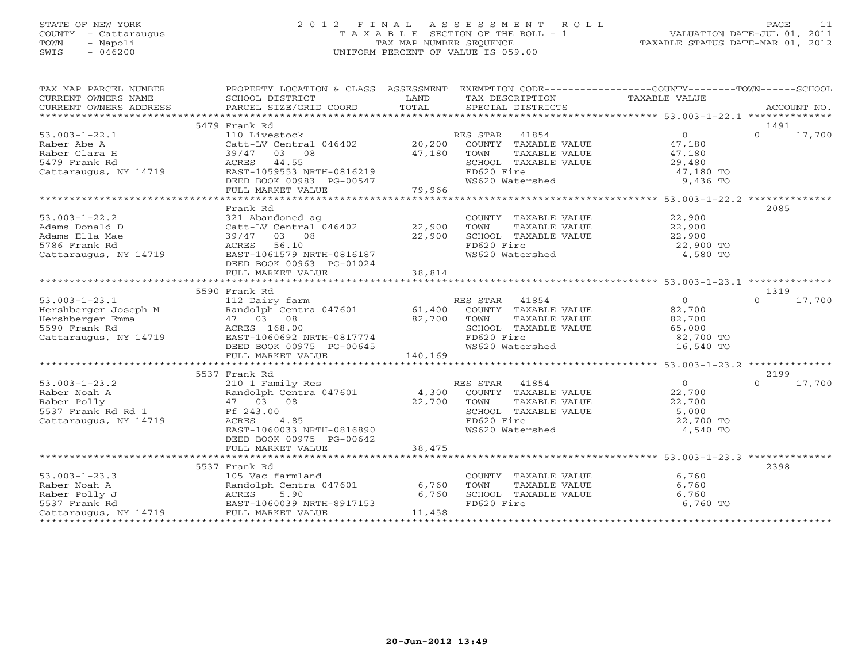# STATE OF NEW YORK 2 0 1 2 F I N A L A S S E S S M E N T R O L L PAGE 11 COUNTY - Cattaraugus T A X A B L E SECTION OF THE ROLL - 1 VALUATION DATE-JUL 01, 2011 TOWN - Napoli TAX MAP NUMBER SEQUENCE TAXABLE STATUS DATE-MAR 01, 2012 SWIS - 046200 UNIFORM PERCENT OF VALUE IS 059.00

| TAX MAP PARCEL NUMBER                                    | PROPERTY LOCATION & CLASS ASSESSMENT EXEMPTION CODE----------------COUNTY-------TOWN------SCHOOL |                      |                             |                |                    |
|----------------------------------------------------------|--------------------------------------------------------------------------------------------------|----------------------|-----------------------------|----------------|--------------------|
| CURRENT OWNERS NAME                                      | SCHOOL DISTRICT                                                                                  | LAND                 | TAX DESCRIPTION             | TAXABLE VALUE  |                    |
|                                                          |                                                                                                  |                      |                             |                |                    |
|                                                          |                                                                                                  |                      |                             |                |                    |
|                                                          | 5479 Frank Rd                                                                                    |                      |                             |                | 1491               |
| $53.003 - 1 - 22.1$                                      | 110 Livestock                                                                                    |                      | RES STAR 41854              | $\overline{0}$ | $\Omega$<br>17,700 |
| Raber Abe A                                              | Catt-LV Central 046402 20,200                                                                    |                      | COUNTY TAXABLE VALUE        | 47,180         |                    |
| Raber Clara H                                            | 39/47 03 08                                                                                      | 47,180               | TOWN<br>TAXABLE VALUE       | 47,180         |                    |
| 5479 Frank Rd                                            | 44.55<br>ACRES                                                                                   |                      | SCHOOL TAXABLE VALUE        | 29,480         |                    |
| Cattaraugus, NY 14719                                    | EAST-1059553 NRTH-0816219                                                                        |                      | FD620 Fire                  | 47,180 TO      |                    |
|                                                          | DEED BOOK 00983 PG-00547                                                                         |                      | WS620 Watershed             | 9,436 TO       |                    |
|                                                          | FULL MARKET VALUE                                                                                | 79,966               |                             |                |                    |
|                                                          |                                                                                                  |                      |                             |                |                    |
|                                                          | Frank Rd                                                                                         |                      |                             |                | 2085               |
| $53.003 - 1 - 22.2$                                      | 321 Abandoned ag                                                                                 |                      | COUNTY TAXABLE VALUE 22,900 |                |                    |
| Adams Donald D                                           | Catt-LV Central 046402 22,900                                                                    |                      | TOWN<br>TAXABLE VALUE       | 22,900         |                    |
|                                                          |                                                                                                  |                      |                             |                |                    |
| Adams Ella Mae                                           | 39/47 03 08                                                                                      | 22,900               | SCHOOL TAXABLE VALUE        | 22,900         |                    |
| 5786 Frank Rd                                            | 56.10<br>ACRES                                                                                   |                      | FD620 Fire                  | 22,900 TO      |                    |
| Cattaraugus, NY 14719                                    | EAST-1061579 NRTH-0816187                                                                        |                      | WS620 Watershed             | 4,580 TO       |                    |
|                                                          | DEED BOOK 00963 PG-01024                                                                         |                      |                             |                |                    |
|                                                          | FULL MARKET VALUE                                                                                | 38,814               |                             |                |                    |
|                                                          |                                                                                                  |                      |                             |                |                    |
|                                                          | 5590 Frank Rd                                                                                    |                      |                             |                | 1319               |
| $53.003 - 1 - 23.1$                                      | 112 Dairy farm<br>M<br>Randolph Cence<br>47 03 08<br>ACRES 168.0                                 |                      | RES STAR 41854              | $\Omega$       | $\Omega$<br>17,700 |
| Hershberger Joseph M                                     | Randolph Centra 047601 61,400 COUNTY TAXABLE VALUE                                               |                      |                             | 82,700         |                    |
| Hershberger Emma                                         |                                                                                                  | 82,700 TOWN<br>SCHOC | TAXABLE VALUE               | 82,700         |                    |
| 5590 Frank Rd                                            | ACRES 168.00                                                                                     |                      | SCHOOL TAXABLE VALUE        | 65,000         |                    |
| Cattaraugus, NY 14719                                    | ACRES 168.00<br>EAST-1060692 NRTH-0817774                                                        |                      | FD620 Fire                  | 82,700 TO      |                    |
|                                                          | DEED BOOK 00975 PG-00645                                                                         |                      | WS620 Watershed             | 16,540 TO      |                    |
|                                                          | FULL MARKET VALUE                                                                                | 140,169              |                             |                |                    |
|                                                          |                                                                                                  |                      |                             |                |                    |
|                                                          | 5537 Frank Rd                                                                                    |                      |                             |                | 2199               |
| $53.003 - 1 - 23.2$                                      | 210 1 Family Res                                                                                 |                      | RES STAR<br>41854           | $\overline{0}$ | $\Omega$<br>17,700 |
| Raber Noah A                                             | Randolph Centra 047601 4,300                                                                     |                      | COUNTY TAXABLE VALUE        | 22,700         |                    |
| Raber Polly                                              | 47 03 08                                                                                         | 22,700               | TOWN<br>TAXABLE VALUE       | 22,700         |                    |
| 5537 Frank Rd Rd 1                                       | Ff 243.00                                                                                        |                      | SCHOOL TAXABLE VALUE        | 5,000          |                    |
|                                                          | ACRES<br>4.85                                                                                    |                      | FD620 Fire                  |                |                    |
| Cattaraugus, NY 14719                                    |                                                                                                  |                      |                             | 22,700 TO      |                    |
|                                                          | EAST-1060033 NRTH-0816890                                                                        |                      | WS620 Watershed             | 4,540 TO       |                    |
|                                                          | DEED BOOK 00975 PG-00642                                                                         |                      |                             |                |                    |
|                                                          | FULL MARKET VALUE                                                                                | 38,475               |                             |                |                    |
|                                                          |                                                                                                  |                      |                             |                |                    |
|                                                          | 5537 Frank Rd                                                                                    |                      |                             |                | 2398               |
| $53.003 - 1 - 23.3$                                      | 105 Vac farmland                                                                                 |                      | COUNTY TAXABLE VALUE        | 6,760          |                    |
| Raber Noah A                                             | Randolph Centra 047601                                                                           | 6,760                | TOWN<br>TAXABLE VALUE       | 6,760          |                    |
| To vertical resorts<br>Randol<br>RAST-1<br>Raber Polly J | 5.90                                                                                             | 6,760                | SCHOOL TAXABLE VALUE        | 6,760          |                    |
| 5537 Frank Rd                                            | EAST-1060039 NRTH-8917153                                                                        |                      | FD620 Fire                  | 6,760 TO       |                    |
| Cattaraugus, NY 14719                                    | FULL MARKET VALUE                                                                                | 11,458               |                             |                |                    |
|                                                          |                                                                                                  |                      |                             |                |                    |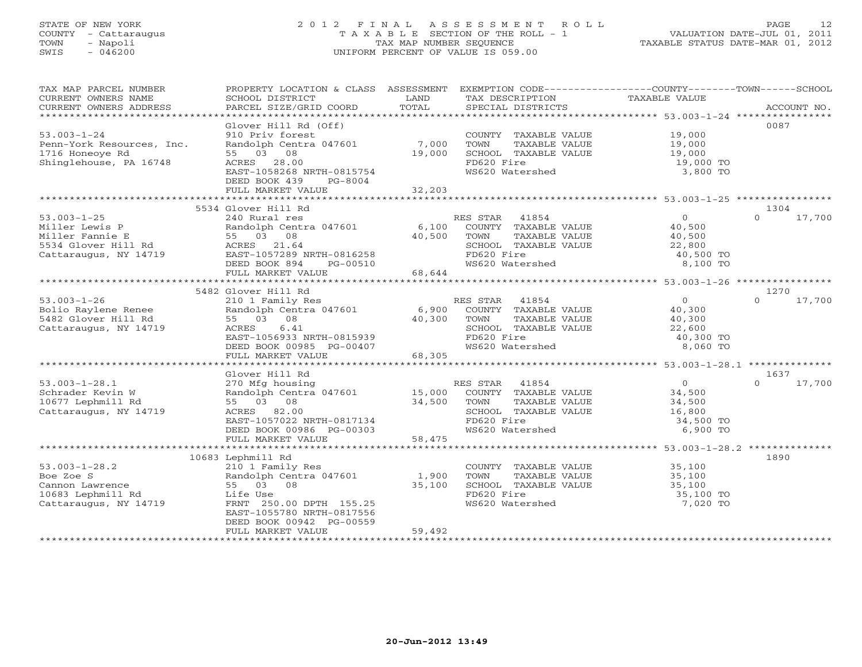# STATE OF NEW YORK 2 0 1 2 F I N A L A S S E S S M E N T R O L L PAGE 12 COUNTY - Cattaraugus T A X A B L E SECTION OF THE ROLL - 1 VALUATION DATE-JUL 01, 2011 TOWN - Napoli TAX MAP NUMBER SEQUENCE TAXABLE STATUS DATE-MAR 01, 2012 SWIS - 046200 UNIFORM PERCENT OF VALUE IS 059.00UNIFORM PERCENT OF VALUE IS 059.00

| TAX MAP PARCEL NUMBER<br>CURRENT OWNERS NAME | PROPERTY LOCATION & CLASS ASSESSMENT<br>SCHOOL DISTRICT | LAND              | EXEMPTION CODE-----------------COUNTY-------TOWN------SCHOOL<br>TAX DESCRIPTION | TAXABLE VALUE         |                    |
|----------------------------------------------|---------------------------------------------------------|-------------------|---------------------------------------------------------------------------------|-----------------------|--------------------|
| CURRENT OWNERS ADDRESS                       | PARCEL SIZE/GRID COORD                                  | TOTAL             | SPECIAL DISTRICTS                                                               |                       | ACCOUNT NO.        |
|                                              |                                                         |                   |                                                                                 |                       |                    |
|                                              | Glover Hill Rd (Off)                                    |                   |                                                                                 |                       | 0087               |
| $53.003 - 1 - 24$                            | 910 Priv forest                                         |                   | COUNTY TAXABLE VALUE 19,000                                                     |                       |                    |
| Penn-York Resources, Inc.                    | Randolph Centra 047601                                  | 7,000             | TOWN<br>TAXABLE VALUE                                                           | 19,000<br>19,000      |                    |
| 1716 Honeoye Rd                              | 55 03<br>08                                             | 19,000            | SCHOOL TAXABLE VALUE                                                            |                       |                    |
| Shinglehouse, PA 16748                       | ACRES 28.00                                             |                   | FD620 Fire<br>WS620 Watershed                                                   | 19,000 TO<br>3,800 TO |                    |
|                                              | EAST-1058268 NRTH-0815754<br>DEED BOOK 439<br>PG-8004   |                   |                                                                                 |                       |                    |
|                                              | FULL MARKET VALUE                                       | 32,203            |                                                                                 |                       |                    |
|                                              |                                                         |                   |                                                                                 |                       |                    |
|                                              | 5534 Glover Hill Rd                                     |                   |                                                                                 |                       | 1304               |
| $53.003 - 1 - 25$                            | 240 Rural res                                           |                   | RES STAR 41854                                                                  | $\overline{0}$        | $\Omega$<br>17,700 |
| Miller Lewis P                               | Randolph Centra 047601                                  | 6,100             | COUNTY TAXABLE VALUE                                                            | 40,500                |                    |
| Miller Fannie E                              | 55 03 08                                                | 40,500            | TOWN<br>TAXABLE VALUE                                                           | 40,500                |                    |
| 5534 Glover Hill Rd                          | ACRES 21.64                                             |                   | SCHOOL TAXABLE VALUE                                                            | 22,800                |                    |
| Cattaraugus, NY 14719                        | EAST-1057289 NRTH-0816258                               |                   | FD620 Fire                                                                      | 40,500 TO             |                    |
|                                              | DEED BOOK 894<br>PG-00510                               |                   | WS620 Watershed                                                                 | 8,100 TO              |                    |
|                                              | FULL MARKET VALUE                                       | 68,644            |                                                                                 |                       |                    |
|                                              |                                                         |                   |                                                                                 |                       |                    |
|                                              | 5482 Glover Hill Rd                                     |                   |                                                                                 |                       | 1270               |
| $53.003 - 1 - 26$                            | 210 1 Family Res                                        |                   | RES STAR<br>41854                                                               | $\overline{0}$        | 17,700<br>$\Omega$ |
| Bolio Raylene Renee                          | Randolph Centra 047601                                  | 6,900             | COUNTY TAXABLE VALUE                                                            | 40,300                |                    |
| 5482 Glover Hill Rd                          | 55 03 08                                                | 40,300            | TOWN<br>TAXABLE VALUE                                                           | 40,300                |                    |
| Cattaraugus, NY 14719                        | 6.41<br>ACRES                                           |                   | SCHOOL TAXABLE VALUE                                                            | 22,600                |                    |
|                                              | EAST-1056933 NRTH-0815939                               |                   | FD620 Fire                                                                      | 40,300 TO             |                    |
|                                              | DEED BOOK 00985 PG-00407                                |                   | WS620 Watershed                                                                 | 8,060 TO              |                    |
|                                              | FULL MARKET VALUE                                       | 68,305            |                                                                                 |                       |                    |
|                                              |                                                         |                   |                                                                                 |                       |                    |
|                                              | Glover Hill Rd                                          |                   |                                                                                 |                       | 1637               |
| $53.003 - 1 - 28.1$                          | 270 Mfg housing                                         |                   | 41854<br>RES STAR                                                               | $\overline{0}$        | $\Omega$<br>17,700 |
| Schrader Kevin W                             | Randolph Centra 047601 15,000                           |                   | COUNTY TAXABLE VALUE                                                            | 34,500                |                    |
| 10677 Lephmill Rd                            | 55 03 08                                                | 34,500            | TOWN<br>TAXABLE VALUE                                                           | 34,500                |                    |
| Cattaraugus, NY 14719                        | ACRES 82.00                                             |                   | SCHOOL TAXABLE VALUE                                                            | 16,800                |                    |
|                                              | EAST-1057022 NRTH-0817134                               |                   | FD620 Fire                                                                      | 34,500 TO             |                    |
|                                              | DEED BOOK 00986 PG-00303                                | 58,475            | WS620 Watershed                                                                 | 6,900 TO              |                    |
|                                              | FULL MARKET VALUE<br>******************************     | ***************** | ********************************** 53.003-1-28.2 **************                 |                       |                    |
|                                              | 10683 Lephmill Rd                                       |                   |                                                                                 |                       | 1890               |
| $53.003 - 1 - 28.2$                          | 210 1 Family Res                                        |                   | COUNTY TAXABLE VALUE                                                            | 35,100                |                    |
| Boe Zoe S                                    | Randolph Centra 047601                                  | 1,900             | TOWN<br>TAXABLE VALUE                                                           | 35,100                |                    |
| Cannon Lawrence                              | 55 03 08                                                | 35,100            | SCHOOL TAXABLE VALUE                                                            | 35,100                |                    |
| 10683 Lephmill Rd                            | Life Use                                                |                   | FD620 Fire                                                                      | 35,100 TO             |                    |
| Cattaraugus, NY 14719                        | FRNT 250.00 DPTH 155.25                                 |                   | WS620 Watershed                                                                 | 7,020 TO              |                    |
|                                              | EAST-1055780 NRTH-0817556                               |                   |                                                                                 |                       |                    |
|                                              | DEED BOOK 00942 PG-00559                                |                   |                                                                                 |                       |                    |
|                                              | FULL MARKET VALUE                                       | 59,492            |                                                                                 |                       |                    |
|                                              |                                                         |                   |                                                                                 |                       |                    |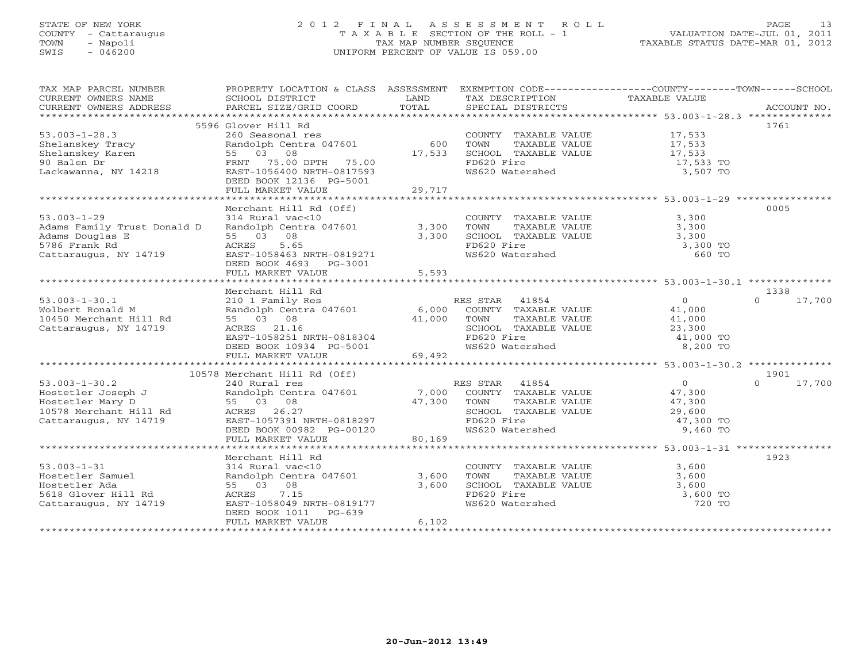#### STATE OF NEW YORK 2 0 1 2 F I N A L A S S E S S M E N T R O L L PAGE 13COUNTY - Cattaraugus T A X A B L E SECTION OF THE ROLL - 1 VALUATION DATE-JUL 01, 2011 TOWN - Napoli TAX MAP NUMBER SEQUENCE TAXABLE STATUS DATE-MAR 01, 2012 SWIS - 046200 UNIFORM PERCENT OF VALUE IS 059.00

| TAX MAP PARCEL NUMBER                                             | PROPERTY LOCATION & CLASS ASSESSMENT EXEMPTION CODE----------------COUNTY-------TOWN------SCHOOL |               |                                               |                  |                    |
|-------------------------------------------------------------------|--------------------------------------------------------------------------------------------------|---------------|-----------------------------------------------|------------------|--------------------|
| CURRENT OWNERS NAME                                               | SCHOOL DISTRICT                                                                                  | LAND          | TAX DESCRIPTION                               | TAXABLE VALUE    |                    |
| CURRENT OWNERS ADDRESS                                            | PARCEL SIZE/GRID COORD                                                                           | TOTAL         | SPECIAL DISTRICTS                             |                  | ACCOUNT NO.        |
|                                                                   |                                                                                                  |               |                                               |                  |                    |
|                                                                   | 5596 Glover Hill Rd                                                                              |               | COUNTY TAXABLE VALUE 17,533                   |                  | 1761               |
| $53.003 - 1 - 28.3$                                               | 260 Seasonal res                                                                                 |               |                                               |                  |                    |
| Shelanskey Tracy                                                  | Randolph Centra 047601<br>55 03 08                                                               | 600<br>17,533 | TOWN<br>TAXABLE VALUE<br>SCHOOL TAXABLE VALUE | 17,533<br>17,533 |                    |
| Shelanskey Karen                                                  |                                                                                                  |               |                                               |                  |                    |
| 90 Balen Dr                                                       | FRNT 75.00 DPTH 75.00                                                                            |               | FD620 Fire                                    | 17,533 TO        |                    |
| Lackawanna, NY 14218                                              | EAST-1056400 NRTH-0817593                                                                        |               | WS620 Watershed                               | 3,507 TO         |                    |
|                                                                   | DEED BOOK 12136 PG-5001                                                                          | 29,717        |                                               |                  |                    |
|                                                                   | FULL MARKET VALUE                                                                                |               |                                               |                  |                    |
|                                                                   | Merchant Hill Rd (Off)                                                                           |               |                                               |                  | 0005               |
| $53.003 - 1 - 29$                                                 | 314 Rural vac<10                                                                                 |               | COUNTY TAXABLE VALUE                          | 3,300            |                    |
| Adams Family Trust Donald D                                       | Randolph Centra 047601                                                                           | 3,300         | TOWN<br>TAXABLE VALUE                         | 3,300            |                    |
| Adams Douglas E                                                   | 55 03 08                                                                                         | 3,300         | SCHOOL TAXABLE VALUE                          | 3,300            |                    |
| 5786 Frank Rd                                                     | 5.65<br>ACRES                                                                                    |               | FD620 Fire                                    | 3,300 TO         |                    |
| Cattaraugus, NY 14719                                             | EAST-1058463 NRTH-0819271                                                                        |               | WS620 Watershed                               | 660 TO           |                    |
|                                                                   | DEED BOOK 4693 PG-3001                                                                           |               |                                               |                  |                    |
|                                                                   | FULL MARKET VALUE                                                                                | 5,593         |                                               |                  |                    |
|                                                                   |                                                                                                  |               |                                               |                  |                    |
|                                                                   | Merchant Hill Rd                                                                                 |               |                                               |                  | 1338               |
| $53.003 - 1 - 30.1$                                               | 210 1 Family Res                                                                                 |               | RES STAR 41854                                | $\overline{0}$   | 17,700<br>$\Omega$ |
| Wolbert Ronald M                                                  | $\frac{210}{210}$ 1 $\frac{210}{210}$ 1.05                                                       |               | COUNTY TAXABLE VALUE                          | 41,000           |                    |
| 10450 Merchant Hill Rd                                            | 55 03 08                                                                                         | 41,000        | TOWN<br>TAXABLE VALUE                         | 41,000           |                    |
| Cattaraugus, NY 14719                                             | ACRES 21.16                                                                                      |               | SCHOOL TAXABLE VALUE                          | 23,300           |                    |
|                                                                   | EAST-1058251 NRTH-0818304                                                                        |               | FD620 Fire                                    | 41,000 TO        |                    |
|                                                                   | DEED BOOK 10934 PG-5001                                                                          |               | WS620 Watershed                               | 8,200 TO         |                    |
|                                                                   | FULL MARKET VALUE                                                                                | 69,492        |                                               |                  |                    |
|                                                                   |                                                                                                  |               |                                               |                  |                    |
|                                                                   | 10578 Merchant Hill Rd (Off)                                                                     |               |                                               |                  | 1901               |
| $53.003 - 1 - 30.2$                                               | 240 Rural res                                                                                    |               | RES STAR 41854                                | $\overline{0}$   | $\Omega$<br>17,700 |
|                                                                   |                                                                                                  | 7,000         | COUNTY TAXABLE VALUE 47,300                   |                  |                    |
| 33.0003-1-3002<br>Hostetler Joseph J<br>Hostetler Mary D 55 03 08 |                                                                                                  | 47,300        | TOWN<br>TAXABLE VALUE                         | 47,300           |                    |
|                                                                   |                                                                                                  |               | SCHOOL TAXABLE VALUE                          | 29,600           |                    |
| 10578 Merchant Hill Rd<br>Cattaraugus, NY 14719 EAST-1057391 P    | EAST-1057391 NRTH-0818297                                                                        |               | FD620 Fire                                    | 47,300 TO        |                    |
|                                                                   | DEED BOOK 00982 PG-00120                                                                         |               | WS620 Watershed                               | 9,460 TO         |                    |
|                                                                   | FULL MARKET VALUE                                                                                | 80,169        |                                               |                  |                    |
|                                                                   |                                                                                                  |               |                                               |                  |                    |
|                                                                   | Merchant Hill Rd                                                                                 |               |                                               |                  | 1923               |
| $53.003 - 1 - 31$                                                 | 314 Rural vac<10                                                                                 |               | COUNTY TAXABLE VALUE                          | 3,600            |                    |
| Hostetler Samuel                                                  | Randolph Centra 047601                                                                           | 3,600         | TOWN<br>TAXABLE VALUE                         | 3,600            |                    |
| Hostetler Ada                                                     | 55 03 08                                                                                         | 3,600         | SCHOOL TAXABLE VALUE                          | 3,600            |                    |
| 5618 Glover Hill Rd                                               | ACRES 7.15                                                                                       |               | FD620 Fire                                    | 3,600 TO         |                    |
| Cattaraugus, NY 14719                                             | EAST-1058049 NRTH-0819177                                                                        |               | WS620 Watershed                               | 720 TO           |                    |
|                                                                   | DEED BOOK 1011<br>PG-639                                                                         |               |                                               |                  |                    |
|                                                                   | FULL MARKET VALUE                                                                                | 6,102         |                                               |                  |                    |
|                                                                   |                                                                                                  |               |                                               |                  |                    |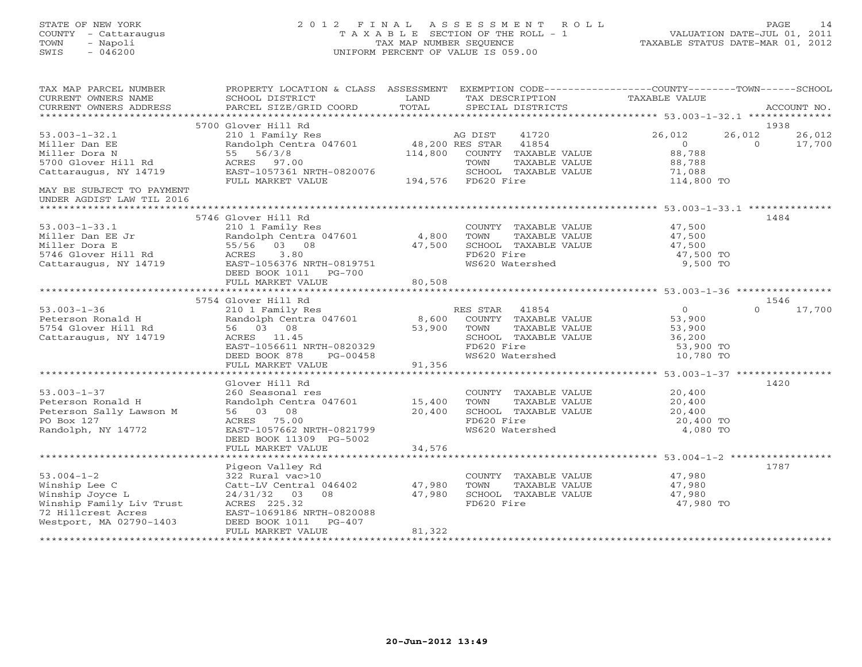# STATE OF NEW YORK 2 0 1 2 F I N A L A S S E S S M E N T R O L L PAGE 14 COUNTY - Cattaraugus T A X A B L E SECTION OF THE ROLL - 1 VALUATION DATE-JUL 01, 2011 TOWN - Napoli TAX MAP NUMBER SEQUENCE TAXABLE STATUS DATE-MAR 01, 2012 SWIS - 046200 UNIFORM PERCENT OF VALUE IS 059.00UNIFORM PERCENT OF VALUE IS 059.00

| TAX MAP PARCEL NUMBER<br>CURRENT OWNERS NAME<br>CURRENT OWNERS ADDRESS                                                            | PROPERTY LOCATION & CLASS ASSESSMENT EXEMPTION CODE----------------COUNTY-------TOWN------SCHOOL<br>SCHOOL DISTRICT<br>PARCEL SIZE/GRID COORD | LAND<br>TOTAL    | TAX DESCRIPTION TAXABLE VALUE SPECIAL DISTRICTS                                                                                        |                                                                        | ACCOUNT NO.                            |
|-----------------------------------------------------------------------------------------------------------------------------------|-----------------------------------------------------------------------------------------------------------------------------------------------|------------------|----------------------------------------------------------------------------------------------------------------------------------------|------------------------------------------------------------------------|----------------------------------------|
|                                                                                                                                   | 5700 Glover Hill Rd                                                                                                                           |                  |                                                                                                                                        |                                                                        | 1938                                   |
| $53.003 - 1 - 32.1$<br>Miller Dan EE<br>Miller Dora N                                                                             | Glover Hill Rd<br>210 1 Family Res<br>Randolph Centra 047601 18,200 RES STAR<br>55 56/3/8                                                     |                  | 41720<br>41854<br>114,800 COUNTY TAXABLE VALUE                                                                                         | 26,012<br>$\Omega$<br>88,788                                           | 26,012<br>26,012<br>$\Omega$<br>17,700 |
| 5700 Glover Hill Rd<br>Cattaraugus, NY 14719                                                                                      | ACRES 97.00<br>EAST-1057361 NRTH-0820076<br>FULL MARKET VALUE                                                                                 |                  | TAXABLE VALUE<br>TOWN<br>SCHOOL TAXABLE VALUE<br>194,576 FD620 Fire                                                                    | 88,788<br>71,088<br>114,800 TO                                         |                                        |
| MAY BE SUBJECT TO PAYMENT<br>UNDER AGDIST LAW TIL 2016                                                                            |                                                                                                                                               |                  |                                                                                                                                        |                                                                        |                                        |
|                                                                                                                                   | 5746 Glover Hill Rd                                                                                                                           |                  |                                                                                                                                        |                                                                        | 1484                                   |
| $53.003 - 1 - 33.1$<br>Miller Dan EE Jr<br>Miller Dora E<br>5746 Glover Hill Rd<br>Cattaraugus, NY 14719                          | 210 1 Family Res<br>Randolph Centra 047601 4,800<br>55/56 03 08<br>DEED BOOK 1011 PG-700                                                      | 47,500           | COUNTY TAXABLE VALUE<br>TOWN<br>TAXABLE VALUE<br>SCHOOL TAXABLE VALUE<br>FD620 Fire<br>WS620 Watershed                                 | 47,500<br>47,500<br>47,500<br>47,500 TO<br>9,500 TO                    |                                        |
|                                                                                                                                   |                                                                                                                                               |                  |                                                                                                                                        |                                                                        |                                        |
|                                                                                                                                   |                                                                                                                                               |                  |                                                                                                                                        |                                                                        |                                        |
|                                                                                                                                   | 5754 Glover Hill Rd                                                                                                                           |                  |                                                                                                                                        |                                                                        | 1546                                   |
| $53.003 - 1 - 36$<br>Peterson Ronald H<br>5754 Glover Hill Rd<br>Cattaraugus, NY 14719                                            | 210 1 Family Res<br>Randolph Centra 047601 8,600<br>56 03 08<br>ACRES 11.45<br>EAST-1056611 NRTH-0820329<br>DEED BOOK 878<br>PG-00458         | 53,900           | RES STAR 41854<br>COUNTY TAXABLE VALUE<br>TOWN<br>TAXABLE VALUE<br>SCHOOL TAXABLE VALUE<br>FD620 Fire<br>FD620 Fire<br>WS620 Watershed | $\overline{0}$<br>53,900<br>53,900<br>36,200<br>53,900 TO<br>10,780 TO | 17,700<br>$\Omega$                     |
|                                                                                                                                   | FULL MARKET VALUE                                                                                                                             | 91,356           |                                                                                                                                        |                                                                        |                                        |
| $53.003 - 1 - 37$<br>Peterson Ronald H                                                                                            | Glover Hill Rd<br>260 Seasonal res<br>Randolph Centra 047601 15,400                                                                           |                  | COUNTY TAXABLE VALUE<br>TOWN<br>TAXABLE VALUE                                                                                          | 20,400<br>20,400                                                       | 1420                                   |
| Peterson Sally Lawson M<br>PO Box 127<br>Randolph, NY 14772                                                                       | 56 03 08<br>ACRES 75.00<br>EAST-1057662 NRTH-0821799<br>DEED BOOK 11309 PG-5002<br>FULL MARKET VALUE                                          | 20,400<br>34,576 | SCHOOL TAXABLE VALUE<br>FD620 Fire<br>WS620 Watershed                                                                                  | 20,400<br>20,400 TO<br>4,080 TO                                        |                                        |
|                                                                                                                                   |                                                                                                                                               |                  |                                                                                                                                        |                                                                        |                                        |
|                                                                                                                                   | Pigeon Valley Rd                                                                                                                              |                  |                                                                                                                                        |                                                                        | 1787                                   |
| $53.004 - 1 - 2$<br>Winship Lee C<br>Winship Joyce L<br>Winship Family Liv Trust<br>72 Hillcrest Acres<br>Westport, MA 02790-1403 | 322 Rural vac>10<br>Catt-LV Central 046402 47,980<br>03 08<br>24/31/32<br>ACRES 225.32<br>EAST-1069186 NRTH-0820088<br>DEED BOOK 1011 PG-407  | 47,980           | COUNTY TAXABLE VALUE<br>TOWN<br>TAXABLE VALUE<br>SCHOOL TAXABLE VALUE<br>FD620 Fire                                                    | 47,980<br>47,980<br>47,980<br>47,980 TO                                |                                        |
|                                                                                                                                   | FULL MARKET VALUE                                                                                                                             | 81,322           |                                                                                                                                        |                                                                        |                                        |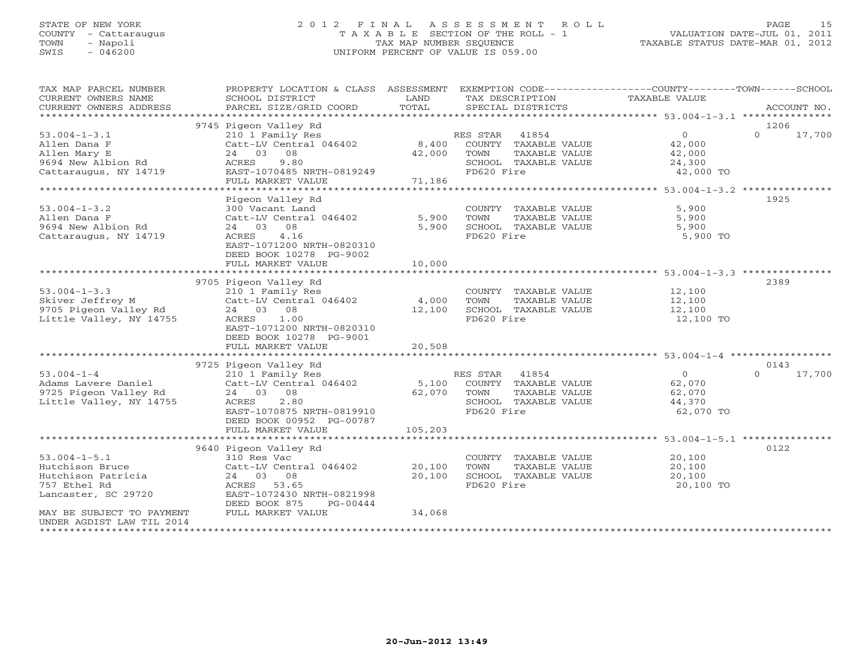# STATE OF NEW YORK 2 0 1 2 F I N A L A S S E S S M E N T R O L L PAGE 15 COUNTY - Cattaraugus T A X A B L E SECTION OF THE ROLL - 1 VALUATION DATE-JUL 01, 2011 TOWN - Napoli TAX MAP NUMBER SEQUENCE TAXABLE STATUS DATE-MAR 01, 2012 SWIS - 046200 UNIFORM PERCENT OF VALUE IS 059.00UNIFORM PERCENT OF VALUE IS 059.00

| TAX MAP PARCEL NUMBER<br>CURRENT OWNERS NAME<br>CURRENT OWNERS ADDRESS<br>*********************** | PROPERTY LOCATION & CLASS ASSESSMENT<br>SCHOOL DISTRICT<br>PARCEL SIZE/GRID COORD          | LAND<br>TOTAL | TAX DESCRIPTION<br>SPECIAL DISTRICTS                        | EXEMPTION CODE-----------------COUNTY--------TOWN------SCHOOL<br>TAXABLE VALUE | ACCOUNT NO.                |
|---------------------------------------------------------------------------------------------------|--------------------------------------------------------------------------------------------|---------------|-------------------------------------------------------------|--------------------------------------------------------------------------------|----------------------------|
|                                                                                                   |                                                                                            |               |                                                             |                                                                                |                            |
| $53.004 - 1 - 3.1$<br>Allen Dana F                                                                | 9745 Pigeon Valley Rd<br>210 1 Family Res<br>Catt-LV Central 046402                        | 8,400         | 41854<br>RES STAR<br>COUNTY TAXABLE VALUE                   | 0<br>42,000                                                                    | 1206<br>$\Omega$<br>17,700 |
| Allen Mary E<br>9694 New Albion Rd<br>Cattaraugus, NY 14719                                       | 24 03 08<br>9.80<br>ACRES<br>EAST-1070485 NRTH-0819249                                     | 42,000        | TOWN<br>TAXABLE VALUE<br>SCHOOL TAXABLE VALUE<br>FD620 Fire | 42,000<br>24,300<br>42,000 TO                                                  |                            |
|                                                                                                   | FULL MARKET VALUE                                                                          | 71,186        |                                                             |                                                                                |                            |
| ******************************                                                                    |                                                                                            |               |                                                             |                                                                                |                            |
|                                                                                                   | Pigeon Valley Rd                                                                           |               |                                                             |                                                                                | 1925                       |
| $53.004 - 1 - 3.2$                                                                                | 300 Vacant Land                                                                            |               | COUNTY TAXABLE VALUE                                        | 5,900                                                                          |                            |
| Allen Dana F                                                                                      | Catt-LV Central 046402                                                                     | 5,900         | TOWN<br>TAXABLE VALUE                                       | 5,900                                                                          |                            |
| 9694 New Albion Rd                                                                                | 24 03 08                                                                                   | 5,900         | SCHOOL TAXABLE VALUE                                        | 5,900                                                                          |                            |
| Cattaraugus, NY 14719                                                                             | 4.16<br>ACRES<br>EAST-1071200 NRTH-0820310<br>DEED BOOK 10278 PG-9002                      |               | FD620 Fire                                                  | 5,900 TO                                                                       |                            |
|                                                                                                   | FULL MARKET VALUE                                                                          | 10,000        |                                                             |                                                                                |                            |
|                                                                                                   |                                                                                            |               |                                                             |                                                                                |                            |
|                                                                                                   | 9705 Pigeon Valley Rd                                                                      |               |                                                             |                                                                                | 2389                       |
| $53.004 - 1 - 3.3$                                                                                | 210 1 Family Res                                                                           |               | COUNTY TAXABLE VALUE                                        | 12,100                                                                         |                            |
| Skiver Jeffrey M                                                                                  | Catt-LV Central 046402                                                                     | 4,000         | TAXABLE VALUE<br>TOWN                                       | 12,100                                                                         |                            |
| 9705 Pigeon Valley Rd                                                                             | 24 03 08                                                                                   | 12,100        | SCHOOL TAXABLE VALUE                                        | 12,100                                                                         |                            |
| Little Valley, NY 14755                                                                           | 1.00<br>ACRES<br>EAST-1071200 NRTH-0820310<br>DEED BOOK 10278 PG-9001<br>FULL MARKET VALUE | 20,508        | FD620 Fire                                                  | 12,100 TO                                                                      |                            |
|                                                                                                   |                                                                                            |               |                                                             |                                                                                |                            |
|                                                                                                   | 9725 Pigeon Valley Rd                                                                      |               |                                                             |                                                                                | 0143                       |
| $53.004 - 1 - 4$                                                                                  | 210 1 Family Res                                                                           |               | 41854<br>RES STAR                                           | $\circ$                                                                        | 17,700<br>$\Omega$         |
| Adams Lavere Daniel                                                                               | Catt-LV Central 046402                                                                     | 5,100         | COUNTY TAXABLE VALUE                                        | 62,070                                                                         |                            |
| 9725 Pigeon Valley Rd                                                                             | 24 03<br>08                                                                                | 62,070        | TOWN<br>TAXABLE VALUE                                       | 62,070                                                                         |                            |
| Little Valley, NY 14755                                                                           | ACRES<br>2.80                                                                              |               | SCHOOL TAXABLE VALUE                                        | 44,370                                                                         |                            |
|                                                                                                   | EAST-1070875 NRTH-0819910<br>DEED BOOK 00952 PG-00787<br>FULL MARKET VALUE                 | 105,203       | FD620 Fire                                                  | 62,070 TO                                                                      |                            |
|                                                                                                   |                                                                                            |               |                                                             |                                                                                |                            |
|                                                                                                   | 9640 Pigeon Valley Rd                                                                      |               |                                                             |                                                                                | 0122                       |
| $53.004 - 1 - 5.1$                                                                                | 310 Res Vac                                                                                |               | COUNTY TAXABLE VALUE                                        | 20,100                                                                         |                            |
| Hutchison Bruce                                                                                   | Catt-LV Central 046402                                                                     | 20,100        | TOWN<br>TAXABLE VALUE                                       | 20,100                                                                         |                            |
| Hutchison Patricia                                                                                | 24 03<br>08                                                                                | 20,100        | SCHOOL TAXABLE VALUE                                        | 20,100                                                                         |                            |
| 757 Ethel Rd                                                                                      | ACRES<br>53.65                                                                             |               | FD620 Fire                                                  | 20,100 TO                                                                      |                            |
| Lancaster, SC 29720                                                                               | EAST-1072430 NRTH-0821998<br>DEED BOOK 875<br>PG-00444                                     |               |                                                             |                                                                                |                            |
| MAY BE SUBJECT TO PAYMENT<br>UNDER AGDIST LAW TIL 2014                                            | FULL MARKET VALUE                                                                          | 34,068        |                                                             |                                                                                |                            |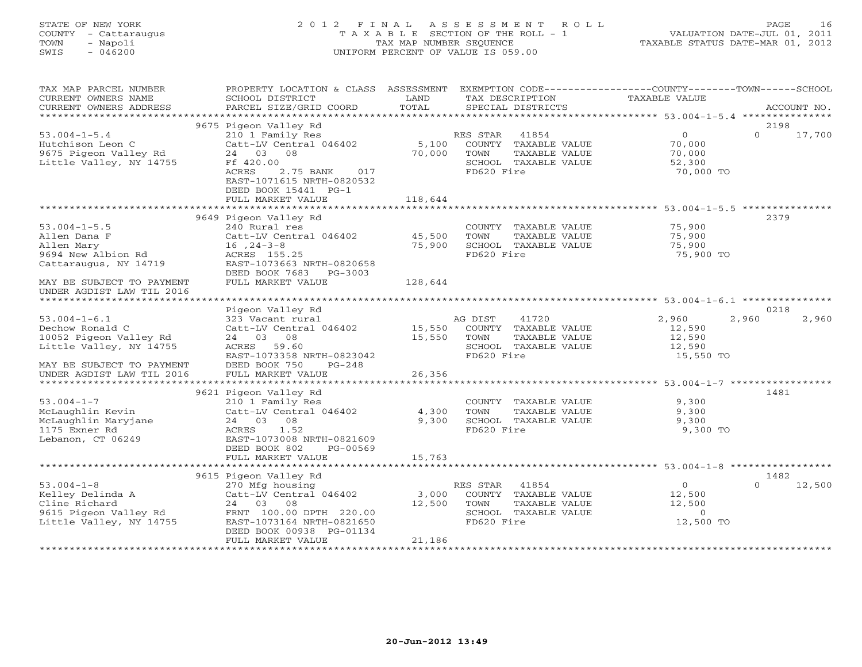# STATE OF NEW YORK 2 0 1 2 F I N A L A S S E S S M E N T R O L L PAGE 16 COUNTY - Cattaraugus T A X A B L E SECTION OF THE ROLL - 1 VALUATION DATE-JUL 01, 2011 TOWN - Napoli TAX MAP NUMBER SEQUENCE TAXABLE STATUS DATE-MAR 01, 2012 SWIS - 046200 UNIFORM PERCENT OF VALUE IS 059.00UNIFORM PERCENT OF VALUE IS 059.00

| CURRENT OWNERS NAME<br>SCHOOL DISTRICT<br>LAND<br>TAX DESCRIPTION<br>TAXABLE VALUE<br>TOTAL<br>CURRENT OWNERS ADDRESS<br>PARCEL SIZE/GRID COORD<br>SPECIAL DISTRICTS<br>ACCOUNT NO.<br>***********************<br>9675 Pigeon Valley Rd<br>2198<br>$53.004 - 1 - 5.4$<br>210 1 Family Res<br>41854<br>$\Omega$<br>$\Omega$<br>17,700<br>RES STAR<br>Hutchison Leon C<br>Catt-LV Central 046402<br>5,100<br>COUNTY TAXABLE VALUE<br>70,000<br>9675 Pigeon Valley Rd<br>24 03<br>08<br>70,000<br>TOWN<br>TAXABLE VALUE<br>70,000<br>Little Valley, NY 14755<br>Ff 420.00<br>SCHOOL TAXABLE VALUE<br>52,300<br>ACRES<br>2.75 BANK<br>017<br>FD620 Fire<br>70,000 TO<br>EAST-1071615 NRTH-0820532<br>DEED BOOK 15441 PG-1<br>FULL MARKET VALUE<br>118,644<br>******************************** 53.004-1-5.5 ***************<br>9649 Pigeon Valley Rd<br>2379<br>240 Rural res<br>$53.004 - 1 - 5.5$<br>COUNTY TAXABLE VALUE<br>75,900<br>Allen Dana F<br>Catt-LV Central 046402<br>TOWN<br>TAXABLE VALUE<br>75,900<br>45,500<br>75,900<br>SCHOOL TAXABLE VALUE<br>$16, 24-3-8$<br>75,900<br>Allen Mary<br>FD620 Fire<br>9694 New Albion Rd<br>ACRES 155.25<br>75,900 TO<br>EAST-1073663 NRTH-0820658<br>Cattaraugus, NY 14719<br>DEED BOOK 7683 PG-3003<br>FULL MARKET VALUE<br>MAY BE SUBJECT TO PAYMENT<br>128,644<br>UNDER AGDIST LAW TIL 2016<br>0218<br>Pigeon Valley Rd<br>$53.004 - 1 - 6.1$<br>323 Vacant rural<br>41720<br>2,960<br>2,960<br>2,960<br>AG DIST<br>Dechow Ronald C<br>Catt-LV Central 046402<br>15,550<br>COUNTY TAXABLE VALUE<br>12,590<br>10052 Pigeon Valley Rd<br>24 03 08<br>15,550<br>TOWN<br>TAXABLE VALUE<br>12,590<br>Little Valley, NY 14755<br>SCHOOL TAXABLE VALUE<br>ACRES 59.60<br>12,590<br>FD620 Fire<br>15,550 TO<br>EAST-1073358 NRTH-0823042<br>DEED BOOK 750<br>MAY BE SUBJECT TO PAYMENT<br>$PG-248$<br>26,356<br>FULL MARKET VALUE<br>UNDER AGDIST LAW TIL 2016<br>********************* 53.004-1-7 **********<br>******************<br>9621 Pigeon Valley Rd<br>1481<br>$53.004 - 1 - 7$<br>210 1 Family Res<br>9,300<br>COUNTY TAXABLE VALUE<br>McLaughlin Kevin<br>Catt-LV Central 046402<br>4,300<br>TOWN<br>TAXABLE VALUE<br>9,300<br>McLaughlin Maryjane<br>24 03 08<br>9,300<br>SCHOOL TAXABLE VALUE<br>9,300<br>1175 Exner Rd<br>FD620 Fire<br><b>ACRES</b><br>1.52<br>9,300 TO<br>Lebanon, CT 06249<br>EAST-1073008 NRTH-0821609<br>DEED BOOK 802<br>PG-00569<br>15,763<br>FULL MARKET VALUE<br>9615 Pigeon Valley Rd<br>1482<br>$53.004 - 1 - 8$<br>270 Mfg housing<br>RES STAR<br>41854<br>$\overline{O}$<br>12,500<br>$\Omega$<br>Kelley Delinda A<br>Catt-LV Central 046402<br>COUNTY TAXABLE VALUE<br>12,500<br>3,000<br>Cline Richard<br>24 03<br>08<br>12,500<br>TOWN<br>TAXABLE VALUE<br>12,500<br>9615 Pigeon Valley Rd<br>FRNT 100.00 DPTH 220.00<br>$\circ$<br>SCHOOL TAXABLE VALUE<br>Little Valley, NY 14755<br>FD620 Fire<br>12,500 TO<br>EAST-1073164 NRTH-0821650<br>DEED BOOK 00938 PG-01134<br>FULL MARKET VALUE<br>21,186 | TAX MAP PARCEL NUMBER | PROPERTY LOCATION & CLASS ASSESSMENT | EXEMPTION CODE-----------------COUNTY-------TOWN------SCHOOL |  |
|-----------------------------------------------------------------------------------------------------------------------------------------------------------------------------------------------------------------------------------------------------------------------------------------------------------------------------------------------------------------------------------------------------------------------------------------------------------------------------------------------------------------------------------------------------------------------------------------------------------------------------------------------------------------------------------------------------------------------------------------------------------------------------------------------------------------------------------------------------------------------------------------------------------------------------------------------------------------------------------------------------------------------------------------------------------------------------------------------------------------------------------------------------------------------------------------------------------------------------------------------------------------------------------------------------------------------------------------------------------------------------------------------------------------------------------------------------------------------------------------------------------------------------------------------------------------------------------------------------------------------------------------------------------------------------------------------------------------------------------------------------------------------------------------------------------------------------------------------------------------------------------------------------------------------------------------------------------------------------------------------------------------------------------------------------------------------------------------------------------------------------------------------------------------------------------------------------------------------------------------------------------------------------------------------------------------------------------------------------------------------------------------------------------------------------------------------------------------------------------------------------------------------------------------------------------------------------------------------------------------------------------------------------------------------------------------------------------------------------------------------------------------------------------------------------------------------------------------------------------------------------------------------------------------------------------------------------------------------------------------------|-----------------------|--------------------------------------|--------------------------------------------------------------|--|
|                                                                                                                                                                                                                                                                                                                                                                                                                                                                                                                                                                                                                                                                                                                                                                                                                                                                                                                                                                                                                                                                                                                                                                                                                                                                                                                                                                                                                                                                                                                                                                                                                                                                                                                                                                                                                                                                                                                                                                                                                                                                                                                                                                                                                                                                                                                                                                                                                                                                                                                                                                                                                                                                                                                                                                                                                                                                                                                                                                                               |                       |                                      |                                                              |  |
|                                                                                                                                                                                                                                                                                                                                                                                                                                                                                                                                                                                                                                                                                                                                                                                                                                                                                                                                                                                                                                                                                                                                                                                                                                                                                                                                                                                                                                                                                                                                                                                                                                                                                                                                                                                                                                                                                                                                                                                                                                                                                                                                                                                                                                                                                                                                                                                                                                                                                                                                                                                                                                                                                                                                                                                                                                                                                                                                                                                               |                       |                                      |                                                              |  |
|                                                                                                                                                                                                                                                                                                                                                                                                                                                                                                                                                                                                                                                                                                                                                                                                                                                                                                                                                                                                                                                                                                                                                                                                                                                                                                                                                                                                                                                                                                                                                                                                                                                                                                                                                                                                                                                                                                                                                                                                                                                                                                                                                                                                                                                                                                                                                                                                                                                                                                                                                                                                                                                                                                                                                                                                                                                                                                                                                                                               |                       |                                      |                                                              |  |
|                                                                                                                                                                                                                                                                                                                                                                                                                                                                                                                                                                                                                                                                                                                                                                                                                                                                                                                                                                                                                                                                                                                                                                                                                                                                                                                                                                                                                                                                                                                                                                                                                                                                                                                                                                                                                                                                                                                                                                                                                                                                                                                                                                                                                                                                                                                                                                                                                                                                                                                                                                                                                                                                                                                                                                                                                                                                                                                                                                                               |                       |                                      |                                                              |  |
|                                                                                                                                                                                                                                                                                                                                                                                                                                                                                                                                                                                                                                                                                                                                                                                                                                                                                                                                                                                                                                                                                                                                                                                                                                                                                                                                                                                                                                                                                                                                                                                                                                                                                                                                                                                                                                                                                                                                                                                                                                                                                                                                                                                                                                                                                                                                                                                                                                                                                                                                                                                                                                                                                                                                                                                                                                                                                                                                                                                               |                       |                                      |                                                              |  |
|                                                                                                                                                                                                                                                                                                                                                                                                                                                                                                                                                                                                                                                                                                                                                                                                                                                                                                                                                                                                                                                                                                                                                                                                                                                                                                                                                                                                                                                                                                                                                                                                                                                                                                                                                                                                                                                                                                                                                                                                                                                                                                                                                                                                                                                                                                                                                                                                                                                                                                                                                                                                                                                                                                                                                                                                                                                                                                                                                                                               |                       |                                      |                                                              |  |
|                                                                                                                                                                                                                                                                                                                                                                                                                                                                                                                                                                                                                                                                                                                                                                                                                                                                                                                                                                                                                                                                                                                                                                                                                                                                                                                                                                                                                                                                                                                                                                                                                                                                                                                                                                                                                                                                                                                                                                                                                                                                                                                                                                                                                                                                                                                                                                                                                                                                                                                                                                                                                                                                                                                                                                                                                                                                                                                                                                                               |                       |                                      |                                                              |  |
|                                                                                                                                                                                                                                                                                                                                                                                                                                                                                                                                                                                                                                                                                                                                                                                                                                                                                                                                                                                                                                                                                                                                                                                                                                                                                                                                                                                                                                                                                                                                                                                                                                                                                                                                                                                                                                                                                                                                                                                                                                                                                                                                                                                                                                                                                                                                                                                                                                                                                                                                                                                                                                                                                                                                                                                                                                                                                                                                                                                               |                       |                                      |                                                              |  |
|                                                                                                                                                                                                                                                                                                                                                                                                                                                                                                                                                                                                                                                                                                                                                                                                                                                                                                                                                                                                                                                                                                                                                                                                                                                                                                                                                                                                                                                                                                                                                                                                                                                                                                                                                                                                                                                                                                                                                                                                                                                                                                                                                                                                                                                                                                                                                                                                                                                                                                                                                                                                                                                                                                                                                                                                                                                                                                                                                                                               |                       |                                      |                                                              |  |
|                                                                                                                                                                                                                                                                                                                                                                                                                                                                                                                                                                                                                                                                                                                                                                                                                                                                                                                                                                                                                                                                                                                                                                                                                                                                                                                                                                                                                                                                                                                                                                                                                                                                                                                                                                                                                                                                                                                                                                                                                                                                                                                                                                                                                                                                                                                                                                                                                                                                                                                                                                                                                                                                                                                                                                                                                                                                                                                                                                                               |                       |                                      |                                                              |  |
|                                                                                                                                                                                                                                                                                                                                                                                                                                                                                                                                                                                                                                                                                                                                                                                                                                                                                                                                                                                                                                                                                                                                                                                                                                                                                                                                                                                                                                                                                                                                                                                                                                                                                                                                                                                                                                                                                                                                                                                                                                                                                                                                                                                                                                                                                                                                                                                                                                                                                                                                                                                                                                                                                                                                                                                                                                                                                                                                                                                               |                       |                                      |                                                              |  |
|                                                                                                                                                                                                                                                                                                                                                                                                                                                                                                                                                                                                                                                                                                                                                                                                                                                                                                                                                                                                                                                                                                                                                                                                                                                                                                                                                                                                                                                                                                                                                                                                                                                                                                                                                                                                                                                                                                                                                                                                                                                                                                                                                                                                                                                                                                                                                                                                                                                                                                                                                                                                                                                                                                                                                                                                                                                                                                                                                                                               |                       |                                      |                                                              |  |
|                                                                                                                                                                                                                                                                                                                                                                                                                                                                                                                                                                                                                                                                                                                                                                                                                                                                                                                                                                                                                                                                                                                                                                                                                                                                                                                                                                                                                                                                                                                                                                                                                                                                                                                                                                                                                                                                                                                                                                                                                                                                                                                                                                                                                                                                                                                                                                                                                                                                                                                                                                                                                                                                                                                                                                                                                                                                                                                                                                                               |                       |                                      |                                                              |  |
|                                                                                                                                                                                                                                                                                                                                                                                                                                                                                                                                                                                                                                                                                                                                                                                                                                                                                                                                                                                                                                                                                                                                                                                                                                                                                                                                                                                                                                                                                                                                                                                                                                                                                                                                                                                                                                                                                                                                                                                                                                                                                                                                                                                                                                                                                                                                                                                                                                                                                                                                                                                                                                                                                                                                                                                                                                                                                                                                                                                               |                       |                                      |                                                              |  |
|                                                                                                                                                                                                                                                                                                                                                                                                                                                                                                                                                                                                                                                                                                                                                                                                                                                                                                                                                                                                                                                                                                                                                                                                                                                                                                                                                                                                                                                                                                                                                                                                                                                                                                                                                                                                                                                                                                                                                                                                                                                                                                                                                                                                                                                                                                                                                                                                                                                                                                                                                                                                                                                                                                                                                                                                                                                                                                                                                                                               |                       |                                      |                                                              |  |
|                                                                                                                                                                                                                                                                                                                                                                                                                                                                                                                                                                                                                                                                                                                                                                                                                                                                                                                                                                                                                                                                                                                                                                                                                                                                                                                                                                                                                                                                                                                                                                                                                                                                                                                                                                                                                                                                                                                                                                                                                                                                                                                                                                                                                                                                                                                                                                                                                                                                                                                                                                                                                                                                                                                                                                                                                                                                                                                                                                                               |                       |                                      |                                                              |  |
|                                                                                                                                                                                                                                                                                                                                                                                                                                                                                                                                                                                                                                                                                                                                                                                                                                                                                                                                                                                                                                                                                                                                                                                                                                                                                                                                                                                                                                                                                                                                                                                                                                                                                                                                                                                                                                                                                                                                                                                                                                                                                                                                                                                                                                                                                                                                                                                                                                                                                                                                                                                                                                                                                                                                                                                                                                                                                                                                                                                               |                       |                                      |                                                              |  |
|                                                                                                                                                                                                                                                                                                                                                                                                                                                                                                                                                                                                                                                                                                                                                                                                                                                                                                                                                                                                                                                                                                                                                                                                                                                                                                                                                                                                                                                                                                                                                                                                                                                                                                                                                                                                                                                                                                                                                                                                                                                                                                                                                                                                                                                                                                                                                                                                                                                                                                                                                                                                                                                                                                                                                                                                                                                                                                                                                                                               |                       |                                      |                                                              |  |
|                                                                                                                                                                                                                                                                                                                                                                                                                                                                                                                                                                                                                                                                                                                                                                                                                                                                                                                                                                                                                                                                                                                                                                                                                                                                                                                                                                                                                                                                                                                                                                                                                                                                                                                                                                                                                                                                                                                                                                                                                                                                                                                                                                                                                                                                                                                                                                                                                                                                                                                                                                                                                                                                                                                                                                                                                                                                                                                                                                                               |                       |                                      |                                                              |  |
|                                                                                                                                                                                                                                                                                                                                                                                                                                                                                                                                                                                                                                                                                                                                                                                                                                                                                                                                                                                                                                                                                                                                                                                                                                                                                                                                                                                                                                                                                                                                                                                                                                                                                                                                                                                                                                                                                                                                                                                                                                                                                                                                                                                                                                                                                                                                                                                                                                                                                                                                                                                                                                                                                                                                                                                                                                                                                                                                                                                               |                       |                                      |                                                              |  |
|                                                                                                                                                                                                                                                                                                                                                                                                                                                                                                                                                                                                                                                                                                                                                                                                                                                                                                                                                                                                                                                                                                                                                                                                                                                                                                                                                                                                                                                                                                                                                                                                                                                                                                                                                                                                                                                                                                                                                                                                                                                                                                                                                                                                                                                                                                                                                                                                                                                                                                                                                                                                                                                                                                                                                                                                                                                                                                                                                                                               |                       |                                      |                                                              |  |
|                                                                                                                                                                                                                                                                                                                                                                                                                                                                                                                                                                                                                                                                                                                                                                                                                                                                                                                                                                                                                                                                                                                                                                                                                                                                                                                                                                                                                                                                                                                                                                                                                                                                                                                                                                                                                                                                                                                                                                                                                                                                                                                                                                                                                                                                                                                                                                                                                                                                                                                                                                                                                                                                                                                                                                                                                                                                                                                                                                                               |                       |                                      |                                                              |  |
|                                                                                                                                                                                                                                                                                                                                                                                                                                                                                                                                                                                                                                                                                                                                                                                                                                                                                                                                                                                                                                                                                                                                                                                                                                                                                                                                                                                                                                                                                                                                                                                                                                                                                                                                                                                                                                                                                                                                                                                                                                                                                                                                                                                                                                                                                                                                                                                                                                                                                                                                                                                                                                                                                                                                                                                                                                                                                                                                                                                               |                       |                                      |                                                              |  |
|                                                                                                                                                                                                                                                                                                                                                                                                                                                                                                                                                                                                                                                                                                                                                                                                                                                                                                                                                                                                                                                                                                                                                                                                                                                                                                                                                                                                                                                                                                                                                                                                                                                                                                                                                                                                                                                                                                                                                                                                                                                                                                                                                                                                                                                                                                                                                                                                                                                                                                                                                                                                                                                                                                                                                                                                                                                                                                                                                                                               |                       |                                      |                                                              |  |
|                                                                                                                                                                                                                                                                                                                                                                                                                                                                                                                                                                                                                                                                                                                                                                                                                                                                                                                                                                                                                                                                                                                                                                                                                                                                                                                                                                                                                                                                                                                                                                                                                                                                                                                                                                                                                                                                                                                                                                                                                                                                                                                                                                                                                                                                                                                                                                                                                                                                                                                                                                                                                                                                                                                                                                                                                                                                                                                                                                                               |                       |                                      |                                                              |  |
|                                                                                                                                                                                                                                                                                                                                                                                                                                                                                                                                                                                                                                                                                                                                                                                                                                                                                                                                                                                                                                                                                                                                                                                                                                                                                                                                                                                                                                                                                                                                                                                                                                                                                                                                                                                                                                                                                                                                                                                                                                                                                                                                                                                                                                                                                                                                                                                                                                                                                                                                                                                                                                                                                                                                                                                                                                                                                                                                                                                               |                       |                                      |                                                              |  |
|                                                                                                                                                                                                                                                                                                                                                                                                                                                                                                                                                                                                                                                                                                                                                                                                                                                                                                                                                                                                                                                                                                                                                                                                                                                                                                                                                                                                                                                                                                                                                                                                                                                                                                                                                                                                                                                                                                                                                                                                                                                                                                                                                                                                                                                                                                                                                                                                                                                                                                                                                                                                                                                                                                                                                                                                                                                                                                                                                                                               |                       |                                      |                                                              |  |
|                                                                                                                                                                                                                                                                                                                                                                                                                                                                                                                                                                                                                                                                                                                                                                                                                                                                                                                                                                                                                                                                                                                                                                                                                                                                                                                                                                                                                                                                                                                                                                                                                                                                                                                                                                                                                                                                                                                                                                                                                                                                                                                                                                                                                                                                                                                                                                                                                                                                                                                                                                                                                                                                                                                                                                                                                                                                                                                                                                                               |                       |                                      |                                                              |  |
|                                                                                                                                                                                                                                                                                                                                                                                                                                                                                                                                                                                                                                                                                                                                                                                                                                                                                                                                                                                                                                                                                                                                                                                                                                                                                                                                                                                                                                                                                                                                                                                                                                                                                                                                                                                                                                                                                                                                                                                                                                                                                                                                                                                                                                                                                                                                                                                                                                                                                                                                                                                                                                                                                                                                                                                                                                                                                                                                                                                               |                       |                                      |                                                              |  |
|                                                                                                                                                                                                                                                                                                                                                                                                                                                                                                                                                                                                                                                                                                                                                                                                                                                                                                                                                                                                                                                                                                                                                                                                                                                                                                                                                                                                                                                                                                                                                                                                                                                                                                                                                                                                                                                                                                                                                                                                                                                                                                                                                                                                                                                                                                                                                                                                                                                                                                                                                                                                                                                                                                                                                                                                                                                                                                                                                                                               |                       |                                      |                                                              |  |
|                                                                                                                                                                                                                                                                                                                                                                                                                                                                                                                                                                                                                                                                                                                                                                                                                                                                                                                                                                                                                                                                                                                                                                                                                                                                                                                                                                                                                                                                                                                                                                                                                                                                                                                                                                                                                                                                                                                                                                                                                                                                                                                                                                                                                                                                                                                                                                                                                                                                                                                                                                                                                                                                                                                                                                                                                                                                                                                                                                                               |                       |                                      |                                                              |  |
|                                                                                                                                                                                                                                                                                                                                                                                                                                                                                                                                                                                                                                                                                                                                                                                                                                                                                                                                                                                                                                                                                                                                                                                                                                                                                                                                                                                                                                                                                                                                                                                                                                                                                                                                                                                                                                                                                                                                                                                                                                                                                                                                                                                                                                                                                                                                                                                                                                                                                                                                                                                                                                                                                                                                                                                                                                                                                                                                                                                               |                       |                                      |                                                              |  |
|                                                                                                                                                                                                                                                                                                                                                                                                                                                                                                                                                                                                                                                                                                                                                                                                                                                                                                                                                                                                                                                                                                                                                                                                                                                                                                                                                                                                                                                                                                                                                                                                                                                                                                                                                                                                                                                                                                                                                                                                                                                                                                                                                                                                                                                                                                                                                                                                                                                                                                                                                                                                                                                                                                                                                                                                                                                                                                                                                                                               |                       |                                      |                                                              |  |
|                                                                                                                                                                                                                                                                                                                                                                                                                                                                                                                                                                                                                                                                                                                                                                                                                                                                                                                                                                                                                                                                                                                                                                                                                                                                                                                                                                                                                                                                                                                                                                                                                                                                                                                                                                                                                                                                                                                                                                                                                                                                                                                                                                                                                                                                                                                                                                                                                                                                                                                                                                                                                                                                                                                                                                                                                                                                                                                                                                                               |                       |                                      |                                                              |  |
|                                                                                                                                                                                                                                                                                                                                                                                                                                                                                                                                                                                                                                                                                                                                                                                                                                                                                                                                                                                                                                                                                                                                                                                                                                                                                                                                                                                                                                                                                                                                                                                                                                                                                                                                                                                                                                                                                                                                                                                                                                                                                                                                                                                                                                                                                                                                                                                                                                                                                                                                                                                                                                                                                                                                                                                                                                                                                                                                                                                               |                       |                                      |                                                              |  |
|                                                                                                                                                                                                                                                                                                                                                                                                                                                                                                                                                                                                                                                                                                                                                                                                                                                                                                                                                                                                                                                                                                                                                                                                                                                                                                                                                                                                                                                                                                                                                                                                                                                                                                                                                                                                                                                                                                                                                                                                                                                                                                                                                                                                                                                                                                                                                                                                                                                                                                                                                                                                                                                                                                                                                                                                                                                                                                                                                                                               |                       |                                      |                                                              |  |
|                                                                                                                                                                                                                                                                                                                                                                                                                                                                                                                                                                                                                                                                                                                                                                                                                                                                                                                                                                                                                                                                                                                                                                                                                                                                                                                                                                                                                                                                                                                                                                                                                                                                                                                                                                                                                                                                                                                                                                                                                                                                                                                                                                                                                                                                                                                                                                                                                                                                                                                                                                                                                                                                                                                                                                                                                                                                                                                                                                                               |                       |                                      |                                                              |  |
|                                                                                                                                                                                                                                                                                                                                                                                                                                                                                                                                                                                                                                                                                                                                                                                                                                                                                                                                                                                                                                                                                                                                                                                                                                                                                                                                                                                                                                                                                                                                                                                                                                                                                                                                                                                                                                                                                                                                                                                                                                                                                                                                                                                                                                                                                                                                                                                                                                                                                                                                                                                                                                                                                                                                                                                                                                                                                                                                                                                               |                       |                                      |                                                              |  |
|                                                                                                                                                                                                                                                                                                                                                                                                                                                                                                                                                                                                                                                                                                                                                                                                                                                                                                                                                                                                                                                                                                                                                                                                                                                                                                                                                                                                                                                                                                                                                                                                                                                                                                                                                                                                                                                                                                                                                                                                                                                                                                                                                                                                                                                                                                                                                                                                                                                                                                                                                                                                                                                                                                                                                                                                                                                                                                                                                                                               |                       |                                      |                                                              |  |
|                                                                                                                                                                                                                                                                                                                                                                                                                                                                                                                                                                                                                                                                                                                                                                                                                                                                                                                                                                                                                                                                                                                                                                                                                                                                                                                                                                                                                                                                                                                                                                                                                                                                                                                                                                                                                                                                                                                                                                                                                                                                                                                                                                                                                                                                                                                                                                                                                                                                                                                                                                                                                                                                                                                                                                                                                                                                                                                                                                                               |                       |                                      |                                                              |  |
|                                                                                                                                                                                                                                                                                                                                                                                                                                                                                                                                                                                                                                                                                                                                                                                                                                                                                                                                                                                                                                                                                                                                                                                                                                                                                                                                                                                                                                                                                                                                                                                                                                                                                                                                                                                                                                                                                                                                                                                                                                                                                                                                                                                                                                                                                                                                                                                                                                                                                                                                                                                                                                                                                                                                                                                                                                                                                                                                                                                               |                       |                                      |                                                              |  |
|                                                                                                                                                                                                                                                                                                                                                                                                                                                                                                                                                                                                                                                                                                                                                                                                                                                                                                                                                                                                                                                                                                                                                                                                                                                                                                                                                                                                                                                                                                                                                                                                                                                                                                                                                                                                                                                                                                                                                                                                                                                                                                                                                                                                                                                                                                                                                                                                                                                                                                                                                                                                                                                                                                                                                                                                                                                                                                                                                                                               |                       |                                      |                                                              |  |
|                                                                                                                                                                                                                                                                                                                                                                                                                                                                                                                                                                                                                                                                                                                                                                                                                                                                                                                                                                                                                                                                                                                                                                                                                                                                                                                                                                                                                                                                                                                                                                                                                                                                                                                                                                                                                                                                                                                                                                                                                                                                                                                                                                                                                                                                                                                                                                                                                                                                                                                                                                                                                                                                                                                                                                                                                                                                                                                                                                                               |                       |                                      |                                                              |  |
|                                                                                                                                                                                                                                                                                                                                                                                                                                                                                                                                                                                                                                                                                                                                                                                                                                                                                                                                                                                                                                                                                                                                                                                                                                                                                                                                                                                                                                                                                                                                                                                                                                                                                                                                                                                                                                                                                                                                                                                                                                                                                                                                                                                                                                                                                                                                                                                                                                                                                                                                                                                                                                                                                                                                                                                                                                                                                                                                                                                               |                       |                                      |                                                              |  |
|                                                                                                                                                                                                                                                                                                                                                                                                                                                                                                                                                                                                                                                                                                                                                                                                                                                                                                                                                                                                                                                                                                                                                                                                                                                                                                                                                                                                                                                                                                                                                                                                                                                                                                                                                                                                                                                                                                                                                                                                                                                                                                                                                                                                                                                                                                                                                                                                                                                                                                                                                                                                                                                                                                                                                                                                                                                                                                                                                                                               |                       |                                      |                                                              |  |
|                                                                                                                                                                                                                                                                                                                                                                                                                                                                                                                                                                                                                                                                                                                                                                                                                                                                                                                                                                                                                                                                                                                                                                                                                                                                                                                                                                                                                                                                                                                                                                                                                                                                                                                                                                                                                                                                                                                                                                                                                                                                                                                                                                                                                                                                                                                                                                                                                                                                                                                                                                                                                                                                                                                                                                                                                                                                                                                                                                                               |                       |                                      |                                                              |  |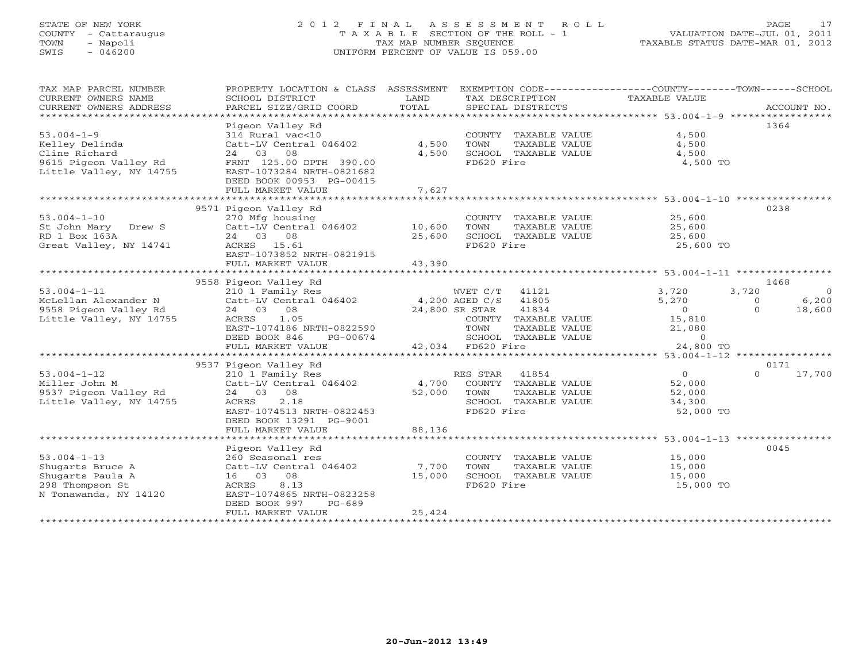# STATE OF NEW YORK 2 0 1 2 F I N A L A S S E S S M E N T R O L L PAGE 17 COUNTY - Cattaraugus T A X A B L E SECTION OF THE ROLL - 1 VALUATION DATE-JUL 01, 2011 TOWN - Napoli TAX MAP NUMBER SEQUENCE TAXABLE STATUS DATE-MAR 01, 2012 SWIS - 046200 UNIFORM PERCENT OF VALUE IS 059.00UNIFORM PERCENT OF VALUE IS 059.00

| TAX MAP PARCEL NUMBER<br>CURRENT OWNERS NAME<br>CURRENT OWNERS ADDRESS<br>***********************       | PROPERTY LOCATION & CLASS ASSESSMENT<br>SCHOOL DISTRICT<br>PARCEL SIZE/GRID COORD                                                                                                   | LAND<br>TOTAL              | EXEMPTION CODE-----------------COUNTY-------TOWN------SCHOOL<br>TAX DESCRIPTION<br>SPECIAL DISTRICTS                                                                  | TAXABLE VALUE                                                                                                     | ACCOUNT NO.                                                 |
|---------------------------------------------------------------------------------------------------------|-------------------------------------------------------------------------------------------------------------------------------------------------------------------------------------|----------------------------|-----------------------------------------------------------------------------------------------------------------------------------------------------------------------|-------------------------------------------------------------------------------------------------------------------|-------------------------------------------------------------|
| $53.004 - 1 - 9$<br>Kelley Delinda<br>Cline Richard<br>9615 Pigeon Valley Rd<br>Little Valley, NY 14755 | Pigeon Valley Rd<br>314 Rural vac<10<br>Catt-LV Central 046402<br>24 03 08<br>FRNT 125.00 DPTH 390.00<br>EAST-1073284 NRTH-0821682<br>DEED BOOK 00953 PG-00415<br>FULL MARKET VALUE | 4,500<br>4,500<br>7,627    | COUNTY TAXABLE VALUE<br>TOWN<br>TAXABLE VALUE<br>SCHOOL TAXABLE VALUE<br>FD620 Fire                                                                                   | 4,500<br>4,500<br>4,500<br>4,500 TO                                                                               | 1364                                                        |
|                                                                                                         | 9571 Pigeon Valley Rd                                                                                                                                                               |                            |                                                                                                                                                                       |                                                                                                                   | 0238                                                        |
| $53.004 - 1 - 10$<br>St John Mary Drew S<br>RD 1 Box 163A<br>Great Valley, NY 14741                     | 270 Mfg housing<br>Catt-LV Central 046402<br>24 03 08<br>ACRES 15.61<br>EAST-1073852 NRTH-0821915<br>FULL MARKET VALUE                                                              | 10,600<br>25,600<br>43,390 | COUNTY TAXABLE VALUE<br>TOWN<br>TAXABLE VALUE<br>SCHOOL TAXABLE VALUE<br>FD620 Fire                                                                                   | 25,600<br>25,600<br>25,600<br>25,600 TO                                                                           |                                                             |
|                                                                                                         | 9558 Pigeon Valley Rd                                                                                                                                                               |                            |                                                                                                                                                                       |                                                                                                                   | 1468                                                        |
| $53.004 - 1 - 11$<br>McLellan Alexander N<br>9558 Pigeon Valley Rd<br>Little Valley, NY 14755           | 210 1 Family Res<br>Catt-LV Central 046402<br>24 03<br>08<br>1.05<br>ACRES<br>EAST-1074186 NRTH-0822590<br>DEED BOOK 846<br>PG-00674<br>FULL MARKET VALUE                           |                            | WVET C/T<br>41121<br>41805<br>4,200 AGED C/S<br>24,800 SR STAR<br>41834<br>COUNTY TAXABLE VALUE<br>TOWN<br>TAXABLE VALUE<br>SCHOOL TAXABLE VALUE<br>42,034 FD620 Fire | 3,720<br>5,270<br>$\overline{0}$<br>15,810<br>21,080<br>$\circ$<br>24,800 TO                                      | 3,720<br>$\Omega$<br>6,200<br>$\circ$<br>$\Omega$<br>18,600 |
|                                                                                                         | 9537 Pigeon Valley Rd                                                                                                                                                               |                            |                                                                                                                                                                       |                                                                                                                   | 0171                                                        |
| $53.004 - 1 - 12$<br>Miller John M<br>9537 Pigeon Valley Rd<br>Little Valley, NY 14755                  | 210 1 Family Res<br>Catt-LV Central 046402<br>08<br>24 03<br>2.18<br>ACRES<br>EAST-1074513 NRTH-0822453<br>DEED BOOK 13291 PG-9001<br>FULL MARKET VALUE                             | 4,700<br>52,000<br>88,136  | 41854<br>RES STAR<br>COUNTY TAXABLE VALUE<br>TOWN<br>TAXABLE VALUE<br>SCHOOL TAXABLE VALUE<br>FD620 Fire                                                              | $\overline{0}$<br>52,000<br>52,000<br>34,300<br>52,000 TO<br>********************** 53.004-1-13 ***************** | $\Omega$<br>17,700                                          |
|                                                                                                         | Pigeon Valley Rd                                                                                                                                                                    |                            |                                                                                                                                                                       |                                                                                                                   | 0045                                                        |
| $53.004 - 1 - 13$<br>Shugarts Bruce A<br>Shugarts Paula A<br>298 Thompson St<br>N Tonawanda, NY 14120   | 260 Seasonal res<br>Catt-LV Central 046402<br>16 03<br>08<br>ACRES<br>8.13<br>EAST-1074865 NRTH-0823258<br>DEED BOOK 997<br>$PG-689$<br>FULL MARKET VALUE                           | 7,700<br>15,000<br>25,424  | COUNTY TAXABLE VALUE<br>TOWN<br>TAXABLE VALUE<br>SCHOOL TAXABLE VALUE<br>FD620 Fire                                                                                   | 15,000<br>15,000<br>15,000<br>15,000 TO                                                                           |                                                             |
|                                                                                                         |                                                                                                                                                                                     |                            |                                                                                                                                                                       |                                                                                                                   |                                                             |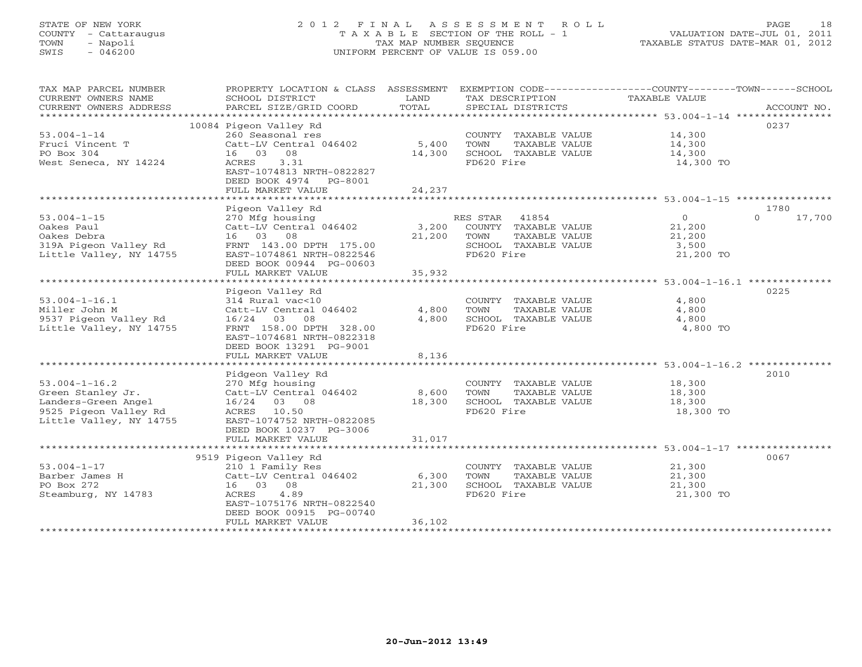# STATE OF NEW YORK 2 0 1 2 F I N A L A S S E S S M E N T R O L L PAGE 18 COUNTY - Cattaraugus T A X A B L E SECTION OF THE ROLL - 1 VALUATION DATE-JUL 01, 2011 TOWN - Napoli TAX MAP NUMBER SEQUENCE TAXABLE STATUS DATE-MAR 01, 2012 SWIS - 046200 UNIFORM PERCENT OF VALUE IS 059.00UNIFORM PERCENT OF VALUE IS 059.00

| TAX MAP PARCEL NUMBER<br>CURRENT OWNERS NAME<br>CURRENT OWNERS ADDRESS                                              | SCHOOL DISTRICT<br>PARCEL SIZE/GRID COORD                                                                                                                                     | LAND<br>TOTAL             | TAX DESCRIPTION<br>SPECIAL DISTRICTS                                                                  | PROPERTY LOCATION & CLASS ASSESSMENT EXEMPTION CODE----------------COUNTY-------TOWN------SCHOOL<br>TAXABLE VALUE<br>ACCOUNT NO. |  |
|---------------------------------------------------------------------------------------------------------------------|-------------------------------------------------------------------------------------------------------------------------------------------------------------------------------|---------------------------|-------------------------------------------------------------------------------------------------------|----------------------------------------------------------------------------------------------------------------------------------|--|
| $53.004 - 1 - 14$<br>Fruci Vincent T<br>PO Box 304<br>West Seneca, NY 14224                                         | 10084 Pigeon Valley Rd<br>260 Seasonal res<br>Catt-LV Central 046402<br>16 03 08<br>3.31<br>ACRES<br>EAST-1074813 NRTH-0822827<br>DEED BOOK 4974 PG-8001<br>FULL MARKET VALUE | 5,400<br>14,300<br>24,237 | COUNTY TAXABLE VALUE<br>TOWN<br>TAXABLE VALUE<br>SCHOOL TAXABLE VALUE<br>FD620 Fire                   | 0237<br>14,300<br>14,300<br>14,300<br>14,300 TO                                                                                  |  |
|                                                                                                                     |                                                                                                                                                                               |                           |                                                                                                       |                                                                                                                                  |  |
| $53.004 - 1 - 15$<br>Oakes Paul<br>Oakes Debra<br>319A Pigeon Valley Rd<br>Little Valley, NY 14755                  | Pigeon Valley Rd<br>270 Mfg housing<br>Catt-LV Central 046402<br>16 03 08<br>FRNT 143.00 DPTH 175.00<br>EAST-1074861 NRTH-0822546<br>DEED BOOK 00944 PG-00603                 | 3,200<br>21,200           | RES STAR 41854<br>COUNTY TAXABLE VALUE<br>TOWN<br>TAXABLE VALUE<br>SCHOOL TAXABLE VALUE<br>FD620 Fire | 1780<br>$\overline{0}$<br>$\Omega$<br>17,700<br>21,200<br>21,200<br>3,500<br>21,200 TO                                           |  |
|                                                                                                                     | FULL MARKET VALUE                                                                                                                                                             | 35,932                    |                                                                                                       |                                                                                                                                  |  |
| $53.004 - 1 - 16.1$<br>Miller John M<br>9537 Pigeon Valley Rd<br>Little Valley, NY 14755                            | Pigeon Valley Rd<br>314 Rural vac<10<br>Catt-LV Central 046402<br>$16/24$ 03<br>08<br>FRNT 158.00 DPTH 328.00<br>EAST-1074681 NRTH-0822318<br>DEED BOOK 13291 PG-9001         | 4,800<br>4,800            | COUNTY TAXABLE VALUE<br>TOWN<br>TAXABLE VALUE<br>SCHOOL TAXABLE VALUE<br>FD620 Fire                   | 0225<br>4,800<br>4,800<br>4,800<br>4,800 TO                                                                                      |  |
|                                                                                                                     | FULL MARKET VALUE                                                                                                                                                             | 8,136                     |                                                                                                       |                                                                                                                                  |  |
| $53.004 - 1 - 16.2$<br>Green Stanley Jr.<br>Landers-Green Angel<br>9525 Pigeon Valley Rd<br>Little Valley, NY 14755 | Pidgeon Valley Rd<br>270 Mfg housing<br>Catt-LV Central 046402<br>16/24 03 08<br>ACRES 10.50<br>EAST-1074752 NRTH-0822085<br>DEED BOOK 10237 PG-3006<br>FULL MARKET VALUE     | 8,600<br>18,300<br>31,017 | COUNTY TAXABLE VALUE<br>TOWN<br>TAXABLE VALUE<br>SCHOOL TAXABLE VALUE<br>FD620 Fire                   | 2010<br>18,300<br>18,300<br>18,300<br>18,300 TO                                                                                  |  |
|                                                                                                                     | 9519 Pigeon Valley Rd                                                                                                                                                         |                           |                                                                                                       | 0067                                                                                                                             |  |
| $53.004 - 1 - 17$<br>Barber James H<br>PO Box 272<br>Steamburg, NY 14783                                            | 210 1 Family Res<br>Catt-LV Central 046402<br>16 03 08<br>4.89<br>ACRES<br>EAST-1075176 NRTH-0822540<br>DEED BOOK 00915 PG-00740<br>FULL MARKET VALUE                         | 6,300<br>21,300<br>36,102 | COUNTY TAXABLE VALUE<br>TOWN<br>TAXABLE VALUE<br>SCHOOL TAXABLE VALUE<br>FD620 Fire                   | 21,300<br>21,300<br>21,300<br>21,300 TO                                                                                          |  |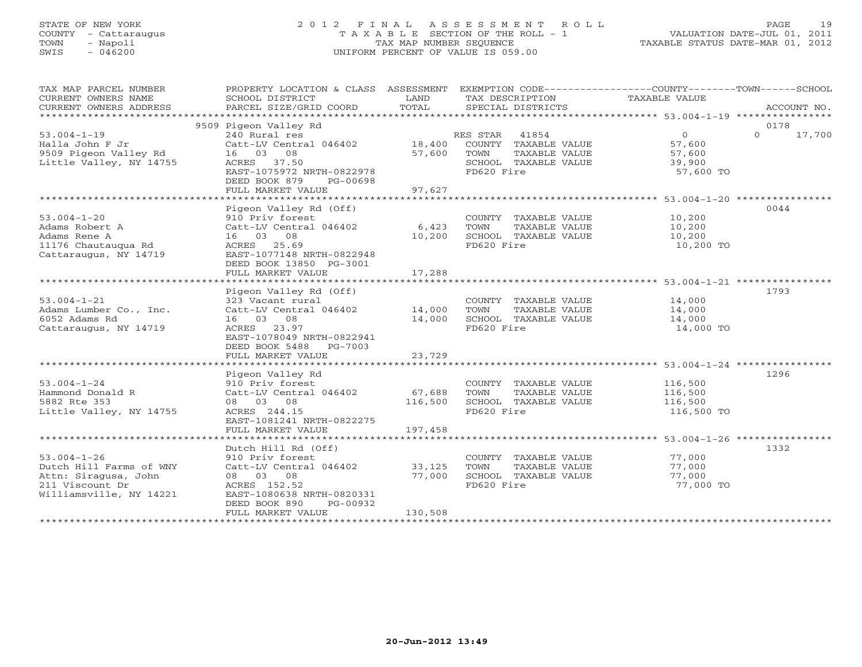# STATE OF NEW YORK 2 0 1 2 F I N A L A S S E S S M E N T R O L L PAGE 19 COUNTY - Cattaraugus T A X A B L E SECTION OF THE ROLL - 1 VALUATION DATE-JUL 01, 2011 TOWN - Napoli TAX MAP NUMBER SEQUENCE TAXABLE STATUS DATE-MAR 01, 2012 SWIS - 046200 UNIFORM PERCENT OF VALUE IS 059.00UNIFORM PERCENT OF VALUE IS 059.00

| TAX MAP PARCEL NUMBER                                                                                              | PROPERTY LOCATION & CLASS ASSESSMENT EXEMPTION CODE----------------COUNTY-------TOWN------SCHOOL                                                                                   |                           |                                                                                                       |                                                           |             |        |
|--------------------------------------------------------------------------------------------------------------------|------------------------------------------------------------------------------------------------------------------------------------------------------------------------------------|---------------------------|-------------------------------------------------------------------------------------------------------|-----------------------------------------------------------|-------------|--------|
| CURRENT OWNERS NAME                                                                                                | SCHOOL DISTRICT                                                                                                                                                                    | LAND                      | TAX DESCRIPTION                                                                                       | TAXABLE VALUE                                             |             |        |
| CURRENT OWNERS ADDRESS                                                                                             | PARCEL SIZE/GRID COORD                                                                                                                                                             | TOTAL                     | SPECIAL DISTRICTS                                                                                     |                                                           | ACCOUNT NO. |        |
|                                                                                                                    | 9509 Pigeon Valley Rd                                                                                                                                                              |                           |                                                                                                       |                                                           | 0178        |        |
| $53.004 - 1 - 19$<br>Halla John F Jr<br>9509 Pigeon Valley Rd<br>Little Valley, NY 14755                           | 240 Rural res<br>Catt-LV Central 046402 18,400<br>16 03 08<br>ACRES 37.50<br>EAST-1075972 NRTH-0822978<br>DEED BOOK 879<br>PG-00698<br>FULL MARKET VALUE                           | 57,600<br>97,627          | RES STAR 41854<br>COUNTY TAXABLE VALUE<br>TOWN<br>TAXABLE VALUE<br>SCHOOL TAXABLE VALUE<br>FD620 Fire | $\overline{0}$<br>57,600<br>57,600<br>39,900<br>57,600 TO | $\Omega$    | 17,700 |
|                                                                                                                    |                                                                                                                                                                                    |                           |                                                                                                       |                                                           |             |        |
| $53.004 - 1 - 20$<br>Adams Robert A<br>Adams Rene A<br>11176 Chautaugua Rd<br>Cattaraugus, NY 14719                | Pigeon Valley Rd (Off)<br>910 Priv forest<br>Catt-LV Central 046402<br>16 03 08<br>ACRES 25.69<br>EAST-1077148 NRTH-0822948<br>DEED BOOK 13850 PG-3001<br>FULL MARKET VALUE        | 6,423<br>10,200<br>17,288 | COUNTY TAXABLE VALUE<br>TOWN<br>TAXABLE VALUE<br>SCHOOL TAXABLE VALUE<br>FD620 Fire                   | 10,200<br>10,200<br>10,200<br>10,200 TO                   | 0044        |        |
|                                                                                                                    |                                                                                                                                                                                    |                           |                                                                                                       |                                                           |             |        |
| $53.004 - 1 - 21$<br>Adams Lumber Co., Inc.<br>6052 Adams Rd<br>Cattaraugus, NY 14719                              | Pigeon Valley Rd (Off)<br>323 Vacant rural<br>Catt-LV Central 046402 14,000<br>16 03 08<br>ACRES 23.97<br>EAST-1078049 NRTH-0822941<br>DEED BOOK 5488 PG-7003<br>FULL MARKET VALUE | 14,000<br>23,729          | COUNTY TAXABLE VALUE<br>TOWN<br>TAXABLE VALUE<br>SCHOOL TAXABLE VALUE<br>FD620 Fire                   | 14,000<br>14,000<br>14,000<br>14,000 TO                   | 1793        |        |
|                                                                                                                    |                                                                                                                                                                                    |                           |                                                                                                       |                                                           |             |        |
| $53.004 - 1 - 24$<br>Hammond Donald R<br>5882 Rte 353<br>Little Valley, NY 14755                                   | Pigeon Valley Rd<br>910 Priv forest<br>Catt-LV Central 046402<br>08 03 08<br>ACRES 244.15<br>EAST-1081241 NRTH-0822275                                                             | 67,688<br>116,500         | COUNTY TAXABLE VALUE<br>TAXABLE VALUE<br>TOWN<br>SCHOOL TAXABLE VALUE<br>FD620 Fire                   | 116,500<br>116,500<br>116,500<br>116,500 TO               | 1296        |        |
|                                                                                                                    | FULL MARKET VALUE                                                                                                                                                                  | 197,458                   |                                                                                                       |                                                           |             |        |
| $53.004 - 1 - 26$<br>Dutch Hill Farms of WNY<br>Attn: Siragusa, John<br>211 Viscount Dr<br>Williamsville, NY 14221 | Dutch Hill Rd (Off)<br>910 Priv forest<br>Catt-LV Central 046402<br>08 03 08<br>ACRES 152.52<br>EAST-1080638 NRTH-0820331<br>DEED BOOK 890<br>PG-00932                             | 33,125<br>77,000          | COUNTY TAXABLE VALUE<br>TOWN<br>TAXABLE VALUE<br>SCHOOL TAXABLE VALUE<br>FD620 Fire                   | 77,000<br>77,000<br>77,000<br>77,000 TO                   | 1332        |        |
|                                                                                                                    | FULL MARKET VALUE                                                                                                                                                                  | 130,508                   |                                                                                                       |                                                           |             |        |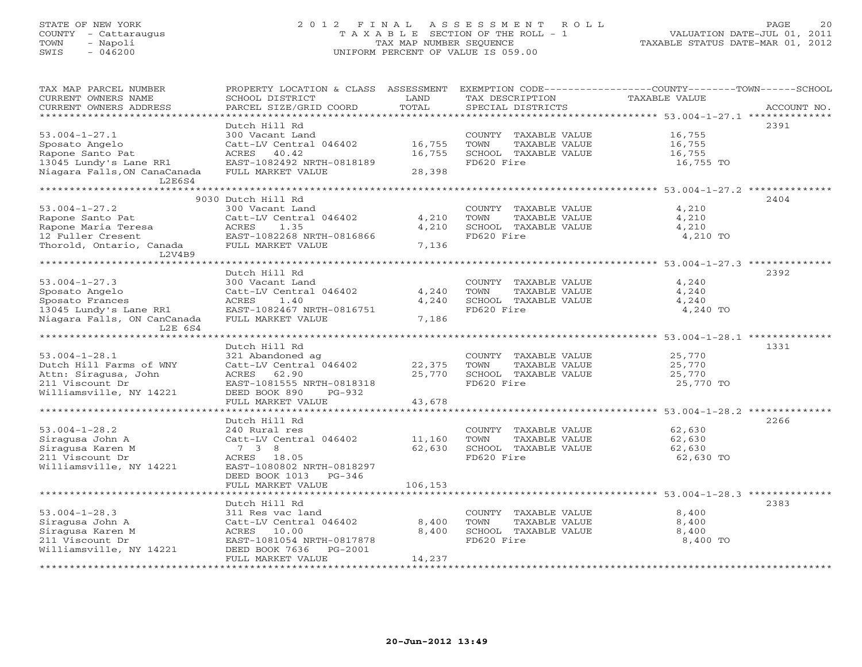## STATE OF NEW YORK 2 0 1 2 F I N A L A S S E S S M E N T R O L L PAGE 20 COUNTY - Cattaraugus T A X A B L E SECTION OF THE ROLL - 1 VALUATION DATE-JUL 01, 2011 TOWN - Napoli TAX MAP NUMBER SEQUENCE TAXABLE STATUS DATE-MAR 01, 2012 SWIS - 046200 UNIFORM PERCENT OF VALUE IS 059.00UNIFORM PERCENT OF VALUE IS 059.00

| TAX MAP PARCEL NUMBER<br>CURRENT OWNERS NAME | PROPERTY LOCATION & CLASS ASSESSMENT<br>SCHOOL DISTRICT | LAND    | TAX DESCRIPTION       | EXEMPTION CODE-----------------COUNTY-------TOWN------SCHOOL<br>TAXABLE VALUE |
|----------------------------------------------|---------------------------------------------------------|---------|-----------------------|-------------------------------------------------------------------------------|
| CURRENT OWNERS ADDRESS                       | PARCEL SIZE/GRID COORD                                  | TOTAL   | SPECIAL DISTRICTS     | ACCOUNT NO.                                                                   |
| **********************                       |                                                         |         |                       |                                                                               |
|                                              | Dutch Hill Rd                                           |         |                       | 2391                                                                          |
| $53.004 - 1 - 27.1$                          | 300 Vacant Land                                         |         | COUNTY TAXABLE VALUE  | 16,755                                                                        |
| Sposato Angelo                               | Catt-LV Central 046402                                  | 16,755  | TOWN<br>TAXABLE VALUE | 16,755                                                                        |
| Rapone Santo Pat                             | ACRES 40.42                                             | 16,755  | SCHOOL TAXABLE VALUE  | 16,755                                                                        |
| 13045 Lundy's Lane RR1                       | EAST-1082492 NRTH-0818189                               |         | FD620 Fire            | 16,755 TO                                                                     |
| Niagara Falls, ON CanaCanada                 | FULL MARKET VALUE                                       | 28,398  |                       |                                                                               |
| L2E6S4                                       |                                                         |         |                       |                                                                               |
|                                              |                                                         |         |                       |                                                                               |
|                                              | 9030 Dutch Hill Rd                                      |         |                       | 2404                                                                          |
| $53.004 - 1 - 27.2$                          | 300 Vacant Land                                         |         | COUNTY TAXABLE VALUE  | 4,210                                                                         |
| Rapone Santo Pat                             | Catt-LV Central 046402                                  | 4,210   | TOWN<br>TAXABLE VALUE | 4,210                                                                         |
| Rapone Maria Teresa                          | ACRES<br>1.35                                           | 4,210   | SCHOOL TAXABLE VALUE  | 4,210                                                                         |
| 12 Fuller Cresent                            | EAST-1082268 NRTH-0816866                               |         | FD620 Fire            | 4,210 TO                                                                      |
| Thorold, Ontario, Canada                     | FULL MARKET VALUE                                       | 7,136   |                       |                                                                               |
| L2V4B9                                       |                                                         |         |                       |                                                                               |
|                                              | Dutch Hill Rd                                           |         |                       | 2392                                                                          |
| $53.004 - 1 - 27.3$                          | 300 Vacant Land                                         |         | COUNTY TAXABLE VALUE  | 4,240                                                                         |
| Sposato Angelo                               | Catt-LV Central 046402                                  | 4,240   | TOWN<br>TAXABLE VALUE | 4,240                                                                         |
| Sposato Frances                              | 1.40<br>ACRES                                           | 4,240   | SCHOOL TAXABLE VALUE  | 4,240                                                                         |
| 13045 Lundy's Lane RR1                       | EAST-1082467 NRTH-0816751                               |         | FD620 Fire            | 4,240 TO                                                                      |
| Niagara Falls, ON CanCanada                  | FULL MARKET VALUE                                       | 7,186   |                       |                                                                               |
| L2E 6S4                                      |                                                         |         |                       |                                                                               |
|                                              |                                                         |         |                       |                                                                               |
|                                              |                                                         |         |                       |                                                                               |
|                                              | Dutch Hill Rd                                           |         |                       | 1331                                                                          |
| $53.004 - 1 - 28.1$                          |                                                         |         | COUNTY TAXABLE VALUE  | 25,770                                                                        |
| Dutch Hill Farms of WNY                      | 321 Abandoned ag<br>Catt-LV Central 046402              | 22,375  | TOWN<br>TAXABLE VALUE | 25,770                                                                        |
| Attn: Siragusa, John                         | ACRES 62.90                                             | 25,770  | SCHOOL TAXABLE VALUE  | 25,770                                                                        |
| 211 Viscount Dr                              | EAST-1081555 NRTH-0818318                               |         | FD620 Fire            | 25,770 TO                                                                     |
| Williamsville, NY 14221                      | DEED BOOK 890<br>PG-932                                 |         |                       |                                                                               |
|                                              | FULL MARKET VALUE                                       | 43,678  |                       |                                                                               |
|                                              |                                                         |         |                       |                                                                               |
|                                              | Dutch Hill Rd                                           |         |                       | 2266                                                                          |
| $53.004 - 1 - 28.2$                          | 240 Rural res                                           |         | COUNTY TAXABLE VALUE  | 62,630                                                                        |
| Siragusa John A                              | Catt-LV Central 046402                                  | 11,160  | TOWN<br>TAXABLE VALUE | 62,630                                                                        |
| Siragusa Karen M                             | 7 3 8                                                   | 62,630  | SCHOOL TAXABLE VALUE  | 62,630                                                                        |
| 211 Viscount Dr                              | ACRES 18.05                                             |         | FD620 Fire            | 62,630 TO                                                                     |
| Williamsville, NY 14221                      | EAST-1080802 NRTH-0818297                               |         |                       |                                                                               |
|                                              | DEED BOOK 1013<br>$PG-346$                              |         |                       |                                                                               |
|                                              | FULL MARKET VALUE                                       | 106,153 |                       |                                                                               |
|                                              |                                                         |         |                       |                                                                               |
|                                              | Dutch Hill Rd                                           |         |                       | 2383                                                                          |
| $53.004 - 1 - 28.3$                          | 311 Res vac land                                        |         | COUNTY TAXABLE VALUE  | 8,400                                                                         |
| Siragusa John A                              | Catt-LV Central 046402                                  | 8,400   | TOWN<br>TAXABLE VALUE | 8,400                                                                         |
| Siragusa Karen M                             | ACRES 10.00                                             | 8,400   | SCHOOL TAXABLE VALUE  | 8,400                                                                         |
| 211 Viscount Dr                              | EAST-1081054 NRTH-0817878                               |         | FD620 Fire            | 8,400 TO                                                                      |
| Williamsville, NY 14221                      | DEED BOOK 7636<br>PG-2001<br>FULL MARKET VALUE          | 14,237  |                       |                                                                               |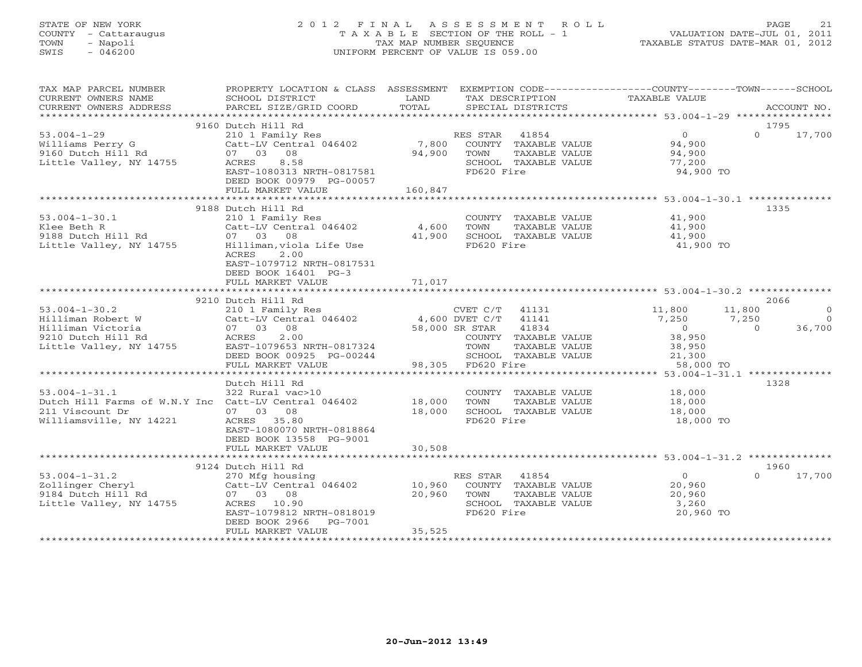# STATE OF NEW YORK 2 0 1 2 F I N A L A S S E S S M E N T R O L L PAGE 21 COUNTY - Cattaraugus T A X A B L E SECTION OF THE ROLL - 1 VALUATION DATE-JUL 01, 2011 TOWN - Napoli TAX MAP NUMBER SEQUENCE TAXABLE STATUS DATE-MAR 01, 2012 SWIS - 046200 UNIFORM PERCENT OF VALUE IS 059.00UNIFORM PERCENT OF VALUE IS 059.00

| TAX MAP PARCEL NUMBER                                | PROPERTY LOCATION & CLASS ASSESSMENT EXEMPTION CODE----------------COUNTY-------TOWN------SCHOOL |                |                             |                |          |             |
|------------------------------------------------------|--------------------------------------------------------------------------------------------------|----------------|-----------------------------|----------------|----------|-------------|
| CURRENT OWNERS NAME                                  | SCHOOL DISTRICT                                                                                  | LAND           | TAX DESCRIPTION             | TAXABLE VALUE  |          |             |
| CURRENT OWNERS ADDRESS                               | PARCEL SIZE/GRID COORD                                                                           | TOTAL          | SPECIAL DISTRICTS           |                |          | ACCOUNT NO. |
| *************************                            |                                                                                                  |                |                             |                |          |             |
|                                                      | 9160 Dutch Hill Rd                                                                               |                |                             |                | 1795     |             |
| $53.004 - 1 - 29$                                    | 210 1 Family Res                                                                                 |                | RES STAR<br>41854           | $\overline{0}$ | $\Omega$ | 17,700      |
| Williams Perry G                                     | Catt-LV Central 046402                                                                           |                | 7,800 COUNTY TAXABLE VALUE  | 94,900         |          |             |
| 9160 Dutch Hill Rd                                   | 08<br>07 03                                                                                      | 94,900         | TOWN<br>TAXABLE VALUE       | 94,900         |          |             |
| Little Valley, NY 14755                              | 8.58<br>ACRES                                                                                    |                | SCHOOL TAXABLE VALUE        | 77,200         |          |             |
|                                                      | EAST-1080313 NRTH-0817581                                                                        |                | FD620 Fire                  | 94,900 TO      |          |             |
|                                                      | DEED BOOK 00979 PG-00057                                                                         |                |                             |                |          |             |
|                                                      | FULL MARKET VALUE                                                                                | 160,847        |                             |                |          |             |
|                                                      | 9188 Dutch Hill Rd                                                                               |                |                             |                | 1335     |             |
| $53.004 - 1 - 30.1$                                  | 210 1 Family Res                                                                                 |                | COUNTY TAXABLE VALUE        | 41,900         |          |             |
| Klee Beth R                                          | Catt-LV Central 046402                                                                           | 4,600          | TAXABLE VALUE<br>TOWN       | 41,900         |          |             |
| 9188 Dutch Hill Rd                                   | 07 03 08                                                                                         | 41,900         | SCHOOL TAXABLE VALUE        | 41,900         |          |             |
| Little Valley, NY 14755                              | Hilliman,viola Life Use                                                                          |                | FD620 Fire                  | 41,900 TO      |          |             |
|                                                      | ACRES<br>2.00                                                                                    |                |                             |                |          |             |
|                                                      | EAST-1079712 NRTH-0817531                                                                        |                |                             |                |          |             |
|                                                      | DEED BOOK 16401 PG-3                                                                             |                |                             |                |          |             |
|                                                      | FULL MARKET VALUE                                                                                | 71,017         |                             |                |          |             |
|                                                      |                                                                                                  |                |                             |                |          |             |
|                                                      | 9210 Dutch Hill Rd                                                                               |                |                             |                | 2066     |             |
| $53.004 - 1 - 30.2$                                  | 210 1 Family Res                                                                                 |                | CVET C/T 41131              | 11,800         | 11,800   | $\circ$     |
| Hilliman Robert W                                    | $Cat-LV$ Central 046402 $4,600$ DVET C/T                                                         |                | 41141                       | 7,250          | 7,250    | $\Omega$    |
| Hilliman Victoria                                    | 07 03 08                                                                                         | 58,000 SR STAR | 41834                       | $\overline{0}$ | $\Omega$ | 36,700      |
| 9210 Dutch Hill Rd                                   | 2.00<br>ACRES                                                                                    |                | COUNTY TAXABLE VALUE        | 38,950         |          |             |
| Little Valley, NY 14755                              | EAST-1079653 NRTH-0817324                                                                        |                | TAXABLE VALUE<br>TOWN       | 38,950         |          |             |
|                                                      | DEED BOOK 00925 PG-00244                                                                         |                | SCHOOL TAXABLE VALUE        | 21,300         |          |             |
|                                                      | FULL MARKET VALUE                                                                                |                | 98,305 FD620 Fire           | 58,000 TO      |          |             |
|                                                      | **************************                                                                       |                |                             |                |          |             |
|                                                      | Dutch Hill Rd                                                                                    |                |                             |                | 1328     |             |
| $53.004 - 1 - 31.1$                                  | 322 Rural vac>10                                                                                 |                | COUNTY TAXABLE VALUE 18,000 |                |          |             |
| Dutch Hill Farms of W.N.Y Inc Catt-LV Central 046402 |                                                                                                  | 18,000         | TOWN<br>TAXABLE VALUE       | 18,000         |          |             |
| 211 Viscount Dr                                      | 07 03 08                                                                                         | 18,000         | SCHOOL TAXABLE VALUE        | 18,000         |          |             |
| Williamsville, NY 14221                              | ACRES 35.80                                                                                      |                | FD620 Fire                  | 18,000 TO      |          |             |
|                                                      | EAST-1080070 NRTH-0818864                                                                        |                |                             |                |          |             |
|                                                      | DEED BOOK 13558 PG-9001                                                                          |                |                             |                |          |             |
|                                                      | FULL MARKET VALUE                                                                                | 30,508         |                             |                |          |             |
|                                                      |                                                                                                  |                |                             |                |          |             |
|                                                      | 9124 Dutch Hill Rd                                                                               |                |                             |                | 1960     |             |
| $53.004 - 1 - 31.2$                                  | 270 Mfg housing                                                                                  |                | RES STAR 41854              | $\overline{0}$ | $\Omega$ | 17,700      |
| Zollinger Cheryl                                     | Catt-LV Central 046402                                                                           | 10,960         | COUNTY TAXABLE VALUE        | 20,960         |          |             |
| 9184 Dutch Hill Rd                                   | 07 03 08                                                                                         | 20,960         | TOWN<br>TAXABLE VALUE       | 20,960         |          |             |
| Little Valley, NY 14755                              | ACRES 10.90                                                                                      |                | SCHOOL TAXABLE VALUE        | 3,260          |          |             |
|                                                      | EAST-1079812 NRTH-0818019                                                                        |                | FD620 Fire                  | 20,960 TO      |          |             |
|                                                      | DEED BOOK 2966<br>PG-7001                                                                        |                |                             |                |          |             |
|                                                      | FULL MARKET VALUE                                                                                | 35,525         |                             |                |          |             |
| ***********************                              |                                                                                                  |                |                             |                |          |             |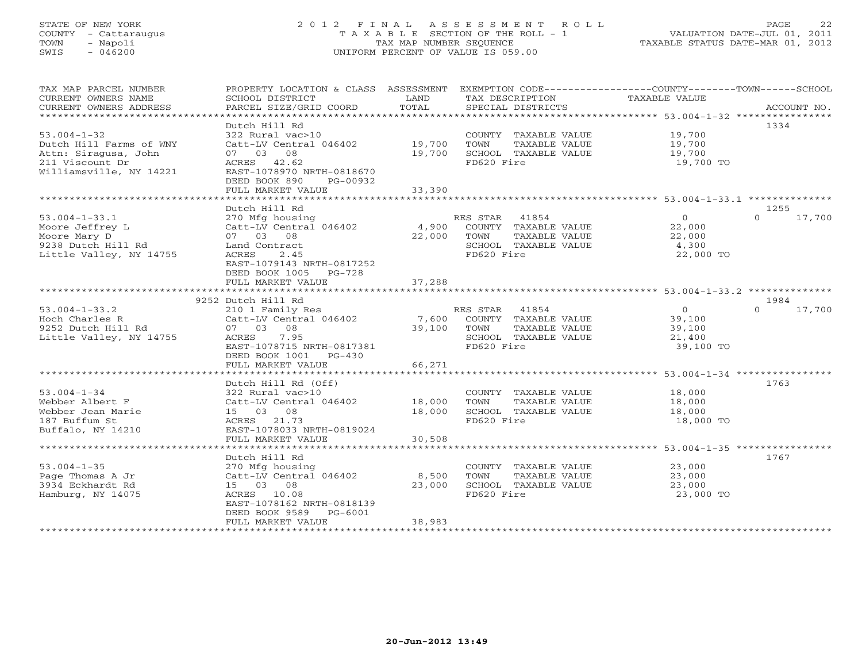# STATE OF NEW YORK 2 0 1 2 F I N A L A S S E S S M E N T R O L L PAGE 22 COUNTY - Cattaraugus T A X A B L E SECTION OF THE ROLL - 1 VALUATION DATE-JUL 01, 2011 TOWN - Napoli TAX MAP NUMBER SEQUENCE TAXABLE STATUS DATE-MAR 01, 2012 SWIS - 046200 UNIFORM PERCENT OF VALUE IS 059.00UNIFORM PERCENT OF VALUE IS 059.00

| CURRENT OWNERS NAME<br>SCHOOL DISTRICT<br>LAND<br>TAX DESCRIPTION<br>TAXABLE VALUE<br>TOTAL<br>CURRENT OWNERS ADDRESS<br>PARCEL SIZE/GRID COORD<br>SPECIAL DISTRICTS<br>ACCOUNT NO.<br>***********************<br>Dutch Hill Rd<br>1334<br>19,700<br>$53.004 - 1 - 32$<br>322 Rural vac>10<br>COUNTY TAXABLE VALUE<br>Catt-LV Central 046402 19,700<br>Dutch Hill Farms of WNY<br>TOWN<br>TAXABLE VALUE<br>19,700<br>Attn: Siragusa, John<br>07 03 08<br>19,700<br>SCHOOL TAXABLE VALUE<br>19,700<br>FD620 Fire<br>211 Viscount Dr<br>ACRES 42.62<br>19,700 TO<br>Williamsville, NY 14221<br>EAST-1078970 NRTH-0818670<br>DEED BOOK 890<br>PG-00932<br>FULL MARKET VALUE<br>33,390<br>Dutch Hill Rd<br>1255<br>$53.004 - 1 - 33.1$<br>$\Omega$<br>17,700<br>270 Mfg housing<br>RES STAR 41854<br>$\Omega$<br>22,000<br>4,900 COUNTY TAXABLE VALUE<br>Catt-LV Central 046402<br>Moore Jeffrey L<br>Moore Mary D <sup>1</sup><br>9238 Dutch Hill Rd<br>07 03 08<br>22,000<br>TOWN<br>TAXABLE VALUE<br>22,000<br>Land Contract<br>SCHOOL TAXABLE VALUE<br>4,300<br>Little Valley, NY 14755<br>FD620 Fire<br>22,000 TO<br>ACRES<br>2.45<br>EAST-1079143 NRTH-0817252<br>DEED BOOK 1005 PG-728<br>37,288<br>FULL MARKET VALUE<br>9252 Dutch Hill Rd<br>1984<br>$\overline{O}$<br>$0 \t 17,700$<br>$53.004 - 1 - 33.2$<br>210 1 Family Res<br>RES STAR 41854<br>Hoch Charles R<br>Catt-LV Central 046402<br>39,100<br>39,100<br>9252 Dutch Hill Rd<br>07 03 08<br>39,100 TOWN<br>TAXABLE VALUE<br>Little Valley, NY 14755<br>ACRES 7.95<br>SCHOOL TAXABLE VALUE<br>21,400<br>EAST-1078715 NRTH-0817381<br>FD620 Fire<br>39,100 TO<br>DEED BOOK 1001 PG-430<br>66,271<br>FULL MARKET VALUE<br>Dutch Hill Rd (Off)<br>1763<br>$53.004 - 1 - 34$<br>COUNTY TAXABLE VALUE<br>18,000<br>322 Rural vac>10<br>Catt-LV Central 046402 18,000<br>TAXABLE VALUE<br>Webber Albert F<br>TOWN<br>18,000<br>18,000<br>SCHOOL TAXABLE VALUE<br>18,000<br>Webber Jean Marie<br>15 03 08<br>ACRES 21.73<br>FD620 Fire<br>187 Buffum St<br>18,000 TO<br>EAST-1078033 NRTH-0819024<br>Buffalo, NY 14210<br>FULL MARKET VALUE<br>30,508<br>Dutch Hill Rd<br>1767<br>COUNTY TAXABLE VALUE<br>$53.004 - 1 - 35$<br>23,000<br>270 Mfg housing<br>Catt-LV Central 046402<br>8,500<br>Page Thomas A Jr<br>TOWN<br>TAXABLE VALUE<br>23,000<br>3934 Eckhardt Rd<br>15 03 08<br>23,000<br>SCHOOL TAXABLE VALUE<br>23,000<br>Hamburg, NY 14075<br>FD620 Fire<br>23,000 TO<br>ACRES 10.08<br>EAST-1078162 NRTH-0818139<br>DEED BOOK 9589 PG-6001<br>38,983<br>FULL MARKET VALUE | TAX MAP PARCEL NUMBER |  | PROPERTY LOCATION & CLASS ASSESSMENT EXEMPTION CODE---------------COUNTY-------TOWN------SCHOOL |  |
|---------------------------------------------------------------------------------------------------------------------------------------------------------------------------------------------------------------------------------------------------------------------------------------------------------------------------------------------------------------------------------------------------------------------------------------------------------------------------------------------------------------------------------------------------------------------------------------------------------------------------------------------------------------------------------------------------------------------------------------------------------------------------------------------------------------------------------------------------------------------------------------------------------------------------------------------------------------------------------------------------------------------------------------------------------------------------------------------------------------------------------------------------------------------------------------------------------------------------------------------------------------------------------------------------------------------------------------------------------------------------------------------------------------------------------------------------------------------------------------------------------------------------------------------------------------------------------------------------------------------------------------------------------------------------------------------------------------------------------------------------------------------------------------------------------------------------------------------------------------------------------------------------------------------------------------------------------------------------------------------------------------------------------------------------------------------------------------------------------------------------------------------------------------------------------------------------------------------------------------------------------------------------------------------------------------------------------------------------------------------------------------------------------------------------------------------------------------------------------------------------------------------------------------------|-----------------------|--|-------------------------------------------------------------------------------------------------|--|
|                                                                                                                                                                                                                                                                                                                                                                                                                                                                                                                                                                                                                                                                                                                                                                                                                                                                                                                                                                                                                                                                                                                                                                                                                                                                                                                                                                                                                                                                                                                                                                                                                                                                                                                                                                                                                                                                                                                                                                                                                                                                                                                                                                                                                                                                                                                                                                                                                                                                                                                                             |                       |  |                                                                                                 |  |
|                                                                                                                                                                                                                                                                                                                                                                                                                                                                                                                                                                                                                                                                                                                                                                                                                                                                                                                                                                                                                                                                                                                                                                                                                                                                                                                                                                                                                                                                                                                                                                                                                                                                                                                                                                                                                                                                                                                                                                                                                                                                                                                                                                                                                                                                                                                                                                                                                                                                                                                                             |                       |  |                                                                                                 |  |
|                                                                                                                                                                                                                                                                                                                                                                                                                                                                                                                                                                                                                                                                                                                                                                                                                                                                                                                                                                                                                                                                                                                                                                                                                                                                                                                                                                                                                                                                                                                                                                                                                                                                                                                                                                                                                                                                                                                                                                                                                                                                                                                                                                                                                                                                                                                                                                                                                                                                                                                                             |                       |  |                                                                                                 |  |
|                                                                                                                                                                                                                                                                                                                                                                                                                                                                                                                                                                                                                                                                                                                                                                                                                                                                                                                                                                                                                                                                                                                                                                                                                                                                                                                                                                                                                                                                                                                                                                                                                                                                                                                                                                                                                                                                                                                                                                                                                                                                                                                                                                                                                                                                                                                                                                                                                                                                                                                                             |                       |  |                                                                                                 |  |
|                                                                                                                                                                                                                                                                                                                                                                                                                                                                                                                                                                                                                                                                                                                                                                                                                                                                                                                                                                                                                                                                                                                                                                                                                                                                                                                                                                                                                                                                                                                                                                                                                                                                                                                                                                                                                                                                                                                                                                                                                                                                                                                                                                                                                                                                                                                                                                                                                                                                                                                                             |                       |  |                                                                                                 |  |
|                                                                                                                                                                                                                                                                                                                                                                                                                                                                                                                                                                                                                                                                                                                                                                                                                                                                                                                                                                                                                                                                                                                                                                                                                                                                                                                                                                                                                                                                                                                                                                                                                                                                                                                                                                                                                                                                                                                                                                                                                                                                                                                                                                                                                                                                                                                                                                                                                                                                                                                                             |                       |  |                                                                                                 |  |
|                                                                                                                                                                                                                                                                                                                                                                                                                                                                                                                                                                                                                                                                                                                                                                                                                                                                                                                                                                                                                                                                                                                                                                                                                                                                                                                                                                                                                                                                                                                                                                                                                                                                                                                                                                                                                                                                                                                                                                                                                                                                                                                                                                                                                                                                                                                                                                                                                                                                                                                                             |                       |  |                                                                                                 |  |
|                                                                                                                                                                                                                                                                                                                                                                                                                                                                                                                                                                                                                                                                                                                                                                                                                                                                                                                                                                                                                                                                                                                                                                                                                                                                                                                                                                                                                                                                                                                                                                                                                                                                                                                                                                                                                                                                                                                                                                                                                                                                                                                                                                                                                                                                                                                                                                                                                                                                                                                                             |                       |  |                                                                                                 |  |
|                                                                                                                                                                                                                                                                                                                                                                                                                                                                                                                                                                                                                                                                                                                                                                                                                                                                                                                                                                                                                                                                                                                                                                                                                                                                                                                                                                                                                                                                                                                                                                                                                                                                                                                                                                                                                                                                                                                                                                                                                                                                                                                                                                                                                                                                                                                                                                                                                                                                                                                                             |                       |  |                                                                                                 |  |
|                                                                                                                                                                                                                                                                                                                                                                                                                                                                                                                                                                                                                                                                                                                                                                                                                                                                                                                                                                                                                                                                                                                                                                                                                                                                                                                                                                                                                                                                                                                                                                                                                                                                                                                                                                                                                                                                                                                                                                                                                                                                                                                                                                                                                                                                                                                                                                                                                                                                                                                                             |                       |  |                                                                                                 |  |
|                                                                                                                                                                                                                                                                                                                                                                                                                                                                                                                                                                                                                                                                                                                                                                                                                                                                                                                                                                                                                                                                                                                                                                                                                                                                                                                                                                                                                                                                                                                                                                                                                                                                                                                                                                                                                                                                                                                                                                                                                                                                                                                                                                                                                                                                                                                                                                                                                                                                                                                                             |                       |  |                                                                                                 |  |
|                                                                                                                                                                                                                                                                                                                                                                                                                                                                                                                                                                                                                                                                                                                                                                                                                                                                                                                                                                                                                                                                                                                                                                                                                                                                                                                                                                                                                                                                                                                                                                                                                                                                                                                                                                                                                                                                                                                                                                                                                                                                                                                                                                                                                                                                                                                                                                                                                                                                                                                                             |                       |  |                                                                                                 |  |
|                                                                                                                                                                                                                                                                                                                                                                                                                                                                                                                                                                                                                                                                                                                                                                                                                                                                                                                                                                                                                                                                                                                                                                                                                                                                                                                                                                                                                                                                                                                                                                                                                                                                                                                                                                                                                                                                                                                                                                                                                                                                                                                                                                                                                                                                                                                                                                                                                                                                                                                                             |                       |  |                                                                                                 |  |
|                                                                                                                                                                                                                                                                                                                                                                                                                                                                                                                                                                                                                                                                                                                                                                                                                                                                                                                                                                                                                                                                                                                                                                                                                                                                                                                                                                                                                                                                                                                                                                                                                                                                                                                                                                                                                                                                                                                                                                                                                                                                                                                                                                                                                                                                                                                                                                                                                                                                                                                                             |                       |  |                                                                                                 |  |
|                                                                                                                                                                                                                                                                                                                                                                                                                                                                                                                                                                                                                                                                                                                                                                                                                                                                                                                                                                                                                                                                                                                                                                                                                                                                                                                                                                                                                                                                                                                                                                                                                                                                                                                                                                                                                                                                                                                                                                                                                                                                                                                                                                                                                                                                                                                                                                                                                                                                                                                                             |                       |  |                                                                                                 |  |
|                                                                                                                                                                                                                                                                                                                                                                                                                                                                                                                                                                                                                                                                                                                                                                                                                                                                                                                                                                                                                                                                                                                                                                                                                                                                                                                                                                                                                                                                                                                                                                                                                                                                                                                                                                                                                                                                                                                                                                                                                                                                                                                                                                                                                                                                                                                                                                                                                                                                                                                                             |                       |  |                                                                                                 |  |
|                                                                                                                                                                                                                                                                                                                                                                                                                                                                                                                                                                                                                                                                                                                                                                                                                                                                                                                                                                                                                                                                                                                                                                                                                                                                                                                                                                                                                                                                                                                                                                                                                                                                                                                                                                                                                                                                                                                                                                                                                                                                                                                                                                                                                                                                                                                                                                                                                                                                                                                                             |                       |  |                                                                                                 |  |
|                                                                                                                                                                                                                                                                                                                                                                                                                                                                                                                                                                                                                                                                                                                                                                                                                                                                                                                                                                                                                                                                                                                                                                                                                                                                                                                                                                                                                                                                                                                                                                                                                                                                                                                                                                                                                                                                                                                                                                                                                                                                                                                                                                                                                                                                                                                                                                                                                                                                                                                                             |                       |  |                                                                                                 |  |
|                                                                                                                                                                                                                                                                                                                                                                                                                                                                                                                                                                                                                                                                                                                                                                                                                                                                                                                                                                                                                                                                                                                                                                                                                                                                                                                                                                                                                                                                                                                                                                                                                                                                                                                                                                                                                                                                                                                                                                                                                                                                                                                                                                                                                                                                                                                                                                                                                                                                                                                                             |                       |  |                                                                                                 |  |
|                                                                                                                                                                                                                                                                                                                                                                                                                                                                                                                                                                                                                                                                                                                                                                                                                                                                                                                                                                                                                                                                                                                                                                                                                                                                                                                                                                                                                                                                                                                                                                                                                                                                                                                                                                                                                                                                                                                                                                                                                                                                                                                                                                                                                                                                                                                                                                                                                                                                                                                                             |                       |  |                                                                                                 |  |
|                                                                                                                                                                                                                                                                                                                                                                                                                                                                                                                                                                                                                                                                                                                                                                                                                                                                                                                                                                                                                                                                                                                                                                                                                                                                                                                                                                                                                                                                                                                                                                                                                                                                                                                                                                                                                                                                                                                                                                                                                                                                                                                                                                                                                                                                                                                                                                                                                                                                                                                                             |                       |  |                                                                                                 |  |
|                                                                                                                                                                                                                                                                                                                                                                                                                                                                                                                                                                                                                                                                                                                                                                                                                                                                                                                                                                                                                                                                                                                                                                                                                                                                                                                                                                                                                                                                                                                                                                                                                                                                                                                                                                                                                                                                                                                                                                                                                                                                                                                                                                                                                                                                                                                                                                                                                                                                                                                                             |                       |  |                                                                                                 |  |
|                                                                                                                                                                                                                                                                                                                                                                                                                                                                                                                                                                                                                                                                                                                                                                                                                                                                                                                                                                                                                                                                                                                                                                                                                                                                                                                                                                                                                                                                                                                                                                                                                                                                                                                                                                                                                                                                                                                                                                                                                                                                                                                                                                                                                                                                                                                                                                                                                                                                                                                                             |                       |  |                                                                                                 |  |
|                                                                                                                                                                                                                                                                                                                                                                                                                                                                                                                                                                                                                                                                                                                                                                                                                                                                                                                                                                                                                                                                                                                                                                                                                                                                                                                                                                                                                                                                                                                                                                                                                                                                                                                                                                                                                                                                                                                                                                                                                                                                                                                                                                                                                                                                                                                                                                                                                                                                                                                                             |                       |  |                                                                                                 |  |
|                                                                                                                                                                                                                                                                                                                                                                                                                                                                                                                                                                                                                                                                                                                                                                                                                                                                                                                                                                                                                                                                                                                                                                                                                                                                                                                                                                                                                                                                                                                                                                                                                                                                                                                                                                                                                                                                                                                                                                                                                                                                                                                                                                                                                                                                                                                                                                                                                                                                                                                                             |                       |  |                                                                                                 |  |
|                                                                                                                                                                                                                                                                                                                                                                                                                                                                                                                                                                                                                                                                                                                                                                                                                                                                                                                                                                                                                                                                                                                                                                                                                                                                                                                                                                                                                                                                                                                                                                                                                                                                                                                                                                                                                                                                                                                                                                                                                                                                                                                                                                                                                                                                                                                                                                                                                                                                                                                                             |                       |  |                                                                                                 |  |
|                                                                                                                                                                                                                                                                                                                                                                                                                                                                                                                                                                                                                                                                                                                                                                                                                                                                                                                                                                                                                                                                                                                                                                                                                                                                                                                                                                                                                                                                                                                                                                                                                                                                                                                                                                                                                                                                                                                                                                                                                                                                                                                                                                                                                                                                                                                                                                                                                                                                                                                                             |                       |  |                                                                                                 |  |
|                                                                                                                                                                                                                                                                                                                                                                                                                                                                                                                                                                                                                                                                                                                                                                                                                                                                                                                                                                                                                                                                                                                                                                                                                                                                                                                                                                                                                                                                                                                                                                                                                                                                                                                                                                                                                                                                                                                                                                                                                                                                                                                                                                                                                                                                                                                                                                                                                                                                                                                                             |                       |  |                                                                                                 |  |
|                                                                                                                                                                                                                                                                                                                                                                                                                                                                                                                                                                                                                                                                                                                                                                                                                                                                                                                                                                                                                                                                                                                                                                                                                                                                                                                                                                                                                                                                                                                                                                                                                                                                                                                                                                                                                                                                                                                                                                                                                                                                                                                                                                                                                                                                                                                                                                                                                                                                                                                                             |                       |  |                                                                                                 |  |
|                                                                                                                                                                                                                                                                                                                                                                                                                                                                                                                                                                                                                                                                                                                                                                                                                                                                                                                                                                                                                                                                                                                                                                                                                                                                                                                                                                                                                                                                                                                                                                                                                                                                                                                                                                                                                                                                                                                                                                                                                                                                                                                                                                                                                                                                                                                                                                                                                                                                                                                                             |                       |  |                                                                                                 |  |
|                                                                                                                                                                                                                                                                                                                                                                                                                                                                                                                                                                                                                                                                                                                                                                                                                                                                                                                                                                                                                                                                                                                                                                                                                                                                                                                                                                                                                                                                                                                                                                                                                                                                                                                                                                                                                                                                                                                                                                                                                                                                                                                                                                                                                                                                                                                                                                                                                                                                                                                                             |                       |  |                                                                                                 |  |
|                                                                                                                                                                                                                                                                                                                                                                                                                                                                                                                                                                                                                                                                                                                                                                                                                                                                                                                                                                                                                                                                                                                                                                                                                                                                                                                                                                                                                                                                                                                                                                                                                                                                                                                                                                                                                                                                                                                                                                                                                                                                                                                                                                                                                                                                                                                                                                                                                                                                                                                                             |                       |  |                                                                                                 |  |
|                                                                                                                                                                                                                                                                                                                                                                                                                                                                                                                                                                                                                                                                                                                                                                                                                                                                                                                                                                                                                                                                                                                                                                                                                                                                                                                                                                                                                                                                                                                                                                                                                                                                                                                                                                                                                                                                                                                                                                                                                                                                                                                                                                                                                                                                                                                                                                                                                                                                                                                                             |                       |  |                                                                                                 |  |
|                                                                                                                                                                                                                                                                                                                                                                                                                                                                                                                                                                                                                                                                                                                                                                                                                                                                                                                                                                                                                                                                                                                                                                                                                                                                                                                                                                                                                                                                                                                                                                                                                                                                                                                                                                                                                                                                                                                                                                                                                                                                                                                                                                                                                                                                                                                                                                                                                                                                                                                                             |                       |  |                                                                                                 |  |
|                                                                                                                                                                                                                                                                                                                                                                                                                                                                                                                                                                                                                                                                                                                                                                                                                                                                                                                                                                                                                                                                                                                                                                                                                                                                                                                                                                                                                                                                                                                                                                                                                                                                                                                                                                                                                                                                                                                                                                                                                                                                                                                                                                                                                                                                                                                                                                                                                                                                                                                                             |                       |  |                                                                                                 |  |
|                                                                                                                                                                                                                                                                                                                                                                                                                                                                                                                                                                                                                                                                                                                                                                                                                                                                                                                                                                                                                                                                                                                                                                                                                                                                                                                                                                                                                                                                                                                                                                                                                                                                                                                                                                                                                                                                                                                                                                                                                                                                                                                                                                                                                                                                                                                                                                                                                                                                                                                                             |                       |  |                                                                                                 |  |
|                                                                                                                                                                                                                                                                                                                                                                                                                                                                                                                                                                                                                                                                                                                                                                                                                                                                                                                                                                                                                                                                                                                                                                                                                                                                                                                                                                                                                                                                                                                                                                                                                                                                                                                                                                                                                                                                                                                                                                                                                                                                                                                                                                                                                                                                                                                                                                                                                                                                                                                                             |                       |  |                                                                                                 |  |
|                                                                                                                                                                                                                                                                                                                                                                                                                                                                                                                                                                                                                                                                                                                                                                                                                                                                                                                                                                                                                                                                                                                                                                                                                                                                                                                                                                                                                                                                                                                                                                                                                                                                                                                                                                                                                                                                                                                                                                                                                                                                                                                                                                                                                                                                                                                                                                                                                                                                                                                                             |                       |  |                                                                                                 |  |
|                                                                                                                                                                                                                                                                                                                                                                                                                                                                                                                                                                                                                                                                                                                                                                                                                                                                                                                                                                                                                                                                                                                                                                                                                                                                                                                                                                                                                                                                                                                                                                                                                                                                                                                                                                                                                                                                                                                                                                                                                                                                                                                                                                                                                                                                                                                                                                                                                                                                                                                                             |                       |  |                                                                                                 |  |
|                                                                                                                                                                                                                                                                                                                                                                                                                                                                                                                                                                                                                                                                                                                                                                                                                                                                                                                                                                                                                                                                                                                                                                                                                                                                                                                                                                                                                                                                                                                                                                                                                                                                                                                                                                                                                                                                                                                                                                                                                                                                                                                                                                                                                                                                                                                                                                                                                                                                                                                                             |                       |  |                                                                                                 |  |
|                                                                                                                                                                                                                                                                                                                                                                                                                                                                                                                                                                                                                                                                                                                                                                                                                                                                                                                                                                                                                                                                                                                                                                                                                                                                                                                                                                                                                                                                                                                                                                                                                                                                                                                                                                                                                                                                                                                                                                                                                                                                                                                                                                                                                                                                                                                                                                                                                                                                                                                                             |                       |  |                                                                                                 |  |
|                                                                                                                                                                                                                                                                                                                                                                                                                                                                                                                                                                                                                                                                                                                                                                                                                                                                                                                                                                                                                                                                                                                                                                                                                                                                                                                                                                                                                                                                                                                                                                                                                                                                                                                                                                                                                                                                                                                                                                                                                                                                                                                                                                                                                                                                                                                                                                                                                                                                                                                                             |                       |  |                                                                                                 |  |
|                                                                                                                                                                                                                                                                                                                                                                                                                                                                                                                                                                                                                                                                                                                                                                                                                                                                                                                                                                                                                                                                                                                                                                                                                                                                                                                                                                                                                                                                                                                                                                                                                                                                                                                                                                                                                                                                                                                                                                                                                                                                                                                                                                                                                                                                                                                                                                                                                                                                                                                                             |                       |  |                                                                                                 |  |
|                                                                                                                                                                                                                                                                                                                                                                                                                                                                                                                                                                                                                                                                                                                                                                                                                                                                                                                                                                                                                                                                                                                                                                                                                                                                                                                                                                                                                                                                                                                                                                                                                                                                                                                                                                                                                                                                                                                                                                                                                                                                                                                                                                                                                                                                                                                                                                                                                                                                                                                                             |                       |  |                                                                                                 |  |
|                                                                                                                                                                                                                                                                                                                                                                                                                                                                                                                                                                                                                                                                                                                                                                                                                                                                                                                                                                                                                                                                                                                                                                                                                                                                                                                                                                                                                                                                                                                                                                                                                                                                                                                                                                                                                                                                                                                                                                                                                                                                                                                                                                                                                                                                                                                                                                                                                                                                                                                                             |                       |  |                                                                                                 |  |
|                                                                                                                                                                                                                                                                                                                                                                                                                                                                                                                                                                                                                                                                                                                                                                                                                                                                                                                                                                                                                                                                                                                                                                                                                                                                                                                                                                                                                                                                                                                                                                                                                                                                                                                                                                                                                                                                                                                                                                                                                                                                                                                                                                                                                                                                                                                                                                                                                                                                                                                                             |                       |  |                                                                                                 |  |
|                                                                                                                                                                                                                                                                                                                                                                                                                                                                                                                                                                                                                                                                                                                                                                                                                                                                                                                                                                                                                                                                                                                                                                                                                                                                                                                                                                                                                                                                                                                                                                                                                                                                                                                                                                                                                                                                                                                                                                                                                                                                                                                                                                                                                                                                                                                                                                                                                                                                                                                                             |                       |  |                                                                                                 |  |
|                                                                                                                                                                                                                                                                                                                                                                                                                                                                                                                                                                                                                                                                                                                                                                                                                                                                                                                                                                                                                                                                                                                                                                                                                                                                                                                                                                                                                                                                                                                                                                                                                                                                                                                                                                                                                                                                                                                                                                                                                                                                                                                                                                                                                                                                                                                                                                                                                                                                                                                                             |                       |  |                                                                                                 |  |
|                                                                                                                                                                                                                                                                                                                                                                                                                                                                                                                                                                                                                                                                                                                                                                                                                                                                                                                                                                                                                                                                                                                                                                                                                                                                                                                                                                                                                                                                                                                                                                                                                                                                                                                                                                                                                                                                                                                                                                                                                                                                                                                                                                                                                                                                                                                                                                                                                                                                                                                                             |                       |  |                                                                                                 |  |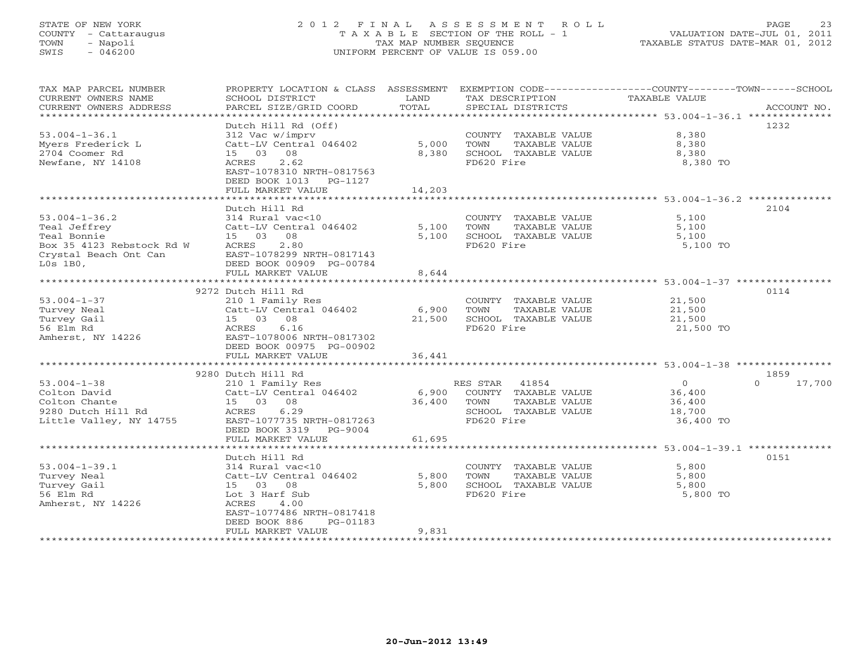# STATE OF NEW YORK 2 0 1 2 F I N A L A S S E S S M E N T R O L L PAGE 23 COUNTY - Cattaraugus T A X A B L E SECTION OF THE ROLL - 1 VALUATION DATE-JUL 01, 2011 TOWN - Napoli TAX MAP NUMBER SEQUENCE TAXABLE STATUS DATE-MAR 01, 2012 SWIS - 046200 UNIFORM PERCENT OF VALUE IS 059.00UNIFORM PERCENT OF VALUE IS 059.00

| TAX MAP PARCEL NUMBER                              |                                            |        |                                                                              | PROPERTY LOCATION & CLASS ASSESSMENT EXEMPTION CODE---------------COUNTY-------TOWN------SCHOOL |
|----------------------------------------------------|--------------------------------------------|--------|------------------------------------------------------------------------------|-------------------------------------------------------------------------------------------------|
| CURRENT OWNERS NAME                                | SCHOOL DISTRICT                            | LAND   | TAX DESCRIPTION                                                              | TAXABLE VALUE                                                                                   |
| CURRENT OWNERS ADDRESS                             | PARCEL SIZE/GRID COORD                     | TOTAL  | SPECIAL DISTRICTS                                                            | ACCOUNT NO.                                                                                     |
| ******************************                     |                                            |        |                                                                              |                                                                                                 |
|                                                    | Dutch Hill Rd (Off)                        |        |                                                                              | 1232                                                                                            |
| $53.004 - 1 - 36.1$                                | 312 Vac w/imprv                            |        | COUNTY TAXABLE VALUE                                                         | 8,380                                                                                           |
| Myers Frederick L                                  |                                            |        | TOWN<br>TAXABLE VALUE                                                        | 8,380                                                                                           |
| 2704 Coomer Rd                                     | 15 03 08                                   | 8,380  | SCHOOL TAXABLE VALUE                                                         | 8,380                                                                                           |
| Newfane, NY 14108                                  | ACRES 2.62                                 |        | FD620 Fire                                                                   | 8,380 TO                                                                                        |
|                                                    | EAST-1078310 NRTH-0817563                  |        |                                                                              |                                                                                                 |
|                                                    | DEED BOOK 1013 PG-1127                     |        |                                                                              |                                                                                                 |
|                                                    | FULL MARKET VALUE                          | 14,203 |                                                                              |                                                                                                 |
|                                                    |                                            |        |                                                                              |                                                                                                 |
|                                                    | Dutch Hill Rd                              |        |                                                                              | 2104                                                                                            |
| $53.004 - 1 - 36.2$                                | 314 Rural vac<10                           |        | COUNTY TAXABLE VALUE                                                         | 5,100                                                                                           |
| Teal Jeffrey                                       | Catt-LV Central 046402                     | 5,100  | TOWN<br>TAXABLE VALUE                                                        | 5,100                                                                                           |
| Teal Bonnie                                        | 15 03 08                                   | 5,100  | SCHOOL TAXABLE VALUE                                                         | 5,100                                                                                           |
|                                                    |                                            |        |                                                                              |                                                                                                 |
| Box 35 4123 Rebstock Rd W<br>Crystal Beach Ont Can | ACRES<br>2.80<br>EAST-1078299 NRTH-0817143 |        | FD620 Fire                                                                   | 5,100 TO                                                                                        |
|                                                    |                                            |        |                                                                              |                                                                                                 |
| $L0s$ 1B $0$ ,                                     | DEED BOOK 00909 PG-00784                   |        |                                                                              |                                                                                                 |
|                                                    | FULL MARKET VALUE                          | 8,644  |                                                                              |                                                                                                 |
|                                                    |                                            |        |                                                                              |                                                                                                 |
|                                                    | 9272 Dutch Hill Rd                         |        |                                                                              | 0114                                                                                            |
| $53.004 - 1 - 37$                                  | 210 1 Family Res                           |        | COUNTY TAXABLE VALUE                                                         | 21,500<br>21,500                                                                                |
| Turvey Neal                                        | Catt-LV Central 046402 6,900               |        | TAXABLE VALUE<br>TOWN                                                        |                                                                                                 |
| Turvey Gail                                        | 15 03 08                                   | 21,500 | SCHOOL TAXABLE VALUE                                                         | 21,500                                                                                          |
| 56 Elm Rd                                          | ACRES 6.16                                 |        | FD620 Fire                                                                   | 21,500 TO                                                                                       |
| Amherst, NY 14226                                  | EAST-1078006 NRTH-0817302                  |        |                                                                              |                                                                                                 |
|                                                    | DEED BOOK 00975 PG-00902                   |        |                                                                              |                                                                                                 |
|                                                    | FULL MARKET VALUE                          | 36,441 |                                                                              |                                                                                                 |
|                                                    |                                            |        |                                                                              |                                                                                                 |
|                                                    | 9280 Dutch Hill Rd                         |        |                                                                              | 1859                                                                                            |
| $53.004 - 1 - 38$                                  | 210 1 Family Res                           |        |                                                                              | $\overline{0}$<br>$0 \t 17,700$                                                                 |
| Colton David                                       | Catt-LV Central 046402                     |        | 41854 and Star 41854<br>6,900 COUNTY TAXABLE VALUE<br>36,400 TOWN TAXABLE XX | 36,400<br>36,400                                                                                |
| Colton Chante                                      | 15 03 08                                   |        |                                                                              |                                                                                                 |
| 9280 Dutch Hill Rd                                 | ACRES 6.29                                 |        | SCHOOL TAXABLE VALUE                                                         | 18,700                                                                                          |
| Little Valley, NY 14755                            | EAST-1077735 NRTH-0817263                  |        | FD620 Fire                                                                   | 36,400 TO                                                                                       |
|                                                    | DEED BOOK 3319 PG-9004                     |        |                                                                              |                                                                                                 |
|                                                    | FULL MARKET VALUE                          | 61,695 |                                                                              |                                                                                                 |
|                                                    |                                            |        |                                                                              |                                                                                                 |
|                                                    | Dutch Hill Rd                              |        |                                                                              | 0151                                                                                            |
| $53.004 - 1 - 39.1$                                | 314 Rural vac<10                           |        | COUNTY TAXABLE VALUE                                                         | 5,800                                                                                           |
| Turvey Neal                                        | Catt-LV Central 046402                     | 5,800  | TOWN<br>TAXABLE VALUE                                                        | 5,800                                                                                           |
| Turvey Gail                                        | 15 03 08                                   | 5,800  | SCHOOL TAXABLE VALUE                                                         | 5,800                                                                                           |
| 56 Elm Rd                                          | Lot 3 Harf Sub                             |        | FD620 Fire                                                                   | 5,800 TO                                                                                        |
| Amherst, NY 14226                                  | ACRES<br>4.00                              |        |                                                                              |                                                                                                 |
|                                                    | EAST-1077486 NRTH-0817418                  |        |                                                                              |                                                                                                 |
|                                                    | DEED BOOK 886<br>PG-01183                  |        |                                                                              |                                                                                                 |
|                                                    | FULL MARKET VALUE                          | 9,831  |                                                                              |                                                                                                 |
|                                                    |                                            |        |                                                                              |                                                                                                 |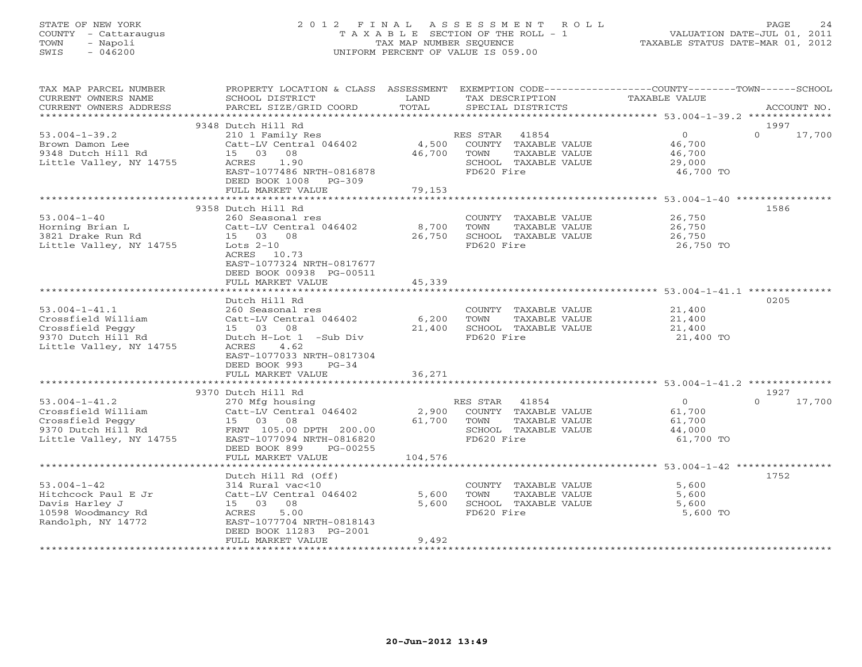# STATE OF NEW YORK 2 0 1 2 F I N A L A S S E S S M E N T R O L L PAGE 24 COUNTY - Cattaraugus T A X A B L E SECTION OF THE ROLL - 1 VALUATION DATE-JUL 01, 2011 TOWN - Napoli TAX MAP NUMBER SEQUENCE TAXABLE STATUS DATE-MAR 01, 2012 SWIS - 046200 UNIFORM PERCENT OF VALUE IS 059.00UNIFORM PERCENT OF VALUE IS 059.00

| TAX MAP PARCEL NUMBER<br>CURRENT OWNERS NAME<br>CURRENT OWNERS ADDRESS                                         | PROPERTY LOCATION & CLASS ASSESSMENT<br>SCHOOL DISTRICT<br>PARCEL SIZE/GRID COORD                                                                                                                       | LAND<br>TOTAL              | TAX DESCRIPTION<br>SPECIAL DISTRICTS                                                    | EXEMPTION CODE----------------COUNTY-------TOWN-----SCHOOL | TAXABLE VALUE                                             | ACCOUNT NO.                |
|----------------------------------------------------------------------------------------------------------------|---------------------------------------------------------------------------------------------------------------------------------------------------------------------------------------------------------|----------------------------|-----------------------------------------------------------------------------------------|------------------------------------------------------------|-----------------------------------------------------------|----------------------------|
|                                                                                                                |                                                                                                                                                                                                         |                            |                                                                                         |                                                            |                                                           |                            |
| $53.004 - 1 - 39.2$<br>Brown Damon Lee<br>9348 Dutch Hill Rd<br>Little Valley, NY 14755                        | 9348 Dutch Hill Rd<br>210 1 Family Res<br>Catt-LV Central 046402<br>08<br>15 03<br>1.90<br>ACRES<br>EAST-1077486 NRTH-0816878<br>DEED BOOK 1008 PG-309                                                  | 4,500<br>46,700            | 41854<br>RES STAR<br>COUNTY TAXABLE VALUE<br>TOWN<br>SCHOOL TAXABLE VALUE<br>FD620 Fire | TAXABLE VALUE                                              | $\overline{O}$<br>46,700<br>46,700<br>29,000<br>46,700 TO | 1997<br>$\Omega$<br>17,700 |
|                                                                                                                | FULL MARKET VALUE                                                                                                                                                                                       | 79,153                     |                                                                                         |                                                            |                                                           |                            |
|                                                                                                                |                                                                                                                                                                                                         |                            |                                                                                         |                                                            |                                                           |                            |
| $53.004 - 1 - 40$<br>Horning Brian L<br>3821 Drake Run Rd<br>Little Valley, NY 14755                           | 9358 Dutch Hill Rd<br>260 Seasonal res<br>Catt-LV Central 046402<br>15 03 08<br>Lots $2-10$<br>ACRES 10.73<br>EAST-1077324 NRTH-0817677<br>DEED BOOK 00938 PG-00511                                     | 8,700<br>26,750            | COUNTY TAXABLE VALUE<br>TOWN<br>SCHOOL TAXABLE VALUE<br>FD620 Fire                      | TAXABLE VALUE                                              | 26,750<br>26,750<br>26,750<br>26,750 TO                   | 1586                       |
|                                                                                                                | FULL MARKET VALUE                                                                                                                                                                                       | 45,339                     |                                                                                         |                                                            |                                                           |                            |
| $53.004 - 1 - 41.1$<br>Crossfield William<br>Crossfield Peggy<br>9370 Dutch Hill Rd<br>Little Valley, NY 14755 | Dutch Hill Rd<br>260 Seasonal res<br>Catt-LV Central 046402<br>15 03 08<br>Dutch H-Lot 1 -Sub Div<br><b>ACRES</b><br>4.62<br>EAST-1077033 NRTH-0817304<br>DEED BOOK 993<br>$PG-34$<br>FULL MARKET VALUE | 6,200<br>21,400<br>36,271  | COUNTY TAXABLE VALUE<br>TOWN<br>SCHOOL TAXABLE VALUE<br>FD620 Fire                      | TAXABLE VALUE                                              | 21,400<br>21,400<br>21,400<br>21,400 TO                   | 0205                       |
|                                                                                                                |                                                                                                                                                                                                         |                            |                                                                                         |                                                            |                                                           |                            |
| $53.004 - 1 - 41.2$<br>Crossfield William<br>Crossfield Peggy<br>9370 Dutch Hill Rd<br>Little Valley, NY 14755 | 9370 Dutch Hill Rd<br>270 Mfg housing<br>Catt-LV Central 046402<br>15 03 08<br>FRNT 105.00 DPTH 200.00<br>EAST-1077094 NRTH-0816820<br>DEED BOOK 899<br>PG-00255<br>FULL MARKET VALUE                   | 2,900<br>61,700<br>104,576 | 41854<br>RES STAR<br>COUNTY TAXABLE VALUE<br>TOWN<br>SCHOOL TAXABLE VALUE<br>FD620 Fire | TAXABLE VALUE                                              | $\Omega$<br>61,700<br>61,700<br>44,000<br>61,700 TO       | 1927<br>$\Omega$<br>17,700 |
|                                                                                                                | *******************                                                                                                                                                                                     | *********                  |                                                                                         | ******************** 53.004-1-42 ****************          |                                                           |                            |
| $53.004 - 1 - 42$<br>Hitchcock Paul E Jr<br>Davis Harley J<br>10598 Woodmancy Rd<br>Randolph, NY 14772         | Dutch Hill Rd (Off)<br>314 Rural vac<10<br>Catt-LV Central 046402<br>15 03 08<br>5.00<br>ACRES<br>EAST-1077704 NRTH-0818143<br>DEED BOOK 11283 PG-2001<br>FULL MARKET VALUE                             | 5,600<br>5,600<br>9,492    | COUNTY TAXABLE VALUE<br>TOWN<br>SCHOOL TAXABLE VALUE<br>FD620 Fire                      | TAXABLE VALUE                                              | 5,600<br>5,600<br>5,600<br>5,600 TO                       | 1752                       |
|                                                                                                                |                                                                                                                                                                                                         |                            |                                                                                         |                                                            |                                                           |                            |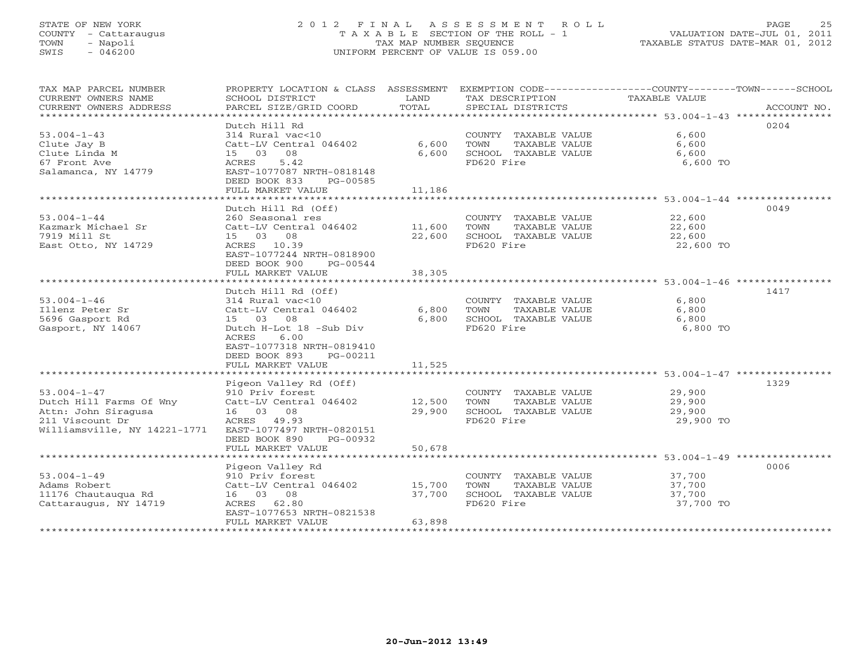# STATE OF NEW YORK 2 0 1 2 F I N A L A S S E S S M E N T R O L L PAGE 25 COUNTY - Cattaraugus T A X A B L E SECTION OF THE ROLL - 1 VALUATION DATE-JUL 01, 2011 TOWN - Napoli TAX MAP NUMBER SEQUENCE TAXABLE STATUS DATE-MAR 01, 2012 SWIS - 046200 UNIFORM PERCENT OF VALUE IS 059.00UNIFORM PERCENT OF VALUE IS 059.00

| TAX MAP PARCEL NUMBER        | PROPERTY LOCATION & CLASS ASSESSMENT EXEMPTION CODE----------------COUNTY-------TOWN------SCHOOL |        |                       |                  |             |
|------------------------------|--------------------------------------------------------------------------------------------------|--------|-----------------------|------------------|-------------|
| CURRENT OWNERS NAME          | SCHOOL DISTRICT                                                                                  | LAND   | TAX DESCRIPTION       | TAXABLE VALUE    |             |
| CURRENT OWNERS ADDRESS       | PARCEL SIZE/GRID COORD                                                                           | TOTAL  | SPECIAL DISTRICTS     |                  | ACCOUNT NO. |
|                              |                                                                                                  |        |                       |                  |             |
|                              | Dutch Hill Rd                                                                                    |        |                       |                  | 0204        |
| $53.004 - 1 - 43$            | 314 Rural vac<10                                                                                 |        | COUNTY TAXABLE VALUE  | 6,600            |             |
| Clute Jay B                  | Catt-LV Central 046402                                                                           | 6,600  | TOWN<br>TAXABLE VALUE | 6,600            |             |
| Clute Linda M                | 08<br>15 03                                                                                      | 6,600  | SCHOOL TAXABLE VALUE  | 6,600            |             |
| 67 Front Ave                 | 5.42<br>ACRES                                                                                    |        | FD620 Fire            | 6,600 TO         |             |
| Salamanca, NY 14779          | EAST-1077087 NRTH-0818148                                                                        |        |                       |                  |             |
|                              | DEED BOOK 833<br>PG-00585                                                                        |        |                       |                  |             |
|                              | FULL MARKET VALUE                                                                                | 11,186 |                       |                  |             |
|                              |                                                                                                  |        |                       |                  |             |
|                              | Dutch Hill Rd (Off)                                                                              |        |                       |                  | 0049        |
| $53.004 - 1 - 44$            | 260 Seasonal res                                                                                 |        | COUNTY TAXABLE VALUE  | 22,600           |             |
| Kazmark Michael Sr           |                                                                                                  |        | TAXABLE VALUE<br>TOWN | 22,600           |             |
| 7919 Mill St                 | 15 03 08                                                                                         | 22,600 | SCHOOL TAXABLE VALUE  | 22,600           |             |
| East Otto, NY 14729          | ACRES 10.39                                                                                      |        | FD620 Fire            | 22,600 TO        |             |
|                              | EAST-1077244 NRTH-0818900                                                                        |        |                       |                  |             |
|                              | DEED BOOK 900<br>PG-00544                                                                        |        |                       |                  |             |
|                              | FULL MARKET VALUE                                                                                | 38,305 |                       |                  |             |
|                              |                                                                                                  |        |                       |                  |             |
|                              | Dutch Hill Rd (Off)                                                                              |        |                       |                  | 1417        |
| $53.004 - 1 - 46$            | 314 Rural vac<10                                                                                 |        | COUNTY TAXABLE VALUE  | 6,800            |             |
| Illenz Peter Sr              | Catt-LV Central 046402                                                                           | 6,800  | TAXABLE VALUE<br>TOWN | 6,800            |             |
| 5696 Gasport Rd              | 15 03 08                                                                                         | 6,800  | SCHOOL TAXABLE VALUE  | 6,800            |             |
| Gasport, NY 14067            | Dutch H-Lot 18 -Sub Div                                                                          |        | FD620 Fire            | 6,800 TO         |             |
|                              | ACRES<br>6.00                                                                                    |        |                       |                  |             |
|                              | EAST-1077318 NRTH-0819410                                                                        |        |                       |                  |             |
|                              | DEED BOOK 893<br>PG-00211                                                                        |        |                       |                  |             |
|                              | FULL MARKET VALUE                                                                                | 11,525 |                       |                  |             |
|                              |                                                                                                  |        |                       |                  |             |
|                              | Pigeon Valley Rd (Off)                                                                           |        |                       |                  | 1329        |
| $53.004 - 1 - 47$            | 910 Priv forest                                                                                  |        | COUNTY TAXABLE VALUE  | 29,900           |             |
| Dutch Hill Farms Of Wny      | Catt-LV Central 046402 12,500                                                                    |        | TAXABLE VALUE<br>TOWN | 29,900           |             |
| Attn: John Siragusa          | 16 03 08                                                                                         | 29,900 | SCHOOL TAXABLE VALUE  | 29,900           |             |
| 211 Viscount Dr              | ACRES 49.93                                                                                      |        | FD620 Fire            | 29,900 TO        |             |
| Williamsville, NY 14221-1771 | EAST-1077497 NRTH-0820151                                                                        |        |                       |                  |             |
|                              | DEED BOOK 890<br>PG-00932                                                                        |        |                       |                  |             |
|                              | FULL MARKET VALUE                                                                                | 50,678 |                       |                  |             |
|                              |                                                                                                  |        |                       |                  |             |
|                              | Pigeon Valley Rd                                                                                 |        |                       |                  | 0006        |
| $53.004 - 1 - 49$            | 910 Priv forest                                                                                  |        | COUNTY TAXABLE VALUE  | 37,700<br>37,700 |             |
| Adams Robert                 | Catt-LV Central 046402 15,700                                                                    |        | TOWN<br>TAXABLE VALUE |                  |             |
| 11176 Chautaugua Rd          | 16 03 08                                                                                         | 37,700 | SCHOOL TAXABLE VALUE  | 37,700           |             |
| Cattaraugus, NY 14719        | ACRES 62.80                                                                                      |        | FD620 Fire            | 37,700 TO        |             |
|                              | EAST-1077653 NRTH-0821538                                                                        |        |                       |                  |             |
|                              | FULL MARKET VALUE                                                                                | 63,898 |                       |                  |             |
|                              |                                                                                                  |        |                       |                  |             |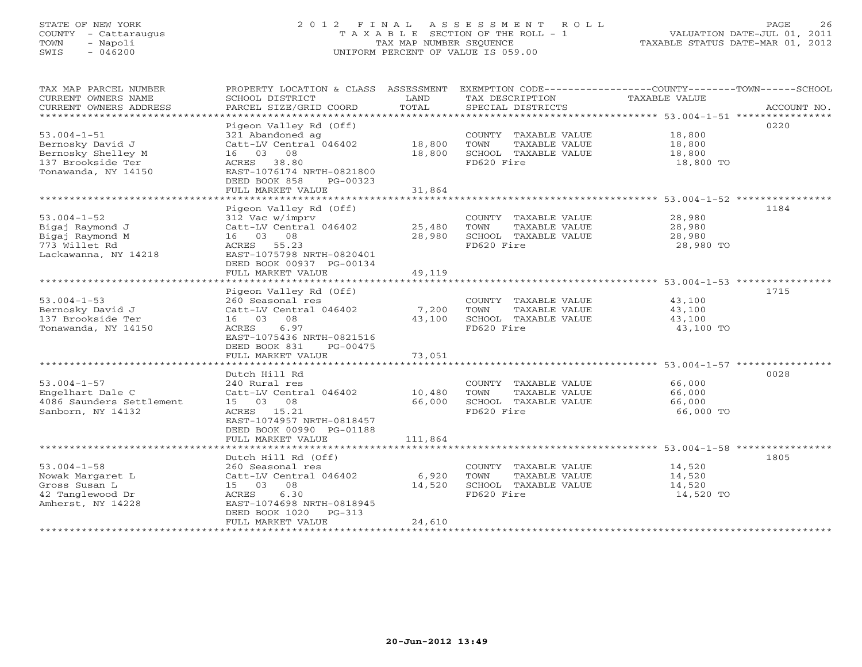# STATE OF NEW YORK 2 0 1 2 F I N A L A S S E S S M E N T R O L L PAGE 26 COUNTY - Cattaraugus T A X A B L E SECTION OF THE ROLL - 1 VALUATION DATE-JUL 01, 2011 TOWN - Napoli TAX MAP NUMBER SEQUENCE TAXABLE STATUS DATE-MAR 01, 2012 SWIS - 046200 UNIFORM PERCENT OF VALUE IS 059.00

| TAX MAP PARCEL NUMBER<br>CURRENT OWNERS NAME<br>CURRENT OWNERS ADDRESS<br>****************************** | SCHOOL DISTRICT<br>PARCEL SIZE/GRID COORD                                                                                                                                        | LAND<br>TOTAL              | TAX DESCRIPTION<br>SPECIAL DISTRICTS                                                | PROPERTY LOCATION & CLASS ASSESSMENT EXEMPTION CODE---------------COUNTY-------TOWN-----SCHOOL<br>TAXABLE VALUE<br>ACCOUNT NO. |
|----------------------------------------------------------------------------------------------------------|----------------------------------------------------------------------------------------------------------------------------------------------------------------------------------|----------------------------|-------------------------------------------------------------------------------------|--------------------------------------------------------------------------------------------------------------------------------|
| $53.004 - 1 - 51$<br>Bernosky David J<br>Bernosky Shelley M<br>137 Brookside Ter<br>Tonawanda, NY 14150  | Pigeon Valley Rd (Off)<br>321 Abandoned ag<br>Catt-LV Central 046402<br>16 03 08<br>ACRES 38.80<br>EAST-1076174 NRTH-0821800<br>DEED BOOK 858<br>PG-00323<br>FULL MARKET VALUE   | 18,800<br>18,800<br>31,864 | COUNTY TAXABLE VALUE<br>TOWN<br>TAXABLE VALUE<br>SCHOOL TAXABLE VALUE<br>FD620 Fire | 0220<br>18,800<br>18,800<br>18,800<br>18,800 TO                                                                                |
|                                                                                                          |                                                                                                                                                                                  |                            |                                                                                     |                                                                                                                                |
| $53.004 - 1 - 52$<br>Bigaj Raymond J<br>Bigaj Raymond M<br>773 Willet Rd<br>Lackawanna, NY 14218         | Pigeon Valley Rd (Off)<br>312 Vac w/imprv<br>Catt-LV Central 046402<br>16 03 08<br>ACRES 55.23<br>EAST-1075798 NRTH-0820401<br>DEED BOOK 00937 PG-00134                          | 25,480<br>28,980           | COUNTY TAXABLE VALUE<br>TOWN<br>TAXABLE VALUE<br>SCHOOL TAXABLE VALUE<br>FD620 Fire | 1184<br>28,980<br>28,980<br>28,980<br>28,980 TO                                                                                |
|                                                                                                          | FULL MARKET VALUE                                                                                                                                                                | 49,119                     |                                                                                     |                                                                                                                                |
| $53.004 - 1 - 53$<br>Bernosky David J<br>137 Brookside Ter<br>Tonawanda, NY 14150                        | Pigeon Valley Rd (Off)<br>260 Seasonal res<br>Catt-LV Central 046402<br>16 03 08<br>6.97<br>ACRES<br>EAST-1075436 NRTH-0821516<br>DEED BOOK 831<br>PG-00475<br>FULL MARKET VALUE | 7,200<br>43,100<br>73,051  | COUNTY TAXABLE VALUE<br>TOWN<br>TAXABLE VALUE<br>SCHOOL TAXABLE VALUE<br>FD620 Fire | 1715<br>43,100<br>43,100<br>43,100<br>43,100 TO                                                                                |
|                                                                                                          | *********************                                                                                                                                                            | ************               |                                                                                     | ******************************* 53.004-1-57 ****************                                                                   |
| $53.004 - 1 - 57$<br>Engelhart Dale C<br>4086 Saunders Settlement<br>Sanborn, NY 14132                   | Dutch Hill Rd<br>240 Rural res<br>Catt-LV Central 046402<br>15 03 08<br>ACRES 15.21<br>EAST-1074957 NRTH-0818457<br>DEED BOOK 00990 PG-01188                                     | 10,480<br>66,000           | COUNTY TAXABLE VALUE<br>TOWN<br>TAXABLE VALUE<br>SCHOOL TAXABLE VALUE<br>FD620 Fire | 0028<br>66,000<br>66,000<br>66,000<br>66,000 TO                                                                                |
|                                                                                                          | FULL MARKET VALUE                                                                                                                                                                | 111,864                    |                                                                                     |                                                                                                                                |
| $53.004 - 1 - 58$<br>Nowak Margaret L<br>Gross Susan L<br>42 Tanglewood Dr<br>Amherst, NY 14228          | Dutch Hill Rd (Off)<br>260 Seasonal res<br>Catt-LV Central 046402<br>15 03 08<br>6.30<br>ACRES<br>EAST-1074698 NRTH-0818945<br>DEED BOOK 1020 PG-313<br>FULL MARKET VALUE        | 6,920<br>14,520<br>24,610  | COUNTY TAXABLE VALUE<br>TOWN<br>TAXABLE VALUE<br>SCHOOL TAXABLE VALUE<br>FD620 Fire | 1805<br>14,520<br>14,520<br>14,520<br>14,520 TO                                                                                |
|                                                                                                          |                                                                                                                                                                                  |                            |                                                                                     |                                                                                                                                |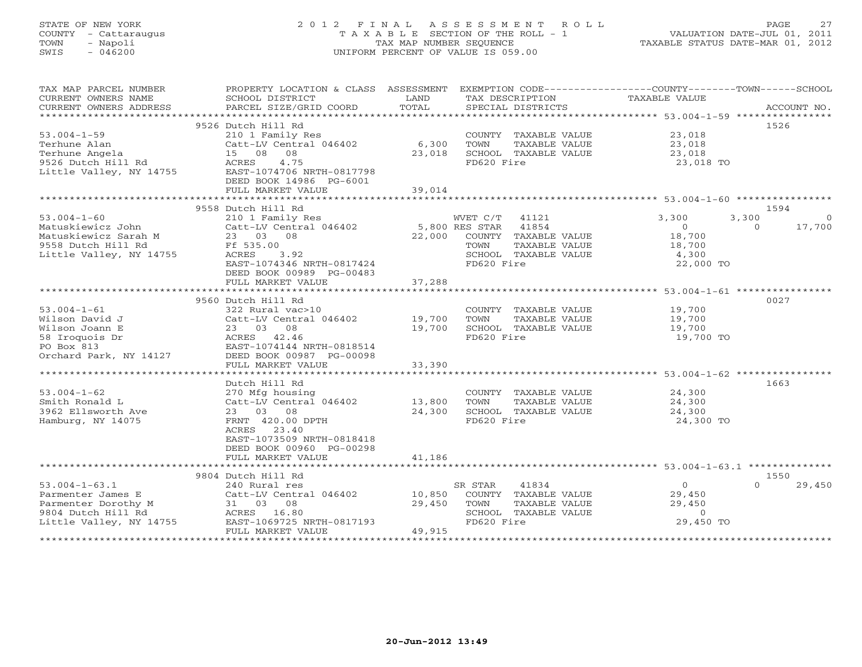# STATE OF NEW YORK 2 0 1 2 F I N A L A S S E S S M E N T R O L L PAGE 27 COUNTY - Cattaraugus T A X A B L E SECTION OF THE ROLL - 1 VALUATION DATE-JUL 01, 2011 TOWN - Napoli TAX MAP NUMBER SEQUENCE TAXABLE STATUS DATE-MAR 01, 2012 SWIS - 046200 UNIFORM PERCENT OF VALUE IS 059.00UNIFORM PERCENT OF VALUE IS 059.00

| TAX MAP PARCEL NUMBER               | PROPERTY LOCATION & CLASS ASSESSMENT EXEMPTION CODE---------------COUNTY-------TOWN------SCHOOL |        |                                               |                      |                    |
|-------------------------------------|-------------------------------------------------------------------------------------------------|--------|-----------------------------------------------|----------------------|--------------------|
| CURRENT OWNERS NAME                 | SCHOOL DISTRICT                                                                                 | LAND   | TAX DESCRIPTION                               | <b>TAXABLE VALUE</b> |                    |
| CURRENT OWNERS ADDRESS              |                                                                                                 |        |                                               |                      |                    |
|                                     |                                                                                                 |        |                                               |                      |                    |
|                                     | 9526 Dutch Hill Rd                                                                              |        |                                               |                      | 1526               |
| $53.004 - 1 - 59$                   | 210 1 Family Res                                                                                |        | COUNTY TAXABLE VALUE                          | 23,018               |                    |
| Terhune Alan                        | Catt-LV Central 046402                                                                          | 6,300  | TOWN<br>TAXABLE VALUE                         | 23,018               |                    |
| Terhune Angela                      | 15 08 08                                                                                        | 23,018 | SCHOOL TAXABLE VALUE                          | 23,018               |                    |
| 9526 Dutch Hill Rd                  | 4.75<br>ACRES                                                                                   |        | FD620 Fire                                    | 23,018 TO            |                    |
| Little Valley, NY 14755             | EAST-1074706 NRTH-0817798                                                                       |        |                                               |                      |                    |
|                                     | DEED BOOK 14986 PG-6001                                                                         |        |                                               |                      |                    |
|                                     | FULL MARKET VALUE                                                                               | 39,014 |                                               |                      |                    |
|                                     |                                                                                                 |        |                                               |                      |                    |
|                                     | 9558 Dutch Hill Rd                                                                              |        |                                               |                      | 1594               |
| $53.004 - 1 - 60$                   | 210 1 Family Res                                                                                |        | WVET C/T 41121                                | 3,300<br>3,300       | $\circ$            |
| Matuskiewicz John                   | Catt-LV Central 046402                                                                          |        | 5,800 RES STAR 41854                          | $\overline{0}$       | 17,700<br>$\Omega$ |
| Matuskiewicz Sarah M                | 23 03 08                                                                                        | 22,000 | COUNTY TAXABLE VALUE                          | 18,700               |                    |
| 9558 Dutch Hill Rd                  | Ff 535.00                                                                                       |        | TOWN<br>TAXABLE VALUE                         | 18,700               |                    |
| Little Valley, NY 14755             | ACRES<br>3.92                                                                                   |        | SCHOOL TAXABLE VALUE                          | 4,300                |                    |
|                                     | EAST-1074346 NRTH-0817424                                                                       |        | FD620 Fire                                    | 22,000 TO            |                    |
|                                     | DEED BOOK 00989 PG-00483                                                                        |        |                                               |                      |                    |
|                                     | FULL MARKET VALUE                                                                               | 37,288 |                                               |                      |                    |
|                                     | 9560 Dutch Hill Rd                                                                              |        |                                               |                      | 0027               |
|                                     | 322 Rural vac>10                                                                                |        |                                               | 19,700               |                    |
| $53.004 - 1 - 61$<br>Wilson David J | Catt-LV Central 046402 19,700                                                                   |        | COUNTY TAXABLE VALUE<br>TOWN<br>TAXABLE VALUE | 19,700               |                    |
| Wilson Joann E                      | 23 03 08                                                                                        | 19,700 | SCHOOL TAXABLE VALUE                          | 19,700               |                    |
| 58 Iroquois Dr                      | ACRES 42.46                                                                                     |        | FD620 Fire                                    | 19,700 TO            |                    |
| PO Box 813                          | EAST-1074144 NRTH-0818514                                                                       |        |                                               |                      |                    |
| Orchard Park, NY 14127              | DEED BOOK 00987 PG-00098                                                                        |        |                                               |                      |                    |
|                                     | FULL MARKET VALUE                                                                               | 33,390 |                                               |                      |                    |
|                                     |                                                                                                 |        |                                               |                      |                    |
|                                     | Dutch Hill Rd                                                                                   |        |                                               |                      | 1663               |
| $53.004 - 1 - 62$                   | 270 Mfg housing                                                                                 |        | COUNTY TAXABLE VALUE                          | 24,300               |                    |
| Smith Ronald L                      | Catt-LV Central 046402                                                                          | 13,800 | TOWN<br>TAXABLE VALUE                         | 24,300               |                    |
| 3962 Ellsworth Ave                  | 23 03 08                                                                                        | 24,300 | SCHOOL TAXABLE VALUE                          | 24,300               |                    |
| Hamburg, NY 14075                   | FRNT 420.00 DPTH                                                                                |        | FD620 Fire                                    | 24,300 TO            |                    |
|                                     | 23.40<br>ACRES                                                                                  |        |                                               |                      |                    |
|                                     | EAST-1073509 NRTH-0818418                                                                       |        |                                               |                      |                    |
|                                     | DEED BOOK 00960 PG-00298                                                                        |        |                                               |                      |                    |
|                                     | FULL MARKET VALUE                                                                               | 41,186 |                                               |                      |                    |
|                                     |                                                                                                 |        |                                               |                      |                    |
|                                     | 9804 Dutch Hill Rd                                                                              |        |                                               |                      | 1550               |
| $53.004 - 1 - 63.1$                 | 240 Rural res                                                                                   |        | SR STAR<br>41834                              | $\overline{0}$       | 29,450<br>$\Omega$ |
| Parmenter James E                   | Catt-LV Central 046402                                                                          | 10,850 | COUNTY TAXABLE VALUE                          | 29,450               |                    |
| Parmenter Dorothy M                 | 31 03 08                                                                                        | 29,450 | TOWN<br>TAXABLE VALUE                         | 29,450               |                    |
| 9804 Dutch Hill Rd                  | ACRES 16.80                                                                                     |        | SCHOOL TAXABLE VALUE                          | $\circ$              |                    |
| Little Valley, NY 14755             | EAST-1069725 NRTH-0817193                                                                       |        | FD620 Fire                                    | 29,450 TO            |                    |
|                                     | FULL MARKET VALUE                                                                               | 49,915 |                                               |                      |                    |
|                                     |                                                                                                 |        |                                               |                      |                    |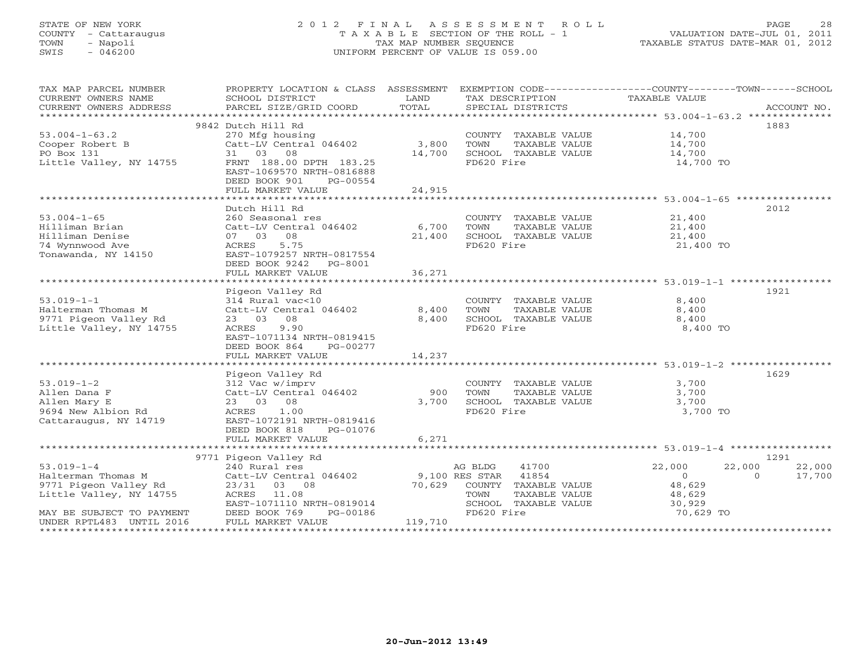# STATE OF NEW YORK 2 0 1 2 F I N A L A S S E S S M E N T R O L L PAGE 28 COUNTY - Cattaraugus T A X A B L E SECTION OF THE ROLL - 1 VALUATION DATE-JUL 01, 2011 TOWN - Napoli TAX MAP NUMBER SEQUENCE TAXABLE STATUS DATE-MAR 01, 2012 SWIS - 046200 UNIFORM PERCENT OF VALUE IS 059.00UNIFORM PERCENT OF VALUE IS 059.00

| TAX MAP PARCEL NUMBER<br>CURRENT OWNERS NAME<br>CURRENT OWNERS ADDRESS | PROPERTY LOCATION & CLASS ASSESSMENT<br>SCHOOL DISTRICT                           | <b>LAND</b> | TAX DESCRIPTION             | EXEMPTION CODE----------------COUNTY-------TOWN------SCHOOL<br>TAXABLE VALUE |        |
|------------------------------------------------------------------------|-----------------------------------------------------------------------------------|-------------|-----------------------------|------------------------------------------------------------------------------|--------|
|                                                                        |                                                                                   |             |                             |                                                                              |        |
|                                                                        | 9842 Dutch Hill Rd                                                                |             |                             | 1883                                                                         |        |
| $53.004 - 1 - 63.2$                                                    | 270 Mfg housing                                                                   |             | COUNTY TAXABLE VALUE 14,700 |                                                                              |        |
| Cooper Robert B                                                        | $Cat-LV$ Central $046402$ 3,800                                                   |             | TOWN<br>TAXABLE VALUE       | 14,700                                                                       |        |
| PO Box 131                                                             | 31 03 08                                                                          | 14,700      | SCHOOL TAXABLE VALUE        | 14,700                                                                       |        |
| Little Valley, NY 14755                                                | FRNT 188.00 DPTH 183.25<br>EAST-1069570 NRTH-0816888<br>DEED BOOK 901<br>PG-00554 |             | FD620 Fire                  | 14,700 TO                                                                    |        |
|                                                                        | FULL MARKET VALUE                                                                 | 24,915      |                             |                                                                              |        |
|                                                                        |                                                                                   |             |                             |                                                                              |        |
|                                                                        | Dutch Hill Rd                                                                     |             |                             | 2012                                                                         |        |
| $53.004 - 1 - 65$                                                      | 260 Seasonal res                                                                  |             | COUNTY TAXABLE VALUE 21,400 |                                                                              |        |
| Hilliman Brian                                                         | Catt-LV Central 046402 6,700                                                      |             | TOWN<br>TAXABLE VALUE       | 21,400<br>21,400                                                             |        |
| Hilliman Denise                                                        | 07 03 08                                                                          | 21,400      | SCHOOL TAXABLE VALUE        |                                                                              |        |
| 74 Wynnwood Ave<br>Tonawanda, NY 14150                                 | 5.75<br>ACRES<br>EAST-1079257 NRTH-0817554<br>DEED BOOK 9242 PG-8001              |             | FD620 Fire                  | 21,400 TO                                                                    |        |
|                                                                        | FULL MARKET VALUE                                                                 | 36,271      |                             |                                                                              |        |
|                                                                        |                                                                                   |             |                             |                                                                              |        |
|                                                                        | Pigeon Valley Rd                                                                  |             |                             | 1921                                                                         |        |
| $53.019 - 1 - 1$                                                       | 314 Rural vac<10                                                                  |             | COUNTY TAXABLE VALUE 8,400  |                                                                              |        |
| Halterman Thomas M                                                     | Catt-LV Central 046402                                                            | 8,400       | TOWN<br>TAXABLE VALUE       | 8,400                                                                        |        |
| 9771 Pigeon Valley Rd                                                  | 23 03 08                                                                          | 8,400       | SCHOOL TAXABLE VALUE        | 8,400                                                                        |        |
| Little Valley, NY 14755                                                | 9.90<br>ACRES                                                                     |             | FD620 Fire                  | 8,400 TO                                                                     |        |
|                                                                        | EAST-1071134 NRTH-0819415                                                         |             |                             |                                                                              |        |
|                                                                        | DEED BOOK 864<br>PG-00277                                                         |             |                             |                                                                              |        |
|                                                                        | FULL MARKET VALUE                                                                 | 14,237      |                             |                                                                              |        |
|                                                                        |                                                                                   |             |                             |                                                                              |        |
|                                                                        | Pigeon Valley Rd                                                                  |             |                             | 1629                                                                         |        |
| $53.019 - 1 - 2$                                                       |                                                                                   |             | COUNTY TAXABLE VALUE        | 3,700                                                                        |        |
| Allen Dana F                                                           | 312 Vac w/imprv<br>Catt-LV Central 046402                                         | 900         | TOWN<br>TAXABLE VALUE       | 3,700                                                                        |        |
| Allen Mary E                                                           | 23 03 08                                                                          | 3,700       | SCHOOL TAXABLE VALUE        | 3,700                                                                        |        |
| 9694 New Albion Rd                                                     | ACRES 1.00                                                                        |             | FD620 Fire                  | 3,700 TO                                                                     |        |
| Cattaraugus, NY 14719                                                  | EAST-1072191 NRTH-0819416                                                         |             |                             |                                                                              |        |
|                                                                        | DEED BOOK 818<br>PG-01076                                                         |             |                             |                                                                              |        |
|                                                                        | FULL MARKET VALUE                                                                 | 6,271       |                             |                                                                              |        |
|                                                                        |                                                                                   |             |                             |                                                                              |        |
|                                                                        | 9771 Pigeon Valley Rd                                                             |             |                             | 1291                                                                         |        |
| $53.019 - 1 - 4$                                                       | 240 Rural res                                                                     |             | AG BLDG<br>41700            | 22,000<br>22,000                                                             | 22,000 |
| Halterman Thomas M                                                     | Catt-LV Central 046402 9,100 RES STAR 41854                                       |             |                             | $\overline{0}$<br>$\overline{0}$                                             | 17,700 |
| 9771 Pigeon Valley Rd                                                  | 23/31 03 08                                                                       |             | 70,629 COUNTY TAXABLE VALUE | 48,629                                                                       |        |
| Little Valley, NY 14755                                                | ACRES 11.08                                                                       |             | TAXABLE VALUE<br>TOWN       | 48,629                                                                       |        |
|                                                                        | EAST-1071110 NRTH-0819014                                                         |             | SCHOOL TAXABLE VALUE        | 30,929                                                                       |        |
| MAY BE SUBJECT TO PAYMENT<br>UNDER RPTL483 UNTIL 2016                  | DEED BOOK 769<br>PG-00186<br>FULL MARKET VALUE                                    |             | FD620 Fire                  | 70,629 TO                                                                    |        |
|                                                                        |                                                                                   | 119,710     |                             |                                                                              |        |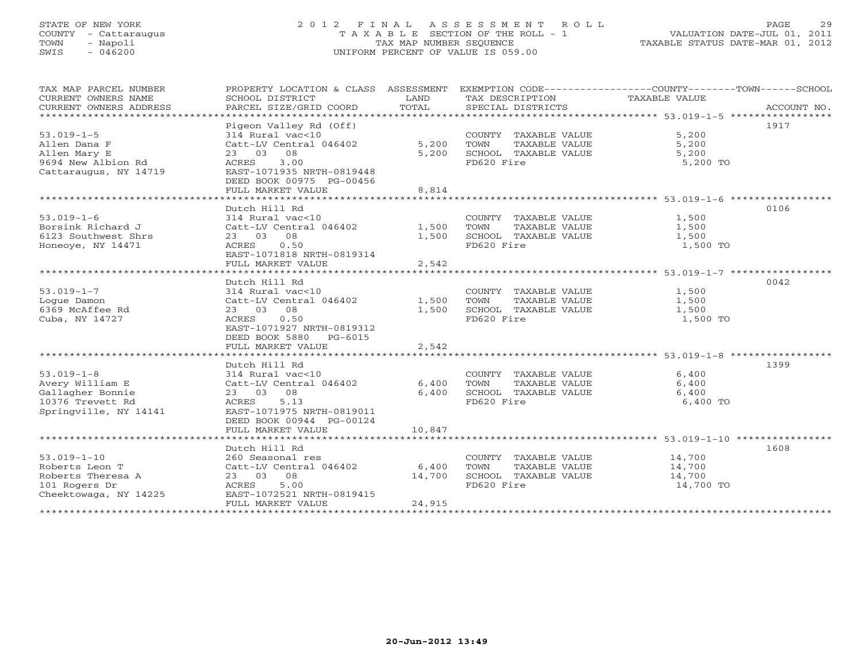# STATE OF NEW YORK 2 0 1 2 F I N A L A S S E S S M E N T R O L L PAGE 29 COUNTY - Cattaraugus T A X A B L E SECTION OF THE ROLL - 1 VALUATION DATE-JUL 01, 2011 TOWN - Napoli TAX MAP NUMBER SEQUENCE TAXABLE STATUS DATE-MAR 01, 2012 SWIS - 046200 UNIFORM PERCENT OF VALUE IS 059.00UNIFORM PERCENT OF VALUE IS 059.00

| TAX MAP PARCEL NUMBER<br>CURRENT OWNERS NAME<br>CURRENT OWNERS ADDRESS<br>*************************  | SCHOOL DISTRICT<br>PARCEL SIZE/GRID COORD                                                                                                                              | LAND<br>TOTAL             | TAX DESCRIPTION<br>SPECIAL DISTRICTS                                                | PROPERTY LOCATION & CLASS ASSESSMENT EXEMPTION CODE----------------COUNTY-------TOWN------SCHOOL<br>TAXABLE VALUE<br>ACCOUNT NO. |  |
|------------------------------------------------------------------------------------------------------|------------------------------------------------------------------------------------------------------------------------------------------------------------------------|---------------------------|-------------------------------------------------------------------------------------|----------------------------------------------------------------------------------------------------------------------------------|--|
| $53.019 - 1 - 5$<br>Allen Dana F<br>Allen Mary E<br>9694 New Albion Rd<br>Cattaraugus, NY 14719      | Pigeon Valley Rd (Off)<br>314 Rural vac<10<br>Catt-LV Central 046402<br>23 03 08<br>3.00<br>ACRES<br>EAST-1071935 NRTH-0819448<br>DEED BOOK 00975 PG-00456             | 5,200<br>5,200            | COUNTY TAXABLE VALUE<br>TOWN<br>TAXABLE VALUE<br>SCHOOL TAXABLE VALUE<br>FD620 Fire | 1917<br>5,200<br>5,200<br>5,200<br>5,200 TO                                                                                      |  |
| *****************************                                                                        | FULL MARKET VALUE                                                                                                                                                      | 8,814                     |                                                                                     |                                                                                                                                  |  |
| $53.019 - 1 - 6$<br>Borsink Richard J<br>6123 Southwest Shrs<br>Honeoye, NY 14471                    | Dutch Hill Rd<br>314 Rural vac<10<br>Catt-LV Central 046402<br>23 03 08<br>ACRES<br>0.50<br>EAST-1071818 NRTH-0819314<br>FULL MARKET VALUE                             | 1,500<br>1,500<br>2,542   | COUNTY TAXABLE VALUE<br>TAXABLE VALUE<br>TOWN<br>SCHOOL TAXABLE VALUE<br>FD620 Fire | 0106<br>1,500<br>1,500<br>1,500<br>1,500 TO                                                                                      |  |
| ******************************                                                                       |                                                                                                                                                                        |                           |                                                                                     | ***********************************53.019-1-7 *****************                                                                  |  |
| $53.019 - 1 - 7$<br>Loque Damon<br>6369 McAffee Rd<br>Cuba, NY 14727                                 | Dutch Hill Rd<br>314 Rural vac<10<br>Catt-LV Central 046402<br>23 03 08<br>0.50<br>ACRES<br>EAST-1071927 NRTH-0819312<br>DEED BOOK 5880 PG-6015                        | 1,500<br>1,500            | COUNTY TAXABLE VALUE<br>TOWN<br>TAXABLE VALUE<br>SCHOOL TAXABLE VALUE<br>FD620 Fire | 0042<br>1,500<br>1,500<br>1,500<br>1,500 TO                                                                                      |  |
|                                                                                                      | FULL MARKET VALUE                                                                                                                                                      | 2,542                     |                                                                                     |                                                                                                                                  |  |
| $53.019 - 1 - 8$<br>Avery William E<br>Gallagher Bonnie<br>10376 Trevett Rd<br>Springville, NY 14141 | Dutch Hill Rd<br>314 Rural vac<10<br>Catt-LV Central 046402<br>23 03 08<br>5.13<br>ACRES<br>EAST-1071975 NRTH-0819011<br>DEED BOOK 00944 PG-00124<br>FULL MARKET VALUE | 6,400<br>6,400<br>10,847  | COUNTY TAXABLE VALUE<br>TOWN<br>TAXABLE VALUE<br>SCHOOL TAXABLE VALUE<br>FD620 Fire | 1399<br>6,400<br>6,400<br>6,400<br>6,400 TO                                                                                      |  |
|                                                                                                      | **************************                                                                                                                                             |                           |                                                                                     |                                                                                                                                  |  |
| $53.019 - 1 - 10$<br>Roberts Leon T<br>Roberts Theresa A<br>101 Rogers Dr<br>Cheektowaga, NY 14225   | Dutch Hill Rd<br>260 Seasonal res<br>Catt-LV Central 046402<br>23 03 08<br>5.00<br>ACRES<br>EAST-1072521 NRTH-0819415<br>FULL MARKET VALUE                             | 6,400<br>14,700<br>24,915 | COUNTY TAXABLE VALUE<br>TOWN<br>TAXABLE VALUE<br>SCHOOL TAXABLE VALUE<br>FD620 Fire | 1608<br>14,700<br>14,700<br>14,700<br>14,700 TO                                                                                  |  |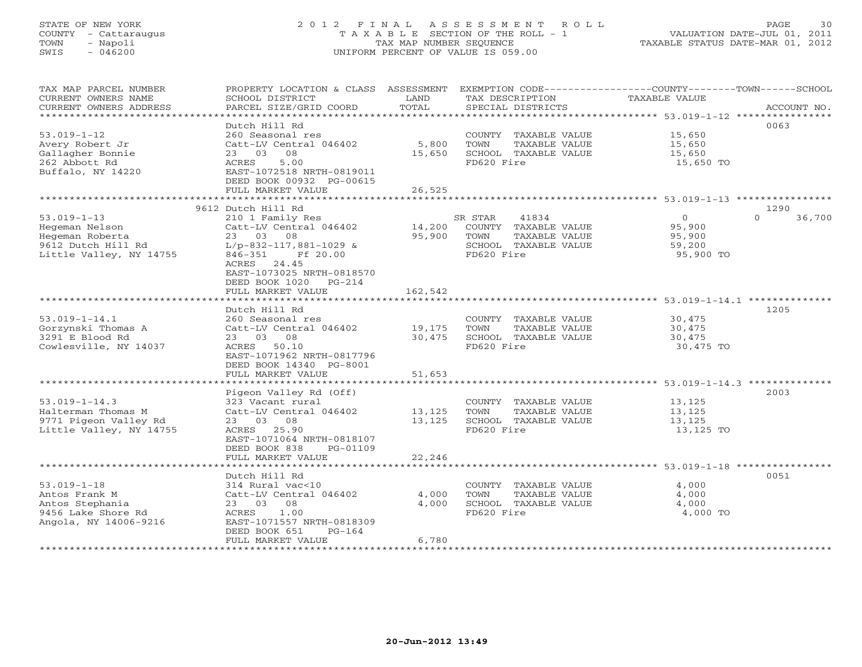# STATE OF NEW YORK 2 0 1 2 F I N A L A S S E S S M E N T R O L L PAGE 30 COUNTY - Cattaraugus T A X A B L E SECTION OF THE ROLL - 1 VALUATION DATE-JUL 01, 2011 TOWN - Napoli TAX MAP NUMBER SEQUENCE TAXABLE STATUS DATE-MAR 01, 2012 SWIS - 046200 UNIFORM PERCENT OF VALUE IS 059.00UNIFORM PERCENT OF VALUE IS 059.00

| TAX MAP PARCEL NUMBER          | PROPERTY LOCATION & CLASS ASSESSMENT EXEMPTION CODE----------------COUNTY-------TOWN------SCHOOL |             |            |                             |                |                    |
|--------------------------------|--------------------------------------------------------------------------------------------------|-------------|------------|-----------------------------|----------------|--------------------|
| CURRENT OWNERS NAME            | SCHOOL DISTRICT                                                                                  | LAND        |            | TAX DESCRIPTION             | TAXABLE VALUE  |                    |
| CURRENT OWNERS ADDRESS         | PARCEL SIZE/GRID COORD                                                                           | TOTAL       |            | SPECIAL DISTRICTS           |                | ACCOUNT NO.        |
| ****************************** |                                                                                                  |             |            |                             |                |                    |
|                                | Dutch Hill Rd                                                                                    |             |            |                             |                | 0063               |
| $53.019 - 1 - 12$              | 260 Seasonal res                                                                                 |             |            | COUNTY TAXABLE VALUE        | 15,650         |                    |
| Avery Robert Jr                | Catt-LV Central 046402                                                                           | 5,800       | TOWN       | TAXABLE VALUE               | 15,650         |                    |
| Gallagher Bonnie               | 23 03 08                                                                                         | 15,650      |            | SCHOOL TAXABLE VALUE        | 15,650         |                    |
| 262 Abbott Rd                  | 5.00<br>ACRES                                                                                    |             | FD620 Fire |                             | 15,650 TO      |                    |
| Buffalo, NY 14220              | EAST-1072518 NRTH-0819011                                                                        |             |            |                             |                |                    |
|                                | DEED BOOK 00932 PG-00615                                                                         |             |            |                             |                |                    |
|                                | FULL MARKET VALUE                                                                                | 26,525      |            |                             |                |                    |
|                                |                                                                                                  |             |            |                             |                |                    |
|                                | 9612 Dutch Hill Rd                                                                               |             |            |                             |                | 1290               |
| $53.019 - 1 - 13$              | 210 1 Family Res                                                                                 |             | SR STAR    | 41834                       | $\overline{O}$ | $\Omega$<br>36,700 |
| Hegeman Nelson                 | Catt-LV Central 046402                                                                           |             |            | 14,200 COUNTY TAXABLE VALUE | 95,900         |                    |
| Hegeman Roberta                | 23 03 08                                                                                         | 95,900 TOWN |            | TAXABLE VALUE               | 95,900         |                    |
| 9612 Dutch Hill Rd             | $L/p-832-117,881-1029$ &                                                                         |             |            | SCHOOL TAXABLE VALUE        | 59,200         |                    |
| Little Valley, NY 14755        | 846-351<br>Ff 20.00                                                                              |             | FD620 Fire |                             | 95,900 TO      |                    |
|                                | ACRES 24.45                                                                                      |             |            |                             |                |                    |
|                                | EAST-1073025 NRTH-0818570                                                                        |             |            |                             |                |                    |
|                                | DEED BOOK 1020 PG-214                                                                            |             |            |                             |                |                    |
|                                | FULL MARKET VALUE                                                                                | 162,542     |            |                             |                |                    |
|                                |                                                                                                  |             |            |                             |                |                    |
|                                | Dutch Hill Rd                                                                                    |             |            |                             |                | 1205               |
| $53.019 - 1 - 14.1$            | 260 Seasonal res                                                                                 |             |            | COUNTY TAXABLE VALUE        | 30,475         |                    |
| Gorzynski Thomas A             | Catt-LV Central 046402                                                                           | 19,175      | TOWN       | TAXABLE VALUE               | 30,475         |                    |
| 3291 E Blood Rd                | 23 03 08                                                                                         | 30,475      |            | SCHOOL TAXABLE VALUE        | 30,475         |                    |
| Cowlesville, NY 14037          | ACRES 50.10                                                                                      |             | FD620 Fire |                             | 30,475 TO      |                    |
|                                | EAST-1071962 NRTH-0817796                                                                        |             |            |                             |                |                    |
|                                | DEED BOOK 14340 PG-8001                                                                          |             |            |                             |                |                    |
|                                | FULL MARKET VALUE                                                                                | 51,653      |            |                             |                |                    |
|                                |                                                                                                  |             |            |                             |                |                    |
|                                | Pigeon Valley Rd (Off)                                                                           |             |            |                             |                | 2003               |
| $53.019 - 1 - 14.3$            | 323 Vacant rural                                                                                 |             |            | COUNTY TAXABLE VALUE        | 13, 125        |                    |
| Halterman Thomas M             | Catt-LV Central 046402                                                                           | 13,125      | TOWN       | TAXABLE VALUE               | 13,125         |                    |
| 9771 Pigeon Valley Rd          | 23 03 08                                                                                         | 13,125      |            | SCHOOL TAXABLE VALUE        | 13,125         |                    |
| Little Valley, NY 14755        | ACRES 25.90                                                                                      |             | FD620 Fire |                             | 13,125 TO      |                    |
|                                | EAST-1071064 NRTH-0818107                                                                        |             |            |                             |                |                    |
|                                | DEED BOOK 838<br>PG-01109                                                                        |             |            |                             |                |                    |
|                                |                                                                                                  |             |            |                             |                |                    |
|                                | FULL MARKET VALUE                                                                                | 22,246      |            |                             |                |                    |
|                                |                                                                                                  |             |            |                             |                | 0051               |
| $53.019 - 1 - 18$              | Dutch Hill Rd<br>314 Rural vac<10                                                                |             |            | COUNTY TAXABLE VALUE        | 4,000          |                    |
|                                |                                                                                                  | 4,000       |            |                             |                |                    |
| Antos Frank M                  | Catt-LV Central 046402                                                                           |             | TOWN       | TAXABLE VALUE               | 4,000          |                    |
| Antos Stephania                | 23 03 08                                                                                         | 4,000       |            | SCHOOL TAXABLE VALUE        | 4,000          |                    |
| 9456 Lake Shore Rd             | ACRES 1.00                                                                                       |             | FD620 Fire |                             | 4,000 TO       |                    |
| Angola, NY 14006-9216          | EAST-1071557 NRTH-0818309                                                                        |             |            |                             |                |                    |
|                                | DEED BOOK 651<br>$PG-164$                                                                        |             |            |                             |                |                    |
|                                | FULL MARKET VALUE                                                                                | 6,780       |            |                             |                |                    |
|                                |                                                                                                  |             |            |                             |                |                    |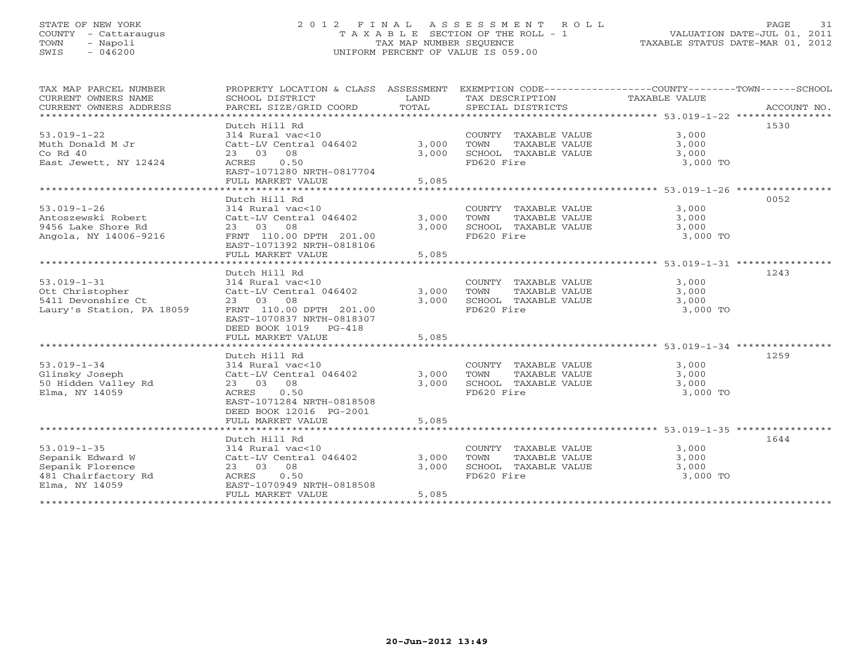# STATE OF NEW YORK 2 0 1 2 F I N A L A S S E S S M E N T R O L L PAGE 31 COUNTY - Cattaraugus T A X A B L E SECTION OF THE ROLL - 1 VALUATION DATE-JUL 01, 2011 TOWN - Napoli TAX MAP NUMBER SEQUENCE TAXABLE STATUS DATE-MAR 01, 2012 SWIS - 046200 UNIFORM PERCENT OF VALUE IS 059.00UNIFORM PERCENT OF VALUE IS 059.00

| TAX MAP PARCEL NUMBER<br>CURRENT OWNERS NAME<br>CURRENT OWNERS ADDRESS | PROPERTY LOCATION & CLASS ASSESSMENT<br>SCHOOL DISTRICT<br>PARCEL SIZE/GRID COORD | LAND<br>TOTAL  | EXEMPTION CODE-----------------COUNTY-------TOWN------SCHOOL<br>TAX DESCRIPTION<br>SPECIAL DISTRICTS | TAXABLE VALUE                                              | ACCOUNT NO. |
|------------------------------------------------------------------------|-----------------------------------------------------------------------------------|----------------|------------------------------------------------------------------------------------------------------|------------------------------------------------------------|-------------|
|                                                                        |                                                                                   |                |                                                                                                      |                                                            |             |
|                                                                        | Dutch Hill Rd                                                                     |                |                                                                                                      |                                                            | 1530        |
| $53.019 - 1 - 22$                                                      | 314 Rural vac<10                                                                  |                | COUNTY TAXABLE VALUE                                                                                 | 3,000                                                      |             |
| Muth Donald M Jr                                                       | Catt-LV Central 046402                                                            | 3,000          | TAXABLE VALUE<br>TOWN                                                                                | 3,000                                                      |             |
| Co Rd 40                                                               | 23 03<br>08                                                                       | 3,000          | SCHOOL TAXABLE VALUE                                                                                 | 3,000                                                      |             |
| East Jewett, NY 12424                                                  | ACRES<br>0.50                                                                     |                | FD620 Fire                                                                                           | 3,000 TO                                                   |             |
|                                                                        | EAST-1071280 NRTH-0817704                                                         |                |                                                                                                      |                                                            |             |
|                                                                        | FULL MARKET VALUE                                                                 | 5,085          |                                                                                                      |                                                            |             |
|                                                                        |                                                                                   |                |                                                                                                      |                                                            |             |
|                                                                        | Dutch Hill Rd                                                                     |                |                                                                                                      |                                                            | 0052        |
| $53.019 - 1 - 26$                                                      | 314 Rural vac<10                                                                  |                | COUNTY TAXABLE VALUE                                                                                 | 3,000                                                      |             |
| Antoszewski Robert<br>9456 Lake Shore Rd                               | Catt-LV Central 046402<br>23 03 08                                                | 3,000<br>3,000 | TOWN<br>TAXABLE VALUE<br>SCHOOL TAXABLE VALUE                                                        | 3,000<br>3,000                                             |             |
| Angola, NY 14006-9216                                                  | FRNT 110.00 DPTH 201.00                                                           |                | FD620 Fire                                                                                           | 3,000 TO                                                   |             |
|                                                                        | EAST-1071392 NRTH-0818106                                                         |                |                                                                                                      |                                                            |             |
|                                                                        | FULL MARKET VALUE                                                                 | 5,085          |                                                                                                      |                                                            |             |
|                                                                        |                                                                                   |                |                                                                                                      |                                                            |             |
|                                                                        | Dutch Hill Rd                                                                     |                |                                                                                                      |                                                            | 1243        |
| $53.019 - 1 - 31$                                                      | 314 Rural vac<10                                                                  |                | COUNTY TAXABLE VALUE                                                                                 | 3,000                                                      |             |
| Ott Christopher                                                        | Catt-LV Central 046402                                                            | 3,000          | TOWN<br>TAXABLE VALUE                                                                                | 3,000                                                      |             |
| 5411 Devonshire Ct                                                     | 23 03 08                                                                          | 3,000          | SCHOOL TAXABLE VALUE                                                                                 | 3,000                                                      |             |
| Laury's Station, PA 18059                                              | FRNT 110.00 DPTH 201.00                                                           |                | FD620 Fire                                                                                           | 3,000 TO                                                   |             |
|                                                                        | EAST-1070837 NRTH-0818307                                                         |                |                                                                                                      |                                                            |             |
|                                                                        | DEED BOOK 1019 PG-418                                                             |                |                                                                                                      |                                                            |             |
|                                                                        | FULL MARKET VALUE                                                                 | 5,085          |                                                                                                      |                                                            |             |
|                                                                        |                                                                                   |                |                                                                                                      |                                                            |             |
|                                                                        | Dutch Hill Rd                                                                     |                |                                                                                                      |                                                            | 1259        |
| $53.019 - 1 - 34$                                                      | 314 Rural vac<10                                                                  |                | COUNTY TAXABLE VALUE                                                                                 | 3,000                                                      |             |
| Glinsky Joseph                                                         | Catt-LV Central 046402                                                            | 3,000          | TOWN<br>TAXABLE VALUE                                                                                | 3,000                                                      |             |
| 50 Hidden Valley Rd                                                    | 23 03 08                                                                          | 3,000          | SCHOOL TAXABLE VALUE                                                                                 | 3,000                                                      |             |
| Elma, NY 14059                                                         | ACRES<br>0.50                                                                     |                | FD620 Fire                                                                                           | 3,000 TO                                                   |             |
|                                                                        | EAST-1071284 NRTH-0818508                                                         |                |                                                                                                      |                                                            |             |
|                                                                        | DEED BOOK 12016 PG-2001                                                           |                |                                                                                                      |                                                            |             |
|                                                                        | FULL MARKET VALUE                                                                 | 5,085          |                                                                                                      |                                                            |             |
|                                                                        | **********************                                                            | ***********    |                                                                                                      | ***************************** 53.019-1-35 **************** |             |
|                                                                        | Dutch Hill Rd                                                                     |                |                                                                                                      |                                                            | 1644        |
| $53.019 - 1 - 35$                                                      | 314 Rural vac<10                                                                  |                | COUNTY TAXABLE VALUE                                                                                 | 3,000                                                      |             |
| Sepanik Edward W                                                       | Catt-LV Central 046402                                                            | 3,000          | TOWN<br>TAXABLE VALUE                                                                                | 3,000                                                      |             |
| Sepanik Florence                                                       | 23 03 08                                                                          | 3,000          | SCHOOL TAXABLE VALUE                                                                                 | 3,000                                                      |             |
| 481 Chairfactory Rd<br>Elma, NY 14059                                  | 0.50<br>ACRES<br>EAST-1070949 NRTH-0818508                                        |                | FD620 Fire                                                                                           | 3,000 TO                                                   |             |
|                                                                        | FULL MARKET VALUE                                                                 | 5,085          |                                                                                                      |                                                            |             |
|                                                                        | **********************************                                                |                |                                                                                                      |                                                            |             |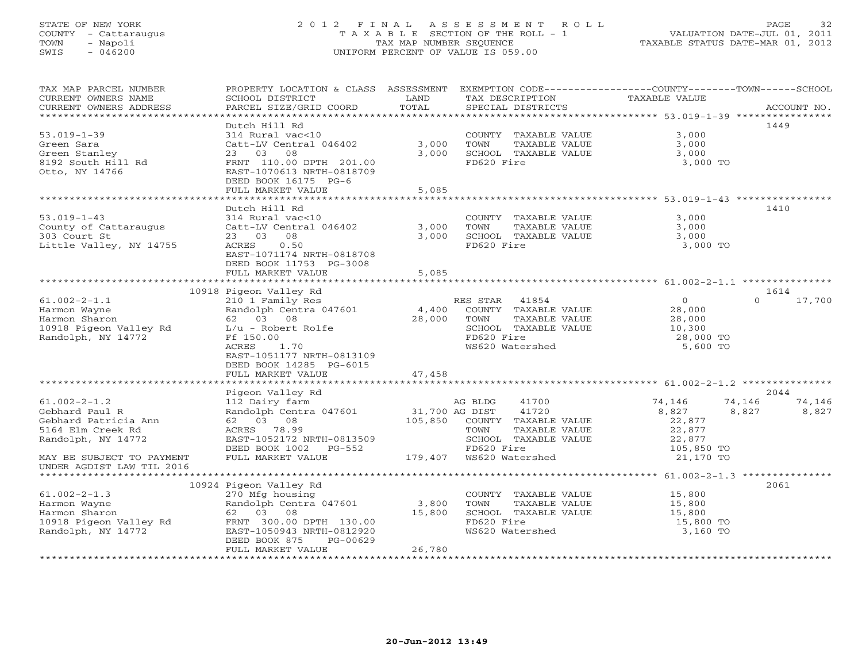# STATE OF NEW YORK 2 0 1 2 F I N A L A S S E S S M E N T R O L L PAGE 32 COUNTY - Cattaraugus T A X A B L E SECTION OF THE ROLL - 1 VALUATION DATE-JUL 01, 2011 TOWN - Napoli TAX MAP NUMBER SEQUENCE TAXABLE STATUS DATE-MAR 01, 2012 SWIS - 046200 UNIFORM PERCENT OF VALUE IS 059.00UNIFORM PERCENT OF VALUE IS 059.00

| TAX MAP PARCEL NUMBER<br>CURRENT OWNERS NAME | PROPERTY LOCATION & CLASS ASSESSMENT<br>SCHOOL DISTRICT | LAND           | EXEMPTION CODE-----------------COUNTY-------TOWN------SCHOOL<br>TAX DESCRIPTION | TAXABLE VALUE |                    |
|----------------------------------------------|---------------------------------------------------------|----------------|---------------------------------------------------------------------------------|---------------|--------------------|
| CURRENT OWNERS ADDRESS                       | PARCEL SIZE/GRID COORD                                  | TOTAL          | SPECIAL DISTRICTS                                                               |               | ACCOUNT NO.        |
|                                              |                                                         |                |                                                                                 |               | 1449               |
|                                              | Dutch Hill Rd                                           |                |                                                                                 |               |                    |
| $53.019 - 1 - 39$                            | 314 Rural vac<10                                        |                | COUNTY TAXABLE VALUE                                                            | 3,000         |                    |
| Green Sara                                   | Catt-LV Central 046402                                  | 3,000          | TOWN<br>TAXABLE VALUE                                                           | 3,000         |                    |
| Green Stanley                                | 23 03<br>08                                             | 3,000          | SCHOOL TAXABLE VALUE                                                            | 3,000         |                    |
| 8192 South Hill Rd                           | FRNT 110.00 DPTH 201.00                                 |                | FD620 Fire                                                                      | 3,000 TO      |                    |
| Otto, NY 14766                               | EAST-1070613 NRTH-0818709                               |                |                                                                                 |               |                    |
|                                              | DEED BOOK 16175 PG-6                                    |                |                                                                                 |               |                    |
|                                              | FULL MARKET VALUE                                       | 5,085          |                                                                                 |               |                    |
|                                              | Dutch Hill Rd                                           |                |                                                                                 |               | 1410               |
| $53.019 - 1 - 43$                            | $314$ Rural vac<10                                      |                | COUNTY TAXABLE VALUE                                                            | 3,000         |                    |
| County of Cattaraugus                        | Catt-LV Central 046402                                  | 3,000          | TOWN<br>TAXABLE VALUE                                                           | 3,000         |                    |
| 303 Court St                                 | 23 03 08                                                | 3,000          | SCHOOL TAXABLE VALUE                                                            | 3,000         |                    |
| Little Valley, NY 14755                      | 0.50<br>ACRES                                           |                | FD620 Fire                                                                      | 3,000 TO      |                    |
|                                              | EAST-1071174 NRTH-0818708                               |                |                                                                                 |               |                    |
|                                              | DEED BOOK 11753 PG-3008                                 |                |                                                                                 |               |                    |
|                                              | FULL MARKET VALUE                                       | 5,085          |                                                                                 |               |                    |
|                                              |                                                         |                |                                                                                 |               |                    |
|                                              | 10918 Pigeon Valley Rd                                  |                |                                                                                 |               | 1614               |
| $61.002 - 2 - 1.1$                           | 210 1 Family Res                                        |                | RES STAR<br>41854                                                               | 0             | 17,700<br>$\Omega$ |
| Harmon Wayne                                 | Randolph Centra 047601                                  | 4,400          | COUNTY TAXABLE VALUE                                                            | 28,000        |                    |
| Harmon Sharon                                | 62 03 08                                                | 28,000         | TAXABLE VALUE<br>TOWN                                                           | 28,000        |                    |
| 10918 Pigeon Valley Rd                       | L/u - Robert Rolfe                                      |                | SCHOOL TAXABLE VALUE                                                            | 10,300        |                    |
| Randolph, NY 14772                           | Ff 150.00                                               |                | FD620 Fire                                                                      | 28,000 TO     |                    |
|                                              | 1.70<br>ACRES                                           |                | WS620 Watershed                                                                 | 5,600 TO      |                    |
|                                              | EAST-1051177 NRTH-0813109                               |                |                                                                                 |               |                    |
|                                              | DEED BOOK 14285 PG-6015                                 |                |                                                                                 |               |                    |
|                                              | FULL MARKET VALUE                                       | 47,458         |                                                                                 |               |                    |
|                                              |                                                         |                |                                                                                 |               |                    |
|                                              | Pigeon Valley Rd                                        |                |                                                                                 |               | 2044               |
| $61.002 - 2 - 1.2$                           | 112 Dairy farm                                          |                | AG BLDG<br>41700                                                                | 74,146        | 74,146<br>74,146   |
| Gebhard Paul R                               | Randolph Centra 047601                                  | 31,700 AG DIST | 41720                                                                           | 8,827         | 8,827<br>8,827     |
| Gebhard Patricia Ann                         | 62 03 08                                                | 105,850        | COUNTY TAXABLE VALUE                                                            | 22,877        |                    |
| 5164 Elm Creek Rd                            | ACRES 78.99                                             |                | TOWN<br>TAXABLE VALUE                                                           | 22,877        |                    |
| Randolph, NY 14772                           | EAST-1052172 NRTH-0813509                               |                | SCHOOL TAXABLE VALUE                                                            | 22,877        |                    |
|                                              | DEED BOOK 1002 PG-552                                   |                | FD620 Fire                                                                      | 105,850 TO    |                    |
| MAY BE SUBJECT TO PAYMENT                    | FULL MARKET VALUE                                       |                | 179,407 WS620 Watershed                                                         | 21,170 TO     |                    |
| UNDER AGDIST LAW TIL 2016                    |                                                         |                |                                                                                 |               |                    |
|                                              |                                                         |                |                                                                                 |               |                    |
|                                              | 10924 Pigeon Valley Rd                                  |                |                                                                                 |               | 2061               |
| $61.002 - 2 - 1.3$                           | 270 Mfg housing                                         |                | COUNTY TAXABLE VALUE                                                            | 15,800        |                    |
| Harmon Wayne                                 | Randolph Centra 047601                                  | 3,800          | TOWN<br>TAXABLE VALUE                                                           | 15,800        |                    |
| Harmon Sharon                                | 62 03 08                                                | 15,800         | SCHOOL TAXABLE VALUE                                                            | 15,800        |                    |
| 10918 Pigeon Valley Rd                       | FRNT 300.00 DPTH 130.00                                 |                | FD620 Fire                                                                      | 15,800 TO     |                    |
| Randolph, NY 14772                           | EAST-1050943 NRTH-0812920                               |                | WS620 Watershed                                                                 | 3,160 TO      |                    |
|                                              | DEED BOOK 875<br>PG-00629                               |                |                                                                                 |               |                    |
|                                              | FULL MARKET VALUE                                       | 26,780         |                                                                                 |               |                    |
|                                              |                                                         |                |                                                                                 |               |                    |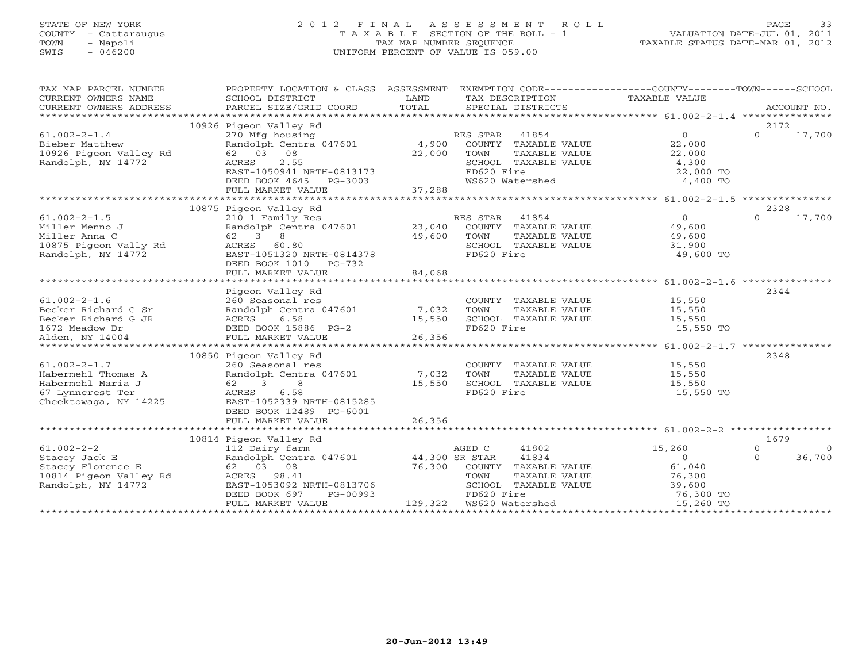# STATE OF NEW YORK 2 0 1 2 F I N A L A S S E S S M E N T R O L L PAGE 33 COUNTY - Cattaraugus T A X A B L E SECTION OF THE ROLL - 1 VALUATION DATE-JUL 01, 2011 TOWN - Napoli TAX MAP NUMBER SEQUENCE TAXABLE STATUS DATE-MAR 01, 2012 SWIS - 046200 UNIFORM PERCENT OF VALUE IS 059.00UNIFORM PERCENT OF VALUE IS 059.00

| TAX MAP PARCEL NUMBER<br>CURRENT OWNERS NAME<br>CURRENT OWNERS ADDRESS                                     | PROPERTY LOCATION & CLASS ASSESSMENT<br>SCHOOL DISTRICT<br>PARCEL SIZE/GRID COORD                                                                                      | LAND<br>TOTAL    | SPECIAL DISTRICTS                                                                       |               | EXEMPTION CODE-----------------COUNTY-------TOWN------SCHOOL<br>TAX DESCRIPTION TAXABLE VALUE                                                            |                      | ACCOUNT NO.              |
|------------------------------------------------------------------------------------------------------------|------------------------------------------------------------------------------------------------------------------------------------------------------------------------|------------------|-----------------------------------------------------------------------------------------|---------------|----------------------------------------------------------------------------------------------------------------------------------------------------------|----------------------|--------------------------|
|                                                                                                            | 10926 Pigeon Valley Rd                                                                                                                                                 |                  |                                                                                         |               |                                                                                                                                                          | 2172                 |                          |
| $61.002 - 2 - 1.4$<br>Bieber Matthew<br>10926 Pigeon Valley Rd<br>Randolph, NY 14772                       | 62 03 08<br>2.55<br>ACRES<br>EAST-1050941 NRTH-0813173                                                                                                                 | 22,000           | RES STAR<br>41854<br>COUNTY TAXABLE VALUE<br>TOWN<br>SCHOOL TAXABLE VALUE<br>FD620 Fire | TAXABLE VALUE | $\overline{O}$<br>22,000<br>22,000<br>4,300<br>22,000 TO                                                                                                 | $\Omega$             | 17,700                   |
|                                                                                                            |                                                                                                                                                                        |                  |                                                                                         |               |                                                                                                                                                          |                      |                          |
|                                                                                                            |                                                                                                                                                                        |                  |                                                                                         |               |                                                                                                                                                          |                      |                          |
|                                                                                                            | 10875 Pigeon Valley Rd                                                                                                                                                 |                  |                                                                                         |               |                                                                                                                                                          | 2328                 |                          |
| $61.002 - 2 - 1.5$<br>Miller Menno J<br>Miller Anna C<br>10875 Pigeon Vally Rd<br>Randolph, NY 14772       | 210 1 Family Res<br>Randolph Centra $047601$ 23,040<br>62 3 8<br>49,600<br>ACRES 60.80<br>EAST-1051320 NRTH-0814378<br>DEED BOOK 1010 PG-732                           |                  | RES STAR 41854<br>TOWN<br>FD620 Fire                                                    | TAXABLE VALUE | $\Omega$<br>- COUNTY TAXABLE VALUE<br>COUNTY TAXABLE VALUE (49,600)<br>TOWN TAXABLE VALUE (49,600)<br>49,600<br>SCHOOL TAXABLE VALUE 31,900<br>49,600 TO | $\Omega$             | 17,700                   |
|                                                                                                            | FULL MARKET VALUE                                                                                                                                                      | 84,068           |                                                                                         |               |                                                                                                                                                          |                      |                          |
|                                                                                                            | Pigeon Valley Rd                                                                                                                                                       |                  |                                                                                         |               |                                                                                                                                                          | 2344                 |                          |
| $61.002 - 2 - 1.6$<br>Becker Richard G Sr<br>Becker Richard G JR<br>1672 Meadow Dr<br>Alden, NY 14004      | 260 Seasonal res<br>260 Seasonal res<br>Randolph Centra 047601      7,032<br>ACRES<br>6.58<br>DEED BOOK 15886 PG-2<br>FULL MARKET VALUE                                | 15,550<br>26,356 |                                                                                         |               | COUNTY TAXABLE VALUE 15,550<br>TOWN TAXABLE VALUE 15,550                                                                                                 |                      |                          |
|                                                                                                            |                                                                                                                                                                        |                  |                                                                                         |               |                                                                                                                                                          |                      |                          |
| $61.002 - 2 - 1.7$<br>Habermehl Thomas A<br>Habermehl Maria J<br>o, Lynucrest Ter<br>Cheektowaga, NY 14225 | 10850 Pigeon Valley Rd<br>260 Seasonal res<br>Randolph Centra 047601 7,032<br>15,550 2 15,550<br>6.58<br>ACRES<br>EAST-1052339 NRTH-0815285<br>DEED BOOK 12489 PG-6001 |                  | FD620 Fire                                                                              |               | COUNTY TAXABLE VALUE 15,550<br>TOWN TAXABLE VALUE 15,550<br>SCHOOL TAXABLE VALUE 15,550<br>15,550 TO                                                     | 2348                 |                          |
|                                                                                                            |                                                                                                                                                                        |                  |                                                                                         |               |                                                                                                                                                          |                      |                          |
|                                                                                                            | 10814 Pigeon Valley Rd                                                                                                                                                 |                  |                                                                                         |               |                                                                                                                                                          | 1679                 |                          |
| $61.002 - 2 - 2$<br>Stacey Jack E<br>Stacey Florence E<br>10814 Pigeon Valley Rd<br>Randolph, NY 14772     | 112 Dairy farm<br>Randolph Centra 047601 44,300 SR STAR<br>62 03 08<br>ACRES 98.41<br>EAST-1053092 NRTH-0813706<br>DEED BOOK 697<br>PG-00993<br>FULL MARKET VALUE      |                  | AGED C<br>41802<br>41834<br>76,300 COUNTY TAXABLE VALUE<br>TOWN<br>FD620 Fire           |               | 15,260<br>$\overline{0}$<br>TAXABLE VALUE 76,300<br>SCHOOL TAXABLE VALUE 39,600<br>FD620 Fire 76,300 TO<br>15,260 TO                                     | $\Omega$<br>$\Omega$ | $\overline{0}$<br>36,700 |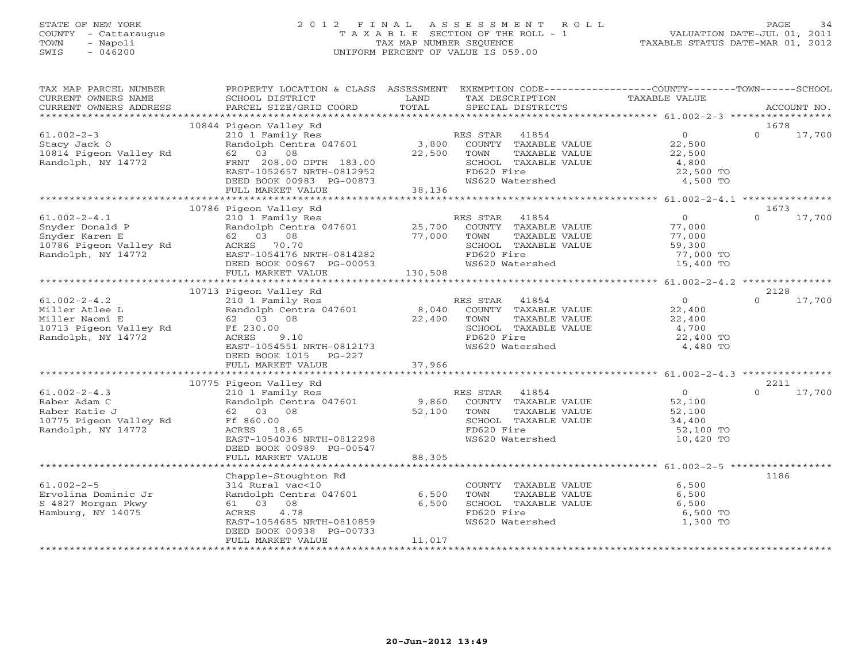# STATE OF NEW YORK 2 0 1 2 F I N A L A S S E S S M E N T R O L L PAGE 34 COUNTY - Cattaraugus T A X A B L E SECTION OF THE ROLL - 1 VALUATION DATE-JUL 01, 2011 TOWN - Napoli TAX MAP NUMBER SEQUENCE TAXABLE STATUS DATE-MAR 01, 2012 SWIS - 046200 UNIFORM PERCENT OF VALUE IS 059.00UNIFORM PERCENT OF VALUE IS 059.00

| TAX MAP PARCEL NUMBER<br>CURRENT OWNERS NAME<br>CURRENT OWNERS ADDRESS                                                                      | PROPERTY LOCATION & CLASS ASSESSMENT EXEMPTION CODE---------------COUNTY-------TOWN------SCHOOL<br>SCHOOL DISTRICT<br>PARCEL SIZE/GRID COORD                                                                                                                                                                                | LAND<br>TOTAL | TAX DESCRIPTION<br>SPECIAL DISTRICTS                                                                                           | TAXABLE VALUE                                                                          | ACCOUNT NO.        |
|---------------------------------------------------------------------------------------------------------------------------------------------|-----------------------------------------------------------------------------------------------------------------------------------------------------------------------------------------------------------------------------------------------------------------------------------------------------------------------------|---------------|--------------------------------------------------------------------------------------------------------------------------------|----------------------------------------------------------------------------------------|--------------------|
|                                                                                                                                             |                                                                                                                                                                                                                                                                                                                             |               |                                                                                                                                |                                                                                        |                    |
|                                                                                                                                             | 10844 Pigeon Valley Rd                                                                                                                                                                                                                                                                                                      |               |                                                                                                                                |                                                                                        | 1678               |
| $61.002 - 2 - 3$                                                                                                                            | FRNT 208.00 DPTH 183.00<br>EAST-1052657 NRTH-0812952<br>DEED BOOK 00983 PG-00873<br>FULL MARKET VALUE 38,136                                                                                                                                                                                                                |               | TAXABLE VALUE<br>SCHOOL TAXABLE VALUE<br>FD620 Fire<br>WS620 Watershed                                                         | $\begin{array}{c} 0 \\ 22,500 \\ 22,500 \end{array}$<br>4,800<br>22,500 TO<br>4,500 TO | $\Omega$<br>17,700 |
|                                                                                                                                             |                                                                                                                                                                                                                                                                                                                             |               |                                                                                                                                |                                                                                        |                    |
|                                                                                                                                             | 10786 Pigeon Valley Rd                                                                                                                                                                                                                                                                                                      |               |                                                                                                                                |                                                                                        | 1673               |
| $61.002 - 2 - 4.1$<br>Snyder Donald P<br>Snyder Karen E<br>10786 Pigeon Valley Rd<br>Randolph, NY 14772<br>EAST-1054176 M<br>EAST-1054176 M | 210 1 Family Res<br>210 1 Family Res Randolph Centra 047601 25,700 COUNTY TAXABLE VALUE 77,000<br>62 03 08 08 77,000 COUNTY TAXABLE VALUE 77,000<br>62 03 08 08 77,000 TOWN TAXABLE VALUE 77,000<br>EAST-1054176 NRTH-0814282 FD620 Fire 77,000<br>DEED BO<br>62 03 08<br>FULL MARKET VALUE                                 | 130,508       | RES STAR 41854<br>SCHOOL TAXABLE VALUE 59,300<br>FD620 Fire 77,000 TO                                                          | $\overline{0}$<br>15,400 TO                                                            | $\Omega$<br>17,700 |
|                                                                                                                                             |                                                                                                                                                                                                                                                                                                                             |               |                                                                                                                                |                                                                                        |                    |
|                                                                                                                                             | 10713 Pigeon Valley Rd                                                                                                                                                                                                                                                                                                      |               |                                                                                                                                |                                                                                        | 2128               |
| $61.002 - 2 - 4.2$<br>Miller Atlee L<br>Miller Naomi E<br>10713 Pigeon Valley Rd Ff 230.00<br>Randolph, NY 14772                            | Pigeon Valley Rd 210 1 Family Res 210 1 Family Res 22,400 RES 5TAR 41854 22,400 RES 5TAR 41854 22,400 RES 5TAR 41854 22,400 RES 5TAR 41854 22,400 22,400 22,400 5CHOOL TAXABLE VALUE 22,400 5CHOOL TAXABLE VALUE 22,400 5CHOOL<br>62 03 08<br>Ff 230.00<br>ACRES 9.10<br>EAST-1054551 NRTH-0812173<br>DEED BOOK 1015 PG-227 |               | FD620 Fire<br>WS620 Watershed                                                                                                  | 22,400 TO<br>4,480 TO                                                                  | $\Omega$<br>17,700 |
|                                                                                                                                             |                                                                                                                                                                                                                                                                                                                             |               |                                                                                                                                |                                                                                        |                    |
|                                                                                                                                             | 10775 Pigeon Valley Rd                                                                                                                                                                                                                                                                                                      |               |                                                                                                                                |                                                                                        | 2211               |
| $61.002 - 2 - 4.3$<br>Raber Adam C<br>Raber Katie J<br>10775 Pigeon Valley Rd<br>Randolph, NY 14772                                         | Example of the RES STAR 41854<br>Randolph Centra 047601 9,860 COUNTY TAXABLE VALUE<br>62 03 08 52,100 TOWN TAXABLE VALUE<br>FIRE 360.00<br>62 03 08<br>ACRES 18.65<br>EAST-1054036 NRTH-0812298<br>DEED BOOK 00989 PG-00547<br>FULL MARKET VALUE                                                                            | 88,305        | TAXABLE VALUE<br>SCHOOL TAXABLE VALUE<br>FD620 Fire<br>FD620 Fire<br>WS620 Watershed                                           | $\overline{0}$<br>$52,100$<br>$52,100$<br>34,400<br>52,100 TO<br>10,420 TO             | $\Omega$<br>17,700 |
|                                                                                                                                             |                                                                                                                                                                                                                                                                                                                             |               |                                                                                                                                |                                                                                        |                    |
| $61.002 - 2 - 5$<br>Ervolina Dominic Jr<br>S 4827 Morgan Pkwy<br>Hamburg, NY 14075                                                          | Kural vac<10<br>Randolph Centra 047601 6,500<br>61 03 08 6,500<br>ACRES 4.78 6,500<br>EAST-1054685 ***-<br>EAST-1054685 NRTH-0810859<br>DEED BOOK 00938 PG-00733<br>FULL MARKET VALUE                                                                                                                                       | 11,017        | COUNTY TAXABLE VALUE 6,500<br>TOWN TAXABLE VALUE 6,500<br>SCHOOL TAXABLE VALUE 6,500<br>6.500<br>FD620 Fire<br>WS620 Watershed | 6,500 TO<br>1,300 TO                                                                   | 1186               |
|                                                                                                                                             |                                                                                                                                                                                                                                                                                                                             |               |                                                                                                                                |                                                                                        |                    |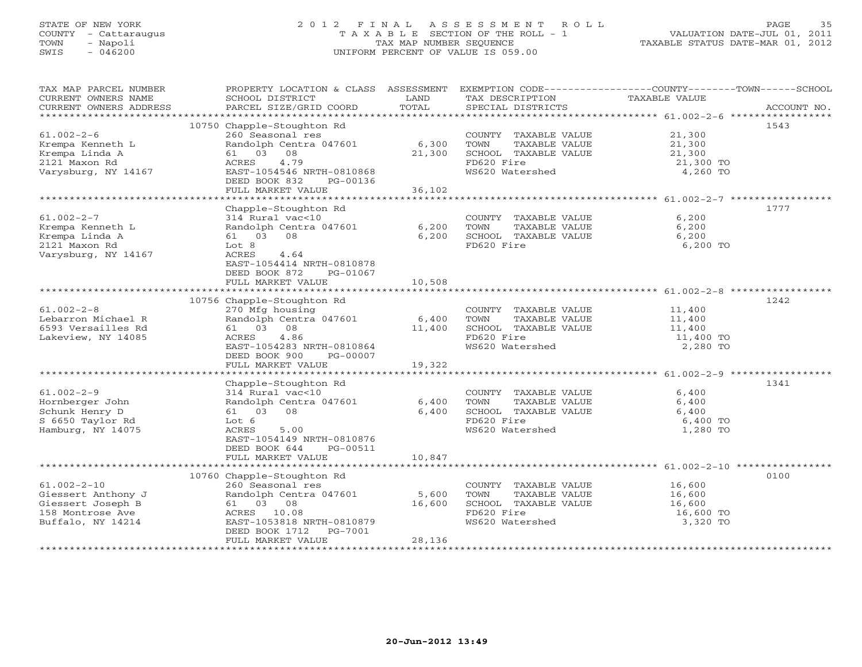# STATE OF NEW YORK 2 0 1 2 F I N A L A S S E S S M E N T R O L L PAGE 35 COUNTY - Cattaraugus T A X A B L E SECTION OF THE ROLL - 1 VALUATION DATE-JUL 01, 2011 TOWN - Napoli TAX MAP NUMBER SEQUENCE TAXABLE STATUS DATE-MAR 01, 2012 SWIS - 046200 UNIFORM PERCENT OF VALUE IS 059.00UNIFORM PERCENT OF VALUE IS 059.00

| 10750 Chapple-Stoughton Rd<br>1543<br>$61.002 - 2 - 6$<br>260 Seasonal res<br>COUNTY TAXABLE VALUE<br>21,300<br>Randolph Centra 047601<br>6,300<br>21,300<br>Krempa Kenneth L<br>TOWN<br>TAXABLE VALUE<br>21,300<br>Krempa Linda A<br>61 03 08<br>SCHOOL TAXABLE VALUE<br>21,300<br>FD620 Fire<br>2121 Maxon Rd<br>4.79<br>ACRES<br>21,300 TO<br>WS620 Watershed<br>Varysburg, NY 14167<br>EAST-1054546 NRTH-0810868<br>4,260 TO<br>DEED BOOK 832<br>PG-00136<br>FULL MARKET VALUE<br>36,102<br>Chapple-Stoughton Rd<br>1777<br>$61.002 - 2 - 7$<br>314 Rural vac<10<br>COUNTY TAXABLE VALUE<br>6,200<br>Randolph Centra 047601<br>Krempa Kenneth L<br>6,200<br>TOWN<br>TAXABLE VALUE<br>6,200<br>6,200<br>6,200<br>Krempa Linda A<br>61 03 08<br>SCHOOL TAXABLE VALUE<br>FD620 Fire<br>2121 Maxon Rd<br>6,200 TO<br>Lot 8<br>Varysburg, NY 14167<br>ACRES<br>4.64<br>EAST-1054414 NRTH-0810878<br>DEED BOOK 872<br>PG-01067<br>FULL MARKET VALUE<br>10,508<br>1242<br>10756 Chapple-Stoughton Rd<br>$61.002 - 2 - 8$<br>270 Mfg housing<br>COUNTY TAXABLE VALUE<br>11,400<br>Randolph Centra 047601<br>Lebarron Michael R<br>6,400<br>TOWN<br>TAXABLE VALUE<br>11,400<br>6593 Versailles Rd<br>61 03 08<br>SCHOOL TAXABLE VALUE<br>11,400<br>11,400<br>FD620 Fire<br>Lakeview, NY 14085<br>ACRES<br>4.86<br>11,400 TO<br>WS620 Watershed<br>EAST-1054283 NRTH-0810864<br>2,280 TO<br>DEED BOOK 900<br>PG-00007<br>FULL MARKET VALUE<br>19,322<br>Chapple-Stoughton Rd<br>1341<br>$61.002 - 2 - 9$<br>314 Rural vac<10<br>6,400<br>COUNTY TAXABLE VALUE<br>Hornberger John<br>Randolph Centra 047601<br>6,400<br>TOWN<br>TAXABLE VALUE<br>6,400<br>Schunk Henry D<br>61 03 08<br>6,400<br>SCHOOL TAXABLE VALUE<br>6,400<br>S 6650 Taylor Rd<br>Lot 6<br>FD620 Fire<br>6,400 TO<br>Hamburg, NY 14075<br>ACRES<br>5.00<br>WS620 Watershed<br>1,280 TO<br>EAST-1054149 NRTH-0810876<br>DEED BOOK 644<br>PG-00511<br>FULL MARKET VALUE<br>10,847<br>*************<br>***************************<br>10760 Chapple-Stoughton Rd<br>0100<br>$61.002 - 2 - 10$<br>260 Seasonal res<br>COUNTY TAXABLE VALUE<br>16,600<br>Giessert Anthony J<br>Randolph Centra 047601<br>5,600<br>16,600<br>TOWN<br>TAXABLE VALUE<br>Giessert Joseph B<br>61 03 08<br>16,600<br>SCHOOL TAXABLE VALUE<br>16,600<br>FD620 Fire<br>158 Montrose Ave<br>ACRES 10.08<br>16,600 TO<br>WS620 Watershed<br>3,320 TO<br>Buffalo, NY 14214<br>EAST-1053818 NRTH-0810879<br>DEED BOOK 1712<br>PG-7001<br>28,136<br>FULL MARKET VALUE | TAX MAP PARCEL NUMBER<br>CURRENT OWNERS NAME<br>CURRENT OWNERS ADDRESS | PROPERTY LOCATION & CLASS ASSESSMENT<br>SCHOOL DISTRICT<br>PARCEL SIZE/GRID COORD | LAND<br>TOTAL | EXEMPTION CODE-----------------COUNTY-------TOWN------SCHOOL<br>TAX DESCRIPTION<br>SPECIAL DISTRICTS | TAXABLE VALUE | ACCOUNT NO. |
|---------------------------------------------------------------------------------------------------------------------------------------------------------------------------------------------------------------------------------------------------------------------------------------------------------------------------------------------------------------------------------------------------------------------------------------------------------------------------------------------------------------------------------------------------------------------------------------------------------------------------------------------------------------------------------------------------------------------------------------------------------------------------------------------------------------------------------------------------------------------------------------------------------------------------------------------------------------------------------------------------------------------------------------------------------------------------------------------------------------------------------------------------------------------------------------------------------------------------------------------------------------------------------------------------------------------------------------------------------------------------------------------------------------------------------------------------------------------------------------------------------------------------------------------------------------------------------------------------------------------------------------------------------------------------------------------------------------------------------------------------------------------------------------------------------------------------------------------------------------------------------------------------------------------------------------------------------------------------------------------------------------------------------------------------------------------------------------------------------------------------------------------------------------------------------------------------------------------------------------------------------------------------------------------------------------------------------------------------------------------------------------------------------------------------------------------------------------------------------------------------|------------------------------------------------------------------------|-----------------------------------------------------------------------------------|---------------|------------------------------------------------------------------------------------------------------|---------------|-------------|
|                                                                                                                                                                                                                                                                                                                                                                                                                                                                                                                                                                                                                                                                                                                                                                                                                                                                                                                                                                                                                                                                                                                                                                                                                                                                                                                                                                                                                                                                                                                                                                                                                                                                                                                                                                                                                                                                                                                                                                                                                                                                                                                                                                                                                                                                                                                                                                                                                                                                                                   |                                                                        |                                                                                   |               |                                                                                                      |               |             |
|                                                                                                                                                                                                                                                                                                                                                                                                                                                                                                                                                                                                                                                                                                                                                                                                                                                                                                                                                                                                                                                                                                                                                                                                                                                                                                                                                                                                                                                                                                                                                                                                                                                                                                                                                                                                                                                                                                                                                                                                                                                                                                                                                                                                                                                                                                                                                                                                                                                                                                   |                                                                        |                                                                                   |               |                                                                                                      |               |             |
|                                                                                                                                                                                                                                                                                                                                                                                                                                                                                                                                                                                                                                                                                                                                                                                                                                                                                                                                                                                                                                                                                                                                                                                                                                                                                                                                                                                                                                                                                                                                                                                                                                                                                                                                                                                                                                                                                                                                                                                                                                                                                                                                                                                                                                                                                                                                                                                                                                                                                                   |                                                                        |                                                                                   |               |                                                                                                      |               |             |
|                                                                                                                                                                                                                                                                                                                                                                                                                                                                                                                                                                                                                                                                                                                                                                                                                                                                                                                                                                                                                                                                                                                                                                                                                                                                                                                                                                                                                                                                                                                                                                                                                                                                                                                                                                                                                                                                                                                                                                                                                                                                                                                                                                                                                                                                                                                                                                                                                                                                                                   |                                                                        |                                                                                   |               |                                                                                                      |               |             |
|                                                                                                                                                                                                                                                                                                                                                                                                                                                                                                                                                                                                                                                                                                                                                                                                                                                                                                                                                                                                                                                                                                                                                                                                                                                                                                                                                                                                                                                                                                                                                                                                                                                                                                                                                                                                                                                                                                                                                                                                                                                                                                                                                                                                                                                                                                                                                                                                                                                                                                   |                                                                        |                                                                                   |               |                                                                                                      |               |             |
|                                                                                                                                                                                                                                                                                                                                                                                                                                                                                                                                                                                                                                                                                                                                                                                                                                                                                                                                                                                                                                                                                                                                                                                                                                                                                                                                                                                                                                                                                                                                                                                                                                                                                                                                                                                                                                                                                                                                                                                                                                                                                                                                                                                                                                                                                                                                                                                                                                                                                                   |                                                                        |                                                                                   |               |                                                                                                      |               |             |
|                                                                                                                                                                                                                                                                                                                                                                                                                                                                                                                                                                                                                                                                                                                                                                                                                                                                                                                                                                                                                                                                                                                                                                                                                                                                                                                                                                                                                                                                                                                                                                                                                                                                                                                                                                                                                                                                                                                                                                                                                                                                                                                                                                                                                                                                                                                                                                                                                                                                                                   |                                                                        |                                                                                   |               |                                                                                                      |               |             |
|                                                                                                                                                                                                                                                                                                                                                                                                                                                                                                                                                                                                                                                                                                                                                                                                                                                                                                                                                                                                                                                                                                                                                                                                                                                                                                                                                                                                                                                                                                                                                                                                                                                                                                                                                                                                                                                                                                                                                                                                                                                                                                                                                                                                                                                                                                                                                                                                                                                                                                   |                                                                        |                                                                                   |               |                                                                                                      |               |             |
|                                                                                                                                                                                                                                                                                                                                                                                                                                                                                                                                                                                                                                                                                                                                                                                                                                                                                                                                                                                                                                                                                                                                                                                                                                                                                                                                                                                                                                                                                                                                                                                                                                                                                                                                                                                                                                                                                                                                                                                                                                                                                                                                                                                                                                                                                                                                                                                                                                                                                                   |                                                                        |                                                                                   |               |                                                                                                      |               |             |
|                                                                                                                                                                                                                                                                                                                                                                                                                                                                                                                                                                                                                                                                                                                                                                                                                                                                                                                                                                                                                                                                                                                                                                                                                                                                                                                                                                                                                                                                                                                                                                                                                                                                                                                                                                                                                                                                                                                                                                                                                                                                                                                                                                                                                                                                                                                                                                                                                                                                                                   |                                                                        |                                                                                   |               |                                                                                                      |               |             |
|                                                                                                                                                                                                                                                                                                                                                                                                                                                                                                                                                                                                                                                                                                                                                                                                                                                                                                                                                                                                                                                                                                                                                                                                                                                                                                                                                                                                                                                                                                                                                                                                                                                                                                                                                                                                                                                                                                                                                                                                                                                                                                                                                                                                                                                                                                                                                                                                                                                                                                   |                                                                        |                                                                                   |               |                                                                                                      |               |             |
|                                                                                                                                                                                                                                                                                                                                                                                                                                                                                                                                                                                                                                                                                                                                                                                                                                                                                                                                                                                                                                                                                                                                                                                                                                                                                                                                                                                                                                                                                                                                                                                                                                                                                                                                                                                                                                                                                                                                                                                                                                                                                                                                                                                                                                                                                                                                                                                                                                                                                                   |                                                                        |                                                                                   |               |                                                                                                      |               |             |
|                                                                                                                                                                                                                                                                                                                                                                                                                                                                                                                                                                                                                                                                                                                                                                                                                                                                                                                                                                                                                                                                                                                                                                                                                                                                                                                                                                                                                                                                                                                                                                                                                                                                                                                                                                                                                                                                                                                                                                                                                                                                                                                                                                                                                                                                                                                                                                                                                                                                                                   |                                                                        |                                                                                   |               |                                                                                                      |               |             |
|                                                                                                                                                                                                                                                                                                                                                                                                                                                                                                                                                                                                                                                                                                                                                                                                                                                                                                                                                                                                                                                                                                                                                                                                                                                                                                                                                                                                                                                                                                                                                                                                                                                                                                                                                                                                                                                                                                                                                                                                                                                                                                                                                                                                                                                                                                                                                                                                                                                                                                   |                                                                        |                                                                                   |               |                                                                                                      |               |             |
|                                                                                                                                                                                                                                                                                                                                                                                                                                                                                                                                                                                                                                                                                                                                                                                                                                                                                                                                                                                                                                                                                                                                                                                                                                                                                                                                                                                                                                                                                                                                                                                                                                                                                                                                                                                                                                                                                                                                                                                                                                                                                                                                                                                                                                                                                                                                                                                                                                                                                                   |                                                                        |                                                                                   |               |                                                                                                      |               |             |
|                                                                                                                                                                                                                                                                                                                                                                                                                                                                                                                                                                                                                                                                                                                                                                                                                                                                                                                                                                                                                                                                                                                                                                                                                                                                                                                                                                                                                                                                                                                                                                                                                                                                                                                                                                                                                                                                                                                                                                                                                                                                                                                                                                                                                                                                                                                                                                                                                                                                                                   |                                                                        |                                                                                   |               |                                                                                                      |               |             |
|                                                                                                                                                                                                                                                                                                                                                                                                                                                                                                                                                                                                                                                                                                                                                                                                                                                                                                                                                                                                                                                                                                                                                                                                                                                                                                                                                                                                                                                                                                                                                                                                                                                                                                                                                                                                                                                                                                                                                                                                                                                                                                                                                                                                                                                                                                                                                                                                                                                                                                   |                                                                        |                                                                                   |               |                                                                                                      |               |             |
|                                                                                                                                                                                                                                                                                                                                                                                                                                                                                                                                                                                                                                                                                                                                                                                                                                                                                                                                                                                                                                                                                                                                                                                                                                                                                                                                                                                                                                                                                                                                                                                                                                                                                                                                                                                                                                                                                                                                                                                                                                                                                                                                                                                                                                                                                                                                                                                                                                                                                                   |                                                                        |                                                                                   |               |                                                                                                      |               |             |
|                                                                                                                                                                                                                                                                                                                                                                                                                                                                                                                                                                                                                                                                                                                                                                                                                                                                                                                                                                                                                                                                                                                                                                                                                                                                                                                                                                                                                                                                                                                                                                                                                                                                                                                                                                                                                                                                                                                                                                                                                                                                                                                                                                                                                                                                                                                                                                                                                                                                                                   |                                                                        |                                                                                   |               |                                                                                                      |               |             |
|                                                                                                                                                                                                                                                                                                                                                                                                                                                                                                                                                                                                                                                                                                                                                                                                                                                                                                                                                                                                                                                                                                                                                                                                                                                                                                                                                                                                                                                                                                                                                                                                                                                                                                                                                                                                                                                                                                                                                                                                                                                                                                                                                                                                                                                                                                                                                                                                                                                                                                   |                                                                        |                                                                                   |               |                                                                                                      |               |             |
|                                                                                                                                                                                                                                                                                                                                                                                                                                                                                                                                                                                                                                                                                                                                                                                                                                                                                                                                                                                                                                                                                                                                                                                                                                                                                                                                                                                                                                                                                                                                                                                                                                                                                                                                                                                                                                                                                                                                                                                                                                                                                                                                                                                                                                                                                                                                                                                                                                                                                                   |                                                                        |                                                                                   |               |                                                                                                      |               |             |
|                                                                                                                                                                                                                                                                                                                                                                                                                                                                                                                                                                                                                                                                                                                                                                                                                                                                                                                                                                                                                                                                                                                                                                                                                                                                                                                                                                                                                                                                                                                                                                                                                                                                                                                                                                                                                                                                                                                                                                                                                                                                                                                                                                                                                                                                                                                                                                                                                                                                                                   |                                                                        |                                                                                   |               |                                                                                                      |               |             |
|                                                                                                                                                                                                                                                                                                                                                                                                                                                                                                                                                                                                                                                                                                                                                                                                                                                                                                                                                                                                                                                                                                                                                                                                                                                                                                                                                                                                                                                                                                                                                                                                                                                                                                                                                                                                                                                                                                                                                                                                                                                                                                                                                                                                                                                                                                                                                                                                                                                                                                   |                                                                        |                                                                                   |               |                                                                                                      |               |             |
|                                                                                                                                                                                                                                                                                                                                                                                                                                                                                                                                                                                                                                                                                                                                                                                                                                                                                                                                                                                                                                                                                                                                                                                                                                                                                                                                                                                                                                                                                                                                                                                                                                                                                                                                                                                                                                                                                                                                                                                                                                                                                                                                                                                                                                                                                                                                                                                                                                                                                                   |                                                                        |                                                                                   |               |                                                                                                      |               |             |
|                                                                                                                                                                                                                                                                                                                                                                                                                                                                                                                                                                                                                                                                                                                                                                                                                                                                                                                                                                                                                                                                                                                                                                                                                                                                                                                                                                                                                                                                                                                                                                                                                                                                                                                                                                                                                                                                                                                                                                                                                                                                                                                                                                                                                                                                                                                                                                                                                                                                                                   |                                                                        |                                                                                   |               |                                                                                                      |               |             |
|                                                                                                                                                                                                                                                                                                                                                                                                                                                                                                                                                                                                                                                                                                                                                                                                                                                                                                                                                                                                                                                                                                                                                                                                                                                                                                                                                                                                                                                                                                                                                                                                                                                                                                                                                                                                                                                                                                                                                                                                                                                                                                                                                                                                                                                                                                                                                                                                                                                                                                   |                                                                        |                                                                                   |               |                                                                                                      |               |             |
|                                                                                                                                                                                                                                                                                                                                                                                                                                                                                                                                                                                                                                                                                                                                                                                                                                                                                                                                                                                                                                                                                                                                                                                                                                                                                                                                                                                                                                                                                                                                                                                                                                                                                                                                                                                                                                                                                                                                                                                                                                                                                                                                                                                                                                                                                                                                                                                                                                                                                                   |                                                                        |                                                                                   |               |                                                                                                      |               |             |
|                                                                                                                                                                                                                                                                                                                                                                                                                                                                                                                                                                                                                                                                                                                                                                                                                                                                                                                                                                                                                                                                                                                                                                                                                                                                                                                                                                                                                                                                                                                                                                                                                                                                                                                                                                                                                                                                                                                                                                                                                                                                                                                                                                                                                                                                                                                                                                                                                                                                                                   |                                                                        |                                                                                   |               |                                                                                                      |               |             |
|                                                                                                                                                                                                                                                                                                                                                                                                                                                                                                                                                                                                                                                                                                                                                                                                                                                                                                                                                                                                                                                                                                                                                                                                                                                                                                                                                                                                                                                                                                                                                                                                                                                                                                                                                                                                                                                                                                                                                                                                                                                                                                                                                                                                                                                                                                                                                                                                                                                                                                   |                                                                        |                                                                                   |               |                                                                                                      |               |             |
|                                                                                                                                                                                                                                                                                                                                                                                                                                                                                                                                                                                                                                                                                                                                                                                                                                                                                                                                                                                                                                                                                                                                                                                                                                                                                                                                                                                                                                                                                                                                                                                                                                                                                                                                                                                                                                                                                                                                                                                                                                                                                                                                                                                                                                                                                                                                                                                                                                                                                                   |                                                                        |                                                                                   |               |                                                                                                      |               |             |
|                                                                                                                                                                                                                                                                                                                                                                                                                                                                                                                                                                                                                                                                                                                                                                                                                                                                                                                                                                                                                                                                                                                                                                                                                                                                                                                                                                                                                                                                                                                                                                                                                                                                                                                                                                                                                                                                                                                                                                                                                                                                                                                                                                                                                                                                                                                                                                                                                                                                                                   |                                                                        |                                                                                   |               |                                                                                                      |               |             |
|                                                                                                                                                                                                                                                                                                                                                                                                                                                                                                                                                                                                                                                                                                                                                                                                                                                                                                                                                                                                                                                                                                                                                                                                                                                                                                                                                                                                                                                                                                                                                                                                                                                                                                                                                                                                                                                                                                                                                                                                                                                                                                                                                                                                                                                                                                                                                                                                                                                                                                   |                                                                        |                                                                                   |               |                                                                                                      |               |             |
|                                                                                                                                                                                                                                                                                                                                                                                                                                                                                                                                                                                                                                                                                                                                                                                                                                                                                                                                                                                                                                                                                                                                                                                                                                                                                                                                                                                                                                                                                                                                                                                                                                                                                                                                                                                                                                                                                                                                                                                                                                                                                                                                                                                                                                                                                                                                                                                                                                                                                                   |                                                                        |                                                                                   |               |                                                                                                      |               |             |
|                                                                                                                                                                                                                                                                                                                                                                                                                                                                                                                                                                                                                                                                                                                                                                                                                                                                                                                                                                                                                                                                                                                                                                                                                                                                                                                                                                                                                                                                                                                                                                                                                                                                                                                                                                                                                                                                                                                                                                                                                                                                                                                                                                                                                                                                                                                                                                                                                                                                                                   |                                                                        |                                                                                   |               |                                                                                                      |               |             |
|                                                                                                                                                                                                                                                                                                                                                                                                                                                                                                                                                                                                                                                                                                                                                                                                                                                                                                                                                                                                                                                                                                                                                                                                                                                                                                                                                                                                                                                                                                                                                                                                                                                                                                                                                                                                                                                                                                                                                                                                                                                                                                                                                                                                                                                                                                                                                                                                                                                                                                   |                                                                        |                                                                                   |               |                                                                                                      |               |             |
|                                                                                                                                                                                                                                                                                                                                                                                                                                                                                                                                                                                                                                                                                                                                                                                                                                                                                                                                                                                                                                                                                                                                                                                                                                                                                                                                                                                                                                                                                                                                                                                                                                                                                                                                                                                                                                                                                                                                                                                                                                                                                                                                                                                                                                                                                                                                                                                                                                                                                                   |                                                                        |                                                                                   |               |                                                                                                      |               |             |
|                                                                                                                                                                                                                                                                                                                                                                                                                                                                                                                                                                                                                                                                                                                                                                                                                                                                                                                                                                                                                                                                                                                                                                                                                                                                                                                                                                                                                                                                                                                                                                                                                                                                                                                                                                                                                                                                                                                                                                                                                                                                                                                                                                                                                                                                                                                                                                                                                                                                                                   |                                                                        |                                                                                   |               |                                                                                                      |               |             |
|                                                                                                                                                                                                                                                                                                                                                                                                                                                                                                                                                                                                                                                                                                                                                                                                                                                                                                                                                                                                                                                                                                                                                                                                                                                                                                                                                                                                                                                                                                                                                                                                                                                                                                                                                                                                                                                                                                                                                                                                                                                                                                                                                                                                                                                                                                                                                                                                                                                                                                   |                                                                        |                                                                                   |               |                                                                                                      |               |             |
|                                                                                                                                                                                                                                                                                                                                                                                                                                                                                                                                                                                                                                                                                                                                                                                                                                                                                                                                                                                                                                                                                                                                                                                                                                                                                                                                                                                                                                                                                                                                                                                                                                                                                                                                                                                                                                                                                                                                                                                                                                                                                                                                                                                                                                                                                                                                                                                                                                                                                                   |                                                                        |                                                                                   |               |                                                                                                      |               |             |
|                                                                                                                                                                                                                                                                                                                                                                                                                                                                                                                                                                                                                                                                                                                                                                                                                                                                                                                                                                                                                                                                                                                                                                                                                                                                                                                                                                                                                                                                                                                                                                                                                                                                                                                                                                                                                                                                                                                                                                                                                                                                                                                                                                                                                                                                                                                                                                                                                                                                                                   |                                                                        |                                                                                   |               |                                                                                                      |               |             |
|                                                                                                                                                                                                                                                                                                                                                                                                                                                                                                                                                                                                                                                                                                                                                                                                                                                                                                                                                                                                                                                                                                                                                                                                                                                                                                                                                                                                                                                                                                                                                                                                                                                                                                                                                                                                                                                                                                                                                                                                                                                                                                                                                                                                                                                                                                                                                                                                                                                                                                   |                                                                        |                                                                                   |               |                                                                                                      |               |             |
|                                                                                                                                                                                                                                                                                                                                                                                                                                                                                                                                                                                                                                                                                                                                                                                                                                                                                                                                                                                                                                                                                                                                                                                                                                                                                                                                                                                                                                                                                                                                                                                                                                                                                                                                                                                                                                                                                                                                                                                                                                                                                                                                                                                                                                                                                                                                                                                                                                                                                                   |                                                                        |                                                                                   |               |                                                                                                      |               |             |
|                                                                                                                                                                                                                                                                                                                                                                                                                                                                                                                                                                                                                                                                                                                                                                                                                                                                                                                                                                                                                                                                                                                                                                                                                                                                                                                                                                                                                                                                                                                                                                                                                                                                                                                                                                                                                                                                                                                                                                                                                                                                                                                                                                                                                                                                                                                                                                                                                                                                                                   |                                                                        |                                                                                   |               |                                                                                                      |               |             |
|                                                                                                                                                                                                                                                                                                                                                                                                                                                                                                                                                                                                                                                                                                                                                                                                                                                                                                                                                                                                                                                                                                                                                                                                                                                                                                                                                                                                                                                                                                                                                                                                                                                                                                                                                                                                                                                                                                                                                                                                                                                                                                                                                                                                                                                                                                                                                                                                                                                                                                   |                                                                        |                                                                                   |               |                                                                                                      |               |             |
|                                                                                                                                                                                                                                                                                                                                                                                                                                                                                                                                                                                                                                                                                                                                                                                                                                                                                                                                                                                                                                                                                                                                                                                                                                                                                                                                                                                                                                                                                                                                                                                                                                                                                                                                                                                                                                                                                                                                                                                                                                                                                                                                                                                                                                                                                                                                                                                                                                                                                                   |                                                                        |                                                                                   |               |                                                                                                      |               |             |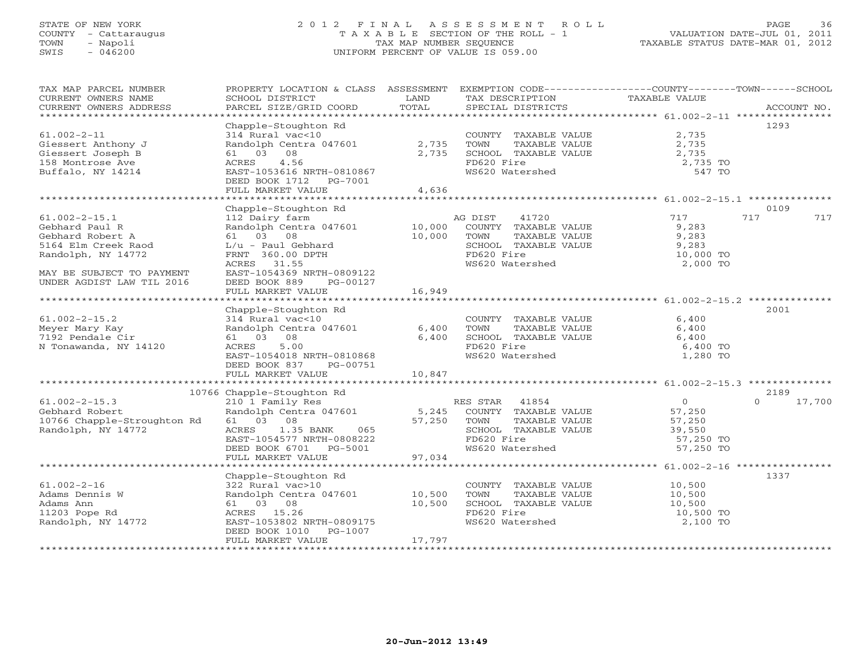# STATE OF NEW YORK 2 0 1 2 F I N A L A S S E S S M E N T R O L L PAGE 36 COUNTY - Cattaraugus T A X A B L E SECTION OF THE ROLL - 1 VALUATION DATE-JUL 01, 2011 TOWN - Napoli TAX MAP NUMBER SEQUENCE TAXABLE STATUS DATE-MAR 01, 2012 SWIS - 046200 UNIFORM PERCENT OF VALUE IS 059.00UNIFORM PERCENT OF VALUE IS 059.00

| TAX MAP PARCEL NUMBER<br>CURRENT OWNERS NAME<br>CURRENT OWNERS ADDRESS | PROPERTY LOCATION & CLASS ASSESSMENT EXEMPTION CODE---------------COUNTY-------TOWN------SCHOOL<br>SCHOOL DISTRICT<br>PARCEL SIZE/GRID COORD      | LAND<br>TOTAL | TAX DESCRIPTION<br>SPECIAL DISTRICTS                      | TAXABLE VALUE         | ACCOUNT NO.        |
|------------------------------------------------------------------------|---------------------------------------------------------------------------------------------------------------------------------------------------|---------------|-----------------------------------------------------------|-----------------------|--------------------|
|                                                                        |                                                                                                                                                   |               |                                                           |                       |                    |
| $61.002 - 2 - 11$                                                      | Chapple-Stoughton Rd<br>314 Rural vac<10                                                                                                          |               | COUNTY TAXABLE VALUE                                      | 2,735                 | 1293               |
| Giessert Anthony J<br>Giessert Joseph B                                | Randolph Centra 047601 2,735<br>61 03 08                                                                                                          | 2,735         | TOWN<br>TOWN      TAXABLE VALUE<br>SCHOOL   TAXABLE VALUE | 2,735<br>2,735        |                    |
| 158 Montrose Ave                                                       | 4.56<br>ACRES                                                                                                                                     |               | FD620 Fire                                                | 2,735 TO<br>547 TO    |                    |
| Buffalo, NY 14214                                                      | EAST-1053616 NRTH-0810867<br>DEED BOOK 1712    PG-7001                                                                                            |               | WS620 Watershed                                           |                       |                    |
|                                                                        | FULL MARKET VALUE                                                                                                                                 | 4,636         |                                                           |                       |                    |
|                                                                        | Chapple-Stoughton Rd                                                                                                                              |               |                                                           |                       | 0109               |
| $61.002 - 2 - 15.1$                                                    | 112 Dairy farm                                                                                                                                    |               | 41720<br>AG DIST                                          | 717                   | 717<br>717         |
| Gebhard Paul R                                                         | Randolph Centra 047601 10,000                                                                                                                     |               | COUNTY TAXABLE VALUE                                      | 9,283                 |                    |
| Gebhard Robert A                                                       | 61 03 08                                                                                                                                          | 10,000        | TOWN<br>TAXABLE VALUE                                     | 9,283                 |                    |
| 5164 Elm Creek Raod                                                    | L/u - Paul Gebhard                                                                                                                                |               | SCHOOL TAXABLE VALUE                                      | 9,283<br>10,000 TO    |                    |
| Randolph, NY 14772                                                     | FRNT 360.00 DPTH                                                                                                                                  |               | FD620 Fire                                                |                       |                    |
|                                                                        | ACRES 31.55                                                                                                                                       |               | WS620 Watershed                                           | 2,000 TO              |                    |
| MAY BE SUBJECT TO PAYMENT                                              | EAST-1054369 NRTH-0809122                                                                                                                         |               |                                                           |                       |                    |
| UNDER AGDIST LAW TIL 2016                                              | DEED BOOK 889<br>PG-00127                                                                                                                         |               |                                                           |                       |                    |
|                                                                        | FULL MARKET VALUE                                                                                                                                 | 16,949        |                                                           |                       |                    |
|                                                                        |                                                                                                                                                   |               |                                                           |                       |                    |
|                                                                        | Chapple-Stoughton Rd                                                                                                                              |               |                                                           |                       | 2001               |
| $61.002 - 2 - 15.2$                                                    | 314 Rural vac<10<br>Randolph Centra 047601 6,400                                                                                                  |               | COUNTY TAXABLE VALUE<br>TOWN     TAXABLE VALUE            | 6,400                 |                    |
| Meyer Mary Kay<br>7192 Pendale Cir                                     | 61 03 08                                                                                                                                          | 6,400         |                                                           | 6,400<br>6,400        |                    |
| N Tonawanda, NY 14120                                                  | 5.00<br>ACRES                                                                                                                                     |               | SCHOOL TAXABLE VALUE<br>FD620 Fire                        | 6,400 TO              |                    |
|                                                                        | EAST-1054018 NRTH-0810868                                                                                                                         |               | WS620 Watershed                                           | 1,280 TO              |                    |
|                                                                        | DEED BOOK 837<br>PG-00751                                                                                                                         |               |                                                           |                       |                    |
|                                                                        |                                                                                                                                                   |               |                                                           |                       |                    |
|                                                                        |                                                                                                                                                   |               |                                                           |                       |                    |
|                                                                        | 10766 Chapple-Stoughton Rd<br>10766 Chapple-Stoughton Rd                                                                                          |               |                                                           |                       | 2189               |
| $61.002 - 2 - 15.3$                                                    | 210 1 Family Res<br>Randolph Centra 047601 5,245 COUNTY TAXABLE VALUE<br>61 03 08 57,250 TOWN TAXABLE VALUE<br>61 03 08 67,250 TOWN TAXABLE VALUE |               |                                                           | $\overline{0}$        | $\Omega$<br>17,700 |
| Gebhard Robert                                                         |                                                                                                                                                   |               |                                                           | 57,250                |                    |
| 10766 Chapple-Stroughton Rd                                            |                                                                                                                                                   |               |                                                           |                       |                    |
| Randolph, NY 14772                                                     | ACRES 1.35 BANK<br>065                                                                                                                            |               | SCHOOL TAXABLE VALUE                                      | 57,250<br>39,550      |                    |
|                                                                        | EAST-1054577 NRTH-0808222                                                                                                                         |               | FD620 Fire                                                | $57,250$ TO           |                    |
|                                                                        | DEED BOOK 6701 PG-5001                                                                                                                            |               | WS620 Watershed                                           | 57,250 TO             |                    |
|                                                                        | FULL MARKET VALUE                                                                                                                                 | 97,034        |                                                           |                       |                    |
|                                                                        |                                                                                                                                                   |               |                                                           |                       |                    |
|                                                                        | Chapple-Stoughton Rd                                                                                                                              |               |                                                           |                       | 1337               |
| $61.002 - 2 - 16$                                                      | 322 Rural vac>10                                                                                                                                  |               | COUNTY TAXABLE VALUE 10,500                               |                       |                    |
| Adams Dennis W                                                         | Randolph Centra 047601 10,500<br>61 03 08 10,500                                                                                                  |               | TAXABLE VALUE<br>TOWN<br>SCHOOL TAXABLE VALUE             | 10,500<br>10,500      |                    |
| Adams Ann                                                              |                                                                                                                                                   |               | FD620 Fire                                                |                       |                    |
| 11203 Pope Rd<br>Randolph, NY 14772                                    | ACRES 15.26<br>EAST-1053802 NRTH-0809175                                                                                                          |               | WS620 Watershed                                           | 10,500 TO<br>2,100 TO |                    |
|                                                                        | DEED BOOK 1010 PG-1007                                                                                                                            |               |                                                           |                       |                    |
|                                                                        | FULL MARKET VALUE                                                                                                                                 | 17,797        |                                                           |                       |                    |
|                                                                        |                                                                                                                                                   |               |                                                           |                       |                    |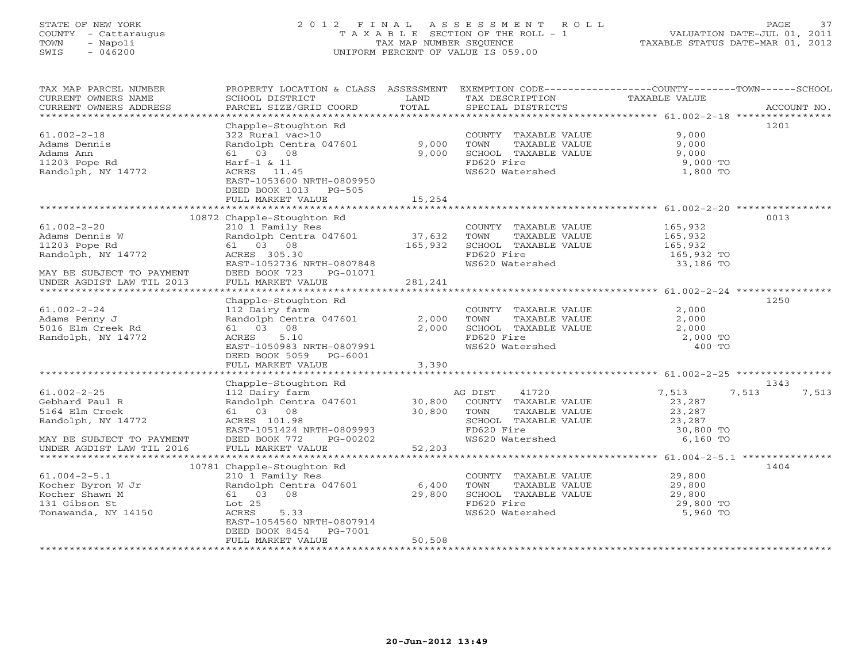# STATE OF NEW YORK 2 0 1 2 F I N A L A S S E S S M E N T R O L L PAGE 37 COUNTY - Cattaraugus T A X A B L E SECTION OF THE ROLL - 1 VALUATION DATE-JUL 01, 2011 TOWN - Napoli TAX MAP NUMBER SEQUENCE TAXABLE STATUS DATE-MAR 01, 2012 SWIS - 046200 UNIFORM PERCENT OF VALUE IS 059.00UNIFORM PERCENT OF VALUE IS 059.00

| TAX MAP PARCEL NUMBER<br>CURRENT OWNERS NAME<br>CURRENT OWNERS ADDRESS | PROPERTY LOCATION & CLASS ASSESSMENT EXEMPTION CODE---------------COUNTY-------TOWN-----SCHOOL<br>SCHOOL DISTRICT<br>PARCEL SIZE/GRID COORD | LAND<br>TOTAL | TAX DESCRIPTION<br>SPECIAL DISTRICTS | TAXABLE VALUE | ACCOUNT NO.    |
|------------------------------------------------------------------------|---------------------------------------------------------------------------------------------------------------------------------------------|---------------|--------------------------------------|---------------|----------------|
|                                                                        |                                                                                                                                             |               |                                      |               |                |
|                                                                        | Chapple-Stoughton Rd                                                                                                                        |               |                                      |               | 1201           |
| $61.002 - 2 - 18$                                                      | 322 Rural vac>10                                                                                                                            |               | COUNTY TAXABLE VALUE                 | 9,000         |                |
| Adams Dennis                                                           | Randolph Centra 047601                                                                                                                      | 9,000         | TOWN<br>TAXABLE VALUE                | 9,000         |                |
| Adams Ann                                                              | 61 03 08                                                                                                                                    | 9,000         | SCHOOL TAXABLE VALUE                 | 9,000         |                |
| 11203 Pope Rd                                                          | $Harf-1$ & 11                                                                                                                               |               | FD620 Fire                           | 9,000 TO      |                |
| Randolph, NY 14772                                                     | ACRES 11.45<br>EAST-1053600 NRTH-0809950                                                                                                    |               | WS620 Watershed                      | 1,800 TO      |                |
|                                                                        | DEED BOOK 1013<br>PG-505                                                                                                                    |               |                                      |               |                |
|                                                                        | FULL MARKET VALUE                                                                                                                           | 15,254        |                                      |               |                |
|                                                                        |                                                                                                                                             |               |                                      |               |                |
|                                                                        | 10872 Chapple-Stoughton Rd                                                                                                                  |               |                                      |               | 0013           |
| $61.002 - 2 - 20$                                                      | 210 1 Family Res                                                                                                                            |               | COUNTY TAXABLE VALUE                 | 165,932       |                |
| Adams Dennis W                                                         | Randolph Centra 047601                                                                                                                      | 37,632        | TOWN<br>TAXABLE VALUE                | 165,932       |                |
| 11203 Pope Rd                                                          | 61 03 08                                                                                                                                    | 165,932       | SCHOOL TAXABLE VALUE                 | 165,932       |                |
| Randolph, NY 14772                                                     | ACRES 305.30                                                                                                                                |               | FD620 Fire                           | 165,932 TO    |                |
|                                                                        | EAST-1052736 NRTH-0807848                                                                                                                   |               | WS620 Watershed                      | 33,186 TO     |                |
| MAY BE SUBJECT TO PAYMENT                                              | DEED BOOK 723<br>PG-01071                                                                                                                   |               |                                      |               |                |
| UNDER AGDIST LAW TIL 2013                                              | FULL MARKET VALUE                                                                                                                           | 281,241       |                                      |               |                |
|                                                                        |                                                                                                                                             |               |                                      |               |                |
|                                                                        | Chapple-Stoughton Rd                                                                                                                        |               |                                      |               | 1250           |
| $61.002 - 2 - 24$                                                      | 112 Dairy farm                                                                                                                              |               | COUNTY TAXABLE VALUE                 | 2,000         |                |
| Adams Penny J                                                          | Randolph Centra 047601                                                                                                                      | 2,000         | TOWN<br>TAXABLE VALUE                | 2,000         |                |
| 5016 Elm Creek Rd                                                      | 08<br>61 03                                                                                                                                 | 2,000         | SCHOOL TAXABLE VALUE                 | 2,000         |                |
| Randolph, NY 14772                                                     | ACRES<br>5.10                                                                                                                               |               | FD620 Fire                           | 2,000 TO      |                |
|                                                                        | EAST-1050983 NRTH-0807991                                                                                                                   |               | WS620 Watershed                      | 400 TO        |                |
|                                                                        | DEED BOOK 5059 PG-6001                                                                                                                      |               |                                      |               |                |
|                                                                        | FULL MARKET VALUE                                                                                                                           | 3,390         |                                      |               |                |
|                                                                        | Chapple-Stoughton Rd                                                                                                                        |               |                                      |               | 1343           |
| $61.002 - 2 - 25$                                                      | 112 Dairy farm                                                                                                                              |               | AG DIST<br>41720                     | 7,513         | 7,513<br>7,513 |
| Gebhard Paul R                                                         | Randolph Centra 047601                                                                                                                      | 30,800        | COUNTY TAXABLE VALUE                 | 23,287        |                |
| 5164 Elm Creek                                                         | 61 03 08                                                                                                                                    | 30,800        | TOWN<br>TAXABLE VALUE                | 23,287        |                |
| Randolph, NY 14772                                                     | ACRES 101.98                                                                                                                                |               | SCHOOL TAXABLE VALUE                 | 23,287        |                |
|                                                                        | EAST-1051424 NRTH-0809993                                                                                                                   |               | FD620 Fire                           | 30,800 TO     |                |
| MAY BE SUBJECT TO PAYMENT                                              | DEED BOOK 772<br>PG-00202                                                                                                                   |               | WS620 Watershed                      | 6,160 TO      |                |
| UNDER AGDIST LAW TIL 2016                                              | FULL MARKET VALUE                                                                                                                           | 52,203        |                                      |               |                |
|                                                                        |                                                                                                                                             |               |                                      |               |                |
|                                                                        | 10781 Chapple-Stoughton Rd                                                                                                                  |               |                                      |               | 1404           |
| $61.004 - 2 - 5.1$                                                     | 210 1 Family Res                                                                                                                            |               | COUNTY TAXABLE VALUE                 | 29,800        |                |
| Kocher Byron W Jr                                                      | Randolph Centra 047601                                                                                                                      | 6,400         | TOWN<br>TAXABLE VALUE                | 29,800        |                |
| Kocher Shawn M                                                         | 61 03 08                                                                                                                                    | 29,800        | SCHOOL TAXABLE VALUE                 | 29,800        |                |
| 131 Gibson St                                                          | Lot 25                                                                                                                                      |               | FD620 Fire                           | 29,800 TO     |                |
| Tonawanda, NY 14150                                                    | ACRES<br>5.33                                                                                                                               |               | WS620 Watershed                      | 5,960 TO      |                |
|                                                                        | EAST-1054560 NRTH-0807914                                                                                                                   |               |                                      |               |                |
|                                                                        | DEED BOOK 8454<br>PG-7001                                                                                                                   |               |                                      |               |                |
|                                                                        | FULL MARKET VALUE                                                                                                                           | 50,508        |                                      |               |                |
|                                                                        |                                                                                                                                             |               |                                      |               |                |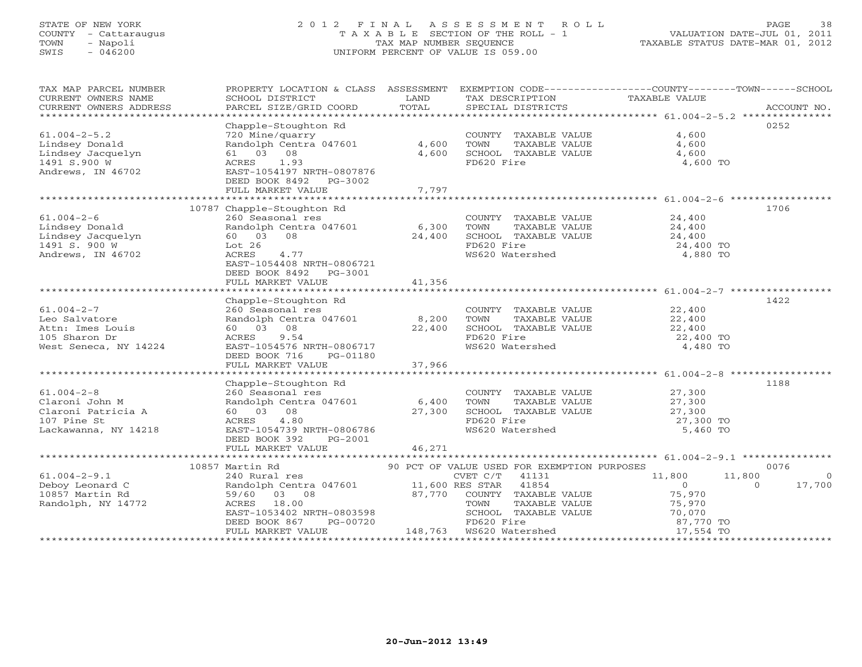# STATE OF NEW YORK 2 0 1 2 F I N A L A S S E S S M E N T R O L L PAGE 38 COUNTY - Cattaraugus T A X A B L E SECTION OF THE ROLL - 1 VALUATION DATE-JUL 01, 2011 TOWN - Napoli TAX MAP NUMBER SEQUENCE TAXABLE STATUS DATE-MAR 01, 2012 SWIS - 046200 UNIFORM PERCENT OF VALUE IS 059.00UNIFORM PERCENT OF VALUE IS 059.00

| TAX MAP PARCEL NUMBER                                                                           |                                                                                                                                                                                                             |                  |                                                                                                                                                                                                                                                                                                                         | PROPERTY LOCATION & CLASS ASSESSMENT EXEMPTION CODE---------------COUNTY-------TOWN------SCHOOL                                                                                                   |
|-------------------------------------------------------------------------------------------------|-------------------------------------------------------------------------------------------------------------------------------------------------------------------------------------------------------------|------------------|-------------------------------------------------------------------------------------------------------------------------------------------------------------------------------------------------------------------------------------------------------------------------------------------------------------------------|---------------------------------------------------------------------------------------------------------------------------------------------------------------------------------------------------|
| $61.004 - 2 - 5.2$<br>Lindsey Donald<br>Lindsey Jacquelyn<br>1491 S.900 W<br>Andrews, IN 46702  | Chapple-Stoughton Rd<br>720 Mine/quarry<br>Randolph Centra 047601 4,600<br>61 03 08<br>ACRES 1.93<br>EAST-1054197 NRTH-0807876<br>DEED BOOK 8492 PG-3002<br>FULL MARKET VALUE                               | 4,600<br>7,797   | COUNTY TAXABLE VALUE 4,600<br>TOWN<br>SCHOOL TAXABLE VALUE<br>FD620 Fire                                                                                                                                                                                                                                                | 0252<br>TAXABLE VALUE $4,600$<br>TAXABLE VALUE $4,600$<br>4,600<br>4,600 TO                                                                                                                       |
| $61.004 - 2 - 6$<br>Lindsey Donald<br>Lindsey Jacquelyn<br>1491 S. 900 W<br>Andrews, IN 46702   | 10787 Chapple-Stoughton Rd<br>260 Seasonal res<br>Randolph Centra 047601 6,300 TOWN<br>60  03  08<br>Lot 26<br>ACRES<br>4.77<br>EAST-1054408 NRTH-0806721<br>DEED BOOK 8492 PG-3001<br>FULL MARKET VALUE    | 24,400<br>41,356 | $\begin{tabular}{llllll} \multicolumn{2}{c}{\textbf{COUNTY}} & \textbf{TAXABLE VALUE} & & & \multicolumn{2}{c}{\textbf{24,400}} \\ \multicolumn{2}{c}{\textbf{TOWN}} & \textbf{TAXABLE VALUE} & & \multicolumn{2}{c}{\textbf{24,400}} \\ \end{tabular}$<br>SCHOOL TAXABLE VALUE 24,400<br>FD620 Fire<br>WS620 Watershed | 1706<br>24,400 TO<br>4,880 TO                                                                                                                                                                     |
| $61.004 - 2 - 7$<br>Leo Salvatore<br>Attn: Imes Louis<br>105 Sharon Dr<br>West Seneca, NY 14224 | Chapple-Stoughton Rd<br>260 Seasonal res<br>Randolph Centra 047601 8,200<br>60 03 08 22,400<br>ACRES 9.54 22,400<br>EAST-1054576 NRTH-0806717<br>DEED BOOK 716 PG-01180                                     |                  | COUNTY TAXABLE VALUE<br>TOWN TAXABLE VALUE 22,400<br>$\begin{tabular}{lllllll} \textbf{TOWN} & \textbf{TAXABLE VALUE} & & & & 22,400 \\ \textbf{SCHOOL} & \textbf{TAXABLE VALUE} & & & 22,400 \\ \end{tabular}$<br>FD620 Fire<br>WS620 Watershed                                                                        | 1422<br>22,400 TO<br>4,480 TO                                                                                                                                                                     |
| $61.004 - 2 - 8$<br>Claroni John M<br>Claroni Patricia A<br>107 Pine St<br>Lackawanna, NY 14218 | Chapple-Stoughton Rd<br>260 Seasonal res<br>260 Seasonal res<br>Randolph Centra 047601 6,400<br>60 03 08 27,300<br>ACRES 4.80<br>EAST-1054739 NRTH-0806786<br>DEED BOOK 392<br>PG-2001<br>FULL MARKET VALUE | 46,271           | COUNTY TAXABLE VALUE 27,300<br>TOWN<br>SCHOOL TAXABLE VALUE<br>FD620 Fire<br>WS620 Watershed                                                                                                                                                                                                                            | 1188<br>TAXABLE VALUE 27,300<br>TAXABLE VALUE 27,300<br>27,300 TO<br>5,460 TO                                                                                                                     |
| $61.004 - 2 - 9.1$<br>Deboy Leonard C<br>10857 Martin Rd<br>Randolph, NY 14772                  | 10857 Martin Rd<br>59/60 03 08<br>ACRES 18.00<br>EAST-1053402 NRTH-0803598<br>DEED BOOK 867 PG-00720<br>FULL MARKET VALUE                                                                                   |                  | 87,770 COUNTY TAXABLE VALUE<br>148,763  WS620 Watershed                                                                                                                                                                                                                                                                 | 0076<br>11,800<br>11,800<br>$\Omega$<br>$\overline{0}$<br>17,700<br>$\Omega$<br>75,970<br>COUNTY TAAABLE VALUE 75,970<br>TOWN TAXABLE VALUE 75,970<br>SCHOOL TAXABLE VALUE 70,070 TO<br>17,554 TO |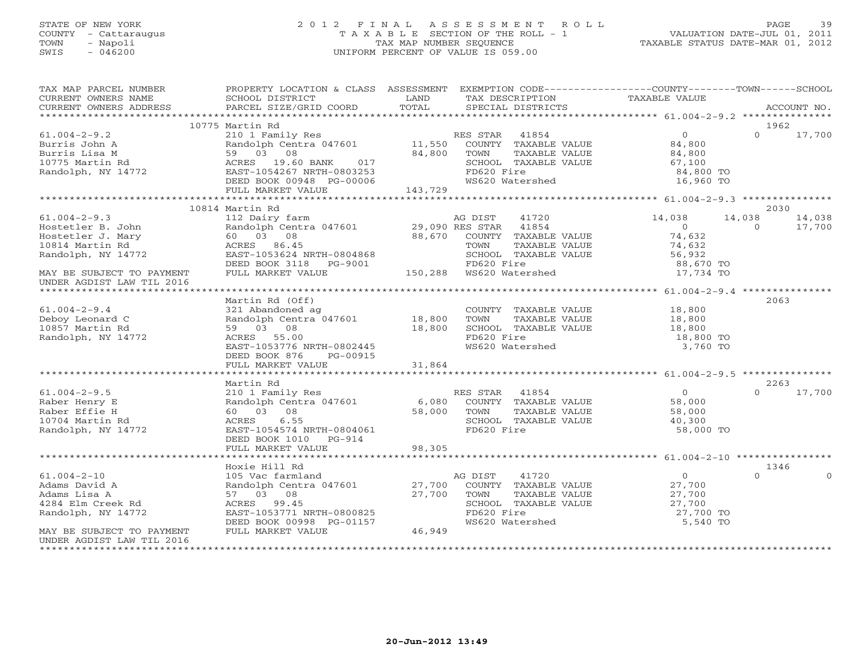# STATE OF NEW YORK 2 0 1 2 F I N A L A S S E S S M E N T R O L L PAGE 39 COUNTY - Cattaraugus T A X A B L E SECTION OF THE ROLL - 1 VALUATION DATE-JUL 01, 2011 TOWN - Napoli TAX MAP NUMBER SEQUENCE TAXABLE STATUS DATE-MAR 01, 2012 SWIS - 046200 UNIFORM PERCENT OF VALUE IS 059.00UNIFORM PERCENT OF VALUE IS 059.00

| TAX MAP PARCEL NUMBER                                                                                                                                                                                                                | PROPERTY LOCATION & CLASS ASSESSMENT EXEMPTION CODE---------------COUNTY-------TOWN------SCHOOL                                                                                        |        |                                                   |                             |                |               |
|--------------------------------------------------------------------------------------------------------------------------------------------------------------------------------------------------------------------------------------|----------------------------------------------------------------------------------------------------------------------------------------------------------------------------------------|--------|---------------------------------------------------|-----------------------------|----------------|---------------|
| CURRENT OWNERS NAME                                                                                                                                                                                                                  | SCHOOL DISTRICT                                                                                                                                                                        | LAND   | TAX DESCRIPTION                                   | TAXABLE VALUE               |                |               |
|                                                                                                                                                                                                                                      |                                                                                                                                                                                        |        |                                                   |                             |                |               |
|                                                                                                                                                                                                                                      |                                                                                                                                                                                        |        |                                                   |                             |                |               |
|                                                                                                                                                                                                                                      | 10775 Martin Rd                                                                                                                                                                        |        |                                                   |                             |                | 1962          |
| $61.004 - 2 - 9.2$                                                                                                                                                                                                                   | 210 1 Family Res<br>210 1 Family Res<br>Randolph Centra 047601 11,550 COUNTY TAXABLE VALUE 24,800                                                                                      |        |                                                   |                             | $\Omega$       | 17,700        |
| Burris John A<br>Burris John A<br>Burris Lisa M<br>10775 Martin Rd<br>Randolph, NY 14772                                                                                                                                             |                                                                                                                                                                                        |        |                                                   |                             |                |               |
|                                                                                                                                                                                                                                      |                                                                                                                                                                                        |        |                                                   |                             |                |               |
|                                                                                                                                                                                                                                      |                                                                                                                                                                                        |        |                                                   |                             |                |               |
|                                                                                                                                                                                                                                      |                                                                                                                                                                                        |        |                                                   |                             |                |               |
|                                                                                                                                                                                                                                      |                                                                                                                                                                                        |        |                                                   |                             |                |               |
| 3000 METIS JONE A ACRES 19.60 BANK 6.000 METHAM MARINE VALUE 21,000 METIS LISA M<br>1.0775 Martin Rd 59 03 08 ACRES 19.60 BANK 6.07 MARINE VALUE 64,800 METIS 1.100<br>34,800 TO EAST-1054267 NRTH-0803253 FD620 Fire 84,800 TO WS62 |                                                                                                                                                                                        |        |                                                   |                             |                |               |
|                                                                                                                                                                                                                                      |                                                                                                                                                                                        |        |                                                   |                             |                |               |
|                                                                                                                                                                                                                                      | 10814 Martin Rd                                                                                                                                                                        |        |                                                   |                             |                | 2030          |
| $61.004 - 2 - 9.3$                                                                                                                                                                                                                   | 112 Dairy farm                                                                                                                                                                         |        | 41720<br>AG DIST                                  | 14,038                      | 14,038         | 14,038        |
| Hostetler B. John                                                                                                                                                                                                                    | Randolph Centra 047601 29,090 RES STAR 41854<br>60 03 08 88,670 COUNTY TAXABLE                                                                                                         |        |                                                   | $\overline{0}$              | $\overline{0}$ | 17,700        |
| Hostetler J. Mary                                                                                                                                                                                                                    |                                                                                                                                                                                        |        | COUNTY TAXABLE VALUE                              | $0$<br>74,632               |                |               |
| 10814 Martin Rd                                                                                                                                                                                                                      |                                                                                                                                                                                        |        | TOWN      TAXABLE VALUE<br>SCHOOL   TAXABLE VALUE | 74,632                      |                |               |
| Randolph, NY 14772                                                                                                                                                                                                                   | ACRES 86.45<br>EAST-1053624 NRTH-0804868<br>PERD BOOK 3118 PG-9001                                                                                                                     |        |                                                   | $74,032$<br>56,932          |                |               |
|                                                                                                                                                                                                                                      | DEED BOOK 3118 PG-9001                                                                                                                                                                 |        | FD620 Fire                                        |                             |                |               |
| MAY BE SUBJECT TO PAYMENT                                                                                                                                                                                                            | FULL MARKET VALUE                                                                                                                                                                      |        | 150,288 WS620 Watershed                           | 88,670 TO<br>17,734 TO      |                |               |
| UNDER AGDIST LAW TIL 2016                                                                                                                                                                                                            |                                                                                                                                                                                        |        |                                                   |                             |                |               |
|                                                                                                                                                                                                                                      |                                                                                                                                                                                        |        |                                                   |                             |                |               |
|                                                                                                                                                                                                                                      | Martin Rd (Off)                                                                                                                                                                        |        |                                                   |                             |                | 2063          |
| $61.004 - 2 - 9.4$                                                                                                                                                                                                                   |                                                                                                                                                                                        |        |                                                   | COUNTY TAXABLE VALUE 18,800 |                |               |
| Deboy Leonard C                                                                                                                                                                                                                      |                                                                                                                                                                                        |        | TOWN TAXABLE VALUE                                | 18,800                      |                |               |
| 10857 Martin Rd                                                                                                                                                                                                                      |                                                                                                                                                                                        |        |                                                   | SCHOOL TAXABLE VALUE 18,800 |                |               |
| Randolph, NY 14772                                                                                                                                                                                                                   | 321 Abandoned ag<br>Randolph Centra 047601 18,800<br>59 03 08 18,800<br>ACRES 55.00 18,800                                                                                             |        | FD620 Fire                                        | 18,800 TO                   |                |               |
|                                                                                                                                                                                                                                      | ACRES 55.00<br>EAST-1053776 NRTH-0802445                                                                                                                                               |        | WS620 Watershed                                   | 3,760 TO                    |                |               |
|                                                                                                                                                                                                                                      | DEED BOOK 876 PG-00915                                                                                                                                                                 |        |                                                   |                             |                |               |
|                                                                                                                                                                                                                                      |                                                                                                                                                                                        |        |                                                   |                             |                |               |
|                                                                                                                                                                                                                                      |                                                                                                                                                                                        |        |                                                   |                             |                |               |
|                                                                                                                                                                                                                                      | Martin Rd                                                                                                                                                                              |        |                                                   |                             |                | 2263          |
| $61.004 - 2 - 9.5$                                                                                                                                                                                                                   | 210 1 Family Res<br>Randolph Centra 047601 6,080 COUNTY TAXABLE VALUE<br>60 03 08 58,000 TOWN TAXABLE VALUE<br>ACRES 6.55 SCHOOL TAXABLE VALUE<br>EAST-1054574 NRTH-0804061 FD620 Fire |        |                                                   | $\overline{0}$              |                | $0 \t 17,700$ |
| Raber Henry E                                                                                                                                                                                                                        |                                                                                                                                                                                        |        |                                                   |                             |                |               |
| Raber Effie H                                                                                                                                                                                                                        |                                                                                                                                                                                        |        |                                                   | 58,000<br>58,000            |                |               |
| 10704 Martin Rd                                                                                                                                                                                                                      |                                                                                                                                                                                        |        |                                                   | 40,300                      |                |               |
| Randolph, NY 14772                                                                                                                                                                                                                   |                                                                                                                                                                                        |        |                                                   | 58,000 TO                   |                |               |
|                                                                                                                                                                                                                                      | DEED BOOK 1010 PG-914                                                                                                                                                                  |        |                                                   |                             |                |               |
|                                                                                                                                                                                                                                      |                                                                                                                                                                                        |        |                                                   |                             |                |               |
|                                                                                                                                                                                                                                      |                                                                                                                                                                                        |        |                                                   |                             |                |               |
|                                                                                                                                                                                                                                      | Hoxie Hill Rd                                                                                                                                                                          |        |                                                   |                             |                | 1346          |
| $61.004 - 2 - 10$                                                                                                                                                                                                                    |                                                                                                                                                                                        |        |                                                   | $\overline{0}$              | $\Omega$       | $\Omega$      |
| Adams David A                                                                                                                                                                                                                        |                                                                                                                                                                                        |        |                                                   | 27,700                      |                |               |
| Adams Lisa A                                                                                                                                                                                                                         |                                                                                                                                                                                        |        |                                                   |                             |                |               |
| 4284 Elm Creek Rd                                                                                                                                                                                                                    | AG DIST 41720<br>Randolph Centra 047601 27,700 COUNTY TAXABLE VALUE<br>57 03 08 27,700 TOWN TAXABLE VALUE<br>ACRES 99.45                                                               |        |                                                   | 27,700<br>27,700            |                |               |
| Randolph, NY 14772                                                                                                                                                                                                                   | EAST-1053771 NRTH-0800825                                                                                                                                                              |        | FD620 Fire                                        | 27,700 TO                   |                |               |
|                                                                                                                                                                                                                                      | DEED BOOK 00998 PG-01157                                                                                                                                                               |        | WS620 Watershed                                   | 5,540 TO                    |                |               |
| MAY BE SUBJECT TO PAYMENT                                                                                                                                                                                                            | FULL MARKET VALUE                                                                                                                                                                      | 46,949 |                                                   |                             |                |               |
| UNDER AGDIST LAW TIL 2016                                                                                                                                                                                                            |                                                                                                                                                                                        |        |                                                   |                             |                |               |
|                                                                                                                                                                                                                                      |                                                                                                                                                                                        |        |                                                   |                             |                |               |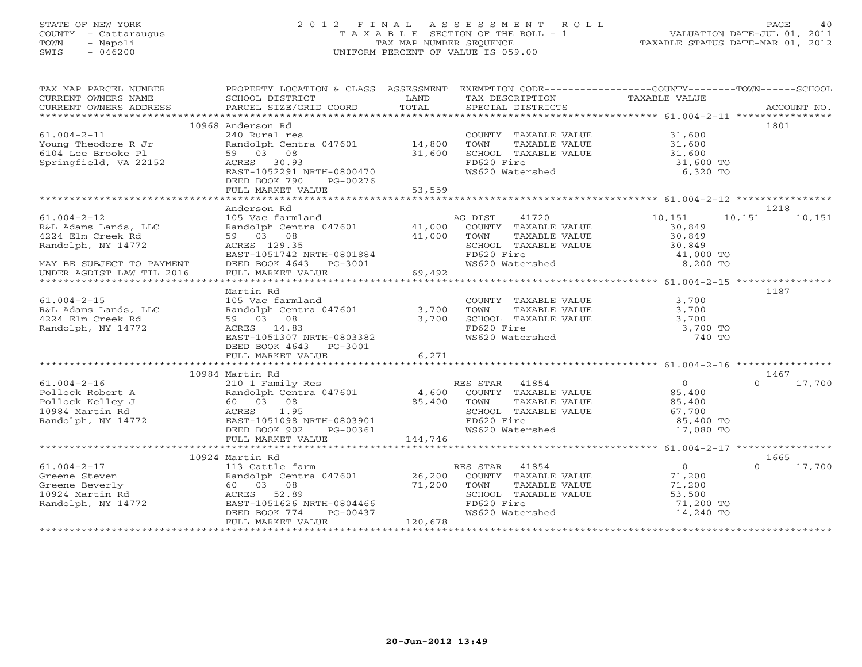# STATE OF NEW YORK 2 0 1 2 F I N A L A S S E S S M E N T R O L L PAGE 40 COUNTY - Cattaraugus T A X A B L E SECTION OF THE ROLL - 1 VALUATION DATE-JUL 01, 2011 TOWN - Napoli TAX MAP NUMBER SEQUENCE TAXABLE STATUS DATE-MAR 01, 2012 SWIS - 046200 UNIFORM PERCENT OF VALUE IS 059.00UNIFORM PERCENT OF VALUE IS 059.00

| TAX MAP PARCEL NUMBER<br>CURRENT OWNERS NAME<br>CURRENT OWNERS ADDRESS | PROPERTY LOCATION & CLASS ASSESSMENT EXEMPTION CODE----------------COUNTY-------TOWN------SCHOOL<br>SCHOOL DISTRICT<br>PARCEL SIZE/GRID COORD | LAND<br>TOTAL | TAX DESCRIPTION TAXABLE VALUE SPECIAL DISTRICTS |                      | ACCOUNT NO.        |
|------------------------------------------------------------------------|-----------------------------------------------------------------------------------------------------------------------------------------------|---------------|-------------------------------------------------|----------------------|--------------------|
|                                                                        |                                                                                                                                               |               |                                                 |                      |                    |
|                                                                        | 10968 Anderson Rd                                                                                                                             |               |                                                 |                      | 1801               |
| $61.004 - 2 - 11$                                                      | 240 Rural res                                                                                                                                 |               | COUNTY TAXABLE VALUE                            |                      |                    |
| Young Theodore R Jr                                                    | Randolph Centra 047601 14,800                                                                                                                 |               | TOWN<br>TAXABLE VALUE                           | $31,600$<br>$31,600$ |                    |
| 6104 Lee Brooke Pl                                                     | 59 03 08                                                                                                                                      | 31,600        | SCHOOL TAXABLE VALUE                            | 31,600               |                    |
| Springfield, VA 22152                                                  | ACRES 30.93                                                                                                                                   |               | FD620 Fire                                      | 31,600 TO            |                    |
|                                                                        | EAST-1052291 NRTH-0800470                                                                                                                     |               | WS620 Watershed                                 | 6,320 TO             |                    |
|                                                                        | DEED BOOK 790<br>PG-00276                                                                                                                     |               |                                                 |                      |                    |
|                                                                        | FULL MARKET VALUE                                                                                                                             | 53,559        |                                                 |                      |                    |
|                                                                        |                                                                                                                                               |               |                                                 |                      |                    |
|                                                                        |                                                                                                                                               |               |                                                 |                      |                    |
|                                                                        | Anderson Rd                                                                                                                                   |               |                                                 |                      | 1218               |
| $61.004 - 2 - 12$                                                      | 105 Vac farmland                                                                                                                              |               | AG DIST 41720                                   | 10,151               | 10,151<br>10,151   |
| R&L Adams Lands, LLC                                                   | Randolph Centra 047601 41,000                                                                                                                 |               | COUNTY TAXABLE VALUE                            | 30,849               |                    |
| 4224 Elm Creek Rd                                                      | 59 03 08                                                                                                                                      | 41,000        | TAXABLE VALUE<br>TOWN                           | 30,849               |                    |
| Randolph, NY 14772                                                     | ACRES 129.35                                                                                                                                  |               | SCHOOL TAXABLE VALUE                            | 30,849               |                    |
|                                                                        | EAST-1051742 NRTH-0801884                                                                                                                     |               | FD620 Fire                                      | 41,000 TO            |                    |
| MAY BE SUBJECT TO PAYMENT                                              | DEED BOOK 4643 PG-3001                                                                                                                        |               | WS620 Watershed                                 | 8,200 TO             |                    |
| UNDER AGDIST LAW TIL 2016                                              | FULL MARKET VALUE                                                                                                                             | 69,492        |                                                 |                      |                    |
|                                                                        |                                                                                                                                               |               |                                                 |                      |                    |
|                                                                        |                                                                                                                                               |               |                                                 |                      | 1187               |
|                                                                        | Martin Rd                                                                                                                                     |               |                                                 |                      |                    |
| $61.004 - 2 - 15$                                                      | 105 Vac farmland                                                                                                                              |               | COUNTY TAXABLE VALUE 3,700                      |                      |                    |
| R&L Adams Lands, LLC                                                   | Randolph Centra 047601                                                                                                                        | 3,700         | TAXABLE VALUE<br>TOWN                           | 3,700                |                    |
| 4224 Elm Creek Rd                                                      | 59 03 08                                                                                                                                      | 3,700         | SCHOOL TAXABLE VALUE                            | 3,700                |                    |
| Randolph, NY 14772                                                     | ACRES 14.83                                                                                                                                   |               | FD620 Fire                                      | 3,700 TO             |                    |
|                                                                        | EAST-1051307 NRTH-0803382                                                                                                                     |               | WS620 Watershed                                 | 740 TO               |                    |
|                                                                        | DEED BOOK 4643 PG-3001                                                                                                                        |               |                                                 |                      |                    |
|                                                                        | FULL MARKET VALUE                                                                                                                             | 6,271         |                                                 |                      |                    |
|                                                                        |                                                                                                                                               |               |                                                 |                      |                    |
|                                                                        | 10984 Martin Rd                                                                                                                               |               |                                                 |                      | 1467               |
| $61.004 - 2 - 16$                                                      |                                                                                                                                               |               |                                                 | $\overline{0}$       | 17,700<br>$\Omega$ |
| Pollock Robert A                                                       |                                                                                                                                               |               |                                                 | 85,400               |                    |
|                                                                        |                                                                                                                                               |               |                                                 |                      |                    |
| Pollock Kelley J                                                       | 60 03 08                                                                                                                                      | 85,400        | TOWN<br>TAXABLE VALUE                           | 85,400               |                    |
| 10984 Martin Rd                                                        | ACRES 1.95                                                                                                                                    |               | SCHOOL TAXABLE VALUE                            | 67,700               |                    |
| Randolph, NY 14772                                                     | EAST-1051098 NRTH-0803901                                                                                                                     |               | FD620 Fire                                      | 85,400 TO            |                    |
|                                                                        | DEED BOOK 902 PG-00361                                                                                                                        |               | WS620 Watershed                                 | 17,080 TO            |                    |
|                                                                        | FULL MARKET VALUE                                                                                                                             | 144,746       |                                                 |                      |                    |
|                                                                        |                                                                                                                                               |               |                                                 |                      |                    |
|                                                                        | 10924 Martin Rd                                                                                                                               |               |                                                 |                      | 1665               |
| $61.004 - 2 - 17$                                                      | 113 Cattle farm                                                                                                                               |               | RES STAR 41854                                  | $\overline{0}$       | $\cap$<br>17,700   |
| Greene Steven                                                          | Randolph Centra 047601 26,200                                                                                                                 |               | COUNTY TAXABLE VALUE                            | 71,200               |                    |
| Greene Beverly                                                         | 60  03  08                                                                                                                                    | 71,200        | TOWN<br>TAXABLE VALUE                           | 71,200               |                    |
| 10924 Martin Rd                                                        | ACRES 52.89                                                                                                                                   |               | SCHOOL TAXABLE VALUE                            | 53,500               |                    |
| Randolph, NY 14772                                                     | EAST-1051626 NRTH-0804466                                                                                                                     |               | FD620 Fire                                      | 71,200 TO            |                    |
|                                                                        | DEED BOOK 774<br>PG-00437                                                                                                                     |               | WS620 Watershed                                 | 14,240 TO            |                    |
|                                                                        | FULL MARKET VALUE                                                                                                                             | 120,678       |                                                 |                      |                    |
|                                                                        |                                                                                                                                               |               |                                                 |                      |                    |
|                                                                        |                                                                                                                                               |               |                                                 |                      |                    |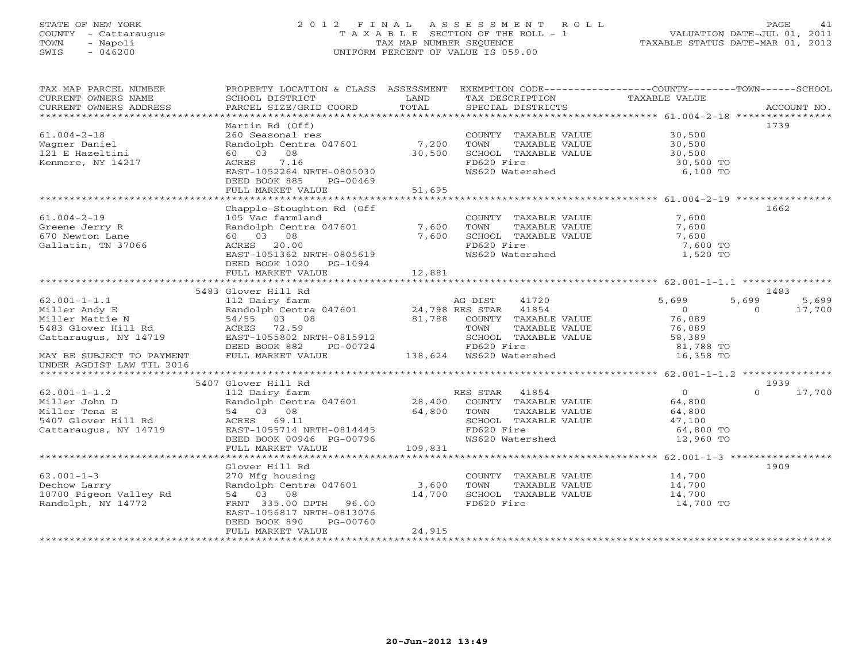# STATE OF NEW YORK 2 0 1 2 F I N A L A S S E S S M E N T R O L L PAGE 41 COUNTY - Cattaraugus T A X A B L E SECTION OF THE ROLL - 1 VALUATION DATE-JUL 01, 2011 TOWN - Napoli TAX MAP NUMBER SEQUENCE TAXABLE STATUS DATE-MAR 01, 2012 SWIS - 046200 UNIFORM PERCENT OF VALUE IS 059.00UNIFORM PERCENT OF VALUE IS 059.00

| CURRENT OWNERS NAME<br>LAND<br>TAXABLE VALUE<br>SCHOOL DISTRICT<br>TAX DESCRIPTION<br>CURRENT OWNERS ADDRESS<br>1739<br>Martin Rd (Off)<br>30,500<br>$61.004 - 2 - 18$<br>260 Seasonal res<br>COUNTY TAXABLE VALUE<br>7,200<br>Randolph Centra 047601<br>30,500<br>TOWN<br>TAXABLE VALUE<br>Wagner Daniel<br>60 03 08<br>30,500<br>SCHOOL TAXABLE VALUE<br>30,500<br>30,500 TO<br>ACRES 7.16<br>FD620 Fire<br>Kenmore, NY 14217<br>EAST-1052264 NRTH-0805030<br>WS620 Watershed<br>6,100 TO<br>DEED BOOK 885<br>PG-00469<br>51,695<br>FULL MARKET VALUE<br>Chapple-Stoughton Rd (Off<br>1662<br>$61.004 - 2 - 19$<br>COUNTY TAXABLE VALUE<br>7,600<br>105 Vac farmland<br>7,600<br>Greene Jerry R<br>Randolph Centra 047601<br>TOWN<br>TAXABLE VALUE<br>7,600<br>60 03 08<br>7,600<br>7,600<br>670 Newton Lane<br>SCHOOL TAXABLE VALUE<br>FD620 Fire<br>Gallatin, TN 37066<br>ACRES 20.00<br>7,600 TO<br>1,520 TO<br>EAST-1051362 NRTH-0805619<br>WS620 Watershed<br>DEED BOOK 1020 PG-1094<br>12,881<br>FULL MARKET VALUE<br>5483 Glover Hill Rd<br>1483<br>5,699<br>$62.001 - 1 - 1.1$<br>41720<br>5,699<br>112 Dairy farm<br>AG DIST<br>5,699<br>Randolph Centra 047601 24,798 RES STAR 41854<br>$\overline{O}$<br>17,700<br>Miller Andy E<br>$\Omega$<br>76,089<br>81,788 COUNTY TAXABLE VALUE<br>Miller Mattie N<br>54/55 03 08<br>76,089<br>ACRES 72.59<br>5483 Glover Hill Rd<br>TOWN<br>TAXABLE VALUE<br>Cattaraugus, NY 14719<br>EAST-1055802 NRTH-0815912<br>SCHOOL TAXABLE VALUE<br>58,389<br>81,788 TO<br>DEED BOOK 882<br>PG-00724<br>FD620 Fire<br>FULL MARKET VALUE<br>16,358 TO<br>MAY BE SUBJECT TO PAYMENT<br>UNDER AGDIST LAW TIL 2016<br>1939<br>5407 Glover Hill Rd<br>$\overline{0}$<br>17,700<br>$62.001 - 1 - 1.2$<br>112 Dairy farm<br>Randolph Centra 047601 28,400<br>RES STAR 41854<br>$\Omega$<br>COUNTY TAXABLE VALUE<br>64,800<br>Miller John D<br>Miller Tena E<br>64,800<br>54 03 08<br>TOWN<br>TAXABLE VALUE<br>64,800<br>5407 Glover Hill Rd<br>ACRES 69.11<br>47,100<br>SCHOOL TAXABLE VALUE<br>EAST-1055714 NRTH-0814445<br>FD620 Fire<br>Cattaraugus, NY 14719<br>64,800 TO<br>DEED BOOK 00946 PG-00796<br>WS620 Watershed<br>12,960 TO<br>109,831<br>FULL MARKET VALUE<br>Glover Hill Rd<br>1909<br>$62.001 - 1 - 3$<br>14,700<br>270 Mfg housing<br>COUNTY TAXABLE VALUE<br>3,600<br>Randolph Centra 047601<br>14,700<br>Dechow Larry<br>TOWN<br>TAXABLE VALUE<br>10700 Pigeon Valley Rd<br>14,700<br>54 03 08<br>SCHOOL TAXABLE VALUE<br>14,700<br>Randolph, NY 14772<br>FRNT 335.00 DPTH 96.00<br>FD620 Fire<br>14,700 TO<br>EAST-1056817 NRTH-0813076<br>DEED BOOK 890<br>PG-00760<br>24,915<br>FULL MARKET VALUE | TAX MAP PARCEL NUMBER | PROPERTY LOCATION & CLASS ASSESSMENT | EXEMPTION CODE-----------------COUNTY-------TOWN------SCHOOL |  |
|--------------------------------------------------------------------------------------------------------------------------------------------------------------------------------------------------------------------------------------------------------------------------------------------------------------------------------------------------------------------------------------------------------------------------------------------------------------------------------------------------------------------------------------------------------------------------------------------------------------------------------------------------------------------------------------------------------------------------------------------------------------------------------------------------------------------------------------------------------------------------------------------------------------------------------------------------------------------------------------------------------------------------------------------------------------------------------------------------------------------------------------------------------------------------------------------------------------------------------------------------------------------------------------------------------------------------------------------------------------------------------------------------------------------------------------------------------------------------------------------------------------------------------------------------------------------------------------------------------------------------------------------------------------------------------------------------------------------------------------------------------------------------------------------------------------------------------------------------------------------------------------------------------------------------------------------------------------------------------------------------------------------------------------------------------------------------------------------------------------------------------------------------------------------------------------------------------------------------------------------------------------------------------------------------------------------------------------------------------------------------------------------------------------------------------------------------------------------------------------------------------------------------------------------------------------------------------------------------------------------------------------------------------------|-----------------------|--------------------------------------|--------------------------------------------------------------|--|
|                                                                                                                                                                                                                                                                                                                                                                                                                                                                                                                                                                                                                                                                                                                                                                                                                                                                                                                                                                                                                                                                                                                                                                                                                                                                                                                                                                                                                                                                                                                                                                                                                                                                                                                                                                                                                                                                                                                                                                                                                                                                                                                                                                                                                                                                                                                                                                                                                                                                                                                                                                                                                                                              |                       |                                      |                                                              |  |
|                                                                                                                                                                                                                                                                                                                                                                                                                                                                                                                                                                                                                                                                                                                                                                                                                                                                                                                                                                                                                                                                                                                                                                                                                                                                                                                                                                                                                                                                                                                                                                                                                                                                                                                                                                                                                                                                                                                                                                                                                                                                                                                                                                                                                                                                                                                                                                                                                                                                                                                                                                                                                                                              |                       |                                      |                                                              |  |
|                                                                                                                                                                                                                                                                                                                                                                                                                                                                                                                                                                                                                                                                                                                                                                                                                                                                                                                                                                                                                                                                                                                                                                                                                                                                                                                                                                                                                                                                                                                                                                                                                                                                                                                                                                                                                                                                                                                                                                                                                                                                                                                                                                                                                                                                                                                                                                                                                                                                                                                                                                                                                                                              |                       |                                      |                                                              |  |
|                                                                                                                                                                                                                                                                                                                                                                                                                                                                                                                                                                                                                                                                                                                                                                                                                                                                                                                                                                                                                                                                                                                                                                                                                                                                                                                                                                                                                                                                                                                                                                                                                                                                                                                                                                                                                                                                                                                                                                                                                                                                                                                                                                                                                                                                                                                                                                                                                                                                                                                                                                                                                                                              |                       |                                      |                                                              |  |
|                                                                                                                                                                                                                                                                                                                                                                                                                                                                                                                                                                                                                                                                                                                                                                                                                                                                                                                                                                                                                                                                                                                                                                                                                                                                                                                                                                                                                                                                                                                                                                                                                                                                                                                                                                                                                                                                                                                                                                                                                                                                                                                                                                                                                                                                                                                                                                                                                                                                                                                                                                                                                                                              |                       |                                      |                                                              |  |
|                                                                                                                                                                                                                                                                                                                                                                                                                                                                                                                                                                                                                                                                                                                                                                                                                                                                                                                                                                                                                                                                                                                                                                                                                                                                                                                                                                                                                                                                                                                                                                                                                                                                                                                                                                                                                                                                                                                                                                                                                                                                                                                                                                                                                                                                                                                                                                                                                                                                                                                                                                                                                                                              |                       |                                      |                                                              |  |
|                                                                                                                                                                                                                                                                                                                                                                                                                                                                                                                                                                                                                                                                                                                                                                                                                                                                                                                                                                                                                                                                                                                                                                                                                                                                                                                                                                                                                                                                                                                                                                                                                                                                                                                                                                                                                                                                                                                                                                                                                                                                                                                                                                                                                                                                                                                                                                                                                                                                                                                                                                                                                                                              | 121 E Hazeltini       |                                      |                                                              |  |
|                                                                                                                                                                                                                                                                                                                                                                                                                                                                                                                                                                                                                                                                                                                                                                                                                                                                                                                                                                                                                                                                                                                                                                                                                                                                                                                                                                                                                                                                                                                                                                                                                                                                                                                                                                                                                                                                                                                                                                                                                                                                                                                                                                                                                                                                                                                                                                                                                                                                                                                                                                                                                                                              |                       |                                      |                                                              |  |
|                                                                                                                                                                                                                                                                                                                                                                                                                                                                                                                                                                                                                                                                                                                                                                                                                                                                                                                                                                                                                                                                                                                                                                                                                                                                                                                                                                                                                                                                                                                                                                                                                                                                                                                                                                                                                                                                                                                                                                                                                                                                                                                                                                                                                                                                                                                                                                                                                                                                                                                                                                                                                                                              |                       |                                      |                                                              |  |
|                                                                                                                                                                                                                                                                                                                                                                                                                                                                                                                                                                                                                                                                                                                                                                                                                                                                                                                                                                                                                                                                                                                                                                                                                                                                                                                                                                                                                                                                                                                                                                                                                                                                                                                                                                                                                                                                                                                                                                                                                                                                                                                                                                                                                                                                                                                                                                                                                                                                                                                                                                                                                                                              |                       |                                      |                                                              |  |
|                                                                                                                                                                                                                                                                                                                                                                                                                                                                                                                                                                                                                                                                                                                                                                                                                                                                                                                                                                                                                                                                                                                                                                                                                                                                                                                                                                                                                                                                                                                                                                                                                                                                                                                                                                                                                                                                                                                                                                                                                                                                                                                                                                                                                                                                                                                                                                                                                                                                                                                                                                                                                                                              |                       |                                      |                                                              |  |
|                                                                                                                                                                                                                                                                                                                                                                                                                                                                                                                                                                                                                                                                                                                                                                                                                                                                                                                                                                                                                                                                                                                                                                                                                                                                                                                                                                                                                                                                                                                                                                                                                                                                                                                                                                                                                                                                                                                                                                                                                                                                                                                                                                                                                                                                                                                                                                                                                                                                                                                                                                                                                                                              |                       |                                      |                                                              |  |
|                                                                                                                                                                                                                                                                                                                                                                                                                                                                                                                                                                                                                                                                                                                                                                                                                                                                                                                                                                                                                                                                                                                                                                                                                                                                                                                                                                                                                                                                                                                                                                                                                                                                                                                                                                                                                                                                                                                                                                                                                                                                                                                                                                                                                                                                                                                                                                                                                                                                                                                                                                                                                                                              |                       |                                      |                                                              |  |
|                                                                                                                                                                                                                                                                                                                                                                                                                                                                                                                                                                                                                                                                                                                                                                                                                                                                                                                                                                                                                                                                                                                                                                                                                                                                                                                                                                                                                                                                                                                                                                                                                                                                                                                                                                                                                                                                                                                                                                                                                                                                                                                                                                                                                                                                                                                                                                                                                                                                                                                                                                                                                                                              |                       |                                      |                                                              |  |
|                                                                                                                                                                                                                                                                                                                                                                                                                                                                                                                                                                                                                                                                                                                                                                                                                                                                                                                                                                                                                                                                                                                                                                                                                                                                                                                                                                                                                                                                                                                                                                                                                                                                                                                                                                                                                                                                                                                                                                                                                                                                                                                                                                                                                                                                                                                                                                                                                                                                                                                                                                                                                                                              |                       |                                      |                                                              |  |
|                                                                                                                                                                                                                                                                                                                                                                                                                                                                                                                                                                                                                                                                                                                                                                                                                                                                                                                                                                                                                                                                                                                                                                                                                                                                                                                                                                                                                                                                                                                                                                                                                                                                                                                                                                                                                                                                                                                                                                                                                                                                                                                                                                                                                                                                                                                                                                                                                                                                                                                                                                                                                                                              |                       |                                      |                                                              |  |
|                                                                                                                                                                                                                                                                                                                                                                                                                                                                                                                                                                                                                                                                                                                                                                                                                                                                                                                                                                                                                                                                                                                                                                                                                                                                                                                                                                                                                                                                                                                                                                                                                                                                                                                                                                                                                                                                                                                                                                                                                                                                                                                                                                                                                                                                                                                                                                                                                                                                                                                                                                                                                                                              |                       |                                      |                                                              |  |
|                                                                                                                                                                                                                                                                                                                                                                                                                                                                                                                                                                                                                                                                                                                                                                                                                                                                                                                                                                                                                                                                                                                                                                                                                                                                                                                                                                                                                                                                                                                                                                                                                                                                                                                                                                                                                                                                                                                                                                                                                                                                                                                                                                                                                                                                                                                                                                                                                                                                                                                                                                                                                                                              |                       |                                      |                                                              |  |
|                                                                                                                                                                                                                                                                                                                                                                                                                                                                                                                                                                                                                                                                                                                                                                                                                                                                                                                                                                                                                                                                                                                                                                                                                                                                                                                                                                                                                                                                                                                                                                                                                                                                                                                                                                                                                                                                                                                                                                                                                                                                                                                                                                                                                                                                                                                                                                                                                                                                                                                                                                                                                                                              |                       |                                      |                                                              |  |
|                                                                                                                                                                                                                                                                                                                                                                                                                                                                                                                                                                                                                                                                                                                                                                                                                                                                                                                                                                                                                                                                                                                                                                                                                                                                                                                                                                                                                                                                                                                                                                                                                                                                                                                                                                                                                                                                                                                                                                                                                                                                                                                                                                                                                                                                                                                                                                                                                                                                                                                                                                                                                                                              |                       |                                      |                                                              |  |
|                                                                                                                                                                                                                                                                                                                                                                                                                                                                                                                                                                                                                                                                                                                                                                                                                                                                                                                                                                                                                                                                                                                                                                                                                                                                                                                                                                                                                                                                                                                                                                                                                                                                                                                                                                                                                                                                                                                                                                                                                                                                                                                                                                                                                                                                                                                                                                                                                                                                                                                                                                                                                                                              |                       |                                      |                                                              |  |
|                                                                                                                                                                                                                                                                                                                                                                                                                                                                                                                                                                                                                                                                                                                                                                                                                                                                                                                                                                                                                                                                                                                                                                                                                                                                                                                                                                                                                                                                                                                                                                                                                                                                                                                                                                                                                                                                                                                                                                                                                                                                                                                                                                                                                                                                                                                                                                                                                                                                                                                                                                                                                                                              |                       |                                      |                                                              |  |
|                                                                                                                                                                                                                                                                                                                                                                                                                                                                                                                                                                                                                                                                                                                                                                                                                                                                                                                                                                                                                                                                                                                                                                                                                                                                                                                                                                                                                                                                                                                                                                                                                                                                                                                                                                                                                                                                                                                                                                                                                                                                                                                                                                                                                                                                                                                                                                                                                                                                                                                                                                                                                                                              |                       |                                      |                                                              |  |
|                                                                                                                                                                                                                                                                                                                                                                                                                                                                                                                                                                                                                                                                                                                                                                                                                                                                                                                                                                                                                                                                                                                                                                                                                                                                                                                                                                                                                                                                                                                                                                                                                                                                                                                                                                                                                                                                                                                                                                                                                                                                                                                                                                                                                                                                                                                                                                                                                                                                                                                                                                                                                                                              |                       |                                      |                                                              |  |
|                                                                                                                                                                                                                                                                                                                                                                                                                                                                                                                                                                                                                                                                                                                                                                                                                                                                                                                                                                                                                                                                                                                                                                                                                                                                                                                                                                                                                                                                                                                                                                                                                                                                                                                                                                                                                                                                                                                                                                                                                                                                                                                                                                                                                                                                                                                                                                                                                                                                                                                                                                                                                                                              |                       |                                      |                                                              |  |
|                                                                                                                                                                                                                                                                                                                                                                                                                                                                                                                                                                                                                                                                                                                                                                                                                                                                                                                                                                                                                                                                                                                                                                                                                                                                                                                                                                                                                                                                                                                                                                                                                                                                                                                                                                                                                                                                                                                                                                                                                                                                                                                                                                                                                                                                                                                                                                                                                                                                                                                                                                                                                                                              |                       |                                      |                                                              |  |
|                                                                                                                                                                                                                                                                                                                                                                                                                                                                                                                                                                                                                                                                                                                                                                                                                                                                                                                                                                                                                                                                                                                                                                                                                                                                                                                                                                                                                                                                                                                                                                                                                                                                                                                                                                                                                                                                                                                                                                                                                                                                                                                                                                                                                                                                                                                                                                                                                                                                                                                                                                                                                                                              |                       |                                      |                                                              |  |
|                                                                                                                                                                                                                                                                                                                                                                                                                                                                                                                                                                                                                                                                                                                                                                                                                                                                                                                                                                                                                                                                                                                                                                                                                                                                                                                                                                                                                                                                                                                                                                                                                                                                                                                                                                                                                                                                                                                                                                                                                                                                                                                                                                                                                                                                                                                                                                                                                                                                                                                                                                                                                                                              |                       |                                      |                                                              |  |
|                                                                                                                                                                                                                                                                                                                                                                                                                                                                                                                                                                                                                                                                                                                                                                                                                                                                                                                                                                                                                                                                                                                                                                                                                                                                                                                                                                                                                                                                                                                                                                                                                                                                                                                                                                                                                                                                                                                                                                                                                                                                                                                                                                                                                                                                                                                                                                                                                                                                                                                                                                                                                                                              |                       |                                      |                                                              |  |
|                                                                                                                                                                                                                                                                                                                                                                                                                                                                                                                                                                                                                                                                                                                                                                                                                                                                                                                                                                                                                                                                                                                                                                                                                                                                                                                                                                                                                                                                                                                                                                                                                                                                                                                                                                                                                                                                                                                                                                                                                                                                                                                                                                                                                                                                                                                                                                                                                                                                                                                                                                                                                                                              |                       |                                      |                                                              |  |
|                                                                                                                                                                                                                                                                                                                                                                                                                                                                                                                                                                                                                                                                                                                                                                                                                                                                                                                                                                                                                                                                                                                                                                                                                                                                                                                                                                                                                                                                                                                                                                                                                                                                                                                                                                                                                                                                                                                                                                                                                                                                                                                                                                                                                                                                                                                                                                                                                                                                                                                                                                                                                                                              |                       |                                      |                                                              |  |
|                                                                                                                                                                                                                                                                                                                                                                                                                                                                                                                                                                                                                                                                                                                                                                                                                                                                                                                                                                                                                                                                                                                                                                                                                                                                                                                                                                                                                                                                                                                                                                                                                                                                                                                                                                                                                                                                                                                                                                                                                                                                                                                                                                                                                                                                                                                                                                                                                                                                                                                                                                                                                                                              |                       |                                      |                                                              |  |
|                                                                                                                                                                                                                                                                                                                                                                                                                                                                                                                                                                                                                                                                                                                                                                                                                                                                                                                                                                                                                                                                                                                                                                                                                                                                                                                                                                                                                                                                                                                                                                                                                                                                                                                                                                                                                                                                                                                                                                                                                                                                                                                                                                                                                                                                                                                                                                                                                                                                                                                                                                                                                                                              |                       |                                      |                                                              |  |
|                                                                                                                                                                                                                                                                                                                                                                                                                                                                                                                                                                                                                                                                                                                                                                                                                                                                                                                                                                                                                                                                                                                                                                                                                                                                                                                                                                                                                                                                                                                                                                                                                                                                                                                                                                                                                                                                                                                                                                                                                                                                                                                                                                                                                                                                                                                                                                                                                                                                                                                                                                                                                                                              |                       |                                      |                                                              |  |
|                                                                                                                                                                                                                                                                                                                                                                                                                                                                                                                                                                                                                                                                                                                                                                                                                                                                                                                                                                                                                                                                                                                                                                                                                                                                                                                                                                                                                                                                                                                                                                                                                                                                                                                                                                                                                                                                                                                                                                                                                                                                                                                                                                                                                                                                                                                                                                                                                                                                                                                                                                                                                                                              |                       |                                      |                                                              |  |
|                                                                                                                                                                                                                                                                                                                                                                                                                                                                                                                                                                                                                                                                                                                                                                                                                                                                                                                                                                                                                                                                                                                                                                                                                                                                                                                                                                                                                                                                                                                                                                                                                                                                                                                                                                                                                                                                                                                                                                                                                                                                                                                                                                                                                                                                                                                                                                                                                                                                                                                                                                                                                                                              |                       |                                      |                                                              |  |
|                                                                                                                                                                                                                                                                                                                                                                                                                                                                                                                                                                                                                                                                                                                                                                                                                                                                                                                                                                                                                                                                                                                                                                                                                                                                                                                                                                                                                                                                                                                                                                                                                                                                                                                                                                                                                                                                                                                                                                                                                                                                                                                                                                                                                                                                                                                                                                                                                                                                                                                                                                                                                                                              |                       |                                      |                                                              |  |
|                                                                                                                                                                                                                                                                                                                                                                                                                                                                                                                                                                                                                                                                                                                                                                                                                                                                                                                                                                                                                                                                                                                                                                                                                                                                                                                                                                                                                                                                                                                                                                                                                                                                                                                                                                                                                                                                                                                                                                                                                                                                                                                                                                                                                                                                                                                                                                                                                                                                                                                                                                                                                                                              |                       |                                      |                                                              |  |
|                                                                                                                                                                                                                                                                                                                                                                                                                                                                                                                                                                                                                                                                                                                                                                                                                                                                                                                                                                                                                                                                                                                                                                                                                                                                                                                                                                                                                                                                                                                                                                                                                                                                                                                                                                                                                                                                                                                                                                                                                                                                                                                                                                                                                                                                                                                                                                                                                                                                                                                                                                                                                                                              |                       |                                      |                                                              |  |
|                                                                                                                                                                                                                                                                                                                                                                                                                                                                                                                                                                                                                                                                                                                                                                                                                                                                                                                                                                                                                                                                                                                                                                                                                                                                                                                                                                                                                                                                                                                                                                                                                                                                                                                                                                                                                                                                                                                                                                                                                                                                                                                                                                                                                                                                                                                                                                                                                                                                                                                                                                                                                                                              |                       |                                      |                                                              |  |
|                                                                                                                                                                                                                                                                                                                                                                                                                                                                                                                                                                                                                                                                                                                                                                                                                                                                                                                                                                                                                                                                                                                                                                                                                                                                                                                                                                                                                                                                                                                                                                                                                                                                                                                                                                                                                                                                                                                                                                                                                                                                                                                                                                                                                                                                                                                                                                                                                                                                                                                                                                                                                                                              |                       |                                      |                                                              |  |
|                                                                                                                                                                                                                                                                                                                                                                                                                                                                                                                                                                                                                                                                                                                                                                                                                                                                                                                                                                                                                                                                                                                                                                                                                                                                                                                                                                                                                                                                                                                                                                                                                                                                                                                                                                                                                                                                                                                                                                                                                                                                                                                                                                                                                                                                                                                                                                                                                                                                                                                                                                                                                                                              |                       |                                      |                                                              |  |
|                                                                                                                                                                                                                                                                                                                                                                                                                                                                                                                                                                                                                                                                                                                                                                                                                                                                                                                                                                                                                                                                                                                                                                                                                                                                                                                                                                                                                                                                                                                                                                                                                                                                                                                                                                                                                                                                                                                                                                                                                                                                                                                                                                                                                                                                                                                                                                                                                                                                                                                                                                                                                                                              |                       |                                      |                                                              |  |
|                                                                                                                                                                                                                                                                                                                                                                                                                                                                                                                                                                                                                                                                                                                                                                                                                                                                                                                                                                                                                                                                                                                                                                                                                                                                                                                                                                                                                                                                                                                                                                                                                                                                                                                                                                                                                                                                                                                                                                                                                                                                                                                                                                                                                                                                                                                                                                                                                                                                                                                                                                                                                                                              |                       |                                      |                                                              |  |
|                                                                                                                                                                                                                                                                                                                                                                                                                                                                                                                                                                                                                                                                                                                                                                                                                                                                                                                                                                                                                                                                                                                                                                                                                                                                                                                                                                                                                                                                                                                                                                                                                                                                                                                                                                                                                                                                                                                                                                                                                                                                                                                                                                                                                                                                                                                                                                                                                                                                                                                                                                                                                                                              |                       |                                      |                                                              |  |
|                                                                                                                                                                                                                                                                                                                                                                                                                                                                                                                                                                                                                                                                                                                                                                                                                                                                                                                                                                                                                                                                                                                                                                                                                                                                                                                                                                                                                                                                                                                                                                                                                                                                                                                                                                                                                                                                                                                                                                                                                                                                                                                                                                                                                                                                                                                                                                                                                                                                                                                                                                                                                                                              |                       |                                      |                                                              |  |
|                                                                                                                                                                                                                                                                                                                                                                                                                                                                                                                                                                                                                                                                                                                                                                                                                                                                                                                                                                                                                                                                                                                                                                                                                                                                                                                                                                                                                                                                                                                                                                                                                                                                                                                                                                                                                                                                                                                                                                                                                                                                                                                                                                                                                                                                                                                                                                                                                                                                                                                                                                                                                                                              |                       |                                      |                                                              |  |
|                                                                                                                                                                                                                                                                                                                                                                                                                                                                                                                                                                                                                                                                                                                                                                                                                                                                                                                                                                                                                                                                                                                                                                                                                                                                                                                                                                                                                                                                                                                                                                                                                                                                                                                                                                                                                                                                                                                                                                                                                                                                                                                                                                                                                                                                                                                                                                                                                                                                                                                                                                                                                                                              |                       |                                      |                                                              |  |
|                                                                                                                                                                                                                                                                                                                                                                                                                                                                                                                                                                                                                                                                                                                                                                                                                                                                                                                                                                                                                                                                                                                                                                                                                                                                                                                                                                                                                                                                                                                                                                                                                                                                                                                                                                                                                                                                                                                                                                                                                                                                                                                                                                                                                                                                                                                                                                                                                                                                                                                                                                                                                                                              |                       |                                      |                                                              |  |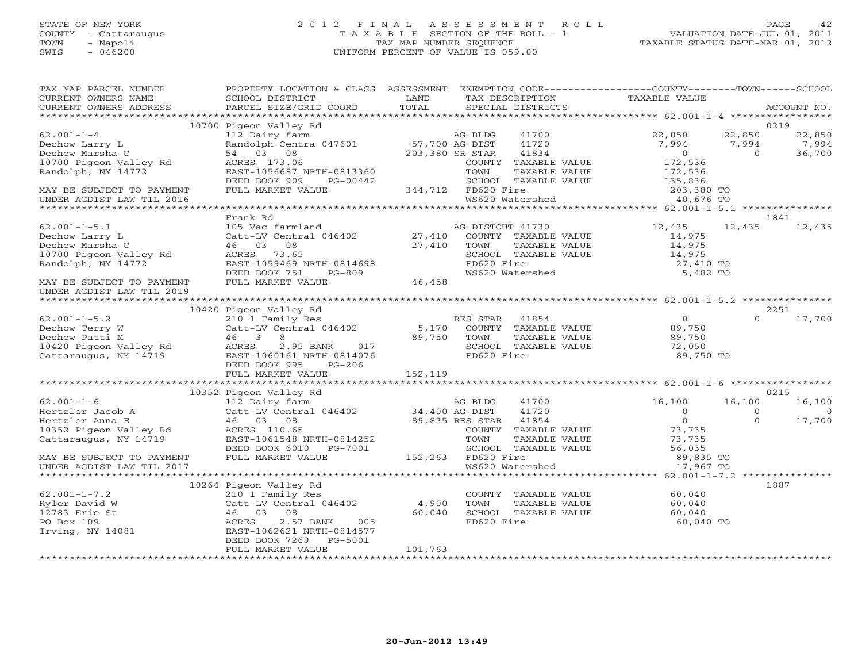# STATE OF NEW YORK 2 0 1 2 F I N A L A S S E S S M E N T R O L L PAGE 42 COUNTY - Cattaraugus T A X A B L E SECTION OF THE ROLL - 1 VALUATION DATE-JUL 01, 2011 TOWN - Napoli TAX MAP NUMBER SEQUENCE TAXABLE STATUS DATE-MAR 01, 2012 SWIS - 046200 UNIFORM PERCENT OF VALUE IS 059.00UNIFORM PERCENT OF VALUE IS 059.00

| TAX MAP PARCEL NUMBER<br>CURRENT OWNERS NAME                                                                                                                                                                                                                                                                                                                                                                                     | PROPERTY LOCATION & CLASS ASSESSMENT EXEMPTION CODE---------------COUNTY-------TOWN------SCHOOL<br>SCHOOL DISTRICT | <b>LAND</b> | TAX DESCRIPTION TAXABLE VALUE SPECIAL DISTRICTS                                      |               |                |
|----------------------------------------------------------------------------------------------------------------------------------------------------------------------------------------------------------------------------------------------------------------------------------------------------------------------------------------------------------------------------------------------------------------------------------|--------------------------------------------------------------------------------------------------------------------|-------------|--------------------------------------------------------------------------------------|---------------|----------------|
| - CURRENT OWNERS ADDRESS - PITTLE/GRID COORD - TOTAL - SPECIAL DISTRICTS - ACCOUNT NO.<br>- ARCEL SIZE/GRID COORD - TOTAL - SPECIAL DISTRICTS - AND RESE - ACCOUNT NO - A ARTIMORY - AND RESE - A ARCHA                                                                                                                                                                                                                          |                                                                                                                    |             |                                                                                      |               |                |
|                                                                                                                                                                                                                                                                                                                                                                                                                                  |                                                                                                                    |             |                                                                                      |               |                |
| $62.001 - 1 - 4$                                                                                                                                                                                                                                                                                                                                                                                                                 |                                                                                                                    |             |                                                                                      |               |                |
|                                                                                                                                                                                                                                                                                                                                                                                                                                  |                                                                                                                    |             |                                                                                      |               |                |
| 62.001-1-4<br>Dechow Larry L<br>Dechow Marsha C<br>10700 Pigeon Valley Rd<br>Randolph, NY 14772<br>Randolph, NY 14772<br>RAST-1056687<br>POCK 000                                                                                                                                                                                                                                                                                |                                                                                                                    |             |                                                                                      |               |                |
|                                                                                                                                                                                                                                                                                                                                                                                                                                  |                                                                                                                    |             |                                                                                      |               |                |
|                                                                                                                                                                                                                                                                                                                                                                                                                                  |                                                                                                                    |             |                                                                                      |               |                |
|                                                                                                                                                                                                                                                                                                                                                                                                                                  |                                                                                                                    |             |                                                                                      |               |                |
| MAY BE SUBJECT TO PAYMENT                                                                                                                                                                                                                                                                                                                                                                                                        |                                                                                                                    |             |                                                                                      |               |                |
| UNDER AGDIST LAW TIL 2016                                                                                                                                                                                                                                                                                                                                                                                                        |                                                                                                                    |             |                                                                                      |               |                |
|                                                                                                                                                                                                                                                                                                                                                                                                                                  |                                                                                                                    |             |                                                                                      |               |                |
|                                                                                                                                                                                                                                                                                                                                                                                                                                  | Frank Rd                                                                                                           |             |                                                                                      |               | 1841           |
|                                                                                                                                                                                                                                                                                                                                                                                                                                  |                                                                                                                    |             |                                                                                      | 12,435 12,435 |                |
|                                                                                                                                                                                                                                                                                                                                                                                                                                  |                                                                                                                    |             |                                                                                      |               |                |
|                                                                                                                                                                                                                                                                                                                                                                                                                                  |                                                                                                                    |             |                                                                                      |               |                |
|                                                                                                                                                                                                                                                                                                                                                                                                                                  |                                                                                                                    |             | SCHOOL TAXABLE VALUE $14,975$<br>FD620 Fire 27,410 TO<br>WS620 Watershed 5,482 TO    |               |                |
|                                                                                                                                                                                                                                                                                                                                                                                                                                  |                                                                                                                    |             |                                                                                      |               |                |
|                                                                                                                                                                                                                                                                                                                                                                                                                                  |                                                                                                                    |             |                                                                                      |               |                |
| UNDER AGDIST LAW TIL 2019                                                                                                                                                                                                                                                                                                                                                                                                        |                                                                                                                    |             |                                                                                      |               |                |
|                                                                                                                                                                                                                                                                                                                                                                                                                                  |                                                                                                                    |             |                                                                                      |               |                |
|                                                                                                                                                                                                                                                                                                                                                                                                                                  |                                                                                                                    |             |                                                                                      |               | 2251           |
|                                                                                                                                                                                                                                                                                                                                                                                                                                  |                                                                                                                    |             |                                                                                      |               | $0 \t 17,700$  |
|                                                                                                                                                                                                                                                                                                                                                                                                                                  |                                                                                                                    |             |                                                                                      |               |                |
|                                                                                                                                                                                                                                                                                                                                                                                                                                  |                                                                                                                    |             |                                                                                      |               |                |
|                                                                                                                                                                                                                                                                                                                                                                                                                                  |                                                                                                                    |             | TOWN TAAADDE VADOL<br>SCHOOL TAXABLE VALUE 72,050<br>TREAGING TARAGE VALUE 89,750 TO |               |                |
|                                                                                                                                                                                                                                                                                                                                                                                                                                  |                                                                                                                    |             |                                                                                      |               |                |
| $\begin{tabular}{lllllllllllllllllll} \multicolumn{3}{l}{{10420\text{ Pigen Vally Rd} & 10420\text{ Pigen Vally Rd} & 299,750\text{ Vlyr}} & 10420\text{ Pigen Vally Rd} & 2101\text{ Family Res} & \text{RES STR} & 41854\text{ VALUE} & 0 \\ & & & & & & & \\ & & & & & & & \\ & & & & & & & & \\ \text{Dechow Party W & & & & & & & \\ \text{Dechow Patti M & & & & & 46 & 3 & 8 & 750 & 70\text{ W} & TAXABLE VALUE & 89,75$ |                                                                                                                    |             |                                                                                      |               |                |
|                                                                                                                                                                                                                                                                                                                                                                                                                                  |                                                                                                                    |             |                                                                                      |               |                |
|                                                                                                                                                                                                                                                                                                                                                                                                                                  |                                                                                                                    |             |                                                                                      |               |                |
|                                                                                                                                                                                                                                                                                                                                                                                                                                  | 10352 Pigeon Valley Rd                                                                                             |             |                                                                                      |               | 0215           |
|                                                                                                                                                                                                                                                                                                                                                                                                                                  |                                                                                                                    |             |                                                                                      | 16,100        | 16,100         |
|                                                                                                                                                                                                                                                                                                                                                                                                                                  |                                                                                                                    |             |                                                                                      | $\Omega$      | $\overline{0}$ |
|                                                                                                                                                                                                                                                                                                                                                                                                                                  |                                                                                                                    |             |                                                                                      | $\Omega$      | 17,700         |
|                                                                                                                                                                                                                                                                                                                                                                                                                                  |                                                                                                                    |             |                                                                                      |               |                |
|                                                                                                                                                                                                                                                                                                                                                                                                                                  |                                                                                                                    |             |                                                                                      |               |                |
|                                                                                                                                                                                                                                                                                                                                                                                                                                  |                                                                                                                    |             |                                                                                      |               |                |
| $\begin{tabular}{lllllllllllllllllll} \begin{array}{l} & & & & & & 10352\text{ Pigeon Valley Rd} & & \\ 62.001-1-6 & & & 112\text{ Dairy farm} & & \\ & & & 112\text{ Dairy farm} & & \\ & & & & 64\text{ Hertz} & & \\ & & & 46 & 03 & 08 & 89,835\text{ RES TRAN} & 41720 & 0 \\ & & & & 64\text{ Hxyz} & 41720 & 0 \\ 10352\text{ Pigeon Valley Rd} & & & & 46\text{ OUST} & 41720 & 0 \\ 10352$                              |                                                                                                                    |             |                                                                                      |               |                |
|                                                                                                                                                                                                                                                                                                                                                                                                                                  |                                                                                                                    |             |                                                                                      |               |                |
|                                                                                                                                                                                                                                                                                                                                                                                                                                  | 10264 Pigeon Valley Rd                                                                                             |             |                                                                                      |               | 1887           |
| $62.001 - 1 - 7.2$                                                                                                                                                                                                                                                                                                                                                                                                               |                                                                                                                    |             |                                                                                      |               |                |
| X10 1 Family Res<br>Xyler David W (210 1 Family Res<br>12783 Erie St 46 03 08<br>PO Box 109 (257 BANK 005<br>Trying, NY 14081 (26257 BANK 105)<br>Trying, NY 14081 (26257 BANK 105)<br>Trying, NY 14081 (262521 NRTH-0814577 PERD ROOK 726                                                                                                                                                                                       | Pigeon Valley Rd<br>210 1 Family Res<br>Catt-LV Central 046402 4,900<br>46 03 08 60,040<br>ACRES 2.57 BANK 005     |             | COUNTY TAXABLE VALUE 60,040<br>TOWN TAXABLE VALUE 60,040                             |               |                |
|                                                                                                                                                                                                                                                                                                                                                                                                                                  |                                                                                                                    |             | SCHOOL TAXABLE VALUE<br>SCHOOL TAXABLE VALUE 60,040<br>FD620 Fire 60,040 TO          |               |                |
|                                                                                                                                                                                                                                                                                                                                                                                                                                  |                                                                                                                    |             |                                                                                      |               |                |
|                                                                                                                                                                                                                                                                                                                                                                                                                                  |                                                                                                                    |             |                                                                                      |               |                |
|                                                                                                                                                                                                                                                                                                                                                                                                                                  | DEED BOOK 7269 PG-5001                                                                                             |             |                                                                                      |               |                |
|                                                                                                                                                                                                                                                                                                                                                                                                                                  | FULL MARKET VALUE                                                                                                  | 101,763     |                                                                                      |               |                |
|                                                                                                                                                                                                                                                                                                                                                                                                                                  |                                                                                                                    |             |                                                                                      |               |                |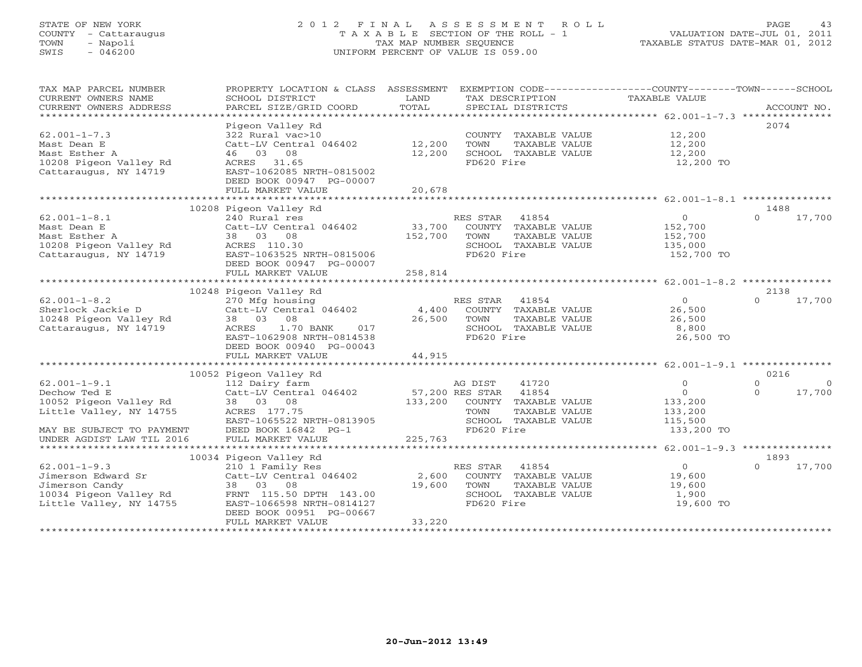# STATE OF NEW YORK 2 0 1 2 F I N A L A S S E S S M E N T R O L L PAGE 43 COUNTY - Cattaraugus T A X A B L E SECTION OF THE ROLL - 1 VALUATION DATE-JUL 01, 2011 TOWN - Napoli TAX MAP NUMBER SEQUENCE TAXABLE STATUS DATE-MAR 01, 2012 SWIS - 046200 UNIFORM PERCENT OF VALUE IS 059.00UNIFORM PERCENT OF VALUE IS 059.00

| TAX MAP PARCEL NUMBER                                                       | PROPERTY LOCATION & CLASS ASSESSMENT      |                       |                |                              | EXEMPTION CODE----------------COUNTY-------TOWN------SCHOOL |          |          |
|-----------------------------------------------------------------------------|-------------------------------------------|-----------------------|----------------|------------------------------|-------------------------------------------------------------|----------|----------|
| CURRENT OWNERS NAME                                                         | SCHOOL DISTRICT                           | LAND                  |                | TAX DESCRIPTION              | TAXABLE VALUE                                               |          |          |
| CURRENT OWNERS ADDRESS                                                      |                                           |                       |                |                              |                                                             |          |          |
| *************************                                                   |                                           |                       |                |                              |                                                             |          |          |
|                                                                             | Pigeon Valley Rd                          |                       |                |                              |                                                             |          | 2074     |
| $62.001 - 1 - 7.3$                                                          | 322 Rural vac>10                          |                       |                |                              | COUNTY TAXABLE VALUE 12,200                                 |          |          |
| Mast Dean E                                                                 | Catt-LV Central 046402 12,200             |                       | TOWN           | TAXABLE VALUE                | 12,200                                                      |          |          |
| Mast Esther A                                                               | 46 03 08                                  | 12,200                |                | SCHOOL TAXABLE VALUE         | 12,200                                                      |          |          |
| 10208 Pigeon Valley Rd                                                      | ACRES 31.65                               |                       | FD620 Fire     |                              | 12,200 TO                                                   |          |          |
| Cattaraugus, NY 14719                                                       | EAST-1062085 NRTH-0815002                 |                       |                |                              |                                                             |          |          |
|                                                                             | DEED BOOK 00947 PG-00007                  |                       |                |                              |                                                             |          |          |
|                                                                             | FULL MARKET VALUE                         | 20,678                |                |                              |                                                             |          |          |
|                                                                             |                                           |                       |                |                              |                                                             |          |          |
|                                                                             | 10208 Pigeon Valley Rd                    |                       |                |                              |                                                             |          | 1488     |
| $62.001 - 1 - 8.1$                                                          | 240 Rural res                             |                       | RES STAR 41854 |                              | $\overline{0}$                                              | $\Omega$ | 17,700   |
| Mast Dean E                                                                 | Catt-LV Central 046402 33,700             |                       |                | COUNTY TAXABLE VALUE         | 152,700                                                     |          |          |
| Mast Esther A                                                               | 38 03 08                                  | 152,700               | TOWN           | TAXABLE VALUE                | 152,700                                                     |          |          |
| 10208 Pigeon Valley Rd ACRES 110.30                                         |                                           |                       |                | SCHOOL TAXABLE VALUE         | 135,000                                                     |          |          |
| Cattaraugus, NY 14719 EAST-1063525 NRTH-0815006                             |                                           |                       | FD620 Fire     |                              | 152,700 TO                                                  |          |          |
|                                                                             | DEED BOOK 00947 PG-00007                  |                       |                |                              |                                                             |          |          |
|                                                                             |                                           |                       |                |                              |                                                             |          |          |
|                                                                             | FULL MARKET VALUE                         | 258,814               |                |                              |                                                             |          |          |
|                                                                             |                                           |                       |                |                              |                                                             |          |          |
|                                                                             | 10248 Pigeon Valley Rd                    |                       |                |                              |                                                             | $\cap$   | 2138     |
| $62.001 - 1 - 8.2$                                                          | 270 Mfg housing<br>Catt-LV Central 046402 |                       | RES STAR 41854 |                              | 0<br>26,500                                                 |          | 17,700   |
| Sherlock Jackie D                                                           |                                           | 4,400                 |                | COUNTY TAXABLE VALUE         |                                                             |          |          |
| 10248 Pigeon Valley Rd                                                      | 38 03 08                                  | 26,500                | TOWN           | TAXABLE VALUE                | 26,500                                                      |          |          |
| Cattaraugus, NY 14719                                                       | ACRES 1.70 BANK<br>017                    |                       |                | SCHOOL TAXABLE VALUE         | 8,800                                                       |          |          |
|                                                                             | EAST-1062908 NRTH-0814538                 |                       | FD620 Fire     |                              | 26,500 TO                                                   |          |          |
|                                                                             | DEED BOOK 00940 PG-00043                  |                       |                |                              |                                                             |          |          |
|                                                                             | FULL MARKET VALUE                         | 44,915                |                |                              |                                                             |          |          |
|                                                                             |                                           |                       |                |                              |                                                             |          |          |
|                                                                             | 10052 Pigeon Valley Rd                    |                       |                |                              |                                                             |          | 0216     |
| $62.001 - 1 - 9.1$                                                          | 112 Dairy farm                            |                       | AG DIST        | 41720                        | $\Omega$                                                    | $\Omega$ | $\Omega$ |
| Dechow Ted E                                                                | Catt-LV Central 046402                    | 57,200 RES STAR 41854 |                |                              | $\Omega$                                                    | $\Omega$ | 17,700   |
| 10052 Pigeon Valley Rd                                                      | 38 03 08                                  |                       |                | 133,200 COUNTY TAXABLE VALUE | 133,200                                                     |          |          |
| Little Valley, NY 14755                                                     | ACRES 177.75                              |                       | TOWN           | TAXABLE VALUE                | 133,200                                                     |          |          |
|                                                                             | EAST-1065522 NRTH-0813905                 |                       |                | SCHOOL TAXABLE VALUE         | 115,500                                                     |          |          |
| MAY BE SUBJECT TO PAYMENT                                                   | DEED BOOK 16842 PG-1                      |                       | FD620 Fire     |                              | 133,200 TO                                                  |          |          |
| UNDER AGDIST LAW TIL 2016                                                   | FULL MARKET VALUE                         | 225,763               |                |                              |                                                             |          |          |
|                                                                             |                                           |                       |                |                              |                                                             |          |          |
|                                                                             | 10034 Pigeon Valley Rd                    |                       |                |                              |                                                             |          | 1893     |
| $62.001 - 1 - 9.3$                                                          | 210 1 Family Res                          |                       | RES STAR 41854 |                              | $\overline{O}$                                              | $\Omega$ | 17,700   |
| Jimerson Edward Sr Catt-LV Central 046402                                   |                                           | 2,600                 |                | COUNTY TAXABLE VALUE         | 19,600                                                      |          |          |
| Jimerson Candy                                                              | 38 03 08                                  | 19,600                | TOWN           | TAXABLE VALUE                | 19,600                                                      |          |          |
|                                                                             |                                           |                       |                | SCHOOL TAXABLE VALUE         | 1,900                                                       |          |          |
| 10034 Pigeon Valley Rd<br>Little Valley, NY 14755 EAST-1066598 NRTH-0814127 |                                           |                       | FD620 Fire     |                              | 19,600 TO                                                   |          |          |
|                                                                             | DEED BOOK 00951 PG-00667                  |                       |                |                              |                                                             |          |          |
|                                                                             | FULL MARKET VALUE                         | 33,220                |                |                              |                                                             |          |          |
|                                                                             |                                           |                       |                |                              |                                                             |          |          |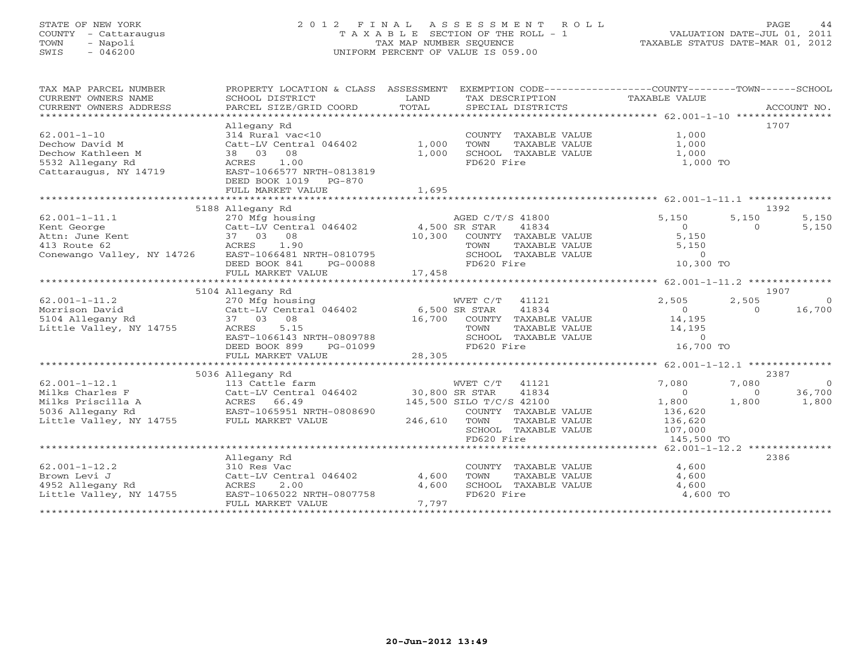# STATE OF NEW YORK 2 0 1 2 F I N A L A S S E S S M E N T R O L L PAGE 44 COUNTY - Cattaraugus T A X A B L E SECTION OF THE ROLL - 1 VALUATION DATE-JUL 01, 2011 TOWN - Napoli TAX MAP NUMBER SEQUENCE TAXABLE STATUS DATE-MAR 01, 2012 SWIS - 046200 UNIFORM PERCENT OF VALUE IS 059.00

| TAX MAP PARCEL NUMBER<br>CURRENT OWNERS NAME<br>CURRENT OWNERS ADDRESS | PROPERTY LOCATION & CLASS ASSESSMENT<br>SCHOOL DISTRICT<br>PARCEL SIZE/GRID COORD | LAND<br>TOTAL | EXEMPTION CODE-----------------COUNTY-------TOWN------SCHOOL<br>TAX DESCRIPTION<br>SPECIAL DISTRICTS | TAXABLE VALUE      |          | ACCOUNT NO. |
|------------------------------------------------------------------------|-----------------------------------------------------------------------------------|---------------|------------------------------------------------------------------------------------------------------|--------------------|----------|-------------|
|                                                                        |                                                                                   |               |                                                                                                      |                    |          |             |
|                                                                        | Allegany Rd                                                                       |               |                                                                                                      |                    |          | 1707        |
| $62.001 - 1 - 10$                                                      | 314 Rural vac<10                                                                  |               | COUNTY TAXABLE VALUE                                                                                 | 1,000              |          |             |
| Dechow David M                                                         | Catt-LV Central 046402                                                            | 1,000         | TOWN<br>TAXABLE VALUE                                                                                | 1,000              |          |             |
| Dechow Kathleen M                                                      | 08<br>38 03                                                                       | 1,000         | SCHOOL TAXABLE VALUE                                                                                 | 1,000              |          |             |
| 5532 Allegany Rd                                                       | 1.00<br>ACRES                                                                     |               | FD620 Fire                                                                                           | 1,000 TO           |          |             |
| Cattaraugus, NY 14719                                                  | EAST-1066577 NRTH-0813819                                                         |               |                                                                                                      |                    |          |             |
|                                                                        | DEED BOOK 1019<br>PG-870                                                          |               |                                                                                                      |                    |          |             |
|                                                                        | FULL MARKET VALUE                                                                 | 1,695         |                                                                                                      |                    |          |             |
|                                                                        |                                                                                   |               |                                                                                                      |                    |          |             |
|                                                                        | 5188 Allegany Rd                                                                  |               |                                                                                                      |                    |          | 1392        |
| $62.001 - 1 - 11.1$                                                    | 270 Mfg housing                                                                   |               | AGED C/T/S 41800                                                                                     | 5,150              | 5,150    | 5,150       |
|                                                                        |                                                                                   |               |                                                                                                      |                    |          |             |
| Kent George                                                            | Catt-LV Central 046402                                                            | 4,500 SR STAR | 41834                                                                                                | $\Omega$           | $\Omega$ | 5,150       |
| Attn: June Kent                                                        | 37 03<br>08                                                                       | 10,300        | COUNTY TAXABLE VALUE                                                                                 | 5,150              |          |             |
| 413 Route 62                                                           | ACRES<br>1.90                                                                     |               | TOWN<br>TAXABLE VALUE                                                                                | 5,150              |          |             |
| Conewango Valley, NY 14726                                             | EAST-1066481 NRTH-0810795                                                         |               | SCHOOL TAXABLE VALUE                                                                                 | $\overline{0}$     |          |             |
|                                                                        | DEED BOOK 841<br>PG-00088                                                         |               | FD620 Fire                                                                                           | 10,300 TO          |          |             |
|                                                                        | FULL MARKET VALUE                                                                 | 17,458        |                                                                                                      |                    |          |             |
|                                                                        |                                                                                   |               |                                                                                                      |                    |          |             |
|                                                                        | 5104 Allegany Rd                                                                  |               |                                                                                                      |                    |          | 1907        |
| $62.001 - 1 - 11.2$                                                    | 270 Mfg housing                                                                   |               | WVET C/T 41121                                                                                       | 2,505              | 2,505    | $\Omega$    |
| Morrison David                                                         | Catt-LV Central 046402                                                            |               | 6,500 SR STAR<br>41834                                                                               | $\overline{0}$     | $\Omega$ | 16,700      |
| 5104 Allegany Rd                                                       | 37 03<br>08                                                                       | 16,700        | COUNTY TAXABLE VALUE                                                                                 | 14,195             |          |             |
| Little Valley, NY 14755                                                | 5.15<br>ACRES                                                                     |               | TAXABLE VALUE<br>TOWN                                                                                | 14,195             |          |             |
|                                                                        | EAST-1066143 NRTH-0809788                                                         |               | SCHOOL TAXABLE VALUE                                                                                 | $\circ$            |          |             |
|                                                                        | DEED BOOK 899<br>PG-01099                                                         |               | FD620 Fire                                                                                           | 16,700 TO          |          |             |
|                                                                        | FULL MARKET VALUE                                                                 | 28,305        |                                                                                                      |                    |          |             |
|                                                                        |                                                                                   |               |                                                                                                      |                    |          |             |
|                                                                        | 5036 Allegany Rd                                                                  |               |                                                                                                      |                    |          | 2387        |
| $62.001 - 1 - 12.1$                                                    | 113 Cattle farm                                                                   |               | WVET C/T<br>41121                                                                                    | 7,080              | 7,080    | $\bigcirc$  |
| Milks Charles F                                                        | Catt-LV Central 046402                                                            |               | 41834<br>30,800 SR STAR                                                                              | $\Omega$           | $\Omega$ | 36,700      |
| Milks Priscilla A                                                      | ACRES 66.49                                                                       |               | 145,500 SILO T/C/S 42100                                                                             | 1,800              | 1,800    | 1,800       |
| 5036 Allegany Rd                                                       | EAST-1065951 NRTH-0808690                                                         |               |                                                                                                      |                    |          |             |
| Little Valley, NY 14755                                                | FULL MARKET VALUE                                                                 |               | COUNTY TAXABLE VALUE<br>TAXABLE VALUE                                                                | 136,620<br>136,620 |          |             |
|                                                                        |                                                                                   | 246,610       | TOWN                                                                                                 |                    |          |             |
|                                                                        |                                                                                   |               | SCHOOL TAXABLE VALUE                                                                                 | 107,000            |          |             |
|                                                                        |                                                                                   |               | FD620 Fire                                                                                           | 145,500 TO         |          |             |
|                                                                        |                                                                                   |               |                                                                                                      |                    |          |             |
|                                                                        | Allegany Rd                                                                       |               |                                                                                                      |                    |          | 2386        |
| $62.001 - 1 - 12.2$                                                    | 310 Res Vac                                                                       |               | COUNTY TAXABLE VALUE                                                                                 | 4,600              |          |             |
| Brown Levi J                                                           | Catt-LV Central 046402                                                            | 4,600         | TOWN<br>TAXABLE VALUE                                                                                | 4,600              |          |             |
| 4952 Allegany Rd                                                       | ACRES<br>2.00                                                                     | 4,600         | SCHOOL TAXABLE VALUE                                                                                 | 4,600              |          |             |
| Little Valley, NY 14755                                                | EAST-1065022 NRTH-0807758                                                         |               | FD620 Fire                                                                                           | 4,600 TO           |          |             |
|                                                                        | FULL MARKET VALUE                                                                 | 7,797         |                                                                                                      |                    |          |             |
| *******************                                                    |                                                                                   |               |                                                                                                      |                    |          |             |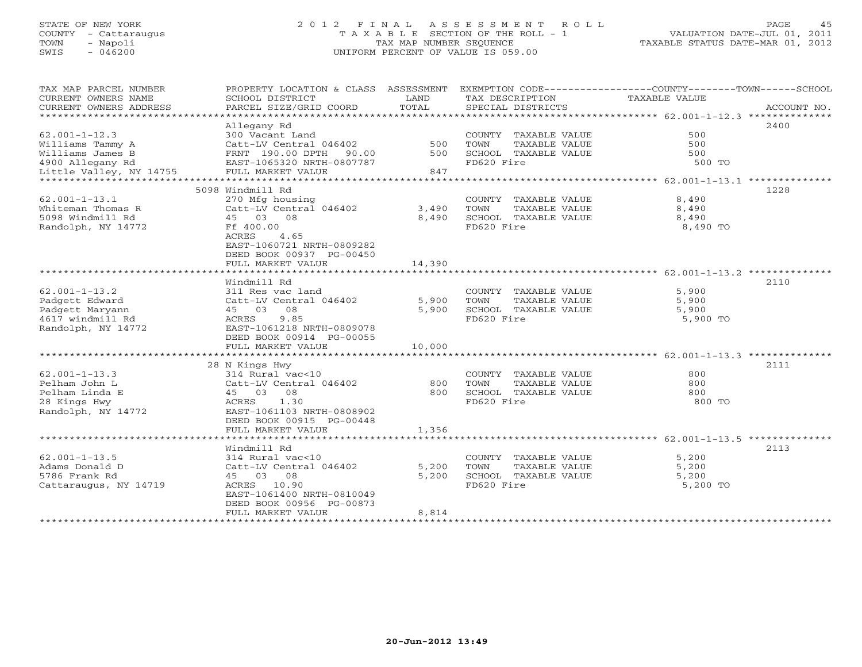# STATE OF NEW YORK 2 0 1 2 F I N A L A S S E S S M E N T R O L L PAGE 45 COUNTY - Cattaraugus T A X A B L E SECTION OF THE ROLL - 1 VALUATION DATE-JUL 01, 2011 TOWN - Napoli TAX MAP NUMBER SEQUENCE TAXABLE STATUS DATE-MAR 01, 2012 SWIS - 046200 UNIFORM PERCENT OF VALUE IS 059.00UNIFORM PERCENT OF VALUE IS 059.00

| TAX MAP PARCEL NUMBER<br>CURRENT OWNERS NAME<br>CURRENT OWNERS ADDRESS | PROPERTY LOCATION & CLASS ASSESSMENT<br>SCHOOL DISTRICT<br>PARCEL SIZE/GRID COORD | LAND<br>TOTAL | TAX DESCRIPTION<br>SPECIAL DISTRICTS | EXEMPTION CODE-----------------COUNTY-------TOWN------SCHOOL<br>TAXABLE VALUE<br>ACCOUNT NO. |
|------------------------------------------------------------------------|-----------------------------------------------------------------------------------|---------------|--------------------------------------|----------------------------------------------------------------------------------------------|
|                                                                        |                                                                                   |               |                                      |                                                                                              |
|                                                                        | Allegany Rd                                                                       |               |                                      | 2400                                                                                         |
| $62.001 - 1 - 12.3$                                                    | 300 Vacant Land                                                                   |               | COUNTY TAXABLE VALUE                 | 500                                                                                          |
| Williams Tammy A                                                       | Catt-LV Central 046402                                                            | 500           | TOWN<br>TAXABLE VALUE                | 500                                                                                          |
| Williams James B                                                       | 90.00<br>FRNT 190.00 DPTH                                                         | 500           | SCHOOL TAXABLE VALUE                 | 500                                                                                          |
| 4900 Allegany Rd                                                       | EAST-1065320 NRTH-0807787                                                         |               | FD620 Fire                           | 500 TO                                                                                       |
| Little Valley, NY 14755                                                | FULL MARKET VALUE                                                                 | 847           |                                      |                                                                                              |
|                                                                        |                                                                                   |               |                                      |                                                                                              |
|                                                                        | 5098 Windmill Rd                                                                  |               |                                      | 1228                                                                                         |
|                                                                        |                                                                                   |               |                                      |                                                                                              |
| $62.001 - 1 - 13.1$                                                    | 270 Mfg housing                                                                   |               | COUNTY TAXABLE VALUE                 | 8,490                                                                                        |
| Whiteman Thomas R                                                      | Catt-LV Central 046402                                                            | 3,490         | TOWN<br>TAXABLE VALUE                | 8,490                                                                                        |
| 5098 Windmill Rd                                                       | 45 03 08                                                                          | 8,490         | SCHOOL TAXABLE VALUE                 | 8,490                                                                                        |
| Randolph, NY 14772                                                     | Ff 400.00                                                                         |               | FD620 Fire                           | 8,490 TO                                                                                     |
|                                                                        | 4.65<br>ACRES                                                                     |               |                                      |                                                                                              |
|                                                                        | EAST-1060721 NRTH-0809282                                                         |               |                                      |                                                                                              |
|                                                                        | DEED BOOK 00937 PG-00450                                                          |               |                                      |                                                                                              |
|                                                                        | FULL MARKET VALUE                                                                 | 14,390        |                                      |                                                                                              |
|                                                                        |                                                                                   |               |                                      |                                                                                              |
|                                                                        | Windmill Rd                                                                       |               |                                      | 2110                                                                                         |
| $62.001 - 1 - 13.2$                                                    | 311 Res vac land                                                                  |               | COUNTY TAXABLE VALUE                 | 5,900                                                                                        |
| Padgett Edward                                                         | Catt-LV Central 046402                                                            | 5,900         | TOWN<br>TAXABLE VALUE                | 5,900                                                                                        |
| Padgett Maryann                                                        | 45 03<br>08                                                                       | 5,900         | SCHOOL TAXABLE VALUE                 | 5,900                                                                                        |
| 4617 windmill Rd                                                       | ACRES<br>9.85                                                                     |               | FD620 Fire                           | 5,900 TO                                                                                     |
|                                                                        |                                                                                   |               |                                      |                                                                                              |
| Randolph, NY 14772                                                     | EAST-1061218 NRTH-0809078                                                         |               |                                      |                                                                                              |
|                                                                        | DEED BOOK 00914 PG-00055                                                          |               |                                      |                                                                                              |
|                                                                        | FULL MARKET VALUE                                                                 | 10,000        |                                      |                                                                                              |
|                                                                        |                                                                                   |               |                                      |                                                                                              |
|                                                                        | 28 N Kings Hwy                                                                    |               |                                      | 2111                                                                                         |
| $62.001 - 1 - 13.3$                                                    | 314 Rural vac<10                                                                  |               | COUNTY TAXABLE VALUE                 | 800                                                                                          |
| Pelham John L                                                          | Catt-LV Central 046402                                                            | 800           | TOWN<br>TAXABLE VALUE                | 800                                                                                          |
| Pelham Linda E                                                         | 45 03<br>08                                                                       | 800           | SCHOOL TAXABLE VALUE                 | 800                                                                                          |
| 28 Kings Hwy                                                           | ACRES<br>1.30                                                                     |               | FD620 Fire                           | 800 TO                                                                                       |
| Randolph, NY 14772                                                     | EAST-1061103 NRTH-0808902                                                         |               |                                      |                                                                                              |
|                                                                        | DEED BOOK 00915 PG-00448                                                          |               |                                      |                                                                                              |
|                                                                        | FULL MARKET VALUE                                                                 | 1,356         |                                      |                                                                                              |
|                                                                        |                                                                                   |               |                                      |                                                                                              |
|                                                                        | Windmill Rd                                                                       |               |                                      | 2113                                                                                         |
| $62.001 - 1 - 13.5$                                                    | 314 Rural vac<10                                                                  |               | COUNTY TAXABLE VALUE                 | 5,200                                                                                        |
| Adams Donald D                                                         | Catt-LV Central 046402                                                            | 5,200         | TAXABLE VALUE<br>TOWN                | 5,200                                                                                        |
| 5786 Frank Rd                                                          | 45 03<br>08                                                                       | 5,200         | SCHOOL TAXABLE VALUE                 | 5,200                                                                                        |
|                                                                        |                                                                                   |               |                                      |                                                                                              |
| Cattaraugus, NY 14719                                                  | ACRES 10.90                                                                       |               | FD620 Fire                           | 5,200 TO                                                                                     |
|                                                                        | EAST-1061400 NRTH-0810049                                                         |               |                                      |                                                                                              |
|                                                                        | DEED BOOK 00956 PG-00873                                                          |               |                                      |                                                                                              |
|                                                                        | FULL MARKET VALUE                                                                 | 8,814         |                                      |                                                                                              |
|                                                                        |                                                                                   |               |                                      |                                                                                              |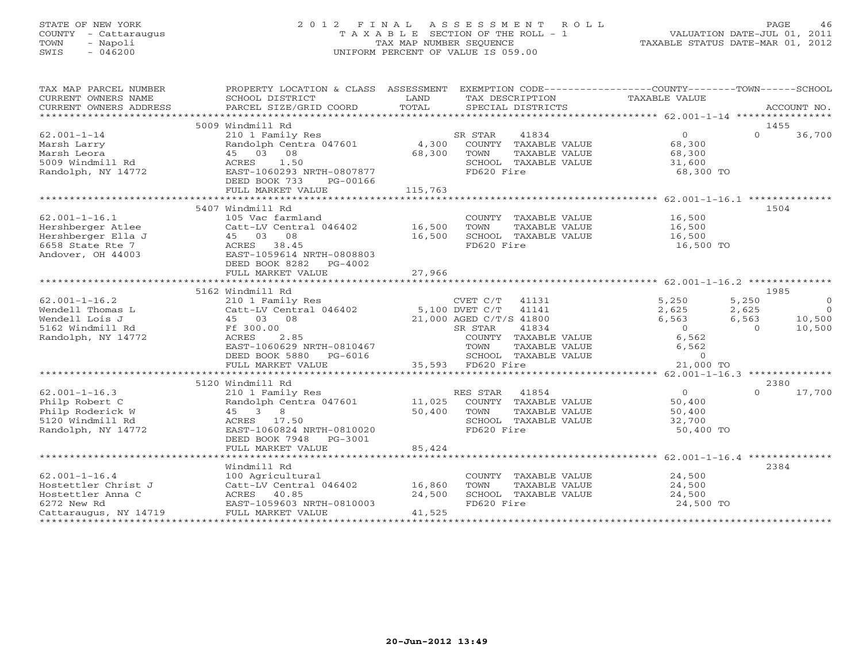# STATE OF NEW YORK 2 0 1 2 F I N A L A S S E S S M E N T R O L L PAGE 46 COUNTY - Cattaraugus T A X A B L E SECTION OF THE ROLL - 1 VALUATION DATE-JUL 01, 2011 TOWN - Napoli TAX MAP NUMBER SEQUENCE TAXABLE STATUS DATE-MAR 01, 2012 SWIS - 046200 UNIFORM PERCENT OF VALUE IS 059.00UNIFORM PERCENT OF VALUE IS 059.00

| TAX MAP PARCEL NUMBER<br>CURRENT OWNERS NAME<br>CURRENT OWNERS ADDRESS | PROPERTY LOCATION & CLASS ASSESSMENT EXEMPTION CODE----------------COUNTY-------TOWN------SCHOOL<br>SCHOOL DISTRICT<br>PARCEL SIZE/GRID COORD | LAND<br>TOTAL | TAX DESCRIPTION<br>SPECIAL DISTRICTS | TAXABLE VALUE  | ACCOUNT NO.                          |
|------------------------------------------------------------------------|-----------------------------------------------------------------------------------------------------------------------------------------------|---------------|--------------------------------------|----------------|--------------------------------------|
|                                                                        |                                                                                                                                               |               |                                      |                |                                      |
|                                                                        | 5009 Windmill Rd                                                                                                                              |               |                                      |                | 1455                                 |
| $62.001 - 1 - 14$                                                      | 210 1 Family Res                                                                                                                              |               | 41834<br>SR STAR                     |                | $\overline{0}$<br>$\Omega$<br>36,700 |
| Marsh Larry                                                            | Randolph Centra 047601 4,300                                                                                                                  |               | COUNTY TAXABLE VALUE                 | 68,300         |                                      |
| Marsh Leora                                                            | 45 03 08                                                                                                                                      | 68,300        | TAXABLE VALUE<br>TOWN                | 68,300         |                                      |
| 5009 Windmill Rd                                                       | 1.50<br>ACRES                                                                                                                                 |               | SCHOOL TAXABLE VALUE                 | 31,600         |                                      |
| Randolph, NY 14772                                                     | EAST-1060293 NRTH-0807877                                                                                                                     |               | FD620 Fire                           |                | 68,300 TO                            |
|                                                                        | DEED BOOK 733<br>PG-00166                                                                                                                     |               |                                      |                |                                      |
|                                                                        | FULL MARKET VALUE                                                                                                                             | 115,763       |                                      |                |                                      |
|                                                                        |                                                                                                                                               |               |                                      |                |                                      |
|                                                                        | 5407 Windmill Rd                                                                                                                              |               |                                      |                | 1504                                 |
| $62.001 - 1 - 16.1$                                                    | 105 Vac farmland                                                                                                                              |               | COUNTY TAXABLE VALUE                 | 16,500         |                                      |
| Hershberger Atlee                                                      | Catt-LV Central 046402                                                                                                                        | 16,500        | TOWN<br>TAXABLE VALUE                | 16,500         |                                      |
| Hershberger Ella J                                                     | 45 03 08                                                                                                                                      | 16,500        | SCHOOL TAXABLE VALUE                 | 16,500         |                                      |
| 6658 State Rte 7                                                       | ACRES 38.45                                                                                                                                   |               | FD620 Fire                           |                | 16,500 TO                            |
| Andover, OH 44003                                                      | EAST-1059614 NRTH-0808803                                                                                                                     |               |                                      |                |                                      |
|                                                                        | DEED BOOK 8282 PG-4002                                                                                                                        |               |                                      |                |                                      |
|                                                                        |                                                                                                                                               |               |                                      |                |                                      |
|                                                                        |                                                                                                                                               |               |                                      |                |                                      |
|                                                                        | 5162 Windmill Rd                                                                                                                              |               |                                      |                | 1985                                 |
| $62.001 - 1 - 16.2$                                                    | 210 1 Family Res                                                                                                                              |               | 41131<br>CVET C/T                    | 5,250          | 5,250<br>$\Omega$                    |
| Wendell Thomas L                                                       | $Cat$ -LV Central $046402$ 5,100 DVET C/T                                                                                                     |               | 41141                                | 2,625          | 2,625<br>$\bigcap$                   |
| Wendell Lois J                                                         | 45 03 08                                                                                                                                      |               | 21,000 AGED C/T/S 41800              | 6,563          | 6,563<br>10,500                      |
| 5162 Windmill Rd                                                       | Ff 300.00                                                                                                                                     |               | 41834<br>SR STAR                     | $\overline{0}$ | 10,500<br>$\Omega$                   |
| Randolph, NY 14772                                                     | ACRES<br>2.85                                                                                                                                 |               | COUNTY TAXABLE VALUE                 | 6,562          |                                      |
|                                                                        | EAST-1060629 NRTH-0810467                                                                                                                     |               | TOWN<br>TAXABLE VALUE                | 6,562          |                                      |
|                                                                        | DEED BOOK 5880 PG-6016                                                                                                                        |               | SCHOOL TAXABLE VALUE                 |                | $\circ$                              |
|                                                                        | FULL MARKET VALUE                                                                                                                             |               | 35,593 FD620 Fire                    |                | 21,000 TO                            |
|                                                                        |                                                                                                                                               |               |                                      |                |                                      |
|                                                                        | 5120 Windmill Rd                                                                                                                              |               |                                      |                | 2380                                 |
| $62.001 - 1 - 16.3$                                                    | 210 1 Family Res                                                                                                                              |               | 41854<br>RES STAR                    | $\overline{0}$ | $\Omega$<br>17,700                   |
| Philp Robert C                                                         | Randolph Centra 047601                                                                                                                        | 11,025        | COUNTY TAXABLE VALUE                 | 50,400         |                                      |
| Philp Roderick W                                                       | 45 3 8                                                                                                                                        | 50,400        | TAXABLE VALUE<br>TOWN                | 50,400         |                                      |
| 5120 Windmill Rd                                                       | ACRES 17.50                                                                                                                                   |               | SCHOOL TAXABLE VALUE                 | 32,700         |                                      |
| Randolph, NY 14772                                                     | EAST-1060824 NRTH-0810020                                                                                                                     |               | FD620 Fire                           |                | 50,400 TO                            |
|                                                                        | DEED BOOK 7948 PG-3001                                                                                                                        |               |                                      |                |                                      |
|                                                                        | FULL MARKET VALUE                                                                                                                             | 85,424        |                                      |                |                                      |
|                                                                        |                                                                                                                                               |               |                                      |                |                                      |
|                                                                        | Windmill Rd                                                                                                                                   |               |                                      |                | 2384                                 |
| $62.001 - 1 - 16.4$                                                    | 100 Agricultural                                                                                                                              |               | COUNTY TAXABLE VALUE                 | 24,500         |                                      |
| Hostettler Christ J                                                    | Catt-LV Central 046402                                                                                                                        | 16,860        | TAXABLE VALUE<br>TOWN                | 24,500         |                                      |
| Hostettler Anna C                                                      | ACRES 40.85                                                                                                                                   | 24,500        | SCHOOL TAXABLE VALUE                 | 24,500         |                                      |
| 6272 New Rd                                                            | EAST-1059603 NRTH-0810003                                                                                                                     |               | FD620 Fire                           |                | 24,500 TO                            |
| Cattaraugus, NY 14719                                                  | FULL MARKET VALUE                                                                                                                             | 41,525        |                                      |                |                                      |
|                                                                        |                                                                                                                                               |               |                                      |                |                                      |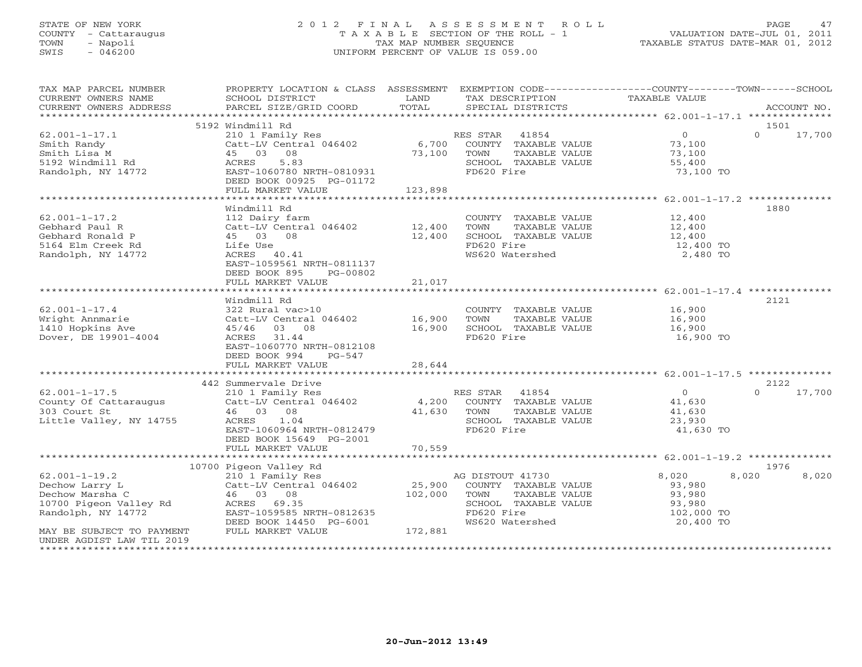# STATE OF NEW YORK 2 0 1 2 F I N A L A S S E S S M E N T R O L L PAGE 47 COUNTY - Cattaraugus T A X A B L E SECTION OF THE ROLL - 1 VALUATION DATE-JUL 01, 2011 TOWN - Napoli TAX MAP NUMBER SEQUENCE TAXABLE STATUS DATE-MAR 01, 2012 SWIS - 046200 UNIFORM PERCENT OF VALUE IS 059.00UNIFORM PERCENT OF VALUE IS 059.00

| TAX MAP PARCEL NUMBER<br>CURRENT OWNERS NAME | PROPERTY LOCATION & CLASS ASSESSMENT EXEMPTION CODE----------------COUNTY-------TOWN------SCHOOL<br>SCHOOL DISTRICT | LAND        | TAX DESCRIPTION            | TAXABLE VALUE     |                    |
|----------------------------------------------|---------------------------------------------------------------------------------------------------------------------|-------------|----------------------------|-------------------|--------------------|
| CURRENT OWNERS ADDRESS                       | PARCEL SIZE/GRID COORD                                                                                              | TOTAL       | SPECIAL DISTRICTS          |                   | ACCOUNT NO.        |
|                                              |                                                                                                                     |             |                            |                   |                    |
|                                              | 5192 Windmill Rd                                                                                                    |             |                            |                   | 1501               |
| $62.001 - 1 - 17.1$                          | 210 1 Family Res                                                                                                    |             | RES STAR 41854             | $0 \qquad \qquad$ | $0 \t 17,700$      |
| Smith Randy                                  |                                                                                                                     |             | COUNTY TAXABLE VALUE       | 73,100            |                    |
| Smith Lisa M                                 | Catt-LV Central 046402 6,700<br>45 03 08                                                                            | 73,100      | TOWN<br>TAXABLE VALUE      | 73,100            |                    |
| 5192 Windmill Rd                             | ACRES<br>5.83                                                                                                       |             | SCHOOL TAXABLE VALUE       | 55,400            |                    |
|                                              | EAST-1060780 NRTH-0810931                                                                                           |             | FD620 Fire                 | 73,100 TO         |                    |
| Randolph, NY 14772                           |                                                                                                                     |             |                            |                   |                    |
|                                              | DEED BOOK 00925 PG-01172                                                                                            | 123,898     |                            |                   |                    |
|                                              | FULL MARKET VALUE                                                                                                   |             |                            |                   |                    |
|                                              |                                                                                                                     |             |                            |                   |                    |
|                                              | Windmill Rd                                                                                                         |             |                            |                   | 1880               |
| $62.001 - 1 - 17.2$                          | 112 Dairy farm                                                                                                      |             | COUNTY TAXABLE VALUE       | 12,400            |                    |
| Gebhard Paul R                               | Catt-LV Central 046402                                                                                              | 12,400      | TAXABLE VALUE<br>TOWN      | 12,400            |                    |
| Gebhard Ronald P                             | 45 03 08                                                                                                            | 12,400      | SCHOOL TAXABLE VALUE       | 12,400            |                    |
| 5164 Elm Creek Rd                            | Life Use                                                                                                            |             | FD620 Fire                 | 12,400 TO         |                    |
| Randolph, NY 14772                           | ACRES 40.41                                                                                                         |             | WS620 Watershed            | 2,480 TO          |                    |
|                                              | EAST-1059561 NRTH-0811137                                                                                           |             |                            |                   |                    |
|                                              | DEED BOOK 895<br>PG-00802                                                                                           |             |                            |                   |                    |
|                                              | FULL MARKET VALUE                                                                                                   | 21,017      |                            |                   |                    |
|                                              |                                                                                                                     |             |                            |                   |                    |
|                                              | Windmill Rd                                                                                                         |             |                            |                   | 2121               |
| $62.001 - 1 - 17.4$                          | 322 Rural vac>10                                                                                                    |             | COUNTY TAXABLE VALUE       | 16,900            |                    |
| Wright Annmarie                              | Catt-LV Central 046402 16,900                                                                                       |             | TOWN<br>TAXABLE VALUE      | 16,900            |                    |
| 1410 Hopkins Ave                             | 45/46 03 08                                                                                                         | 16,900      | SCHOOL TAXABLE VALUE       | 16,900            |                    |
| Dover, DE 19901-4004                         | ACRES 31.44                                                                                                         |             | FD620 Fire                 | 16,900 TO         |                    |
|                                              | EAST-1060770 NRTH-0812108                                                                                           |             |                            |                   |                    |
|                                              | DEED BOOK 994<br>PG-547                                                                                             |             |                            |                   |                    |
|                                              | FULL MARKET VALUE                                                                                                   | 28,644      |                            |                   |                    |
|                                              |                                                                                                                     |             |                            |                   |                    |
|                                              | 442 Summervale Drive                                                                                                |             |                            |                   | 2122               |
| $62.001 - 1 - 17.5$                          | 210 1 Family Res                                                                                                    |             | RES STAR 41854             | $\Omega$          | 17,700<br>$\Omega$ |
| County Of Cattaraugus Catt-LV Central 046402 |                                                                                                                     |             | 4,200 COUNTY TAXABLE VALUE | 41,630            |                    |
| 303 Court St                                 | 46 03 08                                                                                                            | 41,630 TOWN | TAXABLE VALUE              | 41,630            |                    |
| Little Valley, NY 14755                      | ACRES 1.04                                                                                                          |             | SCHOOL TAXABLE VALUE       | 23,930            |                    |
|                                              | EAST-1060964 NRTH-0812479                                                                                           |             | FD620 Fire                 | 41,630 TO         |                    |
|                                              | DEED BOOK 15649 PG-2001                                                                                             |             |                            |                   |                    |
|                                              |                                                                                                                     | 70,559      |                            |                   |                    |
|                                              | FULL MARKET VALUE                                                                                                   |             |                            |                   |                    |
|                                              |                                                                                                                     |             |                            |                   |                    |
|                                              | 10700 Pigeon Valley Rd                                                                                              |             |                            |                   | 1976               |
| $62.001 - 1 - 19.2$                          | 210 1 Family Res                                                                                                    |             | AG DISTOUT 41730           | 8,020<br>8,020    | 8,020              |
| Dechow Larry L                               | Catt-LV Central 046402                                                                                              | 25,900      | COUNTY TAXABLE VALUE       | 93,980            |                    |
| Dechow Marsha C                              | 46 03 08                                                                                                            | 102,000     | TOWN<br>TAXABLE VALUE      | 93,980            |                    |
| 10700 Pigeon Valley Rd                       | ACRES 69.35                                                                                                         |             | SCHOOL TAXABLE VALUE       | 93,980            |                    |
| Randolph, NY 14772                           | EAST-1059585 NRTH-0812635                                                                                           |             | FD620 Fire                 | 102,000 TO        |                    |
|                                              | DEED BOOK 14450 PG-6001                                                                                             |             | WS620 Watershed            | 20,400 TO         |                    |
| MAY BE SUBJECT TO PAYMENT                    | FULL MARKET VALUE                                                                                                   | 172,881     |                            |                   |                    |
| UNDER AGDIST LAW TIL 2019                    |                                                                                                                     |             |                            |                   |                    |
|                                              |                                                                                                                     |             |                            |                   |                    |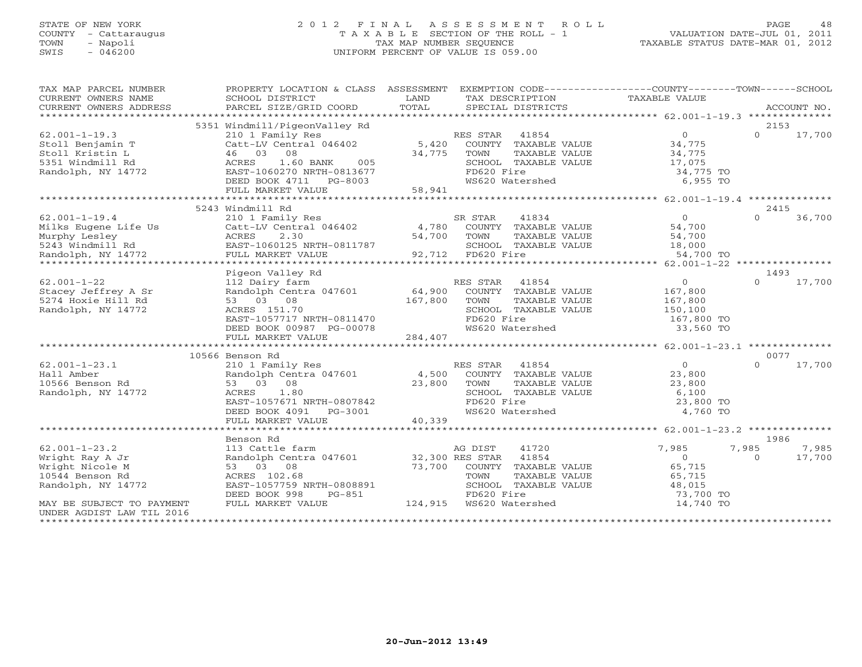# STATE OF NEW YORK 2 0 1 2 F I N A L A S S E S S M E N T R O L L PAGE 48 COUNTY - Cattaraugus T A X A B L E SECTION OF THE ROLL - 1 VALUATION DATE-JUL 01, 2011 TOWN - Napoli TAX MAP NUMBER SEQUENCE TAXABLE STATUS DATE-MAR 01, 2012 SWIS - 046200 UNIFORM PERCENT OF VALUE IS 059.00UNIFORM PERCENT OF VALUE IS 059.00

| TAX MAP PARCEL NUMBER                         |                                                                   | PROPERTY LOCATION & CLASS ASSESSMENT EXEMPTION CODE----------------COUNTY-------TOWN------SCHOOL                                                                                                                                       | TAXABLE VALUE                            |
|-----------------------------------------------|-------------------------------------------------------------------|----------------------------------------------------------------------------------------------------------------------------------------------------------------------------------------------------------------------------------------|------------------------------------------|
| CURRENT OWNERS NAME<br>CURRENT OWNERS ADDRESS | SCHOOL DISTRICT                                                   | LAND<br>TAX DESCRIPTION                                                                                                                                                                                                                |                                          |
|                                               |                                                                   |                                                                                                                                                                                                                                        |                                          |
|                                               | 5351 Windmill/PigeonValley Rd                                     |                                                                                                                                                                                                                                        | 2153                                     |
| $62.001 - 1 - 19.3$                           | 210 1 Family Res                                                  | RES STAR 41854                                                                                                                                                                                                                         | $\Omega$<br>$\Omega$<br>17,700           |
|                                               | Catt-LV Central $046402$ 5,420                                    | COUNTY TAXABLE VALUE                                                                                                                                                                                                                   |                                          |
| Stoll Benjamin T                              |                                                                   |                                                                                                                                                                                                                                        | 34,775                                   |
| Stoll Kristin L                               | 46 03 08                                                          | 34,775<br>TOWN<br>TAXABLE VALUE                                                                                                                                                                                                        | 34,775<br>د <i>۱ ۱ ۱ ب</i> ه<br>17 , 075 |
| 5351 Windmill Rd                              | ACRES<br>1.60 BANK<br>005                                         | SCHOOL TAXABLE VALUE                                                                                                                                                                                                                   |                                          |
| Randolph, NY 14772                            | EAST-1060270 NRTH-0813677                                         | FD620 Fire                                                                                                                                                                                                                             | 34,775 TO                                |
|                                               | DEED BOOK 4711 PG-8003                                            | WS620 Watershed                                                                                                                                                                                                                        | 6,955 TO                                 |
|                                               | FULL MARKET VALUE                                                 | 58,941                                                                                                                                                                                                                                 |                                          |
|                                               |                                                                   |                                                                                                                                                                                                                                        |                                          |
|                                               | 5243 Windmill Rd                                                  |                                                                                                                                                                                                                                        | 2415                                     |
| $62.001 - 1 - 19.4$                           | 210 1 Family Res                                                  | 41834<br>SR STAR                                                                                                                                                                                                                       | $\Omega$<br>$\Omega$<br>36,700           |
|                                               |                                                                   |                                                                                                                                                                                                                                        |                                          |
|                                               |                                                                   |                                                                                                                                                                                                                                        |                                          |
|                                               |                                                                   |                                                                                                                                                                                                                                        |                                          |
|                                               |                                                                   |                                                                                                                                                                                                                                        |                                          |
|                                               |                                                                   | 62.001-1-19.4<br>Mirks Eugene Life Us Catt-LV Central 046402<br>Murphy Lesley actes 2.30<br>Sacr-1060125 NRTH-0811787 54,700 TOWN TAXABLE VALUE 54,700<br>Randolph, NY 14772 FULL MARKET VALUE 92,712 FD620 Fire 54,700 54,700 FOR SAL |                                          |
|                                               | Pigeon Valley Rd                                                  |                                                                                                                                                                                                                                        | 1493                                     |
| $62.001 - 1 - 22$                             | 112 Dairy farm                                                    | RES STAR 41854                                                                                                                                                                                                                         | $\overline{O}$<br>$\Omega$<br>17,700     |
| Stacey Jeffrey A Sr                           | Randolph Centra 047601 64,900                                     | COUNTY TAXABLE VALUE                                                                                                                                                                                                                   | 167,800                                  |
| 5274 Hoxie Hill Rd                            | 53 03 08                                                          | 167,800<br>TOWN<br>TAXABLE VALUE                                                                                                                                                                                                       | 167,800                                  |
| Randolph, NY 14772                            | ACRES 151.70                                                      | SCHOOL TAXABLE VALUE                                                                                                                                                                                                                   | 150,100                                  |
|                                               | EAST-1057717 NRTH-0811470                                         | FD620 Fire                                                                                                                                                                                                                             | 167,800 TO                               |
|                                               |                                                                   |                                                                                                                                                                                                                                        |                                          |
|                                               | DEED BOOK 00987 PG-00078                                          | WS620 Watershed                                                                                                                                                                                                                        | 33,560 TO                                |
|                                               | FULL MARKET VALUE                                                 | 284,407                                                                                                                                                                                                                                |                                          |
|                                               |                                                                   |                                                                                                                                                                                                                                        |                                          |
|                                               | 10566 Benson Rd                                                   |                                                                                                                                                                                                                                        | 0077                                     |
| $62.001 - 1 - 23.1$                           | 210 1 Family Res<br>Randolph Centra 047601 4,500                  | RES STAR 41854<br>ES STAR 41854<br>COUNTY TAXABLE VALUE                                                                                                                                                                                | $\overline{0}$<br>17,700<br>$\Omega$     |
| Hall Amber                                    |                                                                   |                                                                                                                                                                                                                                        | 23,800                                   |
| 10566 Benson Rd                               | 53 03 08                                                          | 23,800<br>TAXABLE VALUE<br>TOWN                                                                                                                                                                                                        | 23,800                                   |
| Randolph, NY 14772                            | 1.80<br>ACRES                                                     | SCHOOL TAXABLE VALUE                                                                                                                                                                                                                   | 6,100                                    |
|                                               | EAST-1057671 NRTH-0807842                                         | FD620 Fire                                                                                                                                                                                                                             | 23,800 TO                                |
|                                               | DEED BOOK 4091 PG-3001                                            | WS620 Watershed                                                                                                                                                                                                                        | 4,760 TO                                 |
|                                               | FULL MARKET VALUE                                                 | 40,339                                                                                                                                                                                                                                 |                                          |
|                                               |                                                                   |                                                                                                                                                                                                                                        |                                          |
|                                               | Benson Rd                                                         |                                                                                                                                                                                                                                        | 1986                                     |
| $62.001 - 1 - 23.2$                           |                                                                   | 41720                                                                                                                                                                                                                                  | 7,985<br>7,985<br>7,985                  |
| Wright Ray A Jr                               | 113 Cattle farm ag DIST<br>Randolph Centra 047601 32,300 RES STAR | 41854                                                                                                                                                                                                                                  | $\overline{0}$<br>$\Omega$<br>17,700     |
| Wright Nicole M                               | 53 03 08                                                          | 73,700 COUNTY TAXABLE VALUE                                                                                                                                                                                                            | 65,715                                   |
| 10544 Benson Rd                               | ACRES 102.68                                                      | TAXABLE VALUE<br>TOWN                                                                                                                                                                                                                  | 65,715                                   |
| Randolph, NY 14772                            | EAST-1057759 NRTH-0808891                                         | SCHOOL TAXABLE VALUE                                                                                                                                                                                                                   | 48,015                                   |
|                                               | DEED BOOK 998<br>PG-851                                           | FD620 Fire                                                                                                                                                                                                                             | 73,700 TO                                |
| MAY BE SUBJECT TO PAYMENT                     | FULL MARKET VALUE                                                 | 124,915 WS620 Watershed                                                                                                                                                                                                                | 14,740 TO                                |
|                                               |                                                                   |                                                                                                                                                                                                                                        |                                          |
| UNDER AGDIST LAW TIL 2016                     |                                                                   |                                                                                                                                                                                                                                        |                                          |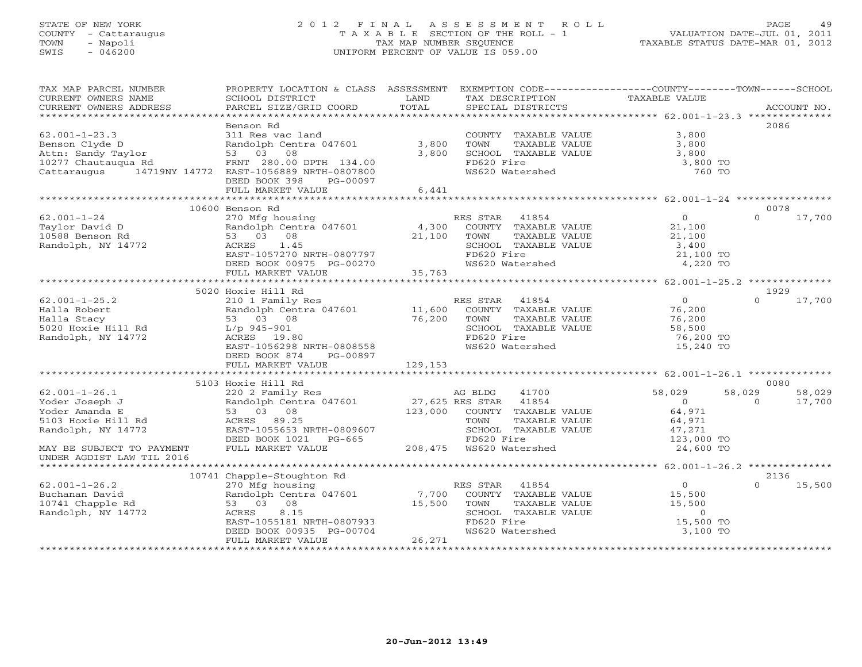## STATE OF NEW YORK 2 0 1 2 F I N A L A S S E S S M E N T R O L L PAGE 49 COUNTY - Cattaraugus T A X A B L E SECTION OF THE ROLL - 1 VALUATION DATE-JUL 01, 2011 TOWN - Napoli TAX MAP NUMBER SEQUENCE TAXABLE STATUS DATE-MAR 01, 2012 SWIS - 046200 UNIFORM PERCENT OF VALUE IS 059.00UNIFORM PERCENT OF VALUE IS 059.00

| TAX MAP PARCEL NUMBER             | PROPERTY LOCATION & CLASS ASSESSMENT EXEMPTION CODE---------------COUNTY-------TOWN------SCHOOL |         |                                             |                  |                    |
|-----------------------------------|-------------------------------------------------------------------------------------------------|---------|---------------------------------------------|------------------|--------------------|
| CURRENT OWNERS NAME               | SCHOOL DISTRICT                                                                                 | LAND    | TAX DESCRIPTION                             | TAXABLE VALUE    |                    |
| CURRENT OWNERS ADDRESS            | PARCEL SIZE/GRID COORD                                                                          | TOTAL   | SPECIAL DISTRICTS                           |                  | ACCOUNT NO.        |
|                                   |                                                                                                 |         |                                             |                  |                    |
|                                   | Benson Rd                                                                                       |         |                                             |                  | 2086               |
| $62.001 - 1 - 23.3$               | 311 Res vac land                                                                                |         | COUNTY TAXABLE VALUE                        | 3,800            |                    |
|                                   |                                                                                                 |         |                                             |                  |                    |
| Benson Clyde D                    | Randolph Centra 047601 3,800                                                                    |         | TOWN<br>TAXABLE VALUE                       | 3,800            |                    |
| Attn: Sandy Taylor                | 53 03 08                                                                                        | 3,800   | SCHOOL TAXABLE VALUE                        | 3,800            |                    |
| 10277 Chautaugua Rd               | FRNT 280.00 DPTH 134.00                                                                         |         | FD620 Fire                                  | 3,800 TO         |                    |
| Cattaraugus                       | 14719NY 14772 EAST-1056889 NRTH-0807800                                                         |         | WS620 Watershed                             | 760 TO           |                    |
|                                   | DEED BOOK 398<br>PG-00097                                                                       |         |                                             |                  |                    |
|                                   | FULL MARKET VALUE                                                                               | 6,441   |                                             |                  |                    |
|                                   |                                                                                                 |         |                                             |                  |                    |
|                                   | 10600 Benson Rd                                                                                 |         |                                             |                  | 0078               |
| $62.001 - 1 - 24$                 | 270 Mfg housing                                                                                 |         | 41854<br>RES STAR                           | $\overline{0}$   | $\Omega$<br>17,700 |
|                                   | Randolph Centra 047601                                                                          |         |                                             |                  |                    |
| Taylor David D                    |                                                                                                 | 4,300   | COUNTY TAXABLE VALUE                        | 21,100           |                    |
| 10588 Benson Rd                   | 53 03 08                                                                                        | 21,100  | TAXABLE VALUE<br>TOWN                       | 21,100           |                    |
| Randolph, NY 14772                | 1.45<br>ACRES                                                                                   |         | SCHOOL TAXABLE VALUE                        | 3,400            |                    |
|                                   | EAST-1057270 NRTH-0807797                                                                       |         | FD620 Fire                                  | 21,100 TO        |                    |
|                                   | DEED BOOK 00975 PG-00270                                                                        |         | WS620 Watershed                             | 4,220 TO         |                    |
|                                   | FULL MARKET VALUE                                                                               | 35,763  |                                             |                  |                    |
|                                   |                                                                                                 |         |                                             |                  |                    |
|                                   | 5020 Hoxie Hill Rd                                                                              |         |                                             |                  | 1929               |
| $62.001 - 1 - 25.2$               | 210 1 Family Res                                                                                |         | RES STAR<br>41854                           | $\overline{0}$   | 17,700<br>$\cap$   |
|                                   |                                                                                                 |         |                                             | 76,200           |                    |
| Halla Robert                      | Randolph Centra 047601                                                                          | 11,600  | COUNTY TAXABLE VALUE                        |                  |                    |
| Halla Stacy<br>5020 Hoxie Hill Rd | 53 03 08                                                                                        | 76,200  | TOWN<br>TAXABLE VALUE                       | 76,200           |                    |
|                                   | $L/p$ 945-901                                                                                   |         | SCHOOL TAXABLE VALUE                        | 58,500           |                    |
| Randolph, NY 14772                | ACRES 19.80                                                                                     |         | FD620 Fire                                  | 76,200 TO        |                    |
|                                   | EAST-1056298 NRTH-0808558                                                                       |         | WS620 Watershed                             | 15,240 TO        |                    |
|                                   | DEED BOOK 874<br>PG-00897                                                                       |         |                                             |                  |                    |
|                                   | FULL MARKET VALUE                                                                               | 129,153 |                                             |                  |                    |
|                                   |                                                                                                 |         |                                             |                  |                    |
|                                   | 5103 Hoxie Hill Rd                                                                              |         |                                             |                  | 0080               |
| $62.001 - 1 - 26.1$               | 220 2 Family Res                                                                                |         | 41700<br>AG BLDG                            | 58,029<br>58,029 | 58,029             |
| Yoder Joseph J                    | Randolph Centra 047601 27,625 RES STAR                                                          |         | 41854                                       | $\overline{0}$   | 17,700<br>$\Omega$ |
|                                   |                                                                                                 |         |                                             |                  |                    |
| Yoder Amanda E                    | 53 03 08                                                                                        |         | 123,000 COUNTY TAXABLE VALUE                | 64,971           |                    |
| 5103 Hoxie Hill Rd                | ACRES 89.25                                                                                     |         | TOWN<br>TAXABLE VALUE                       | 64,971           |                    |
| Randolph, NY 14772                | EAST-1055653 NRTH-0809607                                                                       |         | SCHOOL TAXABLE VALUE                        | 47,271           |                    |
|                                   | DEED BOOK 1021    PG-665                                                                        |         |                                             | 123,000 TO       |                    |
| MAY BE SUBJECT TO PAYMENT         | FULL MARKET VALUE                                                                               |         | G-665 FD620 Fire<br>208,475 WS620 Watershed | 24,600 TO        |                    |
| UNDER AGDIST LAW TIL 2016         |                                                                                                 |         |                                             |                  |                    |
| *********************             |                                                                                                 |         |                                             |                  |                    |
|                                   | 10741 Chapple-Stoughton Rd                                                                      |         |                                             |                  | 2136               |
| $62.001 - 1 - 26.2$               | 270 Mfg housing                                                                                 |         | RES STAR 41854                              | $\overline{0}$   | 15,500<br>$\Omega$ |
|                                   |                                                                                                 | 7,700   |                                             |                  |                    |
| Buchanan David                    | Randolph Centra 047601                                                                          |         | COUNTY TAXABLE VALUE                        | 15,500           |                    |
| 10741 Chapple Rd                  | 53 03 08                                                                                        | 15,500  | TOWN<br>TAXABLE VALUE                       | 15,500           |                    |
| Randolph, NY 14772                | 8.15<br>ACRES                                                                                   |         | SCHOOL TAXABLE VALUE                        | $\overline{0}$   |                    |
|                                   | EAST-1055181 NRTH-0807933                                                                       |         | FD620 Fire                                  | 15,500 TO        |                    |
|                                   | DEED BOOK 00935 PG-00704                                                                        |         | WS620 Watershed                             | 3,100 TO         |                    |
|                                   | FULL MARKET VALUE                                                                               | 26,271  |                                             |                  |                    |
|                                   |                                                                                                 |         |                                             |                  |                    |
|                                   |                                                                                                 |         |                                             |                  |                    |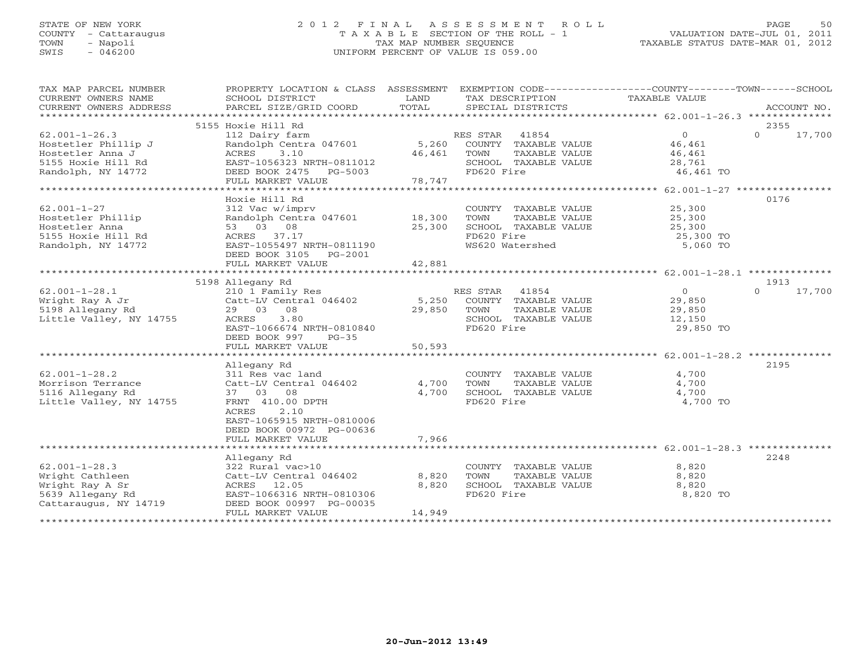# STATE OF NEW YORK 2 0 1 2 F I N A L A S S E S S M E N T R O L L PAGE 50 COUNTY - Cattaraugus T A X A B L E SECTION OF THE ROLL - 1 VALUATION DATE-JUL 01, 2011 TOWN - Napoli TAX MAP NUMBER SEQUENCE TAXABLE STATUS DATE-MAR 01, 2012 SWIS - 046200 UNIFORM PERCENT OF VALUE IS 059.00

| TAX MAP PARCEL NUMBER<br>CURRENT OWNERS NAME<br>CURRENT OWNERS ADDRESS | PROPERTY LOCATION & CLASS ASSESSMENT<br>SCHOOL DISTRICT<br>PARCEL SIZE/GRID COORD | LAND<br>TOTAL | EXEMPTION CODE-----------------COUNTY--------TOWN------SCHOOL<br>TAX DESCRIPTION<br>SPECIAL DISTRICTS | TAXABLE VALUE  | ACCOUNT NO.        |
|------------------------------------------------------------------------|-----------------------------------------------------------------------------------|---------------|-------------------------------------------------------------------------------------------------------|----------------|--------------------|
|                                                                        |                                                                                   |               |                                                                                                       |                |                    |
|                                                                        | 5155 Hoxie Hill Rd                                                                |               |                                                                                                       |                | 2355               |
| $62.001 - 1 - 26.3$                                                    | 112 Dairy farm                                                                    |               | RES STAR<br>41854                                                                                     | $\overline{0}$ | $\Omega$<br>17,700 |
| Hostetler Phillip J                                                    | Randolph Centra 047601                                                            | 5,260         | COUNTY TAXABLE VALUE                                                                                  | 46,461         |                    |
| Hostetler Anna J                                                       | ACRES<br>3.10                                                                     | 46,461        | TOWN<br>TAXABLE VALUE                                                                                 | 46,461         |                    |
| 5155 Hoxie Hill Rd                                                     | EAST-1056323 NRTH-0811012                                                         |               | SCHOOL TAXABLE VALUE                                                                                  | 28,761         |                    |
| Randolph, NY 14772                                                     | DEED BOOK 2475 PG-5003                                                            |               | FD620 Fire                                                                                            | 46,461 TO      |                    |
|                                                                        | FULL MARKET VALUE                                                                 | 78,747        |                                                                                                       |                |                    |
|                                                                        |                                                                                   |               |                                                                                                       |                |                    |
|                                                                        | Hoxie Hill Rd                                                                     |               |                                                                                                       |                | 0176               |
| $62.001 - 1 - 27$                                                      | 312 Vac w/imprv                                                                   |               | COUNTY TAXABLE VALUE                                                                                  | 25,300         |                    |
| Hostetler Phillip                                                      | Randolph Centra 047601 18,300                                                     |               | TOWN<br>TAXABLE VALUE                                                                                 | 25,300         |                    |
| Hostetler Anna                                                         | 53 03 08                                                                          | 25,300        | SCHOOL TAXABLE VALUE                                                                                  | 25,300         |                    |
| 5155 Hoxie Hill Rd                                                     | ACRES 37.17                                                                       |               | FD620 Fire                                                                                            | 25,300 TO      |                    |
| Randolph, NY 14772                                                     | EAST-1055497 NRTH-0811190                                                         |               | WS620 Watershed                                                                                       | 5,060 TO       |                    |
|                                                                        | DEED BOOK 3105 PG-2001                                                            |               |                                                                                                       |                |                    |
|                                                                        | FULL MARKET VALUE                                                                 | 42,881        |                                                                                                       |                |                    |
|                                                                        |                                                                                   |               |                                                                                                       |                |                    |
|                                                                        | 5198 Allegany Rd                                                                  |               |                                                                                                       |                | 1913               |
| $62.001 - 1 - 28.1$                                                    | 210 1 Family Res                                                                  |               | RES STAR 41854                                                                                        | $\overline{0}$ | 17,700<br>$\Omega$ |
| Wright Ray A Jr                                                        | Catt-LV Central 046402 5,250                                                      |               | COUNTY TAXABLE VALUE                                                                                  | 29,850         |                    |
| 5198 Allegany Rd                                                       | 29 03 08                                                                          | 29,850        | TOWN<br>TAXABLE VALUE                                                                                 | 29,850         |                    |
| Little Valley, NY 14755                                                | 3.80<br>ACRES                                                                     |               | SCHOOL TAXABLE VALUE                                                                                  | 12,150         |                    |
|                                                                        | EAST-1066674 NRTH-0810840                                                         |               | FD620 Fire                                                                                            | 29,850 TO      |                    |
|                                                                        | DEED BOOK 997<br>$PG-35$                                                          |               |                                                                                                       |                |                    |
|                                                                        | FULL MARKET VALUE                                                                 | 50,593        |                                                                                                       |                |                    |
|                                                                        |                                                                                   |               |                                                                                                       |                |                    |
|                                                                        | Allegany Rd                                                                       |               |                                                                                                       |                | 2195               |
| $62.001 - 1 - 28.2$                                                    | 311 Res vac land                                                                  |               | COUNTY TAXABLE VALUE                                                                                  | 4,700          |                    |
| Morrison Terrance                                                      | Catt-LV Central 046402                                                            | 4,700         | TOWN<br>TAXABLE VALUE                                                                                 | 4,700          |                    |
| 5116 Allegany Rd                                                       | 37 03 08                                                                          | 4,700         | SCHOOL TAXABLE VALUE                                                                                  | 4,700          |                    |
| Little Valley, NY 14755                                                | FRNT 410.00 DPTH                                                                  |               | FD620 Fire                                                                                            | 4,700 TO       |                    |
|                                                                        | ACRES<br>2.10                                                                     |               |                                                                                                       |                |                    |
|                                                                        | EAST-1065915 NRTH-0810006                                                         |               |                                                                                                       |                |                    |
|                                                                        | DEED BOOK 00972 PG-00636                                                          |               |                                                                                                       |                |                    |
|                                                                        | FULL MARKET VALUE                                                                 | 7,966         |                                                                                                       |                |                    |
|                                                                        |                                                                                   |               |                                                                                                       |                |                    |
|                                                                        | Allegany Rd                                                                       |               |                                                                                                       |                | 2248               |
| $62.001 - 1 - 28.3$                                                    | 322 Rural vac>10                                                                  |               | COUNTY TAXABLE VALUE                                                                                  | 8,820          |                    |
| Wright Cathleen                                                        | Catt-LV Central 046402                                                            | 8,820         | TAXABLE VALUE<br>TOWN                                                                                 | 8,820          |                    |
| Wright Ray A Sr                                                        | ACRES 12.05                                                                       | 8,820         | SCHOOL TAXABLE VALUE                                                                                  | 8,820          |                    |
| 5639 Allegany Rd                                                       | EAST-1066316 NRTH-0810306                                                         |               | FD620 Fire                                                                                            | 8,820 TO       |                    |
| Cattaraugus, NY 14719                                                  | DEED BOOK 00997 PG-00035                                                          |               |                                                                                                       |                |                    |
|                                                                        | FULL MARKET VALUE                                                                 | 14,949        |                                                                                                       |                |                    |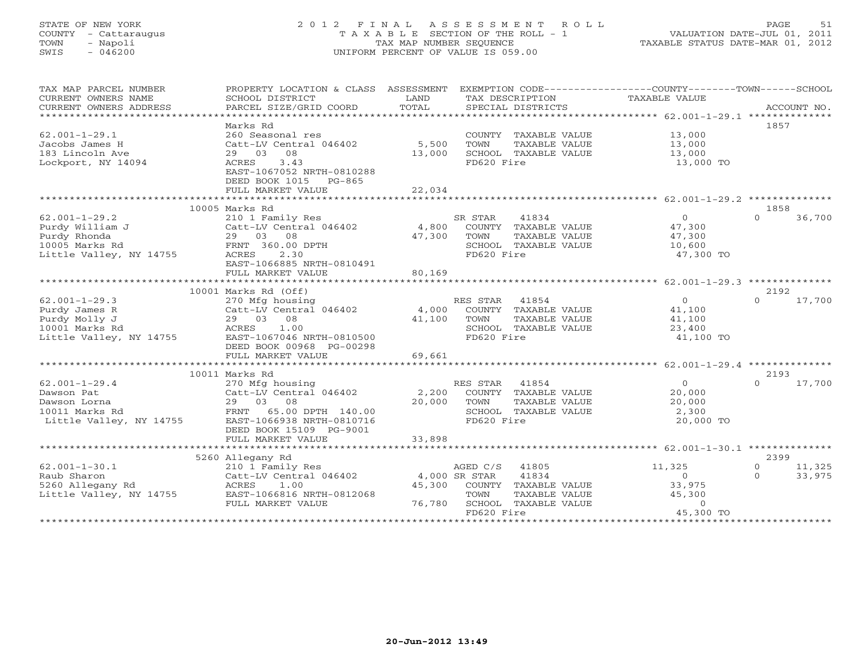# STATE OF NEW YORK 2 0 1 2 F I N A L A S S E S S M E N T R O L L PAGE 51 COUNTY - Cattaraugus T A X A B L E SECTION OF THE ROLL - 1 VALUATION DATE-JUL 01, 2011 TOWN - Napoli TAX MAP NUMBER SEQUENCE TAXABLE STATUS DATE-MAR 01, 2012 SWIS - 046200 UNIFORM PERCENT OF VALUE IS 059.00UNIFORM PERCENT OF VALUE IS 059.00

| TAX MAP PARCEL NUMBER<br>CURRENT OWNERS NAME<br>CURRENT OWNERS ADDRESS                              | PROPERTY LOCATION & CLASS ASSESSMENT<br>SCHOOL DISTRICT<br>PARCEL SIZE/GRID COORD                                                                                                    | LAND<br>TOTAL             | TAX DESCRIPTION<br>SPECIAL DISTRICTS                                                                                               | EXEMPTION CODE----------------COUNTY-------TOWN------SCHOOL<br>TAXABLE VALUE | ACCOUNT NO.                                     |
|-----------------------------------------------------------------------------------------------------|--------------------------------------------------------------------------------------------------------------------------------------------------------------------------------------|---------------------------|------------------------------------------------------------------------------------------------------------------------------------|------------------------------------------------------------------------------|-------------------------------------------------|
| $62.001 - 1 - 29.1$<br>Jacobs James H<br>183 Lincoln Ave<br>Lockport, NY 14094                      | Marks Rd<br>260 Seasonal res<br>Catt-LV Central 046402<br>29 03<br>08<br>3.43<br>ACRES<br>EAST-1067052 NRTH-0810288<br>DEED BOOK 1015 PG-865<br>FULL MARKET VALUE                    | 5,500<br>13,000<br>22,034 | COUNTY TAXABLE VALUE<br>TOWN<br>TAXABLE VALUE<br>SCHOOL TAXABLE VALUE<br>FD620 Fire                                                | 13,000<br>13,000<br>13,000<br>13,000 TO                                      | 1857                                            |
|                                                                                                     |                                                                                                                                                                                      |                           |                                                                                                                                    |                                                                              |                                                 |
| $62.001 - 1 - 29.2$<br>Purdy William J<br>Purdy Rhonda<br>10005 Marks Rd<br>Little Valley, NY 14755 | 10005 Marks Rd<br>210 1 Family Res<br>Catt-LV Central 046402<br>29 03<br>08<br>FRNT 360.00 DPTH<br>ACRES<br>2.30<br>EAST-1066885 NRTH-0810491<br>FULL MARKET VALUE                   | 4,800<br>47,300<br>80,169 | SR STAR<br>41834<br>COUNTY TAXABLE VALUE<br>TOWN<br>TAXABLE VALUE<br>SCHOOL TAXABLE VALUE<br>FD620 Fire                            | $\overline{0}$<br>47,300<br>47,300<br>10,600<br>47,300 TO                    | 1858<br>36,700<br>$\Omega$                      |
|                                                                                                     |                                                                                                                                                                                      |                           |                                                                                                                                    |                                                                              |                                                 |
| $62.001 - 1 - 29.3$<br>Purdy James R<br>Purdy Molly J<br>10001 Marks Rd<br>Little Valley, NY 14755  | 10001 Marks Rd (Off)<br>270 Mfg housing<br>Catt-LV Central 046402<br>08<br>29 03<br>ACRES<br>1.00<br>EAST-1067046 NRTH-0810500<br>DEED BOOK 00968 PG-00298<br>FULL MARKET VALUE      | 4,000<br>41,100<br>69,661 | RES STAR<br>41854<br>COUNTY TAXABLE VALUE<br>TOWN<br>TAXABLE VALUE<br>SCHOOL TAXABLE VALUE<br>FD620 Fire                           | $\circ$<br>41,100<br>41,100<br>23,400<br>41,100 TO                           | 2192<br>17,700<br>$\Omega$                      |
|                                                                                                     |                                                                                                                                                                                      |                           |                                                                                                                                    |                                                                              |                                                 |
| $62.001 - 1 - 29.4$<br>Dawson Pat<br>Dawson Lorna<br>10011 Marks Rd<br>Little Valley, NY 14755      | 10011 Marks Rd<br>270 Mfg housing<br>Catt-LV Central 046402<br>29 03<br>08<br>FRNT<br>65.00 DPTH 140.00<br>EAST-1066938 NRTH-0810716<br>DEED BOOK 15109 PG-9001<br>FULL MARKET VALUE | 2,200<br>20,000<br>33,898 | RES STAR<br>41854<br>COUNTY TAXABLE VALUE<br>TOWN<br>TAXABLE VALUE<br>SCHOOL TAXABLE VALUE<br>FD620 Fire                           | $\circ$<br>20,000<br>20,000<br>2,300<br>20,000 TO                            | 2193<br>17,700<br>$\Omega$                      |
|                                                                                                     |                                                                                                                                                                                      |                           |                                                                                                                                    |                                                                              |                                                 |
| $62.001 - 1 - 30.1$<br>Raub Sharon<br>5260 Allegany Rd<br>Little Valley, NY 14755                   | 5260 Allegany Rd<br>210 1 Family Res<br>Catt-LV Central 046402<br>1.00<br>ACRES<br>EAST-1066816 NRTH-0812068<br>FULL MARKET VALUE                                                    | 45,300<br>76,780          | AGED C/S<br>41805<br>41834<br>4,000 SR STAR<br>COUNTY TAXABLE VALUE<br>TOWN<br>TAXABLE VALUE<br>SCHOOL TAXABLE VALUE<br>FD620 Fire | 11,325<br>$\Omega$<br>33,975<br>45,300<br>$\Omega$<br>45,300 TO              | 2399<br>11,325<br>$\circ$<br>33,975<br>$\Omega$ |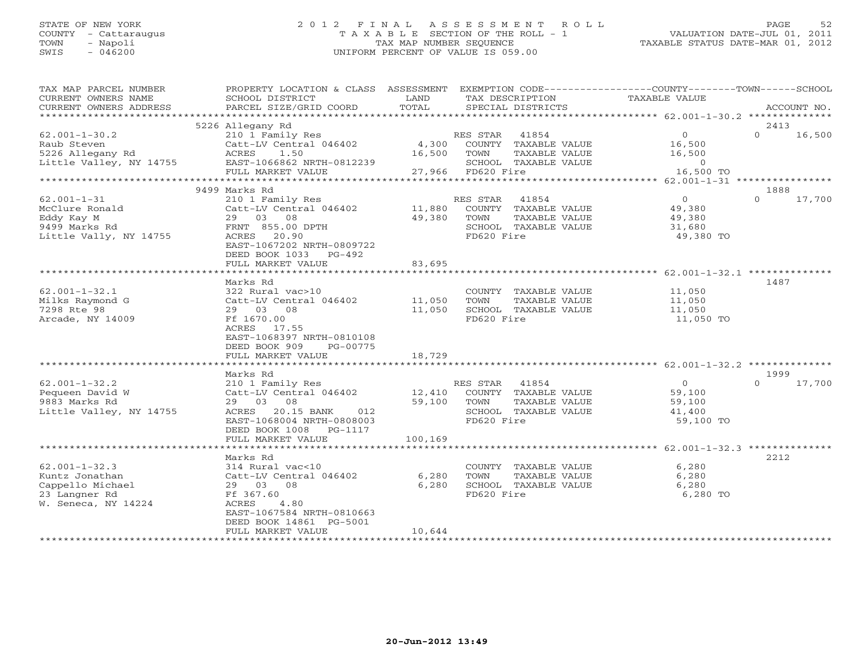# STATE OF NEW YORK 2 0 1 2 F I N A L A S S E S S M E N T R O L L PAGE 52 COUNTY - Cattaraugus T A X A B L E SECTION OF THE ROLL - 1 VALUATION DATE-JUL 01, 2011 TOWN - Napoli TAX MAP NUMBER SEQUENCE TAXABLE STATUS DATE-MAR 01, 2012 SWIS - 046200 UNIFORM PERCENT OF VALUE IS 059.00UNIFORM PERCENT OF VALUE IS 059.00

| TAX MAP PARCEL NUMBER<br>CURRENT OWNERS NAME<br>CURRENT OWNERS ADDRESS                        | PROPERTY LOCATION & CLASS ASSESSMENT<br>SCHOOL DISTRICT<br>PARCEL SIZE/GRID COORD | LAND<br>TOTAL                | TAX DESCRIPTION<br>SPECIAL DISTRICTS          | EXEMPTION CODE-----------------COUNTY-------TOWN------SCHOOL<br>TAXABLE VALUE | ACCOUNT NO.        |
|-----------------------------------------------------------------------------------------------|-----------------------------------------------------------------------------------|------------------------------|-----------------------------------------------|-------------------------------------------------------------------------------|--------------------|
| ***********************                                                                       |                                                                                   |                              |                                               |                                                                               |                    |
|                                                                                               | 5226 Allegany Rd                                                                  |                              |                                               |                                                                               | 2413               |
| $62.001 - 1 - 30.2$                                                                           | 210 1 Family Res                                                                  |                              | RES STAR 41854                                | $\overline{O}$                                                                | $\Omega$<br>16,500 |
| Raub Steven<br>$\mathbb{R}$                                                                   | Catt-LV Central 046402 4,300                                                      |                              | COUNTY TAXABLE VALUE                          | 16,500                                                                        |                    |
| 5226 Allegany Rd<br>Little Valley, NY 14755 EAST-1066862 NRTH-0812239                         | ACRES 1.50                                                                        | 16,500                       | TOWN<br>TAXABLE VALUE                         | 16,500                                                                        |                    |
|                                                                                               | FULL MARKET VALUE                                                                 |                              | SCHOOL TAXABLE VALUE<br>27,966 FD620 Fire     | $\overline{0}$<br>16,500 TO                                                   |                    |
|                                                                                               |                                                                                   |                              |                                               |                                                                               |                    |
|                                                                                               | 9499 Marks Rd                                                                     |                              |                                               |                                                                               | 1888               |
| $62.001 - 1 - 31$                                                                             | 210 1 Family Res                                                                  |                              | RES STAR<br>41854                             | $\overline{O}$                                                                | $\Omega$<br>17,700 |
| 02.0001-1-31<br>MCClure Ronald<br>Eddy Kay M<br>9499 Marks Rd<br>9499 Marks Rd<br>855.00 DPTH | Catt-LV Central 046402                                                            |                              | 11,880 COUNTY TAXABLE VALUE                   | 49,380                                                                        |                    |
|                                                                                               |                                                                                   | 49,380 TOWN                  | TAXABLE VALUE                                 |                                                                               |                    |
|                                                                                               |                                                                                   |                              | SCHOOL TAXABLE VALUE                          | 49,380<br>31,680                                                              |                    |
| Little Vally, NY 14755                                                                        | ACRES 20.90                                                                       |                              | FD620 Fire                                    | 49,380 TO                                                                     |                    |
|                                                                                               | EAST-1067202 NRTH-0809722                                                         |                              |                                               |                                                                               |                    |
|                                                                                               | DEED BOOK 1033 PG-492                                                             |                              |                                               |                                                                               |                    |
|                                                                                               | FULL MARKET VALUE                                                                 | 83,695                       |                                               |                                                                               |                    |
|                                                                                               |                                                                                   |                              |                                               |                                                                               |                    |
|                                                                                               | Marks Rd                                                                          |                              |                                               |                                                                               | 1487               |
| $62.001 - 1 - 32.1$                                                                           | 322 Rural vac>10                                                                  |                              | COUNTY TAXABLE VALUE                          | 11,050                                                                        |                    |
| Milks Raymond G                                                                               | Catt-LV Central 046402 11,050                                                     |                              | TOWN<br>TAXABLE VALUE                         | 11,050                                                                        |                    |
| 7298 Rte 98                                                                                   | 29 03 08                                                                          | 11,050                       | SCHOOL TAXABLE VALUE                          | 11,050                                                                        |                    |
| Arcade, NY 14009                                                                              | Ff 1670.00                                                                        |                              | FD620 Fire                                    | 11,050 TO                                                                     |                    |
|                                                                                               | ACRES 17.55                                                                       |                              |                                               |                                                                               |                    |
|                                                                                               | EAST-1068397 NRTH-0810108                                                         |                              |                                               |                                                                               |                    |
|                                                                                               | DEED BOOK 909<br>PG-00775                                                         |                              |                                               |                                                                               |                    |
|                                                                                               | FULL MARKET VALUE                                                                 | 18,729                       |                                               |                                                                               |                    |
|                                                                                               |                                                                                   |                              |                                               |                                                                               |                    |
|                                                                                               | Marks Rd                                                                          |                              |                                               |                                                                               | 1999               |
| $62.001 - 1 - 32.2$                                                                           | 210 1 Family Res                                                                  |                              | RES STAR 41854                                | $\overline{0}$                                                                | $\Omega$<br>17,700 |
| Pequeen David W                                                                               | 210 1 Family Nobel<br>Catt-LV Central 046402 12,410<br>29 03 08 59,100            |                              | COUNTY TAXABLE VALUE                          | 59,100                                                                        |                    |
| 9883 Marks Rd                                                                                 |                                                                                   | 59,100 TOWN                  | TAXABLE VALUE                                 | 59,100                                                                        |                    |
| Little Valley, NY 14755                                                                       | ACRES 20.15 BANK<br>012                                                           |                              | SCHOOL TAXABLE VALUE                          | 41,400                                                                        |                    |
|                                                                                               | EAST-1068004 NRTH-0808003                                                         |                              | FD620 Fire                                    | 59,100 TO                                                                     |                    |
|                                                                                               | DEED BOOK 1008 PG-1117                                                            |                              |                                               |                                                                               |                    |
|                                                                                               | FULL MARKET VALUE<br>************************                                     | 100,169<br>***************** |                                               |                                                                               |                    |
|                                                                                               |                                                                                   |                              |                                               |                                                                               |                    |
|                                                                                               | Marks Rd<br>314 Rural vac<10                                                      |                              |                                               |                                                                               | 2212               |
| $62.001 - 1 - 32.3$                                                                           |                                                                                   |                              | COUNTY TAXABLE VALUE                          | 6,280                                                                         |                    |
| Kuntz Jonathan<br>Cappello Michael                                                            | Catt-LV Central 046402<br>29 03 08                                                | 6,280<br>6,280               | TOWN<br>TAXABLE VALUE<br>SCHOOL TAXABLE VALUE | 6,280<br>6,280                                                                |                    |
| 23 Langner Rd                                                                                 | Ff 367.60                                                                         |                              | FD620 Fire                                    | 6,280 TO                                                                      |                    |
| W. Seneca, NY 14224                                                                           | 4.80<br>ACRES                                                                     |                              |                                               |                                                                               |                    |
|                                                                                               | EAST-1067584 NRTH-0810663                                                         |                              |                                               |                                                                               |                    |
|                                                                                               | DEED BOOK 14861 PG-5001                                                           |                              |                                               |                                                                               |                    |
|                                                                                               | FULL MARKET VALUE                                                                 | 10,644                       |                                               |                                                                               |                    |
|                                                                                               | ************************                                                          |                              | ***********************************           |                                                                               |                    |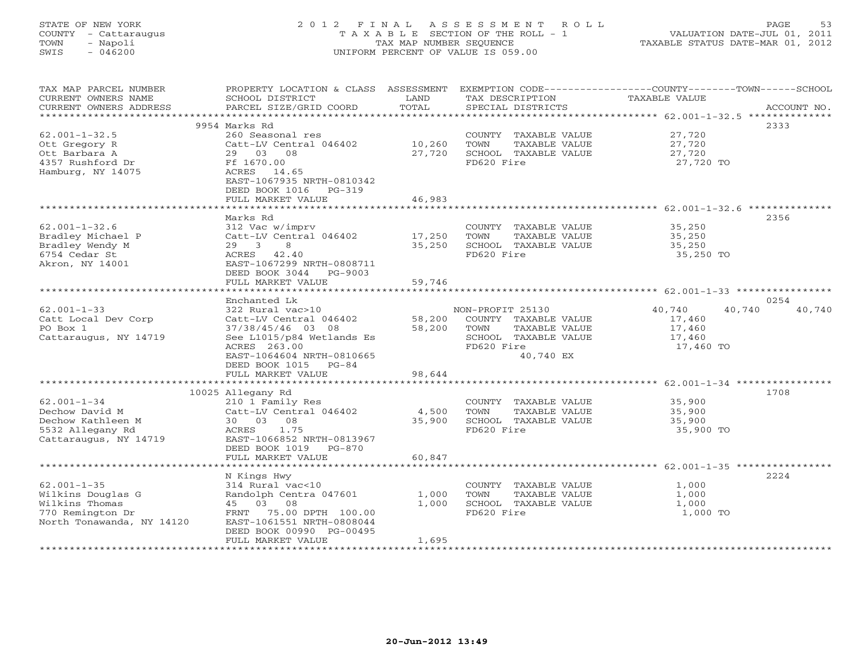# STATE OF NEW YORK 2 0 1 2 F I N A L A S S E S S M E N T R O L L PAGE 53 COUNTY - Cattaraugus T A X A B L E SECTION OF THE ROLL - 1 VALUATION DATE-JUL 01, 2011 TOWN - Napoli TAX MAP NUMBER SEQUENCE TAXABLE STATUS DATE-MAR 01, 2012 SWIS - 046200 UNIFORM PERCENT OF VALUE IS 059.00UNIFORM PERCENT OF VALUE IS 059.00

| TAX MAP PARCEL NUMBER<br>CURRENT OWNERS NAME<br>CURRENT OWNERS ADDRESS                          | PROPERTY LOCATION & CLASS ASSESSMENT<br>SCHOOL DISTRICT<br>PARCEL SIZE/GRID COORD                                               | LAND<br>TOTAL    | TAX DESCRIPTION<br>SPECIAL DISTRICTS                                                | EXEMPTION CODE-----------------COUNTY-------TOWN------SCHOOL<br>TAXABLE VALUE | ACCOUNT NO. |
|-------------------------------------------------------------------------------------------------|---------------------------------------------------------------------------------------------------------------------------------|------------------|-------------------------------------------------------------------------------------|-------------------------------------------------------------------------------|-------------|
| *******************                                                                             |                                                                                                                                 |                  |                                                                                     |                                                                               |             |
|                                                                                                 | 9954 Marks Rd                                                                                                                   |                  |                                                                                     | 2333                                                                          |             |
| $62.001 - 1 - 32.5$<br>Ott Gregory R<br>Ott Barbara A<br>4357 Rushford Dr                       | 260 Seasonal res<br>Catt-LV Central 046402<br>29<br>03<br>08<br>Ff 1670.00                                                      | 10,260<br>27,720 | COUNTY TAXABLE VALUE<br>TOWN<br>TAXABLE VALUE<br>SCHOOL TAXABLE VALUE<br>FD620 Fire | 27,720<br>27,720<br>27,720                                                    |             |
| Hamburg, NY 14075                                                                               | ACRES 14.65<br>EAST-1067935 NRTH-0810342<br>DEED BOOK 1016<br>$PG-319$<br>FULL MARKET VALUE                                     | 46,983           |                                                                                     | 27,720 TO                                                                     |             |
|                                                                                                 |                                                                                                                                 |                  |                                                                                     | ********************** 62.001-1-32.6 **                                       |             |
|                                                                                                 | Marks Rd                                                                                                                        |                  |                                                                                     | 2356                                                                          |             |
| $62.001 - 1 - 32.6$<br>Bradley Michael P<br>Bradley Wendy M<br>6754 Cedar St<br>Akron, NY 14001 | 312 Vac w/imprv<br>Catt-LV Central 046402<br>29 3<br>8<br>ACRES 42.40<br>EAST-1067299 NRTH-0808711<br>DEED BOOK 3044<br>PG-9003 | 17,250<br>35,250 | COUNTY TAXABLE VALUE<br>TOWN<br>TAXABLE VALUE<br>SCHOOL TAXABLE VALUE<br>FD620 Fire | 35,250<br>35,250<br>35,250<br>35,250 TO                                       |             |
|                                                                                                 | FULL MARKET VALUE                                                                                                               | 59,746           |                                                                                     |                                                                               |             |
|                                                                                                 | ********************                                                                                                            |                  |                                                                                     | ******************************* 62.001-1-33 ****************                  |             |
|                                                                                                 | Enchanted Lk                                                                                                                    |                  |                                                                                     | 0254                                                                          |             |
| $62.001 - 1 - 33$                                                                               | 322 Rural vac>10                                                                                                                |                  | NON-PROFIT 25130                                                                    | 40,740<br>40,740                                                              | 40,740      |
| Catt Local Dev Corp                                                                             | Catt-LV Central 046402                                                                                                          | 58,200           | COUNTY TAXABLE VALUE                                                                | 17,460                                                                        |             |
| PO Box 1                                                                                        | 37/38/45/46 03 08                                                                                                               | 58,200           | TOWN<br>TAXABLE VALUE                                                               | 17,460                                                                        |             |
| Cattaraugus, NY 14719                                                                           | See L1015/p84 Wetlands Es<br>ACRES 263.00                                                                                       |                  | SCHOOL TAXABLE VALUE<br>FD620 Fire                                                  | 17,460<br>17,460 TO                                                           |             |
|                                                                                                 | EAST-1064604 NRTH-0810665                                                                                                       |                  | 40,740 EX                                                                           |                                                                               |             |
|                                                                                                 | DEED BOOK 1015<br>PG-84                                                                                                         |                  |                                                                                     |                                                                               |             |
|                                                                                                 | FULL MARKET VALUE                                                                                                               | 98,644           |                                                                                     |                                                                               |             |
| ******************                                                                              |                                                                                                                                 |                  |                                                                                     |                                                                               |             |
|                                                                                                 | 10025 Allegany Rd                                                                                                               |                  |                                                                                     | 1708                                                                          |             |
| $62.001 - 1 - 34$                                                                               | 210 1 Family Res                                                                                                                |                  | COUNTY TAXABLE VALUE                                                                | 35,900                                                                        |             |
| Dechow David M                                                                                  | Catt-LV Central 046402                                                                                                          | 4,500            | TOWN<br>TAXABLE VALUE                                                               | 35,900                                                                        |             |
| Dechow Kathleen M                                                                               | 30 03 08                                                                                                                        | 35,900           | SCHOOL TAXABLE VALUE                                                                | 35,900                                                                        |             |
| 5532 Allegany Rd                                                                                | 1.75<br>ACRES                                                                                                                   |                  | FD620 Fire                                                                          | 35,900 TO                                                                     |             |
| Cattaraugus, NY 14719                                                                           | EAST-1066852 NRTH-0813967<br>DEED BOOK 1019<br>PG-870                                                                           |                  |                                                                                     |                                                                               |             |
|                                                                                                 | FULL MARKET VALUE<br>.                                                                                                          | 60,847           |                                                                                     | ****************** 62.001-1-35 *************                                  |             |
|                                                                                                 |                                                                                                                                 |                  |                                                                                     | 2224                                                                          |             |
| $62.001 - 1 - 35$                                                                               | N Kings Hwy<br>314 Rural vac<10                                                                                                 |                  | COUNTY TAXABLE VALUE                                                                | 1,000                                                                         |             |
| Wilkins Douglas G                                                                               | Randolph Centra 047601                                                                                                          | 1,000            | TOWN<br>TAXABLE VALUE                                                               | 1,000                                                                         |             |
| Wilkins Thomas                                                                                  | 03<br>08<br>45                                                                                                                  | 1,000            | SCHOOL TAXABLE VALUE                                                                | 1,000                                                                         |             |
| 770 Remington Dr                                                                                | FRNT<br>75.00 DPTH 100.00                                                                                                       |                  | FD620 Fire                                                                          | 1,000 TO                                                                      |             |
| North Tonawanda, NY 14120                                                                       | EAST-1061551 NRTH-0808044<br>DEED BOOK 00990 PG-00495                                                                           |                  |                                                                                     |                                                                               |             |
|                                                                                                 | FULL MARKET VALUE                                                                                                               | 1,695            |                                                                                     |                                                                               |             |
|                                                                                                 |                                                                                                                                 |                  |                                                                                     |                                                                               |             |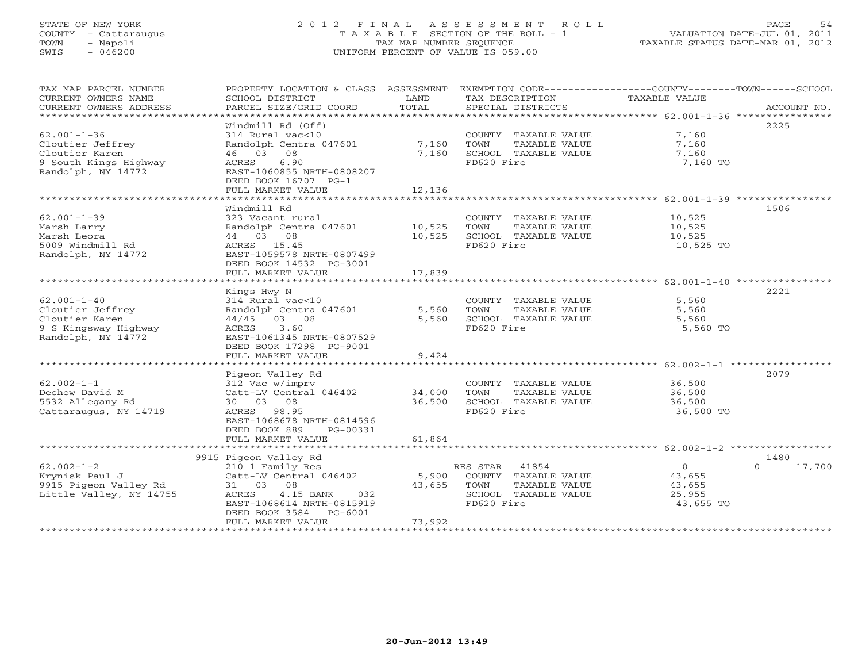# STATE OF NEW YORK 2 0 1 2 F I N A L A S S E S S M E N T R O L L PAGE 54 COUNTY - Cattaraugus T A X A B L E SECTION OF THE ROLL - 1 VALUATION DATE-JUL 01, 2011 TOWN - Napoli TAX MAP NUMBER SEQUENCE TAXABLE STATUS DATE-MAR 01, 2012 SWIS - 046200 UNIFORM PERCENT OF VALUE IS 059.00UNIFORM PERCENT OF VALUE IS 059.00

| TAX MAP PARCEL NUMBER<br>CURRENT OWNERS NAME<br>CURRENT OWNERS ADDRESS                                 | PROPERTY LOCATION & CLASS ASSESSMENT EXEMPTION CODE----------------COUNTY-------TOWN------SCHOOL<br>SCHOOL DISTRICT<br>PARCEL SIZE/GRID COORD                                               | LAND<br>TOTAL             | TAX DESCRIPTION<br>SPECIAL DISTRICTS                                                                  | TAXABLE VALUE                                             | ACCOUNT NO.                |
|--------------------------------------------------------------------------------------------------------|---------------------------------------------------------------------------------------------------------------------------------------------------------------------------------------------|---------------------------|-------------------------------------------------------------------------------------------------------|-----------------------------------------------------------|----------------------------|
| $62.001 - 1 - 36$<br>Cloutier Jeffrey<br>Cloutier Karen<br>9 South Kings Highway<br>Randolph, NY 14772 | Windmill Rd (Off)<br>314 Rural vac<10<br>Randolph Centra 047601<br>46 03 08<br>6.90<br>ACRES<br>EAST-1060855 NRTH-0808207<br>DEED BOOK 16707 PG-1<br>FULL MARKET VALUE                      | 7,160<br>7,160<br>12,136  | COUNTY TAXABLE VALUE<br>TOWN<br>TAXABLE VALUE<br>SCHOOL TAXABLE VALUE<br>FD620 Fire                   | 7,160<br>7,160<br>7,160<br>7,160 TO                       | 2225                       |
|                                                                                                        | Windmill Rd                                                                                                                                                                                 |                           |                                                                                                       |                                                           | 1506                       |
| $62.001 - 1 - 39$<br>Marsh Larry<br>Marsh Leora<br>5009 Windmill Rd<br>Randolph, NY 14772              | 323 Vacant rural<br>Randolph Centra 047601<br>44 03 08<br>ACRES 15.45<br>EAST-1059578 NRTH-0807499<br>DEED BOOK 14532 PG-3001                                                               | 10,525<br>10,525          | COUNTY TAXABLE VALUE<br>TOWN<br>TAXABLE VALUE<br>SCHOOL TAXABLE VALUE<br>FD620 Fire                   | 10,525<br>10,525<br>10,525<br>10,525 TO                   |                            |
|                                                                                                        | FULL MARKET VALUE                                                                                                                                                                           | 17,839                    |                                                                                                       |                                                           |                            |
| $62.001 - 1 - 40$<br>Cloutier Jeffrey<br>Cloutier Karen<br>9 S Kingsway Highway<br>Randolph, NY 14772  | Kings Hwy N<br>314 Rural vac<10<br>Randolph Centra 047601<br>44/45 03 08<br>3.60<br>ACRES<br>EAST-1061345 NRTH-0807529<br>DEED BOOK 17298 PG-9001                                           | 5,560<br>5,560            | COUNTY TAXABLE VALUE<br>TAXABLE VALUE<br>TOWN<br>SCHOOL TAXABLE VALUE<br>FD620 Fire                   | 5,560<br>5,560<br>5,560<br>5,560 TO                       | 2221                       |
|                                                                                                        | FULL MARKET VALUE                                                                                                                                                                           | 9,424                     |                                                                                                       |                                                           |                            |
| $62.002 - 1 - 1$<br>Dechow David M<br>5532 Allegany Rd<br>Cattaraugus, NY 14719                        | Pigeon Valley Rd<br>312 Vac w/imprv<br>Catt-LV Central 046402<br>30 03 08<br>ACRES 98.95<br>EAST-1068678 NRTH-0814596<br>DEED BOOK 889<br>PG-00331                                          | 34,000<br>36,500          | COUNTY TAXABLE VALUE<br>TAXABLE VALUE<br>TOWN<br>SCHOOL TAXABLE VALUE<br>FD620 Fire                   | 36,500<br>36,500<br>36,500<br>36,500 TO                   | 2079                       |
|                                                                                                        | FULL MARKET VALUE                                                                                                                                                                           | 61,864                    |                                                                                                       |                                                           |                            |
| $62.002 - 1 - 2$<br>Krynisk Paul J<br>9915 Pigeon Valley Rd<br>Little Valley, NY 14755                 | 9915 Pigeon Valley Rd<br>210 1 Family Res<br>Catt-LV Central 046402<br>31 03 08<br>4.15 BANK<br>ACRES<br>032<br>EAST-1068614 NRTH-0815919<br>DEED BOOK 3584<br>PG-6001<br>FULL MARKET VALUE | 5,900<br>43,655<br>73,992 | RES STAR 41854<br>COUNTY TAXABLE VALUE<br>TOWN<br>TAXABLE VALUE<br>SCHOOL TAXABLE VALUE<br>FD620 Fire | $\overline{0}$<br>43,655<br>43,655<br>25,955<br>43,655 TO | 1480<br>$\Omega$<br>17,700 |
|                                                                                                        |                                                                                                                                                                                             |                           |                                                                                                       |                                                           |                            |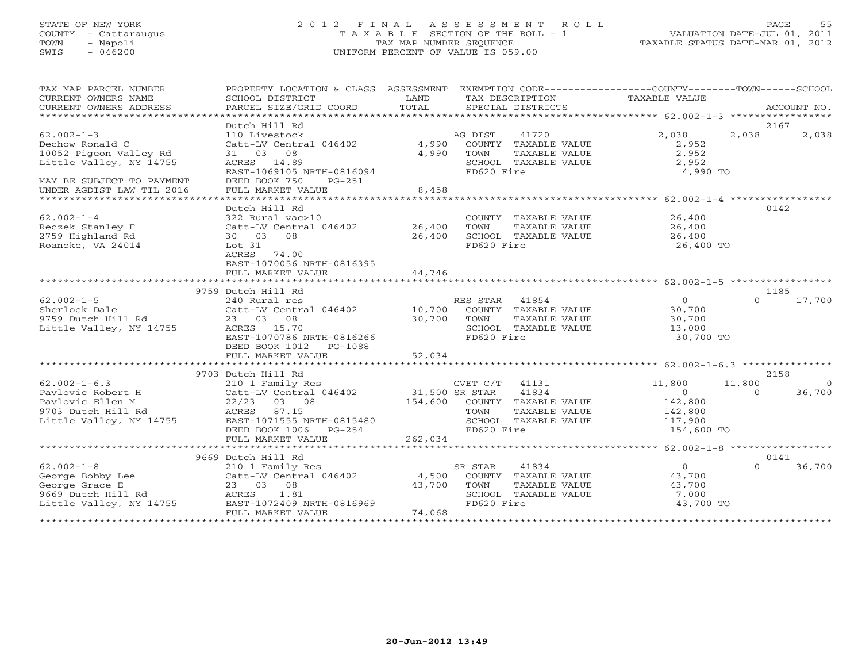# STATE OF NEW YORK 2 0 1 2 F I N A L A S S E S S M E N T R O L L PAGE 55 COUNTY - Cattaraugus T A X A B L E SECTION OF THE ROLL - 1 VALUATION DATE-JUL 01, 2011 TOWN - Napoli TAX MAP NUMBER SEQUENCE TAXABLE STATUS DATE-MAR 01, 2012 SWIS - 046200 UNIFORM PERCENT OF VALUE IS 059.00UNIFORM PERCENT OF VALUE IS 059.00

| TAX MAP PARCEL NUMBER            | PROPERTY LOCATION & CLASS ASSESSMENT EXEMPTION CODE----------------COUNTY-------TOWN------SCHOOL |               |                              |                                  |          |           |
|----------------------------------|--------------------------------------------------------------------------------------------------|---------------|------------------------------|----------------------------------|----------|-----------|
| CURRENT OWNERS NAME              | SCHOOL DISTRICT                                                                                  | LAND          | TAX DESCRIPTION              | <b>TAXABLE VALUE</b>             |          |           |
|                                  |                                                                                                  |               |                              |                                  |          |           |
|                                  |                                                                                                  |               |                              |                                  |          |           |
|                                  | Dutch Hill Rd                                                                                    |               |                              |                                  | 2167     |           |
| $62.002 - 1 - 3$                 | 110 Livestock                                                                                    |               | 41720<br>AG DIST             | 2,038                            | 2,038    | 2,038     |
| Dechow Ronald C                  | Catt-LV Central 046402 4,990 COUNTY TAXABLE VALUE                                                |               |                              | 2,952                            |          |           |
| 10052 Pigeon Valley Rd           | 31 03 08                                                                                         | 4,990         | TOWN<br>TAXABLE VALUE        | 2,952                            |          |           |
| Little Valley, NY 14755          | ACRES 14.89                                                                                      |               | SCHOOL TAXABLE VALUE         | 2,952                            |          |           |
|                                  | EAST-1069105 NRTH-0816094                                                                        |               | FD620 Fire                   | 4,990 TO                         |          |           |
| MAY BE SUBJECT TO PAYMENT        | DEED BOOK 750<br>PG-251                                                                          |               |                              |                                  |          |           |
| UNDER AGDIST LAW TIL 2016        | FULL MARKET VALUE                                                                                | 8,458         |                              |                                  |          |           |
|                                  |                                                                                                  |               |                              |                                  |          |           |
|                                  | Dutch Hill Rd                                                                                    |               |                              |                                  | 0142     |           |
| $62.002 - 1 - 4$                 | 322 Rural vac>10                                                                                 |               | COUNTY TAXABLE VALUE 26,400  |                                  |          |           |
| Reczek Stanley F                 | Catt-LV Central 046402 26,400                                                                    |               | TAXABLE VALUE<br>TOWN        | 26,400                           |          |           |
| 2759 Highland Rd                 | 30 03 08                                                                                         | 26,400        | SCHOOL TAXABLE VALUE         | 26,400                           |          |           |
| Roanoke, VA 24014                | Lot 31                                                                                           |               | FD620 Fire                   | 26,400 TO                        |          |           |
|                                  | ACRES 74.00                                                                                      |               |                              |                                  |          |           |
|                                  | EAST-1070056 NRTH-0816395                                                                        |               |                              |                                  |          |           |
|                                  | FULL MARKET VALUE                                                                                | 44,746        |                              |                                  |          |           |
|                                  |                                                                                                  |               |                              |                                  |          |           |
|                                  | 9759 Dutch Hill Rd                                                                               |               |                              |                                  | 1185     |           |
| $62.002 - 1 - 5$                 | 240 Rural res                                                                                    |               | RES STAR 41854               | $\Omega$                         | $\Omega$ | 17,700    |
| Sherlock Dale                    | Catt-LV Central 046402 10,700 COUNTY TAXABLE VALUE                                               |               |                              | 30,700                           |          |           |
| 9759 Dutch Hill Rd               | 23 03 08                                                                                         | $30,700$ TOWN | TAXABLE VALUE                |                                  |          |           |
| Little Valley, NY 14755          | ACRES 15.70                                                                                      |               | SCHOOL TAXABLE VALUE         | $30, 7$<br>$13, 000$<br>$20, 70$ |          |           |
|                                  | EAST-1070786 NRTH-0816266                                                                        |               | FD620 Fire                   | 30,700 TO                        |          |           |
|                                  | DEED BOOK 1012    PG-1088                                                                        |               |                              |                                  |          |           |
|                                  |                                                                                                  |               |                              |                                  |          |           |
|                                  |                                                                                                  |               |                              |                                  |          |           |
|                                  | 9703 Dutch Hill Rd                                                                               |               |                              |                                  | 2158     |           |
| $62.002 - 1 - 6.3$               |                                                                                                  |               | CVET C/T 41131               | 11,800                           | 11,800   | $\bigcap$ |
| Pavlovic Robert H                |                                                                                                  |               | 41834                        | $\Omega$                         | $\cap$   | 36,700    |
| Pavlovic Ellen M                 | 22/23 03 08                                                                                      |               | 154,600 COUNTY TAXABLE VALUE | 142,800                          |          |           |
| 9703 Dutch Hill Rd               | ACRES 87.15                                                                                      |               | TOWN<br>TAXABLE VALUE        | 142,800                          |          |           |
| Little Valley, NY 14755          | EAST-1071555 NRTH-0815480                                                                        |               | SCHOOL TAXABLE VALUE 117,900 |                                  |          |           |
|                                  | DEED BOOK 1006    PG-254                                                                         |               | FD620 Fire                   | 154,600 TO                       |          |           |
|                                  | FULL MARKET VALUE                                                                                | 262,034       |                              |                                  |          |           |
|                                  |                                                                                                  |               |                              |                                  |          |           |
|                                  | 9669 Dutch Hill Rd                                                                               |               |                              |                                  | 0141     |           |
| $62.002-1-8$<br>George Bobby Lee | 210 1 Family Res                                                                                 |               | 41834<br>SR STAR             | $\Omega$                         | $\Omega$ | 36,700    |
|                                  | Catt-LV Central 046402 4,500 COUNTY TAXABLE VALUE                                                |               |                              | 43,700                           |          |           |
|                                  | 23 03 08                                                                                         | 43,700        | TOWN<br>TAXABLE VALUE        | 43,700                           |          |           |
| 9669 Dutch Hill Rd               | ACRES 1.81                                                                                       |               | SCHOOL TAXABLE VALUE         | 7,000                            |          |           |
| Little Valley, NY 14755          | EAST-1072409 NRTH-0816969                                                                        |               | FD620 Fire                   | 43,700 TO                        |          |           |
|                                  | FULL MARKET VALUE                                                                                | 74,068        |                              |                                  |          |           |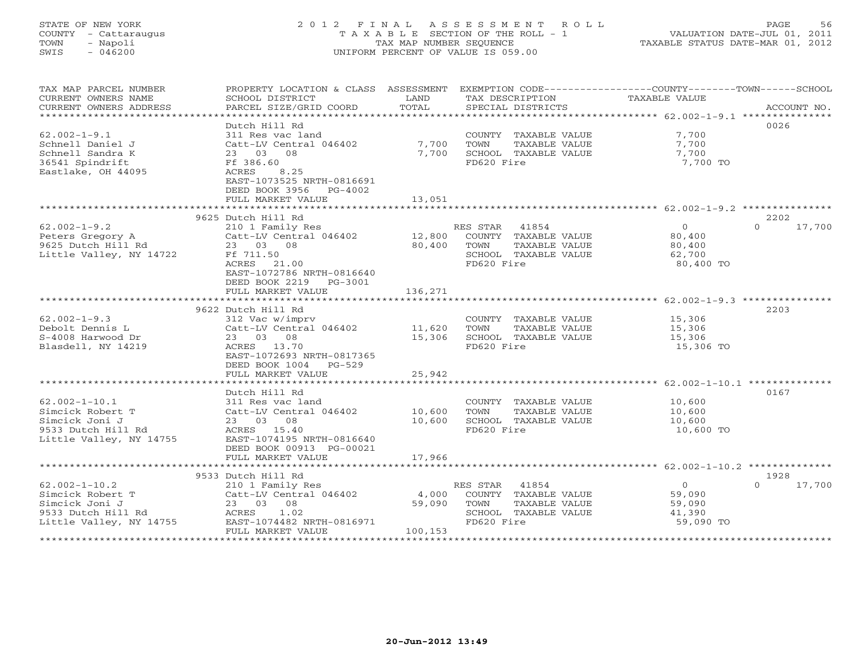# STATE OF NEW YORK 2 0 1 2 F I N A L A S S E S S M E N T R O L L PAGE 56 COUNTY - Cattaraugus T A X A B L E SECTION OF THE ROLL - 1 VALUATION DATE-JUL 01, 2011 TOWN - Napoli TAX MAP NUMBER SEQUENCE TAXABLE STATUS DATE-MAR 01, 2012 SWIS - 046200 UNIFORM PERCENT OF VALUE IS 059.00UNIFORM PERCENT OF VALUE IS 059.00

| TAX MAP PARCEL NUMBER<br>CURRENT OWNERS NAME<br>CURRENT OWNERS ADDRESS | PROPERTY LOCATION & CLASS ASSESSMENT EXEMPTION CODE---------------COUNTY-------TOWN-----SCHOOL<br>SCHOOL DISTRICT<br>PARCEL SIZE/GRID COORD | LAND<br>TOTAL | TAX DESCRIPTION<br>SPECIAL DISTRICTS          | TAXABLE VALUE  | ACCOUNT NO.        |
|------------------------------------------------------------------------|---------------------------------------------------------------------------------------------------------------------------------------------|---------------|-----------------------------------------------|----------------|--------------------|
|                                                                        |                                                                                                                                             |               |                                               |                |                    |
| $62.002 - 1 - 9.1$<br>Schnell Daniel J                                 | Dutch Hill Rd<br>311 Res vac land<br>Catt-LV Central 046402                                                                                 | 7,700         | COUNTY TAXABLE VALUE<br>TOWN<br>TAXABLE VALUE | 7,700<br>7,700 | 0026               |
| Schnell Sandra K                                                       | 23 03 08                                                                                                                                    | 7,700         | SCHOOL TAXABLE VALUE                          | 7,700          |                    |
| 36541 Spindrift<br>Eastlake, OH 44095                                  | Ff 386.60<br>ACRES<br>8.25<br>EAST-1073525 NRTH-0816691<br>DEED BOOK 3956 PG-4002                                                           |               | FD620 Fire                                    | 7,700 TO       |                    |
|                                                                        | FULL MARKET VALUE                                                                                                                           | 13,051        |                                               |                |                    |
|                                                                        |                                                                                                                                             |               |                                               |                |                    |
|                                                                        | 9625 Dutch Hill Rd                                                                                                                          |               |                                               |                | 2202               |
| $62.002 - 1 - 9.2$                                                     | 210 1 Family Res                                                                                                                            |               | RES STAR 41854                                | $\circ$        | $\Omega$<br>17,700 |
| Peters Gregory A                                                       | Catt-LV Central 046402 12,800                                                                                                               |               | COUNTY TAXABLE VALUE                          | 80,400         |                    |
| 9625 Dutch Hill Rd                                                     | 23 03 08                                                                                                                                    | 80,400        | TAXABLE VALUE<br>TOWN                         | 80,400         |                    |
| Little Valley, NY 14722                                                | Ff 711.50                                                                                                                                   |               | SCHOOL TAXABLE VALUE                          | 62,700         |                    |
|                                                                        | ACRES 21.00<br>EAST-1072786 NRTH-0816640<br>DEED BOOK 2219 PG-3001                                                                          |               | FD620 Fire                                    | 80,400 TO      |                    |
|                                                                        | FULL MARKET VALUE                                                                                                                           | 136,271       |                                               |                |                    |
|                                                                        |                                                                                                                                             |               |                                               |                |                    |
|                                                                        | 9622 Dutch Hill Rd                                                                                                                          |               |                                               |                | 2203               |
| $62.002 - 1 - 9.3$                                                     | 312 Vac w/imprv                                                                                                                             |               | COUNTY TAXABLE VALUE                          | 15,306         |                    |
| Debolt Dennis L                                                        | Catt-LV Central 046402 11,620                                                                                                               |               | TAXABLE VALUE<br>TOWN                         | 15,306         |                    |
| S-4008 Harwood Dr                                                      | 23 03 08<br>ACRES 13.70                                                                                                                     | 15,306        | SCHOOL TAXABLE VALUE<br>FD620 Fire            | 15,306         |                    |
| Blasdell, NY 14219                                                     | EAST-1072693 NRTH-0817365<br>DEED BOOK 1004<br>$PG-529$                                                                                     |               |                                               | 15,306 TO      |                    |
|                                                                        | FULL MARKET VALUE                                                                                                                           | 25,942        |                                               |                |                    |
|                                                                        |                                                                                                                                             |               |                                               |                |                    |
|                                                                        | Dutch Hill Rd                                                                                                                               |               |                                               |                | 0167               |
| $62.002 - 1 - 10.1$                                                    | 311 Res vac land                                                                                                                            |               | COUNTY TAXABLE VALUE                          | 10,600         |                    |
| Simcick Robert T                                                       | Catt-LV Central 046402                                                                                                                      | 10,600        | TOWN<br>TAXABLE VALUE                         | 10,600         |                    |
| Simcick Joni J                                                         | 23 03 08                                                                                                                                    | 10,600        | SCHOOL TAXABLE VALUE                          | 10,600         |                    |
| 9533 Dutch Hill Rd<br>Little Valley, NY 14755                          | ACRES 15.40<br>EAST-1074195 NRTH-0816640<br>DEED BOOK 00913 PG-00021                                                                        |               | FD620 Fire                                    | 10,600 TO      |                    |
|                                                                        | FULL MARKET VALUE                                                                                                                           | 17,966        |                                               |                |                    |
|                                                                        |                                                                                                                                             |               |                                               |                |                    |
|                                                                        | 9533 Dutch Hill Rd                                                                                                                          |               |                                               |                | 1928               |
| $62.002 - 1 - 10.2$                                                    | 210 1 Family Res                                                                                                                            |               | RES STAR 41854                                | $\overline{0}$ | 17,700<br>$\Omega$ |
| Simcick Robert T                                                       | Catt-LV Central 046402                                                                                                                      | 4,000         | COUNTY TAXABLE VALUE                          | 59,090         |                    |
| Simcick Joni J                                                         | 23 03 08                                                                                                                                    | 59,090        | TOWN<br>TAXABLE VALUE                         | 59,090         |                    |
| 9533 Dutch Hill Rd                                                     | ACRES 1.02                                                                                                                                  |               | SCHOOL TAXABLE VALUE                          | 41,390         |                    |
| Little Valley, NY 14755                                                | EAST-1074482 NRTH-0816971                                                                                                                   |               | FD620 Fire                                    | 59,090 TO      |                    |
|                                                                        | FULL MARKET VALUE                                                                                                                           | 100,153       |                                               |                |                    |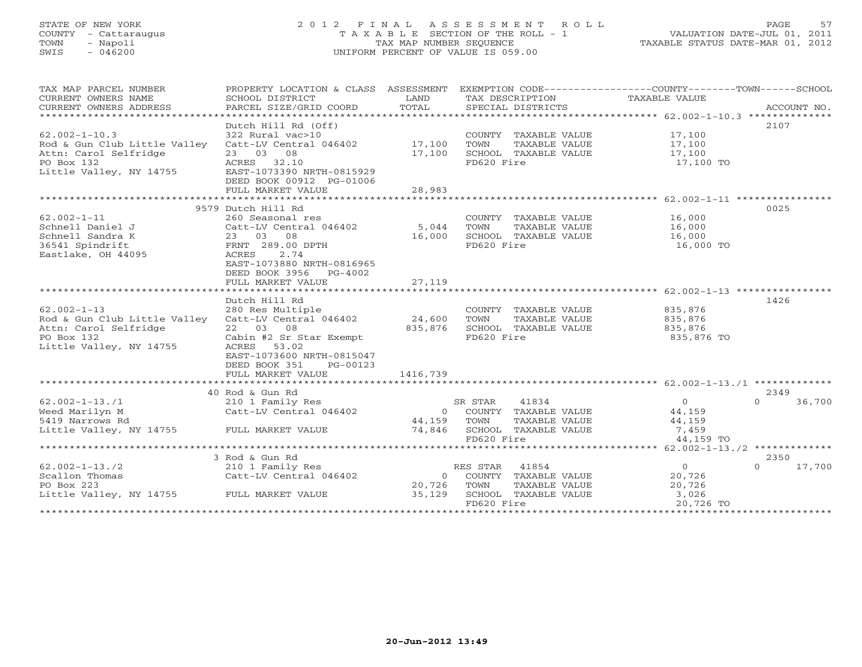# STATE OF NEW YORK 2 0 1 2 F I N A L A S S E S S M E N T R O L L PAGE 57 COUNTY - Cattaraugus T A X A B L E SECTION OF THE ROLL - 1 VALUATION DATE-JUL 01, 2011 TOWN - Napoli TAX MAP NUMBER SEQUENCE TAXABLE STATUS DATE-MAR 01, 2012 SWIS - 046200 UNIFORM PERCENT OF VALUE IS 059.00UNIFORM PERCENT OF VALUE IS 059.00

| TAX MAP PARCEL NUMBER                     | PROPERTY LOCATION & CLASS ASSESSMENT EXEMPTION CODE---------------COUNTY-------TOWN------SCHOOL |             |                               |                               |                    |
|-------------------------------------------|-------------------------------------------------------------------------------------------------|-------------|-------------------------------|-------------------------------|--------------------|
| CURRENT OWNERS NAME                       | SCHOOL DISTRICT                                                                                 | LAND        | TAX DESCRIPTION               | TAXABLE VALUE                 |                    |
| CURRENT OWNERS ADDRESS                    | PARCEL SIZE/GRID COORD                                                                          | TOTAL       | SPECIAL DISTRICTS             |                               | ACCOUNT NO.        |
|                                           |                                                                                                 |             |                               |                               |                    |
|                                           | Dutch Hill Rd (Off)                                                                             |             |                               |                               | 2107               |
| $62.002 - 1 - 10.3$                       | 322 Rural vac>10                                                                                |             | COUNTY TAXABLE VALUE 17,100   |                               |                    |
| Rod & Gun Club Little Valley              | Catt-LV Central 046402 17,100                                                                   |             | TOWN<br>TAXABLE VALUE         | $\frac{1}{17}$ , 100          |                    |
| Attn: Carol Selfridge                     | 23 03 08                                                                                        | 17,100      | SCHOOL TAXABLE VALUE $17,100$ |                               |                    |
| PO Box 132                                | ACRES 32.10                                                                                     |             | FD620 Fire                    | 17,100 TO                     |                    |
| Little Valley, NY 14755                   | EAST-1073390 NRTH-0815929                                                                       |             |                               |                               |                    |
|                                           | DEED BOOK 00912 PG-01006                                                                        |             |                               |                               |                    |
|                                           | FULL MARKET VALUE                                                                               | 28,983      |                               |                               |                    |
|                                           |                                                                                                 |             |                               |                               |                    |
|                                           | 9579 Dutch Hill Rd                                                                              |             |                               |                               | 0025               |
| $62.002 - 1 - 11$                         | 260 Seasonal res                                                                                |             | COUNTY TAXABLE VALUE 16,000   |                               |                    |
| Schnell Daniel J                          | Catt-LV Central 046402                                                                          | 5,044       | TAXABLE VALUE<br>TOWN         | 16,000                        |                    |
| Schnell Sandra K                          | 23 03 08                                                                                        | 16,000      | SCHOOL TAXABLE VALUE          | 16,000                        |                    |
| 36541 Spindrift                           | FRNT 289.00 DPTH                                                                                |             | FD620 Fire                    | 16,000 TO                     |                    |
| Eastlake, OH 44095                        | 2.74<br>ACRES                                                                                   |             |                               |                               |                    |
|                                           | EAST-1073880 NRTH-0816965                                                                       |             |                               |                               |                    |
|                                           | DEED BOOK 3956 PG-4002                                                                          |             |                               |                               |                    |
|                                           | FULL MARKET VALUE                                                                               | 27,119      |                               |                               |                    |
|                                           |                                                                                                 |             |                               |                               |                    |
|                                           | Dutch Hill Rd                                                                                   |             |                               |                               | 1426               |
| $62.002 - 1 - 13$                         | 280 Res Multiple                                                                                |             | COUNTY TAXABLE VALUE          |                               |                    |
| Rod & Gun Club Little Valley              | Catt-LV Central 046402                                                                          | 24,600      | TOWN<br>TAXABLE VALUE         |                               |                    |
| Attn: Carol Selfridge                     | 22 03 08                                                                                        | 835,876     | SCHOOL TAXABLE VALUE          | 835,876<br>835,876<br>835,876 |                    |
| PO Box 132                                | Cabin #2 Sr Star Exempt                                                                         |             | FD620 Fire                    | 835,876 TO                    |                    |
| Little Valley, NY 14755                   | ACRES<br>53.02                                                                                  |             |                               |                               |                    |
|                                           | EAST-1073600 NRTH-0815047                                                                       |             |                               |                               |                    |
|                                           | DEED BOOK 351<br>PG-00123                                                                       |             |                               |                               |                    |
|                                           | FULL MARKET VALUE                                                                               | 1416,739    |                               |                               |                    |
|                                           |                                                                                                 |             |                               |                               |                    |
|                                           | 40 Rod & Gun Rd                                                                                 |             |                               |                               | 2349               |
| $62.002 - 1 - 13.71$                      | 210 1 Family Res                                                                                |             | SR STAR<br>41834              | $0$<br>44,159<br>150          | 36,700<br>$\Omega$ |
| Weed Marilyn M                            | Catt-LV Central 046402                                                                          |             | 0 COUNTY TAXABLE VALUE        |                               |                    |
| 5419 Narrows Rd                           |                                                                                                 | 44,159 TOWN | TAXABLE VALUE                 | 44,159                        |                    |
| Little Valley, NY 14755 FULL MARKET VALUE |                                                                                                 |             | 74,846 SCHOOL TAXABLE VALUE   | 7,459                         |                    |
|                                           |                                                                                                 |             | FD620 Fire                    | 44,159 TO                     |                    |
|                                           |                                                                                                 |             |                               |                               |                    |
|                                           | 3 Rod & Gun Rd                                                                                  |             |                               |                               | 2350               |
| $62.002 - 1 - 13.72$                      | 210 1 Family Res                                                                                |             | RES STAR<br>41854             | $\overline{0}$                | $\Omega$<br>17,700 |
| Scallon Thomas                            | Catt-LV Central 046402                                                                          |             | 0 COUNTY TAXABLE VALUE        | 20,726                        |                    |
| PO Box 223                                |                                                                                                 | 20,726      | TOWN<br>TAXABLE VALUE         | 20,726                        |                    |
| Little Valley, NY 14755 FULL MARKET VALUE |                                                                                                 | 35,129      | SCHOOL TAXABLE VALUE          | 3,026                         |                    |
|                                           |                                                                                                 |             | FD620 Fire                    | 20,726 TO                     |                    |
|                                           |                                                                                                 |             |                               |                               |                    |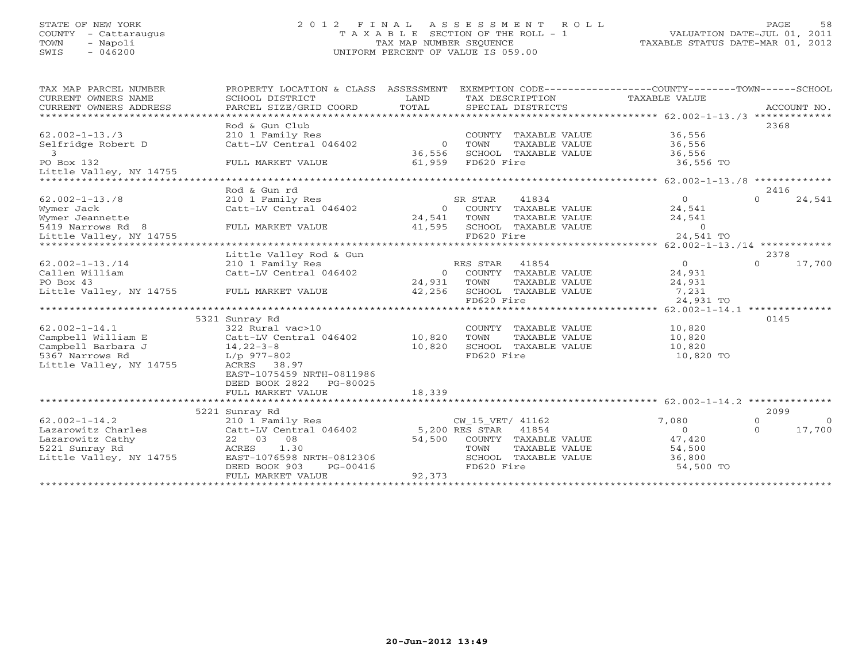## STATE OF NEW YORK 2 0 1 2 F I N A L A S S E S S M E N T R O L L PAGE 58 COUNTY - Cattaraugus T A X A B L E SECTION OF THE ROLL - 1 VALUATION DATE-JUL 01, 2011 TOWN - Napoli TAX MAP NUMBER SEQUENCE TAXABLE STATUS DATE-MAR 01, 2012 SWIS - 046200 UNIFORM PERCENT OF VALUE IS 059.00UNIFORM PERCENT OF VALUE IS 059.00

| TAX MAP PARCEL NUMBER<br>CURRENT OWNERS NAME<br>CURRENT OWNERS ADDRESS | PROPERTY LOCATION & CLASS ASSESSMENT<br>SCHOOL DISTRICT<br>PARCEL SIZE/GRID COORD | LAND<br>TOTAL  | TAX DESCRIPTION<br>SPECIAL DISTRICTS | EXEMPTION CODE----------------COUNTY-------TOWN------SCHOOL<br>TAXABLE VALUE | ACCOUNT NO.            |
|------------------------------------------------------------------------|-----------------------------------------------------------------------------------|----------------|--------------------------------------|------------------------------------------------------------------------------|------------------------|
|                                                                        | Rod & Gun Club                                                                    |                |                                      |                                                                              | 2368                   |
| $62.002 - 1 - 13.73$                                                   | 210 1 Family Res                                                                  |                | COUNTY TAXABLE VALUE                 | 36,556                                                                       |                        |
| Selfridge Robert D                                                     | Catt-LV Central 046402                                                            | $\sim$ 0       | TOWN<br>TAXABLE VALUE                | 36,556                                                                       |                        |
| 3                                                                      |                                                                                   | 36,556         | SCHOOL TAXABLE VALUE                 | 36,556                                                                       |                        |
| PO Box 132                                                             | FULL MARKET VALUE                                                                 | 61,959         | FD620 Fire                           | 36,556 TO                                                                    |                        |
| Little Valley, NY 14755                                                |                                                                                   |                |                                      |                                                                              |                        |
|                                                                        |                                                                                   |                |                                      |                                                                              |                        |
|                                                                        | Rod & Gun rd                                                                      |                |                                      |                                                                              | 2416                   |
| $62.002 - 1 - 13.78$                                                   | 210 1 Family Res                                                                  |                | 41834<br>SR STAR                     | $\overline{0}$                                                               | $\cap$<br>24,541       |
| Wymer Jack                                                             | Catt-LV Central 046402                                                            | $\Omega$       | COUNTY TAXABLE VALUE                 | 24,541                                                                       |                        |
| Wymer Jeannette                                                        |                                                                                   | 24,541         | TOWN<br>TAXABLE VALUE                | 24,541                                                                       |                        |
| 5419 Narrows Rd 8                                                      | FULL MARKET VALUE                                                                 | 41,595         | SCHOOL TAXABLE VALUE                 | $\sim$ 0                                                                     |                        |
| Little Valley, NY 14755                                                |                                                                                   |                | FD620 Fire                           | 24,541 TO                                                                    |                        |
|                                                                        |                                                                                   |                |                                      |                                                                              |                        |
|                                                                        | Little Valley Rod & Gun                                                           |                |                                      |                                                                              | 2378                   |
| $62.002 - 1 - 13.714$                                                  | 210 1 Family Res                                                                  |                | RES STAR 41854                       | $\overline{0}$                                                               | 17,700<br>$\Omega$     |
| Callen William                                                         | Catt-LV Central 046402                                                            | $\overline{0}$ | COUNTY TAXABLE VALUE                 | 24,931                                                                       |                        |
| PO Box 43                                                              |                                                                                   | 24,931         | TOWN<br>TAXABLE VALUE                | 24,931                                                                       |                        |
| Little Valley, NY 14755 FULL MARKET VALUE                              |                                                                                   | 42,256         | SCHOOL TAXABLE VALUE                 | 7,231                                                                        |                        |
|                                                                        |                                                                                   |                | FD620 Fire                           | 24,931 TO                                                                    |                        |
|                                                                        |                                                                                   |                |                                      |                                                                              |                        |
|                                                                        | 5321 Sunray Rd                                                                    |                |                                      |                                                                              | 0145                   |
| $62.002 - 1 - 14.1$                                                    | 322 Rural vac>10                                                                  |                | COUNTY TAXABLE VALUE                 | 10,820                                                                       |                        |
| Campbell William E                                                     | Catt-LV Central 046402 10,820                                                     |                | TOWN<br>TAXABLE VALUE                | 10,820                                                                       |                        |
| Campbell Barbara J                                                     | 14,22-3-8<br>L/p 977-802                                                          | 10,820         | SCHOOL TAXABLE VALUE                 | 10,820                                                                       |                        |
| 5367 Narrows Rd                                                        |                                                                                   |                | FD620 Fire                           | 10,820 TO                                                                    |                        |
| Little Valley, NY 14755                                                | ACRES 38.97                                                                       |                |                                      |                                                                              |                        |
|                                                                        | EAST-1075459 NRTH-0811986                                                         |                |                                      |                                                                              |                        |
|                                                                        | DEED BOOK 2822 PG-80025                                                           |                |                                      |                                                                              |                        |
|                                                                        | FULL MARKET VALUE                                                                 | 18,339         |                                      |                                                                              |                        |
|                                                                        |                                                                                   |                |                                      |                                                                              |                        |
|                                                                        | 5221 Sunray Rd                                                                    |                |                                      |                                                                              | 2099                   |
| $62.002 - 1 - 14.2$                                                    | 210 1 Family Res                                                                  |                | CW_15_VET/ 41162                     | 7,080                                                                        | $\Omega$<br>$\bigcirc$ |
| Lazarowitz Charles                                                     | Catt-LV Central 046402 5,200 RES STAR 41854                                       |                |                                      | $\Omega$                                                                     | 17,700<br>$\Omega$     |
| Lazarowitz Cathy                                                       | 22 03 08                                                                          | 54,500         | COUNTY TAXABLE VALUE                 | 47,420                                                                       |                        |
| 5221 Sunray Rd                                                         | ACRES 1.30                                                                        |                | TOWN<br>TAXABLE VALUE                | 54,500<br>36,800                                                             |                        |
| Little Valley, NY 14755                                                | EAST-1076598 NRTH-0812306<br>DEED BOOK 903<br>PG-00416                            |                | SCHOOL TAXABLE VALUE<br>FD620 Fire   | 54,500 TO                                                                    |                        |
|                                                                        | FULL MARKET VALUE                                                                 | 92,373         |                                      |                                                                              |                        |
|                                                                        |                                                                                   |                |                                      |                                                                              |                        |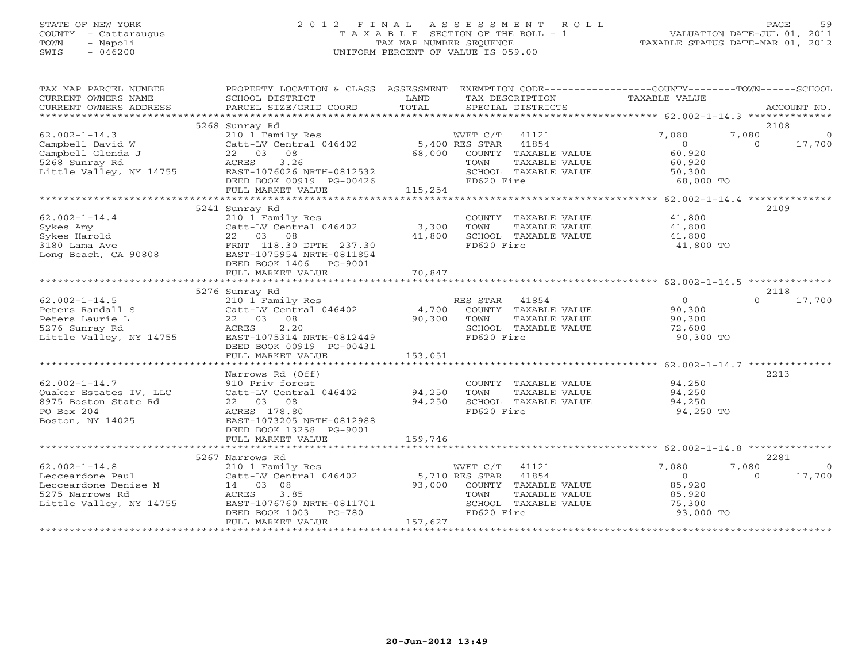# STATE OF NEW YORK 2 0 1 2 F I N A L A S S E S S M E N T R O L L PAGE 59 COUNTY - Cattaraugus T A X A B L E SECTION OF THE ROLL - 1 VALUATION DATE-JUL 01, 2011 TOWN - Napoli TAX MAP NUMBER SEQUENCE TAXABLE STATUS DATE-MAR 01, 2012 SWIS - 046200 UNIFORM PERCENT OF VALUE IS 059.00

| TAX MAP PARCEL NUMBER               | PROPERTY LOCATION & CLASS ASSESSMENT EXEMPTION CODE----------------COUNTY-------TOWN------SCHOOL                                                                                                                                                                                         |         |                                                                  |                                            |                |                |
|-------------------------------------|------------------------------------------------------------------------------------------------------------------------------------------------------------------------------------------------------------------------------------------------------------------------------------------|---------|------------------------------------------------------------------|--------------------------------------------|----------------|----------------|
| CURRENT OWNERS NAME SCHOOL DISTRICT |                                                                                                                                                                                                                                                                                          | LAND    | TAX DESCRIPTION TAXABLE VALUE                                    |                                            |                |                |
| CURRENT OWNERS ADDRESS              |                                                                                                                                                                                                                                                                                          |         |                                                                  |                                            |                |                |
|                                     |                                                                                                                                                                                                                                                                                          |         |                                                                  |                                            |                |                |
|                                     | 5268 Sunray Rd                                                                                                                                                                                                                                                                           |         |                                                                  |                                            | 2108           |                |
|                                     |                                                                                                                                                                                                                                                                                          |         |                                                                  | 7,080                                      | 7,080          | $\overline{0}$ |
|                                     |                                                                                                                                                                                                                                                                                          |         |                                                                  | $0$<br>60,920                              | $\overline{a}$ | 17,700         |
|                                     |                                                                                                                                                                                                                                                                                          |         |                                                                  |                                            |                |                |
|                                     |                                                                                                                                                                                                                                                                                          |         |                                                                  | 60,920<br>50,300                           |                |                |
|                                     |                                                                                                                                                                                                                                                                                          |         |                                                                  |                                            |                |                |
|                                     |                                                                                                                                                                                                                                                                                          |         | SCHOOL TAXABLE VALUE 50,300<br>FD620 Fire 68,000 TO              |                                            |                |                |
|                                     |                                                                                                                                                                                                                                                                                          |         |                                                                  |                                            |                |                |
|                                     |                                                                                                                                                                                                                                                                                          |         |                                                                  |                                            |                |                |
|                                     | 5241 Sunray Rd                                                                                                                                                                                                                                                                           |         |                                                                  |                                            | 2109           |                |
|                                     | Sunray Ru<br>210 1 Family Res<br>Catt-LV Central 046402 3,300<br>21.800                                                                                                                                                                                                                  |         | COUNTY TAXABLE VALUE 41,800                                      |                                            |                |                |
|                                     |                                                                                                                                                                                                                                                                                          |         | TOWN      TAXABLE VALUE<br>SCHOOL   TAXABLE VALUE                | 41,800<br>41,800                           |                |                |
|                                     |                                                                                                                                                                                                                                                                                          | 41,800  |                                                                  |                                            |                |                |
|                                     |                                                                                                                                                                                                                                                                                          |         | FD620 Fire                                                       | 41,800 TO                                  |                |                |
|                                     | 62.002-1-14.4<br>Sykes Amy Catt-LV Central 046402<br>Sykes Harold 22 03 08<br>3180 Lama Ave FRNT 118.30 DPTH 237.30<br>Long Beach, CA 90808<br>$\begin{array}{r} \text{ERNT} = 18.30 \text{ DPTH} = 237.30 \\ 22.03 \text{ RRTH} = 0811854 \\ \text{ERNT} = 1075954 \text{ NRTH} = 0811$ |         |                                                                  |                                            |                |                |
|                                     | DEED BOOK 1406 PG-9001<br>FULL MARKET VALUE                                                                                                                                                                                                                                              |         |                                                                  |                                            |                |                |
|                                     | FULL MARKET VALUE                                                                                                                                                                                                                                                                        | 70,847  |                                                                  |                                            |                |                |
|                                     |                                                                                                                                                                                                                                                                                          |         |                                                                  |                                            |                |                |
|                                     | 5276 Sunray Rd                                                                                                                                                                                                                                                                           |         |                                                                  |                                            | 2118           |                |
|                                     |                                                                                                                                                                                                                                                                                          |         |                                                                  | $\begin{array}{c} 0 \\ 90,300 \end{array}$ | $\Omega$       | 17,700         |
|                                     |                                                                                                                                                                                                                                                                                          |         |                                                                  |                                            |                |                |
|                                     |                                                                                                                                                                                                                                                                                          |         |                                                                  | TAXABLE VALUE 90,300                       |                |                |
|                                     |                                                                                                                                                                                                                                                                                          |         |                                                                  | 72,600                                     |                |                |
|                                     |                                                                                                                                                                                                                                                                                          |         |                                                                  | 90,300 TO                                  |                |                |
|                                     | DEED BOOK 00919 PG-00431                                                                                                                                                                                                                                                                 |         |                                                                  |                                            |                |                |
|                                     | FULL MARKET VALUE                                                                                                                                                                                                                                                                        | 153,051 |                                                                  |                                            |                |                |
|                                     |                                                                                                                                                                                                                                                                                          |         |                                                                  |                                            |                |                |
|                                     | Narrows Rd (Off)                                                                                                                                                                                                                                                                         |         |                                                                  |                                            | 2213           |                |
|                                     |                                                                                                                                                                                                                                                                                          |         |                                                                  |                                            |                |                |
|                                     |                                                                                                                                                                                                                                                                                          |         | COUNTY TAXABLE VALUE 94,250<br>TOWN TAXABLE VALUE 94,250<br>TOWN |                                            |                |                |
|                                     |                                                                                                                                                                                                                                                                                          |         | SCHOOL TAXABLE VALUE 94,250                                      |                                            |                |                |
|                                     |                                                                                                                                                                                                                                                                                          |         | FD620 Fire                                                       | 94,250 TO                                  |                |                |
|                                     | 62.002-1-14.7<br>Quaker Estates IV, LLC<br>8975 Boston State Rd<br>Boston, NY 14025<br>Boston, NY 14025<br>Boston, NY 14025<br>Boston, NY 14025<br>Boston, NY 14025<br>Boston, NY 14025<br>Boston, NY 14025<br>Boston, NY 14025<br>Boston, NY 14025<br>                                  |         |                                                                  |                                            |                |                |
|                                     | DEED BOOK 13258 PG-9001                                                                                                                                                                                                                                                                  |         |                                                                  |                                            |                |                |
|                                     |                                                                                                                                                                                                                                                                                          |         |                                                                  |                                            |                |                |
|                                     |                                                                                                                                                                                                                                                                                          |         |                                                                  |                                            |                |                |
|                                     | 5267 Narrows Rd                                                                                                                                                                                                                                                                          |         |                                                                  |                                            | 2281           |                |
|                                     |                                                                                                                                                                                                                                                                                          |         |                                                                  | 7,080                                      | 7,080          | $\overline{0}$ |
|                                     | 62.002-1-14.8<br>Lecceardone Paul 210 1 Family Res WVET C/T 41121<br>Catt-LV Central 046402 5,710 RES STAR 41854<br>Lecceardone Denise M 14 03 08 93,000 COUNTY TAXABLE VALUE<br>5275 Narrows Rd 1993,000 COUNTY TAXABLE VALUE                                                           |         |                                                                  | $\overline{0}$                             | $\overline{0}$ | 17,700         |
|                                     |                                                                                                                                                                                                                                                                                          |         |                                                                  | 85,920                                     |                |                |
|                                     |                                                                                                                                                                                                                                                                                          |         |                                                                  | 85,920                                     |                |                |
|                                     |                                                                                                                                                                                                                                                                                          |         |                                                                  |                                            |                |                |
|                                     | Little Valley, NY 14755 EAST-1076760 NRTH-0811701<br>DEED BOOK 1003 PG-780                                                                                                                                                                                                               |         |                                                                  |                                            |                |                |
|                                     | FULL MARKET VALUE                                                                                                                                                                                                                                                                        | 157,627 |                                                                  |                                            |                |                |
|                                     |                                                                                                                                                                                                                                                                                          |         |                                                                  |                                            |                |                |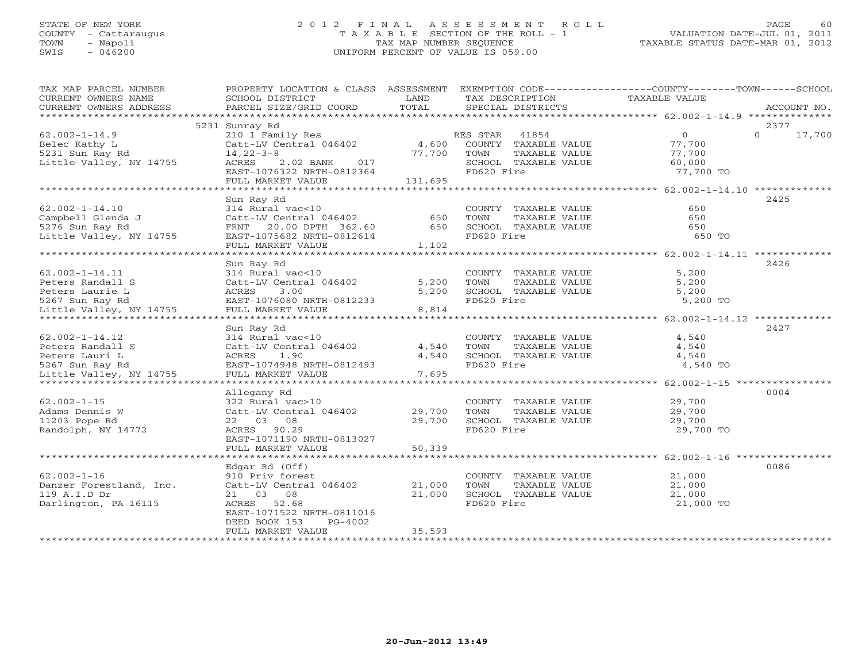# STATE OF NEW YORK 2 0 1 2 F I N A L A S S E S S M E N T R O L L PAGE 60 COUNTY - Cattaraugus T A X A B L E SECTION OF THE ROLL - 1 VALUATION DATE-JUL 01, 2011 TOWN - Napoli TAX MAP NUMBER SEQUENCE TAXABLE STATUS DATE-MAR 01, 2012 SWIS - 046200 UNIFORM PERCENT OF VALUE IS 059.00UNIFORM PERCENT OF VALUE IS 059.00

| CURRENT OWNERS NAME<br>SCHOOL DISTRICT<br>LAND<br>TAX DESCRIPTION<br>TAXABLE VALUE                                         |             |
|----------------------------------------------------------------------------------------------------------------------------|-------------|
|                                                                                                                            |             |
| TOTAL<br>CURRENT OWNERS ADDRESS<br>PARCEL SIZE/GRID COORD<br>SPECIAL DISTRICTS                                             | ACCOUNT NO. |
|                                                                                                                            |             |
| 5231 Sunray Rd                                                                                                             | 2377        |
| 210 1 Family Res<br>$\Omega$<br>$62.002 - 1 - 14.9$<br>RES STAR<br>41854<br>$\overline{0}$                                 | 17,700      |
| Catt-LV Central 046402<br>4,600<br>COUNTY TAXABLE VALUE<br>77,700<br>Belec Kathy L                                         |             |
| 5231 Sun Ray Rd<br>$14, 22 - 3 - 8$<br>77,700<br>TOWN<br>TAXABLE VALUE<br>77,700                                           |             |
| Little Valley, NY 14755<br>ACRES<br>$2.02$ BANK<br>SCHOOL TAXABLE VALUE<br>60,000<br>017                                   |             |
| FD620 Fire<br>77,700 TO<br>EAST-1076322 NRTH-0812364                                                                       |             |
| FULL MARKET VALUE<br>131,695                                                                                               |             |
|                                                                                                                            |             |
| Sun Ray Rd                                                                                                                 | 2425        |
| $62.002 - 1 - 14.10$<br>COUNTY TAXABLE VALUE<br>650<br>314 Rural vac<10                                                    |             |
| 650<br>Campbell Glenda J<br>Catt-LV Central 046402<br>650<br>TOWN<br>TAXABLE VALUE                                         |             |
| 5276 Sun Ray Rd<br>FRNT 20.00 DPTH 362.60<br>650<br>SCHOOL TAXABLE VALUE<br>650                                            |             |
| Little Valley, NY 14755<br>FD620 Fire<br>650 TO<br>EAST-1075682 NRTH-0812614                                               |             |
| FULL MARKET VALUE<br>1,102<br>***********************                                                                      |             |
|                                                                                                                            |             |
| Sun Ray Rd                                                                                                                 | 2426        |
| 314 Rural vac<10<br>5,200<br>$62.002 - 1 - 14.11$<br>COUNTY TAXABLE VALUE                                                  |             |
| Peters Randall S<br>Catt-LV Central 046402<br>5,200<br>TOWN<br>TAXABLE VALUE<br>5,200                                      |             |
| Peters Laurie L<br>5,200<br>SCHOOL TAXABLE VALUE<br>ACRES<br>3.00<br>5,200                                                 |             |
| 5267 Sun Ray Rd<br>EAST-1076080 NRTH-0812233<br>FD620 Fire<br>5,200 TO                                                     |             |
| Little Valley, NY 14755<br>FULL MARKET VALUE<br>8,814                                                                      |             |
|                                                                                                                            |             |
| Sun Ray Rd                                                                                                                 | 2427        |
| $62.002 - 1 - 14.12$<br>314 Rural vac<10<br>COUNTY TAXABLE VALUE<br>4,540                                                  |             |
| TAXABLE VALUE<br>Peters Randall S<br>Catt-LV Central 046402<br>4,540<br>TOWN<br>4,540                                      |             |
| 1.90<br>4,540<br>Peters Lauri L<br>ACRES<br>SCHOOL TAXABLE VALUE<br>4,540                                                  |             |
| EAST-1074948 NRTH-0812493<br>FD620 Fire<br>4,540 TO<br>5267 Sun Ray Rd                                                     |             |
| 7,695<br>Little Valley, NY 14755<br>FULL MARKET VALUE                                                                      |             |
| ******************** 62.002-1-15 *****************                                                                         |             |
| Allegany Rd                                                                                                                | 0004        |
| $62.002 - 1 - 15$<br>322 Rural vac>10<br>COUNTY TAXABLE VALUE<br>29,700                                                    |             |
| Adams Dennis W<br>Catt-LV Central 046402<br>29,700<br>TOWN<br>TAXABLE VALUE<br>29,700                                      |             |
| 11203 Pope Rd<br>22 03 08<br>29,700<br>SCHOOL TAXABLE VALUE<br>29,700                                                      |             |
| FD620 Fire<br>29,700 TO<br>Randolph, NY 14772<br>ACRES 90.29                                                               |             |
| EAST-1071190 NRTH-0813027                                                                                                  |             |
| FULL MARKET VALUE<br>50,339                                                                                                |             |
|                                                                                                                            | 0086        |
| Edgar Rd (Off)                                                                                                             |             |
| $62.002 - 1 - 16$<br>910 Priv forest<br>COUNTY TAXABLE VALUE<br>21,000<br>21,000<br>Catt-LV Central 046402<br>TOWN         |             |
| Danzer Forestland, Inc.<br>TAXABLE VALUE<br>21,000<br>21 03 08                                                             |             |
| 119 A.I.D Dr<br>21,000<br>SCHOOL TAXABLE VALUE<br>21,000<br>Darlington, PA 16115<br>ACRES 52.68<br>FD620 Fire<br>21,000 TO |             |
|                                                                                                                            |             |
| EAST-1071522 NRTH-0811016<br>DEED BOOK 153<br>$PG-4002$                                                                    |             |
| 35,593<br>FULL MARKET VALUE                                                                                                |             |
| *********************                                                                                                      |             |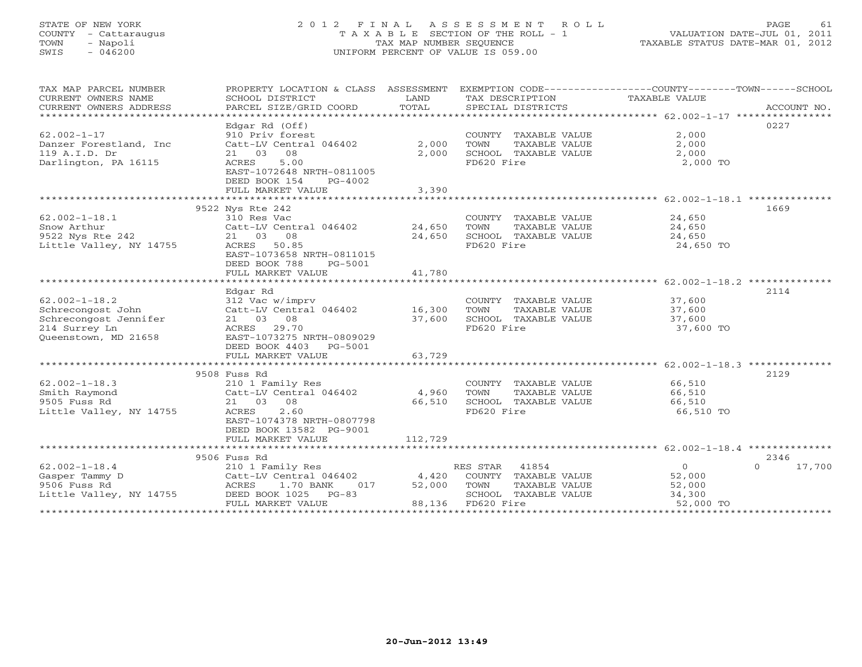# STATE OF NEW YORK 2 0 1 2 F I N A L A S S E S S M E N T R O L L PAGE 61 COUNTY - Cattaraugus T A X A B L E SECTION OF THE ROLL - 1 VALUATION DATE-JUL 01, 2011 TOWN - Napoli TAX MAP NUMBER SEQUENCE TAXABLE STATUS DATE-MAR 01, 2012 SWIS - 046200 UNIFORM PERCENT OF VALUE IS 059.00UNIFORM PERCENT OF VALUE IS 059.00

| TAX MAP PARCEL NUMBER<br>CURRENT OWNERS NAME<br>CURRENT OWNERS ADDRESS<br>******************************   | PROPERTY LOCATION & CLASS ASSESSMENT<br>SCHOOL DISTRICT<br>PARCEL SIZE/GRID COORD                                                                                       | LAND<br>TOTAL              | TAX DESCRIPTION<br>SPECIAL DISTRICTS                                                                     | EXEMPTION CODE-----------------COUNTY-------TOWN------SCHOOL<br>TAXABLE VALUE | ACCOUNT NO. |
|------------------------------------------------------------------------------------------------------------|-------------------------------------------------------------------------------------------------------------------------------------------------------------------------|----------------------------|----------------------------------------------------------------------------------------------------------|-------------------------------------------------------------------------------|-------------|
|                                                                                                            | Edgar Rd (Off)                                                                                                                                                          |                            |                                                                                                          | 0227                                                                          |             |
| $62.002 - 1 - 17$<br>Danzer Forestland, Inc<br>119 A.I.D. Dr<br>Darlington, PA 16115                       | 910 Priv forest<br>Catt-LV Central 046402<br>21 03<br>08<br><b>ACRES</b><br>5.00<br>EAST-1072648 NRTH-0811005                                                           | 2,000<br>2,000             | COUNTY TAXABLE VALUE<br>TOWN<br>TAXABLE VALUE<br>SCHOOL TAXABLE VALUE<br>FD620 Fire                      | 2,000<br>2,000<br>2,000<br>2,000 TO                                           |             |
|                                                                                                            | DEED BOOK 154<br>PG-4002<br>FULL MARKET VALUE                                                                                                                           | 3,390                      |                                                                                                          |                                                                               |             |
|                                                                                                            |                                                                                                                                                                         |                            |                                                                                                          |                                                                               |             |
| $62.002 - 1 - 18.1$<br>Snow Arthur<br>9522 Nys Rte 242<br>Little Valley, NY 14755                          | 9522 Nys Rte 242<br>310 Res Vac<br>Catt-LV Central 046402<br>21 03 08<br>ACRES 50.85<br>EAST-1073658 NRTH-0811015<br>DEED BOOK 788<br>PG-5001                           | 24,650<br>24,650           | COUNTY TAXABLE VALUE<br>TOWN<br>TAXABLE VALUE<br>SCHOOL TAXABLE VALUE<br>FD620 Fire                      | 1669<br>24,650<br>24,650<br>24,650<br>24,650 TO                               |             |
|                                                                                                            | FULL MARKET VALUE                                                                                                                                                       | 41,780                     |                                                                                                          |                                                                               |             |
|                                                                                                            | Edgar Rd                                                                                                                                                                |                            |                                                                                                          | 2114                                                                          |             |
| $62.002 - 1 - 18.2$<br>Schrecongost John<br>Schrecongost Jennifer<br>214 Surrey Ln<br>Queenstown, MD 21658 | 312 Vac w/imprv<br>Catt-LV Central 046402<br>21 03 08<br>29.70<br>ACRES<br>EAST-1073275 NRTH-0809029<br>DEED BOOK 4403<br>PG-5001<br>FULL MARKET VALUE                  | 16,300<br>37,600<br>63,729 | COUNTY TAXABLE VALUE<br>TOWN<br>TAXABLE VALUE<br>SCHOOL TAXABLE VALUE<br>FD620 Fire                      | 37,600<br>37,600<br>37,600<br>37,600 TO                                       |             |
|                                                                                                            |                                                                                                                                                                         |                            |                                                                                                          |                                                                               |             |
| $62.002 - 1 - 18.3$<br>Smith Raymond<br>9505 Fuss Rd<br>Little Valley, NY 14755                            | 9508 Fuss Rd<br>210 1 Family Res<br>Catt-LV Central 046402<br>21 03<br>08<br>2.60<br>ACRES<br>EAST-1074378 NRTH-0807798<br>DEED BOOK 13582 PG-9001<br>FULL MARKET VALUE | 4,960<br>66,510<br>112,729 | COUNTY TAXABLE VALUE<br>TOWN<br>TAXABLE VALUE<br>SCHOOL TAXABLE VALUE<br>FD620 Fire                      | 2129<br>66,510<br>66,510<br>66,510<br>66,510 TO                               |             |
|                                                                                                            |                                                                                                                                                                         |                            |                                                                                                          |                                                                               |             |
| $62.002 - 1 - 18.4$<br>Gasper Tammy D<br>9506 Fuss Rd<br>Little Valley, NY 14755                           | 9506 Fuss Rd<br>210 1 Family Res<br>Catt-LV Central 046402<br>ACRES<br>1.70 BANK<br>017<br>DEED BOOK 1025<br>$PG-83$<br>FULL MARKET VALUE                               | 4,420<br>52,000<br>88,136  | 41854<br>RES STAR<br>COUNTY TAXABLE VALUE<br>TOWN<br>TAXABLE VALUE<br>SCHOOL TAXABLE VALUE<br>FD620 Fire | 2346<br>$\Omega$<br>$\Omega$<br>52,000<br>52,000<br>34,300<br>52,000 TO       | 17,700      |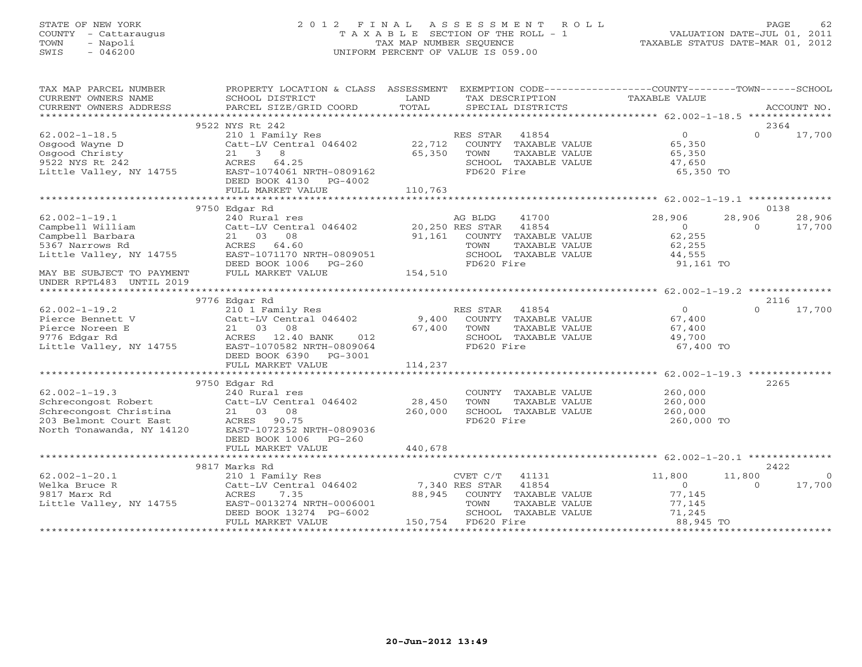# STATE OF NEW YORK 2 0 1 2 F I N A L A S S E S S M E N T R O L L PAGE 62 COUNTY - Cattaraugus T A X A B L E SECTION OF THE ROLL - 1 VALUATION DATE-JUL 01, 2011 TOWN - Napoli TAX MAP NUMBER SEQUENCE TAXABLE STATUS DATE-MAR 01, 2012 SWIS - 046200 UNIFORM PERCENT OF VALUE IS 059.00UNIFORM PERCENT OF VALUE IS 059.00

| TAX MAP PARCEL NUMBER     | PROPERTY LOCATION & CLASS ASSESSMENT                    |                | EXEMPTION CODE-----------------COUNTY-------TOWN------SCHOOL |                      |          |             |
|---------------------------|---------------------------------------------------------|----------------|--------------------------------------------------------------|----------------------|----------|-------------|
| CURRENT OWNERS NAME       | SCHOOL DISTRICT                                         | LAND           | TAX DESCRIPTION                                              | <b>TAXABLE VALUE</b> |          |             |
| CURRENT OWNERS ADDRESS    | PARCEL SIZE/GRID COORD                                  | TOTAL          | SPECIAL DISTRICTS                                            |                      |          | ACCOUNT NO. |
|                           |                                                         |                |                                                              |                      |          |             |
|                           | 9522 NYS Rt 242                                         |                |                                                              |                      | 2364     |             |
| $62.002 - 1 - 18.5$       | 210 1 Family Res                                        |                | RES STAR<br>41854                                            | $\overline{0}$       | $\Omega$ | 17,700      |
| Osgood Wayne D            | Catt-LV Central 046402                                  | 22,712         | COUNTY TAXABLE VALUE                                         | 65,350               |          |             |
| Osgood Christy            | 21 3 8                                                  | 65,350         | TOWN<br>TAXABLE VALUE                                        | 65,350               |          |             |
| 9522 NYS Rt 242           | ACRES<br>64.25                                          |                | SCHOOL TAXABLE VALUE                                         | 47,650               |          |             |
| Little Valley, NY 14755   | EAST-1074061 NRTH-0809162                               |                | FD620 Fire                                                   | 65,350 TO            |          |             |
|                           | DEED BOOK 4130<br>PG-4002                               |                |                                                              |                      |          |             |
|                           | FULL MARKET VALUE                                       | 110,763        |                                                              |                      |          |             |
|                           |                                                         |                |                                                              |                      |          |             |
|                           | 9750 Edgar Rd                                           |                |                                                              |                      | 0138     |             |
| $62.002 - 1 - 19.1$       | 240 Rural res                                           |                | 41700<br>AG BLDG                                             | 28,906               | 28,906   | 28,906      |
| Campbell William          | Catt-LV Central 046402                                  |                | 20,250 RES STAR 41854                                        | $\overline{0}$       | $\Omega$ | 17,700      |
| Campbell Barbara          | 21 03<br>08                                             | 91,161         | COUNTY TAXABLE VALUE                                         | 62,255               |          |             |
| 5367 Narrows Rd           | ACRES 64.60                                             |                | TOWN<br>TAXABLE VALUE                                        | 62,255               |          |             |
| Little Valley, NY 14755   | EAST-1071170 NRTH-0809051<br>DEED BOOK 1006<br>$PG-260$ |                | SCHOOL TAXABLE VALUE<br>FD620 Fire                           | 44,555<br>91,161 TO  |          |             |
| MAY BE SUBJECT TO PAYMENT | FULL MARKET VALUE                                       | 154,510        |                                                              |                      |          |             |
| UNDER RPTL483 UNTIL 2019  |                                                         |                |                                                              |                      |          |             |
|                           |                                                         |                |                                                              |                      |          |             |
|                           | 9776 Edgar Rd                                           |                |                                                              |                      | 2116     |             |
| $62.002 - 1 - 19.2$       | 210 1 Family Res                                        |                | 41854<br>RES STAR                                            | $\overline{O}$       | $\Omega$ | 17,700      |
| Pierce Bennett V          | Catt-LV Central 046402                                  | 9,400          | COUNTY TAXABLE VALUE                                         | 67,400               |          |             |
| Pierce Noreen E           | 21 03<br>08                                             | 67,400         | TOWN<br>TAXABLE VALUE                                        | 67,400               |          |             |
| 9776 Edgar Rd             | ACRES 12.40 BANK<br>012                                 |                | SCHOOL TAXABLE VALUE                                         | 49,700               |          |             |
| Little Valley, NY 14755   | EAST-1070582 NRTH-0809064                               |                | FD620 Fire                                                   | 67,400 TO            |          |             |
|                           | DEED BOOK 6390 PG-3001                                  |                |                                                              |                      |          |             |
|                           | FULL MARKET VALUE                                       | 114,237        |                                                              |                      |          |             |
|                           |                                                         |                |                                                              |                      |          |             |
|                           | 9750 Edgar Rd                                           |                |                                                              |                      | 2265     |             |
| $62.002 - 1 - 19.3$       | 240 Rural res                                           |                | COUNTY TAXABLE VALUE                                         | 260,000              |          |             |
| Schrecongost Robert       | Catt-LV Central 046402                                  | 28,450         | TOWN<br>TAXABLE VALUE                                        | 260,000              |          |             |
| Schrecongost Christina    | 21 03<br>08                                             | 260,000        | SCHOOL TAXABLE VALUE                                         | 260,000              |          |             |
| 203 Belmont Court East    | ACRES 90.75                                             |                | FD620 Fire                                                   | 260,000 TO           |          |             |
| North Tonawanda, NY 14120 | EAST-1072352 NRTH-0809036                               |                |                                                              |                      |          |             |
|                           | DEED BOOK 1006 PG-260                                   |                |                                                              |                      |          |             |
|                           | FULL MARKET VALUE                                       | 440,678        |                                                              |                      |          |             |
|                           |                                                         |                |                                                              |                      |          |             |
|                           | 9817 Marks Rd                                           |                |                                                              |                      | 2422     |             |
| $62.002 - 1 - 20.1$       | 210 1 Family Res                                        |                | 41131<br>CVET C/T                                            | 11,800               | 11,800   | $\Omega$    |
| Welka Bruce R             | Catt-LV Central 046402                                  | 7,340 RES STAR | 41854                                                        | $\Omega$             | $\Omega$ | 17,700      |
| 9817 Marx Rd              | ACRES<br>7.35<br>EAST-0013274 NRTH-0006001              | 88,945         | COUNTY TAXABLE VALUE<br>TOWN                                 | 77,145               |          |             |
| Little Valley, NY 14755   |                                                         |                | TAXABLE VALUE<br>SCHOOL TAXABLE VALUE                        | 77,145<br>71,245     |          |             |
|                           | DEED BOOK 13274 PG-6002<br>FULL MARKET VALUE            | 150,754        | FD620 Fire                                                   | 88,945 TO            |          |             |
|                           |                                                         |                |                                                              |                      |          |             |
|                           |                                                         |                |                                                              |                      |          |             |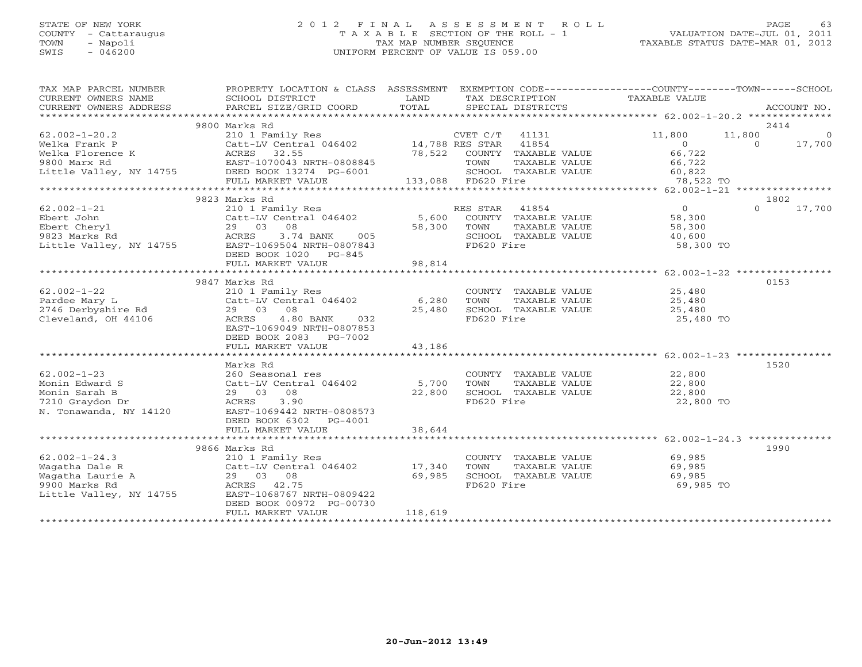# STATE OF NEW YORK 2 0 1 2 F I N A L A S S E S S M E N T R O L L PAGE 63 COUNTY - Cattaraugus T A X A B L E SECTION OF THE ROLL - 1 VALUATION DATE-JUL 01, 2011 TOWN - Napoli TAX MAP NUMBER SEQUENCE TAXABLE STATUS DATE-MAR 01, 2012 SWIS - 046200 UNIFORM PERCENT OF VALUE IS 059.00UNIFORM PERCENT OF VALUE IS 059.00

| TAX MAP PARCEL NUMBER   | PROPERTY LOCATION & CLASS ASSESSMENT EXEMPTION CODE---------------COUNTY-------TOWN------SCHOOL |         |                               |                |                    |
|-------------------------|-------------------------------------------------------------------------------------------------|---------|-------------------------------|----------------|--------------------|
| CURRENT OWNERS NAME     | SCHOOL DISTRICT                                                                                 | LAND    | TAX DESCRIPTION TAXABLE VALUE |                |                    |
| CURRENT OWNERS ADDRESS  | PARCEL SIZE/GRID COORD                                                                          | TOTAL   | SPECIAL DISTRICTS             |                | ACCOUNT NO.        |
|                         |                                                                                                 |         |                               |                |                    |
|                         | 9800 Marks Rd                                                                                   |         |                               |                | 2414               |
| $62.002 - 1 - 20.2$     | 210 1 Family Res                                                                                |         | CVET C/T<br>41131             | 11,800         | 11,800<br>$\Omega$ |
| Welka Frank P           | Catt-LV Central 046402 14,788 RES STAR                                                          |         | 41854                         | $\circ$        | $\Omega$<br>17,700 |
| Welka Florence K        | 32.55<br>ACRES                                                                                  | 78,522  | COUNTY TAXABLE VALUE          | 66,722         |                    |
| 9800 Marx Rd            |                                                                                                 |         | TOWN<br>TAXABLE VALUE         | 66,722         |                    |
| Little Valley, NY 14755 | EAST-1070043 NRTH-00000040<br>4755 DEED BOOK 13274 PG-6001                                      |         | SCHOOL TAXABLE VALUE          | 60,822         |                    |
|                         | FULL MARKET VALUE                                                                               |         | 133,088 FD620 Fire            | 78,522 TO      |                    |
|                         |                                                                                                 |         |                               |                |                    |
|                         | 9823 Marks Rd                                                                                   |         |                               |                | 1802               |
| $62.002 - 1 - 21$       | 210 1 Family Res                                                                                |         | RES STAR 41854                | $\overline{0}$ | $\Omega$<br>17,700 |
| Ebert John              | Catt-LV Central 046402                                                                          | 5,600   | COUNTY TAXABLE VALUE          | 58,300         |                    |
|                         |                                                                                                 |         |                               |                |                    |
| Ebert Cheryl            | 29 03<br>08                                                                                     | 58,300  | TOWN<br>TAXABLE VALUE         | 58,300         |                    |
| 9823 Marks Rd           | ACRES<br>3.74 BANK<br>005                                                                       |         | SCHOOL TAXABLE VALUE          | 40,600         |                    |
| Little Valley, NY 14755 | EAST-1069504 NRTH-0807843                                                                       |         | FD620 Fire                    | 58,300 TO      |                    |
|                         | DEED BOOK 1020 PG-845                                                                           |         |                               |                |                    |
|                         | FULL MARKET VALUE                                                                               | 98,814  |                               |                |                    |
|                         |                                                                                                 |         |                               |                |                    |
|                         | 9847 Marks Rd                                                                                   |         |                               |                | 0153               |
| $62.002 - 1 - 22$       | 210 1 Family Res                                                                                |         | COUNTY TAXABLE VALUE          | 25,480         |                    |
| Pardee Mary L           | Catt-LV Central 046402                                                                          | 6,280   | TOWN<br>TAXABLE VALUE         | 25,480         |                    |
| 2746 Derbyshire Rd      | 29 03<br>08                                                                                     | 25,480  | SCHOOL TAXABLE VALUE          | 25,480         |                    |
| Cleveland, OH 44106     | ACRES<br>4.80 BANK<br>032                                                                       |         | FD620 Fire                    | 25,480 TO      |                    |
|                         | EAST-1069049 NRTH-0807853                                                                       |         |                               |                |                    |
|                         | DEED BOOK 2083 PG-7002                                                                          |         |                               |                |                    |
|                         | FULL MARKET VALUE                                                                               | 43,186  |                               |                |                    |
|                         |                                                                                                 |         |                               |                |                    |
|                         | Marks Rd                                                                                        |         |                               |                | 1520               |
| $62.002 - 1 - 23$       | 260 Seasonal res                                                                                |         | COUNTY TAXABLE VALUE          | 22,800         |                    |
| Monin Edward S          | Catt-LV Central 046402                                                                          | 5,700   | TOWN<br>TAXABLE VALUE         | 22,800         |                    |
| Monin Sarah B           | 29 03 08                                                                                        | 22,800  | SCHOOL TAXABLE VALUE          | 22,800         |                    |
| 7210 Graydon Dr         | 3.90<br>ACRES                                                                                   |         | FD620 Fire                    | 22,800 TO      |                    |
| N. Tonawanda, NY 14120  | EAST-1069442 NRTH-0808573                                                                       |         |                               |                |                    |
|                         | DEED BOOK 6302<br>PG-4001                                                                       |         |                               |                |                    |
|                         | FULL MARKET VALUE                                                                               | 38,644  |                               |                |                    |
|                         |                                                                                                 |         |                               |                |                    |
|                         | 9866 Marks Rd                                                                                   |         |                               |                | 1990               |
| $62.002 - 1 - 24.3$     | 210 1 Family Res                                                                                |         | COUNTY TAXABLE VALUE          | 69,985         |                    |
| Wagatha Dale R          | Catt-LV Central 046402                                                                          | 17,340  | TOWN<br>TAXABLE VALUE         | 69,985         |                    |
| Waqatha Laurie A        | 29 03 08                                                                                        | 69,985  | SCHOOL TAXABLE VALUE          | 69,985         |                    |
| 9900 Marks Rd           | ACRES 42.75                                                                                     |         | FD620 Fire                    | 69,985 TO      |                    |
| Little Valley, NY 14755 | EAST-1068767 NRTH-0809422                                                                       |         |                               |                |                    |
|                         | DEED BOOK 00972 PG-00730                                                                        |         |                               |                |                    |
|                         | FULL MARKET VALUE                                                                               | 118,619 |                               |                |                    |
|                         |                                                                                                 |         |                               |                |                    |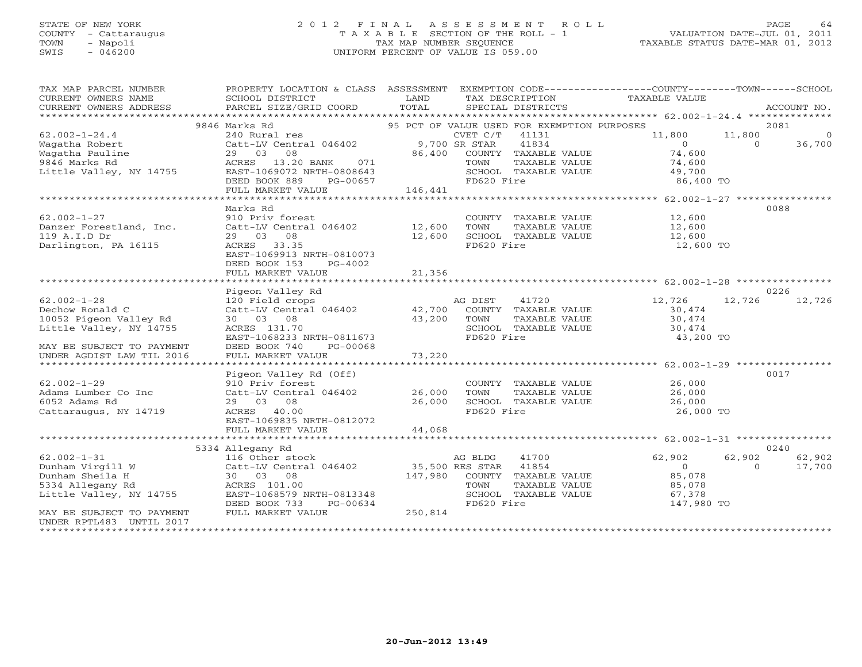# STATE OF NEW YORK 2 0 1 2 F I N A L A S S E S S M E N T R O L L PAGE 64 COUNTY - Cattaraugus T A X A B L E SECTION OF THE ROLL - 1 VALUATION DATE-JUL 01, 2011 TOWN - Napoli TAX MAP NUMBER SEQUENCE TAXABLE STATUS DATE-MAR 01, 2012 SWIS - 046200 UNIFORM PERCENT OF VALUE IS 059.00UNIFORM PERCENT OF VALUE IS 059.00

| TAX MAP PARCEL NUMBER<br>CURRENT OWNERS NAME<br>CURRENT OWNERS ADDRESS                                                 | SCHOOL DISTRICT<br>PARCEL SIZE/GRID COORD                                                                                                                               | LAND<br>TOTAL              | TAX DESCRIPTION TAXABLE VALUE<br>SPECIAL DISTRICTS                                                                               | PROPERTY LOCATION & CLASS ASSESSMENT EXEMPTION CODE---------------COUNTY-------TOWN------SCHOOL | ACCOUNT NO.                      |
|------------------------------------------------------------------------------------------------------------------------|-------------------------------------------------------------------------------------------------------------------------------------------------------------------------|----------------------------|----------------------------------------------------------------------------------------------------------------------------------|-------------------------------------------------------------------------------------------------|----------------------------------|
| $62.002 - 1 - 24.4$<br>Waqatha Robert<br>Wagatha Pauline<br>9846 Marks Rd<br>Little Valley, NY 14755                   | 9846 Marks Rd<br>29 03 08<br>071<br>ACRES 13.20 BANK<br>EAST-1069072 NRTH-0808643<br>DEED BOOK 889<br>PG-00657<br>FULL MARKET VALUE                                     | 146,441                    | 86,400 COUNTY TAXABLE VALUE<br>1 TOWN TAXABLE VALUE<br>3 SCHOOL TAXABLE VALUE<br>7 FD620 Fire                                    | 11,800<br>11,800<br>$\overline{0}$<br>$\Omega$<br>74,600<br>74,600<br>49,700<br>86,400 TO       | 2081<br>$\overline{0}$<br>36,700 |
| $62.002 - 1 - 27$<br>Danzer Forestland, Inc.<br>119 A.I.D Dr<br>Darlington, PA 16115                                   | Marks Rd<br>910 Priv forest<br>Catt-LV Central 046402 12,600<br>29 03 08<br>ACRES 33.35<br>EAST-1069913 NRTH-0810073<br>DEED BOOK 153<br>$PG-4002$<br>FULL MARKET VALUE | 12,600<br>21,356           | COUNTY TAXABLE VALUE<br>TOWN<br>TAXABLE VALUE<br>SCHOOL TAXABLE VALUE<br>FD620 Fire                                              | 12,600<br>12,600<br>12,600<br>12,600 TO                                                         | 0088                             |
|                                                                                                                        | Pigeon Valley Rd                                                                                                                                                        |                            |                                                                                                                                  |                                                                                                 | 0226                             |
| $62.002 - 1 - 28$<br>Dechow Ronald C<br>10052 Pigeon Valley Rd<br>Little Valley, NY 14755<br>MAY BE SUBJECT TO PAYMENT | 120 Field crops<br>Catt-LV Central 046402 42,700 COUNTY TAXABLE VALUE<br>30 03 08<br>ACRES 131.70<br>EAST-1068233 NRTH-0811673<br>DEED BOOK 740<br>PG-00068             | 43,200                     | AG DIST<br>41720<br>TOWN<br>TAXABLE VALUE<br>SCHOOL TAXABLE VALUE<br>FD620 Fire                                                  | 12,726<br>12,726<br>30,474<br>30,474<br>30,474<br>43,200 TO                                     | 12,726                           |
| UNDER AGDIST LAW TIL 2016                                                                                              | FULL MARKET VALUE                                                                                                                                                       | 73,220                     |                                                                                                                                  |                                                                                                 |                                  |
| $62.002 - 1 - 29$<br>Adams Lumber Co Inc<br>6052 Adams Rd<br>Cattaraugus, NY 14719                                     | Pigeon Valley Rd (Off)<br>910 Priv forest<br>Catt-LV Central 046402<br>29 03 08<br>ACRES 40.00<br>EAST-1069835 NRTH-0812072<br>FULL MARKET VALUE                        | 26,000<br>26,000<br>44,068 | COUNTY TAXABLE VALUE<br>TOWN<br>TAXABLE VALUE<br>SCHOOL TAXABLE VALUE<br>FD620 Fire                                              | 26,000<br>26,000<br>26,000<br>26,000 TO                                                         | 0017                             |
|                                                                                                                        |                                                                                                                                                                         |                            |                                                                                                                                  |                                                                                                 |                                  |
| $62.002 - 1 - 31$<br>Dunham Virgill W<br>Dunham Sheila H<br>5334 Allegany Rd<br>Little Valley, NY 14755                | 5334 Allegany Rd<br>116 Other stock<br>Catt-LV Central 046402<br>Catt-LV Centr<br>30 03 08<br>ACRES 101.00<br>EAST-1068579 NRTH-0813348<br>DEED BOOK 733<br>PG-00634    | 147,980                    | 41700<br>AG BLDG<br>35,500 RES STAR 41854<br>COUNTY TAXABLE VALUE<br>TOWN<br>TAXABLE VALUE<br>SCHOOL TAXABLE VALUE<br>FD620 Fire | 62,902<br>62,902<br>$\overline{0}$<br>$\Omega$<br>85,078<br>85,078<br>67,378<br>147,980 TO      | 0240<br>62,902<br>17,700         |
| MAY BE SUBJECT TO PAYMENT<br>UNDER RPTL483 UNTIL 2017                                                                  | FULL MARKET VALUE                                                                                                                                                       | 250,814                    |                                                                                                                                  |                                                                                                 |                                  |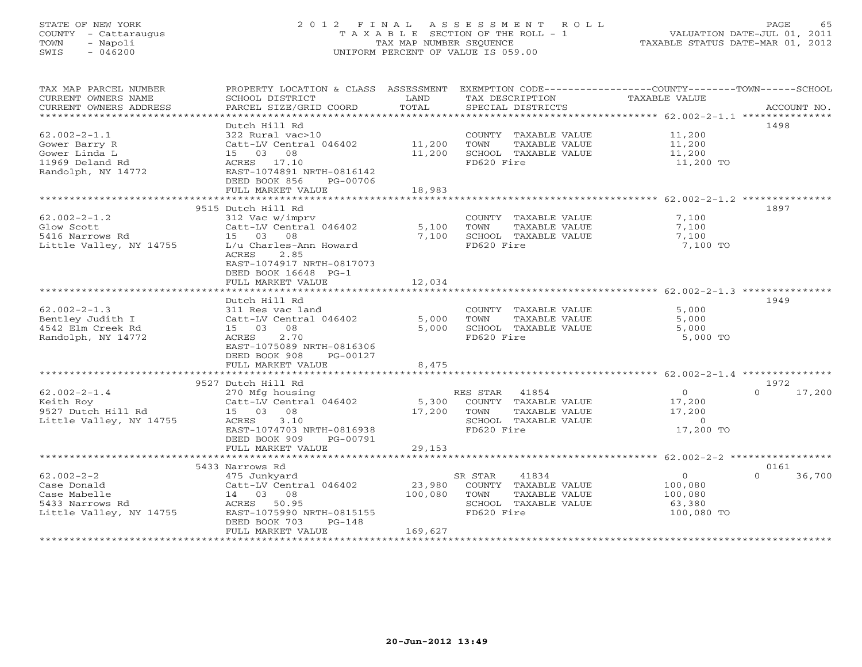# STATE OF NEW YORK 2 0 1 2 F I N A L A S S E S S M E N T R O L L PAGE 65 COUNTY - Cattaraugus T A X A B L E SECTION OF THE ROLL - 1 VALUATION DATE-JUL 01, 2011 TOWN - Napoli TAX MAP NUMBER SEQUENCE TAXABLE STATUS DATE-MAR 01, 2012 SWIS - 046200 UNIFORM PERCENT OF VALUE IS 059.00UNIFORM PERCENT OF VALUE IS 059.00

| TAX MAP PARCEL NUMBER<br>CURRENT OWNERS NAME<br>CURRENT OWNERS ADDRESS | PROPERTY LOCATION & CLASS ASSESSMENT<br>SCHOOL DISTRICT<br>PARCEL SIZE/GRID COORD | LAND<br>TOTAL | TAX DESCRIPTION<br>SPECIAL DISTRICTS          | EXEMPTION CODE----------------COUNTY-------TOWN------SCHOOL<br><b>TAXABLE VALUE</b><br>ACCOUNT NO. |
|------------------------------------------------------------------------|-----------------------------------------------------------------------------------|---------------|-----------------------------------------------|----------------------------------------------------------------------------------------------------|
| ************************                                               |                                                                                   |               |                                               |                                                                                                    |
|                                                                        | Dutch Hill Rd                                                                     |               |                                               | 1498                                                                                               |
| $62.002 - 2 - 1.1$<br>Gower Barry R                                    | 322 Rural vac>10<br>Catt-LV Central 046402                                        | 11,200        | COUNTY TAXABLE VALUE<br>TOWN<br>TAXABLE VALUE | 11,200<br>11,200                                                                                   |
| Gower Linda L                                                          | 15 03 08                                                                          | 11,200        | SCHOOL TAXABLE VALUE                          | 11,200                                                                                             |
| 11969 Deland Rd                                                        | ACRES 17.10                                                                       |               | FD620 Fire                                    | 11,200 TO                                                                                          |
| Randolph, NY 14772                                                     | EAST-1074891 NRTH-0816142                                                         |               |                                               |                                                                                                    |
|                                                                        | DEED BOOK 856<br>PG-00706                                                         |               |                                               |                                                                                                    |
|                                                                        | FULL MARKET VALUE                                                                 | 18,983        |                                               |                                                                                                    |
|                                                                        | ************************                                                          | ************  |                                               |                                                                                                    |
|                                                                        | 9515 Dutch Hill Rd                                                                |               |                                               | 1897                                                                                               |
| $62.002 - 2 - 1.2$                                                     | 312 Vac w/imprv                                                                   |               | COUNTY TAXABLE VALUE                          | 7,100                                                                                              |
| Glow Scott                                                             | Catt-LV Central 046402                                                            | 5,100         | TOWN<br>TAXABLE VALUE                         | 7,100                                                                                              |
| 5416 Narrows Rd                                                        | 15 03<br>08                                                                       | 7,100         | SCHOOL TAXABLE VALUE                          | 7,100                                                                                              |
| Little Valley, NY 14755                                                | L/u Charles-Ann Howard                                                            |               | FD620 Fire                                    | 7,100 TO                                                                                           |
|                                                                        | ACRES<br>2.85                                                                     |               |                                               |                                                                                                    |
|                                                                        | EAST-1074917 NRTH-0817073<br>DEED BOOK 16648 PG-1                                 |               |                                               |                                                                                                    |
|                                                                        | FULL MARKET VALUE                                                                 | 12,034        |                                               |                                                                                                    |
|                                                                        |                                                                                   |               |                                               |                                                                                                    |
|                                                                        | Dutch Hill Rd                                                                     |               |                                               | 1949                                                                                               |
| $62.002 - 2 - 1.3$                                                     | 311 Res vac land                                                                  |               | COUNTY TAXABLE VALUE                          | 5,000                                                                                              |
| Bentley Judith I                                                       | Catt-LV Central 046402                                                            | 5,000         | TAXABLE VALUE<br>TOWN                         | 5,000                                                                                              |
| 4542 Elm Creek Rd                                                      | 15 03 08                                                                          | 5,000         | SCHOOL TAXABLE VALUE                          | 5,000                                                                                              |
| Randolph, NY 14772                                                     | 2.70<br>ACRES                                                                     |               | FD620 Fire                                    | 5,000 TO                                                                                           |
|                                                                        | EAST-1075089 NRTH-0816306                                                         |               |                                               |                                                                                                    |
|                                                                        | DEED BOOK 908<br>PG-00127                                                         |               |                                               |                                                                                                    |
|                                                                        | FULL MARKET VALUE                                                                 | 8,475         |                                               |                                                                                                    |
|                                                                        | 9527 Dutch Hill Rd                                                                |               |                                               | 1972                                                                                               |
| $62.002 - 2 - 1.4$                                                     | 270 Mfg housing                                                                   |               | RES STAR 41854                                | $\Omega$<br>17,200<br>$\Omega$                                                                     |
| Keith Roy                                                              | Catt-LV Central 046402                                                            |               | 5,300 COUNTY TAXABLE VALUE                    | 17,200                                                                                             |
| 9527 Dutch Hill Rd                                                     | 15 03 08                                                                          | 17,200        | TOWN<br>TAXABLE VALUE                         | 17,200                                                                                             |
| Little Valley, NY 14755                                                | ACRES<br>3.10                                                                     |               | SCHOOL TAXABLE VALUE                          | $\Omega$                                                                                           |
|                                                                        | EAST-1074703 NRTH-0816938                                                         |               | FD620 Fire                                    | 17,200 TO                                                                                          |
|                                                                        | DEED BOOK 909<br>PG-00791                                                         |               |                                               |                                                                                                    |
|                                                                        | FULL MARKET VALUE                                                                 | 29,153        |                                               |                                                                                                    |
|                                                                        |                                                                                   |               |                                               |                                                                                                    |
|                                                                        | 5433 Narrows Rd                                                                   |               |                                               | 0161                                                                                               |
| $62.002 - 2 - 2$                                                       | 475 Junkyard                                                                      |               | 41834<br>SR STAR                              | $\circ$<br>$\Omega$<br>36,700                                                                      |
| Case Donald                                                            | Catt-LV Central 046402                                                            | 23,980        | COUNTY TAXABLE VALUE                          | 100,080                                                                                            |
| Case Mabelle                                                           | 14 03 08                                                                          | 100,080       | TOWN<br>TAXABLE VALUE                         | 100,080                                                                                            |
| 5433 Narrows Rd<br>Little Valley, NY 14755                             | ACRES 50.95<br>EAST-1075990 NRTH-0815155                                          |               | SCHOOL TAXABLE VALUE<br>FD620 Fire            | 63,380<br>100,080 TO                                                                               |
|                                                                        | DEED BOOK 703<br>$PG-148$                                                         |               |                                               |                                                                                                    |
|                                                                        | FULL MARKET VALUE                                                                 | 169,627       |                                               |                                                                                                    |
|                                                                        |                                                                                   |               |                                               |                                                                                                    |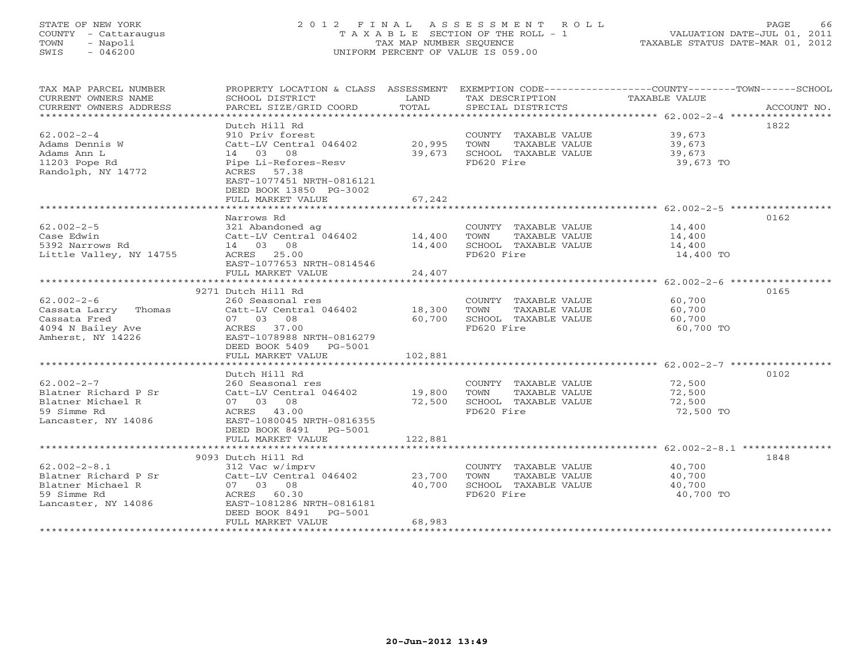# STATE OF NEW YORK 2 0 1 2 F I N A L A S S E S S M E N T R O L L PAGE 66 COUNTY - Cattaraugus T A X A B L E SECTION OF THE ROLL - 1 VALUATION DATE-JUL 01, 2011 TOWN - Napoli TAX MAP NUMBER SEQUENCE TAXABLE STATUS DATE-MAR 01, 2012 SWIS - 046200 UNIFORM PERCENT OF VALUE IS 059.00UNIFORM PERCENT OF VALUE IS 059.00

| TAX MAP PARCEL NUMBER<br>CURRENT OWNERS NAME<br>CURRENT OWNERS ADDRESS                                | PROPERTY LOCATION & CLASS ASSESSMENT<br>SCHOOL DISTRICT<br>PARCEL SIZE/GRID COORD                                                                                                          | LAND<br>TOTAL              | TAX DESCRIPTION<br>SPECIAL DISTRICTS                                                | EXEMPTION CODE-----------------COUNTY-------TOWN------SCHOOL<br>TAXABLE VALUE<br>ACCOUNT NO. |
|-------------------------------------------------------------------------------------------------------|--------------------------------------------------------------------------------------------------------------------------------------------------------------------------------------------|----------------------------|-------------------------------------------------------------------------------------|----------------------------------------------------------------------------------------------|
| $62.002 - 2 - 4$<br>Adams Dennis W<br>Adams Ann L<br>11203 Pope Rd<br>Randolph, NY 14772              | Dutch Hill Rd<br>910 Priv forest<br>Catt-LV Central 046402<br>14 03 08<br>Pipe Li-Refores-Resv<br>ACRES 57.38<br>EAST-1077451 NRTH-0816121<br>DEED BOOK 13850 PG-3002<br>FULL MARKET VALUE | 20,995<br>39,673<br>67,242 | COUNTY TAXABLE VALUE<br>TOWN<br>TAXABLE VALUE<br>SCHOOL TAXABLE VALUE<br>FD620 Fire | 1822<br>39,673<br>39,673<br>39,673<br>39,673 TO                                              |
|                                                                                                       | ************************                                                                                                                                                                   | * * * * * * * * * * * *    |                                                                                     | ******************************* 62.002-2-5 ****************                                  |
| $62.002 - 2 - 5$<br>Case Edwin<br>5392 Narrows Rd<br>Little Valley, NY 14755                          | Narrows Rd<br>321 Abandoned ag<br>Catt-LV Central 046402<br>14 03 08<br>ACRES 25.00<br>EAST-1077653 NRTH-0814546                                                                           | 14,400<br>14,400           | COUNTY TAXABLE VALUE<br>TOWN<br>TAXABLE VALUE<br>SCHOOL TAXABLE VALUE<br>FD620 Fire | 0162<br>14,400<br>14,400<br>14,400<br>14,400 TO                                              |
|                                                                                                       | FULL MARKET VALUE                                                                                                                                                                          | 24,407                     |                                                                                     |                                                                                              |
|                                                                                                       |                                                                                                                                                                                            |                            |                                                                                     |                                                                                              |
| $62.002 - 2 - 6$<br>Cassata Larry Thomas<br>Cassata Fred<br>4094 N Bailey Ave<br>Amherst, NY 14226    | 9271 Dutch Hill Rd<br>260 Seasonal res<br>Catt-LV Central 046402<br>07 03 08<br>ACRES 37.00<br>EAST-1078988 NRTH-0816279<br>DEED BOOK 5409 PG-5001                                         | 18,300<br>60,700           | COUNTY TAXABLE VALUE<br>TAXABLE VALUE<br>TOWN<br>SCHOOL TAXABLE VALUE<br>FD620 Fire | 0165<br>60,700<br>60,700<br>60,700<br>60,700 TO                                              |
|                                                                                                       | FULL MARKET VALUE                                                                                                                                                                          | 102,881                    |                                                                                     |                                                                                              |
| $62.002 - 2 - 7$<br>Blatner Richard P Sr<br>Blatner Michael R<br>59 Simme Rd<br>Lancaster, NY 14086   | Dutch Hill Rd<br>260 Seasonal res<br>Catt-LV Central 046402<br>07 03 08<br>ACRES 43.00<br>EAST-1080045 NRTH-0816355<br>DEED BOOK 8491    PG-5001                                           | 19,800<br>72,500           | COUNTY TAXABLE VALUE<br>TOWN<br>TAXABLE VALUE<br>SCHOOL TAXABLE VALUE<br>FD620 Fire | 0102<br>72,500<br>72,500<br>72,500<br>72,500 TO                                              |
|                                                                                                       | FULL MARKET VALUE                                                                                                                                                                          | 122,881                    |                                                                                     |                                                                                              |
|                                                                                                       | 9093 Dutch Hill Rd                                                                                                                                                                         |                            |                                                                                     | 1848                                                                                         |
| $62.002 - 2 - 8.1$<br>Blatner Richard P Sr<br>Blatner Michael R<br>59 Simme Rd<br>Lancaster, NY 14086 | 312 Vac w/imprv<br>Catt-LV Central 046402<br>07 03 08<br>ACRES 60.30<br>EAST-1081286 NRTH-0816181<br>DEED BOOK 8491 PG-5001<br>FULL MARKET VALUE                                           | 23,700<br>40,700<br>68,983 | COUNTY TAXABLE VALUE<br>TAXABLE VALUE<br>TOWN<br>SCHOOL TAXABLE VALUE<br>FD620 Fire | 40,700<br>40,700<br>40,700<br>40,700 TO                                                      |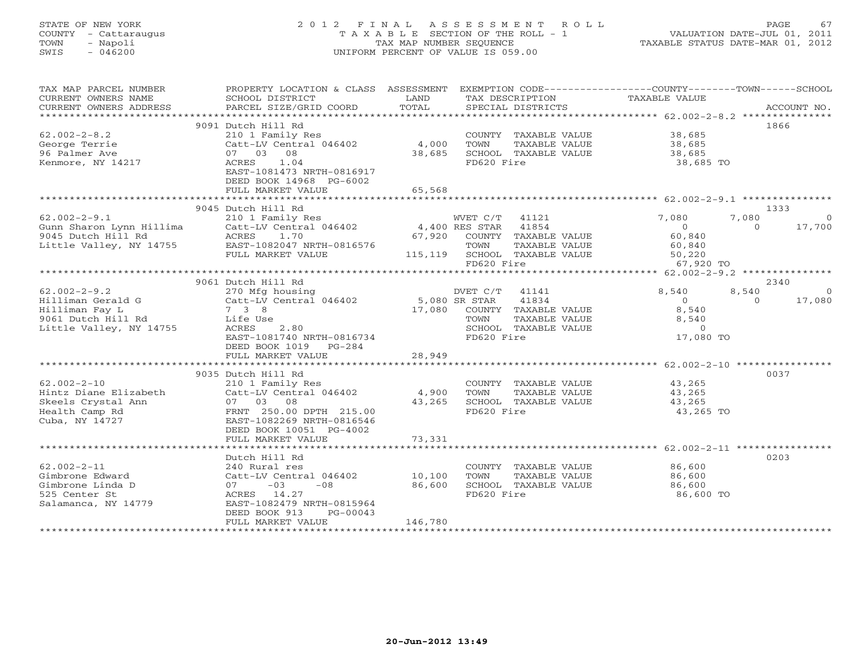# STATE OF NEW YORK 2 0 1 2 F I N A L A S S E S S M E N T R O L L PAGE 67 COUNTY - Cattaraugus T A X A B L E SECTION OF THE ROLL - 1 VALUATION DATE-JUL 01, 2011 TOWN - Napoli TAX MAP NUMBER SEQUENCE TAXABLE STATUS DATE-MAR 01, 2012 SWIS - 046200 UNIFORM PERCENT OF VALUE IS 059.00UNIFORM PERCENT OF VALUE IS 059.00

| TAX MAP PARCEL NUMBER         | PROPERTY LOCATION & CLASS ASSESSMENT EXEMPTION CODE---------------COUNTY-------TOWN------SCHOOL                                                                                                                                                        |         |                                                                                       |                                                         |               |
|-------------------------------|--------------------------------------------------------------------------------------------------------------------------------------------------------------------------------------------------------------------------------------------------------|---------|---------------------------------------------------------------------------------------|---------------------------------------------------------|---------------|
| CURRENT OWNERS NAME           | SCHOOL DISTRICT                                                                                                                                                                                                                                        | LAND    | TAX DESCRIPTION                                                                       | TAXABLE VALUE                                           |               |
| CURRENT OWNERS ADDRESS        | PARCEL SIZE/GRID COORD                                                                                                                                                                                                                                 | TOTAL   | SPECIAL DISTRICTS                                                                     |                                                         | ACCOUNT NO.   |
|                               |                                                                                                                                                                                                                                                        |         |                                                                                       |                                                         |               |
|                               | 9091 Dutch Hill Rd                                                                                                                                                                                                                                     |         |                                                                                       |                                                         | 1866          |
| $62.002 - 2 - 8.2$            | 210 1 Family Res                                                                                                                                                                                                                                       |         | COUNTY TAXABLE VALUE<br>TOWN     TAXABLE VALUE                                        | 38,685<br>38,685                                        |               |
| George Terrie                 | $210$ T Tamily RCD<br>Catt-LV Central 046402 4,000                                                                                                                                                                                                     |         |                                                                                       |                                                         |               |
| 96 Palmer Ave                 | 07 03 08                                                                                                                                                                                                                                               | 38,685  | SCHOOL TAXABLE VALUE                                                                  | 38,685                                                  |               |
| Kenmore, NY 14217             | ACRES 1.04                                                                                                                                                                                                                                             |         | FD620 Fire                                                                            | 38,685 TO                                               |               |
|                               | EAST-1081473 NRTH-0816917                                                                                                                                                                                                                              |         |                                                                                       |                                                         |               |
|                               | DEED BOOK 14968 PG-6002                                                                                                                                                                                                                                |         |                                                                                       |                                                         |               |
|                               | FULL MARKET VALUE                                                                                                                                                                                                                                      | 65,568  |                                                                                       |                                                         |               |
|                               |                                                                                                                                                                                                                                                        |         |                                                                                       |                                                         |               |
|                               | 9045 Dutch Hill Rd                                                                                                                                                                                                                                     |         |                                                                                       |                                                         | 1333          |
| $62.002 - 2 - 9.1$            | 210 1 Family Res                                                                                                                                                                                                                                       |         | WVET C/T 41121                                                                        | 7,080<br>7,080                                          | $\sim$ 0      |
|                               |                                                                                                                                                                                                                                                        |         |                                                                                       |                                                         | $0 \t 17,700$ |
|                               |                                                                                                                                                                                                                                                        |         | 67,920 COUNTY TAXABLE VALUE                                                           | $0$<br>60,840                                           |               |
|                               |                                                                                                                                                                                                                                                        |         |                                                                                       | 60,840                                                  |               |
|                               | FULL MARKET VALUE                                                                                                                                                                                                                                      |         |                                                                                       |                                                         |               |
|                               |                                                                                                                                                                                                                                                        |         | TOWN TAXABLE VALUE 50,220<br>115,119 SCHOOL TAXABLE VALUE 50,220<br>57,920 EDS20 Eire | 67,920 TO                                               |               |
|                               |                                                                                                                                                                                                                                                        |         |                                                                                       |                                                         |               |
|                               |                                                                                                                                                                                                                                                        |         |                                                                                       |                                                         |               |
|                               | 9061 Dutch Hill Rd                                                                                                                                                                                                                                     |         |                                                                                       | 8,540<br>8,540                                          | 2340          |
|                               | 62.002-2-9.2<br>Hilliman Gerald G<br>Hilliman Fay L<br>Hilliman Fay L<br>7 3 8<br>17,080 COUNTY<br>16 10051 Dutch Hill Rd<br>16 10051 Dutch Hill Rd<br>16 17,080 COUNTY<br>16 17,080 COUNTY<br>16 17,080 COUNTY<br>16 17,080 COUNTY<br>16 17,080 COUNT |         | DVET C/T 41141                                                                        |                                                         | $\sim$ 0      |
|                               |                                                                                                                                                                                                                                                        |         | 41834                                                                                 | $\overline{0}$                                          | $0 \t 17,080$ |
|                               |                                                                                                                                                                                                                                                        |         | 17,080 COUNTY TAXABLE VALUE                                                           | 8,540                                                   |               |
|                               |                                                                                                                                                                                                                                                        |         |                                                                                       |                                                         |               |
| Little Valley, NY 14755 ACRES | 2.80                                                                                                                                                                                                                                                   |         | SCHOOL TAXABLE VALUE                                                                  | TAXABLE VALUE 8,540<br>TAXABLE VALUE 0<br>ire 17,080 TO |               |
|                               | EAST-1081740 NRTH-0816734                                                                                                                                                                                                                              |         | FD620 Fire                                                                            |                                                         |               |
|                               | DEED BOOK 1019    PG-284                                                                                                                                                                                                                               |         |                                                                                       |                                                         |               |
|                               |                                                                                                                                                                                                                                                        |         |                                                                                       |                                                         |               |
|                               |                                                                                                                                                                                                                                                        |         |                                                                                       |                                                         |               |
|                               | 9035 Dutch Hill Rd                                                                                                                                                                                                                                     |         |                                                                                       |                                                         | 0037          |
| $62.002 - 2 - 10$             | 210 1 Family Res                                                                                                                                                                                                                                       |         | COUNTY TAXABLE VALUE 43,265                                                           |                                                         |               |
|                               | Catt-LV Central 046402 4,900                                                                                                                                                                                                                           |         |                                                                                       | 43,265<br>43,265                                        |               |
|                               |                                                                                                                                                                                                                                                        | 43,265  | TOWN      TAXABLE VALUE<br>SCHOOL   TAXABLE VALUE                                     |                                                         |               |
|                               | Hintz Diane Elizabeth Catt-LV Central 046402<br>Skeels Crystal Ann 07 03 08<br>Health Camp Rd FRNT 250.00 DPTH 215.00<br>Cuba, NY 14727 EAST-1082269 NRTH-0816546                                                                                      |         | FD620 Fire                                                                            | 43,265 TO                                               |               |
|                               |                                                                                                                                                                                                                                                        |         |                                                                                       |                                                         |               |
|                               | DEED BOOK 10051 PG-4002                                                                                                                                                                                                                                |         |                                                                                       |                                                         |               |
|                               | FULL MARKET VALUE                                                                                                                                                                                                                                      | 73,331  |                                                                                       |                                                         |               |
|                               |                                                                                                                                                                                                                                                        |         |                                                                                       |                                                         |               |
|                               | Dutch Hill Rd                                                                                                                                                                                                                                          |         |                                                                                       |                                                         | 0203          |
| $62.002 - 2 - 11$             | 240 Rural res                                                                                                                                                                                                                                          |         | COUNTY TAXABLE VALUE                                                                  | 86,600                                                  |               |
| Gimbrone Edward               | Catt-LV Central 046402 10,100                                                                                                                                                                                                                          |         | TOWN<br>TAXABLE VALUE                                                                 | 86,600                                                  |               |
| Gimbrone Linda D              | $07 -03$<br>$-08$                                                                                                                                                                                                                                      | 86,600  | SCHOOL TAXABLE VALUE                                                                  | 86,600                                                  |               |
| 525 Center St                 | ACRES 14.27                                                                                                                                                                                                                                            |         | FD620 Fire                                                                            | 86,600 TO                                               |               |
| Salamanca, NY 14779           | EAST-1082479 NRTH-0815964                                                                                                                                                                                                                              |         |                                                                                       |                                                         |               |
|                               | DEED BOOK 913<br>$PG-00043$                                                                                                                                                                                                                            |         |                                                                                       |                                                         |               |
|                               | FULL MARKET VALUE                                                                                                                                                                                                                                      | 146,780 |                                                                                       |                                                         |               |
|                               |                                                                                                                                                                                                                                                        |         |                                                                                       |                                                         |               |
|                               |                                                                                                                                                                                                                                                        |         |                                                                                       |                                                         |               |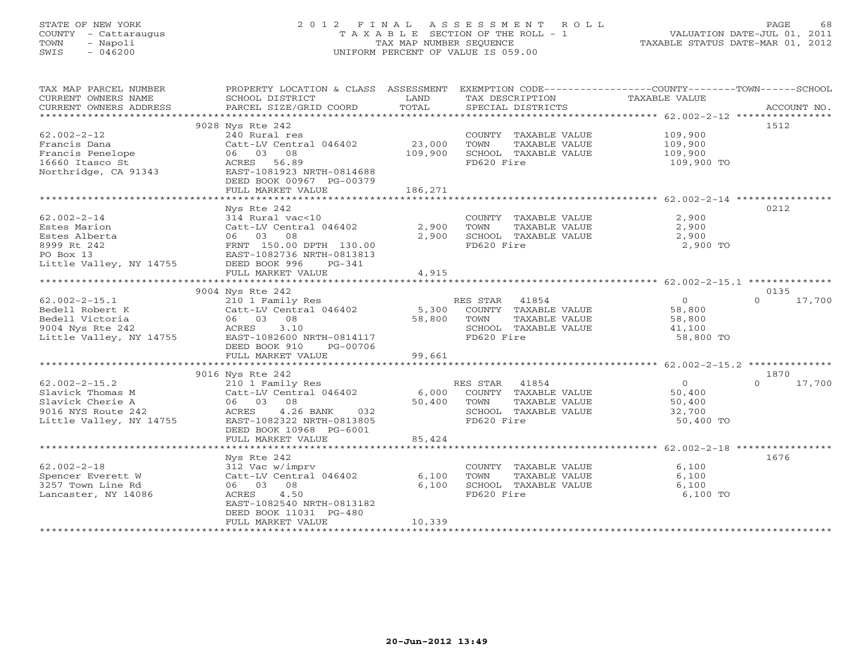# STATE OF NEW YORK 2 0 1 2 F I N A L A S S E S S M E N T R O L L PAGE 68 COUNTY - Cattaraugus T A X A B L E SECTION OF THE ROLL - 1 VALUATION DATE-JUL 01, 2011 TOWN - Napoli TAX MAP NUMBER SEQUENCE TAXABLE STATUS DATE-MAR 01, 2012 SWIS - 046200 UNIFORM PERCENT OF VALUE IS 059.00UNIFORM PERCENT OF VALUE IS 059.00

| 9028 Nys Rte 242<br>1512<br>$62.002 - 2 - 12$<br>240 Rural res<br>109,900<br>COUNTY TAXABLE VALUE<br>23,000<br>109,900<br>Francis Dana<br>Catt-LV Central 046402<br>TAXABLE VALUE<br>TOWN<br>06 03 08<br>Francis Penelope<br>16660 Thero St<br>109,900<br>SCHOOL TAXABLE VALUE<br>109,900<br>16660 Itasco St<br>FD620 Fire<br>ACRES 56.89<br>109,900 TO<br>Northridge, CA 91343<br>EAST-1081923 NRTH-0814688<br>DEED BOOK 00967 PG-00379<br>FULL MARKET VALUE<br>186,271<br>0212<br>Nys Rte 242<br>314 Rural vac<10<br>$62.002 - 2 - 14$<br>2,900<br>COUNTY TAXABLE VALUE<br>Catt-LV Central 046402<br>Estes Marion<br>2,900<br>TOWN<br>TAXABLE VALUE<br>2,900<br>Catt-LV Centi<br>06  03  08<br>Estes Alberta<br>2,900<br>SCHOOL TAXABLE VALUE<br>2,900<br>--<br>FRNT 150.00 DPTH 130.00<br>EAST-1082736 NRTH-0813813<br>8999 Rt 242<br>FD620 Fire<br>2,900 TO<br>PO Box 13<br>Little Valley, NY 14755 DEED BOOK 996<br>$PG-341$<br>FULL MARKET VALUE<br>4,915 |
|-----------------------------------------------------------------------------------------------------------------------------------------------------------------------------------------------------------------------------------------------------------------------------------------------------------------------------------------------------------------------------------------------------------------------------------------------------------------------------------------------------------------------------------------------------------------------------------------------------------------------------------------------------------------------------------------------------------------------------------------------------------------------------------------------------------------------------------------------------------------------------------------------------------------------------------------------------------------|
|                                                                                                                                                                                                                                                                                                                                                                                                                                                                                                                                                                                                                                                                                                                                                                                                                                                                                                                                                                 |
|                                                                                                                                                                                                                                                                                                                                                                                                                                                                                                                                                                                                                                                                                                                                                                                                                                                                                                                                                                 |
|                                                                                                                                                                                                                                                                                                                                                                                                                                                                                                                                                                                                                                                                                                                                                                                                                                                                                                                                                                 |
|                                                                                                                                                                                                                                                                                                                                                                                                                                                                                                                                                                                                                                                                                                                                                                                                                                                                                                                                                                 |
|                                                                                                                                                                                                                                                                                                                                                                                                                                                                                                                                                                                                                                                                                                                                                                                                                                                                                                                                                                 |
|                                                                                                                                                                                                                                                                                                                                                                                                                                                                                                                                                                                                                                                                                                                                                                                                                                                                                                                                                                 |
|                                                                                                                                                                                                                                                                                                                                                                                                                                                                                                                                                                                                                                                                                                                                                                                                                                                                                                                                                                 |
|                                                                                                                                                                                                                                                                                                                                                                                                                                                                                                                                                                                                                                                                                                                                                                                                                                                                                                                                                                 |
|                                                                                                                                                                                                                                                                                                                                                                                                                                                                                                                                                                                                                                                                                                                                                                                                                                                                                                                                                                 |
|                                                                                                                                                                                                                                                                                                                                                                                                                                                                                                                                                                                                                                                                                                                                                                                                                                                                                                                                                                 |
|                                                                                                                                                                                                                                                                                                                                                                                                                                                                                                                                                                                                                                                                                                                                                                                                                                                                                                                                                                 |
|                                                                                                                                                                                                                                                                                                                                                                                                                                                                                                                                                                                                                                                                                                                                                                                                                                                                                                                                                                 |
|                                                                                                                                                                                                                                                                                                                                                                                                                                                                                                                                                                                                                                                                                                                                                                                                                                                                                                                                                                 |
|                                                                                                                                                                                                                                                                                                                                                                                                                                                                                                                                                                                                                                                                                                                                                                                                                                                                                                                                                                 |
|                                                                                                                                                                                                                                                                                                                                                                                                                                                                                                                                                                                                                                                                                                                                                                                                                                                                                                                                                                 |
|                                                                                                                                                                                                                                                                                                                                                                                                                                                                                                                                                                                                                                                                                                                                                                                                                                                                                                                                                                 |
|                                                                                                                                                                                                                                                                                                                                                                                                                                                                                                                                                                                                                                                                                                                                                                                                                                                                                                                                                                 |
|                                                                                                                                                                                                                                                                                                                                                                                                                                                                                                                                                                                                                                                                                                                                                                                                                                                                                                                                                                 |
|                                                                                                                                                                                                                                                                                                                                                                                                                                                                                                                                                                                                                                                                                                                                                                                                                                                                                                                                                                 |
|                                                                                                                                                                                                                                                                                                                                                                                                                                                                                                                                                                                                                                                                                                                                                                                                                                                                                                                                                                 |
| 0135<br>9004 Nys Rte 242                                                                                                                                                                                                                                                                                                                                                                                                                                                                                                                                                                                                                                                                                                                                                                                                                                                                                                                                        |
| 210 1 Family Res<br>$62.002 - 2 - 15.1$<br>RES STAR 41854<br>$\overline{0}$<br>$\Omega$<br>17,700                                                                                                                                                                                                                                                                                                                                                                                                                                                                                                                                                                                                                                                                                                                                                                                                                                                               |
| Catt-LV Central 046402 5,300 COUNTY TAXABLE VALUE<br>Bedell Robert K<br>58,800                                                                                                                                                                                                                                                                                                                                                                                                                                                                                                                                                                                                                                                                                                                                                                                                                                                                                  |
| Bedell Victoria<br>06 03 08<br>58,800<br>TAXABLE VALUE<br>TOWN<br>58,800                                                                                                                                                                                                                                                                                                                                                                                                                                                                                                                                                                                                                                                                                                                                                                                                                                                                                        |
| SCHOOL TAXABLE VALUE<br>41,100                                                                                                                                                                                                                                                                                                                                                                                                                                                                                                                                                                                                                                                                                                                                                                                                                                                                                                                                  |
| FD620 Fire<br>58,800 TO                                                                                                                                                                                                                                                                                                                                                                                                                                                                                                                                                                                                                                                                                                                                                                                                                                                                                                                                         |
| DEED BOOK 910<br>PG-00706                                                                                                                                                                                                                                                                                                                                                                                                                                                                                                                                                                                                                                                                                                                                                                                                                                                                                                                                       |
| FULL MARKET VALUE<br>99,661                                                                                                                                                                                                                                                                                                                                                                                                                                                                                                                                                                                                                                                                                                                                                                                                                                                                                                                                     |
|                                                                                                                                                                                                                                                                                                                                                                                                                                                                                                                                                                                                                                                                                                                                                                                                                                                                                                                                                                 |
| 9016 Nys Rte 242<br>1870                                                                                                                                                                                                                                                                                                                                                                                                                                                                                                                                                                                                                                                                                                                                                                                                                                                                                                                                        |
| $62.002 - 2 - 15.2$<br>210 1 Family Res<br>Catt-LV Central 046402<br>RES STAR 41854<br>ES STAR - 41854<br>COUNTY - TAXABLE VALUE<br>$\overline{0}$<br>$\Omega$<br>17,700                                                                                                                                                                                                                                                                                                                                                                                                                                                                                                                                                                                                                                                                                                                                                                                        |
| 50,400<br>6,000<br>Slavick Thomas M                                                                                                                                                                                                                                                                                                                                                                                                                                                                                                                                                                                                                                                                                                                                                                                                                                                                                                                             |
| 50,400<br>Slavick Cherie A<br>06 03 08<br>TOWN<br>TAXABLE VALUE<br>50,400                                                                                                                                                                                                                                                                                                                                                                                                                                                                                                                                                                                                                                                                                                                                                                                                                                                                                       |
| 32,700<br>4.26 BANK 032<br>9016 NYS Route 242<br>ACRES<br>SCHOOL TAXABLE VALUE                                                                                                                                                                                                                                                                                                                                                                                                                                                                                                                                                                                                                                                                                                                                                                                                                                                                                  |
| Little Valley, NY 14755<br>FD620 Fire<br>EAST-1082322 NRTH-0813805<br>50,400 TO                                                                                                                                                                                                                                                                                                                                                                                                                                                                                                                                                                                                                                                                                                                                                                                                                                                                                 |
| DEED BOOK 10968 PG-6001                                                                                                                                                                                                                                                                                                                                                                                                                                                                                                                                                                                                                                                                                                                                                                                                                                                                                                                                         |
| FULL MARKET VALUE<br>85,424                                                                                                                                                                                                                                                                                                                                                                                                                                                                                                                                                                                                                                                                                                                                                                                                                                                                                                                                     |
|                                                                                                                                                                                                                                                                                                                                                                                                                                                                                                                                                                                                                                                                                                                                                                                                                                                                                                                                                                 |
| 1676<br>Nys Rte 242                                                                                                                                                                                                                                                                                                                                                                                                                                                                                                                                                                                                                                                                                                                                                                                                                                                                                                                                             |
| $62.002 - 2 - 18$<br>312 Vac w/imprv<br>COUNTY TAXABLE VALUE<br>6,100                                                                                                                                                                                                                                                                                                                                                                                                                                                                                                                                                                                                                                                                                                                                                                                                                                                                                           |
| Catt-LV Central 046402<br>6,100<br>Spencer Everett W<br>TOWN<br>TAXABLE VALUE<br>6,100                                                                                                                                                                                                                                                                                                                                                                                                                                                                                                                                                                                                                                                                                                                                                                                                                                                                          |
| 3257 Town Line Rd<br>06 03 08<br>6,100<br>SCHOOL TAXABLE VALUE<br>6,100                                                                                                                                                                                                                                                                                                                                                                                                                                                                                                                                                                                                                                                                                                                                                                                                                                                                                         |
| 6,100 TO<br>Lancaster, NY 14086<br>ACRES<br>4.50<br>FD620 Fire                                                                                                                                                                                                                                                                                                                                                                                                                                                                                                                                                                                                                                                                                                                                                                                                                                                                                                  |
| EAST-1082540 NRTH-0813182                                                                                                                                                                                                                                                                                                                                                                                                                                                                                                                                                                                                                                                                                                                                                                                                                                                                                                                                       |
| DEED BOOK 11031 PG-480                                                                                                                                                                                                                                                                                                                                                                                                                                                                                                                                                                                                                                                                                                                                                                                                                                                                                                                                          |
| 10,339                                                                                                                                                                                                                                                                                                                                                                                                                                                                                                                                                                                                                                                                                                                                                                                                                                                                                                                                                          |
| FULL MARKET VALUE                                                                                                                                                                                                                                                                                                                                                                                                                                                                                                                                                                                                                                                                                                                                                                                                                                                                                                                                               |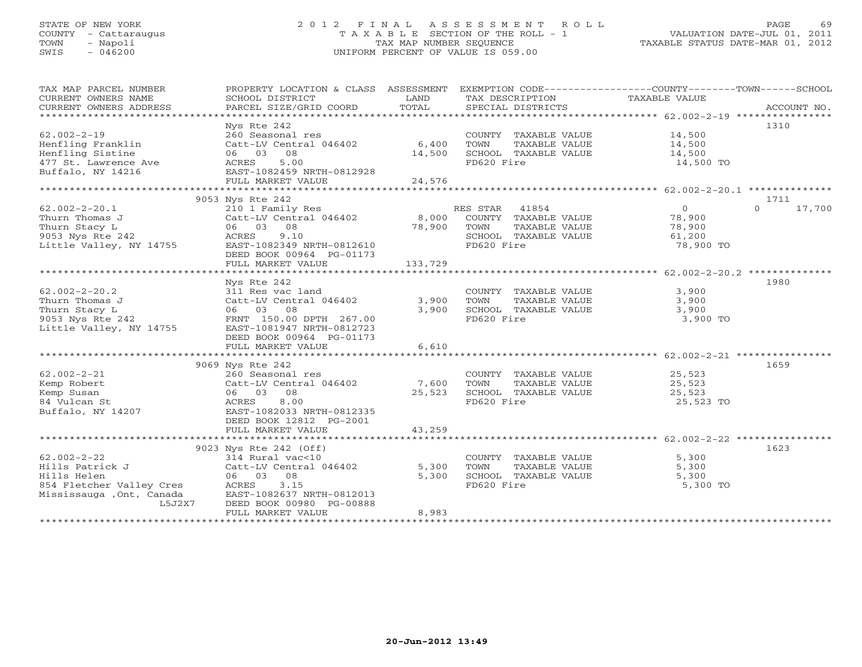# STATE OF NEW YORK 2 0 1 2 F I N A L A S S E S S M E N T R O L L PAGE 69 COUNTY - Cattaraugus T A X A B L E SECTION OF THE ROLL - 1 VALUATION DATE-JUL 01, 2011 TOWN - Napoli TAX MAP NUMBER SEQUENCE TAXABLE STATUS DATE-MAR 01, 2012 SWIS - 046200 UNIFORM PERCENT OF VALUE IS 059.00UNIFORM PERCENT OF VALUE IS 059.00

| TAX MAP PARCEL NUMBER     | PROPERTY LOCATION & CLASS ASSESSMENT |         |                       | EXEMPTION CODE-----------------COUNTY-------TOWN-----SCHOOL |
|---------------------------|--------------------------------------|---------|-----------------------|-------------------------------------------------------------|
| CURRENT OWNERS NAME       | SCHOOL DISTRICT                      | LAND    | TAX DESCRIPTION       | TAXABLE VALUE                                               |
| CURRENT OWNERS ADDRESS    | PARCEL SIZE/GRID COORD               | TOTAL   | SPECIAL DISTRICTS     | ACCOUNT NO.                                                 |
| ***********************   |                                      |         |                       |                                                             |
|                           | Nys Rte 242                          |         |                       | 1310                                                        |
| $62.002 - 2 - 19$         | 260 Seasonal res                     |         | COUNTY TAXABLE VALUE  | 14,500                                                      |
| Henfling Franklin         | Catt-LV Central 046402               | 6,400   | TOWN<br>TAXABLE VALUE | 14,500                                                      |
| Henfling Sistine          | 08<br>06 03                          | 14,500  | SCHOOL TAXABLE VALUE  | 14,500                                                      |
| 477 St. Lawrence Ave      | 5.00<br>ACRES                        |         | FD620 Fire            | 14,500 TO                                                   |
| Buffalo, NY 14216         | EAST-1082459 NRTH-0812928            |         |                       |                                                             |
|                           | FULL MARKET VALUE                    | 24,576  |                       |                                                             |
|                           |                                      |         |                       |                                                             |
|                           | 9053 Nys Rte 242                     |         |                       | 1711                                                        |
| $62.002 - 2 - 20.1$       | 210 1 Family Res                     |         | RES STAR 41854        | $\Omega$<br>17,700<br>$\Omega$                              |
| Thurn Thomas J            | Catt-LV Central 046402               | 8,000   | COUNTY TAXABLE VALUE  | 78,900                                                      |
| Thurn Stacy L             | 06 03 08                             | 78,900  | TOWN<br>TAXABLE VALUE | 78,900                                                      |
| 9053 Nys Rte 242          | 9.10<br>ACRES                        |         | SCHOOL TAXABLE VALUE  | 61,200                                                      |
| Little Valley, NY 14755   | EAST-1082349 NRTH-0812610            |         | FD620 Fire            | 78,900 TO                                                   |
|                           | DEED BOOK 00964 PG-01173             |         |                       |                                                             |
|                           | FULL MARKET VALUE                    | 133,729 |                       |                                                             |
|                           |                                      |         |                       |                                                             |
|                           | Nys Rte 242                          |         |                       | 1980                                                        |
| $62.002 - 2 - 20.2$       | 311 Res vac land                     |         | COUNTY TAXABLE VALUE  | 3,900                                                       |
| Thurn Thomas J            | Catt-LV Central 046402               | 3,900   | TOWN<br>TAXABLE VALUE | 3,900                                                       |
| Thurn Stacy L             | 06 03 08                             | 3,900   | SCHOOL TAXABLE VALUE  | 3,900                                                       |
| 9053 Nys Rte 242          |                                      |         | FD620 Fire            | 3,900 TO                                                    |
|                           | FRNT 150.00 DPTH 267.00              |         |                       |                                                             |
| Little Valley, NY 14755   | EAST-1081947 NRTH-0812723            |         |                       |                                                             |
|                           | DEED BOOK 00964 PG-01173             |         |                       |                                                             |
|                           | FULL MARKET VALUE                    | 6,610   |                       |                                                             |
|                           |                                      |         |                       |                                                             |
|                           | 9069 Nys Rte 242                     |         |                       | 1659                                                        |
| $62.002 - 2 - 21$         | 260 Seasonal res                     |         | COUNTY TAXABLE VALUE  | 25,523                                                      |
| Kemp Robert               | Catt-LV Central 046402               | 7,600   | TAXABLE VALUE<br>TOWN | 25,523                                                      |
| Kemp Susan                | 08<br>06 03                          | 25,523  | SCHOOL TAXABLE VALUE  | 25,523                                                      |
| 84 Vulcan St              | 8.00<br>ACRES                        |         | FD620 Fire            | 25,523 TO                                                   |
| Buffalo, NY 14207         | EAST-1082033 NRTH-0812335            |         |                       |                                                             |
|                           | DEED BOOK 12812 PG-2001              |         |                       |                                                             |
|                           | FULL MARKET VALUE                    | 43,259  |                       |                                                             |
|                           |                                      |         |                       |                                                             |
|                           | 9023 Nys Rte 242 (Off)               |         |                       | 1623                                                        |
| $62.002 - 2 - 22$         | 314 Rural vac<10                     |         | COUNTY TAXABLE VALUE  | 5,300                                                       |
| Hills Patrick J           | Catt-LV Central 046402               | 5,300   | TAXABLE VALUE<br>TOWN | 5,300                                                       |
| Hills Helen               | 06 03 08                             | 5,300   | SCHOOL TAXABLE VALUE  | 5,300                                                       |
| 854 Fletcher Valley Cres  | ACRES<br>3.15                        |         | FD620 Fire            | 5,300 TO                                                    |
| Mississauga , Ont, Canada | EAST-1082637 NRTH-0812013            |         |                       |                                                             |
| L5J2X7                    | DEED BOOK 00980 PG-00888             |         |                       |                                                             |
|                           | FULL MARKET VALUE                    | 8,983   |                       |                                                             |
|                           |                                      |         |                       |                                                             |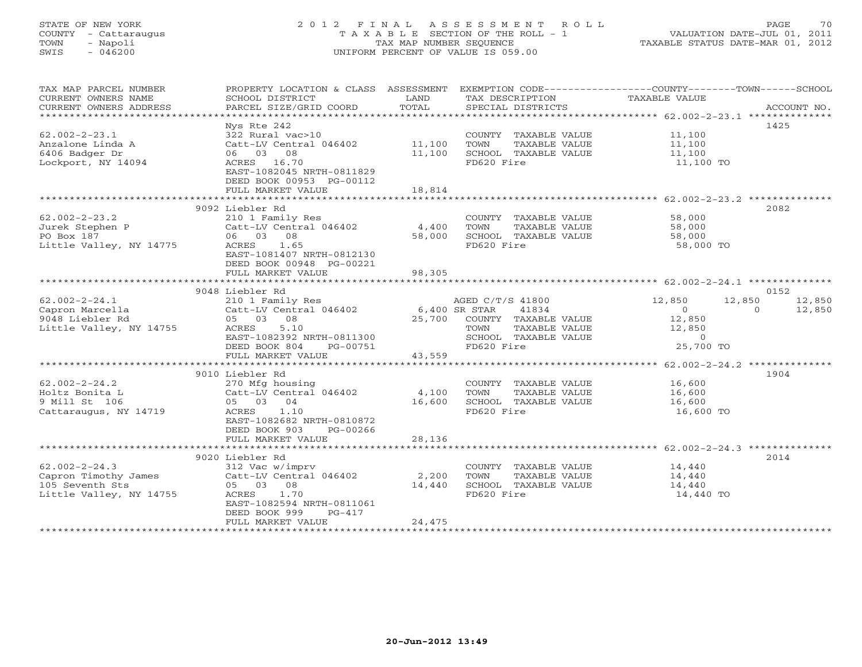# STATE OF NEW YORK 2 0 1 2 F I N A L A S S E S S M E N T R O L L PAGE 70 COUNTY - Cattaraugus T A X A B L E SECTION OF THE ROLL - 1 VALUATION DATE-JUL 01, 2011 TOWN - Napoli TAX MAP NUMBER SEQUENCE TAXABLE STATUS DATE-MAR 01, 2012 SWIS - 046200 UNIFORM PERCENT OF VALUE IS 059.00UNIFORM PERCENT OF VALUE IS 059.00

| TAX MAP PARCEL NUMBER<br>CURRENT OWNERS NAME<br>CURRENT OWNERS ADDRESS                    | SCHOOL DISTRICT<br>PARCEL SIZE/GRID COORD                                                                                                                                                            | LAND<br>TOTAL              | TAX DESCRIPTION<br>SPECIAL DISTRICTS                                                         | PROPERTY LOCATION & CLASS ASSESSMENT EXEMPTION CODE----------------COUNTY-------TOWN-----SCHOOL<br>TAXABLE VALUE | ACCOUNT NO. |
|-------------------------------------------------------------------------------------------|------------------------------------------------------------------------------------------------------------------------------------------------------------------------------------------------------|----------------------------|----------------------------------------------------------------------------------------------|------------------------------------------------------------------------------------------------------------------|-------------|
| $62.002 - 2 - 23.1$<br>Anzalone Linda A<br>6406 Badger Dr<br>Lockport, NY 14094           | Nys Rte 242<br>322 Rural vac>10<br>Catt-LV Central 046402<br>06 03 08<br>ACRES 16.70<br>EAST-1082045 NRTH-0811829<br>DEED BOOK 00953 PG-00112<br>FULL MARKET VALUE                                   | 11,100<br>11,100<br>18,814 | COUNTY TAXABLE VALUE<br>TOWN<br>TAXABLE VALUE<br>SCHOOL TAXABLE VALUE<br>FD620 Fire          | 11,100<br>11,100<br>11,100<br>11,100 TO                                                                          | 1425        |
|                                                                                           |                                                                                                                                                                                                      | ********************       |                                                                                              | ********************* 62.002-2-23.2 **************                                                               |             |
| $62.002 - 2 - 23.2$<br>Jurek Stephen P<br>PO Box 187<br>Little Valley, NY 14775           | 9092 Liebler Rd<br>210 1 Family Res<br>Catt-LV Central 046402<br>06 03<br>08<br>1.65<br>ACRES<br>EAST-1081407 NRTH-0812130<br>DEED BOOK 00948 PG-00221                                               | 4,400<br>58,000            | COUNTY TAXABLE VALUE<br>TOWN<br>TAXABLE VALUE<br>SCHOOL TAXABLE VALUE<br>FD620 Fire          | 58,000<br>58,000<br>58,000<br>58,000 TO                                                                          | 2082        |
|                                                                                           | FULL MARKET VALUE                                                                                                                                                                                    | 98,305                     |                                                                                              |                                                                                                                  |             |
|                                                                                           | 9048 Liebler Rd                                                                                                                                                                                      |                            |                                                                                              |                                                                                                                  | 0152        |
| $62.002 - 2 - 24.1$                                                                       | 210 1 Family Res                                                                                                                                                                                     |                            | AGED C/T/S 41800                                                                             | 12,850<br>12,850                                                                                                 | 12,850      |
| Capron Marcella<br>9048 Liebler Rd<br>Little Valley, NY 14755                             | Catt-LV Central 046402<br>05 03<br>08<br>5.10<br>ACRES<br>EAST-1082392 NRTH-0811300<br>DEED BOOK 804<br>PG-00751                                                                                     | 6,400 SR STAR<br>25,700    | 41834<br>COUNTY TAXABLE VALUE<br>TAXABLE VALUE<br>TOWN<br>SCHOOL TAXABLE VALUE<br>FD620 Fire | $\circ$<br>$\Omega$<br>12,850<br>12,850<br>$\circ$<br>25,700 TO                                                  | 12,850      |
|                                                                                           | FULL MARKET VALUE                                                                                                                                                                                    | 43,559                     |                                                                                              |                                                                                                                  |             |
|                                                                                           | *************************                                                                                                                                                                            | *******************        |                                                                                              | ******************** 62.002-2-24.2 **************                                                                |             |
| $62.002 - 2 - 24.2$<br>Holtz Bonita L<br>9 Mill St 106<br>Cattaraugus, NY 14719           | 9010 Liebler Rd<br>270 Mfg housing<br>Catt-LV Central 046402<br>05 03 04<br>1.10<br>ACRES<br>EAST-1082682 NRTH-0810872<br>DEED BOOK 903<br>PG-00266<br>FULL MARKET VALUE                             | 4,100<br>16,600<br>28,136  | COUNTY TAXABLE VALUE<br>TAXABLE VALUE<br>TOWN<br>SCHOOL TAXABLE VALUE<br>FD620 Fire          | 16,600<br>16,600<br>16,600<br>16,600 TO                                                                          | 1904        |
|                                                                                           |                                                                                                                                                                                                      |                            |                                                                                              |                                                                                                                  |             |
| $62.002 - 2 - 24.3$<br>Capron Timothy James<br>105 Seventh Sts<br>Little Valley, NY 14755 | 9020 Liebler Rd<br>312 Vac w/imprv<br>Catt-LV Central 046402<br>05 03<br>08<br>1.70<br>ACRES<br>EAST-1082594 NRTH-0811061<br>DEED BOOK 999<br>$PG-417$<br>FULL MARKET VALUE<br>********************* | 2,200<br>14,440<br>24,475  | COUNTY TAXABLE VALUE<br>TOWN<br>TAXABLE VALUE<br>SCHOOL TAXABLE VALUE<br>FD620 Fire          | 14,440<br>14,440<br>14,440<br>14,440 TO                                                                          | 2014        |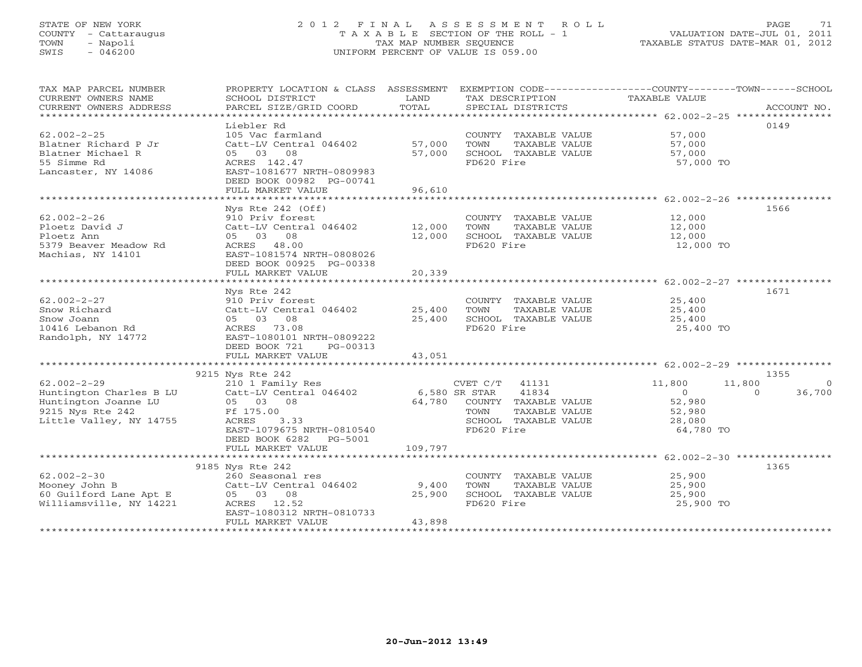# STATE OF NEW YORK 2 0 1 2 F I N A L A S S E S S M E N T R O L L PAGE 71 COUNTY - Cattaraugus T A X A B L E SECTION OF THE ROLL - 1 VALUATION DATE-JUL 01, 2011 TOWN - Napoli TAX MAP NUMBER SEQUENCE TAXABLE STATUS DATE-MAR 01, 2012 SWIS - 046200 UNIFORM PERCENT OF VALUE IS 059.00UNIFORM PERCENT OF VALUE IS 059.00

| TAX MAP PARCEL NUMBER                                                 | PROPERTY LOCATION & CLASS ASSESSMENT EXEMPTION CODE---------------COUNTY-------TOWN------SCHOOL |               |                             |                  |                    |
|-----------------------------------------------------------------------|-------------------------------------------------------------------------------------------------|---------------|-----------------------------|------------------|--------------------|
| CURRENT OWNERS NAME                                                   | SCHOOL DISTRICT                                                                                 | LAND          | TAX DESCRIPTION             | TAXABLE VALUE    |                    |
| CURRENT OWNERS ADDRESS                                                | PARCEL SIZE/GRID COORD                                                                          | TOTAL         | SPECIAL DISTRICTS           |                  | ACCOUNT NO.        |
|                                                                       | Liebler Rd                                                                                      |               |                             |                  | 0149               |
| $62.002 - 2 - 25$                                                     | 105 Vac farmland                                                                                |               | COUNTY TAXABLE VALUE 57,000 |                  |                    |
| Blatner Richard P Jr                                                  | Catt-LV Central 046402                                                                          | 57,000        | TOWN<br>TAXABLE VALUE       |                  |                    |
| Blatner Michael R                                                     | 08<br>05 03                                                                                     | 57,000        | SCHOOL TAXABLE VALUE        | 57,000<br>57,000 |                    |
| 55 Simme Rd                                                           | ACRES 142.47                                                                                    |               | FD620 Fire                  | 57,000 TO        |                    |
| Lancaster, NY 14086                                                   | EAST-1081677 NRTH-0809983                                                                       |               |                             |                  |                    |
|                                                                       | DEED BOOK 00982 PG-00741                                                                        |               |                             |                  |                    |
|                                                                       | FULL MARKET VALUE                                                                               | 96,610        |                             |                  |                    |
|                                                                       | ***********************                                                                         | ***********   |                             |                  |                    |
|                                                                       | Nys Rte $242$ (Off)                                                                             |               |                             |                  | 1566               |
| $62.002 - 2 - 26$                                                     | 910 Priv forest                                                                                 |               | COUNTY TAXABLE VALUE 12,000 |                  |                    |
| Ploetz David J                                                        | Catt-LV Central 046402                                                                          | 12,000        | TOWN<br>TAXABLE VALUE       | 12,000           |                    |
| Ploetz Ann                                                            | 05 03 08                                                                                        | 12,000        | SCHOOL TAXABLE VALUE        | 12,000           |                    |
| 5379 Beaver Meadow Rd                                                 | ACRES 48.00                                                                                     |               | FD620 Fire                  | 12,000 TO        |                    |
| Machias, NY 14101                                                     | EAST-1081574 NRTH-0808026                                                                       |               |                             |                  |                    |
|                                                                       | DEED BOOK 00925 PG-00338                                                                        |               |                             |                  |                    |
|                                                                       | FULL MARKET VALUE                                                                               | 20,339        |                             |                  |                    |
|                                                                       |                                                                                                 |               |                             |                  | 1671               |
| $62.002 - 2 - 27$                                                     | Nys Rte 242<br>910 Priv forest                                                                  |               | COUNTY TAXABLE VALUE        | 25,400           |                    |
| Snow Richard                                                          | Catt-LV Central 046402 25,400                                                                   |               | TOWN<br>TAXABLE VALUE       | 25,400           |                    |
| Snow Joann                                                            | 05 03 08                                                                                        | 25,400        | SCHOOL TAXABLE VALUE        | 25,400           |                    |
| 10416 Lebanon Rd                                                      | ACRES 73.08                                                                                     |               | FD620 Fire                  | 25,400 TO        |                    |
| Randolph, NY 14772                                                    | EAST-1080101 NRTH-0809222                                                                       |               |                             |                  |                    |
|                                                                       | DEED BOOK 721<br>PG-00313                                                                       |               |                             |                  |                    |
|                                                                       | FULL MARKET VALUE                                                                               | 43,051        |                             |                  |                    |
|                                                                       |                                                                                                 |               |                             |                  |                    |
|                                                                       | 9215 Nys Rte 242                                                                                |               |                             |                  | 1355               |
| $62.002 - 2 - 29$                                                     | 210 1 Family Res                                                                                |               | $CVET C/T$ 41131            | 11,800<br>11,800 | $\bigcirc$         |
| Huntington Charles B LU                                               | Catt-LV Central 046402                                                                          | 6,580 SR STAR | 41834                       | $\overline{0}$   | 36,700<br>$\Omega$ |
| Huntington Joanne LU                                                  | 05 03 08                                                                                        |               | 64,780 COUNTY TAXABLE VALUE | 52,980           |                    |
| 9215 Nys Rte 242                                                      | Ff 175.00                                                                                       |               | TOWN<br>TAXABLE VALUE       | 52,980           |                    |
| Little Valley, NY 14755                                               | ACRES<br>3.33                                                                                   |               | SCHOOL TAXABLE VALUE        | 28,080           |                    |
|                                                                       | EAST-1079675 NRTH-0810540                                                                       |               | FD620 Fire                  | 64,780 TO        |                    |
|                                                                       | DEED BOOK 6282 PG-5001                                                                          |               |                             |                  |                    |
|                                                                       | FULL MARKET VALUE                                                                               | 109,797       |                             |                  |                    |
|                                                                       |                                                                                                 |               |                             |                  |                    |
| $62.002 - 2 - 30$                                                     | 9185 Nys Rte 242<br>260 Seasonal res                                                            |               | COUNTY TAXABLE VALUE        | 25,900           | 1365               |
| Mooney John B                                                         | Catt-LV Central 046402                                                                          | 9,400         | TOWN<br>TAXABLE VALUE       | 25,900           |                    |
|                                                                       |                                                                                                 | 25,900        | SCHOOL TAXABLE VALUE        | 25,900           |                    |
| 60 Guilford Lane Apt E 05 03 08<br>Williamsville, NY 14221 ACRES 12.5 | ACRES 12.52                                                                                     |               | FD620 Fire                  | 25,900 TO        |                    |
|                                                                       | EAST-1080312 NRTH-0810733                                                                       |               |                             |                  |                    |
|                                                                       | FULL MARKET VALUE                                                                               | 43,898        |                             |                  |                    |
|                                                                       |                                                                                                 |               |                             |                  |                    |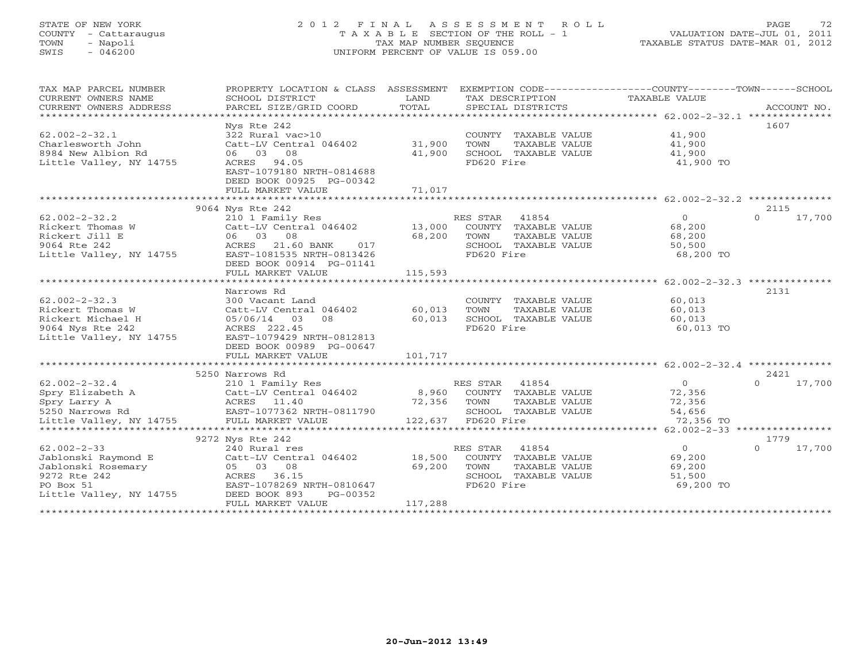# STATE OF NEW YORK 2 0 1 2 F I N A L A S S E S S M E N T R O L L PAGE 72 COUNTY - Cattaraugus T A X A B L E SECTION OF THE ROLL - 1 VALUATION DATE-JUL 01, 2011 TOWN - Napoli TAX MAP NUMBER SEQUENCE TAXABLE STATUS DATE-MAR 01, 2012 SWIS - 046200 UNIFORM PERCENT OF VALUE IS 059.00UNIFORM PERCENT OF VALUE IS 059.00

| TAX MAP PARCEL NUMBER<br>CURRENT OWNERS NAME<br>CURRENT OWNERS ADDRESS | PROPERTY LOCATION & CLASS ASSESSMENT<br>SCHOOL DISTRICT<br>PARCEL SIZE/GRID COORD | LAND<br>TOTAL | TAX DESCRIPTION<br>SPECIAL DISTRICTS |               | EXEMPTION CODE-----------------COUNTY-------TOWN------SCHOOL<br>TAXABLE VALUE | ACCOUNT NO.        |
|------------------------------------------------------------------------|-----------------------------------------------------------------------------------|---------------|--------------------------------------|---------------|-------------------------------------------------------------------------------|--------------------|
|                                                                        |                                                                                   |               |                                      |               |                                                                               |                    |
|                                                                        | Nys Rte 242                                                                       |               |                                      |               |                                                                               | 1607               |
| $62.002 - 2 - 32.1$                                                    | 322 Rural vac>10                                                                  |               | COUNTY TAXABLE VALUE                 |               | 41,900                                                                        |                    |
| Charlesworth John                                                      | Catt-LV Central 046402                                                            | 31,900        | TOWN                                 | TAXABLE VALUE | 41,900                                                                        |                    |
| 8984 New Albion Rd                                                     | 06 03<br>08                                                                       | 41,900        | SCHOOL TAXABLE VALUE                 |               | 41,900                                                                        |                    |
| Little Valley, NY 14755                                                | ACRES 94.05                                                                       |               | FD620 Fire                           |               | 41,900 TO                                                                     |                    |
|                                                                        | EAST-1079180 NRTH-0814688                                                         |               |                                      |               |                                                                               |                    |
|                                                                        | DEED BOOK 00925 PG-00342                                                          |               |                                      |               |                                                                               |                    |
|                                                                        | FULL MARKET VALUE                                                                 | 71,017        |                                      |               |                                                                               |                    |
|                                                                        |                                                                                   |               |                                      |               |                                                                               |                    |
|                                                                        | 9064 Nys Rte 242                                                                  |               |                                      |               |                                                                               | 2115               |
| $62.002 - 2 - 32.2$                                                    | 210 1 Family Res                                                                  |               | 41854<br>RES STAR                    |               | $\Omega$                                                                      | $\Omega$<br>17,700 |
| Rickert Thomas W                                                       |                                                                                   |               |                                      |               |                                                                               |                    |
|                                                                        | Catt-LV Central 046402 13,000                                                     |               | COUNTY TAXABLE VALUE                 |               | 68,200                                                                        |                    |
| Rickert Jill E                                                         | 06 03<br>08                                                                       | 68,200        | TOWN                                 | TAXABLE VALUE | 68,200                                                                        |                    |
| 9064 Rte 242                                                           | ACRES<br>21.60 BANK<br>017                                                        |               | SCHOOL TAXABLE VALUE                 |               | 50,500                                                                        |                    |
| Little Valley, NY 14755                                                | EAST-1081535 NRTH-0813426                                                         |               | FD620 Fire                           |               | 68,200 TO                                                                     |                    |
|                                                                        | DEED BOOK 00914 PG-01141                                                          |               |                                      |               |                                                                               |                    |
|                                                                        | FULL MARKET VALUE                                                                 | 115,593       |                                      |               |                                                                               |                    |
|                                                                        |                                                                                   |               |                                      |               | ********************* 62.002-2-32.3 **************                            |                    |
|                                                                        | Narrows Rd                                                                        |               |                                      |               |                                                                               | 2131               |
| $62.002 - 2 - 32.3$                                                    | 300 Vacant Land                                                                   |               | COUNTY TAXABLE VALUE                 |               | 60,013                                                                        |                    |
| Rickert Thomas W                                                       | Catt-LV Central 046402                                                            | 60,013        | TOWN                                 | TAXABLE VALUE | 60,013                                                                        |                    |
| Rickert Michael H                                                      | 05/06/14<br>03<br>08                                                              | 60,013        | SCHOOL TAXABLE VALUE                 |               | 60,013                                                                        |                    |
| 9064 Nys Rte 242                                                       | ACRES 222.45                                                                      |               | FD620 Fire                           |               | 60,013 TO                                                                     |                    |
| Little Valley, NY 14755                                                | EAST-1079429 NRTH-0812813                                                         |               |                                      |               |                                                                               |                    |
|                                                                        | DEED BOOK 00989 PG-00647                                                          |               |                                      |               |                                                                               |                    |
|                                                                        | FULL MARKET VALUE                                                                 | 101,717       |                                      |               |                                                                               |                    |
|                                                                        |                                                                                   |               |                                      |               |                                                                               |                    |
|                                                                        |                                                                                   |               |                                      |               |                                                                               |                    |
|                                                                        | 5250 Narrows Rd                                                                   |               |                                      |               |                                                                               | 2421               |
| $62.002 - 2 - 32.4$                                                    | 210 1 Family Res                                                                  |               | RES STAR<br>41854                    |               | $\overline{0}$                                                                | 17,700<br>$\Omega$ |
| 62.002-2-32.4<br>Spry Elizabeth A<br>Time Larry A                      | Catt-LV Central 046402                                                            |               | 8,960 COUNTY TAXABLE VALUE           |               | 72,356                                                                        |                    |
|                                                                        | ACRES 11.40                                                                       | 72,356        | TOWN                                 | TAXABLE VALUE | 72,356                                                                        |                    |
| 5250 Narrows Rd                                                        | EAST-1077362 NRTH-0811790                                                         |               | SCHOOL TAXABLE VALUE                 |               | 54,656                                                                        |                    |
| Little Valley, NY 14755                                                | FULL MARKET VALUE                                                                 |               | 122,637 FD620 Fire                   |               | 72,356 TO                                                                     |                    |
|                                                                        |                                                                                   |               |                                      |               |                                                                               |                    |
|                                                                        | 9272 Nys Rte 242                                                                  |               |                                      |               |                                                                               | 1779               |
| $62.002 - 2 - 33$                                                      | 240 Rural res                                                                     |               | RES STAR<br>41854                    |               | $\circ$                                                                       | $\Omega$<br>17,700 |
| Jablonski Raymond E                                                    | Catt-LV Central 046402                                                            | 18,500        | COUNTY TAXABLE VALUE                 |               | 69,200                                                                        |                    |
| Jablonski Rosemary                                                     | 05 03 08                                                                          | 69,200        | TOWN                                 | TAXABLE VALUE | 69,200                                                                        |                    |
| 9272 Rte 242                                                           | ACRES 36.15                                                                       |               | SCHOOL TAXABLE VALUE                 |               | 51,500                                                                        |                    |
| PO Box 51                                                              | EAST-1078269 NRTH-0810647                                                         |               | FD620 Fire                           |               | 69,200 TO                                                                     |                    |
| Little Valley, NY 14755                                                | DEED BOOK 893<br>PG-00352                                                         |               |                                      |               |                                                                               |                    |
|                                                                        | FULL MARKET VALUE                                                                 | 117,288       |                                      |               |                                                                               |                    |
|                                                                        |                                                                                   |               |                                      |               |                                                                               |                    |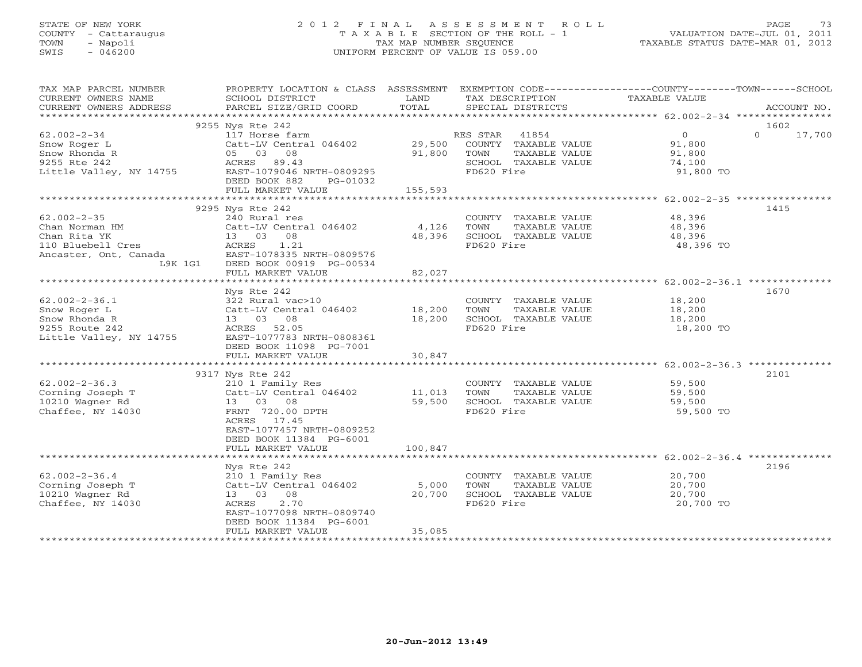# STATE OF NEW YORK 2 0 1 2 F I N A L A S S E S S M E N T R O L L PAGE 73 COUNTY - Cattaraugus T A X A B L E SECTION OF THE ROLL - 1 VALUATION DATE-JUL 01, 2011 TOWN - Napoli TAX MAP NUMBER SEQUENCE TAXABLE STATUS DATE-MAR 01, 2012 SWIS - 046200 UNIFORM PERCENT OF VALUE IS 059.00UNIFORM PERCENT OF VALUE IS 059.00

| TAX MAP PARCEL NUMBER   | PROPERTY LOCATION & CLASS ASSESSMENT EXEMPTION CODE---------------COUNTY-------TOWN------SCHOOL |               |                       |                |                    |  |
|-------------------------|-------------------------------------------------------------------------------------------------|---------------|-----------------------|----------------|--------------------|--|
| CURRENT OWNERS NAME     | SCHOOL DISTRICT                                                                                 | LAND<br>TOTAL | TAX DESCRIPTION       | TAXABLE VALUE  |                    |  |
| CURRENT OWNERS ADDRESS  | PARCEL SIZE/GRID COORD                                                                          |               | SPECIAL DISTRICTS     |                | ACCOUNT NO.        |  |
|                         |                                                                                                 |               |                       |                |                    |  |
|                         | 9255 Nys Rte 242                                                                                |               |                       |                | 1602               |  |
| $62.002 - 2 - 34$       | 117 Horse farm                                                                                  |               | 41854<br>RES STAR     | $\overline{0}$ | $\Omega$<br>17,700 |  |
| Snow Roger L            | Catt-LV Central 046402                                                                          | 29,500        | COUNTY TAXABLE VALUE  | 91,800         |                    |  |
| Snow Rhonda R           | 05 03 08                                                                                        | 91,800        | TAXABLE VALUE<br>TOWN | 91,800         |                    |  |
| 9255 Rte 242            | ACRES 89.43                                                                                     |               | SCHOOL TAXABLE VALUE  | 74,100         |                    |  |
| Little Valley, NY 14755 | EAST-1079046 NRTH-0809295                                                                       |               | FD620 Fire            | 91,800 TO      |                    |  |
|                         | DEED BOOK 882<br>PG-01032                                                                       |               |                       |                |                    |  |
|                         | FULL MARKET VALUE                                                                               | 155,593       |                       |                |                    |  |
|                         |                                                                                                 |               |                       |                |                    |  |
|                         | 9295 Nys Rte 242                                                                                |               |                       |                | 1415               |  |
| $62.002 - 2 - 35$       | 240 Rural res                                                                                   |               | COUNTY TAXABLE VALUE  | 48,396         |                    |  |
| Chan Norman HM          | Catt-LV Central 046402                                                                          | 4,126         | TOWN<br>TAXABLE VALUE | 48,396         |                    |  |
| Chan Rita YK            | 13 03 08                                                                                        | 48,396        | SCHOOL TAXABLE VALUE  | 48,396         |                    |  |
| 110 Bluebell Cres       | ACRES<br>1.21                                                                                   |               | FD620 Fire            | 48,396 TO      |                    |  |
| Ancaster, Ont, Canada   | EAST-1078335 NRTH-0809576                                                                       |               |                       |                |                    |  |
| L9K 1G1                 | DEED BOOK 00919 PG-00534                                                                        |               |                       |                |                    |  |
|                         | FULL MARKET VALUE                                                                               | 82,027        |                       |                |                    |  |
|                         |                                                                                                 |               |                       |                |                    |  |
|                         | Nys Rte 242                                                                                     |               |                       |                | 1670               |  |
| $62.002 - 2 - 36.1$     | 322 Rural vac>10                                                                                |               | COUNTY TAXABLE VALUE  | 18,200         |                    |  |
| Snow Roger L            | Catt-LV Central 046402                                                                          | 18,200        | TOWN<br>TAXABLE VALUE | 18,200         |                    |  |
| Snow Rhonda R           | 13 03 08                                                                                        | 18,200        | SCHOOL TAXABLE VALUE  | 18,200         |                    |  |
| 9255 Route 242          | ACRES 52.05                                                                                     |               | FD620 Fire            | 18,200 TO      |                    |  |
| Little Valley, NY 14755 | EAST-1077783 NRTH-0808361                                                                       |               |                       |                |                    |  |
|                         | DEED BOOK 11098 PG-7001                                                                         |               |                       |                |                    |  |
|                         | FULL MARKET VALUE                                                                               | 30,847        |                       |                |                    |  |
|                         |                                                                                                 |               |                       |                |                    |  |
|                         | 9317 Nys Rte 242                                                                                |               |                       |                | 2101               |  |
| $62.002 - 2 - 36.3$     | 210 1 Family Res                                                                                |               | COUNTY TAXABLE VALUE  | 59,500         |                    |  |
| Corning Joseph T        | Catt-LV Central 046402                                                                          | 11,013        | TAXABLE VALUE<br>TOWN | 59,500         |                    |  |
| 10210 Wagner Rd         | 13 03 08                                                                                        | 59,500        | SCHOOL TAXABLE VALUE  | 59,500         |                    |  |
| Chaffee, NY 14030       | FRNT 720.00 DPTH                                                                                |               | FD620 Fire            | 59,500 TO      |                    |  |
|                         | ACRES 17.45                                                                                     |               |                       |                |                    |  |
|                         | EAST-1077457 NRTH-0809252                                                                       |               |                       |                |                    |  |
|                         | DEED BOOK 11384 PG-6001                                                                         |               |                       |                |                    |  |
|                         | FULL MARKET VALUE                                                                               | 100,847       |                       |                |                    |  |
|                         |                                                                                                 |               |                       |                |                    |  |
|                         | Nys Rte 242                                                                                     |               |                       |                | 2196               |  |
| $62.002 - 2 - 36.4$     | 210 1 Family Res                                                                                |               | COUNTY TAXABLE VALUE  | 20,700         |                    |  |
| Corning Joseph T        | Catt-LV Central 046402                                                                          | 5,000         | TOWN<br>TAXABLE VALUE | 20,700         |                    |  |
| 10210 Wagner Rd         | 13 03 08                                                                                        | 20,700        | SCHOOL TAXABLE VALUE  | 20,700         |                    |  |
| Chaffee, NY 14030       | 2.70<br>ACRES                                                                                   |               | FD620 Fire            | 20,700 TO      |                    |  |
|                         | EAST-1077098 NRTH-0809740                                                                       |               |                       |                |                    |  |
|                         | DEED BOOK 11384 PG-6001                                                                         |               |                       |                |                    |  |
|                         | FULL MARKET VALUE                                                                               | 35,085        |                       |                |                    |  |
|                         |                                                                                                 |               |                       |                |                    |  |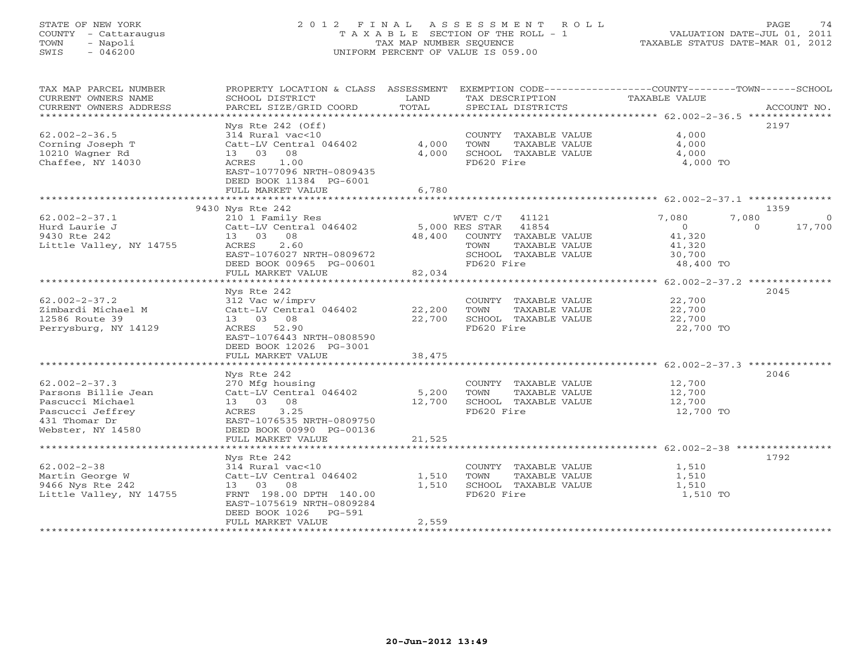# STATE OF NEW YORK 2 0 1 2 F I N A L A S S E S S M E N T R O L L PAGE 74 COUNTY - Cattaraugus T A X A B L E SECTION OF THE ROLL - 1 VALUATION DATE-JUL 01, 2011 TOWN - Napoli TAX MAP NUMBER SEQUENCE TAXABLE STATUS DATE-MAR 01, 2012 SWIS - 046200 UNIFORM PERCENT OF VALUE IS 059.00UNIFORM PERCENT OF VALUE IS 059.00

| TAX MAP PARCEL NUMBER<br>CURRENT OWNERS NAME<br>CURRENT OWNERS ADDRESS | PROPERTY LOCATION & CLASS ASSESSMENT<br>SCHOOL DISTRICT<br>PARCEL SIZE/GRID COORD          | LAND<br>TOTAL | TAX DESCRIPTION<br>SPECIAL DISTRICTS          | EXEMPTION CODE-----------------COUNTY-------TOWN------SCHOOL<br>TAXABLE VALUE | ACCOUNT NO.        |
|------------------------------------------------------------------------|--------------------------------------------------------------------------------------------|---------------|-----------------------------------------------|-------------------------------------------------------------------------------|--------------------|
| *************************                                              |                                                                                            |               |                                               |                                                                               |                    |
| $62.002 - 2 - 36.5$<br>Corning Joseph T                                | Nys Rte $242$ (Off)<br>314 Rural vac<10<br>Catt-LV Central 046402                          | 4,000         | COUNTY TAXABLE VALUE<br>TOWN<br>TAXABLE VALUE | 4,000<br>4,000                                                                | 2197               |
| 10210 Wagner Rd                                                        | 13 03 08                                                                                   | 4,000         | SCHOOL TAXABLE VALUE                          | 4,000                                                                         |                    |
| Chaffee, NY 14030                                                      | ACRES<br>1.00<br>EAST-1077096 NRTH-0809435<br>DEED BOOK 11384 PG-6001<br>FULL MARKET VALUE | 6,780         | FD620 Fire                                    | 4,000 TO                                                                      |                    |
|                                                                        |                                                                                            |               |                                               |                                                                               |                    |
|                                                                        | 9430 Nys Rte 242                                                                           |               |                                               |                                                                               | 1359               |
| $62.002 - 2 - 37.1$                                                    | 210 1 Family Res                                                                           |               | WVET C/T<br>41121                             | 7,080<br>7,080                                                                | - 0                |
| Hurd Laurie J                                                          | Catt-LV Central 046402                                                                     |               | 5,000 RES STAR 41854                          | $\overline{0}$                                                                | 17,700<br>$\Omega$ |
| 9430 Rte 242                                                           | 13 03 08                                                                                   | 48,400        | COUNTY TAXABLE VALUE                          | 41,320                                                                        |                    |
| Little Valley, NY 14755                                                | ACRES<br>2.60                                                                              |               | TAXABLE VALUE<br>TOWN                         | 41,320                                                                        |                    |
|                                                                        | EAST-1076027 NRTH-0809672                                                                  |               | SCHOOL TAXABLE VALUE                          | 30,700                                                                        |                    |
|                                                                        | DEED BOOK 00965 PG-00601                                                                   |               | FD620 Fire                                    | 48,400 TO                                                                     |                    |
|                                                                        | FULL MARKET VALUE                                                                          | 82,034        |                                               |                                                                               |                    |
|                                                                        | *******************************                                                            |               |                                               |                                                                               |                    |
|                                                                        | Nys Rte 242                                                                                |               |                                               |                                                                               | 2045               |
| $62.002 - 2 - 37.2$                                                    | 312 Vac w/imprv                                                                            |               | COUNTY TAXABLE VALUE                          | 22,700                                                                        |                    |
| Zimbardi Michael M                                                     | Catt-LV Central 046402                                                                     | 22,200        | TOWN<br>TAXABLE VALUE                         | 22,700                                                                        |                    |
| 12586 Route 39                                                         | 13 03 08                                                                                   | 22,700        | SCHOOL TAXABLE VALUE                          | 22,700                                                                        |                    |
| Perrysburg, NY 14129                                                   | ACRES 52.90<br>EAST-1076443 NRTH-0808590                                                   |               | FD620 Fire                                    | 22,700 TO                                                                     |                    |
|                                                                        | DEED BOOK 12026 PG-3001<br>FULL MARKET VALUE                                               | 38,475        |                                               |                                                                               |                    |
|                                                                        |                                                                                            |               |                                               |                                                                               |                    |
|                                                                        | Nys Rte 242                                                                                |               |                                               |                                                                               | 2046               |
| $62.002 - 2 - 37.3$                                                    | 270 Mfg housing                                                                            |               | COUNTY TAXABLE VALUE                          | 12,700                                                                        |                    |
| Parsons Billie Jean                                                    | Catt-LV Central 046402                                                                     | 5,200         | TOWN<br>TAXABLE VALUE                         | 12,700                                                                        |                    |
| Pascucci Michael                                                       | 13 03 08                                                                                   | 12,700        | SCHOOL TAXABLE VALUE                          | 12,700                                                                        |                    |
| Pascucci Jeffrey                                                       | ACRES<br>3.25                                                                              |               | FD620 Fire                                    | 12,700 TO                                                                     |                    |
| 431 Thomar Dr                                                          | EAST-1076535 NRTH-0809750                                                                  |               |                                               |                                                                               |                    |
| Webster, NY 14580                                                      | DEED BOOK 00990 PG-00136                                                                   |               |                                               |                                                                               |                    |
|                                                                        | FULL MARKET VALUE                                                                          | 21,525        |                                               |                                                                               |                    |
|                                                                        |                                                                                            |               |                                               |                                                                               |                    |
|                                                                        | Nys Rte 242                                                                                |               |                                               |                                                                               | 1792               |
| $62.002 - 2 - 38$                                                      | 314 Rural vac<10                                                                           |               | COUNTY TAXABLE VALUE                          | 1,510                                                                         |                    |
| Martin George W                                                        | Catt-LV Central 046402                                                                     | 1,510         | TOWN<br>TAXABLE VALUE                         | 1,510                                                                         |                    |
| 9466 Nys Rte 242                                                       | 13 03 08                                                                                   | 1,510         | SCHOOL TAXABLE VALUE                          | 1,510                                                                         |                    |
| Little Valley, NY 14755                                                | FRNT 198.00 DPTH 140.00<br>EAST-1075619 NRTH-0809284<br>$PG-591$                           |               | FD620 Fire                                    | 1,510 TO                                                                      |                    |
|                                                                        | DEED BOOK 1026<br>FULL MARKET VALUE                                                        | 2,559         |                                               |                                                                               |                    |
| **********************                                                 | **************************                                                                 |               |                                               |                                                                               |                    |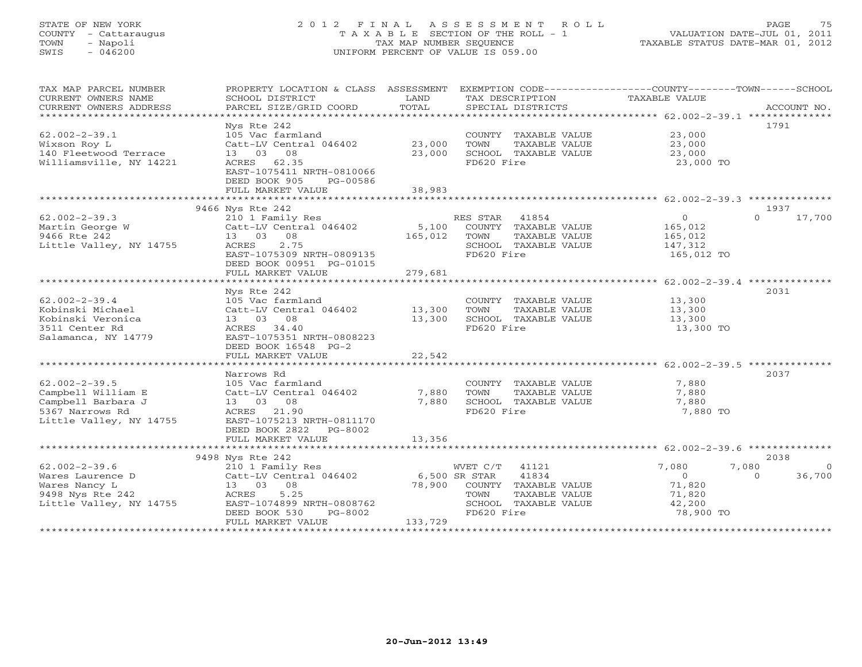# STATE OF NEW YORK 2 0 1 2 F I N A L A S S E S S M E N T R O L L PAGE 75 COUNTY - Cattaraugus T A X A B L E SECTION OF THE ROLL - 1 VALUATION DATE-JUL 01, 2011 TOWN - Napoli TAX MAP NUMBER SEQUENCE TAXABLE STATUS DATE-MAR 01, 2012 SWIS - 046200 UNIFORM PERCENT OF VALUE IS 059.00UNIFORM PERCENT OF VALUE IS 059.00

| TAX MAP PARCEL NUMBER<br>CURRENT OWNERS NAME | PROPERTY LOCATION & CLASS ASSESSMENT EXEMPTION CODE----------------COUNTY-------TOWN------SCHOOL<br>SCHOOL DISTRICT | LAND                           | TAX DESCRIPTION                               | TAXABLE VALUE  |                    |
|----------------------------------------------|---------------------------------------------------------------------------------------------------------------------|--------------------------------|-----------------------------------------------|----------------|--------------------|
| CURRENT OWNERS ADDRESS                       | PARCEL SIZE/GRID COORD                                                                                              | TOTAL                          | SPECIAL DISTRICTS                             |                | ACCOUNT NO.        |
|                                              |                                                                                                                     |                                |                                               |                |                    |
|                                              | Nys Rte 242                                                                                                         |                                |                                               |                | 1791               |
| $62.002 - 2 - 39.1$                          | 105 Vac farmland                                                                                                    |                                | COUNTY TAXABLE VALUE                          | 23,000         |                    |
| Wixson Roy L                                 | Catt-LV Central 046402                                                                                              | 23,000                         | TOWN<br>TAXABLE VALUE                         | 23,000         |                    |
| 140 Fleetwood Terrace                        | 13 03<br>08                                                                                                         | 23,000                         | SCHOOL TAXABLE VALUE                          | 23,000         |                    |
| Williamsville, NY 14221                      | ACRES 62.35                                                                                                         |                                | FD620 Fire                                    | 23,000 TO      |                    |
|                                              | EAST-1075411 NRTH-0810066                                                                                           |                                |                                               |                |                    |
|                                              | DEED BOOK 905<br>PG-00586                                                                                           |                                |                                               |                |                    |
|                                              | FULL MARKET VALUE                                                                                                   | 38,983                         |                                               |                |                    |
|                                              |                                                                                                                     |                                |                                               |                |                    |
|                                              | 9466 Nys Rte 242                                                                                                    |                                |                                               |                | 1937               |
| $62.002 - 2 - 39.3$                          | 210 1 Family Res                                                                                                    |                                | 41854<br>RES STAR                             | $\overline{0}$ | 17,700<br>$\cap$   |
| Martin George W                              | Catt-LV Central 046402                                                                                              | 5,100                          | COUNTY TAXABLE VALUE                          | 165,012        |                    |
| 9466 Rte 242                                 | 08<br>13 03                                                                                                         | 165,012                        | TAXABLE VALUE<br>TOWN                         | 165,012        |                    |
| Little Valley, NY 14755                      | ACRES<br>2.75                                                                                                       |                                | SCHOOL TAXABLE VALUE                          | 147,312        |                    |
|                                              | EAST-1075309 NRTH-0809135                                                                                           |                                | FD620 Fire                                    | 165,012 TO     |                    |
|                                              | DEED BOOK 00951 PG-01015                                                                                            |                                |                                               |                |                    |
|                                              | FULL MARKET VALUE<br>******************************                                                                 | 279,681<br>******************* |                                               |                |                    |
|                                              |                                                                                                                     |                                |                                               |                |                    |
|                                              | Nys Rte 242                                                                                                         |                                |                                               |                | 2031               |
| $62.002 - 2 - 39.4$                          | 105 Vac farmland                                                                                                    |                                | COUNTY TAXABLE VALUE                          | 13,300         |                    |
| Kobinski Michael<br>Kobinski Veronica        | Catt-LV Central 046402<br>13 03<br>08                                                                               | 13,300<br>13,300               | TOWN<br>TAXABLE VALUE<br>SCHOOL TAXABLE VALUE | 13,300         |                    |
| 3511 Center Rd                               | ACRES 34.40                                                                                                         |                                | FD620 Fire                                    | 13,300         |                    |
| Salamanca, NY 14779                          | EAST-1075351 NRTH-0808223                                                                                           |                                |                                               | 13,300 TO      |                    |
|                                              | DEED BOOK 16548 PG-2                                                                                                |                                |                                               |                |                    |
|                                              | FULL MARKET VALUE                                                                                                   | 22,542                         |                                               |                |                    |
|                                              |                                                                                                                     |                                |                                               |                |                    |
|                                              | Narrows Rd                                                                                                          |                                |                                               |                | 2037               |
| $62.002 - 2 - 39.5$                          | 105 Vac farmland                                                                                                    |                                | COUNTY TAXABLE VALUE                          | 7,880          |                    |
| Campbell William E                           | Catt-LV Central 046402                                                                                              | 7,880                          | TOWN<br>TAXABLE VALUE                         | 7,880          |                    |
| Campbell Barbara J                           | 13 03 08                                                                                                            | 7,880                          | SCHOOL TAXABLE VALUE                          | 7,880          |                    |
| 5367 Narrows Rd                              | ACRES 21.90                                                                                                         |                                | FD620 Fire                                    | 7,880 TO       |                    |
| Little Valley, NY 14755                      | EAST-1075213 NRTH-0811170                                                                                           |                                |                                               |                |                    |
|                                              | DEED BOOK 2822<br>PG-8002                                                                                           |                                |                                               |                |                    |
|                                              | FULL MARKET VALUE                                                                                                   | 13,356                         |                                               |                |                    |
|                                              |                                                                                                                     |                                |                                               |                |                    |
|                                              | 9498 Nys Rte 242                                                                                                    |                                |                                               |                | 2038               |
| $62.002 - 2 - 39.6$                          | 210 1 Family Res                                                                                                    |                                | WVET C/T 41121                                | 7,080          | 7,080<br>$\Omega$  |
| Wares Laurence D                             | Catt-LV Central 046402                                                                                              | 6,500 SR STAR                  | 41834                                         | $\overline{O}$ | 36,700<br>$\Omega$ |
| Wares Nancy L                                | 13 03 08                                                                                                            | 78,900                         | COUNTY TAXABLE VALUE                          | 71,820         |                    |
| 9498 Nys Rte 242                             | 5.25<br>ACRES                                                                                                       |                                | TOWN<br>TAXABLE VALUE                         | 71,820         |                    |
| Little Valley, NY 14755                      | EAST-1074899 NRTH-0808762                                                                                           |                                | SCHOOL TAXABLE VALUE                          | 42,200         |                    |
|                                              | DEED BOOK 530<br>PG-8002                                                                                            |                                | FD620 Fire                                    | 78,900 TO      |                    |
|                                              | FULL MARKET VALUE                                                                                                   | 133,729                        |                                               |                |                    |
|                                              |                                                                                                                     |                                |                                               |                |                    |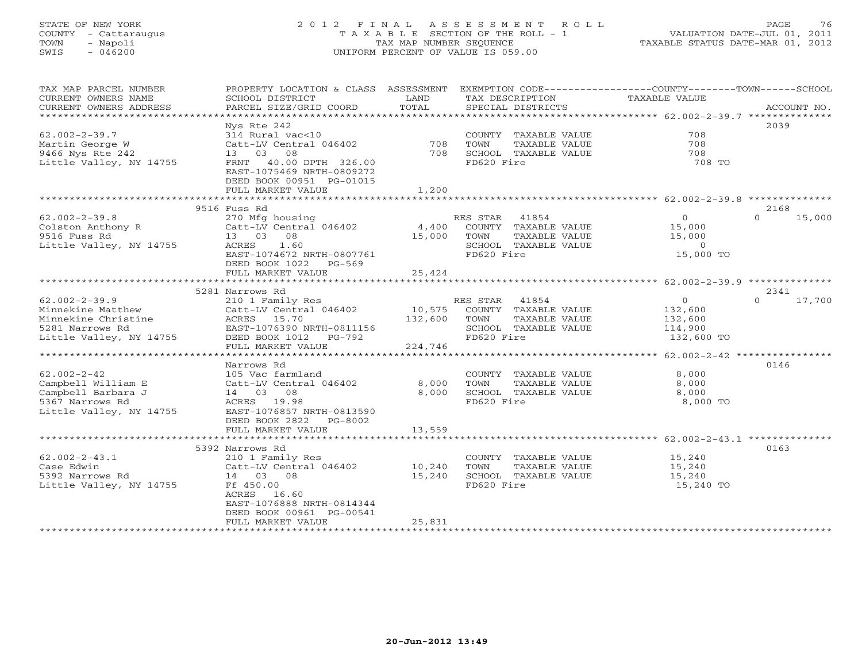# STATE OF NEW YORK 2 0 1 2 F I N A L A S S E S S M E N T R O L L PAGE 76 COUNTY - Cattaraugus T A X A B L E SECTION OF THE ROLL - 1 VALUATION DATE-JUL 01, 2011 TOWN - Napoli TAX MAP NUMBER SEQUENCE TAXABLE STATUS DATE-MAR 01, 2012 SWIS - 046200 UNIFORM PERCENT OF VALUE IS 059.00UNIFORM PERCENT OF VALUE IS 059.00

| TAX MAP PARCEL NUMBER<br>CURRENT OWNERS NAME<br>CURRENT OWNERS ADDRESS | PROPERTY LOCATION & CLASS ASSESSMENT<br>SCHOOL DISTRICT<br>PARCEL SIZE/GRID COORD  | LAND<br>TOTAL        | TAX DESCRIPTION<br>SPECIAL DISTRICTS | EXEMPTION CODE-----------------COUNTY-------TOWN-----SCHOOL<br>TAXABLE VALUE | ACCOUNT NO.        |
|------------------------------------------------------------------------|------------------------------------------------------------------------------------|----------------------|--------------------------------------|------------------------------------------------------------------------------|--------------------|
|                                                                        |                                                                                    |                      |                                      |                                                                              |                    |
|                                                                        | Nys Rte 242                                                                        |                      |                                      |                                                                              | 2039               |
| $62.002 - 2 - 39.7$                                                    | 314 Rural vac<10                                                                   |                      | COUNTY TAXABLE VALUE                 | 708                                                                          |                    |
| Martin George W                                                        | Catt-LV Central 046402                                                             | 708                  | TOWN<br>TAXABLE VALUE                | 708                                                                          |                    |
| 9466 Nys Rte 242                                                       | 08<br>13 03                                                                        | 708                  | SCHOOL TAXABLE VALUE                 | 708                                                                          |                    |
| Little Valley, NY 14755                                                | FRNT<br>40.00 DPTH 326.00<br>EAST-1075469 NRTH-0809272<br>DEED BOOK 00951 PG-01015 |                      | FD620 Fire                           | 708 TO                                                                       |                    |
|                                                                        | FULL MARKET VALUE                                                                  | 1,200                |                                      |                                                                              |                    |
|                                                                        | ************************                                                           | *********            |                                      | ********************* 62.002-2-39.8 **************                           |                    |
|                                                                        | 9516 Fuss Rd                                                                       |                      |                                      |                                                                              | 2168               |
| $62.002 - 2 - 39.8$                                                    | 270 Mfg housing                                                                    |                      | RES STAR<br>41854                    | $\overline{O}$                                                               | 15,000<br>$\cap$   |
| Colston Anthony R                                                      | Catt-LV Central 046402                                                             | 4,400                | COUNTY TAXABLE VALUE                 | 15,000                                                                       |                    |
| 9516 Fuss Rd                                                           | 13 03 08                                                                           | 15,000               | TOWN<br>TAXABLE VALUE                | 15,000                                                                       |                    |
| Little Valley, NY 14755                                                | ACRES<br>1.60                                                                      |                      | SCHOOL TAXABLE VALUE                 | $\circ$                                                                      |                    |
|                                                                        | EAST-1074672 NRTH-0807761                                                          |                      | FD620 Fire                           | 15,000 TO                                                                    |                    |
|                                                                        | DEED BOOK 1022 PG-569                                                              |                      |                                      |                                                                              |                    |
|                                                                        | FULL MARKET VALUE                                                                  | 25,424               |                                      |                                                                              |                    |
|                                                                        | 5281 Narrows Rd                                                                    |                      |                                      |                                                                              | 2341               |
| $62.002 - 2 - 39.9$                                                    | 210 1 Family Res                                                                   |                      | RES STAR 41854                       | $\circ$                                                                      | $\Omega$<br>17,700 |
| Minnekine Matthew                                                      | Catt-LV Central 046402                                                             | 10,575               | COUNTY TAXABLE VALUE                 | 132,600                                                                      |                    |
| Minnekine Christine                                                    | ACRES 15.70                                                                        | 132,600              | TOWN<br>TAXABLE VALUE                | 132,600                                                                      |                    |
| 5281 Narrows Rd                                                        | EAST-1076390 NRTH-0811156                                                          |                      | SCHOOL TAXABLE VALUE                 | 114,900                                                                      |                    |
| Little Valley, NY 14755                                                | DEED BOOK 1012<br>PG-792                                                           |                      | FD620 Fire                           | 132,600 TO                                                                   |                    |
|                                                                        | FULL MARKET VALUE                                                                  | 224,746              |                                      |                                                                              |                    |
|                                                                        |                                                                                    | ******************** |                                      | ********************* 62.002-2-42 *****************                          |                    |
|                                                                        | Narrows Rd                                                                         |                      |                                      |                                                                              | 0146               |
| $62.002 - 2 - 42$                                                      | 105 Vac farmland                                                                   |                      | COUNTY TAXABLE VALUE                 | 8,000                                                                        |                    |
| Campbell William E                                                     | Catt-LV Central 046402                                                             | 8,000                | TOWN<br>TAXABLE VALUE                | 8,000                                                                        |                    |
| Campbell Barbara J                                                     | 14 03 08                                                                           | 8,000                | SCHOOL TAXABLE VALUE                 | 8,000                                                                        |                    |
| 5367 Narrows Rd                                                        | ACRES 19.98                                                                        |                      | FD620 Fire                           | 8,000 TO                                                                     |                    |
| Little Valley, NY 14755                                                | EAST-1076857 NRTH-0813590                                                          |                      |                                      |                                                                              |                    |
|                                                                        | DEED BOOK 2822<br>PG-8002                                                          | 13,559               |                                      |                                                                              |                    |
|                                                                        | FULL MARKET VALUE                                                                  |                      |                                      |                                                                              |                    |
|                                                                        | 5392 Narrows Rd                                                                    |                      |                                      |                                                                              | 0163               |
| $62.002 - 2 - 43.1$                                                    | 210 1 Family Res                                                                   |                      | COUNTY TAXABLE VALUE                 | 15,240                                                                       |                    |
| Case Edwin                                                             | Catt-LV Central 046402                                                             | 10,240               | TOWN<br>TAXABLE VALUE                | 15,240                                                                       |                    |
| 5392 Narrows Rd                                                        | 14 03 08                                                                           | 15,240               | SCHOOL TAXABLE VALUE                 | 15,240                                                                       |                    |
| Little Valley, NY 14755                                                | Ff 450.00                                                                          |                      | FD620 Fire                           | 15,240 TO                                                                    |                    |
|                                                                        | 16.60<br>ACRES                                                                     |                      |                                      |                                                                              |                    |
|                                                                        | EAST-1076888 NRTH-0814344                                                          |                      |                                      |                                                                              |                    |
|                                                                        | DEED BOOK 00961 PG-00541                                                           |                      |                                      |                                                                              |                    |
|                                                                        | FULL MARKET VALUE                                                                  | 25,831               |                                      |                                                                              |                    |
|                                                                        |                                                                                    |                      |                                      |                                                                              |                    |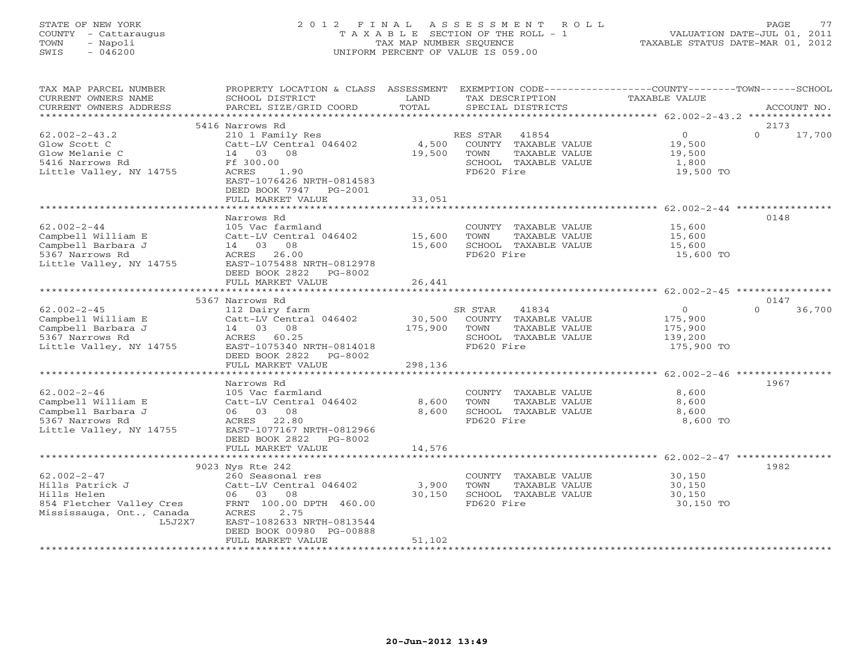# STATE OF NEW YORK 2 0 1 2 F I N A L A S S E S S M E N T R O L L PAGE 77 COUNTY - Cattaraugus T A X A B L E SECTION OF THE ROLL - 1 VALUATION DATE-JUL 01, 2011 TOWN - Napoli TAX MAP NUMBER SEQUENCE TAXABLE STATUS DATE-MAR 01, 2012 SWIS - 046200 UNIFORM PERCENT OF VALUE IS 059.00UNIFORM PERCENT OF VALUE IS 059.00

| TAX MAP PARCEL NUMBER<br>CURRENT OWNERS NAME<br>CURRENT OWNERS ADDRESS                                                 | PROPERTY LOCATION & CLASS ASSESSMENT EXEMPTION CODE---------------COUNTY-------TOWN-----SCHOOL<br>SCHOOL DISTRICT<br>PARCEL SIZE/GRID COORD                 | LAND<br>TOTAL       | TAX DESCRIPTION<br>SPECIAL DISTRICTS                                                                           | <b>TAXABLE VALUE</b>                                          | ACCOUNT NO.        |
|------------------------------------------------------------------------------------------------------------------------|-------------------------------------------------------------------------------------------------------------------------------------------------------------|---------------------|----------------------------------------------------------------------------------------------------------------|---------------------------------------------------------------|--------------------|
|                                                                                                                        |                                                                                                                                                             |                     |                                                                                                                |                                                               |                    |
|                                                                                                                        | 5416 Narrows Rd                                                                                                                                             |                     |                                                                                                                |                                                               | 2173               |
| $62.002 - 2 - 43.2$<br>Glow Scott C<br>Glow Melanie C<br>5416 Narrows Rd<br>Little Valley, NY 14755                    | 210 1 Family Res<br>Catt-LV Central 046402<br>14 03 08<br>Ff 300.00<br>ACRES<br>1.90<br>EAST-1076426 NRTH-0814583<br>DEED BOOK 7947 PG-2001                 | 4,500<br>19,500     | 41854<br>RES STAR<br>COUNTY TAXABLE VALUE<br>TOWN<br>TAXABLE VALUE<br>SCHOOL TAXABLE VALUE<br>FD620 Fire       | $\overline{0}$<br>19,500<br>19,500<br>1,800<br>19,500 TO      | $\Omega$<br>17,700 |
|                                                                                                                        | FULL MARKET VALUE                                                                                                                                           | 33,051              |                                                                                                                |                                                               |                    |
|                                                                                                                        | ********************                                                                                                                                        | ******************* |                                                                                                                |                                                               |                    |
| $62.002 - 2 - 44$<br>Campbell William E<br>Campbell Barbara J<br>5367 Narrows Rd<br>Little Valley, NY 14755            | Narrows Rd<br>105 Vac farmland<br>Catt-LV Central 046402<br>14 03 08<br>ACRES 26.00<br>EAST-1075488 NRTH-0812978<br>DEED BOOK 2822<br>PG-8002               | 15,600<br>15,600    | COUNTY TAXABLE VALUE<br>TAXABLE VALUE<br>TOWN<br>SCHOOL TAXABLE VALUE<br>FD620 Fire                            | 15,600<br>15,600<br>15,600<br>15,600 TO                       | 0148               |
|                                                                                                                        | FULL MARKET VALUE                                                                                                                                           | 26,441              |                                                                                                                |                                                               |                    |
|                                                                                                                        |                                                                                                                                                             |                     |                                                                                                                |                                                               |                    |
|                                                                                                                        | 5367 Narrows Rd                                                                                                                                             |                     |                                                                                                                |                                                               | 0147               |
| $62.002 - 2 - 45$<br>Campbell William E<br>Campbell Barbara J<br>5367 Narrows Rd<br>Little Valley, NY 14755            | 112 Dairy farm<br>Catt-LV Central 046402<br>14  03  08<br>ACRES 60.25<br>EAST-1075340 NRTH-0814018<br>DEED BOOK 2822 PG-8002                                | 175,900             | SR STAR<br>41834<br>30,500 COUNTY TAXABLE VALUE<br>TOWN<br>TAXABLE VALUE<br>SCHOOL TAXABLE VALUE<br>FD620 Fire | $\overline{0}$<br>175,900<br>175,900<br>139,200<br>175,900 TO | $\Omega$<br>36,700 |
|                                                                                                                        | FULL MARKET VALUE<br>************************                                                                                                               | 298,136             |                                                                                                                |                                                               |                    |
|                                                                                                                        | Narrows Rd                                                                                                                                                  |                     |                                                                                                                |                                                               | 1967               |
| $62.002 - 2 - 46$<br>Campbell William E<br>Campbell Barbara J<br>5367 Narrows Rd<br>Little Valley, NY 14755            | 105 Vac farmland<br>Catt-LV Central 046402<br>06 03 08<br>ACRES 22.80<br>EAST-1077167 NRTH-0812966                                                          | 8,600<br>8,600      | COUNTY TAXABLE VALUE<br>TOWN<br>TAXABLE VALUE<br>SCHOOL TAXABLE VALUE<br>FD620 Fire                            | 8,600<br>8,600<br>8,600<br>8,600 TO                           |                    |
|                                                                                                                        | DEED BOOK 2822 PG-8002<br>FULL MARKET VALUE                                                                                                                 | 14,576              |                                                                                                                |                                                               |                    |
|                                                                                                                        |                                                                                                                                                             |                     |                                                                                                                |                                                               |                    |
|                                                                                                                        | 9023 Nys Rte 242                                                                                                                                            |                     |                                                                                                                |                                                               | 1982               |
| $62.002 - 2 - 47$<br>Hills Patrick J<br>Hills Helen<br>854 Fletcher Valley Cres<br>Mississauga, Ont., Canada<br>L5J2X7 | 260 Seasonal res<br>Catt-LV Central 046402<br>06 03 08<br>FRNT 100.00 DPTH 460.00<br>ACRES<br>2.75<br>EAST-1082633 NRTH-0813544<br>DEED BOOK 00980 PG-00888 | 3,900<br>30,150     | COUNTY TAXABLE VALUE<br>TOWN<br>TAXABLE VALUE<br>SCHOOL TAXABLE VALUE<br>FD620 Fire                            | 30,150<br>30,150<br>30,150<br>30,150 TO                       |                    |
|                                                                                                                        | FULL MARKET VALUE                                                                                                                                           | 51,102              |                                                                                                                |                                                               |                    |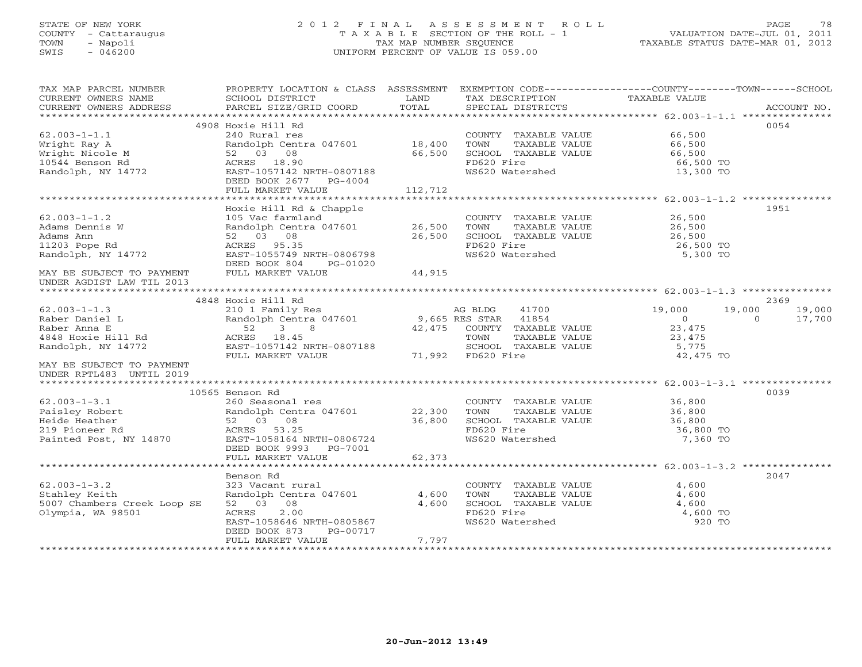# STATE OF NEW YORK 2 0 1 2 F I N A L A S S E S S M E N T R O L L PAGE 78 COUNTY - Cattaraugus T A X A B L E SECTION OF THE ROLL - 1 VALUATION DATE-JUL 01, 2011 TOWN - Napoli TAX MAP NUMBER SEQUENCE TAXABLE STATUS DATE-MAR 01, 2012 SWIS - 046200 UNIFORM PERCENT OF VALUE IS 059.00UNIFORM PERCENT OF VALUE IS 059.00

| TAX MAP PARCEL NUMBER<br>CURRENT OWNERS NAME<br>CURRENT OWNERS ADDRESS | PROPERTY LOCATION & CLASS ASSESSMENT<br>SCHOOL DISTRICT<br>PARCEL SIZE/GRID COORD | LAND<br>TOTAL           | TAX DESCRIPTION<br>SPECIAL DISTRICTS | EXEMPTION CODE-----------------COUNTY-------TOWN------SCHOOL<br>TAXABLE VALUE | ACCOUNT NO. |
|------------------------------------------------------------------------|-----------------------------------------------------------------------------------|-------------------------|--------------------------------------|-------------------------------------------------------------------------------|-------------|
|                                                                        |                                                                                   |                         |                                      |                                                                               |             |
|                                                                        | 4908 Hoxie Hill Rd                                                                |                         |                                      | 0054                                                                          |             |
| $62.003 - 1 - 1.1$                                                     | 240 Rural res                                                                     |                         | COUNTY TAXABLE VALUE                 | 66,500                                                                        |             |
| Wright Ray A                                                           | Randolph Centra 047601 18,400                                                     |                         | TOWN<br>TAXABLE VALUE                | 66,500<br>66,500<br>66,500                                                    |             |
| Wright Nicole M                                                        | 52 03 08                                                                          | 66,500                  | SCHOOL TAXABLE VALUE                 |                                                                               |             |
| 10544 Benson Rd<br>Randolph, NY 14772                                  | ACRES 18.90<br>EAST-1057142 NRTH-0807188                                          |                         | FD620 Fire<br>WS620 Watershed        | 66,500 TO<br>13,300 TO                                                        |             |
|                                                                        | DEED BOOK 2677 PG-4004                                                            |                         |                                      |                                                                               |             |
|                                                                        | FULL MARKET VALUE                                                                 | 112,712                 |                                      |                                                                               |             |
|                                                                        |                                                                                   |                         |                                      |                                                                               |             |
|                                                                        | Hoxie Hill Rd & Chapple                                                           |                         |                                      | 1951                                                                          |             |
| $62.003 - 1 - 1.2$                                                     | 105 Vac farmland                                                                  |                         | COUNTY TAXABLE VALUE                 | 26,500                                                                        |             |
| Adams Dennis W                                                         | Randolph Centra 047601                                                            | 26,500                  | TOWN<br>TAXABLE VALUE                | 26,500                                                                        |             |
| Adams Ann                                                              | 52 03 08                                                                          | 26,500                  | SCHOOL TAXABLE VALUE                 | 26,500                                                                        |             |
| 11203 Pope Rd                                                          | ACRES 95.35                                                                       |                         | FD620 Fire<br>WS620 Watershed        | 26,500 TO                                                                     |             |
| Randolph, NY 14772                                                     | EAST-1055749 NRTH-0806798                                                         |                         |                                      | 5,300 TO                                                                      |             |
|                                                                        | DEED BOOK 804<br>PG-01020                                                         |                         |                                      |                                                                               |             |
| MAY BE SUBJECT TO PAYMENT<br>UNDER AGDIST LAW TIL 2013                 | FULL MARKET VALUE                                                                 | 44,915                  |                                      |                                                                               |             |
|                                                                        |                                                                                   |                         |                                      |                                                                               |             |
|                                                                        | 4848 Hoxie Hill Rd                                                                |                         |                                      | 2369                                                                          |             |
| $62.003 - 1 - 1.3$                                                     | 210 1 Family Res<br>Randolph Centra 047601 9,665 RES STAR 41854                   |                         |                                      | 19,000<br>19,000                                                              | 19,000      |
| Raber Daniel L                                                         |                                                                                   |                         |                                      | $\overline{0}$<br>$\Omega$                                                    | 17,700      |
| Raber Anna E                                                           | 52 3 8                                                                            |                         | 42,475 COUNTY TAXABLE VALUE          | 23,475                                                                        |             |
| 4848 Hoxie Hill Rd                                                     | ACRES 18.45                                                                       |                         | TOWN<br>TAXABLE VALUE                | 23,475                                                                        |             |
| Randolph, NY 14772                                                     | EAST-1057142 NRTH-0807188                                                         |                         | SCHOOL TAXABLE VALUE                 | 5,775                                                                         |             |
|                                                                        | FULL MARKET VALUE                                                                 |                         | 71,992 FD620 Fire                    | 42,475 TO                                                                     |             |
| MAY BE SUBJECT TO PAYMENT                                              |                                                                                   |                         |                                      |                                                                               |             |
| UNDER RPTL483 UNTIL 2019                                               |                                                                                   |                         |                                      |                                                                               |             |
|                                                                        | 10565 Benson Rd                                                                   |                         |                                      | 0039                                                                          |             |
| $62.003 - 1 - 3.1$                                                     | 260 Seasonal res                                                                  |                         | COUNTY TAXABLE VALUE                 | 36,800                                                                        |             |
| Paisley Robert                                                         | Randolph Centra 047601                                                            | 22,300                  | TOWN<br>TAXABLE VALUE                | 36,800                                                                        |             |
| Heide Heather                                                          | 52 03 08                                                                          | 36,800                  | SCHOOL TAXABLE VALUE                 | 36,800                                                                        |             |
| 219 Pioneer Rd                                                         | ACRES 53.25                                                                       |                         | FD620 Fire                           | 36,800 TO                                                                     |             |
| Painted Post, NY 14870                                                 | EAST-1058164 NRTH-0806724                                                         |                         | WS620 Watershed                      | 7,360 TO                                                                      |             |
|                                                                        | DEED BOOK 9993 PG-7001                                                            |                         |                                      |                                                                               |             |
|                                                                        | FULL MARKET VALUE<br>************************                                     | 62,373<br>************* |                                      |                                                                               |             |
|                                                                        |                                                                                   |                         |                                      | ********************* 62.003-1-3.2 ***************                            |             |
| $62.003 - 1 - 3.2$                                                     | Benson Rd<br>323 Vacant rural                                                     |                         | COUNTY TAXABLE VALUE                 | 2047<br>4,600                                                                 |             |
| Stahley Keith                                                          | Randolph Centra 047601                                                            | 4,600                   | TOWN<br>TAXABLE VALUE                | 4,600                                                                         |             |
| 5007 Chambers Creek Loop SE                                            | 52 03 08                                                                          | 4,600                   | SCHOOL TAXABLE VALUE                 | 4,600                                                                         |             |
| Olympia, WA 98501                                                      | 2.00<br>ACRES                                                                     |                         | FD620 Fire                           | 4,600 TO                                                                      |             |
|                                                                        | EAST-1058646 NRTH-0805867                                                         |                         | WS620 Watershed                      | 920 TO                                                                        |             |
|                                                                        | DEED BOOK 873<br>PG-00717                                                         |                         |                                      |                                                                               |             |
|                                                                        | FULL MARKET VALUE                                                                 | 7,797                   |                                      |                                                                               |             |
| ************************                                               |                                                                                   |                         |                                      |                                                                               |             |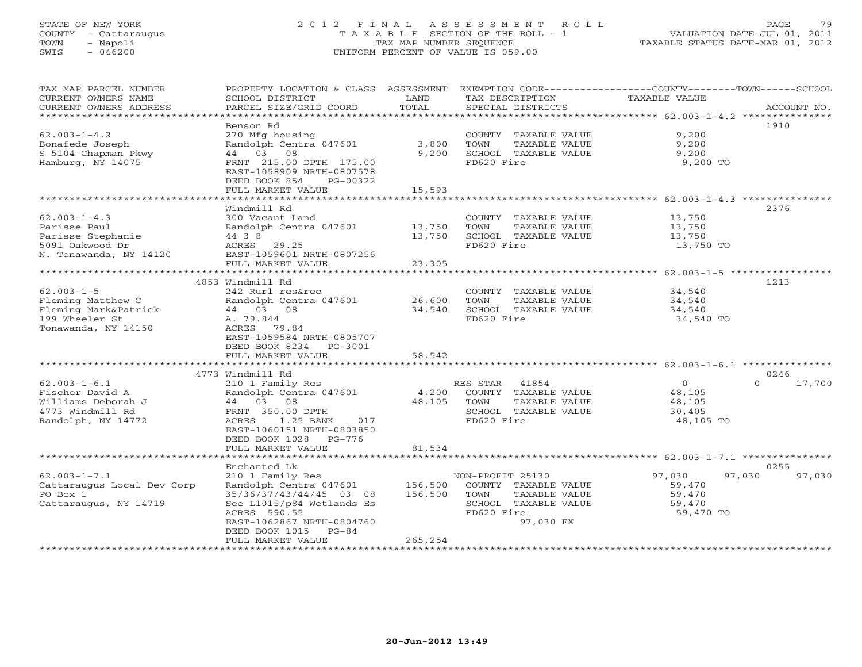# STATE OF NEW YORK 2 0 1 2 F I N A L A S S E S S M E N T R O L L PAGE 79 COUNTY - Cattaraugus T A X A B L E SECTION OF THE ROLL - 1 VALUATION DATE-JUL 01, 2011 TOWN - Napoli TAX MAP NUMBER SEQUENCE TAXABLE STATUS DATE-MAR 01, 2012 SWIS - 046200 UNIFORM PERCENT OF VALUE IS 059.00UNIFORM PERCENT OF VALUE IS 059.00

| TAX MAP PARCEL NUMBER<br>CURRENT OWNERS NAME<br>CURRENT OWNERS ADDRESS | PROPERTY LOCATION & CLASS ASSESSMENT<br>SCHOOL DISTRICT<br>PARCEL SIZE/GRID COORD | LAND<br>TOTAL | TAX DESCRIPTION<br>SPECIAL DISTRICTS | EXEMPTION CODE----------------COUNTY-------TOWN-----SCHOOL<br>TAXABLE VALUE | ACCOUNT NO.        |
|------------------------------------------------------------------------|-----------------------------------------------------------------------------------|---------------|--------------------------------------|-----------------------------------------------------------------------------|--------------------|
|                                                                        |                                                                                   |               |                                      |                                                                             |                    |
|                                                                        | Benson Rd                                                                         |               |                                      |                                                                             | 1910               |
| $62.003 - 1 - 4.2$                                                     | 270 Mfg housing                                                                   |               | COUNTY TAXABLE VALUE                 | 9,200                                                                       |                    |
| Bonafede Joseph                                                        | Randolph Centra 047601                                                            | 3,800         | TOWN<br>TAXABLE VALUE                | 9,200                                                                       |                    |
| S 5104 Chapman Pkwy                                                    | 44 03 08                                                                          | 9,200         | SCHOOL TAXABLE VALUE                 | 9,200                                                                       |                    |
| Hamburg, NY 14075                                                      | FRNT 215.00 DPTH 175.00<br>EAST-1058909 NRTH-0807578                              |               | FD620 Fire                           | 9,200 TO                                                                    |                    |
|                                                                        | DEED BOOK 854<br>PG-00322                                                         |               |                                      |                                                                             |                    |
|                                                                        | FULL MARKET VALUE                                                                 | 15,593        |                                      |                                                                             |                    |
|                                                                        | Windmill Rd                                                                       |               |                                      |                                                                             | 2376               |
| $62.003 - 1 - 4.3$                                                     | 300 Vacant Land                                                                   |               | COUNTY TAXABLE VALUE                 | 13,750                                                                      |                    |
| Parisse Paul                                                           | Randolph Centra 047601                                                            | 13,750        | TOWN<br>TAXABLE VALUE                | 13,750                                                                      |                    |
| Parisse Stephanie                                                      | 44 3 8                                                                            | 13,750        | SCHOOL TAXABLE VALUE                 | 13,750                                                                      |                    |
| 5091 Oakwood Dr                                                        | ACRES 29.25                                                                       |               | FD620 Fire                           | 13,750 TO                                                                   |                    |
| N. Tonawanda, NY 14120                                                 | EAST-1059601 NRTH-0807256                                                         |               |                                      |                                                                             |                    |
|                                                                        | FULL MARKET VALUE                                                                 | 23,305        |                                      |                                                                             |                    |
|                                                                        |                                                                                   |               |                                      |                                                                             |                    |
|                                                                        | 4853 Windmill Rd                                                                  |               |                                      |                                                                             | 1213               |
| $62.003 - 1 - 5$                                                       | 242 Rurl res&rec                                                                  |               | COUNTY TAXABLE VALUE                 | 34,540                                                                      |                    |
| Fleming Matthew C                                                      | Randolph Centra 047601                                                            | 26,600        | TAXABLE VALUE<br>TOWN                | 34,540                                                                      |                    |
| Fleming Mark&Patrick                                                   | 44 03 08                                                                          | 34,540        | SCHOOL TAXABLE VALUE                 | 34,540                                                                      |                    |
| 199 Wheeler St                                                         | A. 79.844                                                                         |               | FD620 Fire                           | 34,540 TO                                                                   |                    |
| Tonawanda, NY 14150                                                    | ACRES 79.84                                                                       |               |                                      |                                                                             |                    |
|                                                                        | EAST-1059584 NRTH-0805707                                                         |               |                                      |                                                                             |                    |
|                                                                        | DEED BOOK 8234 PG-3001                                                            |               |                                      |                                                                             |                    |
|                                                                        | FULL MARKET VALUE                                                                 | 58,542        |                                      |                                                                             |                    |
|                                                                        |                                                                                   |               |                                      |                                                                             |                    |
|                                                                        | 4773 Windmill Rd                                                                  |               |                                      |                                                                             | 0246               |
| $62.003 - 1 - 6.1$                                                     | 210 1 Family Res                                                                  |               | RES STAR<br>41854                    | $\circ$                                                                     | $\Omega$<br>17,700 |
| Fischer David A                                                        | Randolph Centra 047601                                                            | 4,200         | COUNTY TAXABLE VALUE                 | 48,105                                                                      |                    |
| Williams Deborah J                                                     | 44 03 08                                                                          | 48,105        | TAXABLE VALUE<br>TOWN                | 48,105                                                                      |                    |
| 4773 Windmill Rd<br>Randolph, NY 14772                                 | FRNT 350.00 DPTH<br>ACRES 1.25 BANK<br>017                                        |               | SCHOOL TAXABLE VALUE<br>FD620 Fire   | 30,405<br>48,105 TO                                                         |                    |
|                                                                        | EAST-1060151 NRTH-0803850                                                         |               |                                      |                                                                             |                    |
|                                                                        | DEED BOOK 1028 PG-776                                                             |               |                                      |                                                                             |                    |
|                                                                        | FULL MARKET VALUE                                                                 | 81,534        |                                      |                                                                             |                    |
|                                                                        |                                                                                   |               |                                      |                                                                             |                    |
|                                                                        | Enchanted Lk                                                                      |               |                                      |                                                                             | 0255               |
| $62.003 - 1 - 7.1$                                                     | 210 1 Family Res                                                                  |               | NON-PROFIT 25130                     | 97,030<br>97,030                                                            | 97,030             |
| Cattaraugus Local Dev Corp                                             | Randolph Centra 047601                                                            | 156,500       | COUNTY TAXABLE VALUE                 | 59,470                                                                      |                    |
| PO Box 1                                                               | 35/36/37/43/44/45 03 08                                                           | 156,500       | TAXABLE VALUE<br>TOWN                | 59,470                                                                      |                    |
| Cattaraugus, NY 14719                                                  | See L1015/p84 Wetlands Es                                                         |               | SCHOOL TAXABLE VALUE                 | 59,470                                                                      |                    |
|                                                                        | ACRES 590.55                                                                      |               | FD620 Fire                           | 59,470 TO                                                                   |                    |
|                                                                        | EAST-1062867 NRTH-0804760                                                         |               | 97,030 EX                            |                                                                             |                    |
|                                                                        | DEED BOOK 1015<br>$PG-84$                                                         |               |                                      |                                                                             |                    |
|                                                                        | FULL MARKET VALUE                                                                 | 265,254       |                                      |                                                                             |                    |
|                                                                        |                                                                                   |               |                                      |                                                                             |                    |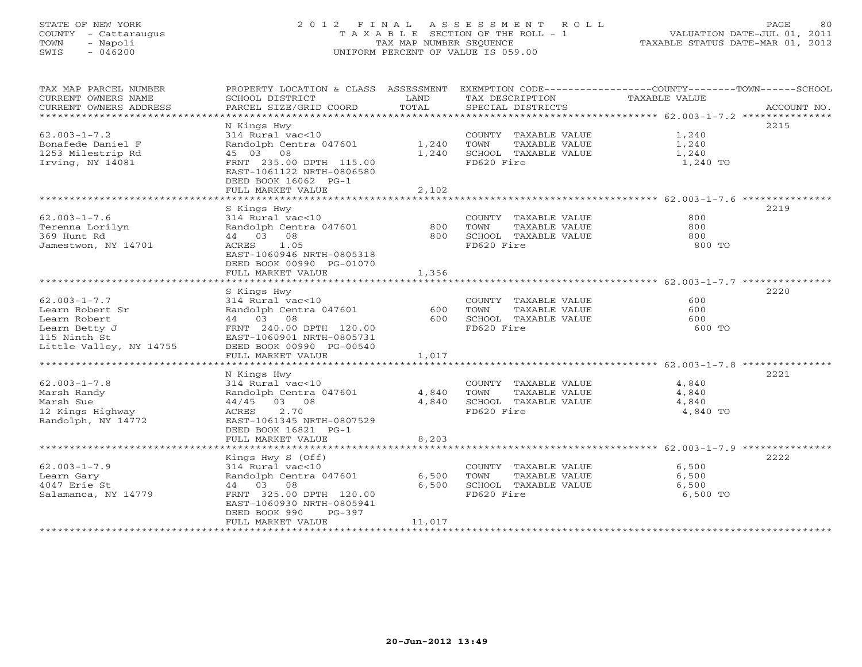# STATE OF NEW YORK 2 0 1 2 F I N A L A S S E S S M E N T R O L L PAGE 80 COUNTY - Cattaraugus T A X A B L E SECTION OF THE ROLL - 1 VALUATION DATE-JUL 01, 2011 TOWN - Napoli TAX MAP NUMBER SEQUENCE TAXABLE STATUS DATE-MAR 01, 2012 SWIS - 046200 UNIFORM PERCENT OF VALUE IS 059.00UNIFORM PERCENT OF VALUE IS 059.00

| TAX MAP PARCEL NUMBER<br>CURRENT OWNERS NAME<br>CURRENT OWNERS ADDRESS                                            | PROPERTY LOCATION & CLASS ASSESSMENT<br>SCHOOL DISTRICT<br>PARCEL SIZE/GRID COORD                                                                                                     | LAND<br>TOTAL            | TAX DESCRIPTION<br>SERCIAL DISTRICTS<br>SPECIAL DISTRICTS                           | EXEMPTION CODE-----------------COUNTY-------TOWN------SCHOOL<br>ACCOUNT NO. |
|-------------------------------------------------------------------------------------------------------------------|---------------------------------------------------------------------------------------------------------------------------------------------------------------------------------------|--------------------------|-------------------------------------------------------------------------------------|-----------------------------------------------------------------------------|
| $62.003 - 1 - 7.2$<br>Bonafede Daniel F<br>1253 Milestrip Rd<br>Irving, NY 14081                                  | N Kings Hwy<br>314 Rural vac<10<br>Randolph Centra 047601<br>45 03 08<br>FRNT 235.00 DPTH 115.00<br>EAST-1061122 NRTH-0806580<br>DEED BOOK 16062 PG-1<br>FULL MARKET VALUE            | 1,240<br>1,240<br>2,102  | COUNTY TAXABLE VALUE<br>TAXABLE VALUE<br>TOWN<br>SCHOOL TAXABLE VALUE<br>FD620 Fire | 2215<br>1,240<br>1,240<br>1,240<br>1,240 TO                                 |
|                                                                                                                   | S Kings Hwy                                                                                                                                                                           |                          |                                                                                     | 2219                                                                        |
| $62.003 - 1 - 7.6$<br>Terenna Lorilyn<br>369 Hunt Rd<br>Jamestwon, NY 14701                                       | 314 Rural vac<10<br>Randolph Centra 047601<br>44 03 08<br>ACRES 1.05<br>EAST-1060946 NRTH-0805318<br>DEED BOOK 00990 PG-01070<br>FULL MARKET VALUE                                    | 800<br>800<br>1,356      | COUNTY TAXABLE VALUE<br>TOWN<br>TAXABLE VALUE<br>SCHOOL TAXABLE VALUE<br>FD620 Fire | 800<br>800<br>800<br>800 TO                                                 |
|                                                                                                                   |                                                                                                                                                                                       |                          |                                                                                     |                                                                             |
| $62.003 - 1 - 7.7$<br>Learn Robert Sr<br>Learn Robert<br>Learn Betty J<br>115 Ninth St<br>Little Valley, NY 14755 | S Kings Hwy<br>314 Rural vac<10<br>Randolph Centra 047601<br>44 03 08<br>FRNT 240.00 DPTH 120.00<br>EAST-1060901 NRTH-0805731<br>DEED BOOK 00990 PG-00540                             | 600<br>600               | COUNTY TAXABLE VALUE<br>TOWN<br>TAXABLE VALUE<br>SCHOOL TAXABLE VALUE<br>FD620 Fire | 2220<br>600<br>600<br>600<br>600 TO                                         |
|                                                                                                                   | FULL MARKET VALUE                                                                                                                                                                     | 1,017                    |                                                                                     |                                                                             |
| $62.003 - 1 - 7.8$                                                                                                | N Kings Hwy<br>314 Rural vac<10                                                                                                                                                       |                          | COUNTY TAXABLE VALUE                                                                | 2221<br>4,840                                                               |
| Marsh Randy<br>Marsh Sue<br>12 Kings Highway<br>Randolph, NY 14772                                                | Randolph Centra 047601<br>$44/45$ 03 08<br>ACRES 2.70<br>EAST-1061345 NRTH-0807529<br>DEED BOOK 16821 PG-1<br>FULL MARKET VALUE                                                       | 4,840<br>4,840<br>8,203  | TAXABLE VALUE<br>TOWN<br>SCHOOL TAXABLE VALUE<br>FD620 Fire                         | 4,840<br>4,840<br>4,840 TO                                                  |
|                                                                                                                   |                                                                                                                                                                                       |                          |                                                                                     |                                                                             |
| $62.003 - 1 - 7.9$<br>Learn Gary<br>4047 Erie St<br>Salamanca, NY 14779                                           | Kings Hwy S (Off)<br>314 Rural vac<10<br>Randolph Centra 047601<br>44 03 08<br>FRNT 325.00 DPTH 120.00<br>EAST-1060930 NRTH-0805941<br>DEED BOOK 990<br>$PG-397$<br>FULL MARKET VALUE | 6,500<br>6,500<br>11,017 | COUNTY TAXABLE VALUE<br>TAXABLE VALUE<br>TOWN<br>SCHOOL TAXABLE VALUE<br>FD620 Fire | 2222<br>6,500<br>6,500<br>6,500<br>6,500 TO                                 |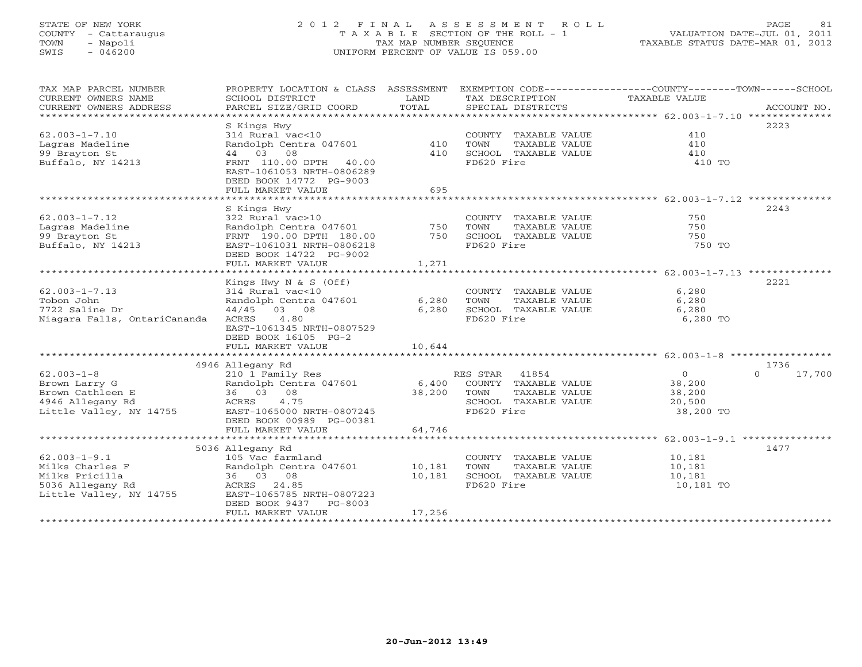# STATE OF NEW YORK 2 0 1 2 F I N A L A S S E S S M E N T R O L L PAGE 81 COUNTY - Cattaraugus T A X A B L E SECTION OF THE ROLL - 1 VALUATION DATE-JUL 01, 2011 TOWN - Napoli TAX MAP NUMBER SEQUENCE TAXABLE STATUS DATE-MAR 01, 2012 SWIS - 046200 UNIFORM PERCENT OF VALUE IS 059.00UNIFORM PERCENT OF VALUE IS 059.00

| TAX MAP PARCEL NUMBER<br>CURRENT OWNERS NAME<br>CURRENT OWNERS ADDRESS | PROPERTY LOCATION & CLASS ASSESSMENT<br>SCHOOL DISTRICT<br>PARCEL SIZE/GRID COORD | LAND<br>TOTAL  | TAX DESCRIPTION<br>SPECIAL DISTRICTS | EXEMPTION CODE-----------------COUNTY-------TOWN------SCHOOL<br>TAXABLE VALUE | ACCOUNT NO.        |
|------------------------------------------------------------------------|-----------------------------------------------------------------------------------|----------------|--------------------------------------|-------------------------------------------------------------------------------|--------------------|
| **********************                                                 |                                                                                   |                |                                      |                                                                               |                    |
|                                                                        | S Kings Hwy                                                                       |                |                                      |                                                                               | 2223               |
| $62.003 - 1 - 7.10$                                                    | 314 Rural vac<10                                                                  |                | COUNTY TAXABLE VALUE                 | 410                                                                           |                    |
| Lagras Madeline                                                        | Randolph Centra 047601                                                            | 410            | TOWN<br>TAXABLE VALUE                | 410                                                                           |                    |
| 99 Brayton St                                                          | 44 03 08                                                                          | 410            | SCHOOL TAXABLE VALUE                 | 410                                                                           |                    |
| Buffalo, NY 14213                                                      | FRNT 110.00 DPTH 40.00<br>EAST-1061053 NRTH-0806289<br>DEED BOOK 14772 PG-9003    |                | FD620 Fire                           | 410 TO                                                                        |                    |
|                                                                        | FULL MARKET VALUE                                                                 | 695            |                                      |                                                                               |                    |
|                                                                        |                                                                                   |                |                                      |                                                                               |                    |
|                                                                        | S Kings Hwy                                                                       |                |                                      |                                                                               | 2243               |
| $62.003 - 1 - 7.12$                                                    | 322 Rural vac>10                                                                  |                | COUNTY TAXABLE VALUE                 | 750                                                                           |                    |
| Lagras Madeline                                                        | Randolph Centra 047601                                                            | 750            | TOWN<br>TAXABLE VALUE                | 750                                                                           |                    |
| 99 Brayton St                                                          | FRNT 190.00 DPTH 180.00                                                           | 750            | SCHOOL TAXABLE VALUE                 | 750                                                                           |                    |
| Buffalo, NY 14213                                                      | EAST-1061031 NRTH-0806218                                                         |                | FD620 Fire                           | 750 TO                                                                        |                    |
|                                                                        | DEED BOOK 14722 PG-9002                                                           |                |                                      |                                                                               |                    |
|                                                                        | FULL MARKET VALUE                                                                 | 1,271          |                                      |                                                                               |                    |
|                                                                        |                                                                                   |                |                                      | *********************** 62.003-1-7.13 **************                          |                    |
|                                                                        | Kings Hwy $N & S$ (Off)                                                           |                |                                      |                                                                               | 2221               |
| $62.003 - 1 - 7.13$<br>Tobon John                                      | 314 Rural vac<10                                                                  |                | COUNTY TAXABLE VALUE                 | 6,280                                                                         |                    |
| 7722 Saline Dr                                                         | Randolph Centra 047601<br>03 08                                                   | 6,280<br>6,280 | <b>TOWN</b><br>TAXABLE VALUE         | 6,280<br>6,280                                                                |                    |
| Niagara Falls, OntariCananda                                           | 44/45<br>4.80<br>ACRES                                                            |                | SCHOOL TAXABLE VALUE<br>FD620 Fire   | 6,280 TO                                                                      |                    |
|                                                                        | EAST-1061345 NRTH-0807529                                                         |                |                                      |                                                                               |                    |
|                                                                        | DEED BOOK 16105 PG-2                                                              |                |                                      |                                                                               |                    |
|                                                                        | FULL MARKET VALUE                                                                 | 10,644         |                                      |                                                                               |                    |
|                                                                        |                                                                                   |                |                                      |                                                                               |                    |
|                                                                        | 4946 Allegany Rd                                                                  |                |                                      |                                                                               | 1736               |
| $62.003 - 1 - 8$                                                       | 210 1 Family Res                                                                  |                | RES STAR<br>41854                    | $\circ$                                                                       | $\Omega$<br>17,700 |
| Brown Larry G                                                          | Randolph Centra 047601                                                            | 6,400          | COUNTY TAXABLE VALUE                 | 38,200                                                                        |                    |
| Brown Cathleen E                                                       | 08<br>36 03                                                                       | 38,200         | TOWN<br>TAXABLE VALUE                | 38,200                                                                        |                    |
| 4946 Allegany Rd                                                       | 4.75<br>ACRES                                                                     |                | SCHOOL TAXABLE VALUE                 | 20,500                                                                        |                    |
| Little Valley, NY 14755                                                | EAST-1065000 NRTH-0807245                                                         |                | FD620 Fire                           | 38,200 TO                                                                     |                    |
|                                                                        | DEED BOOK 00989 PG-00381                                                          |                |                                      |                                                                               |                    |
|                                                                        | FULL MARKET VALUE                                                                 | 64,746         |                                      |                                                                               |                    |
|                                                                        |                                                                                   |                |                                      |                                                                               |                    |
|                                                                        | 5036 Allegany Rd                                                                  |                |                                      |                                                                               | 1477               |
| $62.003 - 1 - 9.1$                                                     | 105 Vac farmland                                                                  |                | COUNTY TAXABLE VALUE                 | 10,181                                                                        |                    |
| Milks Charles F                                                        | Randolph Centra 047601                                                            | 10,181         | TOWN<br>TAXABLE VALUE                | 10,181                                                                        |                    |
| Milks Pricilla<br>5036 Allegany Rd                                     | 36 03 08<br>ACRES<br>24.85                                                        | 10,181         | SCHOOL TAXABLE VALUE<br>FD620 Fire   | 10,181<br>10,181 TO                                                           |                    |
| Little Valley, NY 14755                                                | EAST-1065785 NRTH-0807223                                                         |                |                                      |                                                                               |                    |
|                                                                        | DEED BOOK 9437<br>PG-8003                                                         |                |                                      |                                                                               |                    |
|                                                                        | FULL MARKET VALUE                                                                 | 17,256         |                                      |                                                                               |                    |
|                                                                        |                                                                                   |                |                                      |                                                                               |                    |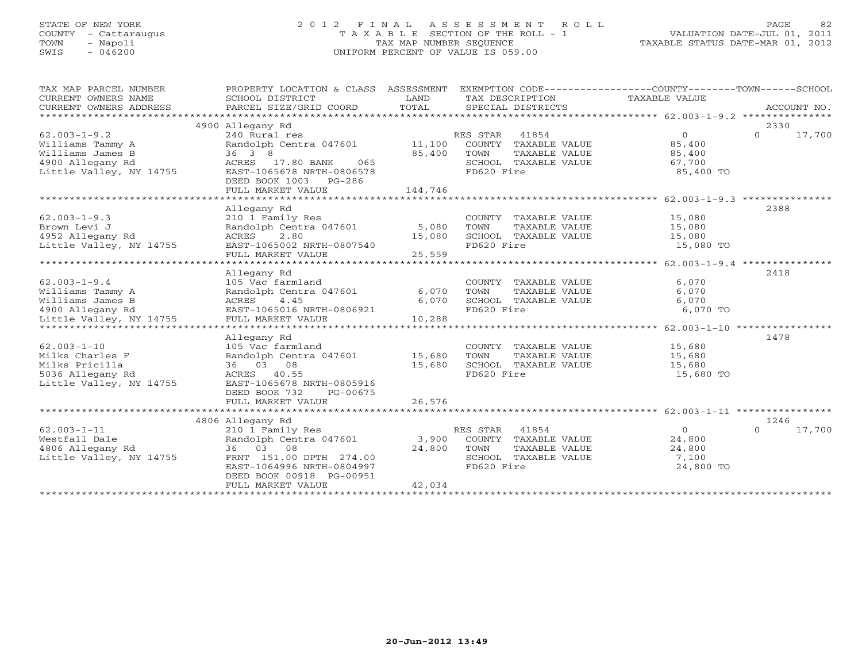# STATE OF NEW YORK 2 0 1 2 F I N A L A S S E S S M E N T R O L L PAGE 82 COUNTY - Cattaraugus T A X A B L E SECTION OF THE ROLL - 1 VALUATION DATE-JUL 01, 2011 TOWN - Napoli TAX MAP NUMBER SEQUENCE TAXABLE STATUS DATE-MAR 01, 2012 SWIS - 046200 UNIFORM PERCENT OF VALUE IS 059.00UNIFORM PERCENT OF VALUE IS 059.00

| TAX MAP PARCEL NUMBER<br>CURRENT OWNERS NAME<br>CURRENT OWNERS ADDRESS | PROPERTY LOCATION & CLASS ASSESSMENT<br>SCHOOL DISTRICT<br>PARCEL SIZE/GRID COORD | LAND<br>TOTAL | EXEMPTION CODE-----------------COUNTY-------TOWN------SCHOOL<br>TAX DESCRIPTION TAXABLE VALUE<br>SPECIAL DISTRICTS |                | ACCOUNT NO.        |
|------------------------------------------------------------------------|-----------------------------------------------------------------------------------|---------------|--------------------------------------------------------------------------------------------------------------------|----------------|--------------------|
|                                                                        | 4900 Allegany Rd                                                                  |               |                                                                                                                    |                | 2330               |
| $62.003 - 1 - 9.2$                                                     | 240 Rural res                                                                     |               | RES STAR 41854                                                                                                     | $\Omega$       | $\Omega$<br>17,700 |
| Williams Tammy A                                                       | Randolph Centra 047601 11,100                                                     |               | COUNTY TAXABLE VALUE                                                                                               | 85,400         |                    |
| Williams James B                                                       | 36 3 8                                                                            | 85,400        | TOWN<br>TAXABLE VALUE                                                                                              | 85,400         |                    |
| 4900 Allegany Rd                                                       | ACRES 17.80 BANK<br>065                                                           |               | SCHOOL TAXABLE VALUE                                                                                               | 67,700         |                    |
| Little Valley, NY 14755                                                | EAST-1065678 NRTH-0806578                                                         |               | FD620 Fire                                                                                                         | 85,400 TO      |                    |
|                                                                        | DEED BOOK 1003 PG-286                                                             |               |                                                                                                                    |                |                    |
|                                                                        | FULL MARKET VALUE                                                                 | 144,746       |                                                                                                                    |                |                    |
|                                                                        | ********************************                                                  |               |                                                                                                                    |                |                    |
|                                                                        | Allegany Rd                                                                       |               |                                                                                                                    |                | 2388               |
| $62.003 - 1 - 9.3$                                                     | 210 1 Family Res                                                                  |               | COUNTY TAXABLE VALUE 15,080                                                                                        |                |                    |
| Brown Levi J                                                           | Randolph Centra 047601                                                            | 5,080         | TOWN<br>TAXABLE VALUE                                                                                              | 15,080         |                    |
| 4952 Allegany Rd                                                       | 2.80<br>ACRES                                                                     | 15,080        | SCHOOL TAXABLE VALUE                                                                                               | 15,080         |                    |
| Little Valley, NY 14755                                                | EAST-1065002 NRTH-0807540                                                         |               | FD620 Fire                                                                                                         | 15,080 TO      |                    |
|                                                                        | FULL MARKET VALUE                                                                 | 25,559        |                                                                                                                    |                |                    |
|                                                                        |                                                                                   |               |                                                                                                                    |                |                    |
|                                                                        | Allegany Rd                                                                       |               |                                                                                                                    |                | 2418               |
| $62.003 - 1 - 9.4$                                                     | 105 Vac farmland                                                                  |               | COUNTY TAXABLE VALUE                                                                                               | 6,070          |                    |
| Williams Tammy A                                                       | Randolph Centra 047601                                                            | 6,070         | TOWN<br>TAXABLE VALUE                                                                                              | 6,070          |                    |
| Williams James B                                                       | 4.45<br>ACRES                                                                     | 6,070         | SCHOOL TAXABLE VALUE<br>FD620 Fire                                                                                 | 6,070          |                    |
| 4900 Allegany Rd                                                       | EAST-1065016 NRTH-0806921                                                         |               | FD620 Fire                                                                                                         | 6,070 TO       |                    |
| Little Valley, NY 14755                                                | FULL MARKET VALUE                                                                 | 10,288        |                                                                                                                    |                |                    |
|                                                                        |                                                                                   |               |                                                                                                                    |                |                    |
|                                                                        | Allegany Rd                                                                       |               |                                                                                                                    |                | 1478               |
| $62.003 - 1 - 10$                                                      | 105 Vac farmland                                                                  |               | COUNTY TAXABLE VALUE                                                                                               | 15,680         |                    |
| Milks Charles F                                                        | Randolph Centra 047601 15,680                                                     |               | TAXABLE VALUE<br>TOWN                                                                                              | 15,680         |                    |
| Milks Pricilla                                                         | 36 03 08                                                                          | 15,680        | SCHOOL TAXABLE VALUE 15,680                                                                                        |                |                    |
| 5036 Allegany Rd                                                       | ACRES 40.55                                                                       |               | FD620 Fire                                                                                                         | 15,680 TO      |                    |
| Little Valley, NY 14755                                                | EAST-1065678 NRTH-0805916                                                         |               |                                                                                                                    |                |                    |
|                                                                        | DEED BOOK 732<br>PG-00675                                                         |               |                                                                                                                    |                |                    |
|                                                                        | FULL MARKET VALUE                                                                 | 26,576        |                                                                                                                    |                |                    |
|                                                                        |                                                                                   |               |                                                                                                                    |                |                    |
|                                                                        | 4806 Allegany Rd                                                                  |               |                                                                                                                    |                | 1246               |
| $62.003 - 1 - 11$                                                      | 210 1 Family Res                                                                  |               | RES STAR 41854                                                                                                     | $\overline{0}$ | $\Omega$<br>17,700 |
| Westfall Dale                                                          | Randolph Centra 047601 3,900                                                      |               | COUNTY TAXABLE VALUE                                                                                               | 24,800         |                    |
| 4806 Allegany Rd                                                       | 36 03 08                                                                          | 24,800        | TOWN<br>TAXABLE VALUE                                                                                              | 24,800         |                    |
| Little Valley, NY 14755                                                | FRNT 151.00 DPTH 274.00                                                           |               | SCHOOL TAXABLE VALUE                                                                                               | 7,100          |                    |
|                                                                        | EAST-1064996 NRTH-0804997                                                         |               | FD620 Fire                                                                                                         | 24,800 TO      |                    |
|                                                                        | DEED BOOK 00918 PG-00951                                                          |               |                                                                                                                    |                |                    |
|                                                                        | FULL MARKET VALUE                                                                 | 42,034        |                                                                                                                    |                |                    |
|                                                                        |                                                                                   |               |                                                                                                                    |                |                    |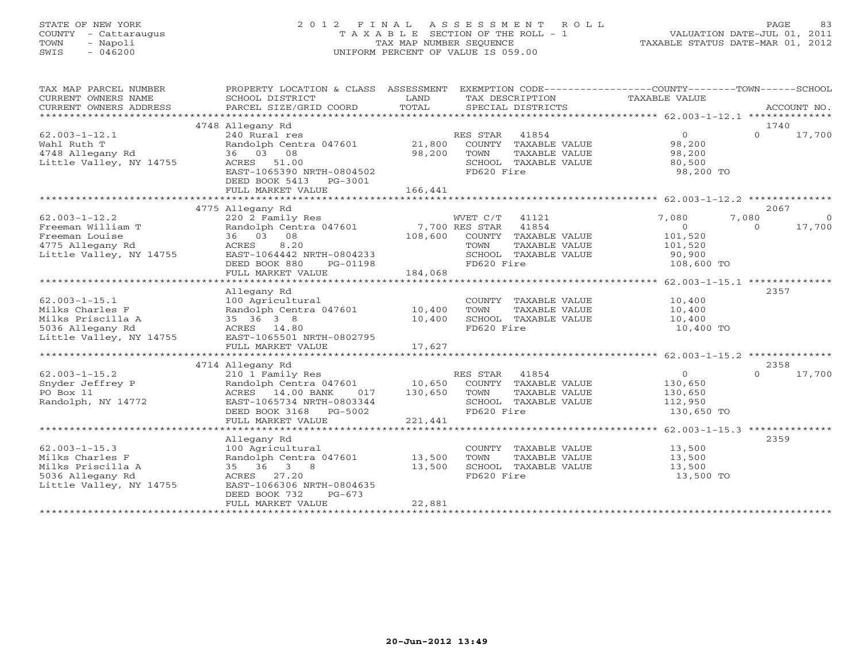# STATE OF NEW YORK 2 0 1 2 F I N A L A S S E S S M E N T R O L L PAGE 83 COUNTY - Cattaraugus T A X A B L E SECTION OF THE ROLL - 1 VALUATION DATE-JUL 01, 2011 TOWN - Napoli TAX MAP NUMBER SEQUENCE TAXABLE STATUS DATE-MAR 01, 2012 SWIS - 046200 UNIFORM PERCENT OF VALUE IS 059.00UNIFORM PERCENT OF VALUE IS 059.00

| TAX MAP PARCEL NUMBER<br>CURRENT OWNERS NAME | PROPERTY LOCATION & CLASS ASSESSMENT<br>SCHOOL DISTRICT | LAND    |                | TAX DESCRIPTION      | EXEMPTION CODE----------------COUNTY-------TOWN------SCHOOL<br>TAXABLE VALUE |          |             |
|----------------------------------------------|---------------------------------------------------------|---------|----------------|----------------------|------------------------------------------------------------------------------|----------|-------------|
| CURRENT OWNERS ADDRESS                       | PARCEL SIZE/GRID COORD                                  | TOTAL   |                | SPECIAL DISTRICTS    |                                                                              |          | ACCOUNT NO. |
| *************************                    |                                                         |         |                |                      |                                                                              |          |             |
|                                              | 4748 Allegany Rd                                        |         |                |                      |                                                                              |          | 1740        |
| $62.003 - 1 - 12.1$                          | 240 Rural res                                           |         | RES STAR       | 41854                | $\overline{O}$                                                               | $\Omega$ | 17,700      |
| Wahl Ruth T                                  | Randolph Centra 047601                                  | 21,800  |                | COUNTY TAXABLE VALUE | 98,200                                                                       |          |             |
| 4748 Allegany Rd                             | 36 03 08                                                | 98,200  | TOWN           | TAXABLE VALUE        | 98,200                                                                       |          |             |
| Little Valley, NY 14755                      | ACRES 51.00                                             |         |                | SCHOOL TAXABLE VALUE | 80,500                                                                       |          |             |
|                                              | EAST-1065390 NRTH-0804502                               |         | FD620 Fire     |                      | 98,200 TO                                                                    |          |             |
|                                              | DEED BOOK 5413<br>PG-3001                               |         |                |                      |                                                                              |          |             |
|                                              | FULL MARKET VALUE                                       | 166,441 |                |                      |                                                                              |          |             |
|                                              |                                                         |         |                |                      |                                                                              |          |             |
|                                              | 4775 Allegany Rd                                        |         |                |                      |                                                                              |          | 2067        |
| $62.003 - 1 - 12.2$                          | 220 2 Family Res                                        |         | WVET C/T       | 41121                | 7,080                                                                        | 7,080    | $\Omega$    |
| Freeman William T                            | Randolph Centra 047601                                  |         | 7,700 RES STAR | 41854                | $\Omega$                                                                     | $\Omega$ | 17,700      |
| Freeman Louise                               | 36 03<br>08                                             | 108,600 |                | COUNTY TAXABLE VALUE | 101,520                                                                      |          |             |
| 4775 Allegany Rd                             | 8.20<br>ACRES                                           |         | TOWN           | TAXABLE VALUE        | 101,520                                                                      |          |             |
| Little Valley, NY 14755                      | EAST-1064442 NRTH-0804233                               |         |                | SCHOOL TAXABLE VALUE | 90,900                                                                       |          |             |
|                                              | DEED BOOK 880<br>PG-01198                               |         | FD620 Fire     |                      | 108,600 TO                                                                   |          |             |
|                                              | FULL MARKET VALUE                                       | 184,068 |                |                      |                                                                              |          |             |
|                                              |                                                         |         |                |                      |                                                                              |          |             |
|                                              | Allegany Rd                                             |         |                |                      |                                                                              |          | 2357        |
| $62.003 - 1 - 15.1$                          | 100 Agricultural                                        |         |                | COUNTY TAXABLE VALUE | 10,400                                                                       |          |             |
| Milks Charles F                              | Randolph Centra 047601                                  | 10,400  | TOWN           | TAXABLE VALUE        | 10,400                                                                       |          |             |
| Milks Priscilla A                            | 35 36 3 8                                               | 10,400  |                | SCHOOL TAXABLE VALUE | 10,400                                                                       |          |             |
| 5036 Allegany Rd                             | ACRES 14.80                                             |         | FD620 Fire     |                      | 10,400 TO                                                                    |          |             |
| Little Valley, NY 14755                      | EAST-1065501 NRTH-0802795                               |         |                |                      |                                                                              |          |             |
|                                              | FULL MARKET VALUE                                       | 17,627  |                |                      |                                                                              |          |             |
|                                              |                                                         |         |                |                      |                                                                              |          |             |
|                                              | 4714 Allegany Rd                                        |         |                |                      |                                                                              |          | 2358        |
| $62.003 - 1 - 15.2$                          | 210 1 Family Res                                        |         | RES STAR       | 41854                | $\overline{0}$                                                               | $\Omega$ | 17,700      |
| Snyder Jeffrey P                             | Randolph Centra 047601                                  | 10,650  |                | COUNTY TAXABLE VALUE | 130,650                                                                      |          |             |
| PO Box 11                                    | ACRES 14.00 BANK<br>017                                 | 130,650 | TOWN           | TAXABLE VALUE        | 130,650                                                                      |          |             |
| Randolph, NY 14772                           | EAST-1065734 NRTH-0803344                               |         |                | SCHOOL TAXABLE VALUE | 112,950                                                                      |          |             |
|                                              | DEED BOOK 3168 PG-5002<br>FULL MARKET VALUE             | 221,441 | FD620 Fire     |                      | 130,650 TO                                                                   |          |             |
|                                              |                                                         |         |                |                      |                                                                              |          |             |
|                                              | Allegany Rd                                             |         |                |                      |                                                                              | 2359     |             |
| $62.003 - 1 - 15.3$                          | 100 Agricultural                                        |         |                | COUNTY TAXABLE VALUE | 13,500                                                                       |          |             |
| Milks Charles F                              | Randolph Centra 047601                                  | 13,500  | TOWN           | TAXABLE VALUE        | 13,500                                                                       |          |             |
| Milks Priscilla A                            | 35 36 3 8                                               | 13,500  |                | SCHOOL TAXABLE VALUE | 13,500                                                                       |          |             |
| 5036 Allegany Rd                             | ACRES 27.20                                             |         | FD620 Fire     |                      | 13,500 TO                                                                    |          |             |
| Little Valley, NY 14755                      | EAST-1066306 NRTH-0804635                               |         |                |                      |                                                                              |          |             |
|                                              | DEED BOOK 732<br>$PG-673$                               |         |                |                      |                                                                              |          |             |
|                                              | FULL MARKET VALUE                                       | 22,881  |                |                      |                                                                              |          |             |
|                                              |                                                         |         |                |                      |                                                                              |          |             |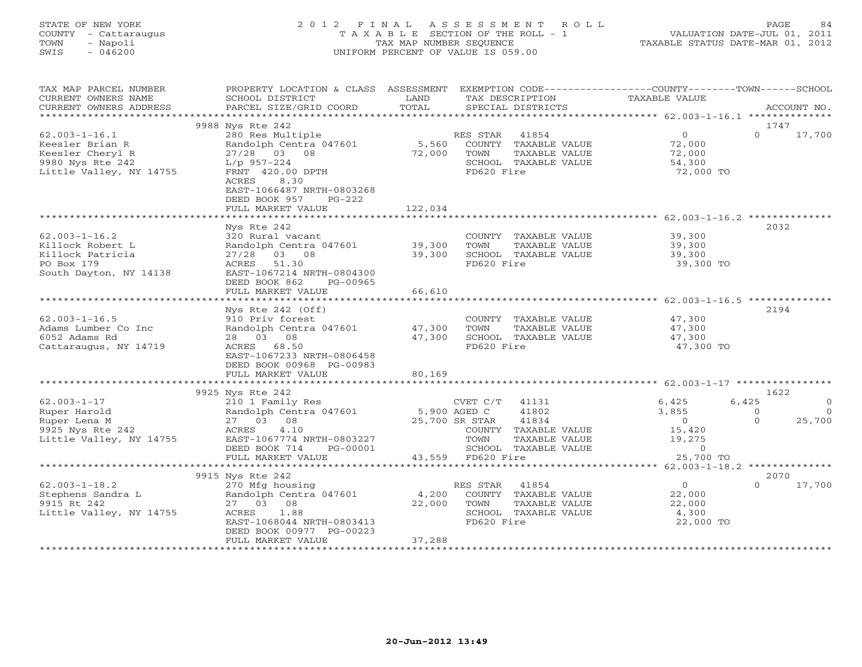# STATE OF NEW YORK 2 0 1 2 F I N A L A S S E S S M E N T R O L L PAGE 84 COUNTY - Cattaraugus T A X A B L E SECTION OF THE ROLL - 1 VALUATION DATE-JUL 01, 2011 TOWN - Napoli TAX MAP NUMBER SEQUENCE TAXABLE STATUS DATE-MAR 01, 2012 SWIS - 046200 UNIFORM PERCENT OF VALUE IS 059.00UNIFORM PERCENT OF VALUE IS 059.00

| TAX MAP PARCEL NUMBER<br>CURRENT OWNERS NAME<br>CURRENT OWNERS ADDRESS | PROPERTY LOCATION & CLASS ASSESSMENT<br>SCHOOL DISTRICT<br>PARCEL SIZE/GRID COORD                                                 | LAND<br>TOTAL              |                   | TAX DESCRIPTION<br>SPECIAL DISTRICTS                 | EXEMPTION CODE-----------------COUNTY-------TOWN------SCHOOL<br>TAXABLE VALUE |          | ACCOUNT NO.    |
|------------------------------------------------------------------------|-----------------------------------------------------------------------------------------------------------------------------------|----------------------------|-------------------|------------------------------------------------------|-------------------------------------------------------------------------------|----------|----------------|
| *********************                                                  |                                                                                                                                   |                            |                   |                                                      |                                                                               |          |                |
| $62.003 - 1 - 16.1$<br>Keesler Brian R<br>Keesler Cheryl R             | 9988 Nys Rte 242<br>280 Res Multiple<br>Randolph Centra 047601<br>$27/28$ 03 08                                                   | 72,000                     | RES STAR<br>TOWN  | 41854<br>5,560 COUNTY TAXABLE VALUE<br>TAXABLE VALUE | $\overline{0}$<br>72,000<br>72,000                                            | $\Omega$ | 1747<br>17,700 |
| 9980 Nys Rte 242<br>Little Valley, NY 14755                            | $L/p$ 957-224<br>FRNT 420.00 DPTH<br>8.30<br>ACRES<br>EAST-1066487 NRTH-0803268<br>DEED BOOK 957<br>$PG-222$<br>FULL MARKET VALUE | 122,034                    | FD620 Fire        | SCHOOL TAXABLE VALUE                                 | 54,300<br>72,000 TO                                                           |          |                |
|                                                                        |                                                                                                                                   |                            |                   |                                                      |                                                                               |          |                |
|                                                                        | Nys Rte 242                                                                                                                       |                            |                   |                                                      |                                                                               |          | 2032           |
| $62.003 - 1 - 16.2$                                                    | 320 Rural vacant                                                                                                                  |                            |                   | COUNTY TAXABLE VALUE                                 | 39,300                                                                        |          |                |
| Killock Robert L<br>Killock Patricia                                   | Randolph Centra 047601<br>$27/28$ 03 08                                                                                           | 39,300<br>39,300           | TOWN              | TAXABLE VALUE<br>SCHOOL TAXABLE VALUE                | 39,300<br>39,300                                                              |          |                |
| PO Box 179                                                             | ACRES 51.30                                                                                                                       |                            | FD620 Fire        |                                                      | 39,300 TO                                                                     |          |                |
| South Dayton, NY 14138                                                 | EAST-1067214 NRTH-0804300<br>DEED BOOK 862<br>PG-00965                                                                            |                            |                   |                                                      |                                                                               |          |                |
|                                                                        | FULL MARKET VALUE                                                                                                                 | 66,610                     |                   |                                                      |                                                                               |          |                |
|                                                                        |                                                                                                                                   |                            |                   |                                                      |                                                                               |          |                |
| $62.003 - 1 - 16.5$                                                    | Nys Rte $242$ (Off)<br>910 Priv forest                                                                                            |                            |                   | COUNTY TAXABLE VALUE                                 | 47,300                                                                        |          | 2194           |
| Adams Lumber Co Inc                                                    | Randolph Centra 047601                                                                                                            | 47,300                     | TOWN              | TAXABLE VALUE                                        | 47,300                                                                        |          |                |
| 6052 Adams Rd                                                          | 28 03 08                                                                                                                          | 47,300                     |                   | SCHOOL TAXABLE VALUE                                 | 47,300                                                                        |          |                |
| Cattaraugus, NY 14719                                                  | ACRES 68.50<br>EAST-1067233 NRTH-0806458                                                                                          |                            | FD620 Fire        |                                                      | 47,300 TO                                                                     |          |                |
|                                                                        | DEED BOOK 00968 PG-00983                                                                                                          |                            |                   |                                                      |                                                                               |          |                |
|                                                                        | FULL MARKET VALUE                                                                                                                 | 80,169                     |                   |                                                      |                                                                               |          |                |
|                                                                        | 9925 Nys Rte 242                                                                                                                  |                            |                   |                                                      |                                                                               |          | 1622           |
| $62.003 - 1 - 17$                                                      | 210 1 Family Res                                                                                                                  |                            | CVET C/T 41131    |                                                      | 6,425                                                                         | 6,425    |                |
| Ruper Harold                                                           | Randolph Centra 047601 5,900 AGED C                                                                                               |                            |                   | 41802                                                | 3,855                                                                         | $\Omega$ | $\Omega$       |
| Ruper Lena M                                                           | 27 03 08                                                                                                                          |                            | 25,700 SR STAR    | 41834                                                | $\overline{0}$                                                                | $\Omega$ | 25,700         |
| 9925 Nys Rte 242                                                       | 4.10<br>ACRES                                                                                                                     |                            |                   | COUNTY TAXABLE VALUE                                 | 15,420                                                                        |          |                |
| Little Valley, NY 14755                                                | EAST-1067774 NRTH-0803227<br>DEED BOOK 714<br>PG-00001                                                                            |                            | TOWN              | TAXABLE VALUE<br>SCHOOL TAXABLE VALUE                | 19,275<br>$\circ$                                                             |          |                |
|                                                                        | FULL MARKET VALUE                                                                                                                 |                            | 43,559 FD620 Fire |                                                      | 25,700 TO                                                                     |          |                |
|                                                                        | ************************                                                                                                          | ************************** |                   |                                                      | *************** 62.003-1-18.2 ***************                                 |          |                |
|                                                                        | 9915 Nys Rte 242                                                                                                                  |                            |                   |                                                      |                                                                               |          | 2070           |
| $62.003 - 1 - 18.2$                                                    | 270 Mfg housing                                                                                                                   |                            | RES STAR          | 41854                                                | $\overline{0}$                                                                | $\Omega$ | 17,700         |
| Stephens Sandra L                                                      | Randolph Centra 047601                                                                                                            | 4,200                      |                   | COUNTY TAXABLE VALUE                                 | 22,000                                                                        |          |                |
| 9915 Rt 242                                                            | 27 03 08                                                                                                                          | 22,000                     | TOWN              | TAXABLE VALUE                                        | 22,000                                                                        |          |                |
| Little Valley, NY 14755                                                | ACRES<br>1.88<br>EAST-1068044 NRTH-0803413<br>DEED BOOK 00977 PG-00223                                                            |                            | FD620 Fire        | SCHOOL TAXABLE VALUE                                 | 4,300<br>22,000 TO                                                            |          |                |
|                                                                        | FULL MARKET VALUE                                                                                                                 | 37,288                     |                   |                                                      |                                                                               |          |                |
|                                                                        | ***********************                                                                                                           |                            |                   |                                                      |                                                                               |          |                |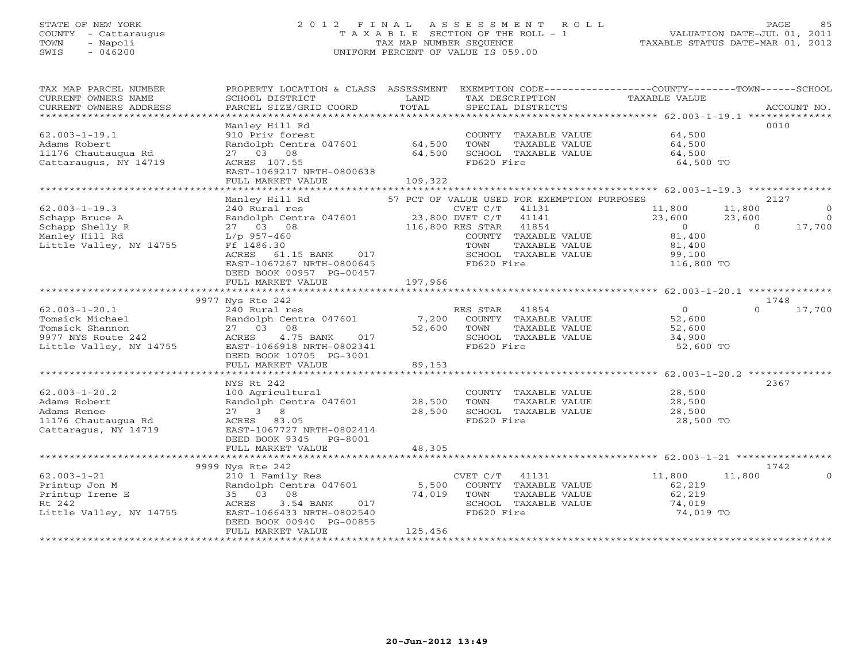# STATE OF NEW YORK 2 0 1 2 F I N A L A S S E S S M E N T R O L L PAGE 85 COUNTY - Cattaraugus T A X A B L E SECTION OF THE ROLL - 1 VALUATION DATE-JUL 01, 2011 TOWN - Napoli TAX MAP NUMBER SEQUENCE TAXABLE STATUS DATE-MAR 01, 2012 SWIS - 046200 UNIFORM PERCENT OF VALUE IS 059.00UNIFORM PERCENT OF VALUE IS 059.00

| TAX MAP PARCEL NUMBER<br>CURRENT OWNERS NAME<br>CURRENT OWNERS ADDRESS | PROPERTY LOCATION & CLASS ASSESSMENT<br>SCHOOL DISTRICT<br>PARCEL SIZE/GRID COORD | LAND<br>TOTAL    | EXEMPTION CODE-----------------COUNTY-------TOWN------SCHOOL<br>TAX DESCRIPTION<br>SPECIAL DISTRICTS | TAXABLE VALUE                 | ACCOUNT NO.              |
|------------------------------------------------------------------------|-----------------------------------------------------------------------------------|------------------|------------------------------------------------------------------------------------------------------|-------------------------------|--------------------------|
| $62.003 - 1 - 19.1$                                                    | Manley Hill Rd<br>910 Priv forest                                                 |                  | COUNTY TAXABLE VALUE                                                                                 | 64,500                        | 0010                     |
| Adams Robert<br>11176 Chautauqua Rd<br>Cattaraugus, NY 14719           | Randolph Centra 047601<br>27 03 08<br>ACRES 107.55                                | 64,500<br>64,500 | TOWN<br>TAXABLE VALUE<br>SCHOOL TAXABLE VALUE<br>FD620 Fire                                          | 64,500<br>64,500<br>64,500 TO |                          |
|                                                                        | EAST-1069217 NRTH-0800638<br>FULL MARKET VALUE                                    | 109,322          |                                                                                                      |                               |                          |
|                                                                        |                                                                                   |                  |                                                                                                      |                               |                          |
|                                                                        | Manley Hill Rd                                                                    |                  | 57 PCT OF VALUE USED FOR EXEMPTION PURPOSES                                                          |                               | 2127                     |
| $62.003 - 1 - 19.3$                                                    | 240 Rural res                                                                     |                  | CVET C/T<br>41131                                                                                    | 11,800                        | 11,800<br>$\overline{0}$ |
| Schapp Bruce A                                                         | Randolph Centra 047601                                                            | 23,800 DVET C/T  | 41141                                                                                                | 23,600                        | 23,600<br>$\overline{0}$ |
| Schapp Shelly R                                                        | 27 03 08                                                                          |                  | 116,800 RES STAR 41854                                                                               | $\overline{0}$                | $\overline{0}$<br>17,700 |
| Manley Hill Rd                                                         | $L/p$ 957-460                                                                     |                  | COUNTY TAXABLE VALUE                                                                                 | 81,400                        |                          |
|                                                                        |                                                                                   |                  |                                                                                                      |                               |                          |
| Little Valley, NY 14755                                                | Ff 1486.30                                                                        |                  | TOWN<br>TAXABLE VALUE                                                                                | 81,400                        |                          |
|                                                                        | ACRES 61.15 BANK 017                                                              |                  | SCHOOL TAXABLE VALUE                                                                                 | 99,100                        |                          |
|                                                                        | EAST-1067267 NRTH-0800645                                                         |                  | FD620 Fire                                                                                           | 116,800 TO                    |                          |
|                                                                        | DEED BOOK 00957 PG-00457                                                          |                  |                                                                                                      |                               |                          |
|                                                                        | FULL MARKET VALUE                                                                 | 197,966          |                                                                                                      |                               |                          |
|                                                                        |                                                                                   |                  |                                                                                                      |                               |                          |
|                                                                        | 9977 Nys Rte 242                                                                  |                  |                                                                                                      |                               | 1748                     |
| $62.003 - 1 - 20.1$                                                    | 240 Rural res                                                                     |                  | RES STAR 41854                                                                                       | 0                             | $\Omega$<br>17,700       |
| Tomsick Michael                                                        | Randolph Centra 047601                                                            | 7,200            | COUNTY TAXABLE VALUE                                                                                 | 52,600                        |                          |
| Tomsick Shannon                                                        | 27 03 08                                                                          |                  | TOWN                                                                                                 |                               |                          |
|                                                                        |                                                                                   | 52,600           | TAXABLE VALUE                                                                                        | 52,600                        |                          |
| 9977 NYS Route 242                                                     | 4.75 BANK<br>ACRES<br>017                                                         |                  | SCHOOL TAXABLE VALUE                                                                                 | 34,900                        |                          |
| Little Valley, NY 14755                                                | EAST-1066918 NRTH-0802341                                                         |                  | FD620 Fire                                                                                           | 52,600 TO                     |                          |
|                                                                        | DEED BOOK 10705 PG-3001                                                           |                  |                                                                                                      |                               |                          |
|                                                                        | FULL MARKET VALUE                                                                 | 89,153           |                                                                                                      |                               |                          |
|                                                                        |                                                                                   |                  |                                                                                                      |                               |                          |
|                                                                        | NYS Rt 242                                                                        |                  |                                                                                                      |                               | 2367                     |
| $62.003 - 1 - 20.2$                                                    | 100 Agricultural                                                                  |                  | COUNTY TAXABLE VALUE                                                                                 | 28,500                        |                          |
| Adams Robert                                                           | Randolph Centra 047601                                                            | 28,500           | TOWN<br>TAXABLE VALUE                                                                                | 28,500                        |                          |
| Adams Renee                                                            | $27 \t 3 \t 8$                                                                    | 28,500           | SCHOOL TAXABLE VALUE                                                                                 | 28,500                        |                          |
|                                                                        |                                                                                   |                  |                                                                                                      |                               |                          |
| 11176 Chautaugua Rd                                                    | ACRES 83.05                                                                       |                  | FD620 Fire                                                                                           | 28,500 TO                     |                          |
| Cattaragus, NY 14719                                                   | EAST-1067727 NRTH-0802414                                                         |                  |                                                                                                      |                               |                          |
|                                                                        | DEED BOOK 9345 PG-8001                                                            |                  |                                                                                                      |                               |                          |
|                                                                        | FULL MARKET VALUE                                                                 | 48,305           |                                                                                                      |                               |                          |
|                                                                        |                                                                                   |                  |                                                                                                      |                               |                          |
|                                                                        | 9999 Nys Rte 242                                                                  |                  |                                                                                                      |                               | 1742                     |
| $62.003 - 1 - 21$                                                      | 210 1 Family Res                                                                  |                  | $CVET C/T$ 41131                                                                                     | 11,800                        | 11,800<br>$\Omega$       |
| Printup Jon M                                                          | Randolph Centra 047601                                                            | 5,500            | COUNTY TAXABLE VALUE                                                                                 | 62,219                        |                          |
| Printup Irene E                                                        | 35 03 08                                                                          | 74,019           | TOWN<br>TAXABLE VALUE                                                                                | 62,219                        |                          |
| Rt 242                                                                 | ACRES<br>3.54 BANK<br>017                                                         |                  | SCHOOL TAXABLE VALUE                                                                                 | 74,019                        |                          |
|                                                                        |                                                                                   |                  |                                                                                                      |                               |                          |
| Little Valley, NY 14755                                                | EAST-1066433 NRTH-0802540                                                         |                  | FD620 Fire                                                                                           | 74,019 TO                     |                          |
|                                                                        | DEED BOOK 00940 PG-00855                                                          |                  |                                                                                                      |                               |                          |
|                                                                        | FULL MARKET VALUE                                                                 | 125,456          |                                                                                                      |                               |                          |
|                                                                        |                                                                                   |                  |                                                                                                      |                               |                          |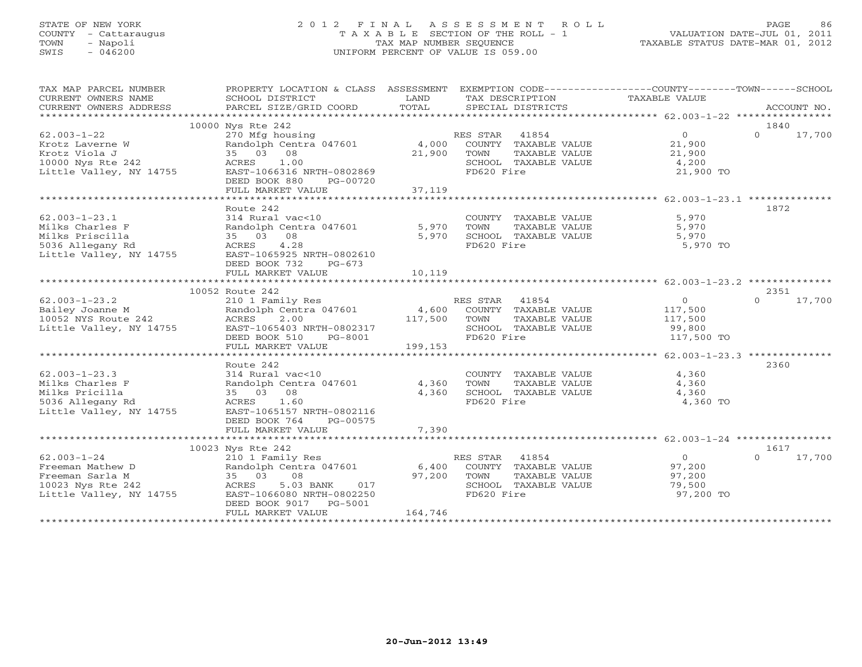# STATE OF NEW YORK 2 0 1 2 F I N A L A S S E S S M E N T R O L L PAGE 86 COUNTY - Cattaraugus T A X A B L E SECTION OF THE ROLL - 1 VALUATION DATE-JUL 01, 2011 TOWN - Napoli TAX MAP NUMBER SEQUENCE TAXABLE STATUS DATE-MAR 01, 2012 SWIS - 046200 UNIFORM PERCENT OF VALUE IS 059.00UNIFORM PERCENT OF VALUE IS 059.00

| TAX MAP PARCEL NUMBER<br>CURRENT OWNERS NAME        | PROPERTY LOCATION & CLASS ASSESSMENT EXEMPTION CODE----------------COUNTY-------TOWN------SCHOOL<br>SCHOOL DISTRICT | LAND     | TAX DESCRIPTION                                   | TAXABLE VALUE     |                    |
|-----------------------------------------------------|---------------------------------------------------------------------------------------------------------------------|----------|---------------------------------------------------|-------------------|--------------------|
| CURRENT OWNERS ADDRESS                              | PARCEL SIZE/GRID COORD                                                                                              | TOTAL    | SPECIAL DISTRICTS                                 |                   | ACCOUNT NO.        |
|                                                     |                                                                                                                     |          |                                                   |                   |                    |
|                                                     | 10000 Nys Rte 242                                                                                                   |          |                                                   |                   | 1840               |
| $62.003 - 1 - 22$                                   |                                                                                                                     |          |                                                   | $\overline{0}$    | $\Omega$<br>17,700 |
| Krotz Laverne W                                     |                                                                                                                     |          |                                                   | 21,900            |                    |
| Krotz Viola J                                       | 35 03 08                                                                                                            | 21,900   | TOWN<br>TAXABLE VALUE                             | 21,900            |                    |
| 10000 Nys Rte 242                                   | ACRES 1.00                                                                                                          |          | SCHOOL TAXABLE VALUE                              | 4,200             |                    |
| Little Valley, NY 14755                             | EAST-1066316 NRTH-0802869<br>DEED BOOK 880                                                                          |          | FD620 Fire                                        | 21,900 TO         |                    |
|                                                     | PG-00720<br>FULL MARKET VALUE                                                                                       | 37,119   |                                                   |                   |                    |
|                                                     |                                                                                                                     |          |                                                   |                   |                    |
|                                                     | Route 242                                                                                                           |          |                                                   |                   | 1872               |
| $62.003 - 1 - 23.1$                                 | 314 Rural vac<10                                                                                                    |          | COUNTY TAXABLE VALUE                              | 5,970             |                    |
| Milks Charles F                                     | Randolph Centra 047601                                                                                              |          | 5,970 TOWN                                        | 5,970             |                    |
| Milks Priscilla                                     | 35 03 08                                                                                                            | 5,970    | TOWN      TAXABLE VALUE<br>SCHOOL   TAXABLE VALUE | 5,970             |                    |
|                                                     | 4.28                                                                                                                |          | FD620 Fire                                        | 5,970 TO          |                    |
| 5036 Allegany Rd Buittle Valley, NY 14755 EAST-106! | EAST-1065925 NRTH-0802610                                                                                           |          |                                                   |                   |                    |
|                                                     | DEED BOOK 732<br>$PG-673$                                                                                           |          |                                                   |                   |                    |
|                                                     | FULL MARKET VALUE                                                                                                   | 10,119   |                                                   |                   |                    |
|                                                     |                                                                                                                     |          |                                                   |                   |                    |
|                                                     | 10052 Route 242                                                                                                     |          |                                                   |                   | 2351               |
| $62.003 - 1 - 23.2$                                 | 210 1 Family Res                                                                                                    |          | RES STAR 41854                                    | $\overline{0}$    | 17,700<br>$\Omega$ |
| Bailey Joanne M<br>10052 NYS Route 242              | Randolph Centra 047601 4,600 COUNTY TAXABLE VALUE<br>2.00                                                           | 117,500  |                                                   | 117,500           |                    |
| Little Valley, NY 14755                             | ACRES<br>EAST-1065403 NRTH-0802317                                                                                  |          | TOWN<br>TAXABLE VALUE<br>SCHOOL TAXABLE VALUE     | 117,500<br>99,800 |                    |
|                                                     | DEED BOOK 510<br>PG-8001                                                                                            |          | FD620 Fire                                        | 117,500 TO        |                    |
|                                                     | FULL MARKET VALUE                                                                                                   | 199, 153 |                                                   |                   |                    |
|                                                     |                                                                                                                     |          |                                                   |                   |                    |
|                                                     | Route 242                                                                                                           |          |                                                   |                   | 2360               |
| $62.003 - 1 - 23.3$                                 | 314 Rural vac<10                                                                                                    |          | COUNTY TAXABLE VALUE                              | 4,360             |                    |
| Milks Charles F                                     | Randolph Centra 047601                                                                                              | 4,360    | TOWN<br>TAXABLE VALUE                             | 4,360             |                    |
| Milks Pricilla                                      | 35 03 08                                                                                                            | 4,360    | SCHOOL TAXABLE VALUE                              | 4,360             |                    |
| 5036 Allegany Rd                                    | ACRES 1.60                                                                                                          |          | FD620 Fire                                        | 4,360 TO          |                    |
| Little Valley, NY 14755                             | EAST-1065157 NRTH-0802116                                                                                           |          |                                                   |                   |                    |
|                                                     | DEED BOOK 764<br>PG-00575                                                                                           |          |                                                   |                   |                    |
|                                                     | FULL MARKET VALUE                                                                                                   | 7,390    |                                                   |                   |                    |
|                                                     | 10023 Nys Rte 242                                                                                                   |          |                                                   |                   | 1617               |
| $62.003 - 1 - 24$                                   | 210 1 Family Res                                                                                                    |          | RES STAR 41854                                    | $\overline{0}$    | 17,700<br>$\Omega$ |
| Freeman Mathew D                                    | 210 1 ramily kes<br>Randolph Centra 047601                                                                          |          | 6,400 COUNTY TAXABLE VALUE                        | 97,200            |                    |
| Freeman Sarla M                                     |                                                                                                                     | 97,200   | TAXABLE VALUE<br>TOWN                             | 97,200            |                    |
| 10023 Nys Rte 242                                   | 5.03 BANK 017                                                                                                       |          | SCHOOL TAXABLE VALUE                              | 79,500            |                    |
| Little Valley, NY 14755                             | 2011<br>35 03 08<br>35 03 08<br>ACRES 5.03<br>14755 EAST-1066080 N<br>EAST-1066080 NRTH-0802250                     |          | FD620 Fire                                        | 97,200 TO         |                    |
|                                                     | DEED BOOK 9017 PG-5001                                                                                              |          |                                                   |                   |                    |
|                                                     | FULL MARKET VALUE                                                                                                   | 164,746  |                                                   |                   |                    |
|                                                     |                                                                                                                     |          |                                                   |                   |                    |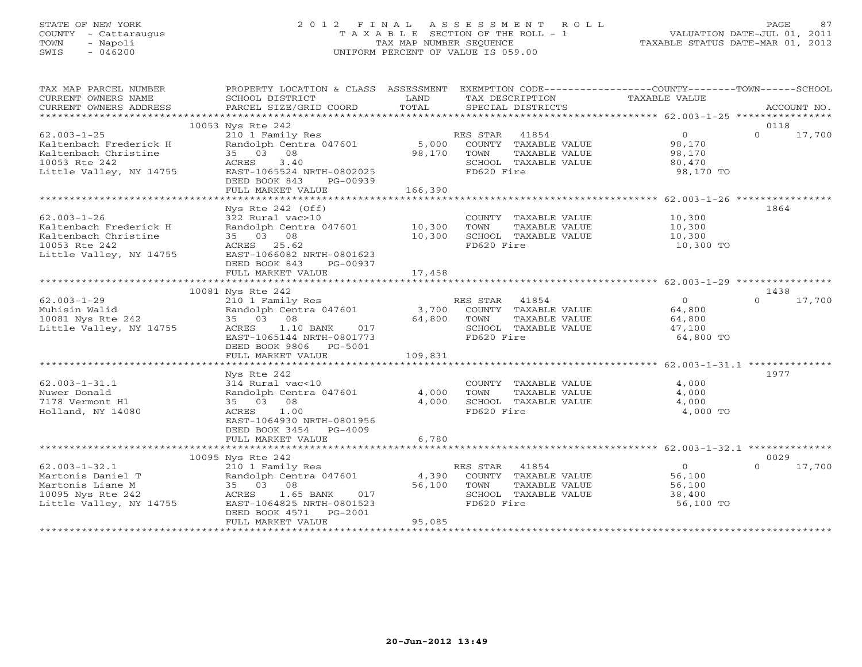# STATE OF NEW YORK 2 0 1 2 F I N A L A S S E S S M E N T R O L L PAGE 87 COUNTY - Cattaraugus T A X A B L E SECTION OF THE ROLL - 1 VALUATION DATE-JUL 01, 2011 TOWN - Napoli TAX MAP NUMBER SEQUENCE TAXABLE STATUS DATE-MAR 01, 2012 SWIS - 046200 UNIFORM PERCENT OF VALUE IS 059.00UNIFORM PERCENT OF VALUE IS 059.00

| TAX MAP PARCEL NUMBER<br>CURRENT OWNERS NAME<br>CURRENT OWNERS ADDRESS                                          | PROPERTY LOCATION & CLASS ASSESSMENT<br>SCHOOL DISTRICT<br>PARCEL SIZE/GRID COORD                                                                                                  | LAND<br>TOTAL             | TAX DESCRIPTION<br>SPECIAL DISTRICTS                                                                        | EXEMPTION CODE-----------------COUNTY-------TOWN------SCHOOL<br>TAXABLE VALUE | ACCOUNT NO.                |
|-----------------------------------------------------------------------------------------------------------------|------------------------------------------------------------------------------------------------------------------------------------------------------------------------------------|---------------------------|-------------------------------------------------------------------------------------------------------------|-------------------------------------------------------------------------------|----------------------------|
|                                                                                                                 |                                                                                                                                                                                    |                           |                                                                                                             |                                                                               |                            |
| $62.003 - 1 - 25$<br>Kaltenbach Frederick H<br>Kaltenbach Christine<br>10053 Rte 242<br>Little Valley, NY 14755 | 10053 Nys Rte 242<br>210 1 Family Res<br>Randolph Centra 047601<br>35 03 08<br>3.40<br>ACRES<br>EAST-1065524 NRTH-0802025<br>DEED BOOK 843<br>PG-00939<br>FULL MARKET VALUE        | 98,170<br>166,390         | RES STAR 41854<br>5,000 COUNTY TAXABLE VALUE<br>TOWN<br>TAXABLE VALUE<br>SCHOOL TAXABLE VALUE<br>FD620 Fire | $\overline{0}$<br>98,170<br>98,170<br>80,470<br>98,170 TO                     | 0118<br>$\Omega$<br>17,700 |
|                                                                                                                 |                                                                                                                                                                                    |                           |                                                                                                             |                                                                               | 1864                       |
| $62.003 - 1 - 26$<br>Kaltenbach Frederick H<br>Kaltenbach Christine<br>10053 Rte 242<br>Little Valley, NY 14755 | $Nys$ Rte 242 (Off)<br>322 Rural vac>10<br>Randolph Centra 047601 10,300<br>35 03 08<br>ACRES 25.62<br>EAST-1066082 NRTH-0801623<br>DEED BOOK 843<br>PG-00937<br>FULL MARKET VALUE | 10,300<br>17,458          | COUNTY TAXABLE VALUE 10,300<br>TOWN<br>TAXABLE VALUE<br>SCHOOL TAXABLE VALUE<br>FD620 Fire                  | 10,300<br>10,300<br>10,300 TO                                                 |                            |
|                                                                                                                 | ***************************                                                                                                                                                        |                           |                                                                                                             |                                                                               |                            |
|                                                                                                                 | 10081 Nys Rte 242                                                                                                                                                                  |                           |                                                                                                             |                                                                               | 1438                       |
| $62.003 - 1 - 29$<br>Muhisin Walid<br>10081 Nys Rte 242<br>Little Valley, NY 14755                              | 210 1 Family Res<br>Randolph Centra 047601<br>35 03 08<br>1.10 BANK 017<br>ACRES<br>EAST-1065144 NRTH-0801773<br>DEED BOOK 9806 PG-5001                                            | 64,800                    | RES STAR 41854<br>3,700 COUNTY TAXABLE VALUE<br>TOWN<br>TAXABLE VALUE<br>SCHOOL TAXABLE VALUE<br>FD620 Fire | $\overline{0}$<br>64,800<br>64,800<br>47,100<br>64,800 TO                     | 17,700<br>$\Omega$         |
|                                                                                                                 | FULL MARKET VALUE                                                                                                                                                                  | 109,831                   |                                                                                                             |                                                                               |                            |
| $62.003 - 1 - 31.1$<br>Nuwer Donald<br>7178 Vermont H1<br>Holland, NY 14080                                     | Nys Rte 242<br>314 Rural vac<10<br>Randolph Centra 047601<br>35 03 08<br>ACRES 1.00<br>EAST-1064930 NRTH-0801956<br>DEED BOOK 3454 PG-4009                                         | 4,000<br>4,000            | COUNTY TAXABLE VALUE<br>TOWN<br>TAXABLE VALUE<br>SCHOOL TAXABLE VALUE<br>FD620 Fire                         | 4,000<br>4,000<br>4,000<br>4,000 TO                                           | 1977                       |
|                                                                                                                 | FULL MARKET VALUE                                                                                                                                                                  | 6,780                     |                                                                                                             |                                                                               |                            |
|                                                                                                                 | 10095 Nys Rte 242                                                                                                                                                                  |                           |                                                                                                             |                                                                               | 0029                       |
| $62.003 - 1 - 32.1$<br>Martonis Daniel T<br>Martonis Liane M<br>10095 Nys Rte 242<br>Little Valley, NY 14755    | 210 1 Family Res<br>Randolph Centra 047601<br>35 03 08<br>ACRES 1.65 BANK<br>017<br>EAST-1064825 NRTH-0801523<br>DEED BOOK 4571 PG-2001<br>FULL MARKET VALUE                       | 4,390<br>56,100<br>95,085 | RES STAR 41854<br>COUNTY TAXABLE VALUE<br>TOWN<br>TAXABLE VALUE<br>SCHOOL TAXABLE VALUE<br>FD620 Fire       | $\circ$<br>56,100<br>56,100<br>38,400<br>56,100 TO                            | $\Omega$<br>17,700         |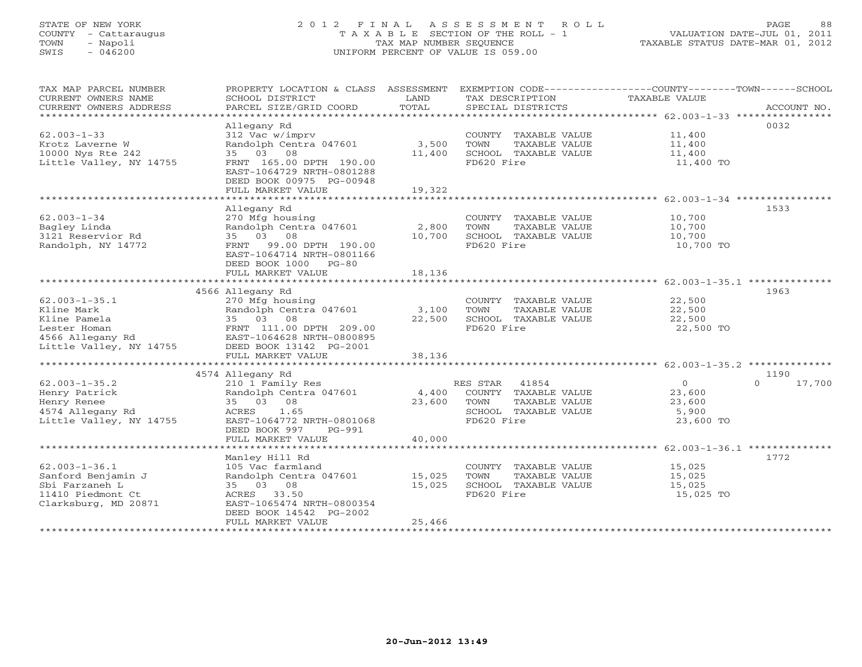# STATE OF NEW YORK 2 0 1 2 F I N A L A S S E S S M E N T R O L L PAGE 88 COUNTY - Cattaraugus T A X A B L E SECTION OF THE ROLL - 1 VALUATION DATE-JUL 01, 2011 TOWN - Napoli TAX MAP NUMBER SEQUENCE TAXABLE STATUS DATE-MAR 01, 2012 SWIS - 046200 UNIFORM PERCENT OF VALUE IS 059.00UNIFORM PERCENT OF VALUE IS 059.00

| TAX MAP PARCEL NUMBER<br>CURRENT OWNERS NAME<br>CURRENT OWNERS ADDRESS | SCHOOL DISTRICT<br>PARCEL SIZE/GRID COORD            | LAND<br>TOTAL               | TAX DESCRIPTION<br>SPECIAL DISTRICTS | PROPERTY LOCATION & CLASS ASSESSMENT EXEMPTION CODE---------------COUNTY-------TOWN------SCHOOL<br>TAXABLE VALUE<br>ACCOUNT NO. |
|------------------------------------------------------------------------|------------------------------------------------------|-----------------------------|--------------------------------------|---------------------------------------------------------------------------------------------------------------------------------|
|                                                                        |                                                      |                             |                                      |                                                                                                                                 |
|                                                                        | Allegany Rd                                          |                             |                                      | 0032                                                                                                                            |
| $62.003 - 1 - 33$                                                      | 312 Vac w/imprv                                      |                             | COUNTY TAXABLE VALUE                 | 11,400                                                                                                                          |
| Krotz Laverne W                                                        | Randolph Centra 047601                               | 3,500                       | TAXABLE VALUE<br>TOWN                | 11,400                                                                                                                          |
| 10000 Nys Rte 242                                                      | 35 03 08                                             | 11,400                      | SCHOOL TAXABLE VALUE                 | 11,400                                                                                                                          |
| Little Valley, NY 14755                                                | FRNT 165.00 DPTH 190.00<br>EAST-1064729 NRTH-0801288 |                             | FD620 Fire                           | 11,400 TO                                                                                                                       |
|                                                                        | DEED BOOK 00975 PG-00948                             |                             |                                      |                                                                                                                                 |
|                                                                        | FULL MARKET VALUE                                    | 19,322                      |                                      |                                                                                                                                 |
|                                                                        |                                                      |                             |                                      |                                                                                                                                 |
|                                                                        | Allegany Rd                                          |                             |                                      | 1533                                                                                                                            |
| $62.003 - 1 - 34$                                                      | 270 Mfg housing                                      |                             | COUNTY TAXABLE VALUE                 | 10,700                                                                                                                          |
| Bagley Linda                                                           | Randolph Centra 047601                               | 2,800                       | TOWN<br>TAXABLE VALUE                | 10,700                                                                                                                          |
| 3121 Reservior Rd                                                      | 35 03 08                                             | 10,700                      | SCHOOL TAXABLE VALUE                 | 10,700                                                                                                                          |
| Randolph, NY 14772                                                     | FRNT 99.00 DPTH 190.00                               |                             | FD620 Fire                           | 10,700 TO                                                                                                                       |
|                                                                        | EAST-1064714 NRTH-0801166                            |                             |                                      |                                                                                                                                 |
|                                                                        | DEED BOOK 1000 PG-80                                 |                             |                                      |                                                                                                                                 |
|                                                                        | FULL MARKET VALUE                                    | 18,136                      |                                      |                                                                                                                                 |
|                                                                        | ****************************                         | * * * * * * * * * * * * * * |                                      | ***********************************62.003-1-35.1 ****************                                                               |
|                                                                        | 4566 Allegany Rd                                     |                             |                                      | 1963                                                                                                                            |
| $62.003 - 1 - 35.1$                                                    | 270 Mfg housing                                      |                             | COUNTY TAXABLE VALUE                 | 22,500                                                                                                                          |
| Kline Mark                                                             | Randolph Centra 047601                               | 3,100                       | TOWN<br>TAXABLE VALUE                | 22,500                                                                                                                          |
| Kline Pamela                                                           | 35 03 08                                             | 22,500                      | SCHOOL TAXABLE VALUE                 | 22,500                                                                                                                          |
| Lester Homan                                                           | FRNT 111.00 DPTH 209.00                              |                             | FD620 Fire                           | 22,500 TO                                                                                                                       |
| 4566 Allegany Rd                                                       | EAST-1064628 NRTH-0800895                            |                             |                                      |                                                                                                                                 |
| Little Valley, NY 14755                                                | DEED BOOK 13142 PG-2001                              |                             |                                      |                                                                                                                                 |
|                                                                        | FULL MARKET VALUE                                    | 38,136                      |                                      |                                                                                                                                 |
|                                                                        |                                                      |                             |                                      |                                                                                                                                 |
|                                                                        | 4574 Allegany Rd                                     |                             |                                      | 1190                                                                                                                            |
| $62.003 - 1 - 35.2$                                                    | 210 1 Family Res                                     |                             | RES STAR<br>41854                    | $\overline{O}$<br>$\Omega$<br>17,700                                                                                            |
| Henry Patrick                                                          | Randolph Centra 047601                               | 4,400                       | COUNTY TAXABLE VALUE                 | 23,600                                                                                                                          |
| Henry Renee                                                            | 35 03 08                                             | 23,600                      | TOWN<br>TAXABLE VALUE                | 23,600                                                                                                                          |
| 4574 Allegany Rd<br>Little Valley, NY 14755                            | ACRES 1.65<br>EAST-1064772 NRTH-0801068              |                             | SCHOOL TAXABLE VALUE<br>FD620 Fire   | 5,900<br>23,600 TO                                                                                                              |
|                                                                        | DEED BOOK 997<br>PG-991                              |                             |                                      |                                                                                                                                 |
|                                                                        | FULL MARKET VALUE                                    | 40,000                      |                                      |                                                                                                                                 |
|                                                                        |                                                      |                             |                                      |                                                                                                                                 |
|                                                                        | Manley Hill Rd                                       |                             |                                      | 1772                                                                                                                            |
| $62.003 - 1 - 36.1$                                                    | 105 Vac farmland                                     |                             | COUNTY TAXABLE VALUE                 | 15,025                                                                                                                          |
| Sanford Benjamin J                                                     | Randolph Centra 047601                               | 15,025                      | TAXABLE VALUE<br>TOWN                | 15,025                                                                                                                          |
| Sbi Farzaneh L                                                         | 35 03 08                                             | 15,025                      | SCHOOL TAXABLE VALUE                 | 15,025                                                                                                                          |
| 11410 Piedmont Ct                                                      | ACRES 33.50                                          |                             | FD620 Fire                           | 15,025 TO                                                                                                                       |
| Clarksburg, MD 20871                                                   | EAST-1065474 NRTH-0800354                            |                             |                                      |                                                                                                                                 |
|                                                                        | DEED BOOK 14542 PG-2002                              |                             |                                      |                                                                                                                                 |
|                                                                        | FULL MARKET VALUE                                    | 25,466                      |                                      |                                                                                                                                 |
|                                                                        |                                                      |                             |                                      |                                                                                                                                 |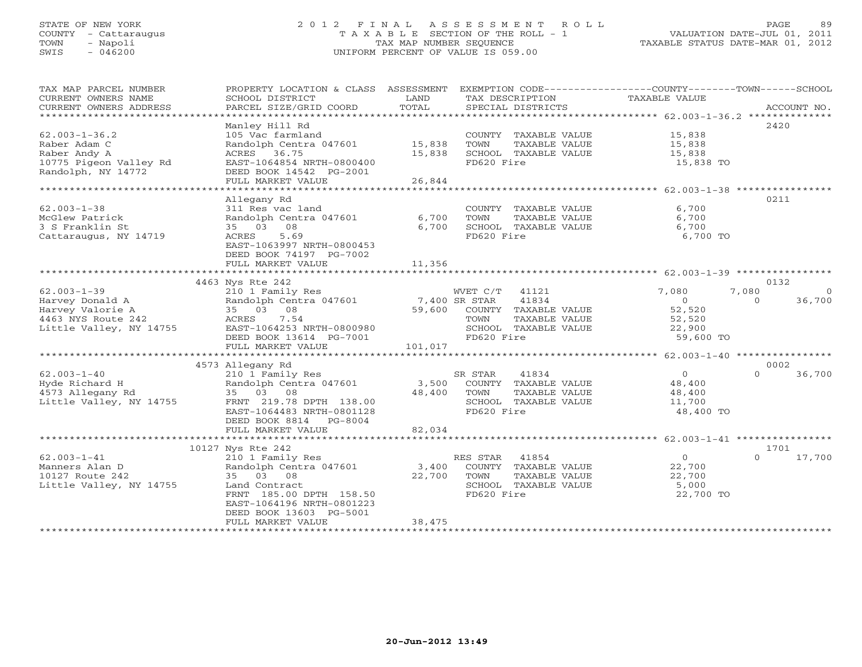# STATE OF NEW YORK 2 0 1 2 F I N A L A S S E S S M E N T R O L L PAGE 89 COUNTY - Cattaraugus T A X A B L E SECTION OF THE ROLL - 1 VALUATION DATE-JUL 01, 2011 TOWN - Napoli TAX MAP NUMBER SEQUENCE TAXABLE STATUS DATE-MAR 01, 2012 SWIS - 046200 UNIFORM PERCENT OF VALUE IS 059.00UNIFORM PERCENT OF VALUE IS 059.00

| TAX MAP PARCEL NUMBER<br>CURRENT OWNERS NAME<br>CURRENT OWNERS ADDRESS | PROPERTY LOCATION & CLASS ASSESSMENT<br>SCHOOL DISTRICT<br>PARCEL SIZE/GRID COORD | LAND<br>TOTAL | EXEMPTION CODE-----------------COUNTY-------TOWN-----SCHOOL<br>TAX DESCRIPTION<br>SPECIAL DISTRICTS | TAXABLE VALUE  | ACCOUNT NO.        |
|------------------------------------------------------------------------|-----------------------------------------------------------------------------------|---------------|-----------------------------------------------------------------------------------------------------|----------------|--------------------|
| ***********************                                                |                                                                                   |               |                                                                                                     |                |                    |
| $62.003 - 1 - 36.2$                                                    | Manley Hill Rd<br>105 Vac farmland                                                |               | COUNTY TAXABLE VALUE                                                                                | 15,838         | 2420               |
| Raber Adam C                                                           | Randolph Centra 047601                                                            | 15,838        | TOWN<br>TAXABLE VALUE                                                                               | 15,838         |                    |
| Raber Andy A                                                           | ACRES 36.75                                                                       | 15,838        | SCHOOL TAXABLE VALUE                                                                                | 15,838         |                    |
| 10775 Pigeon Valley Rd<br>Randolph, NY 14772                           | EAST-1064854 NRTH-0800400<br>DEED BOOK 14542 PG-2001                              |               | FD620 Fire                                                                                          | 15,838 TO      |                    |
|                                                                        | FULL MARKET VALUE                                                                 | 26,844        |                                                                                                     |                |                    |
| *********************                                                  |                                                                                   |               |                                                                                                     |                |                    |
|                                                                        | Allegany Rd                                                                       |               |                                                                                                     |                | 0211               |
| $62.003 - 1 - 38$                                                      | 311 Res vac land                                                                  |               | COUNTY TAXABLE VALUE                                                                                | 6,700          |                    |
| McGlew Patrick                                                         | Randolph Centra 047601                                                            | 6,700         | TOWN<br>TAXABLE VALUE                                                                               | 6,700          |                    |
| 3 S Franklin St                                                        | 35 03 08                                                                          | 6,700         | SCHOOL TAXABLE VALUE                                                                                | 6,700          |                    |
| Cattaraugus, NY 14719                                                  | 5.69<br>ACRES                                                                     |               | FD620 Fire                                                                                          | 6,700 TO       |                    |
|                                                                        | EAST-1063997 NRTH-0800453<br>DEED BOOK 74197 PG-7002                              |               |                                                                                                     |                |                    |
|                                                                        | FULL MARKET VALUE                                                                 | 11,356        |                                                                                                     |                |                    |
|                                                                        |                                                                                   |               |                                                                                                     |                |                    |
|                                                                        | 4463 Nys Rte 242                                                                  |               |                                                                                                     |                | 0132               |
| $62.003 - 1 - 39$                                                      | 210 1 Family Res                                                                  |               | WVET C/T 41121                                                                                      | 7,080          | 7,080<br>$\Omega$  |
| Harvey Donald A                                                        | Randolph Centra 047601 7,400 SR STAR                                              |               | 41834                                                                                               | $\Omega$       | 36,700<br>$\Omega$ |
| Harvey Valorie A                                                       | 35 03 08                                                                          | 59,600        | COUNTY TAXABLE VALUE                                                                                | 52,520         |                    |
| 4463 NYS Route 242                                                     | 7.54<br>ACRES                                                                     |               | TOWN<br>TAXABLE VALUE                                                                               | 52,520         |                    |
| Little Valley, NY 14755                                                | EAST-1064253 NRTH-0800980                                                         |               | SCHOOL TAXABLE VALUE                                                                                | 22,900         |                    |
|                                                                        | DEED BOOK 13614 PG-7001                                                           |               | FD620 Fire                                                                                          | 59,600 TO      |                    |
|                                                                        | FULL MARKET VALUE                                                                 | 101,017       |                                                                                                     |                |                    |
|                                                                        |                                                                                   |               |                                                                                                     |                |                    |
|                                                                        | 4573 Allegany Rd                                                                  |               |                                                                                                     |                | 0002               |
| $62.003 - 1 - 40$                                                      | 210 1 Family Res                                                                  |               | SR STAR<br>41834                                                                                    | $\overline{0}$ | $\Omega$<br>36,700 |
| Hyde Richard H                                                         | Randolph Centra 047601                                                            | 3,500         | COUNTY TAXABLE VALUE                                                                                | 48,400         |                    |
| 4573 Allegany Rd                                                       | 35 03 08                                                                          | 48,400        | TOWN<br>TAXABLE VALUE                                                                               | 48,400         |                    |
| Little Valley, NY 14755                                                | FRNT 219.78 DPTH 138.00                                                           |               | SCHOOL TAXABLE VALUE                                                                                | 11,700         |                    |
|                                                                        | EAST-1064483 NRTH-0801128                                                         |               | FD620 Fire                                                                                          | 48,400 TO      |                    |
|                                                                        | DEED BOOK 8814 PG-8004                                                            |               |                                                                                                     |                |                    |
|                                                                        | FULL MARKET VALUE                                                                 | 82,034        |                                                                                                     |                |                    |
|                                                                        |                                                                                   |               |                                                                                                     |                |                    |
|                                                                        | 10127 Nys Rte 242                                                                 |               |                                                                                                     |                | 1701               |
| $62.003 - 1 - 41$                                                      | 210 1 Family Res                                                                  |               | 41854<br>RES STAR                                                                                   | $\Omega$       | 17,700<br>$\Omega$ |
| Manners Alan D                                                         | Randolph Centra 047601                                                            | 3,400         | COUNTY TAXABLE VALUE                                                                                | 22,700         |                    |
| 10127 Route 242                                                        | 35 03 08                                                                          | 22,700        | TOWN<br>TAXABLE VALUE                                                                               | 22,700         |                    |
| Little Valley, NY 14755                                                | Land Contract                                                                     |               | SCHOOL TAXABLE VALUE                                                                                | 5,000          |                    |
|                                                                        | FRNT 185.00 DPTH 158.50                                                           |               | FD620 Fire                                                                                          | 22,700 TO      |                    |
|                                                                        | EAST-1064196 NRTH-0801223                                                         |               |                                                                                                     |                |                    |
|                                                                        | DEED BOOK 13603 PG-5001                                                           |               |                                                                                                     |                |                    |
|                                                                        | FULL MARKET VALUE                                                                 | 38,475        |                                                                                                     |                |                    |
|                                                                        |                                                                                   |               |                                                                                                     |                |                    |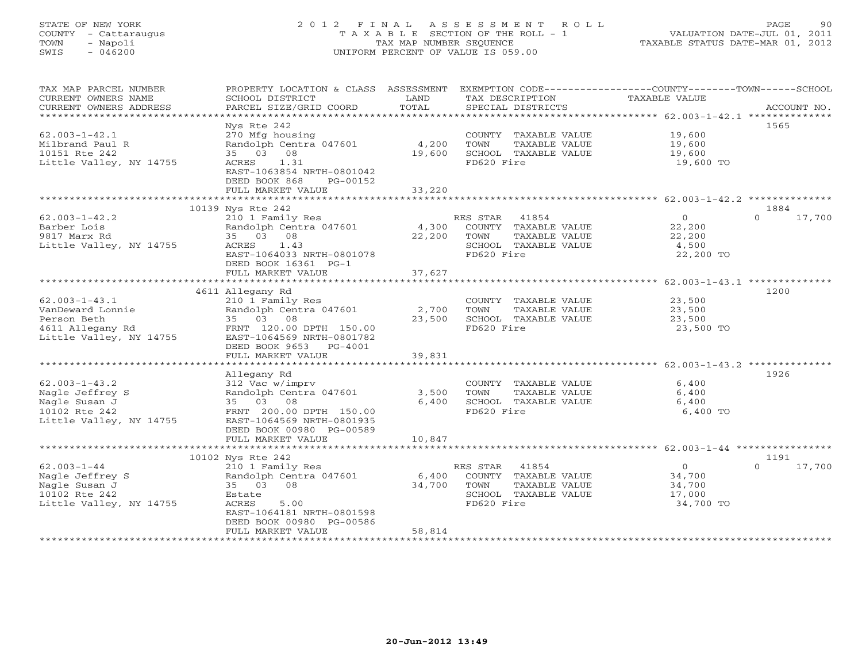# STATE OF NEW YORK 2 0 1 2 F I N A L A S S E S S M E N T R O L L PAGE 90 COUNTY - Cattaraugus T A X A B L E SECTION OF THE ROLL - 1 VALUATION DATE-JUL 01, 2011 TOWN - Napoli TAX MAP NUMBER SEQUENCE TAXABLE STATUS DATE-MAR 01, 2012 SWIS - 046200 UNIFORM PERCENT OF VALUE IS 059.00UNIFORM PERCENT OF VALUE IS 059.00

| TAX MAP PARCEL NUMBER<br>CURRENT OWNERS NAME | PROPERTY LOCATION & CLASS ASSESSMENT<br>SCHOOL DISTRICT | LAND   | TAX DESCRIPTION                               | EXEMPTION CODE-----------------COUNTY-------TOWN------SCHOOL<br>TAXABLE VALUE |
|----------------------------------------------|---------------------------------------------------------|--------|-----------------------------------------------|-------------------------------------------------------------------------------|
| CURRENT OWNERS ADDRESS                       | PARCEL SIZE/GRID COORD                                  | TOTAL  | SPECIAL DISTRICTS                             | ACCOUNT NO.                                                                   |
|                                              |                                                         |        |                                               |                                                                               |
|                                              | Nys Rte 242                                             |        |                                               | 1565                                                                          |
| $62.003 - 1 - 42.1$                          | 270 Mfg housing                                         |        | COUNTY TAXABLE VALUE                          | 19,600                                                                        |
| Milbrand Paul R                              | Randolph Centra 047601<br>35 03 08                      | 4,200  | TOWN<br>TAXABLE VALUE                         | 19,600<br>19,600                                                              |
| 10151 Rte 242                                | 1.31<br>ACRES                                           | 19,600 | SCHOOL TAXABLE VALUE<br>FD620 Fire            |                                                                               |
| Little Valley, NY 14755                      | EAST-1063854 NRTH-0801042                               |        |                                               | 19,600 TO                                                                     |
|                                              | DEED BOOK 868<br>PG-00152                               |        |                                               |                                                                               |
|                                              | FULL MARKET VALUE                                       | 33,220 |                                               |                                                                               |
|                                              | ***************************                             |        |                                               |                                                                               |
|                                              | 10139 Nys Rte 242                                       |        |                                               | 1884                                                                          |
| $62.003 - 1 - 42.2$                          | 210 1 Family Res                                        |        | RES STAR 41854                                | $\overline{0}$<br>$\Omega$<br>17,700                                          |
| Barber Lois                                  | Randolph Centra 047601                                  | 4,300  | COUNTY TAXABLE VALUE                          | 22,200                                                                        |
| 9817 Marx Rd                                 | 35 03 08                                                | 22,200 | TOWN<br>TAXABLE VALUE                         | 22,200                                                                        |
| Little Valley, NY 14755                      | ACRES<br>1.43                                           |        | SCHOOL TAXABLE VALUE                          | 4,500                                                                         |
|                                              | EAST-1064033 NRTH-0801078                               |        | FD620 Fire                                    | 22,200 TO                                                                     |
|                                              | DEED BOOK 16361 PG-1                                    |        |                                               |                                                                               |
|                                              | FULL MARKET VALUE                                       | 37,627 |                                               |                                                                               |
|                                              |                                                         |        |                                               |                                                                               |
|                                              | 4611 Allegany Rd                                        |        |                                               | 1200                                                                          |
| $62.003 - 1 - 43.1$                          | 210 1 Family Res                                        |        | COUNTY TAXABLE VALUE                          | 23,500                                                                        |
| VanDeward Lonnie                             | Randolph Centra 047601                                  | 2,700  | TOWN<br>TAXABLE VALUE                         | 23,500                                                                        |
| Person Beth                                  | 35 03 08                                                | 23,500 | SCHOOL TAXABLE VALUE                          | 23,500                                                                        |
| 4611 Allegany Rd                             | FRNT 120.00 DPTH 150.00                                 |        | FD620 Fire                                    | 23,500 TO                                                                     |
| Little Valley, NY 14755                      | EAST-1064569 NRTH-0801782                               |        |                                               |                                                                               |
|                                              | DEED BOOK 9653 PG-4001                                  |        |                                               |                                                                               |
|                                              | FULL MARKET VALUE                                       | 39,831 |                                               |                                                                               |
|                                              |                                                         |        |                                               | 1926                                                                          |
| $62.003 - 1 - 43.2$                          | Allegany Rd                                             |        |                                               | 6,400                                                                         |
| Nagle Jeffrey S                              | 312 Vac w/imprv<br>Randolph Centra 047601               | 3,500  | COUNTY TAXABLE VALUE<br>TOWN<br>TAXABLE VALUE | 6,400                                                                         |
| Nagle Susan J                                | 35 03 08                                                | 6,400  | SCHOOL TAXABLE VALUE                          | 6,400                                                                         |
| 10102 Rte 242                                | FRNT 200.00 DPTH 150.00                                 |        | FD620 Fire                                    | 6,400 TO                                                                      |
| Little Valley, NY 14755                      | EAST-1064569 NRTH-0801935                               |        |                                               |                                                                               |
|                                              | DEED BOOK 00980 PG-00589                                |        |                                               |                                                                               |
|                                              | FULL MARKET VALUE                                       | 10,847 |                                               |                                                                               |
|                                              |                                                         |        |                                               |                                                                               |
|                                              | 10102 Nys Rte 242                                       |        |                                               | 1191                                                                          |
| $62.003 - 1 - 44$                            | 210 1 Family Res                                        |        | RES STAR<br>41854                             | $\overline{0}$<br>$\Omega$<br>17,700                                          |
| Nagle Jeffrey S                              | Randolph Centra 047601                                  | 6,400  | COUNTY TAXABLE VALUE                          | 34,700                                                                        |
| Nagle Susan J                                | 35 03<br>08                                             | 34,700 | TOWN<br>TAXABLE VALUE                         | 34,700                                                                        |
| 10102 Rte 242                                | Estate                                                  |        | SCHOOL TAXABLE VALUE                          | 17,000                                                                        |
| Little Valley, NY 14755                      | ACRES<br>5.00                                           |        | FD620 Fire                                    | 34,700 TO                                                                     |
|                                              | EAST-1064181 NRTH-0801598                               |        |                                               |                                                                               |
|                                              | DEED BOOK 00980 PG-00586                                |        |                                               |                                                                               |
|                                              | FULL MARKET VALUE                                       | 58,814 |                                               |                                                                               |
|                                              |                                                         |        |                                               |                                                                               |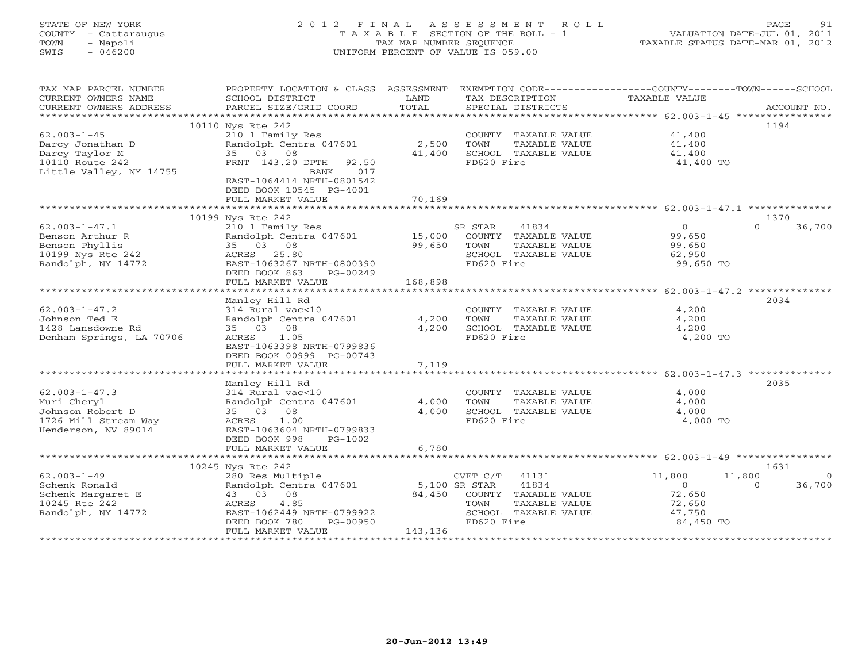# STATE OF NEW YORK 2 0 1 2 F I N A L A S S E S S M E N T R O L L PAGE 91 COUNTY - Cattaraugus T A X A B L E SECTION OF THE ROLL - 1 VALUATION DATE-JUL 01, 2011 TOWN - Napoli TAX MAP NUMBER SEQUENCE TAXABLE STATUS DATE-MAR 01, 2012 SWIS - 046200 UNIFORM PERCENT OF VALUE IS 059.00UNIFORM PERCENT OF VALUE IS 059.00

| 10110 Nys Rte 242<br>1194<br>$62.003 - 1 - 45$<br>210 1 Family Res<br>41,400<br>COUNTY TAXABLE VALUE<br>Darcy Jonathan D<br>Randolph Centra 047601<br>2,500<br>TOWN<br>TAXABLE VALUE<br>41,400<br>Darcy Taylor M<br>35 03 08<br>41,400<br>SCHOOL TAXABLE VALUE<br>41,400<br>10110 Route 242<br>FD620 Fire<br>FRNT 143.20 DPTH<br>41,400 TO<br>92.50<br>Little Valley, NY 14755<br>017<br>BANK<br>EAST-1064414 NRTH-0801542<br>DEED BOOK 10545 PG-4001<br>70,169<br>FULL MARKET VALUE<br>10199 Nys Rte 242<br>1370<br>$\circ$<br>$\Omega$<br>36,700<br>$62.003 - 1 - 47.1$<br>210 1 Family Res<br>SR STAR<br>41834<br>Benson Arthur R<br>Randolph Centra 047601<br>15,000<br>COUNTY TAXABLE VALUE<br>99,650<br>Benson Phyllis<br>35 03 08<br>99,650<br>TOWN<br>TAXABLE VALUE<br>99,650<br>10199 Nys Rte 242<br>ACRES 25.80<br>SCHOOL TAXABLE VALUE<br>62,950<br>FD620 Fire<br>Randolph, NY 14772<br>EAST-1063267 NRTH-0800390<br>99,650 TO<br>DEED BOOK 863<br>PG-00249<br>168,898<br>FULL MARKET VALUE<br>Manley Hill Rd<br>2034<br>$62.003 - 1 - 47.2$<br>314 Rural vac<10<br>COUNTY TAXABLE VALUE<br>4,200<br>Johnson Ted E<br>Randolph Centra 047601<br>4,200<br>TOWN<br>TAXABLE VALUE<br>4,200<br>1428 Lansdowne Rd<br>35 03 08<br>4,200<br>SCHOOL TAXABLE VALUE<br>4,200<br>FD620 Fire<br>Denham Springs, LA 70706<br>ACRES 1.05<br>4,200 TO<br>EAST-1063398 NRTH-0799836<br>DEED BOOK 00999 PG-00743<br>7,119<br>FULL MARKET VALUE<br>Manley Hill Rd<br>2035<br>$62.003 - 1 - 47.3$<br>314 Rural vac<10<br>4,000<br>COUNTY TAXABLE VALUE<br>Muri Cheryl<br>Randolph Centra 047601<br>4,000<br>TOWN<br>TAXABLE VALUE<br>4,000<br>Johnson Robert D<br>35 03 08<br>4,000<br>SCHOOL TAXABLE VALUE<br>4,000<br>FD620 Fire<br>1726 Mill Stream Way<br>ACRES<br>1.00<br>4,000 TO<br>Henderson, NV 89014<br>EAST-1063604 NRTH-0799833<br>DEED BOOK 998<br>$PG-1002$<br>FULL MARKET VALUE<br>6,780<br>10245 Nys Rte 242<br>1631<br>$62.003 - 1 - 49$<br>41131<br>11,800<br>280 Res Multiple<br>CVET C/T<br>11,800<br>$\Omega$<br>Schenk Ronald<br>Randolph Centra 047601<br>5,100 SR STAR<br>41834<br>$\overline{0}$<br>36,700<br>$\Omega$<br>43 03 08<br>84,450<br>COUNTY TAXABLE VALUE<br>72,650<br>Schenk Margaret E<br>10245 Rte 242<br>4.85<br>TOWN<br>TAXABLE VALUE<br>72,650<br>ACRES<br>EAST-1062449 NRTH-0799922<br>SCHOOL TAXABLE VALUE<br>47,750<br>Randolph, NY 14772<br>DEED BOOK 780<br>PG-00950<br>FD620 Fire<br>84,450 TO<br>FULL MARKET VALUE<br>143,136 | TAX MAP PARCEL NUMBER<br>CURRENT OWNERS NAME<br>CURRENT OWNERS ADDRESS | PROPERTY LOCATION & CLASS ASSESSMENT<br>SCHOOL DISTRICT<br>PARCEL SIZE/GRID COORD | LAND<br>TOTAL | TAX DESCRIPTION<br>SPECIAL DISTRICTS | EXEMPTION CODE-----------------COUNTY-------TOWN-----SCHOOL<br>TAXABLE VALUE<br>ACCOUNT NO. |
|------------------------------------------------------------------------------------------------------------------------------------------------------------------------------------------------------------------------------------------------------------------------------------------------------------------------------------------------------------------------------------------------------------------------------------------------------------------------------------------------------------------------------------------------------------------------------------------------------------------------------------------------------------------------------------------------------------------------------------------------------------------------------------------------------------------------------------------------------------------------------------------------------------------------------------------------------------------------------------------------------------------------------------------------------------------------------------------------------------------------------------------------------------------------------------------------------------------------------------------------------------------------------------------------------------------------------------------------------------------------------------------------------------------------------------------------------------------------------------------------------------------------------------------------------------------------------------------------------------------------------------------------------------------------------------------------------------------------------------------------------------------------------------------------------------------------------------------------------------------------------------------------------------------------------------------------------------------------------------------------------------------------------------------------------------------------------------------------------------------------------------------------------------------------------------------------------------------------------------------------------------------------------------------------------------------------------------------------------------------------------------------------------------------------------------------------------------------------|------------------------------------------------------------------------|-----------------------------------------------------------------------------------|---------------|--------------------------------------|---------------------------------------------------------------------------------------------|
|                                                                                                                                                                                                                                                                                                                                                                                                                                                                                                                                                                                                                                                                                                                                                                                                                                                                                                                                                                                                                                                                                                                                                                                                                                                                                                                                                                                                                                                                                                                                                                                                                                                                                                                                                                                                                                                                                                                                                                                                                                                                                                                                                                                                                                                                                                                                                                                                                                                                        |                                                                        |                                                                                   |               |                                      |                                                                                             |
|                                                                                                                                                                                                                                                                                                                                                                                                                                                                                                                                                                                                                                                                                                                                                                                                                                                                                                                                                                                                                                                                                                                                                                                                                                                                                                                                                                                                                                                                                                                                                                                                                                                                                                                                                                                                                                                                                                                                                                                                                                                                                                                                                                                                                                                                                                                                                                                                                                                                        |                                                                        |                                                                                   |               |                                      |                                                                                             |
|                                                                                                                                                                                                                                                                                                                                                                                                                                                                                                                                                                                                                                                                                                                                                                                                                                                                                                                                                                                                                                                                                                                                                                                                                                                                                                                                                                                                                                                                                                                                                                                                                                                                                                                                                                                                                                                                                                                                                                                                                                                                                                                                                                                                                                                                                                                                                                                                                                                                        |                                                                        |                                                                                   |               |                                      |                                                                                             |
|                                                                                                                                                                                                                                                                                                                                                                                                                                                                                                                                                                                                                                                                                                                                                                                                                                                                                                                                                                                                                                                                                                                                                                                                                                                                                                                                                                                                                                                                                                                                                                                                                                                                                                                                                                                                                                                                                                                                                                                                                                                                                                                                                                                                                                                                                                                                                                                                                                                                        |                                                                        |                                                                                   |               |                                      |                                                                                             |
|                                                                                                                                                                                                                                                                                                                                                                                                                                                                                                                                                                                                                                                                                                                                                                                                                                                                                                                                                                                                                                                                                                                                                                                                                                                                                                                                                                                                                                                                                                                                                                                                                                                                                                                                                                                                                                                                                                                                                                                                                                                                                                                                                                                                                                                                                                                                                                                                                                                                        |                                                                        |                                                                                   |               |                                      |                                                                                             |
|                                                                                                                                                                                                                                                                                                                                                                                                                                                                                                                                                                                                                                                                                                                                                                                                                                                                                                                                                                                                                                                                                                                                                                                                                                                                                                                                                                                                                                                                                                                                                                                                                                                                                                                                                                                                                                                                                                                                                                                                                                                                                                                                                                                                                                                                                                                                                                                                                                                                        |                                                                        |                                                                                   |               |                                      |                                                                                             |
|                                                                                                                                                                                                                                                                                                                                                                                                                                                                                                                                                                                                                                                                                                                                                                                                                                                                                                                                                                                                                                                                                                                                                                                                                                                                                                                                                                                                                                                                                                                                                                                                                                                                                                                                                                                                                                                                                                                                                                                                                                                                                                                                                                                                                                                                                                                                                                                                                                                                        |                                                                        |                                                                                   |               |                                      |                                                                                             |
|                                                                                                                                                                                                                                                                                                                                                                                                                                                                                                                                                                                                                                                                                                                                                                                                                                                                                                                                                                                                                                                                                                                                                                                                                                                                                                                                                                                                                                                                                                                                                                                                                                                                                                                                                                                                                                                                                                                                                                                                                                                                                                                                                                                                                                                                                                                                                                                                                                                                        |                                                                        |                                                                                   |               |                                      |                                                                                             |
|                                                                                                                                                                                                                                                                                                                                                                                                                                                                                                                                                                                                                                                                                                                                                                                                                                                                                                                                                                                                                                                                                                                                                                                                                                                                                                                                                                                                                                                                                                                                                                                                                                                                                                                                                                                                                                                                                                                                                                                                                                                                                                                                                                                                                                                                                                                                                                                                                                                                        |                                                                        |                                                                                   |               |                                      |                                                                                             |
|                                                                                                                                                                                                                                                                                                                                                                                                                                                                                                                                                                                                                                                                                                                                                                                                                                                                                                                                                                                                                                                                                                                                                                                                                                                                                                                                                                                                                                                                                                                                                                                                                                                                                                                                                                                                                                                                                                                                                                                                                                                                                                                                                                                                                                                                                                                                                                                                                                                                        |                                                                        |                                                                                   |               |                                      |                                                                                             |
|                                                                                                                                                                                                                                                                                                                                                                                                                                                                                                                                                                                                                                                                                                                                                                                                                                                                                                                                                                                                                                                                                                                                                                                                                                                                                                                                                                                                                                                                                                                                                                                                                                                                                                                                                                                                                                                                                                                                                                                                                                                                                                                                                                                                                                                                                                                                                                                                                                                                        |                                                                        |                                                                                   |               |                                      |                                                                                             |
|                                                                                                                                                                                                                                                                                                                                                                                                                                                                                                                                                                                                                                                                                                                                                                                                                                                                                                                                                                                                                                                                                                                                                                                                                                                                                                                                                                                                                                                                                                                                                                                                                                                                                                                                                                                                                                                                                                                                                                                                                                                                                                                                                                                                                                                                                                                                                                                                                                                                        |                                                                        |                                                                                   |               |                                      |                                                                                             |
|                                                                                                                                                                                                                                                                                                                                                                                                                                                                                                                                                                                                                                                                                                                                                                                                                                                                                                                                                                                                                                                                                                                                                                                                                                                                                                                                                                                                                                                                                                                                                                                                                                                                                                                                                                                                                                                                                                                                                                                                                                                                                                                                                                                                                                                                                                                                                                                                                                                                        |                                                                        |                                                                                   |               |                                      |                                                                                             |
|                                                                                                                                                                                                                                                                                                                                                                                                                                                                                                                                                                                                                                                                                                                                                                                                                                                                                                                                                                                                                                                                                                                                                                                                                                                                                                                                                                                                                                                                                                                                                                                                                                                                                                                                                                                                                                                                                                                                                                                                                                                                                                                                                                                                                                                                                                                                                                                                                                                                        |                                                                        |                                                                                   |               |                                      |                                                                                             |
|                                                                                                                                                                                                                                                                                                                                                                                                                                                                                                                                                                                                                                                                                                                                                                                                                                                                                                                                                                                                                                                                                                                                                                                                                                                                                                                                                                                                                                                                                                                                                                                                                                                                                                                                                                                                                                                                                                                                                                                                                                                                                                                                                                                                                                                                                                                                                                                                                                                                        |                                                                        |                                                                                   |               |                                      |                                                                                             |
|                                                                                                                                                                                                                                                                                                                                                                                                                                                                                                                                                                                                                                                                                                                                                                                                                                                                                                                                                                                                                                                                                                                                                                                                                                                                                                                                                                                                                                                                                                                                                                                                                                                                                                                                                                                                                                                                                                                                                                                                                                                                                                                                                                                                                                                                                                                                                                                                                                                                        |                                                                        |                                                                                   |               |                                      |                                                                                             |
|                                                                                                                                                                                                                                                                                                                                                                                                                                                                                                                                                                                                                                                                                                                                                                                                                                                                                                                                                                                                                                                                                                                                                                                                                                                                                                                                                                                                                                                                                                                                                                                                                                                                                                                                                                                                                                                                                                                                                                                                                                                                                                                                                                                                                                                                                                                                                                                                                                                                        |                                                                        |                                                                                   |               |                                      |                                                                                             |
|                                                                                                                                                                                                                                                                                                                                                                                                                                                                                                                                                                                                                                                                                                                                                                                                                                                                                                                                                                                                                                                                                                                                                                                                                                                                                                                                                                                                                                                                                                                                                                                                                                                                                                                                                                                                                                                                                                                                                                                                                                                                                                                                                                                                                                                                                                                                                                                                                                                                        |                                                                        |                                                                                   |               |                                      |                                                                                             |
|                                                                                                                                                                                                                                                                                                                                                                                                                                                                                                                                                                                                                                                                                                                                                                                                                                                                                                                                                                                                                                                                                                                                                                                                                                                                                                                                                                                                                                                                                                                                                                                                                                                                                                                                                                                                                                                                                                                                                                                                                                                                                                                                                                                                                                                                                                                                                                                                                                                                        |                                                                        |                                                                                   |               |                                      |                                                                                             |
|                                                                                                                                                                                                                                                                                                                                                                                                                                                                                                                                                                                                                                                                                                                                                                                                                                                                                                                                                                                                                                                                                                                                                                                                                                                                                                                                                                                                                                                                                                                                                                                                                                                                                                                                                                                                                                                                                                                                                                                                                                                                                                                                                                                                                                                                                                                                                                                                                                                                        |                                                                        |                                                                                   |               |                                      |                                                                                             |
|                                                                                                                                                                                                                                                                                                                                                                                                                                                                                                                                                                                                                                                                                                                                                                                                                                                                                                                                                                                                                                                                                                                                                                                                                                                                                                                                                                                                                                                                                                                                                                                                                                                                                                                                                                                                                                                                                                                                                                                                                                                                                                                                                                                                                                                                                                                                                                                                                                                                        |                                                                        |                                                                                   |               |                                      |                                                                                             |
|                                                                                                                                                                                                                                                                                                                                                                                                                                                                                                                                                                                                                                                                                                                                                                                                                                                                                                                                                                                                                                                                                                                                                                                                                                                                                                                                                                                                                                                                                                                                                                                                                                                                                                                                                                                                                                                                                                                                                                                                                                                                                                                                                                                                                                                                                                                                                                                                                                                                        |                                                                        |                                                                                   |               |                                      |                                                                                             |
|                                                                                                                                                                                                                                                                                                                                                                                                                                                                                                                                                                                                                                                                                                                                                                                                                                                                                                                                                                                                                                                                                                                                                                                                                                                                                                                                                                                                                                                                                                                                                                                                                                                                                                                                                                                                                                                                                                                                                                                                                                                                                                                                                                                                                                                                                                                                                                                                                                                                        |                                                                        |                                                                                   |               |                                      |                                                                                             |
|                                                                                                                                                                                                                                                                                                                                                                                                                                                                                                                                                                                                                                                                                                                                                                                                                                                                                                                                                                                                                                                                                                                                                                                                                                                                                                                                                                                                                                                                                                                                                                                                                                                                                                                                                                                                                                                                                                                                                                                                                                                                                                                                                                                                                                                                                                                                                                                                                                                                        |                                                                        |                                                                                   |               |                                      |                                                                                             |
|                                                                                                                                                                                                                                                                                                                                                                                                                                                                                                                                                                                                                                                                                                                                                                                                                                                                                                                                                                                                                                                                                                                                                                                                                                                                                                                                                                                                                                                                                                                                                                                                                                                                                                                                                                                                                                                                                                                                                                                                                                                                                                                                                                                                                                                                                                                                                                                                                                                                        |                                                                        |                                                                                   |               |                                      |                                                                                             |
|                                                                                                                                                                                                                                                                                                                                                                                                                                                                                                                                                                                                                                                                                                                                                                                                                                                                                                                                                                                                                                                                                                                                                                                                                                                                                                                                                                                                                                                                                                                                                                                                                                                                                                                                                                                                                                                                                                                                                                                                                                                                                                                                                                                                                                                                                                                                                                                                                                                                        |                                                                        |                                                                                   |               |                                      |                                                                                             |
|                                                                                                                                                                                                                                                                                                                                                                                                                                                                                                                                                                                                                                                                                                                                                                                                                                                                                                                                                                                                                                                                                                                                                                                                                                                                                                                                                                                                                                                                                                                                                                                                                                                                                                                                                                                                                                                                                                                                                                                                                                                                                                                                                                                                                                                                                                                                                                                                                                                                        |                                                                        |                                                                                   |               |                                      |                                                                                             |
|                                                                                                                                                                                                                                                                                                                                                                                                                                                                                                                                                                                                                                                                                                                                                                                                                                                                                                                                                                                                                                                                                                                                                                                                                                                                                                                                                                                                                                                                                                                                                                                                                                                                                                                                                                                                                                                                                                                                                                                                                                                                                                                                                                                                                                                                                                                                                                                                                                                                        |                                                                        |                                                                                   |               |                                      |                                                                                             |
|                                                                                                                                                                                                                                                                                                                                                                                                                                                                                                                                                                                                                                                                                                                                                                                                                                                                                                                                                                                                                                                                                                                                                                                                                                                                                                                                                                                                                                                                                                                                                                                                                                                                                                                                                                                                                                                                                                                                                                                                                                                                                                                                                                                                                                                                                                                                                                                                                                                                        |                                                                        |                                                                                   |               |                                      |                                                                                             |
|                                                                                                                                                                                                                                                                                                                                                                                                                                                                                                                                                                                                                                                                                                                                                                                                                                                                                                                                                                                                                                                                                                                                                                                                                                                                                                                                                                                                                                                                                                                                                                                                                                                                                                                                                                                                                                                                                                                                                                                                                                                                                                                                                                                                                                                                                                                                                                                                                                                                        |                                                                        |                                                                                   |               |                                      |                                                                                             |
|                                                                                                                                                                                                                                                                                                                                                                                                                                                                                                                                                                                                                                                                                                                                                                                                                                                                                                                                                                                                                                                                                                                                                                                                                                                                                                                                                                                                                                                                                                                                                                                                                                                                                                                                                                                                                                                                                                                                                                                                                                                                                                                                                                                                                                                                                                                                                                                                                                                                        |                                                                        |                                                                                   |               |                                      |                                                                                             |
|                                                                                                                                                                                                                                                                                                                                                                                                                                                                                                                                                                                                                                                                                                                                                                                                                                                                                                                                                                                                                                                                                                                                                                                                                                                                                                                                                                                                                                                                                                                                                                                                                                                                                                                                                                                                                                                                                                                                                                                                                                                                                                                                                                                                                                                                                                                                                                                                                                                                        |                                                                        |                                                                                   |               |                                      |                                                                                             |
|                                                                                                                                                                                                                                                                                                                                                                                                                                                                                                                                                                                                                                                                                                                                                                                                                                                                                                                                                                                                                                                                                                                                                                                                                                                                                                                                                                                                                                                                                                                                                                                                                                                                                                                                                                                                                                                                                                                                                                                                                                                                                                                                                                                                                                                                                                                                                                                                                                                                        |                                                                        |                                                                                   |               |                                      |                                                                                             |
|                                                                                                                                                                                                                                                                                                                                                                                                                                                                                                                                                                                                                                                                                                                                                                                                                                                                                                                                                                                                                                                                                                                                                                                                                                                                                                                                                                                                                                                                                                                                                                                                                                                                                                                                                                                                                                                                                                                                                                                                                                                                                                                                                                                                                                                                                                                                                                                                                                                                        |                                                                        |                                                                                   |               |                                      |                                                                                             |
|                                                                                                                                                                                                                                                                                                                                                                                                                                                                                                                                                                                                                                                                                                                                                                                                                                                                                                                                                                                                                                                                                                                                                                                                                                                                                                                                                                                                                                                                                                                                                                                                                                                                                                                                                                                                                                                                                                                                                                                                                                                                                                                                                                                                                                                                                                                                                                                                                                                                        |                                                                        |                                                                                   |               |                                      |                                                                                             |
|                                                                                                                                                                                                                                                                                                                                                                                                                                                                                                                                                                                                                                                                                                                                                                                                                                                                                                                                                                                                                                                                                                                                                                                                                                                                                                                                                                                                                                                                                                                                                                                                                                                                                                                                                                                                                                                                                                                                                                                                                                                                                                                                                                                                                                                                                                                                                                                                                                                                        |                                                                        |                                                                                   |               |                                      |                                                                                             |
|                                                                                                                                                                                                                                                                                                                                                                                                                                                                                                                                                                                                                                                                                                                                                                                                                                                                                                                                                                                                                                                                                                                                                                                                                                                                                                                                                                                                                                                                                                                                                                                                                                                                                                                                                                                                                                                                                                                                                                                                                                                                                                                                                                                                                                                                                                                                                                                                                                                                        |                                                                        |                                                                                   |               |                                      |                                                                                             |
|                                                                                                                                                                                                                                                                                                                                                                                                                                                                                                                                                                                                                                                                                                                                                                                                                                                                                                                                                                                                                                                                                                                                                                                                                                                                                                                                                                                                                                                                                                                                                                                                                                                                                                                                                                                                                                                                                                                                                                                                                                                                                                                                                                                                                                                                                                                                                                                                                                                                        |                                                                        |                                                                                   |               |                                      |                                                                                             |
|                                                                                                                                                                                                                                                                                                                                                                                                                                                                                                                                                                                                                                                                                                                                                                                                                                                                                                                                                                                                                                                                                                                                                                                                                                                                                                                                                                                                                                                                                                                                                                                                                                                                                                                                                                                                                                                                                                                                                                                                                                                                                                                                                                                                                                                                                                                                                                                                                                                                        |                                                                        |                                                                                   |               |                                      |                                                                                             |
|                                                                                                                                                                                                                                                                                                                                                                                                                                                                                                                                                                                                                                                                                                                                                                                                                                                                                                                                                                                                                                                                                                                                                                                                                                                                                                                                                                                                                                                                                                                                                                                                                                                                                                                                                                                                                                                                                                                                                                                                                                                                                                                                                                                                                                                                                                                                                                                                                                                                        |                                                                        |                                                                                   |               |                                      |                                                                                             |
|                                                                                                                                                                                                                                                                                                                                                                                                                                                                                                                                                                                                                                                                                                                                                                                                                                                                                                                                                                                                                                                                                                                                                                                                                                                                                                                                                                                                                                                                                                                                                                                                                                                                                                                                                                                                                                                                                                                                                                                                                                                                                                                                                                                                                                                                                                                                                                                                                                                                        |                                                                        |                                                                                   |               |                                      |                                                                                             |
|                                                                                                                                                                                                                                                                                                                                                                                                                                                                                                                                                                                                                                                                                                                                                                                                                                                                                                                                                                                                                                                                                                                                                                                                                                                                                                                                                                                                                                                                                                                                                                                                                                                                                                                                                                                                                                                                                                                                                                                                                                                                                                                                                                                                                                                                                                                                                                                                                                                                        |                                                                        |                                                                                   |               |                                      |                                                                                             |
|                                                                                                                                                                                                                                                                                                                                                                                                                                                                                                                                                                                                                                                                                                                                                                                                                                                                                                                                                                                                                                                                                                                                                                                                                                                                                                                                                                                                                                                                                                                                                                                                                                                                                                                                                                                                                                                                                                                                                                                                                                                                                                                                                                                                                                                                                                                                                                                                                                                                        |                                                                        |                                                                                   |               |                                      |                                                                                             |
|                                                                                                                                                                                                                                                                                                                                                                                                                                                                                                                                                                                                                                                                                                                                                                                                                                                                                                                                                                                                                                                                                                                                                                                                                                                                                                                                                                                                                                                                                                                                                                                                                                                                                                                                                                                                                                                                                                                                                                                                                                                                                                                                                                                                                                                                                                                                                                                                                                                                        |                                                                        |                                                                                   |               |                                      |                                                                                             |
|                                                                                                                                                                                                                                                                                                                                                                                                                                                                                                                                                                                                                                                                                                                                                                                                                                                                                                                                                                                                                                                                                                                                                                                                                                                                                                                                                                                                                                                                                                                                                                                                                                                                                                                                                                                                                                                                                                                                                                                                                                                                                                                                                                                                                                                                                                                                                                                                                                                                        |                                                                        |                                                                                   |               |                                      |                                                                                             |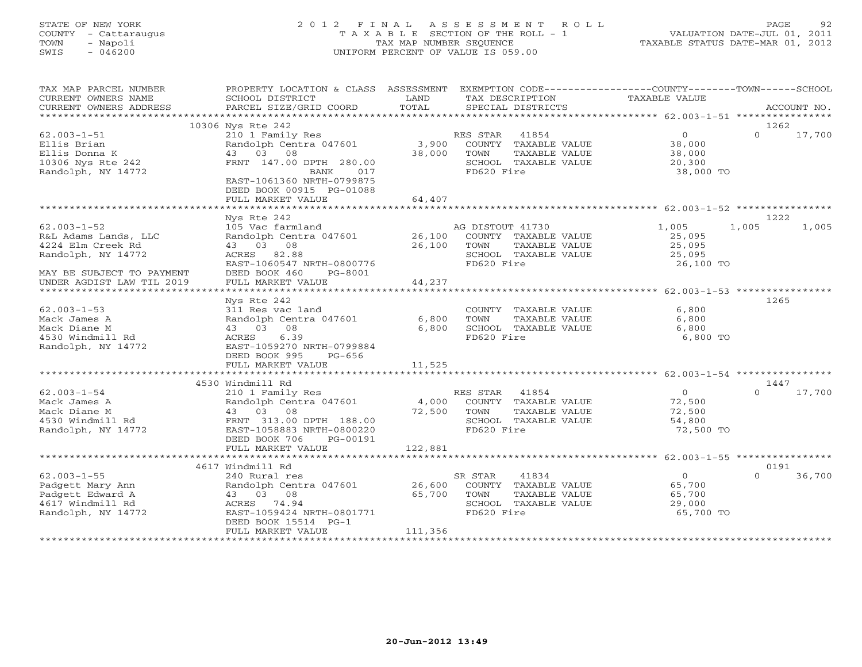# STATE OF NEW YORK 2 0 1 2 F I N A L A S S E S S M E N T R O L L PAGE 92 COUNTY - Cattaraugus T A X A B L E SECTION OF THE ROLL - 1 VALUATION DATE-JUL 01, 2011 TOWN - Napoli TAX MAP NUMBER SEQUENCE TAXABLE STATUS DATE-MAR 01, 2012 SWIS - 046200 UNIFORM PERCENT OF VALUE IS 059.00UNIFORM PERCENT OF VALUE IS 059.00

| TAX MAP PARCEL NUMBER<br>CURRENT OWNERS NAME<br>CURRENT OWNERS ADDRESS                       | PROPERTY LOCATION & CLASS ASSESSMENT<br>SCHOOL DISTRICT<br>PARCEL SIZE/GRID COORD                                             | LAND<br>TOTAL   | EXEMPTION CODE-----------------COUNTY-------TOWN------SCHOOL<br>TAX DESCRIPTION<br>SPECIAL DISTRICTS  | TAXABLE VALUE                                             | ACCOUNT NO.        |  |
|----------------------------------------------------------------------------------------------|-------------------------------------------------------------------------------------------------------------------------------|-----------------|-------------------------------------------------------------------------------------------------------|-----------------------------------------------------------|--------------------|--|
| *********************                                                                        | ***********                                                                                                                   |                 |                                                                                                       |                                                           |                    |  |
|                                                                                              | 10306 Nys Rte 242                                                                                                             |                 |                                                                                                       |                                                           | 1262               |  |
| $62.003 - 1 - 51$<br>Ellis Brian<br>Ellis Donna K<br>10306 Nys Rte 242<br>Randolph, NY 14772 | 210 1 Family Res<br>Randolph Centra 047601<br>43 03 08<br>FRNT 147.00 DPTH 280.00<br>BANK<br>017<br>EAST-1061360 NRTH-0799875 | 3,900<br>38,000 | RES STAR 41854<br>COUNTY TAXABLE VALUE<br>TOWN<br>TAXABLE VALUE<br>SCHOOL TAXABLE VALUE<br>FD620 Fire | $\overline{0}$<br>38,000<br>38,000<br>20,300<br>38,000 TO | $\Omega$<br>17,700 |  |
|                                                                                              | DEED BOOK 00915 PG-01088                                                                                                      |                 |                                                                                                       |                                                           |                    |  |
|                                                                                              | FULL MARKET VALUE                                                                                                             | 64,407          |                                                                                                       |                                                           |                    |  |
|                                                                                              | Nys Rte 242                                                                                                                   |                 |                                                                                                       |                                                           | 1222               |  |
| $62.003 - 1 - 52$                                                                            | 105 Vac farmland                                                                                                              |                 | AG DISTOUT 41730                                                                                      | 1,005                                                     | 1,005<br>1,005     |  |
| R&L Adams Lands, LLC                                                                         | Randolph Centra 047601                                                                                                        | 26,100          | COUNTY TAXABLE VALUE                                                                                  | 25,095                                                    |                    |  |
| 4224 Elm Creek Rd                                                                            | 43 03 08                                                                                                                      | 26,100          | TOWN<br>TAXABLE VALUE                                                                                 | 25,095                                                    |                    |  |
| Randolph, NY 14772                                                                           | ACRES 82.88                                                                                                                   |                 | SCHOOL TAXABLE VALUE                                                                                  | 25,095                                                    |                    |  |
|                                                                                              | EAST-1060547 NRTH-0800776                                                                                                     |                 | FD620 Fire                                                                                            | 26,100 TO                                                 |                    |  |
| MAY BE SUBJECT TO PAYMENT                                                                    | DEED BOOK 460<br>PG-8001                                                                                                      |                 |                                                                                                       |                                                           |                    |  |
| UNDER AGDIST LAW TIL 2019                                                                    | FULL MARKET VALUE                                                                                                             | 44,237          |                                                                                                       |                                                           |                    |  |
|                                                                                              |                                                                                                                               |                 |                                                                                                       |                                                           |                    |  |
|                                                                                              | Nys Rte 242                                                                                                                   |                 |                                                                                                       |                                                           | 1265               |  |
| $62.003 - 1 - 53$                                                                            | 311 Res vac land                                                                                                              |                 | COUNTY TAXABLE VALUE                                                                                  | 6,800                                                     |                    |  |
| Mack James A                                                                                 | Randolph Centra 047601                                                                                                        | 6,800           | TOWN<br>TAXABLE VALUE                                                                                 | 6,800                                                     |                    |  |
| Mack Diane M                                                                                 | 43 03 08                                                                                                                      | 6,800           | SCHOOL TAXABLE VALUE                                                                                  | 6,800                                                     |                    |  |
| 4530 Windmill Rd                                                                             | ACRES 6.39                                                                                                                    |                 | FD620 Fire                                                                                            | 6,800 TO                                                  |                    |  |
| Randolph, NY 14772                                                                           | EAST-1059270 NRTH-0799884                                                                                                     |                 |                                                                                                       |                                                           |                    |  |
|                                                                                              | DEED BOOK 995<br>PG-656                                                                                                       |                 |                                                                                                       |                                                           |                    |  |
|                                                                                              | FULL MARKET VALUE                                                                                                             | 11,525          |                                                                                                       |                                                           |                    |  |
|                                                                                              |                                                                                                                               |                 |                                                                                                       |                                                           |                    |  |
|                                                                                              | 4530 Windmill Rd                                                                                                              |                 |                                                                                                       |                                                           | 1447<br>$\Omega$   |  |
| $62.003 - 1 - 54$                                                                            | 210 1 Family Res                                                                                                              |                 | RES STAR 41854                                                                                        | $\overline{0}$                                            | 17,700             |  |
| Mack James A                                                                                 | Randolph Centra 047601                                                                                                        |                 | 4,000 COUNTY TAXABLE VALUE                                                                            | 72,500                                                    |                    |  |
| Mack Diane M                                                                                 | 43 03 08                                                                                                                      | 72,500          | TOWN<br>TAXABLE VALUE                                                                                 | 72,500                                                    |                    |  |
| 4530 Windmill Rd<br>Randolph, NY 14772                                                       | FRNT 313.00 DPTH 188.00<br>EAST-1058883 NRTH-0800220                                                                          |                 | SCHOOL TAXABLE VALUE<br>FD620 Fire                                                                    | 54,800<br>72,500 TO                                       |                    |  |
|                                                                                              | DEED BOOK 706<br>PG-00191                                                                                                     |                 |                                                                                                       |                                                           |                    |  |
|                                                                                              | FULL MARKET VALUE                                                                                                             | 122,881         |                                                                                                       |                                                           |                    |  |
|                                                                                              |                                                                                                                               |                 |                                                                                                       |                                                           |                    |  |
|                                                                                              | 4617 Windmill Rd                                                                                                              |                 |                                                                                                       |                                                           | 0191               |  |
| $62.003 - 1 - 55$                                                                            | 240 Rural res                                                                                                                 |                 | SR STAR<br>41834                                                                                      | $\overline{0}$                                            | 36,700<br>$\Omega$ |  |
| Padgett Mary Ann                                                                             | Randolph Centra 047601                                                                                                        | 26,600          | COUNTY TAXABLE VALUE                                                                                  | 65,700                                                    |                    |  |
| Padgett Edward A                                                                             | 43 03 08                                                                                                                      | 65,700          | TOWN<br>TAXABLE VALUE                                                                                 | 65,700                                                    |                    |  |
| 4617 Windmill Rd                                                                             | ACRES 74.94                                                                                                                   |                 | SCHOOL TAXABLE VALUE                                                                                  | 29,000                                                    |                    |  |
| Randolph, NY 14772                                                                           | EAST-1059424 NRTH-0801771                                                                                                     |                 | FD620 Fire                                                                                            | 65,700 TO                                                 |                    |  |
|                                                                                              | DEED BOOK 15514 PG-1                                                                                                          |                 |                                                                                                       |                                                           |                    |  |
|                                                                                              | FULL MARKET VALUE                                                                                                             | 111,356         |                                                                                                       |                                                           |                    |  |
|                                                                                              |                                                                                                                               |                 |                                                                                                       |                                                           |                    |  |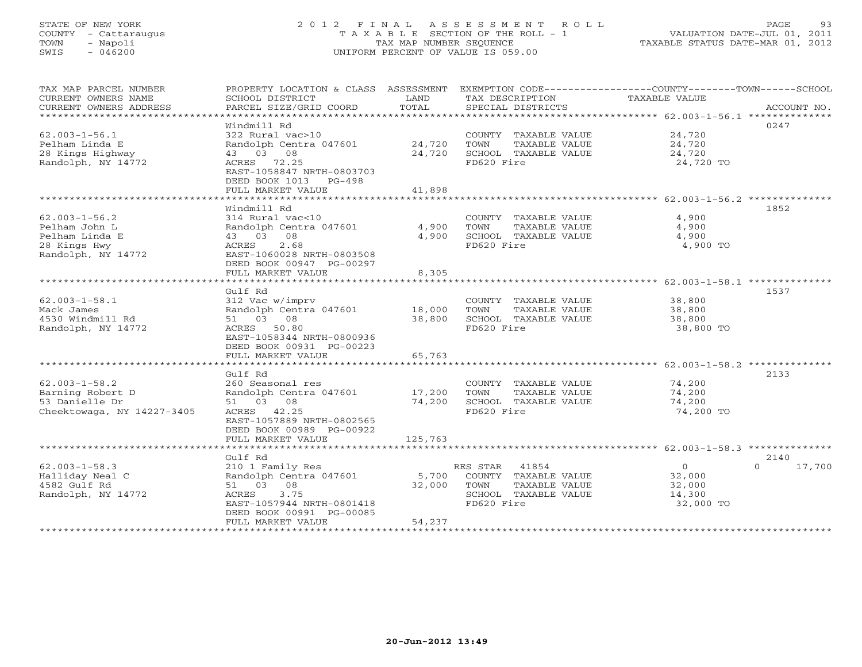# STATE OF NEW YORK 2 0 1 2 F I N A L A S S E S S M E N T R O L L PAGE 93 COUNTY - Cattaraugus T A X A B L E SECTION OF THE ROLL - 1 VALUATION DATE-JUL 01, 2011 TOWN - Napoli TAX MAP NUMBER SEQUENCE TAXABLE STATUS DATE-MAR 01, 2012 SWIS - 046200 UNIFORM PERCENT OF VALUE IS 059.00UNIFORM PERCENT OF VALUE IS 059.00

| TAX MAP PARCEL NUMBER<br>CURRENT OWNERS NAME<br>CURRENT OWNERS ADDRESS                       | PROPERTY LOCATION & CLASS ASSESSMENT EXEMPTION CODE---------------COUNTY-------TOWN-----SCHOOL<br>SCHOOL DISTRICT<br>PARCEL SIZE/GRID COORD                                                      | LAND<br>TOTAL               | TAX DESCRIPTION<br>SPECIAL DISTRICTS                                                                  | TAXABLE VALUE                                                         | ACCOUNT NO.    |
|----------------------------------------------------------------------------------------------|--------------------------------------------------------------------------------------------------------------------------------------------------------------------------------------------------|-----------------------------|-------------------------------------------------------------------------------------------------------|-----------------------------------------------------------------------|----------------|
| $62.003 - 1 - 56.1$<br>Pelham Linda E<br>28 Kings Highway<br>Randolph, NY 14772              | Windmill Rd<br>322 Rural vac>10<br>Randolph Centra 047601<br>43 03 08<br>ACRES 72.25<br>EAST-1058847 NRTH-0803703<br>DEED BOOK 1013 PG-498<br>FULL MARKET VALUE                                  | 24,720<br>24,720<br>41,898  | COUNTY TAXABLE VALUE<br>TOWN<br>TAXABLE VALUE<br>SCHOOL TAXABLE VALUE<br>FD620 Fire                   | 24,720<br>24,720<br>24,720<br>24,720 TO                               | 0247           |
|                                                                                              |                                                                                                                                                                                                  |                             |                                                                                                       |                                                                       |                |
| $62.003 - 1 - 56.2$<br>Pelham John L<br>Pelham Linda E<br>28 Kings Hwy<br>Randolph, NY 14772 | Windmill Rd<br>314 Rural vac<10<br>Randolph Centra 047601<br>43 03 08<br>2.68<br>ACRES<br>EAST-1060028 NRTH-0803508<br>DEED BOOK 00947 PG-00297                                                  | 4,900<br>4,900              | COUNTY TAXABLE VALUE<br>TOWN<br>TAXABLE VALUE<br>SCHOOL TAXABLE VALUE<br>FD620 Fire                   | 4,900<br>4,900<br>4,900<br>4,900 TO                                   | 1852           |
|                                                                                              | FULL MARKET VALUE                                                                                                                                                                                | 8,305                       |                                                                                                       | ***********************************62.003-1-58.1 ***************      |                |
| $62.003 - 1 - 58.1$<br>Mack James<br>4530 Windmill Rd<br>Randolph, NY 14772                  | Gulf Rd<br>312 Vac w/imprv<br>Randolph Centra 047601<br>51 03 08<br>ACRES 50.80<br>EAST-1058344 NRTH-0800936<br>DEED BOOK 00931 PG-00223                                                         | 18,000<br>38,800            | COUNTY TAXABLE VALUE<br>TAXABLE VALUE<br>TOWN<br>SCHOOL TAXABLE VALUE<br>FD620 Fire                   | 38,800<br>38,800<br>38,800<br>38,800 TO                               | 1537           |
|                                                                                              | FULL MARKET VALUE                                                                                                                                                                                | 65,763                      |                                                                                                       |                                                                       |                |
| $62.003 - 1 - 58.2$<br>Barning Robert D<br>53 Danielle Dr<br>Cheektowaga, NY 14227-3405      | Gulf Rd<br>260 Seasonal res<br>Randolph Centra 047601<br>51 03 08<br>ACRES 42.25<br>EAST-1057889 NRTH-0802565<br>DEED BOOK 00989 PG-00922<br>FULL MARKET VALUE                                   | 17,200<br>74,200<br>125,763 | COUNTY TAXABLE VALUE<br>TOWN<br>TAXABLE VALUE<br>SCHOOL TAXABLE VALUE<br>FD620 Fire                   | 74,200<br>74,200<br>74,200<br>74,200 TO                               | 2133           |
|                                                                                              |                                                                                                                                                                                                  |                             |                                                                                                       |                                                                       |                |
| $62.003 - 1 - 58.3$<br>Halliday Neal C<br>4582 Gulf Rd<br>Randolph, NY 14772                 | Gulf Rd<br>210 1 Family Res<br>Randolph Centra 047601<br>51 03 08<br>3.75<br>ACRES<br>EAST-1057944 NRTH-0801418<br>DEED BOOK 00991 PG-00085<br>FULL MARKET VALUE<br>**************************** | 5,700<br>32,000<br>54,237   | RES STAR 41854<br>COUNTY TAXABLE VALUE<br>TOWN<br>TAXABLE VALUE<br>SCHOOL TAXABLE VALUE<br>FD620 Fire | $\overline{0}$<br>$\Omega$<br>32,000<br>32,000<br>14,300<br>32,000 TO | 2140<br>17,700 |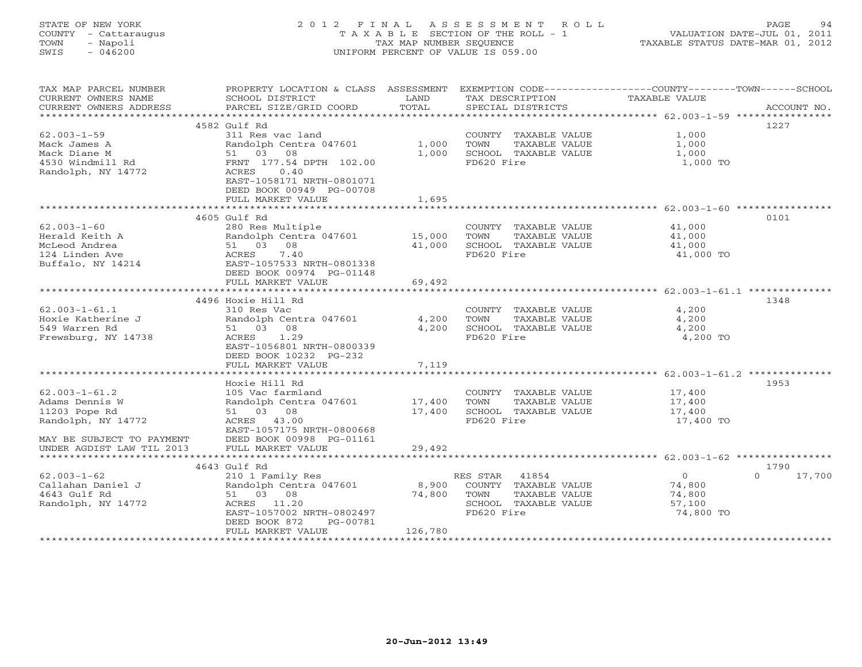#### STATE OF NEW YORK 2 0 1 2 F I N A L A S S E S S M E N T R O L L PAGE 94COUNTY - Cattaraugus T A X A B L E SECTION OF THE ROLL - 1<br>TOWN - Napoli TOWN - Napoli TAX MAP NUMBER SEQUENCE TAXABLE STATUS DATE-MAR 01, 2012 SWIS - 046200 UNIFORM PERCENT OF VALUE IS 059.00

| TAX MAP PARCEL NUMBER<br>CURRENT OWNERS NAME<br>CURRENT OWNERS ADDRESS | PROPERTY LOCATION & CLASS ASSESSMENT<br>SCHOOL DISTRICT<br>PARCEL SIZE/GRID COORD | LAND<br>TOTAL | TAX DESCRIPTION<br>SPECIAL DISTRICTS          | EXEMPTION CODE-----------------COUNTY-------TOWN------SCHOOL<br>TAXABLE VALUE | ACCOUNT NO. |
|------------------------------------------------------------------------|-----------------------------------------------------------------------------------|---------------|-----------------------------------------------|-------------------------------------------------------------------------------|-------------|
| ***********************                                                |                                                                                   |               |                                               |                                                                               |             |
|                                                                        | 4582 Gulf Rd<br>311 Res vac land                                                  |               |                                               | 1227                                                                          |             |
| $62.003 - 1 - 59$<br>Mack James A                                      | Randolph Centra 047601                                                            | 1,000         | COUNTY TAXABLE VALUE<br>TOWN<br>TAXABLE VALUE | 1,000<br>1,000                                                                |             |
| Mack Diane M                                                           | 51 03 08                                                                          | 1,000         | SCHOOL TAXABLE VALUE                          | 1,000                                                                         |             |
| 4530 Windmill Rd                                                       | FRNT 177.54 DPTH 102.00                                                           |               | FD620 Fire                                    | 1,000 TO                                                                      |             |
| Randolph, NY 14772                                                     | ACRES<br>0.40<br>EAST-1058171 NRTH-0801071<br>DEED BOOK 00949 PG-00708            |               |                                               |                                                                               |             |
|                                                                        | FULL MARKET VALUE                                                                 | 1,695         |                                               |                                                                               |             |
|                                                                        | 4605 Gulf Rd                                                                      |               |                                               | 0101                                                                          |             |
| $62.003 - 1 - 60$                                                      | 280 Res Multiple                                                                  |               | COUNTY TAXABLE VALUE                          | 41,000                                                                        |             |
| Herald Keith A                                                         | Randolph Centra 047601                                                            | 15,000        | TOWN<br>TAXABLE VALUE                         | 41,000                                                                        |             |
| McLeod Andrea                                                          | 51 03 08                                                                          | 41,000        | SCHOOL TAXABLE VALUE                          | 41,000                                                                        |             |
| 124 Linden Ave                                                         | ACRES<br>7.40                                                                     |               | FD620 Fire                                    | 41,000 TO                                                                     |             |
| Buffalo, NY 14214                                                      | EAST-1057533 NRTH-0801338                                                         |               |                                               |                                                                               |             |
|                                                                        | DEED BOOK 00974 PG-01148                                                          |               |                                               |                                                                               |             |
|                                                                        | FULL MARKET VALUE                                                                 | 69,492        |                                               |                                                                               |             |
|                                                                        |                                                                                   |               |                                               |                                                                               |             |
|                                                                        | 4496 Hoxie Hill Rd                                                                |               |                                               | 1348                                                                          |             |
| $62.003 - 1 - 61.1$                                                    | 310 Res Vac                                                                       |               | COUNTY TAXABLE VALUE                          | 4,200                                                                         |             |
| Hoxie Katherine J                                                      | Randolph Centra 047601                                                            | 4,200         | TAXABLE VALUE<br>TOWN                         | 4,200                                                                         |             |
| 549 Warren Rd                                                          | 51 03 08                                                                          | 4,200         | SCHOOL TAXABLE VALUE                          | 4,200                                                                         |             |
| Frewsburg, NY 14738                                                    | 1.29<br>ACRES                                                                     |               | FD620 Fire                                    | 4,200 TO                                                                      |             |
|                                                                        | EAST-1056801 NRTH-0800339                                                         |               |                                               |                                                                               |             |
|                                                                        | DEED BOOK 10232 PG-232<br>FULL MARKET VALUE                                       |               |                                               |                                                                               |             |
|                                                                        |                                                                                   | 7,119         |                                               |                                                                               |             |
|                                                                        | Hoxie Hill Rd                                                                     |               |                                               | 1953                                                                          |             |
| $62.003 - 1 - 61.2$                                                    | 105 Vac farmland                                                                  |               | COUNTY TAXABLE VALUE                          | 17,400                                                                        |             |
| Adams Dennis W                                                         | Randolph Centra 047601                                                            | 17,400        | TOWN<br>TAXABLE VALUE                         | 17,400                                                                        |             |
| 11203 Pope Rd                                                          | 51 03 08                                                                          | 17,400        | SCHOOL TAXABLE VALUE                          | 17,400                                                                        |             |
| Randolph, NY 14772                                                     | ACRES 43.00                                                                       |               | FD620 Fire                                    | 17,400 TO                                                                     |             |
|                                                                        | EAST-1057175 NRTH-0800668                                                         |               |                                               |                                                                               |             |
| MAY BE SUBJECT TO PAYMENT                                              | DEED BOOK 00998 PG-01161                                                          |               |                                               |                                                                               |             |
| UNDER AGDIST LAW TIL 2013                                              | FULL MARKET VALUE                                                                 | 29,492        |                                               |                                                                               |             |
| *********************                                                  |                                                                                   |               |                                               |                                                                               |             |
|                                                                        | 4643 Gulf Rd                                                                      |               |                                               | 1790                                                                          |             |
| $62.003 - 1 - 62$                                                      | 210 1 Family Res                                                                  |               | RES STAR 41854                                | $\overline{0}$<br>$\Omega$                                                    | 17,700      |
| Callahan Daniel J                                                      | Randolph Centra 047601                                                            | 8,900         | COUNTY TAXABLE VALUE                          | 74,800                                                                        |             |
| 4643 Gulf Rd<br>Randolph, NY 14772                                     | 51 03 08<br>ACRES 11.20                                                           | 74,800        | TAXABLE VALUE<br>TOWN<br>SCHOOL TAXABLE VALUE | 74,800<br>57,100                                                              |             |
|                                                                        | EAST-1057002 NRTH-0802497                                                         |               | FD620 Fire                                    | 74,800 TO                                                                     |             |
|                                                                        | DEED BOOK 872<br>PG-00781                                                         |               |                                               |                                                                               |             |
|                                                                        | FULL MARKET VALUE                                                                 | 126,780       |                                               |                                                                               |             |
|                                                                        |                                                                                   |               |                                               |                                                                               |             |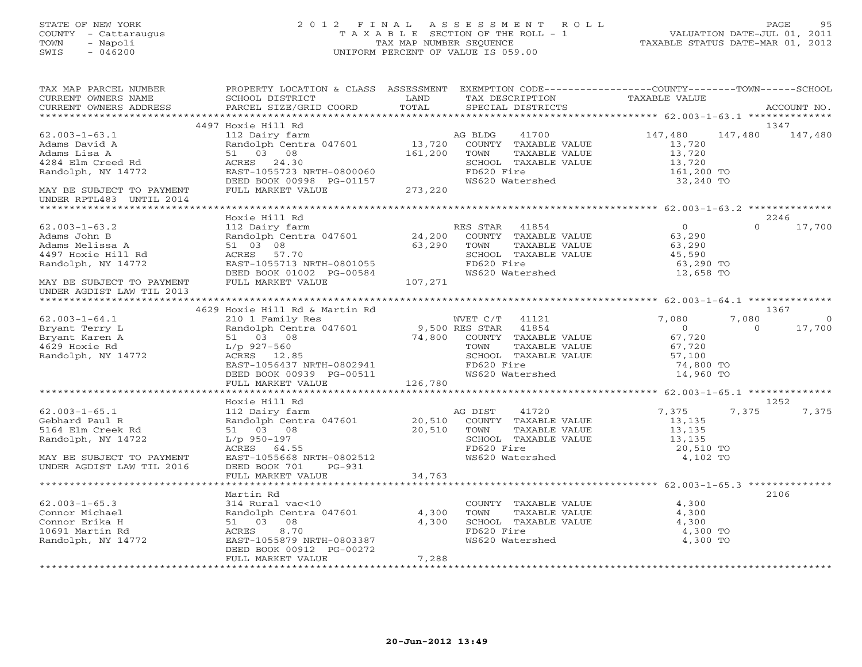#### STATE OF NEW YORK 2 0 1 2 F I N A L A S S E S S M E N T R O L L PAGE 95 COUNTY - Cattaraugus T A X A B L E SECTION OF THE ROLL - 1 VALUATION DATE-JUL 01, 2011 TOWN - Napoli TAX MAP NUMBER SEQUENCE TAXABLE STATUS DATE-MAR 01, 2012 SWIS - 046200 UNIFORM PERCENT OF VALUE IS 059.00UNIFORM PERCENT OF VALUE IS 059.00

| TAX MAP PARCEL NUMBER      | PROPERTY LOCATION & CLASS ASSESSMENT EXEMPTION CODE----------------COUNTY-------TOWN------SCHOOL |         |                       |                |                         |
|----------------------------|--------------------------------------------------------------------------------------------------|---------|-----------------------|----------------|-------------------------|
| CURRENT OWNERS NAME        | SCHOOL DISTRICT                                                                                  | LAND    | TAX DESCRIPTION       | TAXABLE VALUE  |                         |
| CURRENT OWNERS ADDRESS     | PARCEL SIZE/GRID COORD                                                                           | TOTAL   | SPECIAL DISTRICTS     |                | ACCOUNT NO.             |
|                            |                                                                                                  |         |                       |                |                         |
|                            | 4497 Hoxie Hill Rd                                                                               |         |                       |                | 1347                    |
| $62.003 - 1 - 63.1$        | 112 Dairy farm                                                                                   |         | AG BLDG<br>41700      | 147,480        | 147,480<br>147,480      |
| Adams David A              | Randolph Centra 047601                                                                           | 13,720  | COUNTY TAXABLE VALUE  | 13,720         |                         |
| Adams Lisa A               | 51 03 08                                                                                         | 161,200 | TOWN<br>TAXABLE VALUE | 13,720         |                         |
| 4284 Elm Creed Rd          | ACRES 24.30                                                                                      |         | SCHOOL TAXABLE VALUE  | 13,720         |                         |
| Randolph, NY 14772         | EAST-1055723 NRTH-0800060                                                                        |         | FD620 Fire            | 161,200 TO     |                         |
|                            | DEED BOOK 00998 PG-01157                                                                         |         | WS620 Watershed       | 32,240 TO      |                         |
| MAY BE SUBJECT TO PAYMENT  | FULL MARKET VALUE                                                                                | 273,220 |                       |                |                         |
| UNDER RPTL483 UNTIL 2014   |                                                                                                  |         |                       |                |                         |
|                            |                                                                                                  |         |                       |                |                         |
|                            | Hoxie Hill Rd                                                                                    |         |                       |                | 2246                    |
| $62.003 - 1 - 63.2$        | 112 Dairy farm                                                                                   |         | RES STAR 41854        | $\overline{0}$ | $\Omega$<br>17,700      |
| Adams John B               | Randolph Centra 047601 24,200                                                                    |         | COUNTY TAXABLE VALUE  | 63,290         |                         |
| Adams Melissa A            | 51 03 08                                                                                         | 63,290  | TAXABLE VALUE<br>TOWN | 63,290         |                         |
| 4497 Hoxie Hill Rd         | ACRES 57.70                                                                                      |         | SCHOOL TAXABLE VALUE  | 45,590         |                         |
| Randolph, NY 14772         | EAST-1055713 NRTH-0801055                                                                        |         | FD620 Fire            | 63,290 TO      |                         |
|                            | DEED BOOK 01002 PG-00584                                                                         |         | WS620 Watershed       | 12,658 TO      |                         |
|                            |                                                                                                  |         |                       |                |                         |
| MAY BE SUBJECT TO PAYMENT  | FULL MARKET VALUE                                                                                | 107,271 |                       |                |                         |
| UNDER AGDIST LAW TIL 2013  |                                                                                                  |         |                       |                |                         |
|                            |                                                                                                  |         |                       |                |                         |
|                            | 4629 Hoxie Hill Rd & Martin Rd                                                                   |         |                       |                | 1367                    |
| $62.003 - 1 - 64.1$        | 210 1 Family Res                                                                                 |         | WVET C/T 41121        | 7,080          | 7,080<br>$\overline{0}$ |
| Bryant Terry L             | Randolph Centra 047601                                                                           |         | 9,500 RES STAR 41854  | $\overline{0}$ | $\Omega$<br>17,700      |
| Bryant Karen A             | 51 03 08                                                                                         | 74,800  | COUNTY TAXABLE VALUE  | 67,720         |                         |
| 4629 Hoxie Rd              | $L/p$ 927-560                                                                                    |         | TOWN<br>TAXABLE VALUE | 67,720         |                         |
| Randolph, NY 14772         | ACRES 12.85                                                                                      |         | SCHOOL TAXABLE VALUE  | 57,100         |                         |
|                            | EAST-1056437 NRTH-0802941                                                                        |         | FD620 Fire            | 74,800 TO      |                         |
|                            | DEED BOOK 00939 PG-00511                                                                         |         | WS620 Watershed       | 14,960 TO      |                         |
|                            | FULL MARKET VALUE                                                                                | 126,780 |                       |                |                         |
|                            |                                                                                                  |         |                       |                |                         |
|                            | Hoxie Hill Rd                                                                                    |         |                       |                | 1252                    |
| $62.003 - 1 - 65.1$        | 112 Dairy farm                                                                                   |         | 41720<br>AG DIST      | 7,375          | 7,375<br>7,375          |
| Gebhard Paul R             | Randolph Centra 047601                                                                           | 20,510  | COUNTY TAXABLE VALUE  | 13,135         |                         |
| 5164 Elm Creek Rd          | 51 03 08                                                                                         | 20,510  | TAXABLE VALUE<br>TOWN | 13,135         |                         |
| Randolph, NY 14722         | L/p 950-197                                                                                      |         | SCHOOL TAXABLE VALUE  | 13,135         |                         |
|                            | ACRES 64.55                                                                                      |         | FD620 Fire            | 20,510 TO      |                         |
|                            |                                                                                                  |         |                       |                |                         |
| MAY BE SUBJECT TO PAYMENT  | EAST-1055668 NRTH-0802512                                                                        |         | WS620 Watershed       | 4,102 TO       |                         |
| UNDER AGDIST LAW TIL 2016  | DEED BOOK 701<br>$PG-931$                                                                        |         |                       |                |                         |
| ************************** | FULL MARKET VALUE                                                                                | 34,763  |                       |                |                         |
|                            |                                                                                                  |         |                       |                |                         |
|                            | Martin Rd                                                                                        |         |                       |                | 2106                    |
| $62.003 - 1 - 65.3$        | 314 Rural vac<10                                                                                 |         | COUNTY TAXABLE VALUE  | 4,300          |                         |
| Connor Michael             | Randolph Centra 047601                                                                           | 4,300   | TOWN<br>TAXABLE VALUE | 4,300          |                         |
| Connor Erika H             | 51 03 08                                                                                         | 4,300   | SCHOOL TAXABLE VALUE  | 4,300          |                         |
| 10691 Martin Rd            | ACRES<br>8.70                                                                                    |         | FD620 Fire            | 4,300 TO       |                         |
| Randolph, NY 14772         | EAST-1055879 NRTH-0803387                                                                        |         | WS620 Watershed       | 4,300 TO       |                         |
|                            | DEED BOOK 00912 PG-00272                                                                         |         |                       |                |                         |
|                            | FULL MARKET VALUE                                                                                | 7,288   |                       |                |                         |
|                            |                                                                                                  |         |                       |                |                         |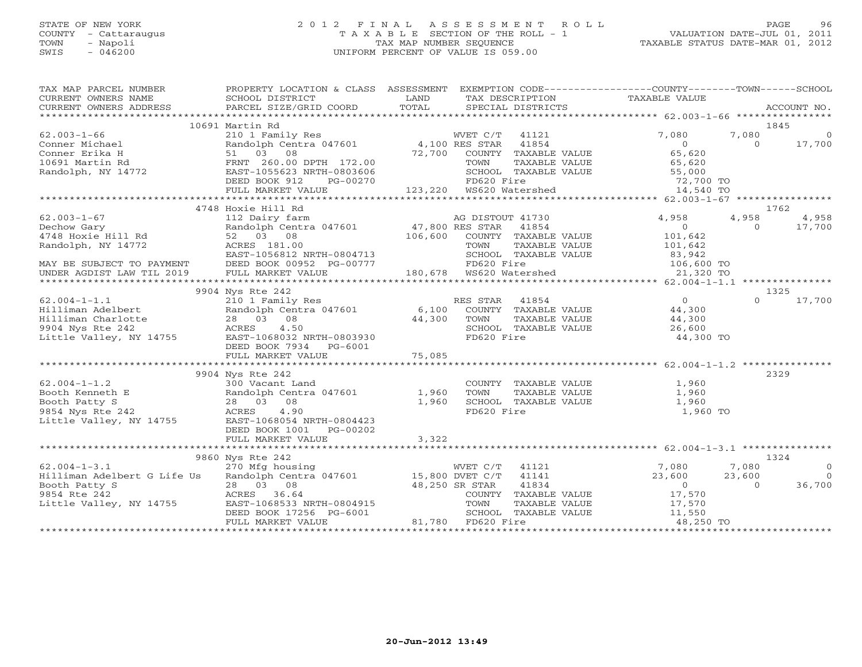# STATE OF NEW YORK 2 0 1 2 F I N A L A S S E S S M E N T R O L L PAGE 96 COUNTY - Cattaraugus T A X A B L E SECTION OF THE ROLL - 1 VALUATION DATE-JUL 01, 2011 TOWN - Napoli TAX MAP NUMBER SEQUENCE TAXABLE STATUS DATE-MAR 01, 2012 SWIS - 046200 UNIFORM PERCENT OF VALUE IS 059.00

| TAX MAP PARCEL NUMBER<br>CURRENT OWNERS NAME<br>- CURRENT OWNERS THE PARCEL SIZE/GRID COORD TOTAL SPECIAL DISTRICTS ACCOUNT NO.<br>- ARCOUNT NO ACCOUNT SECOUNT SECOUNT ACCOUNT SECOUNT ACCOUNT ACCOUNT ACCOUNT NO ACCOUNT SECOUNT NO ACCOUNT NO A | PROPERTY LOCATION & CLASS ASSESSMENT<br>SCHOOL DISTRICT   | LAND           | TAX DESCRIPTION                      |               | EXEMPTION CODE----------------COUNTY-------TOWN------SCHOOL<br>TAXABLE VALUE |                    |                |
|----------------------------------------------------------------------------------------------------------------------------------------------------------------------------------------------------------------------------------------------------|-----------------------------------------------------------|----------------|--------------------------------------|---------------|------------------------------------------------------------------------------|--------------------|----------------|
|                                                                                                                                                                                                                                                    |                                                           |                |                                      |               |                                                                              |                    |                |
|                                                                                                                                                                                                                                                    | 10691 Martin Rd                                           |                |                                      |               |                                                                              |                    | 1845           |
| $62.003 - 1 - 66$                                                                                                                                                                                                                                  | 210 1 Family Res<br>Randolph Centra 047601 4,100 RES STAR |                | WVET C/T 41121                       |               | 7,080                                                                        | 7,080<br>$\Omega$  | $\overline{0}$ |
| Conner Michael                                                                                                                                                                                                                                     | 51 03 08                                                  |                | 41854<br>72,700 COUNTY TAXABLE VALUE |               | $\Omega$<br>65,620                                                           |                    | 17,700         |
| Conner Erika H                                                                                                                                                                                                                                     | FRNT 260.00 DPTH 172.00                                   |                |                                      |               |                                                                              |                    |                |
| 10691 Martin Rd<br>Randolph, NY 14772                                                                                                                                                                                                              | EAST-1055623 NRTH-0803606                                 |                | TOWN<br>SCHOOL TAXABLE VALUE         | TAXABLE VALUE | 65,620<br>55,000                                                             |                    |                |
|                                                                                                                                                                                                                                                    | DEED BOOK 912<br>PG-00270                                 |                | FD620 Fire                           |               | 72,700 TO                                                                    |                    |                |
|                                                                                                                                                                                                                                                    | FULL MARKET VALUE                                         |                |                                      |               | 14,540 TO                                                                    |                    |                |
|                                                                                                                                                                                                                                                    |                                                           |                |                                      |               |                                                                              |                    |                |
|                                                                                                                                                                                                                                                    | 4748 Hoxie Hill Rd                                        |                |                                      |               |                                                                              |                    | 1762           |
| $62.003 - 1 - 67$                                                                                                                                                                                                                                  | 112 Dairy farm                                            |                | AG DISTOUT 41730                     |               | 4,958                                                                        | 4,958              | 4,958          |
|                                                                                                                                                                                                                                                    | Randolph Centra 047601 47,800 RES STAR                    |                | 41854                                |               | $\overline{0}$                                                               | $\Omega$           | 17,700         |
| Dechow Gary<br>4748 Hoxie Hill Rd                                                                                                                                                                                                                  | 52 03 08                                                  | 106,600        | COUNTY TAXABLE VALUE                 |               | 101,642                                                                      |                    |                |
| Randolph, NY 14772                                                                                                                                                                                                                                 | ACRES 181.00                                              |                | TOWN                                 | TAXABLE VALUE | 101,642                                                                      |                    |                |
|                                                                                                                                                                                                                                                    | EAST-1056812 NRTH-0804713                                 |                | SCHOOL TAXABLE VALUE                 |               | 83,942                                                                       |                    |                |
|                                                                                                                                                                                                                                                    | DEED BOOK 00952 PG-00777                                  |                | FD620 Fire                           |               | 106,600 TO                                                                   |                    |                |
| MAY BE SUBJECT TO PAYMENT<br>UNDER AGDIST LAW TIL 2019                                                                                                                                                                                             | FULL MARKET VALUE                                         |                | 180,678 WS620 Watershed              |               | 21,320 TO                                                                    |                    |                |
|                                                                                                                                                                                                                                                    |                                                           |                |                                      |               |                                                                              |                    |                |
|                                                                                                                                                                                                                                                    | 9904 Nys Rte 242                                          |                |                                      |               |                                                                              |                    | 1325           |
| $62.004 - 1 - 1.1$                                                                                                                                                                                                                                 | 210 1 Family Res                                          |                | RES STAR<br>41854                    |               | $\overline{0}$                                                               | $\Omega$           | 17,700         |
| Hilliman Adelbert                                                                                                                                                                                                                                  | Randolph Centra 047601                                    |                | 6,100 COUNTY TAXABLE VALUE           |               | 44,300                                                                       |                    |                |
| Hilliman Charlotte                                                                                                                                                                                                                                 | 28 03 08                                                  | 44,300         | TOWN                                 | TAXABLE VALUE | 44,300                                                                       |                    |                |
| 9904 Nys Rte 242<br>Little Valley, NY 14755                                                                                                                                                                                                        | 4.50<br>ACRES                                             |                | SCHOOL TAXABLE VALUE                 |               | 26,600                                                                       |                    |                |
|                                                                                                                                                                                                                                                    | EAST-1068032 NRTH-0803930                                 |                | FD620 Fire                           |               | 44,300 TO                                                                    |                    |                |
|                                                                                                                                                                                                                                                    | DEED BOOK 7934 PG-6001                                    |                |                                      |               |                                                                              |                    |                |
|                                                                                                                                                                                                                                                    | FULL MARKET VALUE                                         | 75,085         |                                      |               |                                                                              |                    |                |
|                                                                                                                                                                                                                                                    |                                                           |                |                                      |               |                                                                              |                    |                |
|                                                                                                                                                                                                                                                    | 9904 Nys Rte 242                                          |                |                                      |               |                                                                              |                    | 2329           |
| $62.004 - 1 - 1.2$                                                                                                                                                                                                                                 | 300 Vacant Land                                           |                | COUNTY TAXABLE VALUE                 |               | 1,960                                                                        |                    |                |
| Booth Kenneth E                                                                                                                                                                                                                                    | Randolph Centra 047601                                    | 1,960          | TOWN                                 | TAXABLE VALUE | 1,960                                                                        |                    |                |
| Booth Patty S                                                                                                                                                                                                                                      | 28 03 08                                                  | 1,960          | SCHOOL TAXABLE VALUE                 |               | 1,960                                                                        |                    |                |
| 9854 Nys Rte 242                                                                                                                                                                                                                                   | ACRES<br>4.90                                             |                | FD620 Fire                           |               | 1,960 TO                                                                     |                    |                |
| Little Valley, NY 14755                                                                                                                                                                                                                            | EAST-1068054 NRTH-0804423                                 |                |                                      |               |                                                                              |                    |                |
|                                                                                                                                                                                                                                                    | DEED BOOK 1001 PG-00202                                   |                |                                      |               |                                                                              |                    |                |
|                                                                                                                                                                                                                                                    | FULL MARKET VALUE                                         | 3,322          |                                      |               |                                                                              |                    |                |
|                                                                                                                                                                                                                                                    |                                                           |                |                                      |               |                                                                              |                    | 1324           |
| $62.004 - 1 - 3.1$                                                                                                                                                                                                                                 | 9860 Nys Rte 242<br>270 Mfg housing                       |                |                                      |               | 7,080                                                                        | 7,080              | $\circ$        |
|                                                                                                                                                                                                                                                    | Randolph Centra 047601 15,800 DVET C/T                    |                | WVET C/T 41121<br>41141              |               |                                                                              |                    | $\Omega$       |
| Hilliman Adelbert G Life Us<br>Booth Patty S                                                                                                                                                                                                       | 28 03 08                                                  | 48,250 SR STAR | 41834                                |               | 23,600<br>$\overline{0}$                                                     | 23,600<br>$\Omega$ | 36,700         |
| 9854 Rte 242                                                                                                                                                                                                                                       | ACRES 36.64                                               |                | COUNTY TAXABLE VALUE                 |               | 17,570                                                                       |                    |                |
| Little Valley, NY 14755                                                                                                                                                                                                                            | EAST-1068533 NRTH-0804915                                 |                | TOWN                                 | TAXABLE VALUE | 17,570                                                                       |                    |                |
|                                                                                                                                                                                                                                                    | DEED BOOK 17256 PG-6001                                   |                | SCHOOL TAXABLE VALUE                 |               | 11,550                                                                       |                    |                |
|                                                                                                                                                                                                                                                    | FULL MARKET VALUE                                         |                | 81,780 FD620 Fire                    |               | 48,250 TO                                                                    |                    |                |
|                                                                                                                                                                                                                                                    |                                                           |                |                                      |               |                                                                              |                    |                |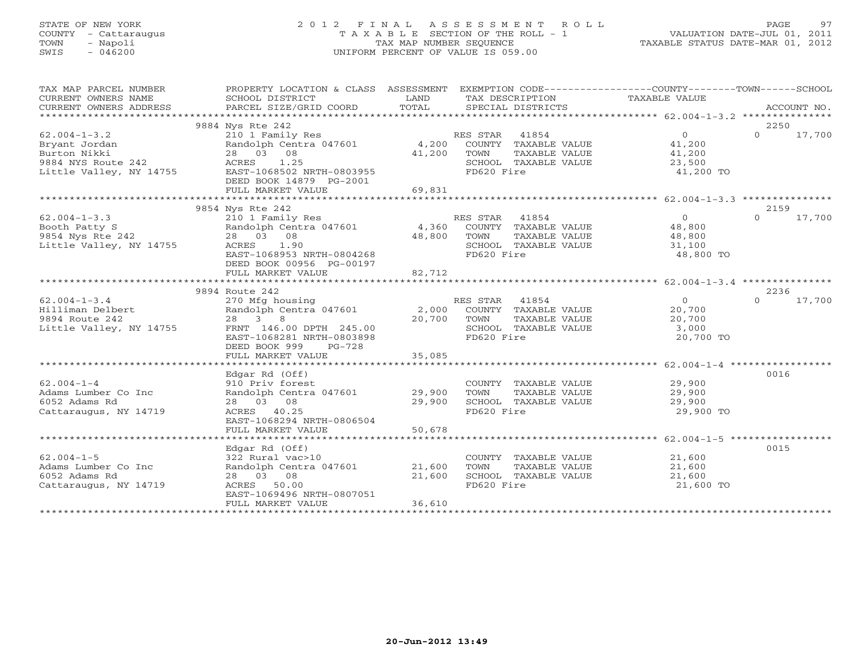# STATE OF NEW YORK 2 0 1 2 F I N A L A S S E S S M E N T R O L L PAGE 97 COUNTY - Cattaraugus T A X A B L E SECTION OF THE ROLL - 1 VALUATION DATE-JUL 01, 2011 TOWN - Napoli TAX MAP NUMBER SEQUENCE TAXABLE STATUS DATE-MAR 01, 2012 SWIS - 046200 UNIFORM PERCENT OF VALUE IS 059.00UNIFORM PERCENT OF VALUE IS 059.00

| TAX MAP PARCEL NUMBER   | PROPERTY LOCATION & CLASS ASSESSMENT                                  |        |                                    | EXEMPTION CODE-----------------COUNTY-------TOWN------SCHOOL |                    |
|-------------------------|-----------------------------------------------------------------------|--------|------------------------------------|--------------------------------------------------------------|--------------------|
|                         |                                                                       |        |                                    |                                                              |                    |
|                         | 9884 Nys Rte 242                                                      |        |                                    |                                                              | 2250               |
| $62.004 - 1 - 3.2$      |                                                                       |        |                                    | $\overline{O}$                                               | $\Omega$<br>17,700 |
| Bryant Jordan           | 210 1 Family Res<br>Randolph Centra 047601 4,200 COUNTY TAXABLE VALUE |        |                                    | 41,200                                                       |                    |
| Burton Nikki            | 28 03 08                                                              | 41,200 | TOWN<br>TAXABLE VALUE              | 41,200                                                       |                    |
|                         |                                                                       |        | SCHOOL TAXABLE VALUE               | 23,500                                                       |                    |
|                         |                                                                       |        | FD620 Fire                         | 41,200 TO                                                    |                    |
|                         | DEED BOOK 14879 PG-2001                                               |        |                                    |                                                              |                    |
|                         | FULL MARKET VALUE                                                     | 69,831 |                                    |                                                              |                    |
|                         |                                                                       |        |                                    |                                                              |                    |
|                         | 9854 Nys Rte 242                                                      |        |                                    |                                                              | 2159               |
| $62.004 - 1 - 3.3$      | 210 1 Family Res                                                      |        | RES STAR 41854                     | $\overline{0}$                                               | $\Omega$<br>17,700 |
| Booth Patty S           |                                                                       |        |                                    | 48,800                                                       |                    |
| 9854 Nys Rte 242        | 28 03 08                                                              | 48,800 | TAXABLE VALUE                      | 48,800                                                       |                    |
| Little Valley, NY 14755 | ACRES 1.90<br>EAST-1068953 NRTH-0804268                               |        | SCHOOL TAXABLE VALUE<br>FD620 Fire | 31,100                                                       |                    |
|                         | DEED BOOK 00956 PG-00197                                              |        |                                    | 48,800 TO                                                    |                    |
|                         | FULL MARKET VALUE                                                     | 82,712 |                                    |                                                              |                    |
|                         |                                                                       |        |                                    |                                                              |                    |
|                         | 9894 Route 242                                                        |        |                                    |                                                              | 2236               |
| $62.004 - 1 - 3.4$      | 270 Mfg housing                                                       |        | RES STAR 41854                     | $\overline{0}$                                               | 17,700<br>$\Omega$ |
| Hilliman Delbert        | Randolph Centra 047601 2,000                                          |        | COUNTY TAXABLE VALUE               | 20,700                                                       |                    |
| 9894 Route 242          | 28 3 8                                                                | 20,700 | TAXABLE VALUE<br>TOWN              | 20,700                                                       |                    |
| Little Valley, NY 14755 | FRNT 146.00 DPTH 245.00                                               |        | SCHOOL TAXABLE VALUE               | 3,000                                                        |                    |
|                         | EAST-1068281 NRTH-0803898                                             |        | FD620 Fire                         | 20,700 TO                                                    |                    |
|                         | DEED BOOK 999<br>PG-728                                               |        |                                    |                                                              |                    |
|                         | FULL MARKET VALUE                                                     | 35,085 |                                    |                                                              |                    |
|                         |                                                                       |        |                                    |                                                              |                    |
|                         | Edgar Rd (Off)                                                        |        |                                    |                                                              | 0016               |
| $62.004 - 1 - 4$        | 910 Priv forest                                                       |        | COUNTY TAXABLE VALUE 29,900        |                                                              |                    |
| Adams Lumber Co Inc     | Randolph Centra 047601 29,900                                         |        | TAXABLE VALUE<br>TOWN              | 29,900                                                       |                    |
| 6052 Adams Rd           | 28 03 08                                                              | 29,900 | SCHOOL TAXABLE VALUE               | 29,900                                                       |                    |
| Cattaraugus, NY 14719   | ACRES 40.25                                                           |        | FD620 Fire                         | 29,900 TO                                                    |                    |
|                         | EAST-1068294 NRTH-0806504<br>FULL MARKET VALUE                        | 50,678 |                                    |                                                              |                    |
|                         |                                                                       |        |                                    |                                                              |                    |
|                         | Edgar Rd (Off)                                                        |        |                                    |                                                              | 0015               |
| $62.004 - 1 - 5$        | 322 Rural vac>10                                                      |        | COUNTY TAXABLE VALUE 21,600        |                                                              |                    |
| Adams Lumber Co Inc     | Randolph Centra 047601 21,600                                         |        | TOWN<br>TAXABLE VALUE              | 21,600                                                       |                    |
| 6052 Adams Rd           | 28 03 08                                                              | 21,600 | SCHOOL TAXABLE VALUE               | 21,600                                                       |                    |
| Cattaraugus, NY 14719   | ACRES 50.00                                                           |        | FD620 Fire                         | 21,600 TO                                                    |                    |
|                         | EAST-1069496 NRTH-0807051                                             |        |                                    |                                                              |                    |
|                         | FULL MARKET VALUE                                                     | 36,610 |                                    |                                                              |                    |
|                         |                                                                       |        |                                    |                                                              |                    |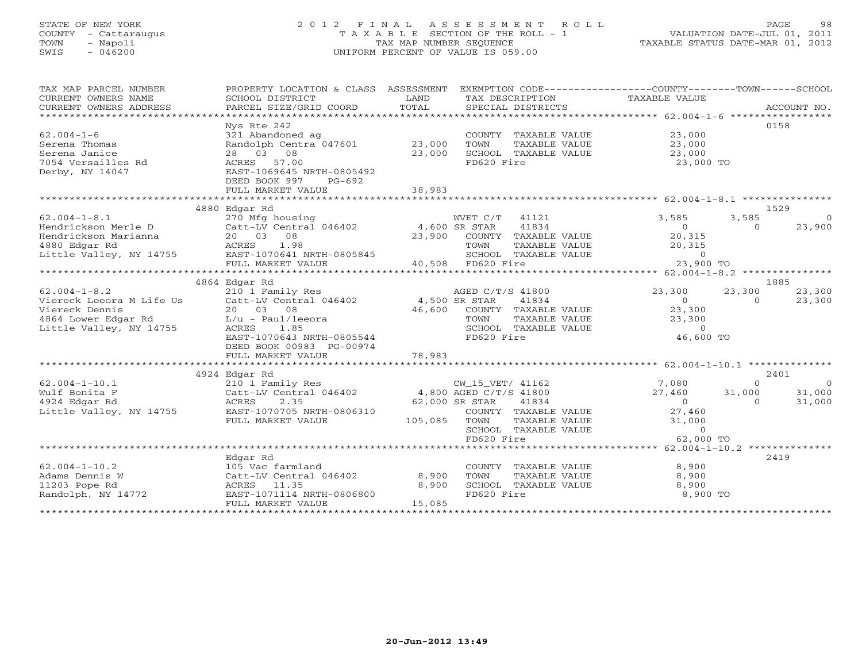# STATE OF NEW YORK 2 0 1 2 F I N A L A S S E S S M E N T R O L L PAGE 98 COUNTY - Cattaraugus T A X A B L E SECTION OF THE ROLL - 1 VALUATION DATE-JUL 01, 2011 TOWN - Napoli TAX MAP NUMBER SEQUENCE TAXABLE STATUS DATE-MAR 01, 2012 SWIS - 046200 UNIFORM PERCENT OF VALUE IS 059.00UNIFORM PERCENT OF VALUE IS 059.00

| TAX MAP PARCEL NUMBER                                                                                                                                                                                                  | PROPERTY LOCATION & CLASS ASSESSMENT EXEMPTION CODE----------------COUNTY-------TOWN------SCHOOL |        |                                                                  |                                                                              |                             |
|------------------------------------------------------------------------------------------------------------------------------------------------------------------------------------------------------------------------|--------------------------------------------------------------------------------------------------|--------|------------------------------------------------------------------|------------------------------------------------------------------------------|-----------------------------|
| CURRENT OWNERS NAME                                                                                                                                                                                                    | SCHOOL DISTRICT                                                                                  | LAND   | TAX DESCRIPTION                                                  | TAXABLE VALUE                                                                |                             |
| CURRENT OWNERS ADDRESS                                                                                                                                                                                                 |                                                                                                  |        |                                                                  |                                                                              |                             |
|                                                                                                                                                                                                                        |                                                                                                  |        |                                                                  |                                                                              |                             |
|                                                                                                                                                                                                                        | Nys Rte 242                                                                                      |        |                                                                  |                                                                              | 0158                        |
| $62.004 - 1 - 6$                                                                                                                                                                                                       | 321 Abandoned ag                                                                                 |        | COUNTY TAXABLE VALUE 23,000                                      |                                                                              |                             |
| Serena Thomas                                                                                                                                                                                                          | Randolph Centra 047601 23,000                                                                    |        | TOWN<br>TAXABLE VALUE                                            | 23,000                                                                       |                             |
| Serena Janice                                                                                                                                                                                                          | 28 03 08                                                                                         | 23,000 | SCHOOL TAXABLE VALUE                                             | 23,000                                                                       |                             |
| 7054 Versailles Rd                                                                                                                                                                                                     | ACRES 57.00                                                                                      |        | FD620 Fire                                                       | 23,000 TO                                                                    |                             |
| Derby, NY 14047                                                                                                                                                                                                        | EAST-1069645 NRTH-0805492                                                                        |        |                                                                  |                                                                              |                             |
|                                                                                                                                                                                                                        | DEED BOOK 997<br>PG-692                                                                          |        |                                                                  |                                                                              |                             |
|                                                                                                                                                                                                                        | FULL MARKET VALUE                                                                                | 38,983 |                                                                  |                                                                              |                             |
|                                                                                                                                                                                                                        |                                                                                                  |        |                                                                  |                                                                              |                             |
|                                                                                                                                                                                                                        | 4880 Edgar Rd                                                                                    |        |                                                                  |                                                                              | 1529                        |
| $62.004 - 1 - 8.1$                                                                                                                                                                                                     | 270 Mfg housing                                                                                  |        | WVET C/T<br>41121                                                | 3,585                                                                        | 3,585<br>$\overline{0}$     |
|                                                                                                                                                                                                                        |                                                                                                  |        | 41834                                                            |                                                                              | 23,900<br>$0 \qquad \qquad$ |
| % 62.004-1-8.1<br>Hendrickson Merle D Catt-LV Central 046402 4,600 SR STAR<br>Hendrickson Marianna 20 03 08 23,900 COUNTY<br>4880 Edgar Rd ACRES 1.98 TOWN<br>Little Valley, NY 14755 EAST-1070641 NRTH-0805845 SCHOOL |                                                                                                  |        | 23,900 COUNTY TAXABLE VALUE                                      | $\begin{array}{c}0\\20,315\end{array}$                                       |                             |
|                                                                                                                                                                                                                        |                                                                                                  |        |                                                                  | 20,315                                                                       |                             |
|                                                                                                                                                                                                                        |                                                                                                  |        | TOWN      TAXABLE VALUE<br>SCHOOL   TAXABLE VALUE<br>FD620  Fire | $\Omega$                                                                     |                             |
|                                                                                                                                                                                                                        |                                                                                                  |        |                                                                  |                                                                              |                             |
|                                                                                                                                                                                                                        |                                                                                                  |        |                                                                  |                                                                              |                             |
|                                                                                                                                                                                                                        | 4864 Edgar Rd                                                                                    |        |                                                                  |                                                                              | 1885                        |
|                                                                                                                                                                                                                        |                                                                                                  |        | AGED C/T/S 41800                                                 | 23,300                                                                       | 23,300 23,300               |
| 4,500 AGED C/T<br>Viereck Leeora M Life Us<br>Viereck Dennis<br>20 03 08 46,600 COUNTY<br>4864 Lower Edgar Rd<br>L/u - Paul/leeora 1.85 5CHOOL                                                                         |                                                                                                  |        | 41834                                                            | $\overline{0}$<br>$\overline{0}$                                             | 23,300                      |
|                                                                                                                                                                                                                        |                                                                                                  |        | COUNTY TAXABLE VALUE                                             | 23,300                                                                       |                             |
|                                                                                                                                                                                                                        |                                                                                                  |        |                                                                  |                                                                              |                             |
|                                                                                                                                                                                                                        |                                                                                                  |        | TOWN TAXABLE VALUE<br>SCHOOL TAXABLE VALUE                       | 23,300                                                                       |                             |
|                                                                                                                                                                                                                        | EAST-1070643 NRTH-0805544                                                                        |        | FD620 Fire                                                       | 46,600 TO                                                                    |                             |
|                                                                                                                                                                                                                        | DEED BOOK 00983 PG-00974                                                                         |        |                                                                  |                                                                              |                             |
|                                                                                                                                                                                                                        | FULL MARKET VALUE                                                                                | 78,983 |                                                                  |                                                                              |                             |
|                                                                                                                                                                                                                        |                                                                                                  |        |                                                                  |                                                                              |                             |
|                                                                                                                                                                                                                        |                                                                                                  |        |                                                                  |                                                                              | 2401                        |
|                                                                                                                                                                                                                        |                                                                                                  |        |                                                                  | $7,080$<br>$27,460$<br>$0$<br>$0$<br>$0$<br>$31,000$<br>$31,000$<br>$31,000$ |                             |
|                                                                                                                                                                                                                        |                                                                                                  |        |                                                                  |                                                                              |                             |
|                                                                                                                                                                                                                        |                                                                                                  |        |                                                                  |                                                                              |                             |
|                                                                                                                                                                                                                        |                                                                                                  |        |                                                                  |                                                                              |                             |
|                                                                                                                                                                                                                        |                                                                                                  |        | TAXABLE VALUE                                                    | 27,460<br>31,000                                                             |                             |
|                                                                                                                                                                                                                        |                                                                                                  |        | SCHOOL TAXABLE VALUE                                             |                                                                              |                             |
|                                                                                                                                                                                                                        |                                                                                                  |        | FD620 Fire                                                       | $\begin{matrix}0\\62.000\end{matrix}$<br>62,000 TO                           |                             |
|                                                                                                                                                                                                                        |                                                                                                  |        |                                                                  |                                                                              |                             |
|                                                                                                                                                                                                                        | Edgar Rd                                                                                         |        |                                                                  |                                                                              | 2419                        |
| $62.004 - 1 - 10.2$                                                                                                                                                                                                    | 105 Vac farmland                                                                                 |        | COUNTY TAXABLE VALUE 8,900                                       |                                                                              |                             |
|                                                                                                                                                                                                                        |                                                                                                  |        | TOWN<br>TAXABLE VALUE                                            | 8,900                                                                        |                             |
|                                                                                                                                                                                                                        |                                                                                                  |        |                                                                  | 8,900                                                                        |                             |
|                                                                                                                                                                                                                        |                                                                                                  |        | FD620 Fire                                                       | 8,900 TO                                                                     |                             |
|                                                                                                                                                                                                                        | FULL MARKET VALUE                                                                                | 15,085 |                                                                  |                                                                              |                             |
|                                                                                                                                                                                                                        |                                                                                                  |        |                                                                  |                                                                              |                             |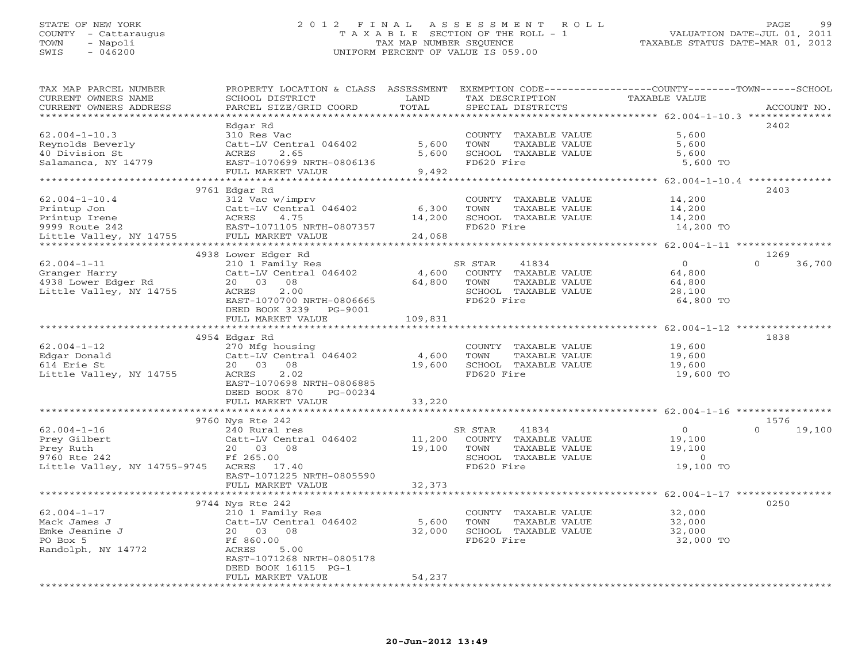#### STATE OF NEW YORK 2 0 1 2 F I N A L A S S E S S M E N T R O L L PAGE 99 COUNTY - Cattaraugus T A X A B L E SECTION OF THE ROLL - 1 VALUATION DATE-JUL 01, 2011 TOWN - Napoli TAX MAP NUMBER SEQUENCE TAXABLE STATUS DATE-MAR 01, 2012 SWIS - 046200 UNIFORM PERCENT OF VALUE IS 059.00UNIFORM PERCENT OF VALUE IS 059.00

| TAX MAP PARCEL NUMBER                                           | PROPERTY LOCATION & CLASS ASSESSMENT EXEMPTION CODE----------------COUNTY-------TOWN------SCHOOL |         |                       |                                                                     |                    |
|-----------------------------------------------------------------|--------------------------------------------------------------------------------------------------|---------|-----------------------|---------------------------------------------------------------------|--------------------|
| CURRENT OWNERS NAME                                             | SCHOOL DISTRICT                                                                                  | LAND    | TAX DESCRIPTION       | TAXABLE VALUE                                                       |                    |
| CURRENT OWNERS ADDRESS                                          | PARCEL SIZE/GRID COORD                                                                           | TOTAL   | SPECIAL DISTRICTS     |                                                                     | ACCOUNT NO.        |
|                                                                 |                                                                                                  |         |                       |                                                                     |                    |
|                                                                 | Edgar Rd                                                                                         |         |                       |                                                                     | 2402               |
| $62.004 - 1 - 10.3$                                             | 310 Res Vac                                                                                      |         | COUNTY TAXABLE VALUE  | 5,600                                                               |                    |
| Reynolds Beverly                                                | Catt-LV Central 046402                                                                           | 5,600   | TAXABLE VALUE<br>TOWN | 5,600                                                               |                    |
| 40 Division St                                                  | ACRES<br>2.65                                                                                    | 5,600   | SCHOOL TAXABLE VALUE  | 5,600                                                               |                    |
| Salamanca, NY 14779                                             | EAST-1070699 NRTH-0806136                                                                        |         | FD620 Fire            | 5,600 TO                                                            |                    |
|                                                                 | FULL MARKET VALUE                                                                                | 9,492   |                       |                                                                     |                    |
|                                                                 |                                                                                                  |         |                       |                                                                     |                    |
|                                                                 | 9761 Edgar Rd                                                                                    |         |                       |                                                                     | 2403               |
| $62.004 - 1 - 10.4$                                             | 312 Vac w/imprv                                                                                  |         | COUNTY TAXABLE VALUE  | 14,200                                                              |                    |
|                                                                 |                                                                                                  | 6,300   | TOWN<br>TAXABLE VALUE | 14,200                                                              |                    |
|                                                                 |                                                                                                  | 14,200  | SCHOOL TAXABLE VALUE  | 14,200                                                              |                    |
|                                                                 |                                                                                                  |         | FD620 Fire            | 14,200 TO                                                           |                    |
|                                                                 |                                                                                                  | 24,068  |                       |                                                                     |                    |
|                                                                 |                                                                                                  |         |                       |                                                                     |                    |
|                                                                 | 4938 Lower Edger Rd                                                                              |         |                       |                                                                     | 1269               |
| $62.004 - 1 - 11$                                               | 210 1 Family Res                                                                                 |         | SR STAR<br>41834      | $\overline{0}$                                                      | $\Omega$<br>36,700 |
| Granger Harry<br>4938 Lower Edger Rd<br>Little Valley, NY 14755 | Catt-LV Central 046402                                                                           | 4,600   | COUNTY TAXABLE VALUE  | 64,800                                                              |                    |
|                                                                 | 20  03  08                                                                                       | 64,800  | TOWN<br>TAXABLE VALUE | 64,800                                                              |                    |
|                                                                 | ACRES<br>2.00                                                                                    |         | SCHOOL TAXABLE VALUE  | 28,100                                                              |                    |
|                                                                 | EAST-1070700 NRTH-0806665                                                                        |         | FD620 Fire            | 64,800 TO                                                           |                    |
|                                                                 | DEED BOOK 3239 PG-9001                                                                           |         |                       |                                                                     |                    |
|                                                                 | FULL MARKET VALUE                                                                                | 109,831 |                       |                                                                     |                    |
|                                                                 |                                                                                                  |         |                       |                                                                     |                    |
|                                                                 | 4954 Edgar Rd                                                                                    |         |                       |                                                                     | 1838               |
| $62.004 - 1 - 12$                                               | 270 Mfg housing                                                                                  |         | COUNTY TAXABLE VALUE  | 19,600<br>19,600                                                    |                    |
| Edgar Donald                                                    | Catt-LV Central 046402                                                                           | 4,600   | TOWN<br>TAXABLE VALUE |                                                                     |                    |
| 614 Erie St                                                     | 20  03  08                                                                                       | 19,600  | SCHOOL TAXABLE VALUE  | 19,600                                                              |                    |
| Little Valley, NY 14755                                         | ACRES<br>2.02                                                                                    |         | FD620 Fire            | 19,600 TO                                                           |                    |
|                                                                 | EAST-1070698 NRTH-0806885                                                                        |         |                       |                                                                     |                    |
|                                                                 | DEED BOOK 870<br>PG-00234                                                                        |         |                       |                                                                     |                    |
|                                                                 | FULL MARKET VALUE                                                                                | 33,220  |                       |                                                                     |                    |
|                                                                 |                                                                                                  |         |                       | **************************************62.004-1-16 ***************** |                    |
|                                                                 | 9760 Nys Rte 242                                                                                 |         |                       |                                                                     | 1576               |
| $62.004 - 1 - 16$                                               | 240 Rural res                                                                                    |         | 41834<br>SR STAR      | $\overline{0}$                                                      | $\cap$<br>19,100   |
| Prey Gilbert                                                    | Catt-LV Central 046402                                                                           | 11,200  | COUNTY TAXABLE VALUE  | 19,100                                                              |                    |
| Prey Ruth                                                       | 20 03 08                                                                                         | 19,100  | TOWN<br>TAXABLE VALUE | 19,100                                                              |                    |
| 9760 Rte 242                                                    | Ff 265.00                                                                                        |         | SCHOOL TAXABLE VALUE  | $\overline{0}$                                                      |                    |
| Little Valley, NY 14755-9745 ACRES 17.40                        |                                                                                                  |         | FD620 Fire            | 19,100 TO                                                           |                    |
|                                                                 | EAST-1071225 NRTH-0805590                                                                        |         |                       |                                                                     |                    |
|                                                                 | FULL MARKET VALUE                                                                                | 32,373  |                       |                                                                     |                    |
|                                                                 |                                                                                                  |         |                       |                                                                     |                    |
|                                                                 | 9744 Nys Rte 242                                                                                 |         |                       |                                                                     | 0250               |
| $62.004 - 1 - 17$                                               | 210 1 Family Res                                                                                 |         | COUNTY TAXABLE VALUE  | 32,000                                                              |                    |
| Mack James J                                                    | Catt-LV Central 046402                                                                           | 5,600   | TOWN<br>TAXABLE VALUE | 32,000                                                              |                    |
| Emke Jeanine J                                                  | 20 03 08                                                                                         | 32,000  | SCHOOL TAXABLE VALUE  | 32,000                                                              |                    |
| PO Box 5                                                        | Ff 860.00                                                                                        |         | FD620 Fire            | 32,000 TO                                                           |                    |
| Randolph, NY 14772                                              | ACRES<br>5.00                                                                                    |         |                       |                                                                     |                    |
|                                                                 | EAST-1071268 NRTH-0805178                                                                        |         |                       |                                                                     |                    |
|                                                                 | DEED BOOK 16115 PG-1                                                                             |         |                       |                                                                     |                    |
|                                                                 | FULL MARKET VALUE                                                                                | 54,237  |                       |                                                                     |                    |
|                                                                 |                                                                                                  |         |                       |                                                                     |                    |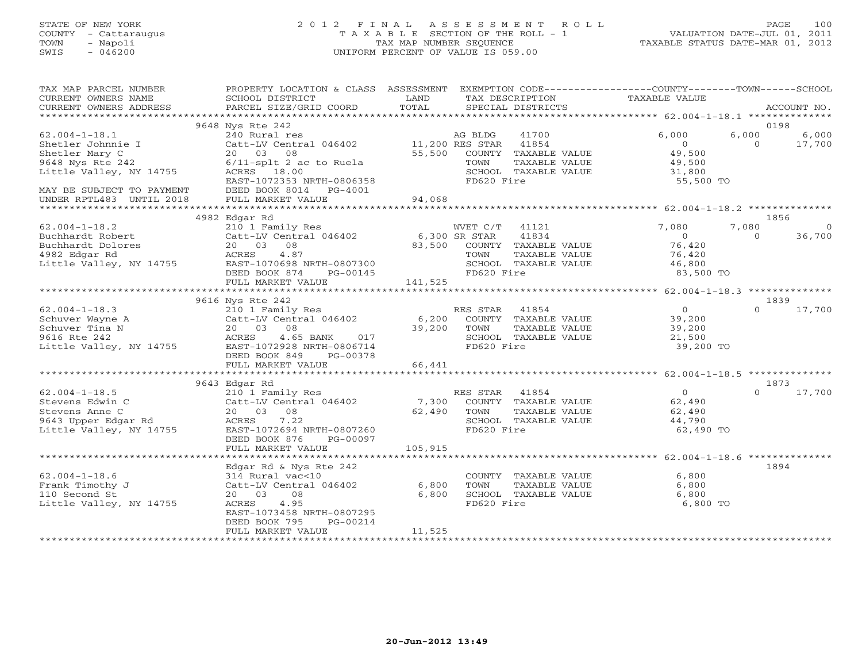# STATE OF NEW YORK 2 0 1 2 F I N A L A S S E S S M E N T R O L L PAGE 100 COUNTY - Cattaraugus T A X A B L E SECTION OF THE ROLL - 1 VALUATION DATE-JUL 01, 2011 TOWN - Napoli TAX MAP NUMBER SEQUENCE TAXABLE STATUS DATE-MAR 01, 2012 SWIS - 046200 UNIFORM PERCENT OF VALUE IS 059.00UNIFORM PERCENT OF VALUE IS 059.00

| TAX MAP PARCEL NUMBER<br>CURRENT OWNERS NAME<br>CURRENT OWNERS ADDRESS                                     | PROPERTY LOCATION & CLASS ASSESSMENT EXEMPTION CODE----------------COUNTY-------TOWN------SCHOOL<br>SCHOOL DISTRICT<br>PARCEL SIZE/GRID COORD             | LAND<br>TOTAL            | TAX DESCRIPTION<br>SPECIAL DISTRICTS                                                                           | TAXABLE VALUE                                                      | ACCOUNT NO.                                  |
|------------------------------------------------------------------------------------------------------------|-----------------------------------------------------------------------------------------------------------------------------------------------------------|--------------------------|----------------------------------------------------------------------------------------------------------------|--------------------------------------------------------------------|----------------------------------------------|
|                                                                                                            |                                                                                                                                                           |                          |                                                                                                                |                                                                    |                                              |
| $62.004 - 1 - 18.1$<br>Shetler Johnnie I                                                                   | 9648 Nys Rte 242<br>240 Rural res<br>Catt-LV Central 046402 11,200 RES STAR                                                                               |                          | AG BLDG<br>41700<br>41854                                                                                      | 6,000<br>$\overline{0}$                                            | 0198<br>6,000<br>6,000<br>$\Omega$<br>17,700 |
| Shetler Mary C<br>9648 Nys Rte 242<br>Little Valley, NY 14755                                              | 20  03  08<br>$6/11$ -splt 2 ac to Ruela<br>ACRES 18.00<br>EAST-1072353 NRTH-0806358                                                                      |                          | 55,500 COUNTY TAXABLE VALUE<br>TOWN<br>TAXABLE VALUE<br>SCHOOL TAXABLE VALUE<br>FD620 Fire                     | 49,500<br>49,500<br>31,800<br>55,500 TO                            |                                              |
| MAY BE SUBJECT TO PAYMENT<br>UNDER RPTL483 UNTIL 2018                                                      | DEED BOOK 8014 PG-4001<br>FULL MARKET VALUE                                                                                                               | 94,068                   |                                                                                                                |                                                                    |                                              |
|                                                                                                            | 4982 Edgar Rd                                                                                                                                             |                          |                                                                                                                |                                                                    | 1856                                         |
| $62.004 - 1 - 18.2$<br>Buchhardt Robert<br>Buchhardt Dolores<br>4982 Edgar Rd<br>Little Valley, NY 14755   | 210 1 Family Res<br>Catt-LV Central 046402<br>20  03  08<br>ACRES<br>4.87<br>EAST-1070698 NRTH-0807300<br>DEED BOOK 874<br>PG-00145                       | 6,300 SR STAR<br>83,500  | WVET C/T 41121<br>41834<br>COUNTY TAXABLE VALUE<br>TOWN<br>TAXABLE VALUE<br>SCHOOL TAXABLE VALUE<br>FD620 Fire | 7,080<br>$\overline{0}$<br>76,420<br>76,420<br>46,800<br>83,500 TO | 7,080<br>$\circ$<br>36,700<br>$\Omega$       |
|                                                                                                            | FULL MARKET VALUE                                                                                                                                         | 141,525                  |                                                                                                                |                                                                    |                                              |
|                                                                                                            | 9616 Nys Rte 242                                                                                                                                          |                          |                                                                                                                |                                                                    | 1839                                         |
| $62.004 - 1 - 18.3$<br>Schuver Wayne A<br>Schuver Tina N<br>9616 Rte 242<br>Little Valley, NY 14755        | 210 1 Family Res<br>Catt-LV Central 046402<br>20 03 08<br>4.65 BANK<br>017<br>ACRES<br>EAST-1072928 NRTH-0806714<br>DEED BOOK 849<br>PG-00378             | 39,200                   | RES STAR 41854<br>6,200 COUNTY TAXABLE VALUE<br>TOWN<br>TAXABLE VALUE<br>SCHOOL TAXABLE VALUE<br>FD620 Fire    | $\overline{0}$<br>39,200<br>39,200<br>21,500<br>39,200 TO          | $\Omega$<br>17,700                           |
|                                                                                                            | FULL MARKET VALUE                                                                                                                                         | 66,441                   |                                                                                                                |                                                                    |                                              |
|                                                                                                            | 9643 Edgar Rd                                                                                                                                             |                          |                                                                                                                |                                                                    | 1873                                         |
| $62.004 - 1 - 18.5$<br>Stevens Edwin C<br>Stevens Anne C<br>9643 Upper Edgar Rd<br>Little Valley, NY 14755 | 210 1 Family Res<br>Catt-LV Central 046402<br>20 03 08<br>ACRES<br>7.22<br>EAST-1072694 NRTH-0807260<br>DEED BOOK 876<br>PG-00097                         | 62,490                   | RES STAR 41854<br>7,300 COUNTY TAXABLE VALUE<br>TOWN<br>TAXABLE VALUE<br>SCHOOL TAXABLE VALUE<br>FD620 Fire    | $\overline{0}$<br>62,490<br>62,490<br>44,790<br>62,490 TO          | $\Omega$<br>17,700                           |
|                                                                                                            | FULL MARKET VALUE                                                                                                                                         | 105,915                  |                                                                                                                |                                                                    |                                              |
|                                                                                                            | Edgar Rd & Nys Rte 242                                                                                                                                    |                          |                                                                                                                |                                                                    | 1894                                         |
| $62.004 - 1 - 18.6$<br>Frank Timothy J<br>110 Second St<br>Little Valley, NY 14755                         | 314 Rural vac<10<br>Catt-LV Central 046402<br>20 03<br>08<br>ACRES<br>4.95<br>EAST-1073458 NRTH-0807295<br>DEED BOOK 795<br>PG-00214<br>FULL MARKET VALUE | 6,800<br>6,800<br>11,525 | COUNTY TAXABLE VALUE<br>TOWN<br>TAXABLE VALUE<br>SCHOOL TAXABLE VALUE<br>FD620 Fire                            | 6,800<br>6,800<br>6,800<br>6,800 TO                                |                                              |
|                                                                                                            |                                                                                                                                                           |                          |                                                                                                                |                                                                    |                                              |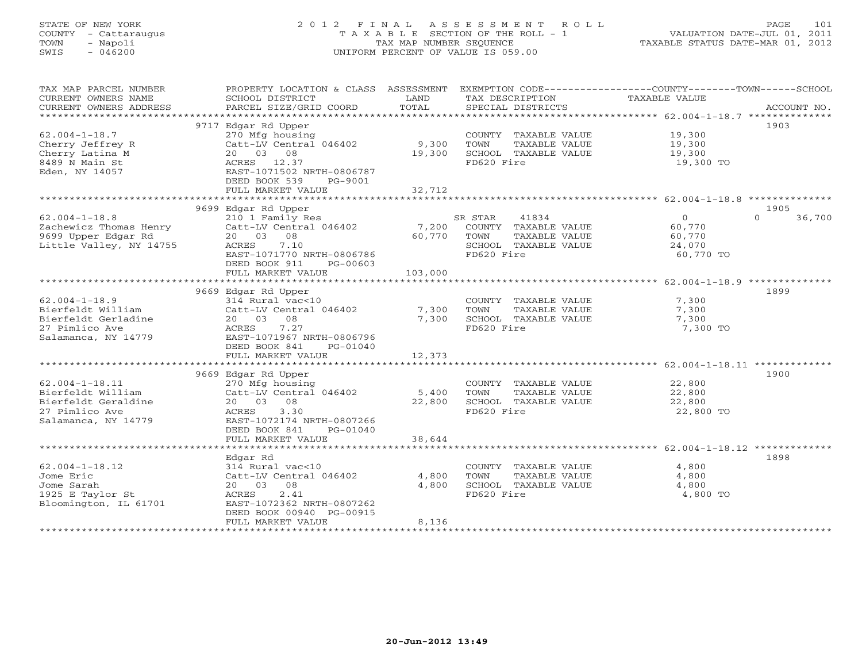# STATE OF NEW YORK 2 0 1 2 F I N A L A S S E S S M E N T R O L L PAGE 101 COUNTY - Cattaraugus T A X A B L E SECTION OF THE ROLL - 1 VALUATION DATE-JUL 01, 2011 TOWN - Napoli TAX MAP NUMBER SEQUENCE TAXABLE STATUS DATE-MAR 01, 2012 SWIS - 046200 UNIFORM PERCENT OF VALUE IS 059.00UNIFORM PERCENT OF VALUE IS 059.00

| 9717 Edgar Rd Upper<br>1903<br>COUNTY TAXABLE VALUE 19,300<br>$62.004 - 1 - 18.7$<br>270 Mfg housing<br>Catt-LV Central 046402 9,300<br>Cherry Jeffrey R<br>TOWN<br>TAXABLE VALUE<br>19,300<br>19,300<br>Cherry Latina M<br>20 03 08<br>19,300<br>SCHOOL TAXABLE VALUE<br>8489 N Main St<br>FD620 Fire<br>19,300 TO<br>ACRES 12.37<br>Eden, NY 14057<br>EAST-1071502 NRTH-0806787<br>DEED BOOK 539<br>PG-9001<br>32,712<br>FULL MARKET VALUE<br>9699 Edgar Rd Upper<br>1905<br>210 1 Family Res<br>$\Omega$<br>36,700<br>$62.004 - 1 - 18.8$<br>SR STAR<br>41834<br>$\overline{0}$<br>Catt-LV Central 046402<br>7,200 COUNTY TAXABLE VALUE<br>Zachewicz Thomas Henry<br>9699 Upper Edgar Rd<br>60,770<br>60,770<br>9699 Upper Edgar Rd<br>20  03  08<br>TOWN<br>TAXABLE VALUE<br>60,770<br>Little Valley, NY 14755<br>SCHOOL TAXABLE VALUE<br>ACRES<br>7.10<br>24,070<br>EAST-1071770 NRTH-0806786<br>FD620 Fire<br>60,770 TO<br>DEED BOOK 911<br>PG-00603<br>103,000<br>FULL MARKET VALUE<br>1899<br>9669 Edgar Rd Upper<br>7,300<br>$62.004 - 1 - 18.9$<br>314 Rural vac<10<br>COUNTY TAXABLE VALUE<br>7,300<br>Catt-LV Central 046402<br>Bierfeldt William<br>TOWN<br>TAXABLE VALUE<br>7,300<br>Bierfeldt Gerladine<br>20  03  08<br>7,300<br>SCHOOL TAXABLE VALUE<br>7,300<br>27 Pimlico Ave<br>7.27<br>FD620 Fire<br>ACRES<br>7,300 TO<br>Salamanca, NY 14779<br>EAST-1071967 NRTH-0806796<br>DEED BOOK 841<br>PG-01040<br>FULL MARKET VALUE<br>12,373<br>1900<br>9669 Edgar Rd Upper<br>$62.004 - 1 - 18.11$<br>COUNTY TAXABLE VALUE<br>22,800<br>Bierfeldt William<br>TOWN<br>TAXABLE VALUE<br>22,800<br>Bierfeldt Geraldine<br>20  03  08<br>SCHOOL TAXABLE VALUE<br>22,800<br>22,800<br>27 Pimlico Ave<br>3.30<br>FD620 Fire<br>ACRES<br>22,800 TO<br>Salamanca, NY 14779<br>EAST-1072174 NRTH-0807266<br>DEED BOOK 841<br>PG-01040<br>38,644<br>FULL MARKET VALUE<br>1898<br>Edgar Rd<br>$62.004 - 1 - 18.12$<br>314 Rural vac<10<br>COUNTY TAXABLE VALUE<br>4,800<br>Catt-LV Central 046402<br>4,800<br>Jome Eric<br>TOWN<br>TAXABLE VALUE<br>4,800<br>20  03  08<br>4,800<br>Jome Sarah<br>SCHOOL TAXABLE VALUE<br>4,800<br>2.41<br>1925 E Taylor St<br>FD620 Fire<br>4,800 TO<br>ACRES<br>Bloomington, IL 61701<br>EAST-1072362 NRTH-0807262<br>DEED BOOK 00940 PG-00915<br>FULL MARKET VALUE<br>8,136 | TAX MAP PARCEL NUMBER<br>CURRENT OWNERS NAME<br>CURRENT OWNERS ADDRESS | SCHOOL DISTRICT<br>PARCEL SIZE/GRID COORD | LAND<br>TOTAL | TAX DESCRIPTION<br>SPECIAL DISTRICTS | PROPERTY LOCATION & CLASS ASSESSMENT EXEMPTION CODE---------------COUNTY-------TOWN------SCHOOL<br>TAXABLE VALUE<br>ACCOUNT NO. |
|---------------------------------------------------------------------------------------------------------------------------------------------------------------------------------------------------------------------------------------------------------------------------------------------------------------------------------------------------------------------------------------------------------------------------------------------------------------------------------------------------------------------------------------------------------------------------------------------------------------------------------------------------------------------------------------------------------------------------------------------------------------------------------------------------------------------------------------------------------------------------------------------------------------------------------------------------------------------------------------------------------------------------------------------------------------------------------------------------------------------------------------------------------------------------------------------------------------------------------------------------------------------------------------------------------------------------------------------------------------------------------------------------------------------------------------------------------------------------------------------------------------------------------------------------------------------------------------------------------------------------------------------------------------------------------------------------------------------------------------------------------------------------------------------------------------------------------------------------------------------------------------------------------------------------------------------------------------------------------------------------------------------------------------------------------------------------------------------------------------------------------------------------------------------------------------------------------------------------------------------------------------------------------------------------------------------|------------------------------------------------------------------------|-------------------------------------------|---------------|--------------------------------------|---------------------------------------------------------------------------------------------------------------------------------|
|                                                                                                                                                                                                                                                                                                                                                                                                                                                                                                                                                                                                                                                                                                                                                                                                                                                                                                                                                                                                                                                                                                                                                                                                                                                                                                                                                                                                                                                                                                                                                                                                                                                                                                                                                                                                                                                                                                                                                                                                                                                                                                                                                                                                                                                                                                                     |                                                                        |                                           |               |                                      |                                                                                                                                 |
|                                                                                                                                                                                                                                                                                                                                                                                                                                                                                                                                                                                                                                                                                                                                                                                                                                                                                                                                                                                                                                                                                                                                                                                                                                                                                                                                                                                                                                                                                                                                                                                                                                                                                                                                                                                                                                                                                                                                                                                                                                                                                                                                                                                                                                                                                                                     |                                                                        |                                           |               |                                      |                                                                                                                                 |
|                                                                                                                                                                                                                                                                                                                                                                                                                                                                                                                                                                                                                                                                                                                                                                                                                                                                                                                                                                                                                                                                                                                                                                                                                                                                                                                                                                                                                                                                                                                                                                                                                                                                                                                                                                                                                                                                                                                                                                                                                                                                                                                                                                                                                                                                                                                     |                                                                        |                                           |               |                                      |                                                                                                                                 |
|                                                                                                                                                                                                                                                                                                                                                                                                                                                                                                                                                                                                                                                                                                                                                                                                                                                                                                                                                                                                                                                                                                                                                                                                                                                                                                                                                                                                                                                                                                                                                                                                                                                                                                                                                                                                                                                                                                                                                                                                                                                                                                                                                                                                                                                                                                                     |                                                                        |                                           |               |                                      |                                                                                                                                 |
|                                                                                                                                                                                                                                                                                                                                                                                                                                                                                                                                                                                                                                                                                                                                                                                                                                                                                                                                                                                                                                                                                                                                                                                                                                                                                                                                                                                                                                                                                                                                                                                                                                                                                                                                                                                                                                                                                                                                                                                                                                                                                                                                                                                                                                                                                                                     |                                                                        |                                           |               |                                      |                                                                                                                                 |
|                                                                                                                                                                                                                                                                                                                                                                                                                                                                                                                                                                                                                                                                                                                                                                                                                                                                                                                                                                                                                                                                                                                                                                                                                                                                                                                                                                                                                                                                                                                                                                                                                                                                                                                                                                                                                                                                                                                                                                                                                                                                                                                                                                                                                                                                                                                     |                                                                        |                                           |               |                                      |                                                                                                                                 |
|                                                                                                                                                                                                                                                                                                                                                                                                                                                                                                                                                                                                                                                                                                                                                                                                                                                                                                                                                                                                                                                                                                                                                                                                                                                                                                                                                                                                                                                                                                                                                                                                                                                                                                                                                                                                                                                                                                                                                                                                                                                                                                                                                                                                                                                                                                                     |                                                                        |                                           |               |                                      |                                                                                                                                 |
|                                                                                                                                                                                                                                                                                                                                                                                                                                                                                                                                                                                                                                                                                                                                                                                                                                                                                                                                                                                                                                                                                                                                                                                                                                                                                                                                                                                                                                                                                                                                                                                                                                                                                                                                                                                                                                                                                                                                                                                                                                                                                                                                                                                                                                                                                                                     |                                                                        |                                           |               |                                      |                                                                                                                                 |
|                                                                                                                                                                                                                                                                                                                                                                                                                                                                                                                                                                                                                                                                                                                                                                                                                                                                                                                                                                                                                                                                                                                                                                                                                                                                                                                                                                                                                                                                                                                                                                                                                                                                                                                                                                                                                                                                                                                                                                                                                                                                                                                                                                                                                                                                                                                     |                                                                        |                                           |               |                                      |                                                                                                                                 |
|                                                                                                                                                                                                                                                                                                                                                                                                                                                                                                                                                                                                                                                                                                                                                                                                                                                                                                                                                                                                                                                                                                                                                                                                                                                                                                                                                                                                                                                                                                                                                                                                                                                                                                                                                                                                                                                                                                                                                                                                                                                                                                                                                                                                                                                                                                                     |                                                                        |                                           |               |                                      |                                                                                                                                 |
|                                                                                                                                                                                                                                                                                                                                                                                                                                                                                                                                                                                                                                                                                                                                                                                                                                                                                                                                                                                                                                                                                                                                                                                                                                                                                                                                                                                                                                                                                                                                                                                                                                                                                                                                                                                                                                                                                                                                                                                                                                                                                                                                                                                                                                                                                                                     |                                                                        |                                           |               |                                      |                                                                                                                                 |
|                                                                                                                                                                                                                                                                                                                                                                                                                                                                                                                                                                                                                                                                                                                                                                                                                                                                                                                                                                                                                                                                                                                                                                                                                                                                                                                                                                                                                                                                                                                                                                                                                                                                                                                                                                                                                                                                                                                                                                                                                                                                                                                                                                                                                                                                                                                     |                                                                        |                                           |               |                                      |                                                                                                                                 |
|                                                                                                                                                                                                                                                                                                                                                                                                                                                                                                                                                                                                                                                                                                                                                                                                                                                                                                                                                                                                                                                                                                                                                                                                                                                                                                                                                                                                                                                                                                                                                                                                                                                                                                                                                                                                                                                                                                                                                                                                                                                                                                                                                                                                                                                                                                                     |                                                                        |                                           |               |                                      |                                                                                                                                 |
|                                                                                                                                                                                                                                                                                                                                                                                                                                                                                                                                                                                                                                                                                                                                                                                                                                                                                                                                                                                                                                                                                                                                                                                                                                                                                                                                                                                                                                                                                                                                                                                                                                                                                                                                                                                                                                                                                                                                                                                                                                                                                                                                                                                                                                                                                                                     |                                                                        |                                           |               |                                      |                                                                                                                                 |
|                                                                                                                                                                                                                                                                                                                                                                                                                                                                                                                                                                                                                                                                                                                                                                                                                                                                                                                                                                                                                                                                                                                                                                                                                                                                                                                                                                                                                                                                                                                                                                                                                                                                                                                                                                                                                                                                                                                                                                                                                                                                                                                                                                                                                                                                                                                     |                                                                        |                                           |               |                                      |                                                                                                                                 |
|                                                                                                                                                                                                                                                                                                                                                                                                                                                                                                                                                                                                                                                                                                                                                                                                                                                                                                                                                                                                                                                                                                                                                                                                                                                                                                                                                                                                                                                                                                                                                                                                                                                                                                                                                                                                                                                                                                                                                                                                                                                                                                                                                                                                                                                                                                                     |                                                                        |                                           |               |                                      |                                                                                                                                 |
|                                                                                                                                                                                                                                                                                                                                                                                                                                                                                                                                                                                                                                                                                                                                                                                                                                                                                                                                                                                                                                                                                                                                                                                                                                                                                                                                                                                                                                                                                                                                                                                                                                                                                                                                                                                                                                                                                                                                                                                                                                                                                                                                                                                                                                                                                                                     |                                                                        |                                           |               |                                      |                                                                                                                                 |
|                                                                                                                                                                                                                                                                                                                                                                                                                                                                                                                                                                                                                                                                                                                                                                                                                                                                                                                                                                                                                                                                                                                                                                                                                                                                                                                                                                                                                                                                                                                                                                                                                                                                                                                                                                                                                                                                                                                                                                                                                                                                                                                                                                                                                                                                                                                     |                                                                        |                                           |               |                                      |                                                                                                                                 |
|                                                                                                                                                                                                                                                                                                                                                                                                                                                                                                                                                                                                                                                                                                                                                                                                                                                                                                                                                                                                                                                                                                                                                                                                                                                                                                                                                                                                                                                                                                                                                                                                                                                                                                                                                                                                                                                                                                                                                                                                                                                                                                                                                                                                                                                                                                                     |                                                                        |                                           |               |                                      |                                                                                                                                 |
|                                                                                                                                                                                                                                                                                                                                                                                                                                                                                                                                                                                                                                                                                                                                                                                                                                                                                                                                                                                                                                                                                                                                                                                                                                                                                                                                                                                                                                                                                                                                                                                                                                                                                                                                                                                                                                                                                                                                                                                                                                                                                                                                                                                                                                                                                                                     |                                                                        |                                           |               |                                      |                                                                                                                                 |
|                                                                                                                                                                                                                                                                                                                                                                                                                                                                                                                                                                                                                                                                                                                                                                                                                                                                                                                                                                                                                                                                                                                                                                                                                                                                                                                                                                                                                                                                                                                                                                                                                                                                                                                                                                                                                                                                                                                                                                                                                                                                                                                                                                                                                                                                                                                     |                                                                        |                                           |               |                                      |                                                                                                                                 |
|                                                                                                                                                                                                                                                                                                                                                                                                                                                                                                                                                                                                                                                                                                                                                                                                                                                                                                                                                                                                                                                                                                                                                                                                                                                                                                                                                                                                                                                                                                                                                                                                                                                                                                                                                                                                                                                                                                                                                                                                                                                                                                                                                                                                                                                                                                                     |                                                                        |                                           |               |                                      |                                                                                                                                 |
|                                                                                                                                                                                                                                                                                                                                                                                                                                                                                                                                                                                                                                                                                                                                                                                                                                                                                                                                                                                                                                                                                                                                                                                                                                                                                                                                                                                                                                                                                                                                                                                                                                                                                                                                                                                                                                                                                                                                                                                                                                                                                                                                                                                                                                                                                                                     |                                                                        |                                           |               |                                      |                                                                                                                                 |
|                                                                                                                                                                                                                                                                                                                                                                                                                                                                                                                                                                                                                                                                                                                                                                                                                                                                                                                                                                                                                                                                                                                                                                                                                                                                                                                                                                                                                                                                                                                                                                                                                                                                                                                                                                                                                                                                                                                                                                                                                                                                                                                                                                                                                                                                                                                     |                                                                        |                                           |               |                                      |                                                                                                                                 |
|                                                                                                                                                                                                                                                                                                                                                                                                                                                                                                                                                                                                                                                                                                                                                                                                                                                                                                                                                                                                                                                                                                                                                                                                                                                                                                                                                                                                                                                                                                                                                                                                                                                                                                                                                                                                                                                                                                                                                                                                                                                                                                                                                                                                                                                                                                                     |                                                                        |                                           |               |                                      |                                                                                                                                 |
|                                                                                                                                                                                                                                                                                                                                                                                                                                                                                                                                                                                                                                                                                                                                                                                                                                                                                                                                                                                                                                                                                                                                                                                                                                                                                                                                                                                                                                                                                                                                                                                                                                                                                                                                                                                                                                                                                                                                                                                                                                                                                                                                                                                                                                                                                                                     |                                                                        |                                           |               |                                      |                                                                                                                                 |
|                                                                                                                                                                                                                                                                                                                                                                                                                                                                                                                                                                                                                                                                                                                                                                                                                                                                                                                                                                                                                                                                                                                                                                                                                                                                                                                                                                                                                                                                                                                                                                                                                                                                                                                                                                                                                                                                                                                                                                                                                                                                                                                                                                                                                                                                                                                     |                                                                        |                                           |               |                                      |                                                                                                                                 |
|                                                                                                                                                                                                                                                                                                                                                                                                                                                                                                                                                                                                                                                                                                                                                                                                                                                                                                                                                                                                                                                                                                                                                                                                                                                                                                                                                                                                                                                                                                                                                                                                                                                                                                                                                                                                                                                                                                                                                                                                                                                                                                                                                                                                                                                                                                                     |                                                                        |                                           |               |                                      |                                                                                                                                 |
|                                                                                                                                                                                                                                                                                                                                                                                                                                                                                                                                                                                                                                                                                                                                                                                                                                                                                                                                                                                                                                                                                                                                                                                                                                                                                                                                                                                                                                                                                                                                                                                                                                                                                                                                                                                                                                                                                                                                                                                                                                                                                                                                                                                                                                                                                                                     |                                                                        |                                           |               |                                      |                                                                                                                                 |
|                                                                                                                                                                                                                                                                                                                                                                                                                                                                                                                                                                                                                                                                                                                                                                                                                                                                                                                                                                                                                                                                                                                                                                                                                                                                                                                                                                                                                                                                                                                                                                                                                                                                                                                                                                                                                                                                                                                                                                                                                                                                                                                                                                                                                                                                                                                     |                                                                        |                                           |               |                                      |                                                                                                                                 |
|                                                                                                                                                                                                                                                                                                                                                                                                                                                                                                                                                                                                                                                                                                                                                                                                                                                                                                                                                                                                                                                                                                                                                                                                                                                                                                                                                                                                                                                                                                                                                                                                                                                                                                                                                                                                                                                                                                                                                                                                                                                                                                                                                                                                                                                                                                                     |                                                                        |                                           |               |                                      |                                                                                                                                 |
|                                                                                                                                                                                                                                                                                                                                                                                                                                                                                                                                                                                                                                                                                                                                                                                                                                                                                                                                                                                                                                                                                                                                                                                                                                                                                                                                                                                                                                                                                                                                                                                                                                                                                                                                                                                                                                                                                                                                                                                                                                                                                                                                                                                                                                                                                                                     |                                                                        |                                           |               |                                      |                                                                                                                                 |
|                                                                                                                                                                                                                                                                                                                                                                                                                                                                                                                                                                                                                                                                                                                                                                                                                                                                                                                                                                                                                                                                                                                                                                                                                                                                                                                                                                                                                                                                                                                                                                                                                                                                                                                                                                                                                                                                                                                                                                                                                                                                                                                                                                                                                                                                                                                     |                                                                        |                                           |               |                                      |                                                                                                                                 |
|                                                                                                                                                                                                                                                                                                                                                                                                                                                                                                                                                                                                                                                                                                                                                                                                                                                                                                                                                                                                                                                                                                                                                                                                                                                                                                                                                                                                                                                                                                                                                                                                                                                                                                                                                                                                                                                                                                                                                                                                                                                                                                                                                                                                                                                                                                                     |                                                                        |                                           |               |                                      |                                                                                                                                 |
|                                                                                                                                                                                                                                                                                                                                                                                                                                                                                                                                                                                                                                                                                                                                                                                                                                                                                                                                                                                                                                                                                                                                                                                                                                                                                                                                                                                                                                                                                                                                                                                                                                                                                                                                                                                                                                                                                                                                                                                                                                                                                                                                                                                                                                                                                                                     |                                                                        |                                           |               |                                      |                                                                                                                                 |
|                                                                                                                                                                                                                                                                                                                                                                                                                                                                                                                                                                                                                                                                                                                                                                                                                                                                                                                                                                                                                                                                                                                                                                                                                                                                                                                                                                                                                                                                                                                                                                                                                                                                                                                                                                                                                                                                                                                                                                                                                                                                                                                                                                                                                                                                                                                     |                                                                        |                                           |               |                                      |                                                                                                                                 |
|                                                                                                                                                                                                                                                                                                                                                                                                                                                                                                                                                                                                                                                                                                                                                                                                                                                                                                                                                                                                                                                                                                                                                                                                                                                                                                                                                                                                                                                                                                                                                                                                                                                                                                                                                                                                                                                                                                                                                                                                                                                                                                                                                                                                                                                                                                                     |                                                                        |                                           |               |                                      |                                                                                                                                 |
|                                                                                                                                                                                                                                                                                                                                                                                                                                                                                                                                                                                                                                                                                                                                                                                                                                                                                                                                                                                                                                                                                                                                                                                                                                                                                                                                                                                                                                                                                                                                                                                                                                                                                                                                                                                                                                                                                                                                                                                                                                                                                                                                                                                                                                                                                                                     |                                                                        |                                           |               |                                      |                                                                                                                                 |
|                                                                                                                                                                                                                                                                                                                                                                                                                                                                                                                                                                                                                                                                                                                                                                                                                                                                                                                                                                                                                                                                                                                                                                                                                                                                                                                                                                                                                                                                                                                                                                                                                                                                                                                                                                                                                                                                                                                                                                                                                                                                                                                                                                                                                                                                                                                     |                                                                        |                                           |               |                                      |                                                                                                                                 |
|                                                                                                                                                                                                                                                                                                                                                                                                                                                                                                                                                                                                                                                                                                                                                                                                                                                                                                                                                                                                                                                                                                                                                                                                                                                                                                                                                                                                                                                                                                                                                                                                                                                                                                                                                                                                                                                                                                                                                                                                                                                                                                                                                                                                                                                                                                                     |                                                                        |                                           |               |                                      |                                                                                                                                 |
|                                                                                                                                                                                                                                                                                                                                                                                                                                                                                                                                                                                                                                                                                                                                                                                                                                                                                                                                                                                                                                                                                                                                                                                                                                                                                                                                                                                                                                                                                                                                                                                                                                                                                                                                                                                                                                                                                                                                                                                                                                                                                                                                                                                                                                                                                                                     |                                                                        |                                           |               |                                      |                                                                                                                                 |
|                                                                                                                                                                                                                                                                                                                                                                                                                                                                                                                                                                                                                                                                                                                                                                                                                                                                                                                                                                                                                                                                                                                                                                                                                                                                                                                                                                                                                                                                                                                                                                                                                                                                                                                                                                                                                                                                                                                                                                                                                                                                                                                                                                                                                                                                                                                     |                                                                        |                                           |               |                                      |                                                                                                                                 |
|                                                                                                                                                                                                                                                                                                                                                                                                                                                                                                                                                                                                                                                                                                                                                                                                                                                                                                                                                                                                                                                                                                                                                                                                                                                                                                                                                                                                                                                                                                                                                                                                                                                                                                                                                                                                                                                                                                                                                                                                                                                                                                                                                                                                                                                                                                                     |                                                                        |                                           |               |                                      |                                                                                                                                 |
|                                                                                                                                                                                                                                                                                                                                                                                                                                                                                                                                                                                                                                                                                                                                                                                                                                                                                                                                                                                                                                                                                                                                                                                                                                                                                                                                                                                                                                                                                                                                                                                                                                                                                                                                                                                                                                                                                                                                                                                                                                                                                                                                                                                                                                                                                                                     |                                                                        |                                           |               |                                      |                                                                                                                                 |
|                                                                                                                                                                                                                                                                                                                                                                                                                                                                                                                                                                                                                                                                                                                                                                                                                                                                                                                                                                                                                                                                                                                                                                                                                                                                                                                                                                                                                                                                                                                                                                                                                                                                                                                                                                                                                                                                                                                                                                                                                                                                                                                                                                                                                                                                                                                     |                                                                        |                                           |               |                                      |                                                                                                                                 |
|                                                                                                                                                                                                                                                                                                                                                                                                                                                                                                                                                                                                                                                                                                                                                                                                                                                                                                                                                                                                                                                                                                                                                                                                                                                                                                                                                                                                                                                                                                                                                                                                                                                                                                                                                                                                                                                                                                                                                                                                                                                                                                                                                                                                                                                                                                                     |                                                                        |                                           |               |                                      |                                                                                                                                 |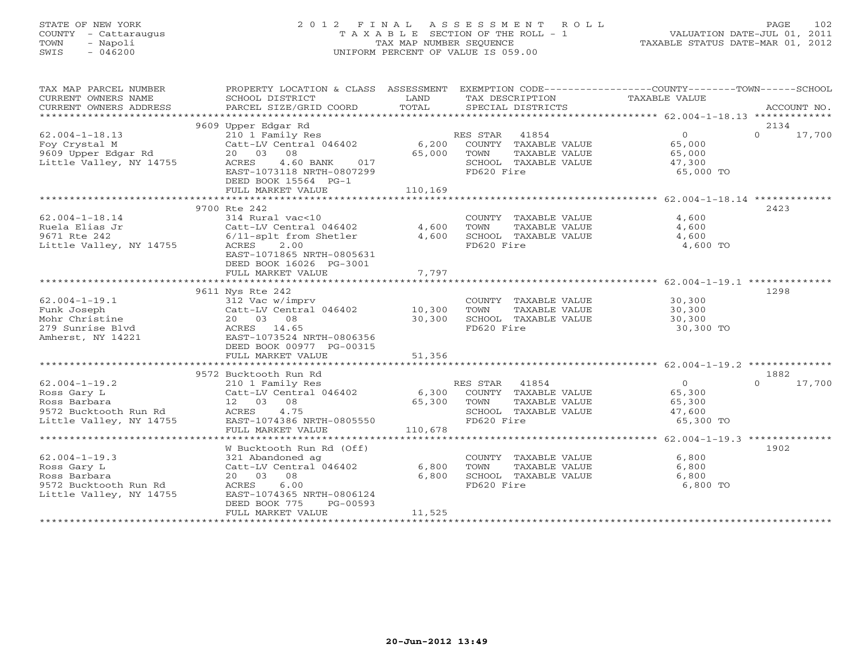STATE OF NEW YORK 2 0 1 2 F I N A L A S S E S S M E N T R O L L PAGE 102 COUNTY - Cattaraugus T A X A B L E SECTION OF THE ROLL - 1 VALUATION DATE-JUL 01, 2011 TOWN - Napoli TAX MAP NUMBER SEQUENCE TAXABLE STATUS DATE-MAR 01, 2012 SWIS - 046200 UNIFORM PERCENT OF VALUE IS 059.00UNIFORM PERCENT OF VALUE IS 059.00

| TAX MAP PARCEL NUMBER                                                       | PROPERTY LOCATION & CLASS ASSESSMENT EXEMPTION CODE----------------COUNTY-------TOWN------SCHOOL |             |                                              |                            |                    |
|-----------------------------------------------------------------------------|--------------------------------------------------------------------------------------------------|-------------|----------------------------------------------|----------------------------|--------------------|
| CURRENT OWNERS NAME                                                         | SCHOOL DISTRICT                                                                                  | LAND        | TAX DESCRIPTION                              | TAXABLE VALUE              |                    |
| CURRENT OWNERS ADDRESS                                                      | PARCEL SIZE/GRID COORD                                                                           | TOTAL       | SPECIAL DISTRICTS                            |                            | ACCOUNT NO.        |
|                                                                             |                                                                                                  |             |                                              |                            |                    |
|                                                                             | 9609 Upper Edgar Rd                                                                              |             |                                              |                            | 2134               |
| $62.004 - 1 - 18.13$                                                        | 210 1 Family Res<br>Catt-LV Central 046402                                                       |             |                                              | $\overline{0}$             | $\Omega$<br>17,700 |
| Foy Crystal M                                                               |                                                                                                  |             |                                              | 65,000                     |                    |
| 9609 Upper Edgar Rd                                                         | 20 03 08                                                                                         |             | RES STAR 41004<br>6,200 COUNTY TAXABLE VALUE | 65,000                     |                    |
| Little Valley, NY 14755                                                     | 4.60 BANK<br>ACRES<br>017                                                                        |             | SCHOOL TAXABLE VALUE                         | 47,300                     |                    |
|                                                                             | EAST-1073118 NRTH-0807299                                                                        |             | FD620 Fire                                   | 65,000 TO                  |                    |
|                                                                             | DEED BOOK 15564 PG-1                                                                             |             |                                              |                            |                    |
|                                                                             | FULL MARKET VALUE                                                                                | 110,169     |                                              |                            |                    |
|                                                                             |                                                                                                  |             |                                              |                            |                    |
|                                                                             | 9700 Rte 242                                                                                     |             |                                              |                            | 2423               |
| $62.004 - 1 - 18.14$                                                        | 314 Rural vac<10                                                                                 |             | COUNTY TAXABLE VALUE                         | 4,600                      |                    |
| Ruela Elias Jr                                                              | Catt-LV Central 046402                                                                           | 4,600       | TOWN<br>TAXABLE VALUE                        | 4,600                      |                    |
| 9671 Rte 242                                                                | 6/11-splt from Shetler                                                                           | 4,600       | SCHOOL TAXABLE VALUE                         | 4,600                      |                    |
| Little Valley, NY 14755                                                     | ACRES 2.00                                                                                       |             | FD620 Fire                                   | 4,600 TO                   |                    |
|                                                                             | EAST-1071865 NRTH-0805631                                                                        |             |                                              |                            |                    |
|                                                                             |                                                                                                  |             |                                              |                            |                    |
|                                                                             | DEED BOOK 16026 PG-3001                                                                          |             |                                              |                            |                    |
|                                                                             | FULL MARKET VALUE                                                                                | 7,797       |                                              |                            |                    |
|                                                                             |                                                                                                  |             |                                              |                            |                    |
|                                                                             | 9611 Nys Rte 242                                                                                 |             |                                              |                            | 1298               |
| $62.004 - 1 - 19.1$                                                         | 312 Vac w/imprv                                                                                  |             | COUNTY TAXABLE VALUE 30,300                  |                            |                    |
| Funk Joseph                                                                 | Catt-LV Central 046402                                                                           | 10,300      | TOWN<br>TAXABLE VALUE                        | 30,300<br>30,300<br>30,300 |                    |
| Mohr Christine                                                              | 20 03 08                                                                                         | 30,300      | SCHOOL TAXABLE VALUE                         |                            |                    |
|                                                                             | ACRES 14.65                                                                                      |             | FD620 Fire                                   | 30,300 TO                  |                    |
| Amherst, NY 14221                                                           | EAST-1073524 NRTH-0806356                                                                        |             |                                              |                            |                    |
|                                                                             | DEED BOOK 00977 PG-00315                                                                         |             |                                              |                            |                    |
|                                                                             | FULL MARKET VALUE                                                                                | 51,356      |                                              |                            |                    |
|                                                                             |                                                                                                  |             |                                              |                            |                    |
|                                                                             | 9572 Bucktooth Run Rd                                                                            |             |                                              |                            | 1882               |
| $62.004 - 1 - 19.2$                                                         | 210 1 Family Res                                                                                 |             | RES STAR 41854                               | $\overline{0}$             | 17,700<br>$\Omega$ |
| Ross Gary L                                                                 | Catt-LV Central 046402                                                                           |             | 6,300 COUNTY TAXABLE VALUE                   | 65,300                     |                    |
| Ross Barbara                                                                | 12  03  08                                                                                       | 65,300 TOWN | TAXABLE VALUE                                | 65,300                     |                    |
|                                                                             | ACRES<br>4.75                                                                                    |             | SCHOOL TAXABLE VALUE                         | 47,600                     |                    |
| 9572 Bucktooth Run Rd<br>Little Valley, NY 14755<br>Little Valley, NY 14755 | EAST-1074386 NRTH-0805550                                                                        |             | FD620 Fire                                   | 65,300 TO                  |                    |
|                                                                             | FULL MARKET VALUE                                                                                | 110,678     |                                              |                            |                    |
|                                                                             |                                                                                                  |             |                                              |                            |                    |
|                                                                             | W Bucktooth Run Rd (Off)                                                                         |             |                                              |                            | 1902               |
| $62.004 - 1 - 19.3$                                                         | 321 Abandoned ag                                                                                 |             | COUNTY TAXABLE VALUE                         | 6,800                      |                    |
| Ross Gary L                                                                 | Catt-LV Central 046402                                                                           | 6,800       | TAXABLE VALUE<br>TOWN                        | 6,800                      |                    |
| Ross Barbara                                                                | 20  03  08                                                                                       | 6,800       | SCHOOL TAXABLE VALUE                         | 6,800                      |                    |
| 9572 Bucktooth Run Rd                                                       | ACRES<br>6.00                                                                                    |             | FD620 Fire                                   | 6,800 TO                   |                    |
| Little Valley, NY 14755                                                     | EAST-1074365 NRTH-0806124                                                                        |             |                                              |                            |                    |
|                                                                             | DEED BOOK 775<br>PG-00593                                                                        |             |                                              |                            |                    |
|                                                                             |                                                                                                  | 11,525      |                                              |                            |                    |
|                                                                             | FULL MARKET VALUE                                                                                |             |                                              |                            |                    |
|                                                                             |                                                                                                  |             |                                              |                            |                    |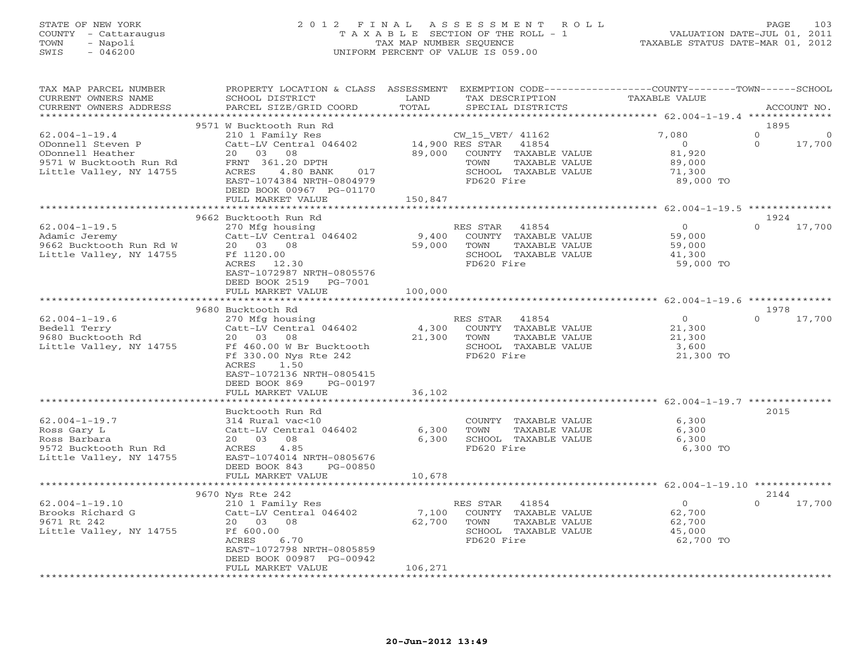# STATE OF NEW YORK 2 0 1 2 F I N A L A S S E S S M E N T R O L L PAGE 103 COUNTY - Cattaraugus T A X A B L E SECTION OF THE ROLL - 1 VALUATION DATE-JUL 01, 2011 TOWN - Napoli TAX MAP NUMBER SEQUENCE TAXABLE STATUS DATE-MAR 01, 2012 SWIS - 046200 UNIFORM PERCENT OF VALUE IS 059.00UNIFORM PERCENT OF VALUE IS 059.00

| TAX MAP PARCEL NUMBER<br>CURRENT OWNERS NAME     | PROPERTY LOCATION & CLASS ASSESSMENT EXEMPTION CODE---------------COUNTY-------TOWN------SCHOOL<br>SCHOOL DISTRICT | LAND<br>TOTAL | TAX DESCRIPTION       |                                       | TAXABLE VALUE       |                            |
|--------------------------------------------------|--------------------------------------------------------------------------------------------------------------------|---------------|-----------------------|---------------------------------------|---------------------|----------------------------|
| CURRENT OWNERS ADDRESS<br>********************** | PARCEL SIZE/GRID COORD                                                                                             |               |                       | SPECIAL DISTRICTS                     |                     | ACCOUNT NO.                |
|                                                  | 9571 W Bucktooth Run Rd                                                                                            |               |                       |                                       |                     | 1895                       |
| $62.004 - 1 - 19.4$                              | 210 1 Family Res                                                                                                   |               | CW_15_VET/ 41162      |                                       | 7,080               | $\overline{0}$<br>$\circ$  |
| ODonnell Steven P                                | Catt-LV Central 046402                                                                                             |               | 14,900 RES STAR 41854 |                                       | $\overline{0}$      | $\Omega$<br>17,700         |
| ODonnell Heather                                 | 20 03 08                                                                                                           | 89,000        |                       | COUNTY TAXABLE VALUE                  | 81,920              |                            |
| 9571 W Bucktooth Run Rd                          | FRNT 361.20 DPTH                                                                                                   |               | TOWN                  | TAXABLE VALUE                         | 89,000              |                            |
| Little Valley, NY 14755                          | $4.80$ BANK<br>ACRES<br>017<br>EAST-1074384 NRTH-0804979                                                           |               | FD620 Fire            | SCHOOL TAXABLE VALUE                  | 71,300<br>89,000 TO |                            |
|                                                  | DEED BOOK 00967 PG-01170                                                                                           |               |                       |                                       |                     |                            |
|                                                  | FULL MARKET VALUE                                                                                                  | 150,847       |                       |                                       |                     |                            |
|                                                  |                                                                                                                    |               |                       |                                       |                     |                            |
|                                                  | 9662 Bucktooth Run Rd                                                                                              |               |                       |                                       |                     | 1924                       |
| $62.004 - 1 - 19.5$                              | 270 Mfg housing                                                                                                    |               | RES STAR 41854        |                                       | $\overline{0}$      | $\cap$<br>17,700           |
| Adamic Jeremy                                    | Catt-LV Central 046402                                                                                             | 9,400         |                       | COUNTY TAXABLE VALUE                  | 59,000              |                            |
| 9662 Bucktooth Run Rd W                          | Catt-LV Centr<br>20 03 08<br>Ff 1120.00                                                                            | 59,000        | TOWN                  | TAXABLE VALUE                         | 59,000              |                            |
| Little Valley, NY 14755                          | ACRES 12.30                                                                                                        |               | FD620 Fire            | SCHOOL TAXABLE VALUE                  | 41,300<br>59,000 TO |                            |
|                                                  | EAST-1072987 NRTH-0805576                                                                                          |               |                       |                                       |                     |                            |
|                                                  | DEED BOOK 2519 PG-7001                                                                                             |               |                       |                                       |                     |                            |
|                                                  | FULL MARKET VALUE                                                                                                  | 100,000       |                       |                                       |                     |                            |
|                                                  |                                                                                                                    |               |                       |                                       |                     |                            |
|                                                  | 9680 Bucktooth Rd                                                                                                  |               |                       |                                       |                     | 1978                       |
| $62.004 - 1 - 19.6$                              | 270 Mfg housing                                                                                                    |               | RES STAR 41854        |                                       | $\overline{0}$      | $\Omega$<br>17,700         |
| Bedell Terry<br>9680 Bucktooth Rd                | Catt-LV Central 046402                                                                                             |               |                       | 4,300 COUNTY TAXABLE VALUE            | 21,300              |                            |
| Little Valley, NY 14755                          | 20 03 08<br>Ff 460.00 W Br Bucktooth                                                                               |               | 21,300 TOWN           | TAXABLE VALUE<br>SCHOOL TAXABLE VALUE | 21,300<br>3,600     |                            |
|                                                  | Ff 330.00 Nys Rte 242                                                                                              |               | FD620 Fire            |                                       | 21,300 TO           |                            |
|                                                  | ACRES 1.50                                                                                                         |               |                       |                                       |                     |                            |
|                                                  | EAST-1072136 NRTH-0805415                                                                                          |               |                       |                                       |                     |                            |
|                                                  | DEED BOOK 869<br>PG-00197                                                                                          |               |                       |                                       |                     |                            |
|                                                  | FULL MARKET VALUE                                                                                                  | 36,102        |                       |                                       |                     |                            |
|                                                  |                                                                                                                    |               |                       |                                       |                     |                            |
| $62.004 - 1 - 19.7$                              | Bucktooth Run Rd<br>314 Rural vac<10                                                                               |               |                       | COUNTY TAXABLE VALUE                  | 6,300               | 2015                       |
| Ross Gary L                                      | Catt-LV Central 046402                                                                                             | 6,300         | TOWN                  | TAXABLE VALUE                         | 6,300               |                            |
| Ross Barbara                                     | 20  03  08                                                                                                         | 6,300         |                       | SCHOOL TAXABLE VALUE                  | 6,300               |                            |
| 9572 Bucktooth Run Rd                            | ACRES 4.85                                                                                                         |               | FD620 Fire            |                                       | 6,300 TO            |                            |
| Little Valley, NY 14755                          | EAST-1074014 NRTH-0805676                                                                                          |               |                       |                                       |                     |                            |
|                                                  | DEED BOOK 843<br>PG-00850                                                                                          |               |                       |                                       |                     |                            |
|                                                  | FULL MARKET VALUE                                                                                                  | 10,678        |                       |                                       |                     |                            |
|                                                  |                                                                                                                    |               |                       |                                       |                     |                            |
| $62.004 - 1 - 19.10$                             | 9670 Nys Rte 242<br>210 1 Family Res                                                                               |               | RES STAR 41854        |                                       | $\overline{0}$      | 2144<br>17,700<br>$\Omega$ |
| Brooks Richard G                                 | Catt-LV Central 046402                                                                                             |               |                       | 7,100 COUNTY TAXABLE VALUE            | 62,700              |                            |
| 9671 Rt 242                                      | 20  03  08                                                                                                         | 62,700        | TOWN                  | TAXABLE VALUE                         | 62,700              |                            |
| Little Valley, NY 14755                          | Ff 600.00                                                                                                          |               |                       | SCHOOL TAXABLE VALUE                  | 45,000              |                            |
|                                                  | ACRES<br>6.70                                                                                                      |               | FD620 Fire            |                                       | 62,700 TO           |                            |
|                                                  | EAST-1072798 NRTH-0805859                                                                                          |               |                       |                                       |                     |                            |
|                                                  | DEED BOOK 00987 PG-00942<br>FULL MARKET VALUE                                                                      | 106,271       |                       |                                       |                     |                            |
|                                                  |                                                                                                                    |               |                       |                                       |                     |                            |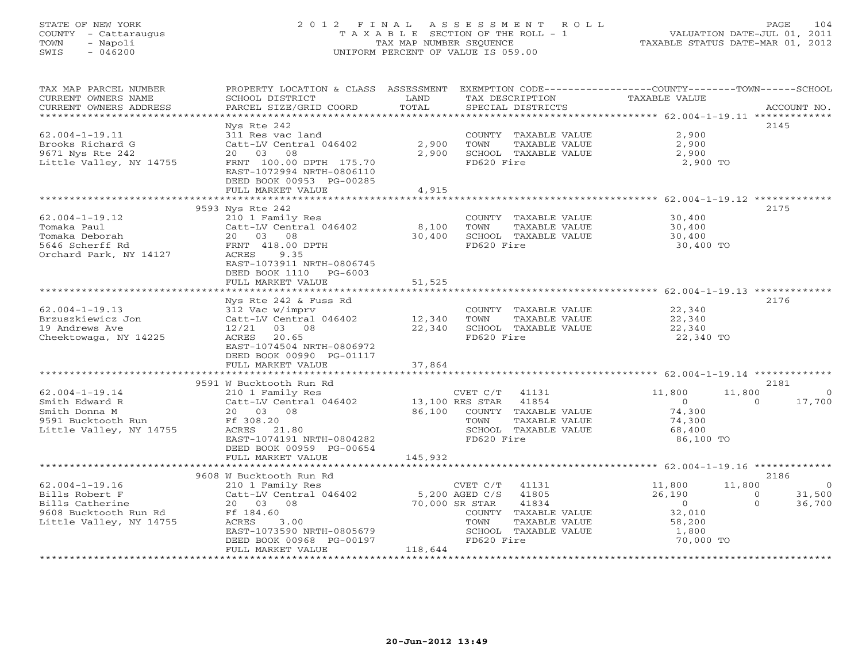# STATE OF NEW YORK 2 0 1 2 F I N A L A S S E S S M E N T R O L L PAGE 104 COUNTY - Cattaraugus T A X A B L E SECTION OF THE ROLL - 1 VALUATION DATE-JUL 01, 2011 TOWN - Napoli TAX MAP NUMBER SEQUENCE TAXABLE STATUS DATE-MAR 01, 2012 SWIS - 046200 UNIFORM PERCENT OF VALUE IS 059.00UNIFORM PERCENT OF VALUE IS 059.00

| TAX MAP PARCEL NUMBER<br>CURRENT OWNERS NAME | PROPERTY LOCATION & CLASS ASSESSMENT<br>SCHOOL DISTRICT | LAND    | TAX DESCRIPTION                              | EXEMPTION CODE-----------------COUNTY-------TOWN-----SCHOOL<br>TAXABLE VALUE |                |
|----------------------------------------------|---------------------------------------------------------|---------|----------------------------------------------|------------------------------------------------------------------------------|----------------|
| CURRENT OWNERS ADDRESS                       | PARCEL SIZE/GRID COORD                                  | TOTAL   | SPECIAL DISTRICTS                            |                                                                              | ACCOUNT NO.    |
| ********************                         | ********************                                    |         |                                              |                                                                              |                |
|                                              | Nys Rte 242                                             |         |                                              | 2145                                                                         |                |
| $62.004 - 1 - 19.11$                         | 311 Res vac land                                        |         | COUNTY TAXABLE VALUE                         | 2,900                                                                        |                |
| Brooks Richard G                             | Catt-LV Central 046402                                  | 2,900   | TOWN<br>TAXABLE VALUE                        | 2,900                                                                        |                |
| 9671 Nys Rte 242                             | 20  03  08                                              | 2,900   | SCHOOL TAXABLE VALUE                         | 2,900                                                                        |                |
| Little Valley, NY 14755                      | FRNT 100.00 DPTH 175.70                                 |         | FD620 Fire                                   | 2,900 TO                                                                     |                |
|                                              | EAST-1072994 NRTH-0806110                               |         |                                              |                                                                              |                |
|                                              | DEED BOOK 00953 PG-00285                                |         |                                              |                                                                              |                |
|                                              | FULL MARKET VALUE                                       | 4,915   |                                              |                                                                              |                |
|                                              |                                                         |         |                                              |                                                                              |                |
|                                              | 9593 Nys Rte 242                                        |         |                                              | 2175                                                                         |                |
| $62.004 - 1 - 19.12$                         | 210 1 Family Res                                        |         | COUNTY TAXABLE VALUE                         | 30,400                                                                       |                |
| Tomaka Paul                                  | Catt-LV Central 046402                                  | 8,100   | TOWN<br>TAXABLE VALUE                        | 30,400                                                                       |                |
| Tomaka Deborah<br>5646 Scherff Rd            | 20 03 08<br>FRNT 418.00 DPTH                            | 30,400  | SCHOOL TAXABLE VALUE<br>FD620 Fire           | 30,400                                                                       |                |
| Orchard Park, NY 14127                       | ACRES 9.35                                              |         |                                              | 30,400 TO                                                                    |                |
|                                              | EAST-1073911 NRTH-0806745                               |         |                                              |                                                                              |                |
|                                              | DEED BOOK 1110 PG-6003                                  |         |                                              |                                                                              |                |
|                                              | FULL MARKET VALUE                                       | 51,525  |                                              |                                                                              |                |
|                                              |                                                         |         |                                              |                                                                              |                |
|                                              | Nys Rte 242 & Fuss Rd                                   |         |                                              | 2176                                                                         |                |
| $62.004 - 1 - 19.13$                         | 312 Vac w/imprv                                         |         | COUNTY TAXABLE VALUE                         | 22,340                                                                       |                |
| Brzuszkiewicz Jon                            | Catt-LV Central 046402                                  | 12,340  | TOWN<br>TAXABLE VALUE                        | 22,340                                                                       |                |
| 19 Andrews Ave                               | 12/21 03 08                                             | 22,340  | SCHOOL TAXABLE VALUE                         | 22,340                                                                       |                |
| Cheektowaga, NY 14225                        | ACRES 20.65                                             |         | FD620 Fire                                   | 22,340 TO                                                                    |                |
|                                              | EAST-1074504 NRTH-0806972                               |         |                                              |                                                                              |                |
|                                              | DEED BOOK 00990 PG-01117                                |         |                                              |                                                                              |                |
|                                              | FULL MARKET VALUE                                       | 37,864  |                                              |                                                                              |                |
|                                              |                                                         |         |                                              |                                                                              |                |
|                                              | 9591 W Bucktooth Run Rd                                 |         |                                              | 2181                                                                         |                |
| $62.004 - 1 - 19.14$                         |                                                         |         |                                              | 11,800<br>11,800                                                             | $\sim$ 0       |
| Smith Edward R                               |                                                         |         |                                              | $\overline{0}$<br>$\Omega$                                                   | 17,700         |
| Smith Donna M                                | 20 03 08                                                |         | 86,100 COUNTY TAXABLE VALUE                  | 74,300                                                                       |                |
| 9591 Bucktooth Run                           | Ff 308.20                                               |         | TAXABLE VALUE<br>TOWN                        | 74,300                                                                       |                |
| Little Valley, NY 14755                      | ACRES 21.80                                             |         | SCHOOL TAXABLE VALUE                         | 68,400                                                                       |                |
|                                              | EAST-1074191 NRTH-0804282                               |         | FD620 Fire                                   | 86,100 TO                                                                    |                |
|                                              | DEED BOOK 00959 PG-00654<br>FULL MARKET VALUE           | 145,932 |                                              |                                                                              |                |
|                                              |                                                         |         |                                              |                                                                              |                |
|                                              | 9608 W Bucktooth Run Rd                                 |         |                                              | 2186                                                                         |                |
| $62.004 - 1 - 19.16$                         | 210 1 Family Res                                        |         | CVET $C/T$ 41131                             | 11,800<br>11,800                                                             | $\overline{0}$ |
| Bills Robert F                               | Catt-LV Central 046402                                  |         |                                              | 26,190<br>$\overline{0}$                                                     | 31,500         |
| Bills Catherine                              | 20 03 08                                                |         | 5,200 AGED C/S 41805<br>70,000 SR STAR 41834 | $\sim$ 0<br>$\Omega$                                                         | 36,700         |
|                                              | Ff 184.60                                               |         | COUNTY TAXABLE VALUE                         | 32,010                                                                       |                |
| Little Valley, NY 14755                      | ACRES<br>3.00                                           |         | TAXABLE VALUE<br>TOWN                        | 58,200                                                                       |                |
|                                              | EAST-1073590 NRTH-0805679                               |         | SCHOOL TAXABLE VALUE                         |                                                                              |                |
|                                              | DEED BOOK 00968 PG-00197                                |         | FD620 Fire                                   | 1,800<br>70,000 TO                                                           |                |
|                                              | FULL MARKET VALUE                                       | 118,644 |                                              |                                                                              |                |
|                                              |                                                         |         |                                              |                                                                              |                |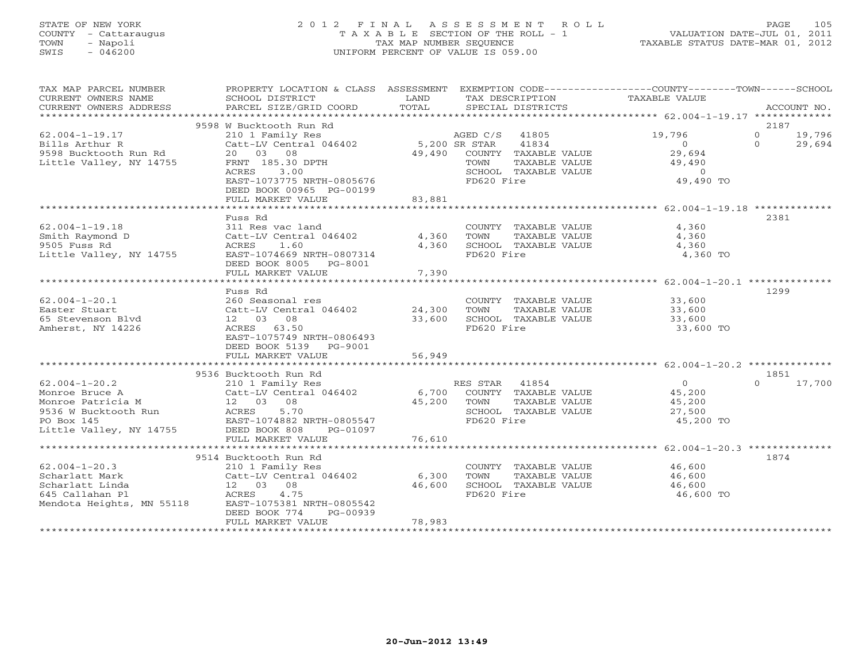# STATE OF NEW YORK 2 0 1 2 F I N A L A S S E S S M E N T R O L L PAGE 105 COUNTY - Cattaraugus T A X A B L E SECTION OF THE ROLL - 1 VALUATION DATE-JUL 01, 2011 TOWN - Napoli TAX MAP NUMBER SEQUENCE TAXABLE STATUS DATE-MAR 01, 2012 SWIS - 046200 UNIFORM PERCENT OF VALUE IS 059.00UNIFORM PERCENT OF VALUE IS 059.00

| TAX MAP PARCEL NUMBER<br>CURRENT OWNERS NAME<br>CURRENT OWNERS ADDRESS                                                                                                                                                                                                                                                                                                             | PROPERTY LOCATION & CLASS ASSESSMENT EXEMPTION CODE---------------COUNTY-------TOWN-----SCHOOL<br>SCHOOL DISTRICT<br><b>Example 19 The LAND</b><br>PARCEL SIZE/GRID COORD                                         | TOTAL                   |                                      | TAX DESCRIPTION<br>SPECIAL DISTRICTS                                                  | TAXABLE VALUE                                                         | ACCOUNT NO.                                 |
|------------------------------------------------------------------------------------------------------------------------------------------------------------------------------------------------------------------------------------------------------------------------------------------------------------------------------------------------------------------------------------|-------------------------------------------------------------------------------------------------------------------------------------------------------------------------------------------------------------------|-------------------------|--------------------------------------|---------------------------------------------------------------------------------------|-----------------------------------------------------------------------|---------------------------------------------|
|                                                                                                                                                                                                                                                                                                                                                                                    |                                                                                                                                                                                                                   |                         |                                      |                                                                                       |                                                                       |                                             |
| $62.004 - 1 - 19.17$<br>Bills Arthur R<br>Bills Arthur I.<br>9598 Bucktooth Run Rd<br>* 'tile Vallev NY 14755                                                                                                                                                                                                                                                                      | 9598 W Bucktooth Run Rd<br>210 1 Family Res<br>Catt-LV Central 046402 5,200 SR STAR<br>20  03  08<br>FRNT 185.30 DPTH<br>ACRES 3.00<br>EAST-1073775 NRTH-0805676<br>DEED BOOK 00965 PG-00199<br>FULL MARKET VALUE | 83,881                  | AGED C/S 41805<br>TOWN<br>FD620 Fire | 41834<br>49,490 COUNTY TAXABLE VALUE<br>TAXABLE VALUE<br>SCHOOL TAXABLE VALUE         | 19,796<br>$\Omega$<br>29,694<br>49,490<br>$\overline{0}$<br>49,490 TO | 2187<br>$0 \t 19,796$<br>$\Omega$<br>29,694 |
|                                                                                                                                                                                                                                                                                                                                                                                    |                                                                                                                                                                                                                   |                         |                                      |                                                                                       |                                                                       |                                             |
| $62.004 - 1 - 19.18$<br>Smith Raymond D<br>9505 Fuss Rd<br>Little Valley, NY 14755                                                                                                                                                                                                                                                                                                 | Fuss Rd<br>311 Res vac land<br>311 Res vac land<br>Catt-LV Central 046402<br>ACRES 1.60<br>EAST-1074669 NRTH-0807314<br>DEED BOOK 8005 PG-8001<br>FULL MARKET VALUE                                               | 4,360<br>4,360<br>7,390 | FD620 Fire                           | COUNTY TAXABLE VALUE<br>TOWN     TAXABLE VALUE<br>SCHOOL TAXABLE VALUE                | 4,360<br>4,360<br>4,360<br>4,360 TO                                   | 2381                                        |
|                                                                                                                                                                                                                                                                                                                                                                                    | *****************************<br>Fuss Rd                                                                                                                                                                          | ************            |                                      |                                                                                       | ************************* 62.004-1-20.1 ****************              | 1299                                        |
| $62.004 - 1 - 20.1$<br>Easter Stuart<br>65 Stevenson Blyd<br>Amherst, NY 14226                                                                                                                                                                                                                                                                                                     | 260 Seasonal res<br>Catt-LV Central 046402 24,300<br>12 03 08<br>ACRES 63.50<br>EAST-1075749 NRTH-0806493<br>DEED BOOK 5139 PG-9001                                                                               | 33,600                  | TOWN<br>FD620 Fire                   | TAXABLE VALUE<br>SCHOOL TAXABLE VALUE                                                 | COUNTY TAXABLE VALUE 33,600<br>33,600<br>33,600<br>33,600 TO          |                                             |
|                                                                                                                                                                                                                                                                                                                                                                                    | FULL MARKET VALUE                                                                                                                                                                                                 | 56,949                  |                                      |                                                                                       |                                                                       |                                             |
|                                                                                                                                                                                                                                                                                                                                                                                    | 9536 Bucktooth Run Rd                                                                                                                                                                                             |                         |                                      |                                                                                       |                                                                       | 1851                                        |
| 62.004-1-20.2<br>Monroe Bruce A<br>Monroe Patricia M<br>9536 W Bucktooth Run<br>PO Box 145<br>Little Valley, NY 14755<br>PO Box 145<br>Little Valley, NY 14755<br>PO Box 145<br>Little Valley, NY 14755<br>PO Box 14755<br>PO Box 14755<br>PO Box 1475                                                                                                                             |                                                                                                                                                                                                                   | 45,200 TOWN             | FD620 Fire                           | RES STAR 41854<br>6,700 COUNTY TAXABLE VALUE<br>TAXABLE VALUE<br>SCHOOL TAXABLE VALUE | $\overline{0}$<br>45,200<br>45,200<br>27,500<br>45,200 TO             | $\Omega$<br>17,700                          |
|                                                                                                                                                                                                                                                                                                                                                                                    | FULL MARKET VALUE                                                                                                                                                                                                 | 76,610                  |                                      |                                                                                       |                                                                       |                                             |
| $62.004 - 1 - 20.3$<br>$\begin{array}{lllllll} 62.004 - 1 - 20.3 & 210 & 1 & \text{Family Res} & & & & & \\ \text{Scharlatt Mark} && \text{Catt-LV Central 046402} && 6,300 & & \\ \text{Scharlatt Linda} && 12 && 03 && 08 && 46,600 & \\ \text{645 Callahan Pl} && \text{ACRES} && 4.75 & & \\ \text{Mendota Heights, MM 55118} && \text{EAST-1075381 NRTH-0805542} \end{array}$ | 9514 Bucktooth Run Rd<br>210 1 Family Res                                                                                                                                                                         | 46,600                  | TOWN<br>FD620 Fire                   | TAXABLE VALUE<br>SCHOOL TAXABLE VALUE                                                 | COUNTY TAXABLE VALUE 46,600<br>46,600<br>46,600<br>46,600 TO          | 1874                                        |
|                                                                                                                                                                                                                                                                                                                                                                                    | DEED BOOK 774<br>PG-00939<br>FULL MARKET VALUE                                                                                                                                                                    | 78,983                  |                                      |                                                                                       |                                                                       |                                             |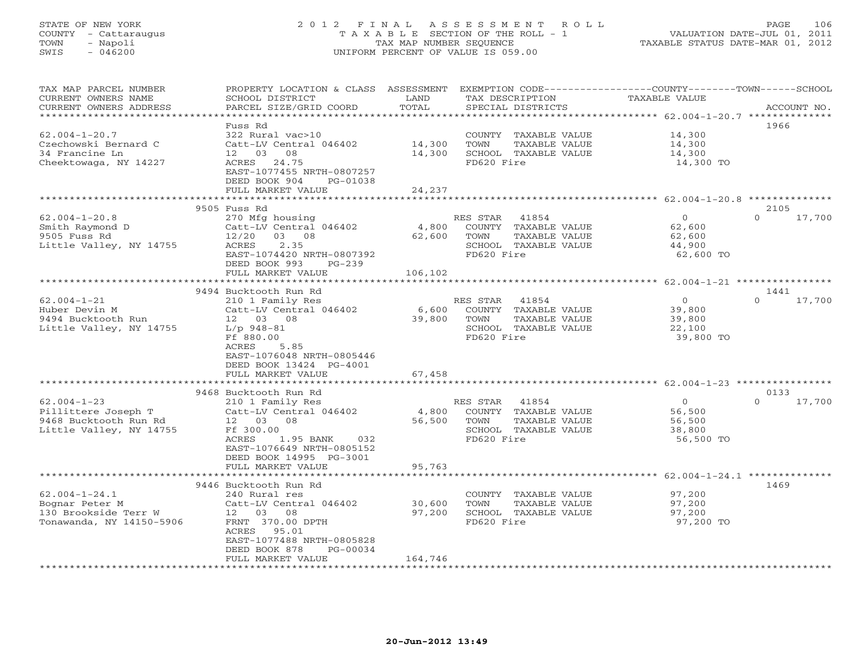# STATE OF NEW YORK 2 0 1 2 F I N A L A S S E S S M E N T R O L L PAGE 106 COUNTY - Cattaraugus T A X A B L E SECTION OF THE ROLL - 1 VALUATION DATE-JUL 01, 2011 TOWN - Napoli TAX MAP NUMBER SEQUENCE TAXABLE STATUS DATE-MAR 01, 2012 SWIS - 046200 UNIFORM PERCENT OF VALUE IS 059.00UNIFORM PERCENT OF VALUE IS 059.00

| TAX MAP PARCEL NUMBER<br>CURRENT OWNERS NAME | PROPERTY LOCATION & CLASS ASSESSMENT<br>SCHOOL DISTRICT     | LAND                | TAX DESCRIPTION                    | EXEMPTION CODE-----------------COUNTY-------TOWN------SCHOOL<br>TAXABLE VALUE |             |
|----------------------------------------------|-------------------------------------------------------------|---------------------|------------------------------------|-------------------------------------------------------------------------------|-------------|
| CURRENT OWNERS ADDRESS                       | PARCEL SIZE/GRID COORD<br>* * * * * * * * * * * * * * * * * | TOTAL<br>********** | SPECIAL DISTRICTS                  | *********** 62.004-1-20.7 **************                                      | ACCOUNT NO. |
|                                              | Fuss Rd                                                     |                     |                                    |                                                                               | 1966        |
| $62.004 - 1 - 20.7$                          | 322 Rural vac>10                                            |                     | COUNTY TAXABLE VALUE               | 14,300                                                                        |             |
| Czechowski Bernard C                         | Catt-LV Central 046402                                      | 14,300              | TOWN<br>TAXABLE VALUE              | 14,300                                                                        |             |
| 34 Francine Ln                               | 12 03<br>08                                                 | 14,300              | SCHOOL TAXABLE VALUE               | 14,300                                                                        |             |
| Cheektowaga, NY 14227                        | ACRES<br>24.75<br>EAST-1077455 NRTH-0807257                 |                     | FD620 Fire                         | 14,300 TO                                                                     |             |
|                                              | DEED BOOK 904<br>PG-01038                                   |                     |                                    |                                                                               |             |
|                                              | FULL MARKET VALUE                                           | 24,237              |                                    |                                                                               |             |
|                                              |                                                             |                     |                                    |                                                                               |             |
|                                              | 9505 Fuss Rd                                                |                     |                                    |                                                                               | 2105        |
| $62.004 - 1 - 20.8$                          | 270 Mfg housing                                             |                     | RES STAR 41854                     | $\overline{O}$<br>$\Omega$                                                    | 17,700      |
| Smith Raymond D                              | Catt-LV Central 046402                                      | 4,800               | COUNTY TAXABLE VALUE               | 62,600                                                                        |             |
| 9505 Fuss Rd                                 | $12/20$ 03 08                                               | 62,600              | TOWN<br>TAXABLE VALUE              | 62,600                                                                        |             |
| Little Valley, NY 14755                      | 2.35<br>ACRES                                               |                     | SCHOOL TAXABLE VALUE               | 44,900                                                                        |             |
|                                              | EAST-1074420 NRTH-0807392                                   |                     | FD620 Fire                         | 62,600 TO                                                                     |             |
|                                              | DEED BOOK 993<br>$PG-239$<br>FULL MARKET VALUE              | 106,102             |                                    |                                                                               |             |
|                                              | ********************                                        |                     |                                    |                                                                               |             |
|                                              | 9494 Bucktooth Run Rd                                       |                     |                                    |                                                                               | 1441        |
| $62.004 - 1 - 21$                            | 210 1 Family Res                                            |                     | RES STAR<br>41854                  | $\circ$<br>$\Omega$                                                           | 17,700      |
| Huber Devin M                                | Catt-LV Central 046402                                      | 6,600               | COUNTY TAXABLE VALUE               | 39,800                                                                        |             |
| 9494 Bucktooth Run                           | 12 03 08                                                    | 39,800              | TOWN<br>TAXABLE VALUE              | 39,800                                                                        |             |
| Little Valley, NY 14755                      | $L/p$ 948-81                                                |                     | SCHOOL TAXABLE VALUE               | 22,100                                                                        |             |
|                                              | Ff 880.00                                                   |                     | FD620 Fire                         | 39,800 TO                                                                     |             |
|                                              | ACRES<br>5.85                                               |                     |                                    |                                                                               |             |
|                                              | EAST-1076048 NRTH-0805446<br>DEED BOOK 13424 PG-4001        |                     |                                    |                                                                               |             |
|                                              | FULL MARKET VALUE                                           | 67,458              |                                    |                                                                               |             |
|                                              |                                                             |                     |                                    |                                                                               |             |
|                                              | 9468 Bucktooth Run Rd                                       |                     |                                    |                                                                               | 0133        |
| $62.004 - 1 - 23$                            | 210 1 Family Res                                            |                     | RES STAR 41854                     | $\overline{0}$<br>$\Omega$                                                    | 17,700      |
| Pillittere Joseph T                          | Catt-LV Central 046402                                      | 4,800               | COUNTY TAXABLE VALUE               | 56,500                                                                        |             |
| 9468 Bucktooth Run Rd                        | 12  03  08                                                  | 56,500              | TOWN<br>TAXABLE VALUE              | 56,500                                                                        |             |
| Little Valley, NY 14755                      | Ff 300.00                                                   |                     | SCHOOL TAXABLE VALUE<br>FD620 Fire | 38,800                                                                        |             |
|                                              | 1.95 BANK<br>ACRES<br>032<br>EAST-1076649 NRTH-0805152      |                     |                                    | 56,500 TO                                                                     |             |
|                                              | DEED BOOK 14995 PG-3001                                     |                     |                                    |                                                                               |             |
|                                              | FULL MARKET VALUE                                           | 95,763              |                                    |                                                                               |             |
|                                              | ******************                                          |                     |                                    |                                                                               |             |
|                                              | 9446 Bucktooth Run Rd                                       |                     |                                    |                                                                               | 1469        |
| $62.004 - 1 - 24.1$                          | 240 Rural res                                               |                     | COUNTY TAXABLE VALUE               | 97,200                                                                        |             |
| Bognar Peter M                               | Catt-LV Central 046402                                      | 30,600              | TOWN<br>TAXABLE VALUE              | 97,200                                                                        |             |
| 130 Brookside Terr W                         | 12 03 08                                                    | 97,200              | SCHOOL TAXABLE VALUE               | 97,200                                                                        |             |
| Tonawanda, NY 14150-5906                     | FRNT 370.00 DPTH<br>95.01<br>ACRES                          |                     | FD620 Fire                         | 97,200 TO                                                                     |             |
|                                              | EAST-1077488 NRTH-0805828                                   |                     |                                    |                                                                               |             |
|                                              | DEED BOOK 878<br>PG-00034                                   |                     |                                    |                                                                               |             |
|                                              | FULL MARKET VALUE                                           | 164,746             |                                    |                                                                               |             |
|                                              |                                                             |                     |                                    |                                                                               |             |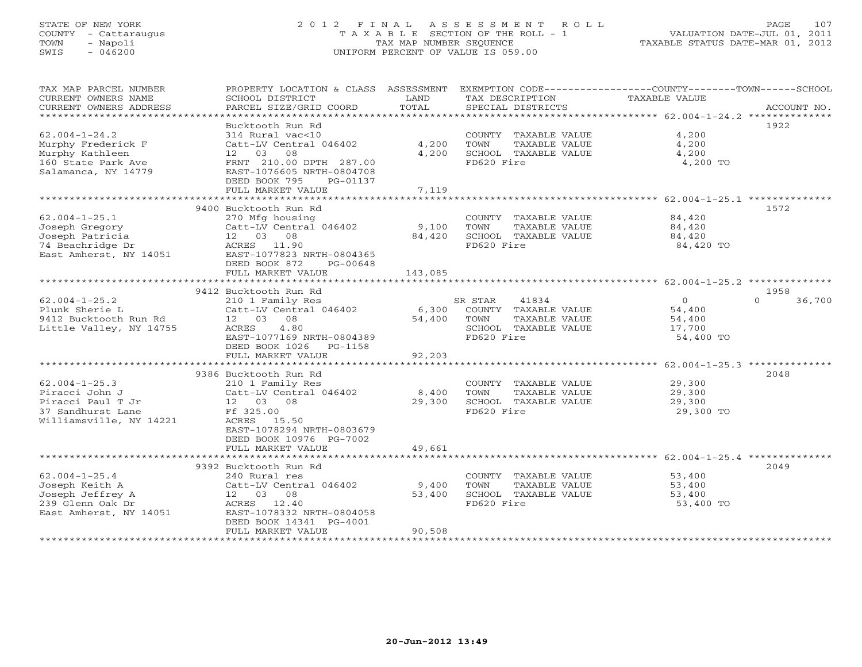# STATE OF NEW YORK 2 0 1 2 F I N A L A S S E S S M E N T R O L L PAGE 107 COUNTY - Cattaraugus T A X A B L E SECTION OF THE ROLL - 1 VALUATION DATE-JUL 01, 2011 TOWN - Napoli TAX MAP NUMBER SEQUENCE TAXABLE STATUS DATE-MAR 01, 2012 SWIS - 046200 UNIFORM PERCENT OF VALUE IS 059.00UNIFORM PERCENT OF VALUE IS 059.00

| TAX MAP PARCEL NUMBER<br>CURRENT OWNERS NAME<br>CURRENT OWNERS ADDRESS<br>***********************          | PROPERTY LOCATION & CLASS ASSESSMENT<br>SCHOOL DISTRICT<br>PARCEL SIZE/GRID COORD                                                                                              | LAND<br>TOTAL              | TAX DESCRIPTION<br>SPECIAL DISTRICTS                                                                    | EXEMPTION CODE-----------------COUNTY-------TOWN------SCHOOL<br><b>TAXABLE VALUE</b><br>ACCOUNT NO. |
|------------------------------------------------------------------------------------------------------------|--------------------------------------------------------------------------------------------------------------------------------------------------------------------------------|----------------------------|---------------------------------------------------------------------------------------------------------|-----------------------------------------------------------------------------------------------------|
| $62.004 - 1 - 24.2$<br>Murphy Frederick F<br>Murphy Kathleen<br>160 State Park Ave<br>Salamanca, NY 14779  | Bucktooth Run Rd<br>314 Rural vac<10<br>Catt-LV Central 046402<br>08<br>12 03<br>FRNT 210.00 DPTH 287.00<br>EAST-1076605 NRTH-0804708<br>DEED BOOK 795<br>PG-01137             | 4,200<br>4,200             | COUNTY TAXABLE VALUE<br>TOWN<br>TAXABLE VALUE<br>SCHOOL TAXABLE VALUE<br>FD620 Fire                     | 1922<br>4,200<br>4,200<br>4,200<br>4,200 TO                                                         |
|                                                                                                            | FULL MARKET VALUE                                                                                                                                                              | 7,119<br>*************     |                                                                                                         |                                                                                                     |
| $62.004 - 1 - 25.1$<br>Joseph Gregory<br>Joseph Patricia<br>74 Beachridge Dr<br>East Amherst, NY 14051     | 9400 Bucktooth Run Rd<br>270 Mfg housing<br>Catt-LV Central 046402<br>12  03  08<br>ACRES 11.90<br>EAST-1077823 NRTH-0804365<br>DEED BOOK 872<br>PG-00648<br>FULL MARKET VALUE | 9,100<br>84,420<br>143,085 | COUNTY TAXABLE VALUE<br>TOWN<br>TAXABLE VALUE<br>SCHOOL TAXABLE VALUE<br>FD620 Fire                     | 1572<br>84,420<br>84,420<br>84,420<br>84,420 TO                                                     |
|                                                                                                            | 9412 Bucktooth Run Rd                                                                                                                                                          |                            |                                                                                                         | 1958                                                                                                |
| $62.004 - 1 - 25.2$<br>Plunk Sherie L<br>9412 Bucktooth Run Rd<br>Little Valley, NY 14755                  | 210 1 Family Res<br>Catt-LV Central 046402<br>12 03<br>08<br>ACRES<br>4.80<br>EAST-1077169 NRTH-0804389<br>DEED BOOK 1026<br>PG-1158<br>FULL MARKET VALUE                      | 6,300<br>54,400<br>92,203  | SR STAR<br>41834<br>COUNTY TAXABLE VALUE<br>TOWN<br>TAXABLE VALUE<br>SCHOOL TAXABLE VALUE<br>FD620 Fire | $\circ$<br>$\Omega$<br>36,700<br>54,400<br>54,400<br>17,700<br>54,400 TO                            |
|                                                                                                            |                                                                                                                                                                                |                            |                                                                                                         |                                                                                                     |
| $62.004 - 1 - 25.3$<br>Piracci John J<br>Piracci Paul T Jr<br>37 Sandhurst Lane<br>Williamsville, NY 14221 | 9386 Bucktooth Run Rd<br>210 1 Family Res<br>Catt-LV Central 046402<br>12  03  08<br>Ff 325.00<br>ACRES 15.50<br>EAST-1078294 NRTH-0803679<br>DEED BOOK 10976 PG-7002          | 8,400<br>29,300            | COUNTY TAXABLE VALUE<br>TOWN<br>TAXABLE VALUE<br>SCHOOL TAXABLE VALUE<br>FD620 Fire                     | 2048<br>29,300<br>29,300<br>29,300<br>29,300 TO                                                     |
|                                                                                                            | FULL MARKET VALUE                                                                                                                                                              | 49,661                     |                                                                                                         |                                                                                                     |
|                                                                                                            | 9392 Bucktooth Run Rd                                                                                                                                                          |                            |                                                                                                         | 2049                                                                                                |
| $62.004 - 1 - 25.4$<br>Joseph Keith A<br>Joseph Jeffrey A<br>239 Glenn Oak Dr<br>East Amherst, NY 14051    | 240 Rural res<br>Catt-LV Central 046402<br>12 03 08<br>ACRES 12.40<br>EAST-1078332 NRTH-0804058<br>DEED BOOK 14341 PG-4001<br>FULL MARKET VALUE                                | 9,400<br>53,400<br>90,508  | COUNTY TAXABLE VALUE<br>TAXABLE VALUE<br>TOWN<br>SCHOOL TAXABLE VALUE<br>FD620 Fire                     | 53,400<br>53,400<br>53,400<br>53,400 TO                                                             |
|                                                                                                            | *********************************                                                                                                                                              |                            |                                                                                                         |                                                                                                     |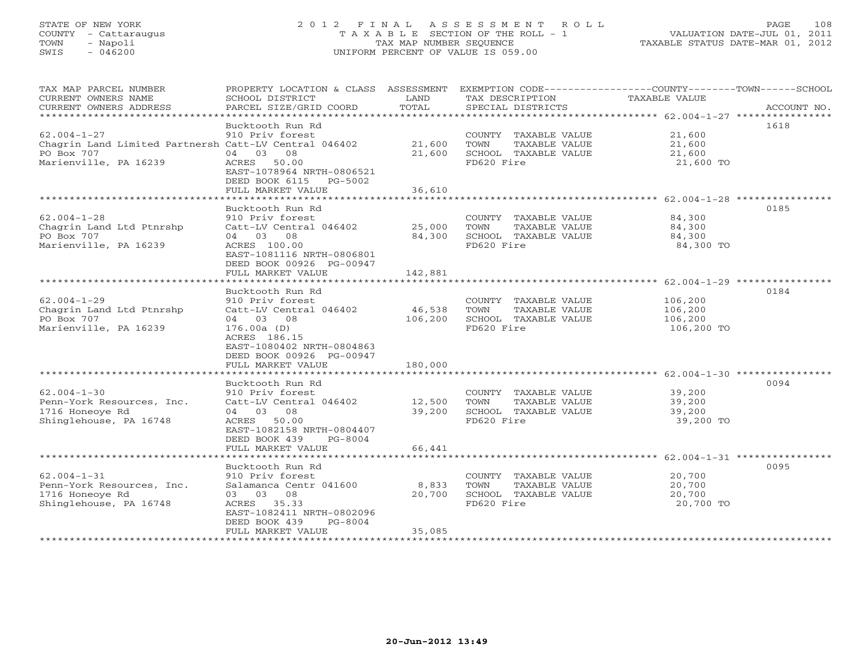# STATE OF NEW YORK 2 0 1 2 F I N A L A S S E S S M E N T R O L L PAGE 108 COUNTY - Cattaraugus T A X A B L E SECTION OF THE ROLL - 1 VALUATION DATE-JUL 01, 2011 TOWN - Napoli TAX MAP NUMBER SEQUENCE TAXABLE STATUS DATE-MAR 01, 2012 SWIS - 046200 UNIFORM PERCENT OF VALUE IS 059.00UNIFORM PERCENT OF VALUE IS 059.00

| TAX MAP PARCEL NUMBER<br>CURRENT OWNERS NAME<br>CURRENT OWNERS ADDRESS                                            | PROPERTY LOCATION & CLASS ASSESSMENT<br>SCHOOL DISTRICT<br>PARCEL SIZE/GRID COORD                                                                                                        | LAND<br>TOTAL                | EXEMPTION CODE-----------------COUNTY-------TOWN------SCHOOL<br>TAX DESCRIPTION<br>SPECIAL DISTRICTS | <b>TAXABLE VALUE</b>                        | ACCOUNT NO. |
|-------------------------------------------------------------------------------------------------------------------|------------------------------------------------------------------------------------------------------------------------------------------------------------------------------------------|------------------------------|------------------------------------------------------------------------------------------------------|---------------------------------------------|-------------|
| $62.004 - 1 - 27$<br>Chagrin Land Limited Partnersh Catt-LV Central 046402<br>PO Box 707<br>Marienville, PA 16239 | Bucktooth Run Rd<br>910 Priv forest<br>04 03 08<br>ACRES 50.00                                                                                                                           | 21,600<br>21,600             | COUNTY TAXABLE VALUE<br>TOWN<br>TAXABLE VALUE<br>SCHOOL TAXABLE VALUE<br>FD620 Fire                  | 21,600<br>21,600<br>21,600<br>21,600 TO     | 1618        |
|                                                                                                                   | EAST-1078964 NRTH-0806521<br>DEED BOOK 6115 PG-5002<br>FULL MARKET VALUE                                                                                                                 | 36,610                       |                                                                                                      |                                             |             |
|                                                                                                                   | Bucktooth Run Rd                                                                                                                                                                         |                              |                                                                                                      |                                             | 0185        |
| $62.004 - 1 - 28$<br>Chagrin Land Ltd Ptnrshp<br>PO Box 707<br>Marienville, PA 16239                              | 910 Priv forest<br>Catt-LV Central 046402<br>04 03 08<br>ACRES 100.00<br>EAST-1081116 NRTH-0806801                                                                                       | 25,000<br>84,300             | COUNTY TAXABLE VALUE<br>TAXABLE VALUE<br>TOWN<br>SCHOOL TAXABLE VALUE<br>FD620 Fire                  | 84,300<br>84,300<br>84,300<br>84,300 TO     |             |
|                                                                                                                   | DEED BOOK 00926 PG-00947<br>FULL MARKET VALUE                                                                                                                                            | 142,881                      |                                                                                                      |                                             |             |
|                                                                                                                   |                                                                                                                                                                                          |                              |                                                                                                      |                                             |             |
| $62.004 - 1 - 29$<br>Chagrin Land Ltd Ptnrshp<br>PO Box 707<br>Marienville, PA 16239                              | Bucktooth Run Rd<br>910 Priv forest<br>Catt-LV Central 046402<br>04 03<br>08<br>176.00a(D)<br>ACRES 186.15<br>EAST-1080402 NRTH-0804863<br>DEED BOOK 00926 PG-00947<br>FULL MARKET VALUE | 46,538<br>106,200<br>180,000 | COUNTY TAXABLE VALUE<br>TOWN<br>TAXABLE VALUE<br>SCHOOL TAXABLE VALUE<br>FD620 Fire                  | 106,200<br>106,200<br>106,200<br>106,200 TO | 0184        |
|                                                                                                                   |                                                                                                                                                                                          |                              |                                                                                                      |                                             |             |
| $62.004 - 1 - 30$<br>Penn-York Resources, Inc.<br>1716 Honeove Rd<br>Shinglehouse, PA 16748                       | Bucktooth Run Rd<br>910 Priv forest<br>Catt-LV Central 046402<br>04 03 08<br>ACRES 50.00<br>EAST-1082158 NRTH-0804407<br>DEED BOOK 439<br>PG-8004                                        | 12,500<br>39,200             | COUNTY TAXABLE VALUE<br>TOWN<br>TAXABLE VALUE<br>SCHOOL TAXABLE VALUE<br>FD620 Fire                  | 39,200<br>39,200<br>39,200<br>39,200 TO     | 0094        |
|                                                                                                                   | FULL MARKET VALUE                                                                                                                                                                        | 66,441                       |                                                                                                      |                                             |             |
|                                                                                                                   |                                                                                                                                                                                          |                              |                                                                                                      |                                             |             |
| $62.004 - 1 - 31$<br>Penn-York Resources, Inc.<br>1716 Honeoye Rd<br>Shinglehouse, PA 16748                       | Bucktooth Run Rd<br>910 Priv forest<br>Salamanca Centr 041600<br>03 03 08<br>ACRES 35.33<br>EAST-1082411 NRTH-0802096<br>DEED BOOK 439<br>$PG-8004$                                      | 8,833<br>20,700              | COUNTY TAXABLE VALUE<br>TOWN<br>TAXABLE VALUE<br>SCHOOL TAXABLE VALUE<br>FD620 Fire                  | 20,700<br>20,700<br>20,700<br>20,700 TO     | 0095        |
|                                                                                                                   | FULL MARKET VALUE                                                                                                                                                                        | 35,085                       |                                                                                                      |                                             |             |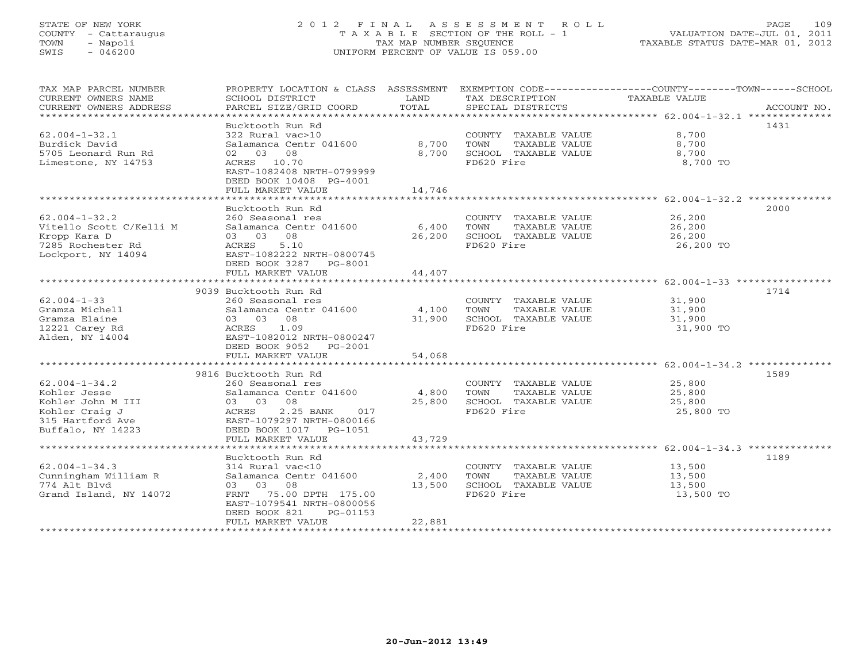# STATE OF NEW YORK 2 0 1 2 F I N A L A S S E S S M E N T R O L L PAGE 109 COUNTY - Cattaraugus T A X A B L E SECTION OF THE ROLL - 1 VALUATION DATE-JUL 01, 2011 TOWN - Napoli TAX MAP NUMBER SEQUENCE TAXABLE STATUS DATE-MAR 01, 2012 SWIS - 046200 UNIFORM PERCENT OF VALUE IS 059.00UNIFORM PERCENT OF VALUE IS 059.00

| TAX MAP PARCEL NUMBER<br>CURRENT OWNERS NAME<br>CURRENT OWNERS ADDRESS                                              | PROPERTY LOCATION & CLASS ASSESSMENT<br>SCHOOL DISTRICT<br>PARCEL SIZE/GRID COORD                                                                                                         | LAND<br>TOTAL             | TAX DESCRIPTION<br>SPECIAL DISTRICTS                                                | EXEMPTION CODE-----------------COUNTY-------TOWN------SCHOOL<br>TAXABLE VALUE<br>ACCOUNT NO. |
|---------------------------------------------------------------------------------------------------------------------|-------------------------------------------------------------------------------------------------------------------------------------------------------------------------------------------|---------------------------|-------------------------------------------------------------------------------------|----------------------------------------------------------------------------------------------|
| $62.004 - 1 - 32.1$<br>Burdick David<br>5705 Leonard Run Rd<br>Limestone, NY 14753                                  | Bucktooth Run Rd<br>322 Rural vac>10<br>Salamanca Centr 041600<br>02 03 08<br>ACRES 10.70<br>EAST-1082408 NRTH-0799999<br>DEED BOOK 10408 PG-4001<br>FULL MARKET VALUE                    | 8,700<br>8,700<br>14,746  | COUNTY TAXABLE VALUE<br>TOWN<br>TAXABLE VALUE<br>SCHOOL TAXABLE VALUE<br>FD620 Fire | 1431<br>8,700<br>8,700<br>8,700<br>8,700 TO                                                  |
| $62.004 - 1 - 32.2$<br>Vitello Scott C/Kelli M<br>Kropp Kara D<br>7285 Rochester Rd<br>Lockport, NY 14094           | Bucktooth Run Rd<br>260 Seasonal res<br>Salamanca Centr 041600<br>03 03 08<br>ACRES<br>5.10<br>EAST-1082222 NRTH-0800745<br>DEED BOOK 3287 PG-8001<br>FULL MARKET VALUE                   | 6,400<br>26,200<br>44,407 | COUNTY TAXABLE VALUE<br>TOWN<br>TAXABLE VALUE<br>SCHOOL TAXABLE VALUE<br>FD620 Fire | 2000<br>26,200<br>26,200<br>26,200<br>26,200 TO                                              |
|                                                                                                                     | ***********************                                                                                                                                                                   | * * * * * * * * * * *     |                                                                                     | ********************* 62.004-1-33 *****************                                          |
| $62.004 - 1 - 33$<br>Gramza Michell<br>Gramza Elaine<br>12221 Carey Rd<br>Alden, NY 14004                           | 9039 Bucktooth Run Rd<br>260 Seasonal res<br>Salamanca Centr 041600<br>03 03<br>08<br>ACRES<br>1.09<br>EAST-1082012 NRTH-0800247<br>DEED BOOK 9052<br>PG-2001                             | 4,100<br>31,900           | COUNTY TAXABLE VALUE<br>TOWN<br>TAXABLE VALUE<br>SCHOOL TAXABLE VALUE<br>FD620 Fire | 1714<br>31,900<br>31,900<br>31,900<br>31,900 TO                                              |
|                                                                                                                     | FULL MARKET VALUE                                                                                                                                                                         | 54,068                    |                                                                                     |                                                                                              |
| $62.004 - 1 - 34.2$<br>Kohler Jesse<br>Kohler John M III<br>Kohler Craig J<br>315 Hartford Ave<br>Buffalo, NY 14223 | 9816 Bucktooth Run Rd<br>260 Seasonal res<br>Salamanca Centr 041600<br>03 03 08<br>ACRES<br>$2.25$ BANK<br>017<br>EAST-1079297 NRTH-0800166<br>DEED BOOK 1017<br>PG-1051                  | 4,800<br>25,800           | COUNTY TAXABLE VALUE<br>TAXABLE VALUE<br>TOWN<br>SCHOOL TAXABLE VALUE<br>FD620 Fire | 1589<br>25,800<br>25,800<br>25,800<br>25,800 TO                                              |
|                                                                                                                     | FULL MARKET VALUE                                                                                                                                                                         | 43,729                    |                                                                                     |                                                                                              |
| $62.004 - 1 - 34.3$<br>Cunningham William R<br>774 Alt Blvd<br>Grand Island, NY 14072                               | Bucktooth Run Rd<br>314 Rural vac<10<br>Salamanca Centr 041600<br>08<br>03 03<br>FRNT<br>75.00 DPTH 175.00<br>EAST-1079541 NRTH-0800056<br>DEED BOOK 821<br>PG-01153<br>FULL MARKET VALUE | 2,400<br>13,500<br>22,881 | COUNTY TAXABLE VALUE<br>TOWN<br>TAXABLE VALUE<br>SCHOOL TAXABLE VALUE<br>FD620 Fire | 1189<br>13,500<br>13,500<br>13,500<br>13,500 TO                                              |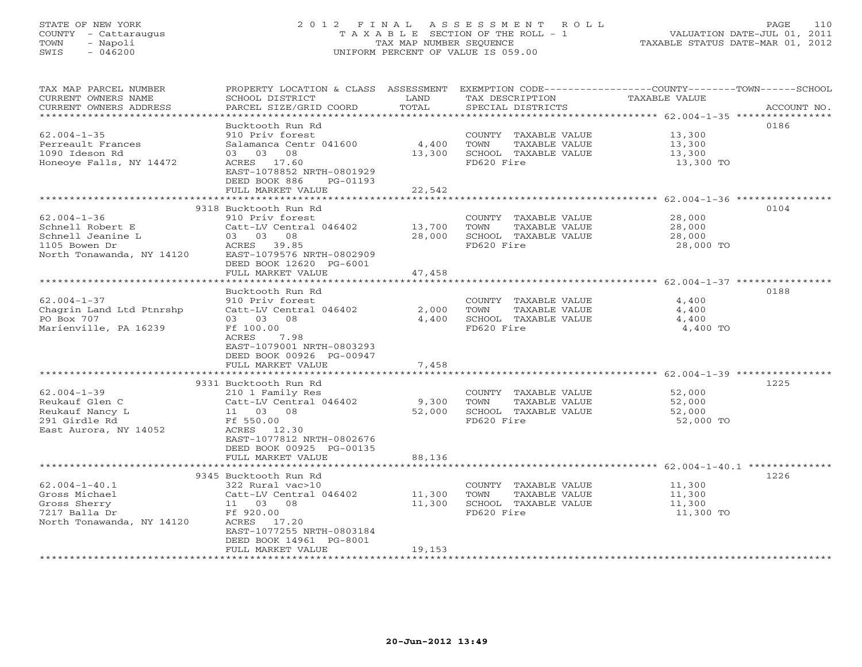# STATE OF NEW YORK 2 0 1 2 F I N A L A S S E S S M E N T R O L L PAGE 110 COUNTY - Cattaraugus T A X A B L E SECTION OF THE ROLL - 1 VALUATION DATE-JUL 01, 2011 TOWN - Napoli TAX MAP NUMBER SEQUENCE TAXABLE STATUS DATE-MAR 01, 2012 SWIS - 046200 UNIFORM PERCENT OF VALUE IS 059.00UNIFORM PERCENT OF VALUE IS 059.00

| TAX MAP PARCEL NUMBER            |                           |        |                                    | PROPERTY LOCATION & CLASS ASSESSMENT EXEMPTION CODE----------------COUNTY-------TOWN------SCHOOL |
|----------------------------------|---------------------------|--------|------------------------------------|--------------------------------------------------------------------------------------------------|
| CURRENT OWNERS NAME              | SCHOOL DISTRICT           | LAND   | TAX DESCRIPTION                    | TAXABLE VALUE                                                                                    |
| CURRENT OWNERS ADDRESS           | PARCEL SIZE/GRID COORD    | TOTAL  | SPECIAL DISTRICTS                  | ACCOUNT NO.                                                                                      |
| **********************           |                           |        |                                    |                                                                                                  |
|                                  | Bucktooth Run Rd          |        |                                    | 0186                                                                                             |
| $62.004 - 1 - 35$                | 910 Priv forest           |        | COUNTY TAXABLE VALUE               | 13,300                                                                                           |
| Perreault Frances                | Salamanca Centr 041600    | 4,400  | TOWN<br>TAXABLE VALUE              | 13,300                                                                                           |
| 1090 Ideson Rd                   | 03 03 08                  | 13,300 | SCHOOL TAXABLE VALUE               | 13,300                                                                                           |
| Honeoye Falls, NY 14472          | ACRES 17.60               |        | FD620 Fire                         | 13,300 TO                                                                                        |
|                                  | EAST-1078852 NRTH-0801929 |        |                                    |                                                                                                  |
|                                  | DEED BOOK 886<br>PG-01193 |        |                                    |                                                                                                  |
|                                  | FULL MARKET VALUE         | 22,542 |                                    |                                                                                                  |
|                                  | 9318 Bucktooth Run Rd     |        |                                    | 0104                                                                                             |
| $62.004 - 1 - 36$                | 910 Priv forest           |        | COUNTY TAXABLE VALUE               | 28,000                                                                                           |
| Schnell Robert E                 | Catt-LV Central 046402    | 13,700 | TOWN<br>TAXABLE VALUE              | 28,000                                                                                           |
| Schnell Jeanine L                | 03 03 08                  | 28,000 | SCHOOL TAXABLE VALUE               | 28,000                                                                                           |
| 1105 Bowen Dr                    | ACRES 39.85               |        | FD620 Fire                         | 28,000 TO                                                                                        |
| North Tonawanda, NY 14120        | EAST-1079576 NRTH-0802909 |        |                                    |                                                                                                  |
|                                  | DEED BOOK 12620 PG-6001   |        |                                    |                                                                                                  |
|                                  | FULL MARKET VALUE         | 47,458 |                                    |                                                                                                  |
|                                  |                           |        |                                    |                                                                                                  |
|                                  | Bucktooth Run Rd          |        |                                    | 0188                                                                                             |
| $62.004 - 1 - 37$                | 910 Priv forest           |        | COUNTY TAXABLE VALUE               | 4,400                                                                                            |
| Chagrin Land Ltd Ptnrshp         | Catt-LV Central 046402    | 2,000  | TOWN<br>TAXABLE VALUE              | 4,400                                                                                            |
| PO Box 707                       | 03 03 08                  | 4,400  | SCHOOL TAXABLE VALUE               | 4,400                                                                                            |
| Marienville, PA 16239            | Ff 100.00                 |        | FD620 Fire                         | 4,400 TO                                                                                         |
|                                  | 7.98<br>ACRES             |        |                                    |                                                                                                  |
|                                  | EAST-1079001 NRTH-0803293 |        |                                    |                                                                                                  |
|                                  | DEED BOOK 00926 PG-00947  |        |                                    |                                                                                                  |
|                                  | FULL MARKET VALUE         | 7,458  |                                    |                                                                                                  |
|                                  |                           |        |                                    |                                                                                                  |
|                                  | 9331 Bucktooth Run Rd     |        |                                    | 1225                                                                                             |
| $62.004 - 1 - 39$                | 210 1 Family Res          |        | COUNTY TAXABLE VALUE               | 52,000                                                                                           |
| Reukauf Glen C                   | Catt-LV Central 046402    | 9,300  | TOWN<br>TAXABLE VALUE              | 52,000                                                                                           |
| Reukauf Nancy L<br>291 Girdle Rd | 11 03 08<br>Ff 550.00     | 52,000 | SCHOOL TAXABLE VALUE<br>FD620 Fire | 52,000<br>52,000 TO                                                                              |
| East Aurora, NY 14052            | ACRES 12.30               |        |                                    |                                                                                                  |
|                                  | EAST-1077812 NRTH-0802676 |        |                                    |                                                                                                  |
|                                  | DEED BOOK 00925 PG-00135  |        |                                    |                                                                                                  |
|                                  | FULL MARKET VALUE         | 88,136 |                                    |                                                                                                  |
|                                  | ************************  |        |                                    |                                                                                                  |
|                                  | 9345 Bucktooth Run Rd     |        |                                    | 1226                                                                                             |
| $62.004 - 1 - 40.1$              | 322 Rural vac>10          |        | COUNTY TAXABLE VALUE               | 11,300                                                                                           |
| Gross Michael                    | Catt-LV Central 046402    | 11,300 | TOWN<br>TAXABLE VALUE              | 11,300                                                                                           |
| Gross Sherry                     | 11 03 08                  | 11,300 | SCHOOL TAXABLE VALUE               | 11,300                                                                                           |
| 7217 Balla Dr                    | Ff 920.00                 |        | FD620 Fire                         | 11,300 TO                                                                                        |
| North Tonawanda, NY 14120        | ACRES 17.20               |        |                                    |                                                                                                  |
|                                  | EAST-1077255 NRTH-0803184 |        |                                    |                                                                                                  |
|                                  | DEED BOOK 14961 PG-8001   |        |                                    |                                                                                                  |
|                                  | FULL MARKET VALUE         | 19,153 |                                    |                                                                                                  |
| *********************            | *********************     |        |                                    |                                                                                                  |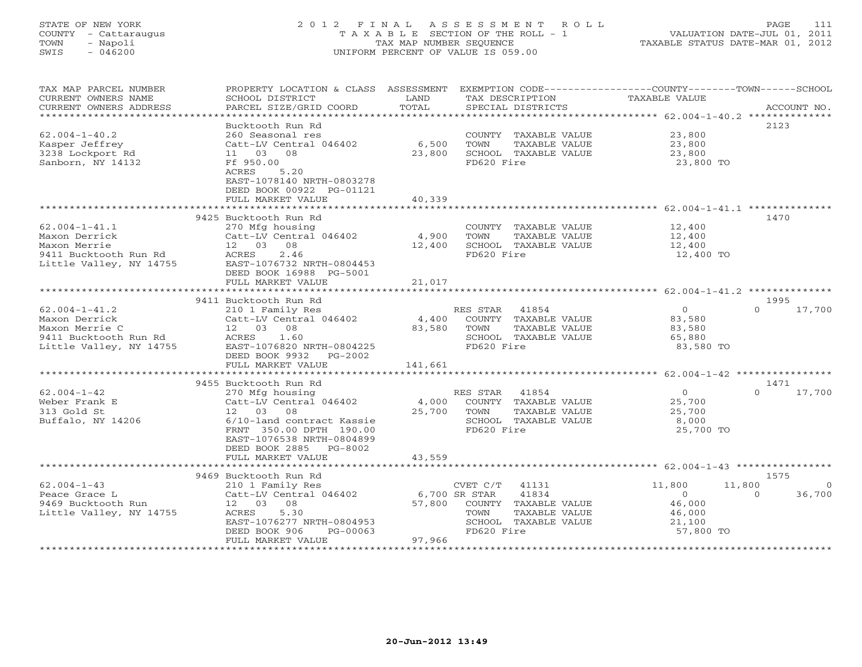# STATE OF NEW YORK 2 0 1 2 F I N A L A S S E S S M E N T R O L L PAGE 111 COUNTY - Cattaraugus T A X A B L E SECTION OF THE ROLL - 1 VALUATION DATE-JUL 01, 2011 TOWN - Napoli TAX MAP NUMBER SEQUENCE TAXABLE STATUS DATE-MAR 01, 2012 SWIS - 046200 UNIFORM PERCENT OF VALUE IS 059.00UNIFORM PERCENT OF VALUE IS 059.00

| TAX MAP PARCEL NUMBER<br>CURRENT OWNERS NAME | PROPERTY LOCATION & CLASS ASSESSMENT<br>SCHOOL DISTRICT | LAND      | TAX DESCRIPTION                    | EXEMPTION CODE-----------------COUNTY-------TOWN------SCHOOL<br>TAXABLE VALUE |                    |
|----------------------------------------------|---------------------------------------------------------|-----------|------------------------------------|-------------------------------------------------------------------------------|--------------------|
| CURRENT OWNERS ADDRESS                       | PARCEL SIZE/GRID COORD                                  | TOTAL     | SPECIAL DISTRICTS                  |                                                                               | ACCOUNT NO.        |
| ************************                     |                                                         |           |                                    |                                                                               |                    |
|                                              | Bucktooth Run Rd                                        |           |                                    |                                                                               | 2123               |
| $62.004 - 1 - 40.2$                          | 260 Seasonal res                                        |           | COUNTY TAXABLE VALUE               | 23,800                                                                        |                    |
| Kasper Jeffrey                               | Catt-LV Central 046402                                  | 6,500     | TOWN<br>TAXABLE VALUE              | 23,800                                                                        |                    |
| 3238 Lockport Rd<br>Sanborn, NY 14132        | 08<br>11 03<br>Ff 950.00                                | 23,800    | SCHOOL TAXABLE VALUE<br>FD620 Fire | 23,800                                                                        |                    |
|                                              | 5.20<br>ACRES                                           |           |                                    | 23,800 TO                                                                     |                    |
|                                              | EAST-1078140 NRTH-0803278                               |           |                                    |                                                                               |                    |
|                                              | DEED BOOK 00922 PG-01121                                |           |                                    |                                                                               |                    |
|                                              | FULL MARKET VALUE                                       | 40,339    |                                    |                                                                               |                    |
|                                              | * * * * * * * * * * * * * * * * * * * *                 |           |                                    | ************************ 62.004-1-41.1 ***************                        |                    |
|                                              | 9425 Bucktooth Run Rd                                   |           |                                    |                                                                               | 1470               |
| $62.004 - 1 - 41.1$                          | 270 Mfg housing                                         |           | COUNTY TAXABLE VALUE               | 12,400                                                                        |                    |
| Maxon Derrick                                | Catt-LV Central 046402                                  | 4,900     | TOWN<br>TAXABLE VALUE              | 12,400                                                                        |                    |
| Maxon Merrie                                 | 12 03 08                                                | 12,400    | SCHOOL TAXABLE VALUE               | 12,400                                                                        |                    |
| 9411 Bucktooth Run Rd                        | 2.46<br>ACRES                                           |           | FD620 Fire                         | 12,400 TO                                                                     |                    |
| Little Valley, NY 14755                      | EAST-1076732 NRTH-0804453                               |           |                                    |                                                                               |                    |
|                                              | DEED BOOK 16988 PG-5001                                 |           |                                    |                                                                               |                    |
|                                              | FULL MARKET VALUE                                       | 21,017    |                                    |                                                                               |                    |
|                                              |                                                         | ********* |                                    | ******************************* 62.004-1-41.2 **************                  |                    |
|                                              | 9411 Bucktooth Run Rd                                   |           |                                    |                                                                               | 1995               |
| $62.004 - 1 - 41.2$                          | 210 1 Family Res                                        |           | RES STAR<br>41854                  | $\overline{0}$                                                                | 17,700<br>$\Omega$ |
| Maxon Derrick                                | Catt-LV Central 046402                                  | 4,400     | COUNTY TAXABLE VALUE               | 83,580                                                                        |                    |
| Maxon Merrie C                               | 12 03<br>08                                             | 83,580    | TOWN<br>TAXABLE VALUE              | 83,580                                                                        |                    |
| 9411 Bucktooth Run Rd                        | ACRES<br>1.60                                           |           | SCHOOL TAXABLE VALUE               | 65,880                                                                        |                    |
| Little Valley, NY 14755                      | EAST-1076820 NRTH-0804225                               |           | FD620 Fire                         | 83,580 TO                                                                     |                    |
|                                              | DEED BOOK 9932<br>PG-2002                               |           |                                    |                                                                               |                    |
|                                              | FULL MARKET VALUE                                       | 141,661   |                                    |                                                                               |                    |
|                                              |                                                         |           |                                    |                                                                               |                    |
|                                              | 9455 Bucktooth Run Rd                                   |           |                                    |                                                                               | 1471               |
| $62.004 - 1 - 42$                            | 270 Mfg housing                                         |           | RES STAR<br>41854                  | $\circ$                                                                       | $\Omega$<br>17,700 |
| Weber Frank E                                | Catt-LV Central 046402                                  | 4,000     | COUNTY TAXABLE VALUE               | 25,700                                                                        |                    |
| 313 Gold St                                  | 12 03<br>08                                             | 25,700    | TOWN<br>TAXABLE VALUE              | 25,700                                                                        |                    |
| Buffalo, NY 14206                            | 6/10-land contract Kassie                               |           | SCHOOL TAXABLE VALUE               | 8,000                                                                         |                    |
|                                              | FRNT 350.00 DPTH 190.00                                 |           | FD620 Fire                         | 25,700 TO                                                                     |                    |
|                                              | EAST-1076538 NRTH-0804899                               |           |                                    |                                                                               |                    |
|                                              | DEED BOOK 2885<br>PG-8002                               |           |                                    |                                                                               |                    |
|                                              | FULL MARKET VALUE                                       | 43,559    |                                    | ******* 62.004-1-43 ***************                                           |                    |
|                                              | 9469 Bucktooth Run Rd                                   |           |                                    |                                                                               | 1575               |
| $62.004 - 1 - 43$                            | 210 1 Family Res                                        |           | CVET C/T<br>41131                  | 11,800<br>11,800                                                              | $\circ$            |
| Peace Grace L                                | Catt-LV Central 046402                                  |           | 6,700 SR STAR<br>41834             | $\circ$                                                                       | 36,700<br>$\Omega$ |
| 9469 Bucktooth Run                           | 12 03 08                                                | 57,800    | COUNTY TAXABLE VALUE               | 46,000                                                                        |                    |
| Little Valley, NY 14755                      | 5.30<br>ACRES                                           |           | TAXABLE VALUE<br>TOWN              | 46,000                                                                        |                    |
|                                              | EAST-1076277 NRTH-0804953                               |           | SCHOOL TAXABLE VALUE               | 21,100                                                                        |                    |
|                                              | DEED BOOK 906<br>$PG-00063$                             |           | FD620 Fire                         | 57,800 TO                                                                     |                    |
|                                              | FULL MARKET VALUE                                       | 97,966    |                                    |                                                                               |                    |
|                                              |                                                         |           |                                    |                                                                               |                    |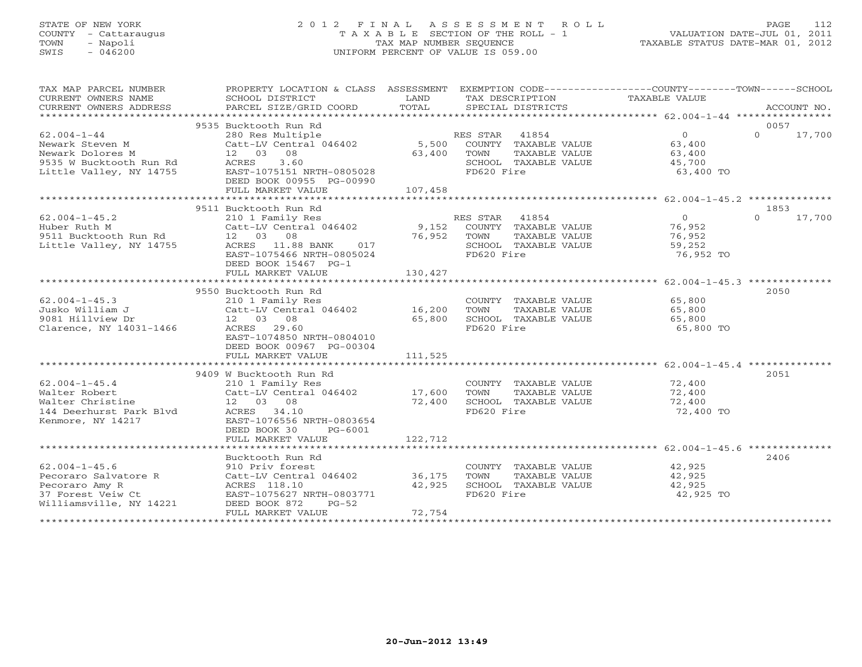# STATE OF NEW YORK 2 0 1 2 F I N A L A S S E S S M E N T R O L L PAGE 112 COUNTY - Cattaraugus T A X A B L E SECTION OF THE ROLL - 1 VALUATION DATE-JUL 01, 2011 TOWN - Napoli TAX MAP NUMBER SEQUENCE TAXABLE STATUS DATE-MAR 01, 2012 SWIS - 046200 UNIFORM PERCENT OF VALUE IS 059.00UNIFORM PERCENT OF VALUE IS 059.00

| TAX MAP PARCEL NUMBER<br>CURRENT OWNERS NAME<br>CURRENT OWNERS ADDRESS                                         | PROPERTY LOCATION & CLASS ASSESSMENT<br>SCHOOL DISTRICT<br>PARCEL SIZE/GRID COORD                                                                                             | LAND<br>TOTAL               | EXEMPTION CODE-----------------COUNTY-------TOWN------SCHOOL<br>TAX DESCRIPTION<br>SPECIAL DISTRICTS     | TAXABLE VALUE                                                                    | ACCOUNT NO.                |
|----------------------------------------------------------------------------------------------------------------|-------------------------------------------------------------------------------------------------------------------------------------------------------------------------------|-----------------------------|----------------------------------------------------------------------------------------------------------|----------------------------------------------------------------------------------|----------------------------|
|                                                                                                                |                                                                                                                                                                               |                             |                                                                                                          |                                                                                  |                            |
| $62.004 - 1 - 44$<br>Newark Steven M<br>Newark Dolores M<br>9535 W Bucktooth Run Rd<br>Little Valley, NY 14755 | 9535 Bucktooth Run Rd<br>280 Res Multiple<br>Catt-LV Central 046402 5,500<br>12 03 08<br>3.60<br>ACRES<br>EAST-1075151 NRTH-0805028<br>DEED BOOK 00955 PG-00990               | 63,400                      | RES STAR<br>41854<br>COUNTY TAXABLE VALUE<br>TOWN<br>TAXABLE VALUE<br>SCHOOL TAXABLE VALUE<br>FD620 Fire | 0<br>63,400<br>63,400<br>45,700<br>63,400 TO                                     | 0057<br>$\Omega$<br>17,700 |
|                                                                                                                | FULL MARKET VALUE                                                                                                                                                             | 107,458                     |                                                                                                          |                                                                                  |                            |
|                                                                                                                |                                                                                                                                                                               |                             |                                                                                                          |                                                                                  |                            |
| $62.004 - 1 - 45.2$<br>Huber Ruth M<br>9511 Bucktooth Run Rd<br>Little Valley, NY 14755                        | 9511 Bucktooth Run Rd<br>210 1 Family Res<br>Catt-LV Central 046402<br>12 03 08<br>ACRES 11.88 BANK<br>017<br>EAST-1075466 NRTH-0805024<br>DEED BOOK 15467 PG-1               | 76,952 TOWN                 | RES STAR 41854<br>9,152 COUNTY TAXABLE VALUE<br>TAXABLE VALUE<br>SCHOOL TAXABLE VALUE<br>FD620 Fire      | 0<br>76,952<br>76,952<br>59,252<br>76,952 TO                                     | 1853<br>$\Omega$<br>17,700 |
|                                                                                                                | FULL MARKET VALUE                                                                                                                                                             | 130,427                     |                                                                                                          |                                                                                  |                            |
| $62.004 - 1 - 45.3$<br>Jusko William J<br>9081 Hillview Dr<br>Clarence, NY 14031-1466                          | 9550 Bucktooth Run Rd<br>210 1 Family Res<br>Catt-LV Central 046402 16,200<br>12 03 08<br>ACRES 29.60<br>EAST-1074850 NRTH-0804010                                            | 65,800                      | COUNTY TAXABLE VALUE<br>TOWN<br>TAXABLE VALUE<br>SCHOOL TAXABLE VALUE<br>FD620 Fire                      | 65,800<br>65,800<br>65,800<br>65,800 TO                                          | 2050                       |
|                                                                                                                | DEED BOOK 00967 PG-00304<br>FULL MARKET VALUE                                                                                                                                 | 111,525                     |                                                                                                          |                                                                                  |                            |
|                                                                                                                |                                                                                                                                                                               |                             |                                                                                                          |                                                                                  |                            |
| $62.004 - 1 - 45.4$<br>Walter Robert<br>Walter Christine<br>144 Deerhurst Park Blyd<br>Kenmore, NY 14217       | 9409 W Bucktooth Run Rd<br>210 1 Family Res<br>Catt-LV Central 046402<br>12 03 08<br>ACRES 34.10<br>EAST-1076556 NRTH-0803654<br>DEED BOOK 30<br>PG-6001<br>FULL MARKET VALUE | 17,600<br>72,400<br>122,712 | COUNTY TAXABLE VALUE<br>TAXABLE VALUE<br>TOWN<br>SCHOOL TAXABLE VALUE<br>FD620 Fire                      | 72,400<br>72,400<br>72,400<br>72,400 TO                                          | 2051                       |
|                                                                                                                |                                                                                                                                                                               |                             |                                                                                                          | ************************************62.004-1-45.6 ****************************** |                            |
| $62.004 - 1 - 45.6$<br>Pecoraro Salvatore R<br>Pecoraro Amy R<br>37 Forest Veiw Ct<br>Williamsville, NY 14221  | Bucktooth Run Rd<br>910 Priv forest<br>Catt-LV Central 046402<br>ACRES 118.10<br>EAST-1075627 NRTH-0803771<br>DEED BOOK 872<br>$PG-52$<br>FULL MARKET VALUE                   | 36,175<br>42,925<br>72,754  | COUNTY TAXABLE VALUE<br>TAXABLE VALUE<br>TOWN<br>SCHOOL TAXABLE VALUE<br>FD620 Fire                      | 42,925<br>42,925<br>42,925<br>42,925 TO                                          | 2406                       |
|                                                                                                                |                                                                                                                                                                               |                             |                                                                                                          |                                                                                  |                            |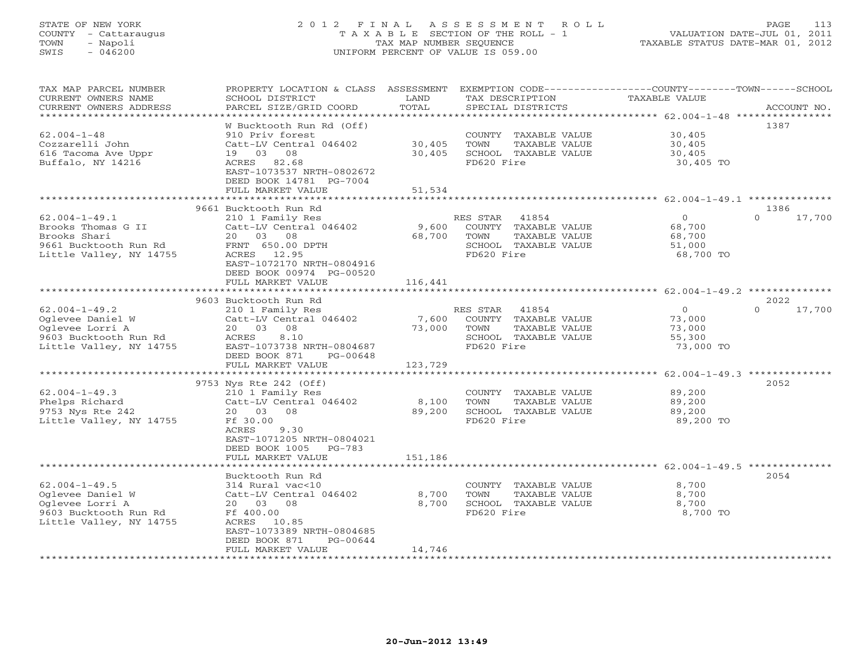# STATE OF NEW YORK 2 0 1 2 F I N A L A S S E S S M E N T R O L L PAGE 113 COUNTY - Cattaraugus T A X A B L E SECTION OF THE ROLL - 1 VALUATION DATE-JUL 01, 2011 TOWN - Napoli TAX MAP NUMBER SEQUENCE TAXABLE STATUS DATE-MAR 01, 2012 SWIS - 046200 UNIFORM PERCENT OF VALUE IS 059.00UNIFORM PERCENT OF VALUE IS 059.00

| TAX MAP PARCEL NUMBER   | PROPERTY LOCATION & CLASS ASSESSMENT |              | EXEMPTION CODE----------------COUNTY-------TOWN-----SCHOOL |                                                         |                    |
|-------------------------|--------------------------------------|--------------|------------------------------------------------------------|---------------------------------------------------------|--------------------|
| CURRENT OWNERS NAME     | SCHOOL DISTRICT                      | LAND         | TAX DESCRIPTION                                            | TAXABLE VALUE                                           |                    |
| CURRENT OWNERS ADDRESS  | PARCEL SIZE/GRID COORD               | TOTAL        | SPECIAL DISTRICTS                                          |                                                         | ACCOUNT NO.        |
|                         |                                      |              |                                                            |                                                         |                    |
|                         | W Bucktooth Run Rd (Off)             |              |                                                            |                                                         | 1387               |
| $62.004 - 1 - 48$       | 910 Priv forest                      |              | COUNTY TAXABLE VALUE                                       | 30,405                                                  |                    |
| Cozzarelli John         | Catt-LV Central 046402               | 30,405       | TOWN<br>TAXABLE VALUE                                      | 30,405                                                  |                    |
| 616 Tacoma Ave Uppr     | 19 03<br>08                          | 30,405       | SCHOOL TAXABLE VALUE                                       | 30,405                                                  |                    |
| Buffalo, NY 14216       | ACRES<br>82.68                       |              | FD620 Fire                                                 | 30,405 TO                                               |                    |
|                         | EAST-1073537 NRTH-0802672            |              |                                                            |                                                         |                    |
|                         | DEED BOOK 14781 PG-7004              |              |                                                            |                                                         |                    |
|                         | FULL MARKET VALUE                    | 51,534       |                                                            |                                                         |                    |
|                         |                                      | ************ |                                                            | ***************************** 62.004-1-49.1 ********    |                    |
|                         | 9661 Bucktooth Run Rd                |              |                                                            |                                                         | 1386               |
| $62.004 - 1 - 49.1$     | 210 1 Family Res                     |              | 41854<br>RES STAR                                          | $\circ$                                                 | $\Omega$<br>17,700 |
| Brooks Thomas G II      | Catt-LV Central 046402               | 9,600        | COUNTY TAXABLE VALUE                                       | 68,700                                                  |                    |
| Brooks Shari            | 20 03<br>08                          |              | TOWN                                                       |                                                         |                    |
|                         |                                      | 68,700       | TAXABLE VALUE                                              | 68,700                                                  |                    |
| 9661 Bucktooth Run Rd   | FRNT 650.00 DPTH                     |              | SCHOOL TAXABLE VALUE                                       | 51,000                                                  |                    |
| Little Valley, NY 14755 | ACRES 12.95                          |              | FD620 Fire                                                 | 68,700 TO                                               |                    |
|                         | EAST-1072170 NRTH-0804916            |              |                                                            |                                                         |                    |
|                         | DEED BOOK 00974 PG-00520             |              |                                                            |                                                         |                    |
|                         | FULL MARKET VALUE                    | 116,441      |                                                            |                                                         |                    |
|                         |                                      |              |                                                            |                                                         |                    |
|                         | 9603 Bucktooth Run Rd                |              |                                                            |                                                         | 2022               |
| $62.004 - 1 - 49.2$     | 210 1 Family Res                     |              | RES STAR<br>41854                                          | $\mathbf{0}$                                            | $\Omega$<br>17,700 |
| Oglevee Daniel W        | Catt-LV Central 046402               | 7,600        | COUNTY TAXABLE VALUE                                       | 73,000                                                  |                    |
| Oglevee Lorri A         | 20 03 08                             | 73,000       | TOWN<br>TAXABLE VALUE                                      | 73,000                                                  |                    |
| 9603 Bucktooth Run Rd   | ACRES<br>8.10                        |              | SCHOOL TAXABLE VALUE                                       | 55,300                                                  |                    |
| Little Valley, NY 14755 | EAST-1073738 NRTH-0804687            |              | FD620 Fire                                                 | 73,000 TO                                               |                    |
|                         | DEED BOOK 871<br>PG-00648            |              |                                                            |                                                         |                    |
|                         | FULL MARKET VALUE                    | 123,729      |                                                            |                                                         |                    |
|                         |                                      |              |                                                            |                                                         |                    |
|                         | 9753 Nys Rte 242 (Off)               |              |                                                            |                                                         | 2052               |
| $62.004 - 1 - 49.3$     | 210 1 Family Res                     |              | COUNTY TAXABLE VALUE                                       | 89,200                                                  |                    |
| Phelps Richard          | Catt-LV Central 046402               | 8,100        | TOWN<br>TAXABLE VALUE                                      | 89,200                                                  |                    |
| 9753 Nys Rte 242        | 20 03<br>08                          | 89,200       | SCHOOL TAXABLE VALUE                                       | 89,200                                                  |                    |
| Little Valley, NY 14755 | Ff 30.00                             |              | FD620 Fire                                                 | 89,200 TO                                               |                    |
|                         | ACRES<br>9.30                        |              |                                                            |                                                         |                    |
|                         | EAST-1071205 NRTH-0804021            |              |                                                            |                                                         |                    |
|                         | DEED BOOK 1005<br>$PG-783$           |              |                                                            |                                                         |                    |
|                         | FULL MARKET VALUE                    | 151,186      |                                                            |                                                         |                    |
|                         | *********************                | ************ |                                                            | ******************************** 62.004-1-49.5 ******** |                    |
|                         | Bucktooth Run Rd                     |              |                                                            |                                                         | 2054               |
| $62.004 - 1 - 49.5$     | 314 Rural vac<10                     |              | COUNTY TAXABLE VALUE                                       | 8,700                                                   |                    |
| Oglevee Daniel W        | Catt-LV Central 046402               | 8,700        | TOWN<br>TAXABLE VALUE                                      | 8,700                                                   |                    |
| Oglevee Lorri A         | 20 03<br>08                          | 8,700        | SCHOOL TAXABLE VALUE                                       | 8,700                                                   |                    |
| 9603 Bucktooth Run Rd   | Ff 400.00                            |              | FD620 Fire                                                 | 8,700 TO                                                |                    |
| Little Valley, NY 14755 | ACRES<br>10.85                       |              |                                                            |                                                         |                    |
|                         | EAST-1073389 NRTH-0804685            |              |                                                            |                                                         |                    |
|                         | DEED BOOK 871<br>PG-00644            |              |                                                            |                                                         |                    |
|                         | FULL MARKET VALUE                    | 14,746       |                                                            |                                                         |                    |
|                         |                                      |              |                                                            |                                                         |                    |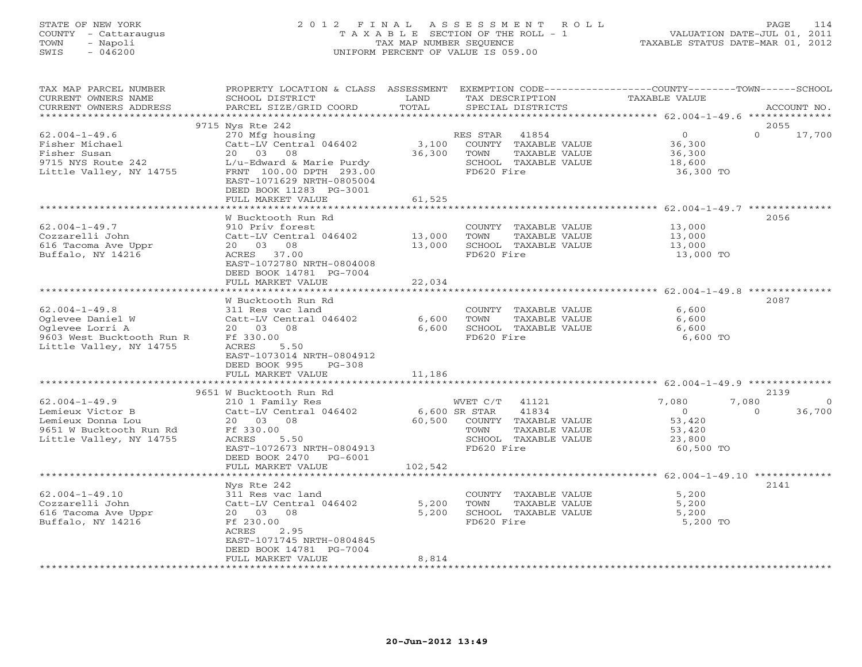# STATE OF NEW YORK 2 0 1 2 F I N A L A S S E S S M E N T R O L L PAGE 114 COUNTY - Cattaraugus T A X A B L E SECTION OF THE ROLL - 1 VALUATION DATE-JUL 01, 2011 TOWN - Napoli TAX MAP NUMBER SEQUENCE TAXABLE STATUS DATE-MAR 01, 2012 SWIS - 046200 UNIFORM PERCENT OF VALUE IS 059.00UNIFORM PERCENT OF VALUE IS 059.00

| TAX MAP PARCEL NUMBER<br>CURRENT OWNERS NAME<br>CURRENT OWNERS ADDRESS                                             | PROPERTY LOCATION & CLASS ASSESSMENT<br>SCHOOL DISTRICT<br>PARCEL SIZE/GRID COORD                                                                                                           | LAND<br>TOTAL                                             | TAX DESCRIPTION<br>SPECIAL DISTRICTS                                                                              | EXEMPTION CODE-----------------COUNTY-------TOWN------SCHOOL<br>TAXABLE VALUE | ACCOUNT NO.                    |
|--------------------------------------------------------------------------------------------------------------------|---------------------------------------------------------------------------------------------------------------------------------------------------------------------------------------------|-----------------------------------------------------------|-------------------------------------------------------------------------------------------------------------------|-------------------------------------------------------------------------------|--------------------------------|
| ******************                                                                                                 | ***********************                                                                                                                                                                     |                                                           |                                                                                                                   |                                                                               |                                |
| $62.004 - 1 - 49.6$<br>Fisher Michael<br>Fisher Susan<br>9715 NYS Route 242<br>Little Valley, NY 14755             | 9715 Nys Rte 242<br>270 Mfg housing<br>Catt-LV Central 046402<br>20 03 08<br>L/u-Edward & Marie Purdy<br>FRNT 100.00 DPTH 293.00<br>EAST-1071629 NRTH-0805004<br>DEED BOOK 11283 PG-3001    | 3,100<br>36,300                                           | 41854<br>RES STAR<br>COUNTY TAXABLE VALUE<br>TOWN<br>TAXABLE VALUE<br>SCHOOL TAXABLE VALUE<br>FD620 Fire          | 0<br>36,300<br>36,300<br>18,600<br>36,300 TO                                  | 2055<br>$\Omega$<br>17,700     |
|                                                                                                                    | FULL MARKET VALUE                                                                                                                                                                           | 61,525                                                    |                                                                                                                   |                                                                               |                                |
| $62.004 - 1 - 49.7$<br>Cozzarelli John<br>616 Tacoma Ave Uppr<br>Buffalo, NY 14216                                 | W Bucktooth Run Rd<br>910 Priv forest<br>Catt-LV Central 046402<br>20 03 08<br>ACRES 37.00<br>EAST-1072780 NRTH-0804008<br>DEED BOOK 14781 PG-7004<br>FULL MARKET VALUE                     | * * * * * * * * * * * * * *<br>13,000<br>13,000<br>22,034 | COUNTY TAXABLE VALUE<br>TOWN<br>TAXABLE VALUE<br>SCHOOL TAXABLE VALUE<br>FD620 Fire                               | 13,000<br>13,000<br>13,000<br>13,000 TO                                       | 2056                           |
|                                                                                                                    | ***************************                                                                                                                                                                 | *************                                             |                                                                                                                   |                                                                               |                                |
| $62.004 - 1 - 49.8$<br>Oglevee Daniel W<br>Oglevee Lorri A<br>9603 West Bucktooth Run R<br>Little Valley, NY 14755 | W Bucktooth Run Rd<br>311 Res vac land<br>Catt-LV Central 046402<br>20  03  08<br>Ff 330.00<br>ACRES<br>5.50<br>EAST-1073014 NRTH-0804912<br>DEED BOOK 995<br>$PG-308$<br>FULL MARKET VALUE | 6,600<br>6,600<br>11,186                                  | COUNTY TAXABLE VALUE<br>TOWN<br>TAXABLE VALUE<br>SCHOOL TAXABLE VALUE<br>FD620 Fire                               | 6,600<br>6,600<br>6,600<br>6,600 TO                                           | 2087                           |
|                                                                                                                    |                                                                                                                                                                                             |                                                           |                                                                                                                   |                                                                               | 2139                           |
| $62.004 - 1 - 49.9$<br>Lemieux Victor B<br>Lemieux Donna Lou<br>9651 W Bucktooth Run Rd<br>Little Valley, NY 14755 | 9651 W Bucktooth Run Rd<br>210 1 Family Res<br>Catt-LV Central 046402<br>20 03 08<br>Ff 330.00<br>ACRES<br>5.50<br>EAST-1072673 NRTH-0804913<br>DEED BOOK 2470 PG-6001                      | 6,600 SR STAR<br>60,500                                   | WVET C/T<br>41121<br>41834<br>COUNTY TAXABLE VALUE<br>TOWN<br>TAXABLE VALUE<br>SCHOOL TAXABLE VALUE<br>FD620 Fire | 7,080<br>7,080<br>$\overline{O}$<br>53,420<br>53,420<br>23,800<br>60,500 TO   | $\Omega$<br>36,700<br>$\Omega$ |
|                                                                                                                    | FULL MARKET VALUE                                                                                                                                                                           | 102,542                                                   |                                                                                                                   |                                                                               |                                |
| $62.004 - 1 - 49.10$<br>Cozzarelli John<br>616 Tacoma Ave Uppr<br>Buffalo, NY 14216                                | Nys Rte 242<br>311 Res vac land<br>Catt-LV Central 046402<br>20  03  08<br>Ff 230.00<br>2.95<br>ACRES<br>EAST-1071745 NRTH-0804845<br>DEED BOOK 14781 PG-7004<br>FULL MARKET VALUE          | 5,200<br>5,200<br>8,814                                   | COUNTY TAXABLE VALUE<br>TOWN<br>TAXABLE VALUE<br>SCHOOL TAXABLE VALUE<br>FD620 Fire                               | 5,200<br>5,200<br>5,200<br>5,200 TO                                           | 2141                           |
|                                                                                                                    |                                                                                                                                                                                             |                                                           |                                                                                                                   |                                                                               |                                |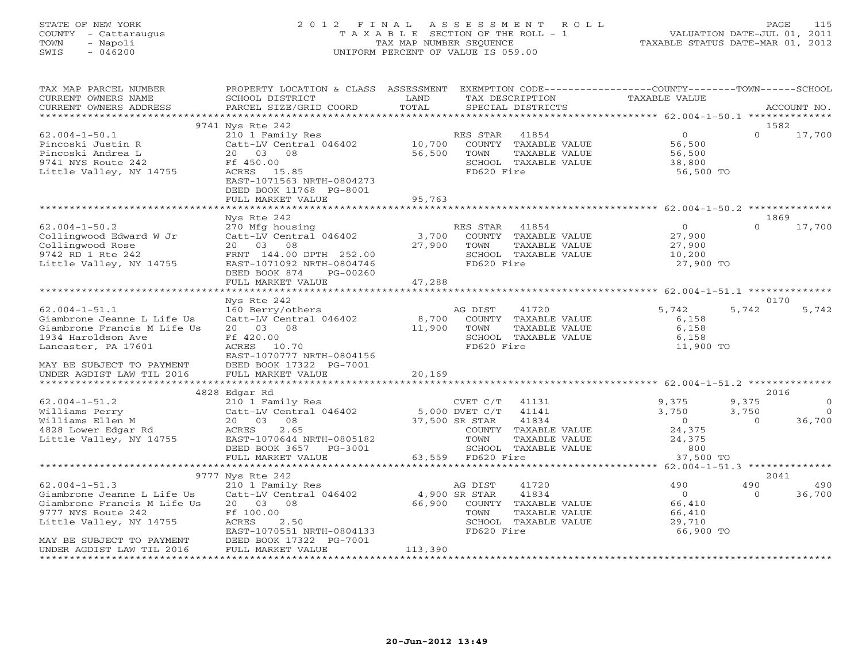# STATE OF NEW YORK 2 0 1 2 F I N A L A S S E S S M E N T R O L L PAGE 115 COUNTY - Cattaraugus T A X A B L E SECTION OF THE ROLL - 1 VALUATION DATE-JUL 01, 2011 TOWN - Napoli TAX MAP NUMBER SEQUENCE TAXABLE STATUS DATE-MAR 01, 2012 SWIS - 046200 UNIFORM PERCENT OF VALUE IS 059.00UNIFORM PERCENT OF VALUE IS 059.00

| TAX MAP PARCEL NUMBER<br>CURRENT OWNERS NAME<br>CURRENT OWNERS ADDRESS                                                                                                                      | PROPERTY LOCATION & CLASS ASSESSMENT<br>SCHOOL DISTRICT<br>PARCEL SIZE/GRID COORD                                                                                                     | LAND<br>TOTAL                      | TAX DESCRIPTION<br>SPECIAL DISTRICTS                                                                                            |               | EXEMPTION CODE-----------------COUNTY-------TOWN------SCHOOL<br>TAXABLE VALUE |                            | ACCOUNT NO.                             |
|---------------------------------------------------------------------------------------------------------------------------------------------------------------------------------------------|---------------------------------------------------------------------------------------------------------------------------------------------------------------------------------------|------------------------------------|---------------------------------------------------------------------------------------------------------------------------------|---------------|-------------------------------------------------------------------------------|----------------------------|-----------------------------------------|
|                                                                                                                                                                                             |                                                                                                                                                                                       |                                    |                                                                                                                                 |               |                                                                               |                            |                                         |
| $62.004 - 1 - 50.1$<br>Pincoski Justin R<br>Pincoski Andrea L<br>9741 NYS Route 242<br>Little Valley, NY 14755                                                                              | 9741 Nys Rte 242<br>210 1 Family Res<br>Catt-LV Central 046402<br>20  03  08<br>Ff 450.00<br>ACRES 15.85<br>EAST-1071563 NRTH-0804273<br>DEED BOOK 11768 PG-8001<br>FULL MARKET VALUE | 10,700<br>56,500<br>95,763         | RES STAR<br>41854<br>COUNTY TAXABLE VALUE<br>TOWN<br>SCHOOL TAXABLE VALUE<br>FD620 Fire                                         | TAXABLE VALUE | $\overline{0}$<br>56,500<br>56,500<br>38,800<br>56,500 TO                     | 1582<br>$\Omega$           | 17,700                                  |
|                                                                                                                                                                                             | Nys Rte 242                                                                                                                                                                           |                                    |                                                                                                                                 |               |                                                                               | 1869                       |                                         |
| $62.004 - 1 - 50.2$<br>Collingwood Edward W Jr<br>Collingwood Rose<br>9742 RD 1 Rte 242<br>Little Valley, NY 14755                                                                          | 270 Mfg housing<br>Catt-LV Central 046402<br>20  03  08<br>FRNT 144.00 DPTH 252.00<br>EAST-1071092 NRTH-0804746<br>DEED BOOK 874<br>PG-00260<br>FULL MARKET VALUE                     | 3,700<br>27,900<br>47,288          | RES STAR<br>41854<br>COUNTY TAXABLE VALUE<br>TOWN<br>SCHOOL TAXABLE VALUE<br>FD620 Fire                                         | TAXABLE VALUE | $\overline{O}$<br>27,900<br>27,900<br>10,200<br>27,900 TO                     | $\Omega$                   | 17,700                                  |
|                                                                                                                                                                                             |                                                                                                                                                                                       |                                    |                                                                                                                                 |               |                                                                               |                            |                                         |
|                                                                                                                                                                                             | Nys Rte 242                                                                                                                                                                           |                                    |                                                                                                                                 |               |                                                                               | 0170                       |                                         |
| $62.004 - 1 - 51.1$<br>Giambrone Jeanne L Life Us<br>Giambrone Francis M Life Us<br>1934 Haroldson Ave<br>Lancaster, PA 17601<br>MAY BE SUBJECT TO PAYMENT                                  | 160 Berry/others<br>Catt-LV Central 046402<br>20 03 08<br>Ff 420.00<br>10.70<br>ACRES<br>EAST-1070777 NRTH-0804156<br>DEED BOOK 17322 PG-7001                                         | 8,700<br>11,900                    | AG DIST<br>41720<br>COUNTY TAXABLE VALUE<br>TOWN<br>SCHOOL TAXABLE VALUE<br>FD620 Fire                                          | TAXABLE VALUE | 5,742<br>6,158<br>6,158<br>6,158<br>11,900 TO                                 | 5,742                      | 5,742                                   |
| UNDER AGDIST LAW TIL 2016                                                                                                                                                                   | FULL MARKET VALUE                                                                                                                                                                     | 20,169                             |                                                                                                                                 |               |                                                                               |                            |                                         |
|                                                                                                                                                                                             |                                                                                                                                                                                       |                                    |                                                                                                                                 |               |                                                                               |                            |                                         |
| $62.004 - 1 - 51.2$<br>Williams Perry<br>Williams Ellen M<br>4828 Lower Edgar Rd<br>Little Valley, NY 14755                                                                                 | 4828 Edgar Rd<br>210 1 Family Res<br>Catt-LV Central 046402<br>20  03  08<br>2.65<br>ACRES<br>EAST-1070644 NRTH-0805182<br>DEED BOOK 3657 PG-3001                                     |                                    | CVET C/T<br>41131<br>5,000 DVET C/T<br>41141<br>41834<br>37,500 SR STAR<br>COUNTY TAXABLE VALUE<br>TOWN<br>SCHOOL TAXABLE VALUE | TAXABLE VALUE | 9,375<br>3,750<br>$\overline{0}$<br>24,375<br>24,375<br>800                   | 9,375<br>3,750<br>$\Omega$ | 2016<br>$\circ$<br>$\bigcirc$<br>36,700 |
|                                                                                                                                                                                             | FULL MARKET VALUE<br>************************                                                                                                                                         | 63,559                             | FD620 Fire                                                                                                                      |               | 37,500 TO                                                                     |                            |                                         |
|                                                                                                                                                                                             | 9777 Nys Rte 242                                                                                                                                                                      |                                    |                                                                                                                                 |               |                                                                               |                            | 2041                                    |
| $62.004 - 1 - 51.3$<br>Giambrone Jeanne L Life Us<br>Giambrone Francis M Life Us<br>9777 NYS Route 242<br>Little Valley, NY 14755<br>MAY BE SUBJECT TO PAYMENT<br>UNDER AGDIST LAW TIL 2016 | 210 1 Family Res<br>Catt-LV Central 046402<br>20 03 08<br>Ff 100.00<br>ACRES<br>2.50<br>EAST-1070551 NRTH-0804133<br>DEED BOOK 17322 PG-7001<br>FULL MARKET VALUE                     | 4,900 SR STAR<br>66,900<br>113,390 | 41720<br>AG DIST<br>41834<br>COUNTY TAXABLE VALUE<br>TOWN<br>SCHOOL TAXABLE VALUE<br>FD620 Fire                                 | TAXABLE VALUE | 490<br>$\overline{0}$<br>66,410<br>66,410<br>29,710<br>66,900 TO              | 490<br>$\Omega$            | 490<br>36,700                           |
|                                                                                                                                                                                             |                                                                                                                                                                                       |                                    |                                                                                                                                 |               |                                                                               |                            |                                         |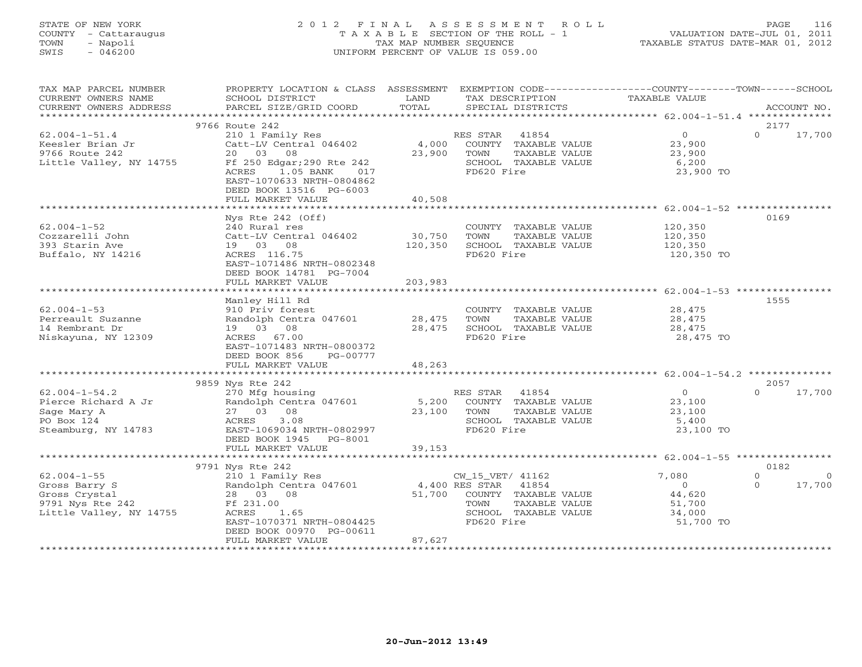## STATE OF NEW YORK 2 0 1 2 F I N A L A S S E S S M E N T R O L L PAGE 116 COUNTY - Cattaraugus T A X A B L E SECTION OF THE ROLL - 1 VALUATION DATE-JUL 01, 2011 TOWN - Napoli TAX MAP NUMBER SEQUENCE TAXABLE STATUS DATE-MAR 01, 2012 SWIS - 046200 UNIFORM PERCENT OF VALUE IS 059.00UNIFORM PERCENT OF VALUE IS 059.00

| TAX MAP PARCEL NUMBER<br>CURRENT OWNERS NAME<br>CURRENT OWNERS ADDRESS                             | PROPERTY LOCATION & CLASS ASSESSMENT<br>SCHOOL DISTRICT<br>PARCEL SIZE/GRID COORD                                                                                           | LAND<br>TOTAL            | EXEMPTION CODE-----------------COUNTY-------TOWN------SCHOOL<br>TAX DESCRIPTION<br>SPECIAL DISTRICTS             | TAXABLE VALUE                                                | ACCOUNT NO.                                |
|----------------------------------------------------------------------------------------------------|-----------------------------------------------------------------------------------------------------------------------------------------------------------------------------|--------------------------|------------------------------------------------------------------------------------------------------------------|--------------------------------------------------------------|--------------------------------------------|
|                                                                                                    |                                                                                                                                                                             |                          |                                                                                                                  |                                                              |                                            |
|                                                                                                    | 9766 Route 242                                                                                                                                                              |                          |                                                                                                                  |                                                              | 2177                                       |
| $62.004 - 1 - 51.4$<br>Keesler Brian Jr<br>9766 Route 242<br>Little Valley, NY 14755               | 210 1 Family Res<br>Catt-LV Central 046402<br>20 03<br>08<br>Ff 250 Edgar; 290 Rte 242<br>1.05 BANK<br>ACRES<br>017<br>EAST-1070633 NRTH-0804862<br>DEED BOOK 13516 PG-6003 | 4,000<br>23,900          | RES STAR<br>41854<br>COUNTY TAXABLE VALUE<br>TOWN<br>TAXABLE VALUE<br>SCHOOL TAXABLE VALUE<br>FD620 Fire         | $\overline{O}$<br>23,900<br>23,900<br>6,200<br>23,900 TO     | $\Omega$<br>17,700                         |
|                                                                                                    | FULL MARKET VALUE                                                                                                                                                           | 40,508                   |                                                                                                                  |                                                              |                                            |
|                                                                                                    |                                                                                                                                                                             |                          |                                                                                                                  |                                                              |                                            |
| $62.004 - 1 - 52$<br>Cozzarelli John<br>393 Starin Ave<br>Buffalo, NY 14216                        | Nys Rte 242 (Off)<br>240 Rural res<br>Catt-LV Central 046402<br>19 03 08<br>ACRES 116.75<br>EAST-1071486 NRTH-0802348<br>DEED BOOK 14781 PG-7004                            | 30,750<br>120,350        | COUNTY TAXABLE VALUE<br>TOWN<br>TAXABLE VALUE<br>SCHOOL TAXABLE VALUE<br>FD620 Fire                              | 120,350<br>120,350<br>120,350<br>120,350 TO                  | 0169                                       |
|                                                                                                    | FULL MARKET VALUE                                                                                                                                                           | 203,983                  |                                                                                                                  |                                                              |                                            |
| $62.004 - 1 - 53$<br>Perreault Suzanne<br>14 Rembrant Dr<br>Niskayuna, NY 12309                    | Manley Hill Rd<br>910 Priv forest<br>Randolph Centra 047601<br>19 03 08<br>ACRES 67.00<br>EAST-1071483 NRTH-0800372<br>DEED BOOK 856<br>PG-00777                            | 28,475<br>28,475         | COUNTY TAXABLE VALUE<br>TOWN<br>TAXABLE VALUE<br>SCHOOL TAXABLE VALUE<br>FD620 Fire                              | 28,475<br>28,475<br>28,475<br>28,475 TO                      | 1555                                       |
|                                                                                                    | FULL MARKET VALUE                                                                                                                                                           | 48,263                   |                                                                                                                  |                                                              |                                            |
|                                                                                                    | **************************                                                                                                                                                  |                          |                                                                                                                  |                                                              |                                            |
|                                                                                                    | 9859 Nys Rte 242                                                                                                                                                            |                          |                                                                                                                  |                                                              | 2057                                       |
| $62.004 - 1 - 54.2$<br>Pierce Richard A Jr<br>Sage Mary A<br>PO Box 124<br>Steamburg, NY 14783     | 270 Mfg housing<br>Randolph Centra 047601<br>08<br>27 03<br>ACRES<br>3.08<br>EAST-1069034 NRTH-0802997<br>DEED BOOK 1945 PG-8001                                            | 5,200<br>23,100          | RES STAR<br>41854<br>COUNTY TAXABLE VALUE<br>TAXABLE VALUE<br>TOWN<br>SCHOOL TAXABLE VALUE<br>FD620 Fire         | $\overline{0}$<br>23,100<br>23,100<br>5,400<br>23,100 TO     | $\Omega$<br>17,700                         |
|                                                                                                    | FULL MARKET VALUE                                                                                                                                                           | 39,153                   |                                                                                                                  |                                                              |                                            |
|                                                                                                    |                                                                                                                                                                             |                          |                                                                                                                  |                                                              |                                            |
|                                                                                                    | 9791 Nys Rte 242                                                                                                                                                            |                          |                                                                                                                  |                                                              | 0182                                       |
| $62.004 - 1 - 55$<br>Gross Barry S<br>Gross Crystal<br>9791 Nys Rte 242<br>Little Valley, NY 14755 | 210 1 Family Res<br>Randolph Centra 047601<br>28 03 08<br>Ff 231.00<br>ACRES<br>1.65<br>EAST-1070371 NRTH-0804425<br>DEED BOOK 00970 PG-00611                               | 4,400 RES STAR<br>51,700 | CW_15_VET/ 41162<br>41854<br>COUNTY TAXABLE VALUE<br>TOWN<br>TAXABLE VALUE<br>SCHOOL TAXABLE VALUE<br>FD620 Fire | 7,080<br>$\Omega$<br>44,620<br>51,700<br>34,000<br>51,700 TO | $\Omega$<br>$\Omega$<br>$\Omega$<br>17,700 |
|                                                                                                    | FULL MARKET VALUE                                                                                                                                                           | 87,627                   |                                                                                                                  |                                                              |                                            |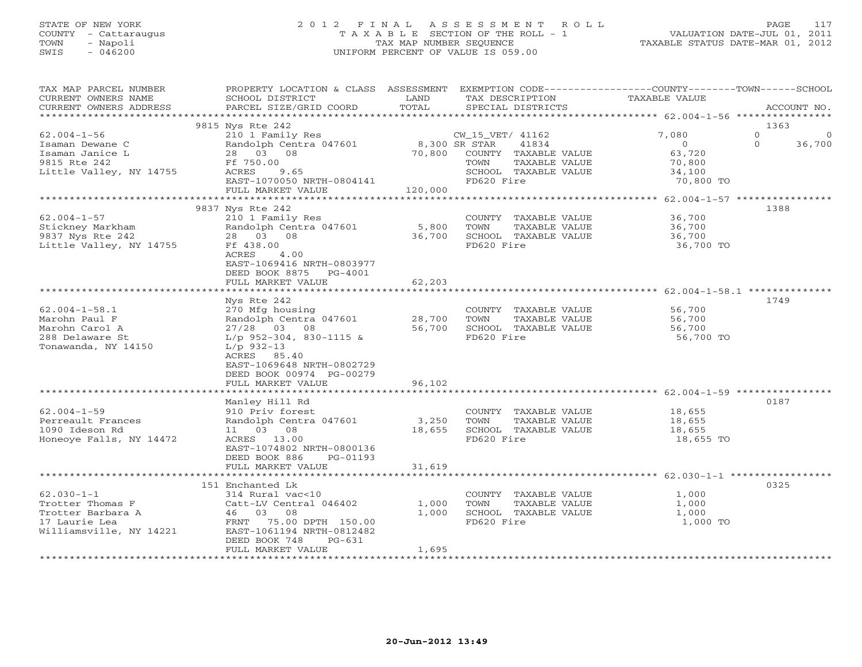## STATE OF NEW YORK 2 0 1 2 F I N A L A S S E S S M E N T R O L L PAGE 117 COUNTY - Cattaraugus T A X A B L E SECTION OF THE ROLL - 1 VALUATION DATE-JUL 01, 2011 TOWN - Napoli TAX MAP NUMBER SEQUENCE TAXABLE STATUS DATE-MAR 01, 2012 SWIS - 046200 UNIFORM PERCENT OF VALUE IS 059.00UNIFORM PERCENT OF VALUE IS 059.00

| TAX MAP PARCEL NUMBER<br>CURRENT OWNERS NAME<br>CURRENT OWNERS ADDRESS                             | PROPERTY LOCATION & CLASS ASSESSMENT EXEMPTION CODE---------------COUNTY-------TOWN------SCHOOL<br>SCHOOL DISTRICT<br>PARCEL SIZE/GRID COORD                                                                                    | LAND<br>TOTAL   | TAX DESCRIPTION<br>SPECIAL DISTRICTS                                                                           | TAXABLE VALUE                                                               | ACCOUNT NO.                                 |
|----------------------------------------------------------------------------------------------------|---------------------------------------------------------------------------------------------------------------------------------------------------------------------------------------------------------------------------------|-----------------|----------------------------------------------------------------------------------------------------------------|-----------------------------------------------------------------------------|---------------------------------------------|
|                                                                                                    |                                                                                                                                                                                                                                 |                 |                                                                                                                |                                                                             |                                             |
| $62.004 - 1 - 56$<br>Isaman Dewane C<br>Isaman Janice L<br>9815 Rte 242<br>Little Valley, NY 14755 | 9815 Nys Rte 242<br>210 1 Family Res<br>Randolph Centra 047601 8,300 SR STAR 41834<br>28 03 08<br>Ff 750.00<br>ACRES 9.65<br>$\text{EAST}-1070050 \text{ NRTH}-0804141$<br>FULL MARKET VALUE                                    | 120,000         | CW_15_VET/ 41162<br>70,800 COUNTY TAXABLE VALUE<br>TOWN<br>TAXABLE VALUE<br>SCHOOL TAXABLE VALUE<br>FD620 Fire | 7,080<br>$\overline{0}$<br>$63, 72$<br>70,800<br>100<br>34,100<br>70,800 TO | 1363<br>$\Omega$<br>0<br>$\Omega$<br>36,700 |
|                                                                                                    |                                                                                                                                                                                                                                 |                 |                                                                                                                |                                                                             |                                             |
| $62.004 - 1 - 57$<br>Stickney Markham<br>9837 Nys Rte 242<br>Little Valley, NY 14755               | 9837 Nys Rte 242<br>210 1 Family Res<br>Randolph Centra 047601<br>28 03 08<br>Ff 438.00<br>ACRES<br>4.00<br>EAST-1069416 NRTH-0803977<br>DEED BOOK 8875 PG-4001<br>FULL MARKET VALUE                                            | 5,800 TOWN      | COUNTY TAXABLE VALUE 36,700<br>TOWN TAXABLE VALUE 36,700<br>36,700 SCHOOL TAXABLE VALUE<br>FD620 Fire          | 36,700<br>36,700 TO                                                         | 1388                                        |
|                                                                                                    |                                                                                                                                                                                                                                 | 62,203          |                                                                                                                |                                                                             |                                             |
| $62.004 - 1 - 58.1$<br>Marohn Paul F<br>Marohn Carol A<br>288 Delaware St<br>Tonawanda, NY 14150   | Nys Rte 242<br>270 Mfg housing<br>Randolph Centra 047601 28,700<br>27/28 03 08 56,700<br>$L/p$ 952-304, 830-1115 &<br>$L/p$ 932-13<br>ACRES 85.40<br>EAST-1069648 NRTH-0802729<br>DEED BOOK 00974 PG-00279<br>FULL MARKET VALUE | 96,102          | COUNTY TAXABLE VALUE<br>TOWN<br>TAXABLE VALUE<br>SCHOOL TAXABLE VALUE<br>FD620 Fire                            | 56,700<br>56,700<br>56,700<br>56,700 TO                                     | 1749                                        |
|                                                                                                    | Manley Hill Rd                                                                                                                                                                                                                  |                 |                                                                                                                |                                                                             | 0187                                        |
| $62.004 - 1 - 59$<br>Perreault Frances<br>1090 Ideson Rd<br>Honeoye Falls, NY 14472                | 910 Priv forest<br>Randolph Centra 047601<br>11 03 08<br>ACRES 13.00<br>EAST-1074802 NRTH-0800136<br>DEED BOOK 886 PG-01193                                                                                                     | 3,250<br>18,655 | COUNTY TAXABLE VALUE<br>TOWN<br>-----<br>TAXABLE VALUE<br>TAXARLE VALUE<br>SCHOOL TAXABLE VALUE<br>FD620 Fire  | 18,655<br>18,655<br>18,655<br>18,655 TO                                     |                                             |
|                                                                                                    | FULL MARKET VALUE                                                                                                                                                                                                               | 31,619          |                                                                                                                |                                                                             |                                             |
| $62.030 - 1 - 1$<br>Williamsville, NY 14221                                                        | 151 Enchanted Lk<br>314 Rural vac<10<br>Catt-LV Central 046402<br>FRNT 75.00 DPTH 150.00<br>EAST-1061194 NRTH-0812482<br>DEED BOOK 748<br>PG-631                                                                                | 1,000<br>1,000  | COUNTY TAXABLE VALUE 1,000<br>TOWN TAXABLE VALUE<br>SCHOOL TAXABLE VALUE<br>FD620 Fire                         | 1,000<br>1,000<br>1,000 TO                                                  | 0325                                        |
|                                                                                                    | FULL MARKET VALUE                                                                                                                                                                                                               | 1,695           |                                                                                                                |                                                                             |                                             |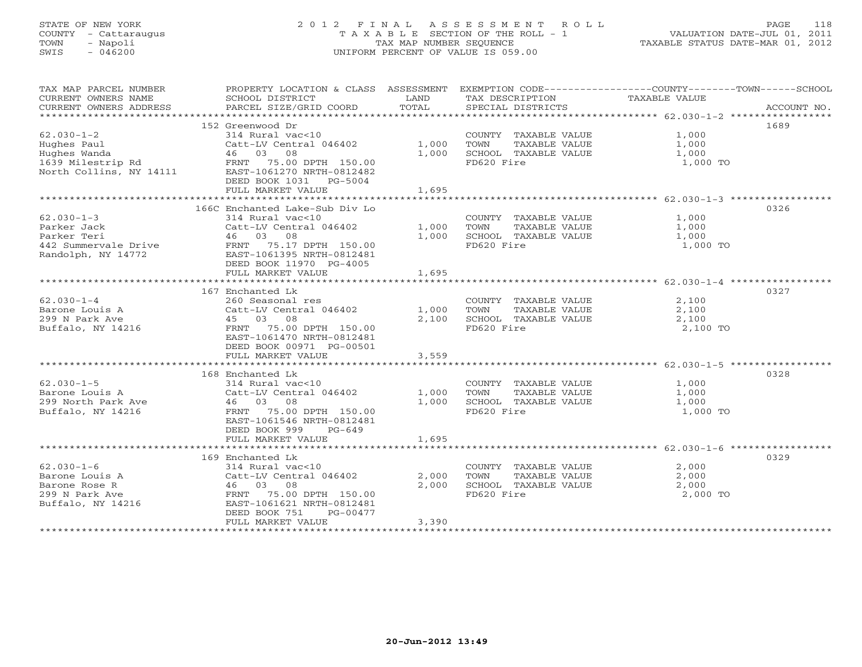# STATE OF NEW YORK 2 0 1 2 F I N A L A S S E S S M E N T R O L L PAGE 118 COUNTY - Cattaraugus T A X A B L E SECTION OF THE ROLL - 1 VALUATION DATE-JUL 01, 2011 TOWN - Napoli TAX MAP NUMBER SEQUENCE TAXABLE STATUS DATE-MAR 01, 2012 SWIS - 046200 UNIFORM PERCENT OF VALUE IS 059.00UNIFORM PERCENT OF VALUE IS 059.00

| TAX MAP PARCEL NUMBER<br>CURRENT OWNERS NAME                                                                                | <b>Example 12</b> LAND<br>SCHOOL DISTRICT                                        |            | TAX DESCRIPTION                               | PROPERTY LOCATION & CLASS ASSESSMENT EXEMPTION CODE----------------COUNTY-------TOWN------SCHOOL<br>TAXABLE VALUE |
|-----------------------------------------------------------------------------------------------------------------------------|----------------------------------------------------------------------------------|------------|-----------------------------------------------|-------------------------------------------------------------------------------------------------------------------|
| CURRENT OWNERS ADDRESS                                                                                                      | PARCEL SIZE/GRID COORD                                                           | TOTAL      | SPECIAL DISTRICTS                             | ACCOUNT NO.                                                                                                       |
|                                                                                                                             | 152 Greenwood Dr                                                                 |            |                                               | 1689                                                                                                              |
| $62.030 - 1 - 2$                                                                                                            | 314 Rural vac<10                                                                 |            | COUNTY TAXABLE VALUE                          | 1,000                                                                                                             |
| Hughes Paul                                                                                                                 | Catt-LV Central 046402 1,000                                                     |            | TOWN<br>TAXABLE VALUE                         | 1,000                                                                                                             |
| Hughes Wanda                                                                                                                | 46 03 08                                                                         | 1,000      | SCHOOL TAXABLE VALUE                          | 1,000                                                                                                             |
| 1639 Milestrip Rd<br>North Collins, NY 14111 EAST-1061270 NRTH-0812482<br>North Collins, NY 14111 EAST-1061270 NRTH-0812482 |                                                                                  |            | FD620 Fire                                    | 1,000 TO                                                                                                          |
|                                                                                                                             | DEED BOOK 1031 PG-5004                                                           |            |                                               |                                                                                                                   |
|                                                                                                                             | FULL MARKET VALUE                                                                | 1,695      |                                               |                                                                                                                   |
|                                                                                                                             |                                                                                  |            |                                               |                                                                                                                   |
|                                                                                                                             | 166C Enchanted Lake-Sub Div Lo                                                   |            |                                               | 0326                                                                                                              |
| $62.030 - 1 - 3$                                                                                                            | $314$ Rural vac<10                                                               |            | COUNTY TAXABLE VALUE 1,000                    |                                                                                                                   |
| Parker Jack                                                                                                                 | Catt-LV Central 046402                                                           | 1,000      | TOWN TAXABLE VALUE                            | 1,000                                                                                                             |
| Parker Teri                                                                                                                 | 46 03 08                                                                         | 1,000      | SCHOOL TAXABLE VALUE<br>FD620 Fire            | 1,000                                                                                                             |
|                                                                                                                             |                                                                                  |            |                                               | 1,000 TO                                                                                                          |
|                                                                                                                             | DEED BOOK 11970 PG-4005                                                          |            |                                               |                                                                                                                   |
|                                                                                                                             | FULL MARKET VALUE                                                                | 1,695      |                                               |                                                                                                                   |
|                                                                                                                             |                                                                                  |            |                                               |                                                                                                                   |
|                                                                                                                             | 167 Enchanted Lk                                                                 |            |                                               | 0327                                                                                                              |
| $62.030 - 1 - 4$                                                                                                            | 260 Seasonal res                                                                 |            | COUNTY TAXABLE VALUE                          | 2,100                                                                                                             |
| Barone Louis A                                                                                                              | Catt-LV Central 046402                                                           | 1,000 TOWN | TAXABLE VALUE                                 | 2,100                                                                                                             |
| 299 N Park Ave<br>Buffalo, NY 14216                                                                                         | 45 03 08<br>FRNT 75.00 DPTH 150.00                                               |            | 2,100 SCHOOL TAXABLE VALUE<br>FD620 Fire      | 2,100<br>2,100 TO                                                                                                 |
|                                                                                                                             | EAST-1061470 NRTH-0812481                                                        |            |                                               |                                                                                                                   |
|                                                                                                                             | DEED BOOK 00971 PG-00501                                                         |            |                                               |                                                                                                                   |
|                                                                                                                             | FULL MARKET VALUE                                                                | 3,559      |                                               |                                                                                                                   |
|                                                                                                                             |                                                                                  |            |                                               |                                                                                                                   |
|                                                                                                                             | 168 Enchanted Lk                                                                 |            |                                               | 0328                                                                                                              |
| $62.030 - 1 - 5$                                                                                                            | 314 Rural vac<10                                                                 |            | COUNTY TAXABLE VALUE                          | 1,000                                                                                                             |
| Barone Louis A<br>299 North Park Ave                                                                                        | Catt-LV Central 046402 1,000 TOWN<br>46 03 08                                    | 1,000      | TAXABLE VALUE<br>SCHOOL TAXABLE VALUE         | 1,000<br>1,000                                                                                                    |
| Buffalo, NY 14216                                                                                                           | FRNT 75.00 DPTH 150.00                                                           |            | FD620 Fire                                    | 1,000 TO                                                                                                          |
|                                                                                                                             | EAST-1061546 NRTH-0812481                                                        |            |                                               |                                                                                                                   |
|                                                                                                                             | DEED BOOK 999 PG-649                                                             |            |                                               |                                                                                                                   |
|                                                                                                                             | FULL MARKET VALUE                                                                | 1,695      |                                               |                                                                                                                   |
|                                                                                                                             |                                                                                  |            |                                               |                                                                                                                   |
|                                                                                                                             | 169 Enchanted Lk                                                                 |            |                                               | 0329                                                                                                              |
| $62.030 - 1 - 6$<br>Barone Louis A                                                                                          | 314 Rural vac<10<br>Catt-LV Central 046402                                       | 2,000      | COUNTY TAXABLE VALUE<br>TOWN<br>TAXABLE VALUE | 2,000<br>2,000                                                                                                    |
| Barone Rose R                                                                                                               | 46 03 08                                                                         | 2,000      | SCHOOL TAXABLE VALUE                          | 2,000                                                                                                             |
| 299 N Park Ave                                                                                                              |                                                                                  |            | FD620 Fire                                    | 2,000 TO                                                                                                          |
| Buffalo, NY 14216                                                                                                           | FRNT 75.00 DPTH 150.00<br>FAST-1061621 NRTH-0812481<br>EAST-1061621 NRTH-0812481 |            |                                               |                                                                                                                   |
|                                                                                                                             | DEED BOOK 751<br>PG-00477                                                        |            |                                               |                                                                                                                   |
|                                                                                                                             | FULL MARKET VALUE                                                                | 3,390      |                                               |                                                                                                                   |
|                                                                                                                             |                                                                                  |            |                                               |                                                                                                                   |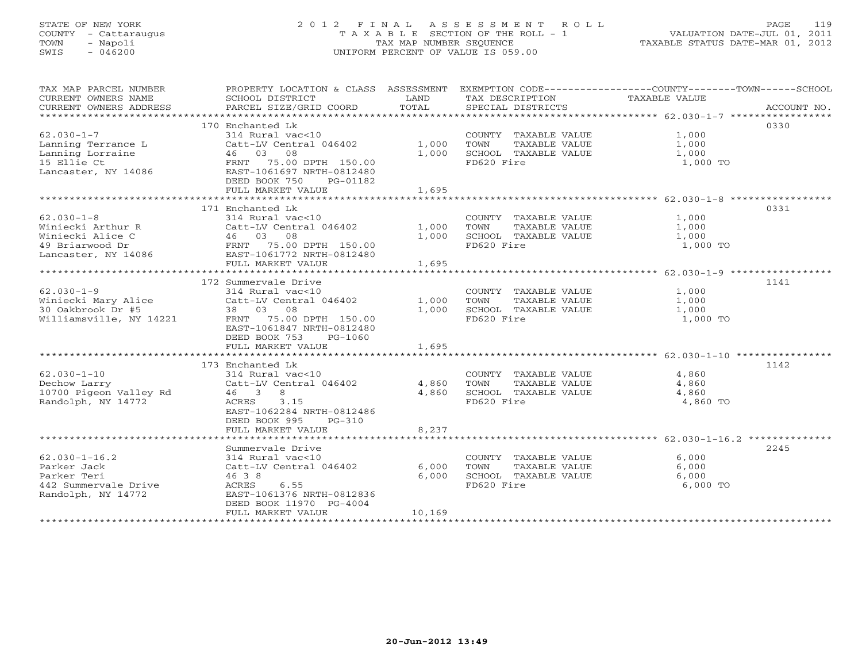# STATE OF NEW YORK 2 0 1 2 F I N A L A S S E S S M E N T R O L L PAGE 119 COUNTY - Cattaraugus T A X A B L E SECTION OF THE ROLL - 1 VALUATION DATE-JUL 01, 2011 TOWN - Napoli TAX MAP NUMBER SEQUENCE TAXABLE STATUS DATE-MAR 01, 2012 SWIS - 046200 UNIFORM PERCENT OF VALUE IS 059.00UNIFORM PERCENT OF VALUE IS 059.00

| TAX MAP PARCEL NUMBER                                               |                                                                                           |        |                            | PROPERTY LOCATION & CLASS ASSESSMENT EXEMPTION CODE---------------COUNTY-------TOWN------SCHOOL |
|---------------------------------------------------------------------|-------------------------------------------------------------------------------------------|--------|----------------------------|-------------------------------------------------------------------------------------------------|
| CURRENT OWNERS NAME                                                 | SCHOOL DISTRICT                                                                           | LAND   | TAX DESCRIPTION            | TAXABLE VALUE                                                                                   |
|                                                                     |                                                                                           |        |                            |                                                                                                 |
|                                                                     |                                                                                           |        |                            |                                                                                                 |
|                                                                     | 170 Enchanted Lk                                                                          |        |                            | 0330                                                                                            |
| $62.030 - 1 - 7$                                                    | $314$ Rural vac<10                                                                        |        | COUNTY TAXABLE VALUE 1,000 |                                                                                                 |
| Lanning Terrance L                                                  | Catt-LV Central 046402 1,000                                                              |        | TOWN<br>TAXABLE VALUE      |                                                                                                 |
| Lanning Lorraine                                                    |                                                                                           | 1,000  | SCHOOL TAXABLE VALUE       | 1,000<br>1,000                                                                                  |
| 15 Ellie Ct                                                         |                                                                                           |        | FD620 Fire                 | 1,000 TO                                                                                        |
| Lancaster, NY 14086                                                 | Catt-LV Central 046402<br>46 03 08<br>FRNT 75.00 DPTH 150.00<br>EAST-1061697 NRTH-0812480 |        |                            |                                                                                                 |
|                                                                     | DEED BOOK 750<br>PG-01182                                                                 |        |                            |                                                                                                 |
|                                                                     | FULL MARKET VALUE                                                                         | 1,695  |                            |                                                                                                 |
|                                                                     |                                                                                           |        |                            |                                                                                                 |
|                                                                     | 171 Enchanted Lk                                                                          |        |                            | 0331                                                                                            |
| $62.030 - 1 - 8$                                                    | 314 Rural vac<10                                                                          |        | COUNTY TAXABLE VALUE 1,000 |                                                                                                 |
|                                                                     | Catt-LV Central 046402 1,000                                                              |        | TOWN<br>TAXABLE VALUE      |                                                                                                 |
|                                                                     |                                                                                           | 1,000  | SCHOOL TAXABLE VALUE       | 1,000<br>1,000                                                                                  |
| 49 Briarwood Dr                                                     | -- 15.00 DPTH 150.00<br>186 EAST-1061772 NRTH-0812480                                     |        | FD620 Fire                 | 1,000 TO                                                                                        |
| Lancaster, NY 14086                                                 |                                                                                           |        |                            |                                                                                                 |
|                                                                     | FULL MARKET VALUE                                                                         | 1,695  |                            |                                                                                                 |
|                                                                     |                                                                                           |        |                            |                                                                                                 |
|                                                                     | 172 Summervale Drive                                                                      |        |                            | 1141                                                                                            |
| $62.030 - 1 - 9$                                                    | 314 Rural vac<10                                                                          |        | COUNTY TAXABLE VALUE       |                                                                                                 |
| Winiecki Mary Alice Catt-LV Central 046402                          |                                                                                           |        |                            | 1,000<br>1,000                                                                                  |
|                                                                     |                                                                                           | 1,000  | TOWN<br>TAXABLE VALUE      |                                                                                                 |
| 30 Oakbrook Dr #5<br>Williamsville, NY 14221 FRNT 75.00 DPTH 150.00 |                                                                                           | 1,000  | SCHOOL TAXABLE VALUE       | 1,000                                                                                           |
|                                                                     |                                                                                           |        | FD620 Fire                 | 1,000 TO                                                                                        |
|                                                                     | EAST-1061847 NRTH-0812480                                                                 |        |                            |                                                                                                 |
|                                                                     | DEED BOOK 753<br>PG-1060                                                                  |        |                            |                                                                                                 |
|                                                                     | FULL MARKET VALUE                                                                         | 1,695  |                            |                                                                                                 |
|                                                                     |                                                                                           |        |                            |                                                                                                 |
|                                                                     | 173 Enchanted Lk                                                                          |        |                            | 1142                                                                                            |
| $62.030 - 1 - 10$                                                   | 314 Rural vac<10                                                                          |        | COUNTY TAXABLE VALUE       | 4,860<br>4,860                                                                                  |
| Dechow Larry                                                        | Catt-LV Central 046402                                                                    | 4,860  | TAXABLE VALUE<br>TOWN      | 4,860                                                                                           |
| 10700 Pigeon Valley Rd   46   3   8                                 |                                                                                           | 4,860  | SCHOOL TAXABLE VALUE 4,860 |                                                                                                 |
| Randolph, NY 14772                                                  | 3.15<br>ACRES                                                                             |        | FD620 Fire                 | 4,860 TO                                                                                        |
|                                                                     | EAST-1062284 NRTH-0812486                                                                 |        |                            |                                                                                                 |
|                                                                     | DEED BOOK 995<br>$PG-310$                                                                 |        |                            |                                                                                                 |
|                                                                     | FULL MARKET VALUE                                                                         | 8,237  |                            |                                                                                                 |
|                                                                     |                                                                                           |        |                            |                                                                                                 |
|                                                                     | Summervale Drive                                                                          |        |                            | 2245                                                                                            |
| $62.030 - 1 - 16.2$                                                 | 314 Rural vac<10                                                                          |        | COUNTY TAXABLE VALUE       | 6,000                                                                                           |
| Parker Jack                                                         | Catt-LV Central 046402                                                                    | 6,000  | TOWN<br>TAXABLE VALUE      | 6,000                                                                                           |
| Parker Teri                                                         | 46 3 8                                                                                    | 6,000  | SCHOOL TAXABLE VALUE       | 6,000                                                                                           |
| 442 Summervale Drive                                                | ACRES 6.55                                                                                |        | FD620 Fire                 | 6,000 TO                                                                                        |
| Randolph, NY 14772                                                  | EAST-1061376 NRTH-0812836                                                                 |        |                            |                                                                                                 |
|                                                                     | DEED BOOK 11970 PG-4004                                                                   |        |                            |                                                                                                 |
|                                                                     | FULL MARKET VALUE                                                                         | 10,169 |                            |                                                                                                 |
|                                                                     |                                                                                           |        |                            |                                                                                                 |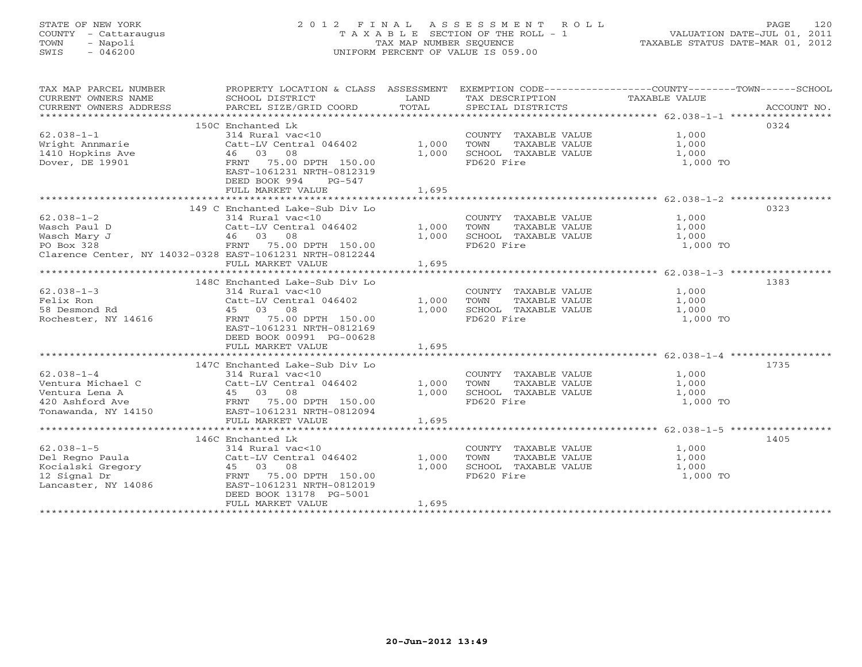#### STATE OF NEW YORK 2 0 1 2 F I N A L A S S E S S M E N T R O L L PAGE 120 COUNTY - Cattaraugus T A X A B L E SECTION OF THE ROLL - 1 VALUATION DATE-JUL 01, 2011 TOWN - Napoli TAX MAP NUMBER SEQUENCE TAXABLE STATUS DATE-MAR 01, 2012 SWIS - 046200 UNIFORM PERCENT OF VALUE IS 059.00UNIFORM PERCENT OF VALUE IS 059.00

| TAX MAP PARCEL NUMBER                                                                                                                                                                                                                          | PROPERTY LOCATION & CLASS ASSESSMENT |       |                                                        | EXEMPTION CODE-----------------COUNTY-------TOWN------SCHOOL |             |
|------------------------------------------------------------------------------------------------------------------------------------------------------------------------------------------------------------------------------------------------|--------------------------------------|-------|--------------------------------------------------------|--------------------------------------------------------------|-------------|
| CURRENT OWNERS NAME                                                                                                                                                                                                                            | SCHOOL DISTRICT                      | LAND  | TAX DESCRIPTION TAXABLE VALUE                          |                                                              |             |
| CURRENT OWNERS ADDRESS                                                                                                                                                                                                                         | PARCEL SIZE/GRID COORD               | TOTAL | SPECIAL DISTRICTS                                      |                                                              | ACCOUNT NO. |
|                                                                                                                                                                                                                                                |                                      |       |                                                        |                                                              |             |
|                                                                                                                                                                                                                                                | 150C Enchanted Lk                    |       |                                                        |                                                              | 0324        |
| $62.038 - 1 - 1$                                                                                                                                                                                                                               | 314 Rural vac<10                     |       | COUNTY TAXABLE VALUE                                   | 1,000                                                        |             |
|                                                                                                                                                                                                                                                | Catt-LV Central 046402 1,000         |       |                                                        | 1,000                                                        |             |
| $62.038 - 1 - 1$<br>Wright Annmarie $46$ 03 08                                                                                                                                                                                                 |                                      | 1,000 | TOWN      TAXABLE VALUE<br>SCHOOL   TAXABLE VALUE      | 1,000                                                        |             |
| Dover, DE 19901                                                                                                                                                                                                                                | FRNT 75.00 DPTH 150.00               |       | FD620 Fire                                             | 1,000 TO                                                     |             |
|                                                                                                                                                                                                                                                | EAST-1061231 NRTH-0812319            |       |                                                        |                                                              |             |
|                                                                                                                                                                                                                                                | DEED BOOK 994<br>PG-547              |       |                                                        |                                                              |             |
|                                                                                                                                                                                                                                                | FULL MARKET VALUE                    | 1,695 |                                                        |                                                              |             |
|                                                                                                                                                                                                                                                |                                      |       |                                                        |                                                              |             |
|                                                                                                                                                                                                                                                | 149 C Enchanted Lake-Sub Div Lo      |       |                                                        |                                                              | 0323        |
| $62.038 - 1 - 2$                                                                                                                                                                                                                               | 314 Rural vac<10                     |       | COUNTY TAXABLE VALUE                                   | 1,000                                                        |             |
| Wasch Paul D                                                                                                                                                                                                                                   | Catt-LV Central 046402 1,000         |       | TAXABLE VALUE<br>TOWN                                  | 1,000                                                        |             |
| Wasch Mary J                                                                                                                                                                                                                                   | 46 03 08                             | 1,000 | SCHOOL TAXABLE VALUE                                   | 1,000                                                        |             |
| en en de la provincia de la provincia de la provincia de la provincia de la provincia de la provincia de la pr<br>La provincia de la provincia de la provincia de la provincia de la provincia de la provincia de la provincia d<br>PO Box 328 | FRNT 75.00 DPTH 150.00               |       | FD620 Fire                                             | 1,000 TO                                                     |             |
| Clarence Center, NY 14032-0328 EAST-1061231 NRTH-0812244                                                                                                                                                                                       |                                      |       |                                                        |                                                              |             |
|                                                                                                                                                                                                                                                | FULL MARKET VALUE                    | 1,695 |                                                        |                                                              |             |
|                                                                                                                                                                                                                                                |                                      |       |                                                        |                                                              |             |
|                                                                                                                                                                                                                                                | 148C Enchanted Lake-Sub Div Lo       |       |                                                        |                                                              | 1383        |
| $62.038 - 1 - 3$                                                                                                                                                                                                                               | 314 Rural vac<10                     |       | COUNTY TAXABLE VALUE 1,000                             |                                                              |             |
| Felix Ron                                                                                                                                                                                                                                      | Catt-LV Central 046402               | 1,000 | TOWN TAXABLE VALUE 1,000<br>SCHOOL TAXABLE VALUE 1,000 |                                                              |             |
| 58 Desmond Rd                                                                                                                                                                                                                                  | 45 03 08                             | 1,000 |                                                        |                                                              |             |
| Rochester, NY 14616                                                                                                                                                                                                                            | FRNT 75.00 DPTH 150.00               |       | FD620 Fire                                             | 1,000 TO                                                     |             |
|                                                                                                                                                                                                                                                | EAST-1061231 NRTH-0812169            |       |                                                        |                                                              |             |
|                                                                                                                                                                                                                                                | DEED BOOK 00991 PG-00628             |       |                                                        |                                                              |             |
|                                                                                                                                                                                                                                                | FULL MARKET VALUE                    | 1,695 |                                                        |                                                              |             |
|                                                                                                                                                                                                                                                |                                      |       |                                                        |                                                              |             |
|                                                                                                                                                                                                                                                | 147C Enchanted Lake-Sub Div Lo       |       |                                                        |                                                              | 1735        |
| $62.038 - 1 - 4$                                                                                                                                                                                                                               | 314 Rural vac<10                     |       | COUNTY TAXABLE VALUE 1,000                             |                                                              |             |
| Ventura Michael C                                                                                                                                                                                                                              | Catt-LV Central 046402 1,000         |       | TOWN<br>TAXABLE VALUE                                  | 1,000                                                        |             |
| Ventura Lena A                                                                                                                                                                                                                                 | 45 03 08<br>FRNT 75.00 DPTH 150.00   | 1,000 | SCHOOL TAXABLE VALUE                                   | 1,000                                                        |             |
| 420 Ashford Ave                                                                                                                                                                                                                                |                                      |       | FD620 Fire                                             | $1,000$ TO                                                   |             |
| Tonawanda, NY 14150                                                                                                                                                                                                                            | EAST-1061231 NRTH-0812094            |       |                                                        |                                                              |             |
|                                                                                                                                                                                                                                                | FULL MARKET VALUE                    | 1,695 |                                                        |                                                              |             |
|                                                                                                                                                                                                                                                |                                      |       |                                                        |                                                              |             |
|                                                                                                                                                                                                                                                | 146C Enchanted Lk                    |       |                                                        |                                                              | 1405        |
| $62.038 - 1 - 5$                                                                                                                                                                                                                               | 314 Rural vac<10                     |       | COUNTY TAXABLE VALUE                                   | 1,000                                                        |             |
|                                                                                                                                                                                                                                                | Catt-LV Central 046402               | 1,000 | TOWN      TAXABLE VALUE<br>SCHOOL   TAXABLE VALUE      | 1,000                                                        |             |
|                                                                                                                                                                                                                                                |                                      | 1,000 |                                                        | 1,000                                                        |             |
| Del Regno Paula (Catt-LV Central 046402)<br>Kocialski Gregory (1500)<br>12 Signal Dr (150.00)<br>Lancaster, NY 14086 (2007-1061231 NRTH-0812019)                                                                                               |                                      |       | FD620 Fire                                             | 1,000 TO                                                     |             |
|                                                                                                                                                                                                                                                |                                      |       |                                                        |                                                              |             |
|                                                                                                                                                                                                                                                | DEED BOOK 13178 PG-5001              |       |                                                        |                                                              |             |
|                                                                                                                                                                                                                                                | FULL MARKET VALUE                    | 1,695 |                                                        |                                                              |             |
|                                                                                                                                                                                                                                                |                                      |       |                                                        |                                                              |             |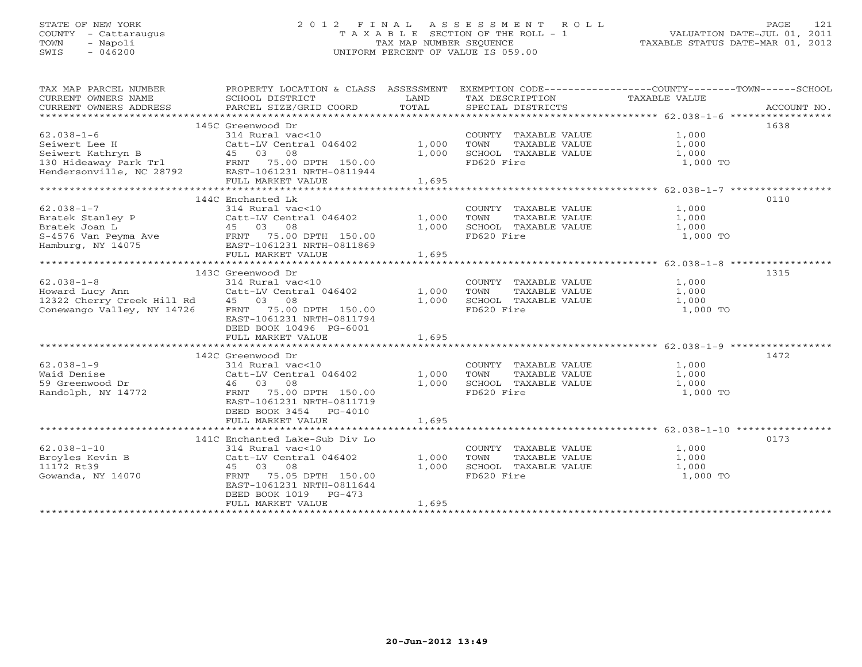# STATE OF NEW YORK 2 0 1 2 F I N A L A S S E S S M E N T R O L L PAGE 121 COUNTY - Cattaraugus T A X A B L E SECTION OF THE ROLL - 1 VALUATION DATE-JUL 01, 2011 TOWN - Napoli TAX MAP NUMBER SEQUENCE TAXABLE STATUS DATE-MAR 01, 2012 SWIS - 046200 UNIFORM PERCENT OF VALUE IS 059.00UNIFORM PERCENT OF VALUE IS 059.00

| TAX MAP PARCEL NUMBER<br>CURRENT OWNERS NAME<br>CURRENT OWNERS ADDRESS                             | SCHOOL DISTRICT<br>PARCEL SIZE/GRID COORD | LAND<br>TOTAL | TAX DESCRIPTION<br>SPECIAL DISTRICTS | PROPERTY LOCATION & CLASS ASSESSMENT EXEMPTION CODE---------------COUNTY-------TOWN-----SCHOOL<br>TAXABLE VALUE | ACCOUNT NO. |
|----------------------------------------------------------------------------------------------------|-------------------------------------------|---------------|--------------------------------------|-----------------------------------------------------------------------------------------------------------------|-------------|
|                                                                                                    |                                           |               |                                      |                                                                                                                 |             |
|                                                                                                    | 145C Greenwood Dr                         |               |                                      | 1638                                                                                                            |             |
| $62.038 - 1 - 6$                                                                                   | 314 Rural vac<10                          |               | COUNTY TAXABLE VALUE                 | 1,000                                                                                                           |             |
| Seiwert Lee H                                                                                      | Catt-LV Central 046402                    | 1,000         | TAXABLE VALUE<br>TOWN                | 1,000                                                                                                           |             |
| Seiwert Kathryn B                                                                                  | 45 03 08                                  | 1,000         | SCHOOL TAXABLE VALUE                 | 1,000                                                                                                           |             |
|                                                                                                    |                                           |               | FD620 Fire                           | 1,000 TO                                                                                                        |             |
| 130 Hideaway Park Tr1 FRNT 75.00 DPTH 150.00<br>Hendersonville, NC 28792 EAST-1061231 NRTH-0811944 |                                           |               |                                      |                                                                                                                 |             |
|                                                                                                    | FULL MARKET VALUE                         | 1,695         |                                      |                                                                                                                 |             |
|                                                                                                    |                                           |               |                                      |                                                                                                                 |             |
|                                                                                                    | 144C Enchanted Lk                         |               |                                      | 0110                                                                                                            |             |
| $62.038 - 1 - 7$                                                                                   | 314 Rural vac<10                          |               | COUNTY TAXABLE VALUE                 | 1,000                                                                                                           |             |
| Bratek Stanley P                                                                                   | Catt-LV Central 046402                    | 1,000         | TAXABLE VALUE<br>TOWN                | 1,000                                                                                                           |             |
|                                                                                                    |                                           | 1,000         | SCHOOL TAXABLE VALUE                 | 1,000                                                                                                           |             |
|                                                                                                    |                                           |               | FD620 Fire                           | 1,000 TO                                                                                                        |             |
|                                                                                                    |                                           |               |                                      |                                                                                                                 |             |
|                                                                                                    | FULL MARKET VALUE                         | 1,695         |                                      |                                                                                                                 |             |
|                                                                                                    |                                           |               |                                      |                                                                                                                 |             |
|                                                                                                    | 143C Greenwood Dr                         |               |                                      | 1315                                                                                                            |             |
| $62.038 - 1 - 8$                                                                                   | 314 Rural vac<10                          |               | COUNTY TAXABLE VALUE 1,000           |                                                                                                                 |             |
| Howard Lucy Ann                                                                                    | Catt-LV Central 046402                    | 1,000         | TOWN<br>TAXABLE VALUE                | 1,000                                                                                                           |             |
| 12322 Cherry Creek Hill Rd 45 03 08                                                                |                                           | 1,000         | SCHOOL TAXABLE VALUE                 | 1,000                                                                                                           |             |
| Conewango Valley, NY 14726                                                                         | FRNT 75.00 DPTH 150.00                    |               | FD620 Fire                           | 1,000 TO                                                                                                        |             |
|                                                                                                    | EAST-1061231 NRTH-0811794                 |               |                                      |                                                                                                                 |             |
|                                                                                                    | DEED BOOK 10496 PG-6001                   |               |                                      |                                                                                                                 |             |
|                                                                                                    | FULL MARKET VALUE                         | 1,695         |                                      |                                                                                                                 |             |
|                                                                                                    |                                           |               |                                      | 1472                                                                                                            |             |
| $62.038 - 1 - 9$                                                                                   | 142C Greenwood Dr<br>314 Rural vac<10     |               |                                      |                                                                                                                 |             |
|                                                                                                    |                                           |               | COUNTY TAXABLE VALUE                 | $1,000$<br>1.000                                                                                                |             |
| Waid Denise<br>59 Greenwood Dr                                                                     | Catt-LV Central 046402                    | 1,000         | TAXABLE VALUE<br>TOWN                | 1,000                                                                                                           |             |
| Randolph, NY 14772                                                                                 | 46 03 08<br>FRNT 75.00 DPTH 150.00        | 1,000         | SCHOOL TAXABLE VALUE<br>FD620 Fire   | 1,000<br>1,000 TO                                                                                               |             |
|                                                                                                    | EAST-1061231 NRTH-0811719                 |               |                                      |                                                                                                                 |             |
|                                                                                                    | DEED BOOK 3454 PG-4010                    |               |                                      |                                                                                                                 |             |
|                                                                                                    | FULL MARKET VALUE                         | 1,695         |                                      |                                                                                                                 |             |
|                                                                                                    |                                           |               |                                      |                                                                                                                 |             |
|                                                                                                    | 141C Enchanted Lake-Sub Div Lo            |               |                                      | 0173                                                                                                            |             |
| $62.038 - 1 - 10$                                                                                  | 314 Rural vac<10                          |               | COUNTY TAXABLE VALUE                 | 1,000                                                                                                           |             |
| Broyles Kevin B                                                                                    | Catt-LV Central 046402                    | 1,000         | TAXABLE VALUE<br>TOWN                | 1,000                                                                                                           |             |
| 11172 Rt39                                                                                         | 45 03 08                                  | 1,000         | SCHOOL TAXABLE VALUE                 | 1,000                                                                                                           |             |
| Gowanda, NY 14070                                                                                  | FRNT<br>75.05 DPTH 150.00                 |               | FD620 Fire                           | 1,000 TO                                                                                                        |             |
|                                                                                                    | EAST-1061231 NRTH-0811644                 |               |                                      |                                                                                                                 |             |
|                                                                                                    | DEED BOOK 1019 PG-473                     |               |                                      |                                                                                                                 |             |
|                                                                                                    | FULL MARKET VALUE                         | 1,695         |                                      |                                                                                                                 |             |
|                                                                                                    |                                           |               |                                      |                                                                                                                 |             |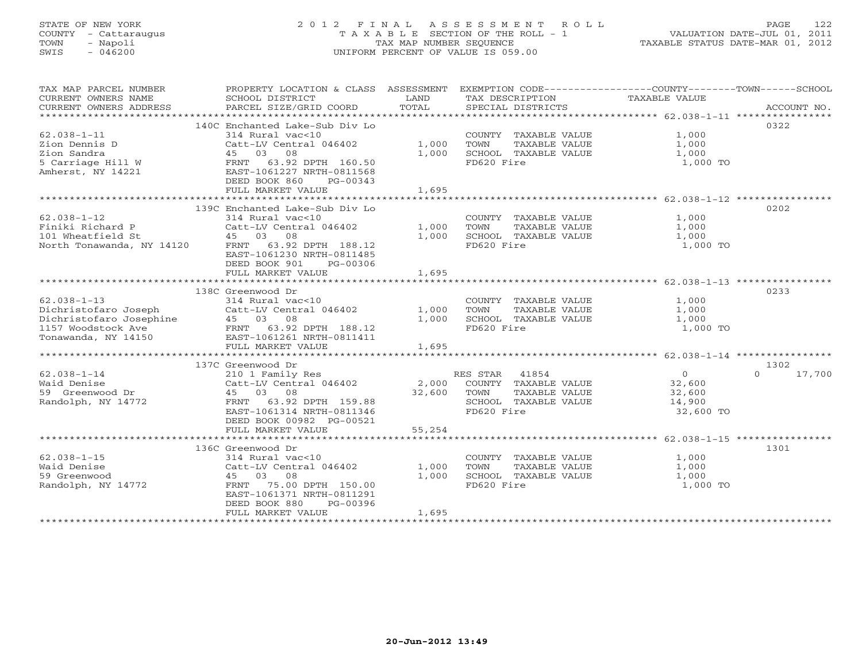# STATE OF NEW YORK 2 0 1 2 F I N A L A S S E S S M E N T R O L L PAGE 122 COUNTY - Cattaraugus T A X A B L E SECTION OF THE ROLL - 1 VALUATION DATE-JUL 01, 2011 TOWN - Napoli TAX MAP NUMBER SEQUENCE TAXABLE STATUS DATE-MAR 01, 2012 SWIS - 046200 UNIFORM PERCENT OF VALUE IS 059.00UNIFORM PERCENT OF VALUE IS 059.00

| TAX MAP PARCEL NUMBER<br>CURRENT OWNERS NAME<br>CURRENT OWNERS ADDRESS                      | PROPERTY LOCATION & CLASS ASSESSMENT<br>SCHOOL DISTRICT<br>PARCEL SIZE/GRID COORD                                                                                                                                                                                                                     | LAND<br>TOTAL           | EXEMPTION CODE----------------COUNTY--------TOWN------SCHOOL<br>TAX DESCRIPTION TAXABLE VALUE<br>SPECIAL DISTRICTS               |                                         | ACCOUNT NO.                |
|---------------------------------------------------------------------------------------------|-------------------------------------------------------------------------------------------------------------------------------------------------------------------------------------------------------------------------------------------------------------------------------------------------------|-------------------------|----------------------------------------------------------------------------------------------------------------------------------|-----------------------------------------|----------------------------|
| $62.038 - 1 - 11$<br>Zion Dennis D<br>Zion Sandra<br>5 Carriage Hill W<br>Amherst, NY 14221 | 140C Enchanted Lake-Sub Div Lo<br>314 Rural vac<10<br>Catt-LV Central 046402 1,000<br>45 03 08<br>FRNT 63.92 DPTH 160.50<br>EAST-1061227 NRTH-0811568<br>DEED BOOK 860 PG-00343<br>FULL MARKET VALUE                                                                                                  | 1,000<br>1,695          | COUNTY TAXABLE VALUE $1,000$<br>TOWN TAXABLE VALUE $1,000$<br>SCHOOL TAXABLE VALUE $1,000$<br>FD620 Fire                         | 1,000 TO                                | 0322                       |
|                                                                                             |                                                                                                                                                                                                                                                                                                       |                         |                                                                                                                                  |                                         |                            |
| $62.038 - 1 - 12$                                                                           | 139C Enchanted Lake-Sub Div Lo<br>314 Rural vac<10<br>$Cat-LV$ Central 046402 $1,000$<br>FRNT 63.92 DPTH 188.12<br>EAST-1061230 NRTH-0811485<br>DEED BOOK 901 PG-00306<br>FULL MARKET VALUE                                                                                                           | 1,000<br>1,695          | COUNTY TAXABLE VALUE $1,000$<br>TOWN TAXABLE VALUE $1,000$<br>SCHOOL TAXABLE VALUE $1,000$<br>SCHOOL TAXABLE VALUE<br>FD620 Fire | 1,000 TO                                | 0202                       |
|                                                                                             |                                                                                                                                                                                                                                                                                                       |                         |                                                                                                                                  |                                         |                            |
| $62.038 - 1 - 13$                                                                           | 138C Greenwood Dr<br>314 Rural vac<10<br>Catt-LV Central 046402 1,000<br>45 03 08 1,000<br>01.christofaro Joseph Catt-LV Central 046402<br>Dichristofaro Josephine (25.5.13.12)<br>1157 Woodstock Ave FRNT 63.92 DPTH 188.12<br>Tonawanda, NY 14150 (26.85T-1061261 NRTH-0811411<br>FULL MARKET VALUE | 1,695                   | COUNTY TAXABLE VALUE $1,000$<br>TOWN TAXABLE VALUE $1,000$<br>SCHOOL TAXABLE VALUE $1,000$<br>SCHOOL TAXABLE VALUE<br>FD620 Fire | 1,000 TO                                | 0233                       |
|                                                                                             |                                                                                                                                                                                                                                                                                                       |                         |                                                                                                                                  |                                         |                            |
| $62.038 - 1 - 14$<br>Waid Denise<br>59 Greenwood Dr                                         | 137C Greenwood Dr<br>210 1 Family Res<br>Catt-LV Central 046402 2,000 COUNTY TAXABLE VALUE<br>45 03 08 12,600 TOWN TAXABLE VALUE<br>22,600 TOWN TAXABLE VALUE                                                                                                                                         |                         |                                                                                                                                  | $\overline{0}$<br>32,600<br>32,600      | 1302<br>$\Omega$<br>17,700 |
| Randolph, NY 14772                                                                          | 45 03 08 32,000<br>45 03 08 32,000<br>FRNT 53.92 DPTH 159.88<br>DEED BOOK 00982 PG-00521<br>FULL MARKET VALUE                                                                                                                                                                                         | 55,254                  | SCHOOL TAXABLE VALUE<br>FD620 Fire                                                                                               | 14,900<br>32,600 TO                     |                            |
|                                                                                             |                                                                                                                                                                                                                                                                                                       |                         |                                                                                                                                  |                                         |                            |
| $62.038 - 1 - 15$<br>Waid Denise<br>59 Greenwood<br>Randolph, NY 14772                      | 136C Greenwood Dr<br>314 Rural vac<10<br>Catt-LV Central 046402<br>45 03 08<br>FRNT 75.00 DPTH 150.00<br>EAST-1061371 NRTH-0811291<br>DEED BOOK 880<br>PG-00396<br>FULL MARKET VALUE                                                                                                                  | 1,000<br>1,000<br>1,695 | COUNTY TAXABLE VALUE<br>TOWN<br>TAXABLE VALUE<br>TAXABLE VALUE<br>ire<br>SCHOOL TAXABLE VALUE<br>FD620 Fire                      | 1,000<br>$1,000$<br>$1,000$<br>1,000 TO | 1301                       |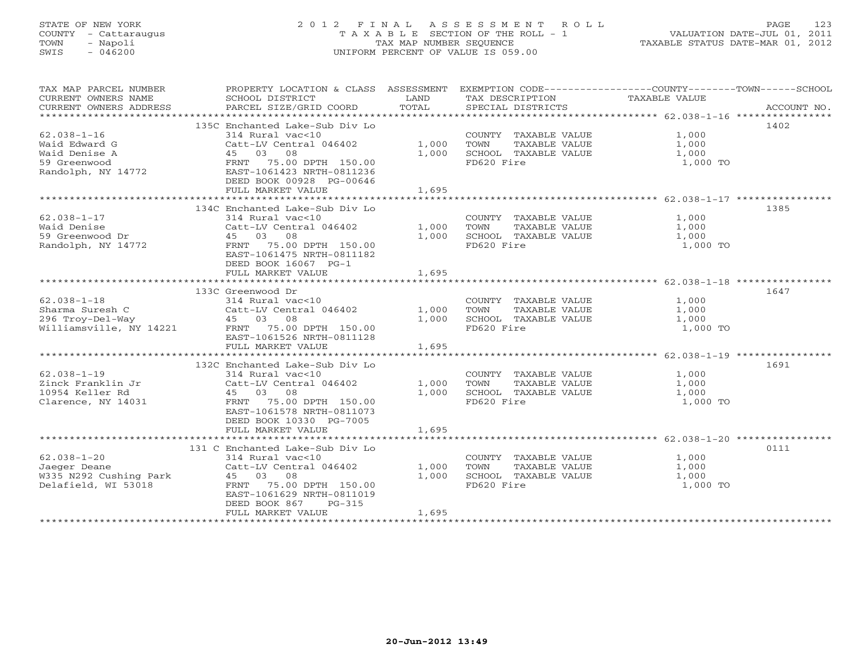# STATE OF NEW YORK 2 0 1 2 F I N A L A S S E S S M E N T R O L L PAGE 123 COUNTY - Cattaraugus T A X A B L E SECTION OF THE ROLL - 1 VALUATION DATE-JUL 01, 2011 TOWN - Napoli TAX MAP NUMBER SEQUENCE TAXABLE STATUS DATE-MAR 01, 2012 SWIS - 046200 UNIFORM PERCENT OF VALUE IS 059.00UNIFORM PERCENT OF VALUE IS 059.00

| TAX MAP PARCEL NUMBER<br>CURRENT OWNERS NAME<br>CURRENT OWNERS ADDRESS                    | PROPERTY LOCATION & CLASS ASSESSMENT<br>SCHOOL DISTRICT<br>PARCEL SIZE/GRID COORD                                                                                                                | LAND<br>TOTAL           | EXEMPTION CODE----------------COUNTY-------TOWN------SCHOOL<br>TAX DESCRIPTION<br>SPECIAL DISTRICTS | TAXABLE VALUE                       | ACCOUNT NO. |
|-------------------------------------------------------------------------------------------|--------------------------------------------------------------------------------------------------------------------------------------------------------------------------------------------------|-------------------------|-----------------------------------------------------------------------------------------------------|-------------------------------------|-------------|
| $62.038 - 1 - 16$<br>Waid Edward G<br>Waid Denise A<br>59 Greenwood<br>Randolph, NY 14772 | 135C Enchanted Lake-Sub Div Lo<br>314 Rural vac<10<br>Catt-LV Central 046402<br>45 03 08<br>FRNT 75.00 DPTH 150.00<br>EAST-1061423 NRTH-0811236<br>DEED BOOK 00928 PG-00646<br>FULL MARKET VALUE | 1,000<br>1,000<br>1,695 | COUNTY TAXABLE VALUE<br>TOWN<br>TAXABLE VALUE<br>SCHOOL TAXABLE VALUE<br>FD620 Fire                 | 1,000<br>1,000<br>1,000<br>1,000 TO | 1402        |
| $62.038 - 1 - 17$<br>Waid Denise<br>59 Greenwood Dr<br>Randolph, NY 14772                 | 134C Enchanted Lake-Sub Div Lo<br>314 Rural vac<10<br>Catt-LV Central 046402<br>45 03 08<br>FRNT 75.00 DPTH 150.00<br>EAST-1061475 NRTH-0811182<br>DEED BOOK 16067 PG-1<br>FULL MARKET VALUE     | 1,000<br>1,000<br>1,695 | COUNTY TAXABLE VALUE<br>TOWN<br>TAXABLE VALUE<br>SCHOOL TAXABLE VALUE<br>FD620 Fire                 | 1,000<br>1,000<br>1,000<br>1,000 TO | 1385        |
|                                                                                           |                                                                                                                                                                                                  |                         |                                                                                                     |                                     |             |
| $62.038 - 1 - 18$<br>Sharma Suresh C<br>296 Troy-Del-Way<br>Williamsville, NY 14221       | 133C Greenwood Dr<br>314 Rural vac<10<br>Catt-LV Central 046402<br>45 03 08<br>FRNT 75.00 DPTH 150.00<br>EAST-1061526 NRTH-0811128<br>FULL MARKET VALUE                                          | 1,000<br>1,000<br>1,695 | COUNTY TAXABLE VALUE<br>TOWN<br>TAXABLE VALUE<br>SCHOOL TAXABLE VALUE<br>FD620 Fire                 | 1,000<br>1,000<br>1,000<br>1,000 TO | 1647        |
|                                                                                           |                                                                                                                                                                                                  |                         |                                                                                                     |                                     |             |
| $62.038 - 1 - 19$<br>Zinck Franklin Jr<br>10954 Keller Rd<br>Clarence, NY 14031           | 132C Enchanted Lake-Sub Div Lo<br>314 Rural vac<10<br>Catt-LV Central 046402<br>08<br>45 03<br>75.00 DPTH 150.00<br>FRNT<br>EAST-1061578 NRTH-0811073<br>DEED BOOK 10330 PG-7005                 | 1,000<br>1,000          | COUNTY TAXABLE VALUE<br>TOWN<br>TAXABLE VALUE<br>SCHOOL TAXABLE VALUE<br>FD620 Fire                 | 1,000<br>1,000<br>1,000<br>1,000 TO | 1691        |
|                                                                                           | FULL MARKET VALUE                                                                                                                                                                                | 1,695                   |                                                                                                     |                                     |             |
|                                                                                           | 131 C Enchanted Lake-Sub Div Lo                                                                                                                                                                  |                         |                                                                                                     |                                     | 0111        |
| $62.038 - 1 - 20$<br>Jaeger Deane<br>W335 N292 Cushing Park<br>Delafield, WI 53018        | 314 Rural vac<10<br>Catt-LV Central 046402<br>08<br>45 03<br>75.00 DPTH 150.00<br>FRNT<br>EAST-1061629 NRTH-0811019<br>DEED BOOK 867<br>$PG-315$                                                 | 1,000<br>1,000          | COUNTY TAXABLE VALUE<br>TOWN<br>TAXABLE VALUE<br>SCHOOL TAXABLE VALUE<br>FD620 Fire                 | 1,000<br>1,000<br>1,000<br>1,000 TO |             |
|                                                                                           | FULL MARKET VALUE                                                                                                                                                                                | 1,695                   |                                                                                                     |                                     |             |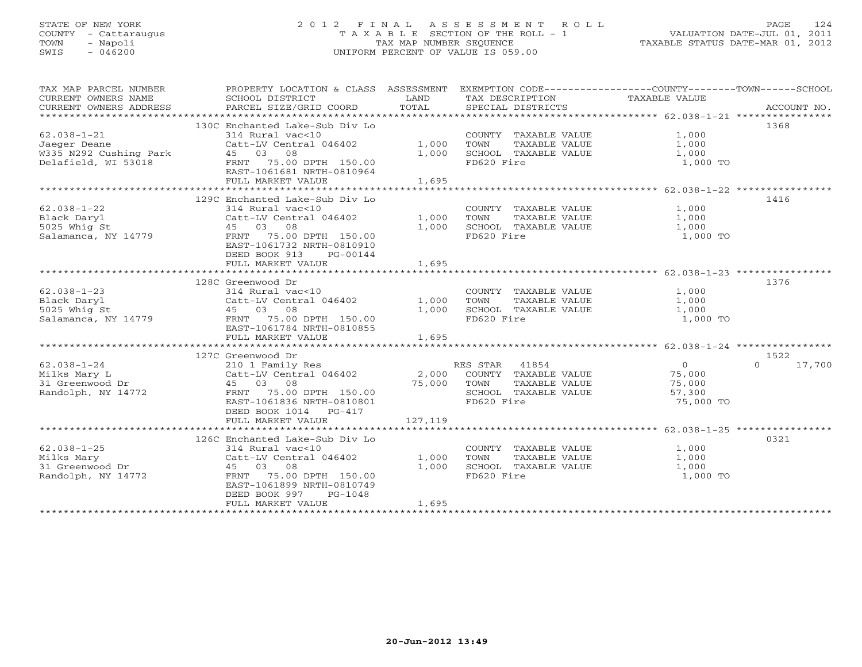# STATE OF NEW YORK 2 0 1 2 F I N A L A S S E S S M E N T R O L L PAGE 124 COUNTY - Cattaraugus T A X A B L E SECTION OF THE ROLL - 1 VALUATION DATE-JUL 01, 2011 TOWN - Napoli TAX MAP NUMBER SEQUENCE TAXABLE STATUS DATE-MAR 01, 2012 SWIS - 046200 UNIFORM PERCENT OF VALUE IS 059.00UNIFORM PERCENT OF VALUE IS 059.00

| TAX MAP PARCEL NUMBER<br>CURRENT OWNERS NAME<br>CURRENT OWNERS ADDRESS | PROPERTY LOCATION & CLASS ASSESSMENT EXEMPTION CODE---------------COUNTY-------TOWN------SCHOOL<br>SCHOOL DISTRICT<br>PARCEL SIZE/GRID COORD | LAND<br>TOTAL | TAX DESCRIPTION TAXABLE VALUE<br>SPECIAL DISTRICTS    |                | ACCOUNT NO.        |
|------------------------------------------------------------------------|----------------------------------------------------------------------------------------------------------------------------------------------|---------------|-------------------------------------------------------|----------------|--------------------|
|                                                                        |                                                                                                                                              |               |                                                       |                |                    |
|                                                                        | 130C Enchanted Lake-Sub Div Lo                                                                                                               |               |                                                       |                | 1368               |
| $62.038 - 1 - 21$                                                      | 314 Rural vac<10                                                                                                                             |               | COUNTY TAXABLE VALUE                                  | 1,000          |                    |
| Jaeger Deane                                                           | Catt-LV Central 046402                                                                                                                       | 1,000         |                                                       | 1,000          |                    |
| W335 N292 Cushing Park 45 03 08                                        |                                                                                                                                              | 1,000         | TOWN       TAXABLE  VALUE<br>SCHOOL    TAXABLE  VALUE | 1,000          |                    |
| Delafield, WI 53018                                                    | FRNT 75.00 DPTH 150.00                                                                                                                       |               | FD620 Fire                                            | 1,000 TO       |                    |
|                                                                        | EAST-1061681 NRTH-0810964                                                                                                                    |               |                                                       |                |                    |
|                                                                        | FULL MARKET VALUE                                                                                                                            | 1,695         |                                                       |                |                    |
|                                                                        |                                                                                                                                              |               |                                                       |                |                    |
|                                                                        | 129C Enchanted Lake-Sub Div Lo                                                                                                               |               |                                                       |                | 1416               |
| $62.038 - 1 - 22$                                                      | 314 Rural vac<10                                                                                                                             |               |                                                       | 1,000          |                    |
| Black Daryl                                                            | Catt-LV Central 046402                                                                                                                       | 1,000         | COUNTY TAXABLE VALUE<br>TOWN     TAXABLE VALUE        | 1,000          |                    |
|                                                                        | 45 03 08                                                                                                                                     | 1,000         | SCHOOL TAXABLE VALUE                                  | 1,000          |                    |
| ------ ------<br>5025 Whig St<br>Salamanca, NY 14779                   | FRNT 75.00 DPTH 150.00                                                                                                                       |               | FD620 Fire                                            | 1,000 TO       |                    |
|                                                                        | EAST-1061732 NRTH-0810910                                                                                                                    |               |                                                       |                |                    |
|                                                                        |                                                                                                                                              |               |                                                       |                |                    |
|                                                                        | DEED BOOK 913<br>PG-00144                                                                                                                    |               |                                                       |                |                    |
|                                                                        | FULL MARKET VALUE                                                                                                                            | 1,695         |                                                       |                |                    |
|                                                                        |                                                                                                                                              |               |                                                       |                |                    |
|                                                                        | 128C Greenwood Dr                                                                                                                            |               |                                                       |                | 1376               |
| $62.038 - 1 - 23$                                                      | 314 Rural vac<10                                                                                                                             | 1,000         | COUNTY TAXABLE VALUE                                  | 1,000          |                    |
| Black Daryl                                                            | Catt-LV Central 046402                                                                                                                       |               | TOWN<br>TAXABLE VALUE                                 | 1,000          |                    |
| 5025 Whig St                                                           | 45 03 08                                                                                                                                     | 1,000         | SCHOOL TAXABLE VALUE                                  | 1,000          |                    |
| Salamanca, NY 14779                                                    | FRNT 75.00 DPTH 150.00                                                                                                                       |               | FD620 Fire                                            | 1,000 TO       |                    |
|                                                                        | EAST-1061784 NRTH-0810855                                                                                                                    |               |                                                       |                |                    |
|                                                                        | FULL MARKET VALUE                                                                                                                            | 1,695         |                                                       |                |                    |
|                                                                        |                                                                                                                                              |               |                                                       |                |                    |
|                                                                        | 127C Greenwood Dr<br>27C Greenwood Dr<br>210 1 Family Res<br>Catt-LV Central 046402 2,000 COUNTY TAXABLE VALUE                               |               |                                                       |                | 1522               |
| $62.038 - 1 - 24$                                                      |                                                                                                                                              |               |                                                       | $\overline{0}$ | $\Omega$<br>17,700 |
| Milks Mary L                                                           |                                                                                                                                              |               |                                                       | 75,000         |                    |
| 31 Greenwood Dr                                                        | 45 03 08 2011<br>FRNT 75.00 DPTH 150.00 75,000 TOWN                                                                                          |               | TAXABLE VALUE                                         | 75,000         |                    |
| Randolph, NY 14772                                                     |                                                                                                                                              |               | SCHOOL TAXABLE VALUE                                  | 57,300         |                    |
|                                                                        | EAST-1061836 NRTH-0810801                                                                                                                    |               | FD620 Fire                                            | 75,000 TO      |                    |
|                                                                        | DEED BOOK 1014 PG-417                                                                                                                        |               |                                                       |                |                    |
|                                                                        | FULL MARKET VALUE                                                                                                                            | 127, 119      |                                                       |                |                    |
|                                                                        |                                                                                                                                              |               |                                                       |                |                    |
|                                                                        | 126C Enchanted Lake-Sub Div Lo                                                                                                               |               |                                                       |                | 0321               |
| $62.038 - 1 - 25$                                                      | 314 Rural vac<10                                                                                                                             |               | COUNTY TAXABLE VALUE                                  | 1,000          |                    |
| Milks Mary                                                             | Catt-LV Central 046402                                                                                                                       | 1,000         | TOWN<br>TAXABLE VALUE                                 | 1,000          |                    |
| 31 Greenwood Dr<br>31 Greenwood Dr                                     | 45 03 08                                                                                                                                     | 1,000         | SCHOOL TAXABLE VALUE                                  | 1,000          |                    |
| Randolph, NY 14772                                                     | FRNT 75.00 DPTH 150.00                                                                                                                       |               | FD620 Fire                                            | 1,000 TO       |                    |
|                                                                        | EAST-1061899 NRTH-0810749                                                                                                                    |               |                                                       |                |                    |
|                                                                        | DEED BOOK 997<br>PG-1048                                                                                                                     |               |                                                       |                |                    |
|                                                                        | FULL MARKET VALUE                                                                                                                            | 1,695         |                                                       |                |                    |
|                                                                        |                                                                                                                                              |               |                                                       |                |                    |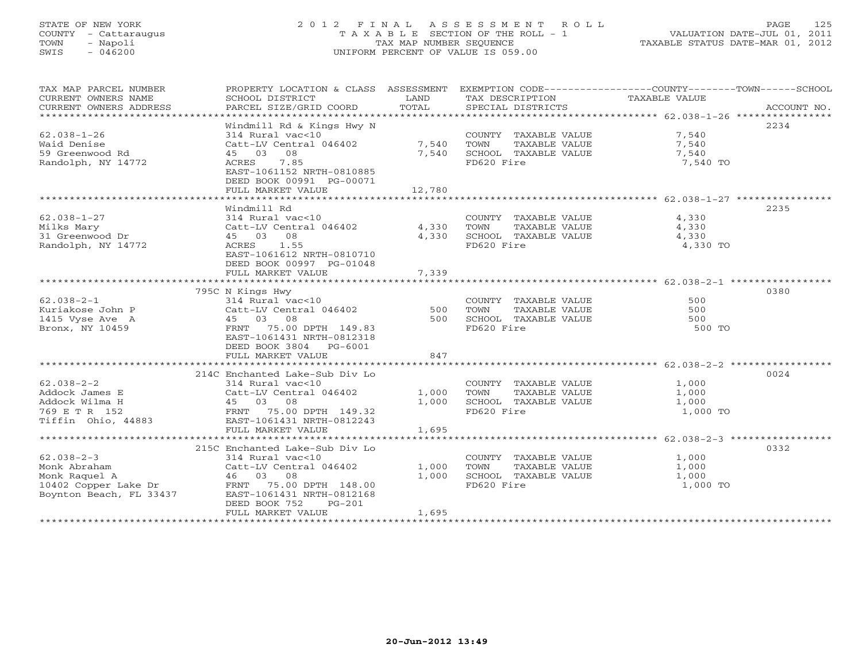# STATE OF NEW YORK 2 0 1 2 F I N A L A S S E S S M E N T R O L L PAGE 125 COUNTY - Cattaraugus T A X A B L E SECTION OF THE ROLL - 1 VALUATION DATE-JUL 01, 2011 TOWN - Napoli TAX MAP NUMBER SEQUENCE TAXABLE STATUS DATE-MAR 01, 2012 SWIS - 046200 UNIFORM PERCENT OF VALUE IS 059.00UNIFORM PERCENT OF VALUE IS 059.00

| TAX MAP PARCEL NUMBER   |                                    |        |                       | PROPERTY LOCATION & CLASS ASSESSMENT EXEMPTION CODE----------------COUNTY-------TOWN------SCHOOL |             |
|-------------------------|------------------------------------|--------|-----------------------|--------------------------------------------------------------------------------------------------|-------------|
| CURRENT OWNERS NAME     | SCHOOL DISTRICT                    | LAND   | TAX DESCRIPTION       | TAXABLE VALUE                                                                                    |             |
| CURRENT OWNERS ADDRESS  | PARCEL SIZE/GRID COORD             | TOTAL  | SPECIAL DISTRICTS     |                                                                                                  | ACCOUNT NO. |
|                         |                                    |        |                       |                                                                                                  |             |
|                         | Windmill Rd & Kings Hwy N          |        |                       |                                                                                                  | 2234        |
| $62.038 - 1 - 26$       | 314 Rural vac<10                   |        | COUNTY TAXABLE VALUE  | 7,540                                                                                            |             |
| Waid Denise             | Catt-LV Central 046402             | 7,540  | TOWN<br>TAXABLE VALUE | 7,540                                                                                            |             |
| 59 Greenwood Rd         | 45 03<br>08                        | 7,540  | SCHOOL TAXABLE VALUE  | 7,540                                                                                            |             |
| Randolph, NY 14772      | ACRES 7.85                         |        | FD620 Fire            | 7,540 TO                                                                                         |             |
|                         | EAST-1061152 NRTH-0810885          |        |                       |                                                                                                  |             |
|                         | DEED BOOK 00991 PG-00071           |        |                       |                                                                                                  |             |
|                         |                                    |        |                       |                                                                                                  |             |
|                         | FULL MARKET VALUE                  | 12,780 |                       |                                                                                                  |             |
|                         |                                    |        |                       |                                                                                                  |             |
|                         | Windmill Rd                        |        |                       |                                                                                                  | 2235        |
| $62.038 - 1 - 27$       | 314 Rural vac<10                   |        | COUNTY TAXABLE VALUE  | 4,330                                                                                            |             |
| Milks Mary              | Catt-LV Central 046402             | 4,330  | TOWN<br>TAXABLE VALUE | 4,330                                                                                            |             |
| 31 Greenwood Dr         | 45 03 08                           | 4,330  | SCHOOL TAXABLE VALUE  | 4,330                                                                                            |             |
| Randolph, NY 14772      | ACRES 1.55                         |        | FD620 Fire            | 4,330 TO                                                                                         |             |
|                         | EAST-1061612 NRTH-0810710          |        |                       |                                                                                                  |             |
|                         | DEED BOOK 00997 PG-01048           |        |                       |                                                                                                  |             |
|                         | FULL MARKET VALUE                  | 7,339  |                       |                                                                                                  |             |
|                         |                                    |        |                       |                                                                                                  |             |
|                         | 795C N Kings Hwy                   |        |                       |                                                                                                  | 0380        |
| $62.038 - 2 - 1$        | 314 Rural vac<10                   |        | COUNTY TAXABLE VALUE  | 500                                                                                              |             |
|                         |                                    |        |                       | 500                                                                                              |             |
| Kuriakose John P        | Catt-LV Central 046402<br>45 03 08 | 500    | TOWN<br>TAXABLE VALUE | 500                                                                                              |             |
| 1415 Vyse Ave A         |                                    | 500    | SCHOOL TAXABLE VALUE  |                                                                                                  |             |
| Bronx, NY 10459         | FRNT 75.00 DPTH 149.83             |        | FD620 Fire            | 500 TO                                                                                           |             |
|                         | EAST-1061431 NRTH-0812318          |        |                       |                                                                                                  |             |
|                         | DEED BOOK 3804 PG-6001             |        |                       |                                                                                                  |             |
|                         | FULL MARKET VALUE                  | 847    |                       |                                                                                                  |             |
|                         |                                    |        |                       |                                                                                                  |             |
|                         | 214C Enchanted Lake-Sub Div Lo     |        |                       |                                                                                                  | 0024        |
| $62.038 - 2 - 2$        | 314 Rural vac<10                   |        | COUNTY TAXABLE VALUE  | 1,000                                                                                            |             |
| Addock James E          | Catt-LV Central 046402             | 1,000  | TOWN<br>TAXABLE VALUE | 1,000                                                                                            |             |
| Addock Wilma H          | 03 Catt-LV<br>45 03 08             | 1,000  | SCHOOL TAXABLE VALUE  | 1,000                                                                                            |             |
| 769 E T R 152           | FRNT 75.00 DPTH 149.32             |        | FD620 Fire            | 1,000 TO                                                                                         |             |
| Tiffin Ohio, 44883      | EAST-1061431 NRTH-0812243          |        |                       |                                                                                                  |             |
|                         | FULL MARKET VALUE                  | 1,695  |                       |                                                                                                  |             |
|                         |                                    |        |                       |                                                                                                  |             |
|                         | 215C Enchanted Lake-Sub Div Lo     |        |                       |                                                                                                  | 0332        |
| $62.038 - 2 - 3$        | 314 Rural vac<10                   |        | COUNTY TAXABLE VALUE  |                                                                                                  |             |
|                         | Catt-LV Central 046402             |        | TOWN                  | $1,000$<br>$1,000$                                                                               |             |
| Monk Abraham            |                                    | 1,000  | TAXABLE VALUE         | 1,000                                                                                            |             |
|                         |                                    | 1,000  | SCHOOL TAXABLE VALUE  | 1,000                                                                                            |             |
|                         |                                    |        | FD620 Fire            | 1,000 TO                                                                                         |             |
| Boynton Beach, FL 33437 | EAST-1061431 NRTH-0812168          |        |                       |                                                                                                  |             |
|                         | DEED BOOK 752<br>$PG-201$          |        |                       |                                                                                                  |             |
|                         | FULL MARKET VALUE                  | 1,695  |                       |                                                                                                  |             |
|                         |                                    |        |                       |                                                                                                  |             |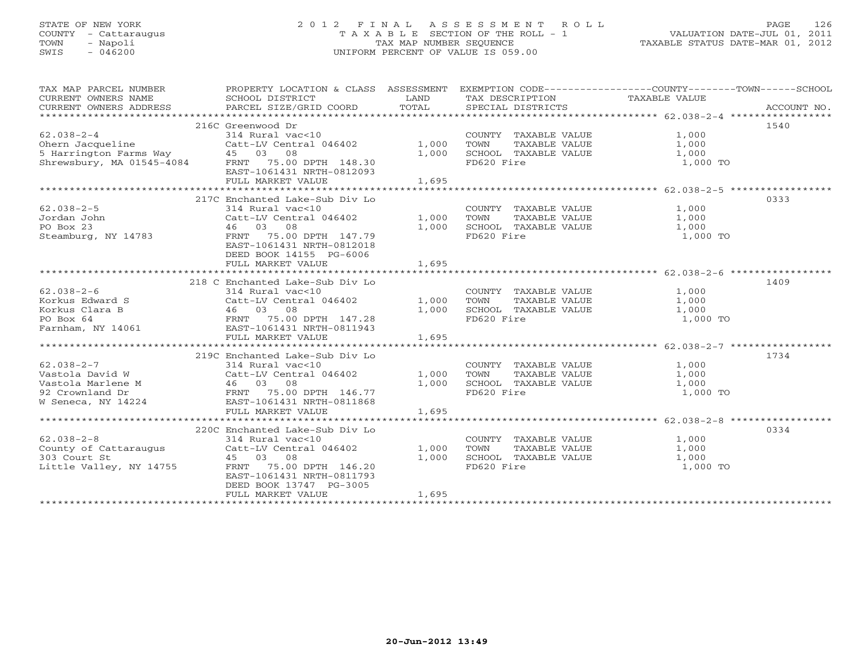# STATE OF NEW YORK 2 0 1 2 F I N A L A S S E S S M E N T R O L L PAGE 126 COUNTY - Cattaraugus T A X A B L E SECTION OF THE ROLL - 1 VALUATION DATE-JUL 01, 2011 TOWN - Napoli TAX MAP NUMBER SEQUENCE TAXABLE STATUS DATE-MAR 01, 2012 SWIS - 046200 UNIFORM PERCENT OF VALUE IS 059.00UNIFORM PERCENT OF VALUE IS 059.00

| TAX MAP PARCEL NUMBER<br>CURRENT OWNERS NAME<br>CURRENT OWNERS ADDRESS                                                                             | PROPERTY LOCATION & CLASS ASSESSMENT<br>SCHOOL DISTRICT<br>PARCEL SIZE/GRID COORD | LAND<br>TOTAL | TAX DESCRIPTION TAXABLE VALUE<br>SPECIAL DISTRICTS | EXEMPTION CODE-----------------COUNTY-------TOWN------SCHOOL<br>ACCOUNT NO. |
|----------------------------------------------------------------------------------------------------------------------------------------------------|-----------------------------------------------------------------------------------|---------------|----------------------------------------------------|-----------------------------------------------------------------------------|
|                                                                                                                                                    |                                                                                   |               |                                                    |                                                                             |
|                                                                                                                                                    | 216C Greenwood Dr                                                                 |               |                                                    | 1540                                                                        |
| $62.038 - 2 - 4$                                                                                                                                   | 314 Rural vac<10                                                                  |               | COUNTY TAXABLE VALUE                               | 1,000                                                                       |
|                                                                                                                                                    | Catt-LV Central 046402 1,000                                                      |               | TOWN<br>TAXABLE VALUE                              | 1,000                                                                       |
|                                                                                                                                                    |                                                                                   | 1,000         | SCHOOL TAXABLE VALUE                               | 1,000                                                                       |
| Ohern Jacqueline Catt-LV Central 046402<br>5 Harrington Farms Way        45   03   08<br>Shrewsbury, MA 01545-4084       FRNT   75.00 DPTH  148.30 |                                                                                   |               | FD620 Fire                                         | 1,000 TO                                                                    |
|                                                                                                                                                    | EAST-1061431 NRTH-0812093                                                         |               |                                                    |                                                                             |
|                                                                                                                                                    | FULL MARKET VALUE                                                                 | 1,695         |                                                    |                                                                             |
|                                                                                                                                                    |                                                                                   |               |                                                    |                                                                             |
|                                                                                                                                                    | 217C Enchanted Lake-Sub Div Lo                                                    |               |                                                    | 0333                                                                        |
| $62.038 - 2 - 5$                                                                                                                                   | 314 Rural vac<10                                                                  |               | COUNTY TAXABLE VALUE 1,000                         |                                                                             |
| Jordan John                                                                                                                                        | Catt-LV Central 046402                                                            | 1,000         | TOWN                                               | TAXABLE VALUE 1,000                                                         |
| PO Box 23                                                                                                                                          | 46 03 08                                                                          | 1,000         | SCHOOL TAXABLE VALUE                               | 1,000                                                                       |
| Steamburg, NY 14783                                                                                                                                | FRNT 75.00 DPTH 147.79                                                            |               | FD620 Fire                                         | 1,000 TO                                                                    |
|                                                                                                                                                    | EAST-1061431 NRTH-0812018                                                         |               |                                                    |                                                                             |
|                                                                                                                                                    | DEED BOOK 14155 PG-6006                                                           |               |                                                    |                                                                             |
|                                                                                                                                                    | FULL MARKET VALUE                                                                 | 1,695         |                                                    |                                                                             |
|                                                                                                                                                    |                                                                                   |               |                                                    |                                                                             |
|                                                                                                                                                    | 218 C Enchanted Lake-Sub Div Lo                                                   |               |                                                    | 1409                                                                        |
| $62.038 - 2 - 6$                                                                                                                                   | 314 Rural vac<10                                                                  |               | COUNTY TAXABLE VALUE                               | 1,000                                                                       |
| Korkus Edward S                                                                                                                                    | Catt-LV Central 046402                                                            | 1,000         | TAXABLE VALUE<br>TOWN                              | 1,000                                                                       |
| Korkus Clara B                                                                                                                                     | 46 03 08                                                                          | 1,000         | SCHOOL TAXABLE VALUE                               | 1,000                                                                       |
| PO Box 64                                                                                                                                          |                                                                                   |               | FD620 Fire                                         | 1,000 TO                                                                    |
| Farnham, NY 14061                                                                                                                                  | FRNT 75.00 DPTH 147.28<br>FAST-1061431 NPTH-0811943<br>EAST-1061431 NRTH-0811943  |               |                                                    |                                                                             |
|                                                                                                                                                    | FULL MARKET VALUE                                                                 | 1,695         |                                                    |                                                                             |
|                                                                                                                                                    |                                                                                   |               |                                                    |                                                                             |
|                                                                                                                                                    | 219C Enchanted Lake-Sub Div Lo                                                    |               |                                                    | 1734                                                                        |
| $62.038 - 2 - 7$                                                                                                                                   | 314 Rural vac<10                                                                  |               | COUNTY TAXABLE VALUE                               | 1,000                                                                       |
| Vastola David W                                                                                                                                    | Catt-LV Central 046402                                                            | 1,000         | TOWN<br>TAXABLE VALUE                              | 1,000                                                                       |
| Vastola Marlene M 46 03 08                                                                                                                         |                                                                                   | 1,000         | SCHOOL TAXABLE VALUE 1,000                         |                                                                             |
| 92 Crownland Dr<br>W Seneca, NY 14224 FRNT 75.00 DPTH 146.77<br>W Seneca, NY 14224 FAST-1061421 NDPU 2000000                                       |                                                                                   |               | FD620 Fire                                         | 1,000 TO                                                                    |
|                                                                                                                                                    |                                                                                   |               |                                                    |                                                                             |
|                                                                                                                                                    | FULL MARKET VALUE                                                                 |               |                                                    |                                                                             |
|                                                                                                                                                    |                                                                                   | 1,695         |                                                    |                                                                             |
|                                                                                                                                                    |                                                                                   |               |                                                    |                                                                             |
|                                                                                                                                                    | 220C Enchanted Lake-Sub Div Lo                                                    |               |                                                    | 0334                                                                        |
| $62.038 - 2 - 8$                                                                                                                                   | 314 Rural vac<10                                                                  |               | COUNTY TAXABLE VALUE                               | 1,000                                                                       |
| County of Cattaraugus                                                                                                                              | Catt-LV Central 046402                                                            | 1,000         | TAXABLE VALUE<br>TOWN                              | 1,000                                                                       |
| 303 Court St                                                                                                                                       | 45 03 08                                                                          | 1,000         | SCHOOL TAXABLE VALUE                               | 1,000                                                                       |
| Little Valley, NY 14755                                                                                                                            | FRNT 75.00 DPTH 146.20                                                            |               | FD620 Fire                                         | 1,000 TO                                                                    |
|                                                                                                                                                    | EAST-1061431 NRTH-0811793                                                         |               |                                                    |                                                                             |
|                                                                                                                                                    | DEED BOOK 13747 PG-3005                                                           |               |                                                    |                                                                             |
|                                                                                                                                                    | FULL MARKET VALUE                                                                 | 1,695         |                                                    |                                                                             |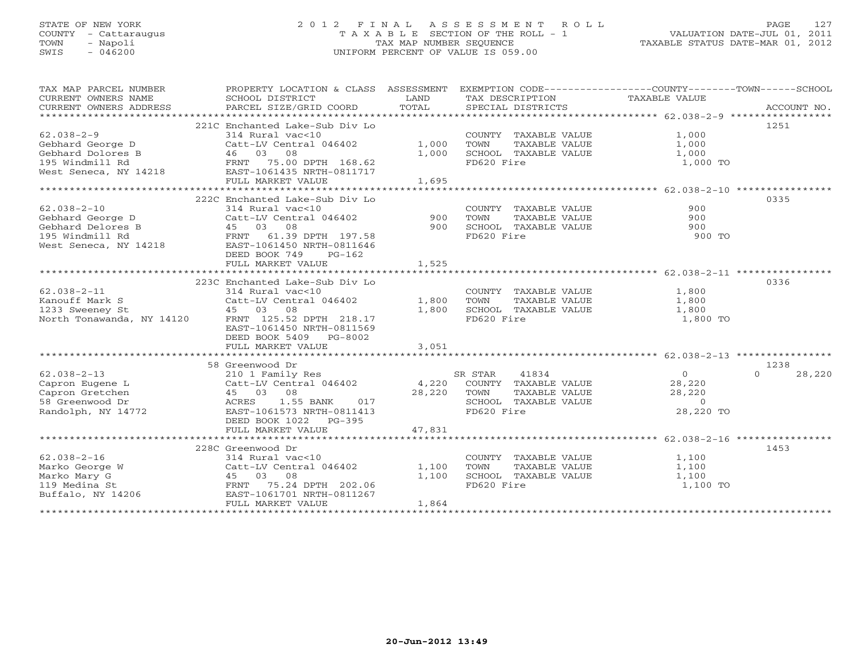# STATE OF NEW YORK 2 0 1 2 F I N A L A S S E S S M E N T R O L L PAGE 127 COUNTY - Cattaraugus T A X A B L E SECTION OF THE ROLL - 1 VALUATION DATE-JUL 01, 2011 TOWN - Napoli TAX MAP NUMBER SEQUENCE TAXABLE STATUS DATE-MAR 01, 2012 SWIS - 046200 UNIFORM PERCENT OF VALUE IS 059.00UNIFORM PERCENT OF VALUE IS 059.00

| TAX MAP PARCEL NUMBER<br>$\begin{tabular}{lllllll} \multicolumn{2}{l}{{\small\sc{CURRENT}}}& $\text{MME}$ & $\text{SCHOOL} & $\text{DISTRICT}$ & $\text{LAND}$ & $\text{TAX} & $\text{DESCRIPTION}$ & $\text{TAXABLE} & $\text{VALUE}$ \\ & $\text{CURRENT} & $\text{MDRESS}$ & $\text{PARCEL} & $\text{SIZE/GRID} & $\text{COORD}$ & $\text{TOTAL}$ & $\text{SPECIAL} & $\text{DISTRICTS}$ & $\text{RCCOUNT} & $\text{NOL}$ \\ & $\text{*} * * * * * * * * * * * * * * * * * * * * * * * * * * * * * * * * * *$ | PROPERTY LOCATION & CLASS ASSESSMENT                   |        |                                               | EXEMPTION CODE-----------------COUNTY-------TOWN------SCHOOL |        |
|------------------------------------------------------------------------------------------------------------------------------------------------------------------------------------------------------------------------------------------------------------------------------------------------------------------------------------------------------------------------------------------------------------------------------------------------------------------------------------------------------------------|--------------------------------------------------------|--------|-----------------------------------------------|--------------------------------------------------------------|--------|
|                                                                                                                                                                                                                                                                                                                                                                                                                                                                                                                  |                                                        |        |                                               |                                                              |        |
|                                                                                                                                                                                                                                                                                                                                                                                                                                                                                                                  | 221C Enchanted Lake-Sub Div Lo                         |        |                                               |                                                              | 1251   |
| $62.038 - 2 - 9$<br>Gebhard George D                                                                                                                                                                                                                                                                                                                                                                                                                                                                             | 314 Rural vac<10<br>Catt-LV Central 046402             | 1,000  | COUNTY TAXABLE VALUE<br>TAXABLE VALUE<br>TOWN | 1,000<br>1,000                                               |        |
|                                                                                                                                                                                                                                                                                                                                                                                                                                                                                                                  |                                                        | 1,000  | SCHOOL TAXABLE VALUE                          | 1,000                                                        |        |
| Cebhard Dolores B<br>195 Windmill Rd<br>195 Windmill Rd<br>195 West Seneca, NY 14218<br>195 West Seneca, NY 14218<br>195 West Seneca, NY 14218                                                                                                                                                                                                                                                                                                                                                                   |                                                        |        | FD620 Fire                                    | 1,000 TO                                                     |        |
|                                                                                                                                                                                                                                                                                                                                                                                                                                                                                                                  |                                                        |        |                                               |                                                              |        |
|                                                                                                                                                                                                                                                                                                                                                                                                                                                                                                                  | FULL MARKET VALUE                                      | 1,695  |                                               |                                                              |        |
|                                                                                                                                                                                                                                                                                                                                                                                                                                                                                                                  | 222C Enchanted Lake-Sub Div Lo                         |        |                                               |                                                              | 0335   |
| $62.038 - 2 - 10$                                                                                                                                                                                                                                                                                                                                                                                                                                                                                                | 314 Rural vac<10                                       |        | COUNTY TAXABLE VALUE                          | 900                                                          |        |
| Gebhard George D                                                                                                                                                                                                                                                                                                                                                                                                                                                                                                 | Catt-LV Central 046402                                 | 900    | TOWN<br>TAXABLE VALUE                         | 900                                                          |        |
| Gebhard Delores B                                                                                                                                                                                                                                                                                                                                                                                                                                                                                                |                                                        | 900    | SCHOOL TAXABLE VALUE                          | 900                                                          |        |
| 195 Windmill Rd                                                                                                                                                                                                                                                                                                                                                                                                                                                                                                  | 3<br>197.58<br>FRNT 61.39 DPTH 197.58                  |        | FD620 Fire                                    | 900 TO                                                       |        |
| West Seneca, NY 14218                                                                                                                                                                                                                                                                                                                                                                                                                                                                                            | EAST-1061450 NRTH-0811646<br>DEED BOOK 749<br>$PG-162$ |        |                                               |                                                              |        |
|                                                                                                                                                                                                                                                                                                                                                                                                                                                                                                                  | FULL MARKET VALUE                                      | 1,525  |                                               |                                                              |        |
|                                                                                                                                                                                                                                                                                                                                                                                                                                                                                                                  |                                                        |        |                                               |                                                              |        |
| $62.038 - 2 - 11$                                                                                                                                                                                                                                                                                                                                                                                                                                                                                                | 223C Enchanted Lake-Sub Div Lo<br>314 Rural vac<10     |        |                                               |                                                              | 0336   |
| Kanouff Mark S                                                                                                                                                                                                                                                                                                                                                                                                                                                                                                   | Catt-LV Central 046402                                 | 1,800  | COUNTY TAXABLE VALUE<br>TOWN<br>TAXABLE VALUE | 1,800<br>1,800                                               |        |
| 1233 Sweeney St                                                                                                                                                                                                                                                                                                                                                                                                                                                                                                  | 45 03 08                                               | 1,800  | SCHOOL TAXABLE VALUE                          | 1,800                                                        |        |
| North Tonawanda, NY 14120                                                                                                                                                                                                                                                                                                                                                                                                                                                                                        | FRNT 125.52 DPTH 218.17                                |        | FD620 Fire                                    | 1,800 TO                                                     |        |
|                                                                                                                                                                                                                                                                                                                                                                                                                                                                                                                  | EAST-1061450 NRTH-0811569                              |        |                                               |                                                              |        |
|                                                                                                                                                                                                                                                                                                                                                                                                                                                                                                                  | DEED BOOK 5409 PG-8002                                 |        |                                               |                                                              |        |
|                                                                                                                                                                                                                                                                                                                                                                                                                                                                                                                  | FULL MARKET VALUE                                      | 3.051  |                                               |                                                              |        |
|                                                                                                                                                                                                                                                                                                                                                                                                                                                                                                                  |                                                        |        |                                               |                                                              |        |
|                                                                                                                                                                                                                                                                                                                                                                                                                                                                                                                  | 58 Greenwood Dr                                        |        |                                               |                                                              | 1238   |
| $62.038 - 2 - 13$                                                                                                                                                                                                                                                                                                                                                                                                                                                                                                | 210 1 Family Res                                       |        | 41834<br>SR STAR                              | $\overline{0}$<br>$\Omega$                                   | 28,220 |
| Capron Eugene L                                                                                                                                                                                                                                                                                                                                                                                                                                                                                                  | Catt-LV Central 046402 4,220 COUNTY TAXABLE VALUE      |        |                                               | 28,220                                                       |        |
| Catt-L<br>45 0<br>ACRES<br>Capron Gretchen                                                                                                                                                                                                                                                                                                                                                                                                                                                                       | 45 03 08                                               | 28,220 | TOWN<br>TAXABLE VALUE                         | 28,220                                                       |        |
| 58 Greenwood Dr                                                                                                                                                                                                                                                                                                                                                                                                                                                                                                  | 1.55 BANK<br>017                                       |        | SCHOOL TAXABLE VALUE                          | $\circ$                                                      |        |
| Randolph, NY 14772                                                                                                                                                                                                                                                                                                                                                                                                                                                                                               | EAST-1061573 NRTH-0811413<br>DEED BOOK 1022 PG-395     |        | FD620 Fire                                    | 28,220 TO                                                    |        |
|                                                                                                                                                                                                                                                                                                                                                                                                                                                                                                                  | FULL MARKET VALUE                                      | 47,831 |                                               |                                                              |        |
|                                                                                                                                                                                                                                                                                                                                                                                                                                                                                                                  | 228C Greenwood Dr                                      |        |                                               |                                                              | 1453   |
| $62.038 - 2 - 16$                                                                                                                                                                                                                                                                                                                                                                                                                                                                                                | 314 Rural vac<10                                       |        | COUNTY TAXABLE VALUE                          | 1,100                                                        |        |
| Marko George W                                                                                                                                                                                                                                                                                                                                                                                                                                                                                                   | Catt-LV Central 046402                                 | 1,100  | TOWN<br>TAXABLE VALUE                         | 1,100                                                        |        |
|                                                                                                                                                                                                                                                                                                                                                                                                                                                                                                                  |                                                        | 1,100  | SCHOOL TAXABLE VALUE                          | 1,100                                                        |        |
|                                                                                                                                                                                                                                                                                                                                                                                                                                                                                                                  |                                                        |        | FD620 Fire                                    | 1,100 TO                                                     |        |
| Marko Mary G<br>119 Medina St<br>Buffalo, NY 14206<br>202.06<br>ELSAST-1061701 NRTH-0811267<br>202.06<br>202.07<br>202.07<br>202.07<br>202.07<br>202.08                                                                                                                                                                                                                                                                                                                                                          |                                                        |        |                                               |                                                              |        |
|                                                                                                                                                                                                                                                                                                                                                                                                                                                                                                                  | FULL MARKET VALUE                                      | 1,864  |                                               |                                                              |        |
|                                                                                                                                                                                                                                                                                                                                                                                                                                                                                                                  |                                                        |        |                                               |                                                              |        |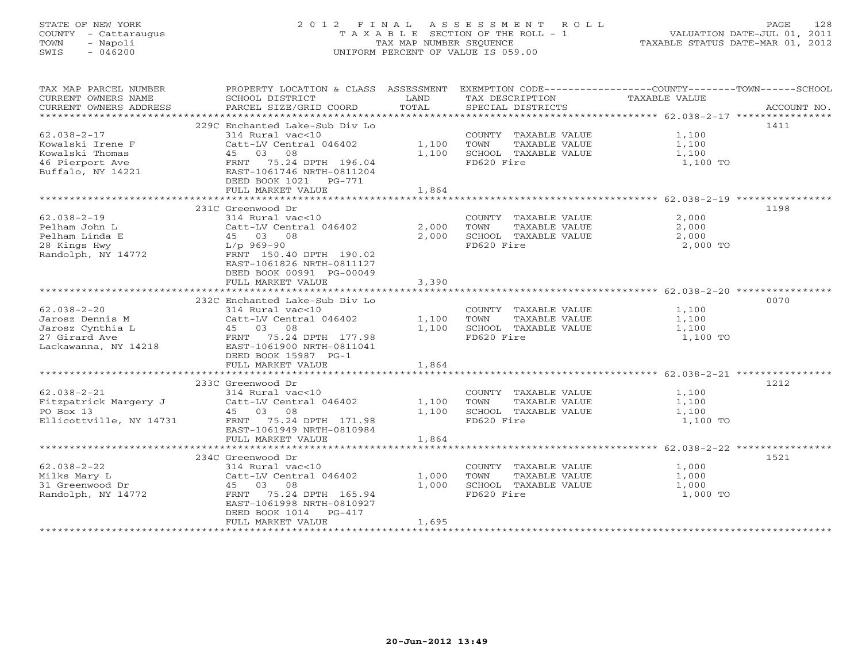# STATE OF NEW YORK 2 0 1 2 F I N A L A S S E S S M E N T R O L L PAGE 128 COUNTY - Cattaraugus T A X A B L E SECTION OF THE ROLL - 1 VALUATION DATE-JUL 01, 2011 TOWN - Napoli TAX MAP NUMBER SEQUENCE TAXABLE STATUS DATE-MAR 01, 2012 SWIS - 046200 UNIFORM PERCENT OF VALUE IS 059.00UNIFORM PERCENT OF VALUE IS 059.00

| TAX MAP PARCEL NUMBER<br>CURRENT OWNERS NAME<br>CURRENT OWNERS ADDRESS | PROPERTY LOCATION & CLASS ASSESSMENT<br>SCHOOL DISTRICT<br>PARCEL SIZE/GRID COORD | LAND<br>TOTAL | EXEMPTION CODE-----------------COUNTY-------TOWN------SCHOOL<br>TAX DESCRIPTION<br>SPECIAL DISTRICTS | TAXABLE VALUE       | ACCOUNT NO. |
|------------------------------------------------------------------------|-----------------------------------------------------------------------------------|---------------|------------------------------------------------------------------------------------------------------|---------------------|-------------|
|                                                                        |                                                                                   |               |                                                                                                      |                     |             |
| $62.038 - 2 - 17$<br>Kowalski Irene F                                  | 229C Enchanted Lake-Sub Div Lo<br>314 Rural vac<10<br>Catt-LV Central 046402      | 1,100         | COUNTY TAXABLE VALUE<br>TOWN<br>TAXABLE VALUE                                                        | 1,100<br>1,100      | 1411        |
| Kowalski Thomas<br>46 Pierport Ave                                     | 45 03 08<br>0.5 MH<br>FRNT 75.24 DPTH 196.04<br>EAST-1061746 NRTH-0811204         | 1,100         | SCHOOL TAXABLE VALUE<br>FD620 Fire                                                                   | 1,100<br>1,100 TO   |             |
| Buffalo, NY 14221                                                      | EAST-1061746 NRTH-0811204<br>DEED BOOK 1021    PG-771<br>FULL MARKET VALUE        | 1,864         |                                                                                                      |                     |             |
|                                                                        |                                                                                   |               |                                                                                                      |                     |             |
|                                                                        | 231C Greenwood Dr                                                                 |               |                                                                                                      |                     | 1198        |
| $62.038 - 2 - 19$                                                      | 314 Rural vac<10                                                                  |               | COUNTY TAXABLE VALUE 2,000                                                                           |                     |             |
| Pelham John L                                                          | Catt-LV Central 046402                                                            | 2,000         | TAXABLE VALUE<br>TOWN                                                                                | 2,000               |             |
| Pelham Linda E                                                         | 45 03 08                                                                          | 2,000         | SCHOOL TAXABLE VALUE                                                                                 | $\frac{1}{2}$ , 000 |             |
| 28 Kings Hwy<br>Randolph, NY 14772                                     | $L/p$ 969-90<br>FRNT 150.40 DPTH 190.02<br>EAST-1061826 NRTH-0811127              |               | FD620 Fire                                                                                           | 2,000 TO            |             |
|                                                                        | DEED BOOK 00991 PG-00049<br>FULL MARKET VALUE                                     | 3,390         |                                                                                                      |                     |             |
|                                                                        |                                                                                   |               |                                                                                                      |                     |             |
|                                                                        | 232C Enchanted Lake-Sub Div Lo                                                    |               |                                                                                                      |                     | 0070        |
| $62.038 - 2 - 20$                                                      | 314 Rural vac<10                                                                  |               | COUNTY TAXABLE VALUE                                                                                 | 1,100               |             |
| Jarosz Dennis M                                                        | Catt-LV Central 046402                                                            | 1,100         | TOWN<br>TAXABLE VALUE                                                                                | 1,100               |             |
| Jarosz Cynthia L                                                       | 45 03 08<br>45 03 08<br>FRNT 75.24 DPTH 177.98                                    | 1,100         | SCHOOL TAXABLE VALUE                                                                                 | 1,100               |             |
| 27 Girard Ave                                                          |                                                                                   |               | FD620 Fire                                                                                           | 1,100 TO            |             |
| Lackawanna, NY 14218                                                   | EAST-1061900 NRTH-0811041<br>DEED BOOK 15987 PG-1                                 |               |                                                                                                      |                     |             |
|                                                                        | FULL MARKET VALUE                                                                 | 1,864         |                                                                                                      |                     |             |
|                                                                        |                                                                                   |               |                                                                                                      |                     |             |
|                                                                        | 233C Greenwood Dr                                                                 |               |                                                                                                      |                     | 1212        |
| $62.038 - 2 - 21$                                                      | 314 Rural vac<10                                                                  |               | COUNTY TAXABLE VALUE                                                                                 | 1,100               |             |
| Fitzpatrick Margery J                                                  | Catt-LV Central 046402                                                            | 1,100         | TOWN<br>TAXABLE VALUE                                                                                | 1,100               |             |
| PO Box 13                                                              | 45 03 08                                                                          | 1,100         | SCHOOL TAXABLE VALUE                                                                                 | 1,100               |             |
| Ellicottville, NY 14731                                                | FRNT 75.24 DPTH 171.98<br>EAST-1061949 NRTH-0810984<br>FULL MARKET VALUE          | 1,864         | FD620 Fire                                                                                           | 1,100 TO            |             |
|                                                                        |                                                                                   |               |                                                                                                      |                     |             |
|                                                                        | 234C Greenwood Dr                                                                 |               |                                                                                                      |                     | 1521        |
| $62.038 - 2 - 22$                                                      | 314 Rural vac<10                                                                  |               | COUNTY TAXABLE VALUE                                                                                 | 1,000               |             |
| Milks Mary L                                                           | Catt-LV Central 046402                                                            | 1,000         | TOWN<br>TAXABLE VALUE                                                                                | 1,000               |             |
| 31 Greenwood Dr                                                        | 45 03 08                                                                          | 1,000         | SCHOOL TAXABLE VALUE                                                                                 | 1,000               |             |
| Randolph, NY 14772                                                     | FRNT 75.24 DPTH 165.94<br>EAST-1061998 NRTH-0810927<br>DEED BOOK 1014 PG-417      |               | FD620 Fire                                                                                           | 1,000 TO            |             |
|                                                                        | FULL MARKET VALUE                                                                 | 1,695         |                                                                                                      |                     |             |
|                                                                        |                                                                                   |               |                                                                                                      |                     |             |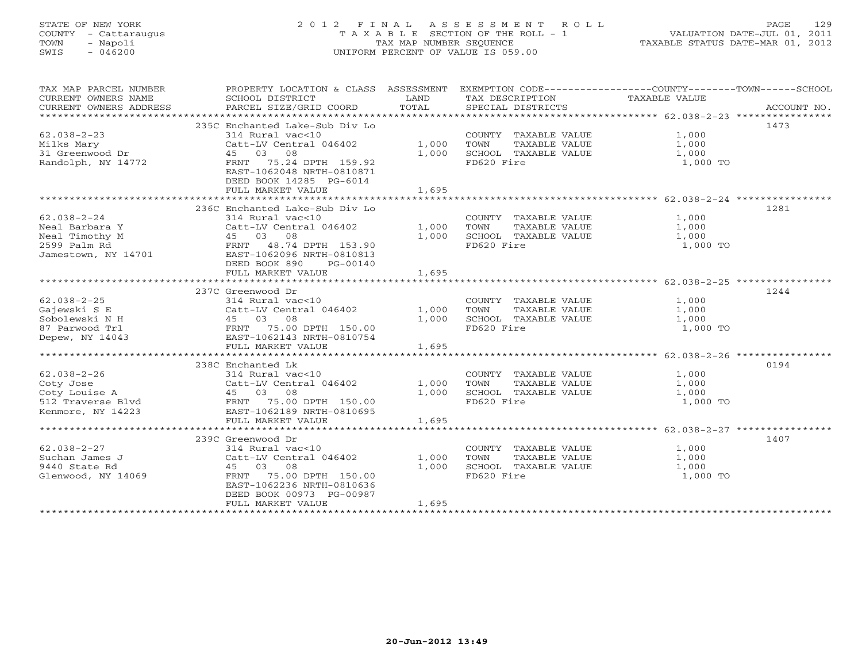# STATE OF NEW YORK 2 0 1 2 F I N A L A S S E S S M E N T R O L L PAGE 129 COUNTY - Cattaraugus T A X A B L E SECTION OF THE ROLL - 1 VALUATION DATE-JUL 01, 2011 TOWN - Napoli TAX MAP NUMBER SEQUENCE TAXABLE STATUS DATE-MAR 01, 2012 SWIS - 046200 UNIFORM PERCENT OF VALUE IS 059.00UNIFORM PERCENT OF VALUE IS 059.00

| TAX MAP PARCEL NUMBER<br>CURRENT OWNERS NAME                                                           | PROPERTY LOCATION & CLASS ASSESSMENT<br>SCHOOL DISTRICT                                                | LAND  | TAX DESCRIPTION TAXABLE VALUE                         | EXEMPTION CODE-----------------COUNTY-------TOWN------SCHOOL |
|--------------------------------------------------------------------------------------------------------|--------------------------------------------------------------------------------------------------------|-------|-------------------------------------------------------|--------------------------------------------------------------|
| CURRENT OWNERS ADDRESS                                                                                 | PARCEL SIZE/GRID COORD                                                                                 | TOTAL | SPECIAL DISTRICTS                                     | ACCOUNT NO.                                                  |
|                                                                                                        |                                                                                                        |       |                                                       |                                                              |
|                                                                                                        | 235C Enchanted Lake-Sub Div Lo                                                                         |       |                                                       | 1473                                                         |
| $62.038 - 2 - 23$                                                                                      | 314 Rural vac<10                                                                                       |       | COUNTY TAXABLE VALUE                                  | 1,000                                                        |
| Milks Mary                                                                                             | Catt-LV Central 046402                                                                                 | 1,000 | TOWN       TAXABLE  VALUE<br>SCHOOL    TAXABLE  VALUE | 1,000                                                        |
| 31 Greenwood Dr                                                                                        | 45 03 08                                                                                               | 1,000 |                                                       | 1,000                                                        |
| Randolph, NY 14772                                                                                     | FRNT<br>75.24 DPTH 159.92<br>EAST-1062048 NRTH-0810871<br>DEED BOOK 14285 PG-6014<br>FULL MARKET VALUE | 1,695 | FD620 Fire                                            | 1,000 TO                                                     |
|                                                                                                        |                                                                                                        |       |                                                       |                                                              |
|                                                                                                        | 236C Enchanted Lake-Sub Div Lo                                                                         |       |                                                       | 1281                                                         |
| $62.038 - 2 - 24$                                                                                      | 314 Rural vac<10                                                                                       |       | COUNTY TAXABLE VALUE                                  | 1,000                                                        |
| Neal Barbara Y                                                                                         | Catt-LV Central 046402                                                                                 | 1,000 | TAXABLE VALUE<br>TOWN                                 | 1,000                                                        |
| Neal Timothy M                                                                                         | 45 03 08                                                                                               | 1,000 | SCHOOL TAXABLE VALUE                                  | 1,000                                                        |
| 2599 Palm Rd                                                                                           | 48.74 DPTH 153.90<br>FRNT                                                                              |       | FD620 Fire                                            | 1,000 TO                                                     |
| Jamestown, NY 14701                                                                                    | EAST-1062096 NRTH-0810813                                                                              |       |                                                       |                                                              |
|                                                                                                        | DEED BOOK 890<br>PG-00140                                                                              |       |                                                       |                                                              |
|                                                                                                        | FULL MARKET VALUE                                                                                      | 1,695 |                                                       |                                                              |
|                                                                                                        |                                                                                                        |       |                                                       |                                                              |
|                                                                                                        | 237C Greenwood Dr                                                                                      |       |                                                       | 1244                                                         |
| $62.038 - 2 - 25$                                                                                      | 314 Rural vac<10                                                                                       |       | COUNTY TAXABLE VALUE                                  | 1,000                                                        |
| Gajewski S E                                                                                           | Catt-LV Central 046402                                                                                 | 1,000 | TAXABLE VALUE<br>TOWN                                 | 1,000                                                        |
| Sobolewski N H                                                                                         |                                                                                                        | 1,000 | SCHOOL TAXABLE VALUE                                  | 1,000                                                        |
| 87 Parwood Trl                                                                                         |                                                                                                        |       | FD620 Fire                                            | 1,000 TO                                                     |
| Depew, NY 14043                                                                                        | 45 03 08<br>FRNT 75.00 DPTH 150.00<br>EAST-1062143 NRTH-0810754<br>ELST MARKET VALUE                   |       |                                                       |                                                              |
|                                                                                                        |                                                                                                        | 1,695 |                                                       |                                                              |
|                                                                                                        |                                                                                                        |       |                                                       |                                                              |
|                                                                                                        | 238C Enchanted Lk                                                                                      |       |                                                       | 0194                                                         |
| $62.038 - 2 - 26$                                                                                      | 314 Rural vac<10                                                                                       |       | COUNTY TAXABLE VALUE 1,000                            |                                                              |
|                                                                                                        | Catt-LV Central 046402                                                                                 | 1,000 | TAXABLE VALUE<br>TOWN                                 | 1,000                                                        |
| Coty Jose Catt-LV Central 046402<br>Coty Louise A 45 03 08<br>512 Traverse Blvd FRNT 75.00 DPTH 150.00 |                                                                                                        | 1,000 | SCHOOL TAXABLE VALUE                                  | 1,000                                                        |
|                                                                                                        |                                                                                                        |       | FD620 Fire                                            | 1,000 TO                                                     |
| Kenmore, NY 14223                                                                                      | EAST-1062189 NRTH-0810695                                                                              |       |                                                       |                                                              |
|                                                                                                        | FULL MARKET VALUE                                                                                      | 1,695 |                                                       |                                                              |
|                                                                                                        | 239C Greenwood Dr                                                                                      |       |                                                       | 1407                                                         |
| $62.038 - 2 - 27$                                                                                      | 314 Rural vac<10                                                                                       |       |                                                       |                                                              |
| Suchan James J                                                                                         | Catt-LV Central 046402                                                                                 | 1,000 | COUNTY TAXABLE VALUE<br>TAXABLE VALUE<br>TOWN         | 1,000                                                        |
| 9440 State Rd                                                                                          | 45 03 08                                                                                               | 1,000 | SCHOOL TAXABLE VALUE                                  | 1,000<br>1,000                                               |
| Glenwood, NY 14069                                                                                     | FRNT 75.00 DPTH 150.00                                                                                 |       | FD620 Fire                                            | 1,000 TO                                                     |
|                                                                                                        | EAST-1062236 NRTH-0810636                                                                              |       |                                                       |                                                              |
|                                                                                                        | DEED BOOK 00973 PG-00987                                                                               |       |                                                       |                                                              |
|                                                                                                        | FULL MARKET VALUE                                                                                      | 1,695 |                                                       |                                                              |
|                                                                                                        |                                                                                                        |       |                                                       |                                                              |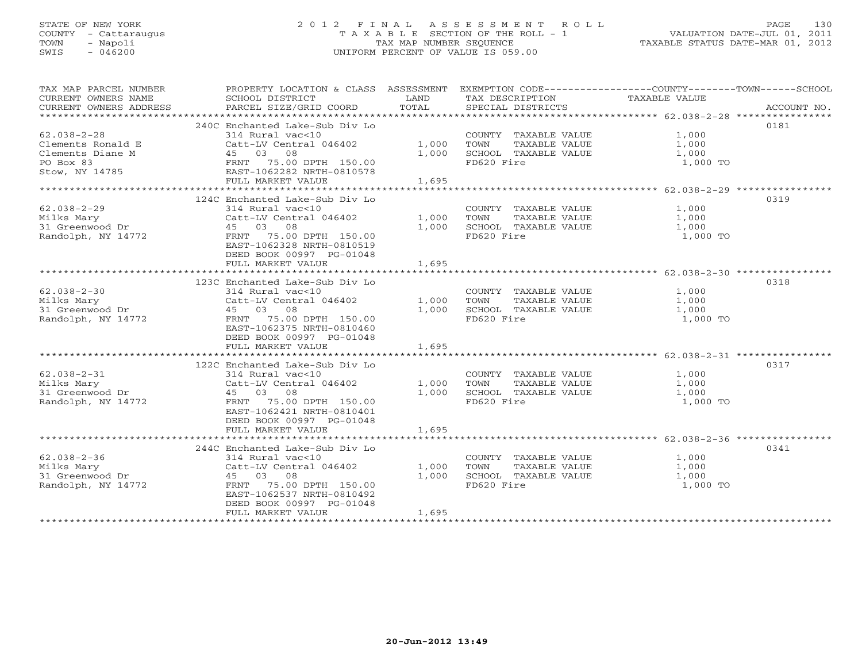# STATE OF NEW YORK 2 0 1 2 F I N A L A S S E S S M E N T R O L L PAGE 130 COUNTY - Cattaraugus T A X A B L E SECTION OF THE ROLL - 1 VALUATION DATE-JUL 01, 2011 TOWN - Napoli TAX MAP NUMBER SEQUENCE TAXABLE STATUS DATE-MAR 01, 2012 SWIS - 046200 UNIFORM PERCENT OF VALUE IS 059.00UNIFORM PERCENT OF VALUE IS 059.00

| TAX MAP PARCEL NUMBER<br>CURRENT OWNERS NAME<br>CURRENT OWNERS ADDRESS   | PROPERTY LOCATION & CLASS ASSESSMENT<br>SCHOOL DISTRICT<br>PARCEL SIZE/GRID COORD                                                                                                                      | LAND<br>TOTAL           | EXEMPTION CODE-----------------COUNTY-------TOWN------SCHOOL<br>TAX DESCRIPTION<br>SPECIAL DISTRICTS | TAXABLE VALUE                                         | ACCOUNT NO. |
|--------------------------------------------------------------------------|--------------------------------------------------------------------------------------------------------------------------------------------------------------------------------------------------------|-------------------------|------------------------------------------------------------------------------------------------------|-------------------------------------------------------|-------------|
|                                                                          |                                                                                                                                                                                                        |                         |                                                                                                      |                                                       |             |
| $62.038 - 2 - 28$<br>Clements Ronald E<br>Clements Diane M<br>PO Box 83  | 240C Enchanted Lake-Sub Div Lo<br>314 Rural vac<10<br>Catt-LV Central 046402<br>45 03 08<br>FRNT 75.00 DPTH 150.00                                                                                     | 1,000<br>1,000          | COUNTY TAXABLE VALUE<br>TOWN<br>TAXABLE VALUE<br>SCHOOL TAXABLE VALUE<br>FD620 Fire                  | 1,000<br>1,000<br>1,000<br>1,000 TO                   | 0181        |
| Stow, NY 14785                                                           | EAST-1062282 NRTH-0810578                                                                                                                                                                              |                         |                                                                                                      |                                                       |             |
|                                                                          | FULL MARKET VALUE                                                                                                                                                                                      | 1,695                   |                                                                                                      |                                                       |             |
|                                                                          |                                                                                                                                                                                                        |                         |                                                                                                      | ************************ 62.038-2-29 **************** |             |
| $62.038 - 2 - 29$<br>Milks Mary<br>31 Greenwood Dr<br>Randolph, NY 14772 | 124C Enchanted Lake-Sub Div Lo<br>314 Rural vac<10<br>Catt-LV Central 046402<br>45 03 08<br>75.00 DPTH 150.00<br>FRNT<br>EAST-1062328 NRTH-0810519<br>DEED BOOK 00997 PG-01048<br>FULL MARKET VALUE    | 1,000<br>1,000<br>1,695 | COUNTY TAXABLE VALUE<br>TAXABLE VALUE<br>TOWN<br>SCHOOL TAXABLE VALUE<br>FD620 Fire                  | 1,000<br>1,000<br>1,000<br>1,000 TO                   | 0319        |
|                                                                          |                                                                                                                                                                                                        |                         |                                                                                                      |                                                       |             |
| $62.038 - 2 - 30$<br>Milks Mary<br>31 Greenwood Dr<br>Randolph, NY 14772 | 123C Enchanted Lake-Sub Div Lo<br>314 Rural vac<10<br>Catt-LV Central 046402<br>08<br>45 03<br>75.00 DPTH 150.00<br>FRNT<br>EAST-1062375 NRTH-0810460<br>DEED BOOK 00997 PG-01048<br>FULL MARKET VALUE | 1,000<br>1,000<br>1,695 | COUNTY TAXABLE VALUE<br>TOWN<br>TAXABLE VALUE<br>SCHOOL TAXABLE VALUE<br>FD620 Fire                  | 1,000<br>1,000<br>1,000<br>1,000 TO                   | 0318        |
|                                                                          |                                                                                                                                                                                                        |                         |                                                                                                      |                                                       |             |
| $62.038 - 2 - 31$<br>Milks Mary<br>31 Greenwood Dr<br>Randolph, NY 14772 | 122C Enchanted Lake-Sub Div Lo<br>314 Rural vac<10<br>Catt-LV Central 046402<br>45 03 08<br>FRNT<br>75.00 DPTH 150.00<br>EAST-1062421 NRTH-0810401<br>DEED BOOK 00997 PG-01048                         | 1,000<br>1,000          | COUNTY TAXABLE VALUE<br>TOWN<br>TAXABLE VALUE<br>SCHOOL TAXABLE VALUE<br>FD620 Fire                  | 1,000<br>1,000<br>1,000<br>1,000 TO                   | 0317        |
|                                                                          | FULL MARKET VALUE                                                                                                                                                                                      | 1,695                   |                                                                                                      |                                                       |             |
| $62.038 - 2 - 36$<br>Milks Mary<br>31 Greenwood Dr<br>Randolph, NY 14772 | 244C Enchanted Lake-Sub Div Lo<br>314 Rural vac<10<br>Catt-LV Central 046402<br>45 03 08<br>75.00 DPTH 150.00<br>FRNT<br>EAST-1062537 NRTH-0810492<br>DEED BOOK 00997 PG-01048<br>FULL MARKET VALUE    | 1,000<br>1,000<br>1,695 | COUNTY TAXABLE VALUE<br>TOWN<br>TAXABLE VALUE<br>SCHOOL TAXABLE VALUE<br>FD620 Fire                  | 1,000<br>1,000<br>1,000<br>1,000 TO                   | 0341        |
|                                                                          |                                                                                                                                                                                                        |                         |                                                                                                      |                                                       |             |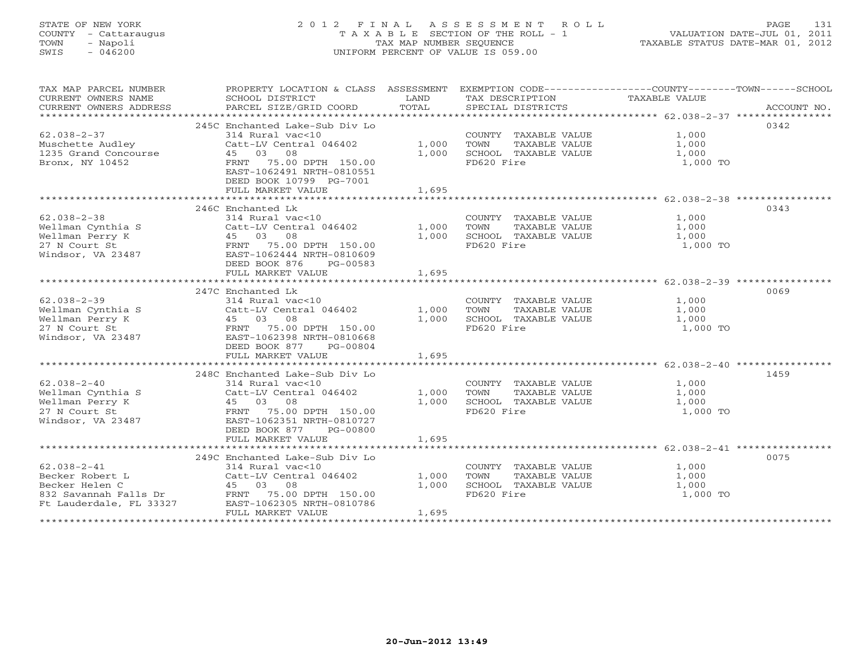# STATE OF NEW YORK 2 0 1 2 F I N A L A S S E S S M E N T R O L L PAGE 131 COUNTY - Cattaraugus T A X A B L E SECTION OF THE ROLL - 1 VALUATION DATE-JUL 01, 2011 TOWN - Napoli TAX MAP NUMBER SEQUENCE TAXABLE STATUS DATE-MAR 01, 2012 SWIS - 046200 UNIFORM PERCENT OF VALUE IS 059.00UNIFORM PERCENT OF VALUE IS 059.00

| TAX MAP PARCEL NUMBER<br>CURRENT OWNERS NAME<br>CURRENT OWNERS ADDRESS                                     | PROPERTY LOCATION & CLASS ASSESSMENT EXEMPTION CODE--------------COUNTY-------TOWN------SCHOOL<br>SCHOOL DISTRICT<br>PARCEL SIZE/GRID COORD                                                       | LAND<br>TOTAL           | TAX DESCRIPTION<br>SPECIAL DISTRICTS                                                                               | TAXABLE VALUE                       | ACCOUNT NO. |
|------------------------------------------------------------------------------------------------------------|---------------------------------------------------------------------------------------------------------------------------------------------------------------------------------------------------|-------------------------|--------------------------------------------------------------------------------------------------------------------|-------------------------------------|-------------|
|                                                                                                            |                                                                                                                                                                                                   |                         |                                                                                                                    |                                     |             |
| $62.038 - 2 - 37$<br>Muschette Audley                                                                      | 245C Enchanted Lake-Sub Div Lo<br>314 Rural vac<10<br>Catt-LV Central 046402                                                                                                                      | 1,000                   | COUNTY TAXABLE VALUE $1,000$<br>TOWN TAXABLE VALUE $1,000$<br>SCHOOL TAXABLE VALUE $1,000$                         | 1,000<br>1.000                      | 0342        |
| 1235 Grand Concourse<br>Bronx, NY 10452                                                                    | 45 03 08<br>FRNT 75.00 DPTH 150.00<br>EAST-1062491 NRTH-0810551<br>DEED BOOK 10799 PG-7001                                                                                                        | 1,000                   | FD620 Fire                                                                                                         | 1,000 TO                            |             |
|                                                                                                            | FULL MARKET VALUE                                                                                                                                                                                 | 1,695                   |                                                                                                                    |                                     |             |
|                                                                                                            | 246C Enchanted Lk                                                                                                                                                                                 |                         |                                                                                                                    |                                     | 0343        |
| $62.038 - 2 - 38$<br>Wellman Cynthia S<br>Wellman Perry K<br>27 N Court St<br>Windsor, VA 23487            | 314 Rural vac<10<br>Catt-LV Central 046402<br>45 03 08<br>FRNT 75.00 DPTH 150.00<br>EAST-1062444 NRTH-0810609<br>DEED BOOK 876<br>PG-00583<br>FULL MARKET VALUE                                   | 1,000<br>1,000<br>1,695 | COUNTY TAXABLE VALUE<br>TOWN<br>TAXABLE VALUE<br>TAXABLE VALUE<br>FRIE VALUE<br>SCHOOL TAXABLE VALUE<br>FD620 Fire | 1,000<br>1,000<br>1,000<br>1,000 TO |             |
|                                                                                                            |                                                                                                                                                                                                   |                         |                                                                                                                    |                                     |             |
| $62.038 - 2 - 39$<br>Wellman Cynthia S<br>Wellman Perry K<br>27 N Court St<br>Windsor, VA 23487            | 247C Enchanted Lk<br>314 Rural vac<10<br>Catt-LV Central 046402<br>45 03 08<br>FRNT 75.00 DPTH 150.00<br>EAST-1062398 NRTH-0810668<br>DEED BOOK 877<br>PG-00804<br>FULL MARKET VALUE              | 1,000<br>1,000<br>1,695 | COUNTY TAXABLE VALUE<br>TOWN<br>TAXABLE VALUE<br>TAXABLE VALUE<br>ALUE ALUE<br>SCHOOL TAXABLE VALUE<br>FD620 Fire  | 1,000<br>1,000<br>1,000<br>1,000 TO | 0069        |
|                                                                                                            |                                                                                                                                                                                                   |                         |                                                                                                                    |                                     |             |
| $62.038 - 2 - 40$<br>Wellman Cynthia S<br>Wellman Perry K<br>27 N Court St<br>Windsor, VA 23487            | 248C Enchanted Lake-Sub Div Lo<br>314 Rural vac<10<br>Catt-LV Central 046402<br>45 03 08<br>FRNT 75.00 DPTH 150.00<br>EAST-1062351 NRTH-0810727<br>DEED BOOK 877<br>PG-00800<br>FULL MARKET VALUE | 1,000<br>1,000<br>1,695 | COUNTY TAXABLE VALUE<br>TOWN<br>TAXABLE VALUE<br>TAXABLE VALUE<br>SCHOOL TAXABLE VALUE<br>FD620 Fire               | 1,000<br>1,000<br>1,000<br>1,000 TO | 1459        |
|                                                                                                            |                                                                                                                                                                                                   |                         |                                                                                                                    |                                     |             |
| $62.038 - 2 - 41$<br>Becker Robert L<br>Becker Helen C<br>832 Savannah Falls Dr<br>Ft Lauderdale, FL 33327 | 249C Enchanted Lake-Sub Div Lo<br>314 Rural vac<10<br>Catt-LV Central 046402<br>45 03 08<br>FRNT 75.00 DPTH 150.00<br>EAST-1062305 NRTH-0810786<br>FULL MARKET VALUE                              | 1,000<br>1,000<br>1,695 | COUNTY TAXABLE VALUE<br>TAXABLE VALUE<br>TOWN<br>SCHOOL TAXABLE VALUE<br>FD620 Fire                                | 1,000<br>1,000<br>1,000<br>1,000 TO | 0075        |
|                                                                                                            |                                                                                                                                                                                                   |                         |                                                                                                                    |                                     |             |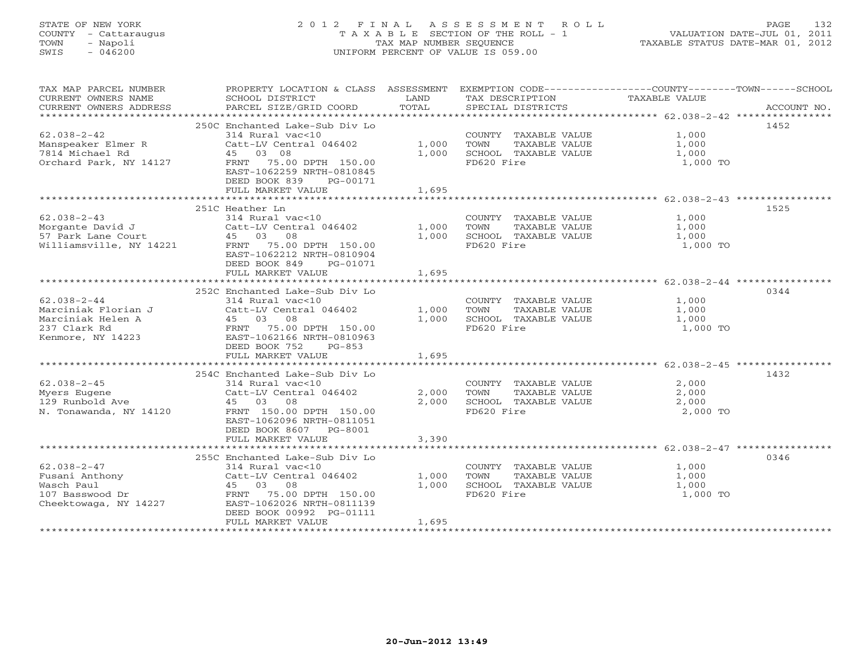# STATE OF NEW YORK 2 0 1 2 F I N A L A S S E S S M E N T R O L L PAGE 132 COUNTY - Cattaraugus T A X A B L E SECTION OF THE ROLL - 1 VALUATION DATE-JUL 01, 2011 TOWN - Napoli TAX MAP NUMBER SEQUENCE TAXABLE STATUS DATE-MAR 01, 2012 SWIS - 046200 UNIFORM PERCENT OF VALUE IS 059.00UNIFORM PERCENT OF VALUE IS 059.00

| TAX MAP PARCEL NUMBER<br>CURRENT OWNERS NAME<br>CURRENT OWNERS ADDRESS | PROPERTY LOCATION & CLASS ASSESSMENT<br>SCHOOL DISTRICT<br>PARCEL SIZE/GRID COORD | LAND<br>TOTAL | EXEMPTION CODE-----------------COUNTY-------TOWN------SCHOOL<br>TAX DESCRIPTION<br>SPECIAL DISTRICTS | TAXABLE VALUE | ACCOUNT NO. |
|------------------------------------------------------------------------|-----------------------------------------------------------------------------------|---------------|------------------------------------------------------------------------------------------------------|---------------|-------------|
|                                                                        |                                                                                   |               |                                                                                                      |               |             |
|                                                                        | 250C Enchanted Lake-Sub Div Lo                                                    |               |                                                                                                      |               | 1452        |
| $62.038 - 2 - 42$                                                      | 314 Rural vac<10                                                                  |               | COUNTY TAXABLE VALUE                                                                                 | 1,000         |             |
| Manspeaker Elmer R                                                     | Catt-LV Central 046402                                                            | 1,000         | TAXABLE VALUE<br>TOWN                                                                                | 1,000         |             |
| 7814 Michael Rd                                                        | 45 03 08                                                                          | 1,000         | SCHOOL TAXABLE VALUE                                                                                 | 1,000         |             |
| Orchard Park, NY 14127                                                 | FRNT 75.00 DPTH 150.00                                                            |               | FD620 Fire                                                                                           | 1,000 TO      |             |
|                                                                        | EAST-1062259 NRTH-0810845                                                         |               |                                                                                                      |               |             |
|                                                                        | DEED BOOK 839<br>PG-00171                                                         |               |                                                                                                      |               |             |
|                                                                        | FULL MARKET VALUE                                                                 | 1,695         |                                                                                                      |               |             |
|                                                                        |                                                                                   |               |                                                                                                      |               |             |
|                                                                        | 251C Heather Ln                                                                   |               |                                                                                                      |               | 1525        |
| $62.038 - 2 - 43$                                                      | 314 Rural vac<10                                                                  |               | COUNTY TAXABLE VALUE                                                                                 | 1,000         |             |
|                                                                        | Catt-LV Central 046402                                                            | 1,000         | TOWN<br>TAXABLE VALUE                                                                                | 1,000         |             |
| Morgante David J<br>57 Park Lane Court                                 | 45 03 08                                                                          | 1,000         | SCHOOL TAXABLE VALUE                                                                                 | 1,000         |             |
| Williamsville, NY 14221                                                | FRNT 75.00 DPTH 150.00                                                            |               | FD620 Fire                                                                                           | 1,000 TO      |             |
|                                                                        | EAST-1062212 NRTH-0810904                                                         |               |                                                                                                      |               |             |
|                                                                        | DEED BOOK 849<br>PG-01071                                                         |               |                                                                                                      |               |             |
|                                                                        | FULL MARKET VALUE                                                                 | 1,695         |                                                                                                      |               |             |
|                                                                        |                                                                                   |               |                                                                                                      |               |             |
|                                                                        | 252C Enchanted Lake-Sub Div Lo                                                    |               |                                                                                                      |               | 0344        |
|                                                                        | 314 Rural vac<10                                                                  |               | COUNTY TAXABLE VALUE                                                                                 | 1,000         |             |
|                                                                        | Catt-LV Central 046402                                                            | 1,000         |                                                                                                      | 1,000         |             |
|                                                                        | 45 03 08                                                                          | 1,000         | TOWN       TAXABLE  VALUE<br>SCHOOL    TAXABLE  VALUE                                                | 1,000         |             |
| 62.038-2-44<br>Marciniak Florian J<br>Marciniak Helen A<br>Antark Rd   | FRNT 75.00 DPTH 150.00                                                            |               | FD620 Fire                                                                                           | 1,000 TO      |             |
|                                                                        | EAST-1062166 NRTH-0810963                                                         |               |                                                                                                      |               |             |
|                                                                        | DEED BOOK 752<br>PG-853                                                           |               |                                                                                                      |               |             |
|                                                                        | FULL MARKET VALUE                                                                 | 1,695         |                                                                                                      |               |             |
|                                                                        |                                                                                   |               |                                                                                                      |               |             |
|                                                                        | 254C Enchanted Lake-Sub Div Lo                                                    |               |                                                                                                      |               | 1432        |
| $62.038 - 2 - 45$                                                      | 314 Rural vac<10                                                                  |               |                                                                                                      | 2,000         |             |
| Myers Eugene                                                           | Catt-LV Central 046402                                                            | 2,000         | COUNTY TAXABLE VALUE<br>TOWN<br>TAXABLE VALUE                                                        | 2,000         |             |
| 129 Runbold Ave                                                        | 45 03 08                                                                          | 2,000         | SCHOOL TAXABLE VALUE                                                                                 | 2,000         |             |
|                                                                        |                                                                                   |               |                                                                                                      | 2,000 TO      |             |
| N. Tonawanda, NY 14120                                                 | FRNT 150.00 DPTH 150.00                                                           |               | FD620 Fire                                                                                           |               |             |
|                                                                        | EAST-1062096 NRTH-0811051                                                         |               |                                                                                                      |               |             |
|                                                                        | DEED BOOK 8607 PG-8001                                                            |               |                                                                                                      |               |             |
|                                                                        | FULL MARKET VALUE                                                                 | 3,390         |                                                                                                      |               |             |
|                                                                        |                                                                                   |               |                                                                                                      |               |             |
|                                                                        | 255C Enchanted Lake-Sub Div Lo                                                    |               |                                                                                                      |               | 0346        |
| $62.038 - 2 - 47$                                                      | 314 Rural vac<10                                                                  |               | COUNTY TAXABLE VALUE                                                                                 | 1,000         |             |
| Fusani Anthony                                                         | Catt-LV Central 046402                                                            | 1,000         | TAXABLE VALUE<br>TOWN                                                                                | 1,000         |             |
| Wasch Paul                                                             | 45 03 08                                                                          | 1,000         | SCHOOL TAXABLE VALUE                                                                                 | 1,000         |             |
| 107 Basswood Dr                                                        | FRNT 75.00 DPTH 150.00                                                            |               | FD620 Fire                                                                                           | 1,000 TO      |             |
| Cheektowaga, NY 14227                                                  | EAST-1062026 NRTH-0811139                                                         |               |                                                                                                      |               |             |
|                                                                        | DEED BOOK 00992 PG-01111                                                          |               |                                                                                                      |               |             |
|                                                                        | FULL MARKET VALUE                                                                 | 1,695         |                                                                                                      |               |             |
|                                                                        |                                                                                   |               |                                                                                                      |               |             |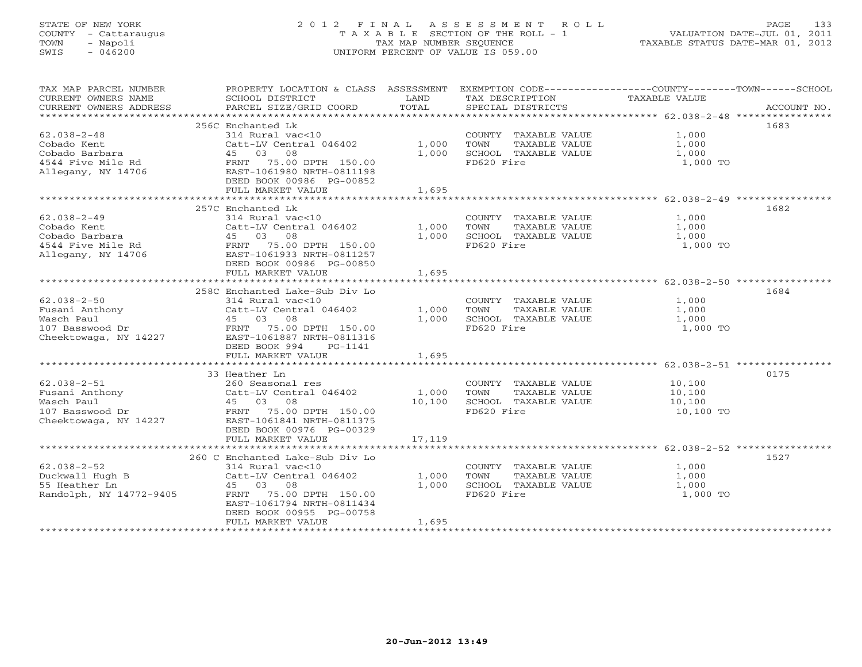# STATE OF NEW YORK 2 0 1 2 F I N A L A S S E S S M E N T R O L L PAGE 133 COUNTY - Cattaraugus T A X A B L E SECTION OF THE ROLL - 1 VALUATION DATE-JUL 01, 2011 TOWN - Napoli TAX MAP NUMBER SEQUENCE TAXABLE STATUS DATE-MAR 01, 2012 SWIS - 046200 UNIFORM PERCENT OF VALUE IS 059.00UNIFORM PERCENT OF VALUE IS 059.00

| TAX MAP PARCEL NUMBER   | PROPERTY LOCATION & CLASS ASSESSMENT EXEMPTION CODE----------------COUNTY-------TOWN------SCHOOL                                                                                                         |                          |                                                   |                                                                              |             |
|-------------------------|----------------------------------------------------------------------------------------------------------------------------------------------------------------------------------------------------------|--------------------------|---------------------------------------------------|------------------------------------------------------------------------------|-------------|
| CURRENT OWNERS NAME     | SCHOOL DISTRICT                                                                                                                                                                                          | <b>EXAMPLE TO A LAND</b> | TAX DESCRIPTION                                   | TAXABLE VALUE                                                                |             |
| CURRENT OWNERS ADDRESS  | PARCEL SIZE/GRID COORD                                                                                                                                                                                   | TOTAL                    | SPECIAL DISTRICTS                                 |                                                                              | ACCOUNT NO. |
|                         | 256C Enchanted Lk                                                                                                                                                                                        |                          |                                                   |                                                                              | 1683        |
| $62.038 - 2 - 48$       | 314 Rural vac<10                                                                                                                                                                                         |                          | COUNTY TAXABLE VALUE                              | 1,000                                                                        |             |
|                         | Catt-LV Central 046402 1,000                                                                                                                                                                             |                          | TOWN                                              | $\begin{array}{ccc}\nTXABLE VALUE} & & 1,000 \\ 1.000 \\ 1.000\n\end{array}$ |             |
|                         |                                                                                                                                                                                                          | 1,000                    | SCHOOL TAXABLE VALUE                              | 1,000                                                                        |             |
|                         | Cobado Kent<br>Cobado Barbara (1599)<br>45 03 08<br>4544 Five Mile Rd (1598)<br>4706 EAST-1061980 NRTH-0811198<br>EED BOOK 00986 PG-00852                                                                |                          | FD620 Fire                                        | 1,000 TO                                                                     |             |
|                         |                                                                                                                                                                                                          |                          |                                                   |                                                                              |             |
|                         |                                                                                                                                                                                                          |                          |                                                   |                                                                              |             |
|                         | FULL MARKET VALUE                                                                                                                                                                                        | 1,695                    |                                                   |                                                                              |             |
|                         |                                                                                                                                                                                                          |                          |                                                   |                                                                              |             |
|                         | 257C Enchanted Lk                                                                                                                                                                                        |                          |                                                   |                                                                              | 1682        |
| $62.038 - 2 - 49$       | 314 Rural vac<10                                                                                                                                                                                         |                          | COUNTY TAXABLE VALUE                              | 1,000                                                                        |             |
| Cobado Kent             | Catt-LV Central 046402                                                                                                                                                                                   | 1,000                    | TOWN      TAXABLE VALUE<br>SCHOOL   TAXABLE VALUE | 1,000<br>1,000                                                               |             |
| Cobado Barbara          | 45 03 08                                                                                                                                                                                                 | 1,000                    |                                                   |                                                                              |             |
|                         |                                                                                                                                                                                                          |                          | FD620 Fire                                        | 1,000 TO                                                                     |             |
|                         |                                                                                                                                                                                                          |                          |                                                   |                                                                              |             |
|                         | DEED BOOK 00986 PG-00850<br>FULL MARKET VALUE                                                                                                                                                            | 1,695                    |                                                   |                                                                              |             |
|                         |                                                                                                                                                                                                          |                          |                                                   |                                                                              |             |
|                         | 258C Enchanted Lake-Sub Div Lo                                                                                                                                                                           |                          |                                                   |                                                                              | 1684        |
| $62.038 - 2 - 50$       | 314 Rural vac<10                                                                                                                                                                                         |                          | COUNTY TAXABLE VALUE 1,000                        |                                                                              |             |
|                         | Catt-LV Central 046402                                                                                                                                                                                   | 1,000                    | TOWN<br>TAXABLE VALUE                             | 1,000                                                                        |             |
|                         |                                                                                                                                                                                                          | 1,000                    | SCHOOL TAXABLE VALUE 1,000                        |                                                                              |             |
|                         |                                                                                                                                                                                                          |                          | FD620 Fire                                        | 1,000 TO                                                                     |             |
|                         |                                                                                                                                                                                                          |                          |                                                   |                                                                              |             |
|                         | DEED BOOK 994<br>PG-1141                                                                                                                                                                                 |                          |                                                   |                                                                              |             |
|                         | FULL MARKET VALUE                                                                                                                                                                                        | 1,695                    |                                                   |                                                                              |             |
|                         |                                                                                                                                                                                                          |                          |                                                   |                                                                              |             |
|                         | 33 Heather Ln                                                                                                                                                                                            |                          |                                                   |                                                                              | 0175        |
|                         |                                                                                                                                                                                                          |                          | COUNTY TAXABLE VALUE                              | 10,100<br>10,100                                                             |             |
|                         |                                                                                                                                                                                                          |                          | TAXABLE VALUE                                     |                                                                              |             |
|                         |                                                                                                                                                                                                          |                          | SCHOOL TAXABLE VALUE                              | 10,100                                                                       |             |
|                         | 62.038-2-51<br>Fusani Anthony Countral Deasonal res COUNT<br>Wasch Paul and the Catt-LV Central 046402 1,000 TOWN<br>Wasch Paul 45 03 08 10,100 SCHOO<br>Cheektowaga, NY 14227 EAST-1061841 NRTH-0811375 |                          | FD620 Fire                                        | 10,100 TO                                                                    |             |
|                         |                                                                                                                                                                                                          |                          |                                                   |                                                                              |             |
|                         | DEED BOOK 00976 PG-00329                                                                                                                                                                                 |                          |                                                   |                                                                              |             |
|                         | FULL MARKET VALUE                                                                                                                                                                                        | 17,119                   |                                                   |                                                                              |             |
|                         | 260 C Enchanted Lake-Sub Div Lo                                                                                                                                                                          |                          |                                                   |                                                                              | 1527        |
| $62.038 - 2 - 52$       | 314 Rural vac<10                                                                                                                                                                                         |                          | COUNTY TAXABLE VALUE                              | 1,000                                                                        |             |
|                         |                                                                                                                                                                                                          |                          | TOWN                                              | TAXABLE VALUE 1,000                                                          |             |
|                         |                                                                                                                                                                                                          |                          | SCHOOL TAXABLE VALUE                              | 1,000                                                                        |             |
| Randolph, NY 14772-9405 | FRNT 75.00 DPTH 150.00                                                                                                                                                                                   |                          | FD620 Fire                                        | 1,000 TO                                                                     |             |
|                         | EAST-1061794 NRTH-0811434                                                                                                                                                                                |                          |                                                   |                                                                              |             |
|                         | DEED BOOK 00955 PG-00758                                                                                                                                                                                 |                          |                                                   |                                                                              |             |
|                         | FULL MARKET VALUE                                                                                                                                                                                        | 1,695                    |                                                   |                                                                              |             |
|                         |                                                                                                                                                                                                          |                          |                                                   |                                                                              |             |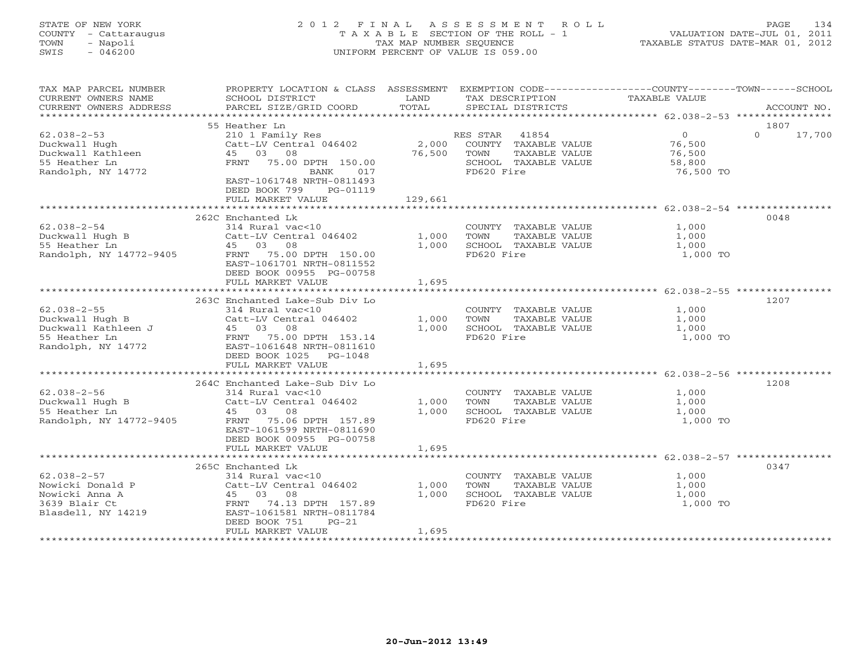# STATE OF NEW YORK 2 0 1 2 F I N A L A S S E S S M E N T R O L L PAGE 134 COUNTY - Cattaraugus T A X A B L E SECTION OF THE ROLL - 1 VALUATION DATE-JUL 01, 2011 TOWN - Napoli TAX MAP NUMBER SEQUENCE TAXABLE STATUS DATE-MAR 01, 2012 SWIS - 046200 UNIFORM PERCENT OF VALUE IS 059.00UNIFORM PERCENT OF VALUE IS 059.00

| TAX MAP PARCEL NUMBER<br>CURRENT OWNERS NAME<br>CURRENT OWNERS ADDRESS                             | PROPERTY LOCATION & CLASS ASSESSMENT<br>SCHOOL DISTRICT<br>PARCEL SIZE/GRID COORD                                                                                                   | LAND<br>TOTAL           | EXEMPTION CODE-----------------COUNTY-------TOWN------SCHOOL<br>TAX DESCRIPTION<br>SPECIAL DISTRICTS  | TAXABLE VALUE                                             | ACCOUNT NO.                |
|----------------------------------------------------------------------------------------------------|-------------------------------------------------------------------------------------------------------------------------------------------------------------------------------------|-------------------------|-------------------------------------------------------------------------------------------------------|-----------------------------------------------------------|----------------------------|
| ***************************                                                                        |                                                                                                                                                                                     |                         |                                                                                                       |                                                           |                            |
| $62.038 - 2 - 53$<br>Duckwall Hugh<br>Duckwall Kathleen<br>55 Heather Ln<br>Randolph, NY 14772     | 55 Heather Ln<br>210 1 Family Res<br>Catt-LV Central 046402<br>45 03 08<br>FRNT 75.00 DPTH 150.00<br>BANK<br>017<br>EAST-1061748 NRTH-0811493<br>DEED BOOK 799<br>PG-01119          | 2,000<br>76,500         | RES STAR 41854<br>COUNTY TAXABLE VALUE<br>TAXABLE VALUE<br>TOWN<br>SCHOOL TAXABLE VALUE<br>FD620 Fire | $\overline{0}$<br>76,500<br>76,500<br>58,800<br>76,500 TO | 1807<br>$\Omega$<br>17,700 |
|                                                                                                    | FULL MARKET VALUE                                                                                                                                                                   | 129,661                 |                                                                                                       |                                                           |                            |
|                                                                                                    |                                                                                                                                                                                     |                         |                                                                                                       |                                                           |                            |
| $62.038 - 2 - 54$<br>Duckwall Hugh B<br>55 Heather Ln<br>Randolph, NY 14772-9405                   | 262C Enchanted Lk<br>314 Rural vac<10<br>Catt-LV Central 046402<br>45 03 08<br>FRNT 75.00 DPTH 150.00<br>EAST-1061701 NRTH-0811552<br>DEED BOOK 00955 PG-00758<br>FULL MARKET VALUE | 1,000<br>1,000<br>1,695 | COUNTY TAXABLE VALUE<br>TOWN<br>TAXABLE VALUE<br>SCHOOL TAXABLE VALUE<br>FD620 Fire                   | 1,000<br>1,000<br>1,000<br>1,000 TO                       | 0048                       |
|                                                                                                    |                                                                                                                                                                                     |                         |                                                                                                       |                                                           |                            |
| $62.038 - 2 - 55$<br>Duckwall Hugh B<br>Duckwall Kathleen J<br>55 Heather Ln<br>Randolph, NY 14772 | 263C Enchanted Lake-Sub Div Lo<br>314 Rural vac<10<br>Catt-LV Central 046402<br>45 03 08<br>FRNT 75.00 DPTH 153.14<br>EAST-1061648 NRTH-0811610<br>DEED BOOK 1025 PG-1048           | 1,000<br>1,000          | COUNTY TAXABLE VALUE<br>TOWN<br>TAXABLE VALUE<br>SCHOOL TAXABLE VALUE<br>FD620 Fire                   | 1,000<br>1,000<br>1,000<br>1,000 TO                       | 1207                       |
|                                                                                                    | FULL MARKET VALUE                                                                                                                                                                   | 1,695                   |                                                                                                       |                                                           |                            |
| $62.038 - 2 - 56$<br>Duckwall Hugh B<br>55 Heather Ln<br>Randolph, NY 14772-9405                   | 264C Enchanted Lake-Sub Div Lo<br>314 Rural vac<10<br>Catt-LV Central 046402<br>45 03 08<br>FRNT 75.06 DPTH 157.89<br>EAST-1061599 NRTH-0811690<br>DEED BOOK 00955 PG-00758         | 1,000<br>1,000          | COUNTY TAXABLE VALUE<br>TAXABLE VALUE<br>TOWN<br>SCHOOL TAXABLE VALUE<br>FD620 Fire                   | 1,000<br>1,000<br>1,000<br>1,000 TO                       | 1208                       |
|                                                                                                    | FULL MARKET VALUE                                                                                                                                                                   | 1,695                   |                                                                                                       |                                                           |                            |
| $62.038 - 2 - 57$<br>Nowicki Donald P<br>Nowicki Anna A<br>3639 Blair Ct<br>Blasdell, NY 14219     | 265C Enchanted Lk<br>314 Rural vac<10<br>Catt-LV Central 046402<br>45 03 08<br>74.13 DPTH 157.89<br>FRNT<br>EAST-1061581 NRTH-0811784<br>DEED BOOK 751<br>$PG-21$                   | 1,000<br>1,000          | COUNTY TAXABLE VALUE<br>TOWN<br>TAXABLE VALUE<br>SCHOOL TAXABLE VALUE<br>FD620 Fire                   | 1,000<br>1,000<br>1,000<br>1,000 TO                       | 0347                       |
|                                                                                                    | FULL MARKET VALUE                                                                                                                                                                   | 1,695                   |                                                                                                       |                                                           |                            |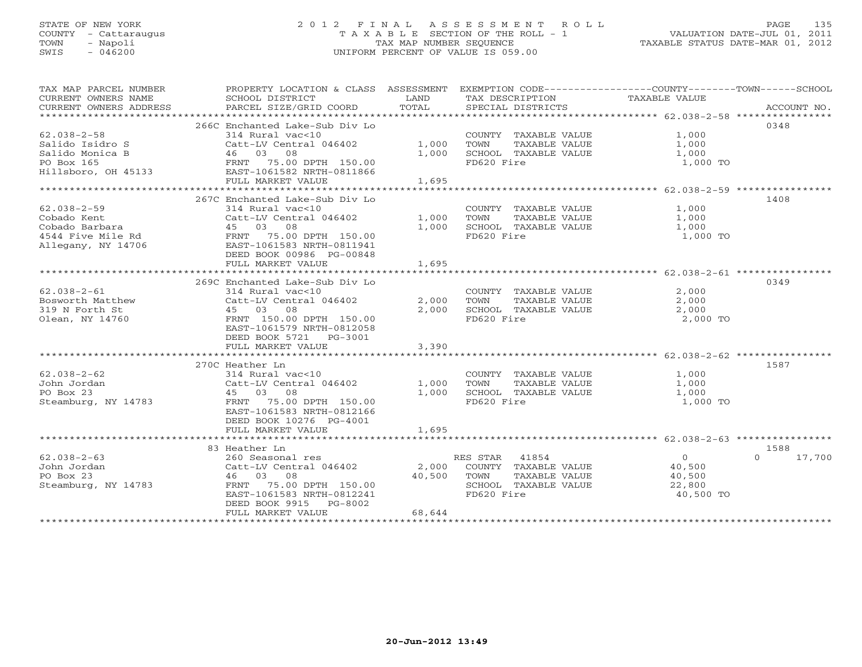# STATE OF NEW YORK 2 0 1 2 F I N A L A S S E S S M E N T R O L L PAGE 135 COUNTY - Cattaraugus T A X A B L E SECTION OF THE ROLL - 1 VALUATION DATE-JUL 01, 2011 TOWN - Napoli TAX MAP NUMBER SEQUENCE TAXABLE STATUS DATE-MAR 01, 2012 SWIS - 046200 UNIFORM PERCENT OF VALUE IS 059.00UNIFORM PERCENT OF VALUE IS 059.00

| TAX MAP PARCEL NUMBER<br>CURRENT OWNERS NAME<br>CURRENT OWNERS ADDRESS | PROPERTY LOCATION & CLASS ASSESSMENT EXEMPTION CODE----------------COUNTY-------TOWN------SCHOOL<br>SCHOOL DISTRICT<br>PARCEL SIZE/GRID COORD | LAND<br>TOTAL | TAX DESCRIPTION TAXABLE VALUE<br>SPECIAL DISTRICTS |                |                    |
|------------------------------------------------------------------------|-----------------------------------------------------------------------------------------------------------------------------------------------|---------------|----------------------------------------------------|----------------|--------------------|
|                                                                        |                                                                                                                                               |               |                                                    |                | ACCOUNT NO.        |
|                                                                        | 266C Enchanted Lake-Sub Div Lo                                                                                                                |               |                                                    |                | 0348               |
| $62.038 - 2 - 58$                                                      | 314 Rural vac<10                                                                                                                              |               | COUNTY TAXABLE VALUE                               | 1,000          |                    |
| Salido Isidro S                                                        | Catt-LV Central 046402                                                                                                                        | 1,000         | TOWN<br>TAXABLE VALUE                              | 1,000          |                    |
| Salido Monica B                                                        | 46 03 08                                                                                                                                      | 1,000         | SCHOOL TAXABLE VALUE                               |                |                    |
|                                                                        |                                                                                                                                               |               |                                                    | 1,000          |                    |
| PO Box 165<br>Hillsboro, OH 45133<br>EAST-1061582 NRTH-0811866         | FRNT 75.00 DPTH 150.00                                                                                                                        |               | FD620 Fire                                         | 1,000 TO       |                    |
|                                                                        |                                                                                                                                               |               |                                                    |                |                    |
|                                                                        | FULL MARKET VALUE                                                                                                                             | 1,695         |                                                    |                |                    |
|                                                                        |                                                                                                                                               |               |                                                    |                |                    |
|                                                                        | 267C Enchanted Lake-Sub Div Lo                                                                                                                |               |                                                    |                | 1408               |
| $62.038 - 2 - 59$                                                      | 314 Rural vac<10                                                                                                                              |               | COUNTY TAXABLE VALUE                               | 1,000          |                    |
| Cobado Kent                                                            | Catt-LV Central 046402                                                                                                                        | 1,000         | TAXABLE VALUE<br>TOWN                              | 1,000          |                    |
| Cobado Barbara                                                         | 45 03 08                                                                                                                                      | 1,000         | SCHOOL TAXABLE VALUE                               | 1,000          |                    |
| 4544 Five Mile Rd                                                      | FRNT 75.00 DPTH 150.00                                                                                                                        |               | FD620 Fire                                         | 1,000 TO       |                    |
| Allegany, NY 14706                                                     | EAST-1061583 NRTH-0811941                                                                                                                     |               |                                                    |                |                    |
|                                                                        | DEED BOOK 00986 PG-00848                                                                                                                      |               |                                                    |                |                    |
|                                                                        | FULL MARKET VALUE                                                                                                                             | 1,695         |                                                    |                |                    |
|                                                                        |                                                                                                                                               |               |                                                    |                |                    |
|                                                                        | 269C Enchanted Lake-Sub Div Lo                                                                                                                |               |                                                    |                | 0349               |
| $62.038 - 2 - 61$                                                      | 314 Rural vac<10                                                                                                                              |               | COUNTY TAXABLE VALUE                               | 2,000          |                    |
| Bosworth Matthew                                                       | Catt-LV Central 046402                                                                                                                        | 2,000         | TOWN<br>TAXABLE VALUE                              | 2,000          |                    |
| 319 N Forth St                                                         | 45 03 08                                                                                                                                      | 2,000         | SCHOOL TAXABLE VALUE                               | 2,000          |                    |
| Olean, NY 14760                                                        | FRNT 150.00 DPTH 150.00                                                                                                                       |               | FD620 Fire                                         | 2,000 TO       |                    |
|                                                                        | EAST-1061579 NRTH-0812058                                                                                                                     |               |                                                    |                |                    |
|                                                                        | DEED BOOK 5721 PG-3001                                                                                                                        |               |                                                    |                |                    |
|                                                                        | FULL MARKET VALUE                                                                                                                             | 3,390         |                                                    |                |                    |
|                                                                        |                                                                                                                                               |               |                                                    |                |                    |
|                                                                        | 270C Heather Ln                                                                                                                               |               |                                                    |                | 1587               |
| $62.038 - 2 - 62$                                                      | 314 Rural vac<10                                                                                                                              |               | COUNTY TAXABLE VALUE                               | 1,000          |                    |
| John Jordan                                                            | Catt-LV Central 046402                                                                                                                        | 1,000         | TAXABLE VALUE<br>TOWN                              | 1,000          |                    |
| PO Box 23                                                              | 45 03 08                                                                                                                                      | 1,000         | SCHOOL TAXABLE VALUE                               | 1,000          |                    |
|                                                                        |                                                                                                                                               |               | FD620 Fire                                         | 1,000 TO       |                    |
| Steamburg, NY 14783                                                    | 75.00 DPTH 150.00<br>FRNT                                                                                                                     |               |                                                    |                |                    |
|                                                                        | EAST-1061583 NRTH-0812166                                                                                                                     |               |                                                    |                |                    |
|                                                                        | DEED BOOK 10276 PG-4001                                                                                                                       |               |                                                    |                |                    |
|                                                                        | FULL MARKET VALUE                                                                                                                             | 1,695         |                                                    |                |                    |
|                                                                        |                                                                                                                                               |               |                                                    |                |                    |
|                                                                        | 83 Heather Ln                                                                                                                                 |               |                                                    |                | 1588               |
| $62.038 - 2 - 63$                                                      | 260 Seasonal res                                                                                                                              |               | RES STAR 41854                                     | $\overline{0}$ | $\Omega$<br>17,700 |
| John Jordan                                                            | Catt-LV Central 046402 2,000                                                                                                                  |               | COUNTY TAXABLE VALUE                               | 40,500         |                    |
| PO Box 23                                                              | 46 03 08                                                                                                                                      | 40,500        | TOWN<br>TAXABLE VALUE                              | 40,500         |                    |
| Steamburg, NY 14783                                                    | 75.00 DPTH 150.00<br>FRNT                                                                                                                     |               | SCHOOL TAXABLE VALUE                               | 22,800         |                    |
|                                                                        | EAST-1061583 NRTH-0812241                                                                                                                     |               | FD620 Fire                                         | 40,500 TO      |                    |
|                                                                        | DEED BOOK 9915<br>PG-8002                                                                                                                     |               |                                                    |                |                    |
|                                                                        | FULL MARKET VALUE                                                                                                                             | 68,644        |                                                    |                |                    |
|                                                                        |                                                                                                                                               |               |                                                    |                |                    |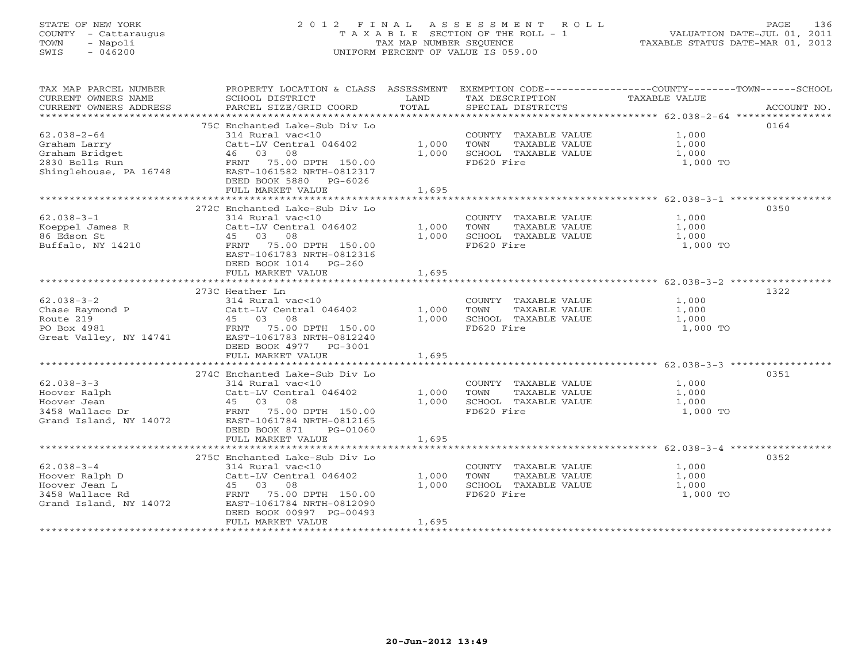# STATE OF NEW YORK 2 0 1 2 F I N A L A S S E S S M E N T R O L L PAGE 136 COUNTY - Cattaraugus T A X A B L E SECTION OF THE ROLL - 1 VALUATION DATE-JUL 01, 2011 TOWN - Napoli TAX MAP NUMBER SEQUENCE TAXABLE STATUS DATE-MAR 01, 2012 SWIS - 046200 UNIFORM PERCENT OF VALUE IS 059.00UNIFORM PERCENT OF VALUE IS 059.00

| SCHOOL DISTRICT<br>PARCEL SIZE/GRID COORD                                                                                            | LAND<br>TOTAL                                                                                                                                                                                                                                                                                                                                                                                                                                                     | TAX DESCRIPTION<br>SPECIAL DISTRICTS                                                | TAXABLE VALUE<br>ACCOUNT NO.                                                                     |
|--------------------------------------------------------------------------------------------------------------------------------------|-------------------------------------------------------------------------------------------------------------------------------------------------------------------------------------------------------------------------------------------------------------------------------------------------------------------------------------------------------------------------------------------------------------------------------------------------------------------|-------------------------------------------------------------------------------------|--------------------------------------------------------------------------------------------------|
| 314 Rural vac<10<br>46 03 08<br>FRNT 75.00 DPTH 150.00                                                                               | 1,000<br>1,000                                                                                                                                                                                                                                                                                                                                                                                                                                                    | COUNTY TAXABLE VALUE<br>TOWN<br>TAXABLE VALUE<br>SCHOOL TAXABLE VALUE<br>FD620 Fire | 0164<br>1,000<br>1,000<br>1,000<br>1,000 TO                                                      |
| DEED BOOK 5880 PG-6026<br>FULL MARKET VALUE                                                                                          | 1,695                                                                                                                                                                                                                                                                                                                                                                                                                                                             |                                                                                     |                                                                                                  |
|                                                                                                                                      |                                                                                                                                                                                                                                                                                                                                                                                                                                                                   |                                                                                     | 0350                                                                                             |
| 314 Rural vac<10<br>Catt-LV Central 046402<br>45 03 08<br>FRNT 75.00 DPTH 150.00                                                     | 1,000<br>1,000                                                                                                                                                                                                                                                                                                                                                                                                                                                    | COUNTY TAXABLE VALUE<br>TOWN<br>TAXABLE VALUE<br>SCHOOL TAXABLE VALUE<br>FD620 Fire | 1,000<br>1,000<br>1,000<br>1,000 TO                                                              |
| DEED BOOK 1014 PG-260<br>FULL MARKET VALUE                                                                                           | 1,695                                                                                                                                                                                                                                                                                                                                                                                                                                                             |                                                                                     |                                                                                                  |
|                                                                                                                                      |                                                                                                                                                                                                                                                                                                                                                                                                                                                                   |                                                                                     |                                                                                                  |
| 314 Rural vac<10<br>Catt-LV Central 046402<br>EAST-1061783 NRTH-0812240                                                              | 1,000<br>1,000                                                                                                                                                                                                                                                                                                                                                                                                                                                    | COUNTY TAXABLE VALUE<br>TOWN<br>TAXABLE VALUE<br>SCHOOL TAXABLE VALUE<br>FD620 Fire | 1322<br>1,000<br>1,000<br>1,000<br>1,000 TO                                                      |
| FULL MARKET VALUE                                                                                                                    | 1,695                                                                                                                                                                                                                                                                                                                                                                                                                                                             |                                                                                     |                                                                                                  |
|                                                                                                                                      |                                                                                                                                                                                                                                                                                                                                                                                                                                                                   |                                                                                     |                                                                                                  |
| 314 Rural vac<10<br>Catt-LV Central 046402<br>45 03 08<br>EAST-1061784 NRTH-0812165<br>DEED BOOK 871<br>PG-01060                     | 1,000<br>1,000                                                                                                                                                                                                                                                                                                                                                                                                                                                    | COUNTY TAXABLE VALUE<br>TOWN<br>TAXABLE VALUE<br>SCHOOL TAXABLE VALUE<br>FD620 Fire | 0351<br>1,000<br>1,000<br>1,000<br>1,000 TO                                                      |
| FULL MARKET VALUE                                                                                                                    | 1,695                                                                                                                                                                                                                                                                                                                                                                                                                                                             |                                                                                     |                                                                                                  |
|                                                                                                                                      |                                                                                                                                                                                                                                                                                                                                                                                                                                                                   |                                                                                     | 0352                                                                                             |
| 314 Rural vac<10<br>Catt-LV Central 046402<br>45 03 08<br>EAST-1061784 NRTH-0812090<br>DEED BOOK 00997 PG-00493<br>FULL MARKET VALUE | 1,000<br>1,000<br>1,695                                                                                                                                                                                                                                                                                                                                                                                                                                           | COUNTY TAXABLE VALUE<br>TOWN<br>TAXABLE VALUE<br>SCHOOL TAXABLE VALUE<br>FD620 Fire | 1,000<br>1,000<br>1,000<br>1,000 TO                                                              |
|                                                                                                                                      | 75C Enchanted Lake-Sub Div Lo<br>EAST-1061582 NRTH-0812317<br>272C Enchanted Lake-Sub Div Lo<br>EAST-1061783 NRTH-0812316<br>273C Heather Ln<br>Chase Raymond P<br>Route 219<br>PO Box 4981<br>PO Box 4981<br>PO Box 4981<br>PO Box 4981<br>PO Box 4981<br>PO Box 4981<br>PO Box 4981<br>Great Valley, NY 14741<br>DEED BOOK 4977 PG-3001<br>274C Enchanted Lake-Sub Div Lo<br>Grand Island, NY 14072<br>275C Enchanted Lake-Sub Div Lo<br>FRNT 75.00 DPTH 150.00 | Catt-LV Central 046402                                                              | PROPERTY LOCATION & CLASS ASSESSMENT EXEMPTION CODE----------------COUNTY-------TOWN------SCHOOL |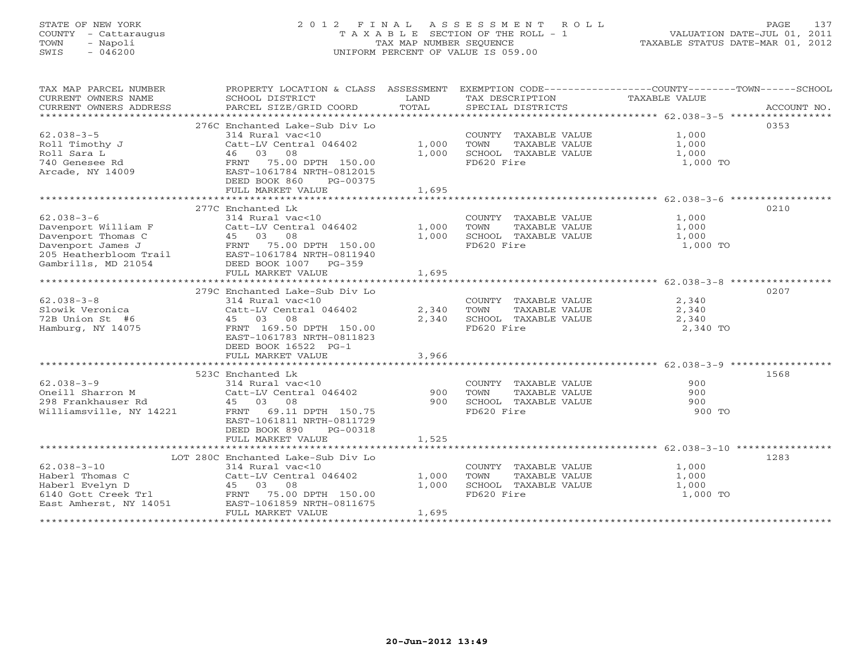# STATE OF NEW YORK 2 0 1 2 F I N A L A S S E S S M E N T R O L L PAGE 137 COUNTY - Cattaraugus T A X A B L E SECTION OF THE ROLL - 1 VALUATION DATE-JUL 01, 2011 TOWN - Napoli TAX MAP NUMBER SEQUENCE TAXABLE STATUS DATE-MAR 01, 2012 SWIS - 046200 UNIFORM PERCENT OF VALUE IS 059.00

| TAX MAP PARCEL NUMBER<br>CURRENT OWNERS NAME<br>CURRENT OWNERS ADDRESS | PROPERTY LOCATION & CLASS ASSESSMENT<br>SCHOOL DISTRICT<br>PARCEL SIZE/GRID COORD | LAND<br>TOTAL | EXEMPTION CODE-----------------COUNTY-------TOWN------SCHOOL<br>TAX DESCRIPTION TAXABLE VALUE<br>SERCIAL DISTICTS<br>SPECIAL DISTRICTS                |          | ACCOUNT NO. |
|------------------------------------------------------------------------|-----------------------------------------------------------------------------------|---------------|-------------------------------------------------------------------------------------------------------------------------------------------------------|----------|-------------|
|                                                                        |                                                                                   |               |                                                                                                                                                       |          |             |
|                                                                        | 276C Enchanted Lake-Sub Div Lo                                                    |               |                                                                                                                                                       |          | 0353        |
| $62.038 - 3 - 5$                                                       | 314 Rural vac<10                                                                  |               | COUNTY TAXABLE VALUE                                                                                                                                  | 1,000    |             |
| Roll Timothy J                                                         | Catt-LV Central 046402                                                            | 1,000         | TOWN<br>TAXABLE VALUE                                                                                                                                 | 1,000    |             |
| Roll Sara L                                                            | 46 03 08                                                                          | 1,000         | SCHOOL TAXABLE VALUE                                                                                                                                  | 1,000    |             |
| 740 Genesee Rd                                                         | FRNT 75.00 DPTH 150.00                                                            |               | FD620 Fire                                                                                                                                            | 1,000 TO |             |
| Arcade, NY 14009                                                       | EAST-1061784 NRTH-0812015                                                         |               |                                                                                                                                                       |          |             |
|                                                                        |                                                                                   |               |                                                                                                                                                       |          |             |
|                                                                        | DEED BOOK 860<br>PG-00375                                                         |               |                                                                                                                                                       |          |             |
|                                                                        | FULL MARKET VALUE                                                                 | 1,695         |                                                                                                                                                       |          |             |
|                                                                        |                                                                                   |               |                                                                                                                                                       |          |             |
|                                                                        | 277C Enchanted Lk                                                                 |               |                                                                                                                                                       |          | 0210        |
| $62.038 - 3 - 6$                                                       | 314 Rural vac<10                                                                  |               | COUNTY TAXABLE VALUE                                                                                                                                  | 1,000    |             |
| Davenport William F                                                    | Catt-LV Central 046402                                                            | 1,000         | TOWN<br>TAXABLE VALUE                                                                                                                                 | 1,000    |             |
| Davenport Thomas C                                                     | 45 03 08                                                                          | 1,000         | SCHOOL TAXABLE VALUE                                                                                                                                  | 1,000    |             |
| Davenport James J                                                      | FRNT 75.00 DPTH 150.00                                                            |               | FD620 Fire                                                                                                                                            | 1,000 TO |             |
| Davenport James J<br>205 Heatherbloom Trail                            | EAST-1061784 NRTH-0811940                                                         |               |                                                                                                                                                       |          |             |
| Gambrills, MD 21054                                                    | DEED BOOK 1007 PG-359                                                             |               |                                                                                                                                                       |          |             |
|                                                                        | FULL MARKET VALUE                                                                 | 1,695         |                                                                                                                                                       |          |             |
|                                                                        |                                                                                   |               |                                                                                                                                                       |          |             |
|                                                                        |                                                                                   |               |                                                                                                                                                       |          |             |
|                                                                        | 279C Enchanted Lake-Sub Div Lo                                                    |               |                                                                                                                                                       |          | 0207        |
| $62.038 - 3 - 8$                                                       | 314 Rural vac<10                                                                  |               | COUNTY TAXABLE VALUE                                                                                                                                  | 2,340    |             |
| Slowik Veronica                                                        | Catt-LV Central 046402                                                            | 2,340         | $\begin{tabular}{lllllll} \textsc{TOWN} & \textsc{TAXABLE VALUE} & & & & 2,340 \\ \textsc{SCHOOL} & \textsc{TAXABLE VALUE} & & & 2,340 \end{tabular}$ |          |             |
| 72B Union St #6                                                        | 45 03 08                                                                          | 2,340         |                                                                                                                                                       |          |             |
| Hamburg, NY 14075                                                      | FRNT 169.50 DPTH 150.00                                                           |               | FD620 Fire                                                                                                                                            | 2,340 TO |             |
|                                                                        | EAST-1061783 NRTH-0811823                                                         |               |                                                                                                                                                       |          |             |
|                                                                        | DEED BOOK 16522 PG-1                                                              |               |                                                                                                                                                       |          |             |
|                                                                        | FULL MARKET VALUE                                                                 | 3,966         |                                                                                                                                                       |          |             |
|                                                                        |                                                                                   |               |                                                                                                                                                       |          |             |
|                                                                        | 523C Enchanted Lk                                                                 |               |                                                                                                                                                       |          | 1568        |
| $62.038 - 3 - 9$                                                       | 314 Rural vac<10                                                                  |               | COUNTY TAXABLE VALUE                                                                                                                                  | 900      |             |
|                                                                        |                                                                                   |               |                                                                                                                                                       |          |             |
| Oneill Sharron M                                                       | Catt-LV Central 046402                                                            | 900           | TAXABLE VALUE<br>TOWN                                                                                                                                 | 900      |             |
| 298 Frankhauser Rd                                                     | 45 03 08                                                                          | 900           | SCHOOL TAXABLE VALUE                                                                                                                                  | 900      |             |
| Williamsville, NY 14221                                                | FRNT 69.11 DPTH 150.75                                                            |               | FD620 Fire                                                                                                                                            | 900 TO   |             |
|                                                                        | EAST-1061811 NRTH-0811729                                                         |               |                                                                                                                                                       |          |             |
|                                                                        | DEED BOOK 890<br>PG-00318                                                         |               |                                                                                                                                                       |          |             |
|                                                                        | FULL MARKET VALUE                                                                 | 1,525         |                                                                                                                                                       |          |             |
|                                                                        |                                                                                   |               |                                                                                                                                                       |          |             |
|                                                                        | LOT 280C Enchanted Lake-Sub Div Lo                                                |               |                                                                                                                                                       |          | 1283        |
| $62.038 - 3 - 10$                                                      | 314 Rural vac<10                                                                  |               | COUNTY TAXABLE VALUE                                                                                                                                  | 1,000    |             |
| Haberl Thomas C                                                        | Catt-LV Central 046402                                                            | 1,000         | TOWN<br>TAXABLE VALUE<br>TAXABLE VALUE<br><u>TAXARLE VALUE</u>                                                                                        | 1,000    |             |
| Haberl Evelyn D                                                        | 45 03 08                                                                          | 1,000         | SCHOOL TAXABLE VALUE                                                                                                                                  | 1,000    |             |
| 6140 Gott Creek Trl                                                    | FRNT 75.00 DPTH 150.00                                                            |               | FD620 Fire                                                                                                                                            | 1,000 TO |             |
| East Amherst, NY 14051                                                 | EAST-1061859 NRTH-0811675                                                         |               |                                                                                                                                                       |          |             |
|                                                                        |                                                                                   |               |                                                                                                                                                       |          |             |
|                                                                        | FULL MARKET VALUE                                                                 | 1,695         |                                                                                                                                                       |          |             |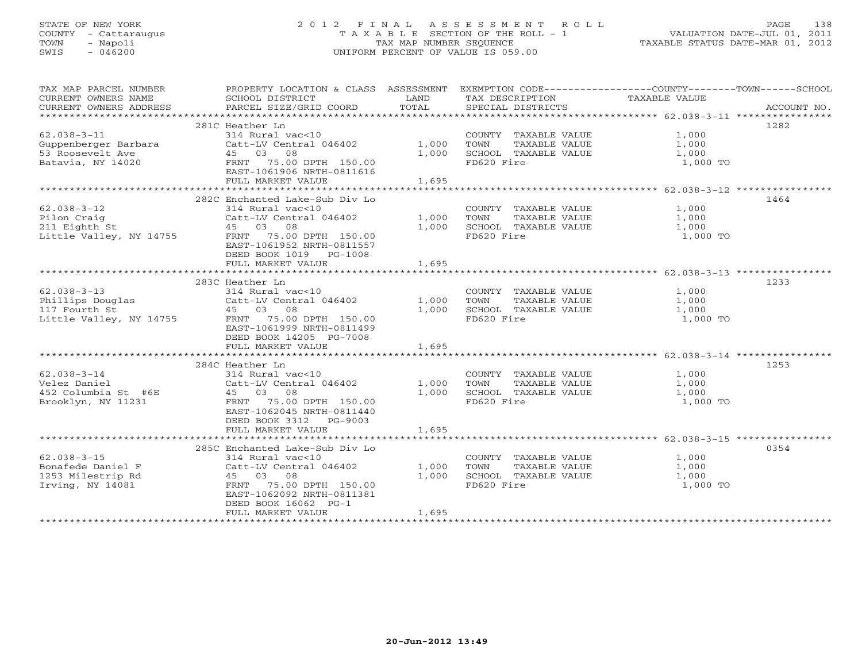# STATE OF NEW YORK 2 0 1 2 F I N A L A S S E S S M E N T R O L L PAGE 138 COUNTY - Cattaraugus T A X A B L E SECTION OF THE ROLL - 1 VALUATION DATE-JUL 01, 2011 TOWN - Napoli TAX MAP NUMBER SEQUENCE TAXABLE STATUS DATE-MAR 01, 2012 SWIS - 046200 UNIFORM PERCENT OF VALUE IS 059.00UNIFORM PERCENT OF VALUE IS 059.00

| TAX MAP PARCEL NUMBER<br>CURRENT OWNERS NAME<br>CURRENT OWNERS ADDRESS                                                 | PROPERTY LOCATION & CLASS ASSESSMENT<br>SCHOOL DISTRICT<br>PARCEL SIZE/GRID COORD                                                                                                                                                                    | LAND<br>TOTAL                    | TAX DESCRIPTION<br>SPECIAL DISTRICTS                                                                                                 | EXEMPTION CODE----------------COUNTY-------TOWN------SCHOOL<br>TAXABLE VALUE<br>ACCOUNT NO. |  |
|------------------------------------------------------------------------------------------------------------------------|------------------------------------------------------------------------------------------------------------------------------------------------------------------------------------------------------------------------------------------------------|----------------------------------|--------------------------------------------------------------------------------------------------------------------------------------|---------------------------------------------------------------------------------------------|--|
|                                                                                                                        |                                                                                                                                                                                                                                                      |                                  |                                                                                                                                      |                                                                                             |  |
| $62.038 - 3 - 11$<br>Guppenberger Barbara<br>53 Roosevelt Ave                                                          | 281C Heather Ln<br>314 Rural vac<10<br>Catt-LV Central 046402<br>45 03 08                                                                                                                                                                            | 1,000<br>1,000                   | COUNTY TAXABLE VALUE<br>TOWN<br>TAXABLE VALUE<br>SCHOOL TAXABLE VALUE                                                                | 1282<br>1,000<br>1,000<br>1,000                                                             |  |
| Batavia, NY 14020                                                                                                      | FRNT 75.00 DPTH 150.00<br>EAST-1061906 NRTH-0811616<br>FULL MARKET VALUE                                                                                                                                                                             | 1,695                            | FD620 Fire                                                                                                                           | 1,000 TO                                                                                    |  |
|                                                                                                                        |                                                                                                                                                                                                                                                      |                                  |                                                                                                                                      |                                                                                             |  |
|                                                                                                                        |                                                                                                                                                                                                                                                      |                                  |                                                                                                                                      |                                                                                             |  |
| $62.038 - 3 - 12$<br>Pilon Craig<br>211 Eighth St<br>Little Valley, NY 14755                                           | 282C Enchanted Lake-Sub Div Lo<br>314 Rural vac<10<br>Catt-LV Central 046402<br>45 03 08<br>FRNT<br>75.00 DPTH 150.00<br>EAST-1061952 NRTH-0811557<br>DEED BOOK 1019 PG-1008                                                                         | 1,000<br>1,000                   | COUNTY TAXABLE VALUE<br>TOWN<br>TAXABLE VALUE<br>SCHOOL TAXABLE VALUE<br>FD620 Fire                                                  | 1464<br>1,000<br>1,000<br>1,000<br>1,000 TO                                                 |  |
|                                                                                                                        | FULL MARKET VALUE                                                                                                                                                                                                                                    | 1,695                            |                                                                                                                                      |                                                                                             |  |
|                                                                                                                        |                                                                                                                                                                                                                                                      |                                  |                                                                                                                                      |                                                                                             |  |
| $62.038 - 3 - 13$<br>Phillips Douglas<br>117 Fourth St<br>Little Valley, NY 14755<br>$62.038 - 3 - 14$<br>Velez Daniel | 283C Heather Ln<br>314 Rural vac<10<br>Catt-LV Central 046402<br>45 03 08<br>75.00 DPTH 150.00<br>FRNT<br>EAST-1061999 NRTH-0811499<br>DEED BOOK 14205 PG-7008<br>FULL MARKET VALUE<br>284C Heather Ln<br>314 Rural vac<10<br>Catt-LV Central 046402 | 1,000<br>1,000<br>1,695<br>1,000 | COUNTY TAXABLE VALUE<br>TOWN<br>TAXABLE VALUE<br>SCHOOL TAXABLE VALUE<br>FD620 Fire<br>COUNTY TAXABLE VALUE<br>TOWN<br>TAXABLE VALUE | 1233<br>1,000<br>1,000<br>1,000<br>1,000 TO<br>1253<br>1,000<br>1,000                       |  |
| 452 Columbia St #6E<br>Brooklyn, NY 11231                                                                              | 45 03 08<br>FRNT<br>75.00 DPTH 150.00<br>EAST-1062045 NRTH-0811440<br>DEED BOOK 3312 PG-9003<br>FULL MARKET VALUE                                                                                                                                    | 1,000<br>1,695                   | SCHOOL TAXABLE VALUE<br>FD620 Fire                                                                                                   | 1,000<br>1,000 TO                                                                           |  |
|                                                                                                                        | 285C Enchanted Lake-Sub Div Lo                                                                                                                                                                                                                       |                                  |                                                                                                                                      | 0354                                                                                        |  |
| $62.038 - 3 - 15$<br>Bonafede Daniel F<br>1253 Milestrip Rd<br>Irving, NY 14081                                        | 314 Rural vac<10<br>Catt-LV Central 046402<br>45 03 08<br>75.00 DPTH 150.00<br>FRNT<br>EAST-1062092 NRTH-0811381<br>DEED BOOK 16062 PG-1<br>FULL MARKET VALUE                                                                                        | 1,000<br>1,000<br>1,695          | COUNTY TAXABLE VALUE<br>TOWN<br>TAXABLE VALUE<br>SCHOOL TAXABLE VALUE<br>FD620 Fire                                                  | 1,000<br>1,000<br>1,000<br>1,000 TO                                                         |  |
| ********************************                                                                                       |                                                                                                                                                                                                                                                      |                                  |                                                                                                                                      |                                                                                             |  |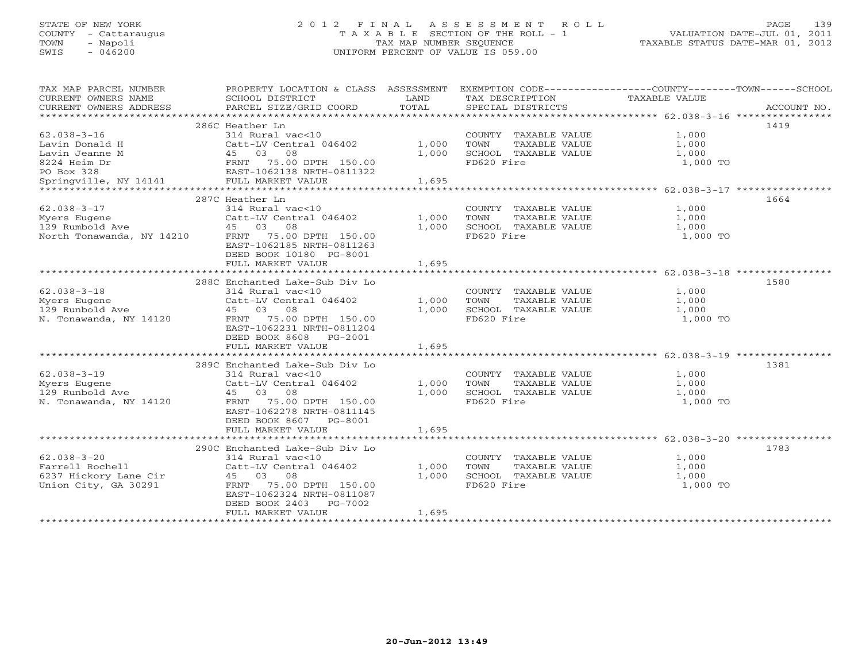# STATE OF NEW YORK 2 0 1 2 F I N A L A S S E S S M E N T R O L L PAGE 139 COUNTY - Cattaraugus T A X A B L E SECTION OF THE ROLL - 1 VALUATION DATE-JUL 01, 2011 TOWN - Napoli TAX MAP NUMBER SEQUENCE TAXABLE STATUS DATE-MAR 01, 2012 SWIS - 046200 UNIFORM PERCENT OF VALUE IS 059.00UNIFORM PERCENT OF VALUE IS 059.00

| TAX MAP PARCEL NUMBER<br>CURRENT OWNERS NAME<br>CURRENT OWNERS ADDRESS | PROPERTY LOCATION & CLASS ASSESSMENT<br>SCHOOL DISTRICT<br>PARCEL SIZE/GRID COORD | LAND<br>TOTAL | TAX DESCRIPTION<br>SPECIAL DISTRICTS | EXEMPTION CODE-----------------COUNTY-------TOWN------SCHOOL<br>TAXABLE VALUE<br>ACCOUNT NO. |
|------------------------------------------------------------------------|-----------------------------------------------------------------------------------|---------------|--------------------------------------|----------------------------------------------------------------------------------------------|
|                                                                        |                                                                                   |               |                                      |                                                                                              |
|                                                                        | 286C Heather Ln                                                                   |               |                                      | 1419                                                                                         |
| $62.038 - 3 - 16$                                                      | 314 Rural vac<10                                                                  |               | COUNTY TAXABLE VALUE                 | 1,000                                                                                        |
| Lavin Donald H                                                         | Catt-LV Central 046402                                                            | 1,000         | TOWN<br>TAXABLE VALUE                | 1,000                                                                                        |
| Lavin Jeanne M                                                         | 45 03 08                                                                          | 1,000         | SCHOOL TAXABLE VALUE                 | 1,000                                                                                        |
| 8224 Heim Dr                                                           | FRNT 75.00 DPTH 150.00<br>EAST-1062138 NRTH-0811322                               |               | FD620 Fire                           | 1,000 TO                                                                                     |
| PO Box 328                                                             |                                                                                   |               |                                      |                                                                                              |
| Springville, NY 14141                                                  | FULL MARKET VALUE                                                                 | 1,695         |                                      |                                                                                              |
|                                                                        |                                                                                   |               |                                      |                                                                                              |
|                                                                        | 287C Heather Ln                                                                   |               |                                      | 1664                                                                                         |
| $62.038 - 3 - 17$                                                      | 314 Rural vac<10                                                                  |               | COUNTY TAXABLE VALUE                 | 1,000                                                                                        |
| Myers Eugene                                                           | Catt-LV Central 046402                                                            | 1,000         | TAXABLE VALUE<br>TOWN                | 1,000                                                                                        |
| 129 Rumbold Ave                                                        | 45 03<br>08                                                                       | 1,000         | SCHOOL TAXABLE VALUE                 | 1,000                                                                                        |
| North Tonawanda, NY 14210                                              | FRNT 75.00 DPTH 150.00                                                            |               | FD620 Fire                           | 1,000 TO                                                                                     |
|                                                                        | EAST-1062185 NRTH-0811263                                                         |               |                                      |                                                                                              |
|                                                                        | DEED BOOK 10180 PG-8001                                                           |               |                                      |                                                                                              |
|                                                                        | FULL MARKET VALUE                                                                 | 1,695         |                                      |                                                                                              |
|                                                                        |                                                                                   |               |                                      |                                                                                              |
|                                                                        | 288C Enchanted Lake-Sub Div Lo                                                    |               |                                      | 1580                                                                                         |
| $62.038 - 3 - 18$                                                      | 314 Rural vac<10                                                                  |               | COUNTY TAXABLE VALUE                 | 1,000                                                                                        |
| Myers Eugene                                                           | Catt-LV Central 046402                                                            | 1,000         | TAXABLE VALUE<br>TOWN                | 1,000                                                                                        |
| 129 Runbold Ave                                                        | 08<br>45 03                                                                       | 1,000         | SCHOOL TAXABLE VALUE                 | 1,000                                                                                        |
| N. Tonawanda, NY 14120                                                 | FRNT 75.00 DPTH 150.00                                                            |               | FD620 Fire                           | 1,000 TO                                                                                     |
|                                                                        | EAST-1062231 NRTH-0811204                                                         |               |                                      |                                                                                              |
|                                                                        | DEED BOOK 8608<br>PG-2001                                                         |               |                                      |                                                                                              |
|                                                                        | FULL MARKET VALUE                                                                 | 1,695         |                                      |                                                                                              |
|                                                                        |                                                                                   |               |                                      |                                                                                              |
|                                                                        | 289C Enchanted Lake-Sub Div Lo                                                    |               |                                      | 1381                                                                                         |
| $62.038 - 3 - 19$                                                      | 314 Rural vac<10                                                                  |               | COUNTY TAXABLE VALUE                 | 1,000                                                                                        |
| Myers Eugene                                                           | Catt-LV Central 046402                                                            | 1,000         | TOWN<br>TAXABLE VALUE                | 1,000                                                                                        |
| 129 Runbold Ave                                                        | 45 03<br>08                                                                       | 1,000         | SCHOOL TAXABLE VALUE                 | 1,000                                                                                        |
| N. Tonawanda, NY 14120                                                 | FRNT 75.00 DPTH 150.00                                                            |               | FD620 Fire                           | 1,000 TO                                                                                     |
|                                                                        | EAST-1062278 NRTH-0811145                                                         |               |                                      |                                                                                              |
|                                                                        | DEED BOOK 8607 PG-8001                                                            |               |                                      |                                                                                              |
|                                                                        | FULL MARKET VALUE                                                                 | 1,695         |                                      |                                                                                              |
|                                                                        |                                                                                   |               |                                      |                                                                                              |
|                                                                        | 290C Enchanted Lake-Sub Div Lo                                                    |               |                                      | 1783                                                                                         |
| $62.038 - 3 - 20$                                                      | 314 Rural vac<10                                                                  |               | COUNTY TAXABLE VALUE                 | 1,000                                                                                        |
| Farrell Rochell                                                        | Catt-LV Central 046402                                                            | 1,000         | TOWN<br>TAXABLE VALUE                | 1,000                                                                                        |
| 6237 Hickory Lane Cir                                                  | 45 03<br>08                                                                       | 1,000         | SCHOOL TAXABLE VALUE                 | 1,000                                                                                        |
| Union City, GA 30291                                                   | 75.00 DPTH 150.00<br>FRNT                                                         |               | FD620 Fire                           | 1,000 TO                                                                                     |
|                                                                        | EAST-1062324 NRTH-0811087                                                         |               |                                      |                                                                                              |
|                                                                        | DEED BOOK 2403<br>PG-7002                                                         |               |                                      |                                                                                              |
|                                                                        | FULL MARKET VALUE                                                                 | 1,695         |                                      |                                                                                              |
|                                                                        |                                                                                   |               |                                      |                                                                                              |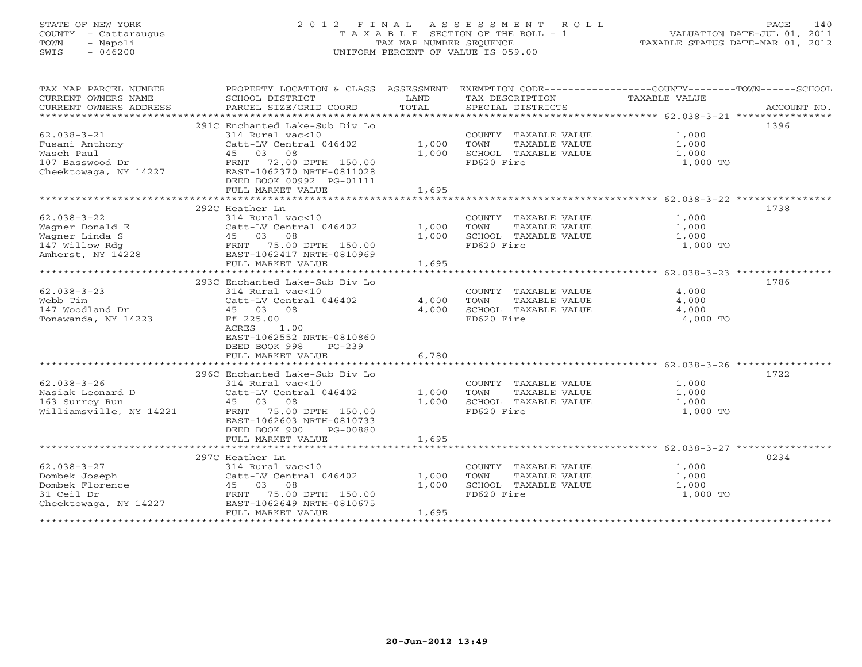# STATE OF NEW YORK 2 0 1 2 F I N A L A S S E S S M E N T R O L L PAGE 140 COUNTY - Cattaraugus T A X A B L E SECTION OF THE ROLL - 1 VALUATION DATE-JUL 01, 2011 TOWN - Napoli TAX MAP NUMBER SEQUENCE TAXABLE STATUS DATE-MAR 01, 2012 SWIS - 046200 UNIFORM PERCENT OF VALUE IS 059.00UNIFORM PERCENT OF VALUE IS 059.00

| TAX MAP PARCEL NUMBER        |                                                                                                                                                        |       |                                                   | PROPERTY LOCATION & CLASS ASSESSMENT EXEMPTION CODE---------------COUNTY-------TOWN-----SCHOOL |      |
|------------------------------|--------------------------------------------------------------------------------------------------------------------------------------------------------|-------|---------------------------------------------------|------------------------------------------------------------------------------------------------|------|
| CURRENT OWNERS NAME          | SCHOOL DISTRICT                                                                                                                                        | LAND  | TAX DESCRIPTION                                   | TAXABLE VALUE                                                                                  |      |
|                              |                                                                                                                                                        |       |                                                   |                                                                                                |      |
|                              |                                                                                                                                                        |       |                                                   |                                                                                                |      |
|                              | 291C Enchanted Lake-Sub Div Lo                                                                                                                         |       |                                                   |                                                                                                | 1396 |
| $62.038 - 3 - 21$            | 314 Rural vac<10                                                                                                                                       |       | COUNTY TAXABLE VALUE 1,000                        |                                                                                                |      |
| Fusani Anthony<br>Wasch Paul | Catt-LV Central 046402 1,000 TOWN                                                                                                                      |       |                                                   |                                                                                                |      |
|                              |                                                                                                                                                        | 1,000 | TOWN      TAXABLE VALUE<br>SCHOOL   TAXABLE VALUE | 1,000<br>1,000                                                                                 |      |
|                              |                                                                                                                                                        |       | FD620 Fire                                        | 1,000 TO                                                                                       |      |
|                              |                                                                                                                                                        |       |                                                   |                                                                                                |      |
|                              | DEED BOOK 00992 PG-01111                                                                                                                               |       |                                                   |                                                                                                |      |
|                              | FULL MARKET VALUE                                                                                                                                      | 1,695 |                                                   |                                                                                                |      |
|                              |                                                                                                                                                        |       |                                                   |                                                                                                |      |
|                              | 292C Heather Ln                                                                                                                                        |       |                                                   |                                                                                                | 1738 |
| $62.038 - 3 - 22$            | 314 Rural vac<10                                                                                                                                       |       | COUNTY TAXABLE VALUE 1,000                        |                                                                                                |      |
|                              | Catt-LV Central 046402 1,000                                                                                                                           |       | TOWN TAXABLE VALUE                                |                                                                                                |      |
|                              | Wagner Donald E<br>Wagner Linda S<br>147 Willow Rdg<br>245 03 08<br>247 Willow Rdg<br>248 EAST-1062417 NRTH-0810969<br>268 EAST-1062417 NRTH-0810969   | 1,000 | SCHOOL TAXABLE VALUE                              | 1,000<br>1,000                                                                                 |      |
|                              |                                                                                                                                                        |       | FD620 Fire                                        | 1,000 TO                                                                                       |      |
|                              |                                                                                                                                                        |       |                                                   |                                                                                                |      |
|                              | FULL MARKET VALUE                                                                                                                                      | 1,695 |                                                   |                                                                                                |      |
|                              |                                                                                                                                                        |       |                                                   |                                                                                                |      |
|                              | 293C Enchanted Lake-Sub Div Lo                                                                                                                         |       |                                                   |                                                                                                | 1786 |
| $62.038 - 3 - 23$            | 314 Rural vac<10                                                                                                                                       |       | COUNTY TAXABLE VALUE                              |                                                                                                |      |
| Webb Tim                     | Catt-LV Central 046402 4,000 TOWN                                                                                                                      |       | TAXABLE VALUE                                     | $\frac{4}{4}$ ,000<br>$\frac{4}{4}$ ,000                                                       |      |
| 147 Woodland Dr              | 45 03 08                                                                                                                                               | 4,000 | SCHOOL TAXABLE VALUE 4,000                        |                                                                                                |      |
| Tonawanda, NY 14223          | Ff 225.00                                                                                                                                              |       | FD620 Fire                                        | 4,000 TO                                                                                       |      |
|                              | ACRES<br>1.00                                                                                                                                          |       |                                                   |                                                                                                |      |
|                              | EAST-1062552 NRTH-0810860                                                                                                                              |       |                                                   |                                                                                                |      |
|                              | DEED BOOK 998<br>$PG-2.39$                                                                                                                             |       |                                                   |                                                                                                |      |
|                              | FULL MARKET VALUE                                                                                                                                      | 6,780 |                                                   |                                                                                                |      |
|                              |                                                                                                                                                        |       |                                                   |                                                                                                |      |
|                              | 296C Enchanted Lake-Sub Div Lo                                                                                                                         |       |                                                   |                                                                                                | 1722 |
| $62.038 - 3 - 26$            | 314 Rural vac<10                                                                                                                                       |       | COUNTY TAXABLE VALUE 1,000                        |                                                                                                |      |
|                              |                                                                                                                                                        |       |                                                   | TAXABLE VALUE 1,000                                                                            |      |
|                              |                                                                                                                                                        |       | 1,000 SCHOOL TAXABLE VALUE                        |                                                                                                |      |
|                              | Nasiak Leonard D<br>1,000 TOWN<br>163 Surrey Run 14221 + 150.00 DPTH 150.00 + 1,000 SCHOC<br>Williamsville, NY 14221 + FRNT 75.00 DPTH 150.00 + 150.00 |       | FD620 Fire                                        | 1,000<br>1,000 TO                                                                              |      |
|                              | EAST-1062603 NRTH-0810733                                                                                                                              |       |                                                   |                                                                                                |      |
|                              | DEED BOOK 900<br>PG-00880                                                                                                                              |       |                                                   |                                                                                                |      |
|                              | FULL MARKET VALUE                                                                                                                                      | 1,695 |                                                   |                                                                                                |      |
|                              |                                                                                                                                                        |       |                                                   |                                                                                                |      |
|                              | 297C Heather Ln                                                                                                                                        |       |                                                   |                                                                                                | 0234 |
| $62.038 - 3 - 27$            | neacher Ln<br>314 Rural vac<10                                                                                                                         |       | COUNTY TAXABLE VALUE                              | 1,000                                                                                          |      |
| Dombek Joseph                | Catt-LV Central 046402 1,000                                                                                                                           |       | TAXABLE VALUE<br>TOWN                             | 1,000                                                                                          |      |
| Dombek Florence              |                                                                                                                                                        | 1,000 |                                                   |                                                                                                |      |
|                              | 9 15 45 03 08<br>FRNT 75.00 DPTH 150.00                                                                                                                |       | SCHOOL TAXABLE VALUE 1,000                        |                                                                                                |      |
| 31 Ceil Dr                   | Cheektowaga, NY 14227 EAST-1062649 NRTH-0810675                                                                                                        |       | FD620 Fire                                        | 1,000 TO                                                                                       |      |
|                              | FULL MARKET VALUE                                                                                                                                      | 1,695 |                                                   |                                                                                                |      |
|                              |                                                                                                                                                        |       |                                                   |                                                                                                |      |
|                              |                                                                                                                                                        |       |                                                   |                                                                                                |      |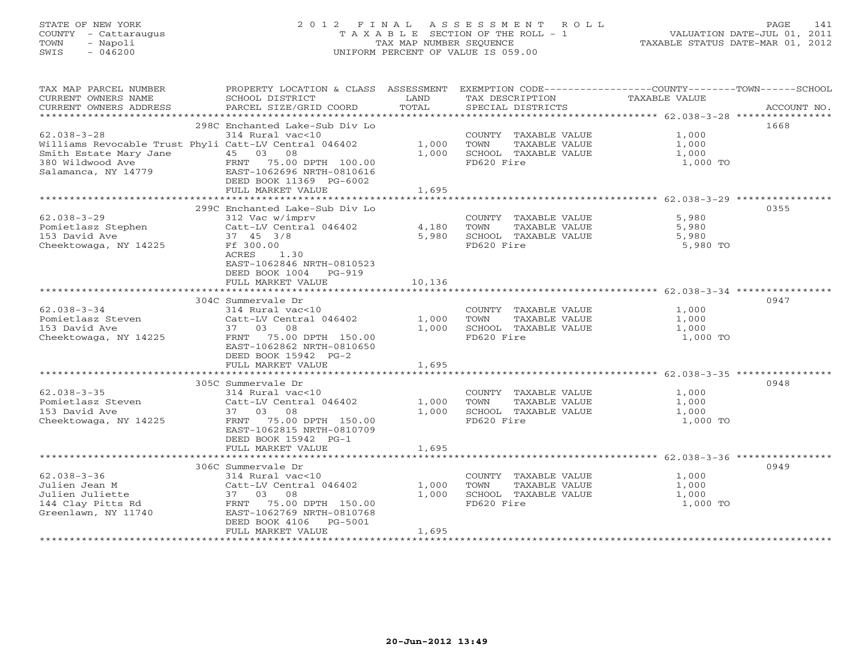# STATE OF NEW YORK 2 0 1 2 F I N A L A S S E S S M E N T R O L L PAGE 141 COUNTY - Cattaraugus T A X A B L E SECTION OF THE ROLL - 1 VALUATION DATE-JUL 01, 2011 TOWN - Napoli TAX MAP NUMBER SEQUENCE TAXABLE STATUS DATE-MAR 01, 2012 SWIS - 046200 UNIFORM PERCENT OF VALUE IS 059.00UNIFORM PERCENT OF VALUE IS 059.00

| TAX MAP PARCEL NUMBER<br>CURRENT OWNERS NAME<br>CURRENT OWNERS ADDRESS                                                                                                | PROPERTY LOCATION & CLASS ASSESSMENT EXEMPTION CODE----------------COUNTY-------TOWN------SCHOOL<br>SCHOOL DISTRICT<br>PARCEL SIZE/GRID COORD | LAND<br>TOTAL | TAX DESCRIPTION<br>SPECIAL DISTRICTS           | <b>TAXABLE VALUE</b> | ACCOUNT NO. |
|-----------------------------------------------------------------------------------------------------------------------------------------------------------------------|-----------------------------------------------------------------------------------------------------------------------------------------------|---------------|------------------------------------------------|----------------------|-------------|
|                                                                                                                                                                       |                                                                                                                                               |               |                                                |                      |             |
| $62.038 - 3 - 28$                                                                                                                                                     | 298C Enchanted Lake-Sub Div Lo                                                                                                                |               |                                                |                      | 1668        |
| Williams Revocable Trust Phyli Catt-LV Central 046402                                                                                                                 | 314 Rural vac<10                                                                                                                              | 1,000 TOWN    | COUNTY TAXABLE VALUE 1,000<br>TAXABLE VALUE    | 1,000                |             |
|                                                                                                                                                                       |                                                                                                                                               |               | 1,000 SCHOOL TAXABLE VALUE                     | $\frac{1}{1}$ , 000  |             |
| Smith Estate Mary Jane $\begin{array}{cccc} 45 & 03 & 08 \\ 380 & \text{Wildwood Ave} \\ \text{Salamanca, NY} & 14779 & \text{EAST-1062696 NRTH-0810616} \end{array}$ | DEED BOOK 11369 PG-6002                                                                                                                       |               | FD620 Fire                                     | 1,000 TO             |             |
|                                                                                                                                                                       | FULL MARKET VALUE                                                                                                                             | 1,695         |                                                |                      |             |
|                                                                                                                                                                       |                                                                                                                                               |               |                                                |                      |             |
|                                                                                                                                                                       | 299C Enchanted Lake-Sub Div Lo                                                                                                                |               |                                                |                      | 0355        |
| $62.038 - 3 - 29$                                                                                                                                                     | 312 Vac w/imprv                                                                                                                               |               | COUNTY TAXABLE VALUE<br>TOWN     TAXABLE VALUE | 5,980                |             |
| Pomietlasz Stephen                                                                                                                                                    | Catt-IV Central $046402$                                                                                                                      | 4,180 TOWN    |                                                | 5,980                |             |
| 153 David Ave                                                                                                                                                         | 37 45 3/8                                                                                                                                     | 5,980         | SCHOOL TAXABLE VALUE                           | 5,980                |             |
| Cheektowaga, NY 14225                                                                                                                                                 | Ff 300.00<br>ACRES<br>1.30<br>EAST-1062846 NRTH-0810523<br>DEED BOOK 1004 PG-919                                                              |               | FD620 Fire                                     | 5,980 TO             |             |
|                                                                                                                                                                       | FULL MARKET VALUE                                                                                                                             | 10,136        |                                                |                      |             |
|                                                                                                                                                                       |                                                                                                                                               |               |                                                |                      |             |
|                                                                                                                                                                       | 304C Summervale Dr                                                                                                                            |               |                                                |                      | 0947        |
| $62.038 - 3 - 34$                                                                                                                                                     | 314 Rural vac<10<br>Catt-LV Central 046402 1,000 TOWN                                                                                         |               | COUNTY TAXABLE VALUE                           | 1,000<br>1,000       |             |
| Pomietlasz Steven                                                                                                                                                     |                                                                                                                                               |               | TAXABLE VALUE                                  |                      |             |
|                                                                                                                                                                       |                                                                                                                                               |               | 1,000 SCHOOL TAXABLE VALUE<br>FD620 Fire       | 1,000<br>1,000 TO    |             |
|                                                                                                                                                                       | EAST-1062862 NRTH-0810650<br>DEED BOOK 15942 PG-2                                                                                             |               |                                                |                      |             |
|                                                                                                                                                                       | FULL MARKET VALUE                                                                                                                             | 1,695         |                                                |                      |             |
|                                                                                                                                                                       |                                                                                                                                               |               |                                                |                      |             |
|                                                                                                                                                                       | 305C Summervale Dr                                                                                                                            |               |                                                |                      | 0948        |
| $62.038 - 3 - 35$                                                                                                                                                     | 314 Rural vac<10                                                                                                                              |               | COUNTY TAXABLE VALUE 1,000                     |                      |             |
| Pomietlasz Steven<br>153 David Ave                                                                                                                                    | Catt-LV Central 046402                                                                                                                        | 1,000         | TOWN<br>TAXABLE VALUE                          | 1,000                |             |
|                                                                                                                                                                       | 37 03 08                                                                                                                                      |               | 1,000 SCHOOL TAXABLE VALUE                     | 1,000                |             |
| Cheektowaga, NY 14225                                                                                                                                                 | FRNT 75.00 DPTH 150.00<br>EAST-1062815 NRTH-0810709<br>DEED BOOK 15942 PG-1                                                                   |               | FD620 Fire                                     | 1,000 TO             |             |
|                                                                                                                                                                       | FULL MARKET VALUE                                                                                                                             | 1,695         |                                                |                      |             |
|                                                                                                                                                                       |                                                                                                                                               |               |                                                |                      |             |
|                                                                                                                                                                       | 306C Summervale Dr                                                                                                                            |               |                                                |                      | 0949        |
| $62.038 - 3 - 36$                                                                                                                                                     | 314 Rural vac<10                                                                                                                              |               | COUNTY TAXABLE VALUE<br>TOWN TAXABLE VALUE     | 1,000                |             |
| Julien Jean M                                                                                                                                                         | Catt-LV Central 046402 1,000 TOWN                                                                                                             |               | TAXABLE VALUE                                  | 1,000                |             |
|                                                                                                                                                                       |                                                                                                                                               | 1,000         | SCHOOL TAXABLE VALUE                           | 1,000                |             |
|                                                                                                                                                                       |                                                                                                                                               |               | FD620 Fire                                     | 1,000 TO             |             |
| Greenlawn, NY 11740                                                                                                                                                   | EAST-1062769 NRTH-0810768                                                                                                                     |               |                                                |                      |             |
|                                                                                                                                                                       | DEED BOOK 4106 PG-5001                                                                                                                        |               |                                                |                      |             |
|                                                                                                                                                                       | FULL MARKET VALUE                                                                                                                             | 1,695         |                                                |                      |             |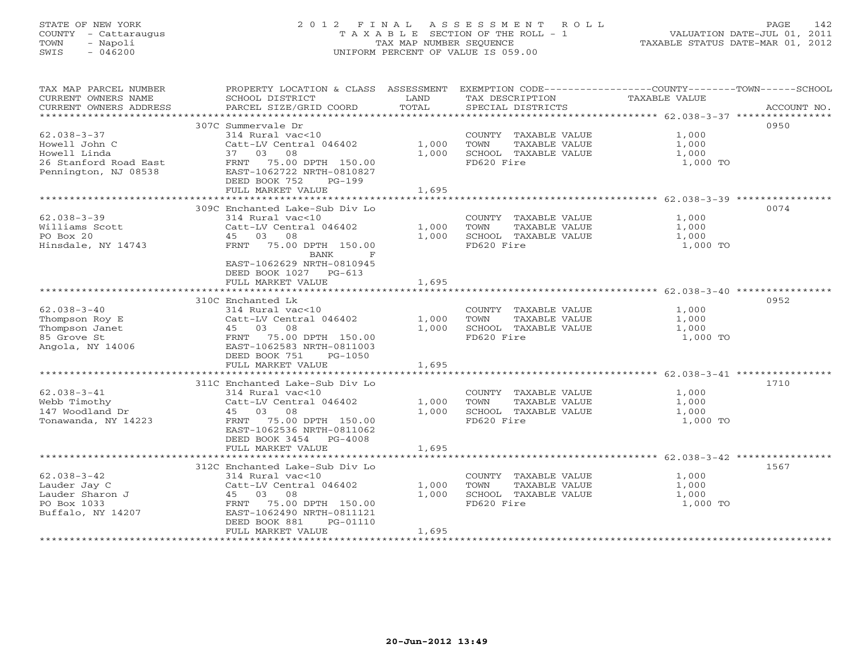# STATE OF NEW YORK 2 0 1 2 F I N A L A S S E S S M E N T R O L L PAGE 142 COUNTY - Cattaraugus T A X A B L E SECTION OF THE ROLL - 1 VALUATION DATE-JUL 01, 2011 TOWN - Napoli TAX MAP NUMBER SEQUENCE TAXABLE STATUS DATE-MAR 01, 2012 SWIS - 046200 UNIFORM PERCENT OF VALUE IS 059.00UNIFORM PERCENT OF VALUE IS 059.00

| TAX MAP PARCEL NUMBER<br>CURRENT OWNERS NAME<br>CURRENT OWNERS ADDRESS | PROPERTY LOCATION & CLASS ASSESSMENT<br>SCHOOL DISTRICT<br>PARCEL SIZE/GRID COORD | LAND<br>TOTAL | EXEMPTION CODE-----------------COUNTY-------TOWN-----SCHOOL<br>TAX DESCRIPTION<br>SPECIAL DISTRICTS | TAXABLE VALUE | ACCOUNT NO. |
|------------------------------------------------------------------------|-----------------------------------------------------------------------------------|---------------|-----------------------------------------------------------------------------------------------------|---------------|-------------|
|                                                                        |                                                                                   |               |                                                                                                     |               |             |
|                                                                        | 307C Summervale Dr                                                                |               |                                                                                                     |               | 0950        |
| $62.038 - 3 - 37$                                                      | 314 Rural vac<10                                                                  |               | COUNTY TAXABLE VALUE                                                                                | 1,000         |             |
| Howell John C                                                          | Catt-LV Central 046402                                                            | 1,000         | TOWN<br>TAXABLE VALUE                                                                               | 1,000         |             |
| Howell Linda                                                           | 37 03<br>08                                                                       | 1,000         | SCHOOL TAXABLE VALUE                                                                                | 1,000         |             |
| 26 Stanford Road East                                                  | FRNT 75.00 DPTH 150.00                                                            |               | FD620 Fire                                                                                          | 1,000 TO      |             |
| Pennington, NJ 08538                                                   | EAST-1062722 NRTH-0810827                                                         |               |                                                                                                     |               |             |
|                                                                        | DEED BOOK 752<br>$PG-199$                                                         |               |                                                                                                     |               |             |
|                                                                        | FULL MARKET VALUE                                                                 | 1,695         |                                                                                                     |               |             |
|                                                                        |                                                                                   |               |                                                                                                     |               |             |
|                                                                        | 309C Enchanted Lake-Sub Div Lo                                                    |               |                                                                                                     |               | 0074        |
| $62.038 - 3 - 39$                                                      | 314 Rural vac<10                                                                  |               | COUNTY TAXABLE VALUE                                                                                | 1,000         |             |
| Williams Scott<br>PO Box 20                                            | Catt-LV Central 046402<br>45 03 08                                                | 1,000         | TAXABLE VALUE<br>TOWN                                                                               | 1,000         |             |
|                                                                        |                                                                                   | 1,000         | SCHOOL TAXABLE VALUE                                                                                | 1,000         |             |
| Hinsdale, NY 14743                                                     | 75.00 DPTH 150.00<br>FRNT<br>BANK<br>F                                            |               | FD620 Fire                                                                                          | 1,000 TO      |             |
|                                                                        | EAST-1062629 NRTH-0810945                                                         |               |                                                                                                     |               |             |
|                                                                        | DEED BOOK 1027<br>$PG-613$                                                        |               |                                                                                                     |               |             |
|                                                                        | FULL MARKET VALUE                                                                 | 1,695         |                                                                                                     |               |             |
|                                                                        |                                                                                   |               |                                                                                                     |               |             |
|                                                                        | 310C Enchanted Lk                                                                 |               |                                                                                                     |               | 0952        |
| $62.038 - 3 - 40$                                                      | 314 Rural vac<10                                                                  |               | COUNTY TAXABLE VALUE                                                                                | 1,000         |             |
| Thompson Roy E                                                         | Catt-LV Central 046402                                                            | 1,000         | TOWN<br>TAXABLE VALUE                                                                               | 1,000         |             |
| Thompson Janet                                                         | 45 03 08                                                                          | 1,000         | SCHOOL TAXABLE VALUE                                                                                | 1,000         |             |
| 85 Grove St                                                            | FRNT 75.00 DPTH 150.00                                                            |               | FD620 Fire                                                                                          | 1,000 TO      |             |
| Angola, NY 14006                                                       | EAST-1062583 NRTH-0811003                                                         |               |                                                                                                     |               |             |
|                                                                        | DEED BOOK 751<br>PG-1050                                                          |               |                                                                                                     |               |             |
|                                                                        | FULL MARKET VALUE                                                                 | 1,695         |                                                                                                     |               |             |
|                                                                        |                                                                                   |               |                                                                                                     |               |             |
|                                                                        | 311C Enchanted Lake-Sub Div Lo                                                    |               |                                                                                                     |               | 1710        |
| $62.038 - 3 - 41$                                                      | 314 Rural vac<10                                                                  |               | COUNTY TAXABLE VALUE                                                                                | 1,000         |             |
| Webb Timothy                                                           | Catt-LV Central 046402                                                            | 1,000         | TOWN<br>TAXABLE VALUE                                                                               | 1,000         |             |
| 147 Woodland Dr                                                        | 45 03 08                                                                          | 1,000         | SCHOOL TAXABLE VALUE                                                                                | 1,000         |             |
| Tonawanda, NY 14223                                                    | 75.00 DPTH 150.00<br>FRNT                                                         |               | FD620 Fire                                                                                          | 1,000 TO      |             |
|                                                                        | EAST-1062536 NRTH-0811062                                                         |               |                                                                                                     |               |             |
|                                                                        | DEED BOOK 3454<br>PG-4008<br>FULL MARKET VALUE                                    | 1,695         |                                                                                                     |               |             |
|                                                                        |                                                                                   |               |                                                                                                     |               |             |
|                                                                        | 312C Enchanted Lake-Sub Div Lo                                                    |               |                                                                                                     |               | 1567        |
| $62.038 - 3 - 42$                                                      | 314 Rural vac<10                                                                  |               | COUNTY TAXABLE VALUE                                                                                | 1,000         |             |
| Lauder Jay C                                                           | Catt-LV Central 046402                                                            | 1,000         | TOWN<br>TAXABLE VALUE                                                                               | 1,000         |             |
| Lauder Sharon J                                                        | 08<br>45 03                                                                       | 1,000         | SCHOOL TAXABLE VALUE                                                                                | 1,000         |             |
| PO Box 1033                                                            | FRNT<br>75.00 DPTH 150.00                                                         |               | FD620 Fire                                                                                          | 1,000 TO      |             |
| Buffalo, NY 14207                                                      | EAST-1062490 NRTH-0811121                                                         |               |                                                                                                     |               |             |
|                                                                        | DEED BOOK 881<br>PG-01110                                                         |               |                                                                                                     |               |             |
|                                                                        | FULL MARKET VALUE                                                                 | 1,695         |                                                                                                     |               |             |
|                                                                        |                                                                                   |               |                                                                                                     |               |             |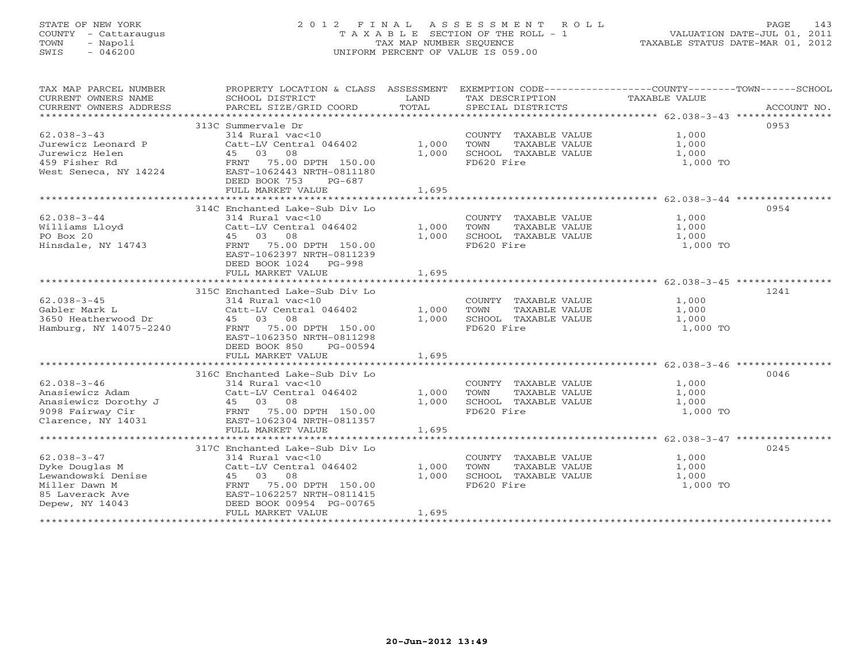# STATE OF NEW YORK 2 0 1 2 F I N A L A S S E S S M E N T R O L L PAGE 143 COUNTY - Cattaraugus T A X A B L E SECTION OF THE ROLL - 1 VALUATION DATE-JUL 01, 2011 TOWN - Napoli TAX MAP NUMBER SEQUENCE TAXABLE STATUS DATE-MAR 01, 2012 SWIS - 046200 UNIFORM PERCENT OF VALUE IS 059.00UNIFORM PERCENT OF VALUE IS 059.00

| TAX MAP PARCEL NUMBER<br>CURRENT OWNERS NAME<br>CURRENT OWNERS ADDRESS | SCHOOL DISTRICT<br><b>Example 19 TEAND</b><br>PARCEL SIZE/GRID COORD                                                                                                                                                                                                                          | TOTAL          | TAX DESCRIPTION<br>SPECIAL DISTRICTS                                                                                                                                                                                                                                  | PROPERTY LOCATION & CLASS ASSESSMENT EXEMPTION CODE---------------COUNTY-------TOWN------SCHOOL<br>TAXABLE VALUE<br>ACCOUNT NO. |
|------------------------------------------------------------------------|-----------------------------------------------------------------------------------------------------------------------------------------------------------------------------------------------------------------------------------------------------------------------------------------------|----------------|-----------------------------------------------------------------------------------------------------------------------------------------------------------------------------------------------------------------------------------------------------------------------|---------------------------------------------------------------------------------------------------------------------------------|
| $62.038 - 3 - 43$                                                      | 313C Summervale Dr<br>314 Rural vac<10<br>Catt-LV Central 046402 1,000<br>Unrewicz Leonard P<br>Unrewicz Helen<br>45 03 08<br>459 Fisher Rd<br>659 Fisher Rd<br>75.00 DPTH 150.00<br>75.00 DPTH 150.00<br>75.00 DPTH 150.00<br>75.00 DPTH 150.00<br>DEED BOOK 753 PG-687<br>FULL MARKET VALUE | 1,695          | $\begin{tabular}{lllllllll} \multicolumn{2}{c}{\textbf{COUNTY}} & \textbf{TAXABLE VALUE} & & & & 1,000 \\ \multicolumn{2}{c}{\textbf{TOWN}} & \textbf{TAXABLE VALUE} & & & 1,000 \\ \end{tabular}$<br>1,000 SCHOOL TAXABLE VALUE 1,000<br>1,000 1 1,000<br>FD620 Fire | 0953<br>1,000 TO                                                                                                                |
| $62.038 - 3 - 44$                                                      | 314C Enchanted Lake-Sub Div Lo<br>314 Rural vac<10<br>Catt-LV Central 046402 1,000 TOWN<br>Villiams Lloyd<br>PO Box 20<br>Hinsdale, NY 14743<br>Hinsdale, NY 14743<br>PRNT 75.00 DPTH 150.00<br>EAST-1062397 NRTH-0811239<br>DEED BOOK 1024 PG-998<br>FULL MARKET VALUE                       | 1,695          | COUNTY TAXABLE VALUE<br>1,000 SCHOOL TAXABLE VALUE 1,000<br>FD620 Fire                                                                                                                                                                                                | 0954<br>TAXABLE VALUE 1,000<br>TAXABLE VALUE 1,000<br>TAXABLE VALUE 1,000<br>1,000 TO                                           |
| $62.038 - 3 - 45$                                                      | 315C Enchanted Lake-Sub Div Lo<br>314 Rural vac<10<br>EAST-1062350 NRTH-0811298<br>DEED BOOK 850 PG-00594<br>FULL MARKET VALUE 1,695                                                                                                                                                          |                | COUNTY TAXABLE VALUE 1,000<br>1,000 TOWN TAXABLE VALUE 1,000<br>1,000 SCHOOL TAXABLE VALUE 1,000<br>FD620 Fire                                                                                                                                                        | 1241<br>1,000 TO                                                                                                                |
| $62.038 - 3 - 46$                                                      | 316C Enchanted Lake-Sub Div Lo<br>314 Rural vac<10<br>Anasiewicz Adam Catt-LV Central 046402 1,000 TOWN<br>Anasiewicz Dorothy J (1,000 TOWN)<br>9098 Fairway Cir FRNT 75.00 DPTH 150.00 1,000 SCHOOL<br>Clarence, NY 14031 EAST-1062304 NRTH-0811357<br>FULL MARKET VALUE                     | 1,695          | COUNTY TAXABLE VALUE 1,000<br>1,000 TOWN TAXABLE VALUE 1,000<br>1,000 SCHOOL TAXABLE VALUE 1,000<br>FD620 Fire                                                                                                                                                        | 0046<br>1,000 TO                                                                                                                |
|                                                                        | 317C Enchanted Lake-Sub Div Lo<br>Catt-LV Central 046402 1,000<br>Dyke Douglas M<br>Lewandowski Denise<br>Miller Dawn M<br>Miller Dawn M<br>A<br>S5 Laverack Ave<br>S5 Laverack Ave<br>PEND BOOK 00954 PG-00745<br>DEED BOOK 00954 PG-00745<br>FULL MARKET VALUE                              | 1,000<br>1,695 | COUNTY TAXABLE VALUE<br>TOWN     TAXABLE VALUE<br>SCHOOL   TAXABLE VALUE<br>FD620  Fire                                                                                                                                                                               | 0245<br>1,000<br>1,000<br>1,000<br>1,000 TO                                                                                     |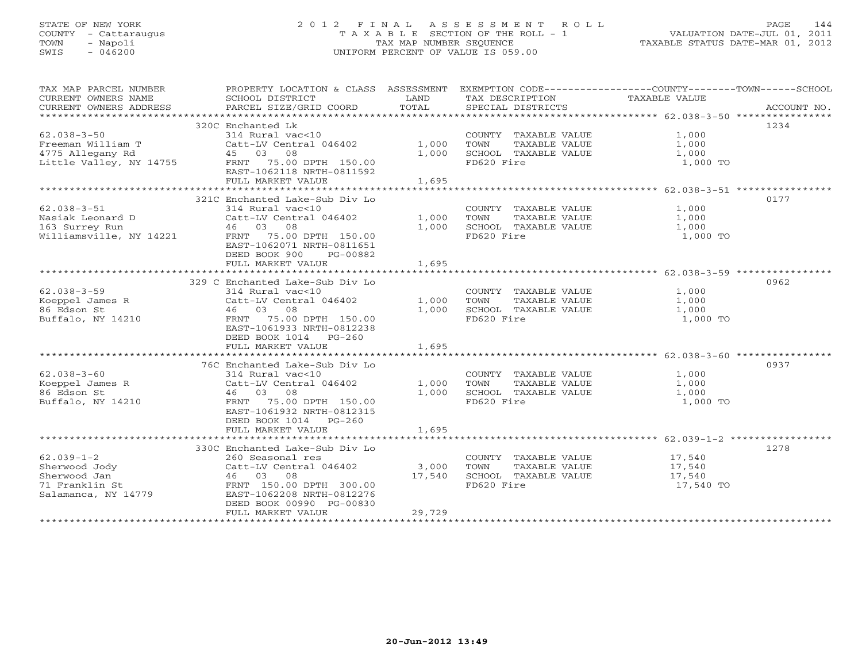# STATE OF NEW YORK 2 0 1 2 F I N A L A S S E S S M E N T R O L L PAGE 144 COUNTY - Cattaraugus T A X A B L E SECTION OF THE ROLL - 1 VALUATION DATE-JUL 01, 2011 TOWN - Napoli TAX MAP NUMBER SEQUENCE TAXABLE STATUS DATE-MAR 01, 2012 SWIS - 046200 UNIFORM PERCENT OF VALUE IS 059.00UNIFORM PERCENT OF VALUE IS 059.00

| TAX MAP PARCEL NUMBER<br>CURRENT OWNERS NAME<br>CURRENT OWNERS ADDRESS | PROPERTY LOCATION & CLASS ASSESSMENT<br>SCHOOL DISTRICT<br>PARCEL SIZE/GRID COORD | LAND<br>TOTAL  | TAX DESCRIPTION<br>SPECIAL DISTRICTS          | EXEMPTION CODE-----------------COUNTY-------TOWN------SCHOOL<br>TAXABLE VALUE<br>ACCOUNT NO. |
|------------------------------------------------------------------------|-----------------------------------------------------------------------------------|----------------|-----------------------------------------------|----------------------------------------------------------------------------------------------|
|                                                                        |                                                                                   |                |                                               |                                                                                              |
| $62.038 - 3 - 50$                                                      | 320C Enchanted Lk<br>314 Rural vac<10                                             |                | COUNTY TAXABLE VALUE                          | 1234<br>1,000                                                                                |
| Freeman William T<br>4775 Allegany Rd                                  | Catt-LV Central 046402<br>45 03 08                                                | 1,000<br>1,000 | TAXABLE VALUE<br>TOWN<br>SCHOOL TAXABLE VALUE | 1,000<br>1,000                                                                               |
| Little Valley, NY 14755                                                | FRNT 75.00 DPTH 150.00<br>EAST-1062118 NRTH-0811592                               |                | FD620 Fire                                    | 1,000 TO                                                                                     |
|                                                                        | FULL MARKET VALUE                                                                 | 1,695          |                                               |                                                                                              |
|                                                                        |                                                                                   |                |                                               |                                                                                              |
|                                                                        | 321C Enchanted Lake-Sub Div Lo                                                    |                |                                               | 0177                                                                                         |
| $62.038 - 3 - 51$                                                      | 314 Rural vac<10                                                                  |                | COUNTY TAXABLE VALUE                          | 1,000                                                                                        |
| Nasiak Leonard D                                                       | Catt-LV Central 046402                                                            | 1,000          | TOWN<br>TAXABLE VALUE                         | 1,000                                                                                        |
| 163 Surrey Run                                                         | 46 03 08                                                                          | 1,000          | SCHOOL TAXABLE VALUE                          | 1,000                                                                                        |
| Williamsville, NY 14221                                                | FRNT 75.00 DPTH 150.00<br>EAST-1062071 NRTH-0811651<br>DEED BOOK 900<br>PG-00882  |                | FD620 Fire                                    | 1,000 TO                                                                                     |
|                                                                        | FULL MARKET VALUE                                                                 | 1,695          |                                               |                                                                                              |
|                                                                        |                                                                                   |                |                                               |                                                                                              |
|                                                                        | 329 C Enchanted Lake-Sub Div Lo                                                   |                |                                               | 0962                                                                                         |
| $62.038 - 3 - 59$                                                      | 314 Rural vac<10                                                                  |                | COUNTY TAXABLE VALUE                          | 1,000                                                                                        |
| Koeppel James R                                                        | Catt-LV Central 046402                                                            | 1,000          | TAXABLE VALUE<br>TOWN                         | 1,000                                                                                        |
| 86 Edson St                                                            | 08<br>46 03                                                                       | 1,000          | SCHOOL TAXABLE VALUE                          | 1,000                                                                                        |
| Buffalo, NY 14210                                                      | FRNT 75.00 DPTH 150.00                                                            |                | FD620 Fire                                    | 1,000 TO                                                                                     |
|                                                                        | EAST-1061933 NRTH-0812238                                                         |                |                                               |                                                                                              |
|                                                                        | DEED BOOK 1014 PG-260                                                             |                |                                               |                                                                                              |
|                                                                        | FULL MARKET VALUE                                                                 | 1,695          |                                               |                                                                                              |
|                                                                        |                                                                                   |                |                                               |                                                                                              |
|                                                                        | 76C Enchanted Lake-Sub Div Lo                                                     |                |                                               | 0937                                                                                         |
| $62.038 - 3 - 60$                                                      | 314 Rural vac<10                                                                  |                | COUNTY TAXABLE VALUE                          | 1,000                                                                                        |
| Koeppel James R                                                        | Catt-LV Central 046402                                                            | 1,000          | TAXABLE VALUE<br>TOWN                         | 1,000                                                                                        |
|                                                                        |                                                                                   |                |                                               |                                                                                              |
| 86 Edson St                                                            | 08<br>46 03                                                                       | 1,000          | SCHOOL TAXABLE VALUE                          | 1,000                                                                                        |
| Buffalo, NY 14210                                                      | FRNT<br>75.00 DPTH 150.00                                                         |                | FD620 Fire                                    | 1,000 TO                                                                                     |
|                                                                        | EAST-1061932 NRTH-0812315                                                         |                |                                               |                                                                                              |
|                                                                        | DEED BOOK 1014 PG-260                                                             |                |                                               |                                                                                              |
|                                                                        | FULL MARKET VALUE                                                                 | 1,695          |                                               |                                                                                              |
|                                                                        |                                                                                   |                |                                               |                                                                                              |
|                                                                        | 330C Enchanted Lake-Sub Div Lo                                                    |                |                                               | 1278                                                                                         |
| $62.039 - 1 - 2$                                                       | 260 Seasonal res                                                                  |                | COUNTY TAXABLE VALUE                          | 17,540                                                                                       |
| Sherwood Jody                                                          | Catt-LV Central 046402                                                            | 3,000          | TOWN<br>TAXABLE VALUE                         | 17,540                                                                                       |
| Sherwood Jan                                                           | 46 03<br>08                                                                       | 17,540         | SCHOOL TAXABLE VALUE                          | 17,540                                                                                       |
| 71 Franklin St                                                         | FRNT 150.00 DPTH 300.00                                                           |                | FD620 Fire                                    | 17,540 TO                                                                                    |
| Salamanca, NY 14779                                                    | EAST-1062208 NRTH-0812276                                                         |                |                                               |                                                                                              |
|                                                                        | DEED BOOK 00990 PG-00830                                                          |                |                                               |                                                                                              |
|                                                                        | FULL MARKET VALUE                                                                 | 29,729         |                                               |                                                                                              |
|                                                                        |                                                                                   |                |                                               |                                                                                              |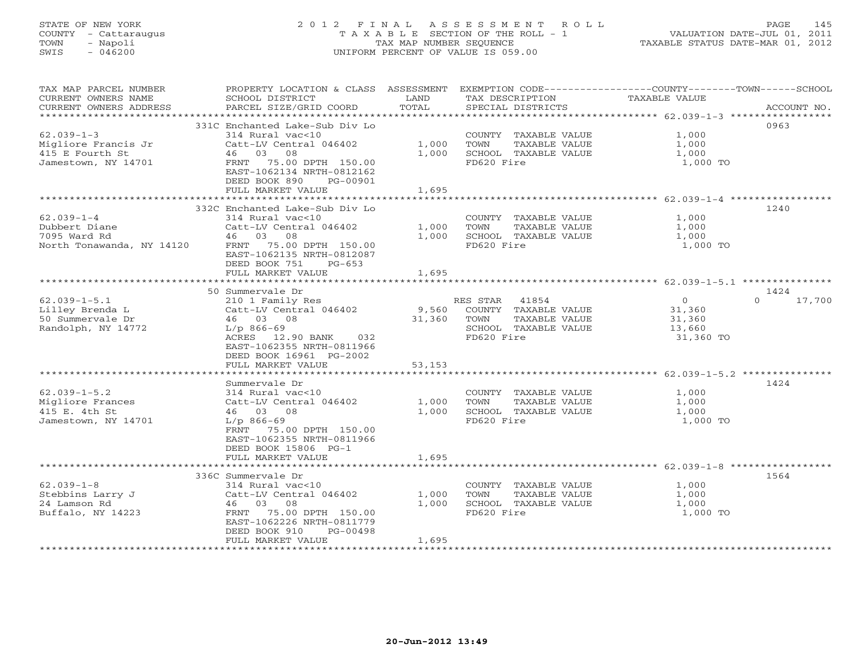# STATE OF NEW YORK 2 0 1 2 F I N A L A S S E S S M E N T R O L L PAGE 145 COUNTY - Cattaraugus T A X A B L E SECTION OF THE ROLL - 1 VALUATION DATE-JUL 01, 2011 TOWN - Napoli TAX MAP NUMBER SEQUENCE TAXABLE STATUS DATE-MAR 01, 2012 SWIS - 046200 UNIFORM PERCENT OF VALUE IS 059.00UNIFORM PERCENT OF VALUE IS 059.00

| TAX MAP PARCEL NUMBER<br>CURRENT OWNERS NAME<br>CURRENT OWNERS ADDRESS | PROPERTY LOCATION & CLASS ASSESSMENT<br>SCHOOL DISTRICT<br>PARCEL SIZE/GRID COORD | LAND<br>TOTAL  | TAX DESCRIPTION<br>SPECIAL DISTRICTS          | EXEMPTION CODE-----------------COUNTY-------TOWN------SCHOOL<br>TAXABLE VALUE | ACCOUNT NO. |
|------------------------------------------------------------------------|-----------------------------------------------------------------------------------|----------------|-----------------------------------------------|-------------------------------------------------------------------------------|-------------|
| *************************                                              |                                                                                   |                |                                               |                                                                               |             |
| $62.039 - 1 - 3$                                                       | 331C Enchanted Lake-Sub Div Lo<br>314 Rural vac<10                                |                | COUNTY TAXABLE VALUE                          | 1,000                                                                         | 0963        |
| Migliore Francis Jr<br>415 E Fourth St                                 | Catt-LV Central 046402<br>46 03 08                                                | 1,000<br>1,000 | TOWN<br>TAXABLE VALUE<br>SCHOOL TAXABLE VALUE | 1,000<br>1,000                                                                |             |
| Jamestown, NY 14701                                                    | FRNT 75.00 DPTH 150.00<br>EAST-1062134 NRTH-0812162<br>DEED BOOK 890<br>PG-00901  |                | FD620 Fire                                    | 1,000 TO                                                                      |             |
|                                                                        | FULL MARKET VALUE                                                                 | 1,695          |                                               |                                                                               |             |
|                                                                        | 332C Enchanted Lake-Sub Div Lo                                                    |                |                                               |                                                                               | 1240        |
| $62.039 - 1 - 4$                                                       | 314 Rural vac<10                                                                  |                | COUNTY TAXABLE VALUE                          | 1,000                                                                         |             |
| Dubbert Diane                                                          | Catt-LV Central 046402                                                            | 1,000          | TAXABLE VALUE<br>TOWN                         | 1,000                                                                         |             |
| 7095 Ward Rd                                                           | 46 03 08                                                                          | 1,000          | SCHOOL TAXABLE VALUE                          | 1,000                                                                         |             |
| North Tonawanda, NY 14120                                              | FRNT 75.00 DPTH 150.00<br>EAST-1062135 NRTH-0812087<br>DEED BOOK 751<br>$PG-653$  |                | FD620 Fire                                    | 1,000 TO                                                                      |             |
|                                                                        | FULL MARKET VALUE                                                                 | 1,695          |                                               |                                                                               |             |
|                                                                        |                                                                                   |                |                                               |                                                                               |             |
|                                                                        | 50 Summervale Dr                                                                  |                |                                               |                                                                               | 1424        |
| $62.039 - 1 - 5.1$                                                     | 210 1 Family Res                                                                  |                | RES STAR 41854                                | $\Omega$<br>$\overline{0}$                                                    | 17,700      |
| Lilley Brenda L                                                        | Catt-LV Central 046402                                                            | 9,560          | COUNTY TAXABLE VALUE                          | 31,360                                                                        |             |
| 50 Summervale Dr                                                       | 46 03 08                                                                          | 31,360         | TAXABLE VALUE<br>TOWN                         | 31,360                                                                        |             |
| Randolph, NY 14772                                                     | $L/p$ 866-69                                                                      |                | SCHOOL TAXABLE VALUE                          | 13,660                                                                        |             |
|                                                                        | ACRES 12.90 BANK 032                                                              |                | FD620 Fire                                    | 31,360 TO                                                                     |             |
|                                                                        | EAST-1062355 NRTH-0811966<br>DEED BOOK 16961 PG-2002                              |                |                                               |                                                                               |             |
|                                                                        | FULL MARKET VALUE                                                                 | 53,153         |                                               |                                                                               |             |
|                                                                        |                                                                                   |                |                                               |                                                                               |             |
|                                                                        | Summervale Dr                                                                     |                |                                               |                                                                               | 1424        |
| $62.039 - 1 - 5.2$                                                     | 314 Rural vac<10                                                                  |                | COUNTY TAXABLE VALUE                          | 1,000                                                                         |             |
| Migliore Frances                                                       | Catt-LV Central 046402                                                            | 1,000          | TOWN<br>TAXABLE VALUE                         | 1,000                                                                         |             |
| 415 E. 4th St                                                          | 46 03 08                                                                          | 1,000          | SCHOOL TAXABLE VALUE                          | 1,000                                                                         |             |
| Jamestown, NY 14701                                                    | $L/p$ 866-69                                                                      |                | FD620 Fire                                    | 1,000 TO                                                                      |             |
|                                                                        | FRNT 75.00 DPTH 150.00                                                            |                |                                               |                                                                               |             |
|                                                                        | EAST-1062355 NRTH-0811966                                                         |                |                                               |                                                                               |             |
|                                                                        | DEED BOOK 15806 PG-1                                                              |                |                                               |                                                                               |             |
|                                                                        | FULL MARKET VALUE                                                                 | 1,695          |                                               |                                                                               |             |
|                                                                        | 336C Summervale Dr                                                                |                |                                               |                                                                               | 1564        |
| $62.039 - 1 - 8$                                                       | 314 Rural vac<10                                                                  |                | COUNTY TAXABLE VALUE                          | 1,000                                                                         |             |
| Stebbins Larry J                                                       | Catt-LV Central 046402                                                            | 1,000          | TOWN<br>TAXABLE VALUE                         | 1,000                                                                         |             |
| 24 Lamson Rd                                                           | 46 03 08                                                                          | 1,000          | SCHOOL TAXABLE VALUE                          | 1,000                                                                         |             |
| Buffalo, NY 14223                                                      | FRNT<br>75.00 DPTH 150.00                                                         |                | FD620 Fire                                    | 1,000 TO                                                                      |             |
|                                                                        | EAST-1062226 NRTH-0811779                                                         |                |                                               |                                                                               |             |
|                                                                        | DEED BOOK 910<br>PG-00498                                                         |                |                                               |                                                                               |             |
|                                                                        | FULL MARKET VALUE                                                                 | 1,695          |                                               |                                                                               |             |
|                                                                        |                                                                                   |                |                                               |                                                                               |             |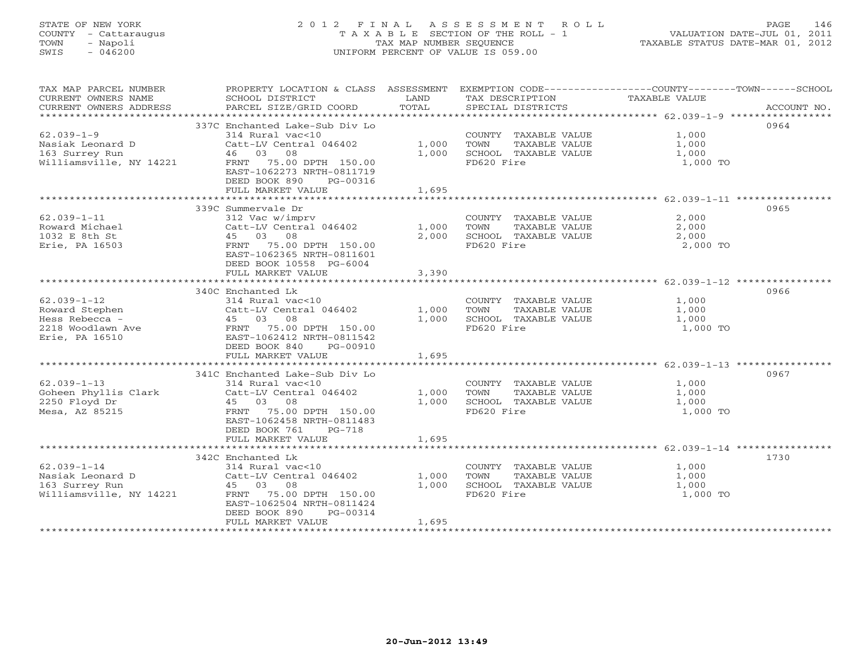# STATE OF NEW YORK 2 0 1 2 F I N A L A S S E S S M E N T R O L L PAGE 146 COUNTY - Cattaraugus T A X A B L E SECTION OF THE ROLL - 1 VALUATION DATE-JUL 01, 2011 TOWN - Napoli TAX MAP NUMBER SEQUENCE TAXABLE STATUS DATE-MAR 01, 2012 SWIS - 046200 UNIFORM PERCENT OF VALUE IS 059.00UNIFORM PERCENT OF VALUE IS 059.00

| TAX MAP PARCEL NUMBER<br>CURRENT OWNERS NAME<br>CURRENT OWNERS ADDRESS                       | PROPERTY LOCATION & CLASS ASSESSMENT EXEMPTION CODE---------------COUNTY-------TOWN-----SCHOOL<br>SCHOOL DISTRICT<br>PARCEL SIZE/GRID COORD                                                        | LAND<br>TOTAL           | TAX DESCRIPTION<br>SPECIAL DISTRICTS                                                | TAXABLE VALUE                                              | ACCOUNT NO. |
|----------------------------------------------------------------------------------------------|----------------------------------------------------------------------------------------------------------------------------------------------------------------------------------------------------|-------------------------|-------------------------------------------------------------------------------------|------------------------------------------------------------|-------------|
| $62.039 - 1 - 9$<br>Nasiak Leonard D<br>163 Surrey Run<br>Williamsville, NY 14221            | 337C Enchanted Lake-Sub Div Lo<br>314 Rural vac<10<br>Catt-LV Central 046402<br>46 03 08<br>FRNT 75.00 DPTH 150.00<br>EAST-1062273 NRTH-0811719<br>DEED BOOK 890<br>PG-00316<br>FULL MARKET VALUE  | 1,000<br>1,000<br>1,695 | COUNTY TAXABLE VALUE<br>TAXABLE VALUE<br>TOWN<br>SCHOOL TAXABLE VALUE<br>FD620 Fire | 1,000<br>1,000<br>1,000<br>1,000 TO                        | 0964        |
|                                                                                              | 339C Summervale Dr                                                                                                                                                                                 |                         |                                                                                     |                                                            | 0965        |
| $62.039 - 1 - 11$<br>Roward Michael<br>1032 E 8th St<br>Erie, PA 16503                       | 312 Vac w/imprv<br>Catt-LV Central 046402<br>45 03 08<br>FRNT 75.00 DPTH 150.00<br>EAST-1062365 NRTH-0811601<br>DEED BOOK 10558 PG-6004<br>FULL MARKET VALUE                                       | 1,000<br>2,000<br>3,390 | COUNTY TAXABLE VALUE<br>TOWN<br>TAXABLE VALUE<br>SCHOOL TAXABLE VALUE<br>FD620 Fire | 2,000<br>2,000<br>2,000<br>2,000 TO                        |             |
|                                                                                              |                                                                                                                                                                                                    | *************           |                                                                                     | ****************************** 62.039-1-12 *************** |             |
| $62.039 - 1 - 12$<br>Roward Stephen<br>Hess Rebecca -<br>2218 Woodlawn Ave<br>Erie, PA 16510 | 340C Enchanted Lk<br>314 Rural vac<10<br>Catt-LV Central 046402<br>45 03 08<br>FRNT 75.00 DPTH 150.00<br>EAST-1062412 NRTH-0811542<br>DEED BOOK 840<br>PG-00910                                    | 1,000<br>1,000          | COUNTY TAXABLE VALUE<br>TOWN<br>TAXABLE VALUE<br>SCHOOL TAXABLE VALUE<br>FD620 Fire | 1,000<br>1,000<br>1,000<br>1,000 TO                        | 0966        |
|                                                                                              | FULL MARKET VALUE                                                                                                                                                                                  | 1,695                   |                                                                                     |                                                            |             |
| $62.039 - 1 - 13$<br>Goheen Phyllis Clark<br>2250 Floyd Dr<br>Mesa, AZ 85215                 | 341C Enchanted Lake-Sub Div Lo<br>314 Rural vac<10<br>Catt-LV Central 046402<br>45 03 08<br>75.00 DPTH 150.00<br>FRNT<br>EAST-1062458 NRTH-0811483<br>DEED BOOK 761<br>PG-718<br>FULL MARKET VALUE | 1,000<br>1,000<br>1,695 | COUNTY TAXABLE VALUE<br>TAXABLE VALUE<br>TOWN<br>SCHOOL TAXABLE VALUE<br>FD620 Fire | 1,000<br>1,000<br>1,000<br>1,000 TO                        | 0967        |
|                                                                                              | 342C Enchanted Lk                                                                                                                                                                                  |                         |                                                                                     |                                                            | 1730        |
| $62.039 - 1 - 14$<br>Nasiak Leonard D<br>163 Surrey Run<br>Williamsville, NY 14221           | 314 Rural vac<10<br>Catt-LV Central 046402<br>45 03 08<br>FRNT 75.00 DPTH 150.00<br>EAST-1062504 NRTH-0811424<br>DEED BOOK 890<br>PG-00314<br>FULL MARKET VALUE<br>***********************         | 1,000<br>1,000<br>1,695 | COUNTY TAXABLE VALUE<br>TAXABLE VALUE<br>TOWN<br>SCHOOL TAXABLE VALUE<br>FD620 Fire | 1,000<br>1,000<br>1,000<br>1,000 TO                        |             |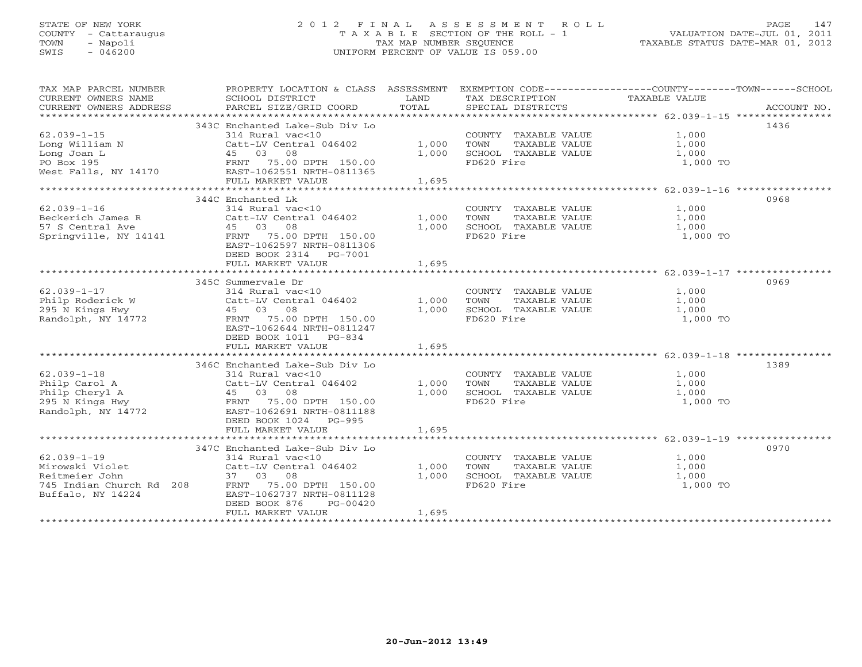# STATE OF NEW YORK 2 0 1 2 F I N A L A S S E S S M E N T R O L L PAGE 147 COUNTY - Cattaraugus T A X A B L E SECTION OF THE ROLL - 1 VALUATION DATE-JUL 01, 2011 TOWN - Napoli TAX MAP NUMBER SEQUENCE TAXABLE STATUS DATE-MAR 01, 2012 SWIS - 046200 UNIFORM PERCENT OF VALUE IS 059.00UNIFORM PERCENT OF VALUE IS 059.00

| TAX MAP PARCEL NUMBER<br>CURRENT OWNERS NAME<br>CURRENT OWNERS ADDRESS | PROPERTY LOCATION & CLASS ASSESSMENT<br>SCHOOL DISTRICT<br>PARCEL SIZE/GRID COORD | LAND<br>TOTAL | EXEMPTION CODE-----------------COUNTY-------TOWN------SCHOOL<br>TAX DESCRIPTION<br>SPECIAL DISTRICTS | TAXABLE VALUE | ACCOUNT NO. |
|------------------------------------------------------------------------|-----------------------------------------------------------------------------------|---------------|------------------------------------------------------------------------------------------------------|---------------|-------------|
|                                                                        |                                                                                   |               |                                                                                                      |               |             |
|                                                                        | 343C Enchanted Lake-Sub Div Lo                                                    |               |                                                                                                      |               | 1436        |
| $62.039 - 1 - 15$                                                      | 314 Rural vac<10                                                                  |               | COUNTY TAXABLE VALUE                                                                                 | 1,000         |             |
| Long William N                                                         | Catt-LV Central 046402                                                            | 1,000         | TOWN<br>TAXABLE VALUE                                                                                | 1,000         |             |
| Long Joan L                                                            | 08<br>45 03                                                                       | 1,000         | SCHOOL TAXABLE VALUE                                                                                 | 1,000         |             |
| PO Box 195                                                             | FRNT 75.00 DPTH 150.00                                                            |               | FD620 Fire                                                                                           | 1,000 TO      |             |
| West Falls, NY 14170                                                   | EAST-1062551 NRTH-0811365                                                         |               |                                                                                                      |               |             |
|                                                                        | FULL MARKET VALUE                                                                 | 1,695         |                                                                                                      |               |             |
|                                                                        |                                                                                   |               |                                                                                                      |               |             |
|                                                                        | 344C Enchanted Lk                                                                 |               |                                                                                                      |               | 0968        |
| $62.039 - 1 - 16$                                                      | 314 Rural vac<10                                                                  |               | COUNTY TAXABLE VALUE                                                                                 | 1,000         |             |
| Beckerich James R                                                      | Catt-LV Central 046402                                                            | 1,000         | TOWN<br>TAXABLE VALUE                                                                                | 1,000         |             |
| 57 S Central Ave                                                       | 45 03<br>08                                                                       | 1,000         | SCHOOL TAXABLE VALUE                                                                                 | 1,000         |             |
| Springville, NY 14141                                                  | FRNT 75.00 DPTH 150.00                                                            |               | FD620 Fire                                                                                           | 1,000 TO      |             |
|                                                                        | EAST-1062597 NRTH-0811306<br>DEED BOOK 2314 PG-7001                               |               |                                                                                                      |               |             |
|                                                                        | FULL MARKET VALUE                                                                 | 1,695         |                                                                                                      |               |             |
|                                                                        |                                                                                   |               |                                                                                                      |               |             |
|                                                                        | 345C Summervale Dr                                                                |               |                                                                                                      |               | 0969        |
| $62.039 - 1 - 17$                                                      | 314 Rural vac<10                                                                  |               | COUNTY TAXABLE VALUE                                                                                 | 1,000         |             |
| Philp Roderick W                                                       | Catt-LV Central 046402                                                            | 1,000         | TOWN<br>TAXABLE VALUE                                                                                | 1,000         |             |
| 295 N Kings Hwy                                                        | 45 03<br>08                                                                       | 1,000         | SCHOOL TAXABLE VALUE                                                                                 | 1,000         |             |
| Randolph, NY 14772                                                     | 75.00 DPTH 150.00<br>FRNT                                                         |               | FD620 Fire                                                                                           | 1,000 TO      |             |
|                                                                        | EAST-1062644 NRTH-0811247                                                         |               |                                                                                                      |               |             |
|                                                                        | DEED BOOK 1011 PG-834                                                             |               |                                                                                                      |               |             |
|                                                                        | FULL MARKET VALUE                                                                 | 1,695         |                                                                                                      |               |             |
|                                                                        |                                                                                   |               |                                                                                                      |               |             |
|                                                                        | 346C Enchanted Lake-Sub Div Lo                                                    |               |                                                                                                      |               | 1389        |
| $62.039 - 1 - 18$                                                      |                                                                                   |               |                                                                                                      |               |             |
|                                                                        | $314$ Rural vac<10                                                                |               | COUNTY TAXABLE VALUE                                                                                 | 1,000         |             |
| Philp Carol A                                                          | Catt-LV Central 046402                                                            | 1,000         | TOWN<br>TAXABLE VALUE                                                                                | 1,000         |             |
| Philp Cheryl A                                                         | 45 03 08                                                                          | 1,000         | SCHOOL TAXABLE VALUE                                                                                 | 1,000         |             |
| 295 N Kings Hwy                                                        | 75.00 DPTH 150.00<br>FRNT                                                         |               | FD620 Fire                                                                                           | 1,000 TO      |             |
| Randolph, NY 14772                                                     | EAST-1062691 NRTH-0811188                                                         |               |                                                                                                      |               |             |
|                                                                        | DEED BOOK 1024 PG-995                                                             |               |                                                                                                      |               |             |
|                                                                        | FULL MARKET VALUE                                                                 | 1,695         |                                                                                                      |               |             |
|                                                                        |                                                                                   |               |                                                                                                      |               |             |
|                                                                        | 347C Enchanted Lake-Sub Div Lo                                                    |               |                                                                                                      |               | 0970        |
| $62.039 - 1 - 19$                                                      | 314 Rural vac<10                                                                  |               | COUNTY TAXABLE VALUE                                                                                 | 1,000         |             |
| Mirowski Violet                                                        | Catt-LV Central 046402                                                            | 1,000         | TOWN<br>TAXABLE VALUE                                                                                | 1,000         |             |
| Reitmeier John                                                         | 37 03 08                                                                          | 1,000         | SCHOOL TAXABLE VALUE                                                                                 | 1,000         |             |
| 745 Indian Church Rd 208                                               | 75.00 DPTH 150.00<br>FRNT                                                         |               | FD620 Fire                                                                                           | 1,000 TO      |             |
| Buffalo, NY 14224                                                      | EAST-1062737 NRTH-0811128                                                         |               |                                                                                                      |               |             |
|                                                                        | DEED BOOK 876<br>PG-00420                                                         |               |                                                                                                      |               |             |
|                                                                        | FULL MARKET VALUE                                                                 | 1,695         |                                                                                                      |               |             |
|                                                                        |                                                                                   |               |                                                                                                      |               |             |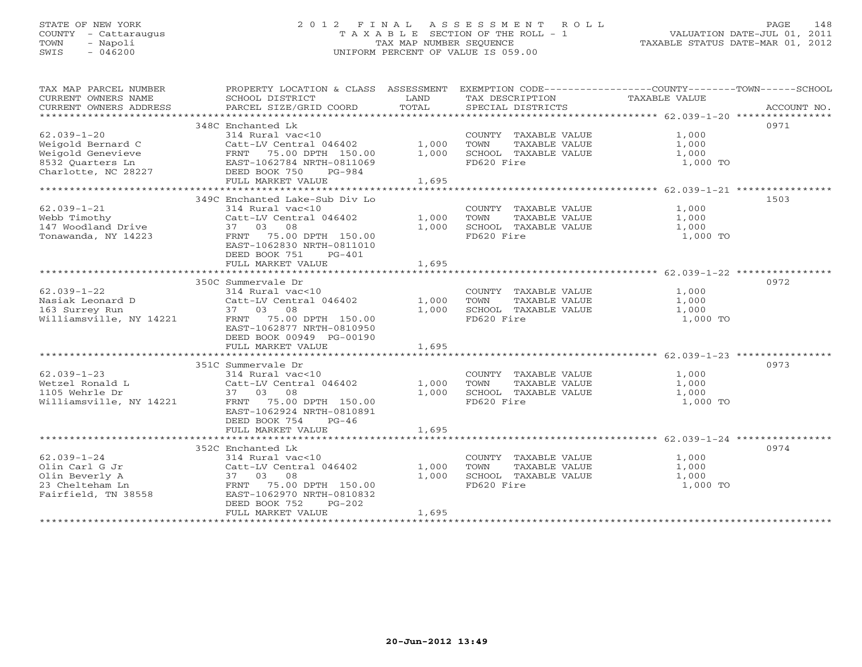# STATE OF NEW YORK 2 0 1 2 F I N A L A S S E S S M E N T R O L L PAGE 148 COUNTY - Cattaraugus T A X A B L E SECTION OF THE ROLL - 1 VALUATION DATE-JUL 01, 2011 TOWN - Napoli TAX MAP NUMBER SEQUENCE TAXABLE STATUS DATE-MAR 01, 2012 SWIS - 046200 UNIFORM PERCENT OF VALUE IS 059.00UNIFORM PERCENT OF VALUE IS 059.00

| TAX MAP PARCEL NUMBER<br>CURRENT OWNERS NAME<br>CURRENT OWNERS ADDRESS | PROPERTY LOCATION & CLASS ASSESSMENT<br>SCHOOL DISTRICT<br>PARCEL SIZE/GRID COORD | LAND<br>TOTAL | TAX DESCRIPTION<br>SPECIAL DISTRICTS | EXEMPTION CODE-----------------COUNTY-------TOWN-----SCHOOL<br>TAXABLE VALUE<br>ACCOUNT NO. |
|------------------------------------------------------------------------|-----------------------------------------------------------------------------------|---------------|--------------------------------------|---------------------------------------------------------------------------------------------|
|                                                                        |                                                                                   |               |                                      |                                                                                             |
|                                                                        | 348C Enchanted Lk                                                                 |               |                                      | 0971                                                                                        |
| $62.039 - 1 - 20$                                                      | 314 Rural vac<10                                                                  |               | COUNTY TAXABLE VALUE                 | 1,000                                                                                       |
| Weigold Bernard C                                                      | Catt-LV Central 046402                                                            | 1,000         | TOWN<br>TAXABLE VALUE                | 1,000                                                                                       |
| Weigold Genevieve                                                      | FRNT 75.00 DPTH 150.00                                                            | 1,000         | SCHOOL TAXABLE VALUE                 | 1,000                                                                                       |
| 8532 Quarters Ln                                                       | EAST-1062784 NRTH-0811069                                                         |               | FD620 Fire                           | 1,000 TO                                                                                    |
| Charlotte, NC 28227                                                    | DEED BOOK 750<br>PG-984                                                           |               |                                      |                                                                                             |
|                                                                        | FULL MARKET VALUE                                                                 | 1,695         |                                      |                                                                                             |
|                                                                        |                                                                                   |               |                                      |                                                                                             |
|                                                                        | 349C Enchanted Lake-Sub Div Lo                                                    |               |                                      | 1503                                                                                        |
| $62.039 - 1 - 21$                                                      | 314 Rural vac<10                                                                  |               | COUNTY TAXABLE VALUE                 | 1,000                                                                                       |
| Webb Timothy                                                           | Catt-LV Central 046402                                                            | 1,000         | TAXABLE VALUE<br>TOWN                | 1,000                                                                                       |
| 147 Woodland Drive                                                     | 37 03 08                                                                          | 1,000         | SCHOOL TAXABLE VALUE                 | 1,000                                                                                       |
| Tonawanda, NY 14223                                                    | 75.00 DPTH 150.00<br>FRNT                                                         |               | FD620 Fire                           | 1,000 TO                                                                                    |
|                                                                        | EAST-1062830 NRTH-0811010                                                         |               |                                      |                                                                                             |
|                                                                        | DEED BOOK 751<br>$PG-401$                                                         |               |                                      |                                                                                             |
|                                                                        | FULL MARKET VALUE                                                                 | 1,695         |                                      |                                                                                             |
|                                                                        |                                                                                   |               |                                      |                                                                                             |
|                                                                        | 350C Summervale Dr                                                                |               |                                      | 0972                                                                                        |
| $62.039 - 1 - 22$                                                      | 314 Rural vac<10                                                                  |               | COUNTY TAXABLE VALUE                 | 1,000                                                                                       |
| Nasiak Leonard D                                                       | Catt-LV Central 046402                                                            | 1,000         | TAXABLE VALUE<br>TOWN                | 1,000                                                                                       |
| 163 Surrey Run                                                         | 37 03 08                                                                          | 1,000         | SCHOOL TAXABLE VALUE                 | 1,000                                                                                       |
| Williamsville, NY 14221                                                | FRNT<br>75.00 DPTH 150.00                                                         |               | FD620 Fire                           | 1,000 TO                                                                                    |
|                                                                        | EAST-1062877 NRTH-0810950                                                         |               |                                      |                                                                                             |
|                                                                        | DEED BOOK 00949 PG-00190                                                          |               |                                      |                                                                                             |
|                                                                        | FULL MARKET VALUE                                                                 | 1,695         |                                      |                                                                                             |
|                                                                        |                                                                                   |               |                                      |                                                                                             |
|                                                                        | 351C Summervale Dr                                                                |               |                                      | 0973                                                                                        |
| $62.039 - 1 - 23$                                                      | 314 Rural vac<10                                                                  |               | COUNTY TAXABLE VALUE                 | 1,000                                                                                       |
| Wetzel Ronald L                                                        | Catt-LV Central 046402                                                            | 1,000         | TOWN<br>TAXABLE VALUE                | 1,000                                                                                       |
| 1105 Wehrle Dr                                                         | 37 03 08                                                                          | 1,000         | SCHOOL TAXABLE VALUE                 | 1,000                                                                                       |
| Williamsville, NY 14221                                                | 75.00 DPTH 150.00<br>FRNT                                                         |               | FD620 Fire                           | 1,000 TO                                                                                    |
|                                                                        | EAST-1062924 NRTH-0810891                                                         |               |                                      |                                                                                             |
|                                                                        | DEED BOOK 754<br>$PG-46$                                                          |               |                                      |                                                                                             |
|                                                                        | FULL MARKET VALUE                                                                 | 1,695         |                                      |                                                                                             |
|                                                                        |                                                                                   |               |                                      |                                                                                             |
|                                                                        | 352C Enchanted Lk                                                                 |               |                                      | 0974                                                                                        |
| $62.039 - 1 - 24$                                                      | 314 Rural vac<10                                                                  |               | COUNTY TAXABLE VALUE                 | 1,000                                                                                       |
| Olin Carl G Jr                                                         | Catt-LV Central 046402                                                            | 1,000         | TOWN<br>TAXABLE VALUE                | 1,000                                                                                       |
| Olin Beverly A                                                         | 37 03 08                                                                          | 1,000         | SCHOOL TAXABLE VALUE                 | 1,000                                                                                       |
| 23 Chelteham Ln                                                        | 75.00 DPTH 150.00<br>FRNT                                                         |               | FD620 Fire                           | 1,000 TO                                                                                    |
| Fairfield, TN 38558                                                    | EAST-1062970 NRTH-0810832                                                         |               |                                      |                                                                                             |
|                                                                        | DEED BOOK 752<br>$PG-202$                                                         |               |                                      |                                                                                             |
|                                                                        | FULL MARKET VALUE                                                                 | 1,695         |                                      |                                                                                             |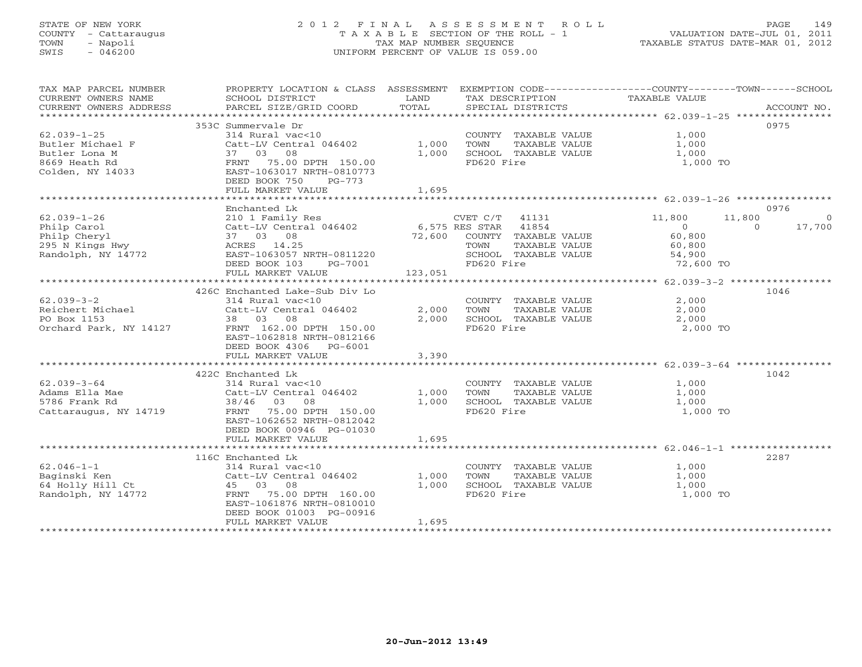# STATE OF NEW YORK 2 0 1 2 F I N A L A S S E S S M E N T R O L L PAGE 149 COUNTY - Cattaraugus T A X A B L E SECTION OF THE ROLL - 1 VALUATION DATE-JUL 01, 2011 TOWN - Napoli TAX MAP NUMBER SEQUENCE TAXABLE STATUS DATE-MAR 01, 2012 SWIS - 046200 UNIFORM PERCENT OF VALUE IS 059.00UNIFORM PERCENT OF VALUE IS 059.00

| TAX MAP PARCEL NUMBER<br>CURRENT OWNERS NAME<br>CURRENT OWNERS ADDRESS                                          | PROPERTY LOCATION & CLASS ASSESSMENT EXEMPTION CODE----------------COUNTY-------TOWN------SCHOOL<br>SCHOOL DISTRICT<br>PARCEL SIZE/GRID COORD                                          | LAND<br>TOTAL           | TAX DESCRIPTION<br>SPECIAL DISTRICTS                                                                           | TAXABLE VALUE                                                       | ACCOUNT NO.                                    |
|-----------------------------------------------------------------------------------------------------------------|----------------------------------------------------------------------------------------------------------------------------------------------------------------------------------------|-------------------------|----------------------------------------------------------------------------------------------------------------|---------------------------------------------------------------------|------------------------------------------------|
| $62.039 - 1 - 25$<br>Butler Michael F<br>Butler Lona M<br>8669 Heath Rd<br>Colden, NY 14033                     | 353C Summervale Dr<br>314 Rural vac<10<br>Catt-LV Central 046402<br>37 03 08<br>FRNT 75.00 DPTH 150.00<br>EAST-1063017 NRTH-0810773<br>DEED BOOK 750<br>$PG-773$<br>FULL MARKET VALUE  | 1,000<br>1,000<br>1,695 | COUNTY TAXABLE VALUE<br>TOWN<br>TAXABLE VALUE<br>SCHOOL TAXABLE VALUE<br>FD620 Fire                            | $\frac{1}{1}$ , 000<br>1,000<br>1,000 TO                            | 0975                                           |
|                                                                                                                 | Enchanted Lk                                                                                                                                                                           |                         |                                                                                                                |                                                                     | 0976                                           |
| $62.039 - 1 - 26$<br>Philp Carol<br>Philp Cheryl<br>295 N Kings Hwy<br>Randolph, NY 14772<br>Randolph, NY 14772 | 210 1 Family Res<br>Catt-LV Central 046402 6,575 RES STAR 41854<br>37 03 08<br>ACRES 14.25<br>EAST-1063057 NRTH-0811220<br>DEED BOOK 103<br>PG-7001<br>FULL MARKET VALUE               | 123,051                 | $CVET C/T$ 41131<br>72,600 COUNTY TAXABLE VALUE<br>TAXABLE VALUE<br>TOWN<br>SCHOOL TAXABLE VALUE<br>FD620 Fire | 11,800<br>$\overline{0}$<br>60,800<br>60,800<br>54,900<br>72,600 TO | 11,800<br>$\overline{0}$<br>17,700<br>$\Omega$ |
|                                                                                                                 | 426C Enchanted Lake-Sub Div Lo                                                                                                                                                         |                         |                                                                                                                |                                                                     | 1046                                           |
| $62.039 - 3 - 2$<br>Reichert Michael<br>PO Box 1153<br>Orchard Park, NY 14127                                   | 314 Rural vac<10<br>Catt-LV Central 046402<br>38 03 08<br>FRNT 162.00 DPTH 150.00<br>EAST-1062818 NRTH-0812166<br>DEED BOOK 4306 PG-6001                                               | 2,000<br>2,000          | COUNTY TAXABLE VALUE<br>TOWN<br>TAXABLE VALUE<br>SCHOOL TAXABLE VALUE<br>FD620 Fire                            | 2,000<br>2,000<br>2,000<br>2,000 TO                                 |                                                |
|                                                                                                                 | FULL MARKET VALUE                                                                                                                                                                      | 3,390                   |                                                                                                                |                                                                     |                                                |
| $62.039 - 3 - 64$<br>Adams Ella Mae<br>5786 Frank Rd<br>Cattaraugus, NY 14719                                   | 422C Enchanted Lk<br>314 Rural vac<10<br>Catt-LV Central 046402<br>38/46 03 08<br>FRNT 75.00 DPTH 150.00                                                                               | 1,000<br>1,000          | COUNTY TAXABLE VALUE<br>TOWN<br>TAXABLE VALUE<br>SCHOOL TAXABLE VALUE<br>FD620 Fire                            | 1,000<br>1,000<br>1,000<br>1,000 TO                                 | 1042                                           |
|                                                                                                                 | EAST-1062652 NRTH-0812042<br>DEED BOOK 00946 PG-01030<br>FULL MARKET VALUE                                                                                                             | 1,695                   |                                                                                                                |                                                                     |                                                |
|                                                                                                                 |                                                                                                                                                                                        |                         |                                                                                                                |                                                                     |                                                |
| $62.046 - 1 - 1$<br>Baginski Ken<br>64 Holly Hill Ct<br>Randolph, NY 14772                                      | 116C Enchanted Lk<br>314 Rural vac<10<br>Catt-LV Central 046402<br>45 03 08<br>75.00 DPTH 160.00<br>FRNT<br>EAST-1061876 NRTH-0810010<br>DEED BOOK 01003 PG-00916<br>FULL MARKET VALUE | 1,000<br>1,000<br>1,695 | COUNTY TAXABLE VALUE<br>TOWN<br>TAXABLE VALUE<br>SCHOOL TAXABLE VALUE<br>FD620 Fire                            | 1,000<br>1,000<br>1,000<br>1,000 TO                                 | 2287                                           |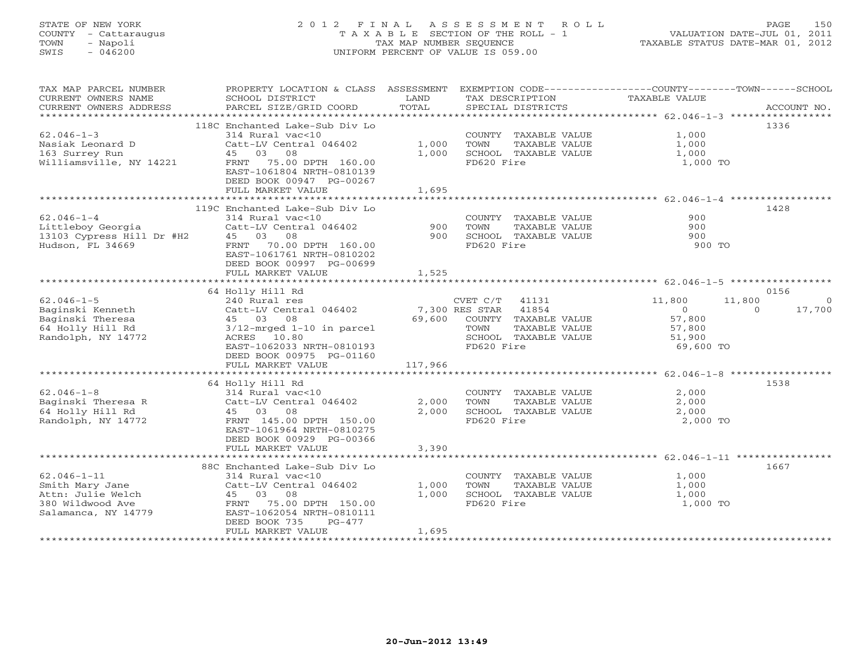# STATE OF NEW YORK 2 0 1 2 F I N A L A S S E S S M E N T R O L L PAGE 150 COUNTY - Cattaraugus T A X A B L E SECTION OF THE ROLL - 1 VALUATION DATE-JUL 01, 2011 TOWN - Napoli TAX MAP NUMBER SEQUENCE TAXABLE STATUS DATE-MAR 01, 2012 SWIS - 046200 UNIFORM PERCENT OF VALUE IS 059.00UNIFORM PERCENT OF VALUE IS 059.00

| TAX MAP PARCEL NUMBER                         | PROPERTY LOCATION & CLASS ASSESSMENT                   |                |                                               | EXEMPTION CODE-----------------COUNTY-------TOWN------SCHOOL |             |
|-----------------------------------------------|--------------------------------------------------------|----------------|-----------------------------------------------|--------------------------------------------------------------|-------------|
| CURRENT OWNERS NAME<br>CURRENT OWNERS ADDRESS | SCHOOL DISTRICT<br>PARCEL SIZE/GRID COORD              | LAND<br>TOTAL  | TAX DESCRIPTION<br>SPECIAL DISTRICTS          | <b>TAXABLE VALUE</b>                                         | ACCOUNT NO. |
|                                               |                                                        |                |                                               |                                                              |             |
|                                               | 118C Enchanted Lake-Sub Div Lo                         |                |                                               |                                                              | 1336        |
| $62.046 - 1 - 3$                              | 314 Rural vac<10                                       |                | COUNTY TAXABLE VALUE                          | 1,000                                                        |             |
| Nasiak Leonard D                              | Catt-LV Central 046402                                 | 1,000          | TOWN<br>TAXABLE VALUE                         | 1,000                                                        |             |
| 163 Surrey Run                                | 45 03<br>08                                            | 1,000          | SCHOOL TAXABLE VALUE                          | 1,000                                                        |             |
| Williamsville, NY 14221                       | FRNT 75.00 DPTH 160.00<br>EAST-1061804 NRTH-0810139    |                | FD620 Fire                                    | 1,000 TO                                                     |             |
|                                               | DEED BOOK 00947 PG-00267                               |                |                                               |                                                              |             |
|                                               | FULL MARKET VALUE                                      | 1,695          |                                               |                                                              |             |
|                                               |                                                        |                |                                               |                                                              |             |
|                                               | 119C Enchanted Lake-Sub Div Lo                         |                |                                               |                                                              | 1428        |
| $62.046 - 1 - 4$                              | 314 Rural vac<10                                       |                | COUNTY TAXABLE VALUE                          | 900                                                          |             |
| Littleboy Georgia                             | Catt-LV Central 046402                                 | 900            | TOWN<br>TAXABLE VALUE                         | 900                                                          |             |
| 13103 Cypress Hill Dr #H2                     | 45 03 08                                               | 900            | SCHOOL TAXABLE VALUE                          | 900                                                          |             |
| Hudson, FL 34669                              | FRNT<br>70.00 DPTH 160.00<br>EAST-1061761 NRTH-0810202 |                | FD620 Fire                                    | 900 TO                                                       |             |
|                                               | DEED BOOK 00997 PG-00699                               |                |                                               |                                                              |             |
|                                               | FULL MARKET VALUE                                      | 1,525          |                                               |                                                              |             |
|                                               |                                                        |                |                                               |                                                              |             |
|                                               | 64 Holly Hill Rd                                       |                |                                               |                                                              | 0156        |
| $62.046 - 1 - 5$                              | 240 Rural res                                          |                | $CVET C/T$ 41131                              | 11,800<br>11,800                                             | $\circ$     |
| Baginski Kenneth                              | Catt-LV Central 046402                                 |                | 7,300 RES STAR<br>41854                       | $\Omega$<br>$\Omega$                                         | 17,700      |
| Baginski Theresa                              | 45 03 08                                               | 69,600         | COUNTY TAXABLE VALUE<br>TOWN<br>TAXABLE VALUE | 57,800                                                       |             |
| 64 Holly Hill Rd<br>Randolph, NY 14772        | $3/12$ -mrged $1-10$ in parcel<br>ACRES 10.80          |                | SCHOOL TAXABLE VALUE                          | 57,800<br>51,900                                             |             |
|                                               | EAST-1062033 NRTH-0810193                              |                | FD620 Fire                                    | 69,600 TO                                                    |             |
|                                               | DEED BOOK 00975 PG-01160                               |                |                                               |                                                              |             |
|                                               | FULL MARKET VALUE                                      | 117,966        |                                               |                                                              |             |
|                                               |                                                        |                |                                               |                                                              |             |
|                                               | 64 Holly Hill Rd                                       |                |                                               |                                                              | 1538        |
| $62.046 - 1 - 8$                              | 314 Rural vac<10                                       |                | COUNTY TAXABLE VALUE                          | 2,000                                                        |             |
| Baginski Theresa R<br>64 Holly Hill Rd        | Catt-LV Central 046402<br>45 03 08                     | 2,000<br>2,000 | TOWN<br>TAXABLE VALUE<br>SCHOOL TAXABLE VALUE | 2,000<br>2,000                                               |             |
| Randolph, NY 14772                            | FRNT 145.00 DPTH 150.00                                |                | FD620 Fire                                    | 2,000 TO                                                     |             |
|                                               | EAST-1061964 NRTH-0810275                              |                |                                               |                                                              |             |
|                                               | DEED BOOK 00929 PG-00366                               |                |                                               |                                                              |             |
|                                               | FULL MARKET VALUE                                      | 3,390          |                                               |                                                              |             |
|                                               |                                                        |                |                                               |                                                              |             |
|                                               | 88C Enchanted Lake-Sub Div Lo                          |                |                                               |                                                              | 1667        |
| $62.046 - 1 - 11$                             | 314 Rural vac<10<br>Catt-LV Central 046402             | 1,000          | COUNTY TAXABLE VALUE<br>TOWN<br>TAXABLE VALUE | 1,000<br>1,000                                               |             |
| Smith Mary Jane<br>Attn: Julie Welch          | 45 03 08                                               | 1,000          | SCHOOL TAXABLE VALUE                          | 1,000                                                        |             |
| 380 Wildwood Ave                              | 75.00 DPTH 150.00<br>FRNT                              |                | FD620 Fire                                    | 1,000 TO                                                     |             |
| Salamanca, NY 14779                           | EAST-1062054 NRTH-0810111                              |                |                                               |                                                              |             |
|                                               | DEED BOOK 735<br>PG-477                                |                |                                               |                                                              |             |
|                                               | FULL MARKET VALUE                                      | 1,695          |                                               |                                                              |             |
|                                               |                                                        |                |                                               |                                                              |             |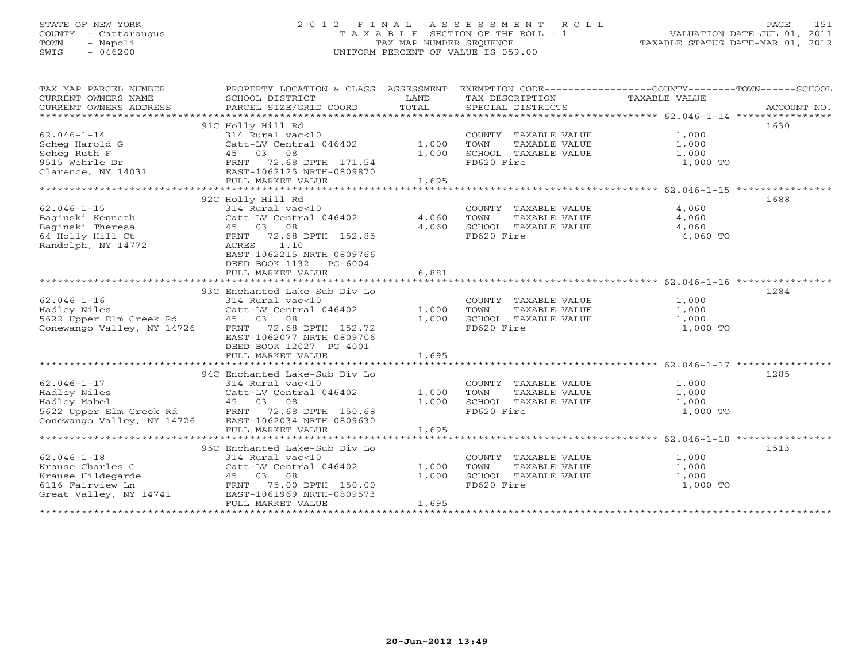# STATE OF NEW YORK 2 0 1 2 F I N A L A S S E S S M E N T R O L L PAGE 151 COUNTY - Cattaraugus T A X A B L E SECTION OF THE ROLL - 1 VALUATION DATE-JUL 01, 2011 TOWN - Napoli TAX MAP NUMBER SEQUENCE TAXABLE STATUS DATE-MAR 01, 2012 SWIS - 046200 UNIFORM PERCENT OF VALUE IS 059.00UNIFORM PERCENT OF VALUE IS 059.00

| TAX MAP PARCEL NUMBER<br>CURRENT OWNERS NAME<br>CURRENT OWNERS ADDRESS                                                                              | PROPERTY LOCATION & CLASS ASSESSMENT<br>SCHOOL DISTRICT<br>PARCEL SIZE/GRID COORD                                                                                                                           | LAND<br>TOTAL           | EXEMPTION CODE-----------------COUNTY-------TOWN-----SCHOOL<br>TAX DESCRIPTION TAXABLE VALUE<br>SPECIAL DISTRICTS |                                     | ACCOUNT NO. |
|-----------------------------------------------------------------------------------------------------------------------------------------------------|-------------------------------------------------------------------------------------------------------------------------------------------------------------------------------------------------------------|-------------------------|-------------------------------------------------------------------------------------------------------------------|-------------------------------------|-------------|
| $62.046 - 1 - 14$<br>Scheq Harold G<br>Scheg Ruth F<br>9515 Wehrle Dr<br>Clarence, NY 14031                                                         | 91C Holly Hill Rd<br>314 Rural vac<10<br>Catt-LV Central 046402<br>45 03<br>08<br>72.68 DPTH 171.54<br>FRNT<br>EAST-1062125 NRTH-0809870<br>FULL MARKET VALUE                                               | 1,000<br>1,000<br>1,695 | COUNTY TAXABLE VALUE<br>TOWN<br>TAXABLE VALUE<br>SCHOOL TAXABLE VALUE<br>FD620 Fire                               | 1,000<br>1,000<br>1,000<br>1,000 TO | 1630        |
| $62.046 - 1 - 15$<br>Baginski Kenneth<br>Baginski Theresa<br>64 Holly Hill Ct<br>Randolph, NY 14772                                                 | 92C Holly Hill Rd<br>314 Rural vac<10<br>Catt-LV Central 046402<br>08<br>45 03<br>72.68 DPTH 152.85<br>FRNT<br>1.10<br>ACRES<br>EAST-1062215 NRTH-0809766<br>DEED BOOK 1132<br>PG-6004<br>FULL MARKET VALUE | 4,060<br>4,060<br>6,881 | COUNTY TAXABLE VALUE<br>TOWN<br>TAXABLE VALUE<br>SCHOOL TAXABLE VALUE<br>FD620 Fire                               | 4,060<br>4,060<br>4,060<br>4,060 TO | 1688        |
| $62.046 - 1 - 16$<br>Hadley Niles<br>5622 Upper Elm Creek Rd<br>Conewango Valley, NY 14726                                                          | 93C Enchanted Lake-Sub Div Lo<br>314 Rural vac<10<br>Catt-LV Central 046402<br>08<br>45 03<br>72.68 DPTH 152.72<br>FRNT<br>EAST-1062077 NRTH-0809706<br>DEED BOOK 12027 PG-4001<br>FULL MARKET VALUE        | 1,000<br>1,000<br>1,695 | COUNTY TAXABLE VALUE<br>TOWN<br>TAXABLE VALUE<br>SCHOOL TAXABLE VALUE<br>FD620 Fire                               | 1,000<br>1,000<br>1,000<br>1,000 TO | 1284        |
| $62.046 - 1 - 17$<br>Hadley Niles<br>Hadley Mabel<br>5622 Upper Elm Creek Rd FRNT<br>Conewango Vallev, NY 14726 EAST-<br>Conewango Valley, NY 14726 | 94C Enchanted Lake-Sub Div Lo<br>$314$ Rural vac<10<br>Catt-LV Central 046402<br>45 03 08<br>72.68 DPTH 150.68<br>EAST-1062034 NRTH-0809630<br>FULL MARKET VALUE                                            | 1,000<br>1,000<br>1,695 | COUNTY TAXABLE VALUE<br>TOWN<br>TAXABLE VALUE<br>SCHOOL TAXABLE VALUE<br>FD620 Fire                               | 1,000<br>1,000<br>1,000<br>1,000 TO | 1285        |
| $62.046 - 1 - 18$<br>Krause Charles G<br>Krause Hildegarde<br>6116 Fairview Ln<br>Great Valley, NY 14741                                            | 95C Enchanted Lake-Sub Div Lo<br>314 Rural vac<10<br>Catt-LV Central 046402<br>45 03 08<br>FRNT 75.00 DPTH 150.00<br>EAST-1061969 NRTH-0809573<br>FULL MARKET VALUE                                         | 1,000<br>1,000<br>1,695 | COUNTY TAXABLE VALUE<br>TAXABLE VALUE<br>TOWN<br>SCHOOL TAXABLE VALUE<br>FD620 Fire                               | 1,000<br>1,000<br>1,000<br>1,000 TO | 1513        |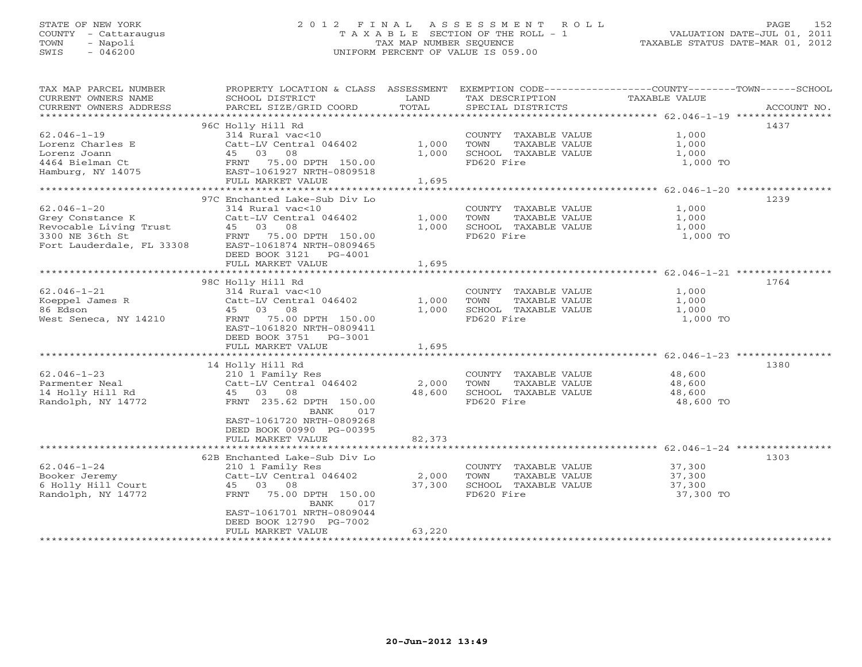# STATE OF NEW YORK 2 0 1 2 F I N A L A S S E S S M E N T R O L L PAGE 152 COUNTY - Cattaraugus T A X A B L E SECTION OF THE ROLL - 1 VALUATION DATE-JUL 01, 2011 TOWN - Napoli TAX MAP NUMBER SEQUENCE TAXABLE STATUS DATE-MAR 01, 2012 SWIS - 046200 UNIFORM PERCENT OF VALUE IS 059.00UNIFORM PERCENT OF VALUE IS 059.00

| TAX MAP PARCEL NUMBER<br>CURRENT OWNERS NAME<br>CURRENT OWNERS ADDRESS<br>************************* | PROPERTY LOCATION & CLASS ASSESSMENT<br>SCHOOL DISTRICT<br>PARCEL SIZE/GRID COORD | LAND<br>TOTAL | TAX DESCRIPTION<br>SPECIAL DISTRICTS | EXEMPTION CODE-----------------COUNTY-------TOWN------SCHOOL<br><b>TAXABLE VALUE</b><br>ACCOUNT NO. |
|-----------------------------------------------------------------------------------------------------|-----------------------------------------------------------------------------------|---------------|--------------------------------------|-----------------------------------------------------------------------------------------------------|
|                                                                                                     | 96C Holly Hill Rd                                                                 |               |                                      | 1437                                                                                                |
| $62.046 - 1 - 19$                                                                                   | 314 Rural vac<10                                                                  |               | COUNTY TAXABLE VALUE                 | 1,000                                                                                               |
| Lorenz Charles E                                                                                    | Catt-LV Central 046402                                                            | 1,000         | TOWN<br>TAXABLE VALUE                | 1,000                                                                                               |
| Lorenz Joann                                                                                        | 45 03 08                                                                          | 1,000         | SCHOOL TAXABLE VALUE                 | 1,000                                                                                               |
| 4464 Bielman Ct                                                                                     | FRNT<br>75.00 DPTH 150.00                                                         |               | FD620 Fire                           | 1,000 TO                                                                                            |
| Hamburg, NY 14075                                                                                   | EAST-1061927 NRTH-0809518                                                         |               |                                      |                                                                                                     |
|                                                                                                     | FULL MARKET VALUE                                                                 | 1,695         |                                      |                                                                                                     |
| **********************                                                                              | ****************************                                                      |               |                                      |                                                                                                     |
|                                                                                                     | 97C Enchanted Lake-Sub Div Lo                                                     |               |                                      | 1239                                                                                                |
| $62.046 - 1 - 20$                                                                                   | 314 Rural vac<10                                                                  |               | COUNTY TAXABLE VALUE                 | 1,000                                                                                               |
| Grey Constance K                                                                                    | Catt-LV Central 046402                                                            | 1,000         | TOWN<br>TAXABLE VALUE                | 1,000                                                                                               |
| Revocable Living Trust                                                                              | 45 03 08                                                                          | 1,000         | SCHOOL TAXABLE VALUE                 | 1,000                                                                                               |
| 3300 NE 36th St                                                                                     | FRNT<br>75.00 DPTH 150.00                                                         |               | FD620 Fire                           | 1,000 TO                                                                                            |
| Fort Lauderdale, FL 33308                                                                           | EAST-1061874 NRTH-0809465                                                         |               |                                      |                                                                                                     |
|                                                                                                     | DEED BOOK 3121<br>PG-4001                                                         |               |                                      |                                                                                                     |
|                                                                                                     | FULL MARKET VALUE                                                                 | 1,695         |                                      |                                                                                                     |
|                                                                                                     | *********************************                                                 |               |                                      |                                                                                                     |
|                                                                                                     | 98C Holly Hill Rd                                                                 |               |                                      | 1764                                                                                                |
| $62.046 - 1 - 21$                                                                                   | 314 Rural vac<10                                                                  |               | COUNTY TAXABLE VALUE                 | 1,000                                                                                               |
| Koeppel James R                                                                                     | Catt-LV Central 046402                                                            | 1,000         | TOWN<br>TAXABLE VALUE                | 1,000                                                                                               |
| 86 Edson                                                                                            | 45 03 08                                                                          | 1,000         | SCHOOL TAXABLE VALUE                 | 1,000                                                                                               |
| West Seneca, NY 14210                                                                               | 75.00 DPTH 150.00<br>FRNT                                                         |               | FD620 Fire                           | 1,000 TO                                                                                            |
|                                                                                                     | EAST-1061820 NRTH-0809411                                                         |               |                                      |                                                                                                     |
|                                                                                                     | DEED BOOK 3751<br>PG-3001                                                         |               |                                      |                                                                                                     |
|                                                                                                     | FULL MARKET VALUE                                                                 | 1,695         |                                      |                                                                                                     |
|                                                                                                     |                                                                                   |               |                                      |                                                                                                     |
|                                                                                                     | 14 Holly Hill Rd                                                                  |               |                                      | 1380                                                                                                |
| $62.046 - 1 - 23$                                                                                   | 210 1 Family Res                                                                  |               | COUNTY TAXABLE VALUE                 | 48,600                                                                                              |
| Parmenter Neal                                                                                      | Catt-LV Central 046402                                                            | 2,000         | TOWN<br>TAXABLE VALUE                | 48,600                                                                                              |
| 14 Holly Hill Rd                                                                                    | 45 03 08                                                                          | 48,600        | SCHOOL TAXABLE VALUE                 | 48,600                                                                                              |
| Randolph, NY 14772                                                                                  | FRNT 235.62 DPTH 150.00                                                           |               | FD620 Fire                           | 48,600 TO                                                                                           |
|                                                                                                     | 017<br>BANK                                                                       |               |                                      |                                                                                                     |
|                                                                                                     | EAST-1061720 NRTH-0809268                                                         |               |                                      |                                                                                                     |
|                                                                                                     | DEED BOOK 00990 PG-00395                                                          |               |                                      |                                                                                                     |
|                                                                                                     | FULL MARKET VALUE                                                                 | 82,373        |                                      |                                                                                                     |
|                                                                                                     |                                                                                   |               |                                      |                                                                                                     |
|                                                                                                     | 62B Enchanted Lake-Sub Div Lo                                                     |               |                                      | 1303                                                                                                |
| $62.046 - 1 - 24$                                                                                   | 210 1 Family Res                                                                  |               | COUNTY TAXABLE VALUE                 | 37,300                                                                                              |
| Booker Jeremy                                                                                       | Catt-LV Central 046402                                                            | 2,000         | TOWN<br>TAXABLE VALUE                | 37,300                                                                                              |
| 6 Holly Hill Court                                                                                  | 03<br>08<br>45                                                                    | 37,300        | SCHOOL TAXABLE VALUE                 | 37,300                                                                                              |
| Randolph, NY 14772                                                                                  | <b>FRNT</b><br>75.00 DPTH 150.00<br>BANK<br>017                                   |               | FD620 Fire                           | 37,300 TO                                                                                           |
|                                                                                                     | EAST-1061701 NRTH-0809044                                                         |               |                                      |                                                                                                     |
|                                                                                                     | DEED BOOK 12790 PG-7002                                                           |               |                                      |                                                                                                     |
|                                                                                                     | FULL MARKET VALUE                                                                 | 63,220        |                                      |                                                                                                     |
|                                                                                                     |                                                                                   |               | *******************************      |                                                                                                     |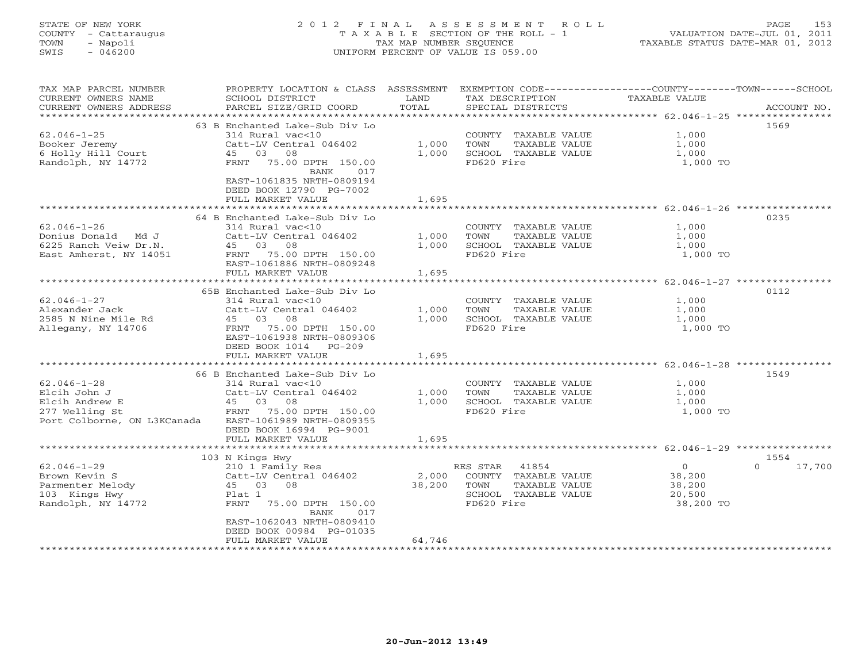# STATE OF NEW YORK 2 0 1 2 F I N A L A S S E S S M E N T R O L L PAGE 153 COUNTY - Cattaraugus T A X A B L E SECTION OF THE ROLL - 1 VALUATION DATE-JUL 01, 2011 TOWN - Napoli TAX MAP NUMBER SEQUENCE TAXABLE STATUS DATE-MAR 01, 2012 SWIS - 046200 UNIFORM PERCENT OF VALUE IS 059.00UNIFORM PERCENT OF VALUE IS 059.00

| TAX MAP PARCEL NUMBER<br>CURRENT OWNERS NAME<br>CURRENT OWNERS ADDRESS | PROPERTY LOCATION & CLASS ASSESSMENT<br>SCHOOL DISTRICT<br>PARCEL SIZE/GRID COORD | LAND<br>TOTAL      | EXEMPTION CODE-----------------COUNTY-------TOWN------SCHOOL<br>TAX DESCRIPTION<br>SPECIAL DISTRICTS | TAXABLE VALUE                                | ACCOUNT NO.        |
|------------------------------------------------------------------------|-----------------------------------------------------------------------------------|--------------------|------------------------------------------------------------------------------------------------------|----------------------------------------------|--------------------|
| **********************                                                 |                                                                                   |                    |                                                                                                      |                                              |                    |
| $62.046 - 1 - 25$                                                      | 63 B Enchanted Lake-Sub Div Lo<br>314 Rural vac<10                                |                    | COUNTY TAXABLE VALUE                                                                                 | 1,000                                        | 1569               |
| Booker Jeremy                                                          | Catt-LV Central 046402                                                            | 1,000              | TOWN<br>TAXABLE VALUE                                                                                | 1,000                                        |                    |
| 6 Holly Hill Court                                                     | 45 03<br>08                                                                       | 1,000              | SCHOOL TAXABLE VALUE                                                                                 | 1,000                                        |                    |
| Randolph, NY 14772                                                     | 75.00 DPTH 150.00<br>FRNT<br>BANK<br>017                                          |                    | FD620 Fire                                                                                           | 1,000 TO                                     |                    |
|                                                                        | EAST-1061835 NRTH-0809194<br>DEED BOOK 12790 PG-7002                              |                    |                                                                                                      |                                              |                    |
|                                                                        | FULL MARKET VALUE                                                                 | 1,695              |                                                                                                      | *********************** 62.046-1-26 ******** |                    |
|                                                                        |                                                                                   |                    |                                                                                                      |                                              |                    |
|                                                                        | 64 B Enchanted Lake-Sub Div Lo                                                    |                    |                                                                                                      |                                              | 0235               |
| $62.046 - 1 - 26$                                                      | 314 Rural vac<10                                                                  |                    | COUNTY TAXABLE VALUE                                                                                 | 1,000                                        |                    |
| Donius Donald Md J                                                     | Catt-LV Central 046402                                                            | 1,000              | TOWN<br>TAXABLE VALUE                                                                                | 1,000                                        |                    |
| 6225 Ranch Veiw Dr.N.                                                  | 45 03 08                                                                          | 1,000              | SCHOOL TAXABLE VALUE                                                                                 | 1,000                                        |                    |
| East Amherst, NY 14051                                                 | FRNT 75.00 DPTH 150.00                                                            |                    | FD620 Fire                                                                                           | 1,000 TO                                     |                    |
|                                                                        | EAST-1061886 NRTH-0809248                                                         |                    |                                                                                                      |                                              |                    |
|                                                                        | FULL MARKET VALUE<br>*****************************                                | 1,695              |                                                                                                      |                                              |                    |
|                                                                        |                                                                                   |                    |                                                                                                      |                                              |                    |
|                                                                        | 65B Enchanted Lake-Sub Div Lo                                                     |                    |                                                                                                      |                                              | 0112               |
| $62.046 - 1 - 27$                                                      | 314 Rural vac<10                                                                  |                    | COUNTY TAXABLE VALUE                                                                                 | 1,000                                        |                    |
| Alexander Jack                                                         | Catt-LV Central 046402                                                            | 1,000              | TOWN<br>TAXABLE VALUE                                                                                | 1,000                                        |                    |
| 2585 N Nine Mile Rd                                                    | 45 03 08                                                                          | 1,000              | SCHOOL TAXABLE VALUE                                                                                 | 1,000                                        |                    |
| Allegany, NY 14706                                                     | 75.00 DPTH 150.00<br>FRNT                                                         |                    | FD620 Fire                                                                                           | 1,000 TO                                     |                    |
|                                                                        | EAST-1061938 NRTH-0809306                                                         |                    |                                                                                                      |                                              |                    |
|                                                                        | DEED BOOK 1014<br>$PG-209$                                                        |                    |                                                                                                      |                                              |                    |
|                                                                        | FULL MARKET VALUE<br>*********************                                        | 1,695<br>********* |                                                                                                      |                                              |                    |
|                                                                        |                                                                                   |                    |                                                                                                      | *************** 62.046-1-28 ***********      |                    |
|                                                                        | 66 B Enchanted Lake-Sub Div Lo                                                    |                    |                                                                                                      |                                              | 1549               |
| $62.046 - 1 - 28$                                                      | 314 Rural vac<10                                                                  |                    | COUNTY TAXABLE VALUE                                                                                 | 1,000                                        |                    |
| Elcih John J                                                           | Catt-LV Central 046402                                                            | 1,000              | TAXABLE VALUE<br>TOWN                                                                                | 1,000                                        |                    |
| Elcih Andrew E                                                         | 45 03<br>08                                                                       | 1,000              | SCHOOL TAXABLE VALUE                                                                                 | 1,000                                        |                    |
| 277 Welling St                                                         | 75.00 DPTH 150.00<br>FRNT                                                         |                    | FD620 Fire                                                                                           | 1,000 TO                                     |                    |
| Port Colborne, ON L3KCanada                                            | EAST-1061989 NRTH-0809355                                                         |                    |                                                                                                      |                                              |                    |
|                                                                        | DEED BOOK 16994 PG-9001                                                           |                    |                                                                                                      |                                              |                    |
|                                                                        | FULL MARKET VALUE                                                                 | 1,695              |                                                                                                      |                                              |                    |
|                                                                        |                                                                                   |                    |                                                                                                      |                                              |                    |
|                                                                        | 103 N Kings Hwy                                                                   |                    |                                                                                                      |                                              | 1554               |
| $62.046 - 1 - 29$                                                      | 210 1 Family Res                                                                  |                    | RES STAR<br>41854                                                                                    | $\overline{0}$                               | 17,700<br>$\Omega$ |
| Brown Kevin S                                                          | Catt-LV Central 046402                                                            | 2,000              | COUNTY TAXABLE VALUE                                                                                 | 38,200                                       |                    |
| Parmenter Melody                                                       | 45 03<br>08                                                                       | 38,200             | TOWN<br>TAXABLE VALUE                                                                                | 38,200                                       |                    |
| 103 Kings Hwy                                                          | Plat 1                                                                            |                    | SCHOOL TAXABLE VALUE                                                                                 | 20,500                                       |                    |
| Randolph, NY 14772                                                     | FRNT<br>75.00 DPTH 150.00<br>BANK<br>017                                          |                    | FD620 Fire                                                                                           | 38,200 TO                                    |                    |
|                                                                        | EAST-1062043 NRTH-0809410                                                         |                    |                                                                                                      |                                              |                    |
|                                                                        | DEED BOOK 00984 PG-01035                                                          |                    |                                                                                                      |                                              |                    |
|                                                                        | FULL MARKET VALUE                                                                 | 64,746             |                                                                                                      |                                              |                    |
|                                                                        |                                                                                   |                    | *******************************                                                                      |                                              |                    |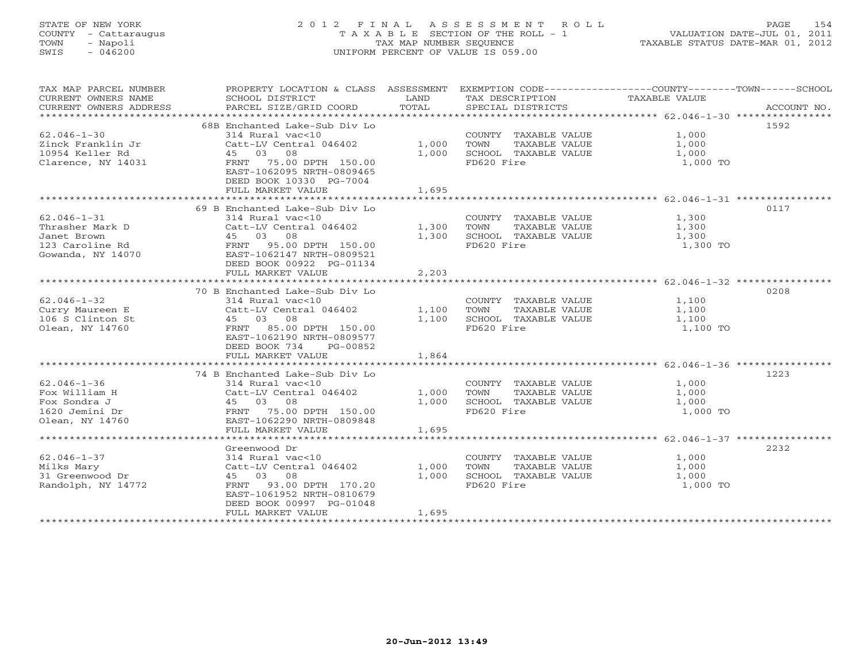# STATE OF NEW YORK 2 0 1 2 F I N A L A S S E S S M E N T R O L L PAGE 154 COUNTY - Cattaraugus T A X A B L E SECTION OF THE ROLL - 1 VALUATION DATE-JUL 01, 2011 TOWN - Napoli TAX MAP NUMBER SEQUENCE TAXABLE STATUS DATE-MAR 01, 2012 SWIS - 046200 UNIFORM PERCENT OF VALUE IS 059.00UNIFORM PERCENT OF VALUE IS 059.00

| TAX MAP PARCEL NUMBER<br>CURRENT OWNERS NAME<br>CURRENT OWNERS ADDRESS | PROPERTY LOCATION & CLASS ASSESSMENT EXEMPTION CODE---------------COUNTY-------TOWN------SCHOOL<br>SCHOOL DISTRICT<br>PARCEL SIZE/GRID COORD | LAND<br>TOTAL | TAX DESCRIPTION<br>SPECIAL DISTRICTS | TAXABLE VALUE | ACCOUNT NO. |
|------------------------------------------------------------------------|----------------------------------------------------------------------------------------------------------------------------------------------|---------------|--------------------------------------|---------------|-------------|
|                                                                        |                                                                                                                                              |               |                                      |               |             |
|                                                                        | 68B Enchanted Lake-Sub Div Lo                                                                                                                |               |                                      |               | 1592        |
| $62.046 - 1 - 30$                                                      | 314 Rural vac<10                                                                                                                             |               | COUNTY TAXABLE VALUE                 | 1,000         |             |
| Zinck Franklin Jr                                                      | Catt-LV Central 046402                                                                                                                       | 1,000         | TOWN<br>TAXABLE VALUE                | 1,000         |             |
| 10954 Keller Rd                                                        | 45 03 08                                                                                                                                     | 1,000         | SCHOOL TAXABLE VALUE                 | 1,000         |             |
| Clarence, NY 14031                                                     | FRNT 75.00 DPTH 150.00<br>EAST-1062095 NRTH-0809465                                                                                          |               | FD620 Fire                           | 1,000 TO      |             |
|                                                                        | DEED BOOK 10330 PG-7004<br>FULL MARKET VALUE                                                                                                 | 1,695         |                                      |               |             |
|                                                                        |                                                                                                                                              |               |                                      |               |             |
|                                                                        | 69 B Enchanted Lake-Sub Div Lo                                                                                                               |               |                                      |               | 0117        |
| $62.046 - 1 - 31$                                                      | 314 Rural vac<10                                                                                                                             |               | COUNTY TAXABLE VALUE                 | 1,300         |             |
| Thrasher Mark D                                                        | Catt-LV Central 046402                                                                                                                       | 1,300         | TOWN<br>TAXABLE VALUE                | 1,300         |             |
| Janet Brown                                                            | 45 03 08                                                                                                                                     | 1,300         | SCHOOL TAXABLE VALUE                 | 1,300         |             |
| 123 Caroline Rd                                                        | FRNT 95.00 DPTH 150.00                                                                                                                       |               | FD620 Fire                           | 1,300 TO      |             |
| Gowanda, NY 14070                                                      | EAST-1062147 NRTH-0809521                                                                                                                    |               |                                      |               |             |
|                                                                        | DEED BOOK 00922 PG-01134                                                                                                                     |               |                                      |               |             |
|                                                                        | FULL MARKET VALUE                                                                                                                            | 2,203         |                                      |               |             |
|                                                                        |                                                                                                                                              |               |                                      |               |             |
|                                                                        | 70 B Enchanted Lake-Sub Div Lo                                                                                                               |               |                                      |               | 0208        |
| $62.046 - 1 - 32$                                                      | 314 Rural vac<10                                                                                                                             |               | COUNTY TAXABLE VALUE                 | 1,100         |             |
| Curry Maureen E                                                        | Catt-LV Central 046402                                                                                                                       | 1,100         | TAXABLE VALUE<br>TOWN                | 1,100         |             |
| 106 S Clinton St                                                       | 45 03 08                                                                                                                                     | 1,100         | SCHOOL TAXABLE VALUE                 | 1,100         |             |
| Olean, NY 14760                                                        | FRNT 85.00 DPTH 150.00                                                                                                                       |               | FD620 Fire                           | 1,100 TO      |             |
|                                                                        | EAST-1062190 NRTH-0809577                                                                                                                    |               |                                      |               |             |
|                                                                        | DEED BOOK 734<br>PG-00852                                                                                                                    |               |                                      |               |             |
|                                                                        | FULL MARKET VALUE                                                                                                                            | 1,864         |                                      |               |             |
|                                                                        |                                                                                                                                              |               |                                      |               |             |
|                                                                        | 74 B Enchanted Lake-Sub Div Lo                                                                                                               |               |                                      |               | 1223        |
| $62.046 - 1 - 36$                                                      | 314 Rural vac<10                                                                                                                             |               | COUNTY TAXABLE VALUE                 | 1,000         |             |
| Fox William H                                                          | Catt-LV Central 046402                                                                                                                       | 1,000         | TAXABLE VALUE<br>TOWN                | 1,000         |             |
| Fox Sondra J                                                           | 45 03 08                                                                                                                                     | 1,000         | SCHOOL TAXABLE VALUE                 | 1,000         |             |
| 1620 Jemini Dr                                                         | ں ری 150.00<br>FRNT 75.00 DPTH 150.00<br>FRNT 1111000 ATOMY-0809848                                                                          |               | FD620 Fire                           | 1,000 TO      |             |
| Olean, NY 14760                                                        | EAST-1062290 NRTH-0809848                                                                                                                    |               |                                      |               |             |
|                                                                        | FULL MARKET VALUE                                                                                                                            | 1,695         |                                      |               |             |
|                                                                        |                                                                                                                                              |               |                                      |               |             |
|                                                                        | Greenwood Dr                                                                                                                                 |               |                                      |               | 2232        |
| $62.046 - 1 - 37$                                                      | 314 Rural vac<10                                                                                                                             |               | COUNTY TAXABLE VALUE                 | 1,000         |             |
| Milks Mary                                                             | Catt-LV Central 046402                                                                                                                       | 1,000         | TOWN<br>TAXABLE VALUE                | 1,000         |             |
| 31 Greenwood Dr                                                        | 45 03<br>08                                                                                                                                  | 1,000         | SCHOOL TAXABLE VALUE                 | 1,000         |             |
| Randolph, NY 14772                                                     | FRNT<br>93.00 DPTH 170.20                                                                                                                    |               | FD620 Fire                           | 1,000 TO      |             |
|                                                                        | EAST-1061952 NRTH-0810679                                                                                                                    |               |                                      |               |             |
|                                                                        | DEED BOOK 00997 PG-01048                                                                                                                     |               |                                      |               |             |
|                                                                        | FULL MARKET VALUE                                                                                                                            | 1,695         |                                      |               |             |
|                                                                        |                                                                                                                                              |               |                                      |               |             |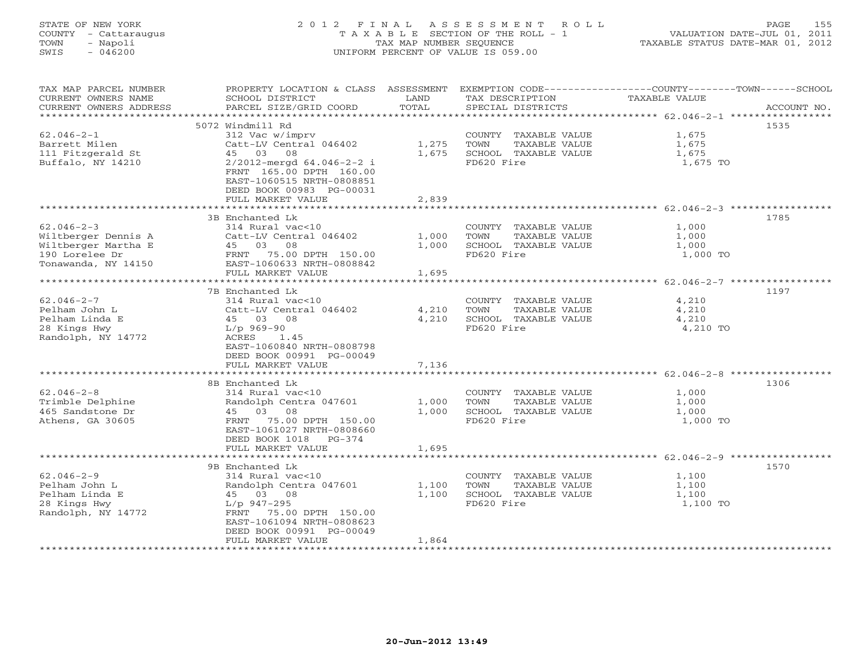# STATE OF NEW YORK 2 0 1 2 F I N A L A S S E S S M E N T R O L L PAGE 155 COUNTY - Cattaraugus T A X A B L E SECTION OF THE ROLL - 1 VALUATION DATE-JUL 01, 2011 TOWN - Napoli TAX MAP NUMBER SEQUENCE TAXABLE STATUS DATE-MAR 01, 2012 SWIS - 046200 UNIFORM PERCENT OF VALUE IS 059.00UNIFORM PERCENT OF VALUE IS 059.00

| TAX MAP PARCEL NUMBER<br>CURRENT OWNERS NAME<br>CURRENT OWNERS ADDRESS                                  | PROPERTY LOCATION & CLASS ASSESSMENT<br>SCHOOL DISTRICT<br>PARCEL SIZE/GRID COORD                                                                                                                                       | LAND<br>TOTAL           | TAX DESCRIPTION<br>SPECIAL DISTRICTS                                                | EXEMPTION CODE-----------------COUNTY-------TOWN------SCHOOL<br>TAXABLE VALUE | ACCOUNT NO. |
|---------------------------------------------------------------------------------------------------------|-------------------------------------------------------------------------------------------------------------------------------------------------------------------------------------------------------------------------|-------------------------|-------------------------------------------------------------------------------------|-------------------------------------------------------------------------------|-------------|
| *****************                                                                                       |                                                                                                                                                                                                                         |                         |                                                                                     |                                                                               | ******      |
| $62.046 - 2 - 1$<br>Barrett Milen<br>111 Fitzgerald St<br>Buffalo, NY 14210                             | 5072 Windmill Rd<br>312 Vac w/imprv<br>Catt-LV Central 046402<br>08<br>45 03<br>$2/2012$ -mergd $64.046-2-2$ i<br>FRNT 165.00 DPTH 160.00<br>EAST-1060515 NRTH-0808851<br>DEED BOOK 00983 PG-00031<br>FULL MARKET VALUE | 1,275<br>1,675<br>2,839 | COUNTY TAXABLE VALUE<br>TOWN<br>TAXABLE VALUE<br>SCHOOL TAXABLE VALUE<br>FD620 Fire | 1,675<br>1,675<br>1,675<br>1,675 TO                                           | 1535        |
|                                                                                                         | 3B Enchanted Lk                                                                                                                                                                                                         |                         |                                                                                     |                                                                               | 1785        |
| $62.046 - 2 - 3$<br>Wiltberger Dennis A<br>Wiltberger Martha E<br>190 Lorelee Dr<br>Tonawanda, NY 14150 | 314 Rural vac<10<br>Catt-LV Central 046402<br>45 03 08<br>FRNT 75.00 DPTH 150.00<br>EAST-1060633 NRTH-0808842<br>FULL MARKET VALUE                                                                                      | 1,000<br>1,000<br>1,695 | COUNTY TAXABLE VALUE<br>TAXABLE VALUE<br>TOWN<br>SCHOOL TAXABLE VALUE<br>FD620 Fire | 1,000<br>1,000<br>1,000<br>1,000 TO                                           |             |
| ********************                                                                                    |                                                                                                                                                                                                                         |                         |                                                                                     |                                                                               |             |
| $62.046 - 2 - 7$<br>Pelham John L<br>Pelham Linda E<br>28 Kings Hwy<br>Randolph, NY 14772               | 7B Enchanted Lk<br>314 Rural vac<10<br>Catt-LV Central 046402<br>45 03 08<br>L/p 969-90<br>ACRES<br>1.45<br>EAST-1060840 NRTH-0808798<br>DEED BOOK 00991 PG-00049<br>FULL MARKET VALUE<br>*******************           | 4,210<br>4,210<br>7,136 | COUNTY TAXABLE VALUE<br>TAXABLE VALUE<br>TOWN<br>SCHOOL TAXABLE VALUE<br>FD620 Fire | 4,210<br>4,210<br>4,210<br>4,210 TO                                           | 1197        |
|                                                                                                         | 8B Enchanted Lk                                                                                                                                                                                                         |                         |                                                                                     |                                                                               | 1306        |
| $62.046 - 2 - 8$<br>Trimble Delphine<br>465 Sandstone Dr<br>Athens, GA 30605                            | 314 Rural vac<10<br>Randolph Centra 047601<br>45 03 08<br>FRNT 75.00 DPTH 150.00<br>EAST-1061027 NRTH-0808660<br>DEED BOOK 1018 PG-374                                                                                  | 1,000<br>1,000          | COUNTY TAXABLE VALUE<br>TOWN<br>TAXABLE VALUE<br>SCHOOL TAXABLE VALUE<br>FD620 Fire | 1,000<br>1,000<br>1,000<br>1,000 TO                                           |             |
|                                                                                                         | FULL MARKET VALUE                                                                                                                                                                                                       | 1,695                   |                                                                                     |                                                                               |             |
|                                                                                                         |                                                                                                                                                                                                                         |                         |                                                                                     |                                                                               |             |
| $62.046 - 2 - 9$<br>Pelham John L<br>Pelham Linda E<br>28 Kings Hwy<br>Randolph, NY 14772               | 9B Enchanted Lk<br>$314$ Rural vac<10<br>Randolph Centra 047601<br>45 03 08<br>L/p 947-295<br>FRNT 75.00 DPTH 150.00<br>EAST-1061094 NRTH-0808623<br>DEED BOOK 00991 PG-00049<br>FULL MARKET VALUE                      | 1,100<br>1,100<br>1,864 | COUNTY TAXABLE VALUE<br>TOWN<br>TAXABLE VALUE<br>SCHOOL TAXABLE VALUE<br>FD620 Fire | 1,100<br>1,100<br>1,100<br>1,100 TO                                           | 1570        |
|                                                                                                         |                                                                                                                                                                                                                         |                         |                                                                                     |                                                                               |             |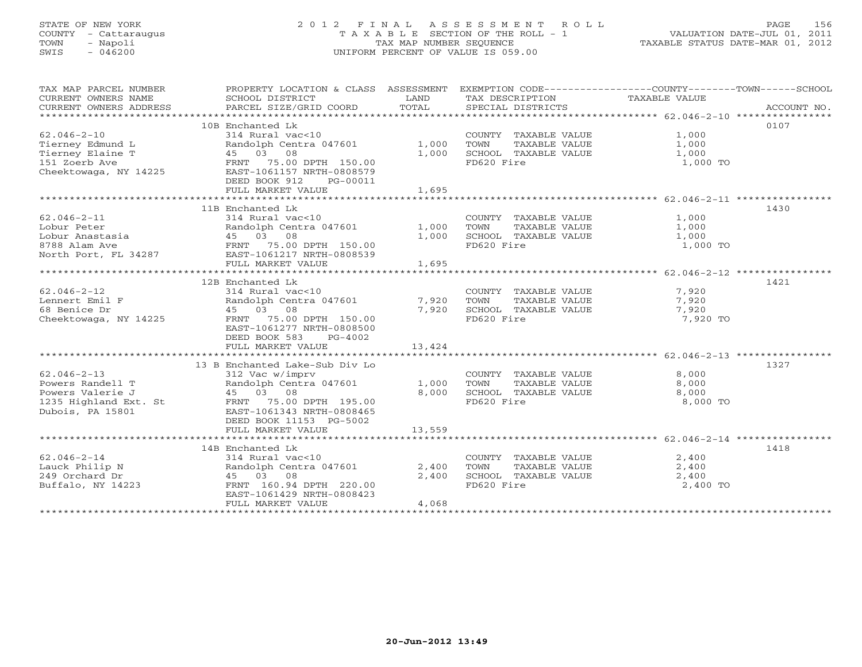# STATE OF NEW YORK 2 0 1 2 F I N A L A S S E S S M E N T R O L L PAGE 156 COUNTY - Cattaraugus T A X A B L E SECTION OF THE ROLL - 1 VALUATION DATE-JUL 01, 2011 TOWN - Napoli TAX MAP NUMBER SEQUENCE TAXABLE STATUS DATE-MAR 01, 2012 SWIS - 046200 UNIFORM PERCENT OF VALUE IS 059.00UNIFORM PERCENT OF VALUE IS 059.00

| TAX MAP PARCEL NUMBER<br>CURRENT OWNERS NAME<br>CURRENT OWNERS ADDRESS                                                                 | SCHOOL DISTRICT<br>PARCEL SIZE/GRID COORD                | LAND<br>TOTAL | TAX DESCRIPTION<br>SPECIAL DISTRICTS                  | PROPERTY LOCATION & CLASS ASSESSMENT EXEMPTION CODE---------------COUNTY-------TOWN------SCHOOL<br>TAXABLE VALUE<br>ACCOUNT NO. |
|----------------------------------------------------------------------------------------------------------------------------------------|----------------------------------------------------------|---------------|-------------------------------------------------------|---------------------------------------------------------------------------------------------------------------------------------|
|                                                                                                                                        |                                                          |               |                                                       |                                                                                                                                 |
|                                                                                                                                        | 10B Enchanted Lk                                         |               |                                                       | 0107                                                                                                                            |
| $62.046 - 2 - 10$                                                                                                                      | 314 Rural vac<10                                         |               | COUNTY TAXABLE VALUE                                  | 1,000<br>1,000                                                                                                                  |
| Tierney Edmund L                                                                                                                       | Randolph Centra 047601                                   | 1,000         | TAXABLE VALUE<br>TOWN                                 |                                                                                                                                 |
| Tierney Elaine T                                                                                                                       | 45 03 08                                                 | 1,000         | SCHOOL TAXABLE VALUE                                  | 1,000                                                                                                                           |
| 151 Zoerb Ave                                                                                                                          | FRNT 75.00 DPTH 150.00                                   |               | FD620 Fire                                            | 1,000 TO                                                                                                                        |
| Cheektowaga, NY 14225                                                                                                                  | EAST-1061157 NRTH-0808579                                |               |                                                       |                                                                                                                                 |
|                                                                                                                                        | DEED BOOK 912<br>PG-00011                                |               |                                                       |                                                                                                                                 |
|                                                                                                                                        | FULL MARKET VALUE                                        | 1,695         |                                                       |                                                                                                                                 |
|                                                                                                                                        |                                                          |               |                                                       |                                                                                                                                 |
|                                                                                                                                        | 11B Enchanted Lk                                         |               |                                                       | 1430                                                                                                                            |
| $62.046 - 2 - 11$                                                                                                                      | 314 Rural vac<10                                         |               | COUNTY TAXABLE VALUE                                  | 1,000                                                                                                                           |
| Lobur Peter                                                                                                                            | Randolph Centra 047601<br>Randolph Cen<br>45    03    08 | 1,000         | TOWN       TAXABLE  VALUE<br>SCHOOL    TAXABLE  VALUE | 1,000                                                                                                                           |
| Lobur Anastasia                                                                                                                        |                                                          | 1,000         |                                                       | 1,000                                                                                                                           |
| 8788 Alam Ave                             FRNT   75.00 DPTH   150.00<br>North Port, FL 34287                 EAST-1061217 NRTH-0808539 |                                                          |               | FD620 Fire                                            | 1,000 TO                                                                                                                        |
|                                                                                                                                        |                                                          |               |                                                       |                                                                                                                                 |
|                                                                                                                                        | FULL MARKET VALUE                                        | 1,695         |                                                       |                                                                                                                                 |
|                                                                                                                                        |                                                          |               |                                                       |                                                                                                                                 |
|                                                                                                                                        | 12B Enchanted Lk                                         |               |                                                       | 1421                                                                                                                            |
| $62.046 - 2 - 12$                                                                                                                      | 314 Rural vac<10                                         |               | COUNTY TAXABLE VALUE                                  | 7,920<br>7,920                                                                                                                  |
| Lennert Emil F                                                                                                                         | Randolph Centra 047601                                   | 7,920         | TOWN<br>TAXABLE VALUE                                 |                                                                                                                                 |
| 68 Benice Dr                                                                                                                           | 45 03 08                                                 | 7,920         | SCHOOL TAXABLE VALUE                                  | 7,920                                                                                                                           |
| Cheektowaga, NY 14225                                                                                                                  | FRNT 75.00 DPTH 150.00                                   |               | FD620 Fire                                            | 7,920 TO                                                                                                                        |
|                                                                                                                                        | EAST-1061277 NRTH-0808500                                |               |                                                       |                                                                                                                                 |
|                                                                                                                                        | DEED BOOK 583<br>PG-4002                                 |               |                                                       |                                                                                                                                 |
|                                                                                                                                        | FULL MARKET VALUE                                        | 13,424        |                                                       |                                                                                                                                 |
|                                                                                                                                        |                                                          |               |                                                       |                                                                                                                                 |
|                                                                                                                                        | 13 B Enchanted Lake-Sub Div Lo                           |               |                                                       | 1327                                                                                                                            |
| $62.046 - 2 - 13$                                                                                                                      | 312 Vac w/imprv                                          |               | COUNTY TAXABLE VALUE                                  | 8,000                                                                                                                           |
| Powers Randell T                                                                                                                       | Randolph Centra 047601                                   | 1,000         | TOWN TAXABLE VALUE                                    | 8,000                                                                                                                           |
| Powers Valerie J                                                                                                                       | 45 03 08                                                 | 8,000         | SCHOOL TAXABLE VALUE                                  | 8,000                                                                                                                           |
| 1235 Highland Ext. St FRNT 75.00 DPTH 195.00                                                                                           |                                                          |               | FD620 Fire                                            | 8,000 TO                                                                                                                        |
| Dubois, PA 15801                                                                                                                       | EAST-1061343 NRTH-0808465                                |               |                                                       |                                                                                                                                 |
|                                                                                                                                        | DEED BOOK 11153 PG-5002                                  |               |                                                       |                                                                                                                                 |
|                                                                                                                                        | FULL MARKET VALUE                                        | 13,559        |                                                       |                                                                                                                                 |
|                                                                                                                                        |                                                          |               |                                                       |                                                                                                                                 |
|                                                                                                                                        | 14B Enchanted Lk                                         |               |                                                       | 1418                                                                                                                            |
| $62.046 - 2 - 14$                                                                                                                      | $314$ Rural vac<10                                       |               | COUNTY TAXABLE VALUE                                  | 2,400                                                                                                                           |
| Lauck Philip N                                                                                                                         | Randolph Centra 047601 2,400                             |               | TOWN<br>TAXABLE VALUE                                 | 2,400                                                                                                                           |
|                                                                                                                                        |                                                          | 2,400         | SCHOOL TAXABLE VALUE                                  | 2,400                                                                                                                           |
| 249 Orchard Dr                           45   03   08<br>Buffalo, NY 14223               FRNT 160.94 DPTH 220.00                       |                                                          |               | FD620 Fire                                            | 2,400 TO                                                                                                                        |
|                                                                                                                                        | EAST-1061429 NRTH-0808423                                |               |                                                       |                                                                                                                                 |
|                                                                                                                                        | FULL MARKET VALUE                                        | 4,068         |                                                       |                                                                                                                                 |
|                                                                                                                                        |                                                          |               |                                                       |                                                                                                                                 |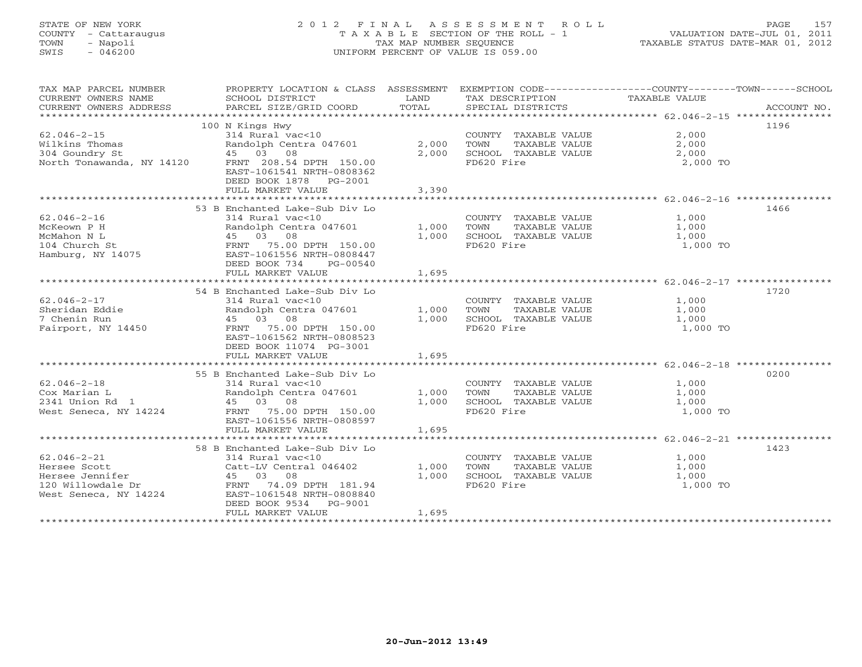# STATE OF NEW YORK 2 0 1 2 F I N A L A S S E S S M E N T R O L L PAGE 157 COUNTY - Cattaraugus T A X A B L E SECTION OF THE ROLL - 1 VALUATION DATE-JUL 01, 2011 TOWN - Napoli TAX MAP NUMBER SEQUENCE TAXABLE STATUS DATE-MAR 01, 2012 SWIS - 046200 UNIFORM PERCENT OF VALUE IS 059.00UNIFORM PERCENT OF VALUE IS 059.00

| TAX MAP PARCEL NUMBER<br>CURRENT OWNERS NAME<br>CURRENT OWNERS ADDRESS | PROPERTY LOCATION & CLASS ASSESSMENT<br>SCHOOL DISTRICT<br>PARCEL SIZE/GRID COORD | LAND<br>TOTAL | TAX DESCRIPTION<br>SPECIAL DISTRICTS          | EXEMPTION CODE-----------------COUNTY-------TOWN------SCHOOL<br>TAXABLE VALUE<br>ACCOUNT NO. |  |
|------------------------------------------------------------------------|-----------------------------------------------------------------------------------|---------------|-----------------------------------------------|----------------------------------------------------------------------------------------------|--|
|                                                                        |                                                                                   |               |                                               |                                                                                              |  |
|                                                                        | 100 N Kings Hwy                                                                   |               |                                               | 1196                                                                                         |  |
| $62.046 - 2 - 15$                                                      | 314 Rural vac<10                                                                  |               | COUNTY TAXABLE VALUE                          | 2,000                                                                                        |  |
| Wilkins Thomas                                                         | Randolph Centra 047601                                                            | 2,000         | TOWN<br>TAXABLE VALUE                         | 2,000                                                                                        |  |
| 304 Goundry St                                                         | 45 03 08                                                                          | 2,000         | SCHOOL TAXABLE VALUE                          | 2,000                                                                                        |  |
| North Tonawanda, NY 14120                                              | FRNT 208.54 DPTH 150.00<br>EAST-1061541 NRTH-0808362<br>DEED BOOK 1878    PG-2001 |               | FD620 Fire                                    | 2,000 TO                                                                                     |  |
|                                                                        | FULL MARKET VALUE                                                                 | 3,390         |                                               |                                                                                              |  |
|                                                                        | 53 B Enchanted Lake-Sub Div Lo                                                    |               |                                               | 1466                                                                                         |  |
| $62.046 - 2 - 16$                                                      | 314 Rural vac<10                                                                  |               | COUNTY TAXABLE VALUE                          | 1,000                                                                                        |  |
| McKeown P H                                                            | Randolph Centra 047601                                                            | 1,000         | TAXABLE VALUE                                 |                                                                                              |  |
| McMahon N L                                                            | 45 03 08                                                                          | 1,000         | TOWN<br>SCHOOL TAXABLE VALUE                  | 1,000<br>1,000                                                                               |  |
| 104 Church St                                                          |                                                                                   |               | FD620 Fire                                    |                                                                                              |  |
| Hamburg, NY 14075                                                      | FRNT 75.00 DPTH 150.00<br>EAST-1061556 NRTH-0808447<br>DEED BOOK 734<br>PG-00540  |               |                                               | 1,000 TO                                                                                     |  |
|                                                                        | FULL MARKET VALUE                                                                 | 1,695         |                                               |                                                                                              |  |
|                                                                        |                                                                                   |               |                                               |                                                                                              |  |
|                                                                        | 54 B Enchanted Lake-Sub Div Lo                                                    |               |                                               | 1720                                                                                         |  |
| $62.046 - 2 - 17$                                                      | 314 Rural vac<10                                                                  |               | COUNTY TAXABLE VALUE                          | 1,000                                                                                        |  |
| Sheridan Eddie                                                         | Randolph Centra 047601                                                            | 1,000         | TAXABLE VALUE<br>TOWN                         | 1,000                                                                                        |  |
| 7 Chenin Run                                                           | 45 03 08                                                                          | 1,000         | SCHOOL TAXABLE VALUE                          | 1,000                                                                                        |  |
| Fairport, NY 14450                                                     | FRNT 75.00 DPTH 150.00<br>EAST-1061562 NRTH-0808523<br>DEED BOOK 11074 PG-3001    |               | FD620 Fire                                    | 1,000 TO                                                                                     |  |
|                                                                        | FULL MARKET VALUE                                                                 | 1,695         |                                               |                                                                                              |  |
|                                                                        |                                                                                   |               |                                               |                                                                                              |  |
|                                                                        | 55 B Enchanted Lake-Sub Div Lo                                                    |               |                                               | 0200                                                                                         |  |
| $62.046 - 2 - 18$                                                      | 314 Rural vac<10                                                                  |               | COUNTY TAXABLE VALUE                          | 1,000                                                                                        |  |
| Cox Marian L                                                           | Randolph Centra 047601                                                            | 1,000         | TAXABLE VALUE<br>TOWN                         | 1,000                                                                                        |  |
| 2341 Union Rd 1                                                        | 45 03 08                                                                          | 1,000         | SCHOOL TAXABLE VALUE                          | 1,000                                                                                        |  |
| West Seneca, NY 14224                                                  | FRNT 75.00 DPTH 150.00<br>EAST-1061556 NRTH-0808597                               |               | FD620 Fire                                    | 1,000 TO                                                                                     |  |
|                                                                        | FULL MARKET VALUE                                                                 | 1,695         |                                               |                                                                                              |  |
|                                                                        |                                                                                   |               |                                               |                                                                                              |  |
|                                                                        | 58 B Enchanted Lake-Sub Div Lo                                                    |               |                                               | 1423                                                                                         |  |
| $62.046 - 2 - 21$<br>Hersee Scott                                      | 314 Rural vac<10<br>Catt-LV Central 046402                                        | 1,000         | COUNTY TAXABLE VALUE<br>TOWN<br>TAXABLE VALUE | 1,000<br>1,000                                                                               |  |
| Hersee Jennifer                                                        | 45 03 08                                                                          | 1,000         |                                               | 1,000                                                                                        |  |
| 120 Willowdale Dr                                                      | FRNT<br>74.09 DPTH 181.94                                                         |               | SCHOOL TAXABLE VALUE<br>FD620 Fire            | 1,000 TO                                                                                     |  |
| West Seneca, NY 14224                                                  | EAST-1061548 NRTH-0808840                                                         |               |                                               |                                                                                              |  |
|                                                                        | DEED BOOK 9534 PG-9001                                                            | 1,695         |                                               |                                                                                              |  |
|                                                                        | FULL MARKET VALUE                                                                 |               |                                               |                                                                                              |  |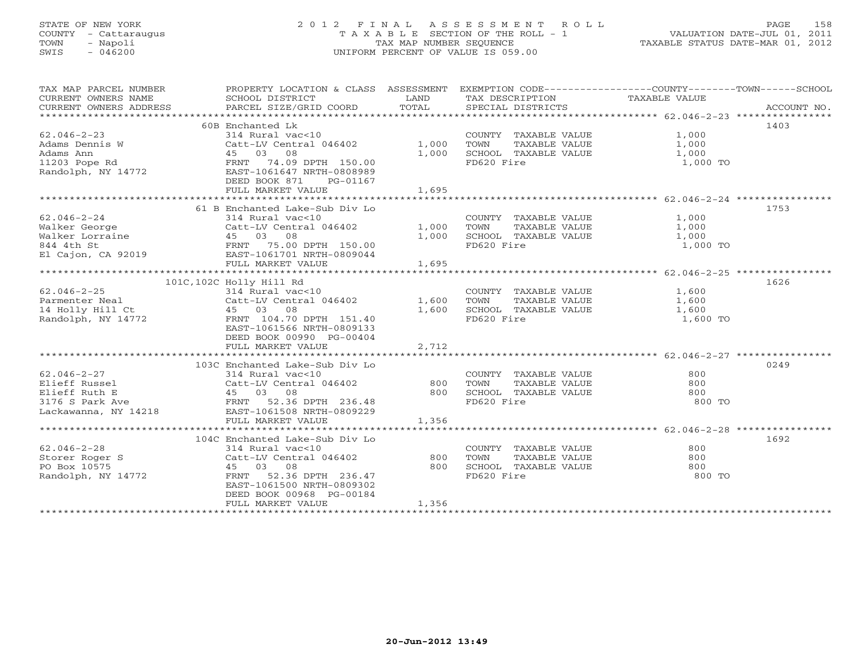# STATE OF NEW YORK 2 0 1 2 F I N A L A S S E S S M E N T R O L L PAGE 158 COUNTY - Cattaraugus T A X A B L E SECTION OF THE ROLL - 1 VALUATION DATE-JUL 01, 2011 TOWN - Napoli TAX MAP NUMBER SEQUENCE TAXABLE STATUS DATE-MAR 01, 2012 SWIS - 046200 UNIFORM PERCENT OF VALUE IS 059.00UNIFORM PERCENT OF VALUE IS 059.00

| TAX MAP PARCEL NUMBER     | PROPERTY LOCATION & CLASS ASSESSMENT EXEMPTION CODE---------------COUNTY-------TOWN------SCHOOL |       |                                                                                            |                                           |             |
|---------------------------|-------------------------------------------------------------------------------------------------|-------|--------------------------------------------------------------------------------------------|-------------------------------------------|-------------|
| CURRENT OWNERS NAME       | SCHOOL DISTRICT                                                                                 | LAND  | TAX DESCRIPTION                                                                            | TAXABLE VALUE                             |             |
| CURRENT OWNERS ADDRESS    | PARCEL SIZE/GRID COORD                                                                          | TOTAL | SPECIAL DISTRICTS                                                                          |                                           | ACCOUNT NO. |
|                           |                                                                                                 |       |                                                                                            |                                           |             |
|                           | 60B Enchanted Lk                                                                                |       |                                                                                            |                                           | 1403        |
| $62.046 - 2 - 23$         | 314 Rural vac<10                                                                                |       | COUNTY TAXABLE VALUE $1,000$<br>TOWN TAXABLE VALUE $1,000$<br>SCHOOL TAXABLE VALUE $1,000$ | 1,000<br>1,000                            |             |
|                           | Catt-LV Central 046402 1,000                                                                    |       |                                                                                            |                                           |             |
|                           |                                                                                                 | 1,000 |                                                                                            |                                           |             |
|                           |                                                                                                 |       | FD620 Fire                                                                                 | 1,000 TO                                  |             |
|                           |                                                                                                 |       |                                                                                            |                                           |             |
|                           | DEED BOOK 871 PG-01167                                                                          |       |                                                                                            |                                           |             |
|                           | FULL MARKET VALUE                                                                               | 1,695 |                                                                                            |                                           |             |
|                           |                                                                                                 |       |                                                                                            |                                           |             |
|                           | 61 B Enchanted Lake-Sub Div Lo                                                                  |       |                                                                                            |                                           | 1753        |
| $62.046 - 2 - 24$         | 314 Rural vac<10                                                                                |       | COUNTY TAXABLE VALUE                                                                       | 1,000                                     |             |
|                           |                                                                                                 |       |                                                                                            |                                           |             |
|                           |                                                                                                 |       | TOWN TAXABLE VALUE 1,000<br>SCHOOL TAXABLE VALUE 1,000                                     |                                           |             |
|                           |                                                                                                 |       | FD620 Fire                                                                                 | 1,000 TO                                  |             |
|                           |                                                                                                 |       |                                                                                            |                                           |             |
|                           | FULL MARKET VALUE                                                                               | 1,695 |                                                                                            |                                           |             |
|                           |                                                                                                 |       |                                                                                            |                                           |             |
|                           | 101C, 102C Holly Hill Rd                                                                        |       |                                                                                            |                                           | 1626        |
| $62.046 - 2 - 25$         | 314 Rural vac<10<br>Catt-LV Central 046402                                                      | 1,600 | COUNTY TAXABLE VALUE<br>TOWN      TAXABLE VALUE                                            | 1,600<br>1,600                            |             |
| Parmenter Neal            |                                                                                                 |       |                                                                                            |                                           |             |
| 14 Holly Hill Ct 45 03 08 |                                                                                                 | 1,600 | SCHOOL TAXABLE VALUE 1,600                                                                 |                                           |             |
| Randolph, NY 14772        | FRNT 104.70 DPTH 151.40                                                                         |       | FD620 Fire                                                                                 | 1,600 TO                                  |             |
|                           | EAST-1061566 NRTH-0809133                                                                       |       |                                                                                            |                                           |             |
|                           | DEED BOOK 00990 PG-00404                                                                        |       |                                                                                            |                                           |             |
|                           | FULL MARKET VALUE                                                                               | 2,712 |                                                                                            |                                           |             |
|                           |                                                                                                 |       |                                                                                            |                                           |             |
|                           | 103C Enchanted Lake-Sub Div Lo                                                                  |       |                                                                                            |                                           | 0249        |
| $62.046 - 2 - 27$         | 314 Rural vac<10                                                                                |       | COUNTY TAXABLE VALUE                                                                       | 800                                       |             |
| Elieff Russel             | Catt-LV Central 046402                                                                          | 800   | TAXABLE VALUE<br>TOWN                                                                      | 800<br>800                                |             |
| Elieff Ruth E             |                                                                                                 | 800   | SCHOOL TAXABLE VALUE                                                                       |                                           |             |
| 3176 S Park Ave           | Catt-LV Central 046402<br>45 03 08<br>FRAT 52.36 DPTH 236.48                                    |       | FD620 Fire                                                                                 | 800 TO                                    |             |
|                           | Lackawanna, NY 14218 EAST-1061508 NRTH-0809229                                                  |       |                                                                                            |                                           |             |
|                           | FULL MARKET VALUE                                                                               | 1,356 |                                                                                            |                                           |             |
|                           |                                                                                                 |       |                                                                                            |                                           |             |
|                           | 104C Enchanted Lake-Sub Div Lo                                                                  |       |                                                                                            |                                           | 1692        |
| $62.046 - 2 - 28$         | 314 Rural vac<10                                                                                |       | COUNTY TAXABLE VALUE                                                                       | 800                                       |             |
| Storer Roger S            | Catt-LV Central 046402<br>45 03 08                                                              | 800   | TAXABLE VALUE<br>TOWN                                                                      | 800                                       |             |
| PO Box 10575              | 45 03 08                                                                                        | 800   | SCHOOL TAXABLE VALUE                                                                       | $\begin{array}{c} 800 \\ 800 \end{array}$ |             |
| Randolph, NY 14772        | FRNT 52.36 DPTH 236.47                                                                          |       | FD620 Fire                                                                                 | 800 TO                                    |             |
|                           | EAST-1061500 NRTH-0809302                                                                       |       |                                                                                            |                                           |             |
|                           | DEED BOOK 00968 PG-00184                                                                        |       |                                                                                            |                                           |             |
|                           | FULL MARKET VALUE                                                                               | 1,356 |                                                                                            |                                           |             |
|                           |                                                                                                 |       |                                                                                            |                                           |             |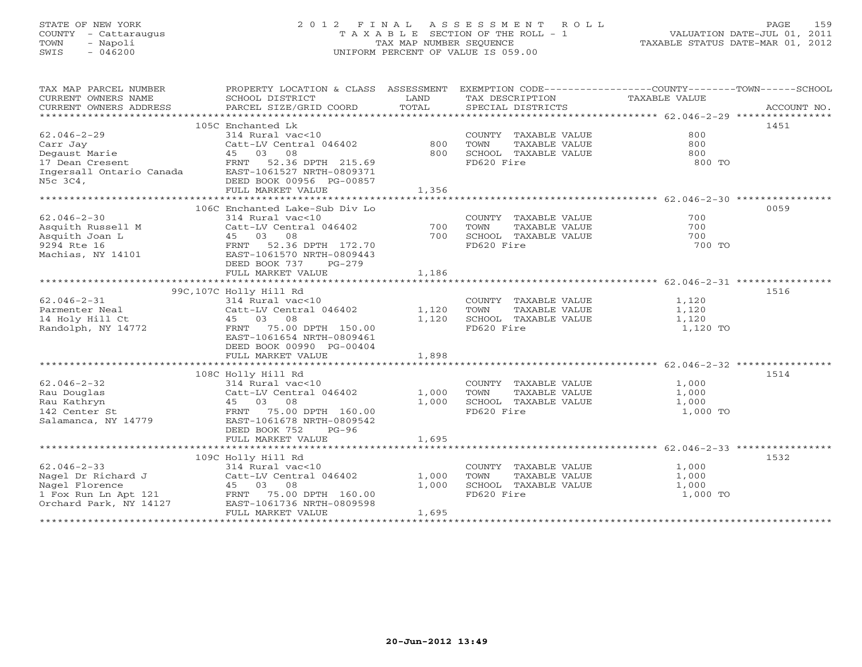# STATE OF NEW YORK 2 0 1 2 F I N A L A S S E S S M E N T R O L L PAGE 159 COUNTY - Cattaraugus T A X A B L E SECTION OF THE ROLL - 1 VALUATION DATE-JUL 01, 2011 TOWN - Napoli TAX MAP NUMBER SEQUENCE TAXABLE STATUS DATE-MAR 01, 2012 SWIS - 046200 UNIFORM PERCENT OF VALUE IS 059.00UNIFORM PERCENT OF VALUE IS 059.00

| TAX MAP PARCEL NUMBER                | PROPERTY LOCATION & CLASS ASSESSMENT  |       | EXEMPTION CODE-----------------COUNTY-------TOWN------SCHOOL |               |             |
|--------------------------------------|---------------------------------------|-------|--------------------------------------------------------------|---------------|-------------|
| CURRENT OWNERS NAME                  | SCHOOL DISTRICT                       | LAND  | TAX DESCRIPTION                                              | TAXABLE VALUE |             |
| CURRENT OWNERS ADDRESS               | PARCEL SIZE/GRID COORD                | TOTAL | SPECIAL DISTRICTS                                            |               | ACCOUNT NO. |
|                                      |                                       |       |                                                              |               |             |
| $62.046 - 2 - 29$                    | 105C Enchanted Lk<br>314 Rural vac<10 |       | COUNTY TAXABLE VALUE                                         | 800           | 1451        |
| Carr Jay                             | Catt-LV Central 046402                | 800   | TOWN<br>TAXABLE VALUE                                        | 800           |             |
| Degaust Marie                        | 45 03 08                              | 800   | SCHOOL TAXABLE VALUE                                         | 800           |             |
| 17 Dean Cresent                      | FRNT 52.36 DPTH 215.69                |       | FD620 Fire                                                   | 800 TO        |             |
| Ingersall Ontario Canada             | EAST-1061527 NRTH-0809371             |       |                                                              |               |             |
| N5c 3C4,                             | DEED BOOK 00956 PG-00857              |       |                                                              |               |             |
|                                      | FULL MARKET VALUE                     | 1,356 |                                                              |               |             |
|                                      |                                       |       |                                                              |               |             |
|                                      | 106C Enchanted Lake-Sub Div Lo        |       |                                                              |               | 0059        |
| $62.046 - 2 - 30$                    | 314 Rural vac<10                      |       | COUNTY TAXABLE VALUE                                         | 700           |             |
| Asquith Russell M                    | Catt-LV Central 046402                | 700   | TOWN<br>TAXABLE VALUE                                        | 700           |             |
| Asquith Joan L                       | 45 03 08                              | 700   | SCHOOL TAXABLE VALUE                                         | 700           |             |
| 9294 Rte 16                          | FRNT 52.36 DPTH 172.70                |       | FD620 Fire                                                   | 700 TO        |             |
| Machias, NY 14101                    | EAST-1061570 NRTH-0809443             |       |                                                              |               |             |
|                                      | DEED BOOK 737<br>$PG-279$             |       |                                                              |               |             |
|                                      | FULL MARKET VALUE                     | 1,186 |                                                              |               |             |
|                                      |                                       |       |                                                              |               |             |
|                                      | 99C, 107C Holly Hill Rd               |       |                                                              |               | 1516        |
| $62.046 - 2 - 31$                    | 314 Rural vac<10                      |       | COUNTY TAXABLE VALUE                                         | 1,120         |             |
| Parmenter Neal                       | Catt-LV Central 046402                | 1,120 | TAXABLE VALUE<br>TOWN                                        | 1,120         |             |
| 14 Holy Hill Ct                      | 45 03 08                              | 1,120 | SCHOOL TAXABLE VALUE                                         | 1,120         |             |
| Randolph, NY 14772                   | FRNT 75.00 DPTH 150.00                |       | FD620 Fire                                                   | 1,120 TO      |             |
|                                      | EAST-1061654 NRTH-0809461             |       |                                                              |               |             |
|                                      | DEED BOOK 00990 PG-00404              |       |                                                              |               |             |
|                                      | FULL MARKET VALUE                     | 1,898 |                                                              |               |             |
|                                      |                                       |       |                                                              |               |             |
|                                      | 108C Holly Hill Rd                    |       |                                                              |               | 1514        |
| $62.046 - 2 - 32$                    | 314 Rural vac<10                      |       | COUNTY TAXABLE VALUE                                         | 1,000         |             |
| Rau Douglas                          | Catt-LV Central 046402                | 1,000 | TOWN<br>TAXABLE VALUE                                        | 1,000         |             |
| Rau Kathryn                          | 45 03 08                              | 1,000 | SCHOOL TAXABLE VALUE                                         | 1,000         |             |
| 142 Center St<br>Salamanca, NY 14779 | FRNT 75.00 DPTH 160.00                |       | FD620 Fire                                                   | 1,000 TO      |             |
|                                      | EAST-1061678 NRTH-0809542             |       |                                                              |               |             |
|                                      | DEED BOOK 752<br>$PG-96$              |       |                                                              |               |             |
|                                      | FULL MARKET VALUE                     | 1,695 |                                                              |               |             |
|                                      |                                       |       |                                                              |               |             |
|                                      | 109C Holly Hill Rd                    |       |                                                              |               | 1532        |
| $62.046 - 2 - 33$                    | 314 Rural vac<10                      |       | COUNTY TAXABLE VALUE                                         | 1,000         |             |
| Nagel Dr Richard J                   | Catt-LV Central 046402                | 1,000 | TOWN<br>TAXABLE VALUE                                        | 1,000         |             |
| Nagel Florence                       | 45 03 08                              | 1,000 | SCHOOL TAXABLE VALUE                                         | 1,000         |             |
| $1$ Fox Run Ln Apt $121$             | FRNT 75.00 DPTH 160.00                |       | FD620 Fire                                                   | 1,000 TO      |             |
| Orchard Park, NY 14127               | EAST-1061736 NRTH-0809598             |       |                                                              |               |             |
|                                      | FULL MARKET VALUE                     | 1,695 |                                                              |               |             |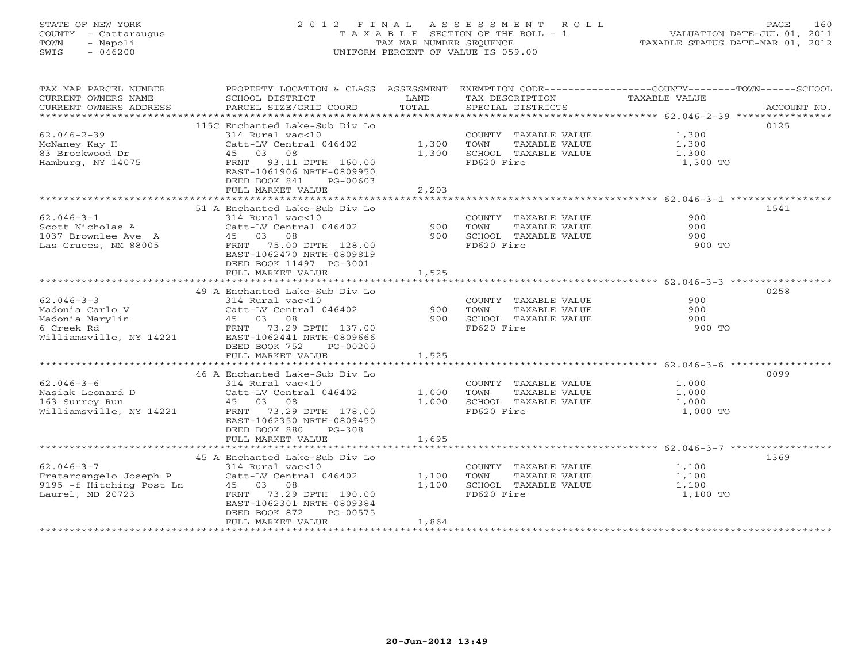# STATE OF NEW YORK 2 0 1 2 F I N A L A S S E S S M E N T R O L L PAGE 160 COUNTY - Cattaraugus T A X A B L E SECTION OF THE ROLL - 1 VALUATION DATE-JUL 01, 2011 TOWN - Napoli TAX MAP NUMBER SEQUENCE TAXABLE STATUS DATE-MAR 01, 2012 SWIS - 046200 UNIFORM PERCENT OF VALUE IS 059.00UNIFORM PERCENT OF VALUE IS 059.00

| TAX MAP PARCEL NUMBER<br>CURRENT OWNERS NAME<br>CURRENT OWNERS ADDRESS              | SCHOOL DISTRICT<br>PARCEL SIZE/GRID COORD                                                                                                                                                                                                                | LAND<br>TOTAL           | TAX DESCRIPTION<br>SPECIAL DISTRICTS                                                       | PROPERTY LOCATION & CLASS ASSESSMENT EXEMPTION CODE---------------COUNTY-------TOWN------SCHOOL<br>TAXABLE VALUE<br>ACCOUNT NO. |  |
|-------------------------------------------------------------------------------------|----------------------------------------------------------------------------------------------------------------------------------------------------------------------------------------------------------------------------------------------------------|-------------------------|--------------------------------------------------------------------------------------------|---------------------------------------------------------------------------------------------------------------------------------|--|
| $62.046 - 2 - 39$<br>McNaney Kay H<br>83 Brookwood Dr<br>Hamburg, NY 14075          | 115C Enchanted Lake-Sub Div Lo<br>314 Rural vac<10<br>Catt-LV Central 046402<br>45 03 08<br>FRNT 93.11 DPTH 160.00<br>EAST-1061906 NRTH-0809950<br>DEED BOOK 841<br>$PG-00603$<br>FULL MARKET VALUE                                                      | 1,300<br>1,300<br>2,203 | COUNTY TAXABLE VALUE<br>TOWN<br>TAXABLE VALUE<br>SCHOOL TAXABLE VALUE<br>FD620 Fire        | 0125<br>1,300<br>1,300<br>1,300<br>1,300 TO                                                                                     |  |
| $62.046 - 3 - 1$<br>Scott Nicholas A<br>1037 Brownlee Ave A<br>Las Cruces, NM 88005 | 51 A Enchanted Lake-Sub Div Lo<br>314 Rural vac<10<br>Catt-LV Central 046402<br>45 03 08<br>FRNT 75.00 DPTH 128.00<br>EAST-1062470 NRTH-0809819<br>DEED BOOK 11497 PG-3001<br>FULL MARKET VALUE                                                          | 900<br>900<br>1,525     | COUNTY TAXABLE VALUE<br>TOWN<br>TAXABLE VALUE<br>SCHOOL TAXABLE VALUE<br>FD620 Fire        | 1541<br>900<br>900<br>900<br>900 TO                                                                                             |  |
| $62.046 - 3 - 3$<br>Madonia Carlo V<br>Madonia Marylin<br>6 Creek Rd                | 49 A Enchanted Lake-Sub Div Lo<br>314 Rural vac<10<br>Catt-LV Central 046402<br>Call-LV Cent.<br>45 03 08<br>FRNT 73 29<br>FRNT 73.29 DPTH 137.00<br>Williamsville, NY 14221 EAST-1062441 NRTH-0809666<br>DEED BOOK 752<br>PG-00200<br>FULL MARKET VALUE | 900<br>900<br>1,525     | COUNTY TAXABLE VALUE<br>TOWN<br>TAXABLE VALUE<br>SCHOOL TAXABLE VALUE<br>FD620 Fire        | 0258<br>900<br>900<br>900<br>900 TO                                                                                             |  |
| $62.046 - 3 - 6$<br>Nasiak Leonard D<br>163 Surrey Run<br>Williamsville, NY 14221   | 46 A Enchanted Lake-Sub Div Lo<br>314 Rural vac<10<br>Catt-LV Central 046402<br>45 03 08<br>FRNT 73.29 DPTH 178.00<br>EAST-1062350 NRTH-0809450<br>DEED BOOK 880<br>$PG-308$<br>FULL MARKET VALUE                                                        | 1,000<br>1,000<br>1,695 | COUNTY TAXABLE VALUE<br>TOWN<br>TAXABLE VALUE<br>SCHOOL TAXABLE VALUE<br>FD620 Fire        | 0099<br>1,000<br>1,000<br>1,000<br>1,000 TO                                                                                     |  |
| $62.046 - 3 - 7$<br>9195 -f Hitching Post Ln<br>Laurel, MD 20723                    | 45 A Enchanted Lake-Sub Div Lo<br>314 Rural vac<10<br>Fratarcangelo Joseph P Catt-LV Central 046402<br>45 03 08<br>73.29 DPTH 190.00<br>FRNT<br>EAST-1062301 NRTH-0809384<br>DEED BOOK 872<br>PG-00575<br>FULL MARKET VALUE                              | 1,100<br>1,100<br>1,864 | COUNTY TAXABLE VALUE<br><b>TOWN</b><br>TAXABLE VALUE<br>SCHOOL TAXABLE VALUE<br>FD620 Fire | 1369<br>1,100<br>1,100<br>1,100<br>1,100 TO                                                                                     |  |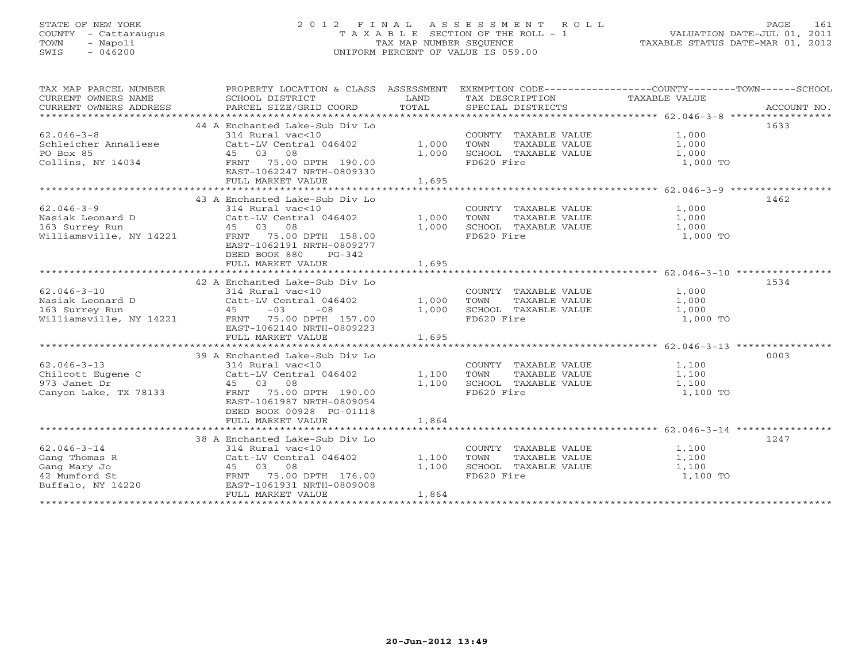# STATE OF NEW YORK 2 0 1 2 F I N A L A S S E S S M E N T R O L L PAGE 161 COUNTY - Cattaraugus T A X A B L E SECTION OF THE ROLL - 1 VALUATION DATE-JUL 01, 2011 TOWN - Napoli TAX MAP NUMBER SEQUENCE TAXABLE STATUS DATE-MAR 01, 2012 SWIS - 046200 UNIFORM PERCENT OF VALUE IS 059.00UNIFORM PERCENT OF VALUE IS 059.00

| TAX MAP PARCEL NUMBER<br>CURRENT OWNERS NAME<br>CURRENT OWNERS ADDRESS | PROPERTY LOCATION & CLASS ASSESSMENT<br>SCHOOL DISTRICT<br>PARCEL SIZE/GRID COORD | LAND<br>TOTAL | TAX DESCRIPTION TAXABLE VALUE<br>SPECIAL DISTRICTS | EXEMPTION CODE-----------------COUNTY-------TOWN------SCHOOL<br>ACCOUNT NO. |
|------------------------------------------------------------------------|-----------------------------------------------------------------------------------|---------------|----------------------------------------------------|-----------------------------------------------------------------------------|
|                                                                        | 44 A Enchanted Lake-Sub Div Lo                                                    |               |                                                    | 1633                                                                        |
| $62.046 - 3 - 8$                                                       | 314 Rural vac<10                                                                  |               | COUNTY TAXABLE VALUE                               | 1,000                                                                       |
| Schleicher Annaliese                                                   | Catt-LV Central 046402                                                            |               | TAXABLE VALUE<br>TOWN                              | 1,000                                                                       |
| PO Box 85                                                              | 45 03 08                                                                          | 1,000         |                                                    | 1,000                                                                       |
|                                                                        |                                                                                   | 1,000         | SCHOOL TAXABLE VALUE<br>FD620 Fire                 |                                                                             |
|                                                                        | Collins, NY 14034 FRNT 75.00 DPTH 190.00<br>EAST-1062247 NRTH-0809330             |               |                                                    | 1,000 TO                                                                    |
|                                                                        |                                                                                   |               |                                                    |                                                                             |
|                                                                        | FULL MARKET VALUE                                                                 | 1,695         |                                                    |                                                                             |
|                                                                        |                                                                                   |               |                                                    | 1462                                                                        |
| $62.046 - 3 - 9$                                                       | 43 A Enchanted Lake-Sub Div Lo                                                    |               |                                                    |                                                                             |
|                                                                        | 314 Rural vac<10                                                                  |               | COUNTY TAXABLE VALUE 1,000                         |                                                                             |
| Nasiak Leonard D                                                       | Catt-LV Central 046402                                                            | 1,000         | TOWN<br>TAXABLE VALUE                              | 1,000                                                                       |
| 163 Surrey Run                                                         | 45 03 08<br>Williamsville, NY 14221 FRNT 75.00 DPTH 158.00                        | 1,000         |                                                    | 1,000                                                                       |
|                                                                        |                                                                                   |               | FD620 Fire                                         | 1,000 TO                                                                    |
|                                                                        | EAST-1062191 NRTH-0809277                                                         |               |                                                    |                                                                             |
|                                                                        | DEED BOOK 880<br>$PG-342$                                                         |               |                                                    |                                                                             |
|                                                                        | FULL MARKET VALUE                                                                 | 1,695         |                                                    |                                                                             |
|                                                                        |                                                                                   |               |                                                    |                                                                             |
|                                                                        | 42 A Enchanted Lake-Sub Div Lo                                                    |               |                                                    | 1534                                                                        |
| $62.046 - 3 - 10$                                                      | 314 Rural vac<10                                                                  |               | COUNTY TAXABLE VALUE                               | 1,000                                                                       |
| Nasiak Leonard D                                                       | Catt-LV Central 046402                                                            | 1,000         | TAXABLE VALUE<br>TOWN                              | 1,000                                                                       |
| 163 Surrey Run                                                         | $-03$<br>$-0.8$<br>45                                                             | 1,000         | SCHOOL TAXABLE VALUE                               | 1,000                                                                       |
|                                                                        | Williamsville, NY 14221 FRNT 75.00 DPTH 157.00                                    |               | FD620 Fire                                         | 1,000 TO                                                                    |
|                                                                        | EAST-1062140 NRTH-0809223                                                         |               |                                                    |                                                                             |
|                                                                        | FULL MARKET VALUE                                                                 | 1,695         |                                                    |                                                                             |
|                                                                        |                                                                                   |               |                                                    |                                                                             |
|                                                                        | 39 A Enchanted Lake-Sub Div Lo                                                    |               |                                                    | 0003                                                                        |
| $62.046 - 3 - 13$                                                      | 314 Rural vac<10                                                                  |               | COUNTY TAXABLE VALUE                               | 1,100                                                                       |
| Chilcott Eugene C                                                      | Catt-LV Central 046402                                                            | 1,100         | TOWN<br>TAXABLE VALUE                              | 1,100                                                                       |
| 973 Janet Dr                                                           | 45 03 08                                                                          | 1,100         | SCHOOL TAXABLE VALUE                               | 1,100                                                                       |
| Canyon Lake, TX 78133                                                  | FRNT 75.00 DPTH 190.00                                                            |               | FD620 Fire                                         | 1,100 TO                                                                    |
|                                                                        | EAST-1061987 NRTH-0809054                                                         |               |                                                    |                                                                             |
|                                                                        | DEED BOOK 00928 PG-01118                                                          |               |                                                    |                                                                             |
|                                                                        | FULL MARKET VALUE                                                                 | 1,864         |                                                    |                                                                             |
|                                                                        |                                                                                   |               |                                                    |                                                                             |
|                                                                        | 38 A Enchanted Lake-Sub Div Lo                                                    |               |                                                    | 1247                                                                        |
| $62.046 - 3 - 14$                                                      | 314 Rural vac<10                                                                  |               | COUNTY TAXABLE VALUE                               | 1,100                                                                       |
|                                                                        | Catt-LV Central 046402                                                            | 1,100         | TAXABLE VALUE<br>TOWN                              | 1,100                                                                       |
|                                                                        | 45 03 08                                                                          | 1,100         | SCHOOL TAXABLE VALUE                               | 1,100                                                                       |
|                                                                        |                                                                                   |               | FD620 Fire                                         | 1,100 TO                                                                    |
| Gang Thomas R<br>Gang Mary Jo<br>42 Mumford St<br>Buffalo, NY 14220    | EAST-1061931 NRTH-0809008                                                         |               |                                                    |                                                                             |
|                                                                        | FULL MARKET VALUE                                                                 | 1,864         |                                                    |                                                                             |
|                                                                        |                                                                                   |               |                                                    |                                                                             |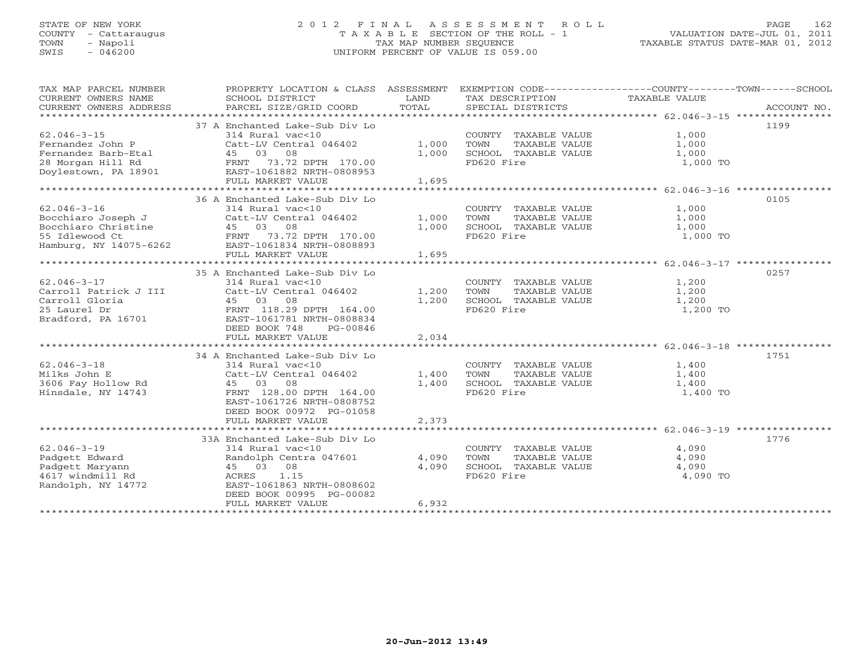# STATE OF NEW YORK 2 0 1 2 F I N A L A S S E S S M E N T R O L L PAGE 162 COUNTY - Cattaraugus T A X A B L E SECTION OF THE ROLL - 1 VALUATION DATE-JUL 01, 2011 TOWN - Napoli TAX MAP NUMBER SEQUENCE TAXABLE STATUS DATE-MAR 01, 2012 SWIS - 046200 UNIFORM PERCENT OF VALUE IS 059.00UNIFORM PERCENT OF VALUE IS 059.00

| TAX MAP PARCEL NUMBER<br>CURRENT OWNERS NAME<br>CURRENT OWNERS ADDRESS                                     | PROPERTY LOCATION & CLASS ASSESSMENT<br>SCHOOL DISTRICT<br>PARCEL SIZE/GRID COORD                                                                                                                  | LAND<br>TOTAL           | EXEMPTION CODE-----------------COUNTY-------TOWN------SCHOOL<br>TAX DESCRIPTION<br>SPECIAL DISTRICTS | TAXABLE VALUE                       | ACCOUNT NO. |
|------------------------------------------------------------------------------------------------------------|----------------------------------------------------------------------------------------------------------------------------------------------------------------------------------------------------|-------------------------|------------------------------------------------------------------------------------------------------|-------------------------------------|-------------|
| $62.046 - 3 - 15$<br>Fernandez John P<br>Fernandez Barb-Etal<br>28 Morgan Hill Rd<br>Doylestown, PA 18901  | 37 A Enchanted Lake-Sub Div Lo<br>314 Rural vac<10<br>Catt-LV Central 046402<br>45 03 08<br>FRNT 73.72 DPTH 170.00<br>EAST-1061882 NRTH-0808953<br>FULL MARKET VALUE                               | 1,000<br>1,000<br>1,695 | COUNTY TAXABLE VALUE<br>TAXABLE VALUE<br>TOWN<br>SCHOOL TAXABLE VALUE<br>FD620 Fire                  | 1,000<br>1,000<br>1,000<br>1,000 TO | 1199        |
|                                                                                                            | 36 A Enchanted Lake-Sub Div Lo                                                                                                                                                                     |                         |                                                                                                      |                                     | 0105        |
| $62.046 - 3 - 16$<br>Bocchiaro Joseph J<br>Bocchiaro Christine<br>55 Idlewood Ct<br>Hamburg, NY 14075-6262 | 314 Rural vac<10<br>Catt-LV Central 046402<br>45 03 08<br>FRNT 73.72 DPTH 170.00<br>EAST-1061834 NRTH-0808893<br>FULL MARKET VALUE                                                                 | 1,000<br>1,000<br>1,695 | COUNTY TAXABLE VALUE<br>TOWN<br>TAXABLE VALUE<br>SCHOOL TAXABLE VALUE<br>FD620 Fire                  | 1,000<br>1,000<br>1,000<br>1,000 TO |             |
| $62.046 - 3 - 17$<br>Carroll Patrick J III<br>Carroll Gloria<br>25 Laurel Dr<br>Bradford, PA 16701         | 35 A Enchanted Lake-Sub Div Lo<br>314 Rural vac<10<br>Catt-LV Central 046402<br>45 03 08<br>FRNT 118.29 DPTH 164.00<br>EAST-1061781 NRTH-0808834<br>DEED BOOK 748<br>PG-00846<br>FULL MARKET VALUE | 1,200<br>1,200<br>2,034 | COUNTY TAXABLE VALUE<br>TAXABLE VALUE<br>TOWN<br>SCHOOL TAXABLE VALUE<br>FD620 Fire                  | 1,200<br>1,200<br>1,200<br>1,200 TO | 0257        |
| $62.046 - 3 - 18$<br>Milks John E<br>3606 Fay Hollow Rd<br>Hinsdale, NY 14743                              | 34 A Enchanted Lake-Sub Div Lo<br>314 Rural vac<10<br>Catt-LV Central 046402<br>45 03 08<br>FRNT 128.00 DPTH 164.00<br>EAST-1061726 NRTH-0808752<br>DEED BOOK 00972 PG-01058<br>FULL MARKET VALUE  | 1,400<br>1,400<br>2,373 | COUNTY TAXABLE VALUE<br>TAXABLE VALUE<br>TOWN<br>SCHOOL TAXABLE VALUE<br>FD620 Fire                  | 1,400<br>1,400<br>1,400<br>1,400 TO | 1751        |
| $62.046 - 3 - 19$<br>Padgett Edward<br>Padgett Maryann<br>4617 windmill Rd<br>Randolph, NY 14772           | 33A Enchanted Lake-Sub Div Lo<br>314 Rural vac<10<br>Randolph Centra 047601<br>45 03 08<br>1.15<br>ACRES<br>EAST-1061863 NRTH-0808602<br>DEED BOOK 00995 PG-00082<br>FULL MARKET VALUE             | 4,090<br>4,090<br>6,932 | COUNTY TAXABLE VALUE<br>TOWN<br>TAXABLE VALUE<br>SCHOOL TAXABLE VALUE<br>FD620 Fire                  | 4,090<br>4,090<br>4,090<br>4,090 TO | 1776        |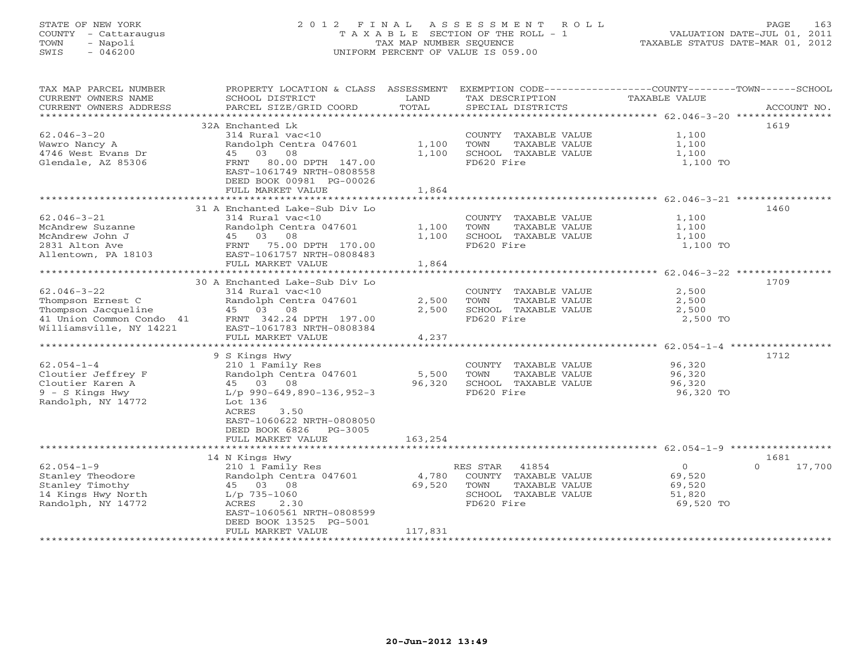# STATE OF NEW YORK 2 0 1 2 F I N A L A S S E S S M E N T R O L L PAGE 163 COUNTY - Cattaraugus T A X A B L E SECTION OF THE ROLL - 1 VALUATION DATE-JUL 01, 2011 TOWN - Napoli TAX MAP NUMBER SEQUENCE TAXABLE STATUS DATE-MAR 01, 2012 SWIS - 046200 UNIFORM PERCENT OF VALUE IS 059.00UNIFORM PERCENT OF VALUE IS 059.00

| TAX MAP PARCEL NUMBER                            | PROPERTY LOCATION & CLASS ASSESSMENT                   |                 |                                           | EXEMPTION CODE-----------------COUNTY-------TOWN------SCHOOL |                  |
|--------------------------------------------------|--------------------------------------------------------|-----------------|-------------------------------------------|--------------------------------------------------------------|------------------|
| CURRENT OWNERS NAME<br>CURRENT OWNERS ADDRESS    | SCHOOL DISTRICT<br>PARCEL SIZE/GRID COORD              | LAND<br>TOTAL   | TAX DESCRIPTION<br>SPECIAL DISTRICTS      | TAXABLE VALUE                                                | ACCOUNT NO.      |
| ***********************                          |                                                        |                 |                                           |                                                              |                  |
|                                                  | 32A Enchanted Lk                                       |                 |                                           |                                                              | 1619             |
| $62.046 - 3 - 20$                                | 314 Rural vac<10                                       |                 | COUNTY TAXABLE VALUE                      | 1,100                                                        |                  |
| Wawro Nancy A                                    | Randolph Centra 047601                                 | 1,100           | TOWN<br>TAXABLE VALUE                     | 1,100                                                        |                  |
| 4746 West Evans Dr                               | 45 03 08                                               | 1,100           | SCHOOL TAXABLE VALUE                      | 1,100                                                        |                  |
| Glendale, AZ 85306                               | 80.00 DPTH 147.00<br>FRNT<br>EAST-1061749 NRTH-0808558 |                 | FD620 Fire                                | 1,100 TO                                                     |                  |
|                                                  | DEED BOOK 00981 PG-00026                               |                 |                                           |                                                              |                  |
|                                                  | FULL MARKET VALUE                                      | 1,864           |                                           |                                                              |                  |
|                                                  |                                                        |                 |                                           |                                                              |                  |
|                                                  | 31 A Enchanted Lake-Sub Div Lo                         |                 |                                           |                                                              | 1460             |
| $62.046 - 3 - 21$                                | 314 Rural vac<10                                       |                 | COUNTY TAXABLE VALUE                      | 1,100                                                        |                  |
| McAndrew Suzanne                                 | Randolph Centra 047601                                 | 1,100           | TOWN<br>TAXABLE VALUE                     | 1,100                                                        |                  |
| McAndrew John J                                  | 45 03 08                                               | 1,100           | SCHOOL TAXABLE VALUE                      | 1,100                                                        |                  |
| 2831 Alton Ave                                   | 75.00 DPTH 170.00<br>FRNT                              |                 | FD620 Fire                                | 1,100 TO                                                     |                  |
| Allentown, PA 18103                              | EAST-1061757 NRTH-0808483                              |                 |                                           |                                                              |                  |
|                                                  | FULL MARKET VALUE                                      | 1,864           |                                           |                                                              |                  |
|                                                  |                                                        |                 |                                           | ******************** 62.046-3-22 ***********                 |                  |
|                                                  | 30 A Enchanted Lake-Sub Div Lo                         |                 |                                           |                                                              | 1709             |
| $62.046 - 3 - 22$                                | 314 Rural vac<10                                       |                 | COUNTY TAXABLE VALUE                      | 2,500                                                        |                  |
| Thompson Ernest C                                | Randolph Centra 047601                                 | 2,500           | TOWN<br>TAXABLE VALUE                     | 2,500                                                        |                  |
| Thompson Jacqueline                              | 45 03 08                                               | 2,500           | SCHOOL TAXABLE VALUE                      | 2,500                                                        |                  |
| 41 Union Common Condo 41 FRNT 342.24 DPTH 197.00 |                                                        |                 | FD620 Fire                                | 2,500 TO                                                     |                  |
| Williamsville, NY 14221                          | EAST-1061783 NRTH-0808384<br>FULL MARKET VALUE         | 4,237           |                                           |                                                              |                  |
|                                                  | ***********************                                | ************    |                                           | ***************** 62.054-1-4 **                              |                  |
|                                                  | 9 S Kings Hwy                                          |                 |                                           |                                                              | 1712             |
| $62.054 - 1 - 4$                                 | 210 1 Family Res                                       |                 | COUNTY TAXABLE VALUE                      | 96,320                                                       |                  |
| Cloutier Jeffrey F                               | Randolph Centra 047601                                 | 5,500           | TOWN<br>TAXABLE VALUE                     | 96,320                                                       |                  |
| Cloutier Karen A                                 | 45 03 08                                               | 96,320          | SCHOOL TAXABLE VALUE                      | 96,320                                                       |                  |
| 9 - S Kings Hwy                                  | $L/p$ 990-649,890-136,952-3                            |                 | FD620 Fire                                | 96,320 TO                                                    |                  |
| Randolph, NY 14772                               | Lot 136                                                |                 |                                           |                                                              |                  |
|                                                  | ACRES<br>3.50                                          |                 |                                           |                                                              |                  |
|                                                  | EAST-1060622 NRTH-0808050                              |                 |                                           |                                                              |                  |
|                                                  | DEED BOOK 6826<br>PG-3005                              |                 |                                           |                                                              |                  |
|                                                  | FULL MARKET VALUE                                      | 163,254         |                                           |                                                              |                  |
|                                                  |                                                        |                 |                                           |                                                              |                  |
| $62.054 - 1 - 9$                                 | 14 N Kings Hwy                                         |                 |                                           | $\Omega$                                                     | 1681<br>$\Omega$ |
|                                                  | 210 1 Family Res                                       |                 | 41854<br>RES STAR<br>COUNTY TAXABLE VALUE | 69,520                                                       | 17,700           |
| Stanley Theodore<br>Stanley Timothy              | Randolph Centra 047601<br>45 03 08                     | 4,780<br>69,520 | TOWN<br>TAXABLE VALUE                     | 69,520                                                       |                  |
| 14 Kings Hwy North                               | $L/p$ 735-1060                                         |                 | SCHOOL TAXABLE VALUE                      | 51,820                                                       |                  |
| Randolph, NY 14772                               | ACRES<br>2.30                                          |                 | FD620 Fire                                | 69,520 TO                                                    |                  |
|                                                  | EAST-1060561 NRTH-0808599                              |                 |                                           |                                                              |                  |
|                                                  | DEED BOOK 13525 PG-5001                                |                 |                                           |                                                              |                  |
|                                                  | FULL MARKET VALUE                                      | 117,831         |                                           |                                                              |                  |
|                                                  |                                                        |                 |                                           |                                                              |                  |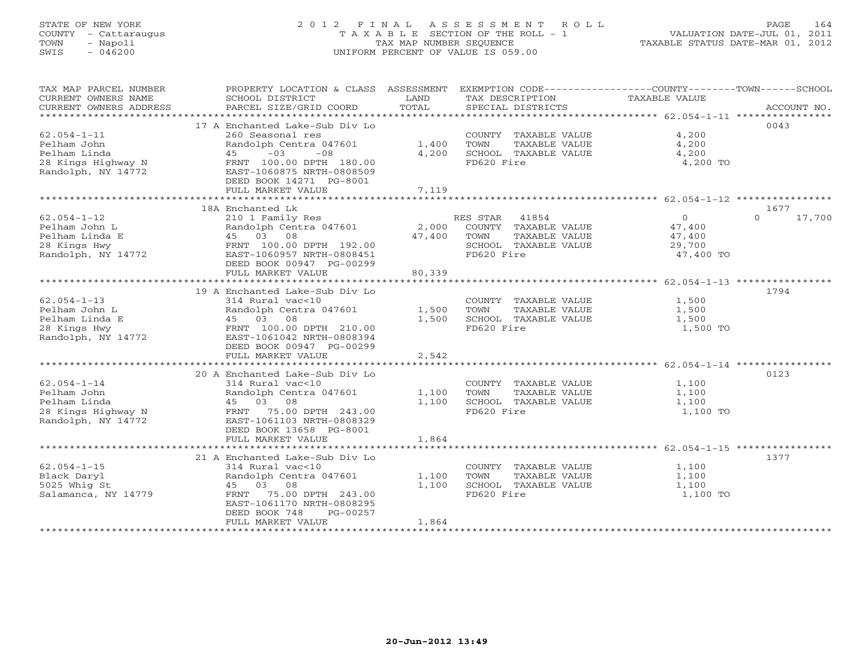# STATE OF NEW YORK 2 0 1 2 F I N A L A S S E S S M E N T R O L L PAGE 164 COUNTY - Cattaraugus T A X A B L E SECTION OF THE ROLL - 1 VALUATION DATE-JUL 01, 2011 TOWN - Napoli TAX MAP NUMBER SEQUENCE TAXABLE STATUS DATE-MAR 01, 2012 SWIS - 046200 UNIFORM PERCENT OF VALUE IS 059.00UNIFORM PERCENT OF VALUE IS 059.00

| TAX MAP PARCEL NUMBER<br>CURRENT OWNERS NAME<br>CURRENT OWNERS ADDRESS | PROPERTY LOCATION & CLASS ASSESSMENT<br>SCHOOL DISTRICT<br>PARCEL SIZE/GRID COORD | LAND<br>TOTAL           | EXEMPTION CODE-----------------COUNTY-------TOWN-----SCHOOL<br>TAX DESCRIPTION<br>SPECIAL DISTRICTS | TAXABLE VALUE                                     | ACCOUNT NO. |
|------------------------------------------------------------------------|-----------------------------------------------------------------------------------|-------------------------|-----------------------------------------------------------------------------------------------------|---------------------------------------------------|-------------|
|                                                                        |                                                                                   |                         |                                                                                                     |                                                   |             |
|                                                                        | 17 A Enchanted Lake-Sub Div Lo                                                    |                         |                                                                                                     |                                                   | 0043        |
| $62.054 - 1 - 11$                                                      | 260 Seasonal res                                                                  |                         | COUNTY TAXABLE VALUE                                                                                | 4,200                                             |             |
| Pelham John                                                            | Randolph Centra 047601                                                            | 1,400                   | TOWN<br>TAXABLE VALUE                                                                               | 4,200                                             |             |
| Pelham Linda                                                           | $-03$<br>$-08$<br>45                                                              | 4,200                   | SCHOOL TAXABLE VALUE                                                                                | 4,200                                             |             |
| 28 Kings Highway N                                                     | FRNT 100.00 DPTH 180.00                                                           |                         | FD620 Fire                                                                                          | 4,200 TO                                          |             |
| Randolph, NY 14772                                                     | EAST-1060875 NRTH-0808509                                                         |                         |                                                                                                     |                                                   |             |
|                                                                        | DEED BOOK 14271 PG-8001                                                           |                         |                                                                                                     |                                                   |             |
|                                                                        | FULL MARKET VALUE                                                                 | 7,119                   |                                                                                                     |                                                   |             |
|                                                                        |                                                                                   |                         |                                                                                                     |                                                   | 1677        |
|                                                                        | 18A Enchanted Lk                                                                  |                         |                                                                                                     |                                                   | $\Omega$    |
| $62.054 - 1 - 12$<br>Pelham John L                                     | 210 1 Family Res                                                                  |                         | RES STAR 41854                                                                                      | $\overline{0}$                                    | 17,700      |
| Pelham Linda E                                                         | Randolph Centra 047601<br>45 03 08                                                | 2,000<br>47,400         | COUNTY TAXABLE VALUE<br>TAXABLE VALUE<br>TOWN                                                       | 47,400                                            |             |
|                                                                        | FRNT 100.00 DPTH 192.00                                                           |                         | SCHOOL TAXABLE VALUE                                                                                | 47,400<br>29,700                                  |             |
| 28 Kings Hwy<br>Randolph, NY 14772                                     | EAST-1060957 NRTH-0808451                                                         |                         | FD620 Fire                                                                                          | 47,400 TO                                         |             |
|                                                                        | DEED BOOK 00947 PG-00299                                                          |                         |                                                                                                     |                                                   |             |
|                                                                        | FULL MARKET VALUE                                                                 | 80,339                  |                                                                                                     |                                                   |             |
|                                                                        | ***************************                                                       | * * * * * * * * * * * * |                                                                                                     | ************************* 62.054-1-13 *********** |             |
|                                                                        | 19 A Enchanted Lake-Sub Div Lo                                                    |                         |                                                                                                     |                                                   | 1794        |
| $62.054 - 1 - 13$                                                      | 314 Rural vac<10                                                                  |                         | COUNTY TAXABLE VALUE                                                                                | 1,500                                             |             |
| Pelham John L                                                          | Randolph Centra 047601                                                            | 1,500                   | TOWN<br>TAXABLE VALUE                                                                               | 1,500                                             |             |
| Pelham Linda E                                                         | 45 03 08                                                                          | 1,500                   | SCHOOL TAXABLE VALUE                                                                                | 1,500                                             |             |
| 28 Kings Hwy                                                           | FRNT 100.00 DPTH 210.00                                                           |                         | FD620 Fire                                                                                          | 1,500 TO                                          |             |
| Randolph, NY 14772                                                     | EAST-1061042 NRTH-0808394                                                         |                         |                                                                                                     |                                                   |             |
|                                                                        | DEED BOOK 00947 PG-00299                                                          |                         |                                                                                                     |                                                   |             |
|                                                                        | FULL MARKET VALUE                                                                 | 2,542                   |                                                                                                     |                                                   |             |
|                                                                        |                                                                                   |                         |                                                                                                     |                                                   |             |
|                                                                        | 20 A Enchanted Lake-Sub Div Lo                                                    |                         |                                                                                                     |                                                   | 0123        |
| $62.054 - 1 - 14$                                                      | 314 Rural vac<10                                                                  |                         | COUNTY TAXABLE VALUE                                                                                | 1,100                                             |             |
| Pelham John                                                            | Randolph Centra 047601                                                            | 1,100                   | TOWN<br>TAXABLE VALUE                                                                               | 1,100                                             |             |
| Pelham Linda                                                           | 45 03 08                                                                          | 1,100                   | SCHOOL TAXABLE VALUE                                                                                | 1,100                                             |             |
| 28 Kings Highway N                                                     | 75.00 DPTH 243.00<br>FRNT                                                         |                         | FD620 Fire                                                                                          | 1,100 TO                                          |             |
| Randolph, NY 14772                                                     | EAST-1061103 NRTH-0808329                                                         |                         |                                                                                                     |                                                   |             |
|                                                                        | DEED BOOK 13658 PG-8001                                                           |                         |                                                                                                     |                                                   |             |
|                                                                        | FULL MARKET VALUE                                                                 | 1,864                   |                                                                                                     |                                                   |             |
|                                                                        |                                                                                   |                         |                                                                                                     |                                                   |             |
|                                                                        | 21 A Enchanted Lake-Sub Div Lo                                                    |                         |                                                                                                     |                                                   | 1377        |
| $62.054 - 1 - 15$                                                      | 314 Rural vac<10                                                                  |                         | COUNTY TAXABLE VALUE                                                                                | 1,100                                             |             |
| Black Daryl                                                            | Randolph Centra 047601                                                            | 1,100                   | TAXABLE VALUE<br>TOWN                                                                               | 1,100                                             |             |
| 5025 Whig St                                                           | 45 03 08                                                                          | 1,100                   | SCHOOL TAXABLE VALUE                                                                                | 1,100                                             |             |
| Salamanca, NY 14779                                                    | 75.00 DPTH 243.00<br>FRNT                                                         |                         | FD620 Fire                                                                                          | 1,100 TO                                          |             |
|                                                                        | EAST-1061170 NRTH-0808295                                                         |                         |                                                                                                     |                                                   |             |
|                                                                        | DEED BOOK 748<br>PG-00257                                                         |                         |                                                                                                     |                                                   |             |
|                                                                        | FULL MARKET VALUE                                                                 | 1,864                   |                                                                                                     |                                                   |             |
|                                                                        |                                                                                   |                         |                                                                                                     |                                                   |             |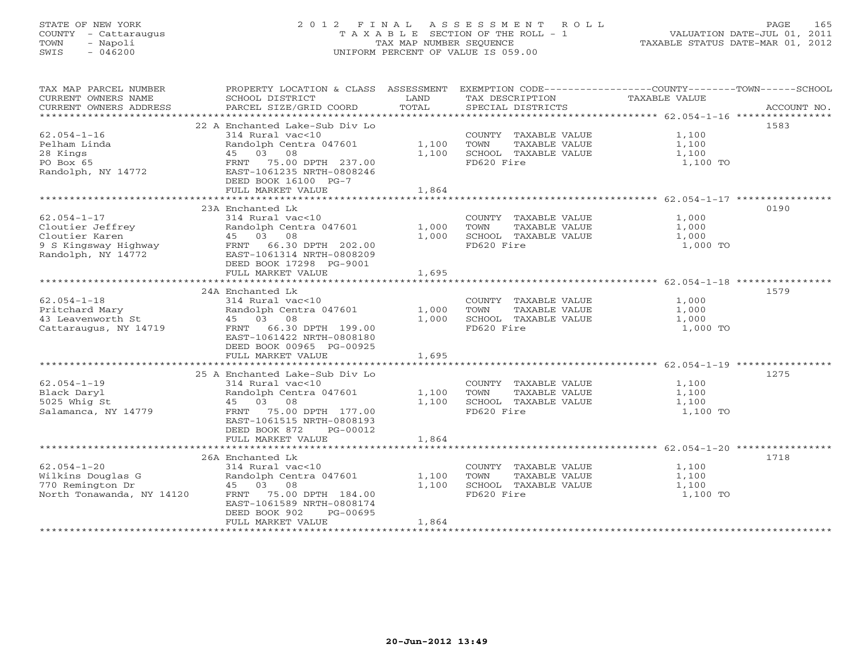# STATE OF NEW YORK 2 0 1 2 F I N A L A S S E S S M E N T R O L L PAGE 165 COUNTY - Cattaraugus T A X A B L E SECTION OF THE ROLL - 1 VALUATION DATE-JUL 01, 2011 TOWN - Napoli TAX MAP NUMBER SEQUENCE TAXABLE STATUS DATE-MAR 01, 2012 SWIS - 046200 UNIFORM PERCENT OF VALUE IS 059.00UNIFORM PERCENT OF VALUE IS 059.00

| TAX MAP PARCEL NUMBER<br>CURRENT OWNERS NAME<br>CURRENT OWNERS ADDRESS                                | PROPERTY LOCATION & CLASS ASSESSMENT<br>SCHOOL DISTRICT<br>PARCEL SIZE/GRID COORD                                                                                                                                    | LAND<br>TOTAL           | TAX DESCRIPTION<br>SPECIAL DISTRICTS                                                | EXEMPTION CODE-----------------COUNTY-------TOWN------SCHOOL<br>TAXABLE VALUE<br>ACCOUNT NO. |
|-------------------------------------------------------------------------------------------------------|----------------------------------------------------------------------------------------------------------------------------------------------------------------------------------------------------------------------|-------------------------|-------------------------------------------------------------------------------------|----------------------------------------------------------------------------------------------|
|                                                                                                       |                                                                                                                                                                                                                      |                         |                                                                                     |                                                                                              |
| $62.054 - 1 - 16$<br>Pelham Linda<br>28 Kings<br>PO Box 65<br>Randolph, NY 14772                      | 22 A Enchanted Lake-Sub Div Lo<br>314 Rural vac<10<br>Randolph Centra 047601<br>45 03 08<br>75.00 DPTH 237.00<br>FRNT<br>EAST-1061235 NRTH-0808246<br>DEED BOOK 16100 PG-7<br>FULL MARKET VALUE                      | 1,100<br>1,100<br>1,864 | COUNTY TAXABLE VALUE<br>TOWN<br>TAXABLE VALUE<br>SCHOOL TAXABLE VALUE<br>FD620 Fire | 1583<br>1,100<br>1,100<br>1,100<br>1,100 TO                                                  |
|                                                                                                       |                                                                                                                                                                                                                      |                         |                                                                                     |                                                                                              |
| $62.054 - 1 - 17$<br>Cloutier Jeffrey<br>Cloutier Karen<br>9 S Kingsway Highway<br>Randolph, NY 14772 | 23A Enchanted Lk<br>314 Rural vac<10<br>Randolph Centra 047601<br>45 03 08<br>FRNT 66.30 DPTH 202.00<br>EAST-1061314 NRTH-0808209<br>DEED BOOK 17298 PG-9001                                                         | 1,000<br>1,000          | COUNTY TAXABLE VALUE<br>TOWN<br>TAXABLE VALUE<br>SCHOOL TAXABLE VALUE<br>FD620 Fire | 0190<br>1,000<br>1,000<br>1,000<br>1,000 TO                                                  |
|                                                                                                       | FULL MARKET VALUE                                                                                                                                                                                                    | 1,695                   |                                                                                     |                                                                                              |
| $62.054 - 1 - 18$<br>Pritchard Mary<br>43 Leavenworth St<br>Cattaraugus, NY 14719                     | 24A Enchanted Lk<br>314 Rural vac<10<br>Randolph Centra 047601<br>45 03 08<br>FRNT 66.30 DPTH 199.00<br>EAST-1061422 NRTH-0808180<br>DEED BOOK 00965 PG-00925<br>FULL MARKET VALUE<br>25 A Enchanted Lake-Sub Div Lo | 1,000<br>1,000<br>1,695 | COUNTY TAXABLE VALUE<br>TOWN<br>TAXABLE VALUE<br>SCHOOL TAXABLE VALUE<br>FD620 Fire | 1579<br>1,000<br>1,000<br>1,000<br>1,000 TO<br>1275                                          |
| $62.054 - 1 - 19$<br>Black Daryl<br>5025 Whig St<br>Salamanca, NY 14779                               | 314 Rural vac<10<br>Randolph Centra 047601<br>45 03 08<br>75.00 DPTH 177.00<br>FRNT<br>EAST-1061515 NRTH-0808193<br>DEED BOOK 872<br>PG-00012<br>FULL MARKET VALUE                                                   | 1,100<br>1,100<br>1,864 | COUNTY TAXABLE VALUE<br>TOWN<br>TAXABLE VALUE<br>SCHOOL TAXABLE VALUE<br>FD620 Fire | 1,100<br>1,100<br>1,100<br>1,100 TO                                                          |
|                                                                                                       | 26A Enchanted Lk                                                                                                                                                                                                     |                         |                                                                                     | 1718                                                                                         |
| $62.054 - 1 - 20$<br>Wilkins Douglas G<br>770 Remington Dr<br>North Tonawanda, NY 14120               | 314 Rural vac<10<br>Randolph Centra 047601<br>45 03<br>08<br>FRNT 75.00 DPTH 184.00<br>EAST-1061589 NRTH-0808174<br>DEED BOOK 902<br>PG-00695<br>FULL MARKET VALUE                                                   | 1,100<br>1,100<br>1,864 | COUNTY TAXABLE VALUE<br>TAXABLE VALUE<br>TOWN<br>SCHOOL TAXABLE VALUE<br>FD620 Fire | 1,100<br>1,100<br>1,100<br>1,100 TO                                                          |
|                                                                                                       |                                                                                                                                                                                                                      |                         |                                                                                     |                                                                                              |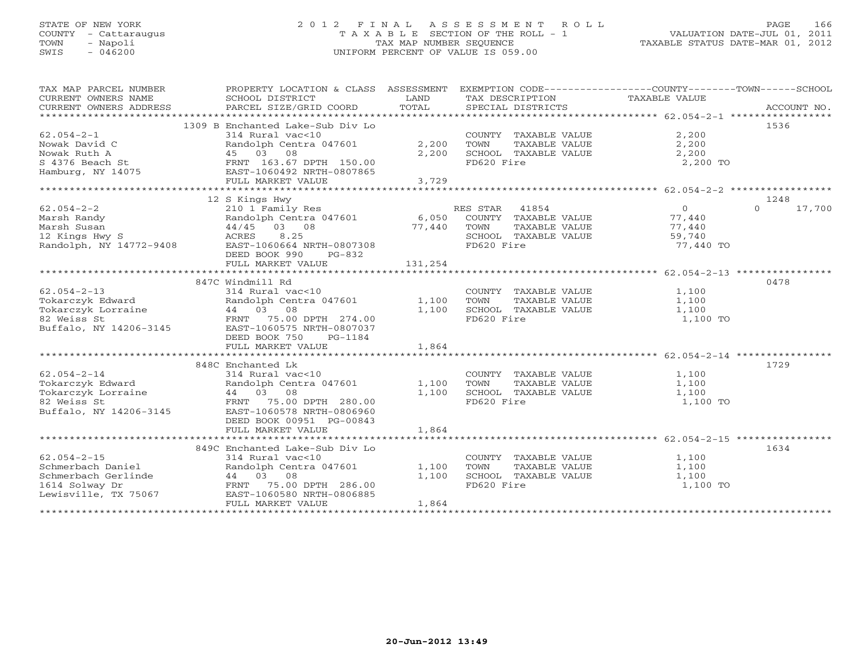# STATE OF NEW YORK 2 0 1 2 F I N A L A S S E S S M E N T R O L L PAGE 166 COUNTY - Cattaraugus T A X A B L E SECTION OF THE ROLL - 1 VALUATION DATE-JUL 01, 2011 TOWN - Napoli TAX MAP NUMBER SEQUENCE TAXABLE STATUS DATE-MAR 01, 2012 SWIS - 046200 UNIFORM PERCENT OF VALUE IS 059.00UNIFORM PERCENT OF VALUE IS 059.00

| TAX MAP PARCEL NUMBER<br>CURRENT OWNERS NAME<br>CURRENT OWNERS ADDRESS | PROPERTY LOCATION & CLASS ASSESSMENT EXEMPTION CODE---------------COUNTY-------TOWN------SCHOOL<br>SCHOOL DISTRICT<br>PARCEL SIZE/GRID COORD | LAND<br>TOTAL |                | SPECIAL DISTRICTS    | TAX DESCRIPTION TAXABLE VALUE |          | ACCOUNT NO. |
|------------------------------------------------------------------------|----------------------------------------------------------------------------------------------------------------------------------------------|---------------|----------------|----------------------|-------------------------------|----------|-------------|
|                                                                        |                                                                                                                                              |               |                |                      |                               |          |             |
|                                                                        | 1309 B Enchanted Lake-Sub Div Lo                                                                                                             |               |                |                      |                               | 1536     |             |
| $62.054 - 2 - 1$                                                       | 314 Rural vac<10                                                                                                                             |               |                | COUNTY TAXABLE VALUE | 2,200                         |          |             |
| Nowak David C                                                          | Randolph Centra 047601                                                                                                                       | 2,200         | TOWN           | TAXABLE VALUE        | 2,200                         |          |             |
| Nowak Ruth A                                                           | 45 03 08                                                                                                                                     | 2,200         |                | SCHOOL TAXABLE VALUE | 2,200                         |          |             |
| S 4376 Beach St                                                        | FRNT 163.67 DPTH 150.00                                                                                                                      |               | FD620 Fire     |                      | 2,200 TO                      |          |             |
|                                                                        | EAST-1060492 NRTH-0807865                                                                                                                    |               |                |                      |                               |          |             |
| Hamburg, NY 14075                                                      |                                                                                                                                              |               |                |                      |                               |          |             |
|                                                                        | FULL MARKET VALUE                                                                                                                            | 3,729         |                |                      |                               |          |             |
|                                                                        |                                                                                                                                              |               |                |                      |                               |          |             |
|                                                                        | 12 S Kings Hwy                                                                                                                               |               |                |                      |                               | 1248     |             |
| $62.054 - 2 - 2$                                                       | 210 1 Family Res                                                                                                                             |               | RES STAR 41854 |                      | $\circ$                       | $\Omega$ | 17,700      |
| Marsh Randy                                                            | Randolph Centra 047601                                                                                                                       | 6,050         |                | COUNTY TAXABLE VALUE | 77,440                        |          |             |
| Marsh Susan                                                            | 44/45 03 08                                                                                                                                  | 77,440        | TOWN           | TAXABLE VALUE        | 77,440                        |          |             |
| 12 Kings Hwy S                                                         | 8.25<br>ACRES                                                                                                                                |               |                | SCHOOL TAXABLE VALUE | 59,740                        |          |             |
| Randolph, NY 14772-9408                                                | EAST-1060664 NRTH-0807308                                                                                                                    |               | FD620 Fire     |                      | 77,440 TO                     |          |             |
|                                                                        | DEED BOOK 990<br>PG-832                                                                                                                      |               |                |                      |                               |          |             |
|                                                                        | FULL MARKET VALUE                                                                                                                            | 131,254       |                |                      |                               |          |             |
|                                                                        |                                                                                                                                              |               |                |                      |                               |          |             |
|                                                                        | 847C Windmill Rd                                                                                                                             |               |                |                      |                               | 0478     |             |
| $62.054 - 2 - 13$                                                      | 314 Rural vac<10                                                                                                                             |               |                | COUNTY TAXABLE VALUE | 1,100                         |          |             |
| Tokarczyk Edward                                                       | Randolph Centra 047601                                                                                                                       | 1,100         | TOWN           | TAXABLE VALUE        | 1,100                         |          |             |
|                                                                        | 44 03 08                                                                                                                                     | 1,100         |                | SCHOOL TAXABLE VALUE | 1,100                         |          |             |
| Tokarczyk Lorraine<br>82 Moiss St<br>82 Weiss St                       | FRNT 75.00 DPTH 274.00                                                                                                                       |               | FD620 Fire     |                      | 1,100 TO                      |          |             |
| Buffalo, NY 14206-3145                                                 | EAST-1060575 NRTH-0807037                                                                                                                    |               |                |                      |                               |          |             |
|                                                                        | DEED BOOK 750<br>PG-1184                                                                                                                     |               |                |                      |                               |          |             |
|                                                                        |                                                                                                                                              | 1,864         |                |                      |                               |          |             |
|                                                                        | FULL MARKET VALUE                                                                                                                            |               |                |                      |                               |          |             |
|                                                                        |                                                                                                                                              |               |                |                      |                               |          |             |
|                                                                        | 848C Enchanted Lk                                                                                                                            |               |                |                      |                               | 1729     |             |
| $62.054 - 2 - 14$                                                      | 314 Rural vac<10                                                                                                                             |               |                | COUNTY TAXABLE VALUE | 1,100                         |          |             |
| Tokarczyk Edward                                                       | Randolph Centra 047601                                                                                                                       | 1,100         | TOWN           | TAXABLE VALUE        | 1,100                         |          |             |
| Tokarczyk Lorraine                                                     | 44 03 08                                                                                                                                     | 1,100         |                | SCHOOL TAXABLE VALUE | 1,100                         |          |             |
| 82 Weiss St                                                            | FRNT 75.00 DPTH 280.00                                                                                                                       |               | FD620 Fire     |                      | 1,100 TO                      |          |             |
| Buffalo, NY 14206-3145                                                 | EAST-1060578 NRTH-0806960                                                                                                                    |               |                |                      |                               |          |             |
|                                                                        | DEED BOOK 00951 PG-00843                                                                                                                     |               |                |                      |                               |          |             |
|                                                                        | FULL MARKET VALUE                                                                                                                            | 1,864         |                |                      |                               |          |             |
|                                                                        |                                                                                                                                              |               |                |                      |                               |          |             |
|                                                                        | 849C Enchanted Lake-Sub Div Lo                                                                                                               |               |                |                      |                               | 1634     |             |
| $62.054 - 2 - 15$                                                      | 314 Rural vac<10                                                                                                                             |               |                | COUNTY TAXABLE VALUE | 1,100                         |          |             |
| Schmerbach Daniel                                                      | Randolph Centra 047601                                                                                                                       | 1,100         | TOWN           | TAXABLE VALUE        | 1,100                         |          |             |
| Schmerbach Gerlinde                                                    | 44 03 08                                                                                                                                     | 1,100         |                | SCHOOL TAXABLE VALUE | 1,100                         |          |             |
| 1614 Solway Dr                                                         | FRNT 75.00 DPTH 286.00                                                                                                                       |               | FD620 Fire     |                      | 1,100 TO                      |          |             |
| Lewisville, TX 75067                                                   | EAST-1060580 NRTH-0806885                                                                                                                    |               |                |                      |                               |          |             |
|                                                                        | FULL MARKET VALUE                                                                                                                            | 1,864         |                |                      |                               |          |             |
|                                                                        |                                                                                                                                              |               |                |                      |                               |          |             |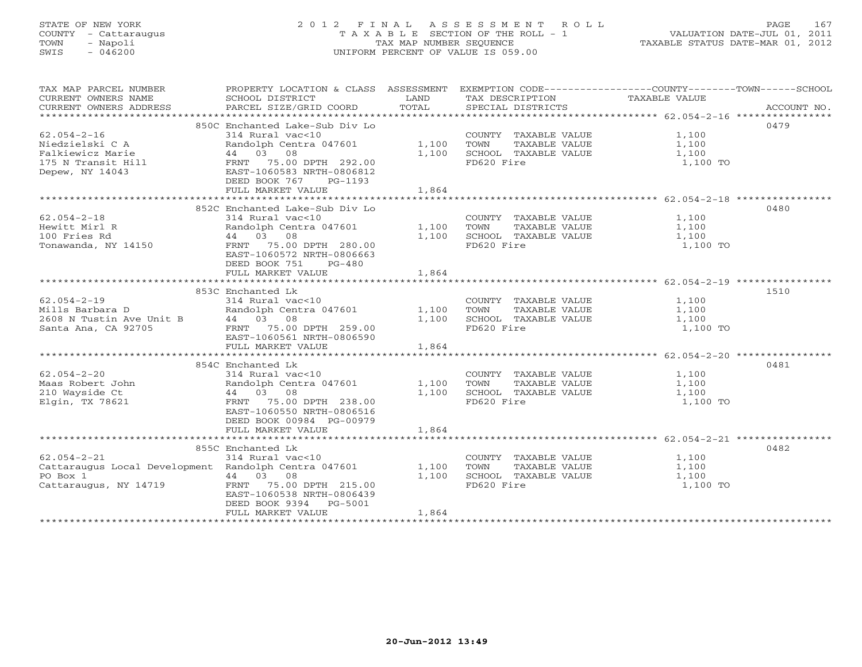# STATE OF NEW YORK 2 0 1 2 F I N A L A S S E S S M E N T R O L L PAGE 167 COUNTY - Cattaraugus T A X A B L E SECTION OF THE ROLL - 1 VALUATION DATE-JUL 01, 2011 TOWN - Napoli TAX MAP NUMBER SEQUENCE TAXABLE STATUS DATE-MAR 01, 2012 SWIS - 046200 UNIFORM PERCENT OF VALUE IS 059.00UNIFORM PERCENT OF VALUE IS 059.00

| TAX MAP PARCEL NUMBER<br>CURRENT OWNERS NAME<br>CURRENT OWNERS ADDRESS                                                             | PROPERTY LOCATION & CLASS ASSESSMENT EXEMPTION CODE---------------COUNTY-------TOWN------SCHOOL<br>SCHOOL DISTRICT<br>PARCEL SIZE/GRID COORD                                                            | LAND<br>TOTAL           | TAX DESCRIPTION<br>SPECIAL DISTRICTS                                                      | TAXABLE VALUE                                                                                 | ACCOUNT NO. |
|------------------------------------------------------------------------------------------------------------------------------------|---------------------------------------------------------------------------------------------------------------------------------------------------------------------------------------------------------|-------------------------|-------------------------------------------------------------------------------------------|-----------------------------------------------------------------------------------------------|-------------|
| $62.054 - 2 - 16$<br>Niedzielski C A<br>Falkiewicz Marie<br>175 N Transit Hill<br>Depew, NY 14043                                  | 850C Enchanted Lake-Sub Div Lo<br>314 Rural vac<10<br>Randolph Centra 047601 1,100<br>44 03 08<br>FRNT 75.00 DPTH 292.00<br>EAST-1060583 NRTH-0806812<br>DEED BOOK 767<br>PG-1193<br>FULL MARKET VALUE  | 1,100<br>1,864          | COUNTY TAXABLE VALUE<br>TOWN<br>TAXABLE VALUE<br>SCHOOL TAXABLE VALUE<br>FD620 Fire       | 1,100<br>1,100<br>1,100<br>1,100 TO                                                           | 0479        |
| $62.054 - 2 - 18$<br>Hewitt Mirl R<br>100 Fries Rd<br>Tonawanda, NY 14150                                                          | 852C Enchanted Lake-Sub Div Lo<br>314 Rural vac<10<br>Randolph Centra 047601 1,100<br>44 03 08<br>FRNT 75.00 DPTH 280.00<br>EAST-1060572 NRTH-0806663<br>DEED BOOK 751<br>$PG-480$<br>FULL MARKET VALUE | 1,100<br>1,864          | COUNTY TAXABLE VALUE<br>TAXABLE VALUE<br>TOWN<br>SCHOOL TAXABLE VALUE<br>FD620 Fire       | 1,100<br>1,100<br>1,100<br>1,100 TO                                                           | 0480        |
| $62.054 - 2 - 19$<br>Mills Barbara D<br>2608 N Tustin Ave Unit B 44 03 08<br>Santa Ana, CA 92705 FRNT 75.00<br>Santa Ana, CA 92705 | 853C Enchanted Lk<br>314 Rural vac<10<br>Randolph Centra 047601<br>FRNT 75.00 DPTH 259.00<br>EAST-1060561 NRTH-0806590<br>FULL MARKET VALUE                                                             | 1,100<br>1,100<br>1,864 | COUNTY TAXABLE VALUE<br>TAXABLE VALUE<br>TOWN<br>SCHOOL TAXABLE VALUE<br>FD620 Fire       | 1,100<br>1,100<br>1,100<br>1,100 TO                                                           | 1510        |
| $62.054 - 2 - 20$<br>Maas Robert John<br>210 Wayside Ct<br>Elgin, TX 78621                                                         | 854C Enchanted Lk<br>314 Rural vac<10<br>Randolph Centra 047601<br>44 03 08<br>FRNT 75.00 DPTH 238.00<br>EAST-1060550 NRTH-0806516<br>DEED BOOK 00984 PG-00979<br>FULL MARKET VALUE                     | 1,100<br>1,100<br>1,864 | COUNTY TAXABLE VALUE 1,100<br>TOWN<br>TAXABLE VALUE<br>SCHOOL TAXABLE VALUE<br>FD620 Fire | 1,100<br>1,100<br>1,100 TO<br>***********************************62.054-2-21 **************** | 0481        |
| $62.054 - 2 - 21$<br>Cattaraugus Local Development Randolph Centra 047601<br>PO Box 1<br>Cattaraugus, NY 14719                     | 855C Enchanted Lk<br>314 Rural vac<10<br>44 03 08<br>FRNT 75.00 DPTH 215.00<br>EAST-1060538 NRTH-0806439<br>DEED BOOK 9394 PG-5001<br>FULL MARKET VALUE                                                 | 1,100<br>1,100<br>1,864 | COUNTY TAXABLE VALUE<br>TAXABLE VALUE<br>TOWN<br>SCHOOL TAXABLE VALUE<br>FD620 Fire       | 1,100<br>1,100<br>1,100<br>1,100 TO                                                           | 0482        |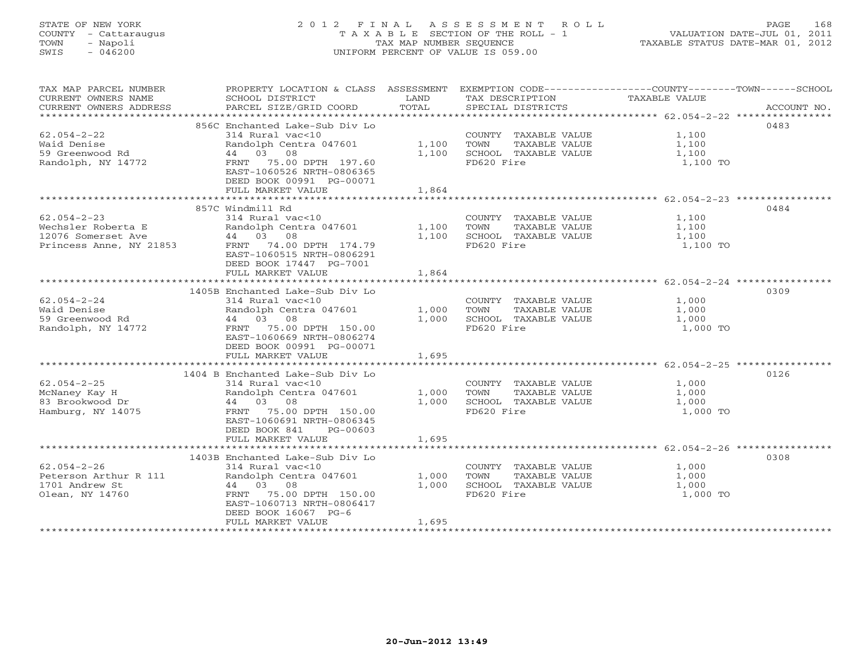# STATE OF NEW YORK 2 0 1 2 F I N A L A S S E S S M E N T R O L L PAGE 168 COUNTY - Cattaraugus T A X A B L E SECTION OF THE ROLL - 1 VALUATION DATE-JUL 01, 2011 TOWN - Napoli TAX MAP NUMBER SEQUENCE TAXABLE STATUS DATE-MAR 01, 2012 SWIS - 046200 UNIFORM PERCENT OF VALUE IS 059.00UNIFORM PERCENT OF VALUE IS 059.00

| TAX MAP PARCEL NUMBER<br>CURRENT OWNERS NAME<br>CURRENT OWNERS ADDRESS | PROPERTY LOCATION & CLASS ASSESSMENT EXEMPTION CODE----------------COUNTY-------TOWN------SCHOOL<br>SCHOOL DISTRICT<br>PARCEL SIZE/GRID COORD | LAND<br>TOTAL | TAX DESCRIPTION<br>SPECIAL DISTRICTS | TAXABLE VALUE                                                 | ACCOUNT NO. |
|------------------------------------------------------------------------|-----------------------------------------------------------------------------------------------------------------------------------------------|---------------|--------------------------------------|---------------------------------------------------------------|-------------|
|                                                                        |                                                                                                                                               |               |                                      |                                                               |             |
|                                                                        | 856C Enchanted Lake-Sub Div Lo                                                                                                                |               |                                      |                                                               | 0483        |
| $62.054 - 2 - 22$                                                      | 314 Rural vac<10                                                                                                                              |               | COUNTY TAXABLE VALUE                 | 1,100                                                         |             |
| Waid Denise                                                            | Randolph Centra 047601                                                                                                                        | 1,100         | TOWN<br>TAXABLE VALUE                | 1,100                                                         |             |
| 59 Greenwood Rd                                                        | 44 03 08                                                                                                                                      | 1,100         | SCHOOL TAXABLE VALUE                 | 1,100                                                         |             |
| Randolph, NY 14772                                                     | FRNT 75.00 DPTH 197.60                                                                                                                        |               | FD620 Fire                           | 1,100 TO                                                      |             |
|                                                                        | EAST-1060526 NRTH-0806365                                                                                                                     |               |                                      |                                                               |             |
|                                                                        | DEED BOOK 00991 PG-00071                                                                                                                      |               |                                      |                                                               |             |
|                                                                        | FULL MARKET VALUE                                                                                                                             | 1,864         |                                      |                                                               |             |
|                                                                        |                                                                                                                                               |               |                                      | ******************************** 62.054-2-23 **************** |             |
|                                                                        | 857C Windmill Rd                                                                                                                              |               |                                      |                                                               | 0484        |
| $62.054 - 2 - 23$                                                      | 314 Rural vac<10                                                                                                                              |               | COUNTY TAXABLE VALUE                 | 1,100                                                         |             |
| Wechsler Roberta E                                                     | Randolph Centra 047601                                                                                                                        | 1,100         | TAXABLE VALUE<br>TOWN                | 1,100                                                         |             |
| 12076 Somerset Ave                                                     | 44 03 08                                                                                                                                      | 1,100         | SCHOOL TAXABLE VALUE                 | 1,100                                                         |             |
| Princess Anne, NY 21853                                                | FRNT 74.00 DPTH 174.79                                                                                                                        |               | FD620 Fire                           | 1,100 TO                                                      |             |
|                                                                        | EAST-1060515 NRTH-0806291                                                                                                                     |               |                                      |                                                               |             |
|                                                                        | DEED BOOK 17447 PG-7001                                                                                                                       |               |                                      |                                                               |             |
|                                                                        | FULL MARKET VALUE                                                                                                                             | 1,864         |                                      |                                                               |             |
|                                                                        |                                                                                                                                               |               |                                      |                                                               |             |
|                                                                        | 1405B Enchanted Lake-Sub Div Lo                                                                                                               |               |                                      |                                                               | 0309        |
| $62.054 - 2 - 24$                                                      | 314 Rural vac<10                                                                                                                              |               | COUNTY TAXABLE VALUE                 | 1,000                                                         |             |
| Waid Denise                                                            | Randolph Centra 047601                                                                                                                        | 1,000         | TOWN<br>TAXABLE VALUE                | 1,000                                                         |             |
| 59 Greenwood Rd                                                        | 44 03 08                                                                                                                                      | 1,000         | SCHOOL TAXABLE VALUE                 | 1,000                                                         |             |
| Randolph, NY 14772                                                     | FRNT 75.00 DPTH 150.00                                                                                                                        |               | FD620 Fire                           | 1,000 TO                                                      |             |
|                                                                        | EAST-1060669 NRTH-0806274                                                                                                                     |               |                                      |                                                               |             |
|                                                                        | DEED BOOK 00991 PG-00071                                                                                                                      |               |                                      |                                                               |             |
|                                                                        | FULL MARKET VALUE                                                                                                                             | 1,695         |                                      |                                                               |             |
|                                                                        |                                                                                                                                               |               |                                      |                                                               |             |
|                                                                        | 1404 B Enchanted Lake-Sub Div Lo                                                                                                              |               |                                      |                                                               | 0126        |
| $62.054 - 2 - 25$                                                      | 314 Rural vac<10                                                                                                                              |               | COUNTY TAXABLE VALUE                 | 1,000                                                         |             |
| McNaney Kay H                                                          | Randolph Centra 047601                                                                                                                        | 1,000         | TOWN<br>TAXABLE VALUE                | 1,000                                                         |             |
| 83 Brookwood Dr                                                        | 44 03 08                                                                                                                                      | 1,000         | SCHOOL TAXABLE VALUE                 | 1,000                                                         |             |
| Hamburg, NY 14075                                                      | FRNT 75.00 DPTH 150.00                                                                                                                        |               | FD620 Fire                           | 1,000 TO                                                      |             |
|                                                                        | EAST-1060691 NRTH-0806345                                                                                                                     |               |                                      |                                                               |             |
|                                                                        | DEED BOOK 841<br>PG-00603                                                                                                                     |               |                                      |                                                               |             |
|                                                                        | FULL MARKET VALUE                                                                                                                             | 1,695         |                                      |                                                               |             |
|                                                                        |                                                                                                                                               |               |                                      |                                                               |             |
|                                                                        | 1403B Enchanted Lake-Sub Div Lo                                                                                                               |               |                                      |                                                               | 0308        |
| $62.054 - 2 - 26$                                                      | 314 Rural vac<10                                                                                                                              |               | COUNTY TAXABLE VALUE                 | 1,000                                                         |             |
| Peterson Arthur R 111                                                  | Randolph Centra 047601                                                                                                                        | 1,000         | TOWN<br>TAXABLE VALUE                | 1,000                                                         |             |
| 1701 Andrew St                                                         | 44 03 08                                                                                                                                      | 1,000         | SCHOOL TAXABLE VALUE                 | 1,000                                                         |             |
| Olean, NY 14760                                                        | 75.00 DPTH 150.00<br>FRNT                                                                                                                     |               | FD620 Fire                           | 1,000 TO                                                      |             |
|                                                                        | EAST-1060713 NRTH-0806417                                                                                                                     |               |                                      |                                                               |             |
|                                                                        | DEED BOOK 16067 PG-6                                                                                                                          |               |                                      |                                                               |             |
|                                                                        | FULL MARKET VALUE                                                                                                                             | 1,695         |                                      |                                                               |             |
|                                                                        |                                                                                                                                               |               |                                      |                                                               |             |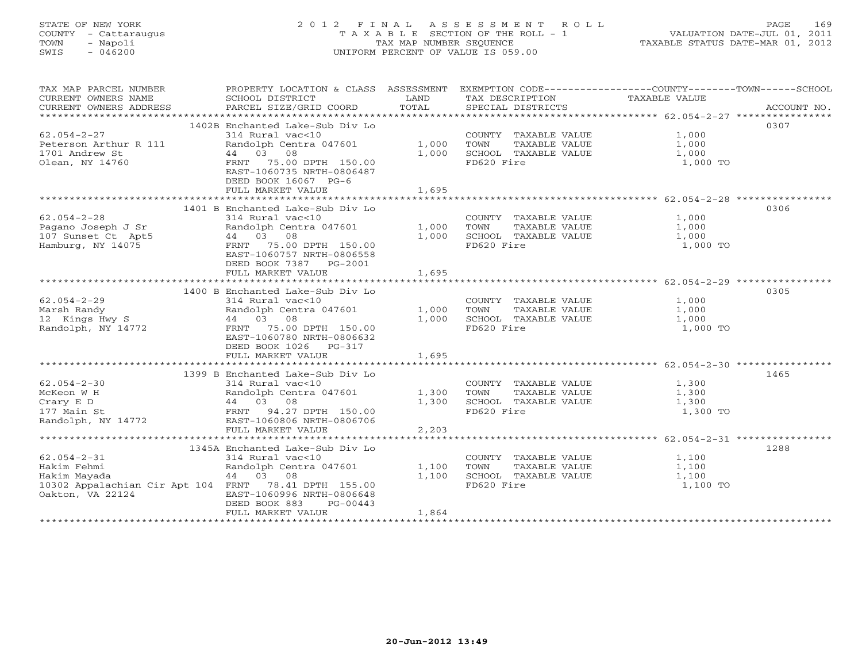# STATE OF NEW YORK 2 0 1 2 F I N A L A S S E S S M E N T R O L L PAGE 169 COUNTY - Cattaraugus T A X A B L E SECTION OF THE ROLL - 1 VALUATION DATE-JUL 01, 2011 TOWN - Napoli TAX MAP NUMBER SEQUENCE TAXABLE STATUS DATE-MAR 01, 2012 SWIS - 046200 UNIFORM PERCENT OF VALUE IS 059.00UNIFORM PERCENT OF VALUE IS 059.00

| TAX MAP PARCEL NUMBER<br>CURRENT OWNERS NAME<br>CURRENT OWNERS ADDRESS                                                       | PROPERTY LOCATION & CLASS ASSESSMENT<br>SCHOOL DISTRICT<br>PARCEL SIZE/GRID COORD                                                                                                               | LAND<br>TOTAL           | EXEMPTION CODE-----------------COUNTY-------TOWN------SCHOOL<br>TAX DESCRIPTION<br>SPECIAL DISTRICTS | <b>TAXABLE VALUE</b>                | ACCOUNT NO. |
|------------------------------------------------------------------------------------------------------------------------------|-------------------------------------------------------------------------------------------------------------------------------------------------------------------------------------------------|-------------------------|------------------------------------------------------------------------------------------------------|-------------------------------------|-------------|
|                                                                                                                              |                                                                                                                                                                                                 |                         |                                                                                                      |                                     |             |
| $62.054 - 2 - 27$<br>Peterson Arthur R 111<br>1701 Andrew St<br>Olean, NY 14760                                              | 1402B Enchanted Lake-Sub Div Lo<br>314 Rural vac<10<br>Randolph Centra 047601<br>44 03 08<br>FRNT 75.00 DPTH 150.00<br>EAST-1060735 NRTH-0806487<br>DEED BOOK 16067 PG-6<br>FULL MARKET VALUE   | 1,000<br>1,000<br>1,695 | COUNTY TAXABLE VALUE<br>TOWN<br>TAXABLE VALUE<br>SCHOOL TAXABLE VALUE<br>FD620 Fire                  | 1,000<br>1,000<br>1,000<br>1,000 TO | 0307        |
|                                                                                                                              |                                                                                                                                                                                                 |                         |                                                                                                      |                                     | 0306        |
| $62.054 - 2 - 28$<br>Pagano Joseph J Sr<br>107 Sunset Ct Apt5<br>Hamburg, NY 14075                                           | 1401 B Enchanted Lake-Sub Div Lo<br>314 Rural vac<10<br>Randolph Centra 047601<br>44 03 08<br>FRNT 75.00 DPTH 150.00<br>EAST-1060757 NRTH-0806558<br>DEED BOOK 7387 PG-2001                     | 1,000<br>1,000          | COUNTY TAXABLE VALUE<br>TOWN<br>TAXABLE VALUE<br>SCHOOL TAXABLE VALUE<br>FD620 Fire                  | 1,000<br>1,000<br>1,000<br>1,000 TO |             |
|                                                                                                                              | FULL MARKET VALUE                                                                                                                                                                               | 1,695                   |                                                                                                      |                                     |             |
| $62.054 - 2 - 29$<br>Marsh Randy<br>12 Kings Hwy S<br>Randolph, NY 14772                                                     | 1400 B Enchanted Lake-Sub Div Lo<br>314 Rural vac<10<br>Randolph Centra 047601<br>44 03 08<br>FRNT 75.00 DPTH 150.00<br>EAST-1060780 NRTH-0806632<br>DEED BOOK 1026 PG-317<br>FULL MARKET VALUE | 1,000<br>1,000<br>1,695 | COUNTY TAXABLE VALUE<br>TOWN<br>TAXABLE VALUE<br>SCHOOL TAXABLE VALUE<br>FD620 Fire                  | 1,000<br>1,000<br>1,000<br>1,000 TO | 0305        |
|                                                                                                                              | 1399 B Enchanted Lake-Sub Div Lo                                                                                                                                                                |                         |                                                                                                      |                                     | 1465        |
| $62.054 - 2 - 30$<br>McKeon W H<br>Crary E D<br>177 Main St<br>Randolph, NY 14772                                            | 314 Rural vac<10<br>Randolph Centra 047601<br>44 03 08<br>FRNT 94.27 DPTH 150.00<br>EAST-1060806 NRTH-0806706                                                                                   | 1,300<br>1,300          | COUNTY TAXABLE VALUE<br>TOWN<br>TAXABLE VALUE<br>SCHOOL TAXABLE VALUE<br>FD620 Fire                  | 1,300<br>1,300<br>1,300<br>1,300 TO |             |
|                                                                                                                              | FULL MARKET VALUE                                                                                                                                                                               | 2,203                   |                                                                                                      |                                     |             |
| $62.054 - 2 - 31$<br>Hakim Fehmi<br>Hakim Mayada<br>10302 Appalachian Cir Apt 104 FRNT 78.41 DPTH 155.00<br>Oakton, VA 22124 | 1345A Enchanted Lake-Sub Div Lo<br>314 Rural vac<10<br>Randolph Centra 047601<br>44 03 08<br>EAST-1060996 NRTH-0806648<br>DEED BOOK 883<br>PG-00443<br>FULL MARKET VALUE                        | 1,100<br>1,100<br>1,864 | COUNTY TAXABLE VALUE<br>TAXABLE VALUE<br>TOWN<br>SCHOOL TAXABLE VALUE<br>FD620 Fire                  | 1,100<br>1,100<br>1,100<br>1,100 TO | 1288        |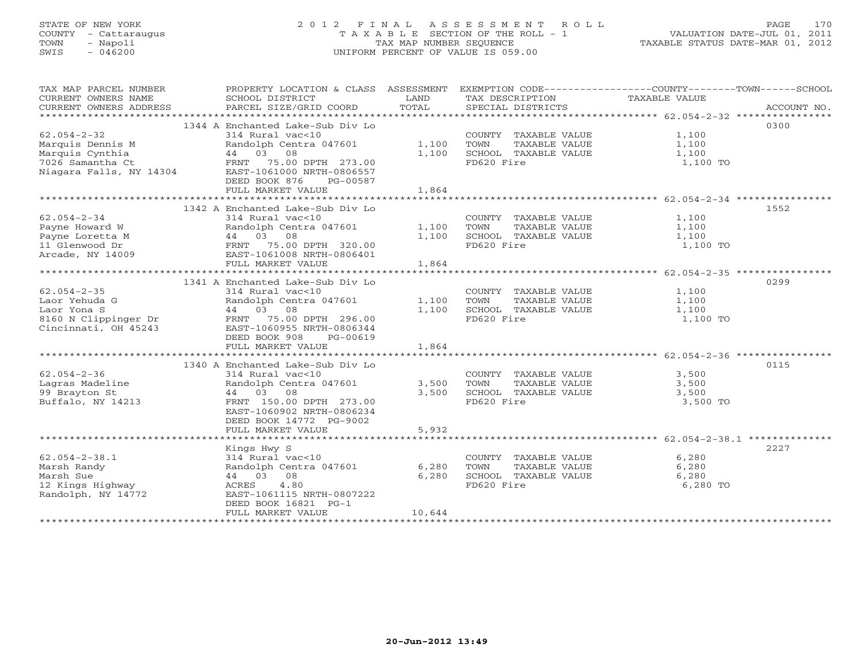# STATE OF NEW YORK 2 0 1 2 F I N A L A S S E S S M E N T R O L L PAGE 170 COUNTY - Cattaraugus T A X A B L E SECTION OF THE ROLL - 1 VALUATION DATE-JUL 01, 2011 TOWN - Napoli TAX MAP NUMBER SEQUENCE TAXABLE STATUS DATE-MAR 01, 2012 SWIS - 046200 UNIFORM PERCENT OF VALUE IS 059.00UNIFORM PERCENT OF VALUE IS 059.00

| TAX MAP PARCEL NUMBER<br>CURRENT OWNERS NAME<br>CURRENT OWNERS ADDRESS                                  | PROPERTY LOCATION & CLASS ASSESSMENT<br>SCHOOL DISTRICT<br>PARCEL SIZE/GRID COORD                                                                                                                     | LAND<br>TOTAL            | TAX DESCRIPTION<br>SPECIAL DISTRICTS                                                | EXEMPTION CODE----------------COUNTY-------TOWN------SCHOOL<br>TAXABLE VALUE<br>ACCOUNT NO.                      |
|---------------------------------------------------------------------------------------------------------|-------------------------------------------------------------------------------------------------------------------------------------------------------------------------------------------------------|--------------------------|-------------------------------------------------------------------------------------|------------------------------------------------------------------------------------------------------------------|
| $62.054 - 2 - 32$<br>Marquis Dennis M<br>Marquis Cynthia<br>7026 Samantha Ct<br>Niagara Falls, NY 14304 | 1344 A Enchanted Lake-Sub Div Lo<br>314 Rural vac<10<br>Randolph Centra 047601 1,100<br>44 03 08<br>EAST-1061000 NRTH-0806557<br>DEED BOOK 876<br>PG-00587<br>FULL MARKET VALUE                       | 1,100<br>1,864           | COUNTY TAXABLE VALUE<br>TOWN<br>TAXABLE VALUE<br>SCHOOL TAXABLE VALUE<br>FD620 Fire | 0300<br>1,100<br>1,100<br>1,100<br>1,100 TO                                                                      |
| $62.054 - 2 - 34$<br>Payne Howard W<br>Payne Loretta M<br>11 Glenwood Dr<br>Arcade, NY 14009            | 1342 A Enchanted Lake-Sub Div Lo<br>314 Rural vac<10<br>Randolph Centra 047601<br>EAST-1061008 NRTH-0806401<br>FULL MARKET VALUE                                                                      | 1,100<br>1,100<br>1,864  | COUNTY TAXABLE VALUE<br>TOWN<br>TAXABLE VALUE<br>SCHOOL TAXABLE VALUE<br>FD620 Fire | 1552<br>1,100<br>1,100<br>1,100<br>1,100 TO                                                                      |
| $62.054 - 2 - 35$<br>Laor Yehuda G<br>Laor Yona S<br>8160 N Clippinger Dr<br>Cincinnati, OH 45243       | 1341 A Enchanted Lake-Sub Div Lo<br>314 Rural vac<10<br>Randolph Centra 047601<br>44 03 08<br>FRNT 75.00 DPTH 296.00<br>EAST-1060955 NRTH-0806344<br>DEED BOOK 908<br>PG-00619<br>FULL MARKET VALUE   | 1,100<br>1,100<br>1,864  | COUNTY TAXABLE VALUE<br>TOWN<br>TAXABLE VALUE<br>SCHOOL TAXABLE VALUE<br>FD620 Fire | 0299<br>1,100<br>1,100<br>1,100<br>1,100 TO                                                                      |
| $62.054 - 2 - 36$<br>Lagras Madeline<br>99 Brayton St<br>Buffalo, NY 14213                              | 1340 A Enchanted Lake-Sub Div Lo<br>314 Rural vac<10<br>Randolph Centra 047601<br>08<br>44 03<br>FRNT 150.00 DPTH 273.00<br>EAST-1060902 NRTH-0806234<br>DEED BOOK 14772 PG-9002<br>FULL MARKET VALUE | 3,500<br>3,500<br>5,932  | COUNTY TAXABLE VALUE<br>TOWN<br>TAXABLE VALUE<br>SCHOOL TAXABLE VALUE<br>FD620 Fire | 0115<br>3,500<br>3,500<br>3,500<br>3,500 TO<br>************************************62.054-2-38.1 *************** |
| $62.054 - 2 - 38.1$<br>Marsh Randy<br>Marsh Sue<br>12 Kings Highway<br>Randolph, NY 14772               | Kings Hwy S<br>314 Rural vac<10<br>Randolph Centra 047601<br>44 03 08<br>4.80<br>ACRES<br>EAST-1061115 NRTH-0807222<br>DEED BOOK 16821 PG-1<br>FULL MARKET VALUE                                      | 6,280<br>6,280<br>10,644 | COUNTY TAXABLE VALUE<br>TAXABLE VALUE<br>TOWN<br>SCHOOL TAXABLE VALUE<br>FD620 Fire | 2227<br>6,280<br>6,280<br>6,280<br>6,280 TO                                                                      |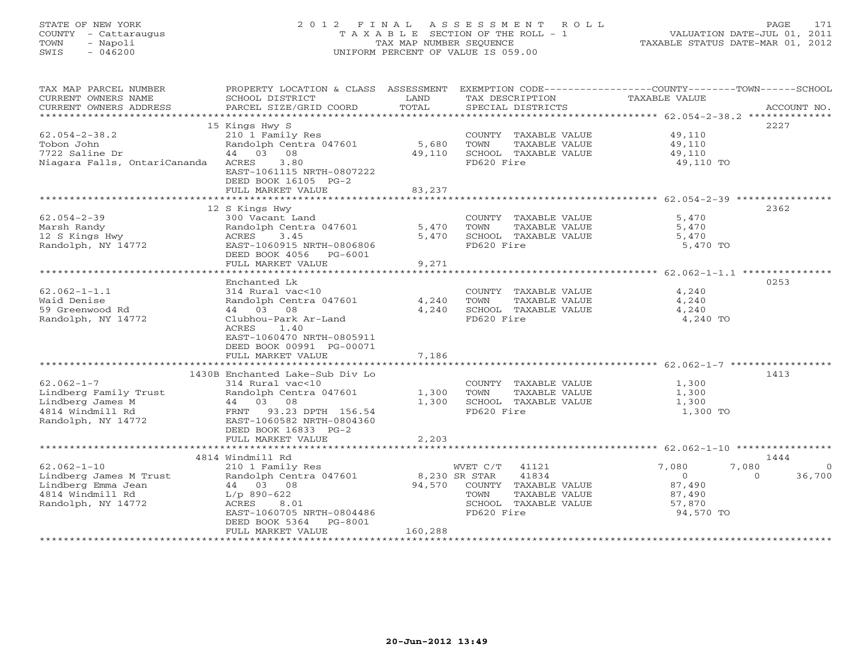# STATE OF NEW YORK 2 0 1 2 F I N A L A S S E S S M E N T R O L L PAGE 171 COUNTY - Cattaraugus T A X A B L E SECTION OF THE ROLL - 1 VALUATION DATE-JUL 01, 2011 TOWN - Napoli TAX MAP NUMBER SEQUENCE TAXABLE STATUS DATE-MAR 01, 2012 SWIS - 046200 UNIFORM PERCENT OF VALUE IS 059.00UNIFORM PERCENT OF VALUE IS 059.00

| TAXABLE VALUE<br>TOTAL<br>CURRENT OWNERS ADDRESS<br>PARCEL SIZE/GRID COORD<br>SPECIAL DISTRICTS<br>ACCOUNT NO.<br>2227<br>15 Kings Hwy S<br>$62.054 - 2 - 38.2$<br>210 1 Family Res<br>COUNTY TAXABLE VALUE<br>49,110<br>5,680<br>Tobon John<br>Randolph Centra 047601<br>TOWN<br>TAXABLE VALUE<br>49,110<br>49,110<br>7722 Saline Dr<br>44 03 08<br>49,110<br>SCHOOL TAXABLE VALUE<br>Niagara Falls, OntariCananda ACRES<br>3.80<br>FD620 Fire<br>49,110 TO<br>EAST-1061115 NRTH-0807222<br>DEED BOOK 16105 PG-2<br>83,237<br>FULL MARKET VALUE<br>12 S Kings Hwy<br>2362<br>$62.054 - 2 - 39$<br>300 Vacant Land<br>5,470<br>COUNTY TAXABLE VALUE<br>Randolph Centra 047601<br>5,470<br>TOWN<br>TAXABLE VALUE<br>Marsh Randy<br>5,470<br>12 S Kings Hwy<br>ACRES 3.45<br>5,470<br>SCHOOL TAXABLE VALUE<br>5,470<br>Randolph, NY 14772<br>FD620 Fire<br>EAST-1060915 NRTH-0806806<br>5,470 TO<br>DEED BOOK 4056 PG-6001<br>FULL MARKET VALUE<br>9,271<br>0253<br>Enchanted Lk<br>$62.062 - 1 - 1.1$<br>314 Rural vac<10<br>4,240<br>COUNTY TAXABLE VALUE<br>Randolph Centra 047601<br>Waid Denise<br>4,240<br>TAXABLE VALUE<br>TOWN<br>4,240<br>59 Greenwood Rd<br>44 03 08<br>4,240<br>SCHOOL TAXABLE VALUE<br>4,240<br>FD620 Fire<br>4,240 TO<br>Randolph, NY 14772<br>Clubhou-Park Ar-Land<br>ACRES<br>1.40<br>EAST-1060470 NRTH-0805911<br>DEED BOOK 00991 PG-00071<br>7,186<br>FULL MARKET VALUE<br>1430B Enchanted Lake-Sub Div Lo<br>1413<br>$62.062 - 1 - 7$<br>314 Rural vac<10<br>COUNTY TAXABLE VALUE<br>1,300<br>Randolph Centra 047601<br>Lindberg Family Trust<br>1,300<br>TOWN<br>TAXABLE VALUE<br>1,300<br>44 03 08<br>Lindberg James M<br>1014 Windmill Rd<br>1,300<br>SCHOOL TAXABLE VALUE<br>1,300<br>FRNT 93.23 DPTH 156.54<br>FD620 Fire<br>1,300 TO |
|----------------------------------------------------------------------------------------------------------------------------------------------------------------------------------------------------------------------------------------------------------------------------------------------------------------------------------------------------------------------------------------------------------------------------------------------------------------------------------------------------------------------------------------------------------------------------------------------------------------------------------------------------------------------------------------------------------------------------------------------------------------------------------------------------------------------------------------------------------------------------------------------------------------------------------------------------------------------------------------------------------------------------------------------------------------------------------------------------------------------------------------------------------------------------------------------------------------------------------------------------------------------------------------------------------------------------------------------------------------------------------------------------------------------------------------------------------------------------------------------------------------------------------------------------------------------------------------------------------------------------------------------------------------------------------------------------------------------------------------------------------------------------|
|                                                                                                                                                                                                                                                                                                                                                                                                                                                                                                                                                                                                                                                                                                                                                                                                                                                                                                                                                                                                                                                                                                                                                                                                                                                                                                                                                                                                                                                                                                                                                                                                                                                                                                                                                                            |
|                                                                                                                                                                                                                                                                                                                                                                                                                                                                                                                                                                                                                                                                                                                                                                                                                                                                                                                                                                                                                                                                                                                                                                                                                                                                                                                                                                                                                                                                                                                                                                                                                                                                                                                                                                            |
|                                                                                                                                                                                                                                                                                                                                                                                                                                                                                                                                                                                                                                                                                                                                                                                                                                                                                                                                                                                                                                                                                                                                                                                                                                                                                                                                                                                                                                                                                                                                                                                                                                                                                                                                                                            |
|                                                                                                                                                                                                                                                                                                                                                                                                                                                                                                                                                                                                                                                                                                                                                                                                                                                                                                                                                                                                                                                                                                                                                                                                                                                                                                                                                                                                                                                                                                                                                                                                                                                                                                                                                                            |
|                                                                                                                                                                                                                                                                                                                                                                                                                                                                                                                                                                                                                                                                                                                                                                                                                                                                                                                                                                                                                                                                                                                                                                                                                                                                                                                                                                                                                                                                                                                                                                                                                                                                                                                                                                            |
|                                                                                                                                                                                                                                                                                                                                                                                                                                                                                                                                                                                                                                                                                                                                                                                                                                                                                                                                                                                                                                                                                                                                                                                                                                                                                                                                                                                                                                                                                                                                                                                                                                                                                                                                                                            |
|                                                                                                                                                                                                                                                                                                                                                                                                                                                                                                                                                                                                                                                                                                                                                                                                                                                                                                                                                                                                                                                                                                                                                                                                                                                                                                                                                                                                                                                                                                                                                                                                                                                                                                                                                                            |
|                                                                                                                                                                                                                                                                                                                                                                                                                                                                                                                                                                                                                                                                                                                                                                                                                                                                                                                                                                                                                                                                                                                                                                                                                                                                                                                                                                                                                                                                                                                                                                                                                                                                                                                                                                            |
|                                                                                                                                                                                                                                                                                                                                                                                                                                                                                                                                                                                                                                                                                                                                                                                                                                                                                                                                                                                                                                                                                                                                                                                                                                                                                                                                                                                                                                                                                                                                                                                                                                                                                                                                                                            |
|                                                                                                                                                                                                                                                                                                                                                                                                                                                                                                                                                                                                                                                                                                                                                                                                                                                                                                                                                                                                                                                                                                                                                                                                                                                                                                                                                                                                                                                                                                                                                                                                                                                                                                                                                                            |
|                                                                                                                                                                                                                                                                                                                                                                                                                                                                                                                                                                                                                                                                                                                                                                                                                                                                                                                                                                                                                                                                                                                                                                                                                                                                                                                                                                                                                                                                                                                                                                                                                                                                                                                                                                            |
|                                                                                                                                                                                                                                                                                                                                                                                                                                                                                                                                                                                                                                                                                                                                                                                                                                                                                                                                                                                                                                                                                                                                                                                                                                                                                                                                                                                                                                                                                                                                                                                                                                                                                                                                                                            |
|                                                                                                                                                                                                                                                                                                                                                                                                                                                                                                                                                                                                                                                                                                                                                                                                                                                                                                                                                                                                                                                                                                                                                                                                                                                                                                                                                                                                                                                                                                                                                                                                                                                                                                                                                                            |
|                                                                                                                                                                                                                                                                                                                                                                                                                                                                                                                                                                                                                                                                                                                                                                                                                                                                                                                                                                                                                                                                                                                                                                                                                                                                                                                                                                                                                                                                                                                                                                                                                                                                                                                                                                            |
|                                                                                                                                                                                                                                                                                                                                                                                                                                                                                                                                                                                                                                                                                                                                                                                                                                                                                                                                                                                                                                                                                                                                                                                                                                                                                                                                                                                                                                                                                                                                                                                                                                                                                                                                                                            |
|                                                                                                                                                                                                                                                                                                                                                                                                                                                                                                                                                                                                                                                                                                                                                                                                                                                                                                                                                                                                                                                                                                                                                                                                                                                                                                                                                                                                                                                                                                                                                                                                                                                                                                                                                                            |
|                                                                                                                                                                                                                                                                                                                                                                                                                                                                                                                                                                                                                                                                                                                                                                                                                                                                                                                                                                                                                                                                                                                                                                                                                                                                                                                                                                                                                                                                                                                                                                                                                                                                                                                                                                            |
|                                                                                                                                                                                                                                                                                                                                                                                                                                                                                                                                                                                                                                                                                                                                                                                                                                                                                                                                                                                                                                                                                                                                                                                                                                                                                                                                                                                                                                                                                                                                                                                                                                                                                                                                                                            |
|                                                                                                                                                                                                                                                                                                                                                                                                                                                                                                                                                                                                                                                                                                                                                                                                                                                                                                                                                                                                                                                                                                                                                                                                                                                                                                                                                                                                                                                                                                                                                                                                                                                                                                                                                                            |
|                                                                                                                                                                                                                                                                                                                                                                                                                                                                                                                                                                                                                                                                                                                                                                                                                                                                                                                                                                                                                                                                                                                                                                                                                                                                                                                                                                                                                                                                                                                                                                                                                                                                                                                                                                            |
|                                                                                                                                                                                                                                                                                                                                                                                                                                                                                                                                                                                                                                                                                                                                                                                                                                                                                                                                                                                                                                                                                                                                                                                                                                                                                                                                                                                                                                                                                                                                                                                                                                                                                                                                                                            |
|                                                                                                                                                                                                                                                                                                                                                                                                                                                                                                                                                                                                                                                                                                                                                                                                                                                                                                                                                                                                                                                                                                                                                                                                                                                                                                                                                                                                                                                                                                                                                                                                                                                                                                                                                                            |
|                                                                                                                                                                                                                                                                                                                                                                                                                                                                                                                                                                                                                                                                                                                                                                                                                                                                                                                                                                                                                                                                                                                                                                                                                                                                                                                                                                                                                                                                                                                                                                                                                                                                                                                                                                            |
|                                                                                                                                                                                                                                                                                                                                                                                                                                                                                                                                                                                                                                                                                                                                                                                                                                                                                                                                                                                                                                                                                                                                                                                                                                                                                                                                                                                                                                                                                                                                                                                                                                                                                                                                                                            |
|                                                                                                                                                                                                                                                                                                                                                                                                                                                                                                                                                                                                                                                                                                                                                                                                                                                                                                                                                                                                                                                                                                                                                                                                                                                                                                                                                                                                                                                                                                                                                                                                                                                                                                                                                                            |
|                                                                                                                                                                                                                                                                                                                                                                                                                                                                                                                                                                                                                                                                                                                                                                                                                                                                                                                                                                                                                                                                                                                                                                                                                                                                                                                                                                                                                                                                                                                                                                                                                                                                                                                                                                            |
|                                                                                                                                                                                                                                                                                                                                                                                                                                                                                                                                                                                                                                                                                                                                                                                                                                                                                                                                                                                                                                                                                                                                                                                                                                                                                                                                                                                                                                                                                                                                                                                                                                                                                                                                                                            |
|                                                                                                                                                                                                                                                                                                                                                                                                                                                                                                                                                                                                                                                                                                                                                                                                                                                                                                                                                                                                                                                                                                                                                                                                                                                                                                                                                                                                                                                                                                                                                                                                                                                                                                                                                                            |
|                                                                                                                                                                                                                                                                                                                                                                                                                                                                                                                                                                                                                                                                                                                                                                                                                                                                                                                                                                                                                                                                                                                                                                                                                                                                                                                                                                                                                                                                                                                                                                                                                                                                                                                                                                            |
|                                                                                                                                                                                                                                                                                                                                                                                                                                                                                                                                                                                                                                                                                                                                                                                                                                                                                                                                                                                                                                                                                                                                                                                                                                                                                                                                                                                                                                                                                                                                                                                                                                                                                                                                                                            |
|                                                                                                                                                                                                                                                                                                                                                                                                                                                                                                                                                                                                                                                                                                                                                                                                                                                                                                                                                                                                                                                                                                                                                                                                                                                                                                                                                                                                                                                                                                                                                                                                                                                                                                                                                                            |
|                                                                                                                                                                                                                                                                                                                                                                                                                                                                                                                                                                                                                                                                                                                                                                                                                                                                                                                                                                                                                                                                                                                                                                                                                                                                                                                                                                                                                                                                                                                                                                                                                                                                                                                                                                            |
| Randolph, NY 14772<br>EAST-1060582 NRTH-0804360                                                                                                                                                                                                                                                                                                                                                                                                                                                                                                                                                                                                                                                                                                                                                                                                                                                                                                                                                                                                                                                                                                                                                                                                                                                                                                                                                                                                                                                                                                                                                                                                                                                                                                                            |
| DEED BOOK 16833 PG-2                                                                                                                                                                                                                                                                                                                                                                                                                                                                                                                                                                                                                                                                                                                                                                                                                                                                                                                                                                                                                                                                                                                                                                                                                                                                                                                                                                                                                                                                                                                                                                                                                                                                                                                                                       |
| 2,203<br>FULL MARKET VALUE                                                                                                                                                                                                                                                                                                                                                                                                                                                                                                                                                                                                                                                                                                                                                                                                                                                                                                                                                                                                                                                                                                                                                                                                                                                                                                                                                                                                                                                                                                                                                                                                                                                                                                                                                 |
|                                                                                                                                                                                                                                                                                                                                                                                                                                                                                                                                                                                                                                                                                                                                                                                                                                                                                                                                                                                                                                                                                                                                                                                                                                                                                                                                                                                                                                                                                                                                                                                                                                                                                                                                                                            |
| 1444<br>4814 Windmill Rd                                                                                                                                                                                                                                                                                                                                                                                                                                                                                                                                                                                                                                                                                                                                                                                                                                                                                                                                                                                                                                                                                                                                                                                                                                                                                                                                                                                                                                                                                                                                                                                                                                                                                                                                                   |
| 210 1 Family Res<br>$62.062 - 1 - 10$<br>7,080<br>WVET C/T 41121<br>7,080<br>$\Omega$                                                                                                                                                                                                                                                                                                                                                                                                                                                                                                                                                                                                                                                                                                                                                                                                                                                                                                                                                                                                                                                                                                                                                                                                                                                                                                                                                                                                                                                                                                                                                                                                                                                                                      |
| Lindberg James M Trust Randolph Cent<br>Lindberg Emma Jean 144 03 08<br>Randolph Centra 047601<br>8,230 SR STAR<br>41834<br>36,700<br>$\Omega$<br>$\Omega$                                                                                                                                                                                                                                                                                                                                                                                                                                                                                                                                                                                                                                                                                                                                                                                                                                                                                                                                                                                                                                                                                                                                                                                                                                                                                                                                                                                                                                                                                                                                                                                                                 |
| 94,570 COUNTY TAXABLE VALUE<br>87,490                                                                                                                                                                                                                                                                                                                                                                                                                                                                                                                                                                                                                                                                                                                                                                                                                                                                                                                                                                                                                                                                                                                                                                                                                                                                                                                                                                                                                                                                                                                                                                                                                                                                                                                                      |
| 4814 Windmill Rd<br>TAXABLE VALUE<br>L/p 890-622<br>TOWN<br>87,490                                                                                                                                                                                                                                                                                                                                                                                                                                                                                                                                                                                                                                                                                                                                                                                                                                                                                                                                                                                                                                                                                                                                                                                                                                                                                                                                                                                                                                                                                                                                                                                                                                                                                                         |
| SCHOOL TAXABLE VALUE<br>Randolph, NY 14772<br>ACRES<br>8.01<br>57,870                                                                                                                                                                                                                                                                                                                                                                                                                                                                                                                                                                                                                                                                                                                                                                                                                                                                                                                                                                                                                                                                                                                                                                                                                                                                                                                                                                                                                                                                                                                                                                                                                                                                                                      |
| EAST-1060705 NRTH-0804486<br>FD620 Fire<br>94,570 TO                                                                                                                                                                                                                                                                                                                                                                                                                                                                                                                                                                                                                                                                                                                                                                                                                                                                                                                                                                                                                                                                                                                                                                                                                                                                                                                                                                                                                                                                                                                                                                                                                                                                                                                       |
| DEED BOOK 5364 PG-8001                                                                                                                                                                                                                                                                                                                                                                                                                                                                                                                                                                                                                                                                                                                                                                                                                                                                                                                                                                                                                                                                                                                                                                                                                                                                                                                                                                                                                                                                                                                                                                                                                                                                                                                                                     |
| 160,288<br>FULL MARKET VALUE                                                                                                                                                                                                                                                                                                                                                                                                                                                                                                                                                                                                                                                                                                                                                                                                                                                                                                                                                                                                                                                                                                                                                                                                                                                                                                                                                                                                                                                                                                                                                                                                                                                                                                                                               |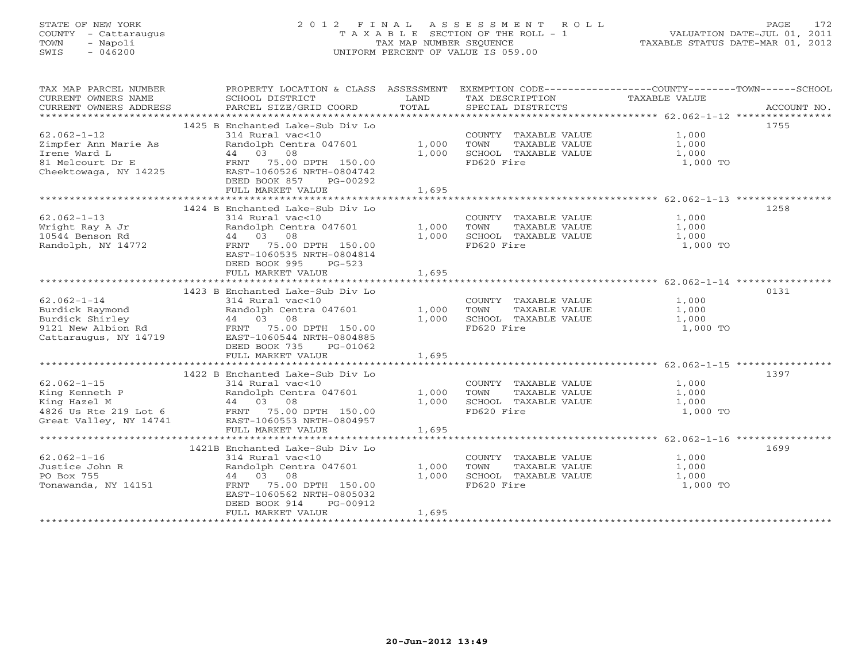# STATE OF NEW YORK 2 0 1 2 F I N A L A S S E S S M E N T R O L L PAGE 172 COUNTY - Cattaraugus T A X A B L E SECTION OF THE ROLL - 1 VALUATION DATE-JUL 01, 2011 TOWN - Napoli TAX MAP NUMBER SEQUENCE TAXABLE STATUS DATE-MAR 01, 2012 SWIS - 046200 UNIFORM PERCENT OF VALUE IS 059.00UNIFORM PERCENT OF VALUE IS 059.00

| TAX MAP PARCEL NUMBER<br>CURRENT OWNERS NAME<br>CURRENT OWNERS ADDRESS                                 | PROPERTY LOCATION & CLASS ASSESSMENT<br>SCHOOL DISTRICT<br>PARCEL SIZE/GRID COORD                                                                                                                                                                                                                                          | LAND<br>TOTAL           | TAX DESCRIPTION<br>SPECIAL DISTRICTS                                                | EXEMPTION CODE-----------------COUNTY-------TOWN------SCHOOL<br>TAXABLE VALUE<br>ACCOUNT NO. |
|--------------------------------------------------------------------------------------------------------|----------------------------------------------------------------------------------------------------------------------------------------------------------------------------------------------------------------------------------------------------------------------------------------------------------------------------|-------------------------|-------------------------------------------------------------------------------------|----------------------------------------------------------------------------------------------|
| $62.062 - 1 - 12$<br>Zimpfer Ann Marie As<br>Irene Ward L<br>81 Melcourt Dr E<br>Cheektowaga, NY 14225 | 1425 B Enchanted Lake-Sub Div Lo<br>314 Rural vac<10<br>Randolph Centra 047601<br>44 03 08<br>FRNT 75.00 DPTH 150.00<br>EAST-1060526 NRTH-0804742<br>DEED BOOK 857<br>PG-00292<br>FULL MARKET VALUE                                                                                                                        | 1,000<br>1,000<br>1,695 | COUNTY TAXABLE VALUE<br>TAXABLE VALUE<br>TOWN<br>SCHOOL TAXABLE VALUE<br>FD620 Fire | 1755<br>1,000<br>1,000<br>1,000<br>1,000 TO                                                  |
| $62.062 - 1 - 13$<br>Wright Ray A Jr<br>10544 Benson Rd<br>Randolph, NY 14772                          | 1424 B Enchanted Lake-Sub Div Lo<br>314 Rural vac<10<br>Randolph Centra 047601<br>44 03 08<br>FRNT 75.00 DPTH 150.00<br>EAST-1060535 NRTH-0804814<br>DEED BOOK 995<br>$PG-523$<br>FULL MARKET VALUE                                                                                                                        | 1,000<br>1,000<br>1,695 | COUNTY TAXABLE VALUE<br>TOWN<br>TAXABLE VALUE<br>SCHOOL TAXABLE VALUE<br>FD620 Fire | 1258<br>1,000<br>1,000<br>1,000<br>1,000 TO                                                  |
| $62.062 - 1 - 14$<br>Burdick Raymond<br>Burdick Shirley<br>9121 New Albion Rd<br>Cattaraugus, NY 14719 | 1423 B Enchanted Lake-Sub Div Lo<br>314 Rural vac<10<br>Randolph Centra 047601<br>$44$ $03$ $08$<br>FRNT $7500$<br>FRNT 75.00 DPTH 150.00<br>EAST-1060544 NRTH-0804885<br>DEED BOOK 735<br>PG-01062<br>FULL MARKET VALUE                                                                                                   | 1,000<br>1,000<br>1,695 | COUNTY TAXABLE VALUE<br>TOWN<br>TAXABLE VALUE<br>SCHOOL TAXABLE VALUE<br>FD620 Fire | 0131<br>1,000<br>1,000<br>1,000<br>1,000 TO                                                  |
| $62.062 - 1 - 15$<br>King Kenneth P<br>Great Valley, NY 14741                                          | 1422 B Enchanted Lake-Sub Div Lo<br>314 Rural vac<10<br>Randolph Centra 047601<br>$\begin{array}{ccccccccc}\n\text{King } \text{Hazel M} & & & & 44 & 03 & 08 \\ \text{4826 Us } \text{Rte } 219 \text{ Lot } 6 & & & & \text{FRNT} & 75.00 DPTH} & 150.00\n\end{array}$<br>EAST-1060553 NRTH-0804957<br>FULL MARKET VALUE | 1,000<br>1,000<br>1,695 | COUNTY TAXABLE VALUE<br>TOWN<br>TAXABLE VALUE<br>SCHOOL TAXABLE VALUE<br>FD620 Fire | 1397<br>1,000<br>1,000<br>1,000<br>1,000 TO                                                  |
| $62.062 - 1 - 16$<br>Justice John R<br>PO Box 755<br>Tonawanda, NY 14151                               | 1421B Enchanted Lake-Sub Div Lo<br>314 Rural vac<10<br>Randolph Centra 047601<br>44 03 08<br>FRNT 75.00 DPTH 150.00<br>EAST-1060562 NRTH-0805032<br>DEED BOOK 914<br>PG-00912<br>FULL MARKET VALUE                                                                                                                         | 1,000<br>1,000<br>1,695 | COUNTY TAXABLE VALUE<br>TOWN<br>TAXABLE VALUE<br>SCHOOL TAXABLE VALUE<br>FD620 Fire | 1699<br>1,000<br>1,000<br>1,000<br>1,000 TO                                                  |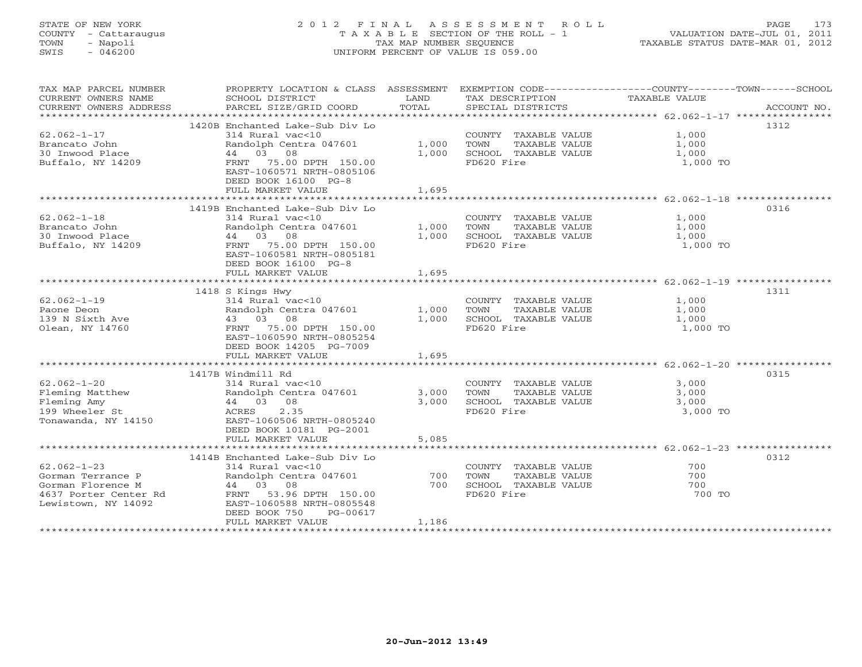# STATE OF NEW YORK 2 0 1 2 F I N A L A S S E S S M E N T R O L L PAGE 173 COUNTY - Cattaraugus T A X A B L E SECTION OF THE ROLL - 1 VALUATION DATE-JUL 01, 2011 TOWN - Napoli TAX MAP NUMBER SEQUENCE TAXABLE STATUS DATE-MAR 01, 2012 SWIS - 046200 UNIFORM PERCENT OF VALUE IS 059.00UNIFORM PERCENT OF VALUE IS 059.00

| TAX MAP PARCEL NUMBER<br>CURRENT OWNERS NAME<br>CURRENT OWNERS ADDRESS                                      | PROPERTY LOCATION & CLASS ASSESSMENT<br>SCHOOL DISTRICT<br>PARCEL SIZE/GRID COORD                                                                                                                    | LAND<br>TOTAL           | TAX DESCRIPTION<br>SPECIAL DISTRICTS                                                | EXEMPTION CODE-----------------COUNTY-------TOWN------SCHOOL<br>TAXABLE VALUE<br>ACCOUNT NO. |
|-------------------------------------------------------------------------------------------------------------|------------------------------------------------------------------------------------------------------------------------------------------------------------------------------------------------------|-------------------------|-------------------------------------------------------------------------------------|----------------------------------------------------------------------------------------------|
| $62.062 - 1 - 17$<br>Brancato John<br>30 Inwood Place<br>Buffalo, NY 14209                                  | 1420B Enchanted Lake-Sub Div Lo<br>314 Rural vac<10<br>Randolph Centra 047601<br>44 03 08<br>FRNT 75.00 DPTH 150.00<br>EAST-1060571 NRTH-0805106<br>DEED BOOK 16100 PG-8<br>FULL MARKET VALUE        | 1,000<br>1,000<br>1,695 | COUNTY TAXABLE VALUE<br>TAXABLE VALUE<br>TOWN<br>SCHOOL TAXABLE VALUE<br>FD620 Fire | 1312<br>1,000<br>1,000<br>1,000<br>1,000 TO                                                  |
| $62.062 - 1 - 18$<br>Brancato John<br>30 Inwood Place<br>Buffalo, NY 14209                                  | 1419B Enchanted Lake-Sub Div Lo<br>314 Rural vac<10<br>Randolph Centra 047601<br>44 03 08<br>FRNT 75.00 DPTH 150.00<br>EAST-1060581 NRTH-0805181<br>DEED BOOK 16100 PG-8<br>FULL MARKET VALUE        | 1,000<br>1,000<br>1,695 | COUNTY TAXABLE VALUE<br>TOWN<br>TAXABLE VALUE<br>SCHOOL TAXABLE VALUE<br>FD620 Fire | 0316<br>1,000<br>1,000<br>1,000<br>1,000 TO                                                  |
|                                                                                                             |                                                                                                                                                                                                      |                         |                                                                                     |                                                                                              |
| $62.062 - 1 - 19$<br>Paone Deon<br>139 N Sixth Ave<br>Olean, NY 14760                                       | 1418 S Kings Hwy<br>314 Rural vac<10<br>Randolph Centra 047601<br>43 03 08<br>FRNT 75.00 DPTH 150.00<br>EAST-1060590 NRTH-0805254<br>DEED BOOK 14205 PG-7009                                         | 1,000<br>1,000          | COUNTY TAXABLE VALUE<br>TAXABLE VALUE<br>TOWN<br>SCHOOL TAXABLE VALUE<br>FD620 Fire | 1311<br>1,000<br>1,000<br>1,000<br>1,000 TO                                                  |
|                                                                                                             | FULL MARKET VALUE                                                                                                                                                                                    | 1,695                   |                                                                                     |                                                                                              |
| $62.062 - 1 - 20$<br>Fleming Matthew<br>Fleming Amy<br>199 Wheeler St<br>Tonawanda, NY 14150                | 1417B Windmill Rd<br>314 Rural vac<10<br>Randolph Centra 047601<br>44 03 08<br>ACRES<br>2.35<br>EAST-1060506 NRTH-0805240<br>DEED BOOK 10181 PG-2001                                                 | 3,000<br>3,000          | COUNTY TAXABLE VALUE<br>TAXABLE VALUE<br>TOWN<br>SCHOOL TAXABLE VALUE<br>FD620 Fire | 0315<br>3,000<br>3,000<br>3,000<br>3,000 TO                                                  |
|                                                                                                             | FULL MARKET VALUE                                                                                                                                                                                    | 5,085                   |                                                                                     |                                                                                              |
| $62.062 - 1 - 23$<br>Gorman Terrance P<br>Gorman Florence M<br>4637 Porter Center Rd<br>Lewistown, NY 14092 | 1414B Enchanted Lake-Sub Div Lo<br>$314$ Rural vac<10<br>Randolph Centra 047601<br>44 03 08<br>FRNT 53.96 DPTH 150.00<br>EAST-1060588 NRTH-0805548<br>DEED BOOK 750<br>PG-00617<br>FULL MARKET VALUE | 700<br>700<br>1,186     | COUNTY TAXABLE VALUE<br>TOWN<br>TAXABLE VALUE<br>SCHOOL TAXABLE VALUE<br>FD620 Fire | 0312<br>700<br>700<br>700<br>700 TO                                                          |
|                                                                                                             |                                                                                                                                                                                                      |                         |                                                                                     |                                                                                              |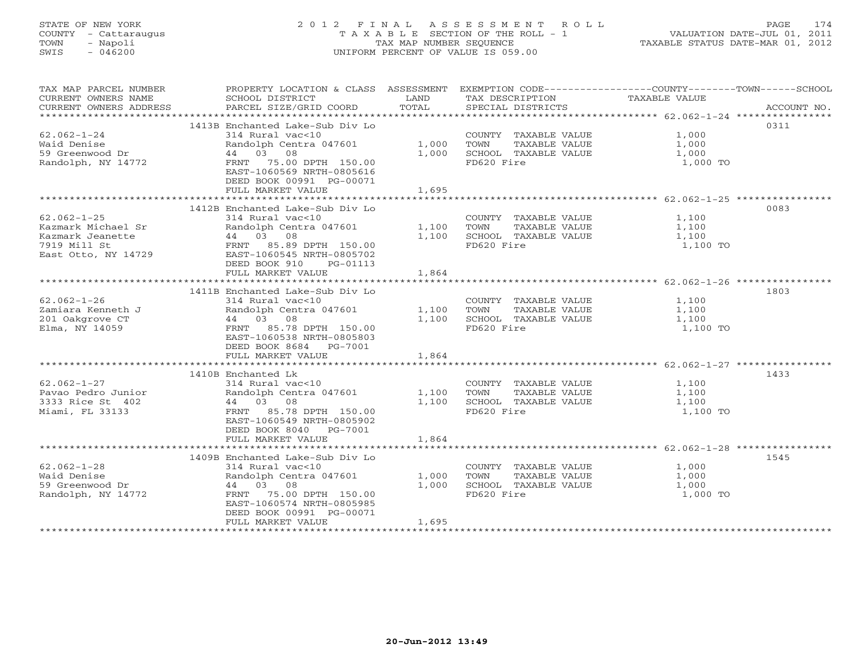# STATE OF NEW YORK 2 0 1 2 F I N A L A S S E S S M E N T R O L L PAGE 174 COUNTY - Cattaraugus T A X A B L E SECTION OF THE ROLL - 1 VALUATION DATE-JUL 01, 2011 TOWN - Napoli TAX MAP NUMBER SEQUENCE TAXABLE STATUS DATE-MAR 01, 2012 SWIS - 046200 UNIFORM PERCENT OF VALUE IS 059.00UNIFORM PERCENT OF VALUE IS 059.00

| TAX MAP PARCEL NUMBER<br>CURRENT OWNERS NAME<br>CURRENT OWNERS ADDRESS                             | PROPERTY LOCATION & CLASS ASSESSMENT EXEMPTION CODE---------------COUNTY-------TOWN-----SCHOOL<br>SCHOOL DISTRICT<br>PARCEL SIZE/GRID COORD                                                          | LAND<br>TOTAL           | TAX DESCRIPTION TAXABLE VALUE<br>SPECIAL DISTRICTS<br>SPECIAL DISTRICTS             |                                     | ACCOUNT NO. |
|----------------------------------------------------------------------------------------------------|------------------------------------------------------------------------------------------------------------------------------------------------------------------------------------------------------|-------------------------|-------------------------------------------------------------------------------------|-------------------------------------|-------------|
| $62.062 - 1 - 24$<br>Waid Denise<br>59 Greenwood Dr<br>Randolph, NY 14772                          | 1413B Enchanted Lake-Sub Div Lo<br>314 Rural vac<10<br>Randolph Centra 047601<br>44 03 08<br>FRNT 75.00 DPTH 150.00<br>EAST-1060569 NRTH-0805616<br>DEED BOOK 00991 PG-00071<br>FULL MARKET VALUE    | 1,000<br>1,000<br>1,695 | COUNTY TAXABLE VALUE<br>TOWN<br>TAXABLE VALUE<br>SCHOOL TAXABLE VALUE<br>FD620 Fire | 1,000<br>1,000<br>1,000<br>1,000 TO | 0311        |
| $62.062 - 1 - 25$<br>Kazmark Michael Sr<br>Kazmark Jeanette<br>7919 Mill St<br>East Otto, NY 14729 | 1412B Enchanted Lake-Sub Div Lo<br>314 Rural vac<10<br>Randolph Centra 047601<br>44 03 08<br>FRNT 85.89 DPTH 150.00<br>EAST-1060545 NRTH-0805702<br>DEED BOOK 910<br>PG-01113<br>FULL MARKET VALUE   | 1,100<br>1,100<br>1,864 | COUNTY TAXABLE VALUE<br>TAXABLE VALUE<br>TOWN<br>SCHOOL TAXABLE VALUE<br>FD620 Fire | 1,100<br>1,100<br>1,100<br>1,100 TO | 0083        |
| $62.062 - 1 - 26$<br>Zamiara Kenneth J<br>201 Oakgrove CT<br>Elma, NY 14059                        | 1411B Enchanted Lake-Sub Div Lo<br>314 Rural vac<10<br>Randolph Centra 047601<br>44 03 08<br>FRNT 85.78 DPTH 150.00<br>EAST-1060538 NRTH-0805803<br>DEED BOOK 8684 PG-7001<br>FULL MARKET VALUE      | 1,100<br>1,100<br>1,864 | COUNTY TAXABLE VALUE<br>TAXABLE VALUE<br>TOWN<br>SCHOOL TAXABLE VALUE<br>FD620 Fire | 1,100<br>1,100<br>1,100<br>1,100 TO | 1803        |
| $62.062 - 1 - 27$<br>Pavao Pedro Junior<br>3333 Rice St 402<br>Miami, FL 33133                     | 1410B Enchanted Lk<br>314 Rural vac<10<br>Randolph Centra 047601<br>44 03 08<br>FRNT 85.78 DPTH 150.00<br>EAST-1060549 NRTH-0805902<br>DEED BOOK 8040 PG-7001<br>FULL MARKET VALUE                   | 1,100<br>1,100<br>1,864 | COUNTY TAXABLE VALUE<br>TAXABLE VALUE<br>TOWN<br>SCHOOL TAXABLE VALUE<br>FD620 Fire | 1,100<br>1,100<br>1,100<br>1,100 TO | 1433        |
| $62.062 - 1 - 28$<br>Waid Denise<br>59 Greenwood Dr<br>Randolph, NY 14772                          | 1409B Enchanted Lake-Sub Div Lo<br>314 Rural vac<10<br>Randolph Centra 047601<br>44 03 08<br>75.00 DPTH 150.00<br>FRNT<br>EAST-1060574 NRTH-0805985<br>DEED BOOK 00991 PG-00071<br>FULL MARKET VALUE | 1,000<br>1,000<br>1,695 | COUNTY TAXABLE VALUE<br>TAXABLE VALUE<br>TOWN<br>SCHOOL TAXABLE VALUE<br>FD620 Fire | 1,000<br>1,000<br>1,000<br>1,000 TO | 1545        |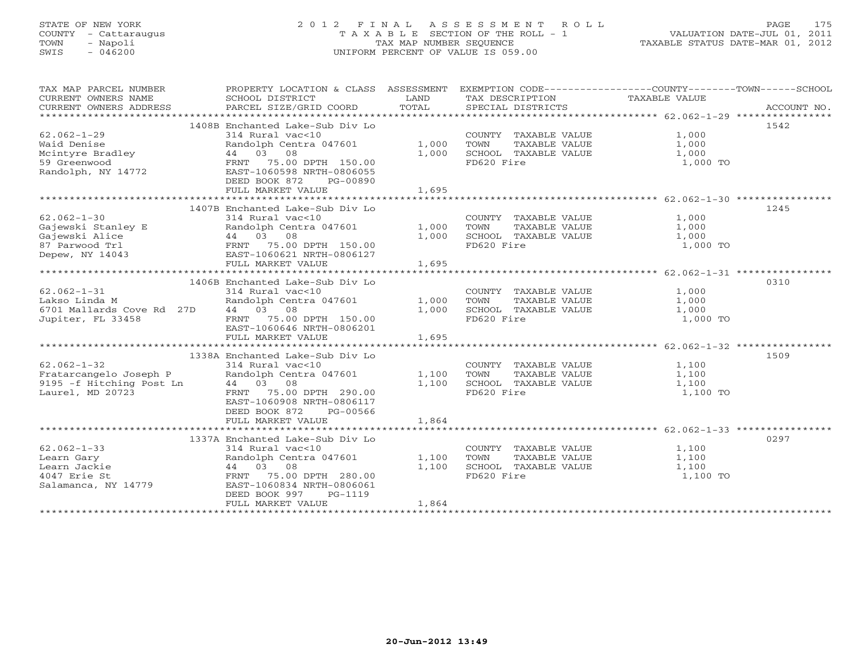# STATE OF NEW YORK 2 0 1 2 F I N A L A S S E S S M E N T R O L L PAGE 175 COUNTY - Cattaraugus T A X A B L E SECTION OF THE ROLL - 1 VALUATION DATE-JUL 01, 2011 TOWN - Napoli TAX MAP NUMBER SEQUENCE TAXABLE STATUS DATE-MAR 01, 2012 SWIS - 046200 UNIFORM PERCENT OF VALUE IS 059.00UNIFORM PERCENT OF VALUE IS 059.00

| TAX MAP PARCEL NUMBER<br>CURRENT OWNERS NAME<br>CURRENT OWNERS ADDRESS              | PROPERTY LOCATION & CLASS ASSESSMENT<br>SCHOOL DISTRICT<br>PARCEL SIZE/GRID COORD | LAND<br>TOTAL | EXEMPTION CODE-----------------COUNTY-------TOWN------SCHOOL<br>TAX DESCRIPTION<br>SPECIAL DISTRICTS | TAXABLE VALUE       | ACCOUNT NO. |
|-------------------------------------------------------------------------------------|-----------------------------------------------------------------------------------|---------------|------------------------------------------------------------------------------------------------------|---------------------|-------------|
|                                                                                     |                                                                                   |               |                                                                                                      |                     |             |
| $62.062 - 1 - 29$<br>Waid Denise                                                    | 1408B Enchanted Lake-Sub Div Lo<br>314 Rural vac<10<br>Randolph Centra 047601     | 1,000         | COUNTY TAXABLE VALUE<br>TOWN      TAXABLE VALUE                                                      | 1,000<br>1,000      | 1542        |
| 59 Greenwood<br>Randolph, NY 14772                                                  | FRNT 75.00 DPTH 150.00<br>EAST-1060598 NRTH-0806055<br>DEED BOOK 872<br>PG-00890  | 1,000         | SCHOOL TAXABLE VALUE<br>FD620 Fire                                                                   | 1,000<br>1,000 TO   |             |
|                                                                                     | FULL MARKET VALUE                                                                 | 1,695         |                                                                                                      |                     |             |
|                                                                                     |                                                                                   |               |                                                                                                      |                     |             |
|                                                                                     | 1407B Enchanted Lake-Sub Div Lo                                                   |               |                                                                                                      |                     | 1245        |
| $62.062 - 1 - 30$                                                                   | 314 Rural vac<10                                                                  |               | COUNTY TAXABLE VALUE                                                                                 | 1,000               |             |
|                                                                                     | Randolph Centra 047601                                                            | 1,000         | TOWN      TAXABLE VALUE<br>SCHOOL   TAXABLE VALUE                                                    | 1,000               |             |
|                                                                                     |                                                                                   | 1,000         |                                                                                                      | $\frac{1}{1}$ , 000 |             |
| 87 Parwood Trl<br>Depew, NY 14043                                                   | FRNT 75.00 DPTH 150.00<br>EAST-1060621 NRTH-0806127                               |               | FD620 Fire                                                                                           | 1,000 TO            |             |
|                                                                                     | FULL MARKET VALUE                                                                 | 1,695         |                                                                                                      |                     |             |
|                                                                                     |                                                                                   |               |                                                                                                      |                     |             |
|                                                                                     | 1406B Enchanted Lake-Sub Div Lo                                                   |               |                                                                                                      |                     | 0310        |
| $62.062 - 1 - 31$                                                                   | 314 Rural vac<10                                                                  |               | COUNTY TAXABLE VALUE                                                                                 | 1,000               |             |
| Lakso Linda M                                                                       | Randolph Centra 047601                                                            | 1,000         | TOWN<br>TAXABLE VALUE                                                                                | 1,000               |             |
| 6701 Mallards Cove Rd 27D                                                           | 44 03 08                                                                          | 1,000         | SCHOOL TAXABLE VALUE                                                                                 | 1,000               |             |
| Jupiter, FL 33458                                                                   | FRNT 75.00 DPTH 150.00                                                            |               | FD620 Fire                                                                                           | 1,000 TO            |             |
|                                                                                     | EAST-1060646 NRTH-0806201<br>FULL MARKET VALUE                                    | 1,695         |                                                                                                      |                     |             |
|                                                                                     |                                                                                   |               |                                                                                                      |                     |             |
|                                                                                     | 1338A Enchanted Lake-Sub Div Lo                                                   |               |                                                                                                      |                     | 1509        |
| $62.062 - 1 - 32$                                                                   | 314 Rural vac<10                                                                  |               | COUNTY TAXABLE VALUE                                                                                 | 1,100               |             |
|                                                                                     |                                                                                   | 1,100         | TAXABLE VALUE<br>TOWN                                                                                | 1,100               |             |
| Fratarcangelo Joseph P Randolph Centra 047601<br>9195 - f Hitching Post Ln 44 03 08 |                                                                                   | 1,100         | SCHOOL TAXABLE VALUE 1,100                                                                           |                     |             |
| Laurel, MD 20723                                                                    | FRNT 75.00 DPTH 290.00<br>EAST-1060908 NRTH-0806117                               |               | FD620 Fire                                                                                           | 1,100 TO            |             |
|                                                                                     | DEED BOOK 872<br>PG-00566                                                         |               |                                                                                                      |                     |             |
|                                                                                     | FULL MARKET VALUE                                                                 | 1,864         |                                                                                                      |                     |             |
|                                                                                     |                                                                                   |               |                                                                                                      |                     |             |
|                                                                                     | 1337A Enchanted Lake-Sub Div Lo                                                   |               |                                                                                                      |                     | 0297        |
| $62.062 - 1 - 33$                                                                   | 314 Rural vac<10                                                                  |               | COUNTY TAXABLE VALUE                                                                                 | 1,100               |             |
| Learn Gary                                                                          | Randolph Centra 047601<br>Randolph Cent<br>44  03  08                             | 1,100         | TAXABLE VALUE<br>TOWN                                                                                | 1,100               |             |
| Learn Jackie                                                                        |                                                                                   | 1,100         | SCHOOL TAXABLE VALUE                                                                                 | 1,100               |             |
| 4047 Erie St<br>Salamanca, NY 14779                                                 | FRNT 75.00 DPTH 280.00<br>EAST-1060834 NRTH-0806061                               |               | FD620 Fire                                                                                           | 1,100 TO            |             |
|                                                                                     | DEED BOOK 997<br>PG-1119<br>FULL MARKET VALUE                                     | 1,864         |                                                                                                      |                     |             |
|                                                                                     |                                                                                   |               |                                                                                                      |                     |             |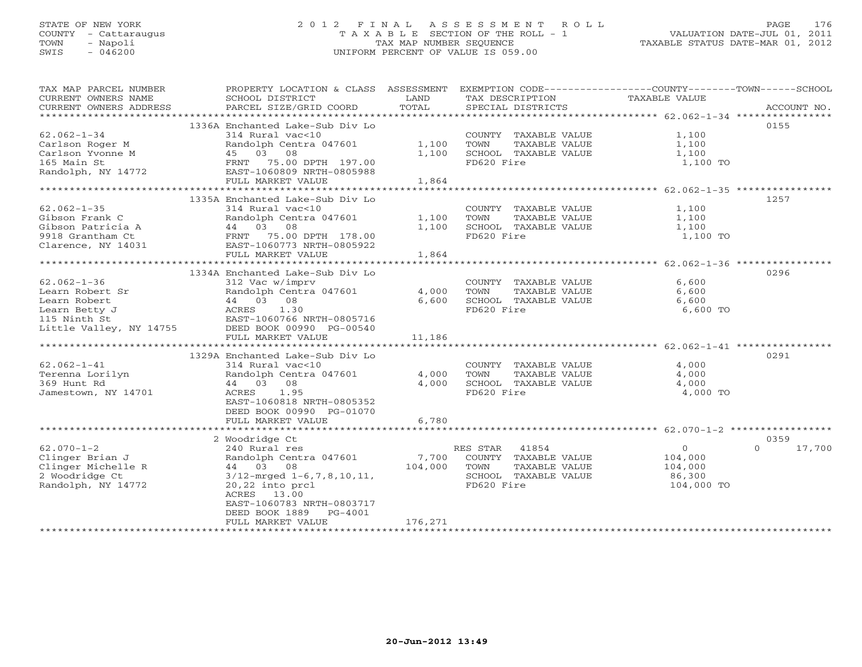# STATE OF NEW YORK 2 0 1 2 F I N A L A S S E S S M E N T R O L L PAGE 176 COUNTY - Cattaraugus T A X A B L E SECTION OF THE ROLL - 1 VALUATION DATE-JUL 01, 2011 TOWN - Napoli TAX MAP NUMBER SEQUENCE TAXABLE STATUS DATE-MAR 01, 2012 SWIS - 046200 UNIFORM PERCENT OF VALUE IS 059.00

| TAX MAP PARCEL NUMBER<br>CURRENT OWNERS NAME<br>CURRENT OWNERS ADDRESS                                                                                   | PROPERTY LOCATION & CLASS ASSESSMENT<br>SCHOOL DISTRICT<br>PARCEL SIZE/GRID COORD                                                                                                                                                                                        | LAND<br>TOTAL                     | EXEMPTION CODE-----------------COUNTY-------TOWN------SCHOOL<br>TAX DESCRIPTION<br>SPECIAL DISTRICTS                                 | TAXABLE VALUE                                          | ACCOUNT NO.                |
|----------------------------------------------------------------------------------------------------------------------------------------------------------|--------------------------------------------------------------------------------------------------------------------------------------------------------------------------------------------------------------------------------------------------------------------------|-----------------------------------|--------------------------------------------------------------------------------------------------------------------------------------|--------------------------------------------------------|----------------------------|
| $62.062 - 1 - 34$<br>Carlson Roger M<br>Carlson Yvonne M<br>165 Main St<br>Randolph, NY 14772                                                            | 1336A Enchanted Lake-Sub Div Lo<br>314 Rural vac<10<br>Randolph Centra 047601<br>45 03 08<br>FRNT 75.00 DPTH 197.00<br>EAST-1060809 NRTH-0805988<br>FULL MARKET VALUE                                                                                                    | 1,100<br>1,100<br>1,864           | COUNTY TAXABLE VALUE<br>TAXABLE VALUE<br>TOWN<br>SCHOOL TAXABLE VALUE<br>FD620 Fire                                                  | 1,100<br>1,100<br>1,100<br>1,100 TO                    | 0155                       |
|                                                                                                                                                          |                                                                                                                                                                                                                                                                          |                                   |                                                                                                                                      |                                                        |                            |
| $62.062 - 1 - 35$<br>Gibson Frank C<br>Gibson Patricia A<br>9918 Grantham Ct<br>Clarence, NY 14031                                                       | 1335A Enchanted Lake-Sub Div Lo<br>314 Rural vac<10<br>Randolph Centra 047601<br>44 03 08<br>FRNT 75.00 DPTH 178.00<br>EAST-1060773 NRTH-0805922<br>FULL MARKET VALUE                                                                                                    | 1,100<br>1,100<br>1,864           | COUNTY TAXABLE VALUE<br>TOWN<br>TAXABLE VALUE<br>SCHOOL TAXABLE VALUE<br>FD620 Fire                                                  | 1,100<br>1,100<br>1,100<br>1,100 TO                    | 1257                       |
|                                                                                                                                                          |                                                                                                                                                                                                                                                                          |                                   |                                                                                                                                      |                                                        |                            |
| $62.062 - 1 - 36$<br>Learn Robert Sr<br>Learn Robert<br>Learn Betty J<br>115 Ninth St<br>Little Valley, NY 14755<br>$62.062 - 1 - 41$<br>Terenna Lorilyn | 1334A Enchanted Lake-Sub Div Lo<br>312 Vac w/imprv<br>Randolph Centra 047601<br>44 03 08<br>ACRES<br>1.30<br>EAST-1060766 NRTH-0805716<br>DEED BOOK 00990 PG-00540<br>FULL MARKET VALUE<br>1329A Enchanted Lake-Sub Div Lo<br>314 Rural vac<10<br>Randolph Centra 047601 | 4,000<br>6,600<br>11,186<br>4,000 | COUNTY TAXABLE VALUE<br>TAXABLE VALUE<br>TOWN<br>SCHOOL TAXABLE VALUE<br>FD620 Fire<br>COUNTY TAXABLE VALUE<br>TOWN<br>TAXABLE VALUE | 6,600<br>6,600<br>6,600<br>6,600 TO<br>4,000<br>4,000  | 0296<br>0291               |
| 369 Hunt Rd<br>Jamestown, NY 14701                                                                                                                       | 44 03 08<br>ACRES<br>1.95<br>EAST-1060818 NRTH-0805352<br>DEED BOOK 00990 PG-01070<br>FULL MARKET VALUE                                                                                                                                                                  | 4,000<br>6,780                    | SCHOOL TAXABLE VALUE<br>FD620 Fire                                                                                                   | 4,000<br>4,000 TO                                      |                            |
|                                                                                                                                                          |                                                                                                                                                                                                                                                                          |                                   |                                                                                                                                      |                                                        |                            |
| $62.070 - 1 - 2$<br>Clinger Brian J<br>Clinger Michelle R<br>2 Woodridge Ct<br>Randolph, NY 14772                                                        | 2 Woodridge Ct<br>240 Rural res<br>Randolph Centra 047601<br>44 03 08<br>$3/12$ -mrged $1-6, 7, 8, 10, 11,$<br>$20,22$ into $prcl$<br>ACRES 13.00<br>EAST-1060783 NRTH-0803717<br>DEED BOOK 1889<br>PG-4001                                                              | 7,700<br>104,000                  | RES STAR<br>41854<br>COUNTY TAXABLE VALUE<br>TOWN<br>TAXABLE VALUE<br>SCHOOL TAXABLE VALUE<br>FD620 Fire                             | $\Omega$<br>104,000<br>104,000<br>86,300<br>104,000 TO | 0359<br>$\Omega$<br>17,700 |
|                                                                                                                                                          | FULL MARKET VALUE                                                                                                                                                                                                                                                        | 176,271                           |                                                                                                                                      |                                                        |                            |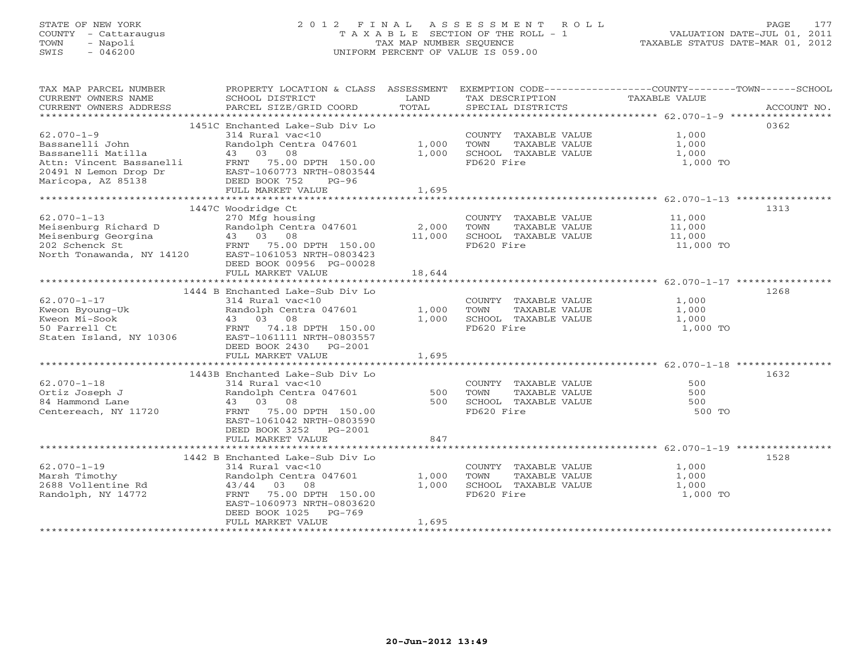# STATE OF NEW YORK 2 0 1 2 F I N A L A S S E S S M E N T R O L L PAGE 177 COUNTY - Cattaraugus T A X A B L E SECTION OF THE ROLL - 1 VALUATION DATE-JUL 01, 2011 TOWN - Napoli TAX MAP NUMBER SEQUENCE TAXABLE STATUS DATE-MAR 01, 2012 SWIS - 046200 UNIFORM PERCENT OF VALUE IS 059.00UNIFORM PERCENT OF VALUE IS 059.00

| TAX MAP PARCEL NUMBER<br>CURRENT OWNERS NAME<br>CURRENT OWNERS ADDRESS                                                               | PROPERTY LOCATION & CLASS ASSESSMENT<br>SCHOOL DISTRICT<br>PARCEL SIZE/GRID COORD                                                                                                                          | LAND<br>TOTAL           | EXEMPTION CODE-----------------COUNTY-------TOWN------SCHOOL<br>TAX DESCRIPTION<br>SPECIAL DISTRICTS | TAXABLE VALUE                           | ACCOUNT NO. |
|--------------------------------------------------------------------------------------------------------------------------------------|------------------------------------------------------------------------------------------------------------------------------------------------------------------------------------------------------------|-------------------------|------------------------------------------------------------------------------------------------------|-----------------------------------------|-------------|
| $62.070 - 1 - 9$<br>Bassanelli John<br>Bassanelli Matilla<br>Attn: Vincent Bassanelli<br>20491 N Lemon Drop Dr<br>Maricopa, AZ 85138 | 1451C Enchanted Lake-Sub Div Lo<br>314 Rural vac<10<br>Randolph Centra 047601<br>43 03 08<br>FRNT 75.00 DPTH 150.00<br>EAST-1060773 NRTH-0803544<br>DEED BOOK 752<br>$PG-96$<br>FULL MARKET VALUE          | 1,000<br>1,000<br>1,695 | COUNTY TAXABLE VALUE<br>TOWN<br>TAXABLE VALUE<br>SCHOOL TAXABLE VALUE<br>FD620 Fire                  | 1,000<br>1,000<br>1,000<br>1,000 TO     | 0362        |
|                                                                                                                                      |                                                                                                                                                                                                            |                         |                                                                                                      |                                         |             |
| $62.070 - 1 - 13$<br>Meisenburg Richard D<br>Meisenburg Georgina (13)<br>202 Schenck St (13)<br>North Tonawanda, NY 14120 (14)       | 1447C Woodridge Ct<br>270 Mfg housing<br>Randolph Centra 047601<br>43 03 08<br>75.00 DPTH 150.00<br>EAST-1061053 NRTH-0803423<br>DEED BOOK 00956 PG-00028                                                  | 2,000<br>11,000         | COUNTY TAXABLE VALUE<br>TOWN<br>TAXABLE VALUE<br>SCHOOL TAXABLE VALUE<br>FD620 Fire                  | 11,000<br>11,000<br>11,000<br>11,000 TO | 1313        |
|                                                                                                                                      | FULL MARKET VALUE                                                                                                                                                                                          | 18,644                  |                                                                                                      |                                         |             |
|                                                                                                                                      |                                                                                                                                                                                                            |                         |                                                                                                      |                                         |             |
| $62.070 - 1 - 17$<br>Kweon Byoung-Uk<br>Kweon Mi-Sook<br>50 Farrell Ct<br>Staten Island, NY 10306                                    | 1444 B Enchanted Lake-Sub Div Lo<br>314 Rural vac<10<br>Randolph Centra 047601<br>43 03 08<br>FRNT 74.18 DPTH 150.00<br>EAST-1061111 NRTH-0803557                                                          | 1,000<br>1,000          | COUNTY TAXABLE VALUE<br>TOWN<br>TAXABLE VALUE<br>SCHOOL TAXABLE VALUE<br>FD620 Fire                  | 1,000<br>1,000<br>1,000<br>1,000 TO     | 1268        |
|                                                                                                                                      | DEED BOOK 2430 PG-2001<br>FULL MARKET VALUE                                                                                                                                                                | 1,695                   |                                                                                                      |                                         |             |
| $62.070 - 1 - 18$<br>Ortiz Joseph J<br>84 Hammond Lane<br>Centereach, NY 11720                                                       | 1443B Enchanted Lake-Sub Div Lo<br>314 Rural vac<10<br>Randolph Centra 047601<br>43 03 08<br>75.00 DPTH 150.00<br>FRNT<br>EAST-1061042 NRTH-0803590<br>DEED BOOK 3252<br>PG-2001                           | 500<br>500              | COUNTY TAXABLE VALUE<br>TOWN<br>TAXABLE VALUE<br>SCHOOL TAXABLE VALUE<br>FD620 Fire                  | 500<br>500<br>500<br>500 TO             | 1632        |
|                                                                                                                                      | FULL MARKET VALUE                                                                                                                                                                                          | 847                     |                                                                                                      |                                         |             |
| $62.070 - 1 - 19$<br>Marsh Timothy<br>2688 Vollentine Rd<br>Randolph, NY 14772                                                       | 1442 B Enchanted Lake-Sub Div Lo<br>314 Rural vac<10<br>Randolph Centra 047601<br>43/44 03 08<br>75.00 DPTH 150.00<br>FRNT<br>EAST-1060973 NRTH-0803620<br>DEED BOOK 1025<br>$PG-769$<br>FULL MARKET VALUE | 1,000<br>1,000<br>1,695 | COUNTY TAXABLE VALUE<br>TOWN<br>TAXABLE VALUE<br>SCHOOL TAXABLE VALUE<br>FD620 Fire                  | 1,000<br>1,000<br>1,000<br>1,000 TO     | 1528        |
|                                                                                                                                      |                                                                                                                                                                                                            |                         |                                                                                                      |                                         |             |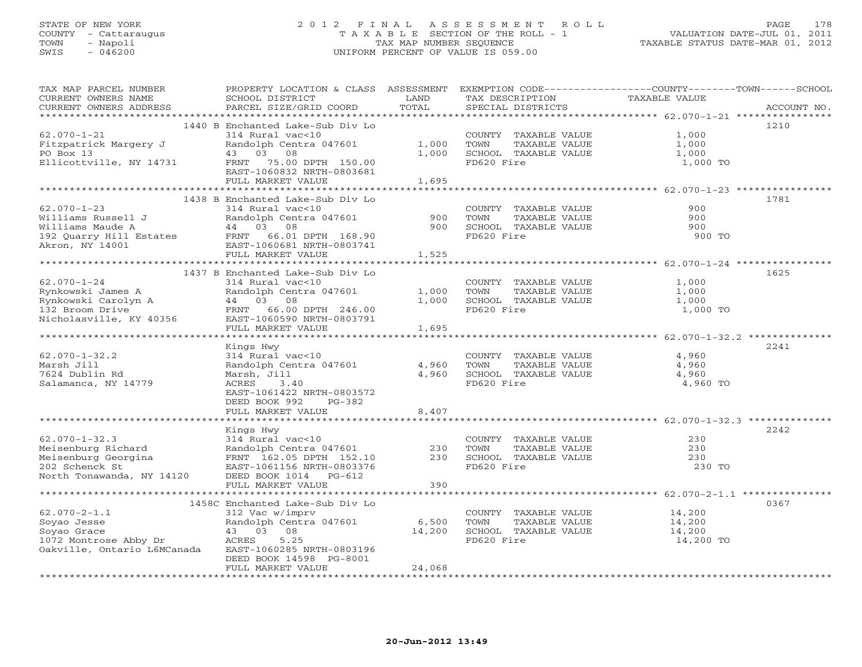# STATE OF NEW YORK 2 0 1 2 F I N A L A S S E S S M E N T R O L L PAGE 178 COUNTY - Cattaraugus T A X A B L E SECTION OF THE ROLL - 1 VALUATION DATE-JUL 01, 2011 TOWN - Napoli TAX MAP NUMBER SEQUENCE TAXABLE STATUS DATE-MAR 01, 2012 SWIS - 046200 UNIFORM PERCENT OF VALUE IS 059.00UNIFORM PERCENT OF VALUE IS 059.00

| TAX MAP PARCEL NUMBER<br>CURRENT OWNERS NAME   | SCHOOL DISTRICT                                | LAND            | TAX DESCRIPTION                               | PROPERTY LOCATION & CLASS ASSESSMENT EXEMPTION CODE----------------COUNTY-------TOWN------SCHOOL<br>TAXABLE VALUE |  |
|------------------------------------------------|------------------------------------------------|-----------------|-----------------------------------------------|-------------------------------------------------------------------------------------------------------------------|--|
| CURRENT OWNERS ADDRESS                         | PARCEL SIZE/GRID COORD                         | TOTAL           | SPECIAL DISTRICTS                             | ACCOUNT NO.                                                                                                       |  |
|                                                | 1440 B Enchanted Lake-Sub Div Lo               |                 |                                               | 1210                                                                                                              |  |
| $62.070 - 1 - 21$                              | 314 Rural vac<10                               |                 | COUNTY TAXABLE VALUE                          | 1,000                                                                                                             |  |
| Fitzpatrick Margery J                          | Randolph Centra 047601                         | 1,000           | TAXABLE VALUE<br>TOWN                         | 1,000                                                                                                             |  |
| PO Box 13                                      | 43 03 08                                       | 1,000           | SCHOOL TAXABLE VALUE                          | 1,000                                                                                                             |  |
| Ellicottville, NY 14731                        | 75.00 DPTH 150.00<br>FRNT                      |                 | FD620 Fire                                    | 1,000 TO                                                                                                          |  |
|                                                | EAST-1060832 NRTH-0803681                      |                 |                                               |                                                                                                                   |  |
|                                                | FULL MARKET VALUE                              | 1,695           |                                               |                                                                                                                   |  |
|                                                |                                                |                 |                                               |                                                                                                                   |  |
| $62.070 - 1 - 23$                              | 1438 B Enchanted Lake-Sub Div Lo               |                 |                                               | 1781<br>900                                                                                                       |  |
| Williams Russell J                             | 314 Rural vac<10<br>Randolph Centra 047601     | 900             | COUNTY TAXABLE VALUE<br>TOWN<br>TAXABLE VALUE | 900                                                                                                               |  |
| Williams Maude A                               | 44 03 08                                       | 900             | SCHOOL TAXABLE VALUE                          | 900                                                                                                               |  |
| 192 Quarry Hill Estates FRNT 66.01 DPTH 168.90 |                                                |                 | FD620 Fire                                    | 900 TO                                                                                                            |  |
| Akron, NY 14001                                | EAST-1060681 NRTH-0803741                      |                 |                                               |                                                                                                                   |  |
|                                                | FULL MARKET VALUE                              | 1,525           |                                               |                                                                                                                   |  |
|                                                |                                                |                 |                                               |                                                                                                                   |  |
|                                                | 1437 B Enchanted Lake-Sub Div Lo               |                 |                                               | 1625                                                                                                              |  |
| $62.070 - 1 - 24$                              | 314 Rural vac<10                               |                 | COUNTY TAXABLE VALUE                          | 1,000                                                                                                             |  |
| Rynkowski James A                              | Randolph Centra 047601                         | 1,000           | TOWN<br>TAXABLE VALUE                         | 1,000                                                                                                             |  |
| Rynkowski Carolyn A<br>132 Broom Drive         | 44 03 08                                       | 1,000           | SCHOOL TAXABLE VALUE                          | 1,000                                                                                                             |  |
|                                                | FRNT 66.00 DPTH 246.00                         |                 | FD620 Fire                                    | 1,000 TO                                                                                                          |  |
| Nicholasville, KY 40356                        | EAST-1060590 NRTH-0803791<br>FULL MARKET VALUE | 1,695           |                                               |                                                                                                                   |  |
|                                                |                                                |                 |                                               |                                                                                                                   |  |
|                                                | Kings Hwy                                      |                 |                                               | 2241                                                                                                              |  |
| $62.070 - 1 - 32.2$                            | 314 Rural vac<10                               |                 | COUNTY TAXABLE VALUE                          | 4,960                                                                                                             |  |
| Marsh Jill                                     | Randolph Centra 047601                         | 4,960           | TOWN<br>TAXABLE VALUE                         | 4,960                                                                                                             |  |
| 7624 Dublin Rd                                 | Marsh, Jill                                    | 4,960           | SCHOOL TAXABLE VALUE                          | 4,960                                                                                                             |  |
| Salamanca, NY 14779                            | ACRES<br>3.40                                  |                 | FD620 Fire                                    | 4,960 TO                                                                                                          |  |
|                                                | EAST-1061422 NRTH-0803572                      |                 |                                               |                                                                                                                   |  |
|                                                | DEED BOOK 992<br>PG-382                        |                 |                                               |                                                                                                                   |  |
|                                                | FULL MARKET VALUE                              | 8,407           |                                               |                                                                                                                   |  |
|                                                |                                                |                 |                                               | 2242                                                                                                              |  |
| $62.070 - 1 - 32.3$                            | Kings Hwy<br>314 Rural vac<10                  |                 | COUNTY TAXABLE VALUE                          | 230                                                                                                               |  |
| Meisenburg Richard                             | Randolph Centra 047601                         | 230             | TOWN<br>TAXABLE VALUE                         | 230                                                                                                               |  |
| Meisenburg Georgina                            | FRNT 162.05 DPTH 152.10                        | 230             | SCHOOL TAXABLE VALUE                          | 230                                                                                                               |  |
| 202 Schenck St                                 | EAST-1061156 NRTH-0803376                      |                 | FD620 Fire                                    | 230 TO                                                                                                            |  |
| North Tonawanda, NY 14120                      | DEED BOOK 1014 PG-612                          |                 |                                               |                                                                                                                   |  |
|                                                | FULL MARKET VALUE                              | 390             |                                               |                                                                                                                   |  |
|                                                |                                                |                 |                                               |                                                                                                                   |  |
|                                                | 1458C Enchanted Lake-Sub Div Lo                |                 |                                               | 0367                                                                                                              |  |
| $62.070 - 2 - 1.1$                             | 312 Vac w/imprv                                |                 | COUNTY TAXABLE VALUE                          | 14,200                                                                                                            |  |
| Soyao Jesse<br>Soyao Grace                     | Randolph Centra 047601<br>43 03<br>08          | 6,500<br>14,200 | TOWN<br>TAXABLE VALUE<br>SCHOOL TAXABLE VALUE | 14,200<br>14,200                                                                                                  |  |
| 1072 Montrose Abby Dr                          | 5.25<br>ACRES                                  |                 | FD620 Fire                                    | 14,200 TO                                                                                                         |  |
| Oakville, Ontario L6MCanada                    | EAST-1060285 NRTH-0803196                      |                 |                                               |                                                                                                                   |  |
|                                                | DEED BOOK 14598 PG-8001                        |                 |                                               |                                                                                                                   |  |
|                                                | FULL MARKET VALUE                              | 24,068          |                                               |                                                                                                                   |  |
|                                                |                                                |                 |                                               |                                                                                                                   |  |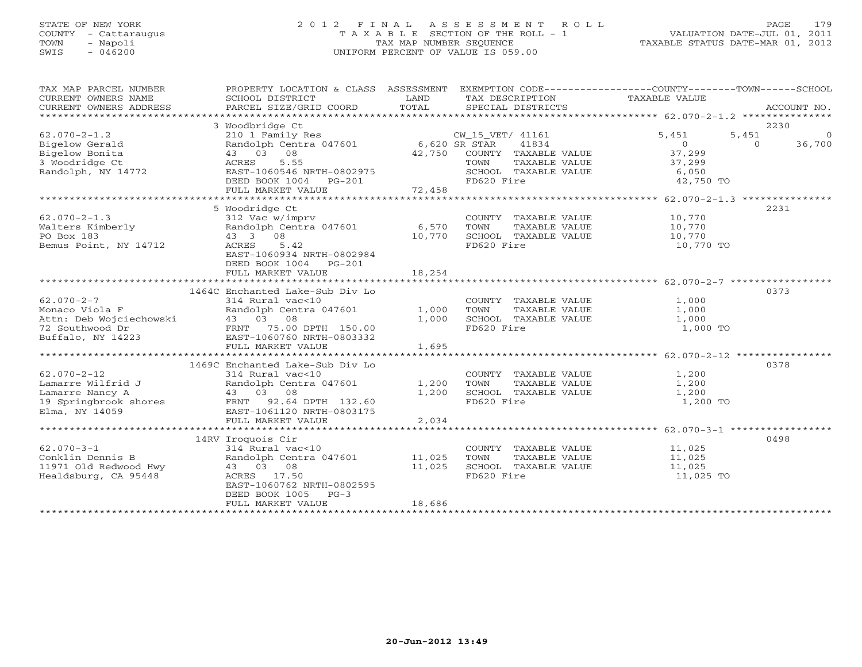## STATE OF NEW YORK 2 0 1 2 F I N A L A S S E S S M E N T R O L L PAGE 179 COUNTY - Cattaraugus T A X A B L E SECTION OF THE ROLL - 1 VALUATION DATE-JUL 01, 2011 TOWN - Napoli TAX MAP NUMBER SEQUENCE TAXABLE STATUS DATE-MAR 01, 2012 SWIS - 046200 UNIFORM PERCENT OF VALUE IS 059.00UNIFORM PERCENT OF VALUE IS 059.00

| TAX MAP PARCEL NUMBER<br>CURRENT OWNERS NAME<br>CURRENT OWNERS ADDRESS | PROPERTY LOCATION & CLASS ASSESSMENT<br>SCHOOL DISTRICT<br>PARCEL SIZE/GRID COORD | LAND<br>TOTAL |                  | SPECIAL DISTRICTS                          | EXEMPTION CODE-----------------COUNTY-------TOWN------SCHOOL<br>TAX DESCRIPTION TAXABLE VALUE |          | ACCOUNT NO. |
|------------------------------------------------------------------------|-----------------------------------------------------------------------------------|---------------|------------------|--------------------------------------------|-----------------------------------------------------------------------------------------------|----------|-------------|
|                                                                        |                                                                                   |               |                  |                                            |                                                                                               |          |             |
|                                                                        | 3 Woodbridge Ct                                                                   |               |                  |                                            |                                                                                               |          | 2230        |
| $62.070 - 2 - 1.2$                                                     |                                                                                   |               | CW_15_VET/ 41161 |                                            | 5,451                                                                                         | 5,451    | $\Omega$    |
| Bigelow Gerald                                                         | 210 1 Family Res<br>Randolph Centra 047601 6,620 SR STAR                          |               |                  | 41834                                      | 0                                                                                             | $\Omega$ | 36,700      |
| Bigelow Bonita                                                         | 43 03 08                                                                          | 42,750        |                  | COUNTY TAXABLE VALUE                       | 37,299                                                                                        |          |             |
| 3 Woodridge Ct                                                         | 5.55<br>ACRES                                                                     |               |                  |                                            | 37,299                                                                                        |          |             |
| Randolph, NY 14772                                                     | EAST-1060546 NRTH-0802975                                                         |               |                  | TOWN TAXABLE VALUE<br>SCHOOL TAXABLE VALUE | 6,050                                                                                         |          |             |
|                                                                        | DEED BOOK 1004 PG-201                                                             |               | FD620 Fire       |                                            | 42,750 TO                                                                                     |          |             |
|                                                                        |                                                                                   |               |                  |                                            |                                                                                               |          |             |
|                                                                        |                                                                                   |               |                  |                                            |                                                                                               |          |             |
|                                                                        | 5 Woodridge Ct                                                                    |               |                  |                                            |                                                                                               |          | 2231        |
| $62.070 - 2 - 1.3$                                                     | 312 Vac w/imprv                                                                   |               |                  | COUNTY TAXABLE VALUE                       | 10,770                                                                                        |          |             |
| Walters Kimberly                                                       | Randolph Centra 047601 6,570                                                      |               | TOWN             | TAXABLE VALUE                              |                                                                                               |          |             |
| PO Box 183                                                             | 43 3 08                                                                           | 10,770        |                  | SCHOOL TAXABLE VALUE                       | 10, 770                                                                                       |          |             |
| Bemus Point, NY 14712                                                  | ACRES<br>5.42                                                                     |               | FD620 Fire       |                                            | 10,770 TO                                                                                     |          |             |
|                                                                        | EAST-1060934 NRTH-0802984                                                         |               |                  |                                            |                                                                                               |          |             |
|                                                                        | DEED BOOK 1004 PG-201                                                             |               |                  |                                            |                                                                                               |          |             |
|                                                                        | FULL MARKET VALUE                                                                 | 18,254        |                  |                                            |                                                                                               |          |             |
|                                                                        |                                                                                   |               |                  |                                            |                                                                                               |          |             |
|                                                                        | 1464C Enchanted Lake-Sub Div Lo                                                   |               |                  |                                            |                                                                                               |          | 0373        |
| $62.070 - 2 - 7$                                                       | 314 Rural vac<10                                                                  |               |                  | COUNTY TAXABLE VALUE                       | 1,000                                                                                         |          |             |
| Monaco Viola F                                                         | Randolph Centra 047601                                                            | 1,000         | TOWN             | TAXABLE VALUE                              | 1,000                                                                                         |          |             |
|                                                                        | 43 03 08                                                                          | 1,000         |                  | SCHOOL TAXABLE VALUE                       | 1,000                                                                                         |          |             |
| Attn: Deb Wojciechowski<br>72 Southwood Dr<br>Buffalo, NY 14223        | FRNT 75.00 DPTH 150.00<br>EAST-1060760 NRTH-0803332                               |               | FD620 Fire       |                                            | 1,000 TO                                                                                      |          |             |
|                                                                        | FULL MARKET VALUE                                                                 | 1,695         |                  |                                            |                                                                                               |          |             |
|                                                                        |                                                                                   |               |                  |                                            |                                                                                               |          |             |
|                                                                        | 1469C Enchanted Lake-Sub Div Lo                                                   |               |                  |                                            |                                                                                               |          | 0378        |
| $62.070 - 2 - 12$                                                      | 314 Rural vac<10                                                                  |               |                  |                                            | COUNTY TAXABLE VALUE 1,200                                                                    |          |             |
| Lamarre Wilfrid J                                                      | Randolph Centra 047601                                                            | 1,200         | TOWN             | TAXABLE VALUE                              | 1,200                                                                                         |          |             |
| Lamarre Nancy A                                                        | 43 03 08                                                                          | 1,200         |                  | SCHOOL TAXABLE VALUE                       | 1,200                                                                                         |          |             |
| 19 Springbrook shores FRNT 92.64 DPTH 132.60                           |                                                                                   |               | FD620 Fire       |                                            | 1,200 TO                                                                                      |          |             |
| Elma, NY 14059                                                         | EAST-1061120 NRTH-0803175                                                         |               |                  |                                            |                                                                                               |          |             |
|                                                                        | FULL MARKET VALUE                                                                 | 2,034         |                  |                                            |                                                                                               |          |             |
|                                                                        |                                                                                   |               |                  |                                            |                                                                                               |          |             |
|                                                                        | 14RV Iroquois Cir                                                                 |               |                  |                                            |                                                                                               |          | 0498        |
| $62.070 - 3 - 1$                                                       | 314 Rural vac<10                                                                  |               |                  | COUNTY TAXABLE VALUE                       | 11,025                                                                                        |          |             |
| Conklin Dennis B                                                       | Randolph Centra 047601                                                            | 11,025        | TOWN             | TAXABLE VALUE                              | 11,025                                                                                        |          |             |
| 11971 Old Redwood Hwy                                                  | 43 03 08                                                                          | 11,025        |                  | SCHOOL TAXABLE VALUE                       | 11,025                                                                                        |          |             |
| Healdsburg, CA 95448                                                   | ACRES 17.50                                                                       |               | FD620 Fire       |                                            | 11,025 TO                                                                                     |          |             |
|                                                                        | EAST-1060762 NRTH-0802595                                                         |               |                  |                                            |                                                                                               |          |             |
|                                                                        | DEED BOOK 1005<br>$PG-3$                                                          |               |                  |                                            |                                                                                               |          |             |
|                                                                        | FULL MARKET VALUE                                                                 | 18,686        |                  |                                            |                                                                                               |          |             |
|                                                                        |                                                                                   |               |                  |                                            |                                                                                               |          |             |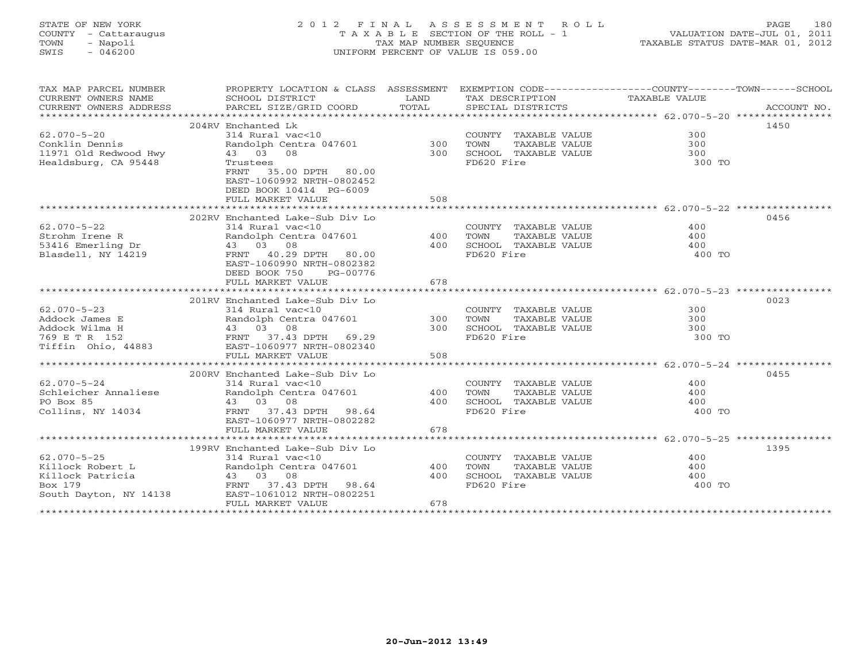# STATE OF NEW YORK 2 0 1 2 F I N A L A S S E S S M E N T R O L L PAGE 180 COUNTY - Cattaraugus T A X A B L E SECTION OF THE ROLL - 1 VALUATION DATE-JUL 01, 2011 TOWN - Napoli TAX MAP NUMBER SEQUENCE TAXABLE STATUS DATE-MAR 01, 2012 SWIS - 046200 UNIFORM PERCENT OF VALUE IS 059.00UNIFORM PERCENT OF VALUE IS 059.00

| TAX MAP PARCEL NUMBER<br>CURRENT OWNERS NAME<br>CURRENT OWNERS ADDRESS | SCHOOL DISTRICT<br>PARCEL SIZE/GRID COORD                                     | LAND<br>TOTAL | TAX DESCRIPTION<br>SPECIAL DISTRICTS | PROPERTY LOCATION & CLASS ASSESSMENT EXEMPTION CODE---------------COUNTY-------TOWN-----SCHOOL<br>TAXABLE VALUE<br>ACCOUNT NO. |
|------------------------------------------------------------------------|-------------------------------------------------------------------------------|---------------|--------------------------------------|--------------------------------------------------------------------------------------------------------------------------------|
|                                                                        |                                                                               |               |                                      |                                                                                                                                |
|                                                                        | 204RV Enchanted Lk                                                            |               |                                      | 1450                                                                                                                           |
| $62.070 - 5 - 20$                                                      |                                                                               |               | COUNTY TAXABLE VALUE                 | 300                                                                                                                            |
| Conklin Dennis                                                         |                                                                               |               | TAXABLE VALUE<br>TOWN                | 300                                                                                                                            |
| 11971 Old Redwood Hwy                                                  |                                                                               |               | SCHOOL TAXABLE VALUE                 | $\frac{300}{200}$                                                                                                              |
| Healdsburg, CA 95448                                                   | Trustees                                                                      |               | FD620 Fire                           | 300 TO                                                                                                                         |
|                                                                        | FRNT 35.00 DPTH 80.00                                                         |               |                                      |                                                                                                                                |
|                                                                        | EAST-1060992 NRTH-0802452                                                     |               |                                      |                                                                                                                                |
|                                                                        | DEED BOOK 10414 PG-6009                                                       |               |                                      |                                                                                                                                |
|                                                                        | FULL MARKET VALUE                                                             | 508           |                                      |                                                                                                                                |
|                                                                        |                                                                               |               |                                      |                                                                                                                                |
|                                                                        | 202RV Enchanted Lake-Sub Div Lo                                               |               |                                      | 0456                                                                                                                           |
| $62.070 - 5 - 22$                                                      | 314 Rural vac<10                                                              |               | COUNTY TAXABLE VALUE                 | 400                                                                                                                            |
| Strohm Irene R                                                         | Randolph Centra 047601                                                        | $400$ TOWN    | TAXABLE VALUE                        | 400                                                                                                                            |
|                                                                        | 43 03 08                                                                      | 400           | SCHOOL TAXABLE VALUE                 | 400                                                                                                                            |
| 53416 Emerling Dr<br>Blasdell, NY 14219                                | FRNT 40.29 DPTH 80.00                                                         |               | FD620 Fire                           | 400 TO                                                                                                                         |
|                                                                        | EAST-1060990 NRTH-0802382                                                     |               |                                      |                                                                                                                                |
|                                                                        | DEED BOOK 750<br>PG-00776                                                     |               |                                      |                                                                                                                                |
|                                                                        | FULL MARKET VALUE                                                             | 678           |                                      |                                                                                                                                |
|                                                                        |                                                                               |               |                                      |                                                                                                                                |
|                                                                        | 201RV Enchanted Lake-Sub Div Lo                                               |               |                                      | 0023                                                                                                                           |
| $62.070 - 5 - 23$                                                      |                                                                               |               | COUNTY TAXABLE VALUE                 | 300                                                                                                                            |
| Addock James E                                                         | ------ vubsite<br>Randolph Centra 047601 300<br>43 03 08 300<br>FDNE 3 08 300 |               |                                      |                                                                                                                                |
| Addock Wilma H                                                         |                                                                               |               |                                      |                                                                                                                                |
|                                                                        |                                                                               |               | FD620 Fire                           | 300 TO                                                                                                                         |
|                                                                        |                                                                               |               |                                      |                                                                                                                                |
|                                                                        | FULL MARKET VALUE                                                             | 508           |                                      |                                                                                                                                |
|                                                                        |                                                                               |               |                                      |                                                                                                                                |
|                                                                        | 200RV Enchanted Lake-Sub Div Lo                                               |               |                                      | 0455                                                                                                                           |
|                                                                        |                                                                               |               | COUNTY TAXABLE VALUE                 | 400                                                                                                                            |
|                                                                        | $62.070 - 5 - 24$<br>Schleicher Annaliese and Randolph Centra 047601          | 400           | TOWN<br>TAXABLE VALUE                | 400                                                                                                                            |
| PO Box 85                                                              |                                                                               | 400           | SCHOOL TAXABLE VALUE                 | 400                                                                                                                            |
| Collins, NY 14034                                                      | 43 03 08<br>FRNT 37.43 DPTH 98.64<br>106007 NPTH-0802282                      |               | FD620 Fire                           | 400 TO                                                                                                                         |
|                                                                        | EAST-1060977 NRTH-0802282                                                     |               |                                      |                                                                                                                                |
|                                                                        | FULL MARKET VALUE                                                             | 678           |                                      |                                                                                                                                |
|                                                                        |                                                                               |               |                                      |                                                                                                                                |
|                                                                        | 199RV Enchanted Lake-Sub Div Lo                                               |               |                                      | 1395                                                                                                                           |
| $62.070 - 5 - 25$                                                      | 314 Rural vac<10                                                              |               | COUNTY TAXABLE VALUE                 | 400                                                                                                                            |
| Killock Robert L                                                       | Randolph Centra 047601 400                                                    |               | TOWN<br>TAXABLE VALUE                | 400                                                                                                                            |
| Killock Patricia                                                       | Pandolph Centra 047601<br>43 03 08<br>FRNT 37.43 DPTH 98.64                   | 400           | SCHOOL TAXABLE VALUE                 | 400                                                                                                                            |
| Box 179                                                                |                                                                               |               | FD620 Fire                           | 400 TO                                                                                                                         |
|                                                                        | South Dayton, NY 14138 EAST-1061012 NRTH-0802251                              |               |                                      |                                                                                                                                |
|                                                                        | FULL MARKET VALUE                                                             | 678           |                                      |                                                                                                                                |
|                                                                        |                                                                               |               |                                      |                                                                                                                                |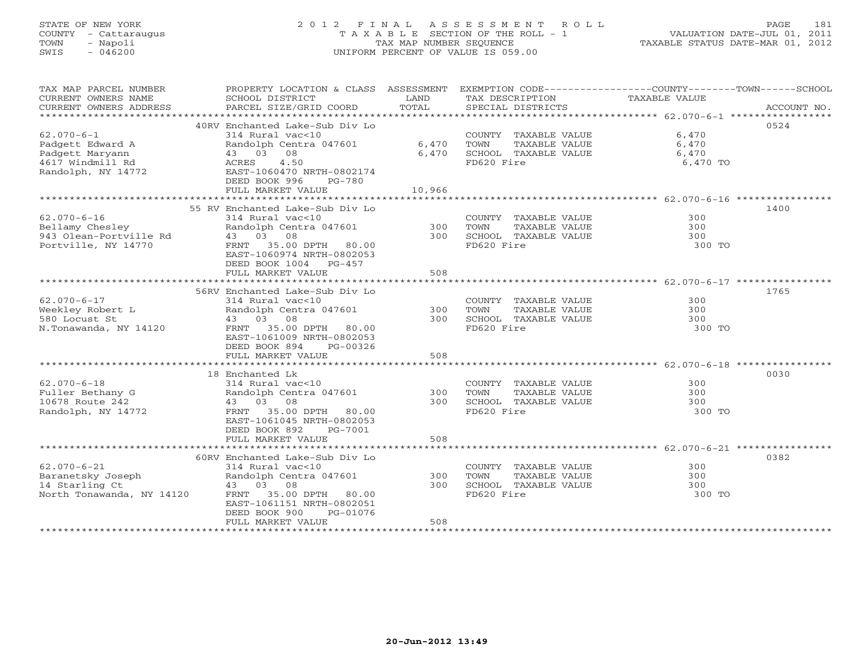# STATE OF NEW YORK 2 0 1 2 F I N A L A S S E S S M E N T R O L L PAGE 181 COUNTY - Cattaraugus T A X A B L E SECTION OF THE ROLL - 1 VALUATION DATE-JUL 01, 2011 TOWN - Napoli TAX MAP NUMBER SEQUENCE TAXABLE STATUS DATE-MAR 01, 2012 SWIS - 046200 UNIFORM PERCENT OF VALUE IS 059.00UNIFORM PERCENT OF VALUE IS 059.00

| TAX MAP PARCEL NUMBER<br>CURRENT OWNERS NAME<br>CURRENT OWNERS ADDRESS | PROPERTY LOCATION & CLASS ASSESSMENT<br>SCHOOL DISTRICT<br>PARCEL SIZE/GRID COORD | LAND<br>TOTAL | TAX DESCRIPTION<br>SPECIAL DISTRICTS | EXEMPTION CODE-----------------COUNTY-------TOWN------SCHOOL<br>TAXABLE VALUE<br>ACCOUNT NO. |
|------------------------------------------------------------------------|-----------------------------------------------------------------------------------|---------------|--------------------------------------|----------------------------------------------------------------------------------------------|
|                                                                        |                                                                                   |               |                                      |                                                                                              |
|                                                                        | 40RV Enchanted Lake-Sub Div Lo                                                    |               |                                      | 0524                                                                                         |
| $62.070 - 6 - 1$                                                       | 314 Rural vac<10                                                                  |               | COUNTY TAXABLE VALUE                 | 6,470                                                                                        |
| Padgett Edward A                                                       | Randolph Centra 047601                                                            | 6,470         | TOWN<br>TAXABLE VALUE                | 6,470                                                                                        |
| Padgett Maryann                                                        | 43 03 08                                                                          | 6,470         | SCHOOL TAXABLE VALUE                 | 6,470                                                                                        |
| 4617 Windmill Rd                                                       | 4.50<br>ACRES                                                                     |               | FD620 Fire                           | 6,470 TO                                                                                     |
| Randolph, NY 14772                                                     | EAST-1060470 NRTH-0802174                                                         |               |                                      |                                                                                              |
|                                                                        | DEED BOOK 996<br>$PG-780$                                                         |               |                                      |                                                                                              |
|                                                                        | FULL MARKET VALUE                                                                 | 10,966        |                                      |                                                                                              |
|                                                                        |                                                                                   |               |                                      |                                                                                              |
|                                                                        | 55 RV Enchanted Lake-Sub Div Lo                                                   |               |                                      | 1400                                                                                         |
| $62.070 - 6 - 16$                                                      | 314 Rural vac<10                                                                  |               | COUNTY TAXABLE VALUE                 | 300                                                                                          |
| Bellamy Chesley                                                        | Randolph Centra 047601                                                            | 300           | TOWN<br>TAXABLE VALUE                | 300                                                                                          |
| 943 Olean-Portville Rd                                                 | 43 03 08                                                                          | 300           | SCHOOL TAXABLE VALUE                 | 300                                                                                          |
| Portville, NY 14770                                                    | FRNT<br>35.00 DPTH<br>80.00                                                       |               | FD620 Fire                           | 300 TO                                                                                       |
|                                                                        | EAST-1060974 NRTH-0802053                                                         |               |                                      |                                                                                              |
|                                                                        | DEED BOOK 1004 PG-457                                                             |               |                                      |                                                                                              |
|                                                                        | FULL MARKET VALUE                                                                 | 508           |                                      |                                                                                              |
|                                                                        |                                                                                   | **********    |                                      | ******************** 62.070-6-17 ***********                                                 |
|                                                                        | 56RV Enchanted Lake-Sub Div Lo                                                    |               |                                      | 1765                                                                                         |
| $62.070 - 6 - 17$                                                      | 314 Rural vac<10                                                                  |               | COUNTY TAXABLE VALUE                 | 300                                                                                          |
| Weekley Robert L                                                       | Randolph Centra 047601                                                            | 300           | TOWN<br>TAXABLE VALUE                | 300                                                                                          |
| 580 Locust St                                                          | 43 03 08                                                                          | 300           | SCHOOL TAXABLE VALUE                 | 300                                                                                          |
|                                                                        |                                                                                   |               |                                      |                                                                                              |
| N.Tonawanda, NY 14120                                                  | 35.00 DPTH<br>80.00<br>FRNT                                                       |               | FD620 Fire                           | 300 TO                                                                                       |
|                                                                        | EAST-1061009 NRTH-0802053                                                         |               |                                      |                                                                                              |
|                                                                        | DEED BOOK 894<br>PG-00326                                                         |               |                                      |                                                                                              |
|                                                                        | FULL MARKET VALUE                                                                 | 508           |                                      |                                                                                              |
|                                                                        |                                                                                   |               |                                      |                                                                                              |
|                                                                        | 18 Enchanted Lk                                                                   |               |                                      | 0030                                                                                         |
| $62.070 - 6 - 18$                                                      | 314 Rural vac<10                                                                  |               | COUNTY TAXABLE VALUE                 | 300                                                                                          |
| Fuller Bethany G                                                       | Randolph Centra 047601                                                            | 300           | TOWN<br>TAXABLE VALUE                | 300                                                                                          |
| 10678 Route 242                                                        | 43 03 08                                                                          | 300           | SCHOOL TAXABLE VALUE                 | 300                                                                                          |
| Randolph, NY 14772                                                     | 35.00 DPTH<br>80.00<br>FRNT                                                       |               | FD620 Fire                           | 300 TO                                                                                       |
|                                                                        | EAST-1061045 NRTH-0802053                                                         |               |                                      |                                                                                              |
|                                                                        | DEED BOOK 892<br>PG-7001                                                          |               |                                      |                                                                                              |
|                                                                        | FULL MARKET VALUE                                                                 | 508           |                                      |                                                                                              |
|                                                                        |                                                                                   |               |                                      |                                                                                              |
|                                                                        | 60RV Enchanted Lake-Sub Div Lo                                                    |               |                                      | 0382                                                                                         |
| $62.070 - 6 - 21$                                                      | 314 Rural vac<10                                                                  |               | COUNTY TAXABLE VALUE                 | 300                                                                                          |
| Baranetsky Joseph                                                      | Randolph Centra 047601                                                            | 300           | TOWN<br>TAXABLE VALUE                | 300                                                                                          |
| 14 Starling Ct                                                         | 43 03 08                                                                          | 300           | SCHOOL TAXABLE VALUE                 | 300                                                                                          |
| North Tonawanda, NY 14120                                              | 35.00 DPTH<br>FRNT<br>80.00                                                       |               | FD620 Fire                           | 300 TO                                                                                       |
|                                                                        | EAST-1061151 NRTH-0802051                                                         |               |                                      |                                                                                              |
|                                                                        | DEED BOOK 900<br>PG-01076                                                         |               |                                      |                                                                                              |
|                                                                        | FULL MARKET VALUE                                                                 | 508           |                                      |                                                                                              |
|                                                                        |                                                                                   |               |                                      |                                                                                              |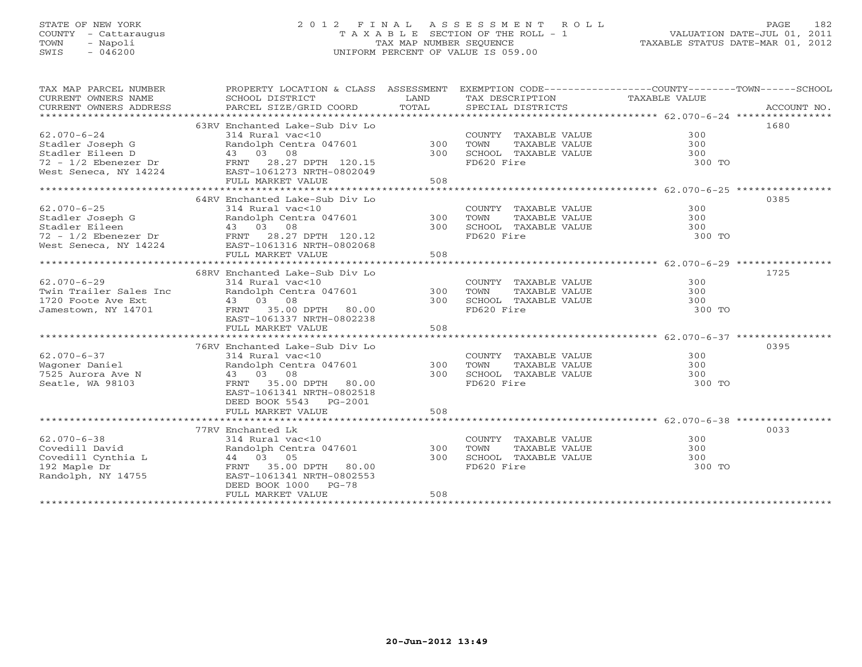# STATE OF NEW YORK 2 0 1 2 F I N A L A S S E S S M E N T R O L L PAGE 182 COUNTY - Cattaraugus T A X A B L E SECTION OF THE ROLL - 1 VALUATION DATE-JUL 01, 2011 TOWN - Napoli TAX MAP NUMBER SEQUENCE TAXABLE STATUS DATE-MAR 01, 2012 SWIS - 046200 UNIFORM PERCENT OF VALUE IS 059.00UNIFORM PERCENT OF VALUE IS 059.00

| TAX MAP PARCEL NUMBER<br>CURRENT OWNERS NAME<br>CURRENT OWNERS ADDRESS                                                                                                                                                   | PROPERTY LOCATION & CLASS ASSESSMENT<br>SCHOOL DISTRICT<br>PARCEL SIZE/GRID COORD                                                                                                                    | LAND<br>TOTAL     | EXEMPTION CODE-----------------COUNTY-------TOWN------SCHOOL<br>TAX DESCRIPTION TAXABLE VALUE<br>SPECIAL DISTRICTS |                             | ACCOUNT NO. |
|--------------------------------------------------------------------------------------------------------------------------------------------------------------------------------------------------------------------------|------------------------------------------------------------------------------------------------------------------------------------------------------------------------------------------------------|-------------------|--------------------------------------------------------------------------------------------------------------------|-----------------------------|-------------|
| $62.070 - 6 - 24$<br>Stadler Joseph G<br>Stadler Eileen D<br>72 - 1/2 Ebenezer Dr FRNT 28.27 DPTH 120.15<br>West Seneca, NY 14224                                                                                        | 63RV Enchanted Lake-Sub Div Lo<br>314 Rural vac<10<br>Randolph Centra 047601 300<br>43 03 08<br>EAST-1061273 NRTH-0802049                                                                            | 300               | COUNTY TAXABLE VALUE<br>TOWN<br>TAXABLE VALUE<br>SCHOOL TAXABLE VALUE<br>FD620 Fire                                | 300<br>300<br>300<br>300 TO | 1680        |
|                                                                                                                                                                                                                          | FULL MARKET VALUE                                                                                                                                                                                    | 508               |                                                                                                                    |                             |             |
| $62.070 - 6 - 25$<br>Stadler Joseph G<br>Stadler Eileen<br>Stadler Eileen                                   43     03     08<br>72 – 1/2 Ebenezer Dr               FRNT     28.27 DPTH   120.12<br>West Seneca, NY 14224 | 64RV Enchanted Lake-Sub Div Lo<br>314 Rural vac<10<br>Randolph Centra 047601 300<br>43 03 08<br>EAST-1061316 NRTH-0802068<br>FULL MARKET VALUE                                                       | 300<br>508        | COUNTY TAXABLE VALUE<br>TOWN<br>TAXABLE VALUE<br>SCHOOL TAXABLE VALUE<br>FD620 Fire                                | 300<br>300<br>300<br>300 TO | 0385        |
|                                                                                                                                                                                                                          | 68RV Enchanted Lake-Sub Div Lo                                                                                                                                                                       |                   |                                                                                                                    |                             | 1725        |
| $62.070 - 6 - 29$<br>Twin Trailer Sales Inc<br>1720 Foote Ave Ext<br>Jamestown, NY 14701                                                                                                                                 | 314 Rural vac<10<br>Randolph Centra 047601<br>43 03 08<br>FRNT 35.00 DPTH 80.00<br>EAST-1061337 NRTH-0802238<br>FULL MARKET VALUE                                                                    | 300<br>300<br>508 | COUNTY TAXABLE VALUE<br>TOWN<br>TAXABLE VALUE<br>SCHOOL TAXABLE VALUE<br>FD620 Fire                                | 300<br>300<br>300<br>300 TO |             |
|                                                                                                                                                                                                                          |                                                                                                                                                                                                      |                   |                                                                                                                    |                             |             |
| $62.070 - 6 - 37$<br>Wagoner Daniel<br>7525 Aurora Ave N<br>Seatle, WA 98103                                                                                                                                             | 76RV Enchanted Lake-Sub Div Lo<br>314 Rural vac<10<br>Randolph Centra 047601 300<br>$43$ $03$ $08$<br>FRNT $25$ $08$<br>FRNT 35.00 DPTH 80.00<br>EAST-1061341 NRTH-0802518<br>DEED BOOK 5543 PG-2001 | 300               | COUNTY TAXABLE VALUE<br>TOWN<br>TAXABLE VALUE<br>SCHOOL TAXABLE VALUE<br>FD620 Fire                                | 300<br>300<br>300<br>300 TO | 0395        |
|                                                                                                                                                                                                                          | FULL MARKET VALUE                                                                                                                                                                                    | 508               |                                                                                                                    |                             |             |
|                                                                                                                                                                                                                          | 77RV Enchanted Lk                                                                                                                                                                                    |                   |                                                                                                                    |                             | 0033        |
| $62.070 - 6 - 38$<br>Covedill David<br>Covedill Cynthia L<br>192 Maple Dr<br>Randolph, NY 14755                                                                                                                          | 314 Rural vac<10<br>Randolph Centra 047601<br>44 03 05<br>FRNT<br>35.00 DPTH 80.00<br>EAST-1061341 NRTH-0802553<br>DEED BOOK 1000 PG-78<br>FULL MARKET VALUE                                         | 300<br>300<br>508 | COUNTY TAXABLE VALUE<br>TAXABLE VALUE<br>TOWN<br>SCHOOL TAXABLE VALUE<br>FD620 Fire                                | 300<br>300<br>300<br>300 TO |             |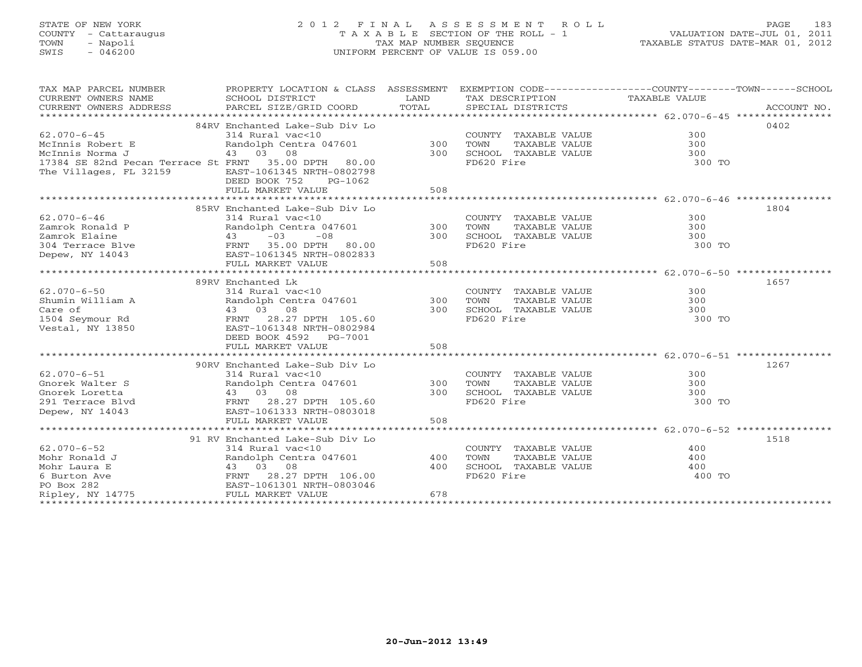# STATE OF NEW YORK 2 0 1 2 F I N A L A S S E S S M E N T R O L L PAGE 183 COUNTY - Cattaraugus T A X A B L E SECTION OF THE ROLL - 1 VALUATION DATE-JUL 01, 2011 TOWN - Napoli TAX MAP NUMBER SEQUENCE TAXABLE STATUS DATE-MAR 01, 2012 SWIS - 046200 UNIFORM PERCENT OF VALUE IS 059.00UNIFORM PERCENT OF VALUE IS 059.00

| TAX MAP PARCEL NUMBER                                | PROPERTY LOCATION & CLASS ASSESSMENT EXEMPTION CODE---------------COUNTY-------TOWN------SCHOOL  |            |                                               |        |             |
|------------------------------------------------------|--------------------------------------------------------------------------------------------------|------------|-----------------------------------------------|--------|-------------|
| CURRENT OWNERS NAME                                  | SCHOOL DISTRICT<br><b>Example 1. AND</b>                                                         |            | TAX DESCRIPTION TAXABLE VALUE                 |        |             |
| CURRENT OWNERS ADDRESS                               | PARCEL SIZE/GRID COORD                                                                           | TOTAL      | SPECIAL DISTRICTS                             |        | ACCOUNT NO. |
|                                                      |                                                                                                  |            |                                               |        |             |
|                                                      | 84RV Enchanted Lake-Sub Div Lo<br>314 Rural vac<10<br>Randolph Centra 047601 300<br>43 03 08 300 |            |                                               |        | 0402        |
| $62.070 - 6 - 45$                                    |                                                                                                  |            | COUNTY TAXABLE VALUE                          | 300    |             |
| McInnis Robert E                                     |                                                                                                  |            | TAXABLE VALUE<br>TOWN                         | 300    |             |
| McInnis Norma J                                      |                                                                                                  |            | SCHOOL TAXABLE VALUE 300                      |        |             |
| 17384 SE 82nd Pecan Terrace St FRNT 35.00 DPTH 80.00 |                                                                                                  |            | FD620 Fire                                    | 300 TO |             |
| The Villages, FL 32159                               | EAST-1061345 NRTH-0802798                                                                        |            |                                               |        |             |
|                                                      | DEED BOOK 752<br>PG-1062                                                                         |            |                                               |        |             |
|                                                      | FULL MARKET VALUE                                                                                | 508        |                                               |        |             |
|                                                      |                                                                                                  |            |                                               |        |             |
|                                                      | 85RV Enchanted Lake-Sub Div Lo                                                                   |            |                                               |        | 1804        |
| $62.070 - 6 - 46$                                    | 314 Rural vac<10                                                                                 |            | COUNTY TAXABLE VALUE                          | 300    |             |
| Zamrok Ronald P                                      | Randolph Centra 047601 300                                                                       |            | TAXABLE VALUE<br>TOWN                         | 300    |             |
|                                                      |                                                                                                  | 300        | SCHOOL TAXABLE VALUE                          | 300    |             |
|                                                      |                                                                                                  |            | FD620 Fire                                    | 300 TO |             |
|                                                      |                                                                                                  |            |                                               |        |             |
|                                                      | FULL MARKET VALUE                                                                                | 508        |                                               |        |             |
|                                                      |                                                                                                  |            |                                               |        |             |
|                                                      | 89RV Enchanted Lk                                                                                |            |                                               |        | 1657        |
| $62.070 - 6 - 50$                                    | 314 Rural vac<10                                                                                 |            | COUNTY TAXABLE VALUE                          | 300    |             |
| Shumin William A                                     | Randolph Centra 047601                                                                           | $300$ TOWN | TAXABLE VALUE                                 | 300    |             |
| Care of                                              |                                                                                                  | 300        | SCHOOL TAXABLE VALUE                          | 300    |             |
| 1504 Seymour Rd                                      | 43 03 08<br>FRNT 28.27 DPTH 105.60                                                               |            | FD620 Fire                                    | 300 TO |             |
| Vestal, NY 13850                                     | EAST-1061348 NRTH-0802984                                                                        |            |                                               |        |             |
|                                                      | DEED BOOK 4592 PG-7001                                                                           |            |                                               |        |             |
|                                                      | FULL MARKET VALUE                                                                                | 508        |                                               |        |             |
|                                                      |                                                                                                  |            |                                               |        |             |
|                                                      | 90RV Enchanted Lake-Sub Div Lo                                                                   |            |                                               |        | 1267        |
| $62.070 - 6 - 51$                                    | 314 Rural vac<10                                                                                 |            | COUNTY TAXABLE VALUE                          | 300    |             |
| Gnorek Walter S                                      | Randolph Centra 047601                                                                           | 300        | TOWN<br>TAXABLE VALUE                         | 300    |             |
| Gnorek Loretta                                       | 43 03 08                                                                                         | 300        | SCHOOL TAXABLE VALUE                          | 300    |             |
| 291 Terrace Blvd                                     |                                                                                                  |            | FD620 Fire                                    | 300 TO |             |
| Depew, NY 14043                                      | EAST-1061333 NRTH-0803018                                                                        |            |                                               |        |             |
|                                                      | FULL MARKET VALUE                                                                                | 508        |                                               |        |             |
|                                                      |                                                                                                  |            |                                               |        |             |
|                                                      | 91 RV Enchanted Lake-Sub Div Lo                                                                  |            |                                               |        | 1518        |
| $62.070 - 6 - 52$                                    |                                                                                                  |            |                                               | 400    |             |
|                                                      | 314 Rural vac<10<br>Randolph Centra 047601 400                                                   |            | COUNTY TAXABLE VALUE<br>TAXABLE VALUE<br>TOWN | 400    |             |
|                                                      |                                                                                                  |            |                                               |        |             |
|                                                      |                                                                                                  | 400        | SCHOOL TAXABLE VALUE                          | 400    |             |
|                                                      |                                                                                                  |            | FD620 Fire                                    | 400 TO |             |
|                                                      |                                                                                                  |            |                                               |        |             |
|                                                      |                                                                                                  | 678        |                                               |        |             |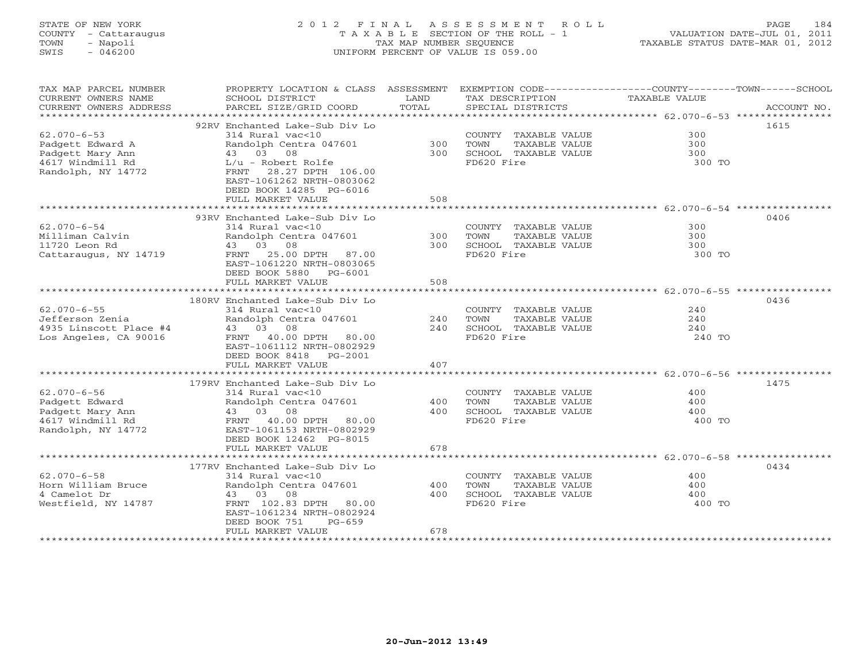# STATE OF NEW YORK 2 0 1 2 F I N A L A S S E S S M E N T R O L L PAGE 184 COUNTY - Cattaraugus T A X A B L E SECTION OF THE ROLL - 1 VALUATION DATE-JUL 01, 2011 TOWN - Napoli TAX MAP NUMBER SEQUENCE TAXABLE STATUS DATE-MAR 01, 2012 SWIS - 046200 UNIFORM PERCENT OF VALUE IS 059.00UNIFORM PERCENT OF VALUE IS 059.00

| TAX MAP PARCEL NUMBER<br>CURRENT OWNERS NAME<br>CURRENT OWNERS ADDRESS | PROPERTY LOCATION & CLASS ASSESSMENT<br>SCHOOL DISTRICT<br>PARCEL SIZE/GRID COORD | LAND<br>TOTAL | EXEMPTION CODE-----------------COUNTY-------TOWN-----SCHOOL<br>TAX DESCRIPTION<br>SPECIAL DISTRICTS | TAXABLE VALUE | ACCOUNT NO. |
|------------------------------------------------------------------------|-----------------------------------------------------------------------------------|---------------|-----------------------------------------------------------------------------------------------------|---------------|-------------|
| ***********************                                                |                                                                                   |               |                                                                                                     |               |             |
|                                                                        | 92RV Enchanted Lake-Sub Div Lo                                                    |               |                                                                                                     |               | 1615        |
| $62.070 - 6 - 53$                                                      | 314 Rural vac<10                                                                  |               | COUNTY TAXABLE VALUE                                                                                | 300           |             |
| Padgett Edward A                                                       | Randolph Centra 047601                                                            | 300           | TOWN<br>TAXABLE VALUE                                                                               | 300           |             |
| Padgett Mary Ann                                                       | 43 03 08                                                                          | 300           | SCHOOL TAXABLE VALUE                                                                                | 300           |             |
| 4617 Windmill Rd                                                       | $L/u$ - Robert Rolfe                                                              |               | FD620 Fire                                                                                          | 300 TO        |             |
| Randolph, NY 14772                                                     | FRNT 28.27 DPTH 106.00                                                            |               |                                                                                                     |               |             |
|                                                                        | EAST-1061262 NRTH-0803062                                                         |               |                                                                                                     |               |             |
|                                                                        | DEED BOOK 14285 PG-6016                                                           |               |                                                                                                     |               |             |
|                                                                        | FULL MARKET VALUE                                                                 | 508           |                                                                                                     |               |             |
|                                                                        |                                                                                   |               |                                                                                                     |               |             |
|                                                                        | 93RV Enchanted Lake-Sub Div Lo                                                    |               |                                                                                                     |               | 0406        |
| $62.070 - 6 - 54$                                                      | 314 Rural vac<10                                                                  |               | COUNTY TAXABLE VALUE                                                                                | 300           |             |
| Milliman Calvin                                                        | Randolph Centra 047601                                                            | 300           | TOWN<br>TAXABLE VALUE                                                                               | 300           |             |
| 11720 Leon Rd                                                          | 43 03 08                                                                          | 300           | SCHOOL TAXABLE VALUE                                                                                | 300           |             |
| Cattaraugus, NY 14719                                                  | FRNT 25.00 DPTH 87.00                                                             |               | FD620 Fire                                                                                          | 300 TO        |             |
|                                                                        | EAST-1061220 NRTH-0803065<br>DEED BOOK 5880 PG-6001                               |               |                                                                                                     |               |             |
|                                                                        | FULL MARKET VALUE                                                                 | 508           |                                                                                                     |               |             |
|                                                                        |                                                                                   |               |                                                                                                     |               |             |
|                                                                        | 180RV Enchanted Lake-Sub Div Lo                                                   |               |                                                                                                     |               | 0436        |
| $62.070 - 6 - 55$                                                      | 314 Rural vac<10                                                                  |               | COUNTY TAXABLE VALUE                                                                                | 240           |             |
| Jefferson Zenia                                                        | Randolph Centra 047601                                                            | 240           | TOWN<br>TAXABLE VALUE                                                                               | 240           |             |
| 4935 Linscott Place #4                                                 | 43 03 08                                                                          | 240           | SCHOOL TAXABLE VALUE                                                                                | 240           |             |
| Los Angeles, CA 90016                                                  | FRNT 40.00 DPTH 80.00                                                             |               | FD620 Fire                                                                                          | 240 TO        |             |
|                                                                        | EAST-1061112 NRTH-0802929                                                         |               |                                                                                                     |               |             |
|                                                                        | DEED BOOK 8418 PG-2001                                                            |               |                                                                                                     |               |             |
|                                                                        | FULL MARKET VALUE                                                                 | 407           |                                                                                                     |               |             |
|                                                                        |                                                                                   |               |                                                                                                     |               |             |
|                                                                        | 179RV Enchanted Lake-Sub Div Lo                                                   |               |                                                                                                     |               | 1475        |
| $62.070 - 6 - 56$                                                      | 314 Rural vac<10                                                                  |               | COUNTY TAXABLE VALUE                                                                                | 400           |             |
| Padgett Edward                                                         | Randolph Centra 047601                                                            | 400           | TOWN<br>TAXABLE VALUE                                                                               | 400           |             |
| Padgett Mary Ann                                                       | 43 03 08                                                                          | 400           | SCHOOL TAXABLE VALUE                                                                                | 400           |             |
| 4617 Windmill Rd                                                       | FRNT 40.00 DPTH 80.00                                                             |               | FD620 Fire                                                                                          | 400 TO        |             |
| Randolph, NY 14772                                                     | EAST-1061153 NRTH-0802929                                                         |               |                                                                                                     |               |             |
|                                                                        | DEED BOOK 12462 PG-8015<br>FULL MARKET VALUE                                      | 678           |                                                                                                     |               |             |
|                                                                        |                                                                                   |               |                                                                                                     |               |             |
|                                                                        | 177RV Enchanted Lake-Sub Div Lo                                                   |               |                                                                                                     |               | 0434        |
| $62.070 - 6 - 58$                                                      | 314 Rural vac<10                                                                  |               | COUNTY TAXABLE VALUE                                                                                | 400           |             |
| Horn William Bruce                                                     | Randolph Centra 047601                                                            | 400           | TOWN<br>TAXABLE VALUE                                                                               | 400           |             |
| 4 Camelot Dr                                                           | 43 03 08                                                                          | 400           | SCHOOL TAXABLE VALUE                                                                                | 400           |             |
| Westfield, NY 14787                                                    | FRNT 102.83 DPTH 80.00                                                            |               | FD620 Fire                                                                                          | 400 TO        |             |
|                                                                        | EAST-1061234 NRTH-0802924                                                         |               |                                                                                                     |               |             |
|                                                                        | DEED BOOK 751<br>$PG-659$                                                         |               |                                                                                                     |               |             |
|                                                                        | FULL MARKET VALUE                                                                 | 678           |                                                                                                     |               |             |
|                                                                        |                                                                                   |               |                                                                                                     |               |             |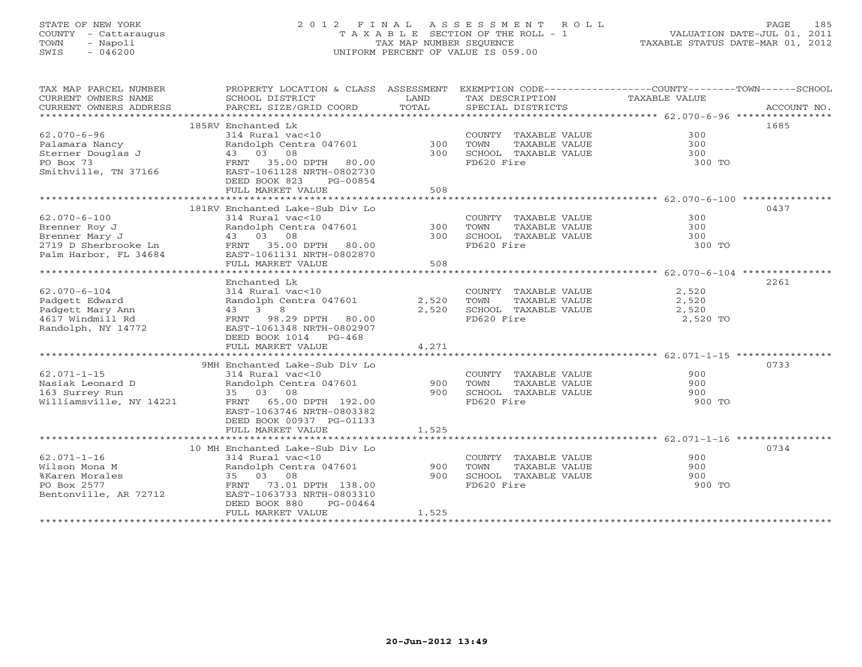# STATE OF NEW YORK 2 0 1 2 F I N A L A S S E S S M E N T R O L L PAGE 185 COUNTY - Cattaraugus T A X A B L E SECTION OF THE ROLL - 1 VALUATION DATE-JUL 01, 2011 TOWN - Napoli TAX MAP NUMBER SEQUENCE TAXABLE STATUS DATE-MAR 01, 2012 SWIS - 046200 UNIFORM PERCENT OF VALUE IS 059.00UNIFORM PERCENT OF VALUE IS 059.00

| TAX MAP PARCEL NUMBER<br>CURRENT OWNERS NAME<br>CURRENT OWNERS ADDRESS | PROPERTY LOCATION & CLASS ASSESSMENT EXEMPTION CODE---------------COUNTY-------TOWN------SCHOOL<br>SCHOOL DISTRICT<br>PARCEL SIZE/GRID COORD | LAND<br>TOTAL | TAX DESCRIPTION<br>SPECIAL DISTRICTS       | TAXABLE VALUE                 | ACCOUNT NO. |
|------------------------------------------------------------------------|----------------------------------------------------------------------------------------------------------------------------------------------|---------------|--------------------------------------------|-------------------------------|-------------|
|                                                                        |                                                                                                                                              |               |                                            |                               |             |
|                                                                        | 185RV Enchanted Lk                                                                                                                           |               |                                            |                               | 1685        |
| $62.070 - 6 - 96$                                                      | 314 Rural vac<10                                                                                                                             |               | COUNTY TAXABLE VALUE                       | 300                           |             |
| Palamara Nancy                                                         | Randolph Centra 047601 300                                                                                                                   |               | TOWN<br>TAXABLE VALUE                      | 300                           |             |
| Sterner Douglas J                                                      | 43 03 08                                                                                                                                     | 300           | SCHOOL TAXABLE VALUE                       | 300                           |             |
| PO Box 73                                                              | FRNT 35.00 DPTH 80.00                                                                                                                        |               | FD620 Fire                                 | 300 TO                        |             |
| Smithville, TN 37166                                                   | EAST-1061128 NRTH-0802730                                                                                                                    |               |                                            |                               |             |
|                                                                        | DEED BOOK 823<br>PG-00854                                                                                                                    |               |                                            |                               |             |
|                                                                        | FULL MARKET VALUE                                                                                                                            | 508           |                                            |                               |             |
|                                                                        |                                                                                                                                              |               |                                            |                               |             |
|                                                                        | 181RV Enchanted Lake-Sub Div Lo                                                                                                              |               |                                            |                               | 0437        |
| $62.070 - 6 - 100$                                                     | 314 Rural vac<10                                                                                                                             |               | COUNTY TAXABLE VALUE                       | 300                           |             |
| Brenner Roy J                                                          | Randolph Centra 047601 300 TOWN                                                                                                              |               | TAXABLE VALUE                              | 300                           |             |
|                                                                        |                                                                                                                                              |               | 300 SCHOOL TAXABLE VALUE                   | 300                           |             |
|                                                                        |                                                                                                                                              |               | FD620 Fire                                 | 300 TO                        |             |
|                                                                        |                                                                                                                                              |               |                                            |                               |             |
|                                                                        | FULL MARKET VALUE                                                                                                                            | 508           |                                            |                               |             |
|                                                                        |                                                                                                                                              |               |                                            |                               |             |
|                                                                        | Enchanted Lk                                                                                                                                 |               |                                            |                               | 2261        |
| $62.070 - 6 - 104$                                                     | 314 Rural vac<10                                                                                                                             |               | COUNTY TAXABLE VALUE                       | 2,520                         |             |
| Padgett Edward                                                         | Randolph Centra 047601                                                                                                                       | 2,520         |                                            |                               |             |
| Padgett Mary Ann                                                       | 43 3 8                                                                                                                                       | 2,520         | TOWN TAXABLE VALUE<br>SCHOOL TAXABLE VALUE | $\frac{2}{2}, \frac{52}{520}$ |             |
| 4617 Windmill Rd                                                       | FRNT 98.29 DPTH 80.00                                                                                                                        |               | FD620 Fire                                 | 2,520 TO                      |             |
| Randolph, NY 14772                                                     | EAST-1061348 NRTH-0802907                                                                                                                    |               |                                            |                               |             |
|                                                                        | DEED BOOK 1014 PG-468                                                                                                                        |               |                                            |                               |             |
|                                                                        | FULL MARKET VALUE                                                                                                                            | 4,271         |                                            |                               |             |
|                                                                        |                                                                                                                                              |               |                                            |                               |             |
|                                                                        | 9MH Enchanted Lake-Sub Div Lo                                                                                                                |               |                                            |                               | 0733        |
| $62.071 - 1 - 15$                                                      | 314 Rural vac<10                                                                                                                             |               | COUNTY TAXABLE VALUE                       | 900                           |             |
| Nasiak Leonard D                                                       | Randolph Centra 047601                                                                                                                       | 900           | TOWN<br>TAXABLE VALUE                      | 900                           |             |
| 163 Surrey Run                                                         | 35 03 08                                                                                                                                     | 900           | SCHOOL TAXABLE VALUE                       | 900                           |             |
| Williamsville, NY 14221                                                | FRNT 65.00 DPTH 192.00                                                                                                                       |               | FD620 Fire                                 | 900 TO                        |             |
|                                                                        | EAST-1063746 NRTH-0803382                                                                                                                    |               |                                            |                               |             |
|                                                                        | DEED BOOK 00937 PG-01133                                                                                                                     |               |                                            |                               |             |
|                                                                        | FULL MARKET VALUE                                                                                                                            | 1,525         |                                            |                               |             |
|                                                                        |                                                                                                                                              |               |                                            |                               |             |
|                                                                        | 10 MH Enchanted Lake-Sub Div Lo                                                                                                              |               |                                            |                               | 0734        |
| $62.071 - 1 - 16$                                                      | 314 Rural vac<10                                                                                                                             |               | COUNTY TAXABLE VALUE                       | 900                           |             |
| Wilson Mona M                                                          | Randolph Centra 047601                                                                                                                       | 900           | TOWN<br>TAXABLE VALUE                      | 900                           |             |
| %Karen Morales                                                         | 35 03 08                                                                                                                                     | 900           | SCHOOL TAXABLE VALUE                       | 900                           |             |
| PO Box 2577                                                            | FRNT<br>73.01 DPTH 138.00                                                                                                                    |               | FD620 Fire                                 | 900 TO                        |             |
| Bentonville, AR 72712                                                  | EAST-1063733 NRTH-0803310                                                                                                                    |               |                                            |                               |             |
|                                                                        | DEED BOOK 880<br>PG-00464                                                                                                                    |               |                                            |                               |             |
|                                                                        | FULL MARKET VALUE                                                                                                                            | 1,525         |                                            |                               |             |
|                                                                        |                                                                                                                                              |               |                                            |                               |             |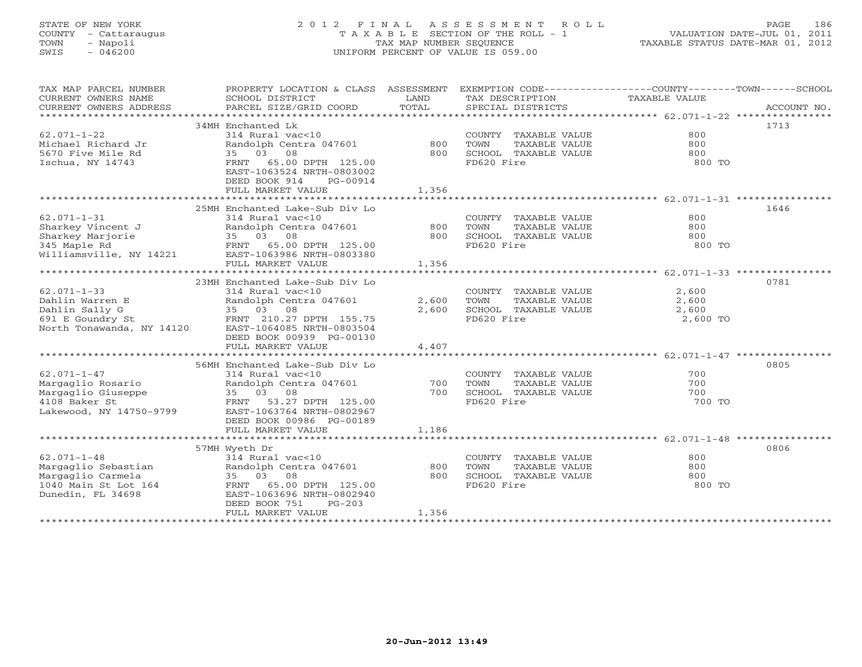# STATE OF NEW YORK 2 0 1 2 F I N A L A S S E S S M E N T R O L L PAGE 186 COUNTY - Cattaraugus T A X A B L E SECTION OF THE ROLL - 1 VALUATION DATE-JUL 01, 2011 TOWN - Napoli TAX MAP NUMBER SEQUENCE TAXABLE STATUS DATE-MAR 01, 2012 SWIS - 046200 UNIFORM PERCENT OF VALUE IS 059.00UNIFORM PERCENT OF VALUE IS 059.00

| SCHOOL DISTRICT<br>LAND<br>TAX DESCRIPTION<br>TAXABLE VALUE<br>34MH Enchanted Lk<br>1713<br>$62.071 - 1 - 22$<br>800<br>314 Rural vac<10<br>COUNTY TAXABLE VALUE<br>Randolph Centra 047601 800<br>800<br>TOWN<br>TAXABLE VALUE<br>5670 Five Mile Rd<br>35 03 08<br>800<br>SCHOOL TAXABLE VALUE<br>800<br>FRNT 65.00 DPTH 125.00<br>FD620 Fire<br>800 TO<br>EAST-1063524 NRTH-0803002<br>DEED BOOK 914<br>PG-00914<br>FULL MARKET VALUE<br>1,356<br>25MH Enchanted Lake-Sub Div Lo<br>1646<br>$62.071 - 1 - 31$<br>800<br>314 Rural vac<10<br>COUNTY TAXABLE VALUE<br>Sharkey Vincent J<br>Sharkey Marjorie 35 03 08<br>345 Maple Rd FRNT 65.00 DPTH 125.00<br>Williamsville, NY 14221 EAST-1063386 NRTH-0803380<br>FINT MARKET MARKET MARKET MARKET MARKET MARKET MARKET MARKET MARKET MARKET MARKET MARKET<br>TOWN<br>TAXABLE VALUE<br>800<br>800 SCHOOL TAXABLE VALUE<br>800<br>FD620 Fire<br>800 TO<br>1,356<br>FULL MARKET VALUE<br>23MH Enchanted Lake-Sub Div Lo<br>0781<br>$62.071 - 1 - 33$<br>2,600<br>314 Rural vac<10<br>COUNTY TAXABLE VALUE<br>Randolph Cent<br>35    03    08<br>Dahlin Warren E<br>Randolph Centra 047601<br>35 03 08<br>2,600<br>TOWN TAXABLE VALUE<br>SCHOOL TAXABLE VALUE<br>2,600<br>Dahlin Sally G<br>2,600<br>2,600<br>691 E Goundry St<br>North Tonawanda, NY 14120 EAST-1064085 NRTH-0803504<br>FD620 Fire<br>2,600 TO<br>DEED BOOK 00939 PG-00130<br>FULL MARKET VALUE<br>4,407<br>0805<br>56MH Enchanted Lake-Sub Div Lo<br>$62.071 - 1 - 47$<br>314 Rural vac<10<br>COUNTY TAXABLE VALUE<br>700<br>Randolph Centra 047601<br>700<br>TOWN<br>TAXABLE VALUE<br>700<br>700<br>SCHOOL TAXABLE VALUE<br>700<br>FD620 Fire<br>700 ፐ0<br>DEED BOOK 00986 PG-00189<br>FULL MARKET VALUE<br>1,186 | TAX MAP PARCEL NUMBER | PROPERTY LOCATION & CLASS ASSESSMENT EXEMPTION CODE----------------COUNTY-------TOWN------SCHOOL |  |  |
|------------------------------------------------------------------------------------------------------------------------------------------------------------------------------------------------------------------------------------------------------------------------------------------------------------------------------------------------------------------------------------------------------------------------------------------------------------------------------------------------------------------------------------------------------------------------------------------------------------------------------------------------------------------------------------------------------------------------------------------------------------------------------------------------------------------------------------------------------------------------------------------------------------------------------------------------------------------------------------------------------------------------------------------------------------------------------------------------------------------------------------------------------------------------------------------------------------------------------------------------------------------------------------------------------------------------------------------------------------------------------------------------------------------------------------------------------------------------------------------------------------------------------------------------------------------------------------------------------------------------------------------------------------------------------------------------------------------------------------|-----------------------|--------------------------------------------------------------------------------------------------|--|--|
|                                                                                                                                                                                                                                                                                                                                                                                                                                                                                                                                                                                                                                                                                                                                                                                                                                                                                                                                                                                                                                                                                                                                                                                                                                                                                                                                                                                                                                                                                                                                                                                                                                                                                                                                    | CURRENT OWNERS NAME   |                                                                                                  |  |  |
|                                                                                                                                                                                                                                                                                                                                                                                                                                                                                                                                                                                                                                                                                                                                                                                                                                                                                                                                                                                                                                                                                                                                                                                                                                                                                                                                                                                                                                                                                                                                                                                                                                                                                                                                    |                       |                                                                                                  |  |  |
|                                                                                                                                                                                                                                                                                                                                                                                                                                                                                                                                                                                                                                                                                                                                                                                                                                                                                                                                                                                                                                                                                                                                                                                                                                                                                                                                                                                                                                                                                                                                                                                                                                                                                                                                    |                       |                                                                                                  |  |  |
|                                                                                                                                                                                                                                                                                                                                                                                                                                                                                                                                                                                                                                                                                                                                                                                                                                                                                                                                                                                                                                                                                                                                                                                                                                                                                                                                                                                                                                                                                                                                                                                                                                                                                                                                    |                       |                                                                                                  |  |  |
|                                                                                                                                                                                                                                                                                                                                                                                                                                                                                                                                                                                                                                                                                                                                                                                                                                                                                                                                                                                                                                                                                                                                                                                                                                                                                                                                                                                                                                                                                                                                                                                                                                                                                                                                    |                       |                                                                                                  |  |  |
|                                                                                                                                                                                                                                                                                                                                                                                                                                                                                                                                                                                                                                                                                                                                                                                                                                                                                                                                                                                                                                                                                                                                                                                                                                                                                                                                                                                                                                                                                                                                                                                                                                                                                                                                    | Michael Richard Jr    |                                                                                                  |  |  |
|                                                                                                                                                                                                                                                                                                                                                                                                                                                                                                                                                                                                                                                                                                                                                                                                                                                                                                                                                                                                                                                                                                                                                                                                                                                                                                                                                                                                                                                                                                                                                                                                                                                                                                                                    |                       |                                                                                                  |  |  |
|                                                                                                                                                                                                                                                                                                                                                                                                                                                                                                                                                                                                                                                                                                                                                                                                                                                                                                                                                                                                                                                                                                                                                                                                                                                                                                                                                                                                                                                                                                                                                                                                                                                                                                                                    | Ischua, NY 14743      |                                                                                                  |  |  |
|                                                                                                                                                                                                                                                                                                                                                                                                                                                                                                                                                                                                                                                                                                                                                                                                                                                                                                                                                                                                                                                                                                                                                                                                                                                                                                                                                                                                                                                                                                                                                                                                                                                                                                                                    |                       |                                                                                                  |  |  |
|                                                                                                                                                                                                                                                                                                                                                                                                                                                                                                                                                                                                                                                                                                                                                                                                                                                                                                                                                                                                                                                                                                                                                                                                                                                                                                                                                                                                                                                                                                                                                                                                                                                                                                                                    |                       |                                                                                                  |  |  |
|                                                                                                                                                                                                                                                                                                                                                                                                                                                                                                                                                                                                                                                                                                                                                                                                                                                                                                                                                                                                                                                                                                                                                                                                                                                                                                                                                                                                                                                                                                                                                                                                                                                                                                                                    |                       |                                                                                                  |  |  |
|                                                                                                                                                                                                                                                                                                                                                                                                                                                                                                                                                                                                                                                                                                                                                                                                                                                                                                                                                                                                                                                                                                                                                                                                                                                                                                                                                                                                                                                                                                                                                                                                                                                                                                                                    |                       |                                                                                                  |  |  |
|                                                                                                                                                                                                                                                                                                                                                                                                                                                                                                                                                                                                                                                                                                                                                                                                                                                                                                                                                                                                                                                                                                                                                                                                                                                                                                                                                                                                                                                                                                                                                                                                                                                                                                                                    |                       |                                                                                                  |  |  |
|                                                                                                                                                                                                                                                                                                                                                                                                                                                                                                                                                                                                                                                                                                                                                                                                                                                                                                                                                                                                                                                                                                                                                                                                                                                                                                                                                                                                                                                                                                                                                                                                                                                                                                                                    |                       |                                                                                                  |  |  |
|                                                                                                                                                                                                                                                                                                                                                                                                                                                                                                                                                                                                                                                                                                                                                                                                                                                                                                                                                                                                                                                                                                                                                                                                                                                                                                                                                                                                                                                                                                                                                                                                                                                                                                                                    |                       |                                                                                                  |  |  |
|                                                                                                                                                                                                                                                                                                                                                                                                                                                                                                                                                                                                                                                                                                                                                                                                                                                                                                                                                                                                                                                                                                                                                                                                                                                                                                                                                                                                                                                                                                                                                                                                                                                                                                                                    |                       |                                                                                                  |  |  |
|                                                                                                                                                                                                                                                                                                                                                                                                                                                                                                                                                                                                                                                                                                                                                                                                                                                                                                                                                                                                                                                                                                                                                                                                                                                                                                                                                                                                                                                                                                                                                                                                                                                                                                                                    |                       |                                                                                                  |  |  |
|                                                                                                                                                                                                                                                                                                                                                                                                                                                                                                                                                                                                                                                                                                                                                                                                                                                                                                                                                                                                                                                                                                                                                                                                                                                                                                                                                                                                                                                                                                                                                                                                                                                                                                                                    |                       |                                                                                                  |  |  |
|                                                                                                                                                                                                                                                                                                                                                                                                                                                                                                                                                                                                                                                                                                                                                                                                                                                                                                                                                                                                                                                                                                                                                                                                                                                                                                                                                                                                                                                                                                                                                                                                                                                                                                                                    |                       |                                                                                                  |  |  |
|                                                                                                                                                                                                                                                                                                                                                                                                                                                                                                                                                                                                                                                                                                                                                                                                                                                                                                                                                                                                                                                                                                                                                                                                                                                                                                                                                                                                                                                                                                                                                                                                                                                                                                                                    |                       |                                                                                                  |  |  |
|                                                                                                                                                                                                                                                                                                                                                                                                                                                                                                                                                                                                                                                                                                                                                                                                                                                                                                                                                                                                                                                                                                                                                                                                                                                                                                                                                                                                                                                                                                                                                                                                                                                                                                                                    |                       |                                                                                                  |  |  |
|                                                                                                                                                                                                                                                                                                                                                                                                                                                                                                                                                                                                                                                                                                                                                                                                                                                                                                                                                                                                                                                                                                                                                                                                                                                                                                                                                                                                                                                                                                                                                                                                                                                                                                                                    |                       |                                                                                                  |  |  |
|                                                                                                                                                                                                                                                                                                                                                                                                                                                                                                                                                                                                                                                                                                                                                                                                                                                                                                                                                                                                                                                                                                                                                                                                                                                                                                                                                                                                                                                                                                                                                                                                                                                                                                                                    |                       |                                                                                                  |  |  |
|                                                                                                                                                                                                                                                                                                                                                                                                                                                                                                                                                                                                                                                                                                                                                                                                                                                                                                                                                                                                                                                                                                                                                                                                                                                                                                                                                                                                                                                                                                                                                                                                                                                                                                                                    |                       |                                                                                                  |  |  |
|                                                                                                                                                                                                                                                                                                                                                                                                                                                                                                                                                                                                                                                                                                                                                                                                                                                                                                                                                                                                                                                                                                                                                                                                                                                                                                                                                                                                                                                                                                                                                                                                                                                                                                                                    |                       |                                                                                                  |  |  |
|                                                                                                                                                                                                                                                                                                                                                                                                                                                                                                                                                                                                                                                                                                                                                                                                                                                                                                                                                                                                                                                                                                                                                                                                                                                                                                                                                                                                                                                                                                                                                                                                                                                                                                                                    |                       |                                                                                                  |  |  |
|                                                                                                                                                                                                                                                                                                                                                                                                                                                                                                                                                                                                                                                                                                                                                                                                                                                                                                                                                                                                                                                                                                                                                                                                                                                                                                                                                                                                                                                                                                                                                                                                                                                                                                                                    |                       |                                                                                                  |  |  |
|                                                                                                                                                                                                                                                                                                                                                                                                                                                                                                                                                                                                                                                                                                                                                                                                                                                                                                                                                                                                                                                                                                                                                                                                                                                                                                                                                                                                                                                                                                                                                                                                                                                                                                                                    |                       |                                                                                                  |  |  |
|                                                                                                                                                                                                                                                                                                                                                                                                                                                                                                                                                                                                                                                                                                                                                                                                                                                                                                                                                                                                                                                                                                                                                                                                                                                                                                                                                                                                                                                                                                                                                                                                                                                                                                                                    |                       |                                                                                                  |  |  |
|                                                                                                                                                                                                                                                                                                                                                                                                                                                                                                                                                                                                                                                                                                                                                                                                                                                                                                                                                                                                                                                                                                                                                                                                                                                                                                                                                                                                                                                                                                                                                                                                                                                                                                                                    |                       |                                                                                                  |  |  |
|                                                                                                                                                                                                                                                                                                                                                                                                                                                                                                                                                                                                                                                                                                                                                                                                                                                                                                                                                                                                                                                                                                                                                                                                                                                                                                                                                                                                                                                                                                                                                                                                                                                                                                                                    |                       |                                                                                                  |  |  |
|                                                                                                                                                                                                                                                                                                                                                                                                                                                                                                                                                                                                                                                                                                                                                                                                                                                                                                                                                                                                                                                                                                                                                                                                                                                                                                                                                                                                                                                                                                                                                                                                                                                                                                                                    |                       |                                                                                                  |  |  |
|                                                                                                                                                                                                                                                                                                                                                                                                                                                                                                                                                                                                                                                                                                                                                                                                                                                                                                                                                                                                                                                                                                                                                                                                                                                                                                                                                                                                                                                                                                                                                                                                                                                                                                                                    |                       |                                                                                                  |  |  |
|                                                                                                                                                                                                                                                                                                                                                                                                                                                                                                                                                                                                                                                                                                                                                                                                                                                                                                                                                                                                                                                                                                                                                                                                                                                                                                                                                                                                                                                                                                                                                                                                                                                                                                                                    |                       |                                                                                                  |  |  |
|                                                                                                                                                                                                                                                                                                                                                                                                                                                                                                                                                                                                                                                                                                                                                                                                                                                                                                                                                                                                                                                                                                                                                                                                                                                                                                                                                                                                                                                                                                                                                                                                                                                                                                                                    |                       |                                                                                                  |  |  |
|                                                                                                                                                                                                                                                                                                                                                                                                                                                                                                                                                                                                                                                                                                                                                                                                                                                                                                                                                                                                                                                                                                                                                                                                                                                                                                                                                                                                                                                                                                                                                                                                                                                                                                                                    |                       |                                                                                                  |  |  |
|                                                                                                                                                                                                                                                                                                                                                                                                                                                                                                                                                                                                                                                                                                                                                                                                                                                                                                                                                                                                                                                                                                                                                                                                                                                                                                                                                                                                                                                                                                                                                                                                                                                                                                                                    |                       |                                                                                                  |  |  |
|                                                                                                                                                                                                                                                                                                                                                                                                                                                                                                                                                                                                                                                                                                                                                                                                                                                                                                                                                                                                                                                                                                                                                                                                                                                                                                                                                                                                                                                                                                                                                                                                                                                                                                                                    |                       |                                                                                                  |  |  |
| 0806<br>57MH Wyeth Dr                                                                                                                                                                                                                                                                                                                                                                                                                                                                                                                                                                                                                                                                                                                                                                                                                                                                                                                                                                                                                                                                                                                                                                                                                                                                                                                                                                                                                                                                                                                                                                                                                                                                                                              |                       |                                                                                                  |  |  |
| 314 Rural vac<10<br>800<br>COUNTY TAXABLE VALUE                                                                                                                                                                                                                                                                                                                                                                                                                                                                                                                                                                                                                                                                                                                                                                                                                                                                                                                                                                                                                                                                                                                                                                                                                                                                                                                                                                                                                                                                                                                                                                                                                                                                                    | $62.071 - 1 - 48$     |                                                                                                  |  |  |
| Randolph Centra 047601<br>800<br>TOWN<br>TAXABLE VALUE<br>800                                                                                                                                                                                                                                                                                                                                                                                                                                                                                                                                                                                                                                                                                                                                                                                                                                                                                                                                                                                                                                                                                                                                                                                                                                                                                                                                                                                                                                                                                                                                                                                                                                                                      |                       |                                                                                                  |  |  |
| 800<br>SCHOOL TAXABLE VALUE<br>800                                                                                                                                                                                                                                                                                                                                                                                                                                                                                                                                                                                                                                                                                                                                                                                                                                                                                                                                                                                                                                                                                                                                                                                                                                                                                                                                                                                                                                                                                                                                                                                                                                                                                                 |                       |                                                                                                  |  |  |
| FD620 Fire<br>800 TO                                                                                                                                                                                                                                                                                                                                                                                                                                                                                                                                                                                                                                                                                                                                                                                                                                                                                                                                                                                                                                                                                                                                                                                                                                                                                                                                                                                                                                                                                                                                                                                                                                                                                                               |                       |                                                                                                  |  |  |
| EAST-1063696 NRTH-0802940                                                                                                                                                                                                                                                                                                                                                                                                                                                                                                                                                                                                                                                                                                                                                                                                                                                                                                                                                                                                                                                                                                                                                                                                                                                                                                                                                                                                                                                                                                                                                                                                                                                                                                          | Dunedin, FL 34698     |                                                                                                  |  |  |
| DEED BOOK 751<br>$PG-203$                                                                                                                                                                                                                                                                                                                                                                                                                                                                                                                                                                                                                                                                                                                                                                                                                                                                                                                                                                                                                                                                                                                                                                                                                                                                                                                                                                                                                                                                                                                                                                                                                                                                                                          |                       |                                                                                                  |  |  |
| FULL MARKET VALUE<br>1,356                                                                                                                                                                                                                                                                                                                                                                                                                                                                                                                                                                                                                                                                                                                                                                                                                                                                                                                                                                                                                                                                                                                                                                                                                                                                                                                                                                                                                                                                                                                                                                                                                                                                                                         |                       |                                                                                                  |  |  |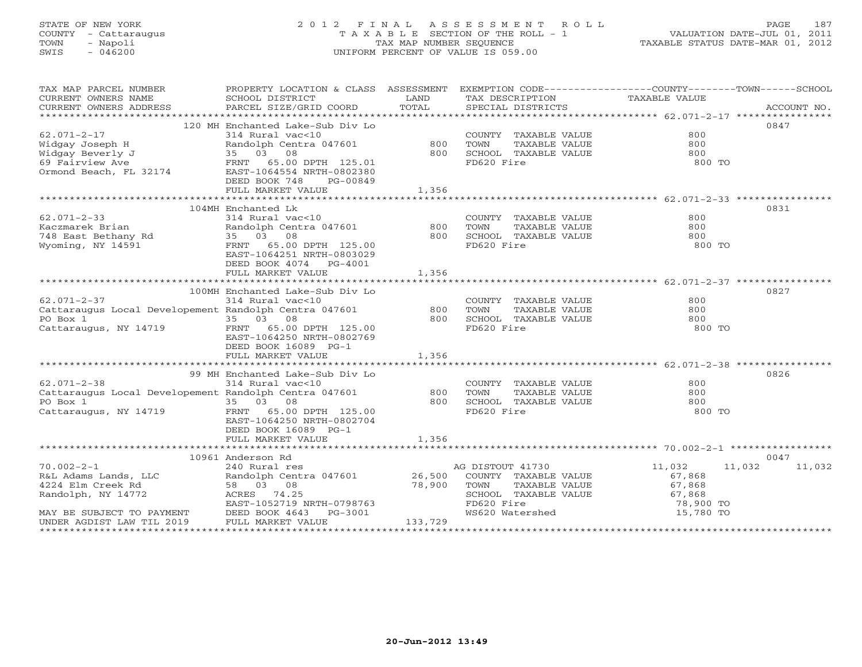# STATE OF NEW YORK 2 0 1 2 F I N A L A S S E S S M E N T R O L L PAGE 187 COUNTY - Cattaraugus T A X A B L E SECTION OF THE ROLL - 1 VALUATION DATE-JUL 01, 2011 TOWN - Napoli TAX MAP NUMBER SEQUENCE TAXABLE STATUS DATE-MAR 01, 2012 SWIS - 046200 UNIFORM PERCENT OF VALUE IS 059.00UNIFORM PERCENT OF VALUE IS 059.00

| TAX MAP PARCEL NUMBER<br>CURRENT OWNERS NAME                                                                                                                                                                                              | PROPERTY LOCATION & CLASS ASSESSMENT EXEMPTION CODE----------------COUNTY-------TOWN------SCHOOL<br>SCHOOL DISTRICT | <b>EXAMPLE SERVICE SERVICE SERVICE SERVICE SERVICE SERVICE SERVICE SERVICE SERVICE SERVICE SERVICE SERVICE SERVICE</b> | TAX DESCRIPTION TAXABLE VALUE<br>SPECIAL DISTRICTS<br>TAX DESCRIPTION                                         |           |               |
|-------------------------------------------------------------------------------------------------------------------------------------------------------------------------------------------------------------------------------------------|---------------------------------------------------------------------------------------------------------------------|------------------------------------------------------------------------------------------------------------------------|---------------------------------------------------------------------------------------------------------------|-----------|---------------|
|                                                                                                                                                                                                                                           |                                                                                                                     |                                                                                                                        |                                                                                                               |           |               |
|                                                                                                                                                                                                                                           |                                                                                                                     |                                                                                                                        |                                                                                                               |           | 0847          |
|                                                                                                                                                                                                                                           |                                                                                                                     |                                                                                                                        | COUNTY TAXABLE VALUE                                                                                          | 800       |               |
|                                                                                                                                                                                                                                           |                                                                                                                     |                                                                                                                        | TAXABLE VALUE                                                                                                 | 800       |               |
|                                                                                                                                                                                                                                           |                                                                                                                     |                                                                                                                        |                                                                                                               | 800       |               |
|                                                                                                                                                                                                                                           |                                                                                                                     |                                                                                                                        |                                                                                                               | 800 TO    |               |
|                                                                                                                                                                                                                                           |                                                                                                                     |                                                                                                                        |                                                                                                               |           |               |
|                                                                                                                                                                                                                                           |                                                                                                                     |                                                                                                                        |                                                                                                               |           |               |
| 62.071-2-17<br>Widgay Joseph H Randolph Centra 047601<br>Widgay Beverly J 35 03 08<br>69 Fairview Ave FRNT 65.00 DPTH 125.01<br>0rmond Beach, FL 32174 EAST-1064554 NRTH-0802380<br>DEED BOOK 748 PG-00849<br>THE MARKET VALUE            |                                                                                                                     | 1,356                                                                                                                  |                                                                                                               |           |               |
|                                                                                                                                                                                                                                           |                                                                                                                     |                                                                                                                        |                                                                                                               |           |               |
|                                                                                                                                                                                                                                           | 104MH Enchanted Lk<br>Enchanted Lk<br>314 Rural vac<10<br>Randolph Centra 047601 (800)<br>35 03 08 (800)            |                                                                                                                        |                                                                                                               |           | 0831          |
| $62.071 - 2 - 33$                                                                                                                                                                                                                         |                                                                                                                     |                                                                                                                        | COUNTY TAXABLE VALUE                                                                                          | 800       |               |
| Example Randolph Centra 047601<br>148 East Bethany Rd 35 03 08<br>Wyoming, NY 14591<br>FRNT 65.00 DPTH 125.00                                                                                                                             |                                                                                                                     |                                                                                                                        | TOWN TAXABLE VALUE 800<br>SCHOOL TAXABLE VALUE 800<br>FD620 Fire 800                                          |           |               |
|                                                                                                                                                                                                                                           |                                                                                                                     |                                                                                                                        |                                                                                                               |           |               |
|                                                                                                                                                                                                                                           |                                                                                                                     |                                                                                                                        |                                                                                                               | 800 TO    |               |
|                                                                                                                                                                                                                                           | EAST-1064251 NRTH-0803029                                                                                           |                                                                                                                        |                                                                                                               |           |               |
|                                                                                                                                                                                                                                           | DEED BOOK 4074 PG-4001                                                                                              |                                                                                                                        |                                                                                                               |           |               |
|                                                                                                                                                                                                                                           | FULL MARKET VALUE                                                                                                   | 1,356                                                                                                                  |                                                                                                               |           |               |
|                                                                                                                                                                                                                                           |                                                                                                                     |                                                                                                                        |                                                                                                               |           | 0827          |
|                                                                                                                                                                                                                                           |                                                                                                                     |                                                                                                                        |                                                                                                               | 800       |               |
|                                                                                                                                                                                                                                           |                                                                                                                     |                                                                                                                        | COUNTY TAXABLE VALUE                                                                                          |           |               |
|                                                                                                                                                                                                                                           |                                                                                                                     |                                                                                                                        |                                                                                                               |           |               |
|                                                                                                                                                                                                                                           |                                                                                                                     |                                                                                                                        | FD620 Fire                                                                                                    | 800 TO    |               |
|                                                                                                                                                                                                                                           | EAST-1064250 NRTH-0802769                                                                                           |                                                                                                                        |                                                                                                               |           |               |
|                                                                                                                                                                                                                                           | DEED BOOK 16089 PG-1                                                                                                |                                                                                                                        |                                                                                                               |           |               |
|                                                                                                                                                                                                                                           | FULL MARKET VALUE                                                                                                   | 1,356                                                                                                                  |                                                                                                               |           |               |
|                                                                                                                                                                                                                                           |                                                                                                                     |                                                                                                                        |                                                                                                               |           |               |
|                                                                                                                                                                                                                                           |                                                                                                                     |                                                                                                                        |                                                                                                               |           | 0826          |
|                                                                                                                                                                                                                                           |                                                                                                                     |                                                                                                                        |                                                                                                               |           |               |
|                                                                                                                                                                                                                                           |                                                                                                                     |                                                                                                                        |                                                                                                               |           |               |
|                                                                                                                                                                                                                                           |                                                                                                                     |                                                                                                                        |                                                                                                               |           |               |
| Cattaraugus, NY 14719                                                                                                                                                                                                                     | FRNT 65.00 DPTH 125.00                                                                                              |                                                                                                                        |                                                                                                               | 800 TO    |               |
|                                                                                                                                                                                                                                           | EAST-1064250 NRTH-0802704                                                                                           |                                                                                                                        |                                                                                                               |           |               |
|                                                                                                                                                                                                                                           | DEED BOOK 16089 PG-1                                                                                                |                                                                                                                        |                                                                                                               |           |               |
|                                                                                                                                                                                                                                           | FULL MARKET VALUE                                                                                                   | 1,356                                                                                                                  |                                                                                                               |           |               |
|                                                                                                                                                                                                                                           |                                                                                                                     |                                                                                                                        |                                                                                                               |           |               |
|                                                                                                                                                                                                                                           | 10961 Anderson Rd                                                                                                   |                                                                                                                        |                                                                                                               |           | 0047          |
|                                                                                                                                                                                                                                           |                                                                                                                     |                                                                                                                        | AG DISTOUT 41730                                                                                              | 11,032    | 11,032 11,032 |
|                                                                                                                                                                                                                                           |                                                                                                                     |                                                                                                                        | COUNTY TAXABLE VALUE                                                                                          | 67,868    |               |
|                                                                                                                                                                                                                                           |                                                                                                                     |                                                                                                                        |                                                                                                               |           |               |
|                                                                                                                                                                                                                                           |                                                                                                                     |                                                                                                                        |                                                                                                               |           |               |
|                                                                                                                                                                                                                                           |                                                                                                                     |                                                                                                                        |                                                                                                               | 78,900 TO |               |
| 70.002-2-1<br>R&L Adams Lands, LLC<br>4224 Elm Creek Rd<br>Randolph, NY 14772<br>MAY BE SUBJECT TO PAYMENT<br>TO PAYMENT<br>RAST-1052719 NRTH-0798763<br>MAY BE SUBJECT TO PAYMENT<br>DEED BOOK 4643 PG-3001<br>UNDER AGDIST LAW TIL 2019 |                                                                                                                     |                                                                                                                        | TOWN TAXABLE VALUE<br>SCHOOL TAXABLE VALUE<br>SCHOOL TAXABLE VALUE<br>FD620 Fire<br>WS620 Watershed<br>15,780 | 15,780 TO |               |
| UNDER AGDIST LAW TIL 2019                                                                                                                                                                                                                 | FULL MARKET VALUE                                                                                                   | 133,729                                                                                                                |                                                                                                               |           |               |
|                                                                                                                                                                                                                                           |                                                                                                                     |                                                                                                                        |                                                                                                               |           |               |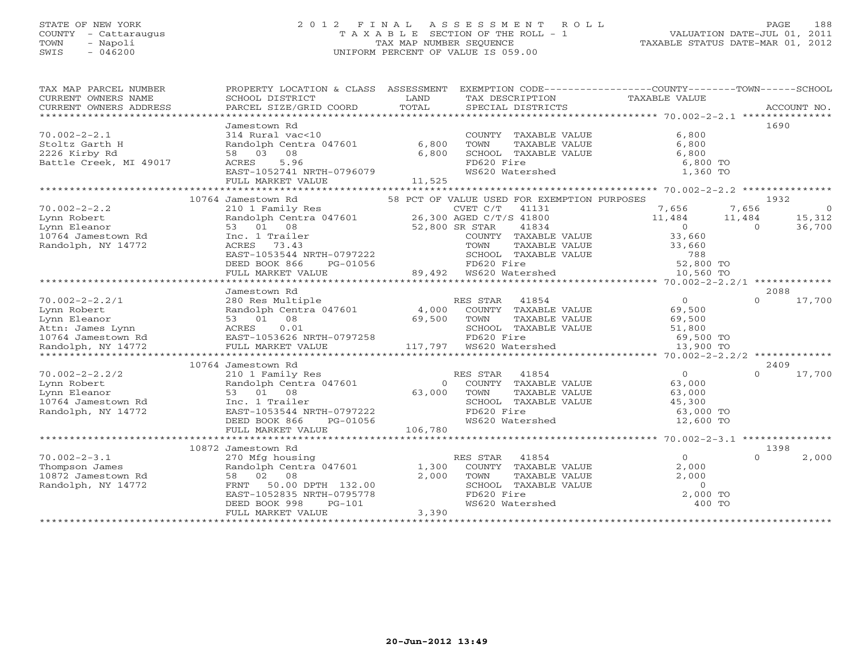## STATE OF NEW YORK 2 0 1 2 F I N A L A S S E S S M E N T R O L L PAGE 188 COUNTY - Cattaraugus T A X A B L E SECTION OF THE ROLL - 1 VALUATION DATE-JUL 01, 2011 TOWN - Napoli TAX MAP NUMBER SEQUENCE TAXABLE STATUS DATE-MAR 01, 2012 SWIS - 046200 UNIFORM PERCENT OF VALUE IS 059.00UNIFORM PERCENT OF VALUE IS 059.00

| TAX MAP PARCEL NUMBER  | PROPERTY LOCATION & CLASS ASSESSMENT EXEMPTION CODE---------------COUNTY-------TOWN------SCHOOL                                    |                |                                                                                                                      |                                        |                          |
|------------------------|------------------------------------------------------------------------------------------------------------------------------------|----------------|----------------------------------------------------------------------------------------------------------------------|----------------------------------------|--------------------------|
| CURRENT OWNERS NAME    | SCHOOL DISTRICT                                                                                                                    | LAND           | TAX DESCRIPTION TAXABLE VALUE                                                                                        |                                        |                          |
| CURRENT OWNERS ADDRESS | PARCEL SIZE/GRID COORD                                                                                                             | TOTAL          | SPECIAL DISTRICTS                                                                                                    |                                        | ACCOUNT NO.              |
|                        |                                                                                                                                    |                |                                                                                                                      |                                        |                          |
|                        | Jamestown Rd                                                                                                                       |                |                                                                                                                      |                                        | 1690                     |
| $70.002 - 2 - 2.1$     | 314 Rural vac<10                                                                                                                   |                | COUNTY TAXABLE VALUE                                                                                                 | 6,800                                  |                          |
| Stoltz Garth H         | Randolph Centra 047601 6,800                                                                                                       |                | TOWN<br>TAXABLE VALUE                                                                                                | 6,800                                  |                          |
| 2226 Kirby Rd          | 58 03 08                                                                                                                           | 6,800          | SCHOOL TAXABLE VALUE                                                                                                 | 6,800                                  |                          |
| Battle Creek, MI 49017 | 5.96<br>ACRES                                                                                                                      |                | FD620 Fire                                                                                                           | 6,800 TO                               |                          |
|                        | EAST-1052741 NRTH-0796079                                                                                                          |                | WS620 Watershed                                                                                                      | 1,360 TO                               |                          |
|                        |                                                                                                                                    |                |                                                                                                                      |                                        |                          |
|                        | FULL MARKET VALUE                                                                                                                  | 11,525         |                                                                                                                      |                                        |                          |
|                        |                                                                                                                                    |                |                                                                                                                      |                                        |                          |
|                        | 10764 Jamestown Rd                                                                                                                 |                | 58 PCT OF VALUE USED FOR EXEMPTION PURPOSES                                                                          |                                        | 1932                     |
| $70.002 - 2 - 2.2$     | 210 1 Family Res                                                                                                                   |                | CVET C/T 41131                                                                                                       | 7,656                                  | 7,656<br>$\overline{0}$  |
| Lynn Robert            | Randolph Centra 047601 26,300 AGED C/T/S 41800                                                                                     |                |                                                                                                                      | 11,484   11,484                        | 15,312                   |
| Lynn Eleanor           | 53 01 08                                                                                                                           | 52,800 SR STAR | 41834                                                                                                                | $\begin{array}{c}0\\33.660\end{array}$ | 36,700<br>$\overline{0}$ |
| 10764 Jamestown Rd     | Inc. 1 Trailer                                                                                                                     |                | COUNTY TAXABLE VALUE                                                                                                 | 33,660                                 |                          |
| Randolph, NY 14772     | ACRES 73.43                                                                                                                        |                |                                                                                                                      | 33,660                                 |                          |
|                        | EAST-1053544 NRTH-0797222                                                                                                          |                |                                                                                                                      |                                        |                          |
|                        | DEED BOOK 866<br>PG-01056                                                                                                          |                |                                                                                                                      |                                        |                          |
|                        | FULL MARKET VALUE                                                                                                                  |                | TOWN TAXABLE VALUE 33,660<br>SCHOOL TAXABLE VALUE 33,660<br>FD620 Fire 52,800 TO<br>89,492 WS620 Watershed 10,560 TO |                                        |                          |
|                        |                                                                                                                                    |                |                                                                                                                      |                                        |                          |
|                        | Jamestown Rd                                                                                                                       |                |                                                                                                                      |                                        | 2088                     |
| $70.002 - 2 - 2.2/1$   | 280 Res Multiple                                                                                                                   |                | RES STAR<br>41854                                                                                                    | $\overline{0}$                         | $\Omega$<br>17,700       |
| Lynn Robert            | Randolph Centra 047601 (a) 1,000 COUNTY TAXABLE VALUE<br>53 01 08 (9,500 TOWN TAXABLE VALUE<br>ACRES 0.01 (a) SCHOOL TAXABLE VALUE |                |                                                                                                                      | 69,500                                 |                          |
| Lynn Eleanor           |                                                                                                                                    |                |                                                                                                                      | 69,500                                 |                          |
| Attn: James Lynn       |                                                                                                                                    |                | SCHOOL TAXABLE VALUE                                                                                                 | 51,800                                 |                          |
| 10764 Jamestown Rd     |                                                                                                                                    |                | FD620 Fire                                                                                                           | 69,500 TO                              |                          |
|                        | 53 01 08<br>ACRES 0.01<br>EAST-1053626 NRTH-0797258<br>2 FULL MARKET VALUE 117,797                                                 |                |                                                                                                                      | 13,900 TO                              |                          |
| Randolph, NY 14772     |                                                                                                                                    |                |                                                                                                                      |                                        |                          |
|                        |                                                                                                                                    |                |                                                                                                                      |                                        |                          |
|                        | 10764 Jamestown Rd                                                                                                                 |                |                                                                                                                      |                                        | 2409                     |
| $70.002 - 2 - 2.2/2$   | 210 1 Family Res                                                                                                                   |                | RES STAR 41854                                                                                                       | $\overline{0}$                         | $\cap$<br>17,700         |
| Lynn Robert            | Randolph Centra 047601                                                                                                             | $\Omega$       | COUNTY TAXABLE VALUE                                                                                                 | 63,000                                 |                          |
| Lynn Eleanor           | 53 01 08                                                                                                                           | 63,000         | TOWN<br>TAXABLE VALUE                                                                                                | 63,000                                 |                          |
| 10764 Jamestown Rd     | Inc. 1 Trailer                                                                                                                     |                | SCHOOL TAXABLE VALUE                                                                                                 | 45,300                                 |                          |
| Randolph, NY 14772     | EAST-1053544 NRTH-0797222                                                                                                          |                | FD620 Fire                                                                                                           | 63,000 TO                              |                          |
|                        | DEED BOOK 866<br>PG-01056                                                                                                          |                | WS620 Watershed                                                                                                      | 12,600 TO                              |                          |
|                        | FULL MARKET VALUE                                                                                                                  | 106,780        |                                                                                                                      |                                        |                          |
|                        |                                                                                                                                    |                |                                                                                                                      |                                        |                          |
|                        | 10872 Jamestown Rd                                                                                                                 |                |                                                                                                                      |                                        | 1398                     |
| $70.002 - 2 - 3.1$     | 270 Mfg housing                                                                                                                    |                | RES STAR 41854                                                                                                       | $\Omega$                               | $\Omega$<br>2,000        |
| Thompson James         | Randolph Centra 047601 1,300                                                                                                       |                | COUNTY TAXABLE VALUE                                                                                                 | 2,000                                  |                          |
| 10872 Jamestown Rd     | 58 02 08                                                                                                                           | 2,000          | TOWN<br>TAXABLE VALUE                                                                                                | 2,000                                  |                          |
| Randolph, NY 14772     | 50.00 DPTH 132.00<br>FRNT                                                                                                          |                | SCHOOL TAXABLE VALUE                                                                                                 | $\circ$                                |                          |
|                        | EAST-1052835 NRTH-0795778                                                                                                          |                |                                                                                                                      | 2,000 TO                               |                          |
|                        | DEED BOOK 998<br>$PG-101$                                                                                                          |                | FD620 Fire<br>WS620 Watershed                                                                                        | 400 TO                                 |                          |
|                        | FULL MARKET VALUE                                                                                                                  | 3,390          |                                                                                                                      |                                        |                          |
|                        |                                                                                                                                    |                |                                                                                                                      |                                        |                          |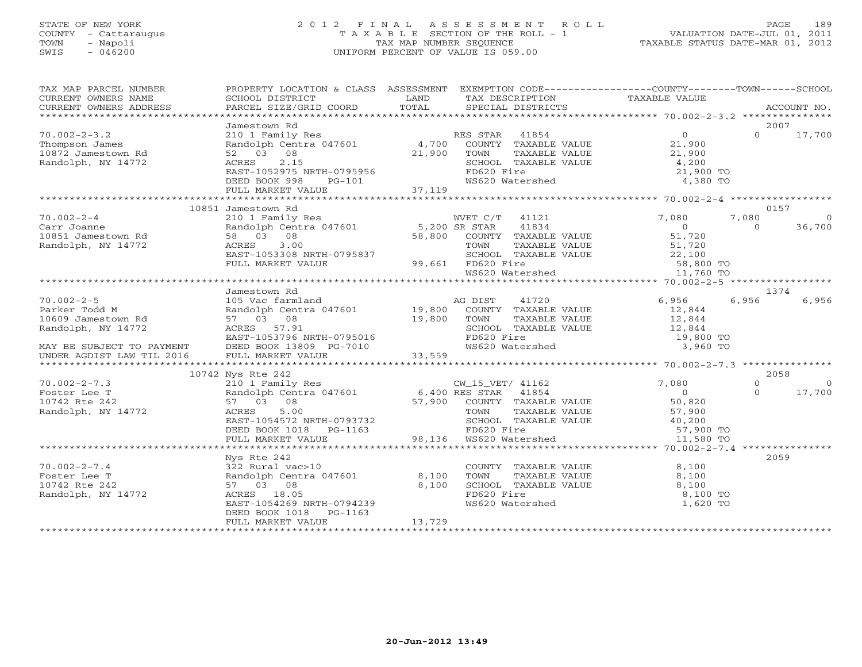# STATE OF NEW YORK 2 0 1 2 F I N A L A S S E S S M E N T R O L L PAGE 189 COUNTY - Cattaraugus T A X A B L E SECTION OF THE ROLL - 1 VALUATION DATE-JUL 01, 2011 TOWN - Napoli TAX MAP NUMBER SEQUENCE TAXABLE STATUS DATE-MAR 01, 2012 SWIS - 046200 UNIFORM PERCENT OF VALUE IS 059.00UNIFORM PERCENT OF VALUE IS 059.00

| TAX MAP PARCEL NUMBER<br>TA THE PARABLE NOTIFIEST ACCOUNT NO .<br>CURRENT OWNERS NAME SCHOOL DISTRICT TRIE LAND TAXABLE TRIE TRIANGE VALUE<br>CURRENT OWNERS ADDRESS PARCEL SIZE/GRID COORD TOTAL SPECIAL DISTRICTS ACCOUNT NO.<br>**************************<br>CURRENT OWNERS ADDRESS | PROPERTY LOCATION & CLASS ASSESSMENT EXEMPTION CODE----------------COUNTY-------TOWN------SCHOOL |             |                                                     |                                           |                            |          |
|-----------------------------------------------------------------------------------------------------------------------------------------------------------------------------------------------------------------------------------------------------------------------------------------|--------------------------------------------------------------------------------------------------|-------------|-----------------------------------------------------|-------------------------------------------|----------------------------|----------|
|                                                                                                                                                                                                                                                                                         |                                                                                                  |             |                                                     |                                           |                            |          |
| $70.002 - 2 - 3.2$<br>Thompson James                                                                                                                                                                                                                                                    | Jamestown Rd<br>210 1 Family Res<br>Randolph Centra 047601 4,700 COUNTY TAXABLE VALUE            |             | RES STAR 41854                                      | $\overline{0}$<br>21,900                  | 2007<br>$\Omega$<br>17,700 |          |
| 10872 Jamestown Rd<br>Randolph, NY 14772                                                                                                                                                                                                                                                | 52 03 08<br>2.15<br>ACRES<br>EAST-1052975 NRTH-0795956                                           | 21,900 TOWN | TAXABLE VALUE<br>SCHOOL TAXABLE VALUE<br>FD620 Fire | 21,900<br>4,200<br>21,900 TO              |                            |          |
|                                                                                                                                                                                                                                                                                         | DEED BOOK 998<br>PG-101<br>FULL MARKET VALUE                                                     | 37, 119     | WS620 Watershed                                     | 4,380 TO                                  |                            |          |
|                                                                                                                                                                                                                                                                                         | 10851 Jamestown Rd                                                                               |             |                                                     |                                           | 0157                       |          |
| $70.002 - 2 - 4$                                                                                                                                                                                                                                                                        | 210 1 Family Res                                                                                 |             | WVET C/T 41121                                      | 7,080                                     | 7,080<br>$\bigcirc$        |          |
| Carr Joanne                                                                                                                                                                                                                                                                             | Randolph Centra 047601 5,200 SR STAR                                                             |             | 41834                                               | $\overline{0}$                            | 36,700<br>$\Omega$         |          |
| 10851 Jamestown Rd                                                                                                                                                                                                                                                                      | 58 03 08                                                                                         |             | 58,800 COUNTY TAXABLE VALUE                         | 51,720                                    |                            |          |
| Randolph, NY 14772                                                                                                                                                                                                                                                                      | 3.00<br>ACRES                                                                                    |             | TAXABLE VALUE<br>TOWN                               | 51,720                                    |                            |          |
|                                                                                                                                                                                                                                                                                         | EAST-1053308 NRTH-0795837                                                                        |             | SCHOOL TAXABLE VALUE                                |                                           |                            |          |
|                                                                                                                                                                                                                                                                                         | FULL MARKET VALUE                                                                                |             | 99,661 FD620 Fire                                   | LE VALUE 22,100<br>58,800 TO<br>58,800 TO |                            |          |
|                                                                                                                                                                                                                                                                                         |                                                                                                  |             | WS620 Watershed                                     | 11,760 TO                                 |                            |          |
|                                                                                                                                                                                                                                                                                         |                                                                                                  |             |                                                     |                                           |                            |          |
|                                                                                                                                                                                                                                                                                         | Jamestown Rd                                                                                     |             |                                                     |                                           | 1374                       |          |
| $70.002 - 2 - 5$                                                                                                                                                                                                                                                                        | 105 Vac farmland                                                                                 |             | 41720<br>AG DIST                                    | 6,956                                     | 6,956<br>6,956             |          |
| Parker Todd M                                                                                                                                                                                                                                                                           | Randolph Centra 047601 19,800 COUNTY TAXABLE VALUE<br>57 03 08 19,800 TOWN TAXABLE VALUE         |             |                                                     | 12,844                                    |                            |          |
| 10609 Jamestown Rd                                                                                                                                                                                                                                                                      |                                                                                                  |             |                                                     | 12,844                                    |                            |          |
| Randolph, NY 14772                                                                                                                                                                                                                                                                      | ACRES 57.91                                                                                      |             | SCHOOL TAXABLE VALUE                                | 12,844                                    |                            |          |
|                                                                                                                                                                                                                                                                                         | EAST-1053796 NRTH-0795016                                                                        |             | FD620 Fire                                          | 19,800 TO                                 |                            |          |
| MAY BE SUBJECT TO PAYMENT<br>UNDER AGDIST LAW TIL 2016                                                                                                                                                                                                                                  | DEED BOOK 13809 PG-7010                                                                          |             | WS620 Watershed                                     | 3,960 TO                                  |                            |          |
|                                                                                                                                                                                                                                                                                         | FULL MARKET VALUE                                                                                | 33,559      |                                                     |                                           |                            |          |
|                                                                                                                                                                                                                                                                                         |                                                                                                  |             |                                                     |                                           |                            |          |
|                                                                                                                                                                                                                                                                                         | 10742 Nys Rte 242                                                                                |             |                                                     |                                           | 2058                       |          |
| $70.002 - 2 - 7.3$                                                                                                                                                                                                                                                                      | 210 1 Family Res<br>210 1 Family Res<br>Randolph Centra 047601 6,400 RES STAR 41854              |             | CW_15_VET/ 41162                                    | 7,080                                     | $\Omega$                   | $\Omega$ |
| Foster Lee T                                                                                                                                                                                                                                                                            |                                                                                                  |             |                                                     | $\overline{0}$                            | 17,700<br>$\Omega$         |          |
| 10742 Rte 242                                                                                                                                                                                                                                                                           | 57 03 08                                                                                         |             | 57,900 COUNTY TAXABLE VALUE                         | 50,820                                    |                            |          |
| Randolph, NY 14772                                                                                                                                                                                                                                                                      | ACRES<br>5.00                                                                                    |             | TOWN<br>TAXABLE VALUE                               | 57,900                                    |                            |          |
|                                                                                                                                                                                                                                                                                         | ACRES<br>EAST-1054572 NRTH-0793732                                                               |             | SCHOOL TAXABLE VALUE                                | 40, 200<br>57,900 TO                      |                            |          |
|                                                                                                                                                                                                                                                                                         | DEED BOOK 1018    PG-1163<br>FULL MARKET VALUE                                                   |             | FD620 Fire<br>98,136 WS620 Watershed                | 11,580 TO                                 |                            |          |
|                                                                                                                                                                                                                                                                                         |                                                                                                  |             |                                                     |                                           |                            |          |
|                                                                                                                                                                                                                                                                                         | Nys Rte 242                                                                                      |             |                                                     |                                           | 2059                       |          |
| $70.002 - 2 - 7.4$                                                                                                                                                                                                                                                                      | 322 Rural vac>10                                                                                 |             | COUNTY TAXABLE VALUE                                | 8,100                                     |                            |          |
| Foster Lee T                                                                                                                                                                                                                                                                            | Randolph Centra 047601 8,100                                                                     |             | TOWN<br>TAXABLE VALUE                               | 8,100                                     |                            |          |
| 10742 Rte 242                                                                                                                                                                                                                                                                           | 57 03 08                                                                                         | 8,100       | SCHOOL TAXABLE VALUE                                | 8,100                                     |                            |          |
| Randolph, NY 14772                                                                                                                                                                                                                                                                      | ACRES 18.05                                                                                      |             | FD620 Fire                                          | 8,100 TO                                  |                            |          |
|                                                                                                                                                                                                                                                                                         | EAST-1054269 NRTH-0794239                                                                        |             | WS620 Watershed                                     | 1,620 TO                                  |                            |          |
|                                                                                                                                                                                                                                                                                         | DEED BOOK 1018<br>PG-1163                                                                        |             |                                                     |                                           |                            |          |
|                                                                                                                                                                                                                                                                                         | FULL MARKET VALUE                                                                                | 13,729      |                                                     |                                           |                            |          |
|                                                                                                                                                                                                                                                                                         |                                                                                                  |             |                                                     |                                           |                            |          |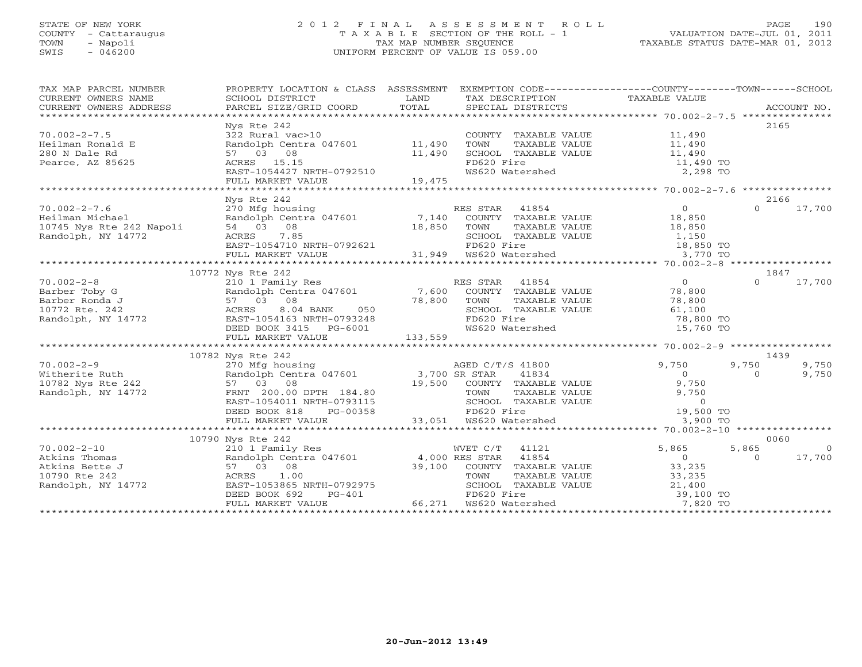## STATE OF NEW YORK 2 0 1 2 F I N A L A S S E S S M E N T R O L L PAGE 190 COUNTY - Cattaraugus T A X A B L E SECTION OF THE ROLL - 1 VALUATION DATE-JUL 01, 2011 TOWN - Napoli TAX MAP NUMBER SEQUENCE TAXABLE STATUS DATE-MAR 01, 2012 SWIS - 046200 UNIFORM PERCENT OF VALUE IS 059.00UNIFORM PERCENT OF VALUE IS 059.00

| TAX MAP PARCEL NUMBER<br>CURRENT OWNERS NAME<br>CURRENT OWNERS ADDRESS                                                                                                                                                                                                                                                                                                                                                                                                                                                     | PROPERTY LOCATION & CLASS ASSESSMENT EXEMPTION CODE---------------COUNTY-------TOWN------SCHOOL<br>SCHOOL DISTRICT                                                                                                                                                                                                                                                                                                                                                                                                                                                              | LAND   | TAX DESCRIPTION TAXABLE VALUE                                                                                                                                                                        |                                               |                         |                                  |
|----------------------------------------------------------------------------------------------------------------------------------------------------------------------------------------------------------------------------------------------------------------------------------------------------------------------------------------------------------------------------------------------------------------------------------------------------------------------------------------------------------------------------|---------------------------------------------------------------------------------------------------------------------------------------------------------------------------------------------------------------------------------------------------------------------------------------------------------------------------------------------------------------------------------------------------------------------------------------------------------------------------------------------------------------------------------------------------------------------------------|--------|------------------------------------------------------------------------------------------------------------------------------------------------------------------------------------------------------|-----------------------------------------------|-------------------------|----------------------------------|
| $70.002 - 2 - 7.5$<br>Heilman Ronald E<br>280 N Dale Rd                                                                                                                                                                                                                                                                                                                                                                                                                                                                    | Nys Rte 242<br>322 Rural vac>10                                                                                                                                                                                                                                                                                                                                                                                                                                                                                                                                                 |        | COUNTY TAXABLE VALUE 11,490                                                                                                                                                                          |                                               |                         | 2165                             |
| Pearce, AZ 85625                                                                                                                                                                                                                                                                                                                                                                                                                                                                                                           | Pandolph Centra 047601 11,490<br>57 03 08 11,490<br>ACRES 15.15 EAST-1054427 NRTH-0792510<br>FULL MARKET VALUE                                                                                                                                                                                                                                                                                                                                                                                                                                                                  | 19,475 | TOWN TAXABLE VALUE 11,490<br>SCHOOL TAXABLE VALUE 11,490<br>FD620 Fire 11,490 TO<br>WS620 Watershed 2,298 TO                                                                                         |                                               |                         |                                  |
|                                                                                                                                                                                                                                                                                                                                                                                                                                                                                                                            |                                                                                                                                                                                                                                                                                                                                                                                                                                                                                                                                                                                 |        |                                                                                                                                                                                                      |                                               |                         |                                  |
| $70.002 - 2 - 7.6$<br>70.002-2-1.<br>Heilman Michael<br>10745 Nys Rte 242 Napoli<br>10745 Nys Rte 242 Napoli                                                                                                                                                                                                                                                                                                                                                                                                               | Nys Rte 242<br>$270$ Mfg housing $270$ Mfg housing $270$ Mfg housing $270$ Randolph Centra 047601 $7,140$ COUNTY TAXABLE VALUE $18,850$                                                                                                                                                                                                                                                                                                                                                                                                                                         |        |                                                                                                                                                                                                      |                                               | $\Omega$                | 2166<br>17,700                   |
| 10745 Nys Rte 242 Napoli 64 (102) 68 (103) 08 (102) 68 (103) 18,850 (108) 64 (108) 18,850 (108) 64 (108) 64 (1<br>Randolph, NY 14772 621 (108) 68 (108) 6850 (108) 6850 (108) 6857-1054710 NRTH-0792621 (108) 64 (108) 6857-1054                                                                                                                                                                                                                                                                                           |                                                                                                                                                                                                                                                                                                                                                                                                                                                                                                                                                                                 |        |                                                                                                                                                                                                      |                                               |                         |                                  |
|                                                                                                                                                                                                                                                                                                                                                                                                                                                                                                                            | 10772 Nys Rte 242                                                                                                                                                                                                                                                                                                                                                                                                                                                                                                                                                               |        |                                                                                                                                                                                                      |                                               |                         | 1847                             |
| $70.002 - 2 - 8$<br>10.002-2-8<br>Barber Toby G<br>Barber Ronda J<br>10772 Rte. 242<br>Randolph, NY 14772<br>Randolph, NY 14772<br>Parma Poor 3415<br>Parma Poor 3415<br>Parma Poor 3415<br>Parma Poor 3415<br>Parma Poor 3415<br>Parma Poor 3415<br>Parma Poor 3415<br>Parm<br>EAST-1054163 NRTH-0793248<br>EEED BOOK 3415 PG-6001 WS620 Watershed 15,760 TO<br>FD620 Fire 78,800 TO<br>TULL MARKET VALUE 133,559<br>FD620 Fire 78,800 TO WS620 Watershed 15,760 TO<br>FD620 Watershed 15,760 TO 15,760 TO 193248<br>FD62 |                                                                                                                                                                                                                                                                                                                                                                                                                                                                                                                                                                                 |        | TOWN TAXABLE VALUE 78,800<br>SCHOOL TAXABLE VALUE 61,100<br>78,800                                                                                                                                   | 78,800 TO                                     | $\Omega$                | 17,700                           |
|                                                                                                                                                                                                                                                                                                                                                                                                                                                                                                                            | 10782 Nys Rte 242                                                                                                                                                                                                                                                                                                                                                                                                                                                                                                                                                               |        |                                                                                                                                                                                                      |                                               |                         | 1439                             |
| $\begin{array}{ccccccccc} \text{70.002--2--9} & & & & & & 10782~\text{Nys Rte 242} & & & & & & & \text{AGED C/T/S 41800} \\ \text{Witherite Ruth} & & & & & & & & & & \text{AGED C/T/S 41800} & & & & \\ \text{Witherite Ruth} & & & & & & & & & \text{AGED C/T/S 41800} & & & & & \\ \text{10782 Nys Rte 242} & & & & & & & & \text{3,700 SR STAR} & & 41834 & & \\ \text{10782 Nys Rte 242} & & & & & & & &$                                                                                                             | 37,000 NP 14772<br>EXST-1054011 NRTH-0793115<br>DEED BOOK 818 PG-00358 FD620 Fire 19,500 TOWN TAXABLE VALUE<br>PULL MARKET VALUE 33,051 WS620 Watershed 3,900 TO<br>FULL MARKET VALUE 33,051 WS620 Watershed 3,900 TO<br>FULL MARKET VAL                                                                                                                                                                                                                                                                                                                                        |        |                                                                                                                                                                                                      | 9,750<br>$\overline{O}$<br>9,750              | 9,750<br>$\overline{0}$ | 9,750<br>9,750                   |
|                                                                                                                                                                                                                                                                                                                                                                                                                                                                                                                            |                                                                                                                                                                                                                                                                                                                                                                                                                                                                                                                                                                                 |        |                                                                                                                                                                                                      |                                               |                         |                                  |
| $70.002 - 2 - 10$<br>1772<br>Atkins Thomas<br>Atkins Bette J<br>10790 Rte 242<br>Randolph, NY 14772                                                                                                                                                                                                                                                                                                                                                                                                                        | 10790 Nys Rte 242<br>Nys Rue 242<br>210 1 Family Res<br>Randolph Centra 047601<br>57 03 08 39,100 COUNTY TAXABLE VALUE<br>ACRES 1.00 1000 10000 TOWN TAXABLE VALUE<br>$\overline{L}$ $\overline{L}$ $\overline{L}$ $\overline{L}$ $\overline{L}$ $\overline{L}$ $\overline{L}$ $\overline{L}$ $\overline{L}$ $\overline{L}$ $\overline{L}$ $\overline{L}$ $\overline{L}$ $\overline{L}$ $\overline{L}$ $\overline{L}$ $\overline{L}$ $\overline{L}$ $\overline{L}$ $\overline{L}$ $\overline{L}$ $\overline{L}$ $\overline{L}$ $\overline{L}$ $\overline{$<br>FULL MARKET VALUE |        | COUNT TAXABLE VALUE<br>TOWN TAXABLE VALUE<br>SCHOOL TAXABLE VALUE<br>FD620 Fire 39,100 TO<br>WS620 Watershed 7,820 TO<br>PG-401<br>ED620 Fire<br>ED620 Fire<br>S <sub>5</sub> 66,271 WS620 Watershed | 5,865<br>$\overline{0}$<br>$\frac{0}{33,235}$ | 5,865<br>$\Omega$       | 0060<br>$\overline{0}$<br>17,700 |
|                                                                                                                                                                                                                                                                                                                                                                                                                                                                                                                            |                                                                                                                                                                                                                                                                                                                                                                                                                                                                                                                                                                                 |        |                                                                                                                                                                                                      |                                               |                         |                                  |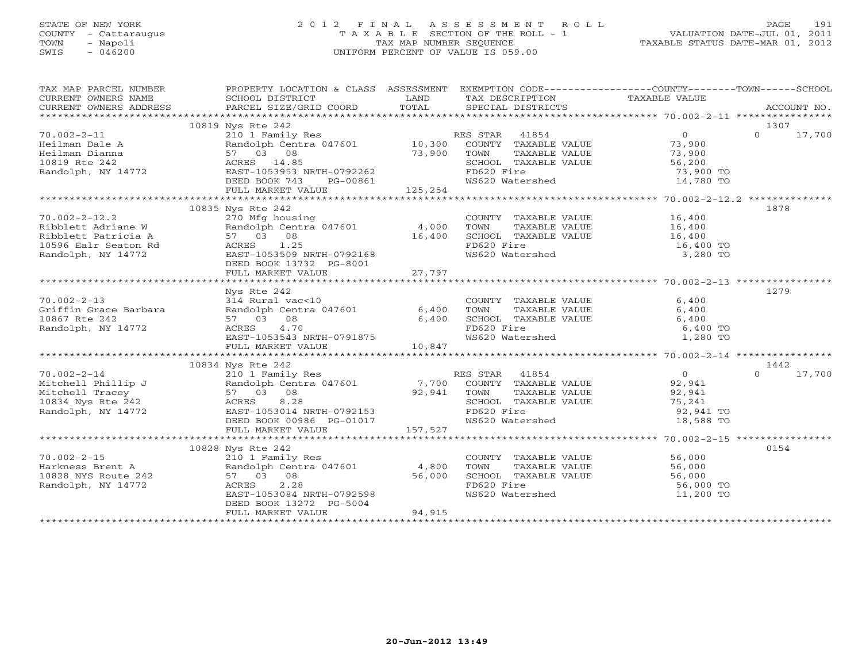# STATE OF NEW YORK 2 0 1 2 F I N A L A S S E S S M E N T R O L L PAGE 191 COUNTY - Cattaraugus T A X A B L E SECTION OF THE ROLL - 1 VALUATION DATE-JUL 01, 2011 TOWN - Napoli TAX MAP NUMBER SEQUENCE TAXABLE STATUS DATE-MAR 01, 2012 SWIS - 046200 UNIFORM PERCENT OF VALUE IS 059.00UNIFORM PERCENT OF VALUE IS 059.00

| TAX MAP PARCEL NUMBER | PROPERTY LOCATION & CLASS ASSESSMENT EXEMPTION CODE---------------COUNTY-------TOWN------SCHOOL                                                                                                                                                                                                                                                                                                                                                                               |        |                                                                                                                                    |                        |                    |
|-----------------------|-------------------------------------------------------------------------------------------------------------------------------------------------------------------------------------------------------------------------------------------------------------------------------------------------------------------------------------------------------------------------------------------------------------------------------------------------------------------------------|--------|------------------------------------------------------------------------------------------------------------------------------------|------------------------|--------------------|
|                       |                                                                                                                                                                                                                                                                                                                                                                                                                                                                               |        |                                                                                                                                    |                        |                    |
|                       |                                                                                                                                                                                                                                                                                                                                                                                                                                                                               |        |                                                                                                                                    |                        | 1307               |
|                       |                                                                                                                                                                                                                                                                                                                                                                                                                                                                               |        |                                                                                                                                    |                        | $0 \t 17,700$      |
|                       |                                                                                                                                                                                                                                                                                                                                                                                                                                                                               |        |                                                                                                                                    |                        |                    |
|                       |                                                                                                                                                                                                                                                                                                                                                                                                                                                                               |        |                                                                                                                                    |                        |                    |
|                       |                                                                                                                                                                                                                                                                                                                                                                                                                                                                               |        |                                                                                                                                    |                        |                    |
|                       |                                                                                                                                                                                                                                                                                                                                                                                                                                                                               |        |                                                                                                                                    | 73,900 TO<br>14,780 TO |                    |
|                       |                                                                                                                                                                                                                                                                                                                                                                                                                                                                               |        |                                                                                                                                    |                        |                    |
|                       | $\begin{tabular}{lllllllllllllllllllllll} \hline\text{70.002--2--11} & & & & & 10819\text{ Nys Rte 242} & & & & & & 0 \\ \text{Heilman Dialen & & & & & & & & & 210\text{ I Family Res} & & & & & & 0 \\ \text{Heilman Dianna} & & & & & & & 57\text{ 03\text{ 08}} & & & & 10,300\text{ COUNTY T TAXABLE VALUE} & & & 73,900\text{ F1001} & & & 73,900\text{ F201} & & & 73,900\text{ F101} & &$                                                                             |        |                                                                                                                                    |                        |                    |
|                       |                                                                                                                                                                                                                                                                                                                                                                                                                                                                               |        |                                                                                                                                    |                        |                    |
|                       | 10835 Nys Rte 242<br>$\begin{array}{lllllllllllllllllll} \end{array} \begin{array}{lllllllll} \text{70.002--2--12.2} & \text{--} & \text{--} & \text{--} & \text{--} & \text{--} & \text{--} & \text{--} & \text{--} & \text{--} & \text{--} & \text{--} & \text{--} & \text{--} & \text{--} & \text{--} & \text{--} & \text{--} & \text{--} & \text{--} & \text{--} & \text{--} & \text{--} & \text{--} & \text{--} & \text{--} & \text{--} & \text{--} & \text{--} & \text$ |        |                                                                                                                                    |                        | 1878               |
|                       |                                                                                                                                                                                                                                                                                                                                                                                                                                                                               |        | COUNTY TAXABLE VALUE<br>TOWN TAXABLE VALUE 16,400<br>SCHOOL TAXABLE VALUE 16,400<br>FD620 Fire 16,400 TO                           |                        |                    |
|                       |                                                                                                                                                                                                                                                                                                                                                                                                                                                                               |        |                                                                                                                                    |                        |                    |
|                       |                                                                                                                                                                                                                                                                                                                                                                                                                                                                               |        |                                                                                                                                    |                        |                    |
|                       |                                                                                                                                                                                                                                                                                                                                                                                                                                                                               |        |                                                                                                                                    |                        |                    |
|                       |                                                                                                                                                                                                                                                                                                                                                                                                                                                                               |        | FD620 Fire 16,400 TO<br>WS620 Watershed 16,400 TO 3,280 TO                                                                         |                        |                    |
|                       |                                                                                                                                                                                                                                                                                                                                                                                                                                                                               |        |                                                                                                                                    |                        |                    |
|                       |                                                                                                                                                                                                                                                                                                                                                                                                                                                                               |        |                                                                                                                                    |                        |                    |
|                       |                                                                                                                                                                                                                                                                                                                                                                                                                                                                               |        |                                                                                                                                    |                        |                    |
|                       |                                                                                                                                                                                                                                                                                                                                                                                                                                                                               |        |                                                                                                                                    |                        | 1279               |
|                       |                                                                                                                                                                                                                                                                                                                                                                                                                                                                               |        |                                                                                                                                    |                        |                    |
|                       |                                                                                                                                                                                                                                                                                                                                                                                                                                                                               |        |                                                                                                                                    |                        |                    |
|                       |                                                                                                                                                                                                                                                                                                                                                                                                                                                                               |        |                                                                                                                                    |                        |                    |
|                       |                                                                                                                                                                                                                                                                                                                                                                                                                                                                               |        |                                                                                                                                    |                        |                    |
|                       |                                                                                                                                                                                                                                                                                                                                                                                                                                                                               |        |                                                                                                                                    |                        |                    |
|                       |                                                                                                                                                                                                                                                                                                                                                                                                                                                                               |        |                                                                                                                                    |                        |                    |
|                       |                                                                                                                                                                                                                                                                                                                                                                                                                                                                               |        |                                                                                                                                    |                        |                    |
|                       | 10834 Nys Rte 242                                                                                                                                                                                                                                                                                                                                                                                                                                                             |        |                                                                                                                                    |                        | 1442               |
|                       | 10834 Mys Kte 242<br>210 10834 Mys Kte 242<br>210 1 Family Res<br>Mitchell Phillip J<br>Mitchell Tracey<br>27 03 08<br>27 03 08<br>27 03 08<br>27 03 08<br>27 03 08<br>27 03 08<br>27 03 08<br>27 03 08<br>27 03 08<br>27 03 08<br>27 03 08<br>27 03 08<br>27 03                                                                                                                                                                                                              |        |                                                                                                                                    |                        | 17,700<br>$\Omega$ |
|                       |                                                                                                                                                                                                                                                                                                                                                                                                                                                                               |        |                                                                                                                                    |                        |                    |
|                       |                                                                                                                                                                                                                                                                                                                                                                                                                                                                               |        |                                                                                                                                    |                        |                    |
|                       |                                                                                                                                                                                                                                                                                                                                                                                                                                                                               |        |                                                                                                                                    |                        |                    |
|                       |                                                                                                                                                                                                                                                                                                                                                                                                                                                                               |        |                                                                                                                                    |                        |                    |
|                       |                                                                                                                                                                                                                                                                                                                                                                                                                                                                               |        |                                                                                                                                    |                        |                    |
|                       |                                                                                                                                                                                                                                                                                                                                                                                                                                                                               |        |                                                                                                                                    |                        |                    |
|                       |                                                                                                                                                                                                                                                                                                                                                                                                                                                                               |        |                                                                                                                                    |                        |                    |
|                       | 10828 Nys Rte 242                                                                                                                                                                                                                                                                                                                                                                                                                                                             |        |                                                                                                                                    |                        | 0154               |
|                       |                                                                                                                                                                                                                                                                                                                                                                                                                                                                               |        |                                                                                                                                    |                        |                    |
|                       | 70.002-2-15<br>Harkness Brent A<br>10828 NYS Route 242<br>Randolph, NY 14772<br>Randolph, NY 14772<br>From 1053084 NRTH-0792598<br>From 1053084 NRTH-0792598                                                                                                                                                                                                                                                                                                                  |        | COUNTY TAXABLE VALUE<br>TOWN TAXABLE VALUE 56,000<br>SCHOOL TAXABLE VALUE 56,000<br>FD620 Fire 56,000<br>WS620 Watershed 11,200 TO |                        |                    |
|                       |                                                                                                                                                                                                                                                                                                                                                                                                                                                                               |        |                                                                                                                                    |                        |                    |
|                       |                                                                                                                                                                                                                                                                                                                                                                                                                                                                               |        |                                                                                                                                    |                        |                    |
|                       | EAST-1053084 NRTH-0792598                                                                                                                                                                                                                                                                                                                                                                                                                                                     |        |                                                                                                                                    |                        |                    |
|                       | DEED BOOK 13272 PG-5004                                                                                                                                                                                                                                                                                                                                                                                                                                                       |        |                                                                                                                                    |                        |                    |
|                       | FULL MARKET VALUE                                                                                                                                                                                                                                                                                                                                                                                                                                                             | 94,915 |                                                                                                                                    |                        |                    |
|                       |                                                                                                                                                                                                                                                                                                                                                                                                                                                                               |        |                                                                                                                                    |                        |                    |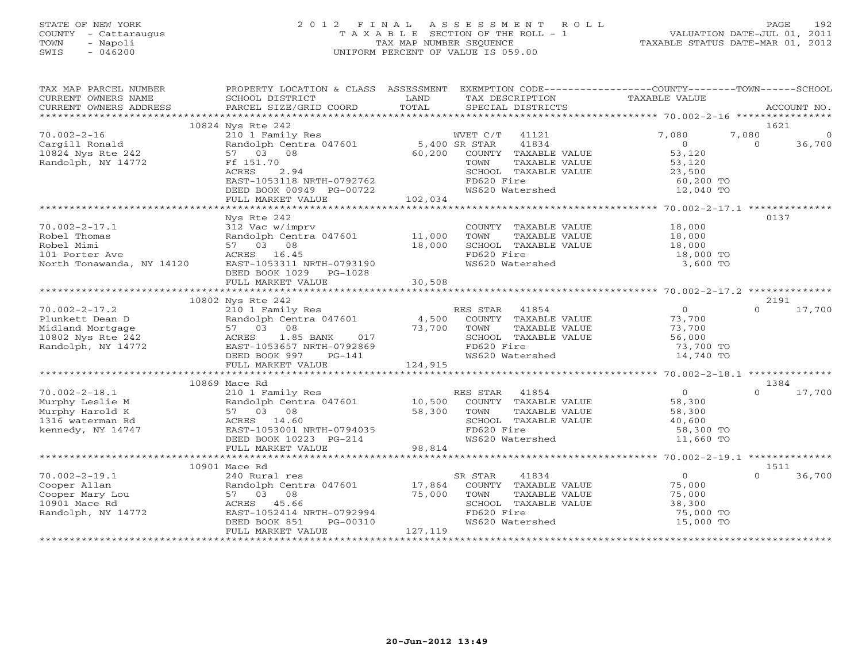# STATE OF NEW YORK 2 0 1 2 F I N A L A S S E S S M E N T R O L L PAGE 192 COUNTY - Cattaraugus T A X A B L E SECTION OF THE ROLL - 1 VALUATION DATE-JUL 01, 2011 TOWN - Napoli TAX MAP NUMBER SEQUENCE TAXABLE STATUS DATE-MAR 01, 2012 SWIS - 046200 UNIFORM PERCENT OF VALUE IS 059.00UNIFORM PERCENT OF VALUE IS 059.00

| TAX MAP PARCEL NUMBER<br>CURRENT OWNERS NAME<br>CURRENT OWNERS ADDRESS | PROPERTY LOCATION & CLASS ASSESSMENT EXEMPTION CODE--------------COUNTY-------TOWN------SCHOOL<br>SCHOOL DISTRICT<br>PARCEL SIZE/GRID COORD | LAND<br>TOTAL | TAX DESCRIPTION<br>SPECIAL DISTRICTS | TAXABLE VALUE  | ACCOUNT NO.        |
|------------------------------------------------------------------------|---------------------------------------------------------------------------------------------------------------------------------------------|---------------|--------------------------------------|----------------|--------------------|
|                                                                        |                                                                                                                                             |               |                                      |                |                    |
|                                                                        | 10824 Nys Rte 242                                                                                                                           |               |                                      |                | 1621               |
| $70.002 - 2 - 16$                                                      | 210 1 Family Res                                                                                                                            |               | WVET C/T 41121                       | 7,080          | 7,080<br>$\Omega$  |
| Cargill Ronald                                                         | Randolph Centra 047601                                                                                                                      | 5,400 SR STAR | 41834                                | $\circ$        | 36,700<br>$\Omega$ |
| 10824 Nys Rte 242                                                      | 57 03 08                                                                                                                                    | 60,200        | COUNTY TAXABLE VALUE                 | 53,120         |                    |
| Randolph, NY 14772                                                     | Ff 151.70                                                                                                                                   |               | TOWN<br>TAXABLE VALUE                | 53,120         |                    |
|                                                                        | 2.94<br>ACRES                                                                                                                               |               | SCHOOL TAXABLE VALUE                 | 23,500         |                    |
|                                                                        | EAST-1053118 NRTH-0792762                                                                                                                   |               | FD620 Fire                           | 60,200 TO      |                    |
|                                                                        | DEED BOOK 00949 PG-00722                                                                                                                    |               | WS620 Watershed                      | 12,040 TO      |                    |
|                                                                        | FULL MARKET VALUE                                                                                                                           | 102,034       |                                      |                |                    |
|                                                                        |                                                                                                                                             |               |                                      |                |                    |
|                                                                        | Nys Rte 242                                                                                                                                 |               |                                      |                | 0137               |
| $70.002 - 2 - 17.1$                                                    | 312 Vac w/imprv                                                                                                                             |               | COUNTY TAXABLE VALUE                 | 18,000         |                    |
| Robel Thomas                                                           | Randolph Centra 047601                                                                                                                      | 11,000        | TAXABLE VALUE<br>TOWN                | 18,000         |                    |
| Robel Mimi                                                             | 57 03 08                                                                                                                                    | 18,000        | SCHOOL TAXABLE VALUE                 | 18,000         |                    |
| 101 Porter Ave                                                         | ACRES 16.45                                                                                                                                 |               | FD620 Fire                           | 18,000 TO      |                    |
| North Tonawanda, NY 14120                                              | EAST-1053311 NRTH-0793190                                                                                                                   |               | WS620 Watershed                      | 3,600 TO       |                    |
|                                                                        | DEED BOOK 1029 PG-1028                                                                                                                      |               |                                      |                |                    |
|                                                                        |                                                                                                                                             |               |                                      |                |                    |
|                                                                        |                                                                                                                                             |               |                                      |                |                    |
|                                                                        | 10802 Nys Rte 242                                                                                                                           |               |                                      |                | 2191               |
| $70.002 - 2 - 17.2$                                                    | 210 1 Family Res                                                                                                                            |               | RES STAR<br>41854                    | $\Omega$       | $\Omega$<br>17,700 |
| Plunkett Dean D                                                        | Randolph Centra 047601                                                                                                                      | 4,500         | COUNTY TAXABLE VALUE                 | 73,700         |                    |
| Midland Mortgage                                                       | 57 03 08                                                                                                                                    | 73,700        | TOWN<br>TAXABLE VALUE                | 73,700         |                    |
| 10802 Nys Rte 242                                                      | ACRES 1.85 BANK<br>017                                                                                                                      |               | SCHOOL TAXABLE VALUE                 | 56,000         |                    |
| Randolph, NY 14772                                                     | EAST-1053657 NRTH-0792869                                                                                                                   |               | FD620 Fire                           | 73,700 TO      |                    |
|                                                                        | DEED BOOK 997<br>PG-141                                                                                                                     |               | WS620 Watershed                      | 14,740 TO      |                    |
|                                                                        |                                                                                                                                             |               |                                      |                |                    |
|                                                                        | FULL MARKET VALUE                                                                                                                           | 124,915       |                                      |                |                    |
|                                                                        | 10869 Mace Rd                                                                                                                               |               |                                      |                | 1384               |
|                                                                        |                                                                                                                                             |               |                                      | $\overline{0}$ | $\cap$             |
| $70.002 - 2 - 18.1$                                                    | 210 1 Family Res                                                                                                                            |               | RES STAR 41854                       |                | 17,700             |
| Murphy Leslie M                                                        | Randolph Centra 047601                                                                                                                      | 10,500        | COUNTY TAXABLE VALUE                 | 58,300         |                    |
| Murphy Harold K                                                        | 57 03 08                                                                                                                                    | 58,300        | TOWN<br>TAXABLE VALUE                | 58,300         |                    |
| 1316 waterman Rd                                                       | ACRES 14.60                                                                                                                                 |               | SCHOOL TAXABLE VALUE                 | 40,600         |                    |
| kennedy, NY 14747                                                      | EAST-1053001 NRTH-0794035                                                                                                                   |               | FD620 Fire                           | 58,300 TO      |                    |
|                                                                        | DEED BOOK 10223 PG-214                                                                                                                      |               | WS620 Watershed                      | 11,660 TO      |                    |
|                                                                        | FULL MARKET VALUE                                                                                                                           | 98,814        |                                      |                |                    |
|                                                                        |                                                                                                                                             |               |                                      |                |                    |
|                                                                        | 10901 Mace Rd                                                                                                                               |               |                                      |                | 1511               |
| $70.002 - 2 - 19.1$                                                    | 240 Rural res                                                                                                                               |               | 41834<br>SR STAR                     | 0              | 36,700             |
| Cooper Allan                                                           | Randolph Centra 047601                                                                                                                      | 17,864        | COUNTY TAXABLE VALUE                 | 75,000         |                    |
| Cooper Mary Lou                                                        | 57 03 08                                                                                                                                    | 75,000        | TOWN<br>TAXABLE VALUE                | 75,000         |                    |
| 10901 Mace Rd                                                          | ACRES 45.66                                                                                                                                 |               | SCHOOL TAXABLE VALUE                 | 38,300         |                    |
| Randolph, NY 14772                                                     | EAST-1052414 NRTH-0792994                                                                                                                   |               | FD620 Fire                           | 75,000 TO      |                    |
|                                                                        | DEED BOOK 851<br>PG-00310                                                                                                                   |               | WS620 Watershed                      | 15,000 TO      |                    |
|                                                                        | FULL MARKET VALUE                                                                                                                           | 127,119       |                                      |                |                    |
|                                                                        |                                                                                                                                             |               |                                      |                |                    |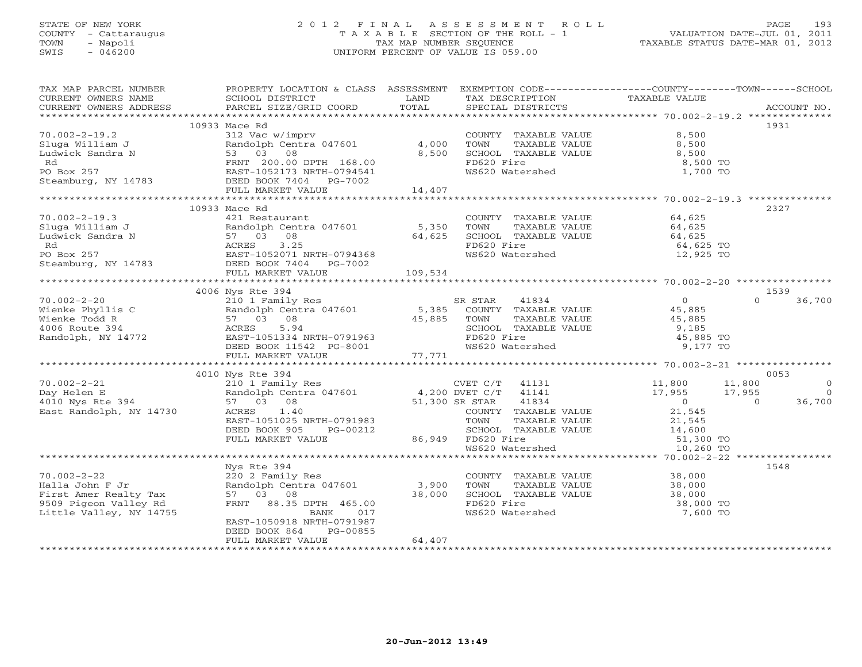# STATE OF NEW YORK 2 0 1 2 F I N A L A S S E S S M E N T R O L L PAGE 193 COUNTY - Cattaraugus T A X A B L E SECTION OF THE ROLL - 1 VALUATION DATE-JUL 01, 2011 TOWN - Napoli TAX MAP NUMBER SEQUENCE TAXABLE STATUS DATE-MAR 01, 2012 SWIS - 046200 UNIFORM PERCENT OF VALUE IS 059.00UNIFORM PERCENT OF VALUE IS 059.00

| TAX MAP PARCEL NUMBER                                                                                                                                                                                                                 |                                                                   |                  |                                                                                               | PROPERTY LOCATION & CLASS ASSESSMENT EXEMPTION CODE----------------COUNTY-------TOWN------SCHOOL |            |
|---------------------------------------------------------------------------------------------------------------------------------------------------------------------------------------------------------------------------------------|-------------------------------------------------------------------|------------------|-----------------------------------------------------------------------------------------------|--------------------------------------------------------------------------------------------------|------------|
| CURRENT OWNERS NAME                                                                                                                                                                                                                   | SCHOOL DISTRICT                                                   | LAND             | TAX DESCRIPTION                                                                               | TAXABLE VALUE                                                                                    |            |
|                                                                                                                                                                                                                                       |                                                                   |                  |                                                                                               |                                                                                                  |            |
|                                                                                                                                                                                                                                       |                                                                   |                  |                                                                                               |                                                                                                  |            |
|                                                                                                                                                                                                                                       | 10933 Mace Rd                                                     |                  |                                                                                               |                                                                                                  | 1931       |
| Sluga William J<br>Eudwick Sandra N<br>Randolph Centra 047601<br>Ludwick Sandra N<br>RNT 200.00 DPTH 168.00<br>Rd<br>PO Box 257<br>EAST-1052173 NRTH-0794541<br>Steamburg, NY 14783<br>PEED BOOK 7404<br>PG-7002<br>FULL MARKET VALUE | 312 Vac w/imprv<br>Randolph Centra 047601 4,000<br>53 03 08 8,500 |                  | COUNTY TAXABLE VALUE                                                                          | 8,500                                                                                            |            |
|                                                                                                                                                                                                                                       |                                                                   |                  | TOWN<br>TAXABLE VALUE                                                                         | 8,500                                                                                            |            |
|                                                                                                                                                                                                                                       |                                                                   | 8,500            | SCHOOL TAXABLE VALUE                                                                          | 8,500                                                                                            |            |
|                                                                                                                                                                                                                                       |                                                                   |                  | FD620 Fire                                                                                    | 8,500 TO                                                                                         |            |
|                                                                                                                                                                                                                                       |                                                                   |                  | WS620 Watershed                                                                               | 1,700 TO                                                                                         |            |
|                                                                                                                                                                                                                                       |                                                                   |                  |                                                                                               |                                                                                                  |            |
|                                                                                                                                                                                                                                       |                                                                   | 14,407           |                                                                                               |                                                                                                  |            |
|                                                                                                                                                                                                                                       |                                                                   |                  |                                                                                               |                                                                                                  |            |
|                                                                                                                                                                                                                                       | 10933 Mace Rd                                                     |                  |                                                                                               |                                                                                                  | 2327       |
| $70.002 - 2 - 19.3$                                                                                                                                                                                                                   | 421 Restaurant                                                    |                  | COUNTY TAXABLE VALUE                                                                          | 64,625                                                                                           |            |
|                                                                                                                                                                                                                                       | Randolph Centra 047601 5,350<br>57 03 08 64,625                   |                  | TOWN<br>TAXABLE VALUE<br>TAXABLE VALUE                                                        | 64,625<br>64,625                                                                                 |            |
| Find Solution 1<br>Fandolph Centra 047601<br>Ludwick Sandra N<br>Red Steamburg, NY 14783<br>Steamburg, NY 14783<br>FILL MARKET VALUE<br>FILL MARKET VALUE                                                                             |                                                                   |                  | SCHOOL TAXABLE VALUE                                                                          |                                                                                                  |            |
|                                                                                                                                                                                                                                       |                                                                   |                  | FD620 Fire                                                                                    | 64,625 TO                                                                                        |            |
|                                                                                                                                                                                                                                       |                                                                   |                  | WS620 Watershed                                                                               | 12,925 TO                                                                                        |            |
|                                                                                                                                                                                                                                       |                                                                   |                  |                                                                                               |                                                                                                  |            |
|                                                                                                                                                                                                                                       | FULL MARKET VALUE                                                 | 109,534          |                                                                                               |                                                                                                  |            |
|                                                                                                                                                                                                                                       |                                                                   |                  |                                                                                               |                                                                                                  |            |
|                                                                                                                                                                                                                                       | 4006 Nys Rte 394                                                  |                  |                                                                                               |                                                                                                  | 1539       |
| $70.002 - 2 - 20$                                                                                                                                                                                                                     |                                                                   |                  |                                                                                               | $\Omega$                                                                                         | 36,700     |
| Wienke Phyllis C                                                                                                                                                                                                                      |                                                                   |                  |                                                                                               |                                                                                                  |            |
| Wienke Todd R                                                                                                                                                                                                                         |                                                                   | 45,885 TOWN      |                                                                                               |                                                                                                  |            |
| 4006 Route 394                                                                                                                                                                                                                        | 5.94<br>ACRES                                                     |                  | SCHOOL TAXABLE VALUE                                                                          | 9,185                                                                                            |            |
| Randolph, NY 14772                                                                                                                                                                                                                    | EAST-1051334 NRTH-0791963                                         |                  | FD620 Fire                                                                                    | 45,885 TO                                                                                        |            |
|                                                                                                                                                                                                                                       | DEED BOOK 11542 PG-8001<br>FULL MARKET VALUE 77,771               |                  | WS620 Watershed                                                                               | 9,177 TO                                                                                         |            |
|                                                                                                                                                                                                                                       |                                                                   |                  |                                                                                               |                                                                                                  |            |
|                                                                                                                                                                                                                                       |                                                                   |                  |                                                                                               |                                                                                                  |            |
|                                                                                                                                                                                                                                       | 4010 Nys Rte 394                                                  |                  |                                                                                               |                                                                                                  | 0053       |
| $70.002 - 2 - 21$                                                                                                                                                                                                                     | 210 1 Family Res<br>Randolph Centra 047601 4,200 DVET C/T 41141   |                  | CVET $C/T$ 41131                                                                              | 11,800<br>17,955<br>11,800                                                                       | $\Omega$   |
| Day Helen E<br>4010 Nys Rte 394                                                                                                                                                                                                       |                                                                   |                  |                                                                                               | 17,955                                                                                           | $\bigcirc$ |
|                                                                                                                                                                                                                                       | 57 03 08                                                          | $51,300$ SR STAR | 41834                                                                                         | $\overline{O}$<br>$\overline{a}$<br>21,545                                                       | 36,700     |
| East Randolph, NY 14730                                                                                                                                                                                                               | 1.40<br>ACRES                                                     |                  | COUNTY TAXABLE VALUE                                                                          |                                                                                                  |            |
|                                                                                                                                                                                                                                       | EAST-1051025 NRTH-0791983                                         |                  | TOWN<br>TAXABLE VALUE                                                                         | 21,545                                                                                           |            |
|                                                                                                                                                                                                                                       | DEED BOOK 905<br>PG-00212                                         |                  | ECHOOL TAXABLE VALUE 14,600<br>SCHOOL TAXABLE VALUE 14,600<br>SCHOOL TAY<br>86,949 FD620 Fire |                                                                                                  |            |
|                                                                                                                                                                                                                                       | FULL MARKET VALUE                                                 |                  | WS620 Watershed                                                                               | 51,300 TO                                                                                        |            |
|                                                                                                                                                                                                                                       |                                                                   |                  |                                                                                               | 10,260 TO                                                                                        |            |
|                                                                                                                                                                                                                                       |                                                                   |                  |                                                                                               |                                                                                                  |            |
|                                                                                                                                                                                                                                       | Nys Rte 394                                                       |                  |                                                                                               |                                                                                                  | 1548       |
| $70.002 - 2 - 22$                                                                                                                                                                                                                     | 220 2 Family Res                                                  |                  | COUNTY TAXABLE VALUE 38,000                                                                   |                                                                                                  |            |
| Halla John F Jr                                                                                                                                                                                                                       | Randolph Centra 047601 3,900                                      |                  | TAXABLE VALUE<br>TOWN                                                                         | $\frac{38,000}{38,000}$                                                                          |            |
| First Amer Realty Tax                                                                                                                                                                                                                 | 57 03 08                                                          | 38,000           | SCHOOL TAXABLE VALUE                                                                          |                                                                                                  |            |
| 9509 Pigeon Valley Rd                                                                                                                                                                                                                 | FRNT 88.35 DPTH 465.00                                            |                  | FD620 Fire                                                                                    | 38,000 TO                                                                                        |            |
| Little Valley, NY 14755                                                                                                                                                                                                               | BANK<br>017                                                       |                  | WS620 Watershed                                                                               | 7,600 TO                                                                                         |            |
|                                                                                                                                                                                                                                       | EAST-1050918 NRTH-0791987                                         |                  |                                                                                               |                                                                                                  |            |
|                                                                                                                                                                                                                                       | DEED BOOK 864<br>PG-00855                                         |                  |                                                                                               |                                                                                                  |            |
|                                                                                                                                                                                                                                       | FULL MARKET VALUE                                                 | 64,407           |                                                                                               |                                                                                                  |            |
|                                                                                                                                                                                                                                       |                                                                   |                  |                                                                                               |                                                                                                  |            |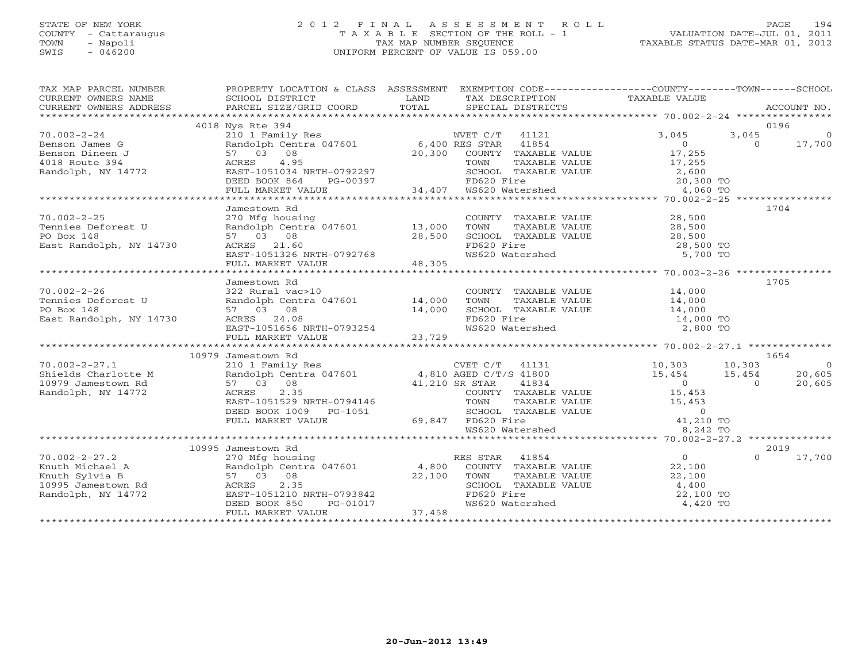## STATE OF NEW YORK 2 0 1 2 F I N A L A S S E S S M E N T R O L L PAGE 194 COUNTY - Cattaraugus T A X A B L E SECTION OF THE ROLL - 1 VALUATION DATE-JUL 01, 2011 TOWN - Napoli TAX MAP NUMBER SEQUENCE TAXABLE STATUS DATE-MAR 01, 2012 SWIS - 046200 UNIFORM PERCENT OF VALUE IS 059.00UNIFORM PERCENT OF VALUE IS 059.00

| TAX MAP PARCEL NUMBER |                                                                                                                                                                                |                                                                                                                                                                                                                                                                                                                                                                                     |                                                                                                                                                                                                                                                                                                                                                                                   |
|-----------------------|--------------------------------------------------------------------------------------------------------------------------------------------------------------------------------|-------------------------------------------------------------------------------------------------------------------------------------------------------------------------------------------------------------------------------------------------------------------------------------------------------------------------------------------------------------------------------------|-----------------------------------------------------------------------------------------------------------------------------------------------------------------------------------------------------------------------------------------------------------------------------------------------------------------------------------------------------------------------------------|
|                       |                                                                                                                                                                                |                                                                                                                                                                                                                                                                                                                                                                                     |                                                                                                                                                                                                                                                                                                                                                                                   |
|                       | 4018 Nys Rte 394                                                                                                                                                               |                                                                                                                                                                                                                                                                                                                                                                                     | 0196                                                                                                                                                                                                                                                                                                                                                                              |
|                       |                                                                                                                                                                                |                                                                                                                                                                                                                                                                                                                                                                                     |                                                                                                                                                                                                                                                                                                                                                                                   |
|                       |                                                                                                                                                                                |                                                                                                                                                                                                                                                                                                                                                                                     |                                                                                                                                                                                                                                                                                                                                                                                   |
|                       |                                                                                                                                                                                |                                                                                                                                                                                                                                                                                                                                                                                     |                                                                                                                                                                                                                                                                                                                                                                                   |
|                       |                                                                                                                                                                                |                                                                                                                                                                                                                                                                                                                                                                                     |                                                                                                                                                                                                                                                                                                                                                                                   |
|                       |                                                                                                                                                                                |                                                                                                                                                                                                                                                                                                                                                                                     |                                                                                                                                                                                                                                                                                                                                                                                   |
|                       |                                                                                                                                                                                |                                                                                                                                                                                                                                                                                                                                                                                     |                                                                                                                                                                                                                                                                                                                                                                                   |
|                       |                                                                                                                                                                                |                                                                                                                                                                                                                                                                                                                                                                                     |                                                                                                                                                                                                                                                                                                                                                                                   |
|                       |                                                                                                                                                                                |                                                                                                                                                                                                                                                                                                                                                                                     |                                                                                                                                                                                                                                                                                                                                                                                   |
|                       | Jamestown Rd                                                                                                                                                                   |                                                                                                                                                                                                                                                                                                                                                                                     | 1704                                                                                                                                                                                                                                                                                                                                                                              |
|                       | 70.002-2-25<br>Tennies Deforest U and Diplomatic Premies Deforest U and Diplomatic Premies Deforest U and Premies S7 03 08<br>East Randolph, NY 14730 ACRES 21.60 28,500 FD620 |                                                                                                                                                                                                                                                                                                                                                                                     | COUNTY TAXABLE VALUE<br>TOWN TAXABLE VALUE 28,500<br>SCHOOL TAXABLE VALUE 28,500<br>FD620 Fire 28,500<br>WS620 Watershed 5,700 TO                                                                                                                                                                                                                                                 |
|                       |                                                                                                                                                                                |                                                                                                                                                                                                                                                                                                                                                                                     |                                                                                                                                                                                                                                                                                                                                                                                   |
|                       |                                                                                                                                                                                |                                                                                                                                                                                                                                                                                                                                                                                     |                                                                                                                                                                                                                                                                                                                                                                                   |
|                       |                                                                                                                                                                                |                                                                                                                                                                                                                                                                                                                                                                                     |                                                                                                                                                                                                                                                                                                                                                                                   |
|                       |                                                                                                                                                                                |                                                                                                                                                                                                                                                                                                                                                                                     |                                                                                                                                                                                                                                                                                                                                                                                   |
|                       |                                                                                                                                                                                |                                                                                                                                                                                                                                                                                                                                                                                     |                                                                                                                                                                                                                                                                                                                                                                                   |
|                       |                                                                                                                                                                                |                                                                                                                                                                                                                                                                                                                                                                                     |                                                                                                                                                                                                                                                                                                                                                                                   |
|                       | Jamestown Rd                                                                                                                                                                   |                                                                                                                                                                                                                                                                                                                                                                                     | 1705                                                                                                                                                                                                                                                                                                                                                                              |
|                       |                                                                                                                                                                                |                                                                                                                                                                                                                                                                                                                                                                                     |                                                                                                                                                                                                                                                                                                                                                                                   |
|                       |                                                                                                                                                                                |                                                                                                                                                                                                                                                                                                                                                                                     |                                                                                                                                                                                                                                                                                                                                                                                   |
|                       |                                                                                                                                                                                |                                                                                                                                                                                                                                                                                                                                                                                     |                                                                                                                                                                                                                                                                                                                                                                                   |
|                       |                                                                                                                                                                                |                                                                                                                                                                                                                                                                                                                                                                                     |                                                                                                                                                                                                                                                                                                                                                                                   |
|                       |                                                                                                                                                                                |                                                                                                                                                                                                                                                                                                                                                                                     | COUNTY TAXABLE VALUE $14,000$<br>TOWN TAXABLE VALUE $14,000$<br>SCHOOL TAXABLE VALUE $14,000$<br>FD620 Fire $14,000$<br>WS620 Watershed $2,800$ TO                                                                                                                                                                                                                                |
|                       |                                                                                                                                                                                |                                                                                                                                                                                                                                                                                                                                                                                     |                                                                                                                                                                                                                                                                                                                                                                                   |
|                       |                                                                                                                                                                                |                                                                                                                                                                                                                                                                                                                                                                                     | PO BOX 148<br>PO BOX 148<br>East Randolph, NY 14730<br>EAST-1051656 NRTH-0793254<br>FULL MARKET VALUE<br>FULL MARKET VALUE<br>FULL MARKET VALUE<br>23,729<br>FULL MARKET VALUE<br>23,729<br>FULL MARKET VALUE<br>23,729<br>2,800 TO<br>FULL MARKET VALUE                                                                                                                          |
|                       | 10979 Jamestown Rd                                                                                                                                                             |                                                                                                                                                                                                                                                                                                                                                                                     | 1654                                                                                                                                                                                                                                                                                                                                                                              |
|                       |                                                                                                                                                                                |                                                                                                                                                                                                                                                                                                                                                                                     |                                                                                                                                                                                                                                                                                                                                                                                   |
|                       |                                                                                                                                                                                |                                                                                                                                                                                                                                                                                                                                                                                     |                                                                                                                                                                                                                                                                                                                                                                                   |
|                       |                                                                                                                                                                                |                                                                                                                                                                                                                                                                                                                                                                                     |                                                                                                                                                                                                                                                                                                                                                                                   |
|                       |                                                                                                                                                                                |                                                                                                                                                                                                                                                                                                                                                                                     |                                                                                                                                                                                                                                                                                                                                                                                   |
|                       |                                                                                                                                                                                |                                                                                                                                                                                                                                                                                                                                                                                     |                                                                                                                                                                                                                                                                                                                                                                                   |
|                       |                                                                                                                                                                                |                                                                                                                                                                                                                                                                                                                                                                                     |                                                                                                                                                                                                                                                                                                                                                                                   |
|                       |                                                                                                                                                                                |                                                                                                                                                                                                                                                                                                                                                                                     |                                                                                                                                                                                                                                                                                                                                                                                   |
|                       |                                                                                                                                                                                |                                                                                                                                                                                                                                                                                                                                                                                     | $\begin{tabular}{lllllllllllll} \hline \text{70.002--2--27.1} & 10979 Jamestown Rd & 210 J Fami 1y Res & 210 J Fami 1y Res & 210 J Fami 1y Res & 210 J Fami 1y Res & 210 J Fami 1y Res & 210 J Fami 1y Res & 210 J Fami 1y Res & 210 J Fami 1y Res & 210 J Fami 1y Res & 210 J Fami 1y Res & 210 J Fami 1y Res & 210 J Fami 1y Res & 210 J Fami 1y Res & 210 J Fani 1y Res & 210$ |
|                       |                                                                                                                                                                                |                                                                                                                                                                                                                                                                                                                                                                                     |                                                                                                                                                                                                                                                                                                                                                                                   |
|                       | 10995 Jamestown Rd                                                                                                                                                             |                                                                                                                                                                                                                                                                                                                                                                                     | 2019                                                                                                                                                                                                                                                                                                                                                                              |
|                       |                                                                                                                                                                                |                                                                                                                                                                                                                                                                                                                                                                                     | $0 \t 17,700$                                                                                                                                                                                                                                                                                                                                                                     |
|                       |                                                                                                                                                                                | $\begin{array}{cccccccccccc} 70.002-2-27.2 & & & & & 10995 \text{ James Town KA} & & & & & & & 0\\ \text{Knuth Michael A} & & & & & & & & 270 \text{ Mfg housing} & & & & & & \text{RES STAR} & 41854 & & & & 0\\ \text{Knuth Sylvia B} & & & & & & & & & 57 & 03 & 08 & & & 22,100 & & & 22,100 & & 22,100 & & 22,100 & & 22,100 & & 22,100 & & 22,100 & & 22,100 & & 22,100 & & $ |                                                                                                                                                                                                                                                                                                                                                                                   |
|                       |                                                                                                                                                                                |                                                                                                                                                                                                                                                                                                                                                                                     |                                                                                                                                                                                                                                                                                                                                                                                   |
|                       |                                                                                                                                                                                |                                                                                                                                                                                                                                                                                                                                                                                     |                                                                                                                                                                                                                                                                                                                                                                                   |
|                       |                                                                                                                                                                                |                                                                                                                                                                                                                                                                                                                                                                                     |                                                                                                                                                                                                                                                                                                                                                                                   |
|                       |                                                                                                                                                                                |                                                                                                                                                                                                                                                                                                                                                                                     | TOWN TAXABLE VALUE $22,100$<br>SCHOOL TAXABLE VALUE $4,400$<br>FD620 Fire $22,100$ TO<br>WS620 Watershed $4,420$ TO                                                                                                                                                                                                                                                               |
|                       |                                                                                                                                                                                |                                                                                                                                                                                                                                                                                                                                                                                     |                                                                                                                                                                                                                                                                                                                                                                                   |
|                       |                                                                                                                                                                                |                                                                                                                                                                                                                                                                                                                                                                                     |                                                                                                                                                                                                                                                                                                                                                                                   |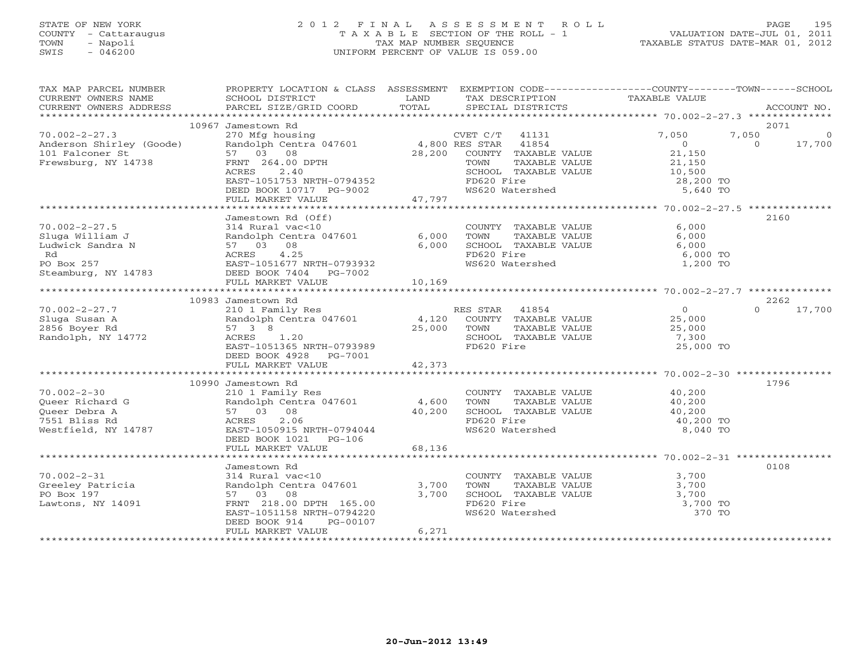# STATE OF NEW YORK 2 0 1 2 F I N A L A S S E S S M E N T R O L L PAGE 195 COUNTY - Cattaraugus T A X A B L E SECTION OF THE ROLL - 1 VALUATION DATE-JUL 01, 2011 TOWN - Napoli TAX MAP NUMBER SEQUENCE TAXABLE STATUS DATE-MAR 01, 2012 SWIS - 046200 UNIFORM PERCENT OF VALUE IS 059.00UNIFORM PERCENT OF VALUE IS 059.00

| TAX MAP PARCEL NUMBER<br>CURRENT OWNERS NAME<br>CURRENT OWNERS ADDRESS                                | PROPERTY LOCATION & CLASS ASSESSMENT<br>SCHOOL DISTRICT<br>PARCEL SIZE/GRID COORD                                                           | LAND<br>TOTAL                       | TAX DESCRIPTION<br>SPECIAL DISTRICTS                                                                   | EXEMPTION CODE-----------------COUNTY-------TOWN------SCHOOL<br>TAXABLE VALUE | ACCOUNT NO.                            |
|-------------------------------------------------------------------------------------------------------|---------------------------------------------------------------------------------------------------------------------------------------------|-------------------------------------|--------------------------------------------------------------------------------------------------------|-------------------------------------------------------------------------------|----------------------------------------|
| ***********************                                                                               |                                                                                                                                             |                                     |                                                                                                        |                                                                               |                                        |
|                                                                                                       | 10967 Jamestown Rd                                                                                                                          |                                     |                                                                                                        |                                                                               | 2071                                   |
| $70.002 - 2 - 27.3$<br>Anderson Shirley (Goode)<br>101 Falconer St<br>Frewsburg, NY 14738             | 270 Mfg housing<br>Randolph Centra 047601<br>57 03 08<br>FRNT 264.00 DPTH                                                                   | 4,800 RES STAR<br>28,200            | CVET $C/T$ 41131<br>41854<br>COUNTY TAXABLE VALUE<br>TAXABLE VALUE<br>TOWN                             | 7,050<br>$\overline{O}$<br>21,150<br>21,150                                   | 7,050<br>$\circ$<br>17,700<br>$\Omega$ |
|                                                                                                       | 2.40<br>ACRES<br>EAST-1051753 NRTH-0794352<br>DEED BOOK 10717 PG-9002<br>FULL MARKET VALUE                                                  | 47,797                              | SCHOOL TAXABLE VALUE<br>FD620 Fire<br>WS620 Watershed                                                  | 10,500<br>28,200 TO<br>5,640 TO                                               |                                        |
|                                                                                                       |                                                                                                                                             |                                     |                                                                                                        |                                                                               |                                        |
|                                                                                                       | Jamestown Rd (Off)                                                                                                                          |                                     |                                                                                                        |                                                                               | 2160                                   |
| $70.002 - 2 - 27.5$<br>Sluga William J<br>Ludwick Sandra N<br>Rd<br>PO Box 257<br>Steamburg, NY 14783 | 314 Rural vac<10<br>Randolph Centra 047601 6,000<br>57 03 08<br>4.25<br>ACRES<br>EAST-1051677 NRTH-0793932<br>DEED BOOK 7404    PG-7002     | 6,000                               | COUNTY TAXABLE VALUE<br>TOWN<br>TAXABLE VALUE<br>SCHOOL TAXABLE VALUE<br>FD620 Fire<br>WS620 Watershed | 6,000<br>6,000<br>6,000<br>6,000 TO<br>1,200 TO                               |                                        |
|                                                                                                       | FULL MARKET VALUE                                                                                                                           | 10,169                              |                                                                                                        |                                                                               |                                        |
|                                                                                                       |                                                                                                                                             |                                     |                                                                                                        |                                                                               |                                        |
|                                                                                                       | 10983 Jamestown Rd                                                                                                                          |                                     |                                                                                                        |                                                                               | 2262                                   |
| $70.002 - 2 - 27.7$                                                                                   | 210 1 Family Res                                                                                                                            |                                     | RES STAR 41854                                                                                         | $\overline{0}$                                                                | $\Omega$<br>17,700                     |
| Sluga Susan A                                                                                         | Randolph Centra 047601 4,120 COUNTY TAXABLE VALUE                                                                                           |                                     |                                                                                                        | 25,000                                                                        |                                        |
| 2856 Boyer Rd                                                                                         | 57 3 8                                                                                                                                      | 25,000 TOWN                         | TAXABLE VALUE                                                                                          | 25,000                                                                        |                                        |
| Randolph, NY 14772                                                                                    | ACRES 1.20<br>EAST-1051365 NRTH-0793989<br>DEED BOOK 4928 PG-7001                                                                           |                                     | SCHOOL TAXABLE VALUE<br>FD620 Fire                                                                     | 7,300<br>25,000 TO                                                            |                                        |
|                                                                                                       | FULL MARKET VALUE<br>**************************                                                                                             | 42,373<br>* * * * * * * * * * * * * |                                                                                                        | ********************* 70.002-2-30 ****************                            |                                        |
|                                                                                                       | 10990 Jamestown Rd                                                                                                                          |                                     |                                                                                                        |                                                                               | 1796                                   |
| $70.002 - 2 - 30$                                                                                     | 210 1 Family Res                                                                                                                            |                                     | COUNTY TAXABLE VALUE                                                                                   |                                                                               |                                        |
| Queer Richard G                                                                                       | Randolph Centra 047601                                                                                                                      | 4,600                               | TOWN<br>TAXABLE VALUE                                                                                  | 40,200<br>40,200                                                              |                                        |
| Oueer Debra A                                                                                         | 57 03 08                                                                                                                                    | 40,200                              | SCHOOL TAXABLE VALUE                                                                                   |                                                                               |                                        |
| 7551 Bliss Rd                                                                                         | 2.06<br>ACRES                                                                                                                               |                                     | FD620 Fire                                                                                             | $40,200$<br>$40,200$ TO                                                       |                                        |
| Westfield, NY 14787                                                                                   | EAST-1050915 NRTH-0794044<br>DEED BOOK 1021    PG-106                                                                                       |                                     | WS620 Watershed                                                                                        | 8,040 TO                                                                      |                                        |
|                                                                                                       | FULL MARKET VALUE                                                                                                                           | 68,136                              |                                                                                                        |                                                                               |                                        |
|                                                                                                       | Jamestown Rd                                                                                                                                |                                     |                                                                                                        |                                                                               | 0108                                   |
| $70.002 - 2 - 31$<br>Greeley Patricia<br>PO Box 197<br>Lawtons, NY 14091                              | 314 Rural vac<10<br>Randolph Centra 047601<br>57 03 08<br>FRNT 218.00 DPTH 165.00<br>EAST-1051158 NRTH-0794220<br>DEED BOOK 914<br>PG-00107 | 3,700<br>3,700                      | COUNTY TAXABLE VALUE<br>TOWN<br>TAXABLE VALUE<br>SCHOOL TAXABLE VALUE<br>FD620 Fire<br>WS620 Watershed | 3,700<br>3,700<br>3,700<br>3,700 TO<br>370 TO                                 |                                        |
|                                                                                                       | FULL MARKET VALUE                                                                                                                           | 6,271                               |                                                                                                        |                                                                               |                                        |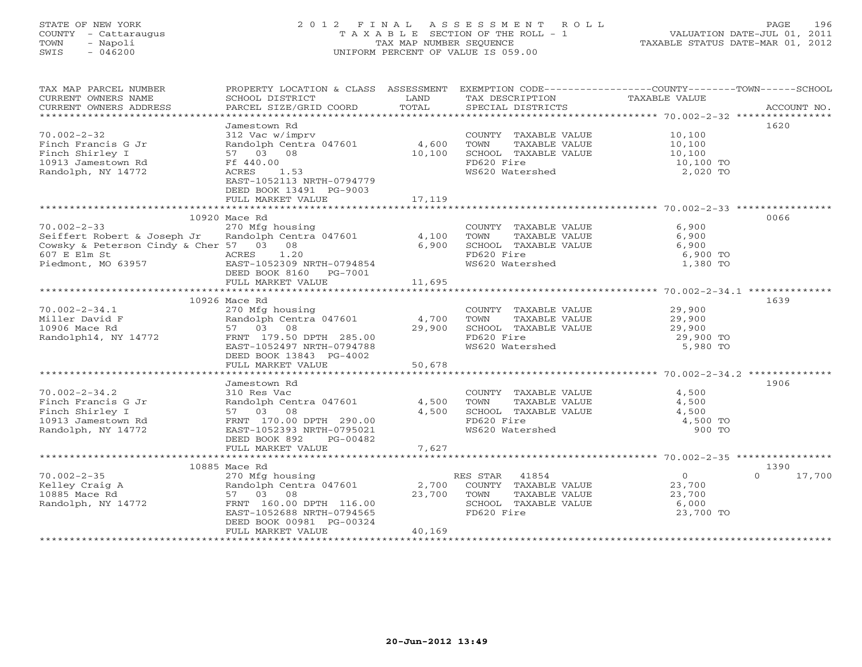# STATE OF NEW YORK 2 0 1 2 F I N A L A S S E S S M E N T R O L L PAGE 196 COUNTY - Cattaraugus T A X A B L E SECTION OF THE ROLL - 1 VALUATION DATE-JUL 01, 2011 TOWN - Napoli TAX MAP NUMBER SEQUENCE TAXABLE STATUS DATE-MAR 01, 2012 SWIS - 046200 UNIFORM PERCENT OF VALUE IS 059.00UNIFORM PERCENT OF VALUE IS 059.00

| TAX MAP PARCEL NUMBER<br>CURRENT OWNERS NAME                                       | PROPERTY LOCATION & CLASS ASSESSMENT<br>SCHOOL DISTRICT       | LAND   | EXEMPTION CODE-----------------COUNTY-------TOWN------SCHOOL<br>TAX DESCRIPTION | TAXABLE VALUE                                |                  |
|------------------------------------------------------------------------------------|---------------------------------------------------------------|--------|---------------------------------------------------------------------------------|----------------------------------------------|------------------|
| CURRENT OWNERS ADDRESS                                                             | PARCEL SIZE/GRID COORD                                        | TOTAL  | SPECIAL DISTRICTS                                                               |                                              | ACCOUNT NO.      |
|                                                                                    | Jamestown Rd                                                  |        |                                                                                 |                                              | 1620             |
| $70.002 - 2 - 32$                                                                  | 312 Vac w/imprv                                               |        | COUNTY TAXABLE VALUE 10,100                                                     |                                              |                  |
| Finch Francis G Jr                                                                 | Randolph Centra 047601                                        | 4,600  | TOWN<br>TAXABLE VALUE                                                           |                                              |                  |
| Finch Shirley I                                                                    | 57 03 08                                                      | 10,100 | SCHOOL TAXABLE VALUE                                                            | 10,100<br>10,100                             |                  |
| 10913 Jamestown Rd                                                                 | Ff 440.00                                                     |        | FD620 Fire                                                                      |                                              |                  |
| Randolph, NY 14772                                                                 | 1.53<br>ACRES                                                 |        | WS620 Watershed                                                                 | 10,100 TO<br>2,020 TO                        |                  |
|                                                                                    | EAST-1052113 NRTH-0794779                                     |        |                                                                                 |                                              |                  |
|                                                                                    | DEED BOOK 13491 PG-9003                                       |        |                                                                                 |                                              |                  |
|                                                                                    | FULL MARKET VALUE                                             | 17,119 |                                                                                 |                                              |                  |
|                                                                                    |                                                               |        |                                                                                 |                                              |                  |
|                                                                                    | 10920 Mace Rd                                                 |        |                                                                                 |                                              | 0066             |
| $70.002 - 2 - 33$                                                                  | 270 Mfg housing                                               |        | COUNTY TAXABLE VALUE                                                            | 6,900                                        |                  |
| Seiffert Robert & Joseph Jr<br>Cowsky & Peterson Cindy & Cher 57 03 08             |                                                               |        | TOWN      TAXABLE VALUE<br>SCHOOL   TAXABLE VALUE                               | 6,900<br>6,900                               |                  |
|                                                                                    | Randolph Centra 047601 4,100<br>57 03 08 6,900<br>ACRES 1.20  |        | FD620 Fire                                                                      | 6,900 TO                                     |                  |
|                                                                                    |                                                               |        | FD620 Fire<br>WS620 Watershed                                                   | 1,380 TO                                     |                  |
| 607 E Elm St<br>Piedmont, MO 63957<br>Piedmont, MO 63957<br>DEED BOOK 8160 PG-7001 |                                                               |        |                                                                                 |                                              |                  |
|                                                                                    | FULL MARKET VALUE                                             | 11,695 |                                                                                 |                                              |                  |
|                                                                                    |                                                               |        |                                                                                 |                                              |                  |
|                                                                                    | 10926 Mace Rd                                                 |        |                                                                                 |                                              | 1639             |
| $70.002 - 2 - 34.1$                                                                | 270 Mfg housing                                               |        | COUNTY TAXABLE VALUE                                                            | TAXABLE VALUE 29,900<br>TAXABLE VALUE 29,900 |                  |
| Miller David F                                                                     | 2.0 mm<br>Randolph Centra 047601 (4,700)<br>57 03 08 (29,900) |        | TOWN                                                                            |                                              |                  |
|                                                                                    |                                                               | 29,900 | SCHOOL TAXABLE VALUE                                                            | 29,900                                       |                  |
|                                                                                    |                                                               |        | FD620 Fire                                                                      | 29,900 TO                                    |                  |
|                                                                                    | EAST-1052497 NRTH-0794788                                     |        | WS620 Watershed                                                                 | 5,980 TO                                     |                  |
|                                                                                    | DEED BOOK 13843 PG-4002                                       |        |                                                                                 |                                              |                  |
|                                                                                    | FULL MARKET VALUE                                             | 50,678 |                                                                                 |                                              |                  |
|                                                                                    | Jamestown Rd                                                  |        |                                                                                 |                                              | 1906             |
| $70.002 - 2 - 34.2$                                                                | 310 Res Vac                                                   |        | COUNTY TAXABLE VALUE 4,500                                                      |                                              |                  |
|                                                                                    | Randolph Centra 047601 4,500                                  |        | TOWN<br>TAXABLE VALUE                                                           | 4,500                                        |                  |
|                                                                                    |                                                               | 4,500  | SCHOOL TAXABLE VALUE                                                            | 4,500                                        |                  |
|                                                                                    |                                                               |        | FD620 Fire                                                                      | 4,500 TO                                     |                  |
| Randolph, NY 14772                                                                 | EAST-1052393 NRTH-0795021                                     |        | WS620 Watershed                                                                 | 900 TO                                       |                  |
|                                                                                    | DEED BOOK 892<br>PG-00482                                     |        |                                                                                 |                                              |                  |
|                                                                                    | FULL MARKET VALUE                                             | 7,627  |                                                                                 |                                              |                  |
|                                                                                    |                                                               |        |                                                                                 |                                              |                  |
|                                                                                    | 10885 Mace Rd                                                 |        |                                                                                 |                                              | 1390<br>$\Omega$ |
|                                                                                    |                                                               |        | RES STAR 41854<br>COUNTY TAXABLE VALUE                                          | $\overline{0}$<br>23,700                     | 17,700           |
|                                                                                    |                                                               |        | TOWN<br>TAXABLE VALUE                                                           | 23,700                                       |                  |
|                                                                                    |                                                               |        | SCHOOL TAXABLE VALUE 6,000                                                      |                                              |                  |
|                                                                                    | EAST-1052688 NRTH-0794565                                     |        | FD620 Fire                                                                      | 23,700 TO                                    |                  |
|                                                                                    | DEED BOOK 00981 PG-00324                                      |        |                                                                                 |                                              |                  |
|                                                                                    | FULL MARKET VALUE                                             | 40,169 |                                                                                 |                                              |                  |
|                                                                                    |                                                               |        |                                                                                 |                                              |                  |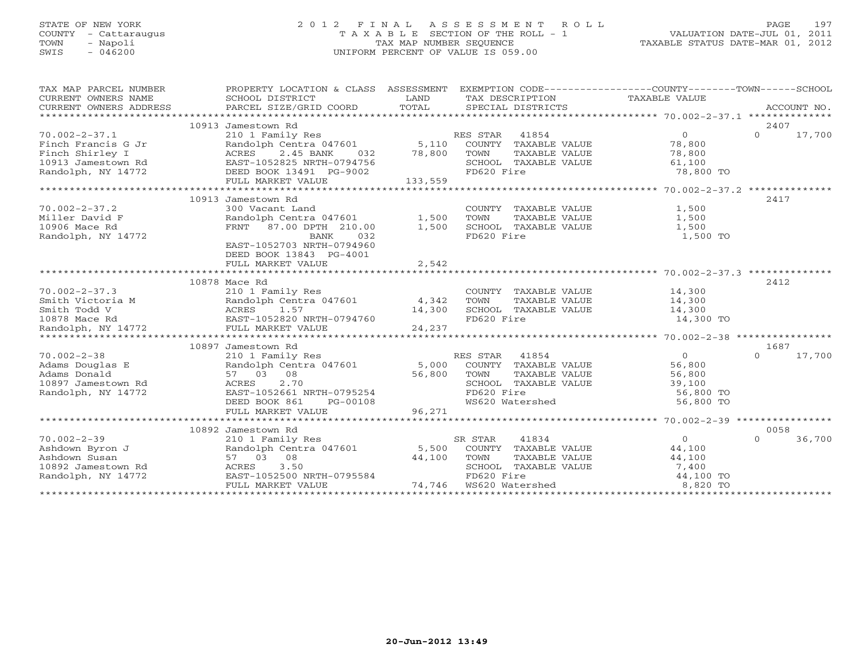# STATE OF NEW YORK 2 0 1 2 F I N A L A S S E S S M E N T R O L L PAGE 197 COUNTY - Cattaraugus T A X A B L E SECTION OF THE ROLL - 1 VALUATION DATE-JUL 01, 2011 TOWN - Napoli TAX MAP NUMBER SEQUENCE TAXABLE STATUS DATE-MAR 01, 2012 SWIS - 046200 UNIFORM PERCENT OF VALUE IS 059.00UNIFORM PERCENT OF VALUE IS 059.00

|                        |                                                                                                                                                                                                                                                                                                                                        |         | EXEMPTION CODE-----------------COUNTY-------TOWN------SCHOOL |                       |                    |
|------------------------|----------------------------------------------------------------------------------------------------------------------------------------------------------------------------------------------------------------------------------------------------------------------------------------------------------------------------------------|---------|--------------------------------------------------------------|-----------------------|--------------------|
| TAX MAP PARCEL NUMBER  | PROPERTY LOCATION & CLASS ASSESSMENT                                                                                                                                                                                                                                                                                                   |         |                                                              |                       |                    |
| CURRENT OWNERS NAME    | SCHOOL DISTRICT                                                                                                                                                                                                                                                                                                                        | LAND    | TAX DESCRIPTION TAXABLE VALUE                                |                       |                    |
| CURRENT OWNERS ADDRESS | PARCEL SIZE/GRID COORD                                                                                                                                                                                                                                                                                                                 | TOTAL   | SPECIAL DISTRICTS                                            |                       | ACCOUNT NO.        |
|                        |                                                                                                                                                                                                                                                                                                                                        |         |                                                              |                       |                    |
|                        | 10913 Jamestown Rd                                                                                                                                                                                                                                                                                                                     |         |                                                              |                       | 2407               |
| $70.002 - 2 - 37.1$    | 210 1 Family Res                                                                                                                                                                                                                                                                                                                       |         | RES STAR 41854                                               | $\Omega$              | $\Omega$<br>17,700 |
| Finch Francis G Jr     | Randolph Centra 047601 5,110                                                                                                                                                                                                                                                                                                           |         | COUNTY TAXABLE VALUE                                         | 78,800                |                    |
| Finch Shirley I        | 2.45 BANK<br>ACRES<br>032                                                                                                                                                                                                                                                                                                              | 78,800  | TOWN<br>TAXABLE VALUE                                        | 78,800                |                    |
| 10913 Jamestown Rd     | EAST-1052825 NRTH-0794756                                                                                                                                                                                                                                                                                                              |         | SCHOOL TAXABLE VALUE                                         | 61,100                |                    |
| Randolph, NY 14772     | DEED BOOK 13491 PG-9002                                                                                                                                                                                                                                                                                                                |         | FD620 Fire                                                   | 78,800 TO             |                    |
|                        | FULL MARKET VALUE                                                                                                                                                                                                                                                                                                                      | 133,559 |                                                              |                       |                    |
|                        |                                                                                                                                                                                                                                                                                                                                        |         |                                                              |                       |                    |
|                        | 10913 Jamestown Rd                                                                                                                                                                                                                                                                                                                     |         |                                                              |                       | 2417               |
| $70.002 - 2 - 37.2$    | 300 Vacant Land                                                                                                                                                                                                                                                                                                                        |         | COUNTY TAXABLE VALUE                                         | $1,500$<br>$1,500$    |                    |
| Miller David F         | Randolph Centra 047601                                                                                                                                                                                                                                                                                                                 | 1,500   | TAXABLE VALUE<br>TOWN                                        | 1,500                 |                    |
| 10906 Mace Rd          | FRNT 87.00 DPTH 210.00                                                                                                                                                                                                                                                                                                                 | 1,500   | SCHOOL TAXABLE VALUE                                         | 1,500                 |                    |
| Randolph, NY 14772     | BANK<br>032                                                                                                                                                                                                                                                                                                                            |         | FD620 Fire                                                   | 1,500 TO              |                    |
|                        | EAST-1052703 NRTH-0794960                                                                                                                                                                                                                                                                                                              |         |                                                              |                       |                    |
|                        | DEED BOOK 13843 PG-4001                                                                                                                                                                                                                                                                                                                |         |                                                              |                       |                    |
|                        | FULL MARKET VALUE                                                                                                                                                                                                                                                                                                                      | 2,542   |                                                              |                       |                    |
|                        |                                                                                                                                                                                                                                                                                                                                        |         |                                                              |                       |                    |
|                        | 10878 Mace Rd                                                                                                                                                                                                                                                                                                                          |         |                                                              |                       | 2412               |
| $70.002 - 2 - 37.3$    |                                                                                                                                                                                                                                                                                                                                        |         | COUNTY TAXABLE VALUE                                         | 14,300                |                    |
| Smith Victoria M       | Randolph Centra 047601                                                                                                                                                                                                                                                                                                                 | 4,342   | TOWN<br>TAXABLE VALUE                                        | 14,300                |                    |
| Smith Todd V           |                                                                                                                                                                                                                                                                                                                                        | 14,300  | SCHOOL TAXABLE VALUE                                         | 14,300                |                    |
| 10878 Mace Rd          | EAST-1052820 NRTH-0794760                                                                                                                                                                                                                                                                                                              |         | FD620 Fire                                                   | 14,300 TO             |                    |
| Randolph, NY 14772     |                                                                                                                                                                                                                                                                                                                                        | 24,237  |                                                              |                       |                    |
| ********************** | $\begin{tabular}{ll} $\mathbb{Z}$ & $\mathbb{Z}$ & $\mathbb{Z}$ & $\mathbb{Z}$ \\ $\mathbb{M}$ & Random Oem, 157 \\ \hline \text{R} \text{and} 01 \text{ph} & \text{Center 047} \\ \text{ACRES} & 1.57 \\ \text{EAST-1052820 NRTH-} & \text{FULL MARKET VALUE} \\ & \text{M+100} \\ & \text{M+200} \\ & \text{M+300} \\ \end{tabular}$ |         |                                                              |                       |                    |
|                        | 10897 Jamestown Rd                                                                                                                                                                                                                                                                                                                     |         |                                                              |                       | 1687               |
| $70.002 - 2 - 38$      | 210 1 Family Res                                                                                                                                                                                                                                                                                                                       |         | RES STAR 41854                                               | $\overline{0}$        | $\Omega$<br>17,700 |
| Adams Douglas E        | Randolph Centra 047601 5,000                                                                                                                                                                                                                                                                                                           |         | COUNTY TAXABLE VALUE                                         | 56,800                |                    |
| Adams Donald           | 57 03 08                                                                                                                                                                                                                                                                                                                               | 56,800  | TOWN<br>TAXABLE VALUE                                        | 56,800                |                    |
| 10897 Jamestown Rd     | 2.70<br>ACRES                                                                                                                                                                                                                                                                                                                          |         | SCHOOL TAXABLE VALUE                                         | 39,100                |                    |
| Randolph, NY 14772     | EAST-1052661 NRTH-0795254                                                                                                                                                                                                                                                                                                              |         | FD620 Fire                                                   | 56,800 TO             |                    |
|                        | DEED BOOK 861<br>PG-00108                                                                                                                                                                                                                                                                                                              |         | WS620 Watershed                                              | 56,800 TO             |                    |
|                        | FULL MARKET VALUE                                                                                                                                                                                                                                                                                                                      | 96,271  |                                                              |                       |                    |
|                        |                                                                                                                                                                                                                                                                                                                                        |         |                                                              |                       |                    |
|                        | 10892 Jamestown Rd                                                                                                                                                                                                                                                                                                                     |         |                                                              |                       | 0058               |
| $70.002 - 2 - 39$      | 210 1 Family Res                                                                                                                                                                                                                                                                                                                       |         | SR STAR<br>41834                                             | $\Omega$              | 36,700<br>$\Omega$ |
| Ashdown Byron J        | Randolph Centra 047601 5,500                                                                                                                                                                                                                                                                                                           |         | COUNTY TAXABLE VALUE                                         | 44,100                |                    |
| Ashdown Susan          | 57 03 08                                                                                                                                                                                                                                                                                                                               | 44,100  | TOWN<br>TAXABLE VALUE                                        | 44,100                |                    |
| 10892 Jamestown Rd     | 3.50<br>ACRES                                                                                                                                                                                                                                                                                                                          |         | SCHOOL TAXABLE VALUE                                         | 7,400                 |                    |
|                        |                                                                                                                                                                                                                                                                                                                                        |         |                                                              |                       |                    |
| Randolph, NY 14772     | EAST-1052500 NRTH-0795584                                                                                                                                                                                                                                                                                                              |         | FD620 Fire<br>74,746 WS620 Watershed                         | 44,100 TO<br>8,820 TO |                    |
|                        | FULL MARKET VALUE                                                                                                                                                                                                                                                                                                                      |         |                                                              |                       |                    |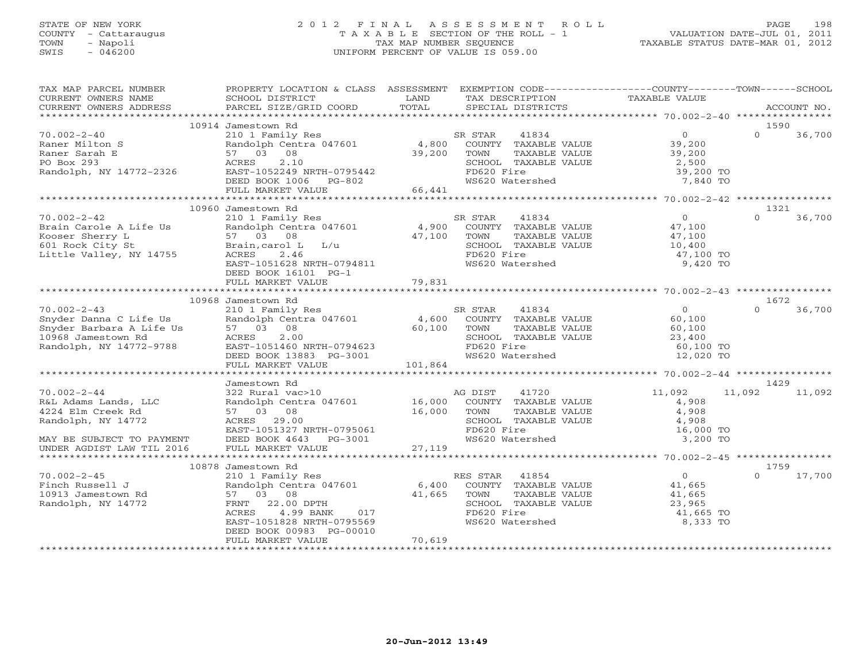### STATE OF NEW YORK 2 0 1 2 F I N A L A S S E S S M E N T R O L L PAGE 198 COUNTY - Cattaraugus T A X A B L E SECTION OF THE ROLL - 1 VALUATION DATE-JUL 01, 2011 TOWN - Napoli TAX MAP NUMBER SEQUENCE TAXABLE STATUS DATE-MAR 01, 2012 SWIS - 046200 UNIFORM PERCENT OF VALUE IS 059.00UNIFORM PERCENT OF VALUE IS 059.00

| TAX MAP PARCEL NUMBER<br>CURRENT OWNERS NAME<br>CURRENT OWNERS ADDRESS                                                                                                                                                                             | PROPERTY LOCATION & CLASS ASSESSMENT EXEMPTION CODE---------------COUNTY-------TOWN------SCHOOL<br>SCHOOL DISTRICT<br>PARCEL SIZE/GRID COORD                                                                                                               | LAND<br>TOTAL              | TAX DESCRIPTION<br>SPECIAL DISTRICTS                                                                        | TAXABLE VALUE                                                | ACCOUNT NO.        |
|----------------------------------------------------------------------------------------------------------------------------------------------------------------------------------------------------------------------------------------------------|------------------------------------------------------------------------------------------------------------------------------------------------------------------------------------------------------------------------------------------------------------|----------------------------|-------------------------------------------------------------------------------------------------------------|--------------------------------------------------------------|--------------------|
|                                                                                                                                                                                                                                                    |                                                                                                                                                                                                                                                            |                            |                                                                                                             |                                                              |                    |
|                                                                                                                                                                                                                                                    | 10914 Jamestown Rd                                                                                                                                                                                                                                         |                            |                                                                                                             |                                                              | 1590               |
| $70.002 - 2 - 40$<br>Raner Milton S                                                                                                                                                                                                                |                                                                                                                                                                                                                                                            |                            |                                                                                                             |                                                              | $\Omega$<br>36,700 |
| Raner Sarah E<br>PO Box 293                                                                                                                                                                                                                        | 57 03 08                                                                                                                                                                                                                                                   | 39,200 TOWN<br>39,200 TOWN |                                                                                                             | TAXABLE VALUE<br>TAXABLE VALUE 39,200<br>TAXABLE VALUE 2,500 |                    |
| Randolph, NY 14772-2326                                                                                                                                                                                                                            | ACRES 2.10<br>EAST-1052249 NRTH-0795442<br>DEED BOOK 1006 PG-802                                                                                                                                                                                           |                            | SCHOOL TAXABLE VALUE<br>FD620 Fire<br>WS620 Watershed                                                       | 39,200 TO                                                    |                    |
|                                                                                                                                                                                                                                                    |                                                                                                                                                                                                                                                            |                            |                                                                                                             | 7,840 TO                                                     |                    |
|                                                                                                                                                                                                                                                    | FULL MARKET VALUE 66,441                                                                                                                                                                                                                                   |                            |                                                                                                             |                                                              |                    |
|                                                                                                                                                                                                                                                    |                                                                                                                                                                                                                                                            |                            |                                                                                                             |                                                              |                    |
|                                                                                                                                                                                                                                                    | 10960 Jamestown Rd                                                                                                                                                                                                                                         |                            |                                                                                                             |                                                              | 1321               |
| $70.002 - 2 - 42$                                                                                                                                                                                                                                  |                                                                                                                                                                                                                                                            |                            |                                                                                                             | $\overline{0}$                                               | $\Omega$<br>36,700 |
|                                                                                                                                                                                                                                                    |                                                                                                                                                                                                                                                            |                            |                                                                                                             |                                                              |                    |
| Brain Carole A Life Us and Olph Centra 047601 4,900<br>Kooser Sherry L 57 03 08 47,100<br>601 Rock City St Brain, carol L L/u 47,100<br>Little Valley, NY 14755 ACRES 2.46                                                                         |                                                                                                                                                                                                                                                            |                            |                                                                                                             |                                                              |                    |
|                                                                                                                                                                                                                                                    |                                                                                                                                                                                                                                                            |                            | SCHOOL TAXABLE VALUE                                                                                        | 10,400<br>47,100 TO                                          |                    |
|                                                                                                                                                                                                                                                    |                                                                                                                                                                                                                                                            |                            | FD620 Fire                                                                                                  |                                                              |                    |
|                                                                                                                                                                                                                                                    | EAST-1051628 NRTH-0794811<br>DEED BOOK 16101 PG-1                                                                                                                                                                                                          |                            | WS620 Watershed                                                                                             | 9,420 TO                                                     |                    |
|                                                                                                                                                                                                                                                    | FULL MARKET VALUE                                                                                                                                                                                                                                          | 79,831                     |                                                                                                             |                                                              |                    |
|                                                                                                                                                                                                                                                    |                                                                                                                                                                                                                                                            |                            |                                                                                                             |                                                              |                    |
|                                                                                                                                                                                                                                                    | 10968 Jamestown Rd                                                                                                                                                                                                                                         |                            |                                                                                                             |                                                              | 1672               |
|                                                                                                                                                                                                                                                    |                                                                                                                                                                                                                                                            |                            |                                                                                                             |                                                              | 36,700<br>$\Omega$ |
|                                                                                                                                                                                                                                                    |                                                                                                                                                                                                                                                            |                            |                                                                                                             |                                                              |                    |
|                                                                                                                                                                                                                                                    |                                                                                                                                                                                                                                                            |                            |                                                                                                             |                                                              |                    |
|                                                                                                                                                                                                                                                    |                                                                                                                                                                                                                                                            |                            |                                                                                                             |                                                              |                    |
|                                                                                                                                                                                                                                                    |                                                                                                                                                                                                                                                            |                            | TOWN TAXABLE VALUE<br>SCHOOL TAXABLE VALUE<br>FD620 Fire<br>WS620 Watershed<br>WS620 Watershed<br>12,020 TO |                                                              |                    |
|                                                                                                                                                                                                                                                    |                                                                                                                                                                                                                                                            |                            |                                                                                                             |                                                              |                    |
| 70.002-2-43<br>Snyder Danna C Life Us<br>Snyder Barbara A Life Us<br>10968 Jamestown Rd<br>Randolph, NY 14772-9788<br>Randolph, NY 14772-9788<br>CEED BOOK 13883 PG-3001<br>NAPH-0794623<br>CEED BOOK 13883 PG-3001<br>CEED BOOK 13883 PG-3001<br> |                                                                                                                                                                                                                                                            |                            |                                                                                                             |                                                              |                    |
|                                                                                                                                                                                                                                                    | Jamestown Rd                                                                                                                                                                                                                                               |                            |                                                                                                             |                                                              | 1429               |
| $70.002 - 2 - 44$                                                                                                                                                                                                                                  | 322 Rural vac>10<br>322 Rural vac>10<br>Randolph Centra 047601<br>57 03 08<br>ACRES 29.00<br>EAST-1051327 NRTH-0795061<br>DEED BOOK 4643<br>POOK 4643<br>POOK 4643<br>POOK 16.000<br>POOK 20 FIFED BOOK 4643<br>POOK 4643<br>POOK 4643<br>POOK 16.000<br>P |                            |                                                                                                             | 11,092                                                       | 11,092<br>11,092   |
| R&L Adams Lands, LLC                                                                                                                                                                                                                               |                                                                                                                                                                                                                                                            |                            |                                                                                                             | 4,908                                                        |                    |
| 4224 Elm Creek Rd                                                                                                                                                                                                                                  |                                                                                                                                                                                                                                                            |                            | TAXABLE VALUE                                                                                               | 4,908                                                        |                    |
| Randolph, NY 14772                                                                                                                                                                                                                                 |                                                                                                                                                                                                                                                            |                            |                                                                                                             | 4,908                                                        |                    |
|                                                                                                                                                                                                                                                    |                                                                                                                                                                                                                                                            |                            | SCHOOL TAXABLE VALUE<br>FD620 Fire<br>WS620 Watershed                                                       | 16,000 TO                                                    |                    |
| MAY BE SUBJECT TO PAYMENT                                                                                                                                                                                                                          |                                                                                                                                                                                                                                                            |                            |                                                                                                             | 3,200 TO                                                     |                    |
| UNDER AGDIST LAW TIL 2016                                                                                                                                                                                                                          | FULL MARKET VALUE                                                                                                                                                                                                                                          | 27,119                     |                                                                                                             |                                                              |                    |
|                                                                                                                                                                                                                                                    |                                                                                                                                                                                                                                                            |                            |                                                                                                             |                                                              |                    |
|                                                                                                                                                                                                                                                    | 10878 Jamestown Rd                                                                                                                                                                                                                                         |                            |                                                                                                             |                                                              | 1759               |
| $70.002 - 2 - 45$                                                                                                                                                                                                                                  |                                                                                                                                                                                                                                                            |                            |                                                                                                             | $0$<br>ALUE 41,665<br>$41,665$<br>41,665                     | $\Omega$<br>17,700 |
| Rd<br>Finch Russell J                                                                                                                                                                                                                              |                                                                                                                                                                                                                                                            |                            |                                                                                                             |                                                              |                    |
| 10913 Jamestown Rd                                                                                                                                                                                                                                 | 57 03 08                                                                                                                                                                                                                                                   | 41,665 TOWN                | TAXABLE VALUE                                                                                               |                                                              |                    |
| Randolph, NY 14772                                                                                                                                                                                                                                 | FRNT 22.00 DPTH                                                                                                                                                                                                                                            |                            | SCHOOL TAXABLE VALUE                                                                                        | 23,965<br>41,665 TO                                          |                    |
|                                                                                                                                                                                                                                                    | 017<br>ACRES<br>4.99 BANK                                                                                                                                                                                                                                  |                            | FD620 Fire                                                                                                  |                                                              |                    |
|                                                                                                                                                                                                                                                    | EAST-1051828 NRTH-0795569                                                                                                                                                                                                                                  |                            | WS620 Watershed                                                                                             | 8,333 TO                                                     |                    |
|                                                                                                                                                                                                                                                    | DEED BOOK 00983 PG-00010                                                                                                                                                                                                                                   |                            |                                                                                                             |                                                              |                    |
|                                                                                                                                                                                                                                                    | FULL MARKET VALUE                                                                                                                                                                                                                                          | 70,619                     |                                                                                                             |                                                              |                    |
|                                                                                                                                                                                                                                                    |                                                                                                                                                                                                                                                            |                            |                                                                                                             |                                                              |                    |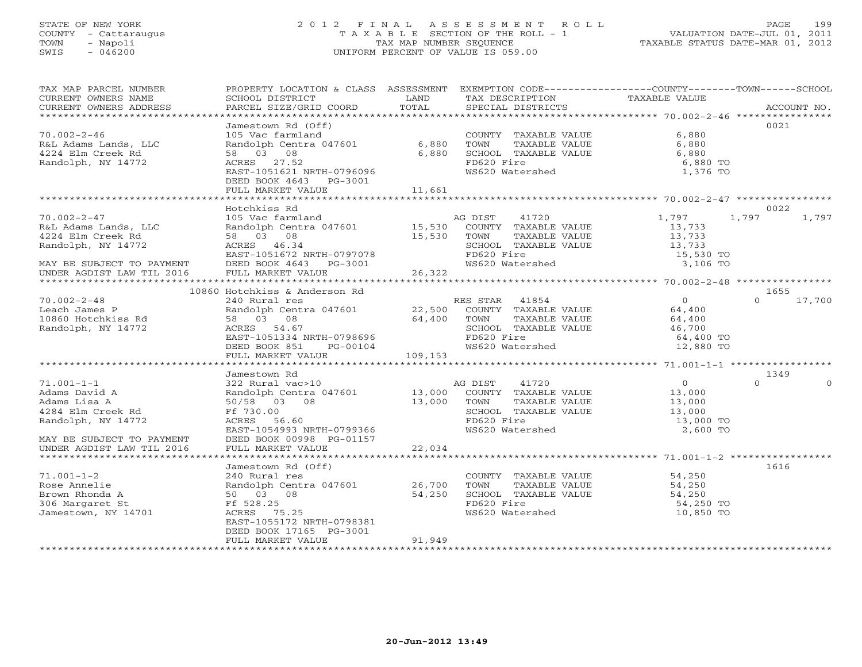## STATE OF NEW YORK 2 0 1 2 F I N A L A S S E S S M E N T R O L L PAGE 199 COUNTY - Cattaraugus T A X A B L E SECTION OF THE ROLL - 1 VALUATION DATE-JUL 01, 2011 TOWN - Napoli TAX MAP NUMBER SEQUENCE TAXABLE STATUS DATE-MAR 01, 2012 SWIS - 046200 UNIFORM PERCENT OF VALUE IS 059.00UNIFORM PERCENT OF VALUE IS 059.00

| TAX MAP PARCEL NUMBER<br>CURRENT OWNERS NAME<br>CURRENT OWNERS ADDRESS                          | PROPERTY LOCATION & CLASS ASSESSMENT EXEMPTION CODE--------------COUNTY-------TOWN------SCHOOL<br>SCHOOL DISTRICT<br>PARCEL SIZE/GRID COORD | <b>EXAMPLE SERVICE SERVICE SERVICE SERVICE SERVICE SERVICE SERVICE SERVICE SERVICE SERVICE SERVICE SERVICE SERVICE</b><br>TOTAL | TAX DESCRIPTION TAXABLE VALUE<br>SPECIAL DISTRICTS<br>SPECIAL DISTRICTS  |                                            | ACCOUNT NO.        |
|-------------------------------------------------------------------------------------------------|---------------------------------------------------------------------------------------------------------------------------------------------|---------------------------------------------------------------------------------------------------------------------------------|--------------------------------------------------------------------------|--------------------------------------------|--------------------|
|                                                                                                 | Jamestown Rd (Off)                                                                                                                          |                                                                                                                                 |                                                                          |                                            | 0021               |
| $70.002 - 2 - 46$<br>R&L Adams Lands, LLC<br>4224 Elm Creek Rd<br>Randolph, NY 14772            | 105 Vac farmland<br>Randolph Centra 047601 6,880<br>58 03 08<br>ACRES 27.52                                                                 | 6,880                                                                                                                           | COUNTY TAXABLE VALUE 6,880                                               | 6,880 TO                                   |                    |
|                                                                                                 | EAST-1051621 NRTH-0796096<br>DEED BOOK 4643 PG-3001<br>FULL MARKET VALUE                                                                    | 11,661                                                                                                                          | FD620 Fire<br>WS620 Watershed                                            | 1,376 TO                                   |                    |
|                                                                                                 |                                                                                                                                             |                                                                                                                                 |                                                                          |                                            |                    |
|                                                                                                 | Hotchkiss Rd                                                                                                                                |                                                                                                                                 |                                                                          |                                            | 0022               |
| $70.002 - 2 - 47$                                                                               |                                                                                                                                             |                                                                                                                                 |                                                                          | 1,797                                      | 1,797<br>1,797     |
| R&L Adams Lands, LLC                                                                            | 105 Vac farmland<br>Randolph Centra 047601 15,530 COUNTY TAXABLE VALUE                                                                      |                                                                                                                                 |                                                                          | 13,733                                     |                    |
| 4224 Elm Creek Rd                                                                               | 58 03 08                                                                                                                                    | 15,530 TOWN                                                                                                                     | TAXABLE VALUE                                                            | 13,733                                     |                    |
| Randolph, NY 14772                                                                              | ACRES 46.34<br>EAST-1051672 NRTH-0797078                                                                                                    |                                                                                                                                 | SCHOOL TAXABLE VALUE 13,733<br>FD620 Fire 15,530 TO                      |                                            |                    |
|                                                                                                 |                                                                                                                                             |                                                                                                                                 | FD620 Fire<br>FD620 Fire 15,530 TO<br>WS620 Watershed 15,530 TO 3,106 TO |                                            |                    |
| MAY BE SUBJECT TO PAYMENT DEED BOOK 4643 PG-3001<br>UNDER AGDIST LAW TIL 2016 FULL MARKET VALUE | DEED BOOK 4643 PG-3001<br>FULL MARKET VALUE 26,322                                                                                          |                                                                                                                                 |                                                                          |                                            |                    |
|                                                                                                 |                                                                                                                                             |                                                                                                                                 |                                                                          |                                            |                    |
|                                                                                                 | 10860 Hotchkiss & Anderson Rd                                                                                                               |                                                                                                                                 |                                                                          |                                            | 1655               |
| $70.002 - 2 - 48$                                                                               | 240 Rural res                                                                                                                               |                                                                                                                                 | RES STAR 41854                                                           | $\overline{O}$                             | $\Omega$<br>17,700 |
| 10.002-2-46<br>Leach James P<br>10860 Hotchkiss Rd                                              | Randolph Centra 047601 22,500 COUNTY TAXABLE VALUE                                                                                          |                                                                                                                                 |                                                                          | 64,400                                     |                    |
|                                                                                                 | $64,400$ TOWN<br>SCHOOL<br>58 03 08                                                                                                         |                                                                                                                                 | TOWN TAXABLE VALUE 64,400<br>SCHOOL TAXABLE VALUE 46,700                 |                                            |                    |
| Randolph, NY 14772                                                                              | ACRES 54.67                                                                                                                                 |                                                                                                                                 |                                                                          |                                            |                    |
|                                                                                                 | EAST-1051334 NRTH-0798696                                                                                                                   |                                                                                                                                 | FD620 Fire<br>WS620 Watershed                                            | 64,400 TO<br>12,880 TO                     |                    |
|                                                                                                 | DEED BOOK 851 $PG-00104$<br>FULL MARKET VALUE                                                                                               | 109,153                                                                                                                         |                                                                          |                                            |                    |
|                                                                                                 |                                                                                                                                             |                                                                                                                                 |                                                                          |                                            |                    |
|                                                                                                 | Jamestown Rd                                                                                                                                |                                                                                                                                 |                                                                          |                                            | 1349               |
| $71.001 - 1 - 1$                                                                                |                                                                                                                                             |                                                                                                                                 |                                                                          | $\begin{array}{c} 0 \\ 13,000 \end{array}$ | $\Omega$           |
| Adams David A                                                                                   | 322 Rural vac>10<br>Randolph Centra 047601 13,000 COUNTY TAXABLE VALUE<br>50/58 03 08 13,000 TOWN TAXABLE VALUE                             |                                                                                                                                 |                                                                          |                                            |                    |
| Adams Lisa A                                                                                    |                                                                                                                                             |                                                                                                                                 | TAXABLE VALUE                                                            | 13,000<br>13,000                           |                    |
| 4284 Elm Creek Rd                                                                               | Ff 730.00                                                                                                                                   |                                                                                                                                 | SCHOOL TAXABLE VALUE<br>FD620 Fire<br>WS620 Watershed                    |                                            |                    |
| Randolph, NY 14772                                                                              | EAST-1054993 NRTH-0799366                                                                                                                   |                                                                                                                                 |                                                                          | 13,000 TO<br>2,600 TO                      |                    |
| MAY BE SUBJECT TO PAYMENT                                                                       | DEED BOOK 00998 PG-01157                                                                                                                    |                                                                                                                                 |                                                                          |                                            |                    |
| UNDER AGDIST LAW TIL 2016                                                                       | FULL MARKET VALUE 22,034                                                                                                                    |                                                                                                                                 |                                                                          |                                            |                    |
|                                                                                                 |                                                                                                                                             |                                                                                                                                 |                                                                          |                                            |                    |
|                                                                                                 | Jamestown Rd (Off)<br>240 Rural res                                                                                                         |                                                                                                                                 |                                                                          |                                            | 1616               |
| $71.001 - 1 - 2$                                                                                |                                                                                                                                             |                                                                                                                                 | COUNTY TAXABLE VALUE 54,250<br>TOWN TAXABLE VALUE 54,250                 |                                            |                    |
| Rose Annelie                                                                                    | Randolph Centra 047601 26,700                                                                                                               |                                                                                                                                 |                                                                          |                                            |                    |
| Brown Rhonda A                                                                                  |                                                                                                                                             |                                                                                                                                 | SCHOOL TAXABLE VALUE                                                     | 54,250                                     |                    |
| 306 Margaret St<br>Jamestown, NY 14701                                                          | 50 $0$ 3 08 54,250<br>Ff 528.25 54,250<br>Ff 528.25<br>ACRES 75.25                                                                          |                                                                                                                                 | FD620 Fire<br>WS620 Watershed                                            | 54,250 TO                                  |                    |
|                                                                                                 | EAST-1055172 NRTH-0798381                                                                                                                   |                                                                                                                                 |                                                                          | 10,850 TO                                  |                    |
|                                                                                                 | DEED BOOK 17165 PG-3001                                                                                                                     |                                                                                                                                 |                                                                          |                                            |                    |
|                                                                                                 | FULL MARKET VALUE                                                                                                                           | 91,949                                                                                                                          |                                                                          |                                            |                    |
|                                                                                                 |                                                                                                                                             |                                                                                                                                 |                                                                          |                                            |                    |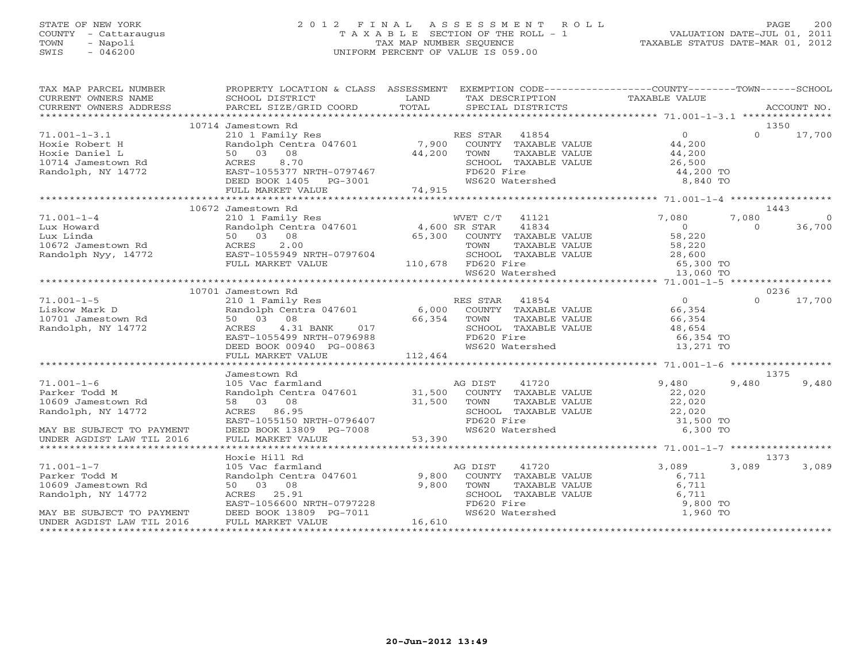# STATE OF NEW YORK 2002 2012 FINAL ASSESSMENT ROLL PAGE 200 COUNTY - Cattaraugus T A X A B L E SECTION OF THE ROLL - 1 VALUATION DATE-JUL 01, 2011 SWIS - 046200 UNIFORM PERCENT OF VALUE IS 059.00

| TAX MAP PARCEL NUMBER                                                                                                                                                                                                                       | PROPERTY LOCATION & CLASS ASSESSMENT EXEMPTION CODE----------------COUNTY-------TOWN------SCHOOL                                                                                                                                                                  |               |                                                                                                               |                                            |                        |
|---------------------------------------------------------------------------------------------------------------------------------------------------------------------------------------------------------------------------------------------|-------------------------------------------------------------------------------------------------------------------------------------------------------------------------------------------------------------------------------------------------------------------|---------------|---------------------------------------------------------------------------------------------------------------|--------------------------------------------|------------------------|
|                                                                                                                                                                                                                                             |                                                                                                                                                                                                                                                                   |               |                                                                                                               |                                            |                        |
|                                                                                                                                                                                                                                             | 10714 Jamestown Rd<br>Jamestown Rd<br>210 1 Family Res<br>Randolph Centra 047601 7,900 COUNTY TAXABLE VALUE 44,200<br>24,200 12,000 TOWN TAXABLE VALUE 44,200                                                                                                     |               |                                                                                                               |                                            | 1350                   |
|                                                                                                                                                                                                                                             |                                                                                                                                                                                                                                                                   |               |                                                                                                               |                                            | $\Omega$<br>17,700     |
|                                                                                                                                                                                                                                             |                                                                                                                                                                                                                                                                   |               |                                                                                                               |                                            |                        |
|                                                                                                                                                                                                                                             | 8.70<br>ACRES                                                                                                                                                                                                                                                     | $44,200$ TOWN |                                                                                                               |                                            |                        |
|                                                                                                                                                                                                                                             | EAST-1055377 NRTH-0797467                                                                                                                                                                                                                                         |               | SCHOOL TAXABLE VALUE 26,500<br>FD620 Fire                                                                     | 44,200 TO                                  |                        |
| 1.001-1-3.1<br>Hoxie Robert H<br>Hoxie Daniel L<br>10714 Jamestown Rd<br>10714 Jamestown Rd<br>1401ph, NY 14772                                                                                                                             |                                                                                                                                                                                                                                                                   |               | WS620 Watershed                                                                                               | 8,840 TO                                   |                        |
|                                                                                                                                                                                                                                             | DEED BOOK 1405 PG-3001<br>FULL MARKET VALUE 74,915                                                                                                                                                                                                                |               |                                                                                                               |                                            |                        |
|                                                                                                                                                                                                                                             |                                                                                                                                                                                                                                                                   |               |                                                                                                               |                                            |                        |
| % /1.001-1-4<br>Lux Howard Randolph Cence.<br>Lux Linda 50 03 08<br>10672 Jamestown Rd ACRES 2.00<br>Pandolph Nyy, 14772 EAST-1055949 NRTH-0797604 SCHOOL TAX<br>FULL MARKET VALUE 110,678 FD620 Fire WS620 Water<br>WS620 Water<br>TRING T | 10672 Jamestown Rd<br>Jamestown Rd<br>210 1 Family Res<br>Randolph Centra 047601 4,600 SR STAR 41834<br>50 03 08 65,300 COUNTY TAXABLE VALUE<br>ACRES 2.00 TOWN TAXABLE VALUE<br>TOWN TAXABLE VALUE<br>SCHOOL TAXABLE VALUE<br>SCHOOL TAXABLE VALUE<br>TRESO Fire |               |                                                                                                               |                                            | 1443                   |
|                                                                                                                                                                                                                                             |                                                                                                                                                                                                                                                                   |               |                                                                                                               | 7,080                                      | 7,080<br>$\Omega$      |
|                                                                                                                                                                                                                                             |                                                                                                                                                                                                                                                                   |               |                                                                                                               | $\begin{array}{c} 0 \\ 58,220 \end{array}$ | 36,700<br>$\Omega$     |
|                                                                                                                                                                                                                                             |                                                                                                                                                                                                                                                                   |               |                                                                                                               |                                            |                        |
|                                                                                                                                                                                                                                             |                                                                                                                                                                                                                                                                   |               | TOWN TAXABLE VALUE 58,220<br>SCHOOL TAXABLE VALUE 28,600<br>FD620 Fire 65,300 TO<br>WS620 Watershed 13,060 TO |                                            |                        |
|                                                                                                                                                                                                                                             |                                                                                                                                                                                                                                                                   |               |                                                                                                               |                                            |                        |
|                                                                                                                                                                                                                                             |                                                                                                                                                                                                                                                                   |               |                                                                                                               |                                            |                        |
|                                                                                                                                                                                                                                             |                                                                                                                                                                                                                                                                   |               |                                                                                                               |                                            |                        |
|                                                                                                                                                                                                                                             |                                                                                                                                                                                                                                                                   |               |                                                                                                               |                                            | 0236                   |
| $71.001 - 1 - 5$                                                                                                                                                                                                                            |                                                                                                                                                                                                                                                                   |               |                                                                                                               | $rac{0}{65}$                               | 17,700<br>$\Omega$     |
|                                                                                                                                                                                                                                             | 210 1 Family Res<br>Randolph Centra 047601 6,000 COUNTY TAXABLE VALUE<br>50 03 08 66,354 TOWN TAXABLE VALUE<br>ACRES 4.31 BANK 017 SCHOOL TAXABLE VALUE<br>EAST-1055499 NRTH-0796988 FD620 Fire                                                                   |               |                                                                                                               |                                            |                        |
| Liskow Mark D<br>10701 Jamestown Rd                                                                                                                                                                                                         |                                                                                                                                                                                                                                                                   |               |                                                                                                               | 66,354                                     |                        |
| Randolph, NY 14772                                                                                                                                                                                                                          |                                                                                                                                                                                                                                                                   |               |                                                                                                               |                                            |                        |
|                                                                                                                                                                                                                                             |                                                                                                                                                                                                                                                                   |               |                                                                                                               | 48,654<br>66,354 TO                        |                        |
|                                                                                                                                                                                                                                             | DEED BOOK 00940 PG-00863                                                                                                                                                                                                                                          |               | WS620 Watershed                                                                                               | 13,271 TO                                  |                        |
|                                                                                                                                                                                                                                             | FULL MARKET VALUE                                                                                                                                                                                                                                                 | 112,464       |                                                                                                               |                                            |                        |
|                                                                                                                                                                                                                                             |                                                                                                                                                                                                                                                                   |               |                                                                                                               |                                            |                        |
|                                                                                                                                                                                                                                             | Jamestown Rd                                                                                                                                                                                                                                                      |               |                                                                                                               |                                            | 1375                   |
| $71.001 - 1 - 6$                                                                                                                                                                                                                            |                                                                                                                                                                                                                                                                   |               |                                                                                                               | 9,480                                      | 9,480<br>9,480         |
| Parker Todd M                                                                                                                                                                                                                               |                                                                                                                                                                                                                                                                   |               |                                                                                                               | 22,020                                     |                        |
| 10609 Jamestown Rd                                                                                                                                                                                                                          |                                                                                                                                                                                                                                                                   |               | TAXABLE VALUE                                                                                                 | 22,020<br>22,020                           |                        |
| Randolph, NY 14772                                                                                                                                                                                                                          |                                                                                                                                                                                                                                                                   |               | SCHOOL TAXABLE VALUE<br>FD620 Fire<br>WS620 Watershed                                                         |                                            |                        |
|                                                                                                                                                                                                                                             |                                                                                                                                                                                                                                                                   |               |                                                                                                               | 31,500 TO                                  |                        |
| MAY BE SUBJECT TO PAYMENT                                                                                                                                                                                                                   |                                                                                                                                                                                                                                                                   |               |                                                                                                               | 6,300 TO                                   |                        |
| UNDER AGDIST LAW TIL 2016                                                                                                                                                                                                                   | Randolph Centra 047601<br>58 08 08<br>ACRES 86.95<br>EAST-1055150 NRTH-0796407 FOR SCHOO<br>DEED BOOK 13809 PG-7008 53,390<br>FULL MARKET VALUE 53,390                                                                                                            |               |                                                                                                               |                                            |                        |
|                                                                                                                                                                                                                                             |                                                                                                                                                                                                                                                                   |               |                                                                                                               |                                            |                        |
| $71.001 - 1 - 7$                                                                                                                                                                                                                            | Hoxie Hill Rd                                                                                                                                                                                                                                                     |               | AG DIST<br>41720                                                                                              | 3,089                                      | 1373<br>3,089<br>3,089 |
| Parker Todd M                                                                                                                                                                                                                               | 105 Vac farmland a AC<br>Randolph Centra 047601 9,800                                                                                                                                                                                                             |               | COUNTY TAXABLE VALUE                                                                                          | 6,711                                      |                        |
| 10609 Jamestown Rd                                                                                                                                                                                                                          | 50 03 08                                                                                                                                                                                                                                                          | 9,800         | TOWN                                                                                                          |                                            |                        |
| Randolph, NY 14772                                                                                                                                                                                                                          | ACRES 25.91                                                                                                                                                                                                                                                       |               |                                                                                                               |                                            |                        |
|                                                                                                                                                                                                                                             |                                                                                                                                                                                                                                                                   |               |                                                                                                               | 9,800 TO                                   |                        |
| MAY BE SUBJECT TO PAYMENT                                                                                                                                                                                                                   | EAST-1056600 NRTH-0797228<br>DEED BOOK 13809 PG-7011<br>FULL MARKET VALUE                                                                                                                                                                                         |               | TOWN TAXABLE VALUE 6,711<br>SCHOOL TAXABLE VALUE 6,711<br>FD620 Fire 9,800<br>WS620 Watershed 1,960           | 1,960 TO                                   |                        |
| UNDER AGDIST LAW TIL 2016                                                                                                                                                                                                                   | FULL MARKET VALUE                                                                                                                                                                                                                                                 | 16,610        |                                                                                                               |                                            |                        |
|                                                                                                                                                                                                                                             |                                                                                                                                                                                                                                                                   |               |                                                                                                               |                                            |                        |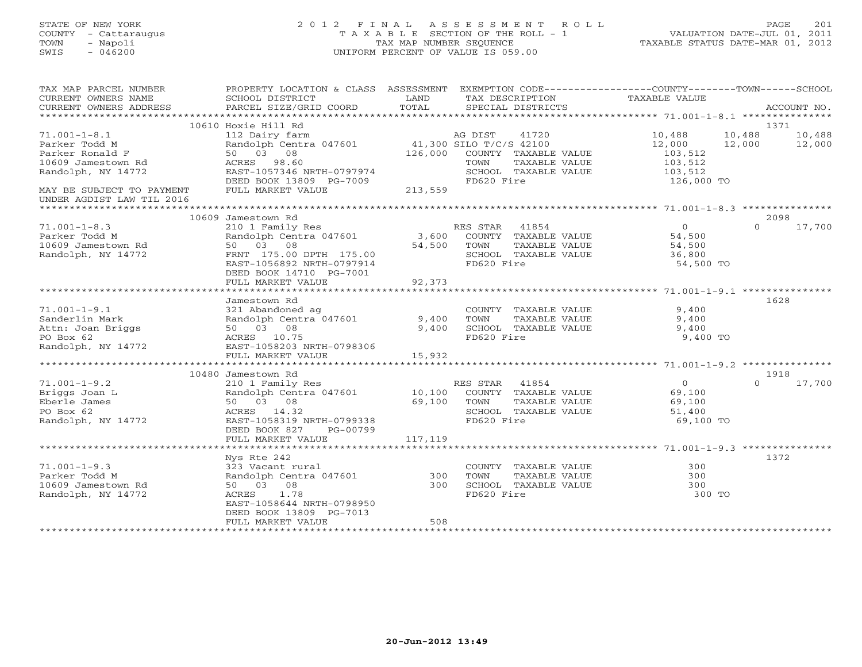# STATE OF NEW YORK 2 0 1 2 F I N A L A S S E S S M E N T R O L L PAGE 201 COUNTY - Cattaraugus T A X A B L E SECTION OF THE ROLL - 1 VALUATION DATE-JUL 01, 2011 TOWN - Napoli TAX MAP NUMBER SEQUENCE TAXABLE STATUS DATE-MAR 01, 2012 SWIS - 046200 UNIFORM PERCENT OF VALUE IS 059.00UNIFORM PERCENT OF VALUE IS 059.00

| TAX MAP PARCEL NUMBER<br>CURRENT OWNERS NAME<br>CURRENT OWNERS ADDRESS | PROPERTY LOCATION & CLASS ASSESSMENT<br>SCHOOL DISTRICT<br>PARCEL SIZE/GRID COORD | LAND<br>TOTAL | EXEMPTION CODE-----------------COUNTY-------TOWN------SCHOOL<br>TAX DESCRIPTION<br>SPECIAL DISTRICTS | <b>TAXABLE VALUE</b> | ACCOUNT NO.        |
|------------------------------------------------------------------------|-----------------------------------------------------------------------------------|---------------|------------------------------------------------------------------------------------------------------|----------------------|--------------------|
| ***********************                                                |                                                                                   |               |                                                                                                      |                      |                    |
|                                                                        | 10610 Hoxie Hill Rd                                                               |               |                                                                                                      |                      | 1371               |
| $71.001 - 1 - 8.1$                                                     | 112 Dairy farm                                                                    |               | AG DIST<br>41720                                                                                     | 10,488               | 10,488<br>10,488   |
| Parker Todd M                                                          | Randolph Centra 047601                                                            |               | 41,300 SILO T/C/S 42100                                                                              | 12,000               | 12,000<br>12,000   |
| Parker Ronald F                                                        | 50 03 08                                                                          | 126,000       | COUNTY TAXABLE VALUE                                                                                 | 103,512              |                    |
| 10609 Jamestown Rd                                                     | ACRES 98.60                                                                       |               | TAXABLE VALUE<br>TOWN                                                                                | 103,512              |                    |
| Randolph, NY 14772                                                     | EAST-1057346 NRTH-0797974                                                         |               | SCHOOL TAXABLE VALUE                                                                                 | 103,512              |                    |
|                                                                        | DEED BOOK 13809 PG-7009                                                           |               | FD620 Fire                                                                                           | 126,000 TO           |                    |
| MAY BE SUBJECT TO PAYMENT                                              | FULL MARKET VALUE                                                                 | 213,559       |                                                                                                      |                      |                    |
| UNDER AGDIST LAW TIL 2016                                              |                                                                                   |               |                                                                                                      |                      |                    |
|                                                                        |                                                                                   |               |                                                                                                      |                      |                    |
|                                                                        | 10609 Jamestown Rd                                                                |               |                                                                                                      |                      | 2098               |
| $71.001 - 1 - 8.3$                                                     | 210 1 Family Res                                                                  |               | RES STAR<br>41854                                                                                    | $\overline{0}$       | 17,700<br>$\Omega$ |
| Parker Todd M                                                          | Randolph Centra 047601                                                            | 3,600         | COUNTY TAXABLE VALUE                                                                                 | 54,500               |                    |
| 10609 Jamestown Rd                                                     | 50 03 08                                                                          | 54,500        | TAXABLE VALUE<br>TOWN                                                                                | 54,500               |                    |
| Randolph, NY 14772                                                     | FRNT 175.00 DPTH 175.00                                                           |               | SCHOOL TAXABLE VALUE                                                                                 | 36,800               |                    |
|                                                                        | EAST-1056892 NRTH-0797914                                                         |               | FD620 Fire                                                                                           | 54,500 TO            |                    |
|                                                                        | DEED BOOK 14710 PG-7001                                                           |               |                                                                                                      |                      |                    |
|                                                                        | FULL MARKET VALUE                                                                 | 92,373        |                                                                                                      |                      |                    |
|                                                                        |                                                                                   |               |                                                                                                      |                      |                    |
|                                                                        | Jamestown Rd                                                                      |               |                                                                                                      |                      | 1628               |
| $71.001 - 1 - 9.1$                                                     | 321 Abandoned ag                                                                  |               |                                                                                                      | 9.400                |                    |
|                                                                        |                                                                                   |               | COUNTY TAXABLE VALUE                                                                                 |                      |                    |
| Sanderlin Mark                                                         | Randolph Centra 047601                                                            | 9,400         | TAXABLE VALUE<br>TOWN                                                                                | 9,400                |                    |
| Attn: Joan Briggs                                                      | 50 03 08                                                                          | 9,400         | SCHOOL TAXABLE VALUE                                                                                 | 9,400                |                    |
| PO Box 62                                                              | ACRES 10.75                                                                       |               | FD620 Fire                                                                                           | 9,400 TO             |                    |
| Randolph, NY 14772                                                     | EAST-1058203 NRTH-0798306                                                         |               |                                                                                                      |                      |                    |
|                                                                        | FULL MARKET VALUE                                                                 | 15,932        |                                                                                                      |                      |                    |
|                                                                        |                                                                                   |               |                                                                                                      |                      |                    |
|                                                                        | 10480 Jamestown Rd                                                                |               |                                                                                                      |                      | 1918               |
| $71.001 - 1 - 9.2$                                                     | 210 1 Family Res                                                                  |               | RES STAR<br>41854                                                                                    | $\circ$              | 17,700<br>$\Omega$ |
| Briggs Joan L                                                          | Randolph Centra 047601                                                            | 10,100        | COUNTY TAXABLE VALUE                                                                                 | 69,100               |                    |
| Eberle James                                                           | 50 03 08                                                                          | 69,100        | TOWN<br>TAXABLE VALUE                                                                                | 69,100               |                    |
| PO Box 62                                                              | ACRES 14.32                                                                       |               | SCHOOL TAXABLE VALUE                                                                                 | 51,400               |                    |
| Randolph, NY 14772                                                     | EAST-1058319 NRTH-0799338                                                         |               | FD620 Fire                                                                                           | 69,100 TO            |                    |
|                                                                        | DEED BOOK 827<br>PG-00799                                                         |               |                                                                                                      |                      |                    |
|                                                                        | FULL MARKET VALUE                                                                 | 117,119       |                                                                                                      |                      |                    |
|                                                                        |                                                                                   |               |                                                                                                      |                      |                    |
|                                                                        | Nys Rte 242                                                                       |               |                                                                                                      |                      | 1372               |
| $71.001 - 1 - 9.3$                                                     | 323 Vacant rural                                                                  |               | COUNTY TAXABLE VALUE                                                                                 | 300                  |                    |
| Parker Todd M                                                          | Randolph Centra 047601                                                            | 300           | TOWN<br>TAXABLE VALUE                                                                                | 300                  |                    |
| 10609 Jamestown Rd                                                     | 50 03 08                                                                          | 300           | SCHOOL TAXABLE VALUE                                                                                 | 300                  |                    |
| Randolph, NY 14772                                                     | 1.78<br>ACRES                                                                     |               | FD620 Fire                                                                                           | 300 TO               |                    |
|                                                                        | EAST-1058644 NRTH-0798950                                                         |               |                                                                                                      |                      |                    |
|                                                                        | DEED BOOK 13809 PG-7013                                                           |               |                                                                                                      |                      |                    |
|                                                                        | FULL MARKET VALUE                                                                 | 508           |                                                                                                      |                      |                    |
|                                                                        |                                                                                   |               |                                                                                                      |                      |                    |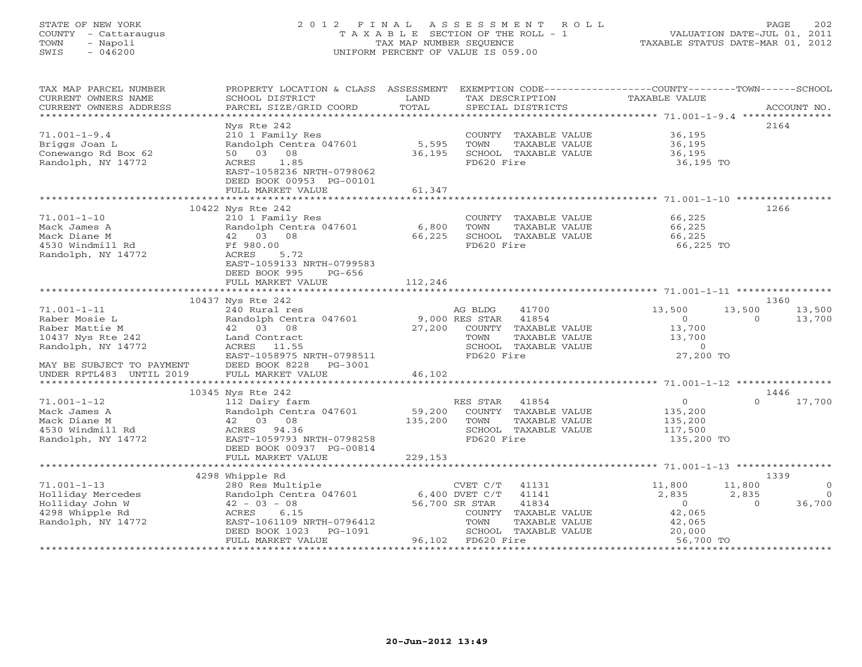# STATE OF NEW YORK 2 0 1 2 F I N A L A S S E S S M E N T R O L L PAGE 202 COUNTY - Cattaraugus T A X A B L E SECTION OF THE ROLL - 1 VALUATION DATE-JUL 01, 2011 TOWN - Napoli TAX MAP NUMBER SEQUENCE TAXABLE STATUS DATE-MAR 01, 2012 SWIS - 046200 UNIFORM PERCENT OF VALUE IS 059.00UNIFORM PERCENT OF VALUE IS 059.00

| TOTAL<br>CURRENT OWNERS ADDRESS<br>PARCEL SIZE/GRID COORD<br>SPECIAL DISTRICTS<br>ACCOUNT NO.<br>Nys Rte 242<br>2164<br>$71.001 - 1 - 9.4$<br>210 1 Family Res<br>COUNTY TAXABLE VALUE<br>36,195<br>Briggs Joan L<br>Randolph Centra 047601<br>5,595<br>TOWN<br>TAXABLE VALUE<br>36,195<br>Conewango Rd Box 62<br>50 03<br>08<br>36,195<br>SCHOOL TAXABLE VALUE<br>36,195<br>FD620 Fire<br>Randolph, NY 14772<br>ACRES<br>1.85<br>36,195 TO<br>EAST-1058236 NRTH-0798062<br>DEED BOOK 00953 PG-00101<br>FULL MARKET VALUE<br>61,347<br>10422 Nys Rte 242<br>1266<br>66,225<br>$71.001 - 1 - 10$<br>210 1 Family Res<br>COUNTY TAXABLE VALUE<br>Randolph Centra 047601 6,800<br>TOWN<br>TAXABLE VALUE<br>66,225<br>Mack James A<br>42 03 08<br>66,225<br>SCHOOL TAXABLE VALUE<br>66,225<br>Mack Diane M<br>4530 Windmill Rd<br>Ff 980.00<br>FD620 Fire<br>66,225 TO<br>Randolph, NY 14772<br>ACRES<br>5.72<br>EAST-1059133 NRTH-0799583<br>DEED BOOK 995<br>$PG-656$<br>112,246<br>FULL MARKET VALUE<br>10437 Nys Rte 242<br>1360<br>$71.001 - 1 - 11$<br>240 Rural res<br>AG BLDG<br>41700<br>13,500<br>13,500<br>13,500<br>9,000 RES STAR<br>Raber Mosie L<br>Randolph Centra 047601<br>41854<br>$\overline{0}$<br>$\Omega$<br>13,700<br>Raber Mattie M<br>42 03 08<br>27,200<br>COUNTY TAXABLE VALUE<br>13,700<br>10437 Nys Rte 242<br>TAXABLE VALUE<br>13,700<br>Land Contract<br>TOWN<br>Randolph, NY 14772<br>SCHOOL TAXABLE VALUE<br>ACRES 11.55<br>$\Omega$<br>27,200 TO<br>EAST-1058975 NRTH-0798511<br>FD620 Fire<br>DEED BOOK 8228<br>PG-3001<br>MAY BE SUBJECT TO PAYMENT<br>46,102<br>UNDER RPTL483 UNTIL 2019<br>FULL MARKET VALUE<br>**************************<br>10345 Nys Rte 242<br>1446<br>$\Omega$<br>$\Omega$<br>17,700<br>$71.001 - 1 - 12$<br>112 Dairy farm<br>RES STAR<br>41854<br>59,200<br>Randolph Centra 047601<br>Mack James A<br>COUNTY TAXABLE VALUE<br>135,200<br>42 03 08<br>135,200<br>Mack Diane M<br>TOWN<br>TAXABLE VALUE<br>135,200<br>4530 Windmill Rd<br>ACRES 94.36<br>SCHOOL TAXABLE VALUE<br>117,500<br>Randolph, NY 14772<br>EAST-1059793 NRTH-0798258<br>FD620 Fire<br>135,200 TO<br>DEED BOOK 00937 PG-00814<br>FULL MARKET VALUE<br>229,153<br>1339<br>4298 Whipple Rd<br>$71.001 - 1 - 13$<br>41131<br>11,800<br>280 Res Multiple<br>CVET C/T<br>11,800<br>$\Omega$<br>Randolph Centra 047601 6,400 DVET C/T 41141<br>Holliday Mercedes<br>2,835<br>2,835<br>$\overline{0}$<br>Holliday John W<br>$42 - 03 - 08$<br>56,700 SR STAR<br>41834<br>$\overline{0}$<br>36,700<br>$\Omega$<br>4298 Whipple Rd<br>6.15<br>42,065<br>ACRES<br>COUNTY TAXABLE VALUE<br>Randolph, NY 14772<br>EAST-1061109 NRTH-0796412<br>TOWN<br>TAXABLE VALUE<br>42,065<br>20,000<br>DEED BOOK 1023<br>PG-1091<br>SCHOOL TAXABLE VALUE<br>96,102 FD620 Fire<br>FULL MARKET VALUE<br>56,700 TO | TAX MAP PARCEL NUMBER<br>CURRENT OWNERS NAME | PROPERTY LOCATION & CLASS ASSESSMENT<br>SCHOOL DISTRICT | LAND | EXEMPTION CODE-----------------COUNTY-------TOWN------SCHOOL<br>TAX DESCRIPTION | TAXABLE VALUE |  |
|------------------------------------------------------------------------------------------------------------------------------------------------------------------------------------------------------------------------------------------------------------------------------------------------------------------------------------------------------------------------------------------------------------------------------------------------------------------------------------------------------------------------------------------------------------------------------------------------------------------------------------------------------------------------------------------------------------------------------------------------------------------------------------------------------------------------------------------------------------------------------------------------------------------------------------------------------------------------------------------------------------------------------------------------------------------------------------------------------------------------------------------------------------------------------------------------------------------------------------------------------------------------------------------------------------------------------------------------------------------------------------------------------------------------------------------------------------------------------------------------------------------------------------------------------------------------------------------------------------------------------------------------------------------------------------------------------------------------------------------------------------------------------------------------------------------------------------------------------------------------------------------------------------------------------------------------------------------------------------------------------------------------------------------------------------------------------------------------------------------------------------------------------------------------------------------------------------------------------------------------------------------------------------------------------------------------------------------------------------------------------------------------------------------------------------------------------------------------------------------------------------------------------------------------------------------------------------------------------------------------------------------------------------------------------------------------------------------------------------------------------------------------------------------------------------------------|----------------------------------------------|---------------------------------------------------------|------|---------------------------------------------------------------------------------|---------------|--|
|                                                                                                                                                                                                                                                                                                                                                                                                                                                                                                                                                                                                                                                                                                                                                                                                                                                                                                                                                                                                                                                                                                                                                                                                                                                                                                                                                                                                                                                                                                                                                                                                                                                                                                                                                                                                                                                                                                                                                                                                                                                                                                                                                                                                                                                                                                                                                                                                                                                                                                                                                                                                                                                                                                                                                                                                                        |                                              |                                                         |      |                                                                                 |               |  |
|                                                                                                                                                                                                                                                                                                                                                                                                                                                                                                                                                                                                                                                                                                                                                                                                                                                                                                                                                                                                                                                                                                                                                                                                                                                                                                                                                                                                                                                                                                                                                                                                                                                                                                                                                                                                                                                                                                                                                                                                                                                                                                                                                                                                                                                                                                                                                                                                                                                                                                                                                                                                                                                                                                                                                                                                                        |                                              |                                                         |      |                                                                                 |               |  |
|                                                                                                                                                                                                                                                                                                                                                                                                                                                                                                                                                                                                                                                                                                                                                                                                                                                                                                                                                                                                                                                                                                                                                                                                                                                                                                                                                                                                                                                                                                                                                                                                                                                                                                                                                                                                                                                                                                                                                                                                                                                                                                                                                                                                                                                                                                                                                                                                                                                                                                                                                                                                                                                                                                                                                                                                                        |                                              |                                                         |      |                                                                                 |               |  |
|                                                                                                                                                                                                                                                                                                                                                                                                                                                                                                                                                                                                                                                                                                                                                                                                                                                                                                                                                                                                                                                                                                                                                                                                                                                                                                                                                                                                                                                                                                                                                                                                                                                                                                                                                                                                                                                                                                                                                                                                                                                                                                                                                                                                                                                                                                                                                                                                                                                                                                                                                                                                                                                                                                                                                                                                                        |                                              |                                                         |      |                                                                                 |               |  |
|                                                                                                                                                                                                                                                                                                                                                                                                                                                                                                                                                                                                                                                                                                                                                                                                                                                                                                                                                                                                                                                                                                                                                                                                                                                                                                                                                                                                                                                                                                                                                                                                                                                                                                                                                                                                                                                                                                                                                                                                                                                                                                                                                                                                                                                                                                                                                                                                                                                                                                                                                                                                                                                                                                                                                                                                                        |                                              |                                                         |      |                                                                                 |               |  |
|                                                                                                                                                                                                                                                                                                                                                                                                                                                                                                                                                                                                                                                                                                                                                                                                                                                                                                                                                                                                                                                                                                                                                                                                                                                                                                                                                                                                                                                                                                                                                                                                                                                                                                                                                                                                                                                                                                                                                                                                                                                                                                                                                                                                                                                                                                                                                                                                                                                                                                                                                                                                                                                                                                                                                                                                                        |                                              |                                                         |      |                                                                                 |               |  |
|                                                                                                                                                                                                                                                                                                                                                                                                                                                                                                                                                                                                                                                                                                                                                                                                                                                                                                                                                                                                                                                                                                                                                                                                                                                                                                                                                                                                                                                                                                                                                                                                                                                                                                                                                                                                                                                                                                                                                                                                                                                                                                                                                                                                                                                                                                                                                                                                                                                                                                                                                                                                                                                                                                                                                                                                                        |                                              |                                                         |      |                                                                                 |               |  |
|                                                                                                                                                                                                                                                                                                                                                                                                                                                                                                                                                                                                                                                                                                                                                                                                                                                                                                                                                                                                                                                                                                                                                                                                                                                                                                                                                                                                                                                                                                                                                                                                                                                                                                                                                                                                                                                                                                                                                                                                                                                                                                                                                                                                                                                                                                                                                                                                                                                                                                                                                                                                                                                                                                                                                                                                                        |                                              |                                                         |      |                                                                                 |               |  |
|                                                                                                                                                                                                                                                                                                                                                                                                                                                                                                                                                                                                                                                                                                                                                                                                                                                                                                                                                                                                                                                                                                                                                                                                                                                                                                                                                                                                                                                                                                                                                                                                                                                                                                                                                                                                                                                                                                                                                                                                                                                                                                                                                                                                                                                                                                                                                                                                                                                                                                                                                                                                                                                                                                                                                                                                                        |                                              |                                                         |      |                                                                                 |               |  |
|                                                                                                                                                                                                                                                                                                                                                                                                                                                                                                                                                                                                                                                                                                                                                                                                                                                                                                                                                                                                                                                                                                                                                                                                                                                                                                                                                                                                                                                                                                                                                                                                                                                                                                                                                                                                                                                                                                                                                                                                                                                                                                                                                                                                                                                                                                                                                                                                                                                                                                                                                                                                                                                                                                                                                                                                                        |                                              |                                                         |      |                                                                                 |               |  |
|                                                                                                                                                                                                                                                                                                                                                                                                                                                                                                                                                                                                                                                                                                                                                                                                                                                                                                                                                                                                                                                                                                                                                                                                                                                                                                                                                                                                                                                                                                                                                                                                                                                                                                                                                                                                                                                                                                                                                                                                                                                                                                                                                                                                                                                                                                                                                                                                                                                                                                                                                                                                                                                                                                                                                                                                                        |                                              |                                                         |      |                                                                                 |               |  |
|                                                                                                                                                                                                                                                                                                                                                                                                                                                                                                                                                                                                                                                                                                                                                                                                                                                                                                                                                                                                                                                                                                                                                                                                                                                                                                                                                                                                                                                                                                                                                                                                                                                                                                                                                                                                                                                                                                                                                                                                                                                                                                                                                                                                                                                                                                                                                                                                                                                                                                                                                                                                                                                                                                                                                                                                                        |                                              |                                                         |      |                                                                                 |               |  |
|                                                                                                                                                                                                                                                                                                                                                                                                                                                                                                                                                                                                                                                                                                                                                                                                                                                                                                                                                                                                                                                                                                                                                                                                                                                                                                                                                                                                                                                                                                                                                                                                                                                                                                                                                                                                                                                                                                                                                                                                                                                                                                                                                                                                                                                                                                                                                                                                                                                                                                                                                                                                                                                                                                                                                                                                                        |                                              |                                                         |      |                                                                                 |               |  |
|                                                                                                                                                                                                                                                                                                                                                                                                                                                                                                                                                                                                                                                                                                                                                                                                                                                                                                                                                                                                                                                                                                                                                                                                                                                                                                                                                                                                                                                                                                                                                                                                                                                                                                                                                                                                                                                                                                                                                                                                                                                                                                                                                                                                                                                                                                                                                                                                                                                                                                                                                                                                                                                                                                                                                                                                                        |                                              |                                                         |      |                                                                                 |               |  |
|                                                                                                                                                                                                                                                                                                                                                                                                                                                                                                                                                                                                                                                                                                                                                                                                                                                                                                                                                                                                                                                                                                                                                                                                                                                                                                                                                                                                                                                                                                                                                                                                                                                                                                                                                                                                                                                                                                                                                                                                                                                                                                                                                                                                                                                                                                                                                                                                                                                                                                                                                                                                                                                                                                                                                                                                                        |                                              |                                                         |      |                                                                                 |               |  |
|                                                                                                                                                                                                                                                                                                                                                                                                                                                                                                                                                                                                                                                                                                                                                                                                                                                                                                                                                                                                                                                                                                                                                                                                                                                                                                                                                                                                                                                                                                                                                                                                                                                                                                                                                                                                                                                                                                                                                                                                                                                                                                                                                                                                                                                                                                                                                                                                                                                                                                                                                                                                                                                                                                                                                                                                                        |                                              |                                                         |      |                                                                                 |               |  |
|                                                                                                                                                                                                                                                                                                                                                                                                                                                                                                                                                                                                                                                                                                                                                                                                                                                                                                                                                                                                                                                                                                                                                                                                                                                                                                                                                                                                                                                                                                                                                                                                                                                                                                                                                                                                                                                                                                                                                                                                                                                                                                                                                                                                                                                                                                                                                                                                                                                                                                                                                                                                                                                                                                                                                                                                                        |                                              |                                                         |      |                                                                                 |               |  |
|                                                                                                                                                                                                                                                                                                                                                                                                                                                                                                                                                                                                                                                                                                                                                                                                                                                                                                                                                                                                                                                                                                                                                                                                                                                                                                                                                                                                                                                                                                                                                                                                                                                                                                                                                                                                                                                                                                                                                                                                                                                                                                                                                                                                                                                                                                                                                                                                                                                                                                                                                                                                                                                                                                                                                                                                                        |                                              |                                                         |      |                                                                                 |               |  |
|                                                                                                                                                                                                                                                                                                                                                                                                                                                                                                                                                                                                                                                                                                                                                                                                                                                                                                                                                                                                                                                                                                                                                                                                                                                                                                                                                                                                                                                                                                                                                                                                                                                                                                                                                                                                                                                                                                                                                                                                                                                                                                                                                                                                                                                                                                                                                                                                                                                                                                                                                                                                                                                                                                                                                                                                                        |                                              |                                                         |      |                                                                                 |               |  |
|                                                                                                                                                                                                                                                                                                                                                                                                                                                                                                                                                                                                                                                                                                                                                                                                                                                                                                                                                                                                                                                                                                                                                                                                                                                                                                                                                                                                                                                                                                                                                                                                                                                                                                                                                                                                                                                                                                                                                                                                                                                                                                                                                                                                                                                                                                                                                                                                                                                                                                                                                                                                                                                                                                                                                                                                                        |                                              |                                                         |      |                                                                                 |               |  |
|                                                                                                                                                                                                                                                                                                                                                                                                                                                                                                                                                                                                                                                                                                                                                                                                                                                                                                                                                                                                                                                                                                                                                                                                                                                                                                                                                                                                                                                                                                                                                                                                                                                                                                                                                                                                                                                                                                                                                                                                                                                                                                                                                                                                                                                                                                                                                                                                                                                                                                                                                                                                                                                                                                                                                                                                                        |                                              |                                                         |      |                                                                                 |               |  |
|                                                                                                                                                                                                                                                                                                                                                                                                                                                                                                                                                                                                                                                                                                                                                                                                                                                                                                                                                                                                                                                                                                                                                                                                                                                                                                                                                                                                                                                                                                                                                                                                                                                                                                                                                                                                                                                                                                                                                                                                                                                                                                                                                                                                                                                                                                                                                                                                                                                                                                                                                                                                                                                                                                                                                                                                                        |                                              |                                                         |      |                                                                                 |               |  |
|                                                                                                                                                                                                                                                                                                                                                                                                                                                                                                                                                                                                                                                                                                                                                                                                                                                                                                                                                                                                                                                                                                                                                                                                                                                                                                                                                                                                                                                                                                                                                                                                                                                                                                                                                                                                                                                                                                                                                                                                                                                                                                                                                                                                                                                                                                                                                                                                                                                                                                                                                                                                                                                                                                                                                                                                                        |                                              |                                                         |      |                                                                                 |               |  |
|                                                                                                                                                                                                                                                                                                                                                                                                                                                                                                                                                                                                                                                                                                                                                                                                                                                                                                                                                                                                                                                                                                                                                                                                                                                                                                                                                                                                                                                                                                                                                                                                                                                                                                                                                                                                                                                                                                                                                                                                                                                                                                                                                                                                                                                                                                                                                                                                                                                                                                                                                                                                                                                                                                                                                                                                                        |                                              |                                                         |      |                                                                                 |               |  |
|                                                                                                                                                                                                                                                                                                                                                                                                                                                                                                                                                                                                                                                                                                                                                                                                                                                                                                                                                                                                                                                                                                                                                                                                                                                                                                                                                                                                                                                                                                                                                                                                                                                                                                                                                                                                                                                                                                                                                                                                                                                                                                                                                                                                                                                                                                                                                                                                                                                                                                                                                                                                                                                                                                                                                                                                                        |                                              |                                                         |      |                                                                                 |               |  |
|                                                                                                                                                                                                                                                                                                                                                                                                                                                                                                                                                                                                                                                                                                                                                                                                                                                                                                                                                                                                                                                                                                                                                                                                                                                                                                                                                                                                                                                                                                                                                                                                                                                                                                                                                                                                                                                                                                                                                                                                                                                                                                                                                                                                                                                                                                                                                                                                                                                                                                                                                                                                                                                                                                                                                                                                                        |                                              |                                                         |      |                                                                                 |               |  |
|                                                                                                                                                                                                                                                                                                                                                                                                                                                                                                                                                                                                                                                                                                                                                                                                                                                                                                                                                                                                                                                                                                                                                                                                                                                                                                                                                                                                                                                                                                                                                                                                                                                                                                                                                                                                                                                                                                                                                                                                                                                                                                                                                                                                                                                                                                                                                                                                                                                                                                                                                                                                                                                                                                                                                                                                                        |                                              |                                                         |      |                                                                                 |               |  |
|                                                                                                                                                                                                                                                                                                                                                                                                                                                                                                                                                                                                                                                                                                                                                                                                                                                                                                                                                                                                                                                                                                                                                                                                                                                                                                                                                                                                                                                                                                                                                                                                                                                                                                                                                                                                                                                                                                                                                                                                                                                                                                                                                                                                                                                                                                                                                                                                                                                                                                                                                                                                                                                                                                                                                                                                                        |                                              |                                                         |      |                                                                                 |               |  |
|                                                                                                                                                                                                                                                                                                                                                                                                                                                                                                                                                                                                                                                                                                                                                                                                                                                                                                                                                                                                                                                                                                                                                                                                                                                                                                                                                                                                                                                                                                                                                                                                                                                                                                                                                                                                                                                                                                                                                                                                                                                                                                                                                                                                                                                                                                                                                                                                                                                                                                                                                                                                                                                                                                                                                                                                                        |                                              |                                                         |      |                                                                                 |               |  |
|                                                                                                                                                                                                                                                                                                                                                                                                                                                                                                                                                                                                                                                                                                                                                                                                                                                                                                                                                                                                                                                                                                                                                                                                                                                                                                                                                                                                                                                                                                                                                                                                                                                                                                                                                                                                                                                                                                                                                                                                                                                                                                                                                                                                                                                                                                                                                                                                                                                                                                                                                                                                                                                                                                                                                                                                                        |                                              |                                                         |      |                                                                                 |               |  |
|                                                                                                                                                                                                                                                                                                                                                                                                                                                                                                                                                                                                                                                                                                                                                                                                                                                                                                                                                                                                                                                                                                                                                                                                                                                                                                                                                                                                                                                                                                                                                                                                                                                                                                                                                                                                                                                                                                                                                                                                                                                                                                                                                                                                                                                                                                                                                                                                                                                                                                                                                                                                                                                                                                                                                                                                                        |                                              |                                                         |      |                                                                                 |               |  |
|                                                                                                                                                                                                                                                                                                                                                                                                                                                                                                                                                                                                                                                                                                                                                                                                                                                                                                                                                                                                                                                                                                                                                                                                                                                                                                                                                                                                                                                                                                                                                                                                                                                                                                                                                                                                                                                                                                                                                                                                                                                                                                                                                                                                                                                                                                                                                                                                                                                                                                                                                                                                                                                                                                                                                                                                                        |                                              |                                                         |      |                                                                                 |               |  |
|                                                                                                                                                                                                                                                                                                                                                                                                                                                                                                                                                                                                                                                                                                                                                                                                                                                                                                                                                                                                                                                                                                                                                                                                                                                                                                                                                                                                                                                                                                                                                                                                                                                                                                                                                                                                                                                                                                                                                                                                                                                                                                                                                                                                                                                                                                                                                                                                                                                                                                                                                                                                                                                                                                                                                                                                                        |                                              |                                                         |      |                                                                                 |               |  |
|                                                                                                                                                                                                                                                                                                                                                                                                                                                                                                                                                                                                                                                                                                                                                                                                                                                                                                                                                                                                                                                                                                                                                                                                                                                                                                                                                                                                                                                                                                                                                                                                                                                                                                                                                                                                                                                                                                                                                                                                                                                                                                                                                                                                                                                                                                                                                                                                                                                                                                                                                                                                                                                                                                                                                                                                                        |                                              |                                                         |      |                                                                                 |               |  |
|                                                                                                                                                                                                                                                                                                                                                                                                                                                                                                                                                                                                                                                                                                                                                                                                                                                                                                                                                                                                                                                                                                                                                                                                                                                                                                                                                                                                                                                                                                                                                                                                                                                                                                                                                                                                                                                                                                                                                                                                                                                                                                                                                                                                                                                                                                                                                                                                                                                                                                                                                                                                                                                                                                                                                                                                                        |                                              |                                                         |      |                                                                                 |               |  |
|                                                                                                                                                                                                                                                                                                                                                                                                                                                                                                                                                                                                                                                                                                                                                                                                                                                                                                                                                                                                                                                                                                                                                                                                                                                                                                                                                                                                                                                                                                                                                                                                                                                                                                                                                                                                                                                                                                                                                                                                                                                                                                                                                                                                                                                                                                                                                                                                                                                                                                                                                                                                                                                                                                                                                                                                                        |                                              |                                                         |      |                                                                                 |               |  |
|                                                                                                                                                                                                                                                                                                                                                                                                                                                                                                                                                                                                                                                                                                                                                                                                                                                                                                                                                                                                                                                                                                                                                                                                                                                                                                                                                                                                                                                                                                                                                                                                                                                                                                                                                                                                                                                                                                                                                                                                                                                                                                                                                                                                                                                                                                                                                                                                                                                                                                                                                                                                                                                                                                                                                                                                                        |                                              |                                                         |      |                                                                                 |               |  |
|                                                                                                                                                                                                                                                                                                                                                                                                                                                                                                                                                                                                                                                                                                                                                                                                                                                                                                                                                                                                                                                                                                                                                                                                                                                                                                                                                                                                                                                                                                                                                                                                                                                                                                                                                                                                                                                                                                                                                                                                                                                                                                                                                                                                                                                                                                                                                                                                                                                                                                                                                                                                                                                                                                                                                                                                                        |                                              |                                                         |      |                                                                                 |               |  |
|                                                                                                                                                                                                                                                                                                                                                                                                                                                                                                                                                                                                                                                                                                                                                                                                                                                                                                                                                                                                                                                                                                                                                                                                                                                                                                                                                                                                                                                                                                                                                                                                                                                                                                                                                                                                                                                                                                                                                                                                                                                                                                                                                                                                                                                                                                                                                                                                                                                                                                                                                                                                                                                                                                                                                                                                                        |                                              |                                                         |      |                                                                                 |               |  |
|                                                                                                                                                                                                                                                                                                                                                                                                                                                                                                                                                                                                                                                                                                                                                                                                                                                                                                                                                                                                                                                                                                                                                                                                                                                                                                                                                                                                                                                                                                                                                                                                                                                                                                                                                                                                                                                                                                                                                                                                                                                                                                                                                                                                                                                                                                                                                                                                                                                                                                                                                                                                                                                                                                                                                                                                                        |                                              |                                                         |      |                                                                                 |               |  |
|                                                                                                                                                                                                                                                                                                                                                                                                                                                                                                                                                                                                                                                                                                                                                                                                                                                                                                                                                                                                                                                                                                                                                                                                                                                                                                                                                                                                                                                                                                                                                                                                                                                                                                                                                                                                                                                                                                                                                                                                                                                                                                                                                                                                                                                                                                                                                                                                                                                                                                                                                                                                                                                                                                                                                                                                                        |                                              |                                                         |      |                                                                                 |               |  |
|                                                                                                                                                                                                                                                                                                                                                                                                                                                                                                                                                                                                                                                                                                                                                                                                                                                                                                                                                                                                                                                                                                                                                                                                                                                                                                                                                                                                                                                                                                                                                                                                                                                                                                                                                                                                                                                                                                                                                                                                                                                                                                                                                                                                                                                                                                                                                                                                                                                                                                                                                                                                                                                                                                                                                                                                                        |                                              |                                                         |      |                                                                                 |               |  |
|                                                                                                                                                                                                                                                                                                                                                                                                                                                                                                                                                                                                                                                                                                                                                                                                                                                                                                                                                                                                                                                                                                                                                                                                                                                                                                                                                                                                                                                                                                                                                                                                                                                                                                                                                                                                                                                                                                                                                                                                                                                                                                                                                                                                                                                                                                                                                                                                                                                                                                                                                                                                                                                                                                                                                                                                                        |                                              |                                                         |      |                                                                                 |               |  |
|                                                                                                                                                                                                                                                                                                                                                                                                                                                                                                                                                                                                                                                                                                                                                                                                                                                                                                                                                                                                                                                                                                                                                                                                                                                                                                                                                                                                                                                                                                                                                                                                                                                                                                                                                                                                                                                                                                                                                                                                                                                                                                                                                                                                                                                                                                                                                                                                                                                                                                                                                                                                                                                                                                                                                                                                                        |                                              |                                                         |      |                                                                                 |               |  |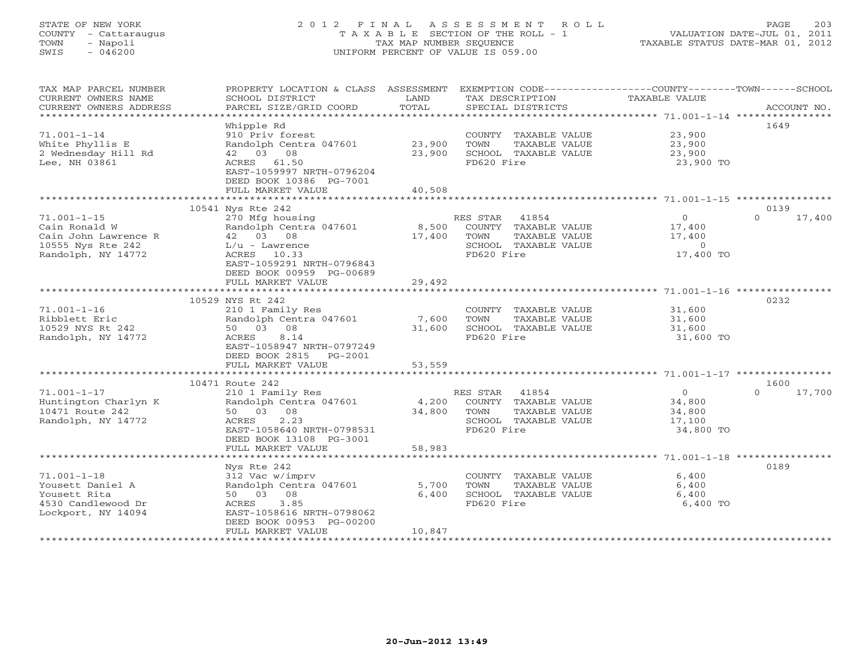# STATE OF NEW YORK 2 0 1 2 F I N A L A S S E S S M E N T R O L L PAGE 203 COUNTY - Cattaraugus T A X A B L E SECTION OF THE ROLL - 1 VALUATION DATE-JUL 01, 2011 TOWN - Napoli TAX MAP NUMBER SEQUENCE TAXABLE STATUS DATE-MAR 01, 2012 SWIS - 046200 UNIFORM PERCENT OF VALUE IS 059.00UNIFORM PERCENT OF VALUE IS 059.00

| TAX MAP PARCEL NUMBER<br>CURRENT OWNERS NAME<br>CURRENT OWNERS ADDRESS<br>***********************     | PROPERTY LOCATION & CLASS ASSESSMENT<br>SCHOOL DISTRICT<br>PARCEL SIZE/GRID COORD                                                                                       | LAND<br>TOTAL              | EXEMPTION CODE-----------------COUNTY-------TOWN------SCHOOL<br>TAX DESCRIPTION<br>SPECIAL DISTRICTS     | TAXABLE VALUE                                              | ACCOUNT NO.                |
|-------------------------------------------------------------------------------------------------------|-------------------------------------------------------------------------------------------------------------------------------------------------------------------------|----------------------------|----------------------------------------------------------------------------------------------------------|------------------------------------------------------------|----------------------------|
| $71.001 - 1 - 14$<br>White Phyllis E<br>2 Wednesday Hill Rd<br>Lee, NH 03861                          | Whipple Rd<br>910 Priv forest<br>Randolph Centra 047601<br>42 03 08<br>ACRES 61.50<br>EAST-1059997 NRTH-0796204<br>DEED BOOK 10386 PG-7001<br>FULL MARKET VALUE         | 23,900<br>23,900<br>40,508 | COUNTY TAXABLE VALUE<br>TOWN<br>TAXABLE VALUE<br>SCHOOL TAXABLE VALUE<br>FD620 Fire                      | 23,900<br>23,900<br>23,900<br>23,900 TO                    | 1649                       |
|                                                                                                       |                                                                                                                                                                         |                            |                                                                                                          |                                                            |                            |
| $71.001 - 1 - 15$<br>Cain Ronald W<br>Cain John Lawrence R<br>10555 Nys Rte 242<br>Randolph, NY 14772 | 10541 Nys Rte 242<br>270 Mfg housing<br>Randolph Centra 047601<br>42 03 08<br>$L/u$ - Lawrence<br>ACRES 10.33<br>EAST-1059291 NRTH-0796843<br>DEED BOOK 00959 PG-00689  | 8,500<br>17,400            | RES STAR<br>41854<br>COUNTY TAXABLE VALUE<br>TAXABLE VALUE<br>TOWN<br>SCHOOL TAXABLE VALUE<br>FD620 Fire | $\overline{0}$<br>17,400<br>17,400<br>$\circ$<br>17,400 TO | 0139<br>17,400<br>$\Omega$ |
|                                                                                                       | FULL MARKET VALUE                                                                                                                                                       | 29,492                     |                                                                                                          |                                                            |                            |
|                                                                                                       | *************************                                                                                                                                               |                            |                                                                                                          |                                                            |                            |
| $71.001 - 1 - 16$<br>Ribblett Eric<br>10529 NYS Rt 242<br>Randolph, NY 14772                          | 10529 NYS Rt 242<br>210 1 Family Res<br>Randolph Centra 047601<br>50 03 08<br>8.14<br>ACRES<br>EAST-1058947 NRTH-0797249<br>DEED BOOK 2815 PG-2001<br>FULL MARKET VALUE | 7,600<br>31,600<br>53,559  | COUNTY TAXABLE VALUE<br>TOWN<br>TAXABLE VALUE<br>SCHOOL TAXABLE VALUE<br>FD620 Fire                      | 31,600<br>31,600<br>31,600<br>31,600 TO                    | 0232                       |
|                                                                                                       |                                                                                                                                                                         |                            |                                                                                                          |                                                            |                            |
| $71.001 - 1 - 17$<br>Huntington Charlyn K<br>10471 Route 242<br>Randolph, NY 14772                    | 10471 Route 242<br>210 1 Family Res<br>Randolph Centra 047601<br>50 03 08<br>2.23<br>ACRES<br>EAST-1058640 NRTH-0798531<br>DEED BOOK 13108 PG-3001                      | 4,200<br>34,800            | RES STAR 41854<br>COUNTY TAXABLE VALUE<br>TOWN<br>TAXABLE VALUE<br>SCHOOL TAXABLE VALUE<br>FD620 Fire    | $\overline{0}$<br>34,800<br>34,800<br>17,100<br>34,800 TO  | 1600<br>$\Omega$<br>17,700 |
|                                                                                                       | FULL MARKET VALUE                                                                                                                                                       | 58,983                     |                                                                                                          |                                                            |                            |
|                                                                                                       |                                                                                                                                                                         |                            |                                                                                                          |                                                            |                            |
| $71.001 - 1 - 18$<br>Yousett Daniel A<br>Yousett Rita<br>4530 Candlewood Dr<br>Lockport, NY 14094     | Nys Rte 242<br>312 Vac w/imprv<br>Randolph Centra 047601<br>50 03 08<br>3.85<br>ACRES<br>EAST-1058616 NRTH-0798062<br>DEED BOOK 00953 PG-00200<br>FULL MARKET VALUE     | 5,700<br>6,400<br>10,847   | COUNTY TAXABLE VALUE<br>TOWN<br>TAXABLE VALUE<br>SCHOOL TAXABLE VALUE<br>FD620 Fire                      | 6,400<br>6,400<br>6,400<br>6,400 TO                        | 0189                       |
|                                                                                                       | ********************                                                                                                                                                    |                            |                                                                                                          |                                                            |                            |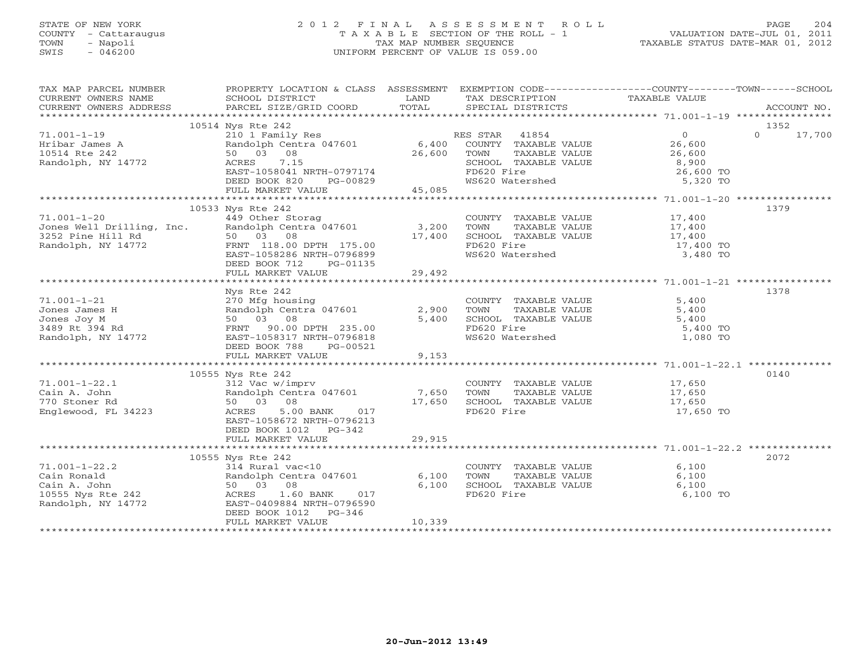# STATE OF NEW YORK 2 0 1 2 F I N A L A S S E S S M E N T R O L L PAGE 204 COUNTY - Cattaraugus T A X A B L E SECTION OF THE ROLL - 1 VALUATION DATE-JUL 01, 2011 TOWN - Napoli TAX MAP NUMBER SEQUENCE TAXABLE STATUS DATE-MAR 01, 2012 SWIS - 046200 UNIFORM PERCENT OF VALUE IS 059.00UNIFORM PERCENT OF VALUE IS 059.00

| TAX MAP PARCEL NUMBER                                                                                                                                                                                                                                                                                                                                                              | PROPERTY LOCATION & CLASS ASSESSMENT EXEMPTION CODE----------------COUNTY-------TOWN------SCHOOL                                                                                                                                         |                                                                                                                        |                                                                                                                                                                                                     |                       |               |
|------------------------------------------------------------------------------------------------------------------------------------------------------------------------------------------------------------------------------------------------------------------------------------------------------------------------------------------------------------------------------------|------------------------------------------------------------------------------------------------------------------------------------------------------------------------------------------------------------------------------------------|------------------------------------------------------------------------------------------------------------------------|-----------------------------------------------------------------------------------------------------------------------------------------------------------------------------------------------------|-----------------------|---------------|
| CURRENT OWNERS NAME                                                                                                                                                                                                                                                                                                                                                                | SCHOOL DISTRICT                                                                                                                                                                                                                          | <b>EXAMPLE SERVICE SERVICE SERVICE SERVICE SERVICE SERVICE SERVICE SERVICE SERVICE SERVICE SERVICE SERVICE SERVICE</b> | TAX DESCRIPTION TAXABLE VALUE                                                                                                                                                                       |                       |               |
| - CURRENT OWNERS ADDRESS - PARCEL SIZE/GRID COORD - TOTAL - SPECIAL DISTRICTS - ACCOUNT NO.<br>- ARCOUNT NO - ARCHA SECOUNT SECOUNT SECOUNT SECOUNT ACCOUNT ACCOUNT ACT - A SECOUNT AND A SECOUNT A SECOUNT T<br>CURRENT OWNERS ADDRESS                                                                                                                                            |                                                                                                                                                                                                                                          |                                                                                                                        |                                                                                                                                                                                                     |                       |               |
|                                                                                                                                                                                                                                                                                                                                                                                    |                                                                                                                                                                                                                                          |                                                                                                                        |                                                                                                                                                                                                     |                       |               |
|                                                                                                                                                                                                                                                                                                                                                                                    | 10514 Nys Rte 242                                                                                                                                                                                                                        |                                                                                                                        |                                                                                                                                                                                                     |                       | 1352          |
| $71.001 - 1 - 19$                                                                                                                                                                                                                                                                                                                                                                  | Nys Rte 242<br>210 1 Family Res RES STAR 41854<br>26,600 COUNTY TAXABLE VALUE 26,600<br>50 03 08 26,600 TOWN TAXABLE VALUE 26,600<br>ACRES 7.15 SCHOOL TAXABLE VALUE 26,600<br>EAST-1058041 NRTH-0797174 FD620 Fire 26,600 TOWN 26,600 T |                                                                                                                        |                                                                                                                                                                                                     |                       | $0 \t 17,700$ |
| Hribar James A<br>10514 Rte 242<br>Randolph, NY 14772<br>ACRES<br>2.15                                                                                                                                                                                                                                                                                                             |                                                                                                                                                                                                                                          |                                                                                                                        |                                                                                                                                                                                                     |                       |               |
|                                                                                                                                                                                                                                                                                                                                                                                    |                                                                                                                                                                                                                                          |                                                                                                                        |                                                                                                                                                                                                     |                       |               |
|                                                                                                                                                                                                                                                                                                                                                                                    |                                                                                                                                                                                                                                          |                                                                                                                        |                                                                                                                                                                                                     |                       |               |
|                                                                                                                                                                                                                                                                                                                                                                                    |                                                                                                                                                                                                                                          |                                                                                                                        |                                                                                                                                                                                                     |                       |               |
|                                                                                                                                                                                                                                                                                                                                                                                    |                                                                                                                                                                                                                                          |                                                                                                                        | FD620 Fire 26,600 TO 28,600 TO 26,600 TO                                                                                                                                                            |                       |               |
| $1000K$ 820 PG-00829 MS620 Watershed 5,320 TO<br>DEED BOOK 820 PG-00829 MS620 Watershed 5,320 TO<br>FULL MARKET VALUE 45,085 45,085 Attershed 45,085 Atternationally and the summarket when the set of the state of the state of th                                                                                                                                                |                                                                                                                                                                                                                                          |                                                                                                                        |                                                                                                                                                                                                     |                       |               |
|                                                                                                                                                                                                                                                                                                                                                                                    |                                                                                                                                                                                                                                          |                                                                                                                        |                                                                                                                                                                                                     |                       |               |
|                                                                                                                                                                                                                                                                                                                                                                                    | 10533 Nys Rte 242                                                                                                                                                                                                                        |                                                                                                                        |                                                                                                                                                                                                     |                       | 1379          |
|                                                                                                                                                                                                                                                                                                                                                                                    |                                                                                                                                                                                                                                          |                                                                                                                        |                                                                                                                                                                                                     |                       |               |
|                                                                                                                                                                                                                                                                                                                                                                                    |                                                                                                                                                                                                                                          |                                                                                                                        |                                                                                                                                                                                                     |                       |               |
|                                                                                                                                                                                                                                                                                                                                                                                    |                                                                                                                                                                                                                                          |                                                                                                                        |                                                                                                                                                                                                     |                       |               |
|                                                                                                                                                                                                                                                                                                                                                                                    |                                                                                                                                                                                                                                          |                                                                                                                        |                                                                                                                                                                                                     | 17,400 TO<br>3,480 TO |               |
|                                                                                                                                                                                                                                                                                                                                                                                    |                                                                                                                                                                                                                                          |                                                                                                                        |                                                                                                                                                                                                     |                       |               |
|                                                                                                                                                                                                                                                                                                                                                                                    | DEED BOOK 712 PG-01135                                                                                                                                                                                                                   |                                                                                                                        |                                                                                                                                                                                                     |                       |               |
|                                                                                                                                                                                                                                                                                                                                                                                    | FULL MARKET VALUE                                                                                                                                                                                                                        | 29,492                                                                                                                 |                                                                                                                                                                                                     |                       |               |
|                                                                                                                                                                                                                                                                                                                                                                                    |                                                                                                                                                                                                                                          |                                                                                                                        |                                                                                                                                                                                                     |                       |               |
|                                                                                                                                                                                                                                                                                                                                                                                    | Nys Rte 242                                                                                                                                                                                                                              |                                                                                                                        |                                                                                                                                                                                                     |                       | 1378          |
|                                                                                                                                                                                                                                                                                                                                                                                    |                                                                                                                                                                                                                                          |                                                                                                                        |                                                                                                                                                                                                     |                       |               |
|                                                                                                                                                                                                                                                                                                                                                                                    |                                                                                                                                                                                                                                          |                                                                                                                        |                                                                                                                                                                                                     |                       |               |
|                                                                                                                                                                                                                                                                                                                                                                                    |                                                                                                                                                                                                                                          |                                                                                                                        |                                                                                                                                                                                                     |                       |               |
|                                                                                                                                                                                                                                                                                                                                                                                    |                                                                                                                                                                                                                                          |                                                                                                                        |                                                                                                                                                                                                     | 5,400 TO              |               |
|                                                                                                                                                                                                                                                                                                                                                                                    |                                                                                                                                                                                                                                          |                                                                                                                        |                                                                                                                                                                                                     | 1,080 TO              |               |
|                                                                                                                                                                                                                                                                                                                                                                                    | DEED BOOK 788 PG-00521                                                                                                                                                                                                                   |                                                                                                                        |                                                                                                                                                                                                     |                       |               |
|                                                                                                                                                                                                                                                                                                                                                                                    | FULL MARKET VALUE                                                                                                                                                                                                                        | 9,153                                                                                                                  |                                                                                                                                                                                                     |                       |               |
|                                                                                                                                                                                                                                                                                                                                                                                    |                                                                                                                                                                                                                                          |                                                                                                                        |                                                                                                                                                                                                     |                       |               |
|                                                                                                                                                                                                                                                                                                                                                                                    | 10555 Nys Rte 242                                                                                                                                                                                                                        |                                                                                                                        |                                                                                                                                                                                                     |                       | 0140          |
|                                                                                                                                                                                                                                                                                                                                                                                    |                                                                                                                                                                                                                                          |                                                                                                                        |                                                                                                                                                                                                     |                       |               |
|                                                                                                                                                                                                                                                                                                                                                                                    |                                                                                                                                                                                                                                          |                                                                                                                        |                                                                                                                                                                                                     |                       |               |
|                                                                                                                                                                                                                                                                                                                                                                                    |                                                                                                                                                                                                                                          |                                                                                                                        |                                                                                                                                                                                                     |                       |               |
| $\begin{array}{ccccccccc} 71.001-1-22.1 && 10333&\text{N2} &\text{CUC} & & & & & & & & 17,650\ \text{Cain A. John} && 312&\text{Vac } \times \text{Imprv} && 7,650&\text{TOWN} &\text{TAXABLE VALUE} && 17,650\ \text{Equation 17,650} && 80&03&08&&&\text{M2} &\text{CUC} & & & & & & & 17,650\ \text{Englewood, FL 34223} && \text{ACRES} && 5.00 &\text{BANK} && 017 && \text{$ |                                                                                                                                                                                                                                          |                                                                                                                        |                                                                                                                                                                                                     |                       |               |
|                                                                                                                                                                                                                                                                                                                                                                                    | EAST-1058672 NRTH-0796213                                                                                                                                                                                                                |                                                                                                                        |                                                                                                                                                                                                     |                       |               |
|                                                                                                                                                                                                                                                                                                                                                                                    | DEED BOOK 1012 PG-342                                                                                                                                                                                                                    |                                                                                                                        |                                                                                                                                                                                                     |                       |               |
|                                                                                                                                                                                                                                                                                                                                                                                    |                                                                                                                                                                                                                                          |                                                                                                                        |                                                                                                                                                                                                     |                       |               |
|                                                                                                                                                                                                                                                                                                                                                                                    |                                                                                                                                                                                                                                          |                                                                                                                        |                                                                                                                                                                                                     |                       |               |
|                                                                                                                                                                                                                                                                                                                                                                                    | 10555 Nys Rte 242                                                                                                                                                                                                                        |                                                                                                                        |                                                                                                                                                                                                     |                       | 2072          |
|                                                                                                                                                                                                                                                                                                                                                                                    |                                                                                                                                                                                                                                          |                                                                                                                        | $\begin{tabular}{llllll} \multicolumn{2}{c}{\textbf{COUNTY}} & \textbf{TAXABLE VALUE} & & & & & 6,100 \\ \multicolumn{2}{c}{\textbf{TOWN}} & \textbf{TAXABLE VALUE} & & & & 6,100 \\ \end{tabular}$ | 6,100                 |               |
|                                                                                                                                                                                                                                                                                                                                                                                    |                                                                                                                                                                                                                                          |                                                                                                                        |                                                                                                                                                                                                     |                       |               |
|                                                                                                                                                                                                                                                                                                                                                                                    |                                                                                                                                                                                                                                          |                                                                                                                        | SCHOOL TAXABLE VALUE<br>FD620 Fire                                                                                                                                                                  | 6,100                 |               |
|                                                                                                                                                                                                                                                                                                                                                                                    |                                                                                                                                                                                                                                          |                                                                                                                        |                                                                                                                                                                                                     | 6,100 TO              |               |
|                                                                                                                                                                                                                                                                                                                                                                                    |                                                                                                                                                                                                                                          |                                                                                                                        |                                                                                                                                                                                                     |                       |               |
|                                                                                                                                                                                                                                                                                                                                                                                    |                                                                                                                                                                                                                                          |                                                                                                                        |                                                                                                                                                                                                     |                       |               |
|                                                                                                                                                                                                                                                                                                                                                                                    | FULL MARKET VALUE                                                                                                                                                                                                                        | 10,339                                                                                                                 |                                                                                                                                                                                                     |                       |               |
|                                                                                                                                                                                                                                                                                                                                                                                    |                                                                                                                                                                                                                                          |                                                                                                                        |                                                                                                                                                                                                     |                       |               |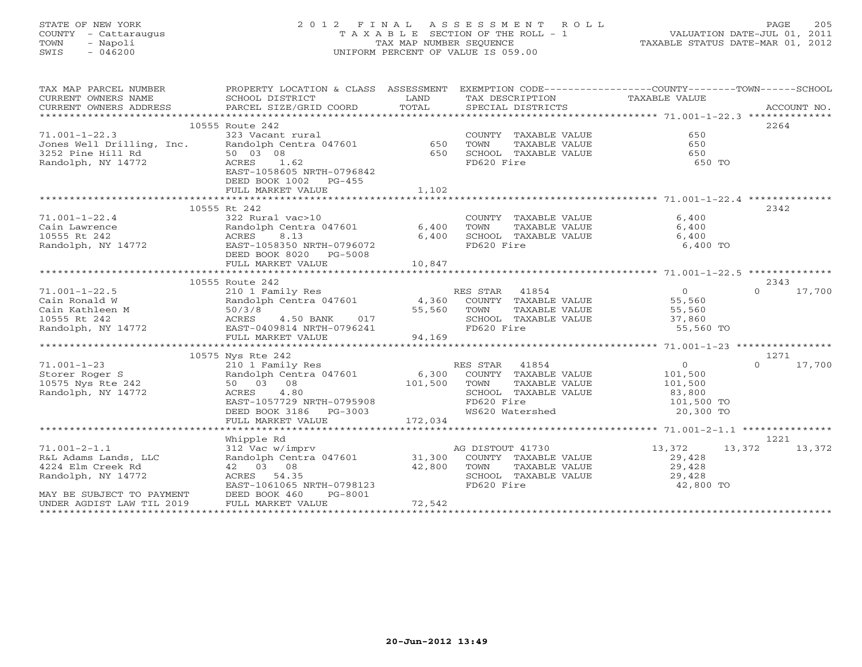# STATE OF NEW YORK 2 0 1 2 F I N A L A S S E S S M E N T R O L L PAGE 205 COUNTY - Cattaraugus T A X A B L E SECTION OF THE ROLL - 1 VALUATION DATE-JUL 01, 2011 TOWN - Napoli TAX MAP NUMBER SEQUENCE TAXABLE STATUS DATE-MAR 01, 2012 SWIS - 046200 UNIFORM PERCENT OF VALUE IS 059.00UNIFORM PERCENT OF VALUE IS 059.00

| TAX MAP PARCEL NUMBER<br>CURRENT OWNERS ADDRESS                                                                                                                                                                                                                | PROPERTY LOCATION & CLASS ASSESSMENT EXEMPTION CODE----------------COUNTY-------TOWN------SCHOOL                                                                                                                                           |                        |                                                                                                                                         |           |                    |
|----------------------------------------------------------------------------------------------------------------------------------------------------------------------------------------------------------------------------------------------------------------|--------------------------------------------------------------------------------------------------------------------------------------------------------------------------------------------------------------------------------------------|------------------------|-----------------------------------------------------------------------------------------------------------------------------------------|-----------|--------------------|
|                                                                                                                                                                                                                                                                |                                                                                                                                                                                                                                            |                        |                                                                                                                                         |           |                    |
|                                                                                                                                                                                                                                                                | 10555 Route 242                                                                                                                                                                                                                            |                        |                                                                                                                                         |           | 2264               |
|                                                                                                                                                                                                                                                                |                                                                                                                                                                                                                                            |                        | COUNTY TAXABLE VALUE                                                                                                                    | 650       |                    |
|                                                                                                                                                                                                                                                                |                                                                                                                                                                                                                                            |                        | TOWN       TAXABLE  VALUE<br>SCHOOL    TAXABLE  VALUE                                                                                   | 650       |                    |
|                                                                                                                                                                                                                                                                |                                                                                                                                                                                                                                            |                        |                                                                                                                                         | 650       |                    |
|                                                                                                                                                                                                                                                                |                                                                                                                                                                                                                                            |                        | FD620 Fire                                                                                                                              | 650 TO    |                    |
|                                                                                                                                                                                                                                                                | EAST-1058605 NRTH-0796842                                                                                                                                                                                                                  |                        |                                                                                                                                         |           |                    |
|                                                                                                                                                                                                                                                                | DEED BOOK 1002 PG-455                                                                                                                                                                                                                      |                        |                                                                                                                                         |           |                    |
|                                                                                                                                                                                                                                                                |                                                                                                                                                                                                                                            |                        |                                                                                                                                         |           |                    |
|                                                                                                                                                                                                                                                                |                                                                                                                                                                                                                                            |                        |                                                                                                                                         |           |                    |
|                                                                                                                                                                                                                                                                | 10555 Rt 242                                                                                                                                                                                                                               |                        |                                                                                                                                         |           | 2342               |
|                                                                                                                                                                                                                                                                | 322 Rural vac>10<br>Randolph Centra 047601 6,400                                                                                                                                                                                           |                        | COUNTY TAXABLE VALUE                                                                                                                    | 6,400     |                    |
|                                                                                                                                                                                                                                                                |                                                                                                                                                                                                                                            |                        | TAXABLE VALUE<br>TOWN                                                                                                                   | 6,400     |                    |
| 71.001-1-22.4<br>Cain Lawrence<br>10555 Rt 242<br>Randolph, NY 14772<br>Randolph, NY 14772<br>CRES 8.13<br>Randolph, NY 14772<br>CRES 8.13<br>CRES 8.13<br>CRES 8.13<br>CRES 8.13<br>CRES 8.13<br>CRES 8.13<br>CRES 8.13<br>CRES 8.13<br>CRES 8.13<br>CRES 8.1 |                                                                                                                                                                                                                                            | 6,400                  | SCHOOL TAXABLE VALUE<br>FD620 Fire                                                                                                      | 6,400     |                    |
|                                                                                                                                                                                                                                                                |                                                                                                                                                                                                                                            |                        |                                                                                                                                         | 6,400 TO  |                    |
|                                                                                                                                                                                                                                                                | DEED BOOK 8020 PG-5008                                                                                                                                                                                                                     |                        |                                                                                                                                         |           |                    |
|                                                                                                                                                                                                                                                                | DEED BOOK 0020 -<br>FULL MARKET VALUE<br>ALLASSET VALUE                                                                                                                                                                                    | 10,847                 |                                                                                                                                         |           |                    |
|                                                                                                                                                                                                                                                                |                                                                                                                                                                                                                                            |                        |                                                                                                                                         |           |                    |
|                                                                                                                                                                                                                                                                | 10555 Route 242                                                                                                                                                                                                                            |                        |                                                                                                                                         |           | 2343               |
| $71.001 - 1 - 22.5$                                                                                                                                                                                                                                            |                                                                                                                                                                                                                                            |                        |                                                                                                                                         |           | $\Omega$<br>17,700 |
| Cain Ronald W<br>Cain Kathleen M<br>10555 Rt 242<br>Randolph, NY 14772                                                                                                                                                                                         | RES STAR 41854<br>210 1 Family Res RES STAR 41854<br>210 1 Family Res RES STAR 41854<br>210 1 Family Res RES RANG 4,360 COUNTY TAXABLE VALUE 55,560<br>55,560 TOWN TAXABLE VALUE 55,560<br>255,560 SCHOOL TAXABLE VALUE 37,860<br>27,860 F |                        |                                                                                                                                         |           |                    |
|                                                                                                                                                                                                                                                                |                                                                                                                                                                                                                                            |                        |                                                                                                                                         |           |                    |
|                                                                                                                                                                                                                                                                |                                                                                                                                                                                                                                            |                        | SCHOOL TAXABLE VALUE<br>SCHOOL TAXABLE VALUE 37,860<br>FD620 Fire 55,560 TO                                                             |           |                    |
|                                                                                                                                                                                                                                                                |                                                                                                                                                                                                                                            |                        |                                                                                                                                         |           |                    |
|                                                                                                                                                                                                                                                                |                                                                                                                                                                                                                                            |                        |                                                                                                                                         |           |                    |
|                                                                                                                                                                                                                                                                |                                                                                                                                                                                                                                            |                        |                                                                                                                                         |           |                    |
|                                                                                                                                                                                                                                                                | 10575 Nys Rte 242                                                                                                                                                                                                                          |                        |                                                                                                                                         |           | 1271               |
|                                                                                                                                                                                                                                                                |                                                                                                                                                                                                                                            |                        |                                                                                                                                         |           | $\circ$<br>17,700  |
|                                                                                                                                                                                                                                                                |                                                                                                                                                                                                                                            |                        |                                                                                                                                         |           |                    |
|                                                                                                                                                                                                                                                                |                                                                                                                                                                                                                                            |                        |                                                                                                                                         |           |                    |
|                                                                                                                                                                                                                                                                |                                                                                                                                                                                                                                            |                        |                                                                                                                                         |           |                    |
| 71.001-1-23<br>210 1 Family Res<br>Storer Roger S<br>210 1 Family Res<br>210 1 Family Res<br>210 1 Family Res<br>210 1 Family Res<br>6,300 COUNTY TAXABLE VALUE<br>210575 Nys Rte 242<br>26 242<br>26 26 26 26 26 26 26 26 26 26 2729<br>26 2729 210           |                                                                                                                                                                                                                                            |                        | SCHOOL TAXABLE VALUE $\begin{array}{ccc} 83,800 \\ \text{FD620 Fire} \end{array}$<br>FD620 Fire 101,500 TO<br>WS620 Watershed 20,300 TO |           |                    |
|                                                                                                                                                                                                                                                                |                                                                                                                                                                                                                                            |                        |                                                                                                                                         |           |                    |
|                                                                                                                                                                                                                                                                |                                                                                                                                                                                                                                            |                        |                                                                                                                                         |           |                    |
|                                                                                                                                                                                                                                                                |                                                                                                                                                                                                                                            |                        |                                                                                                                                         |           |                    |
|                                                                                                                                                                                                                                                                | Whipple Rd                                                                                                                                                                                                                                 |                        |                                                                                                                                         |           | 1221               |
| $71.001 - 2 - 1.1$                                                                                                                                                                                                                                             |                                                                                                                                                                                                                                            |                        |                                                                                                                                         | 13,372    | 13,372 13,372      |
| R&L Adams Lands, LLC                                                                                                                                                                                                                                           | 312 Vac w/imprv<br>31,300 COUNTY TAXABLE VALUE 29,428                                                                                                                                                                                      |                        |                                                                                                                                         |           |                    |
| 4224 Elm Creek Rd                                                                                                                                                                                                                                              | 42 03 08                                                                                                                                                                                                                                   |                        | TAXABLE VALUE                                                                                                                           | 29,428    |                    |
| Randolph, NY 14772                                                                                                                                                                                                                                             | ACRES 54.35                                                                                                                                                                                                                                | $42,800$ TOWN<br>SCHOO | SCHOOL TAXABLE VALUE 29,428                                                                                                             |           |                    |
|                                                                                                                                                                                                                                                                | EAST-1061065 NRTH-0798123                                                                                                                                                                                                                  |                        | FD620 Fire                                                                                                                              | 42,800 TO |                    |
| MAY BE SUBJECT TO PAYMENT                                                                                                                                                                                                                                      | DEED BOOK 460<br>PG-8001                                                                                                                                                                                                                   |                        |                                                                                                                                         |           |                    |
| UNDER AGDIST LAW TIL 2019                                                                                                                                                                                                                                      | FULL MARKET VALUE                                                                                                                                                                                                                          | 72,542                 |                                                                                                                                         |           |                    |
|                                                                                                                                                                                                                                                                |                                                                                                                                                                                                                                            |                        |                                                                                                                                         |           |                    |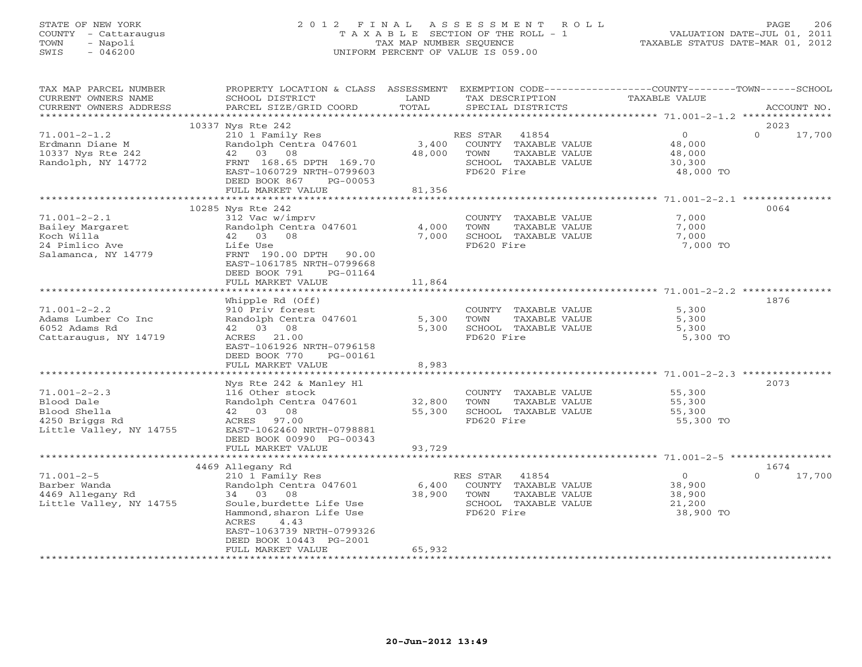# STATE OF NEW YORK 2 0 1 2 F I N A L A S S E S S M E N T R O L L PAGE 206 COUNTY - Cattaraugus T A X A B L E SECTION OF THE ROLL - 1 VALUATION DATE-JUL 01, 2011 TOWN - Napoli TAX MAP NUMBER SEQUENCE TAXABLE STATUS DATE-MAR 01, 2012 SWIS - 046200 UNIFORM PERCENT OF VALUE IS 059.00UNIFORM PERCENT OF VALUE IS 059.00

| TAX MAP PARCEL NUMBER<br>CURRENT OWNERS NAME      | PROPERTY LOCATION & CLASS ASSESSMENT<br>SCHOOL DISTRICT | LAND<br>TOTAL | EXEMPTION CODE----------------COUNTY-------TOWN------SCHOOL<br>TAX DESCRIPTION | TAXABLE VALUE    |                    |
|---------------------------------------------------|---------------------------------------------------------|---------------|--------------------------------------------------------------------------------|------------------|--------------------|
| CURRENT OWNERS ADDRESS<br>*********************** | PARCEL SIZE/GRID COORD                                  |               | SPECIAL DISTRICTS                                                              |                  | ACCOUNT NO.        |
|                                                   | 10337 Nys Rte 242                                       |               |                                                                                |                  | 2023               |
| $71.001 - 2 - 1.2$                                | 210 1 Family Res                                        |               | RES STAR<br>41854                                                              | $\overline{0}$   | $\Omega$<br>17,700 |
| Erdmann Diane M                                   | Randolph Centra 047601                                  | 3,400         | COUNTY TAXABLE VALUE                                                           | 48,000           |                    |
| 10337 Nys Rte 242<br>Randolph, NY 14772           | 42 03 08<br>FRNT 168.65 DPTH 169.70                     | 48,000        | TOWN<br>TAXABLE VALUE<br>SCHOOL TAXABLE VALUE                                  | 48,000<br>30,300 |                    |
|                                                   | EAST-1060729 NRTH-0799603                               |               | FD620 Fire                                                                     | 48,000 TO        |                    |
|                                                   | DEED BOOK 867<br>PG-00053                               |               |                                                                                |                  |                    |
|                                                   | FULL MARKET VALUE                                       | 81,356        |                                                                                |                  |                    |
|                                                   | *******************************<br>10285 Nys Rte 242    | ************* |                                                                                |                  | 0064               |
| $71.001 - 2 - 2.1$                                | 312 Vac w/imprv                                         |               | COUNTY TAXABLE VALUE                                                           | 7,000            |                    |
| Bailey Margaret                                   | Randolph Centra 047601                                  | 4,000         | TOWN<br>TAXABLE VALUE                                                          | 7,000            |                    |
| Koch Willa                                        | 42 03 08                                                | 7,000         | SCHOOL TAXABLE VALUE                                                           | 7,000            |                    |
| 24 Pimlico Ave                                    | Life Use                                                |               | FD620 Fire                                                                     | 7,000 TO         |                    |
| Salamanca, NY 14779                               | FRNT 190.00 DPTH 90.00                                  |               |                                                                                |                  |                    |
|                                                   | EAST-1061785 NRTH-0799668                               |               |                                                                                |                  |                    |
|                                                   | DEED BOOK 791<br>PG-01164                               |               |                                                                                |                  |                    |
|                                                   | FULL MARKET VALUE                                       | 11,864        |                                                                                |                  |                    |
|                                                   |                                                         |               |                                                                                |                  |                    |
|                                                   | Whipple Rd (Off)                                        |               |                                                                                |                  | 1876               |
| $71.001 - 2 - 2.2$                                | 910 Priv forest                                         |               | COUNTY TAXABLE VALUE                                                           | 5,300            |                    |
| Adams Lumber Co Inc                               | Randolph Centra 047601                                  | 5,300         | TAXABLE VALUE<br>TOWN                                                          | 5,300            |                    |
| 6052 Adams Rd                                     | 42 03 08                                                | 5,300         | SCHOOL TAXABLE VALUE                                                           | 5,300            |                    |
| Cattaraugus, NY 14719                             | ACRES 21.00                                             |               | FD620 Fire                                                                     | 5,300 TO         |                    |
|                                                   | EAST-1061926 NRTH-0796158<br>PG-00161                   |               |                                                                                |                  |                    |
|                                                   | DEED BOOK 770<br>FULL MARKET VALUE                      | 8,983         |                                                                                |                  |                    |
|                                                   |                                                         |               |                                                                                |                  |                    |
|                                                   | Nys Rte 242 & Manley Hl                                 |               |                                                                                |                  | 2073               |
| $71.001 - 2 - 2.3$                                | 116 Other stock                                         |               | COUNTY TAXABLE VALUE 55,300                                                    |                  |                    |
| Blood Dale                                        | Randolph Centra 047601 32,800                           |               | TOWN<br>TAXABLE VALUE                                                          | 55,300           |                    |
| Blood Shella                                      | 42 03 08                                                | 55,300        | SCHOOL TAXABLE VALUE                                                           | 55,300           |                    |
| 4250 Briggs Rd                                    | ACRES 97.00                                             |               | FD620 Fire                                                                     | 55,300 TO        |                    |
| Little Valley, NY 14755                           | EAST-1062460 NRTH-0798881                               |               |                                                                                |                  |                    |
|                                                   | DEED BOOK 00990 PG-00343                                |               |                                                                                |                  |                    |
|                                                   | FULL MARKET VALUE                                       | 93,729        |                                                                                |                  |                    |
|                                                   |                                                         |               |                                                                                |                  |                    |
|                                                   | 4469 Allegany Rd                                        |               |                                                                                |                  | 1674               |
| $71.001 - 2 - 5$                                  | 210 1 Family Res                                        |               | RES STAR<br>41854                                                              | $\overline{0}$   | 17,700<br>$\Omega$ |
| Barber Wanda                                      | Randolph Centra 047601<br>34 03 08                      | 6,400         | COUNTY TAXABLE VALUE<br>38,900 TOWN                                            | 38,900<br>38,900 |                    |
| 4469 Allegany Rd<br>Little Valley, NY 14755       | Soule, burdette Life Use                                |               | TAXABLE VALUE<br>SCHOOL TAXABLE VALUE                                          | 21,200           |                    |
|                                                   | Hammond, sharon Life Use                                |               | FD620 Fire                                                                     | 38,900 TO        |                    |
|                                                   | 4.43<br>ACRES                                           |               |                                                                                |                  |                    |
|                                                   | EAST-1063739 NRTH-0799326                               |               |                                                                                |                  |                    |
|                                                   | DEED BOOK 10443 PG-2001                                 |               |                                                                                |                  |                    |
|                                                   | FULL MARKET VALUE                                       | 65,932        |                                                                                |                  |                    |
|                                                   | * * * * * * * * * * * * * * * * * * *                   |               |                                                                                |                  |                    |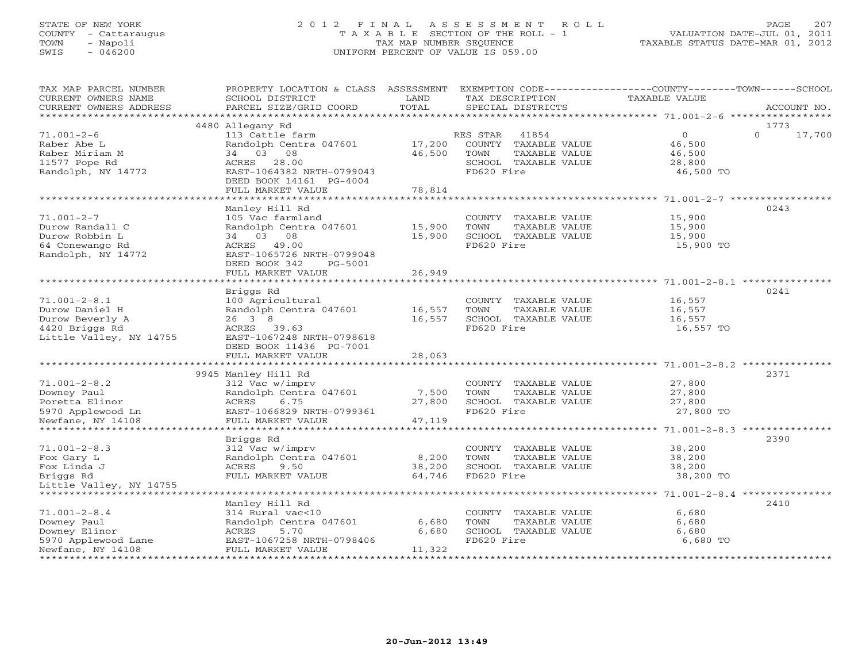# STATE OF NEW YORK 2 0 1 2 F I N A L A S S E S S M E N T R O L L PAGE 207 COUNTY - Cattaraugus T A X A B L E SECTION OF THE ROLL - 1 VALUATION DATE-JUL 01, 2011 TOWN - Napoli TAX MAP NUMBER SEQUENCE TAXABLE STATUS DATE-MAR 01, 2012 SWIS - 046200 UNIFORM PERCENT OF VALUE IS 059.00UNIFORM PERCENT OF VALUE IS 059.00

| TAX MAP PARCEL NUMBER                                                                                                                                                                                                                                            |                                |        | PROPERTY LOCATION & CLASS ASSESSMENT EXEMPTION CODE---------------COUNTY-------TOWN------SCHOOL     |               |               |
|------------------------------------------------------------------------------------------------------------------------------------------------------------------------------------------------------------------------------------------------------------------|--------------------------------|--------|-----------------------------------------------------------------------------------------------------|---------------|---------------|
| CURRENT OWNERS NAME                                                                                                                                                                                                                                              | SCHOOL DISTRICT                | LAND   | TAX DESCRIPTION                                                                                     | TAXABLE VALUE |               |
| CURRENT OWNERS ADDRESS                                                                                                                                                                                                                                           | PARCEL SIZE/GRID COORD         | TOTAL  | SPECIAL DISTRICTS                                                                                   |               | ACCOUNT NO.   |
|                                                                                                                                                                                                                                                                  |                                |        |                                                                                                     |               |               |
|                                                                                                                                                                                                                                                                  | 4480 Allegany Rd               |        |                                                                                                     |               | 1773          |
| $71.001 - 2 - 6$                                                                                                                                                                                                                                                 | 113 Cattle farm                |        | RES STAR 41854                                                                                      | $\Omega$      | $0 \t 17,700$ |
| Raber Abe L                                                                                                                                                                                                                                                      | Randolph Centra 047601 17,200  |        | -<br>COUNTY TAXABLE VALUE 46,500<br>TOWN TAXABLE VALUE 46,500                                       |               |               |
| Raber Miriam M                                                                                                                                                                                                                                                   | 34 03 08                       | 46,500 |                                                                                                     |               |               |
| 11577 Pope Rd                                                                                                                                                                                                                                                    | ACRES 28.00                    |        | SCHOOL TAXABLE VALUE 28,800                                                                         |               |               |
| Randolph, NY 14772                                                                                                                                                                                                                                               | EAST-1064382 NRTH-0799043      |        | FD620 Fire                                                                                          | 46,500 TO     |               |
|                                                                                                                                                                                                                                                                  | DEED BOOK 14161 PG-4004        |        |                                                                                                     |               |               |
|                                                                                                                                                                                                                                                                  | FULL MARKET VALUE              | 78,814 |                                                                                                     |               |               |
|                                                                                                                                                                                                                                                                  |                                |        |                                                                                                     |               |               |
|                                                                                                                                                                                                                                                                  | Manley Hill Rd                 |        |                                                                                                     |               | 0243          |
| $71.001 - 2 - 7$                                                                                                                                                                                                                                                 | 105 Vac farmland               |        | COUNTY TAXABLE VALUE                                                                                | 15,900        |               |
| Durow Randall C                                                                                                                                                                                                                                                  | Randolph Centra 047601 15,900  |        | TOWN<br>TAXABLE VALUE 15,900<br>TAXABLE VALUE 15,900                                                |               |               |
| Durow Robbin L                                                                                                                                                                                                                                                   | 34 03 08                       | 15,900 | SCHOOL TAXABLE VALUE                                                                                |               |               |
| 64 Conewango Rd                                                                                                                                                                                                                                                  | ACRES 49.00                    |        | FD620 Fire                                                                                          | 15,900 TO     |               |
| Randolph, NY 14772                                                                                                                                                                                                                                               | EAST-1065726 NRTH-0799048      |        |                                                                                                     |               |               |
|                                                                                                                                                                                                                                                                  | DEED BOOK 342 PG-5001          |        |                                                                                                     |               |               |
|                                                                                                                                                                                                                                                                  | FULL MARKET VALUE              | 26,949 |                                                                                                     |               |               |
|                                                                                                                                                                                                                                                                  |                                |        |                                                                                                     |               |               |
|                                                                                                                                                                                                                                                                  | Briggs Rd                      |        |                                                                                                     |               | 0241          |
| $71.001 - 2 - 8.1$                                                                                                                                                                                                                                               | 100 Agricultural               |        | COUNTY TAXABLE VALUE                                                                                | 16,557        |               |
| Durow Daniel H                                                                                                                                                                                                                                                   | Randolph Centra 047601 16,557  |        | TOWN<br>TAXABLE VALUE 16,557<br>TAXABLE VALUE 16,557                                                |               |               |
| Durow Beverly A                                                                                                                                                                                                                                                  | 26 3 8                         | 16,557 | SCHOOL TAXABLE VALUE                                                                                |               |               |
| 4420 Briggs Rd                                                                                                                                                                                                                                                   | ACRES 39.63                    |        | FD620 Fire                                                                                          | 16,557 TO     |               |
| Little Valley, NY 14755                                                                                                                                                                                                                                          | EAST-1067248 NRTH-0798618      |        |                                                                                                     |               |               |
|                                                                                                                                                                                                                                                                  | DEED BOOK 11436 PG-7001        |        |                                                                                                     |               |               |
|                                                                                                                                                                                                                                                                  | FULL MARKET VALUE              | 28,063 |                                                                                                     |               |               |
|                                                                                                                                                                                                                                                                  |                                |        |                                                                                                     |               |               |
|                                                                                                                                                                                                                                                                  | 9945 Manley Hill Rd            |        |                                                                                                     |               | 2371          |
| $71.001 - 2 - 8.2$                                                                                                                                                                                                                                               | 312 Vac w/imprv                |        | COUNTY TAXABLE VALUE                                                                                | 27,800        |               |
|                                                                                                                                                                                                                                                                  | Randolph Centra $047601$ 7,500 |        |                                                                                                     |               |               |
|                                                                                                                                                                                                                                                                  |                                |        |                                                                                                     |               |               |
|                                                                                                                                                                                                                                                                  |                                |        | TOWN TAXABLE VALUE $27,800$<br>SCHOOL TAXABLE VALUE $27,800$<br>FD620 Fire 27,800 TO                |               |               |
| Powney Paul<br>Powney Paul<br>Powney Paul<br>Powney Paul<br>Powney Paul<br>Powney Paul<br>Powney Paul<br>Powney Paul<br>Powney Paul<br>Powney Paul<br>Powney Paul<br>Powney Paul<br>Powney Paul<br>Powney Paul<br>Powney Paul<br>Powney Paul<br>Powney Paul<br>P |                                |        |                                                                                                     |               |               |
|                                                                                                                                                                                                                                                                  |                                |        |                                                                                                     |               |               |
|                                                                                                                                                                                                                                                                  | Briggs Rd                      |        |                                                                                                     |               | 2390          |
| $71.001 - 2 - 8.3$                                                                                                                                                                                                                                               | 312 Vac w/imprv                |        |                                                                                                     |               |               |
| Fox Gary L                                                                                                                                                                                                                                                       | Randolph Centra 047601 8,200   |        |                                                                                                     |               |               |
| Fox Linda J                                                                                                                                                                                                                                                      | ACRES 9.50                     | 38,200 | EXAMPLE SOM TOWN TAXABLE VALUE<br>SCHOOL TAXABLE VALUE 38,200<br>FD620 Fire 38,200<br>FD620 Fire 38 |               |               |
| Briggs Rd                                                                                                                                                                                                                                                        | FULL MARKET VALUE 64,746       |        |                                                                                                     | 38,200 TO     |               |
| Little Valley, NY 14755                                                                                                                                                                                                                                          |                                |        |                                                                                                     |               |               |
|                                                                                                                                                                                                                                                                  |                                |        |                                                                                                     |               |               |
|                                                                                                                                                                                                                                                                  | Manley Hill Rd                 |        |                                                                                                     |               | 2410          |
| $71.001 - 2 - 8.4$                                                                                                                                                                                                                                               | 314 Rural vac<10               |        | COUNTY TAXABLE VALUE                                                                                | 6,680         |               |
|                                                                                                                                                                                                                                                                  | Randolph Centra 047601         | 6,680  | TOWN<br>TAXABLE VALUE                                                                               | 6,680         |               |
|                                                                                                                                                                                                                                                                  |                                | 6,680  | SCHOOL TAXABLE VALUE                                                                                | 6,680         |               |
| % 71.001-2-8.4<br>Downey Paul Powney Buinor<br>Syno Applewood Lane<br>Names S.70<br>Syno Applewood Lane<br>Newfane, NY 14108<br>Newfane, NY 14108<br>Syno Build Public RARKET VALUE                                                                              |                                |        | FD620 Fire                                                                                          | 6,680 TO      |               |
|                                                                                                                                                                                                                                                                  |                                | 11,322 |                                                                                                     |               |               |
|                                                                                                                                                                                                                                                                  |                                |        |                                                                                                     |               |               |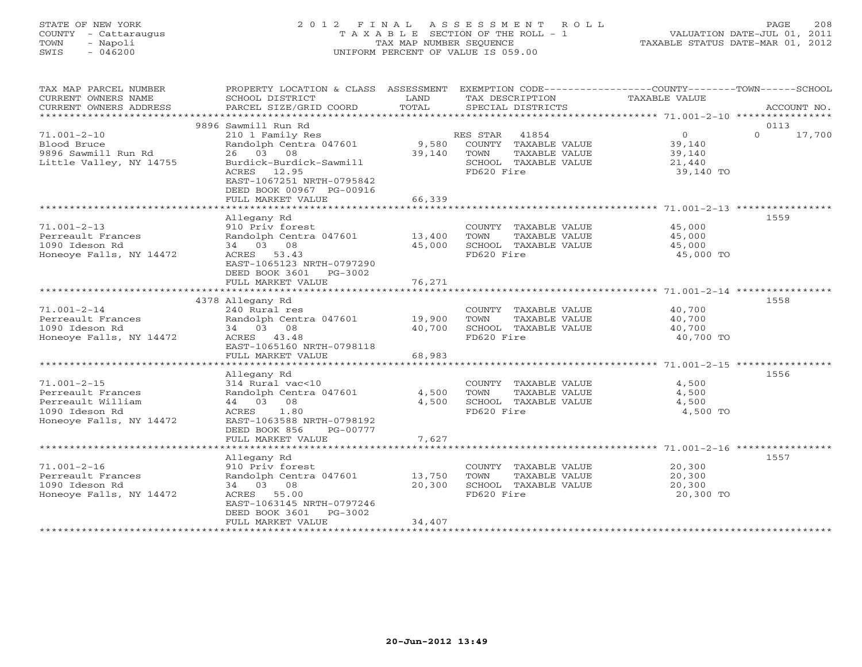# STATE OF NEW YORK 2 0 1 2 F I N A L A S S E S S M E N T R O L L PAGE 208 COUNTY - Cattaraugus T A X A B L E SECTION OF THE ROLL - 1 VALUATION DATE-JUL 01, 2011 TOWN - Napoli TAX MAP NUMBER SEQUENCE TAXABLE STATUS DATE-MAR 01, 2012 SWIS - 046200 UNIFORM PERCENT OF VALUE IS 059.00UNIFORM PERCENT OF VALUE IS 059.00

| TAX MAP PARCEL NUMBER<br>CURRENT OWNERS NAME<br>CURRENT OWNERS ADDRESS | PROPERTY LOCATION & CLASS ASSESSMENT<br>SCHOOL DISTRICT<br>PARCEL SIZE/GRID COORD | LAND<br>TOTAL | TAX DESCRIPTION<br>SPECIAL DISTRICTS | EXEMPTION CODE-----------------COUNTY-------TOWN------SCHOOL<br>TAXABLE VALUE | ACCOUNT NO.        |
|------------------------------------------------------------------------|-----------------------------------------------------------------------------------|---------------|--------------------------------------|-------------------------------------------------------------------------------|--------------------|
|                                                                        |                                                                                   |               |                                      |                                                                               |                    |
|                                                                        | 9896 Sawmill Run Rd                                                               |               |                                      |                                                                               | 0113               |
| $71.001 - 2 - 10$                                                      | 210 1 Family Res                                                                  |               | RES STAR<br>41854                    | $\overline{0}$                                                                | $\Omega$<br>17,700 |
| Blood Bruce                                                            | Randolph Centra 047601                                                            | 9,580         | COUNTY TAXABLE VALUE                 | 39,140                                                                        |                    |
| 9896 Sawmill Run Rd                                                    | 26 03 08                                                                          | 39,140        | TOWN<br>TAXABLE VALUE                | 39,140                                                                        |                    |
| Little Valley, NY 14755                                                | Burdick-Burdick-Sawmill                                                           |               | SCHOOL TAXABLE VALUE                 | 21,440                                                                        |                    |
|                                                                        | ACRES 12.95                                                                       |               | FD620 Fire                           | 39,140 TO                                                                     |                    |
|                                                                        | EAST-1067251 NRTH-0795842                                                         |               |                                      |                                                                               |                    |
|                                                                        | DEED BOOK 00967 PG-00916                                                          |               |                                      |                                                                               |                    |
|                                                                        | FULL MARKET VALUE                                                                 | 66,339        |                                      |                                                                               |                    |
|                                                                        | Allegany Rd                                                                       |               |                                      |                                                                               | 1559               |
| $71.001 - 2 - 13$                                                      | 910 Priv forest                                                                   |               | COUNTY TAXABLE VALUE                 | 45,000                                                                        |                    |
| Perreault Frances                                                      | Randolph Centra 047601                                                            | 13,400        | TOWN<br>TAXABLE VALUE                | 45,000                                                                        |                    |
| 1090 Ideson Rd                                                         | 34 03 08                                                                          | 45,000        | SCHOOL TAXABLE VALUE                 | 45,000                                                                        |                    |
| Honeoye Falls, NY 14472                                                | ACRES 53.43                                                                       |               | FD620 Fire                           | 45,000 TO                                                                     |                    |
|                                                                        | EAST-1065123 NRTH-0797290                                                         |               |                                      |                                                                               |                    |
|                                                                        | DEED BOOK 3601 PG-3002                                                            |               |                                      |                                                                               |                    |
|                                                                        | FULL MARKET VALUE                                                                 | 76,271        |                                      |                                                                               |                    |
|                                                                        | **************************************                                            |               |                                      |                                                                               |                    |
|                                                                        | 4378 Allegany Rd                                                                  |               |                                      |                                                                               | 1558               |
| $71.001 - 2 - 14$                                                      | 240 Rural res                                                                     |               | COUNTY TAXABLE VALUE                 | 40,700                                                                        |                    |
| Perreault Frances                                                      | Randolph Centra 047601                                                            | 19,900        | TAXABLE VALUE<br>TOWN                | 40,700                                                                        |                    |
| 1090 Ideson Rd                                                         | 34 03 08                                                                          | 40,700        | SCHOOL TAXABLE VALUE                 | 40,700                                                                        |                    |
| Honeoye Falls, NY 14472                                                | ACRES 43.48                                                                       |               | FD620 Fire                           | 40,700 TO                                                                     |                    |
|                                                                        | EAST-1065160 NRTH-0798118                                                         |               |                                      |                                                                               |                    |
|                                                                        | FULL MARKET VALUE                                                                 | 68,983        |                                      |                                                                               |                    |
|                                                                        |                                                                                   |               |                                      |                                                                               |                    |
|                                                                        | Allegany Rd                                                                       |               |                                      |                                                                               | 1556               |
| $71.001 - 2 - 15$                                                      | 314 Rural vac<10                                                                  |               | COUNTY TAXABLE VALUE                 | 4,500                                                                         |                    |
| Perreault Frances                                                      | Randolph Centra 047601<br>44 03 08                                                | 4,500         | TAXABLE VALUE<br>TOWN                | 4,500                                                                         |                    |
| Perreault William<br>1090 Ideson Rd                                    | <b>ACRES</b><br>1.80                                                              | 4,500         | SCHOOL TAXABLE VALUE<br>FD620 Fire   | 4,500                                                                         |                    |
| Honeoye Falls, NY 14472                                                | EAST-1063588 NRTH-0798192                                                         |               |                                      | 4,500 TO                                                                      |                    |
|                                                                        | DEED BOOK 856<br>PG-00777                                                         |               |                                      |                                                                               |                    |
|                                                                        | FULL MARKET VALUE                                                                 | 7,627         |                                      |                                                                               |                    |
| ******************************                                         |                                                                                   |               |                                      |                                                                               |                    |
|                                                                        | Allegany Rd                                                                       |               |                                      |                                                                               | 1557               |
| $71.001 - 2 - 16$                                                      | 910 Priv forest                                                                   |               | COUNTY TAXABLE VALUE                 | 20,300                                                                        |                    |
| Perreault Frances                                                      | Randolph Centra 047601                                                            | 13,750        | TOWN<br>TAXABLE VALUE                | 20,300                                                                        |                    |
| 1090 Ideson Rd                                                         | 34 03 08                                                                          | 20,300        | SCHOOL TAXABLE VALUE                 | 20,300                                                                        |                    |
| Honeoye Falls, NY 14472                                                | ACRES 55.00                                                                       |               | FD620 Fire                           | 20,300 TO                                                                     |                    |
|                                                                        | EAST-1063145 NRTH-0797246                                                         |               |                                      |                                                                               |                    |
|                                                                        | DEED BOOK 3601<br>PG-3002                                                         |               |                                      |                                                                               |                    |
|                                                                        | FULL MARKET VALUE                                                                 | 34,407        |                                      |                                                                               |                    |
|                                                                        | *******************                                                               |               |                                      |                                                                               |                    |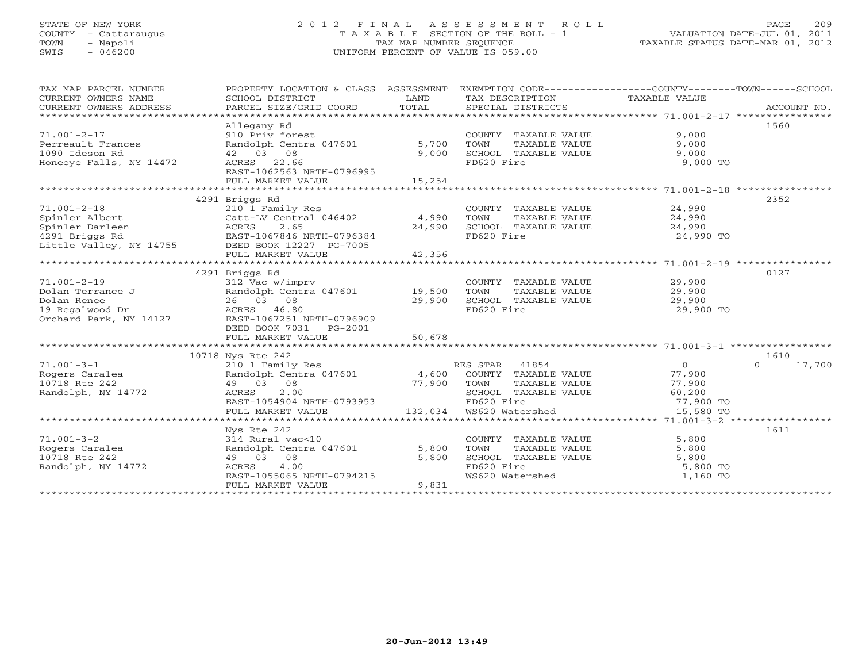## STATE OF NEW YORK 2 0 1 2 F I N A L A S S E S S M E N T R O L L PAGE 209 COUNTY - Cattaraugus T A X A B L E SECTION OF THE ROLL - 1 VALUATION DATE-JUL 01, 2011 TOWN - Napoli TAX MAP NUMBER SEQUENCE TAXABLE STATUS DATE-MAR 01, 2012 SWIS - 046200 UNIFORM PERCENT OF VALUE IS 059.00UNIFORM PERCENT OF VALUE IS 059.00

| TAX MAP PARCEL NUMBER<br>CURRENT OWNERS NAME<br>CURRENT OWNERS ADDRESS                                                                                                                                                                                                  | SCHOOL DISTRICT<br>PARCEL SIZE/GRID COORD                                                                                                                                 | LAND<br>TOTAL             | TAX DESCRIPTION TAXABLE VALUE<br>SPECIAL DISTRICTS                                                       | PROPERTY LOCATION & CLASS ASSESSMENT EXEMPTION CODE---------------COUNTY-------TOWN-----SCHOOL<br>ACCOUNT NO. |
|-------------------------------------------------------------------------------------------------------------------------------------------------------------------------------------------------------------------------------------------------------------------------|---------------------------------------------------------------------------------------------------------------------------------------------------------------------------|---------------------------|----------------------------------------------------------------------------------------------------------|---------------------------------------------------------------------------------------------------------------|
| $71.001 - 2 - 17$<br>Perreault Frances<br>1090 Ideson Rd<br>Honeoye Falls, NY 14472                                                                                                                                                                                     | Allegany Rd<br>910 Priv forest<br>Randolph Centra 047601<br>42 03 08<br>ACRES 22.66<br>EAST-1062563 NRTH-0796995<br>FULL MARKET VALUE                                     | 5,700<br>9,000<br>15,254  | COUNTY TAXABLE VALUE<br>TAXABLE VALUE<br>TOWN<br>SCHOOL TAXABLE VALUE<br>FD620 Fire                      | 1560<br>9,000<br>9,000<br>9,000<br>9,000 TO                                                                   |
| $71.001 - 2 - 18$<br>Spinler Albert<br>Example 11 Darleen<br>1291 Briggs Rd 1291 Briggs Rd 1291 Briggs Rd 1291 Briggs Rd 1291 Briggs Rd 1291 Briggs Rd 1291 Briggs Rd 1291 Briggs Rd 1291 Briggs Rd 1291 Briggs Rd 1291 Briggs Rd 1291 Briggs Rd 1291 Briggs Rd 1291 Br | 4291 Briggs Rd<br>210 1 Family Res<br>Catt-LV Central 046402<br>FULL MARKET VALUE                                                                                         | 4,990<br>24,990<br>42,356 | COUNTY TAXABLE VALUE<br>TOWN<br>TAXABLE VALUE<br>SCHOOL TAXABLE VALUE<br>FD620 Fire                      | 2352<br>24,990<br>24,990<br>24,990<br>24,990 TO                                                               |
| $71.001 - 2 - 19$<br>Dolan Terrance J<br>Dolan Renee<br>19 Regalwood Dr<br>Orchard Park, NY 14127                                                                                                                                                                       | 4291 Briggs Rd<br>312 Vac w/imprv<br>Randolph Centra 047601 19,500<br>26 03 08<br>ACRES 46.80<br>EAST-1067251 NRTH-0796909<br>DEED BOOK 7031 PG-2001<br>FULL MARKET VALUE | 29,900<br>50,678          | COUNTY TAXABLE VALUE 29,900<br>TOWN<br>TAXABLE VALUE<br>SCHOOL TAXABLE VALUE<br>FD620 Fire               | 0127<br>29,900<br>29,900<br>29,900 TO                                                                         |
| $71.001 - 3 - 1$<br>Rogers Caralea<br>10718 Rte 242<br>Randolph, NY 14772                                                                                                                                                                                               | 10718 Nys Rte 242<br>210 1 Family Res<br>Randolph Centra 047601 4,600 COUNTY TAXABLE VALUE<br>49 03 08<br>2.00<br>ACRES<br>EAST-1054904 NRTH-0793953<br>FULL MARKET VALUE | 77,900                    | RES STAR 41854<br>TOWN<br>TAXABLE VALUE<br>SCHOOL TAXABLE VALUE<br>FD620 Fire<br>132,034 WS620 Watershed | 1610<br>$\Omega$<br>$\Omega$<br>17,700<br>77,900<br>77,900<br>60,200<br>77,900 TO<br>15,580 TO                |
| $71.001 - 3 - 2$<br>Rogers Caralea<br>10718 Rte 242<br>Randolph, NY 14772                                                                                                                                                                                               | Nys Rte 242<br>314 Rural vac<10<br>Randolph Centra 047601<br>49 03 08<br>4.00<br>ACRES<br>EAST-1055065 NRTH-0794215<br>FULL MARKET VALUE                                  | 5,800<br>5,800<br>9,831   | COUNTY TAXABLE VALUE<br>TOWN<br>TAXABLE VALUE<br>SCHOOL TAXABLE VALUE<br>FD620 Fire<br>WS620 Watershed   | 1611<br>5,800<br>5,800<br>5,800<br>5,800 TO<br>1,160 TO                                                       |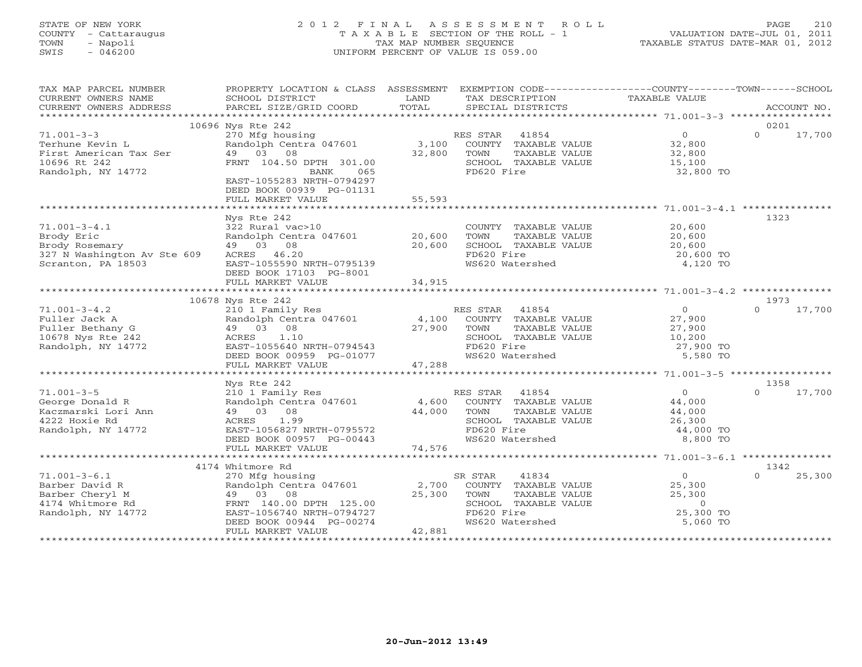# STATE OF NEW YORK 2 0 1 2 F I N A L A S S E S S M E N T R O L L PAGE 210 COUNTY - Cattaraugus T A X A B L E SECTION OF THE ROLL - 1 VALUATION DATE-JUL 01, 2011 TOWN - Napoli TAX MAP NUMBER SEQUENCE TAXABLE STATUS DATE-MAR 01, 2012 SWIS - 046200 UNIFORM PERCENT OF VALUE IS 059.00UNIFORM PERCENT OF VALUE IS 059.00

| TAX MAP PARCEL NUMBER<br>CURRENT OWNERS NAME<br>CURRENT OWNERS ADDRESS                                  | PROPERTY LOCATION & CLASS ASSESSMENT EXEMPTION CODE---------------COUNTY-------TOWN------SCHOOL<br>SCHOOL DISTRICT<br>PARCEL SIZE/GRID COORD                                                                                            | LAND<br>TOTAL    | TAX DESCRIPTION<br>SPECIAL DISTRICTS                                                                                       | TAXABLE VALUE                                                                                      | ACCOUNT NO.                |
|---------------------------------------------------------------------------------------------------------|-----------------------------------------------------------------------------------------------------------------------------------------------------------------------------------------------------------------------------------------|------------------|----------------------------------------------------------------------------------------------------------------------------|----------------------------------------------------------------------------------------------------|----------------------------|
|                                                                                                         | 10696 Nys Rte 242                                                                                                                                                                                                                       |                  |                                                                                                                            |                                                                                                    | 0201                       |
| $71.001 - 3 - 3$<br>Terhune Kevin L<br>First American Tax Ser<br>10696 Rt 242<br>Randolph, NY 14772     | 270 Mfg housing<br>Randolph Centra 047601<br>49 03 08<br>FRNT 104.50 DPTH 301.00<br>BANK<br>065<br>EAST-1055283 NRTH-0794297<br>DEED BOOK 00939 PG-01131<br>FULL MARKET VALUE                                                           | 32,800<br>55,593 | RES STAR 41854<br>3,100 COUNTY TAXABLE VALUE<br>TOWN<br>TAXABLE VALUE<br>SCHOOL TAXABLE VALUE<br>FD620 Fire                | $\overline{0}$<br>32,800<br>32,800<br>15,100<br>32,800 TO                                          | $\Omega$<br>17,700         |
|                                                                                                         |                                                                                                                                                                                                                                         |                  |                                                                                                                            |                                                                                                    |                            |
| $71.001 - 3 - 4.1$<br>Brody Eric<br>Brody Rosemary<br>327 N Washington Av Ste 609<br>Scranton, PA 18503 | Nys Rte 242<br>322 Rural vac>10<br>Randolph Centra 047601 20,600<br>49 03 08<br>ACRES 46.20<br>EAST-1055590 NRTH-0795139<br>DEED BOOK 17103 PG-8001                                                                                     | 20,600           | COUNTY TAXABLE VALUE<br>TOWN<br>TAXABLE VALUE<br>SCHOOL TAXABLE VALUE<br>FD620 Fire<br>WS620 Watershed                     | 20,600<br>20,600<br>20,600<br>20,600 TO<br>4,120 TO                                                | 1323                       |
|                                                                                                         |                                                                                                                                                                                                                                         |                  |                                                                                                                            |                                                                                                    |                            |
| $71.001 - 3 - 4.2$<br>Fuller Jack A<br>Fuller Bethany G<br>10678 Nys Rte 242<br>Randolph, NY 14772      | 10678 Nys Rte 242<br>210 1 Family Res<br>210 1 Family Res<br>Randolph Centra 047601 4,100 COUNTY TAXABLE VALUE<br>$27,900$ TOWN<br>49 03 08<br>ACRES 1.10<br>EAST-1055640 NRTH-0794543<br>DEED BOOK 00959 PG-01077<br>FULL MARKET VALUE | 47,288           | RES STAR 41854<br>TAXABLE VALUE<br>SCHOOL TAXABLE VALUE<br>FD620 Fire<br>FD620 Fire<br>WS620 Watershed                     | $\overline{O}$<br>27,900<br>27,900<br>10,200<br>27,900 TO<br>5,580 TO                              | 1973<br>$\Omega$<br>17,700 |
|                                                                                                         |                                                                                                                                                                                                                                         |                  |                                                                                                                            |                                                                                                    |                            |
| $71.001 - 3 - 5$<br>George Donald R<br>Kaczmarski Lori Ann<br>4222 Hoxie Rd<br>Randolph, NY 14772       | Nys Rte 242<br>210 1 Family Res<br>Randolph Centra 047601 4,600 COUNTY TAXABLE VALUE<br>49 03 08<br>ACRES<br>1.99<br>EAST-1056827 NRTH-0795572<br>DEED BOOK 00957 PG-00443<br>FULL MARKET VALUE                                         | 44,000<br>74,576 | RES STAR 41854<br>TOWN<br>TAXABLE VALUE<br>SCHOOL TAXABLE VALUE<br>FD620 Fire<br>WS620 Watershed                           | $\overline{0}$<br>44,000<br>44,000<br>26,300<br>44,000 TO<br>8,800 TO                              | 1358<br>$\Omega$<br>17,700 |
|                                                                                                         |                                                                                                                                                                                                                                         |                  |                                                                                                                            |                                                                                                    |                            |
| $71.001 - 3 - 6.1$<br>Barber David R<br>Barber Cheryl M<br>4174 Whitmore Rd<br>Randolph, NY 14772       | 4174 Whitmore Rd<br>270 Mfg housing<br>Randolph Centra 047601 2,700<br>49 03 08<br>FRNT 140.00 DPTH 125.00<br>EAST-1056740 NRTH-0794727<br>DEED BOOK 00944 PG-00274<br>FULL MARKET VALUE                                                | 25,300<br>42,881 | SR STAR<br>41834<br>COUNTY TAXABLE VALUE<br>TAXABLE VALUE<br>TOWN<br>SCHOOL TAXABLE VALUE<br>FD620 Fire<br>WS620 Watershed | $\begin{array}{c} 0 \\ 0 \\ 0 \end{array}$<br>25,300<br>25,300<br>$\circ$<br>25,300 TO<br>5,060 TO | 1342<br>25,300<br>$\Omega$ |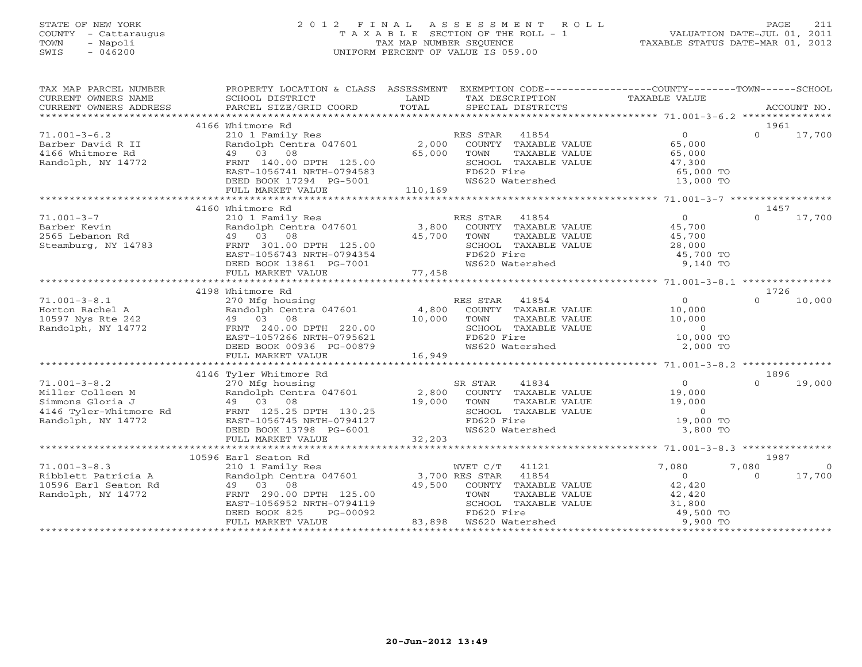# STATE OF NEW YORK 2 0 1 2 F I N A L A S S E S S M E N T R O L L PAGE 211COUNTY - Cattaraugus T A X A B L E SECTION OF THE ROLL - 1 VALUATION DATE-JUL 01, 2011 SWIS - 046200 UNIFORM PERCENT OF VALUE IS 059.00

| TAX MAP PARCEL NUMBER<br>CURRENT OWNERS NAME                                         | PROPERTY LOCATION & CLASS ASSESSMENT EXEMPTION CODE---------------COUNTY-------TOWN------SCHOOL<br>SCHOOL DISTRICT<br><b>Example 12 Distribution of the LAND</b>                                                                                   |                       | TAX DESCRIPTION                                                                                  | TAXABLE VALUE                                             |                     |
|--------------------------------------------------------------------------------------|----------------------------------------------------------------------------------------------------------------------------------------------------------------------------------------------------------------------------------------------------|-----------------------|--------------------------------------------------------------------------------------------------|-----------------------------------------------------------|---------------------|
|                                                                                      |                                                                                                                                                                                                                                                    |                       |                                                                                                  |                                                           |                     |
|                                                                                      | 4166 Whitmore Rd                                                                                                                                                                                                                                   |                       |                                                                                                  |                                                           | 1961<br>$\Omega$    |
| $71.001 - 3 - 6.2$<br>Barber David R II<br>4166 Whitmore Rd                          | 210 1 Family Res<br>Randolph Centra 047601 2,000 COUNTY TAXABLE<br>49 03 08                                                                                                                                                                        |                       | 000001110 - 21.03<br>COUNTY TAXABLE VALUE (65,000<br>TOWN TAXABLE VALUE (65,000<br>TAXABLE VALUE | $\overline{0}$<br>65,000                                  | 17,700              |
| Randolph, NY 14772                                                                   | FRNT 140.00 DPTH 125.00<br>EAST-1056741 NRTH-0794583                                                                                                                                                                                               | 65,000 TOWN<br>SCHOOI | SCHOOL TAXABLE VALUE<br>FD620 Fire                                                               | 47,300<br>65,000 TO                                       |                     |
|                                                                                      | DEED BOOK 17294 PG-5001<br>FULL MARKET VALUE                                                                                                                                                                                                       | 110,169               | WS620 Watershed                                                                                  | 13,000 TO                                                 |                     |
|                                                                                      |                                                                                                                                                                                                                                                    |                       |                                                                                                  |                                                           |                     |
|                                                                                      | 4160 Whitmore Rd                                                                                                                                                                                                                                   |                       |                                                                                                  |                                                           | 1457                |
| $71.001 - 3 - 7$                                                                     | 210 1 Family Res                                                                                                                                                                                                                                   |                       | RES STAR 41854 0<br>3,800 COUNTY TAXABLE VALUE 45,700<br>45,700 TOWN TAXABLE VALUE 45,700        |                                                           | 17,700<br>$\Omega$  |
| Barber Kevin                                                                         | Randolph Centra 047601                                                                                                                                                                                                                             |                       |                                                                                                  |                                                           |                     |
| 2565 Lebanon Rd                                                                      | 49 03 08                                                                                                                                                                                                                                           |                       |                                                                                                  |                                                           |                     |
| Steamburg, NY 14783                                                                  | FRNT 301.00 DPTH 125.00                                                                                                                                                                                                                            |                       | SCHOOL TAXABLE VALUE                                                                             | 28,000<br>45,700 TO                                       |                     |
|                                                                                      | EAST-1056743 NRTH-0794354                                                                                                                                                                                                                          |                       | FD620 Fire                                                                                       |                                                           |                     |
|                                                                                      | DEED BOOK 13861 PG-7001<br>FULL MARKET VALUE                                                                                                                                                                                                       |                       | WS620 Watershed                                                                                  | 9,140 TO                                                  |                     |
|                                                                                      |                                                                                                                                                                                                                                                    |                       |                                                                                                  |                                                           |                     |
|                                                                                      | 4198 Whitmore Rd                                                                                                                                                                                                                                   |                       |                                                                                                  |                                                           | 1726                |
| $71.001 - 3 - 8.1$                                                                   |                                                                                                                                                                                                                                                    |                       |                                                                                                  |                                                           | 10,000<br>$\cap$    |
| Horton Rachel A                                                                      |                                                                                                                                                                                                                                                    |                       |                                                                                                  | $\begin{array}{c} 0 \\ 10,000 \end{array}$                |                     |
| 10597 Nys Rte 242                                                                    | 270 Mfg housing<br>Randolph Centra 047601 (4,800 COUNTY TAXABLE VALUE<br>49 03 08 (10,000 TOWN TAXABLE VALUE                                                                                                                                       |                       |                                                                                                  | TAXABLE VALUE 10,000                                      |                     |
| Randolph, NY 14772                                                                   | Adiadolphic District and the Captain of the Captain of the Captain of the Captain of the Captain of the Captain<br>FRNT 240.00 DPTH 220.00 FRNT 240.00 SCHOC<br>EAST-1057266 NRTH-0795621 FD620                                                    |                       | SCHOOL TAXABLE VALUE                                                                             | $\overline{0}$                                            |                     |
|                                                                                      |                                                                                                                                                                                                                                                    |                       | FD620 Fire                                                                                       | 10,000 TO                                                 |                     |
|                                                                                      | DEED BOOK 00936 PG-00879                                                                                                                                                                                                                           |                       | WS620 Watershed                                                                                  | 2,000 TO                                                  |                     |
|                                                                                      | FULL MARKET VALUE                                                                                                                                                                                                                                  | 16,949                |                                                                                                  |                                                           |                     |
|                                                                                      |                                                                                                                                                                                                                                                    |                       |                                                                                                  |                                                           |                     |
|                                                                                      | 4146 Tyler Whitmore Rd                                                                                                                                                                                                                             |                       |                                                                                                  |                                                           | 1896                |
| $71.001 - 3 - 8.2$                                                                   | 270 Mfg housing SR STAR 41834<br>Randolph Centra 047601 2,800 COUNTY TAXABLE VALUE                                                                                                                                                                 |                       |                                                                                                  |                                                           | 19,000<br>$\Omega$  |
|                                                                                      |                                                                                                                                                                                                                                                    |                       |                                                                                                  | $\begin{smallmatrix}&&0\19\, ,\,0\,0\,0\end{smallmatrix}$ |                     |
|                                                                                      |                                                                                                                                                                                                                                                    |                       | TAXABLE VALUE                                                                                    | 19,000                                                    |                     |
|                                                                                      |                                                                                                                                                                                                                                                    |                       | SCHOOL TAXABLE VALUE                                                                             | $\overline{0}$                                            |                     |
| Miller Colleen M<br>Simmons Gloria J<br>4146 Tyler-Whitmore Rd<br>Randolph, NY 14772 |                                                                                                                                                                                                                                                    |                       | FD620 Fire                                                                                       | 19,000 TO                                                 |                     |
|                                                                                      | 49 03 08 19,000 COWN<br>FRNT 125.25 DPTH 130.25 19,000 TOWN<br>EAST-1056745 NRTH-0794127 FD620<br>DEED BOOK 13798 PG-6001 WS620<br>DEED BOOK 13798 PG-6001                                                                                         |                       | WS620 Watershed                                                                                  | 3,800 TO                                                  |                     |
|                                                                                      | FULL MARKET VALUE                                                                                                                                                                                                                                  | 32,203                |                                                                                                  |                                                           |                     |
|                                                                                      |                                                                                                                                                                                                                                                    |                       |                                                                                                  |                                                           |                     |
|                                                                                      | 10596 Earl Seaton Rd                                                                                                                                                                                                                               |                       |                                                                                                  |                                                           | 1987                |
| $71.001 - 3 - 8.3$                                                                   | 210 1 Family Res<br>Randolph Centra 047601 3,700 RES STAR 41854                                                                                                                                                                                    |                       | WVET C/T 41121                                                                                   | 7,080                                                     | 7,080<br>$\bigcirc$ |
| Ribblett Patricia A                                                                  |                                                                                                                                                                                                                                                    |                       |                                                                                                  | $\overline{0}$                                            | 17,700<br>$\Omega$  |
| 10596 Earl Seaton Rd                                                                 |                                                                                                                                                                                                                                                    |                       |                                                                                                  | 42,420<br>42,420                                          |                     |
| Randolph, NY 14772                                                                   |                                                                                                                                                                                                                                                    |                       |                                                                                                  |                                                           |                     |
|                                                                                      |                                                                                                                                                                                                                                                    |                       |                                                                                                  | 31,800<br>49,500 TO                                       |                     |
|                                                                                      | 49 03 08<br>ERNT 290.00 DPTH 125.00<br>EAST-1056952 NRTH-0794119<br>DEED BOOK 825 PG-00092<br>FULL MARKET VALUE<br>FULL MARKET VALUE<br>PEED BOOK 825 PG-00092<br>FULL MARKET VALUE<br>PEED BOOK 825 PG-00092<br>PEED BOOK 825 PG-00092<br>PEED WS |                       |                                                                                                  |                                                           |                     |
|                                                                                      |                                                                                                                                                                                                                                                    |                       |                                                                                                  | 9,900 TO                                                  |                     |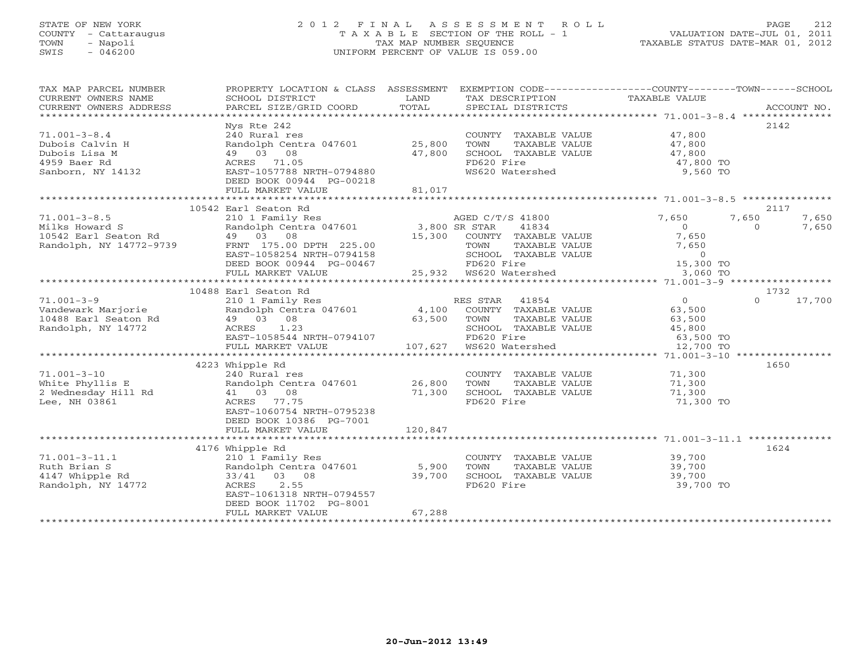## STATE OF NEW YORK 2 0 1 2 F I N A L A S S E S S M E N T R O L L PAGE 212 COUNTY - Cattaraugus T A X A B L E SECTION OF THE ROLL - 1 VALUATION DATE-JUL 01, 2011 TOWN - Napoli TAX MAP NUMBER SEQUENCE TAXABLE STATUS DATE-MAR 01, 2012 SWIS - 046200 UNIFORM PERCENT OF VALUE IS 059.00UNIFORM PERCENT OF VALUE IS 059.00

| TAX MAP PARCEL NUMBER<br>CURRENT OWNERS NAME                                                | PROPERTY LOCATION & CLASS ASSESSMENT<br>SCHOOL DISTRICT                                                                                                                                | LAND             | EXEMPTION CODE----------------COUNTY-------TOWN------SCHOOL<br>TAX DESCRIPTION TAXABLE VALUE                                                       |                                                                                      |                                     |
|---------------------------------------------------------------------------------------------|----------------------------------------------------------------------------------------------------------------------------------------------------------------------------------------|------------------|----------------------------------------------------------------------------------------------------------------------------------------------------|--------------------------------------------------------------------------------------|-------------------------------------|
| CURRENT OWNERS ADDRESS                                                                      | PARCEL SIZE/GRID COORD                                                                                                                                                                 | TOTAL            | SPECIAL DISTRICTS                                                                                                                                  |                                                                                      | ACCOUNT NO.                         |
|                                                                                             | Nys Rte 242                                                                                                                                                                            |                  |                                                                                                                                                    |                                                                                      | 2142                                |
| $71.001 - 3 - 8.4$<br>Dubois Calvin H<br>Dubois Lisa M<br>4959 Baer Rd<br>Sanborn, NY 14132 | 240 Rural res<br>Randolph Centra 047601 25,800<br>49 03 08<br>ACRES 71.05<br>EAST-1057788 NRTH-0794880                                                                                 | 47,800           | COUNTY TAXABLE VALUE<br>TOWN<br>TAXABLE VALUE<br>SCHOOL TAXABLE VALUE<br>FD620 Fire<br>WS620 Watershed                                             | 47,800<br>47,800<br>47,800<br>47,800 TO<br>9,560 TO                                  |                                     |
|                                                                                             | DEED BOOK 00944 PG-00218<br>FULL MARKET VALUE                                                                                                                                          | 81,017           |                                                                                                                                                    |                                                                                      |                                     |
|                                                                                             |                                                                                                                                                                                        |                  |                                                                                                                                                    |                                                                                      |                                     |
|                                                                                             | 10542 Earl Seaton Rd                                                                                                                                                                   |                  |                                                                                                                                                    |                                                                                      | 2117                                |
| $71.001 - 3 - 8.5$<br>Milks Howard S<br>10542 Earl Seaton Rd<br>Randolph, NY 14772-9739     | 210 1 Family Res AGED C/T<br>Randolph Centra 047601 3,800 SR STAR<br>49 03 08<br>FRNT 175.00 DPTH 225.00<br>EAST-1058254 NRTH-0794158<br>DEED BOOK 00944 PG-00467<br>FULL MARKET VALUE | 15,300           | AGED C/T/S 41800<br>41834<br>COUNTY TAXABLE VALUE<br>TOWN      TAXABLE VALUE<br>SCHOOL   TAXABLE VALUE<br>FD620 Fire<br>$25,932$ $W5620$ Watershed | 7,650<br>$\overline{0}$<br>7,650<br>7,650<br>$\overline{0}$<br>15,300 TO<br>3,060 TO | 7,650<br>7,650<br>7,650<br>$\Omega$ |
|                                                                                             |                                                                                                                                                                                        |                  |                                                                                                                                                    |                                                                                      |                                     |
|                                                                                             | 10488 Earl Seaton Rd                                                                                                                                                                   |                  |                                                                                                                                                    |                                                                                      | 1732                                |
| $71.001 - 3 - 9$<br>Vandewark Marjorie<br>10488 Earl Seaton Rd<br>Randolph, NY 14772        | 210 1 Family Res<br>Randolph Centra 047601 4,100<br>49 03 08<br>ACRES 1.23<br>EAST-1058544 NRTH-0794107                                                                                | 63,500           | RES STAR<br>41854<br>COUNTY TAXABLE VALUE<br>TOWN<br>TAXABLE VALUE<br>SCHOOL TAXABLE VALUE<br>FD620 Fire                                           | $\overline{O}$<br>63,500<br>63,500<br>45,800<br>63,500 TO                            | 17,700<br>$\Omega$                  |
|                                                                                             | FULL MARKET VALUE                                                                                                                                                                      |                  |                                                                                                                                                    | 12,700 TO                                                                            |                                     |
|                                                                                             | 4223 Whipple Rd                                                                                                                                                                        |                  |                                                                                                                                                    |                                                                                      | 1650                                |
| $71.001 - 3 - 10$<br>White Phyllis E<br>2 Wednesday Hill Rd<br>Lee, NH 03861                | 240 Rural res<br>Randolph Centra 047601<br>41 03 08<br>ACRES 77.75<br>EAST-1060754 NRTH-0795238<br>DEED BOOK 10386 PG-7001                                                             | 26,800<br>71,300 | COUNTY TAXABLE VALUE<br>TOWN<br>TAXABLE VALUE<br>SCHOOL TAXABLE VALUE<br>FD620 Fire                                                                | 71,300<br>71,300<br>71,300<br>71,300 TO                                              |                                     |
|                                                                                             | FULL MARKET VALUE                                                                                                                                                                      | 120,847          |                                                                                                                                                    |                                                                                      |                                     |
|                                                                                             | 4176 Whipple Rd                                                                                                                                                                        |                  |                                                                                                                                                    |                                                                                      | 1624                                |
| $71.001 - 3 - 11.1$<br>Ruth Brian S<br>4147 Whipple Rd<br>Randolph, NY 14772                | 210 1 Family Res<br>Randolph Centra 047601 5,900<br>33/41 03 08<br>2.55<br>ACRES<br>EAST-1061318 NRTH-0794557<br>DEED BOOK 11702 PG-8001<br>FULL MARKET VALUE                          | 39,700<br>67,288 | COUNTY TAXABLE VALUE<br>TOWN<br>TAXABLE VALUE<br>SCHOOL TAXABLE VALUE<br>FD620 Fire                                                                | 39,700<br>39,700<br>39,700<br>39,700 TO                                              |                                     |
|                                                                                             |                                                                                                                                                                                        |                  |                                                                                                                                                    |                                                                                      |                                     |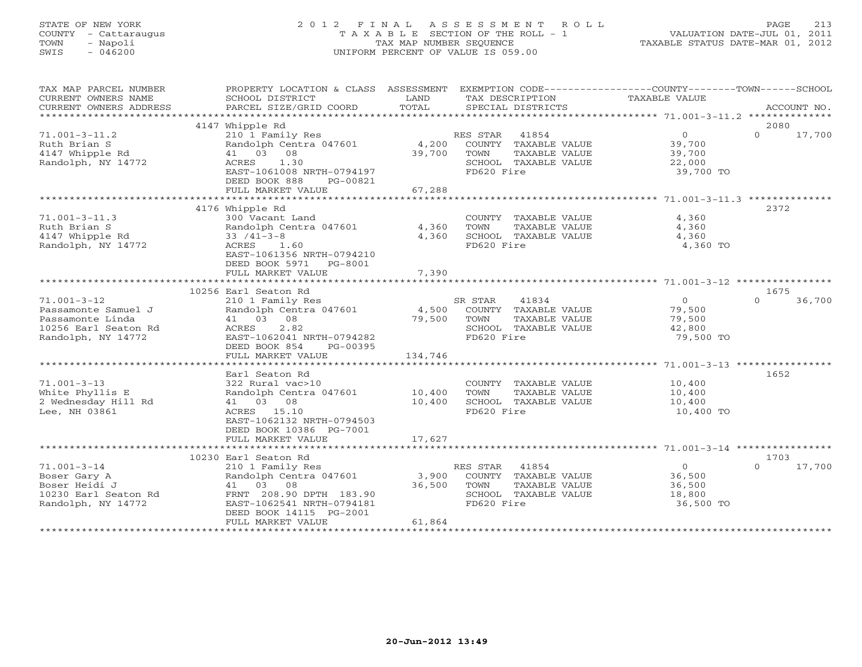# STATE OF NEW YORK 2 0 1 2 F I N A L A S S E S S M E N T R O L L PAGE 213 COUNTY - Cattaraugus T A X A B L E SECTION OF THE ROLL - 1 VALUATION DATE-JUL 01, 2011 TOWN - Napoli TAX MAP NUMBER SEQUENCE TAXABLE STATUS DATE-MAR 01, 2012 SWIS - 046200 UNIFORM PERCENT OF VALUE IS 059.00UNIFORM PERCENT OF VALUE IS 059.00

| TAX MAP PARCEL NUMBER<br>CURRENT OWNERS NAME                                                               | PROPERTY LOCATION & CLASS ASSESSMENT<br>SCHOOL DISTRICT                                                                                                                        | LAND                      | EXEMPTION CODE-----------------COUNTY-------TOWN------SCHOOL<br>TAX DESCRIPTION                         | TAXABLE VALUE                                             |                            |
|------------------------------------------------------------------------------------------------------------|--------------------------------------------------------------------------------------------------------------------------------------------------------------------------------|---------------------------|---------------------------------------------------------------------------------------------------------|-----------------------------------------------------------|----------------------------|
|                                                                                                            |                                                                                                                                                                                |                           |                                                                                                         |                                                           |                            |
| $71.001 - 3 - 11.2$<br>Ruth Brian S<br>4147 Whipple Rd<br>Randolph, NY 14772                               | 4147 Whipple Rd<br>210 1 Family Res<br>Randolph Centra 047601<br>41 03 08<br>1.30<br>ACRES<br>EAST-1061008 NRTH-0794197<br>DEED BOOK 888<br>PG-00821<br>FULL MARKET VALUE      | 4,200<br>39,700<br>67,288 | RES STAR 41854<br>COUNTY TAXABLE VALUE<br>TOWN<br>TAXABLE VALUE<br>SCHOOL TAXABLE VALUE<br>FD620 Fire   | $\overline{0}$<br>39,700<br>39,700<br>22,000<br>39,700 TO | 2080<br>$\Omega$<br>17,700 |
|                                                                                                            |                                                                                                                                                                                |                           |                                                                                                         |                                                           |                            |
| $71.001 - 3 - 11.3$<br>Ruth Brian S<br>4147 Whipple Rd<br>Randolph, NY 14772                               | 4176 Whipple Rd<br>300 Vacant Land<br>Randolph Centra 047601<br>$33 / 41 - 3 - 8$<br>ACRES<br>1.60<br>EAST-1061356 NRTH-0794210<br>DEED BOOK 5971 PG-8001<br>FULL MARKET VALUE | 4,360<br>4,360<br>7,390   | COUNTY TAXABLE VALUE<br>TOWN<br>TAXABLE VALUE<br>SCHOOL TAXABLE VALUE<br>FD620 Fire                     | 4,360<br>4,360<br>4,360<br>4,360 TO                       | 2372                       |
|                                                                                                            |                                                                                                                                                                                |                           |                                                                                                         |                                                           |                            |
|                                                                                                            | 10256 Earl Seaton Rd                                                                                                                                                           |                           |                                                                                                         |                                                           | 1675                       |
| $71.001 - 3 - 12$<br>Passamonte Samuel J<br>Passamonte Linda<br>10256 Earl Seaton Rd<br>Randolph, NY 14772 | 210 1 Family Res<br>Randolph Centra 047601<br>41 03 08<br>ACRES<br>2.82<br>EAST-1062041 NRTH-0794282<br>DEED BOOK 854<br>PG-00395                                              | 4,500<br>79,500           | SR STAR<br>41834<br>COUNTY TAXABLE VALUE<br>TAXABLE VALUE<br>TOWN<br>SCHOOL TAXABLE VALUE<br>FD620 Fire | $\overline{0}$<br>79,500<br>79,500<br>42,800<br>79,500 TO | 36,700<br>$\Omega$         |
|                                                                                                            | FULL MARKET VALUE                                                                                                                                                              | 134,746                   |                                                                                                         |                                                           |                            |
| $71.001 - 3 - 13$<br>White Phyllis E<br>2 Wednesday Hill Rd<br>Lee, NH 03861                               | Earl Seaton Rd<br>322 Rural vac>10<br>Randolph Centra 047601<br>41 03 08<br>ACRES 15.10<br>EAST-1062132 NRTH-0794503<br>DEED BOOK 10386 PG-7001                                | 10,400<br>10,400          | COUNTY TAXABLE VALUE<br>TOWN<br>TAXABLE VALUE<br>SCHOOL TAXABLE VALUE<br>FD620 Fire                     | 10,400<br>10,400<br>10,400<br>10,400 TO                   | 1652                       |
|                                                                                                            | FULL MARKET VALUE                                                                                                                                                              | 17,627                    |                                                                                                         |                                                           |                            |
|                                                                                                            | 10230 Earl Seaton Rd                                                                                                                                                           |                           |                                                                                                         |                                                           | 1703                       |
| $71.001 - 3 - 14$<br>Boser Gary A<br>Boser Heidi J<br>10230 Earl Seaton Rd<br>Randolph, NY 14772           | 210 1 Family Res<br>Randolph Centra 047601<br>41 03 08<br>FRNT 208.90 DPTH 183.90<br>EAST-1062541 NRTH-0794181<br>DEED BOOK 14115 PG-2001<br>FULL MARKET VALUE                 | 3,900<br>36,500<br>61,864 | RES STAR 41854<br>COUNTY TAXABLE VALUE<br>TOWN<br>TAXABLE VALUE<br>SCHOOL TAXABLE VALUE<br>FD620 Fire   | $\overline{0}$<br>36,500<br>36,500<br>18,800<br>36,500 TO | $\Omega$<br>17,700         |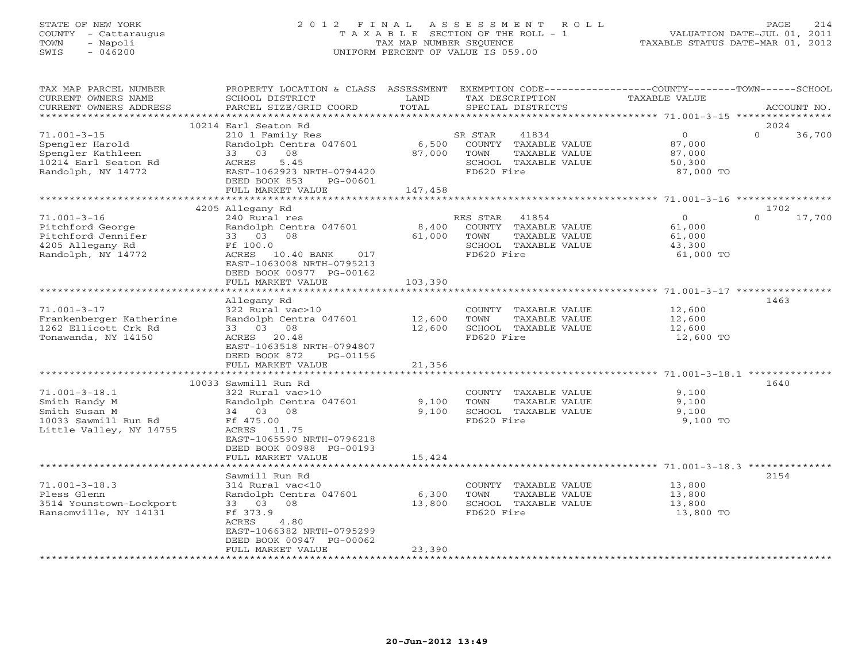# STATE OF NEW YORK 2 0 1 2 F I N A L A S S E S S M E N T R O L L PAGE 214 COUNTY - Cattaraugus T A X A B L E SECTION OF THE ROLL - 1 VALUATION DATE-JUL 01, 2011 TOWN - Napoli TAX MAP NUMBER SEQUENCE TAXABLE STATUS DATE-MAR 01, 2012 SWIS - 046200 UNIFORM PERCENT OF VALUE IS 059.00UNIFORM PERCENT OF VALUE IS 059.00

| TAX MAP PARCEL NUMBER<br>CURRENT OWNERS NAME<br>CURRENT OWNERS ADDRESS                                   | PROPERTY LOCATION & CLASS ASSESSMENT<br>SCHOOL DISTRICT<br>PARCEL SIZE/GRID COORD                                                                                                         | LAND<br>TOTAL              | EXEMPTION CODE-----------------COUNTY-------TOWN-----SCHOOL<br>TAX DESCRIPTION<br>SPECIAL DISTRICTS      | TAXABLE VALUE                                             | ACCOUNT NO.                |
|----------------------------------------------------------------------------------------------------------|-------------------------------------------------------------------------------------------------------------------------------------------------------------------------------------------|----------------------------|----------------------------------------------------------------------------------------------------------|-----------------------------------------------------------|----------------------------|
| **********************                                                                                   |                                                                                                                                                                                           |                            |                                                                                                          |                                                           |                            |
| $71.001 - 3 - 15$<br>Spengler Harold<br>Spengler Kathleen<br>10214 Earl Seaton Rd<br>Randolph, NY 14772  | 10214 Earl Seaton Rd<br>210 1 Family Res<br>Randolph Centra 047601<br>33 03 08<br>5.45<br>ACRES<br>EAST-1062923 NRTH-0794420<br>DEED BOOK 853<br>PG-00601<br>FULL MARKET VALUE            | 6,500<br>87,000<br>147,458 | SR STAR<br>41834<br>COUNTY TAXABLE VALUE<br>TOWN<br>TAXABLE VALUE<br>SCHOOL TAXABLE VALUE<br>FD620 Fire  | $\circ$<br>87,000<br>87,000<br>50,300<br>87,000 TO        | 2024<br>$\Omega$<br>36,700 |
|                                                                                                          |                                                                                                                                                                                           |                            |                                                                                                          |                                                           |                            |
| $71.001 - 3 - 16$<br>Pitchford George<br>Pitchford Jennifer<br>4205 Allegany Rd<br>Randolph, NY 14772    | 4205 Allegany Rd<br>240 Rural res<br>Randolph Centra 047601<br>33 03 08<br>Ff 100.0<br>ACRES 10.40 BANK 017<br>EAST-1063008 NRTH-0795213<br>DEED BOOK 00977 PG-00162<br>FULL MARKET VALUE | 8,400<br>61,000<br>103,390 | RES STAR<br>41854<br>COUNTY TAXABLE VALUE<br>TAXABLE VALUE<br>TOWN<br>SCHOOL TAXABLE VALUE<br>FD620 Fire | $\overline{0}$<br>61,000<br>61,000<br>43,300<br>61,000 TO | 1702<br>$\Omega$<br>17,700 |
|                                                                                                          |                                                                                                                                                                                           |                            |                                                                                                          |                                                           |                            |
| $71.001 - 3 - 17$<br>Frankenberger Katherine<br>1262 Ellicott Crk Rd<br>Tonawanda, NY 14150              | Allegany Rd<br>322 Rural vac>10<br>Randolph Centra 047601<br>33 03 08<br>ACRES 20.48<br>EAST-1063518 NRTH-0794807<br>DEED BOOK 872<br>PG-01156<br>FULL MARKET VALUE                       | 12,600<br>12,600<br>21,356 | COUNTY TAXABLE VALUE<br>TOWN<br>TAXABLE VALUE<br>SCHOOL TAXABLE VALUE<br>FD620 Fire                      | 12,600<br>12,600<br>12,600<br>12,600 TO                   | 1463                       |
|                                                                                                          | 10033 Sawmill Run Rd                                                                                                                                                                      |                            |                                                                                                          |                                                           | 1640                       |
| $71.001 - 3 - 18.1$<br>Smith Randy M<br>Smith Susan M<br>10033 Sawmill Run Rd<br>Little Valley, NY 14755 | 322 Rural vac>10<br>Randolph Centra 047601<br>34 03 08<br>Ff 475.00<br>ACRES 11.75<br>EAST-1065590 NRTH-0796218                                                                           | 9,100<br>9,100             | COUNTY TAXABLE VALUE<br>TOWN<br>TAXABLE VALUE<br>SCHOOL TAXABLE VALUE<br>FD620 Fire                      | 9,100<br>9,100<br>9,100<br>9,100 TO                       |                            |
|                                                                                                          | DEED BOOK 00988 PG-00193<br>FULL MARKET VALUE                                                                                                                                             | 15,424                     |                                                                                                          |                                                           |                            |
|                                                                                                          | Sawmill Run Rd                                                                                                                                                                            |                            |                                                                                                          |                                                           | 2154                       |
| $71.001 - 3 - 18.3$<br>Pless Glenn<br>3514 Younstown-Lockport<br>Ransomville, NY 14131                   | 314 Rural vac<10<br>Randolph Centra 047601<br>33 03 08<br>Ff 373.9<br>ACRES<br>4.80<br>EAST-1066382 NRTH-0795299<br>DEED BOOK 00947 PG-00062                                              | 6,300<br>13,800            | COUNTY TAXABLE VALUE<br>TOWN<br>TAXABLE VALUE<br>SCHOOL TAXABLE VALUE<br>FD620 Fire                      | 13,800<br>13,800<br>13,800<br>13,800 TO                   |                            |
|                                                                                                          | FULL MARKET VALUE<br>**********************                                                                                                                                               | 23,390<br>**************** | *****************************                                                                            |                                                           |                            |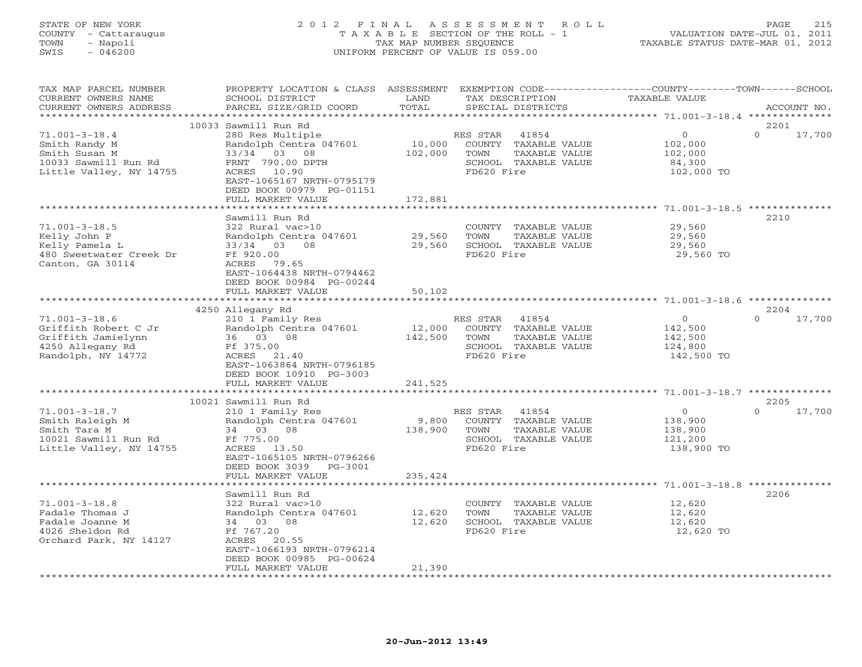### STATE OF NEW YORK 2 0 1 2 F I N A L A S S E S S M E N T R O L L PAGE 215 COUNTY - Cattaraugus T A X A B L E SECTION OF THE ROLL - 1 VALUATION DATE-JUL 01, 2011 TOWN - Napoli TAX MAP NUMBER SEQUENCE TAXABLE STATUS DATE-MAR 01, 2012 SWIS - 046200 UNIFORM PERCENT OF VALUE IS 059.00UNIFORM PERCENT OF VALUE IS 059.00

| TAX MAP PARCEL NUMBER<br>CURRENT OWNERS NAME<br>CURRENT OWNERS ADDRESS                                      | PROPERTY LOCATION & CLASS ASSESSMENT<br>SCHOOL DISTRICT<br>PARCEL SIZE/GRID COORD                                                                                   | LAND<br>TOTAL               | TAX DESCRIPTION<br>SPECIAL DISTRICTS                                                                        | EXEMPTION CODE-----------------COUNTY-------TOWN------SCHOOL<br>TAXABLE VALUE | ACCOUNT NO.        |
|-------------------------------------------------------------------------------------------------------------|---------------------------------------------------------------------------------------------------------------------------------------------------------------------|-----------------------------|-------------------------------------------------------------------------------------------------------------|-------------------------------------------------------------------------------|--------------------|
| *********************                                                                                       |                                                                                                                                                                     |                             |                                                                                                             |                                                                               |                    |
|                                                                                                             | 10033 Sawmill Run Rd                                                                                                                                                |                             |                                                                                                             |                                                                               | 2201               |
| $71.001 - 3 - 18.4$<br>Smith Randy M<br>Smith Susan M<br>10033 Sawmill Run Rd<br>Little Valley, NY 14755    | 280 Res Multiple<br>Randolph Centra 047601<br>33/34 03 08<br>FRNT 790.00 DPTH<br>10.90<br>ACRES<br>EAST-1065167 NRTH-0795179<br>DEED BOOK 00979 PG-01151            | 10,000<br>102,000           | RES STAR<br>41854<br>COUNTY<br>TAXABLE VALUE<br>TOWN<br>TAXABLE VALUE<br>SCHOOL TAXABLE VALUE<br>FD620 Fire | $\circ$<br>102,000<br>102,000<br>84,300<br>102,000 TO                         | $\Omega$<br>17,700 |
|                                                                                                             | FULL MARKET VALUE                                                                                                                                                   | 172,881                     |                                                                                                             |                                                                               |                    |
|                                                                                                             | *******************                                                                                                                                                 | * * * * * * * * * * * * * * |                                                                                                             |                                                                               |                    |
| $71.001 - 3 - 18.5$<br>Kelly John P<br>Kelly Pamela L<br>480 Sweetwater Creek Dr<br>Canton, GA 30114        | Sawmill Run Rd<br>322 Rural vac>10<br>Randolph Centra 047601<br>33/34 03 08<br>Ff 920.00<br>ACRES<br>79.65<br>EAST-1064438 NRTH-0794462<br>DEED BOOK 00984 PG-00244 | 29,560<br>29,560            | COUNTY TAXABLE VALUE<br>TOWN<br>TAXABLE VALUE<br>SCHOOL TAXABLE VALUE<br>FD620 Fire                         | 29,560<br>29,560<br>29,560<br>29,560 TO                                       | 2210               |
|                                                                                                             | FULL MARKET VALUE                                                                                                                                                   | 50,102                      |                                                                                                             |                                                                               |                    |
|                                                                                                             |                                                                                                                                                                     |                             |                                                                                                             |                                                                               |                    |
|                                                                                                             | 4250 Allegany Rd                                                                                                                                                    |                             |                                                                                                             |                                                                               | 2204               |
| $71.001 - 3 - 18.6$<br>Griffith Robert C Jr<br>Griffith Jamielynn<br>4250 Allegany Rd<br>Randolph, NY 14772 | 210 1 Family Res<br>Randolph Centra 047601<br>36 03 08<br>Ff 375.00<br>ACRES<br>21.40<br>EAST-1063864 NRTH-0796185<br>DEED BOOK 10910 PG-3003                       | 12,000<br>142,500           | RES STAR 41854<br>COUNTY TAXABLE VALUE<br>TOWN<br>TAXABLE VALUE<br>SCHOOL TAXABLE VALUE<br>FD620 Fire       | $\circ$<br>142,500<br>142,500<br>124,800<br>142,500 TO                        | 17,700<br>$\Omega$ |
|                                                                                                             | FULL MARKET VALUE                                                                                                                                                   | 241,525                     |                                                                                                             |                                                                               |                    |
|                                                                                                             |                                                                                                                                                                     |                             |                                                                                                             |                                                                               |                    |
|                                                                                                             | 10021 Sawmill Run Rd                                                                                                                                                |                             |                                                                                                             |                                                                               | 2205               |
| $71.001 - 3 - 18.7$<br>Smith Raleigh M<br>Smith Tara M<br>10021 Sawmill Run Rd<br>Little Valley, NY 14755   | 210 1 Family Res<br>Randolph Centra 047601<br>34 03 08<br>Ff 775.00<br>ACRES 13.50<br>EAST-1065105 NRTH-0796266<br>DEED BOOK 3039 PG-3001                           | 9,800<br>138,900            | 41854<br>RES STAR<br>COUNTY TAXABLE VALUE<br>TOWN<br>TAXABLE VALUE<br>SCHOOL TAXABLE VALUE<br>FD620 Fire    | $\overline{0}$<br>138,900<br>138,900<br>121,200<br>138,900 TO                 | $\Omega$<br>17,700 |
|                                                                                                             | FULL MARKET VALUE                                                                                                                                                   | 235,424                     |                                                                                                             |                                                                               |                    |
|                                                                                                             | Sawmill Run Rd                                                                                                                                                      |                             |                                                                                                             |                                                                               | 2206               |
| $71.001 - 3 - 18.8$<br>Fadale Thomas J<br>Fadale Joanne M<br>4026 Sheldon Rd<br>Orchard Park, NY 14127      | 322 Rural vac>10<br>Randolph Centra 047601<br>34 03 08<br>Ff 767.20<br>ACRES 20.55<br>EAST-1066193 NRTH-0796214<br>DEED BOOK 00985 PG-00624<br>FULL MARKET VALUE    | 12,620<br>12,620<br>21,390  | COUNTY TAXABLE VALUE<br>TOWN<br>TAXABLE VALUE<br>SCHOOL TAXABLE VALUE<br>FD620 Fire                         | 12,620<br>12,620<br>12,620<br>12,620 TO                                       |                    |
|                                                                                                             |                                                                                                                                                                     |                             |                                                                                                             |                                                                               |                    |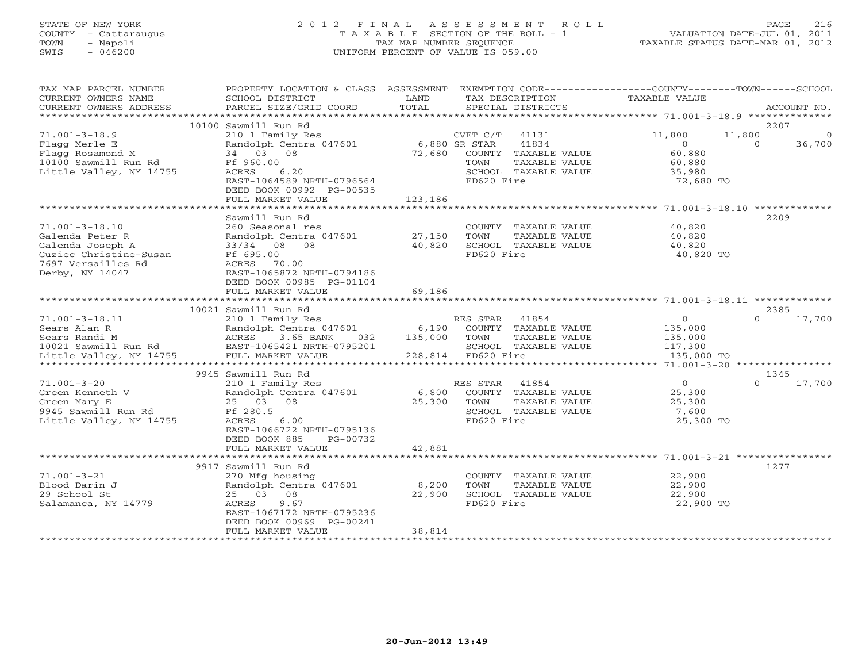# STATE OF NEW YORK 2 0 1 2 F I N A L A S S E S S M E N T R O L L PAGE 216 COUNTY - Cattaraugus T A X A B L E SECTION OF THE ROLL - 1 VALUATION DATE-JUL 01, 2011 TOWN - Napoli TAX MAP NUMBER SEQUENCE TAXABLE STATUS DATE-MAR 01, 2012 SWIS - 046200 UNIFORM PERCENT OF VALUE IS 059.00UNIFORM PERCENT OF VALUE IS 059.00

| TAX MAP PARCEL NUMBER<br>CURRENT OWNERS NAME<br>CURRENT OWNERS ADDRESS                                | PROPERTY LOCATION & CLASS ASSESSMENT EXEMPTION CODE----------------COUNTY-------TOWN------SCHOOL<br>SCHOOL DISTRICT<br>PARCEL SIZE/GRID COORD | LAND<br>TOTAL |                    | SPECIAL DISTRICTS           | TAX DESCRIPTION TAXABLE VALUE<br>SPECIAL DISTRICTS           |          | ACCOUNT NO.    |
|-------------------------------------------------------------------------------------------------------|-----------------------------------------------------------------------------------------------------------------------------------------------|---------------|--------------------|-----------------------------|--------------------------------------------------------------|----------|----------------|
|                                                                                                       |                                                                                                                                               |               |                    |                             |                                                              |          |                |
|                                                                                                       | 10100 Sawmill Run Rd                                                                                                                          |               |                    |                             |                                                              | 2207     |                |
| $71.001 - 3 - 18.9$                                                                                   | 210 1 Family Res                                                                                                                              |               | CVET C/T           | 41131                       | 11,800                                                       | 11,800   | $\overline{0}$ |
| Flagg Merle E                                                                                         | Randolph Centra 047601 6,880 SR STAR                                                                                                          |               |                    | 41834                       | $\overline{0}$                                               | $\Omega$ | 36,700         |
| Flagg Rosamond M                                                                                      | 34 03 08                                                                                                                                      |               |                    | 72,680 COUNTY TAXABLE VALUE | 60,880                                                       |          |                |
| 10100 Sawmill Run Rd                                                                                  | Ff 960.00                                                                                                                                     |               | TOWN               | TAXABLE VALUE               | 60,880                                                       |          |                |
| Little Valley, NY 14755                                                                               | ACRES 6.20                                                                                                                                    |               |                    | SCHOOL TAXABLE VALUE        | 35,980                                                       |          |                |
|                                                                                                       | EAST-1064589 NRTH-0796564                                                                                                                     |               | FD620 Fire         |                             | 72,680 TO                                                    |          |                |
|                                                                                                       | DEED BOOK 00992 PG-00535                                                                                                                      |               |                    |                             |                                                              |          |                |
|                                                                                                       | FULL MARKET VALUE                                                                                                                             | 123,186       |                    |                             |                                                              |          |                |
|                                                                                                       |                                                                                                                                               |               |                    |                             |                                                              |          |                |
|                                                                                                       | Sawmill Run Rd                                                                                                                                |               |                    |                             |                                                              | 2209     |                |
| $71.001 - 3 - 18.10$                                                                                  | 260 Seasonal res                                                                                                                              |               |                    | COUNTY TAXABLE VALUE        | 40,820                                                       |          |                |
| Galenda Peter R                                                                                       | Randolph Centra 047601 27,150                                                                                                                 |               | TOWN               | TAXABLE VALUE               | 40,820                                                       |          |                |
| Galenda Joseph A                                                                                      | 33/34 08 08                                                                                                                                   | 40,820        |                    | SCHOOL TAXABLE VALUE        | 40,820                                                       |          |                |
| Guziec Christine-Susan<br>Ff 695.00                                                                   |                                                                                                                                               |               | FD620 Fire         |                             | 40,820 TO                                                    |          |                |
| 7697 Versailles Rd                                                                                    | ACRES 70.00                                                                                                                                   |               |                    |                             |                                                              |          |                |
| Derby, NY 14047                                                                                       | EAST-1065872 NRTH-0794186                                                                                                                     |               |                    |                             |                                                              |          |                |
|                                                                                                       | DEED BOOK 00985 PG-01104                                                                                                                      |               |                    |                             |                                                              |          |                |
|                                                                                                       | FULL MARKET VALUE                                                                                                                             | 69,186        |                    |                             |                                                              |          |                |
|                                                                                                       |                                                                                                                                               |               |                    |                             |                                                              |          |                |
|                                                                                                       | 10021 Sawmill Run Rd                                                                                                                          |               |                    |                             |                                                              | 2385     |                |
| $71.001 - 3 - 18.11$                                                                                  | 210 1 Family Res                                                                                                                              |               | RES STAR 41854     |                             | $\overline{0}$                                               | $\Omega$ | 17,700         |
|                                                                                                       | Randolph Centra 047601 6,190 COUNTY TAXABLE VALUE<br>ACRES 3.65 BANK 032 135,000 TOWN TAXABLE VALUE                                           |               |                    |                             | $135,000$<br>$135,000$                                       |          |                |
|                                                                                                       |                                                                                                                                               |               |                    |                             |                                                              |          |                |
|                                                                                                       |                                                                                                                                               |               |                    | SCHOOL TAXABLE VALUE        |                                                              |          |                |
| Sears Alan R<br>Sears Randi M<br>10021 Sawmill Run Rd<br>Little Valley, NY 14755<br>FULL MARKET VALUE |                                                                                                                                               |               | 228,814 FD620 Fire |                             | 000, ככב בדוד 117, 300<br>117, 300<br>117, 200<br>135,000 TO |          |                |
|                                                                                                       |                                                                                                                                               |               |                    |                             |                                                              |          |                |
|                                                                                                       | 9945 Sawmill Run Rd                                                                                                                           |               |                    |                             |                                                              | 1345     |                |
| $71.001 - 3 - 20$                                                                                     | 210 1 Family Res                                                                                                                              |               | RES STAR           | 41854                       | $\overline{0}$                                               | $\Omega$ | 17,700         |
|                                                                                                       |                                                                                                                                               |               |                    | 6,800 COUNTY TAXABLE VALUE  | 25,300                                                       |          |                |
|                                                                                                       |                                                                                                                                               | 25,300 TOWN   |                    | TAXABLE VALUE               | 25,300                                                       |          |                |
| Green Kenneth V<br>Green Mary E<br>9945 Sawmill Run Rd                                                | 210 1 Family Res<br>Randolph Centra 047601<br>25 03 08<br>Ff 280.5                                                                            |               |                    | SCHOOL TAXABLE VALUE        | 7,600                                                        |          |                |
| Little Valley, NY 14755                                                                               | ACRES<br>6.00                                                                                                                                 |               | FD620 Fire         |                             | 25,300 TO                                                    |          |                |
|                                                                                                       | EAST-1066722 NRTH-0795136                                                                                                                     |               |                    |                             |                                                              |          |                |
|                                                                                                       | DEED BOOK 885<br>PG-00732                                                                                                                     |               |                    |                             |                                                              |          |                |
|                                                                                                       | FULL MARKET VALUE                                                                                                                             | 42,881        |                    |                             |                                                              |          |                |
|                                                                                                       |                                                                                                                                               |               |                    |                             |                                                              |          |                |
|                                                                                                       | 9917 Sawmill Run Rd                                                                                                                           |               |                    |                             |                                                              | 1277     |                |
| $71.001 - 3 - 21$                                                                                     | 270 Mfg housing<br>Randolph Centra 047601 8,200                                                                                               |               |                    | COUNTY TAXABLE VALUE        |                                                              |          |                |
| Blood Darin J                                                                                         |                                                                                                                                               |               | TOWN               | TAXABLE VALUE               | 22,900<br>22,900                                             |          |                |
| 29 School St                                                                                          | 25 03 08                                                                                                                                      | 22,900        |                    | SCHOOL TAXABLE VALUE        | 22,900                                                       |          |                |
| Salamanca, NY 14779                                                                                   | ACRES<br>9.67                                                                                                                                 |               | FD620 Fire         |                             | 22,900 TO                                                    |          |                |
|                                                                                                       | EAST-1067172 NRTH-0795236                                                                                                                     |               |                    |                             |                                                              |          |                |
|                                                                                                       | DEED BOOK 00969 PG-00241                                                                                                                      |               |                    |                             |                                                              |          |                |
|                                                                                                       | FULL MARKET VALUE                                                                                                                             | 38,814        |                    |                             |                                                              |          |                |
|                                                                                                       |                                                                                                                                               |               |                    |                             |                                                              |          |                |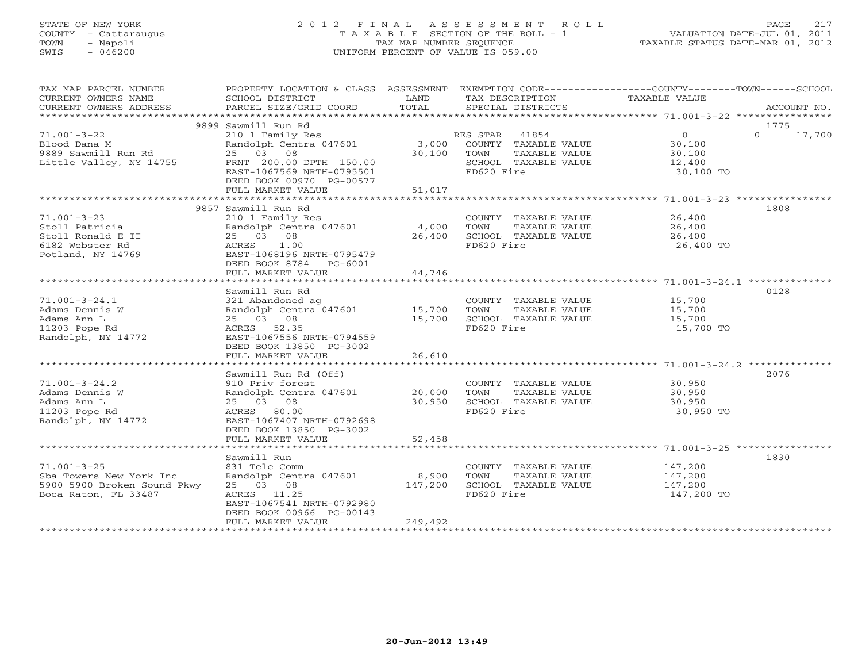# STATE OF NEW YORK 2 0 1 2 F I N A L A S S E S S M E N T R O L L PAGE 217 COUNTY - Cattaraugus T A X A B L E SECTION OF THE ROLL - 1 VALUATION DATE-JUL 01, 2011 TOWN - Napoli TAX MAP NUMBER SEQUENCE TAXABLE STATUS DATE-MAR 01, 2012 SWIS - 046200 UNIFORM PERCENT OF VALUE IS 059.00UNIFORM PERCENT OF VALUE IS 059.00

| TAX MAP PARCEL NUMBER               | PROPERTY LOCATION & CLASS ASSESSMENT EXEMPTION CODE----------------COUNTY-------TOWN------SCHOOL |               |                                    |                      |          |             |
|-------------------------------------|--------------------------------------------------------------------------------------------------|---------------|------------------------------------|----------------------|----------|-------------|
| CURRENT OWNERS NAME                 | SCHOOL DISTRICT                                                                                  | LAND<br>TOTAL | TAX DESCRIPTION                    | TAXABLE VALUE        |          |             |
| CURRENT OWNERS ADDRESS              | PARCEL SIZE/GRID COORD                                                                           |               | SPECIAL DISTRICTS                  |                      |          | ACCOUNT NO. |
|                                     | 9899 Sawmill Run Rd                                                                              |               |                                    |                      | 1775     |             |
| $71.001 - 3 - 22$                   | 210 1 Family Res                                                                                 |               | RES STAR 41854                     | $\overline{0}$       | $\Omega$ | 17,700      |
| Blood Dana M                        | Randolph Centra 047601                                                                           |               | 3,000 COUNTY TAXABLE VALUE         | 30,100<br>30,100     |          |             |
| 9889 Sawmill Run Rd                 | 25 03 08                                                                                         | 30,100        | TOWN<br>TAXABLE VALUE              |                      |          |             |
| Little Valley, NY 14755             | FRNT 200.00 DPTH 150.00                                                                          |               | SCHOOL TAXABLE VALUE               | 12,400               |          |             |
|                                     | EAST-1067569 NRTH-0795501                                                                        |               | FD620 Fire                         | 30,100 TO            |          |             |
|                                     | DEED BOOK 00970 PG-00577                                                                         |               |                                    |                      |          |             |
|                                     | FULL MARKET VALUE                                                                                | 51,017        |                                    |                      |          |             |
|                                     | 9857 Sawmill Run Rd                                                                              |               |                                    |                      | 1808     |             |
| $71.001 - 3 - 23$                   | 210 1 Family Res                                                                                 |               | COUNTY TAXABLE VALUE 26,400        |                      |          |             |
| Stoll Patricia                      | Randolph Centra 047601                                                                           | 4,000         | TOWN<br>TAXABLE VALUE              | 26,400               |          |             |
| Stoll Ronald E II                   | 25 03 08                                                                                         | 26,400        | SCHOOL TAXABLE VALUE               | $\frac{1}{26}$ , 400 |          |             |
| 6182 Webster Rd                     | 1.00<br>ACRES                                                                                    |               | FD620 Fire                         | 26,400 TO            |          |             |
| Potland, NY 14769                   | EAST-1068196 NRTH-0795479                                                                        |               |                                    |                      |          |             |
|                                     | DEED BOOK 8784 PG-6001                                                                           |               |                                    |                      |          |             |
|                                     | FULL MARKET VALUE                                                                                | 44,746        |                                    |                      |          |             |
|                                     |                                                                                                  |               |                                    |                      |          |             |
|                                     | Sawmill Run Rd                                                                                   |               |                                    |                      | 0128     |             |
| $71.001 - 3 - 24.1$                 | 321 Abandoned ag                                                                                 |               | COUNTY TAXABLE VALUE               | 15,700<br>15,700     |          |             |
| Adams Dennis W                      | Randolph Centra 047601 15,700                                                                    |               | TOWN<br>TAXABLE VALUE              |                      |          |             |
| Adams Ann L                         | 25 03 08                                                                                         | 15,700        | SCHOOL TAXABLE VALUE<br>FD620 Fire | 15,700               |          |             |
| 11203 Pope Rd<br>Randolph, NY 14772 | ACRES 52.35<br>EAST-1067556 NRTH-0794559                                                         |               |                                    | 15,700 TO            |          |             |
|                                     | DEED BOOK 13850 PG-3002                                                                          |               |                                    |                      |          |             |
|                                     | FULL MARKET VALUE                                                                                | 26,610        |                                    |                      |          |             |
|                                     |                                                                                                  |               |                                    |                      |          |             |
|                                     | Sawmill Run Rd (Off)                                                                             |               |                                    |                      | 2076     |             |
| $71.001 - 3 - 24.2$                 | 910 Priv forest                                                                                  |               | COUNTY TAXABLE VALUE               | 30,950               |          |             |
| Adams Dennis W                      | Randolph Centra 047601 20,000                                                                    |               | TOWN<br>TAXABLE VALUE              | 30,950               |          |             |
| Adams Ann L                         | 25 03 08                                                                                         | 30,950        | SCHOOL TAXABLE VALUE               | 30,950               |          |             |
| 11203 Pope Rd                       | ACRES 80.00                                                                                      |               | FD620 Fire                         | 30,950 TO            |          |             |
| Randolph, NY 14772                  | EAST-1067407 NRTH-0792698                                                                        |               |                                    |                      |          |             |
|                                     | DEED BOOK 13850 PG-3002                                                                          |               |                                    |                      |          |             |
|                                     | FULL MARKET VALUE                                                                                | 52,458        |                                    |                      |          |             |
|                                     | Sawmill Run                                                                                      |               |                                    |                      | 1830     |             |
| $71.001 - 3 - 25$                   | 831 Tele Comm                                                                                    |               | COUNTY TAXABLE VALUE 147,200       |                      |          |             |
| Sba Towers New York Inc             | Randolph Centra 047601                                                                           | 8,900         | TOWN<br>TAXABLE VALUE              | 147,200              |          |             |
| 5900 5900 Broken Sound Pkwy         | 25 03 08                                                                                         | 147,200       | SCHOOL TAXABLE VALUE               | 147,200              |          |             |
| Boca Raton, FL 33487                | ACRES 11.25                                                                                      |               | FD620 Fire                         | 147,200 TO           |          |             |
|                                     | EAST-1067541 NRTH-0792980                                                                        |               |                                    |                      |          |             |
|                                     | DEED BOOK 00966 PG-00143                                                                         |               |                                    |                      |          |             |
|                                     | FULL MARKET VALUE<br>*************************                                                   | 249,492       |                                    |                      |          |             |
|                                     |                                                                                                  |               |                                    |                      |          |             |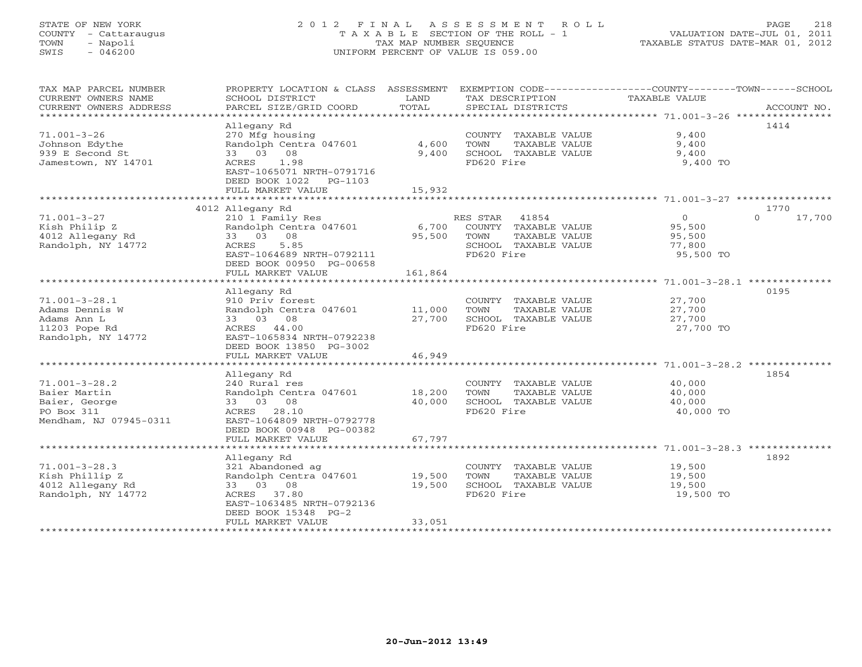# STATE OF NEW YORK 2 0 1 2 F I N A L A S S E S S M E N T R O L L PAGE 218 COUNTY - Cattaraugus T A X A B L E SECTION OF THE ROLL - 1 VALUATION DATE-JUL 01, 2011 TOWN - Napoli TAX MAP NUMBER SEQUENCE TAXABLE STATUS DATE-MAR 01, 2012 SWIS - 046200 UNIFORM PERCENT OF VALUE IS 059.00UNIFORM PERCENT OF VALUE IS 059.00

| COUNTY TAXABLE VALUE<br>TAXABLE VALUE<br>SCHOOL TAXABLE VALUE<br>FD620 Fire                   | 9,400<br>9,400<br>9,400<br>9,400 TO                                   | 1414   |
|-----------------------------------------------------------------------------------------------|-----------------------------------------------------------------------|--------|
|                                                                                               |                                                                       |        |
|                                                                                               |                                                                       | 1770   |
| RES STAR 41854<br>COUNTY TAXABLE VALUE<br>TAXABLE VALUE<br>SCHOOL TAXABLE VALUE<br>FD620 Fire | $\overline{0}$<br>$\Omega$<br>95,500<br>95,500<br>77,800<br>95,500 TO | 17,700 |
|                                                                                               |                                                                       | 0195   |
| COUNTY TAXABLE VALUE<br>TAXABLE VALUE<br>SCHOOL TAXABLE VALUE<br>FD620 Fire                   | 27,700<br>27,700<br>27,700 TO                                         |        |
|                                                                                               |                                                                       |        |
| COUNTY TAXABLE VALUE<br>TAXABLE VALUE<br>SCHOOL TAXABLE VALUE<br>FD620 Fire                   | 40,000<br>40,000<br>40,000<br>40,000 TO                               | 1854   |
|                                                                                               |                                                                       |        |
| COUNTY TAXABLE VALUE<br>TAXABLE VALUE<br>SCHOOL TAXABLE VALUE<br>FD620 Fire                   | 19,500<br>19,500<br>19,500<br>19,500 TO                               | 1892   |
|                                                                                               |                                                                       | 27,700 |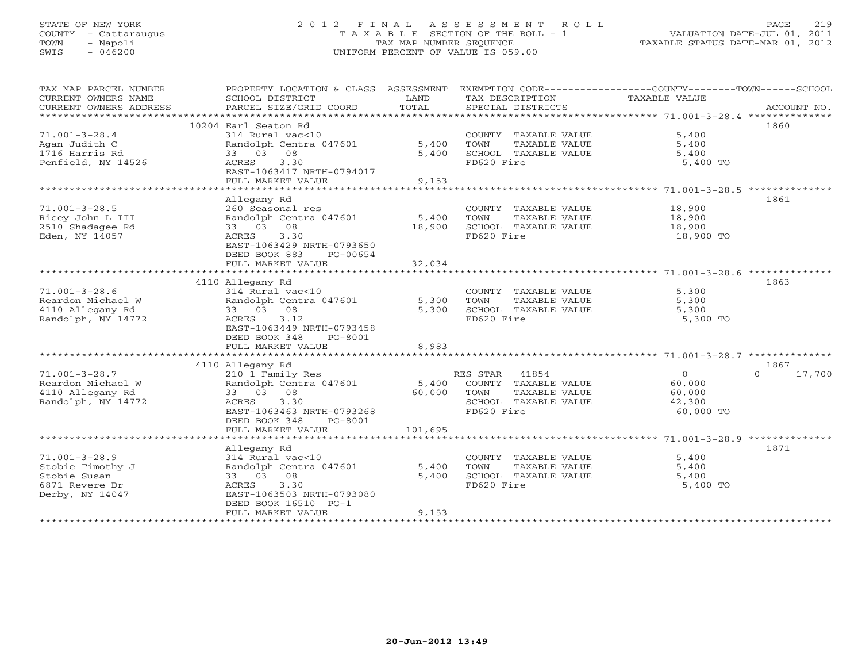# STATE OF NEW YORK 2 0 1 2 F I N A L A S S E S S M E N T R O L L PAGE 219 COUNTY - Cattaraugus T A X A B L E SECTION OF THE ROLL - 1 VALUATION DATE-JUL 01, 2011 TOWN - Napoli TAX MAP NUMBER SEQUENCE TAXABLE STATUS DATE-MAR 01, 2012 SWIS - 046200 UNIFORM PERCENT OF VALUE IS 059.00UNIFORM PERCENT OF VALUE IS 059.00

| TAX MAP PARCEL NUMBER  | PROPERTY LOCATION & CLASS ASSESSMENT |         | EXEMPTION CODE-----------------COUNTY-------TOWN------SCHOOL |               |                    |
|------------------------|--------------------------------------|---------|--------------------------------------------------------------|---------------|--------------------|
| CURRENT OWNERS NAME    | SCHOOL DISTRICT                      | LAND    | TAX DESCRIPTION                                              | TAXABLE VALUE |                    |
| CURRENT OWNERS ADDRESS | PARCEL SIZE/GRID COORD               | TOTAL   | SPECIAL DISTRICTS                                            |               | ACCOUNT NO.        |
|                        |                                      |         |                                                              |               |                    |
|                        | 10204 Earl Seaton Rd                 |         |                                                              |               | 1860               |
|                        |                                      |         |                                                              |               |                    |
| $71.001 - 3 - 28.4$    | 314 Rural vac<10                     |         | COUNTY TAXABLE VALUE                                         | 5,400         |                    |
| Agan Judith C          | Randolph Centra 047601               | 5,400   | TOWN<br>TAXABLE VALUE                                        | 5,400         |                    |
| 1716 Harris Rd         | 33 03 08                             | 5,400   | SCHOOL TAXABLE VALUE                                         | 5,400         |                    |
| Penfield, NY 14526     | 3.30<br>ACRES                        |         | FD620 Fire                                                   | 5,400 TO      |                    |
|                        | EAST-1063417 NRTH-0794017            |         |                                                              |               |                    |
|                        | FULL MARKET VALUE                    | 9,153   |                                                              |               |                    |
|                        |                                      |         |                                                              |               |                    |
|                        |                                      |         |                                                              |               |                    |
|                        | Allegany Rd                          |         |                                                              |               | 1861               |
| $71.001 - 3 - 28.5$    | 260 Seasonal res                     |         | COUNTY TAXABLE VALUE                                         | 18,900        |                    |
| Ricey John L III       | Randolph Centra 047601               | 5,400   | TOWN<br>TAXABLE VALUE                                        | 18,900        |                    |
| 2510 Shadagee Rd       | 33 03 08                             | 18,900  | SCHOOL TAXABLE VALUE                                         | 18,900        |                    |
| Eden, NY 14057         | ACRES<br>3.30                        |         | FD620 Fire                                                   | 18,900 TO     |                    |
|                        | EAST-1063429 NRTH-0793650            |         |                                                              |               |                    |
|                        |                                      |         |                                                              |               |                    |
|                        | DEED BOOK 883<br>PG-00654            |         |                                                              |               |                    |
|                        | FULL MARKET VALUE                    | 32,034  |                                                              |               |                    |
|                        |                                      |         |                                                              |               |                    |
|                        | 4110 Allegany Rd                     |         |                                                              |               | 1863               |
| $71.001 - 3 - 28.6$    | 314 Rural vac<10                     |         | COUNTY TAXABLE VALUE                                         | 5,300         |                    |
| Reardon Michael W      | Randolph Centra 047601               | 5,300   | TAXABLE VALUE<br>TOWN                                        | 5,300         |                    |
| 4110 Allegany Rd       | 33 03 08                             | 5,300   | SCHOOL TAXABLE VALUE                                         | 5,300         |                    |
| Randolph, NY 14772     | 3.12<br>ACRES                        |         | FD620 Fire                                                   | 5,300 TO      |                    |
|                        |                                      |         |                                                              |               |                    |
|                        | EAST-1063449 NRTH-0793458            |         |                                                              |               |                    |
|                        | DEED BOOK 348<br>PG-8001             |         |                                                              |               |                    |
|                        | FULL MARKET VALUE                    | 8,983   |                                                              |               |                    |
|                        |                                      |         |                                                              |               |                    |
|                        | 4110 Allegany Rd                     |         |                                                              |               | 1867               |
| $71.001 - 3 - 28.7$    | 210 1 Family Res                     |         | RES STAR 41854                                               | $\circ$       | $\Omega$<br>17,700 |
| Reardon Michael W      | Randolph Centra 047601               | 5,400   | COUNTY TAXABLE VALUE                                         | 60,000        |                    |
|                        |                                      |         |                                                              |               |                    |
| 4110 Allegany Rd       | 33 03 08                             | 60,000  | TOWN<br>TAXABLE VALUE                                        | 60,000        |                    |
| Randolph, NY 14772     | 3.30<br>ACRES                        |         | SCHOOL TAXABLE VALUE                                         | 42,300        |                    |
|                        | EAST-1063463 NRTH-0793268            |         | FD620 Fire                                                   | 60,000 TO     |                    |
|                        | DEED BOOK 348<br>PG-8001             |         |                                                              |               |                    |
|                        | FULL MARKET VALUE                    | 101,695 |                                                              |               |                    |
|                        |                                      |         |                                                              |               |                    |
|                        | Allegany Rd                          |         |                                                              |               | 1871               |
|                        |                                      |         |                                                              |               |                    |
| $71.001 - 3 - 28.9$    | 314 Rural vac<10                     |         | COUNTY TAXABLE VALUE                                         | 5,400         |                    |
| Stobie Timothy J       | Randolph Centra 047601               | 5,400   | TOWN<br>TAXABLE VALUE                                        | 5,400         |                    |
| Stobie Susan           | 33 03 08                             | 5,400   | SCHOOL TAXABLE VALUE                                         | 5,400         |                    |
| 6871 Revere Dr         | <b>ACRES</b><br>3.30                 |         | FD620 Fire                                                   | 5,400 TO      |                    |
| Derby, NY 14047        | EAST-1063503 NRTH-0793080            |         |                                                              |               |                    |
|                        | DEED BOOK 16510 PG-1                 |         |                                                              |               |                    |
|                        | FULL MARKET VALUE                    | 9,153   |                                                              |               |                    |
|                        |                                      |         |                                                              |               |                    |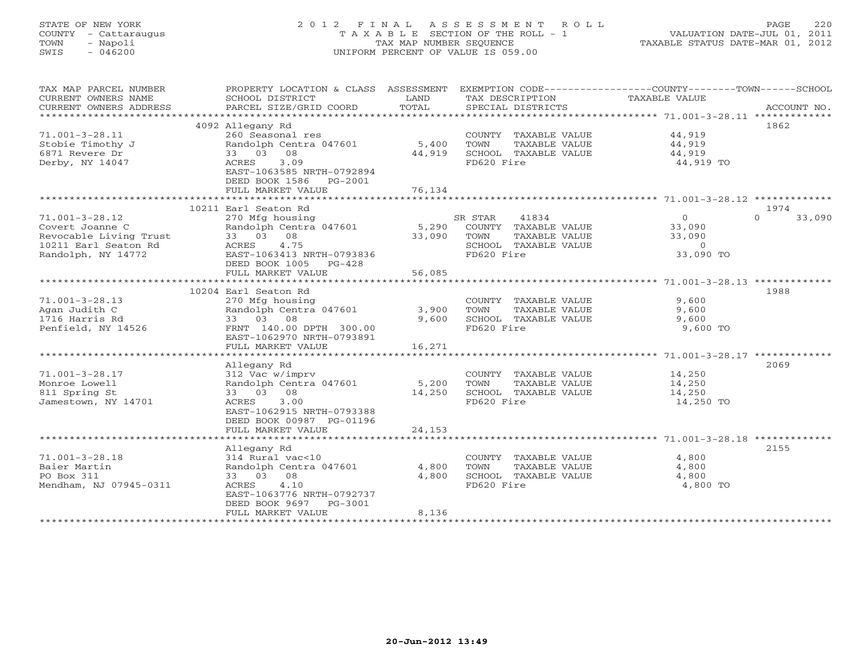# STATE OF NEW YORK 2 0 1 2 F I N A L A S S E S S M E N T R O L L PAGE 220 COUNTY - Cattaraugus T A X A B L E SECTION OF THE ROLL - 1 VALUATION DATE-JUL 01, 2011 TOWN - Napoli TAX MAP NUMBER SEQUENCE TAXABLE STATUS DATE-MAR 01, 2012 SWIS - 046200 UNIFORM PERCENT OF VALUE IS 059.00UNIFORM PERCENT OF VALUE IS 059.00

| TAX MAP PARCEL NUMBER<br>CURRENT OWNERS NAME | PROPERTY LOCATION & CLASS ASSESSMENT<br>SCHOOL DISTRICT | LAND   | EXEMPTION CODE----------------COUNTY-------TOWN------SCHOOL<br>TAX DESCRIPTION | TAXABLE VALUE    |                    |
|----------------------------------------------|---------------------------------------------------------|--------|--------------------------------------------------------------------------------|------------------|--------------------|
| CURRENT OWNERS ADDRESS                       | PARCEL SIZE/GRID COORD                                  | TOTAL  | SPECIAL DISTRICTS                                                              |                  | ACCOUNT NO.        |
|                                              |                                                         |        |                                                                                |                  |                    |
|                                              | 4092 Allegany Rd                                        |        |                                                                                |                  | 1862               |
| $71.001 - 3 - 28.11$                         | 260 Seasonal res                                        |        | COUNTY TAXABLE VALUE                                                           | 44,919           |                    |
| Stobie Timothy J                             | Randolph Centra 047601 5,400                            |        | TOWN<br>TAXABLE VALUE                                                          | 44,919           |                    |
| 6871 Revere Dr                               | 33 03 08                                                | 44,919 | SCHOOL TAXABLE VALUE                                                           | 44,919           |                    |
| Derby, NY 14047                              | 3.09<br>ACRES                                           |        | FD620 Fire                                                                     | 44,919 TO        |                    |
|                                              | EAST-1063585 NRTH-0792894                               |        |                                                                                |                  |                    |
|                                              | DEED BOOK 1586<br>PG-2001                               |        |                                                                                |                  |                    |
|                                              | FULL MARKET VALUE                                       | 76,134 |                                                                                |                  |                    |
|                                              |                                                         |        |                                                                                |                  |                    |
|                                              | 10211 Earl Seaton Rd                                    |        |                                                                                |                  | 1974               |
| $71.001 - 3 - 28.12$                         | 270 Mfg housing                                         |        | 41834<br>SR STAR                                                               | $\overline{0}$   | $\Omega$<br>33,090 |
| Covert Joanne C                              | Randolph Centra 047601 5,290                            |        | COUNTY TAXABLE VALUE                                                           | 33,090           |                    |
| Revocable Living Trust                       | 33 03 08                                                | 33,090 | TOWN<br>TAXABLE VALUE                                                          | 33,090           |                    |
| 10211 Earl Seaton Rd                         | 4.75<br>ACRES                                           |        | SCHOOL TAXABLE VALUE                                                           | $\Omega$         |                    |
| Randolph, NY 14772                           | EAST-1063413 NRTH-0793836                               |        | FD620 Fire                                                                     | 33,090 TO        |                    |
|                                              | DEED BOOK 1005<br>$PG-428$                              |        |                                                                                |                  |                    |
|                                              | FULL MARKET VALUE                                       | 56,085 |                                                                                |                  |                    |
|                                              |                                                         |        |                                                                                |                  |                    |
|                                              | 10204 Earl Seaton Rd                                    |        |                                                                                |                  | 1988               |
| $71.001 - 3 - 28.13$                         | 270 Mfg housing                                         |        | COUNTY TAXABLE VALUE                                                           | 9,600            |                    |
| Agan Judith C                                | Randolph Centra 047601 3,900                            |        | TOWN<br>TAXABLE VALUE                                                          | 9,600            |                    |
| 1716 Harris Rd                               | 33 03 08                                                | 9,600  | SCHOOL TAXABLE VALUE                                                           | 9,600            |                    |
| Penfield, NY 14526                           | FRNT 140.00 DPTH 300.00                                 |        | FD620 Fire                                                                     | 9,600 TO         |                    |
|                                              | EAST-1062970 NRTH-0793891                               |        |                                                                                |                  |                    |
|                                              | FULL MARKET VALUE                                       | 16,271 |                                                                                |                  |                    |
|                                              |                                                         |        |                                                                                |                  |                    |
|                                              | Allegany Rd                                             |        |                                                                                |                  | 2069               |
|                                              |                                                         |        |                                                                                |                  |                    |
| $71.001 - 3 - 28.17$<br>Monroe Lowell        | 312 Vac w/imprv<br>Randolph Centra 047601 5,200         |        | COUNTY TAXABLE VALUE                                                           | 14,250<br>14,250 |                    |
|                                              |                                                         | 14,250 | TOWN<br>TAXABLE VALUE                                                          |                  |                    |
| 811 Spring St                                | 33 03 08<br>3.00                                        |        | SCHOOL TAXABLE VALUE<br>FD620 Fire                                             | 14,250           |                    |
| Jamestown, NY 14701                          | ACRES                                                   |        |                                                                                | 14,250 TO        |                    |
|                                              | EAST-1062915 NRTH-0793388                               |        |                                                                                |                  |                    |
|                                              | DEED BOOK 00987 PG-01196                                |        |                                                                                |                  |                    |
|                                              | FULL MARKET VALUE                                       | 24,153 |                                                                                |                  |                    |
|                                              |                                                         |        |                                                                                |                  |                    |
|                                              | Allegany Rd                                             |        |                                                                                |                  | 2155               |
| $71.001 - 3 - 28.18$                         | 314 Rural vac<10                                        |        | COUNTY TAXABLE VALUE                                                           | 4,800            |                    |
| Baier Martin                                 | Randolph Centra 047601                                  | 4,800  | TAXABLE VALUE<br>TOWN                                                          | 4,800            |                    |
| PO Box 311                                   | 33 03 08                                                | 4,800  | SCHOOL TAXABLE VALUE                                                           | 4,800            |                    |
| Mendham, NJ 07945-0311                       | ACRES<br>4.10                                           |        | FD620 Fire                                                                     | 4,800 TO         |                    |
|                                              | EAST-1063776 NRTH-0792737                               |        |                                                                                |                  |                    |
|                                              | DEED BOOK 9697<br>PG-3001                               |        |                                                                                |                  |                    |
|                                              | FULL MARKET VALUE                                       | 8,136  |                                                                                |                  |                    |
|                                              |                                                         |        |                                                                                |                  |                    |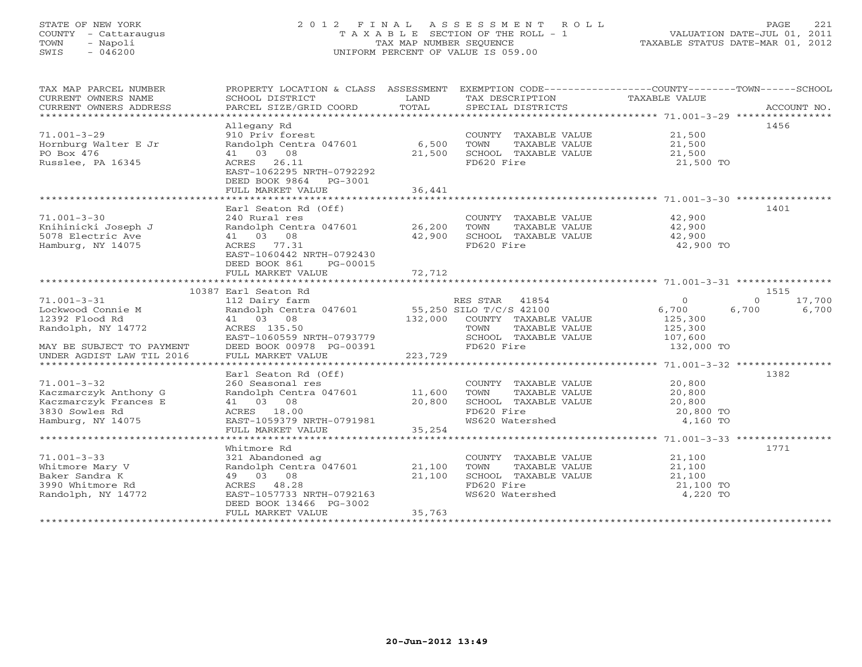# STATE OF NEW YORK 2 0 1 2 F I N A L A S S E S S M E N T R O L L PAGE 221 COUNTY - Cattaraugus T A X A B L E SECTION OF THE ROLL - 1 VALUATION DATE-JUL 01, 2011 TOWN - Napoli TAX MAP NUMBER SEQUENCE TAXABLE STATUS DATE-MAR 01, 2012 SWIS - 046200 UNIFORM PERCENT OF VALUE IS 059.00UNIFORM PERCENT OF VALUE IS 059.00

| TAX MAP PARCEL NUMBER<br>CURRENT OWNERS NAME<br>CURRENT OWNERS ADDRESS             | PROPERTY LOCATION & CLASS ASSESSMENT EXEMPTION CODE----------------COUNTY-------TOWN------SCHOOL<br>SCHOOL DISTRICT<br>PARCEL SIZE/GRID COORD | LAND<br>TOTAL    | TAX DESCRIPTION TAXABLE VALUE<br>SPECIAL DISTRICTS                                  |                                         | ACCOUNT NO.        |
|------------------------------------------------------------------------------------|-----------------------------------------------------------------------------------------------------------------------------------------------|------------------|-------------------------------------------------------------------------------------|-----------------------------------------|--------------------|
|                                                                                    |                                                                                                                                               |                  |                                                                                     |                                         |                    |
|                                                                                    | Allegany Rd                                                                                                                                   |                  |                                                                                     |                                         | 1456               |
| $71.001 - 3 - 29$<br>Hornburg Walter E Jr                                          | 910 Priv forest<br>Randolph Centra 047601                                                                                                     | 6,500            | COUNTY TAXABLE VALUE<br>TAXABLE VALUE<br>TOWN                                       | 21,500<br>21,500                        |                    |
| PO Box 476                                                                         | 41 03 08                                                                                                                                      | 21,500           | SCHOOL TAXABLE VALUE                                                                | 21,500                                  |                    |
| Russlee, PA 16345                                                                  | ACRES 26.11<br>EAST-1062295 NRTH-0792292<br>DEED BOOK 9864 PG-3001<br>FULL MARKET VALUE                                                       | 36,441           | FD620 Fire                                                                          | 21,500 TO                               |                    |
|                                                                                    |                                                                                                                                               |                  |                                                                                     |                                         |                    |
|                                                                                    | Earl Seaton Rd (Off)                                                                                                                          |                  |                                                                                     |                                         | 1401               |
| $71.001 - 3 - 30$<br>Knihinicki Joseph J<br>5078 Electric Ave<br>Hamburg, NY 14075 | 240 Rural res<br>Randolph Centra 047601 26,200<br>41 03 08<br>ACRES 77.31<br>EAST-1060442 NRTH-0792430                                        | 42,900           | COUNTY TAXABLE VALUE<br>TOWN<br>TAXABLE VALUE<br>SCHOOL TAXABLE VALUE<br>FD620 Fire | 42,900<br>42,900<br>42,900<br>42,900 TO |                    |
|                                                                                    | DEED BOOK 861<br>PG-00015<br>FULL MARKET VALUE                                                                                                | 72,712           |                                                                                     |                                         |                    |
|                                                                                    | 10387 Earl Seaton Rd                                                                                                                          |                  |                                                                                     |                                         | 1515               |
| $71.001 - 3 - 31$                                                                  | 112 Dairy farm                                                                                                                                |                  | RES STAR 41854                                                                      | $\overline{0}$                          | $\Omega$<br>17,700 |
| Lockwood Connie M<br>12392 Flood Rd                                                | Randolph Centra 047601 55,250 SILO T/C/S 42100<br>41 03 08 132,000 COUNTY TAXABLE<br>41 03 08                                                 |                  | 132,000 COUNTY TAXABLE VALUE                                                        | 6,700<br>125,300                        | 6,700<br>6,700     |
| Randolph, NY 14772<br>MAY BE SUBJECT TO PAYMENT                                    | ACRES 135.50<br>EAST-1060559 NRTH-0793779<br>DEED BOOK 00978 PG-00391                                                                         |                  | TOWN<br>TAXABLE VALUE<br>SCHOOL TAXABLE VALUE<br>FD620 Fire                         | 125,300<br>107,600<br>132,000 TO        |                    |
| UNDER AGDIST LAW TIL 2016                                                          | FULL MARKET VALUE                                                                                                                             | 223,729          |                                                                                     |                                         |                    |
|                                                                                    |                                                                                                                                               |                  |                                                                                     |                                         |                    |
|                                                                                    | Earl Seaton Rd (Off)                                                                                                                          |                  |                                                                                     |                                         | 1382               |
| $71.001 - 3 - 32$<br>Kaczmarczyk Anthony G<br>Kaczmarczyk Frances E                | 260 Seasonal res<br>Randolph Centra 047601 11,600<br>41 03 08                                                                                 | 20,800           | COUNTY TAXABLE VALUE<br>TOWN<br>TAXABLE VALUE<br>SCHOOL TAXABLE VALUE               | 20,800<br>20,800<br>20,800              |                    |
| 3830 Sowles Rd                                                                     | ACRES 18.00                                                                                                                                   |                  | FD620 Fire<br>FD620 Fire<br>WS620 Watershed                                         | 20,800 TO                               |                    |
| Hamburg, NY 14075                                                                  | EAST-1059379 NRTH-0791981<br>FULL MARKET VALUE                                                                                                | 35,254           |                                                                                     | 4,160 TO                                |                    |
|                                                                                    |                                                                                                                                               |                  |                                                                                     |                                         |                    |
|                                                                                    | Whitmore Rd                                                                                                                                   |                  |                                                                                     |                                         | 1771               |
| $71.001 - 3 - 33$<br>Whitmore Mary V<br>Baker Sandra K<br>3990 Whitmore Rd         | 321 Abandoned ag<br>Randolph Centra 047601<br>49 03 08<br>ACRES 48.28                                                                         | 21,100<br>21,100 | COUNTY TAXABLE VALUE<br>TOWN<br>TAXABLE VALUE<br>SCHOOL TAXABLE VALUE<br>FD620 Fire | 21,100<br>21,100<br>21,100<br>21,100 TO |                    |
| Randolph, NY 14772                                                                 | EAST-1057733 NRTH-0792163<br>DEED BOOK 13466 PG-3002<br>FULL MARKET VALUE                                                                     | 35,763           | WS620 Watershed                                                                     | 4,220 TO                                |                    |
|                                                                                    |                                                                                                                                               |                  |                                                                                     |                                         |                    |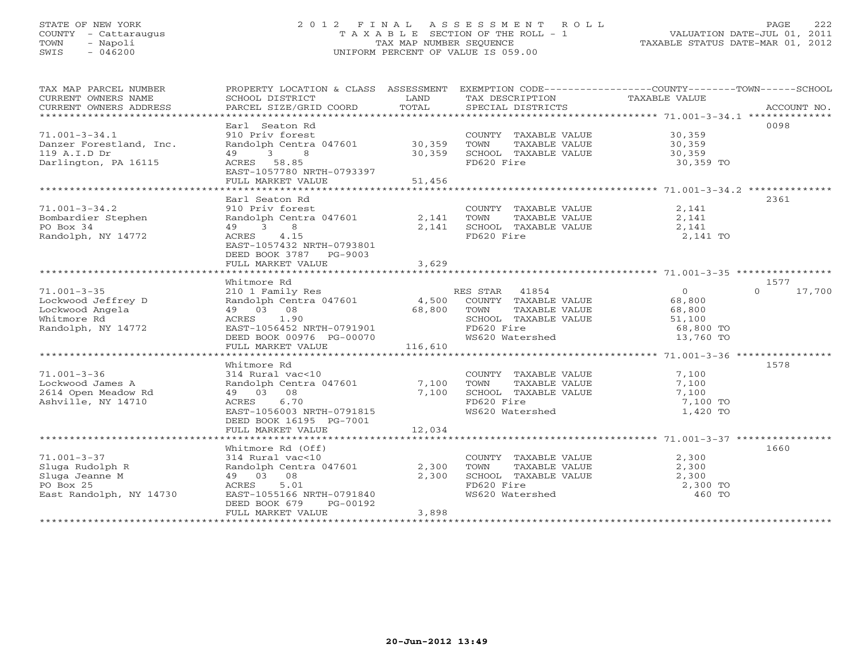# STATE OF NEW YORK 2 0 1 2 F I N A L A S S E S S M E N T R O L L PAGE 222 COUNTY - Cattaraugus T A X A B L E SECTION OF THE ROLL - 1 VALUATION DATE-JUL 01, 2011 TOWN - Napoli TAX MAP NUMBER SEQUENCE TAXABLE STATUS DATE-MAR 01, 2012 SWIS - 046200 UNIFORM PERCENT OF VALUE IS 059.00UNIFORM PERCENT OF VALUE IS 059.00

| TAX MAP PARCEL NUMBER<br>CURRENT OWNERS NAME<br>CURRENT OWNERS ADDRESS | PROPERTY LOCATION & CLASS ASSESSMENT<br>SCHOOL DISTRICT<br>PARCEL SIZE/GRID COORD | LAND<br>TOTAL | EXEMPTION CODE-----------------COUNTY-------TOWN------SCHOOL<br>TAX DESCRIPTION TAXABLE VALUE<br>SPECIAL DISTRICTS |                   | ACCOUNT NO.        |
|------------------------------------------------------------------------|-----------------------------------------------------------------------------------|---------------|--------------------------------------------------------------------------------------------------------------------|-------------------|--------------------|
|                                                                        |                                                                                   |               |                                                                                                                    |                   |                    |
|                                                                        | Earl Seaton Rd                                                                    |               |                                                                                                                    |                   | 0098               |
| $71.001 - 3 - 34.1$                                                    | 910 Priv forest                                                                   |               | COUNTY TAXABLE VALUE                                                                                               | 30,359            |                    |
| Danzer Forestland, Inc.                                                | Randolph Centra 047601 30,359                                                     |               | TOWN<br>TAXABLE VALUE                                                                                              | 30,359            |                    |
| 119 A.I.D Dr                                                           | 49 3<br>8                                                                         | 30,359        | SCHOOL TAXABLE VALUE                                                                                               | 30, 359           |                    |
| Darlington, PA 16115                                                   | ACRES 58.85                                                                       |               | FD620 Fire                                                                                                         | 30,359 TO         |                    |
|                                                                        | EAST-1057780 NRTH-0793397                                                         |               |                                                                                                                    |                   |                    |
|                                                                        | FULL MARKET VALUE                                                                 | 51,456        |                                                                                                                    |                   |                    |
|                                                                        |                                                                                   |               |                                                                                                                    |                   |                    |
|                                                                        | Earl Seaton Rd                                                                    |               |                                                                                                                    |                   | 2361               |
| $71.001 - 3 - 34.2$                                                    | 910 Priv forest                                                                   |               | COUNTY TAXABLE VALUE                                                                                               | 2,141             |                    |
| Bombardier Stephen                                                     | Randolph Centra 047601                                                            | 2,141         | TOWN<br>TAXABLE VALUE                                                                                              | 2,141             |                    |
| PO Box 34                                                              | 49 3<br>8                                                                         | 2,141         | SCHOOL TAXABLE VALUE                                                                                               | 2,141             |                    |
| Randolph, NY 14772                                                     | 4.15<br>ACRES                                                                     |               | FD620 Fire                                                                                                         | 2,141 TO          |                    |
|                                                                        | EAST-1057432 NRTH-0793801                                                         |               |                                                                                                                    |                   |                    |
|                                                                        | DEED BOOK 3787 PG-9003                                                            |               |                                                                                                                    |                   |                    |
|                                                                        | FULL MARKET VALUE                                                                 | 3,629         |                                                                                                                    |                   |                    |
|                                                                        |                                                                                   |               |                                                                                                                    |                   |                    |
|                                                                        | Whitmore Rd                                                                       |               |                                                                                                                    |                   | 1577               |
| $71.001 - 3 - 35$                                                      | 210 1 Family Res                                                                  |               | RES STAR 41854                                                                                                     | $\overline{0}$    | $\Omega$<br>17,700 |
| Lockwood Jeffrey D                                                     | Randolph Centra 047601 4,500                                                      |               | COUNTY TAXABLE VALUE                                                                                               | 68,800            |                    |
| Lockwood Angela                                                        | 49 03 08                                                                          | 68,800        | TOWN<br>TAXABLE VALUE                                                                                              | 68,800            |                    |
| Whitmore Rd                                                            | ACRES 1.90                                                                        |               | SCHOOL TAXABLE VALUE                                                                                               | 51,100            |                    |
| Randolph, NY 14772                                                     | EAST-1056452 NRTH-0791901                                                         |               | FD620 Fire<br>FD620 Fire<br>WS620 Watershed                                                                        | 68,800 TO         |                    |
|                                                                        | DEED BOOK 00976 PG-00070                                                          |               |                                                                                                                    | 13,760 TO         |                    |
|                                                                        | FULL MARKET VALUE                                                                 | 116,610       |                                                                                                                    |                   |                    |
|                                                                        |                                                                                   |               |                                                                                                                    |                   |                    |
|                                                                        | Whitmore Rd                                                                       |               |                                                                                                                    |                   | 1578               |
| $71.001 - 3 - 36$                                                      | 314 Rural vac<10                                                                  |               | COUNTY TAXABLE VALUE                                                                                               | 7,100             |                    |
| Lockwood James A                                                       | Randolph Centra 047601 7,100                                                      |               | TOWN<br>TAXABLE VALUE                                                                                              | 7,100             |                    |
| 2614 Open Meadow Rd                                                    | 49 03 08                                                                          | 7,100         | SCHOOL TAXABLE VALUE                                                                                               | 7,100             |                    |
| Ashville, NY 14710                                                     | 6.70<br>ACRES                                                                     |               | FD620 Fire                                                                                                         | 7,100 TO          |                    |
|                                                                        | EAST-1056003 NRTH-0791815                                                         |               | WS620 Watershed                                                                                                    | 1,420 TO          |                    |
|                                                                        | DEED BOOK 16195 PG-7001                                                           |               |                                                                                                                    |                   |                    |
|                                                                        | FULL MARKET VALUE                                                                 | 12,034        |                                                                                                                    |                   |                    |
|                                                                        |                                                                                   |               |                                                                                                                    |                   |                    |
| $71.001 - 3 - 37$                                                      | Whitmore Rd (Off)                                                                 |               | COUNTY TAXABLE VALUE                                                                                               |                   | 1660               |
| Sluga Rudolph R                                                        | 314 Rural vac<10                                                                  | 2,300         | TOWN<br>TAXABLE VALUE                                                                                              | 2,300<br>2,300    |                    |
|                                                                        | Randolph Centra 047601<br>49 03 08                                                | 2,300         | SCHOOL TAXABLE VALUE                                                                                               |                   |                    |
| Sluga Jeanne M<br>PO Box 25                                            | ACRES<br>5.01                                                                     |               | FD620 Fire                                                                                                         | 2,300<br>2,300 TO |                    |
| East Randolph, NY 14730                                                | EAST-1055166 NRTH-0791840                                                         |               | WS620 Watershed                                                                                                    | 460 TO            |                    |
|                                                                        | DEED BOOK 679<br>PG-00192                                                         |               |                                                                                                                    |                   |                    |
|                                                                        | FULL MARKET VALUE                                                                 | 3,898         |                                                                                                                    |                   |                    |
|                                                                        |                                                                                   |               |                                                                                                                    |                   |                    |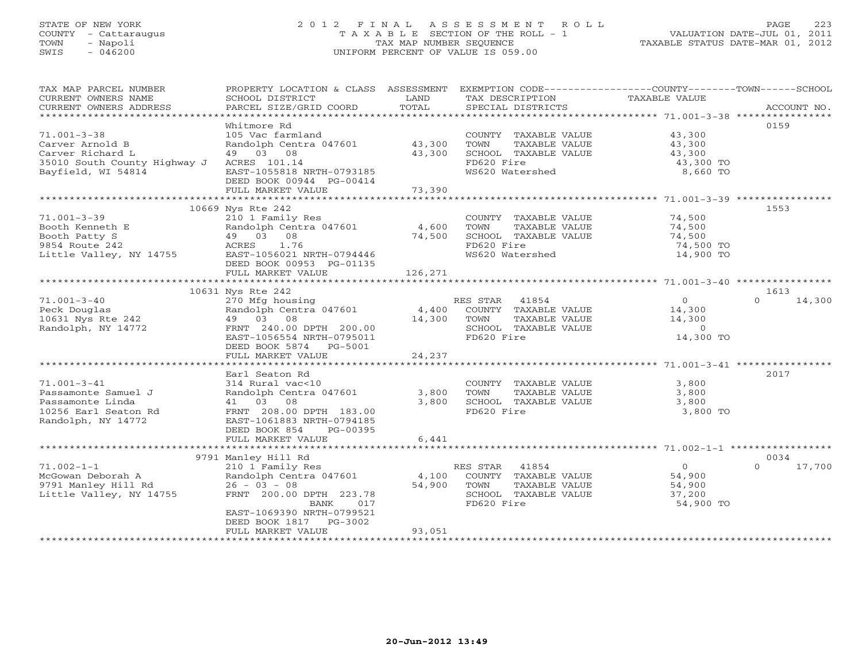### STATE OF NEW YORK 223 COL2 FINAL ASSESSMENT ROLL PAGE 223 COUNTY - Cattaraugus T A X A B L E SECTION OF THE ROLL - 1 VALUATION DATE-JUL 01, 2011 TOWN - Napoli TAX MAP NUMBER SEQUENCE TAXABLE STATUS DATE-MAR 01, 2012 SWIS - 046200 UNIFORM PERCENT OF VALUE IS 059.00

| EXEMPTION CODE-----------------COUNTY-------TOWN------SCHOOL<br>TAX MAP PARCEL NUMBER<br>PROPERTY LOCATION & CLASS ASSESSMENT<br>LAND<br>TAXABLE VALUE<br>CURRENT OWNERS NAME<br>SCHOOL DISTRICT<br>TAX DESCRIPTION<br>TOTAL<br>CURRENT OWNERS ADDRESS<br>PARCEL SIZE/GRID COORD<br>SPECIAL DISTRICTS | ACCOUNT NO. |
|-------------------------------------------------------------------------------------------------------------------------------------------------------------------------------------------------------------------------------------------------------------------------------------------------------|-------------|
|                                                                                                                                                                                                                                                                                                       |             |
| 0159<br>Whitmore Rd                                                                                                                                                                                                                                                                                   |             |
| $71.001 - 3 - 38$<br>105 Vac farmland<br>COUNTY TAXABLE VALUE<br>43,300                                                                                                                                                                                                                               |             |
| Carver Arnold B<br>Randolph Centra 047601<br>43,300<br>TOWN<br>TAXABLE VALUE<br>43,300<br>49 03 08<br>43,300<br>SCHOOL TAXABLE VALUE<br>43,300<br>Carver Richard L                                                                                                                                    |             |
| FD620 Fire<br>35010 South County Highway J ACRES 101.14<br>43,300 TO                                                                                                                                                                                                                                  |             |
| WS620 Watershed<br>Bayfield, WI 54814<br>EAST-1055818 NRTH-0793185<br>8,660 TO                                                                                                                                                                                                                        |             |
| DEED BOOK 00944 PG-00414                                                                                                                                                                                                                                                                              |             |
| FULL MARKET VALUE<br>73,390                                                                                                                                                                                                                                                                           |             |
|                                                                                                                                                                                                                                                                                                       |             |
| 1553<br>10669 Nys Rte 242                                                                                                                                                                                                                                                                             |             |
| $71.001 - 3 - 39$<br>210 1 Family Res<br>74,500<br>COUNTY TAXABLE VALUE                                                                                                                                                                                                                               |             |
| Randolph Centra 047601<br>4,600<br>TAXABLE VALUE<br>Booth Kenneth E<br>TOWN<br>74,500                                                                                                                                                                                                                 |             |
| 49 03 08<br>74,500<br>SCHOOL TAXABLE VALUE<br>Booth Patty S<br>74,500                                                                                                                                                                                                                                 |             |
| 1.76<br>FD620 Fire<br>74,500 TO<br>9854 Route 242<br>ACRES                                                                                                                                                                                                                                            |             |
| EAST-1056021 NRTH-0794446<br>WS620 Watershed<br>14,900 TO<br>Little Valley, NY 14755<br>DEED BOOK 00953 PG-01135                                                                                                                                                                                      |             |
| FULL MARKET VALUE<br>126,271                                                                                                                                                                                                                                                                          |             |
|                                                                                                                                                                                                                                                                                                       |             |
| 10631 Nys Rte 242<br>1613                                                                                                                                                                                                                                                                             |             |
| $71.001 - 3 - 40$<br>270 Mfg housing<br>RES STAR 41854<br>$\circ$<br>$\Omega$                                                                                                                                                                                                                         | 14,300      |
| Randolph Centra 047601<br>Peck Douglas<br>4,400<br>COUNTY TAXABLE VALUE<br>14,300                                                                                                                                                                                                                     |             |
| 10631 Nys Rte 242<br>49 03 08<br>14,300<br>14,300<br>TOWN<br>TAXABLE VALUE                                                                                                                                                                                                                            |             |
| Randolph, NY 14772<br>FRNT 240.00 DPTH 200.00<br>SCHOOL TAXABLE VALUE<br>$\circ$                                                                                                                                                                                                                      |             |
| FD620 Fire<br>14,300 TO<br>EAST-1056554 NRTH-0795011                                                                                                                                                                                                                                                  |             |
| DEED BOOK 5874 PG-5001                                                                                                                                                                                                                                                                                |             |
| 24,237<br>FULL MARKET VALUE                                                                                                                                                                                                                                                                           |             |
| 2017<br>Earl Seaton Rd                                                                                                                                                                                                                                                                                |             |
| $71.001 - 3 - 41$<br>314 Rural vac<10<br>COUNTY TAXABLE VALUE<br>3,800                                                                                                                                                                                                                                |             |
| Randolph Centra 047601<br>3,800<br>TOWN<br>3,800<br>Passamonte Samuel J<br>TAXABLE VALUE                                                                                                                                                                                                              |             |
| 41 03 08<br>Passamonte Linda<br>3,800<br>SCHOOL TAXABLE VALUE<br>3,800                                                                                                                                                                                                                                |             |
| FD620 Fire<br>10256 Earl Seaton Rd<br>FRNT 208.00 DPTH 183.00<br>3,800 TO                                                                                                                                                                                                                             |             |
| Randolph, NY 14772<br>EAST-1061883 NRTH-0794185                                                                                                                                                                                                                                                       |             |
| DEED BOOK 854<br>PG-00395                                                                                                                                                                                                                                                                             |             |
| FULL MARKET VALUE<br>6,441                                                                                                                                                                                                                                                                            |             |
|                                                                                                                                                                                                                                                                                                       |             |
| 0034<br>9791 Manley Hill Rd                                                                                                                                                                                                                                                                           |             |
| $71.002 - 1 - 1$<br>$\overline{O}$<br>210 1 Family Res<br>RES STAR 41854<br>$\Omega$                                                                                                                                                                                                                  | 17,700      |
| McGowan Deborah A<br>Randolph Centra 047601<br>4,100<br>COUNTY TAXABLE VALUE<br>54,900                                                                                                                                                                                                                |             |
| 9791 Manley Hill Rd<br>$26 - 03 - 08$<br>54,900<br>TOWN<br>TAXABLE VALUE<br>54,900<br>Little Valley, NY 14755<br>FRNT 200.00 DPTH 223.78<br>SCHOOL TAXABLE VALUE<br>37,200                                                                                                                            |             |
| 017<br>FD620 Fire<br>54,900 TO<br>BANK                                                                                                                                                                                                                                                                |             |
| EAST-1069390 NRTH-0799521                                                                                                                                                                                                                                                                             |             |
| DEED BOOK 1817 PG-3002                                                                                                                                                                                                                                                                                |             |
| 93,051<br>FULL MARKET VALUE                                                                                                                                                                                                                                                                           |             |
|                                                                                                                                                                                                                                                                                                       |             |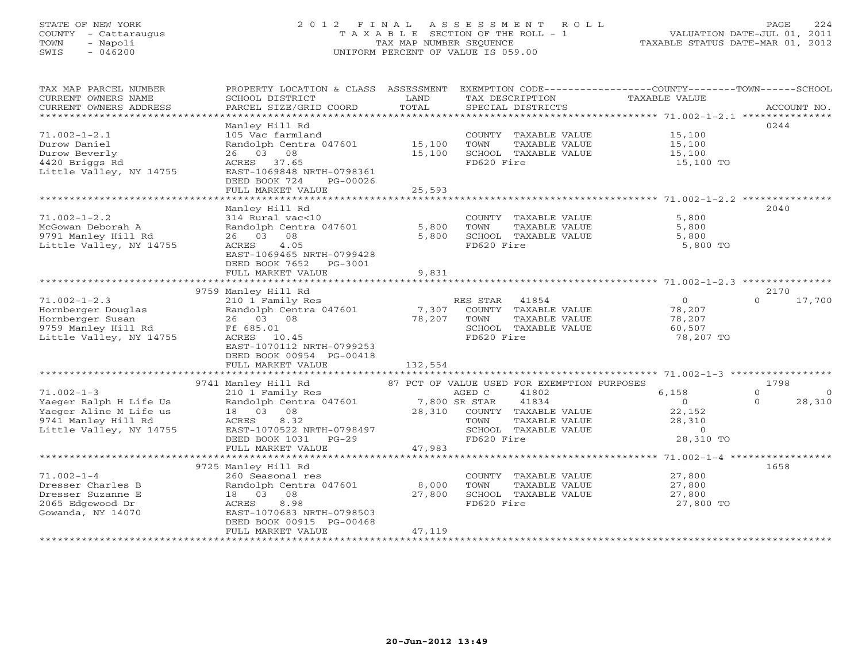# STATE OF NEW YORK 2 0 1 2 F I N A L A S S E S S M E N T R O L L PAGE 224 COUNTY - Cattaraugus T A X A B L E SECTION OF THE ROLL - 1 VALUATION DATE-JUL 01, 2011 TOWN - Napoli TAX MAP NUMBER SEQUENCE TAXABLE STATUS DATE-MAR 01, 2012 SWIS - 046200 UNIFORM PERCENT OF VALUE IS 059.00UNIFORM PERCENT OF VALUE IS 059.00

| TAX MAP PARCEL NUMBER<br>CURRENT OWNERS NAME<br>CURRENT OWNERS ADDRESS<br>*************************                    | PROPERTY LOCATION & CLASS ASSESSMENT EXEMPTION CODE----------------COUNTY-------TOWN------SCHOOL<br>SCHOOL DISTRICT<br>PARCEL SIZE/GRID COORD                                  | LAND<br>TOTAL              | TAX DESCRIPTION<br>SPECIAL DISTRICTS                                                                                                                                  | TAXABLE VALUE                                                        | ACCOUNT NO.                                        |
|------------------------------------------------------------------------------------------------------------------------|--------------------------------------------------------------------------------------------------------------------------------------------------------------------------------|----------------------------|-----------------------------------------------------------------------------------------------------------------------------------------------------------------------|----------------------------------------------------------------------|----------------------------------------------------|
| $71.002 - 1 - 2.1$<br>Durow Daniel<br>Durow Beverly<br>4420 Briggs Rd<br>Little Valley, NY 14755                       | Manley Hill Rd<br>105 Vac farmland<br>Randolph Centra 047601<br>26 03 08<br>ACRES 37.65<br>EAST-1069848 NRTH-0798361<br>DEED BOOK 724<br>PG-00026<br>FULL MARKET VALUE         | 15,100<br>15,100<br>25,593 | COUNTY TAXABLE VALUE<br>TAXABLE VALUE<br>TOWN<br>SCHOOL TAXABLE VALUE<br>FD620 Fire                                                                                   | 15,100<br>15,100<br>15,100<br>15,100 TO                              | 0244                                               |
|                                                                                                                        | Manley Hill Rd                                                                                                                                                                 |                            |                                                                                                                                                                       | 5,800                                                                | 2040                                               |
| $71.002 - 1 - 2.2$<br>McGowan Deborah A<br>9791 Manley Hill Rd<br>Little Valley, NY 14755                              | 314 Rural vac<10<br>Randolph Centra 047601<br>26 03 08<br>ACRES<br>4.05<br>EAST-1069465 NRTH-0799428<br>DEED BOOK 7652 PG-3001<br>FULL MARKET VALUE                            | 5,800<br>5,800<br>9,831    | COUNTY TAXABLE VALUE<br>TOWN<br>TAXABLE VALUE<br>SCHOOL TAXABLE VALUE<br>FD620 Fire                                                                                   | 5,800<br>5,800<br>5,800 TO                                           |                                                    |
|                                                                                                                        | 9759 Manley Hill Rd                                                                                                                                                            |                            |                                                                                                                                                                       |                                                                      | 2170                                               |
| $71.002 - 1 - 2.3$<br>Hornberger Douglas<br>Hornberger Susan<br>9759 Manley Hill Rd<br>Little Valley, NY 14755         | 210 1 Family Res<br>Randolph Centra 047601<br>26 03 08<br>Ff 685.01<br>ACRES 10.45<br>EAST-1070112 NRTH-0799253<br>DEED BOOK 00954 PG-00418<br>FULL MARKET VALUE               | 7,307<br>78,207<br>132,554 | RES STAR 41854<br>COUNTY TAXABLE VALUE<br>TOWN<br>TAXABLE VALUE<br>SCHOOL TAXABLE VALUE<br>FD620 Fire                                                                 | $\overline{0}$<br>78,207<br>78,207<br>60,507<br>78,207 TO            | $\Omega$<br>17,700                                 |
|                                                                                                                        |                                                                                                                                                                                |                            |                                                                                                                                                                       |                                                                      |                                                    |
| $71.002 - 1 - 3$<br>Yaeger Ralph H Life Us<br>Yaeger Aline M Life us<br>9741 Manley Hill Rd<br>Little Valley, NY 14755 | 9741 Manley Hill Rd<br>210 1 Family Res<br>Randolph Centra 047601<br>18  03  08<br>8.32<br>ACRES<br>EAST-1070522 NRTH-0798497<br>DEED BOOK 1031 PG-29<br>FULL MARKET VALUE     | 7,800 SR STAR<br>47,983    | 87 PCT OF VALUE USED FOR EXEMPTION PURPOSES<br>AGED C<br>41802<br>41834<br>28,310 COUNTY TAXABLE VALUE<br>TOWN<br>TAXABLE VALUE<br>SCHOOL TAXABLE VALUE<br>FD620 Fire | 6,158<br>$\overline{0}$<br>22,152<br>28,310<br>$\Omega$<br>28,310 TO | 1798<br>$\Omega$<br>$\Omega$<br>$\Omega$<br>28,310 |
|                                                                                                                        |                                                                                                                                                                                |                            |                                                                                                                                                                       |                                                                      |                                                    |
| $71.002 - 1 - 4$<br>Dresser Charles B<br>Dresser Suzanne E<br>2065 Edgewood Dr<br>Gowanda, NY 14070                    | 9725 Manley Hill Rd<br>260 Seasonal res<br>Randolph Centra 047601<br>18  03  08<br>8.98<br>ACRES<br>EAST-1070683 NRTH-0798503<br>DEED BOOK 00915 PG-00468<br>FULL MARKET VALUE | 8,000<br>27,800<br>47,119  | COUNTY TAXABLE VALUE<br>TOWN<br>TAXABLE VALUE<br>SCHOOL TAXABLE VALUE<br>FD620 Fire                                                                                   | 27,800<br>27,800<br>27,800<br>27,800 TO                              | 1658                                               |
|                                                                                                                        |                                                                                                                                                                                |                            |                                                                                                                                                                       |                                                                      |                                                    |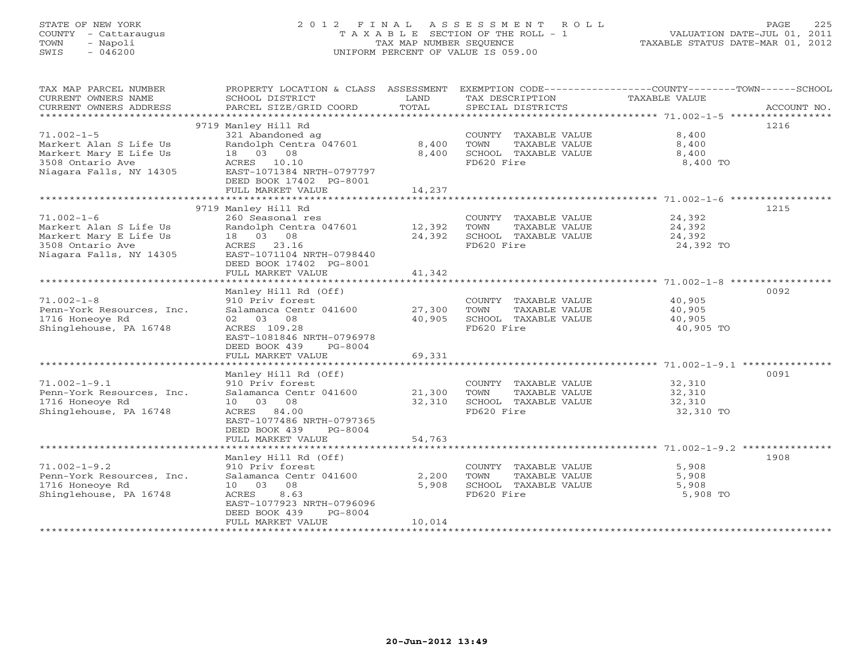# STATE OF NEW YORK 2 0 1 2 F I N A L A S S E S S M E N T R O L L PAGE 225 COUNTY - Cattaraugus T A X A B L E SECTION OF THE ROLL - 1 VALUATION DATE-JUL 01, 2011 TOWN - Napoli TAX MAP NUMBER SEQUENCE TAXABLE STATUS DATE-MAR 01, 2012 SWIS - 046200 UNIFORM PERCENT OF VALUE IS 059.00UNIFORM PERCENT OF VALUE IS 059.00

| TAX MAP PARCEL NUMBER<br>CURRENT OWNERS NAME<br>CURRENT OWNERS ADDRESS | PROPERTY LOCATION & CLASS ASSESSMENT<br>SCHOOL DISTRICT<br>PARCEL SIZE/GRID COORD | LAND<br>TOTAL | TAX DESCRIPTION<br>SPECIAL DISTRICTS          | EXEMPTION CODE-----------------COUNTY-------TOWN------SCHOOL<br>TAXABLE VALUE<br>ACCOUNT NO. |
|------------------------------------------------------------------------|-----------------------------------------------------------------------------------|---------------|-----------------------------------------------|----------------------------------------------------------------------------------------------|
|                                                                        |                                                                                   |               |                                               |                                                                                              |
|                                                                        | 9719 Manley Hill Rd                                                               |               |                                               | 1216                                                                                         |
| $71.002 - 1 - 5$                                                       | 321 Abandoned ag                                                                  |               | COUNTY TAXABLE VALUE                          | 8,400                                                                                        |
| Markert Alan S Life Us                                                 | Randolph Centra 047601                                                            | 8,400         | TOWN<br>TAXABLE VALUE                         | 8,400                                                                                        |
| Markert Mary E Life Us                                                 | 18  03  08                                                                        | 8,400         | SCHOOL TAXABLE VALUE                          | 8,400                                                                                        |
| 3508 Ontario Ave                                                       | ACRES 10.10                                                                       |               | FD620 Fire                                    | 8,400 TO                                                                                     |
| Niagara Falls, NY 14305                                                | EAST-1071384 NRTH-0797797                                                         |               |                                               |                                                                                              |
|                                                                        | DEED BOOK 17402 PG-8001                                                           |               |                                               |                                                                                              |
|                                                                        | FULL MARKET VALUE                                                                 | 14,237        |                                               |                                                                                              |
|                                                                        |                                                                                   |               |                                               |                                                                                              |
|                                                                        | 9719 Manley Hill Rd                                                               |               |                                               | 1215                                                                                         |
| $71.002 - 1 - 6$                                                       | 260 Seasonal res                                                                  |               | COUNTY TAXABLE VALUE 24,392                   |                                                                                              |
| Markert Alan S Life Us                                                 | Randolph Centra 047601 12,392                                                     |               | TOWN<br>TAXABLE VALUE                         | 24,392                                                                                       |
| Markert Mary E Life Us                                                 | 18 03 08                                                                          | 24,392        | SCHOOL TAXABLE VALUE                          | 24,392                                                                                       |
| 3508 Ontario Ave                                                       | ACRES 23.16                                                                       |               | FD620 Fire                                    | 24,392 TO                                                                                    |
| Niagara Falls, NY 14305                                                | EAST-1071104 NRTH-0798440                                                         |               |                                               |                                                                                              |
|                                                                        | DEED BOOK 17402 PG-8001                                                           |               |                                               |                                                                                              |
|                                                                        | FULL MARKET VALUE                                                                 | 41,342        |                                               |                                                                                              |
|                                                                        |                                                                                   |               |                                               |                                                                                              |
|                                                                        | Manley Hill Rd (Off)                                                              |               |                                               | 0092                                                                                         |
| $71.002 - 1 - 8$                                                       | 910 Priv forest                                                                   |               | COUNTY TAXABLE VALUE                          | 40,905                                                                                       |
| Penn-York Resources, Inc.                                              | Salamanca Centr 041600                                                            | 27,300        | TOWN<br>TAXABLE VALUE                         | 40,905                                                                                       |
| 1716 Honeoye Rd                                                        | 02 03 08                                                                          | 40,905        | SCHOOL TAXABLE VALUE                          | 40,905                                                                                       |
| Shinglehouse, PA 16748                                                 | ACRES 109.28                                                                      |               | FD620 Fire                                    | 40,905 TO                                                                                    |
|                                                                        | EAST-1081846 NRTH-0796978                                                         |               |                                               |                                                                                              |
|                                                                        | DEED BOOK 439<br>PG-8004                                                          |               |                                               |                                                                                              |
|                                                                        | FULL MARKET VALUE                                                                 | 69,331        |                                               |                                                                                              |
|                                                                        |                                                                                   |               |                                               |                                                                                              |
| $71.002 - 1 - 9.1$                                                     | Manley Hill Rd (Off)                                                              |               |                                               | 0091                                                                                         |
|                                                                        | 910 Priv forest<br>Salamanca Centr 041600                                         | 21,300        | COUNTY TAXABLE VALUE<br>TOWN<br>TAXABLE VALUE | 32,310<br>32,310                                                                             |
| Penn-York Resources, Inc.<br>1716 Honeove Rd                           | 10 03 08                                                                          | 32,310        | SCHOOL TAXABLE VALUE                          | 32,310                                                                                       |
| Shinglehouse, PA 16748                                                 | ACRES 84.00                                                                       |               | FD620 Fire                                    | 32,310 TO                                                                                    |
|                                                                        | EAST-1077486 NRTH-0797365                                                         |               |                                               |                                                                                              |
|                                                                        | DEED BOOK 439 PG-8004                                                             |               |                                               |                                                                                              |
|                                                                        | FULL MARKET VALUE                                                                 | 54,763        |                                               |                                                                                              |
|                                                                        |                                                                                   |               |                                               |                                                                                              |
|                                                                        | Manley Hill Rd (Off)                                                              |               |                                               | 1908                                                                                         |
| $71.002 - 1 - 9.2$                                                     | 910 Priv forest                                                                   |               | COUNTY TAXABLE VALUE                          | 5,908                                                                                        |
| Penn-York Resources, Inc.                                              | Salamanca Centr 041600                                                            | 2,200         | TOWN<br>TAXABLE VALUE                         | 5,908                                                                                        |
| 1716 Honeoye Rd                                                        | 10 03 08                                                                          | 5,908         | SCHOOL TAXABLE VALUE                          | 5,908                                                                                        |
| Shinglehouse, PA 16748                                                 | ACRES<br>8.63                                                                     |               | FD620 Fire                                    | 5,908 TO                                                                                     |
|                                                                        | EAST-1077923 NRTH-0796096                                                         |               |                                               |                                                                                              |
|                                                                        | DEED BOOK 439<br>$PG-8004$                                                        |               |                                               |                                                                                              |
|                                                                        | FULL MARKET VALUE                                                                 | 10,014        |                                               |                                                                                              |
| ***********************                                                |                                                                                   |               |                                               |                                                                                              |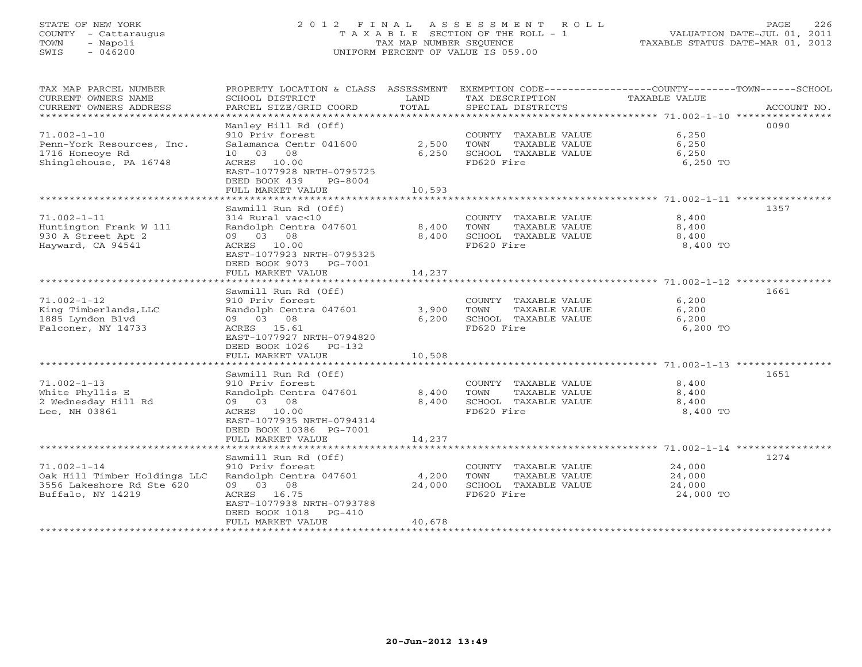# STATE OF NEW YORK 2 0 1 2 F I N A L A S S E S S M E N T R O L L PAGE 226 COUNTY - Cattaraugus T A X A B L E SECTION OF THE ROLL - 1 VALUATION DATE-JUL 01, 2011 TOWN - Napoli TAX MAP NUMBER SEQUENCE TAXABLE STATUS DATE-MAR 01, 2012 SWIS - 046200 UNIFORM PERCENT OF VALUE IS 059.00UNIFORM PERCENT OF VALUE IS 059.00

| PARCEL SIZE/GRID COORD                                                                                                                                                       | TOTAL                                                                                                                                                                                                  | SPECIAL DISTRICTS                                                                                                      |                                                 | ACCOUNT NO.                                                                                                                                                                                                                                           |
|------------------------------------------------------------------------------------------------------------------------------------------------------------------------------|--------------------------------------------------------------------------------------------------------------------------------------------------------------------------------------------------------|------------------------------------------------------------------------------------------------------------------------|-------------------------------------------------|-------------------------------------------------------------------------------------------------------------------------------------------------------------------------------------------------------------------------------------------------------|
|                                                                                                                                                                              |                                                                                                                                                                                                        |                                                                                                                        |                                                 | 0090                                                                                                                                                                                                                                                  |
| 910 Priv forest<br>10 03 08                                                                                                                                                  | 2,500<br>6,250                                                                                                                                                                                         | TOWN<br>TAXABLE VALUE<br>SCHOOL TAXABLE VALUE                                                                          | 6,250<br>6,250<br>6,250                         |                                                                                                                                                                                                                                                       |
| EAST-1077928 NRTH-0795725<br>DEED BOOK 439<br>PG-8004<br>FULL MARKET VALUE                                                                                                   | 10,593                                                                                                                                                                                                 |                                                                                                                        |                                                 |                                                                                                                                                                                                                                                       |
|                                                                                                                                                                              |                                                                                                                                                                                                        |                                                                                                                        |                                                 |                                                                                                                                                                                                                                                       |
| 314 Rural vac<10<br>09 03 08<br>ACRES 10.00<br>EAST-1077923 NRTH-0795325                                                                                                     | 8,400                                                                                                                                                                                                  | COUNTY TAXABLE VALUE<br>TOWN<br>TAXABLE VALUE<br>SCHOOL TAXABLE VALUE<br>FD620 Fire                                    | 8,400<br>8,400<br>8,400                         | 1357                                                                                                                                                                                                                                                  |
| FULL MARKET VALUE                                                                                                                                                            | 14,237                                                                                                                                                                                                 |                                                                                                                        |                                                 |                                                                                                                                                                                                                                                       |
|                                                                                                                                                                              |                                                                                                                                                                                                        |                                                                                                                        |                                                 |                                                                                                                                                                                                                                                       |
| 910 Priv forest<br>09 03 08<br>ACRES 15.61<br>EAST-1077927 NRTH-0794820                                                                                                      | 6,200                                                                                                                                                                                                  | COUNTY TAXABLE VALUE<br>TAXABLE VALUE<br>TOWN<br>SCHOOL TAXABLE VALUE<br>FD620 Fire                                    | 6,200<br>6,200<br>6,200                         | 1661                                                                                                                                                                                                                                                  |
| FULL MARKET VALUE                                                                                                                                                            | 10,508                                                                                                                                                                                                 |                                                                                                                        |                                                 |                                                                                                                                                                                                                                                       |
|                                                                                                                                                                              |                                                                                                                                                                                                        |                                                                                                                        |                                                 |                                                                                                                                                                                                                                                       |
| 910 Priv forest<br>09 03 08<br>ACRES 10.00<br>EAST-1077935 NRTH-0794314<br>DEED BOOK 10386 PG-7001                                                                           | 8,400<br>8,400                                                                                                                                                                                         | TAXABLE VALUE<br>TOWN<br>SCHOOL TAXABLE VALUE<br>FD620 Fire                                                            | 8,400<br>8,400<br>8,400                         | 1651                                                                                                                                                                                                                                                  |
|                                                                                                                                                                              |                                                                                                                                                                                                        |                                                                                                                        |                                                 |                                                                                                                                                                                                                                                       |
| Sawmill Run Rd (Off)<br>910 Priv forest<br>Randolph Centra 047601<br>09 03 08<br>ACRES 16.75<br>EAST-1077938 NRTH-0793788<br>DEED BOOK 1018<br>$PG-410$<br>FULL MARKET VALUE | 4,200<br>24,000<br>40,678                                                                                                                                                                              | TOWN<br>TAXABLE VALUE<br>SCHOOL TAXABLE VALUE<br>FD620 Fire                                                            | 24,000<br>24,000<br>24,000                      | 1274                                                                                                                                                                                                                                                  |
|                                                                                                                                                                              | SCHOOL DISTRICT<br>Manley Hill Rd (Off)<br>ACRES 10.00<br>Sawmill Run Rd (Off)<br>DEED BOOK 9073 PG-7001<br>Sawmill Run Rd (Off)<br>DEED BOOK 1026 PG-132<br>Sawmill Run Rd (Off)<br>FULL MARKET VALUE | LAND<br>Salamanca Centr 041600<br>Randolph Centra 047601<br>Randolph Centra 047601<br>Randolph Centra 047601<br>14,237 | TAX DESCRIPTION<br>FD620 Fire<br>8,400<br>3,900 | PROPERTY LOCATION & CLASS ASSESSMENT EXEMPTION CODE---------------COUNTY-------TOWN------SCHOOL<br>TAXABLE VALUE<br>COUNTY TAXABLE VALUE<br>6,250 TO<br>8,400 TO<br>6,200 TO<br>COUNTY TAXABLE VALUE<br>8,400 TO<br>COUNTY TAXABLE VALUE<br>24,000 TO |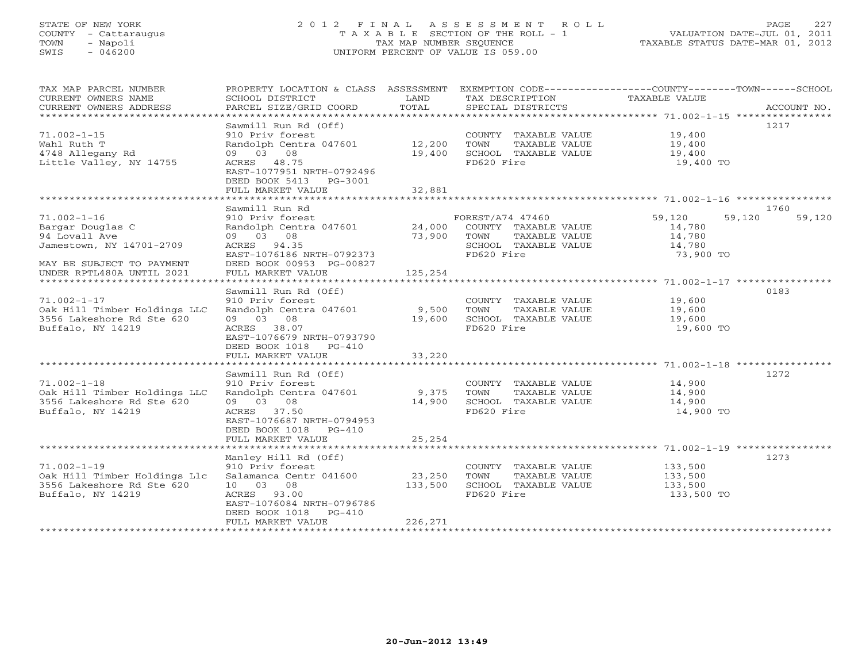# STATE OF NEW YORK 2 0 1 2 F I N A L A S S E S S M E N T R O L L PAGE 227 COUNTY - Cattaraugus T A X A B L E SECTION OF THE ROLL - 1 VALUATION DATE-JUL 01, 2011 TOWN - Napoli TAX MAP NUMBER SEQUENCE TAXABLE STATUS DATE-MAR 01, 2012 SWIS - 046200 UNIFORM PERCENT OF VALUE IS 059.00UNIFORM PERCENT OF VALUE IS 059.00

| SCHOOL DISTRICT<br>PARCEL SIZE/GRID COORD                                                                                                                                    | LAND<br>TOTAL                                               | TAX DESCRIPTION<br>SPECIAL DISTRICTS                                                                              | ACCOUNT NO.                                                           |                                                                                                                                                                                                                                                                                                               |
|------------------------------------------------------------------------------------------------------------------------------------------------------------------------------|-------------------------------------------------------------|-------------------------------------------------------------------------------------------------------------------|-----------------------------------------------------------------------|---------------------------------------------------------------------------------------------------------------------------------------------------------------------------------------------------------------------------------------------------------------------------------------------------------------|
| Sawmill Run Rd (Off)<br>910 Priv forest<br>09 03 08<br>ACRES 48.75<br>EAST-1077951 NRTH-0792496<br>DEED BOOK 5413<br>PG-3001<br>FULL MARKET VALUE                            | 19,400<br>32,881                                            | TOWN<br>TAXABLE VALUE<br>SCHOOL TAXABLE VALUE<br>FD620 Fire                                                       | 1217<br>19,400<br>19,400 TO                                           |                                                                                                                                                                                                                                                                                                               |
|                                                                                                                                                                              |                                                             |                                                                                                                   |                                                                       |                                                                                                                                                                                                                                                                                                               |
| 910 Priv forest<br>09 03 08<br>ACRES 94.35<br>EAST-1076186 NRTH-0792373<br>DEED BOOK 00953 PG-00827<br>FULL MARKET VALUE                                                     | 73,900<br>125,254                                           | TOWN<br>FD620 Fire                                                                                                | 59,120<br>59,120<br>14,780<br>14,780<br>14,780<br>73,900 TO           | 59,120                                                                                                                                                                                                                                                                                                        |
|                                                                                                                                                                              |                                                             |                                                                                                                   |                                                                       |                                                                                                                                                                                                                                                                                                               |
| 910 Priv forest<br>09 03 08<br>ACRES 38.07<br>EAST-1076679 NRTH-0793790<br>DEED BOOK 1018 PG-410                                                                             |                                                             | TOWN<br>TAXABLE VALUE<br>SCHOOL TAXABLE VALUE<br>FD620 Fire                                                       | 19,600<br>19,600<br>19,600 TO                                         |                                                                                                                                                                                                                                                                                                               |
| FULL MARKET VALUE                                                                                                                                                            | 33,220                                                      |                                                                                                                   |                                                                       |                                                                                                                                                                                                                                                                                                               |
| Sawmill Run Rd (Off)<br>910 Priv forest<br>09 03 08<br>ACRES 37.50<br>EAST-1076687 NRTH-0794953<br>DEED BOOK 1018 PG-410                                                     | 14,900                                                      | TOWN<br>TAXABLE VALUE<br>SCHOOL TAXABLE VALUE<br>FD620 Fire                                                       | 1272<br>14,900<br>14,900<br>14,900<br>14,900 TO                       |                                                                                                                                                                                                                                                                                                               |
|                                                                                                                                                                              |                                                             |                                                                                                                   |                                                                       |                                                                                                                                                                                                                                                                                                               |
| Manley Hill Rd (Off)<br>910 Priv forest<br>Salamanca Centr 041600<br>10 03 08<br>ACRES 93.00<br>EAST-1076084 NRTH-0796786<br>DEED BOOK 1018<br>$PG-410$<br>FULL MARKET VALUE | 23,250<br>133,500<br>226,271                                | TOWN<br>TAXABLE VALUE<br>SCHOOL TAXABLE VALUE<br>FD620 Fire                                                       | 1273<br>133,500<br>133,500<br>133,500<br>133,500 TO                   |                                                                                                                                                                                                                                                                                                               |
|                                                                                                                                                                              | Sawmill Run Rd<br>Sawmill Run Rd (Off)<br>FULL MARKET VALUE | Randolph Centra 047601 12,200<br>Randolph Centra 047601 9,500<br>19,600<br>Randolph Centra 047601 9,375<br>25,254 | PROPERTY LOCATION & CLASS ASSESSMENT<br>Randolph Centra 047601 24,000 | EXEMPTION CODE-----------------COUNTY-------TOWN------SCHOOL<br>TAXABLE VALUE<br>COUNTY TAXABLE VALUE 19,400<br>19,400<br>1760<br>FOREST/A74 47460<br>COUNTY TAXABLE VALUE<br>TAXABLE VALUE<br>SCHOOL TAXABLE VALUE<br>0183<br>COUNTY TAXABLE VALUE<br>19,600<br>COUNTY TAXABLE VALUE<br>COUNTY TAXABLE VALUE |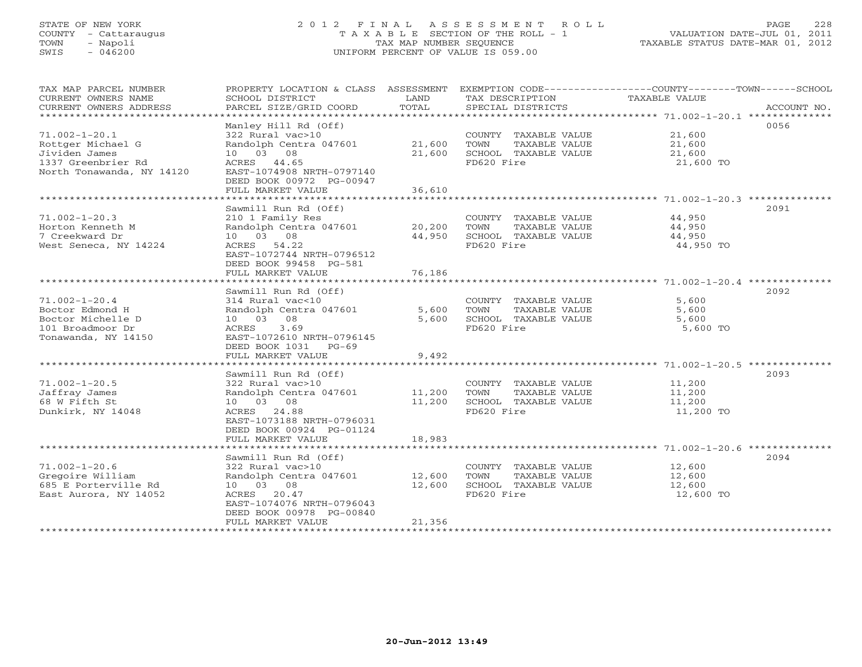# STATE OF NEW YORK 2 0 1 2 F I N A L A S S E S S M E N T R O L L PAGE 228 COUNTY - Cattaraugus T A X A B L E SECTION OF THE ROLL - 1 VALUATION DATE-JUL 01, 2011 TOWN - Napoli TAX MAP NUMBER SEQUENCE TAXABLE STATUS DATE-MAR 01, 2012 SWIS - 046200 UNIFORM PERCENT OF VALUE IS 059.00UNIFORM PERCENT OF VALUE IS 059.00

| TAX MAP PARCEL NUMBER<br>CURRENT OWNERS NAME<br>CURRENT OWNERS ADDRESS<br>**********************             | PROPERTY LOCATION & CLASS ASSESSMENT<br>SCHOOL DISTRICT<br>PARCEL SIZE/GRID COORD                                                                                                                        | LAND<br>TOTAL              | TAX DESCRIPTION<br>SPECIAL DISTRICTS                                                | EXEMPTION CODE-----------------COUNTY-------TOWN------SCHOOL<br>TAXABLE VALUE<br>ACCOUNT NO.      |
|--------------------------------------------------------------------------------------------------------------|----------------------------------------------------------------------------------------------------------------------------------------------------------------------------------------------------------|----------------------------|-------------------------------------------------------------------------------------|---------------------------------------------------------------------------------------------------|
| $71.002 - 1 - 20.1$<br>Rottger Michael G<br>Jividen James<br>1337 Greenbrier Rd<br>North Tonawanda, NY 14120 | Manley Hill Rd (Off)<br>322 Rural vac>10<br>Randolph Centra 047601<br>10  03  08<br>ACRES 44.65<br>EAST-1074908 NRTH-0797140<br>DEED BOOK 00972 PG-00947<br>FULL MARKET VALUE                            | 21,600<br>21,600<br>36,610 | COUNTY TAXABLE VALUE<br>TAXABLE VALUE<br>TOWN<br>SCHOOL TAXABLE VALUE<br>FD620 Fire | 0056<br>21,600<br>21,600<br>21,600<br>21,600 TO                                                   |
| $71.002 - 1 - 20.3$                                                                                          | Sawmill Run Rd (Off)<br>210 1 Family Res                                                                                                                                                                 |                            | COUNTY TAXABLE VALUE                                                                | 2091<br>44,950                                                                                    |
| Horton Kenneth M<br>7 Creekward Dr<br>West Seneca, NY 14224                                                  | Randolph Centra 047601<br>10 03 08<br>ACRES 54.22<br>EAST-1072744 NRTH-0796512<br>DEED BOOK 99458 PG-581                                                                                                 | 20,200<br>44,950           | TAXABLE VALUE<br>TOWN<br>SCHOOL TAXABLE VALUE<br>FD620 Fire                         | 44,950<br>44,950<br>44,950 TO                                                                     |
| *************************                                                                                    | FULL MARKET VALUE                                                                                                                                                                                        | 76,186                     |                                                                                     |                                                                                                   |
| $71.002 - 1 - 20.4$<br>Boctor Edmond H<br>Boctor Michelle D<br>101 Broadmoor Dr<br>Tonawanda, NY 14150       | Sawmill Run Rd (Off)<br>314 Rural vac<10<br>Randolph Centra 047601<br>10 03<br>08<br>3.69<br>ACRES<br>EAST-1072610 NRTH-0796145<br>DEED BOOK 1031 PG-69                                                  | 5,600<br>5,600             | COUNTY TAXABLE VALUE<br>TOWN<br>TAXABLE VALUE<br>SCHOOL TAXABLE VALUE<br>FD620 Fire | 2092<br>5,600<br>5,600<br>5,600<br>5,600 TO                                                       |
|                                                                                                              | FULL MARKET VALUE<br>*********************                                                                                                                                                               | 9,492                      |                                                                                     |                                                                                                   |
| $71.002 - 1 - 20.5$<br>Jaffray James<br>68 W Fifth St<br>Dunkirk, NY 14048                                   | Sawmill Run Rd (Off)<br>322 Rural vac>10<br>Randolph Centra 047601<br>10 03 08<br>ACRES 24.88<br>EAST-1073188 NRTH-0796031<br>DEED BOOK 00924 PG-01124<br>FULL MARKET VALUE                              | 11,200<br>11,200<br>18,983 | COUNTY TAXABLE VALUE<br>TOWN<br>TAXABLE VALUE<br>SCHOOL TAXABLE VALUE<br>FD620 Fire | ********************* 71.002-1-20.5 **********<br>2093<br>11,200<br>11,200<br>11,200<br>11,200 TO |
|                                                                                                              |                                                                                                                                                                                                          |                            |                                                                                     |                                                                                                   |
| $71.002 - 1 - 20.6$<br>Gregoire William<br>685 E Porterville Rd<br>East Aurora, NY 14052                     | Sawmill Run Rd (Off)<br>322 Rural vac>10<br>Randolph Centra 047601<br>10  03  08<br>ACRES 20.47<br>EAST-1074076 NRTH-0796043<br>DEED BOOK 00978 PG-00840<br>FULL MARKET VALUE<br>*********************** | 12,600<br>12,600<br>21,356 | COUNTY TAXABLE VALUE<br>TOWN<br>TAXABLE VALUE<br>SCHOOL TAXABLE VALUE<br>FD620 Fire | 2094<br>12,600<br>12,600<br>12,600<br>12,600 TO                                                   |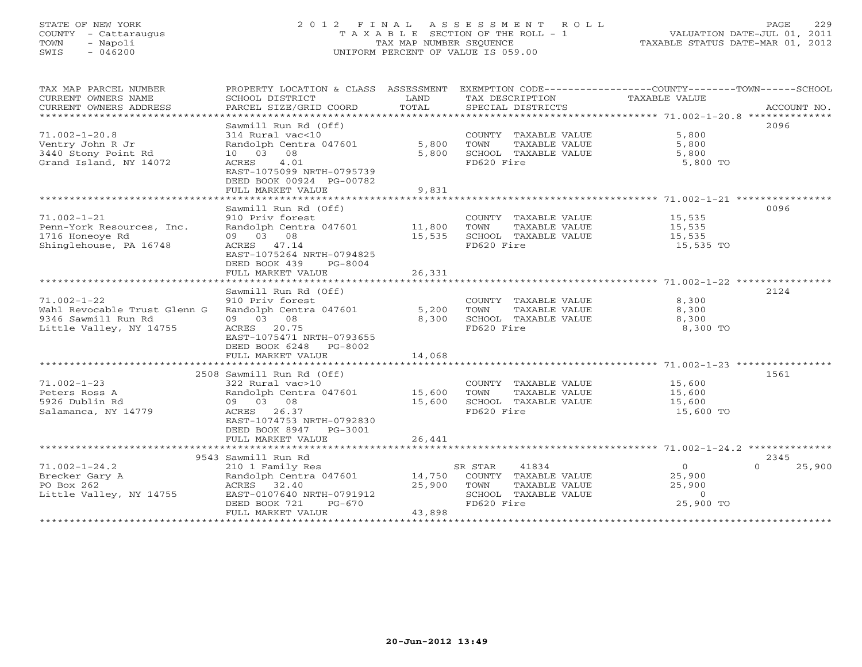# STATE OF NEW YORK 2 0 1 2 F I N A L A S S E S S M E N T R O L L PAGE 229 COUNTY - Cattaraugus T A X A B L E SECTION OF THE ROLL - 1 VALUATION DATE-JUL 01, 2011 TOWN - Napoli TAX MAP NUMBER SEQUENCE TAXABLE STATUS DATE-MAR 01, 2012 SWIS - 046200 UNIFORM PERCENT OF VALUE IS 059.00UNIFORM PERCENT OF VALUE IS 059.00

| TAX MAP PARCEL NUMBER          | PROPERTY LOCATION & CLASS ASSESSMENT EXEMPTION CODE---------------COUNTY-------TOWN------SCHOOL |             |                                                                            |                                            |                    |
|--------------------------------|-------------------------------------------------------------------------------------------------|-------------|----------------------------------------------------------------------------|--------------------------------------------|--------------------|
| CURRENT OWNERS NAME            | SCHOOL DISTRICT                                                                                 | LAND        | TAX DESCRIPTION                                                            | <b>TAXABLE VALUE</b>                       |                    |
| CURRENT OWNERS ADDRESS         |                                                                                                 |             |                                                                            |                                            |                    |
| ****************************** |                                                                                                 |             |                                                                            |                                            |                    |
|                                | Sawmill Run Rd (Off)                                                                            |             |                                                                            |                                            | 2096               |
| $71.002 - 1 - 20.8$            | 314 Rural vac<10                                                                                |             | COUNTY TAXABLE VALUE                                                       | 5,800                                      |                    |
| Ventry John R Jr               | Randolph Centra 047601 5,800                                                                    |             | TOWN                                                                       |                                            |                    |
| 3440 Stony Point Rd            | 10 03 08                                                                                        | 5,800       | TOWN FIRABLE VALUE<br>SCHOOL TAXABLE VALUE                                 | TAXABLE VALUE 5,800<br>TAXABLE VALUE 5,800 |                    |
| Grand Island, NY 14072         | ACRES<br>4.01                                                                                   |             | FD620 Fire                                                                 | 5,800 TO                                   |                    |
|                                | EAST-1075099 NRTH-0795739                                                                       |             |                                                                            |                                            |                    |
|                                | DEED BOOK 00924 PG-00782                                                                        |             |                                                                            |                                            |                    |
|                                | FULL MARKET VALUE                                                                               | 9,831       |                                                                            |                                            |                    |
|                                |                                                                                                 |             |                                                                            |                                            |                    |
|                                | Sawmill Run Rd (Off)                                                                            |             |                                                                            |                                            | 0096               |
| $71.002 - 1 - 21$              | 910 Priv forest                                                                                 |             | COUNTY TAXABLE VALUE 15,535                                                |                                            |                    |
| Penn-York Resources, Inc.      | Randolph Centra 047601 11,800 TOWN                                                              |             |                                                                            | TAXABLE VALUE 15,535                       |                    |
| 1716 Honeoye Rd                | 09 03 08                                                                                        |             | 15,535 SCHOOL TAXABLE VALUE                                                |                                            |                    |
| Shinglehouse, PA 16748         | ACRES 47.14                                                                                     |             | FD620 Fire                                                                 | 15,535<br>15,535 TO                        |                    |
|                                | EAST-1075264 NRTH-0794825                                                                       |             |                                                                            |                                            |                    |
|                                | DEED BOOK 439 PG-8004                                                                           |             |                                                                            |                                            |                    |
|                                | FULL MARKET VALUE                                                                               | 26,331      |                                                                            |                                            |                    |
|                                |                                                                                                 |             |                                                                            |                                            |                    |
|                                |                                                                                                 |             |                                                                            |                                            |                    |
|                                | Sawmill Run Rd (Off)                                                                            |             |                                                                            |                                            | 2124               |
| $71.002 - 1 - 22$              | 910 Priv forest                                                                                 |             | COUNTY TAXABLE VALUE 8,300                                                 |                                            |                    |
| Wahl Revocable Trust Glenn G   | Randolph Centra 047601                                                                          |             | TAXABLE VALUE<br>5,200 TOWN                                                | 8,300                                      |                    |
| 9346 Sawmill Run Rd            | 09 03 08                                                                                        | 8,300       | SCHOOL TAXABLE VALUE 8,300                                                 |                                            |                    |
| Little Valley, NY 14755        | ACRES 20.75                                                                                     |             | FD620 Fire                                                                 | 8,300 TO                                   |                    |
|                                | EAST-1075471 NRTH-0793655                                                                       |             |                                                                            |                                            |                    |
|                                | DEED BOOK 6248 PG-8002                                                                          |             |                                                                            |                                            |                    |
|                                | FULL MARKET VALUE                                                                               | 14,068      |                                                                            |                                            |                    |
|                                |                                                                                                 |             |                                                                            |                                            |                    |
|                                | 2508 Sawmill Run Rd (Off)                                                                       |             |                                                                            |                                            | 1561               |
| $71.002 - 1 - 23$              | 322 Rural vac>10                                                                                |             | COUNTY TAXABLE VALUE 15,600<br>TOWN TAXABLE VALUE 15,600                   |                                            |                    |
| Peters Ross A                  | Randolph Centra 047601 15,600 TOWN                                                              |             |                                                                            |                                            |                    |
| 5926 Dublin Rd                 | 09 03 08                                                                                        |             | $15,600$ SCHOOL TAXABLE VALUE 15,600<br>15,600 SCHOOL TAXABLE VALUE 15,600 |                                            |                    |
| Salamanca, NY 14779            | ACRES 26.37                                                                                     |             | FD620 Fire                                                                 | 15,600 TO                                  |                    |
|                                | EAST-1074753 NRTH-0792830                                                                       |             |                                                                            |                                            |                    |
|                                | DEED BOOK 8947 PG-3001                                                                          |             |                                                                            |                                            |                    |
|                                | FULL MARKET VALUE                                                                               | 26,441      |                                                                            |                                            |                    |
|                                |                                                                                                 |             |                                                                            |                                            |                    |
|                                | 9543 Sawmill Run Rd                                                                             |             |                                                                            |                                            | 2345               |
| $71.002 - 1 - 24.2$            |                                                                                                 |             |                                                                            | 2r                                         | $\Omega$<br>25,900 |
| Brecker Gary A                 |                                                                                                 |             |                                                                            | 25,900                                     |                    |
| PO Box 262                     |                                                                                                 | 25,900 TOWN | TAXABLE VALUE                                                              | 25,900                                     |                    |
| Little Valley, NY 14755        |                                                                                                 |             | SCHOOL TAXABLE VALUE                                                       | $\circ$                                    |                    |
|                                | ACRES 32.40 25,900<br>EAST-0107640 NRTH-0791912<br>DEED BOOK 721 PG-670                         |             | FD620 Fire                                                                 | 25,900 TO                                  |                    |
|                                | FULL MARKET VALUE                                                                               | 43,898      |                                                                            |                                            |                    |
|                                |                                                                                                 |             |                                                                            |                                            |                    |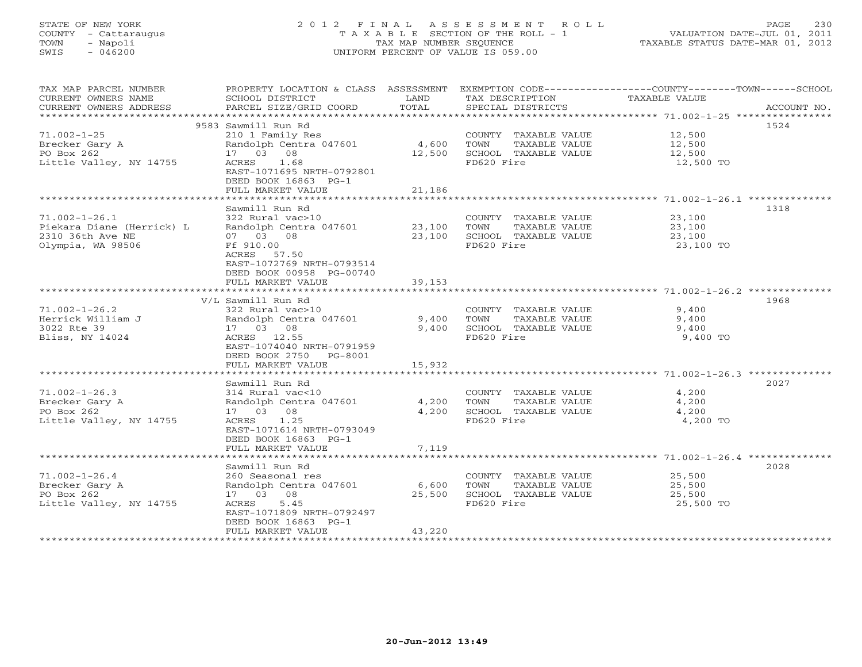# STATE OF NEW YORK 2 0 1 2 F I N A L A S S E S S M E N T R O L L PAGE 230 COUNTY - Cattaraugus T A X A B L E SECTION OF THE ROLL - 1 VALUATION DATE-JUL 01, 2011 TOWN - Napoli TAX MAP NUMBER SEQUENCE TAXABLE STATUS DATE-MAR 01, 2012 SWIS - 046200 UNIFORM PERCENT OF VALUE IS 059.00UNIFORM PERCENT OF VALUE IS 059.00

| TAX MAP PARCEL NUMBER<br>CURRENT OWNERS NAME | PROPERTY LOCATION & CLASS ASSESSMENT<br>SCHOOL DISTRICT | LAND   | EXEMPTION CODE-----------------COUNTY-------TOWN-----SCHOOL<br>TAX DESCRIPTION | <b>TAXABLE VALUE</b> |             |
|----------------------------------------------|---------------------------------------------------------|--------|--------------------------------------------------------------------------------|----------------------|-------------|
| CURRENT OWNERS ADDRESS                       | PARCEL SIZE/GRID COORD                                  | TOTAL  | SPECIAL DISTRICTS                                                              |                      | ACCOUNT NO. |
|                                              | 9583 Sawmill Run Rd                                     |        |                                                                                |                      | 1524        |
| $71.002 - 1 - 25$                            | 210 1 Family Res                                        |        | COUNTY TAXABLE VALUE                                                           | 12,500               |             |
| Brecker Gary A                               | Randolph Centra 047601                                  | 4,600  | TOWN<br>TAXABLE VALUE                                                          | 12,500               |             |
| PO Box 262                                   | 17 03 08                                                | 12,500 | SCHOOL TAXABLE VALUE                                                           | 12,500               |             |
| Little Valley, NY 14755                      | ACRES<br>1.68                                           |        | FD620 Fire                                                                     | 12,500 TO            |             |
|                                              | EAST-1071695 NRTH-0792801                               |        |                                                                                |                      |             |
|                                              | DEED BOOK 16863 PG-1<br>FULL MARKET VALUE               | 21,186 |                                                                                |                      |             |
|                                              |                                                         |        |                                                                                |                      |             |
|                                              | Sawmill Run Rd                                          |        |                                                                                |                      | 1318        |
| $71.002 - 1 - 26.1$                          | 322 Rural vac>10                                        |        | COUNTY TAXABLE VALUE                                                           | 23,100               |             |
| Piekara Diane (Herrick) L                    | Randolph Centra 047601                                  | 23,100 | TOWN<br>TAXABLE VALUE                                                          | 23,100               |             |
| 2310 36th Ave NE                             | 07 03 08                                                | 23,100 | SCHOOL TAXABLE VALUE                                                           | 23,100               |             |
| Olympia, WA 98506                            | Ff 910.00                                               |        | FD620 Fire                                                                     | 23,100 TO            |             |
|                                              | ACRES 57.50                                             |        |                                                                                |                      |             |
|                                              | EAST-1072769 NRTH-0793514                               |        |                                                                                |                      |             |
|                                              | DEED BOOK 00958 PG-00740                                |        |                                                                                |                      |             |
|                                              | FULL MARKET VALUE                                       | 39,153 |                                                                                |                      |             |
|                                              |                                                         |        |                                                                                |                      |             |
|                                              | V/L Sawmill Run Rd                                      |        |                                                                                |                      | 1968        |
| $71.002 - 1 - 26.2$                          | 322 Rural vac>10                                        |        | COUNTY TAXABLE VALUE                                                           | 9,400                |             |
| Herrick William J                            | Randolph Centra 047601                                  | 9,400  | TAXABLE VALUE<br>TOWN                                                          | 9,400                |             |
| 3022 Rte 39                                  | 17 03 08                                                | 9,400  | SCHOOL TAXABLE VALUE                                                           | 9,400                |             |
| Bliss, NY 14024                              | ACRES 12.55                                             |        | FD620 Fire                                                                     | 9,400 TO             |             |
|                                              | EAST-1074040 NRTH-0791959                               |        |                                                                                |                      |             |
|                                              | DEED BOOK 2750<br>PG-8001                               |        |                                                                                |                      |             |
|                                              | FULL MARKET VALUE                                       | 15,932 |                                                                                |                      |             |
|                                              | Sawmill Run Rd                                          |        |                                                                                |                      | 2027        |
| $71.002 - 1 - 26.3$                          | 314 Rural vac<10                                        |        |                                                                                |                      |             |
| Brecker Gary A                               | Randolph Centra 047601                                  | 4,200  | COUNTY TAXABLE VALUE<br>TOWN<br>TAXABLE VALUE                                  | 4,200<br>4,200       |             |
| PO Box 262                                   | 17 03 08                                                | 4,200  | SCHOOL TAXABLE VALUE                                                           | 4,200                |             |
| Little Valley, NY 14755                      | ACRES<br>1.25                                           |        | FD620 Fire                                                                     | 4,200 TO             |             |
|                                              | EAST-1071614 NRTH-0793049                               |        |                                                                                |                      |             |
|                                              | DEED BOOK 16863 PG-1                                    |        |                                                                                |                      |             |
|                                              | FULL MARKET VALUE                                       | 7,119  |                                                                                |                      |             |
|                                              |                                                         |        |                                                                                |                      |             |
|                                              | Sawmill Run Rd                                          |        |                                                                                |                      | 2028        |
| $71.002 - 1 - 26.4$                          | 260 Seasonal res                                        |        | COUNTY TAXABLE VALUE                                                           | 25,500               |             |
| Brecker Gary A                               | Randolph Centra 047601                                  | 6,600  | TOWN<br>TAXABLE VALUE                                                          | 25,500               |             |
| PO Box 262                                   | 17 03 08                                                | 25,500 | SCHOOL TAXABLE VALUE                                                           | 25,500               |             |
| Little Valley, NY 14755                      | ACRES<br>5.45                                           |        | FD620 Fire                                                                     | 25,500 TO            |             |
|                                              | EAST-1071809 NRTH-0792497                               |        |                                                                                |                      |             |
|                                              | DEED BOOK 16863 PG-1                                    |        |                                                                                |                      |             |
|                                              | FULL MARKET VALUE                                       | 43,220 |                                                                                |                      |             |
|                                              |                                                         |        |                                                                                |                      |             |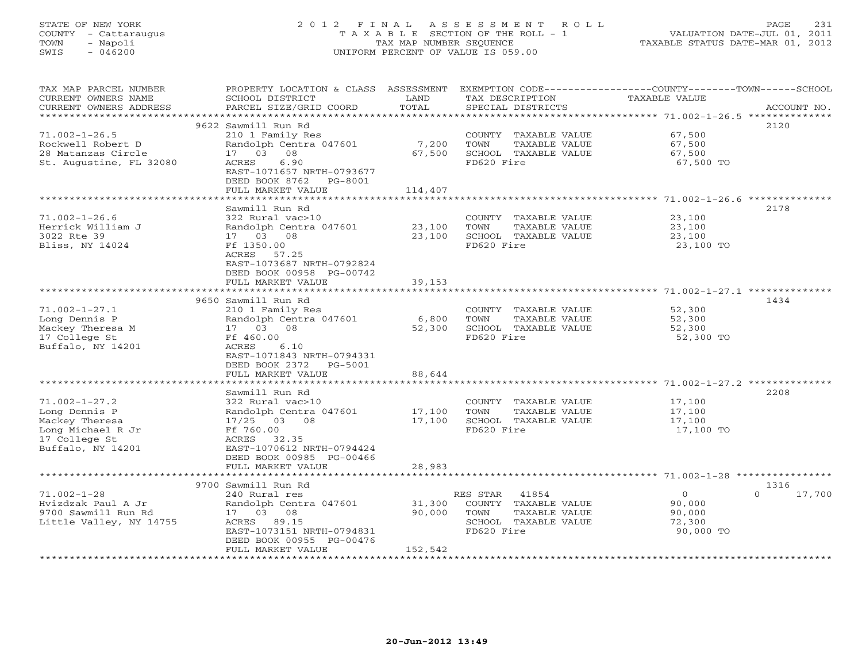# STATE OF NEW YORK 2 0 1 2 F I N A L A S S E S S M E N T R O L L PAGE 231 COUNTY - Cattaraugus T A X A B L E SECTION OF THE ROLL - 1 VALUATION DATE-JUL 01, 2011 TOWN - Napoli TAX MAP NUMBER SEQUENCE TAXABLE STATUS DATE-MAR 01, 2012 SWIS - 046200 UNIFORM PERCENT OF VALUE IS 059.00UNIFORM PERCENT OF VALUE IS 059.00

| TAX MAP PARCEL NUMBER<br>CURRENT OWNERS NAME<br>CURRENT OWNERS ADDRESS                                            | PROPERTY LOCATION & CLASS ASSESSMENT<br>SCHOOL DISTRICT<br>PARCEL SIZE/GRID COORD                                                                                     | LAND<br>TOTAL               | TAX DESCRIPTION<br>SPECIAL DISTRICTS                                                                         | EXEMPTION CODE-----------------COUNTY-------TOWN------SCHOOL<br><b>TAXABLE VALUE</b> | ACCOUNT NO. |
|-------------------------------------------------------------------------------------------------------------------|-----------------------------------------------------------------------------------------------------------------------------------------------------------------------|-----------------------------|--------------------------------------------------------------------------------------------------------------|--------------------------------------------------------------------------------------|-------------|
|                                                                                                                   |                                                                                                                                                                       |                             |                                                                                                              |                                                                                      |             |
| $71.002 - 1 - 26.5$<br>Rockwell Robert D<br>28 Matanzas Circle<br>St. Augustine, FL 32080                         | 9622 Sawmill Run Rd<br>210 1 Family Res<br>Randolph Centra 047601<br>17 03 08<br>6.90<br>ACRES<br>EAST-1071657 NRTH-0793677<br>DEED BOOK 8762 PG-8001                 | 7,200<br>67,500             | COUNTY TAXABLE VALUE<br>TOWN<br>TAXABLE VALUE<br>SCHOOL TAXABLE VALUE<br>FD620 Fire                          | 67,500<br>67,500<br>67,500<br>67,500 TO                                              | 2120        |
|                                                                                                                   | FULL MARKET VALUE                                                                                                                                                     | 114,407                     |                                                                                                              |                                                                                      |             |
|                                                                                                                   |                                                                                                                                                                       |                             |                                                                                                              |                                                                                      |             |
| $71.002 - 1 - 26.6$<br>Herrick William J<br>3022 Rte 39<br>Bliss, NY 14024                                        | Sawmill Run Rd<br>322 Rural vac>10<br>Randolph Centra 047601<br>17 03 08<br>Ff 1350.00<br>ACRES 57.25<br>EAST-1073687 NRTH-0792824<br>DEED BOOK 00958 PG-00742        | 23,100<br>23,100            | COUNTY TAXABLE VALUE<br>TAXABLE VALUE<br>TOWN<br>SCHOOL TAXABLE VALUE<br>FD620 Fire                          | 23,100<br>23,100<br>23,100<br>23,100 TO                                              | 2178        |
|                                                                                                                   | FULL MARKET VALUE                                                                                                                                                     | 39,153                      |                                                                                                              |                                                                                      |             |
|                                                                                                                   | 9650 Sawmill Run Rd                                                                                                                                                   |                             |                                                                                                              |                                                                                      | 1434        |
| $71.002 - 1 - 27.1$<br>Long Dennis P<br>Mackey Theresa M<br>17 College St<br>Buffalo, NY 14201                    | 210 1 Family Res<br>Randolph Centra 047601<br>17 03 08<br>Ff 460.00<br>6.10<br>ACRES<br>EAST-1071843 NRTH-0794331<br>DEED BOOK 2372<br>PG-5001                        | 6,800<br>52,300             | COUNTY TAXABLE VALUE<br>TOWN<br>TAXABLE VALUE<br>SCHOOL TAXABLE VALUE<br>FD620 Fire                          | 52,300<br>52,300<br>52,300<br>52,300 TO                                              |             |
|                                                                                                                   | FULL MARKET VALUE                                                                                                                                                     | 88,644                      |                                                                                                              |                                                                                      |             |
|                                                                                                                   | *************************<br>Sawmill Run Rd                                                                                                                           | **************              |                                                                                                              | **************************************71.002-1-27.2 ***************                  | 2208        |
| $71.002 - 1 - 27.2$<br>Long Dennis P<br>Mackey Theresa<br>Long Michael R Jr<br>17 College St<br>Buffalo, NY 14201 | 322 Rural vac>10<br>Randolph Centra 047601<br>$17/25$ 03 08<br>Ff 760.00<br>ACRES 32.35<br>EAST-1070612 NRTH-0794424<br>DEED BOOK 00985 PG-00466<br>FULL MARKET VALUE | 17,100<br>17,100<br>28,983  | COUNTY TAXABLE VALUE<br>TAXABLE VALUE<br>TOWN<br>SCHOOL TAXABLE VALUE<br>FD620 Fire                          | 17,100<br>17,100<br>17,100<br>17,100 TO                                              |             |
|                                                                                                                   |                                                                                                                                                                       |                             |                                                                                                              |                                                                                      |             |
|                                                                                                                   | 9700 Sawmill Run Rd                                                                                                                                                   |                             |                                                                                                              |                                                                                      | 1316        |
| $71.002 - 1 - 28$<br>Hvizdzak Paul A Jr<br>9700 Sawmill Run Rd<br>Little Valley, NY 14755                         | 240 Rural res<br>Randolph Centra 047601<br>17 03 08<br>ACRES 89.15<br>EAST-1073151 NRTH-0794831<br>DEED BOOK 00955 PG-00476<br>FULL MARKET VALUE                      | 31,300<br>90,000<br>152,542 | RES STAR 41854<br>COUNTY TAXABLE VALUE<br>TOWN<br><b>TAXABLE VALUE</b><br>SCHOOL TAXABLE VALUE<br>FD620 Fire | $\circ$<br>$\Omega$<br>90,000<br>90,000<br>72,300<br>90,000 TO                       | 17,700      |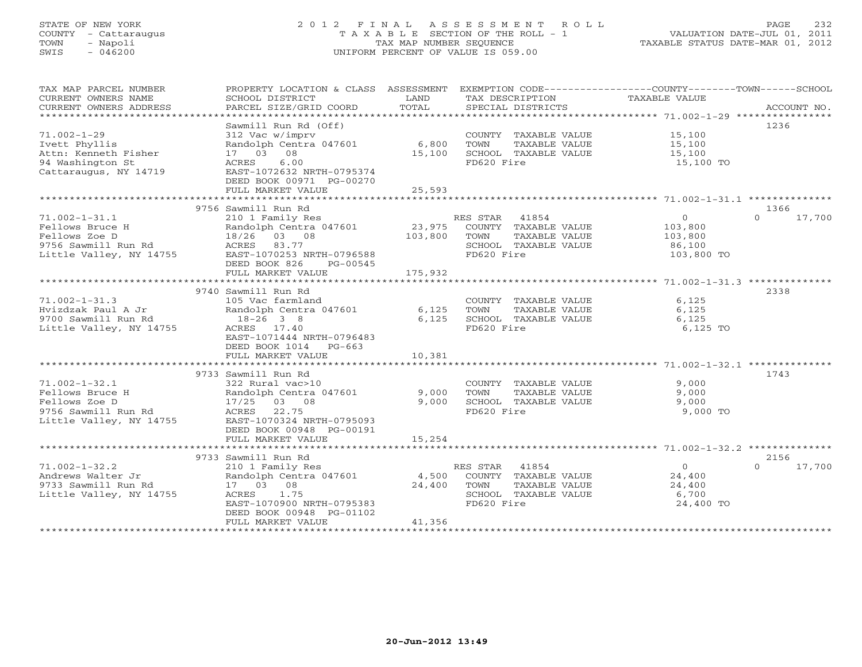# STATE OF NEW YORK 2 0 1 2 F I N A L A S S E S S M E N T R O L L PAGE 232 COUNTY - Cattaraugus T A X A B L E SECTION OF THE ROLL - 1 VALUATION DATE-JUL 01, 2011 TOWN - Napoli TAX MAP NUMBER SEQUENCE TAXABLE STATUS DATE-MAR 01, 2012 SWIS - 046200 UNIFORM PERCENT OF VALUE IS 059.00UNIFORM PERCENT OF VALUE IS 059.00

| TAX MAP PARCEL NUMBER                         | PROPERTY LOCATION & CLASS ASSESSMENT EXEMPTION CODE----------------COUNTY-------TOWN------SCHOOL |               |                                      |                |                    |
|-----------------------------------------------|--------------------------------------------------------------------------------------------------|---------------|--------------------------------------|----------------|--------------------|
| CURRENT OWNERS NAME<br>CURRENT OWNERS ADDRESS | SCHOOL DISTRICT<br>PARCEL SIZE/GRID COORD                                                        | LAND<br>TOTAL | TAX DESCRIPTION<br>SPECIAL DISTRICTS | TAXABLE VALUE  | ACCOUNT NO.        |
| **********************                        |                                                                                                  |               |                                      |                |                    |
|                                               | Sawmill Run Rd (Off)                                                                             |               |                                      |                | 1236               |
| $71.002 - 1 - 29$                             | 312 Vac w/imprv                                                                                  |               | COUNTY TAXABLE VALUE                 | 15,100         |                    |
| Ivett Phyllis                                 | Randolph Centra 047601                                                                           | 6,800         | TOWN<br>TAXABLE VALUE                | 15,100         |                    |
| Attn: Kenneth Fisher                          | 17 03<br>08                                                                                      | 15,100        | SCHOOL TAXABLE VALUE                 | 15,100         |                    |
| 94 Washington St                              | ACRES<br>6.00                                                                                    |               | FD620 Fire                           | 15,100 TO      |                    |
| Cattaraugus, NY 14719                         | EAST-1072632 NRTH-0795374                                                                        |               |                                      |                |                    |
|                                               | DEED BOOK 00971 PG-00270                                                                         |               |                                      |                |                    |
|                                               | FULL MARKET VALUE                                                                                | 25,593        |                                      |                |                    |
|                                               |                                                                                                  |               |                                      |                |                    |
|                                               | 9756 Sawmill Run Rd                                                                              |               |                                      |                | 1366               |
| $71.002 - 1 - 31.1$                           | 210 1 Family Res                                                                                 |               | 41854<br>RES STAR                    | $\circ$        | 17,700<br>$\Omega$ |
| Fellows Bruce H                               | Randolph Centra 047601                                                                           | 23,975        | COUNTY TAXABLE VALUE                 | 103,800        |                    |
| Fellows Zoe D                                 | 18/26<br>03 08                                                                                   | 103,800       | TOWN<br>TAXABLE VALUE                | 103,800        |                    |
| 9756 Sawmill Run Rd                           | 83.77<br>ACRES                                                                                   |               | SCHOOL TAXABLE VALUE                 | 86,100         |                    |
| Little Valley, NY 14755                       | EAST-1070253 NRTH-0796588                                                                        |               | FD620 Fire                           | 103,800 TO     |                    |
|                                               | DEED BOOK 826<br>PG-00545                                                                        |               |                                      |                |                    |
|                                               | FULL MARKET VALUE                                                                                | 175,932       |                                      |                |                    |
|                                               | 9740 Sawmill Run Rd                                                                              |               |                                      |                | 2338               |
| $71.002 - 1 - 31.3$                           | 105 Vac farmland                                                                                 |               | COUNTY TAXABLE VALUE                 | 6,125          |                    |
| Hvizdzak Paul A Jr                            | Randolph Centra 047601                                                                           | 6,125         | TOWN<br>TAXABLE VALUE                | 6,125          |                    |
| 9700 Sawmill Run Rd                           | $18-26$ 3 8                                                                                      | 6.125         | SCHOOL TAXABLE VALUE                 | 6,125          |                    |
| Little Valley, NY 14755                       | ACRES 17.40                                                                                      |               | FD620 Fire                           | 6,125 TO       |                    |
|                                               | EAST-1071444 NRTH-0796483                                                                        |               |                                      |                |                    |
|                                               | DEED BOOK 1014 PG-663                                                                            |               |                                      |                |                    |
|                                               | FULL MARKET VALUE                                                                                | 10,381        |                                      |                |                    |
|                                               |                                                                                                  |               |                                      |                |                    |
|                                               | 9733 Sawmill Run Rd                                                                              |               |                                      |                | 1743               |
| $71.002 - 1 - 32.1$                           | 322 Rural vac>10                                                                                 |               | COUNTY TAXABLE VALUE                 | 9,000          |                    |
| Fellows Bruce H                               | Randolph Centra 047601                                                                           | 9,000         | TOWN<br>TAXABLE VALUE                | 9,000          |                    |
| Fellows Zoe D                                 | 17/25 03 08                                                                                      | 9,000         | SCHOOL TAXABLE VALUE                 | 9,000          |                    |
| 9756 Sawmill Run Rd                           | ACRES<br>22.75                                                                                   |               | FD620 Fire                           | 9,000 TO       |                    |
| Little Valley, NY 14755                       | EAST-1070324 NRTH-0795093                                                                        |               |                                      |                |                    |
|                                               | DEED BOOK 00948 PG-00191<br>FULL MARKET VALUE                                                    | 15,254        |                                      |                |                    |
|                                               |                                                                                                  |               |                                      |                |                    |
|                                               | 9733 Sawmill Run Rd                                                                              |               |                                      |                | 2156               |
| $71.002 - 1 - 32.2$                           | 210 1 Family Res                                                                                 |               | RES STAR<br>41854                    | $\overline{O}$ | 17,700<br>$\Omega$ |
| Andrews Walter Jr                             | Randolph Centra 047601                                                                           | 4,500         | COUNTY TAXABLE VALUE                 | 24,400         |                    |
| 9733 Sawmill Run Rd                           | 17 03 08                                                                                         | 24,400        | TOWN<br>TAXABLE VALUE                | 24,400         |                    |
| Little Valley, NY 14755                       | ACRES<br>1.75                                                                                    |               | SCHOOL TAXABLE VALUE                 | 6,700          |                    |
|                                               | EAST-1070900 NRTH-0795383                                                                        |               | FD620 Fire                           | 24,400 TO      |                    |
|                                               | DEED BOOK 00948 PG-01102                                                                         |               |                                      |                |                    |
|                                               | FULL MARKET VALUE                                                                                | 41,356        |                                      |                |                    |
|                                               |                                                                                                  |               |                                      |                |                    |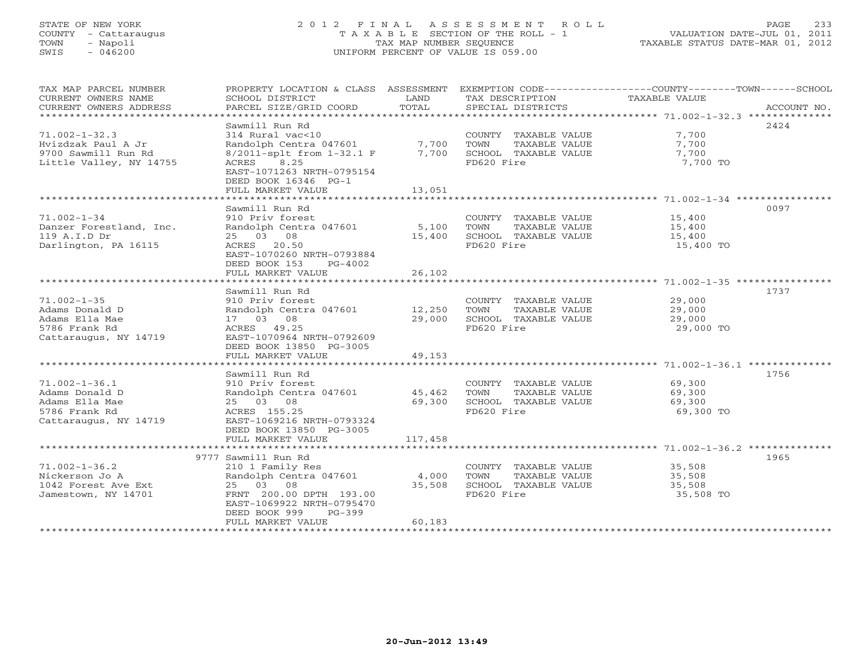# STATE OF NEW YORK 2 0 1 2 F I N A L A S S E S S M E N T R O L L PAGE 233 COUNTY - Cattaraugus T A X A B L E SECTION OF THE ROLL - 1 VALUATION DATE-JUL 01, 2011 TOWN - Napoli TAX MAP NUMBER SEQUENCE TAXABLE STATUS DATE-MAR 01, 2012 SWIS - 046200 UNIFORM PERCENT OF VALUE IS 059.00UNIFORM PERCENT OF VALUE IS 059.00

| TAX MAP PARCEL NUMBER<br>CURRENT OWNERS NAME<br>CURRENT OWNERS ADDRESS                            | PROPERTY LOCATION & CLASS ASSESSMENT EXEMPTION CODE---------------COUNTY-------TOWN------SCHOOL<br>SCHOOL DISTRICT<br>PARCEL SIZE/GRID COORD                                                     | LAND<br>TOTAL             | TAX DESCRIPTION<br>SPECIAL DISTRICTS                                                | TAXABLE VALUE                           | ACCOUNT NO. |
|---------------------------------------------------------------------------------------------------|--------------------------------------------------------------------------------------------------------------------------------------------------------------------------------------------------|---------------------------|-------------------------------------------------------------------------------------|-----------------------------------------|-------------|
| $71.002 - 1 - 32.3$<br>Hvizdzak Paul A Jr<br>9700 Sawmill Run Rd<br>Little Valley, NY 14755       | Sawmill Run Rd<br>314 Rural vac<10<br>Randolph Centra 047601 7,700<br>8/2011-splt from 1-32.1 F 7,700<br>8.25<br>ACRES<br>EAST-1071263 NRTH-0795154<br>DEED BOOK 16346 PG-1<br>FULL MARKET VALUE | 13,051                    | COUNTY TAXABLE VALUE<br>TOWN<br>TAXABLE VALUE<br>SCHOOL TAXABLE VALUE<br>FD620 Fire | 7,700<br>7,700<br>7,700<br>7,700 TO     | 2424        |
| $71.002 - 1 - 34$<br>Danzer Forestland, Inc.<br>119 A.I.D Dr<br>Darlington, PA 16115              | Sawmill Run Rd<br>910 Priv forest<br>Randolph Centra 047601<br>25 03 08<br>ACRES<br>20.50<br>EAST-1070260 NRTH-0793884<br>DEED BOOK 153<br>$PG-4002$                                             | 5,100<br>15,400<br>26,102 | COUNTY TAXABLE VALUE<br>TOWN<br>TAXABLE VALUE<br>SCHOOL TAXABLE VALUE<br>FD620 Fire | 15,400<br>15,400<br>15,400<br>15,400 TO | 0097        |
|                                                                                                   | FULL MARKET VALUE                                                                                                                                                                                |                           |                                                                                     |                                         |             |
| $71.002 - 1 - 35$<br>Adams Donald D<br>Adams Ella Mae<br>5786 Frank Rd<br>Cattaraugus, NY 14719   | Sawmill Run Rd<br>910 Priv forest<br>Randolph Centra 047601<br>17 03 08<br>ACRES 49.25<br>EAST-1070964 NRTH-0792609<br>DEED BOOK 13850 PG-3005                                                   | 12,250<br>29,000          | COUNTY TAXABLE VALUE<br>TOWN<br>TAXABLE VALUE<br>SCHOOL TAXABLE VALUE<br>FD620 Fire | 29,000<br>29,000<br>29,000<br>29,000 TO | 1737        |
|                                                                                                   | FULL MARKET VALUE                                                                                                                                                                                | 49,153                    |                                                                                     |                                         |             |
| $71.002 - 1 - 36.1$<br>Adams Donald D<br>Adams Ella Mae<br>5786 Frank Rd<br>Cattaraugus, NY 14719 | Sawmill Run Rd<br>910 Priv forest<br>Randolph Centra 047601<br>25 03 08<br>ACRES 155.25<br>EAST-1069216 NRTH-0793324<br>DEED BOOK 13850 PG-3005                                                  | 45,462<br>69,300          | COUNTY TAXABLE VALUE<br>TOWN<br>TAXABLE VALUE<br>SCHOOL TAXABLE VALUE<br>FD620 Fire | 69,300<br>69,300<br>69,300<br>69,300 TO | 1756        |
|                                                                                                   | FULL MARKET VALUE                                                                                                                                                                                | 117,458                   |                                                                                     |                                         |             |
| $71.002 - 1 - 36.2$                                                                               | 9777 Sawmill Run Rd<br>210 1 Family Res                                                                                                                                                          |                           | COUNTY TAXABLE VALUE                                                                | 35,508                                  | 1965        |
| Nickerson Jo A<br>1042 Forest Ave Ext<br>Jamestown, NY 14701                                      | Randolph Centra 047601<br>25 03 08<br>FRNT 200.00 DPTH 193.00<br>EAST-1069922 NRTH-0795470<br>DEED BOOK 999<br>$PG-399$<br>FULL MARKET VALUE                                                     | 4,000<br>35,508<br>60,183 | TOWN<br>TAXABLE VALUE<br>SCHOOL TAXABLE VALUE<br>FD620 Fire                         | 35,508<br>35,508<br>35,508 TO           |             |
|                                                                                                   |                                                                                                                                                                                                  |                           |                                                                                     |                                         |             |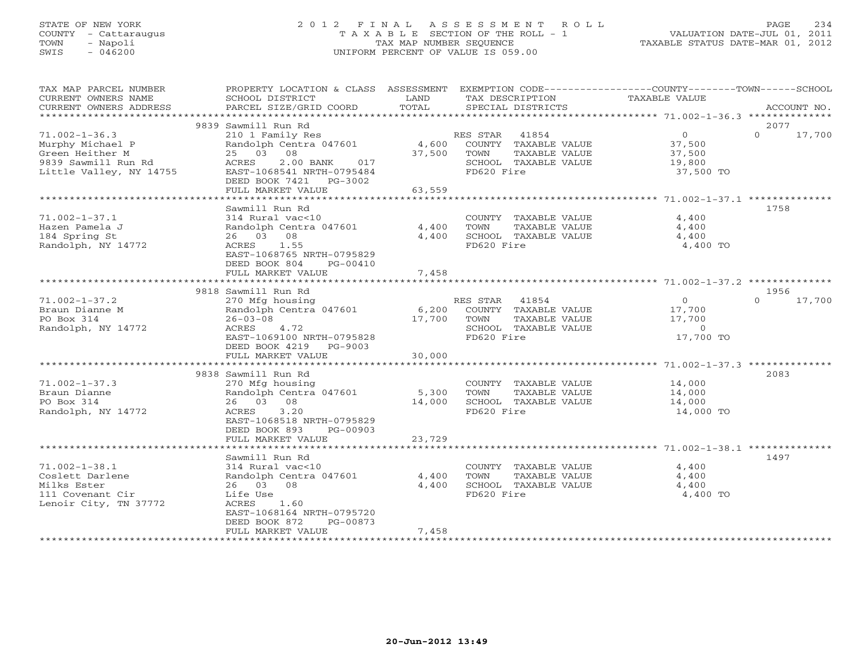# STATE OF NEW YORK 2 0 1 2 F I N A L A S S E S S M E N T R O L L PAGE 234 COUNTY - Cattaraugus T A X A B L E SECTION OF THE ROLL - 1 VALUATION DATE-JUL 01, 2011 TOWN - Napoli TAX MAP NUMBER SEQUENCE TAXABLE STATUS DATE-MAR 01, 2012 SWIS - 046200 UNIFORM PERCENT OF VALUE IS 059.00UNIFORM PERCENT OF VALUE IS 059.00

| TAX MAP PARCEL NUMBER<br>CURRENT OWNERS NAME                                                                 | PROPERTY LOCATION & CLASS ASSESSMENT<br>SCHOOL DISTRICT                                                                                       | LAND            | EXEMPTION CODE-----------------COUNTY-------TOWN-----SCHOOL<br>TAX DESCRIPTION                           | <b>TAXABLE VALUE</b>                               |                    |
|--------------------------------------------------------------------------------------------------------------|-----------------------------------------------------------------------------------------------------------------------------------------------|-----------------|----------------------------------------------------------------------------------------------------------|----------------------------------------------------|--------------------|
| CURRENT OWNERS ADDRESS<br>*************************                                                          | PARCEL SIZE/GRID COORD                                                                                                                        | TOTAL           | SPECIAL DISTRICTS                                                                                        |                                                    | ACCOUNT NO.        |
|                                                                                                              | 9839 Sawmill Run Rd                                                                                                                           |                 |                                                                                                          |                                                    | 2077               |
| $71.002 - 1 - 36.3$<br>Murphy Michael P<br>Green Heither M<br>9839 Sawmill Run Rd<br>Little Valley, NY 14755 | 210 1 Family Res<br>Randolph Centra 047601<br>25 03 08<br>ACRES<br>2.00 BANK<br>017<br>EAST-1068541 NRTH-0795484<br>DEED BOOK 7421<br>PG-3002 | 4,600<br>37,500 | RES STAR<br>41854<br>COUNTY TAXABLE VALUE<br>TOWN<br>TAXABLE VALUE<br>SCHOOL TAXABLE VALUE<br>FD620 Fire | $\circ$<br>37,500<br>37,500<br>19,800<br>37,500 TO | $\Omega$<br>17,700 |
|                                                                                                              | FULL MARKET VALUE                                                                                                                             | 63,559          |                                                                                                          |                                                    |                    |
|                                                                                                              |                                                                                                                                               |                 |                                                                                                          |                                                    |                    |
| $71.002 - 1 - 37.1$<br>Hazen Pamela J                                                                        | Sawmill Run Rd<br>314 Rural vac<10<br>Randolph Centra 047601                                                                                  | 4,400           | COUNTY TAXABLE VALUE<br>TOWN<br>TAXABLE VALUE                                                            | 4,400<br>4,400                                     | 1758               |
| 184 Spring St<br>Randolph, NY 14772                                                                          | 26 03 08<br>ACRES<br>1.55<br>EAST-1068765 NRTH-0795829<br>DEED BOOK 804<br>PG-00410                                                           | 4,400           | SCHOOL TAXABLE VALUE<br>FD620 Fire                                                                       | 4,400<br>4,400 TO                                  |                    |
|                                                                                                              | FULL MARKET VALUE                                                                                                                             | 7,458           |                                                                                                          |                                                    |                    |
|                                                                                                              | 9818 Sawmill Run Rd                                                                                                                           |                 |                                                                                                          |                                                    | 1956               |
| $71.002 - 1 - 37.2$                                                                                          | 270 Mfg housing                                                                                                                               |                 | RES STAR<br>41854                                                                                        | $\circ$                                            | $\Omega$<br>17,700 |
| Braun Dianne M<br>PO Box 314<br>Randolph, NY 14772                                                           | Randolph Centra 047601<br>$26 - 03 - 08$<br>ACRES<br>4.72                                                                                     | 6,200<br>17,700 | COUNTY TAXABLE VALUE<br>TOWN<br>TAXABLE VALUE<br>SCHOOL TAXABLE VALUE                                    | 17,700<br>17,700<br>$\circ$                        |                    |
|                                                                                                              | EAST-1069100 NRTH-0795828<br>DEED BOOK 4219 PG-9003<br>FULL MARKET VALUE                                                                      | 30,000          | FD620 Fire                                                                                               | 17,700 TO                                          |                    |
|                                                                                                              |                                                                                                                                               |                 |                                                                                                          |                                                    |                    |
|                                                                                                              | 9838 Sawmill Run Rd                                                                                                                           |                 |                                                                                                          |                                                    | 2083               |
| $71.002 - 1 - 37.3$<br>Braun Dianne<br>PO Box 314<br>Randolph, NY 14772                                      | 270 Mfg housing<br>Randolph Centra 047601<br>26 03 08<br>ACRES<br>3.20<br>EAST-1068518 NRTH-0795829<br>DEED BOOK 893<br>PG-00903              | 5,300<br>14,000 | COUNTY TAXABLE VALUE<br>TOWN<br>TAXABLE VALUE<br>SCHOOL TAXABLE VALUE<br>FD620 Fire                      | 14,000<br>14,000<br>14,000<br>14,000 TO            |                    |
|                                                                                                              | FULL MARKET VALUE                                                                                                                             | 23,729          |                                                                                                          |                                                    |                    |
|                                                                                                              |                                                                                                                                               |                 |                                                                                                          |                                                    |                    |
|                                                                                                              | Sawmill Run Rd                                                                                                                                |                 |                                                                                                          |                                                    | 1497               |
| $71.002 - 1 - 38.1$<br>Coslett Darlene<br>Milks Ester<br>111 Covenant Cir<br>Lenoir City, TN 37772           | 314 Rural vac<10<br>Randolph Centra 047601<br>26 03 08<br>Life Use<br>1.60<br>ACRES<br>EAST-1068164 NRTH-0795720<br>DEED BOOK 872<br>PG-00873 | 4,400<br>4,400  | COUNTY TAXABLE VALUE<br>TOWN<br>TAXABLE VALUE<br>SCHOOL TAXABLE VALUE<br>FD620 Fire                      | 4,400<br>4,400<br>4,400<br>4,400 TO                |                    |
|                                                                                                              | FULL MARKET VALUE<br>***********************                                                                                                  | 7,458           |                                                                                                          |                                                    |                    |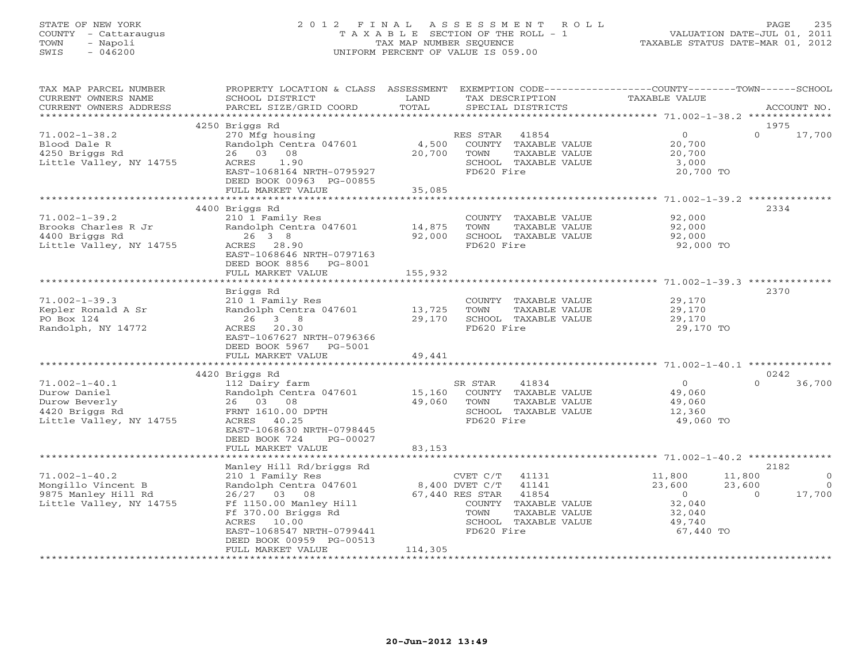# STATE OF NEW YORK 2 0 1 2 F I N A L A S S E S S M E N T R O L L PAGE 235 COUNTY - Cattaraugus T A X A B L E SECTION OF THE ROLL - 1 VALUATION DATE-JUL 01, 2011 TOWN - Napoli TAX MAP NUMBER SEQUENCE TAXABLE STATUS DATE-MAR 01, 2012 SWIS - 046200 UNIFORM PERCENT OF VALUE IS 059.00UNIFORM PERCENT OF VALUE IS 059.00

| TAX MAP PARCEL NUMBER<br>CURRENT OWNERS NAME<br>CURRENT OWNERS ADDRESS                            | PROPERTY LOCATION & CLASS ASSESSMENT EXEMPTION CODE----------------COUNTY-------TOWN------SCHOOL<br>SCHOOL DISTRICT<br>PARCEL SIZE/GRID COORD                                      | LAND<br>TOTAL               | TAX DESCRIPTION<br>SPECIAL DISTRICTS                                                                                                                           | TAXABLE VALUE                                                                 | ACCOUNT NO.                                                      |
|---------------------------------------------------------------------------------------------------|------------------------------------------------------------------------------------------------------------------------------------------------------------------------------------|-----------------------------|----------------------------------------------------------------------------------------------------------------------------------------------------------------|-------------------------------------------------------------------------------|------------------------------------------------------------------|
|                                                                                                   |                                                                                                                                                                                    |                             |                                                                                                                                                                |                                                                               |                                                                  |
| $71.002 - 1 - 38.2$<br>Blood Dale R<br>4250 Briggs Rd<br>Little Valley, NY 14755                  | 4250 Briggs Rd<br>270 Mfg housing<br>Randolph Centra 047601<br>26 03 08<br>ACRES<br>1.90<br>EAST-1068164 NRTH-0795927<br>DEED BOOK 00963 PG-00855<br>FULL MARKET VALUE             | 4,500<br>20,700<br>35,085   | RES STAR<br>41854<br>COUNTY TAXABLE VALUE<br>TOWN<br>TAXABLE VALUE<br>SCHOOL TAXABLE VALUE<br>FD620 Fire                                                       | $\overline{0}$<br>20,700<br>20,700<br>3,000<br>20,700 TO                      | 1975<br>17,700<br>$\Omega$                                       |
|                                                                                                   |                                                                                                                                                                                    |                             |                                                                                                                                                                |                                                                               |                                                                  |
| $71.002 - 1 - 39.2$<br>Brooks Charles R Jr<br>4400 Briggs Rd<br>Little Valley, NY 14755           | 4400 Briggs Rd<br>210 1 Family Res<br>Randolph Centra 047601<br>26 3 8<br>ACRES 28.90<br>EAST-1068646 NRTH-0797163                                                                 | 14,875<br>92,000            | COUNTY TAXABLE VALUE<br>TOWN<br>TAXABLE VALUE<br>SCHOOL TAXABLE VALUE<br>FD620 Fire                                                                            | 92,000<br>92,000<br>92,000<br>92,000 TO                                       | 2334                                                             |
|                                                                                                   | DEED BOOK 8856 PG-8001<br>FULL MARKET VALUE<br>**************************                                                                                                          | 155,932<br>**************** |                                                                                                                                                                | *************************************71.002-1-39.3 ***************            |                                                                  |
| $71.002 - 1 - 39.3$<br>Kepler Ronald A Sr<br>PO Box 124<br>Randolph, NY 14772                     | Briggs Rd<br>210 1 Family Res<br>Randolph Centra 047601<br>26<br>3 8<br>ACRES 20.30<br>EAST-1067627 NRTH-0796366<br>DEED BOOK 5967 PG-5001<br>FULL MARKET VALUE                    | 13,725<br>29,170<br>49,441  | COUNTY TAXABLE VALUE<br>TOWN<br>TAXABLE VALUE<br>SCHOOL TAXABLE VALUE<br>FD620 Fire                                                                            | 29,170<br>29,170<br>29,170<br>29,170 TO                                       | 2370                                                             |
|                                                                                                   |                                                                                                                                                                                    |                             |                                                                                                                                                                |                                                                               |                                                                  |
| $71.002 - 1 - 40.1$<br>Durow Daniel<br>Durow Beverly<br>4420 Briggs Rd<br>Little Valley, NY 14755 | 4420 Briggs Rd<br>112 Dairy farm<br>Randolph Centra 047601<br>26 03 08<br>FRNT 1610.00 DPTH<br>ACRES 40.25<br>EAST-1068630 NRTH-0798445<br>DEED BOOK 724<br>PG-00027               | 15,160<br>49,060            | SR STAR<br>41834<br>COUNTY TAXABLE VALUE<br>TOWN<br>TAXABLE VALUE<br>SCHOOL TAXABLE VALUE<br>FD620 Fire                                                        | $\overline{0}$<br>49,060<br>49,060<br>12,360<br>49,060 TO                     | 0242<br>36,700<br>$\Omega$                                       |
|                                                                                                   | FULL MARKET VALUE                                                                                                                                                                  | 83,153                      |                                                                                                                                                                |                                                                               |                                                                  |
|                                                                                                   | Manley Hill Rd/briggs Rd                                                                                                                                                           |                             |                                                                                                                                                                |                                                                               | 2182                                                             |
| $71.002 - 1 - 40.2$<br>Mongillo Vincent B<br>9875 Manley Hill Rd<br>Little Valley, NY 14755       | 210 1 Family Res<br>Randolph Centra 047601<br>26/27 03 08<br>Ff 1150.00 Manley Hill<br>Ff 370.00 Briggs Rd<br>ACRES 10.00<br>EAST-1068547 NRTH-0799441<br>DEED BOOK 00959 PG-00513 |                             | $CVET C/T$ 41131<br>8,400 DVET C/T<br>41141<br>41854<br>67,440 RES STAR<br>COUNTY TAXABLE VALUE<br>TOWN<br>TAXABLE VALUE<br>SCHOOL TAXABLE VALUE<br>FD620 Fire | 11,800<br>23,600<br>$\overline{0}$<br>32,040<br>32,040<br>49,740<br>67,440 TO | 11,800<br>$\Omega$<br>23,600<br>$\bigcirc$<br>17,700<br>$\Omega$ |
|                                                                                                   | FULL MARKET VALUE                                                                                                                                                                  | 114,305                     |                                                                                                                                                                |                                                                               |                                                                  |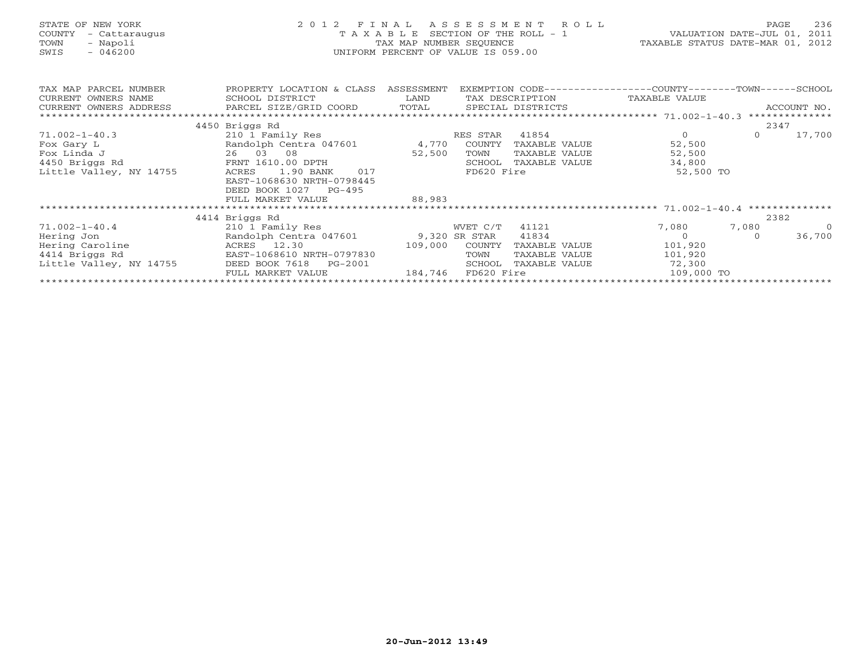| STATE OF NEW YORK<br>COUNTY<br>- Cattaraugus<br>- Napoli<br>TOWN<br>SWIS<br>$-046200$ | 2 0 1 2<br>FINAL ASSESSMENT ROLL<br>SECTION OF THE ROLL - 1<br>TAXABLE<br>TAX MAP NUMBER SEQUENCE<br>UNIFORM PERCENT OF VALUE IS 059.00 |                            |                |                      |  |                                                                                              | PAGE<br>VALUATION DATE-JUL 01, 2011<br>TAXABLE STATUS DATE-MAR 01, 2012 | 236            |
|---------------------------------------------------------------------------------------|-----------------------------------------------------------------------------------------------------------------------------------------|----------------------------|----------------|----------------------|--|----------------------------------------------------------------------------------------------|-------------------------------------------------------------------------|----------------|
| TAX MAP PARCEL NUMBER<br>CURRENT OWNERS NAME                                          | PROPERTY LOCATION & CLASS ASSESSMENT<br>SCHOOL DISTRICT                                                                                 | <b>EXAMPLE STATE STATE</b> |                |                      |  | EXEMPTION CODE-----------------COUNTY-------TOWN-----SCHOOL<br>TAX DESCRIPTION TAXABLE VALUE |                                                                         |                |
| CURRENT OWNERS ADDRESS                                                                | PARCEL SIZE/GRID COORD TOTAL SPECIAL DISTRICTS                                                                                          |                            |                |                      |  |                                                                                              |                                                                         | ACCOUNT NO.    |
| *************************                                                             |                                                                                                                                         |                            |                |                      |  |                                                                                              |                                                                         |                |
|                                                                                       | 4450 Briggs Rd                                                                                                                          |                            |                |                      |  |                                                                                              | 2347                                                                    |                |
| $71.002 - 1 - 40.3$                                                                   | 210 1 Family Res                                                                                                                        |                            | RES STAR       | 41854                |  | $\overline{0}$                                                                               | $\Omega$                                                                | 17,700         |
| Fox Gary L                                                                            | Randolph Centra 047601 4,770 COUNTY TAXABLE VALUE                                                                                       |                            |                |                      |  | 52,500                                                                                       |                                                                         |                |
| Fox Linda J                                                                           | 26 03 08                                                                                                                                | 52,500                     | TOWN           | TAXABLE VALUE        |  | 52,500                                                                                       |                                                                         |                |
| 4450 Briggs Rd                                                                        | FRNT 1610.00 DPTH                                                                                                                       |                            |                | SCHOOL TAXABLE VALUE |  | 34,800                                                                                       |                                                                         |                |
| Little Valley, NY 14755                                                               | 1.90 BANK 017<br>ACRES<br>EAST-1068630 NRTH-0798445<br>DEED BOOK 1027 PG-495                                                            |                            | FD620 Fire     |                      |  | 52,500 TO                                                                                    |                                                                         |                |
|                                                                                       | FULL MARKET VALUE                                                                                                                       | 88,983                     |                |                      |  |                                                                                              |                                                                         |                |
|                                                                                       |                                                                                                                                         |                            |                |                      |  |                                                                                              |                                                                         |                |
|                                                                                       | 4414 Briggs Rd                                                                                                                          |                            |                |                      |  |                                                                                              | 2382                                                                    |                |
| $71.002 - 1 - 40.4$                                                                   | 210 1 Family Res                                                                                                                        |                            | WVET C/T 41121 |                      |  | 7,080                                                                                        | 7,080                                                                   | $\overline{0}$ |
| Hering Jon                                                                            | Randolph Centra 047601 9,320 SR STAR 41834                                                                                              |                            |                |                      |  | $\overline{0}$                                                                               |                                                                         | 36,700         |
| Hering Caroline                                                                       | ACRES 12.30<br>EAST-1068610 NRTH-0797830<br>109,000                                                                                     |                            | COUNTY         | TAXABLE VALUE        |  | 101,920                                                                                      |                                                                         |                |
| 4414 Briggs Rd                                                                        |                                                                                                                                         |                            | TOWN           | TAXABLE VALUE        |  | 101,920                                                                                      |                                                                         |                |
| Little Valley, NY 14755                                                               | DEED BOOK 7618 PG-2001                                                                                                                  |                            | SCHOOL         | TAXABLE VALUE        |  | 72,300                                                                                       |                                                                         |                |
|                                                                                       | FULL MARKET VALUE                                                                                                                       | 184,746 FD620 Fire         |                |                      |  | $109,000$ TO                                                                                 |                                                                         |                |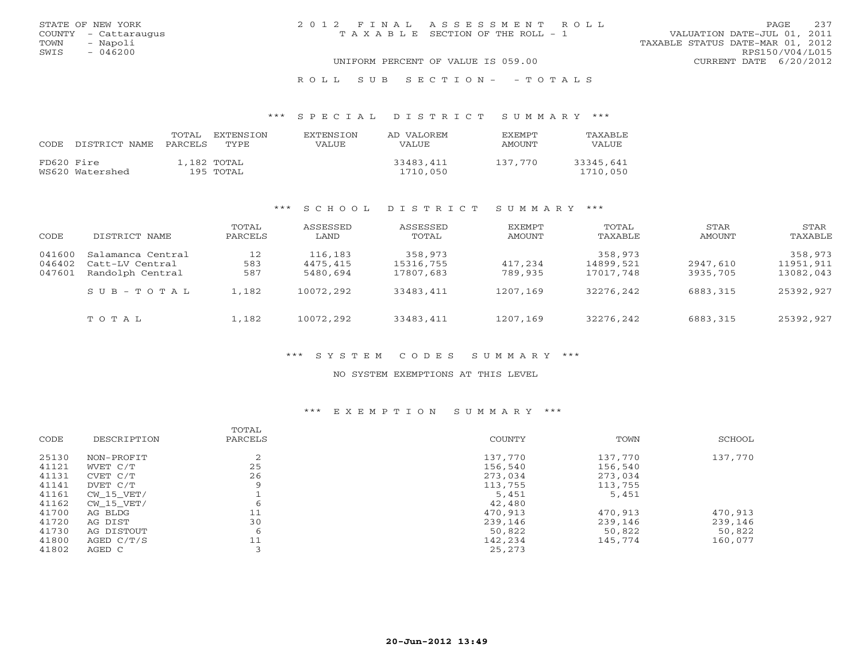| STATE OF NEW YORK    | 2012 FINAL ASSESSMENT ROLL         | 237<br><b>PAGE</b>               |
|----------------------|------------------------------------|----------------------------------|
| COUNTY - Cattaraugus | TAXABLE SECTION OF THE ROLL - 1    | VALUATION DATE-JUL 01, 2011      |
| TOWN<br>- Napoli     |                                    | TAXABLE STATUS DATE-MAR 01, 2012 |
| SWIS<br>$-046200$    |                                    | RPS150/V04/L015                  |
|                      | UNIFORM PERCENT OF VALUE IS 059.00 | CURRENT DATE 6/20/2012           |
|                      |                                    |                                  |

### R O L L S U B S E C T I O N - - T O T A L S

#### \*\*\* S P E C I A L D I S T R I C T S U M M A R Y \*\*\*

| CODE.      | DISTRICT NAME   | TOTAL<br>PARCELS | EXTENSTON<br>TYPE        | <b>EXTENSION</b><br>VALUE. | AD VALOREM<br>VALUE.  | <b>EXEMPT</b><br>AMOUNT | <b>TAXABLE</b><br>VALUE |
|------------|-----------------|------------------|--------------------------|----------------------------|-----------------------|-------------------------|-------------------------|
| FD620 Fire | WS620 Watershed |                  | 1,182 TOTAL<br>195 TOTAL |                            | 33483,411<br>1710,050 | 137.770                 | 33345,641<br>1710,050   |

### \*\*\* S C H O O L D I S T R I C T S U M M A R Y \*\*\*

| CODE   | DISTRICT NAME     | TOTAL<br>PARCELS | ASSESSED<br>LAND | ASSESSED<br>TOTAL | EXEMPT<br>AMOUNT | TOTAL<br>TAXABLE | STAR<br>AMOUNT | STAR<br>TAXABLE |
|--------|-------------------|------------------|------------------|-------------------|------------------|------------------|----------------|-----------------|
| 041600 | Salamanca Central | 12               | 116,183          | 358,973           |                  | 358,973          |                | 358,973         |
| 046402 | Catt-LV Central   | 583              | 4475,415         | 15316,755         | 417,234          | 14899,521        | 2947,610       | 11951,911       |
| 047601 | Randolph Central  | 587              | 5480,694         | 17807,683         | 789,935          | 17017,748        | 3935,705       | 13082,043       |
|        | SUB-TOTAL         | 1,182            | 10072,292        | 33483,411         | 1207,169         | 32276.242        | 6883,315       | 25392,927       |
|        | TOTAL             | 1,182            | 10072,292        | 33483,411         | 1207,169         | 32276.242        | 6883,315       | 25392,927       |

## \*\*\* S Y S T E M C O D E S S U M M A R Y \*\*\*

#### NO SYSTEM EXEMPTIONS AT THIS LEVEL

### \*\*\* E X E M P T I O N S U M M A R Y \*\*\*

| COUNTY<br>TOWN<br>CODE<br>DESCRIPTION<br>PARCELS<br>137,770<br>25130<br>$\sim$<br>137,770<br>NON-PROFIT<br>∠ | SCHOOL  |
|--------------------------------------------------------------------------------------------------------------|---------|
|                                                                                                              |         |
|                                                                                                              | 137,770 |
| 25<br>41121<br>156,540<br>156,540<br>WVET C/T                                                                |         |
| 26<br>41131<br>273,034<br>273,034<br>CVET C/T                                                                |         |
| 41141<br>113,755<br>113,755<br>DVET C/T                                                                      |         |
| 41161<br>5,451<br>5,451<br>CW 15 VET/                                                                        |         |
| 41162<br>42,480<br>CW 15 VET/                                                                                |         |
| 11<br>41700<br>470,913<br>470,913<br>AG BLDG                                                                 | 470,913 |
| 30<br>41720<br>239,146<br>239,146<br>AG DIST                                                                 | 239,146 |
| 41730<br>50,822<br>50,822<br>AG DISTOUT<br>6                                                                 | 50,822  |
| 41800<br>11<br>142,234<br>145,774<br>AGED $C/T/S$                                                            | 160,077 |
| 41802<br>25,273<br>AGED C                                                                                    |         |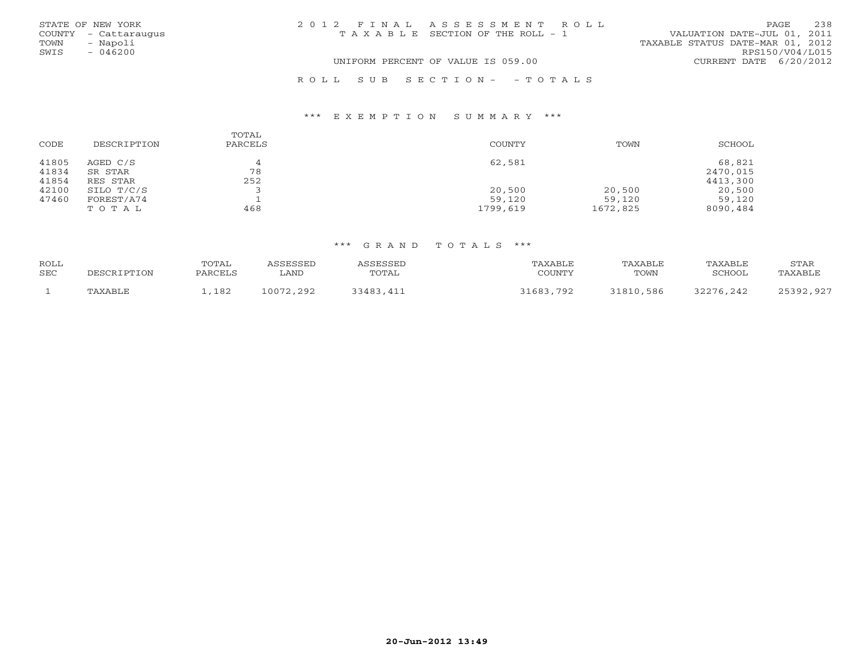|      | STATE OF NEW YORK    | 2012 FINAL ASSESSMENT ROLL                                           | PAGE            | 238 |
|------|----------------------|----------------------------------------------------------------------|-----------------|-----|
|      | COUNTY - Cattaraugus | VALUATION DATE-JUL 01, 2011<br>T A X A B L E SECTION OF THE ROLL - 1 |                 |     |
| TOWN | - Napoli             | TAXABLE STATUS DATE-MAR 01, 2012                                     |                 |     |
| SWIS | $-046200$            |                                                                      | RPS150/V04/L015 |     |
|      |                      | UNIFORM PERCENT OF VALUE IS 059.00<br>CURRENT DATE 6/20/2012         |                 |     |
|      |                      | ROLL SUB SECTION- - TOTALS                                           |                 |     |

### \*\*\* E X E M P T I O N S U M M A R Y \*\*\*

| CODE                    | DESCRIPTION                     | TOTAL<br>PARCELS | COUNTY           | TOWN             | SCHOOL                         |
|-------------------------|---------------------------------|------------------|------------------|------------------|--------------------------------|
| 41805<br>41834<br>41854 | AGED C/S<br>SR STAR<br>RES STAR | 78<br>252        | 62,581           |                  | 68,821<br>2470,015<br>4413,300 |
| 42100<br>47460          | SILO T/C/S<br>FOREST/A74        |                  | 20,500<br>59,120 | 20,500<br>59,120 | 20,500<br>59,120               |
|                         | TOTAL                           | 468              | 1799,619         | 1672,825         | 8090,484                       |

| ROLL<br>SEC | DESCRIPTION | TOTAL<br>PARCELS | ASSESSED<br>∟AND | ASSESSED<br>TOTAL | TAXABLE<br>COUNTY | TAXABLE<br>TOWN | TAXABLE<br>SCHOOL | STAR<br>TAXABLE |
|-------------|-------------|------------------|------------------|-------------------|-------------------|-----------------|-------------------|-----------------|
|             | TAXABLE     | ,182             | 10072,292        | 33483,411         | 31683,792         | 31810,586       | 32276,242         | 25392,927       |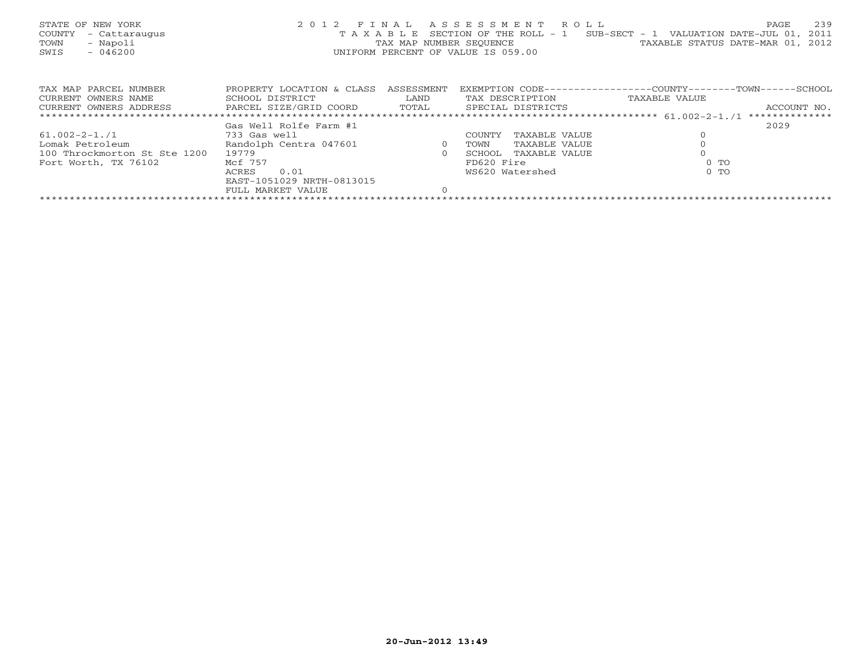| STATE OF NEW YORK<br>COUNTY<br>- Cattaraugus<br>- Napoli<br>TOWN<br>$-046200$<br>SWIS |                              |                | 2012 FINAL ASSESSMENT ROLL<br>UNIFORM PERCENT OF VALUE IS 059.00 | 239<br>PAGE<br>T A X A B L E SECTION OF THE ROLL - 1 SUB-SECT - 1 VALUATION DATE-JUL 01,<br>2011<br>TAX MAP NUMBER SEQUENCE TAXABLE STATUS DATE-MAR 01, 2012 |
|---------------------------------------------------------------------------------------|------------------------------|----------------|------------------------------------------------------------------|--------------------------------------------------------------------------------------------------------------------------------------------------------------|
| TAX MAP PARCEL NUMBER                                                                 | PROPERTY LOCATION & CLASS    | ASSESSMENT     |                                                                  | EXEMPTION CODE-----------------COUNTY-------TOWN------SCHOOL                                                                                                 |
| CURRENT OWNERS NAME                                                                   | SCHOOL DISTRICT              | LAND           | TAX DESCRIPTION                                                  | TAXABLE VALUE                                                                                                                                                |
| CURRENT OWNERS ADDRESS BARCEL SIZE/GRID COORD TOTAL SPECIAL DISTRICTS                 |                              |                |                                                                  | ACCOUNT NO.                                                                                                                                                  |
|                                                                                       |                              |                |                                                                  |                                                                                                                                                              |
|                                                                                       | Gas Well Rolfe Farm #1       |                |                                                                  | 2029                                                                                                                                                         |
| $61.002 - 2 - 1.71$                                                                   | 733 Gas well                 |                | TAXABLE VALUE<br>COUNTY                                          |                                                                                                                                                              |
| Lomak Petroleum                                                                       | Randolph Centra 047601 and 0 |                | TAXABLE VALUE<br>TOWN                                            |                                                                                                                                                              |
| 100 Throckmorton St Ste 1200                                                          | 19779                        | $\overline{0}$ | SCHOOL<br>TAXABLE VALUE                                          |                                                                                                                                                              |
| Fort Worth, TX 76102                                                                  | Mcf 757                      |                | FD620 Fire                                                       | $0$ TO                                                                                                                                                       |
|                                                                                       | 0.01<br>ACRES                |                | WS620 Watershed                                                  | $0$ TO                                                                                                                                                       |
|                                                                                       | EAST-1051029 NRTH-0813015    |                |                                                                  |                                                                                                                                                              |
|                                                                                       | FULL MARKET VALUE            |                |                                                                  |                                                                                                                                                              |
|                                                                                       |                              |                |                                                                  |                                                                                                                                                              |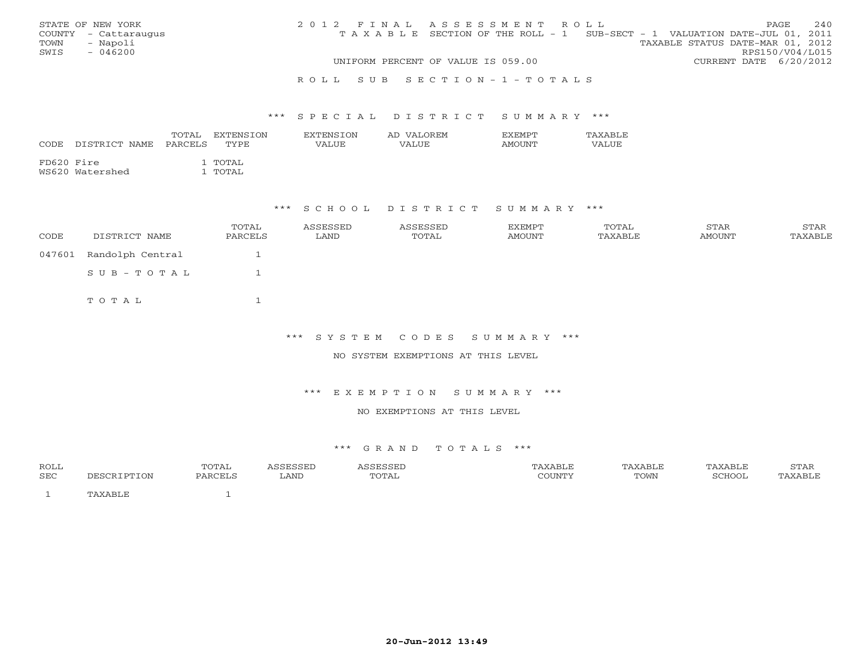|      | STATE OF NEW YORK    | 2012 FINAL ASSESSMENT ROLL |                                                                                |  |                                  |                        | PAGE | 2.40 |
|------|----------------------|----------------------------|--------------------------------------------------------------------------------|--|----------------------------------|------------------------|------|------|
|      | COUNTY - Cattaraugus |                            | T A X A B L E SECTION OF THE ROLL - 1 SUB-SECT - 1 VALUATION DATE-JUL 01, 2011 |  |                                  |                        |      |      |
| TOWN | - Napoli             |                            |                                                                                |  | TAXABLE STATUS DATE-MAR 01, 2012 |                        |      |      |
| SWIS | $-046200$            |                            |                                                                                |  |                                  | RPS150/V04/L015        |      |      |
|      |                      |                            | UNIFORM PERCENT OF VALUE IS 059.00                                             |  |                                  | CURRENT DATE 6/20/2012 |      |      |
|      |                      |                            |                                                                                |  |                                  |                        |      |      |

#### R O L L S U B S E C T I O N - 1 - T O T A L S

#### \*\*\* S P E C I A L D I S T R I C T S U M M A R Y \*\*\*

| CODE       | DISTRICT NAME   | TOTAL<br>PARCELS | EXTENSTON<br>TYPE. | <b>EXTENSION</b><br>VALUE | AD VALOREM<br>VALUE | <b>FXFMPT</b><br><b>AMOUNT</b> | TAXABLE<br>VALUE |
|------------|-----------------|------------------|--------------------|---------------------------|---------------------|--------------------------------|------------------|
| FD620 Fire | WS620 Watershed |                  | . TOTAL<br>TOTAL   |                           |                     |                                |                  |

### \*\*\* S C H O O L D I S T R I C T S U M M A R Y \*\*\*

| CODE   | DISTRICT NAME    | TOTAL<br>PARCELS | ASSESSED<br>LAND | ASSESSED<br>TOTAL | EXEMPT<br>AMOUNT | TOTAL<br>TAXABLE | STAR<br>AMOUNT | STAR<br>TAXABLE |
|--------|------------------|------------------|------------------|-------------------|------------------|------------------|----------------|-----------------|
| 047601 | Randolph Central |                  |                  |                   |                  |                  |                |                 |
|        | SUB-TOTAL        |                  |                  |                   |                  |                  |                |                 |
|        | тотаь            |                  |                  |                   |                  |                  |                |                 |

\*\*\* S Y S T E M C O D E S S U M M A R Y \*\*\*

NO SYSTEM EXEMPTIONS AT THIS LEVEL

\*\*\* E X E M P T I O N S U M M A R Y \*\*\*

NO EXEMPTIONS AT THIS LEVEL

| <b>ROLL</b> |   | POTAL |      |                     | ABLI | `XABLE | . AXABLF       | 5TAK |
|-------------|---|-------|------|---------------------|------|--------|----------------|------|
| SEC         | . |       | LAND | $\cap$ TA,<br>ـدديـ |      | TOWN   | CUOC<br>`HOOI. |      |
|             |   |       |      |                     |      |        |                |      |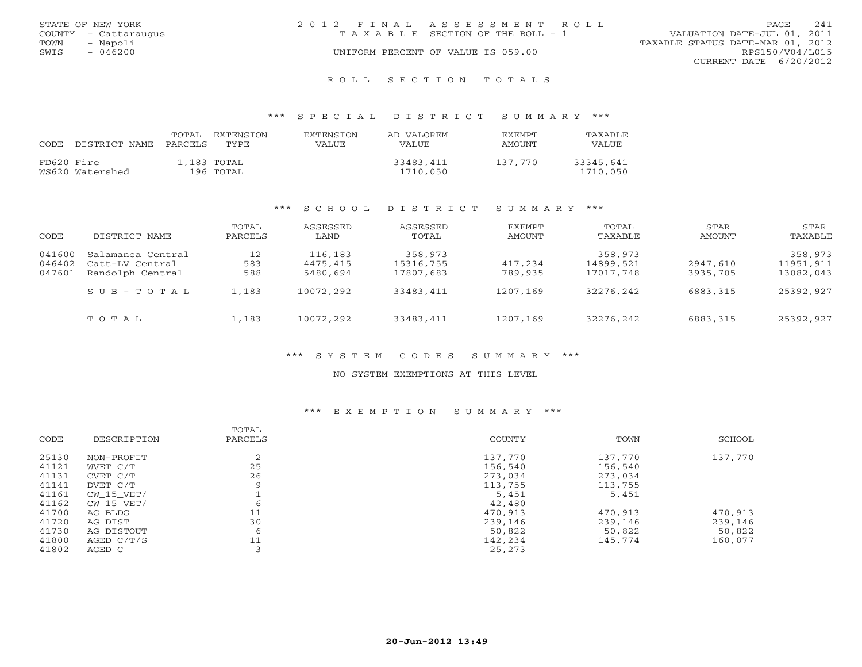|      | STATE OF NEW YORK    | 2012 FINAL ASSESSMENT ROLL |                                       |                                  | PAGE            | 241 |
|------|----------------------|----------------------------|---------------------------------------|----------------------------------|-----------------|-----|
|      | COUNTY - Cattaraugus |                            | T A X A B L E SECTION OF THE ROLL - 1 | VALUATION DATE-JUL 01, 2011      |                 |     |
| TOWN | - Napoli             |                            |                                       | TAXABLE STATUS DATE-MAR 01, 2012 |                 |     |
| SWIS | $-046200$            |                            | UNIFORM PERCENT OF VALUE IS 059.00    |                                  | RPS150/V04/L015 |     |
|      |                      |                            |                                       | CURRENT DATE $6/20/2012$         |                 |     |

R O L L S E C T I O N T O T A L S

### \*\*\* S P E C I A L D I S T R I C T S U M M A R Y \*\*\*

| CODE.      | DISTRICT NAME   | TOTAL<br>PARCELS | <b>EXTENSTON</b><br>TYPE | <b>EXTENSION</b><br>VALUE | AD VALOREM<br>VALUE.  | EXEMPT<br>AMOUNT | TAXABLE<br>VALUE      |
|------------|-----------------|------------------|--------------------------|---------------------------|-----------------------|------------------|-----------------------|
| FD620 Fire | WS620 Watershed |                  | 1,183 TOTAL<br>196 TOTAL |                           | 33483,411<br>1710,050 | 137.770          | 33345,641<br>1710,050 |

### \*\*\* S C H O O L D I S T R I C T S U M M A R Y \*\*\*

| CODE   | DISTRICT NAME     | TOTAL<br>PARCELS | ASSESSED<br>LAND | ASSESSED<br>TOTAL | EXEMPT<br>AMOUNT | TOTAL<br>TAXABLE | STAR<br>AMOUNT | STAR<br>TAXABLE |
|--------|-------------------|------------------|------------------|-------------------|------------------|------------------|----------------|-----------------|
| 041600 | Salamanca Central | 12               | 116,183          | 358,973           |                  | 358,973          |                | 358,973         |
| 046402 | Catt-LV Central   | 583              | 4475,415         | 15316,755         | 417,234          | 14899,521        | 2947,610       | 11951,911       |
| 047601 | Randolph Central  | 588              | 5480,694         | 17807,683         | 789,935          | 17017,748        | 3935,705       | 13082,043       |
|        | SUB-TOTAL         | $\perp$ , 183    | 10072,292        | 33483,411         | 1207,169         | 32276,242        | 6883,315       | 25392,927       |
|        | TOTAL             | 1,183            | 10072,292        | 33483,411         | 1207,169         | 32276,242        | 6883,315       | 25392,927       |

## \*\*\* S Y S T E M C O D E S S U M M A R Y \*\*\*

#### NO SYSTEM EXEMPTIONS AT THIS LEVEL

## \*\*\* E X E M P T I O N S U M M A R Y \*\*\*

| CODE  | DESCRIPTION | TOTAL<br>PARCELS | COUNTY  | TOWN    | SCHOOL  |
|-------|-------------|------------------|---------|---------|---------|
| 25130 | NON-PROFIT  | ∠                | 137,770 | 137,770 | 137,770 |
| 41121 | WVET C/T    | 25               | 156,540 | 156,540 |         |
| 41131 | CVET C/T    | 26               | 273,034 | 273,034 |         |
| 41141 | DVET C/T    |                  | 113,755 | 113,755 |         |
| 41161 | CW 15 VET/  |                  | 5,451   | 5,451   |         |
| 41162 | CW 15 VET/  |                  | 42,480  |         |         |
| 41700 | AG BLDG     | 11               | 470,913 | 470,913 | 470,913 |
| 41720 | AG DIST     | 30               | 239,146 | 239,146 | 239,146 |
| 41730 | AG DISTOUT  | 6                | 50,822  | 50,822  | 50,822  |
| 41800 | AGED C/T/S  | 11               | 142,234 | 145,774 | 160,077 |
| 41802 | AGED C      |                  | 25,273  |         |         |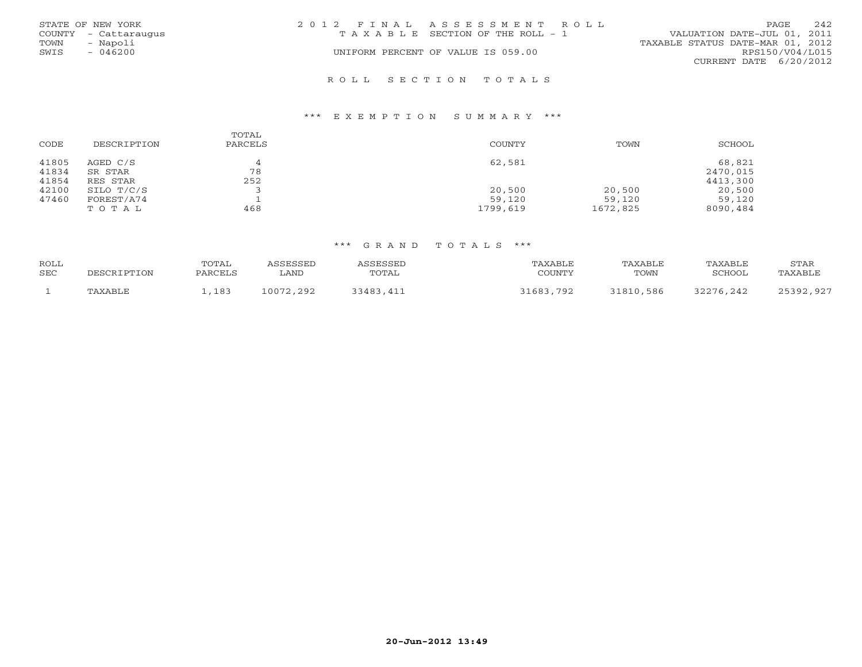|      | STATE OF NEW YORK    | 2012 FINAL ASSESSMENT ROLL            | 242<br>PAGE                      |
|------|----------------------|---------------------------------------|----------------------------------|
|      | COUNTY - Cattaraugus | T A X A B L E SECTION OF THE ROLL - 1 | VALUATION DATE-JUL 01, 2011      |
| TOWN | - Napoli             |                                       | TAXABLE STATUS DATE-MAR 01, 2012 |
| SWIS | $-046200$            | UNIFORM PERCENT OF VALUE IS 059.00    | RPS150/V04/L015                  |
|      |                      |                                       | CURRENT DATE 6/20/2012           |
|      |                      |                                       |                                  |

#### R O L L S E C T I O N T O T A L S

#### \*\*\* E X E M P T I O N S U M M A R Y \*\*\*

| CODE                    | DESCRIPTION                     | TOTAL<br>PARCELS | COUNTY           | TOWN             | SCHOOL                         |
|-------------------------|---------------------------------|------------------|------------------|------------------|--------------------------------|
| 41805<br>41834<br>41854 | AGED C/S<br>SR STAR<br>RES STAR | 78<br>252        | 62,581           |                  | 68,821<br>2470,015<br>4413,300 |
| 42100<br>47460          | SILO T/C/S<br>FOREST/A74        |                  | 20,500<br>59,120 | 20,500<br>59,120 | 20,500<br>59,120               |
|                         | TOTAL                           | 468              | 1799,619         | 1672,825         | 8090,484                       |

| ROLL<br>SEC | DESCRIPTION | TOTAL<br>PARCELS | ASSESSED<br>∟AND | ASSESSED<br>TOTAL | TAXABLE<br>COUNTY | TAXABLE<br>TOWN | TAXABLE<br>SCHOOL | STAR<br>TAXABLE |
|-------------|-------------|------------------|------------------|-------------------|-------------------|-----------------|-------------------|-----------------|
|             | TAXABLE     | ,183             | 10072,292        | 33483,411         | 31683,792         | 31810,586       | 32276,242         | 25392,927       |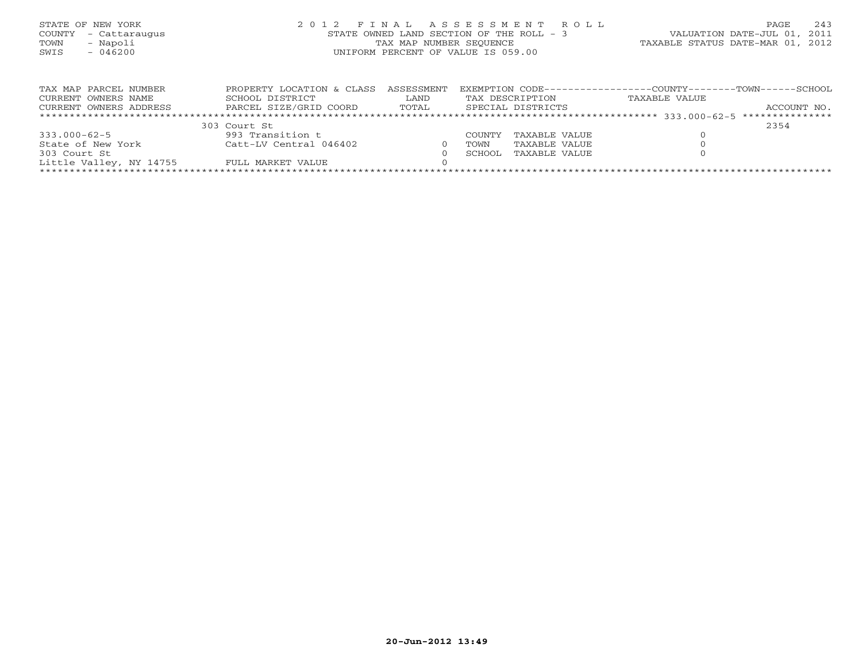| STATE OF NEW YORK<br>- Cattaraugus<br>COUNTY<br>- Napoli<br>TOWN<br>SWIS<br>$-046200$ |                                                                        | TAX MAP NUMBER SEOUENCE     | 2012 FINAL ASSESSMENT ROLL<br>STATE OWNED LAND SECTION OF THE ROLL - 3<br>UNIFORM PERCENT OF VALUE IS 059.00 | 243<br>PAGE<br>VALUATION DATE-JUL 01, 2011<br>TAXABLE STATUS DATE-MAR 01, 2012                     |
|---------------------------------------------------------------------------------------|------------------------------------------------------------------------|-----------------------------|--------------------------------------------------------------------------------------------------------------|----------------------------------------------------------------------------------------------------|
| TAX MAP PARCEL NUMBER<br>CURRENT OWNERS NAME<br>CURRENT OWNERS ADDRESS                | PROPERTY LOCATION & CLASS<br>SCHOOL DISTRICT<br>PARCEL SIZE/GRID COORD | ASSESSMENT<br>LAND<br>TOTAL | TAX DESCRIPTION<br>SPECIAL DISTRICTS                                                                         | EXEMPTION CODE------------------COUNTY------<br>--TOWN------SCHOOL<br>TAXABLE VALUE<br>ACCOUNT NO. |

|                         | 303 Court St           |             |                      | 2354 |  |
|-------------------------|------------------------|-------------|----------------------|------|--|
| $333.000 - 62 - 5$      | 993 Transition t       |             | COUNTY TAXABLE VALUE |      |  |
| State of New York       | Catt-LV Central 046402 | <b>TOWN</b> | TAXABLE VALUE        |      |  |
| 303 Court St            |                        | SCHOOL,     | TAXABLE VALUE        |      |  |
| Little Valley, NY 14755 | FULL MARKET VALUE      |             |                      |      |  |
|                         |                        |             |                      |      |  |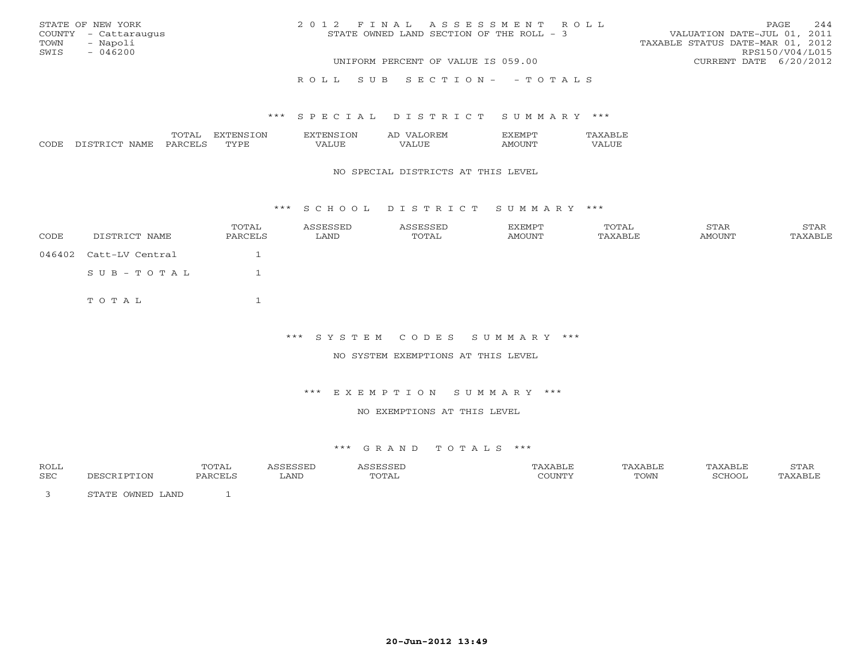| STATE OF NEW YORK<br>COUNTY - Cattaraugus<br>- Napoli<br>TOWN<br>$-046200$<br>SWIS | 2012 FINAL ASSESSMENT ROLL<br>STATE OWNED LAND SECTION OF THE ROLL - 3 | 244<br>PAGE<br>VALUATION DATE-JUL 01, 2011<br>TAXABLE STATUS DATE-MAR 01, 2012<br>RPS150/V04/L015 |
|------------------------------------------------------------------------------------|------------------------------------------------------------------------|---------------------------------------------------------------------------------------------------|
|                                                                                    | UNIFORM PERCENT OF VALUE IS 059.00                                     | CURRENT DATE 6/20/2012                                                                            |
|                                                                                    | ROLL SUB SECTION- - TOTALS                                             |                                                                                                   |

### \*\*\* S P E C I A L D I S T R I C T S U M M A R Y \*\*\*

|               |       | ЭN<br>€NP            | ⊣∶IVI          |      |  |
|---------------|-------|----------------------|----------------|------|--|
| $\sim$ $\sim$ | '∆N⊩. | $m \tau \tau n$<br>◡ | $- - -$<br>. . | ו רו |  |

#### NO SPECIAL DISTRICTS AT THIS LEVEL

\*\*\* S C H O O L D I S T R I C T S U M M A R Y \*\*\*

| CODE | DISTRICT NAME          | TOTAL<br>PARCELS | ASSESSED<br>LAND | ASSESSED<br>TOTAL | EXEMPT<br>AMOUNT | TOTAL<br>TAXABLE | STAR<br>AMOUNT | STAR<br>TAXABLE |
|------|------------------------|------------------|------------------|-------------------|------------------|------------------|----------------|-----------------|
|      | 046402 Catt-LV Central |                  |                  |                   |                  |                  |                |                 |
|      | SUB-TOTAL              |                  |                  |                   |                  |                  |                |                 |
|      | TOTAL                  |                  |                  |                   |                  |                  |                |                 |

\*\*\* S Y S T E M C O D E S S U M M A R Y \*\*\*

NO SYSTEM EXEMPTIONS AT THIS LEVEL

\*\*\* E X E M P T I O N S U M M A R Y \*\*\*

NO EXEMPTIONS AT THIS LEVEL

| <b>ROLL</b> |                  | ͲϹͲϪͳ<br>سمد ب |      | ASSESSEL | <b>TAXABLE</b>         | TAXABLE | TAXABLE | STAR    |
|-------------|------------------|----------------|------|----------|------------------------|---------|---------|---------|
| SEC         | DESCRIPTION      | PARCELS        | LAND | TOTAL    | $\gamma$ $\cap$ Theory | TOWN    | SCHOOL  | TAXABLE |
|             | STATE OWNED LAND |                |      |          |                        |         |         |         |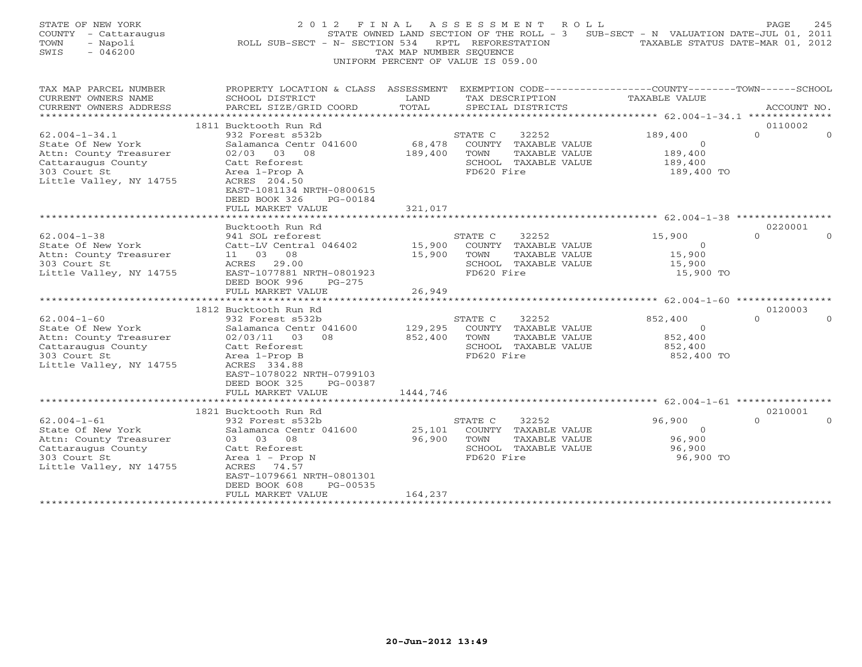| STATE OF NEW YORK<br>COUNTY - Cattaraugus<br>TOWN<br>- Napoli<br>SWIS<br>$-046200$                                                  | ROLL SUB-SECT - N- SECTION 534                                                                                                                                                                                            | TAX MAP NUMBER SEQUENCE        | 2012 FINAL ASSESSMENT ROLL<br>STATE OWNED LAND SECTION OF THE ROLL - 3 SUB-SECT - N VALUATION DATE-JUL 01, 2011<br>RPTL REFORESTATION<br>UNIFORM PERCENT OF VALUE IS 059.00 | TAXABLE STATUS DATE-MAR 01, 2012                        | 245<br>PAGE         |
|-------------------------------------------------------------------------------------------------------------------------------------|---------------------------------------------------------------------------------------------------------------------------------------------------------------------------------------------------------------------------|--------------------------------|-----------------------------------------------------------------------------------------------------------------------------------------------------------------------------|---------------------------------------------------------|---------------------|
| TAX MAP PARCEL NUMBER<br>CURRENT OWNERS NAME                                                                                        | PROPERTY LOCATION & CLASS ASSESSMENT<br>SCHOOL DISTRICT                                                                                                                                                                   | LAND                           | EXEMPTION CODE-----------------COUNTY-------TOWN------SCHOOL<br>TAX DESCRIPTION                                                                                             | <b>TAXABLE VALUE</b>                                    |                     |
| CURRENT OWNERS ADDRESS<br>**********************                                                                                    | PARCEL SIZE/GRID COORD                                                                                                                                                                                                    | TOTAL                          | SPECIAL DISTRICTS                                                                                                                                                           |                                                         | ACCOUNT NO.         |
|                                                                                                                                     | 1811 Bucktooth Run Rd                                                                                                                                                                                                     |                                |                                                                                                                                                                             |                                                         | 0110002             |
| $62.004 - 1 - 34.1$<br>State Of New York<br>Attn: County Treasurer<br>Cattaraugus County<br>303 Court St<br>Little Valley, NY 14755 | 932 Forest s532b<br>Salamanca Centr 041600<br>$02/03$ 03 08<br>Catt Reforest<br>Area 1-Prop A<br>ACRES 204.50<br>EAST-1081134 NRTH-0800615<br>DEED BOOK 326<br>PG-00184                                                   | 68,478<br>189,400              | STATE C<br>32252<br>COUNTY TAXABLE VALUE<br>TOWN<br>TAXABLE VALUE<br>SCHOOL TAXABLE VALUE<br>FD620 Fire                                                                     | 189,400<br>$\Omega$<br>189,400<br>189,400<br>189,400 TO | $\Omega$            |
|                                                                                                                                     | FULL MARKET VALUE                                                                                                                                                                                                         | 321,017                        |                                                                                                                                                                             |                                                         |                     |
|                                                                                                                                     | Bucktooth Run Rd                                                                                                                                                                                                          |                                |                                                                                                                                                                             |                                                         | 0220001             |
| $62.004 - 1 - 38$<br>State Of New York<br>Attn: County Treasurer<br>303 Court St<br>Little Valley, NY 14755                         | 941 SOL reforest<br>Catt-LV Central 046402<br>11 03 08<br>ACRES<br>29.00<br>EAST-1077881 NRTH-0801923<br>DEED BOOK 996<br>$PG-275$                                                                                        | 15,900<br>15,900               | STATE C<br>32252<br>COUNTY TAXABLE VALUE<br>TOWN<br>TAXABLE VALUE<br>SCHOOL TAXABLE VALUE<br>FD620 Fire                                                                     | 15,900<br>$\Omega$<br>15,900<br>15,900<br>15,900 TO     | $\cap$<br>$\cap$    |
|                                                                                                                                     | FULL MARKET VALUE                                                                                                                                                                                                         | 26,949                         |                                                                                                                                                                             |                                                         |                     |
|                                                                                                                                     |                                                                                                                                                                                                                           |                                |                                                                                                                                                                             |                                                         |                     |
| $62.004 - 1 - 60$<br>State Of New York<br>Attn: County Treasurer<br>Cattaraugus County<br>303 Court St<br>Little Valley, NY 14755   | 1812 Bucktooth Run Rd<br>932 Forest s532b<br>Salamanca Centr 041600<br>02/03/11 03<br>08<br>Catt Reforest<br>Area 1-Prop B<br>ACRES 334.88<br>EAST-1078022 NRTH-0799103<br>DEED BOOK 325<br>PG-00387<br>FULL MARKET VALUE | 129,295<br>852,400<br>1444,746 | STATE C<br>32252<br>COUNTY TAXABLE VALUE<br>TOWN<br>TAXABLE VALUE<br>SCHOOL TAXABLE VALUE<br>FD620 Fire                                                                     | 852,400<br>$\Omega$<br>852,400<br>852,400<br>852,400 TO | 0120003<br>$\Omega$ |
|                                                                                                                                     | *****************                                                                                                                                                                                                         |                                |                                                                                                                                                                             |                                                         |                     |
| $62.004 - 1 - 61$<br>State Of New York<br>Attn: County Treasurer<br>Cattaraugus County<br>303 Court St<br>Little Valley, NY 14755   | 1821 Bucktooth Run Rd<br>932 Forest s532b<br>Salamanca Centr 041600<br>03 03 08<br>Catt Reforest<br>Area $1$ - Prop N<br>ACRES 74.57<br>EAST-1079661 NRTH-0801301<br>DEED BOOK 608<br>PG-00535<br>FULL MARKET VALUE       | 25,101<br>96,900<br>164,237    | STATE C<br>32252<br>COUNTY TAXABLE VALUE<br>TOWN<br>TAXABLE VALUE<br>SCHOOL TAXABLE VALUE<br>FD620 Fire                                                                     | 96,900<br>$\Omega$<br>96,900<br>96,900<br>96,900 TO     | 0210001<br>$\cap$   |
|                                                                                                                                     | *************************                                                                                                                                                                                                 | *****************              |                                                                                                                                                                             |                                                         |                     |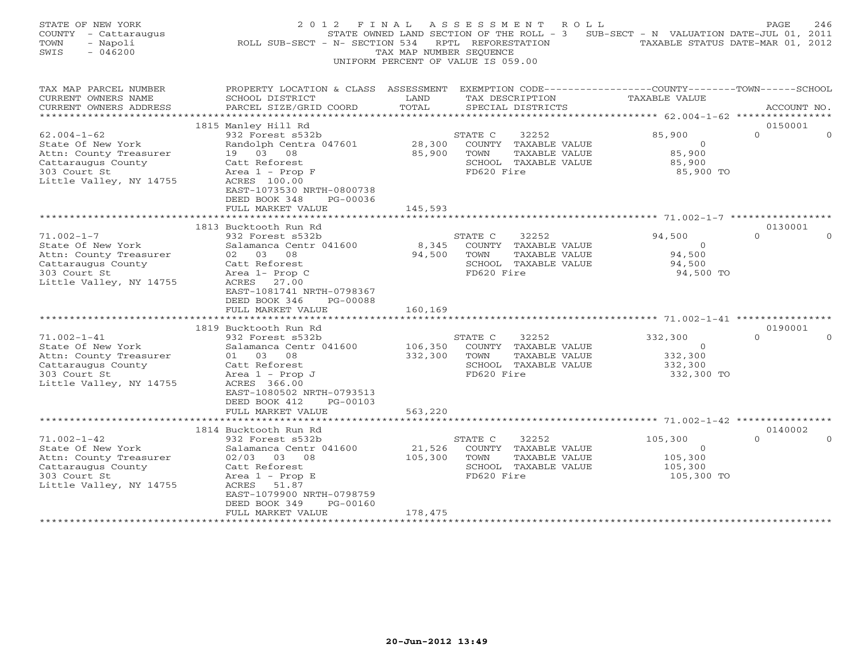| STATE OF NEW YORK<br>COUNTY - Cattaraugus<br>- Napoli<br>TOWN<br>$-046200$<br>SWIS                                                                                                                                                                                    | 2012 FINAL<br>ROLL SUB-SECT - N- SECTION 534                                                                                                                                                                                                                                                                                     | TAX MAP NUMBER SEQUENCE                          | A S S E S S M E N T<br>ROLL<br>STATE OWNED LAND SECTION OF THE ROLL - 3 SUB-SECT - N VALUATION DATE-JUL 01, 2011<br>RPTL REFORESTATION<br>UNIFORM PERCENT OF VALUE IS 059.00                                       | TAXABLE STATUS DATE-MAR 01, 2012                                                                                     | PAGE<br>246                               |
|-----------------------------------------------------------------------------------------------------------------------------------------------------------------------------------------------------------------------------------------------------------------------|----------------------------------------------------------------------------------------------------------------------------------------------------------------------------------------------------------------------------------------------------------------------------------------------------------------------------------|--------------------------------------------------|--------------------------------------------------------------------------------------------------------------------------------------------------------------------------------------------------------------------|----------------------------------------------------------------------------------------------------------------------|-------------------------------------------|
| TAX MAP PARCEL NUMBER<br>CURRENT OWNERS NAME<br>CURRENT OWNERS ADDRESS                                                                                                                                                                                                | PROPERTY LOCATION & CLASS ASSESSMENT EXEMPTION CODE---------------COUNTY-------TOWN------SCHOOL<br>SCHOOL DISTRICT<br>PARCEL SIZE/GRID COORD                                                                                                                                                                                     | LAND<br>TOTAL                                    | TAX DESCRIPTION<br>SPECIAL DISTRICTS                                                                                                                                                                               | <b>TAXABLE VALUE</b>                                                                                                 | ACCOUNT NO.                               |
|                                                                                                                                                                                                                                                                       | 1815 Manley Hill Rd                                                                                                                                                                                                                                                                                                              |                                                  |                                                                                                                                                                                                                    |                                                                                                                      | 0150001                                   |
| $62.004 - 1 - 62$                                                                                                                                                                                                                                                     | 932 Forest s532b                                                                                                                                                                                                                                                                                                                 |                                                  | 32252<br>STATE C                                                                                                                                                                                                   | 85,900                                                                                                               | $\Omega$<br>$\Omega$                      |
| State Of New York<br>Attn: County Treasurer<br>Cattaraugus County<br>303 Court St<br>Little Valley, NY 14755                                                                                                                                                          | Randolph Centra 047601<br>19 03 08<br>Catt Reforest<br>Area 1 - Prop F<br>ACRES 100.00<br>EAST-1073530 NRTH-0800738<br>DEED BOOK 348<br>PG-00036<br>FULL MARKET VALUE                                                                                                                                                            | 28,300<br>85,900<br>145,593                      | COUNTY TAXABLE VALUE<br>TAXABLE VALUE<br>TOWN<br>SCHOOL TAXABLE VALUE<br>FD620 Fire                                                                                                                                | $\overline{O}$<br>85,900<br>85,900<br>85,900 TO                                                                      |                                           |
|                                                                                                                                                                                                                                                                       |                                                                                                                                                                                                                                                                                                                                  |                                                  |                                                                                                                                                                                                                    |                                                                                                                      |                                           |
|                                                                                                                                                                                                                                                                       | 1813 Bucktooth Run Rd                                                                                                                                                                                                                                                                                                            |                                                  |                                                                                                                                                                                                                    |                                                                                                                      | 0130001                                   |
| $71.002 - 1 - 7$<br>State Of New York<br>Attn: County Treasurer<br>Cattaraugus County<br>303 Court St<br>Little Valley, NY 14755<br>$71.002 - 1 - 41$<br>State Of New York<br>Attn: County Treasurer<br>Cattaraugus County<br>303 Court St<br>Little Valley, NY 14755 | 932 Forest s532b<br>Salamanca Centr 041600<br>02 03 08<br>Catt Reforest<br>Area 1- Prop C<br>ACRES 27.00<br>EAST-1081741 NRTH-0798367<br>DEED BOOK 346<br>PG-00088<br>FULL MARKET VALUE<br>1819 Bucktooth Run Rd<br>932 Forest s532b<br>Salamanca Centr 041600<br>01 03 08<br>Catt Reforest<br>Area $1$ - Prop J<br>ACRES 366.00 | 8,345<br>94,500<br>160,169<br>106,350<br>332,300 | 32252<br>STATE C<br>COUNTY TAXABLE VALUE<br>TOWN<br>TAXABLE VALUE<br>SCHOOL TAXABLE VALUE<br>FD620 Fire<br>32252<br>STATE C<br>COUNTY TAXABLE VALUE<br>TOWN<br>TAXABLE VALUE<br>SCHOOL TAXABLE VALUE<br>FD620 Fire | 94,500<br>$\Omega$<br>94,500<br>94,500<br>94,500 TO<br>332,300<br>$\overline{O}$<br>332,300<br>332,300<br>332,300 TO | $\Omega$<br>$\Omega$<br>0190001<br>$\cap$ |
|                                                                                                                                                                                                                                                                       | EAST-1080502 NRTH-0793513<br>DEED BOOK 412<br>PG-00103<br>FULL MARKET VALUE<br>******************                                                                                                                                                                                                                                | 563,220                                          |                                                                                                                                                                                                                    |                                                                                                                      |                                           |
|                                                                                                                                                                                                                                                                       | 1814 Bucktooth Run Rd                                                                                                                                                                                                                                                                                                            |                                                  |                                                                                                                                                                                                                    |                                                                                                                      | 0140002                                   |
| $71.002 - 1 - 42$<br>State Of New York<br>Attn: County Treasurer<br>Cattaraugus County<br>303 Court St<br>Little Valley, NY 14755                                                                                                                                     | 932 Forest s532b<br>Salamanca Centr 041600<br>$02/03$ 03 08<br>Catt Reforest<br>Area $1$ - Prop E<br>ACRES 51.87<br>EAST-1079900 NRTH-0798759<br>DEED BOOK 349<br>PG-00160                                                                                                                                                       | 21,526<br>105,300                                | 32252<br>STATE C<br>COUNTY TAXABLE VALUE<br>TAXABLE VALUE<br>TOWN<br>SCHOOL TAXABLE VALUE<br>FD620 Fire                                                                                                            | 105,300<br>$\Omega$<br>105,300<br>105,300<br>105,300 TO                                                              | $\Omega$                                  |
| ***********************                                                                                                                                                                                                                                               | FULL MARKET VALUE<br>**************************                                                                                                                                                                                                                                                                                  | 178,475<br>*****************                     |                                                                                                                                                                                                                    |                                                                                                                      |                                           |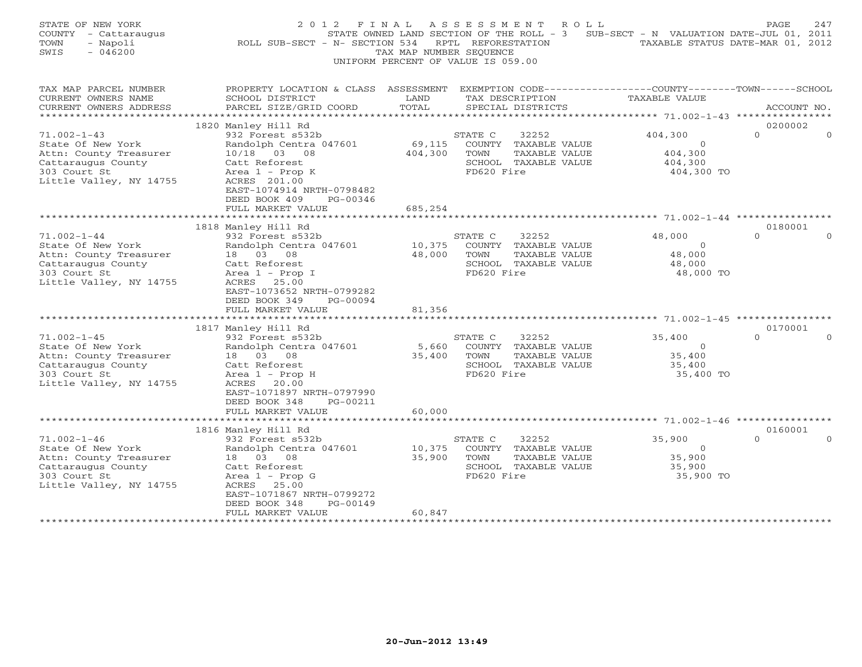| STATE OF NEW YORK<br>COUNTY - Cattaraugus<br>TOWN<br>- Napoli<br>SWIS<br>$-046200$                                                                                                                                                                                     | 2 0 1 2<br>F I N A L<br>ROLL SUB-SECT - N- SECTION 534                                                                                                                                                                                                                                                                                                                                                                       | TAX MAP NUMBER SEQUENCE                       | A S S E S S M E N T<br>R O L L<br>STATE OWNED LAND SECTION OF THE ROLL - 3 SUB-SECT - N VALUATION DATE-JUL 01, 2011<br>RPTL REFORESTATION<br>UNIFORM PERCENT OF VALUE IS 059.00                                    |                                                                                                           | PAGE<br>247<br>TAXABLE STATUS DATE-MAR 01, 2012      |
|------------------------------------------------------------------------------------------------------------------------------------------------------------------------------------------------------------------------------------------------------------------------|------------------------------------------------------------------------------------------------------------------------------------------------------------------------------------------------------------------------------------------------------------------------------------------------------------------------------------------------------------------------------------------------------------------------------|-----------------------------------------------|--------------------------------------------------------------------------------------------------------------------------------------------------------------------------------------------------------------------|-----------------------------------------------------------------------------------------------------------|------------------------------------------------------|
| TAX MAP PARCEL NUMBER<br>CURRENT OWNERS NAME<br>CURRENT OWNERS ADDRESS                                                                                                                                                                                                 | PROPERTY LOCATION & CLASS ASSESSMENT EXEMPTION CODE----------------COUNTY-------TOWN------SCHOOL<br>SCHOOL DISTRICT<br>PARCEL SIZE/GRID COORD                                                                                                                                                                                                                                                                                | LAND<br>TOTAL                                 | TAX DESCRIPTION<br>SPECIAL DISTRICTS                                                                                                                                                                               | TAXABLE VALUE                                                                                             | ACCOUNT NO.                                          |
|                                                                                                                                                                                                                                                                        |                                                                                                                                                                                                                                                                                                                                                                                                                              |                                               |                                                                                                                                                                                                                    |                                                                                                           |                                                      |
|                                                                                                                                                                                                                                                                        | 1820 Manley Hill Rd                                                                                                                                                                                                                                                                                                                                                                                                          |                                               |                                                                                                                                                                                                                    |                                                                                                           | 0200002                                              |
| $71.002 - 1 - 43$<br>State Of New York<br>Attn: County Treasurer<br>Cattaraugus County<br>303 Court St<br>Little Valley, NY 14755                                                                                                                                      | 932 Forest s532b<br>Randolph Centra 047601<br>10/18 03 08<br>Catt Reforest<br>Area $1$ - Prop K<br>ACRES 201.00<br>EAST-1074914 NRTH-0798482                                                                                                                                                                                                                                                                                 | 69,115<br>404,300                             | STATE C<br>32252<br>COUNTY TAXABLE VALUE<br>TAXABLE VALUE<br>TOWN<br>SCHOOL TAXABLE VALUE<br>FD620 Fire                                                                                                            | 404,300<br>$\circ$<br>404,300<br>404,300<br>404,300 TO                                                    | $\Omega$<br>$\Omega$                                 |
|                                                                                                                                                                                                                                                                        | DEED BOOK 409<br>PG-00346<br>FULL MARKET VALUE                                                                                                                                                                                                                                                                                                                                                                               | 685,254                                       |                                                                                                                                                                                                                    |                                                                                                           |                                                      |
|                                                                                                                                                                                                                                                                        |                                                                                                                                                                                                                                                                                                                                                                                                                              |                                               |                                                                                                                                                                                                                    |                                                                                                           |                                                      |
| $71.002 - 1 - 44$<br>State Of New York<br>Attn: County Treasurer<br>Cattaraugus County<br>303 Court St<br>Little Valley, NY 14755<br>$71.002 - 1 - 45$<br>State Of New York<br>Attn: County Treasurer<br>Cattaraugus County<br>303 Court St<br>Little Valley, NY 14755 | 1818 Manley Hill Rd<br>932 Forest s532b<br>Randolph Centra 047601<br>18  03  08<br>Catt Reforest<br>Area $1$ - Prop I<br>ACRES 25.00<br>EAST-1073652 NRTH-0799282<br>DEED BOOK 349<br>PG-00094<br>FULL MARKET VALUE<br>********************************<br>1817 Manley Hill Rd<br>932 Forest s532b<br>Randolph Centra 047601<br>18  03  08<br>Catt Reforest<br>Area $1$ - Prop H<br>ACRES 20.00<br>EAST-1071897 NRTH-0797990 | 10,375<br>48,000<br>81,356<br>5,660<br>35,400 | 32252<br>STATE C<br>COUNTY TAXABLE VALUE<br>TOWN<br>TAXABLE VALUE<br>SCHOOL TAXABLE VALUE<br>FD620 Fire<br>STATE C<br>32252<br>COUNTY TAXABLE VALUE<br>TOWN<br>TAXABLE VALUE<br>SCHOOL TAXABLE VALUE<br>FD620 Fire | 48,000<br>$\Omega$<br>48,000<br>48,000<br>48,000 TO<br>35,400<br>$\circ$<br>35,400<br>35,400<br>35,400 TO | 0180001<br>$\cap$<br>$\Omega$<br>0170001<br>$\Omega$ |
|                                                                                                                                                                                                                                                                        | DEED BOOK 348<br>PG-00211<br>FULL MARKET VALUE<br>*********************                                                                                                                                                                                                                                                                                                                                                      | 60,000                                        |                                                                                                                                                                                                                    |                                                                                                           |                                                      |
|                                                                                                                                                                                                                                                                        | 1816 Manley Hill Rd                                                                                                                                                                                                                                                                                                                                                                                                          |                                               |                                                                                                                                                                                                                    |                                                                                                           | 0160001                                              |
| $71.002 - 1 - 46$<br>State Of New York<br>Attn: County Treasurer<br>Cattaraugus County<br>303 Court St<br>Little Valley, NY 14755                                                                                                                                      | 932 Forest s532b<br>Randolph Centra 047601<br>18 03 08<br>Catt Reforest<br>Area $1$ - Prop G<br>ACRES 25.00<br>EAST-1071867 NRTH-0799272<br>PG-00149<br>DEED BOOK 348                                                                                                                                                                                                                                                        | 10,375<br>35,900                              | 32252<br>STATE C<br>COUNTY TAXABLE VALUE<br>TOWN<br>TAXABLE VALUE<br>SCHOOL TAXABLE VALUE<br>FD620 Fire                                                                                                            | 35,900<br>$\Omega$<br>35,900<br>35,900<br>35,900 TO                                                       | $\Omega$                                             |
| ***********************                                                                                                                                                                                                                                                | FULL MARKET VALUE<br>*************************                                                                                                                                                                                                                                                                                                                                                                               | 60,847<br>******************                  |                                                                                                                                                                                                                    |                                                                                                           |                                                      |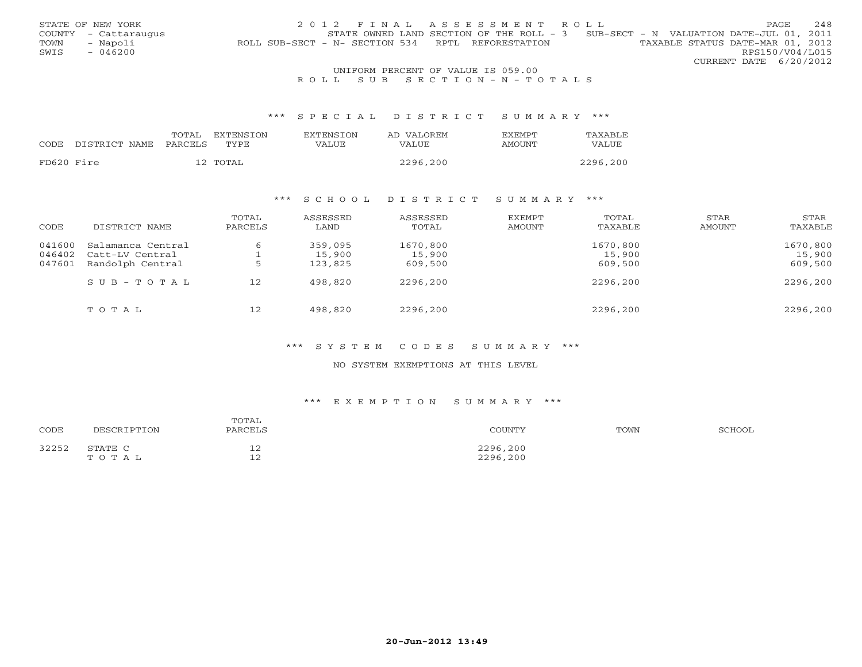|                                    | STATE OF NEW YORK    | 2012 FINAL ASSESSMENT ROLL                                                            | PAGE.                  |  | 248 |  |  |
|------------------------------------|----------------------|---------------------------------------------------------------------------------------|------------------------|--|-----|--|--|
|                                    | COUNTY - Cattaraugus | STATE OWNED LAND SECTION OF THE ROLL - 3 SUB-SECT - N VALUATION DATE-JUL 01, 2011     |                        |  |     |  |  |
| TOWN                               | - Napoli             | TAXABLE STATUS DATE-MAR 01, 2012<br>ROLL SUB-SECT - N- SECTION 534 RPTL REFORESTATION |                        |  |     |  |  |
| SWIS                               | $-046200$            |                                                                                       | RPS150/V04/L015        |  |     |  |  |
|                                    |                      |                                                                                       | CURRENT DATE 6/20/2012 |  |     |  |  |
| UNIFORM PERCENT OF VALUE IS 059.00 |                      |                                                                                       |                        |  |     |  |  |

## R O L L S U B S E C T I O N - N - T O T A L S

### \*\*\* S P E C I A L D I S T R I C T S U M M A R Y \*\*\*

|            |                            | TOTAL | EXTENSION | <b>EXTENSION</b> | AD VALOREM   | EXEMPT | TAXABLE  |
|------------|----------------------------|-------|-----------|------------------|--------------|--------|----------|
|            | CODE DISTRICT NAME PARCELS |       | TYPE      | VALUE            | <b>VALUE</b> | AMOUNT | VALUE    |
|            |                            |       |           |                  |              |        |          |
| FD620 Fire |                            |       | 12 TOTAL  |                  | 2296,200     |        | 2296,200 |

## \*\*\* S C H O O L D I S T R I C T S U M M A R Y \*\*\*

| CODE   | DISTRICT NAME           | TOTAL<br>PARCELS | ASSESSED<br>LAND | ASSESSED<br>TOTAL | EXEMPT<br>AMOUNT | TOTAL<br>TAXABLE | STAR<br>AMOUNT | STAR<br>TAXABLE |
|--------|-------------------------|------------------|------------------|-------------------|------------------|------------------|----------------|-----------------|
| 041600 | Salamanca Central       | 6                | 359,095          | 1670,800          |                  | 1670,800         |                | 1670,800        |
| 046402 | Catt-LV Central         |                  | 15,900           | 15,900            |                  | 15,900           |                | 15,900          |
| 047601 | Randolph Central        |                  | 123,825          | 609,500           |                  | 609,500          |                | 609,500         |
|        | $S \cup B - T \cup T A$ | 12               | 498,820          | 2296,200          |                  | 2296,200         |                | 2296,200        |
|        | TOTAL                   | 12               | 498,820          | 2296,200          |                  | 2296,200         |                | 2296,200        |

### \*\*\* S Y S T E M C O D E S S U M M A R Y \*\*\*

### NO SYSTEM EXEMPTIONS AT THIS LEVEL

### \*\*\* E X E M P T I O N S U M M A R Y \*\*\*

| CODE  | DESCRIPTION      | TOTAL<br>PARCELS                  | COUNTY               | TOWN | SCHOOL |
|-------|------------------|-----------------------------------|----------------------|------|--------|
| 32252 | STATE C<br>TOTAL | $\sim$<br>∸<br>$\sim$<br><u>_</u> | 2296,200<br>2296,200 |      |        |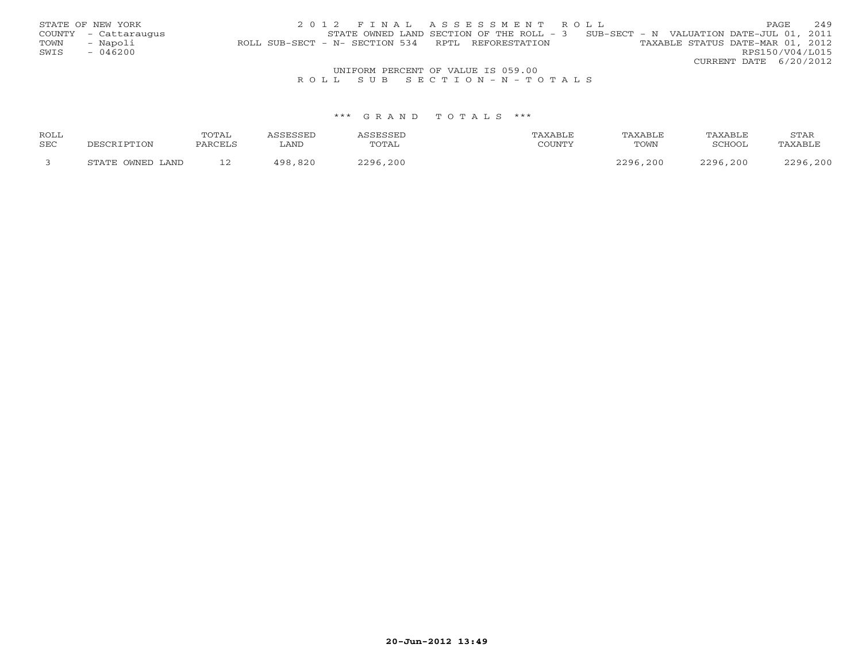|      | STATE OF NEW YORK                  | 2012 FINAL ASSESSMENT ROLL                                                            | PAGE                   | 249 |  |  |  |  |  |
|------|------------------------------------|---------------------------------------------------------------------------------------|------------------------|-----|--|--|--|--|--|
|      | COUNTY - Cattaraugus               | STATE OWNED LAND SECTION OF THE ROLL - $3$ SUB-SECT - N VALUATION DATE-JUL 01, 2011   |                        |     |  |  |  |  |  |
| TOWN | - Napoli                           | TAXABLE STATUS DATE-MAR 01, 2012<br>ROLL SUB-SECT - N- SECTION 534 RPTL REFORESTATION |                        |     |  |  |  |  |  |
| SWIS | $-046200$                          |                                                                                       | RPS150/V04/L015        |     |  |  |  |  |  |
|      |                                    |                                                                                       | CURRENT DATE 6/20/2012 |     |  |  |  |  |  |
|      | UNIFORM PERCENT OF VALUE IS 059.00 |                                                                                       |                        |     |  |  |  |  |  |
|      |                                    | ROLL SUB SECTION-N-TOTALS                                                             |                        |     |  |  |  |  |  |

| <b>ROLL</b> |                      | TOTAL       |              |       |                  | <b>XABLF</b> |                | STAF |
|-------------|----------------------|-------------|--------------|-------|------------------|--------------|----------------|------|
| <b>SEC</b>  |                      |             | LAND         | TOTAL | <b>COLTATION</b> | TOWN         | , 01100,       |      |
|             | OWNED LAND<br>תחמידי | $\sim$<br>. | 1 Q C<br>92C | າາດ ເ |                  | .200<br>າາດເ | .200<br>$\cap$ | .20C |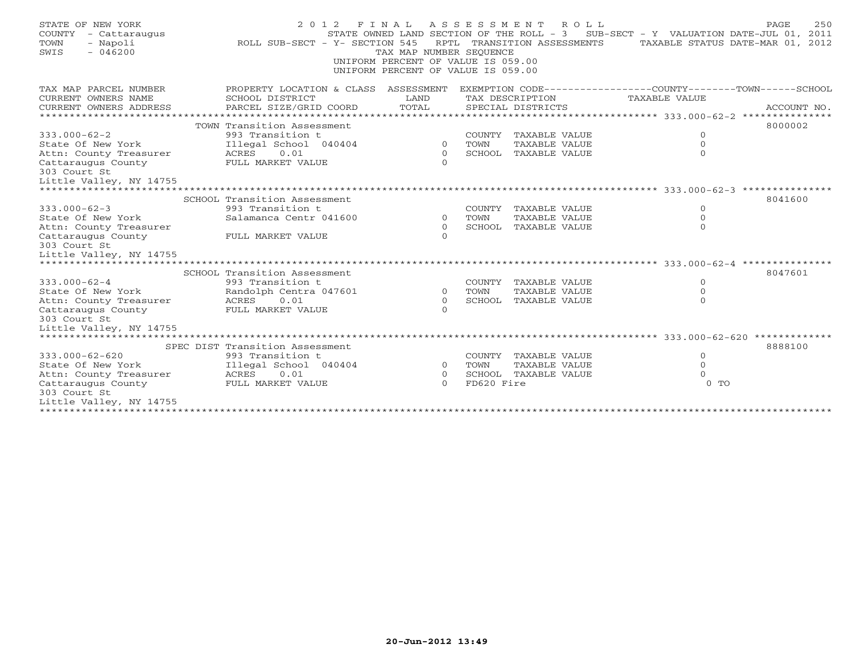| STATE OF NEW YORK<br>COUNTY<br>- Cattaraugus<br>- Napoli<br>TOWN<br>$-046200$<br>SWIS | 2 0 1 2<br>ROLL SUB-SECT - Y- SECTION 545                                                                                                    | TAX MAP NUMBER SEQUENCE<br>UNIFORM PERCENT OF VALUE IS 059.00<br>UNIFORM PERCENT OF VALUE IS 059.00 |            | FINAL ASSESSMENT ROLL<br>RPTL TRANSITION ASSESSMENTS | STATE OWNED LAND SECTION OF THE ROLL - 3 SUB-SECT - Y VALUATION DATE-JUL 01, 2011<br>TAXABLE STATUS DATE-MAR 01, 2012 | 250<br>PAGE |
|---------------------------------------------------------------------------------------|----------------------------------------------------------------------------------------------------------------------------------------------|-----------------------------------------------------------------------------------------------------|------------|------------------------------------------------------|-----------------------------------------------------------------------------------------------------------------------|-------------|
| TAX MAP PARCEL NUMBER<br>CURRENT OWNERS NAME<br>CURRENT OWNERS ADDRESS                | PROPERTY LOCATION & CLASS ASSESSMENT EXEMPTION CODE---------------COUNTY-------TOWN------SCHOOL<br>SCHOOL DISTRICT<br>PARCEL SIZE/GRID COORD | LAND<br>TOTAL                                                                                       |            | TAX DESCRIPTION<br>SPECIAL DISTRICTS                 | TAXABLE VALUE                                                                                                         | ACCOUNT NO. |
|                                                                                       | TOWN Transition Assessment                                                                                                                   |                                                                                                     |            |                                                      |                                                                                                                       | 8000002     |
| $333.000 - 62 - 2$                                                                    | 993 Transition t                                                                                                                             |                                                                                                     |            | COUNTY TAXABLE VALUE                                 | $\circ$                                                                                                               |             |
| State Of New York                                                                     | Illegal School 040404                                                                                                                        | $\circ$                                                                                             | TOWN       | TAXABLE VALUE                                        | $\Omega$                                                                                                              |             |
| Attn: County Treasurer                                                                | ACRES 0.01                                                                                                                                   | $\circ$                                                                                             |            | SCHOOL TAXABLE VALUE                                 | $\Omega$                                                                                                              |             |
| Cattaraugus County<br>303 Court St                                                    | FULL MARKET VALUE                                                                                                                            | $\Omega$                                                                                            |            |                                                      |                                                                                                                       |             |
| Little Valley, NY 14755                                                               |                                                                                                                                              |                                                                                                     |            |                                                      |                                                                                                                       |             |
|                                                                                       |                                                                                                                                              |                                                                                                     |            |                                                      |                                                                                                                       |             |
|                                                                                       | SCHOOL Transition Assessment                                                                                                                 |                                                                                                     |            |                                                      |                                                                                                                       | 8041600     |
| $333.000 - 62 - 3$                                                                    | 993 Transition t                                                                                                                             |                                                                                                     |            | COUNTY TAXABLE VALUE                                 | $\circ$                                                                                                               |             |
| State Of New York                                                                     | Salamanca Centr 041600                                                                                                                       | $\Omega$                                                                                            | TOWN       | TAXABLE VALUE                                        | $\Omega$                                                                                                              |             |
| Attn: County Treasurer<br>Cattaraugus County                                          | FULL MARKET VALUE                                                                                                                            | $\circ$<br>$\Omega$                                                                                 |            | SCHOOL TAXABLE VALUE                                 | $\Omega$                                                                                                              |             |
| 303 Court St                                                                          |                                                                                                                                              |                                                                                                     |            |                                                      |                                                                                                                       |             |
| Little Valley, NY 14755                                                               |                                                                                                                                              |                                                                                                     |            |                                                      |                                                                                                                       |             |
|                                                                                       |                                                                                                                                              |                                                                                                     |            |                                                      |                                                                                                                       |             |
|                                                                                       | SCHOOL Transition Assessment                                                                                                                 |                                                                                                     |            |                                                      |                                                                                                                       | 8047601     |
| $333.000 - 62 - 4$                                                                    | 993 Transition t                                                                                                                             |                                                                                                     |            | COUNTY TAXABLE VALUE                                 | $\circ$                                                                                                               |             |
| State Of New York                                                                     | Randolph Centra 047601                                                                                                                       | $\circ$                                                                                             | TOWN       | TAXABLE VALUE                                        | $\circ$                                                                                                               |             |
| Attn: County Treasurer                                                                | ACRES 0.01                                                                                                                                   | $\Omega$                                                                                            |            | SCHOOL TAXABLE VALUE                                 | $\Omega$                                                                                                              |             |
| Cattaraugus County<br>303 Court St                                                    | FULL MARKET VALUE                                                                                                                            | $\Omega$                                                                                            |            |                                                      |                                                                                                                       |             |
| Little Valley, NY 14755                                                               |                                                                                                                                              |                                                                                                     |            |                                                      |                                                                                                                       |             |
| ********************                                                                  |                                                                                                                                              |                                                                                                     |            |                                                      |                                                                                                                       |             |
|                                                                                       | SPEC DIST Transition Assessment                                                                                                              |                                                                                                     |            |                                                      |                                                                                                                       | 8888100     |
| $333.000 - 62 - 620$                                                                  | 993 Transition t                                                                                                                             |                                                                                                     |            | COUNTY TAXABLE VALUE                                 | $\circ$                                                                                                               |             |
| State Of New York                                                                     | Illegal School 040404                                                                                                                        |                                                                                                     | 0 TOWN     | TAXABLE VALUE                                        | $\circ$                                                                                                               |             |
| Attn: County Treasurer                                                                | ACRES<br>0.01                                                                                                                                | $\Omega$<br>$\Omega$                                                                                |            | SCHOOL TAXABLE VALUE                                 | $\Omega$<br>$0$ TO                                                                                                    |             |
| Cattaraugus County<br>303 Court St                                                    | FULL MARKET VALUE                                                                                                                            |                                                                                                     | FD620 Fire |                                                      |                                                                                                                       |             |
| Little Valley, NY 14755                                                               |                                                                                                                                              |                                                                                                     |            |                                                      |                                                                                                                       |             |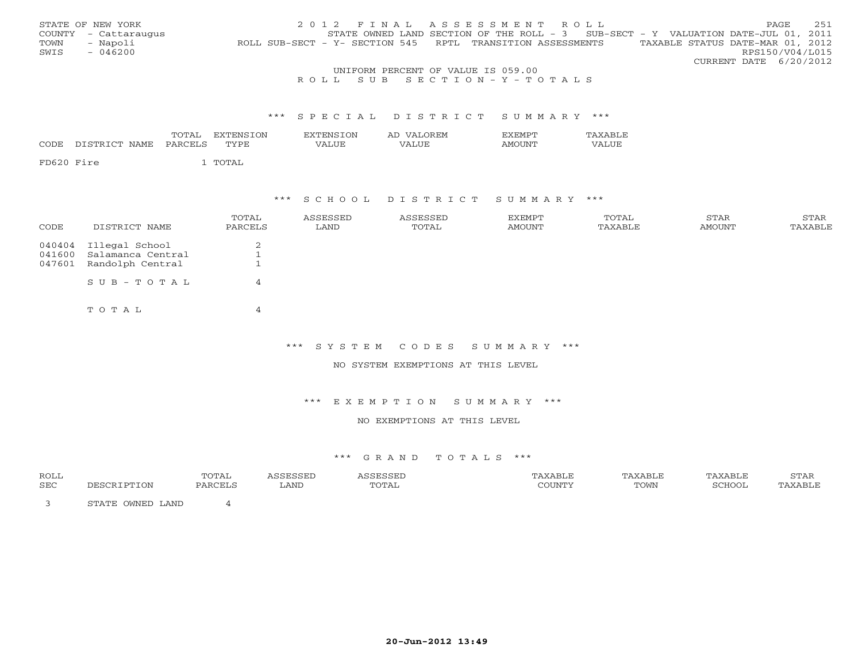|      | STATE OF NEW YORK    |                                                            |                                    | 2012 FINAL ASSESSMENT ROLL                                                          |                                  | <b>PAGE</b>            | 2.51 |
|------|----------------------|------------------------------------------------------------|------------------------------------|-------------------------------------------------------------------------------------|----------------------------------|------------------------|------|
|      | COUNTY - Cattaraugus |                                                            |                                    | STATE OWNED LAND SECTION OF THE ROLL - $3$ SUB-SECT - Y VALUATION DATE-JUL 01, 2011 |                                  |                        |      |
| TOWN | - Napoli             | ROLL SUB-SECT - Y- SECTION 545 RPTL TRANSITION ASSESSMENTS |                                    |                                                                                     | TAXABLE STATUS DATE-MAR 01, 2012 |                        |      |
| SWIS | $-046200$            |                                                            |                                    |                                                                                     |                                  | RPS150/V04/L015        |      |
|      |                      |                                                            |                                    |                                                                                     |                                  | CURRENT DATE 6/20/2012 |      |
|      |                      |                                                            | UNIFORM PERCENT OF VALUE IS 059.00 |                                                                                     |                                  |                        |      |

## R O L L S U B S E C T I O N - Y - T O T A L S

#### \*\*\* S P E C I A L D I S T R I C T S U M M A R Y \*\*\*

| CODE.      | DISTRICT NAME | TOTAL<br>PARCELS | EXTENSION<br><b>TYPE</b> | EXTENSION<br>VALUE | AD VALOREM<br><b>VALUE</b> | <b>EXEMPT</b><br><b>AMOUNT</b> | <b>TAXABLE</b><br>VALUE |
|------------|---------------|------------------|--------------------------|--------------------|----------------------------|--------------------------------|-------------------------|
| FD620 Fire |               |                  | . TOTAL                  |                    |                            |                                |                         |

## \*\*\* S C H O O L D I S T R I C T S U M M A R Y \*\*\*

| CODE   | DISTRICT NAME                              | TOTAL<br>PARCELS | ASSESSED<br>LAND | ASSESSED<br>TOTAL | EXEMPT<br>AMOUNT | TOTAL<br>TAXABLE | STAR<br>AMOUNT | STAR<br>TAXABLE |
|--------|--------------------------------------------|------------------|------------------|-------------------|------------------|------------------|----------------|-----------------|
| 041600 | 040404 Illegal School<br>Salamanca Central | $\bigcirc$<br>∠  |                  |                   |                  |                  |                |                 |
| 047601 | Randolph Central                           | ᅩ                |                  |                   |                  |                  |                |                 |
|        | $SUB - TO T AL$                            | 4                |                  |                   |                  |                  |                |                 |
|        | TOTAL                                      | 4                |                  |                   |                  |                  |                |                 |

#### \*\*\* S Y S T E M C O D E S S U M M A R Y \*\*\*

NO SYSTEM EXEMPTIONS AT THIS LEVEL

### \*\*\* E X E M P T I O N S U M M A R Y \*\*\*

## NO EXEMPTIONS AT THIS LEVEL

| ROLL |                                                  | TOTAL   |      |        |        | 'AXABLE | <sup>7</sup> AXABLL | STAR                            |
|------|--------------------------------------------------|---------|------|--------|--------|---------|---------------------|---------------------------------|
| SEC  |                                                  | יחמת גם | LAND | д<br>. | COUNTY | TOWN    | SCHOOL              | $\wedge$ Y $\wedge$ PT $\vdash$ |
|      | . OWNED LAND<br>$C$ m $\lambda$ m $\overline{D}$ |         |      |        |        |         |                     |                                 |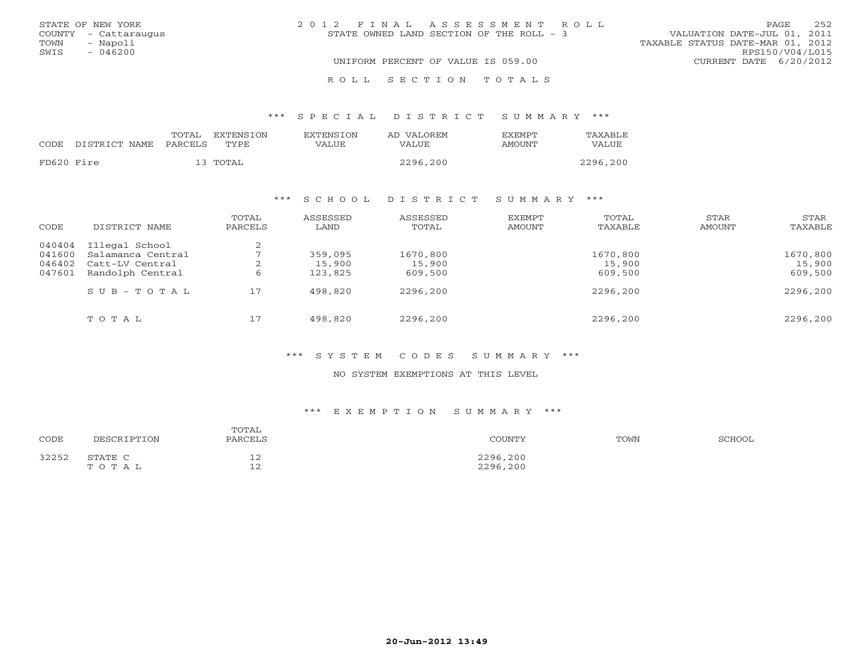|      | STATE OF NEW YORK    | 2012 FINAL ASSESSMENT ROLL               |                                  | PAGE. | 252 |
|------|----------------------|------------------------------------------|----------------------------------|-------|-----|
|      | COUNTY - Cattaraugus | STATE OWNED LAND SECTION OF THE ROLL - 3 | VALUATION DATE-JUL 01, 2011      |       |     |
| TOWN | - Napoli             |                                          | TAXABLE STATUS DATE-MAR 01, 2012 |       |     |
| SWIS | $-046200$            |                                          | RPS150/V04/L015                  |       |     |
|      |                      | UNIFORM PERCENT OF VALUE IS 059.00       | CURRENT DATE $6/20/2012$         |       |     |
|      |                      | ROLL SECTION TOTALS                      |                                  |       |     |

## \*\*\* S P E C I A L D I S T R I C T S U M M A R Y \*\*\*

|            |               | TOTAL   | EXTENSTON | <b>EXTENSION</b> | AD VALOREM | <b>EXEMPT</b> | TAXABLE  |
|------------|---------------|---------|-----------|------------------|------------|---------------|----------|
| CODE       | DISTRICT NAME | PARCELS | TYPE      | VALUE            | VALUE.     | AMOUNT        | VALUE    |
| FD620 Fire |               |         | 13 TOTAL  |                  | 2296,200   |               | 2296,200 |

## \*\*\* S C H O O L D I S T R I C T S U M M A R Y \*\*\*

| CODE             | DISTRICT NAME                       | TOTAL<br>PARCELS | ASSESSED<br>LAND  | ASSESSED<br>TOTAL | <b>EXEMPT</b><br>AMOUNT | TOTAL<br>TAXABLE  | STAR<br>AMOUNT | STAR<br>TAXABLE   |
|------------------|-------------------------------------|------------------|-------------------|-------------------|-------------------------|-------------------|----------------|-------------------|
| 040404<br>041600 | Illegal School<br>Salamanca Central | $\bigcap$<br>∠   | 359,095           | 1670,800          |                         | 1670,800          |                | 1670,800          |
| 046402<br>047601 | Catt-LV Central<br>Randolph Central | ∠<br>6           | 15,900<br>123,825 | 15,900<br>609,500 |                         | 15,900<br>609,500 |                | 15,900<br>609,500 |
|                  | $S \cup B - T \cup T A L$           | 17               | 498,820           | 2296,200          |                         | 2296,200          |                | 2296,200          |
|                  | TOTAL                               | 17               | 498,820           | 2296,200          |                         | 2296,200          |                | 2296,200          |

## \*\*\* S Y S T E M C O D E S S U M M A R Y \*\*\*

### NO SYSTEM EXEMPTIONS AT THIS LEVEL

### \*\*\* E X E M P T I O N S U M M A R Y \*\*\*

| CODE  | DESCRIPTION      | TOTAL<br>PARCELS   | COUNTY               | TOWN | SCHOOL |
|-------|------------------|--------------------|----------------------|------|--------|
| 32252 | STATE C<br>TOTAL | ᅩᄼ<br>$\sim$<br>ᅩᄼ | 2296,200<br>2296,200 |      |        |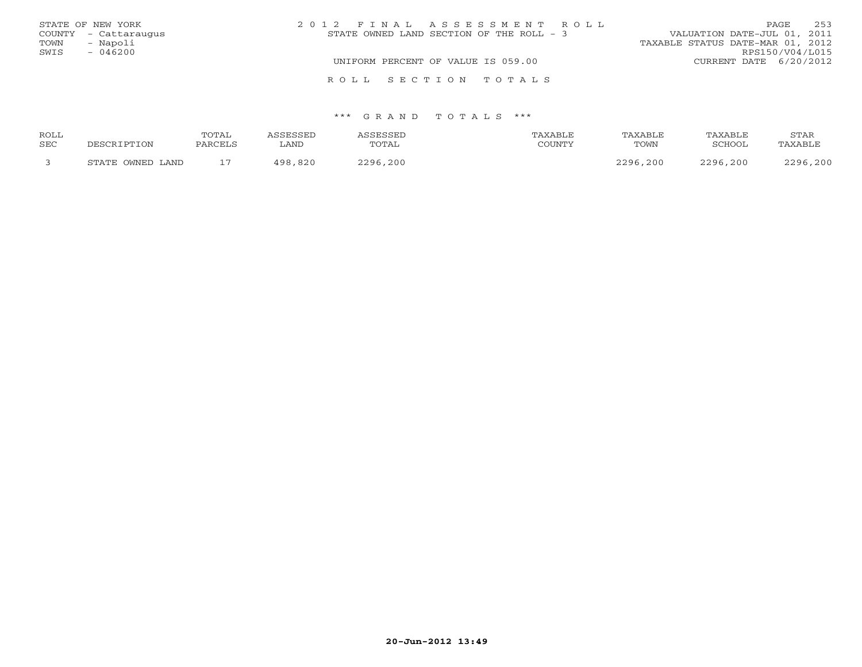|      | STATE OF NEW YORK    | 2012 FINAL ASSESSMENT ROLL                                               | <b>PAGE</b>            | 253 |
|------|----------------------|--------------------------------------------------------------------------|------------------------|-----|
|      | COUNTY - Cattaraugus | VALUATION DATE-JUL 01, 2011<br>STATE OWNED LAND SECTION OF THE ROLL $-3$ |                        |     |
| TOWN | - Napoli             | TAXABLE STATUS DATE-MAR 01, 2012                                         |                        |     |
| SWIS | $-046200$            |                                                                          | RPS150/V04/L015        |     |
|      |                      | UNIFORM PERCENT OF VALUE IS 059.00                                       | CURRENT DATE 6/20/2012 |     |
|      |                      | ROLL SECTION TOTALS                                                      |                        |     |

| ROLL |                  | TOTAL                    | <i>CC</i> FCCFT | SSESSEL  | 'AXABLE | TAXABLE  | TAXABLE  | STAR     |
|------|------------------|--------------------------|-----------------|----------|---------|----------|----------|----------|
| SEC  | DESCRIPTION      | PARCELS                  | ∟AND            | TOTAL    | COUNTY  | TOWN     | SCHOOL   | TAXABLE  |
|      | STATE OWNED LAND | $\overline{\phantom{0}}$ | .820<br>100     | 2296,200 |         | 2296,200 | 2296,200 | 2296,200 |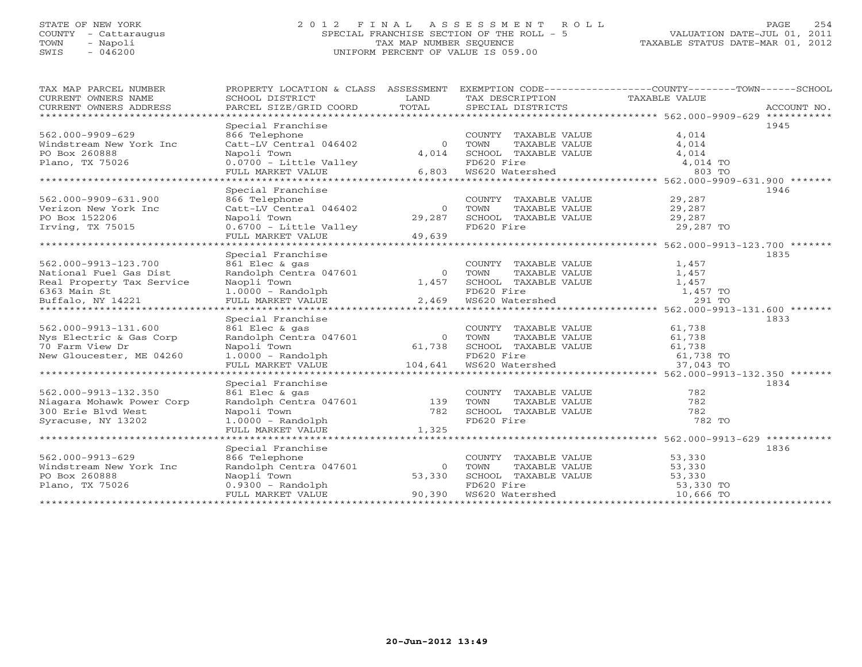## STATE OF NEW YORK 2 0 1 2 F I N A L A S S E S S M E N T R O L L PAGE 254 COUNTY - Cattaraugus SPECIAL FRANCHISE SECTION OF THE ROLL - 5 VALUATION DATE-JUL 01, 2011 TOWN - Napoli TAX MAP NUMBER SEQUENCE TAXABLE STATUS DATE-MAR 01, 2012 SWIS - 046200 UNIFORM PERCENT OF VALUE IS 059.00UNIFORM PERCENT OF VALUE IS 059.00

| TAX MAP PARCEL NUMBER<br>CURRENT OWNERS NAME<br>CURRENT OWNERS ADDRESS | SCHOOL DISTRICT<br>PARCEL SIZE/GRID COORD                                              | LAND<br>TOTAL              | TAX DESCRIPTION TAXABLE VALUE<br>SPECIAL DISTRICTS                             | PROPERTY LOCATION & CLASS ASSESSMENT EXEMPTION CODE---------------COUNTY-------TOWN------SCHOOL<br>ACCOUNT NO. |
|------------------------------------------------------------------------|----------------------------------------------------------------------------------------|----------------------------|--------------------------------------------------------------------------------|----------------------------------------------------------------------------------------------------------------|
| ******************************<br>562.000-9909-629                     | Special Franchise<br>866 Telephone                                                     |                            | COUNTY TAXABLE VALUE                                                           | 1945<br>4,014                                                                                                  |
| Windstream New York Inc<br>PO Box 260888<br>Plano, TX 75026            | Catt-LV Central 046402<br>Napoli Town<br>$0.0700 -$ Little Valley<br>FULL MARKET VALUE | $\Omega$<br>4,014<br>6,803 | TAXABLE VALUE<br>TOWN<br>SCHOOL TAXABLE VALUE<br>FD620 Fire<br>WS620 Watershed | 4,014<br>4,014<br>4,014 TO<br>803 TO                                                                           |
| ******************************                                         |                                                                                        |                            |                                                                                |                                                                                                                |
|                                                                        | Special Franchise                                                                      |                            |                                                                                | 1946                                                                                                           |
| 562.000-9909-631.900<br>Verizon New York Inc<br>PO Box 152206          | 866 Telephone<br>Catt-LV Central 046402<br>Napoli Town                                 | $\overline{0}$<br>29,287   | COUNTY TAXABLE VALUE<br>TOWN<br>TAXABLE VALUE<br>SCHOOL TAXABLE VALUE          | 29,287<br>29,287<br>29,287                                                                                     |
| Irving, TX 75015                                                       | $0.6700 -$ Little Valley<br>FULL MARKET VALUE                                          | 49,639                     | FD620 Fire                                                                     | 29,287 TO                                                                                                      |
| *****************************                                          |                                                                                        |                            |                                                                                |                                                                                                                |
| 562.000-9913-123.700                                                   | Special Franchise<br>861 Elec & gas                                                    |                            | COUNTY TAXABLE VALUE                                                           | 1835<br>1,457                                                                                                  |
| National Fuel Gas Dist<br>Real Property Tax Service                    | Randolph Centra 047601<br>Naopli Town                                                  | $\overline{0}$<br>1,457    | TOWN<br>TAXABLE VALUE<br>SCHOOL TAXABLE VALUE                                  | 1,457<br>1,457                                                                                                 |
| 6363 Main St                                                           | $1.0000 - Random$                                                                      |                            | FD620 Fire                                                                     | 1,457 TO                                                                                                       |
| Buffalo, NY 14221                                                      | FULL MARKET VALUE                                                                      | 2,469                      | WS620 Watershed                                                                | 291 TO                                                                                                         |
|                                                                        | Special Franchise                                                                      |                            |                                                                                | 1833                                                                                                           |
| 562.000-9913-131.600                                                   | 861 Elec & gas                                                                         |                            | COUNTY TAXABLE VALUE                                                           | 61,738                                                                                                         |
| Nys Electric & Gas Corp                                                | Randolph Centra 047601                                                                 | $\Omega$                   | TAXABLE VALUE<br>TOWN                                                          | 61,738                                                                                                         |
| 70 Farm View Dr                                                        | Napoli Town                                                                            | 61,738                     | TOWN TAXABLE VALUE 61,738<br>SCHOOL TAXABLE VALUE 61,738 TO                    |                                                                                                                |
| New Gloucester, ME 04260                                               | $1.0000 - Random$<br>FULL MARKET VALUE                                                 | 104,641                    | WS620 Watershed                                                                | 37,043 TO                                                                                                      |
| ***********************                                                |                                                                                        |                            |                                                                                |                                                                                                                |
|                                                                        | Special Franchise                                                                      |                            |                                                                                | 1834                                                                                                           |
| 562.000-9913-132.350                                                   | 861 Elec & gas                                                                         |                            | COUNTY TAXABLE VALUE                                                           | 782                                                                                                            |
| Niagara Mohawk Power Corp                                              | Randolph Centra 047601                                                                 | 139                        | TOWN<br>TAXABLE VALUE                                                          | 782                                                                                                            |
| 300 Erie Blvd West                                                     | Napoli Town                                                                            | 782                        | SCHOOL TAXABLE VALUE                                                           | 782                                                                                                            |
| Syracuse, NY 13202                                                     | $1.0000$ - Randolph                                                                    |                            | FD620 Fire                                                                     | 782 TO                                                                                                         |
|                                                                        | FULL MARKET VALUE                                                                      | 1,325                      |                                                                                |                                                                                                                |
|                                                                        | Special Franchise                                                                      |                            |                                                                                | 1836                                                                                                           |
| 562.000-9913-629                                                       | 866 Telephone                                                                          |                            | COUNTY TAXABLE VALUE                                                           | 53,330                                                                                                         |
| Windstream New York Inc                                                | Randolph Centra 047601                                                                 | $\circ$                    | TOWN<br>TAXABLE VALUE                                                          | 53,330                                                                                                         |
| PO Box 260888                                                          | Naopli Town                                                                            | 53,330                     | SCHOOL TAXABLE VALUE                                                           | 53,330                                                                                                         |
| Plano, TX 75026                                                        | 0.9300 - Randolph                                                                      |                            | FD620 Fire                                                                     | 53,330 TO                                                                                                      |
|                                                                        | FULL MARKET VALUE                                                                      | 90,390                     | WS620 Watershed                                                                | 10,666 TO                                                                                                      |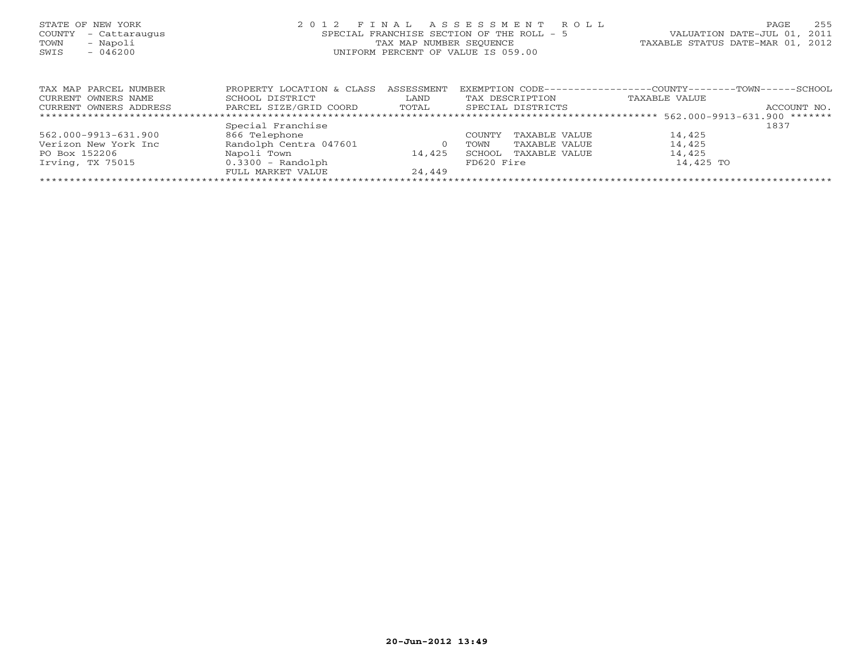| STATE OF NEW YORK<br>COUNTY - Cattaraugus<br>- Napoli<br>TOWN<br>$-046200$<br>SWIS | 2012 FINAL ASSESSMENT ROLL<br>SPECIAL FRANCHISE SECTION OF THE ROLL - 5<br>TAX MAP NUMBER SEOUENCE<br>UNIFORM PERCENT OF VALUE IS 059.00 | 255<br>PAGE<br>VALUATION DATE-JUL 01, 2011<br>TAXABLE STATUS DATE-MAR 01, 2012 |
|------------------------------------------------------------------------------------|------------------------------------------------------------------------------------------------------------------------------------------|--------------------------------------------------------------------------------|
| TAX MAP PARCEL NUMBER                                                              | EXEMPTION $CODE-----------------------$<br>PROPERTY LOCATION & CLASS ASSESSMENT                                                          | $-COUNTY------TOWN---$<br>- SCHOOL                                             |

| CURRENT OWNERS NAME    | SCHOOL DISTRICT        | LAND   |            | TAX DESCRIPTION   | TAXABLE VALUE |             |
|------------------------|------------------------|--------|------------|-------------------|---------------|-------------|
| CURRENT OWNERS ADDRESS | PARCEL SIZE/GRID COORD | TOTAL  |            | SPECIAL DISTRICTS |               | ACCOUNT NO. |
|                        |                        |        |            |                   |               |             |
|                        | Special Franchise      |        |            |                   |               | 1837        |
| 562.000-9913-631.900   | 866 Telephone          |        | COUNTY     | TAXABLE VALUE     | 14,425        |             |
| Verizon New York Inc   | Randolph Centra 047601 |        | TOWN       | TAXABLE VALUE     | 14,425        |             |
| PO Box 152206          | Napoli Town            | 14,425 | SCHOOL     | TAXABLE VALUE     | 14,425        |             |
| Irving, TX 75015       | $0.3300 - Random$      |        | FD620 Fire |                   | 14,425 TO     |             |
|                        | FULL MARKET VALUE      | 24,449 |            |                   |               |             |
|                        |                        |        |            |                   |               |             |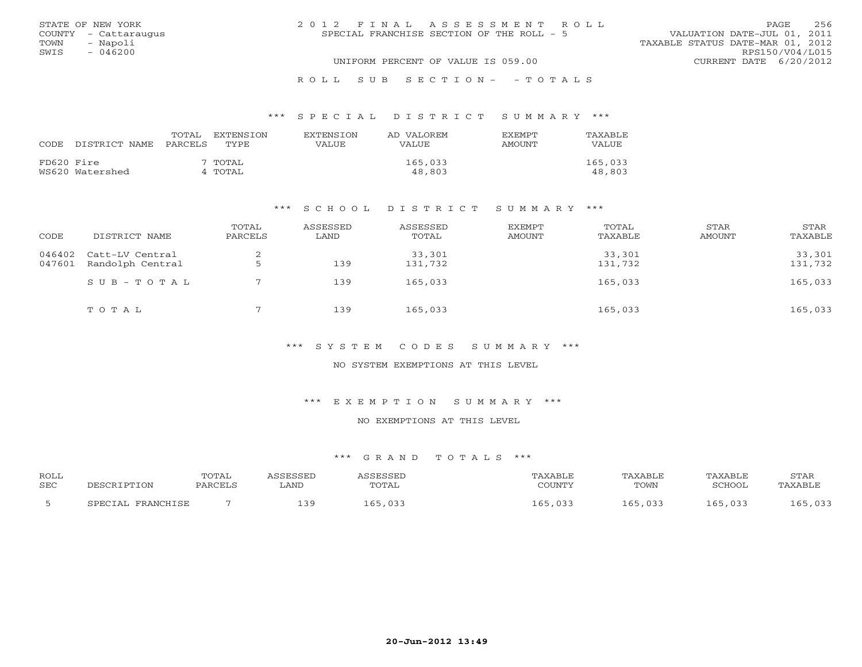|      | STATE OF NEW YORK    | 2012 FINAL ASSESSMENT ROLL                |                                  | <b>PAGE</b>     | 256 |
|------|----------------------|-------------------------------------------|----------------------------------|-----------------|-----|
|      | COUNTY - Cattaraugus | SPECIAL FRANCHISE SECTION OF THE ROLL - 5 | VALUATION DATE-JUL 01, 2011      |                 |     |
| TOWN | - Napoli             |                                           | TAXABLE STATUS DATE-MAR 01, 2012 |                 |     |
| SWIS | - 046200             |                                           |                                  | RPS150/V04/L015 |     |
|      |                      | UNIFORM PERCENT OF VALUE IS 059.00        | CURRENT DATE 6/20/2012           |                 |     |
|      |                      |                                           |                                  |                 |     |

#### R O L L S U B S E C T I O N - - T O T A L S

#### \*\*\* S P E C I A L D I S T R I C T S U M M A R Y \*\*\*

| CODE       | DISTRICT NAME   | TOTAL<br>PARCELS | EXTENSTON<br>TYPE. | <b>EXTENSION</b><br>VALUE | AD VALOREM<br><b>VALUE</b> | <b>EXEMPT</b><br>AMOUNT | TAXABLE<br>VALUE  |
|------------|-----------------|------------------|--------------------|---------------------------|----------------------------|-------------------------|-------------------|
| FD620 Fire | WS620 Watershed |                  | 7 TOTAL<br>4 TOTAL |                           | 165,033<br>48,803          |                         | 165,033<br>48,803 |

### \*\*\* S C H O O L D I S T R I C T S U M M A R Y \*\*\*

| CODE             | DISTRICT NAME                       | TOTAL<br>PARCELS | ASSESSED<br>LAND | ASSESSED<br>TOTAL | EXEMPT<br>AMOUNT | TOTAL<br>TAXABLE  | STAR<br>AMOUNT | STAR<br>TAXABLE   |
|------------------|-------------------------------------|------------------|------------------|-------------------|------------------|-------------------|----------------|-------------------|
| 046402<br>047601 | Catt-LV Central<br>Randolph Central |                  | 139              | 33,301<br>131,732 |                  | 33,301<br>131,732 |                | 33,301<br>131,732 |
|                  | SUB-TOTAL                           |                  | 139              | 165,033           |                  | 165,033           |                | 165,033           |
|                  | TOTAL                               | $\blacksquare$   | 139              | 165,033           |                  | 165,033           |                | 165,033           |

## \*\*\* S Y S T E M C O D E S S U M M A R Y \*\*\*

## NO SYSTEM EXEMPTIONS AT THIS LEVEL

### \*\*\* E X E M P T I O N S U M M A R Y \*\*\*

## NO EXEMPTIONS AT THIS LEVEL

| <b>ROLL</b><br><b>SEC</b> |                             | TOTAL<br>PARCELS | ACCRCCRT<br>∟AND | <b>SESSED</b><br>TOTAL | TAXABLE<br>COUNTY | <b>TAXABLE</b><br>TOWN | TAXABLE<br>SCHOOL | STAR<br>TAXABLE |
|---------------------------|-----------------------------|------------------|------------------|------------------------|-------------------|------------------------|-------------------|-----------------|
|                           | FRANCHICF<br><b>CDRCTAT</b> |                  | 3 Q<br>---       | ,033                   | 033               | いいつい                   | 165<br>่ ควร<br>. |                 |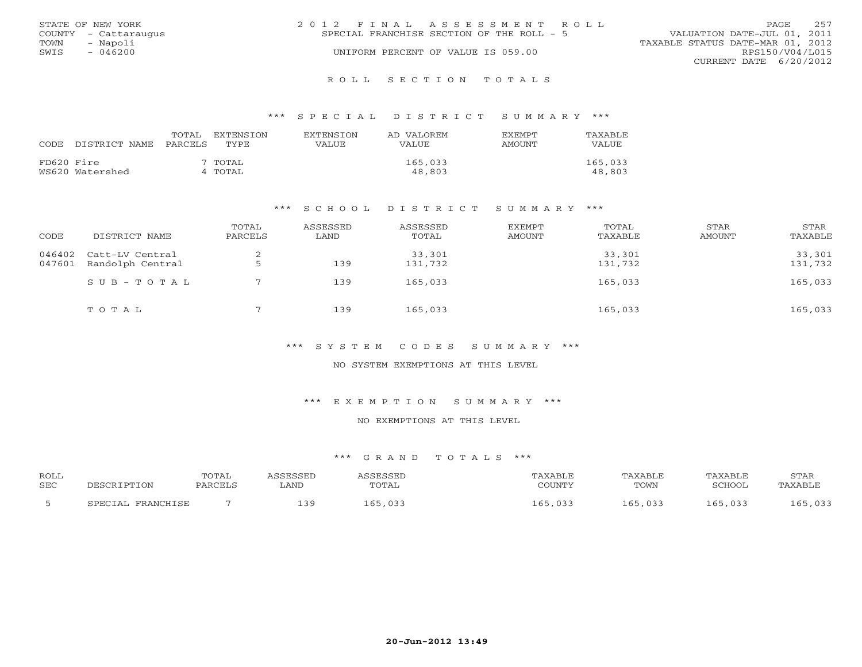|      | STATE OF NEW YORK    | 2012 FINAL ASSESSMENT ROLL                | PAGE                             | 257 |
|------|----------------------|-------------------------------------------|----------------------------------|-----|
|      | COUNTY - Cattaraugus | SPECIAL FRANCHISE SECTION OF THE ROLL - 5 | VALUATION DATE-JUL 01, 2011      |     |
| TOWN | - Napoli             |                                           | TAXABLE STATUS DATE-MAR 01, 2012 |     |
| SWIS | $-046200$            | UNIFORM PERCENT OF VALUE IS 059.00        | RPS150/V04/L015                  |     |
|      |                      |                                           | CURRENT DATE 6/20/2012           |     |
|      |                      |                                           |                                  |     |

#### R O L L S E C T I O N T O T A L S

#### \*\*\* S P E C I A L D I S T R I C T S U M M A R Y \*\*\*

| CODE.      | DISTRICT NAME PARCELS | TOTAL | EXTENSTON<br>TYPE  | <b>EXTENSION</b><br>VALUE | AD VALOREM<br><b>VALUE</b> | <b>EXEMPT</b><br>AMOUNT | TAXABLE<br>VALUE  |
|------------|-----------------------|-------|--------------------|---------------------------|----------------------------|-------------------------|-------------------|
| FD620 Fire | WS620 Watershed       |       | 7 TOTAL<br>4 TOTAL |                           | 165,033<br>48,803          |                         | 165,033<br>48,803 |

#### \*\*\* S C H O O L D I S T R I C T S U M M A R Y \*\*\*

| CODE             | DISTRICT NAME                       | TOTAL<br>PARCELS | ASSESSED<br>LAND | ASSESSED<br>TOTAL | EXEMPT<br>AMOUNT | TOTAL<br>TAXABLE  | STAR<br>AMOUNT | STAR<br>TAXABLE   |
|------------------|-------------------------------------|------------------|------------------|-------------------|------------------|-------------------|----------------|-------------------|
| 046402<br>047601 | Catt-LV Central<br>Randolph Central |                  | 139              | 33,301<br>131,732 |                  | 33,301<br>131,732 |                | 33,301<br>131,732 |
|                  | SUB-TOTAL                           |                  | 139              | 165,033           |                  | 165,033           |                | 165,033           |
|                  | TOTAL                               | $\blacksquare$   | 139              | 165,033           |                  | 165,033           |                | 165,033           |

### \*\*\* S Y S T E M C O D E S S U M M A R Y \*\*\*

## NO SYSTEM EXEMPTIONS AT THIS LEVEL

#### \*\*\* E X E M P T I O N S U M M A R Y \*\*\*

## NO EXEMPTIONS AT THIS LEVEL

| <b>ROLL</b><br><b>SEC</b> |                      | TOTAL<br>PARCELS | SSESSED<br>∟AND | ASSESSED<br>TOTAL | TAXABLE<br>COUNTY | TAXABLE<br>TOWN | TAXABLE<br>SCHOOL | STAR<br>TAXABLE |
|---------------------------|----------------------|------------------|-----------------|-------------------|-------------------|-----------------|-------------------|-----------------|
|                           | FRANCHISE<br>SPECIAL |                  | 1 R Q           | 165,033           | 65<br>,033        | 165,033         | 165,033           | .65,033         |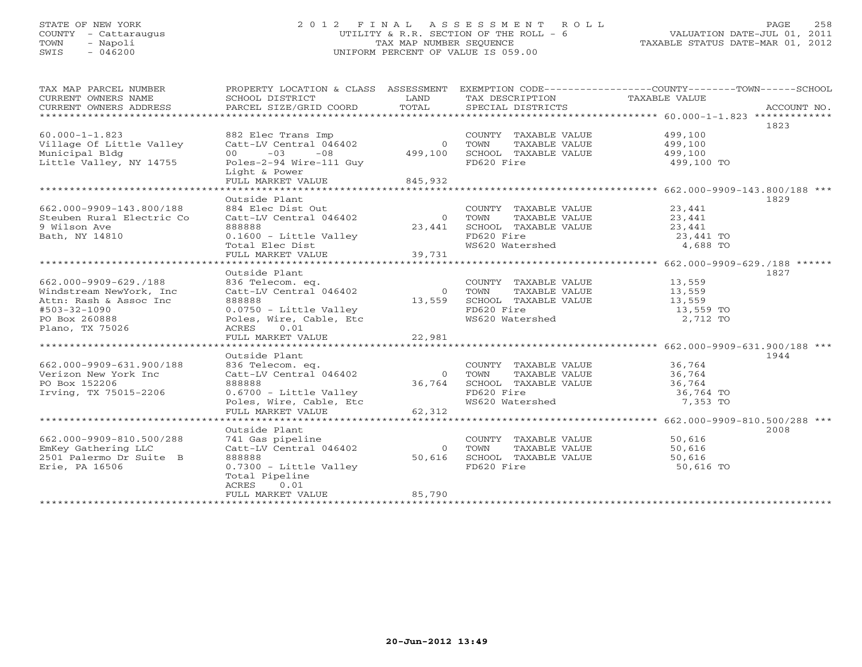## STATE OF NEW YORK 2 0 1 2 F I N A L A S S E S S M E N T R O L L PAGE 258 COUNTY - Cattaraugus UTILITY & R.R. SECTION OF THE ROLL - 6 VALUATION DATE-JUL 01, 2011 TOWN - Napoli TAX MAP NUMBER SEQUENCE TAXABLE STATUS DATE-MAR 01, 2012 SWIS - 046200 UNIFORM PERCENT OF VALUE IS 059.00UNIFORM PERCENT OF VALUE IS 059.00

| 1823<br>$60.000 - 1 - 1.823$<br>882 Elec Trans Imp<br>COUNTY TAXABLE VALUE 499,100<br>Village Of Little Valley<br>Catt-LV Central 046402<br>$\overline{0}$<br>TOWN<br>TAXABLE VALUE<br>499,100<br>499,100<br>499,100<br>Municipal Bldg<br>$00 -03 -08$<br>SCHOOL TAXABLE VALUE<br>Little Valley, NY 14755<br>Poles-2-94 Wire-111 Guy<br>FD620 Fire<br>499,100 TO<br>Light & Power<br>FULL MARKET VALUE<br>845,932<br>*********************<br>Outside Plant<br>1829<br>COUNTY TAXABLE VALUE 23,441<br>662.000-9909-143.800/188<br>884 Elec Dist Out<br>Steuben Rural Electric Co<br>Catt-LV Central 046402<br>0 TOWN<br>TAXABLE VALUE $23,441$<br>L TAXABLE VALUE $23,441$<br>9 Wilson Ave<br>888888<br>23,441<br>SCHOOL TAXABLE VALUE<br>Bath, NY 14810<br>0.1600 - Little Valley<br>FD620 Fire<br>23,441 TO<br>4,688 TO<br>WS620 Watershed<br>Outside Plant<br>1827<br>COUNTY TAXABLE VALUE 13,559<br>662.000-9909-629./188<br>836 Telecom. eq.<br>Catt-LV Central 046402<br>Windstream NewYork, Inc<br>$\overline{0}$<br>TOWN<br>TAXABLE VALUE<br>13,559<br>888888<br>13,559 SCHOOL TAXABLE VALUE<br>FD620 Fire<br>WS620 Watershed<br>Attn: Rash & Assoc Inc<br>13,559<br>0.0750 - Little Valley<br>#503-32-1090<br>13,559 TO<br>Poles, Wire, Cable, Etc<br>2,712 TO<br>PO Box 260888<br>Plano, TX 75026<br>ACRES 0.01<br>22,981<br>FULL MARKET VALUE<br>Outside Plant<br>1944<br>662.000-9909-631.900/188<br>COUNTY TAXABLE VALUE 36,764<br>TOWN TAXABLE VALUE 36,764<br>836 Telecom. eq.<br>Catt-LV Central 046402<br>0 TOWN<br>Verizon New York Inc<br>36,764 SCHOOL TAXABLE VALUE 36,764<br>PO Box 152206<br>888888<br>FD620 Fire<br>Irving, TX 75015-2206<br>0.6700 - Little Valley<br>36,764 TO<br>ws620 Watershed<br>7,353 TO<br>Poles, Wire, Cable, Etc<br>62,312<br>FULL MARKET VALUE<br>*************************<br>2008<br>Outside Plant<br>662.000-9909-810.500/288<br>741 Gas pipeline<br>COUNTY TAXABLE VALUE<br>50,616<br>EmKey Gathering LLC<br>Catt-LV Central 046402<br>$\overline{0}$<br>TOWN<br>TAXABLE VALUE<br>50,616<br>2501 Palermo Dr Suite B<br>888888<br>50,616<br>SCHOOL TAXABLE VALUE<br>50,616<br>FD620 Fire<br>Erie, PA 16506<br>0.7300 - Little Valley<br>50,616 TO<br>Total Pipeline<br>ACRES<br>0.01<br>85,790<br>FULL MARKET VALUE<br>* * * * * * * * * * * * * * * * * | TAX MAP PARCEL NUMBER<br>CURRENT OWNERS NAME | PROPERTY LOCATION & CLASS ASSESSMENT<br>SCHOOL DISTRICT | LAND  | TAX DESCRIPTION TAXABLE VALUE | EXEMPTION CODE-----------------COUNTY-------TOWN------SCHOOL |
|----------------------------------------------------------------------------------------------------------------------------------------------------------------------------------------------------------------------------------------------------------------------------------------------------------------------------------------------------------------------------------------------------------------------------------------------------------------------------------------------------------------------------------------------------------------------------------------------------------------------------------------------------------------------------------------------------------------------------------------------------------------------------------------------------------------------------------------------------------------------------------------------------------------------------------------------------------------------------------------------------------------------------------------------------------------------------------------------------------------------------------------------------------------------------------------------------------------------------------------------------------------------------------------------------------------------------------------------------------------------------------------------------------------------------------------------------------------------------------------------------------------------------------------------------------------------------------------------------------------------------------------------------------------------------------------------------------------------------------------------------------------------------------------------------------------------------------------------------------------------------------------------------------------------------------------------------------------------------------------------------------------------------------------------------------------------------------------------------------------------------------------------------------------------------------------------------------------------------------------------------------------------------------------------------------------|----------------------------------------------|---------------------------------------------------------|-------|-------------------------------|--------------------------------------------------------------|
|                                                                                                                                                                                                                                                                                                                                                                                                                                                                                                                                                                                                                                                                                                                                                                                                                                                                                                                                                                                                                                                                                                                                                                                                                                                                                                                                                                                                                                                                                                                                                                                                                                                                                                                                                                                                                                                                                                                                                                                                                                                                                                                                                                                                                                                                                                                | CURRENT OWNERS ADDRESS                       | PARCEL SIZE/GRID COORD                                  | TOTAL | SPECIAL DISTRICTS             | ACCOUNT NO.                                                  |
|                                                                                                                                                                                                                                                                                                                                                                                                                                                                                                                                                                                                                                                                                                                                                                                                                                                                                                                                                                                                                                                                                                                                                                                                                                                                                                                                                                                                                                                                                                                                                                                                                                                                                                                                                                                                                                                                                                                                                                                                                                                                                                                                                                                                                                                                                                                |                                              |                                                         |       |                               |                                                              |
|                                                                                                                                                                                                                                                                                                                                                                                                                                                                                                                                                                                                                                                                                                                                                                                                                                                                                                                                                                                                                                                                                                                                                                                                                                                                                                                                                                                                                                                                                                                                                                                                                                                                                                                                                                                                                                                                                                                                                                                                                                                                                                                                                                                                                                                                                                                |                                              |                                                         |       |                               |                                                              |
|                                                                                                                                                                                                                                                                                                                                                                                                                                                                                                                                                                                                                                                                                                                                                                                                                                                                                                                                                                                                                                                                                                                                                                                                                                                                                                                                                                                                                                                                                                                                                                                                                                                                                                                                                                                                                                                                                                                                                                                                                                                                                                                                                                                                                                                                                                                |                                              |                                                         |       |                               |                                                              |
|                                                                                                                                                                                                                                                                                                                                                                                                                                                                                                                                                                                                                                                                                                                                                                                                                                                                                                                                                                                                                                                                                                                                                                                                                                                                                                                                                                                                                                                                                                                                                                                                                                                                                                                                                                                                                                                                                                                                                                                                                                                                                                                                                                                                                                                                                                                |                                              |                                                         |       |                               |                                                              |
|                                                                                                                                                                                                                                                                                                                                                                                                                                                                                                                                                                                                                                                                                                                                                                                                                                                                                                                                                                                                                                                                                                                                                                                                                                                                                                                                                                                                                                                                                                                                                                                                                                                                                                                                                                                                                                                                                                                                                                                                                                                                                                                                                                                                                                                                                                                |                                              |                                                         |       |                               |                                                              |
|                                                                                                                                                                                                                                                                                                                                                                                                                                                                                                                                                                                                                                                                                                                                                                                                                                                                                                                                                                                                                                                                                                                                                                                                                                                                                                                                                                                                                                                                                                                                                                                                                                                                                                                                                                                                                                                                                                                                                                                                                                                                                                                                                                                                                                                                                                                |                                              |                                                         |       |                               |                                                              |
|                                                                                                                                                                                                                                                                                                                                                                                                                                                                                                                                                                                                                                                                                                                                                                                                                                                                                                                                                                                                                                                                                                                                                                                                                                                                                                                                                                                                                                                                                                                                                                                                                                                                                                                                                                                                                                                                                                                                                                                                                                                                                                                                                                                                                                                                                                                |                                              |                                                         |       |                               |                                                              |
|                                                                                                                                                                                                                                                                                                                                                                                                                                                                                                                                                                                                                                                                                                                                                                                                                                                                                                                                                                                                                                                                                                                                                                                                                                                                                                                                                                                                                                                                                                                                                                                                                                                                                                                                                                                                                                                                                                                                                                                                                                                                                                                                                                                                                                                                                                                |                                              |                                                         |       |                               |                                                              |
|                                                                                                                                                                                                                                                                                                                                                                                                                                                                                                                                                                                                                                                                                                                                                                                                                                                                                                                                                                                                                                                                                                                                                                                                                                                                                                                                                                                                                                                                                                                                                                                                                                                                                                                                                                                                                                                                                                                                                                                                                                                                                                                                                                                                                                                                                                                |                                              |                                                         |       |                               |                                                              |
|                                                                                                                                                                                                                                                                                                                                                                                                                                                                                                                                                                                                                                                                                                                                                                                                                                                                                                                                                                                                                                                                                                                                                                                                                                                                                                                                                                                                                                                                                                                                                                                                                                                                                                                                                                                                                                                                                                                                                                                                                                                                                                                                                                                                                                                                                                                |                                              |                                                         |       |                               |                                                              |
|                                                                                                                                                                                                                                                                                                                                                                                                                                                                                                                                                                                                                                                                                                                                                                                                                                                                                                                                                                                                                                                                                                                                                                                                                                                                                                                                                                                                                                                                                                                                                                                                                                                                                                                                                                                                                                                                                                                                                                                                                                                                                                                                                                                                                                                                                                                |                                              |                                                         |       |                               |                                                              |
|                                                                                                                                                                                                                                                                                                                                                                                                                                                                                                                                                                                                                                                                                                                                                                                                                                                                                                                                                                                                                                                                                                                                                                                                                                                                                                                                                                                                                                                                                                                                                                                                                                                                                                                                                                                                                                                                                                                                                                                                                                                                                                                                                                                                                                                                                                                |                                              |                                                         |       |                               |                                                              |
|                                                                                                                                                                                                                                                                                                                                                                                                                                                                                                                                                                                                                                                                                                                                                                                                                                                                                                                                                                                                                                                                                                                                                                                                                                                                                                                                                                                                                                                                                                                                                                                                                                                                                                                                                                                                                                                                                                                                                                                                                                                                                                                                                                                                                                                                                                                |                                              |                                                         |       |                               |                                                              |
|                                                                                                                                                                                                                                                                                                                                                                                                                                                                                                                                                                                                                                                                                                                                                                                                                                                                                                                                                                                                                                                                                                                                                                                                                                                                                                                                                                                                                                                                                                                                                                                                                                                                                                                                                                                                                                                                                                                                                                                                                                                                                                                                                                                                                                                                                                                |                                              |                                                         |       |                               |                                                              |
|                                                                                                                                                                                                                                                                                                                                                                                                                                                                                                                                                                                                                                                                                                                                                                                                                                                                                                                                                                                                                                                                                                                                                                                                                                                                                                                                                                                                                                                                                                                                                                                                                                                                                                                                                                                                                                                                                                                                                                                                                                                                                                                                                                                                                                                                                                                |                                              |                                                         |       |                               |                                                              |
|                                                                                                                                                                                                                                                                                                                                                                                                                                                                                                                                                                                                                                                                                                                                                                                                                                                                                                                                                                                                                                                                                                                                                                                                                                                                                                                                                                                                                                                                                                                                                                                                                                                                                                                                                                                                                                                                                                                                                                                                                                                                                                                                                                                                                                                                                                                |                                              |                                                         |       |                               |                                                              |
|                                                                                                                                                                                                                                                                                                                                                                                                                                                                                                                                                                                                                                                                                                                                                                                                                                                                                                                                                                                                                                                                                                                                                                                                                                                                                                                                                                                                                                                                                                                                                                                                                                                                                                                                                                                                                                                                                                                                                                                                                                                                                                                                                                                                                                                                                                                |                                              |                                                         |       |                               |                                                              |
|                                                                                                                                                                                                                                                                                                                                                                                                                                                                                                                                                                                                                                                                                                                                                                                                                                                                                                                                                                                                                                                                                                                                                                                                                                                                                                                                                                                                                                                                                                                                                                                                                                                                                                                                                                                                                                                                                                                                                                                                                                                                                                                                                                                                                                                                                                                |                                              |                                                         |       |                               |                                                              |
|                                                                                                                                                                                                                                                                                                                                                                                                                                                                                                                                                                                                                                                                                                                                                                                                                                                                                                                                                                                                                                                                                                                                                                                                                                                                                                                                                                                                                                                                                                                                                                                                                                                                                                                                                                                                                                                                                                                                                                                                                                                                                                                                                                                                                                                                                                                |                                              |                                                         |       |                               |                                                              |
|                                                                                                                                                                                                                                                                                                                                                                                                                                                                                                                                                                                                                                                                                                                                                                                                                                                                                                                                                                                                                                                                                                                                                                                                                                                                                                                                                                                                                                                                                                                                                                                                                                                                                                                                                                                                                                                                                                                                                                                                                                                                                                                                                                                                                                                                                                                |                                              |                                                         |       |                               |                                                              |
|                                                                                                                                                                                                                                                                                                                                                                                                                                                                                                                                                                                                                                                                                                                                                                                                                                                                                                                                                                                                                                                                                                                                                                                                                                                                                                                                                                                                                                                                                                                                                                                                                                                                                                                                                                                                                                                                                                                                                                                                                                                                                                                                                                                                                                                                                                                |                                              |                                                         |       |                               |                                                              |
|                                                                                                                                                                                                                                                                                                                                                                                                                                                                                                                                                                                                                                                                                                                                                                                                                                                                                                                                                                                                                                                                                                                                                                                                                                                                                                                                                                                                                                                                                                                                                                                                                                                                                                                                                                                                                                                                                                                                                                                                                                                                                                                                                                                                                                                                                                                |                                              |                                                         |       |                               |                                                              |
|                                                                                                                                                                                                                                                                                                                                                                                                                                                                                                                                                                                                                                                                                                                                                                                                                                                                                                                                                                                                                                                                                                                                                                                                                                                                                                                                                                                                                                                                                                                                                                                                                                                                                                                                                                                                                                                                                                                                                                                                                                                                                                                                                                                                                                                                                                                |                                              |                                                         |       |                               |                                                              |
|                                                                                                                                                                                                                                                                                                                                                                                                                                                                                                                                                                                                                                                                                                                                                                                                                                                                                                                                                                                                                                                                                                                                                                                                                                                                                                                                                                                                                                                                                                                                                                                                                                                                                                                                                                                                                                                                                                                                                                                                                                                                                                                                                                                                                                                                                                                |                                              |                                                         |       |                               |                                                              |
|                                                                                                                                                                                                                                                                                                                                                                                                                                                                                                                                                                                                                                                                                                                                                                                                                                                                                                                                                                                                                                                                                                                                                                                                                                                                                                                                                                                                                                                                                                                                                                                                                                                                                                                                                                                                                                                                                                                                                                                                                                                                                                                                                                                                                                                                                                                |                                              |                                                         |       |                               |                                                              |
|                                                                                                                                                                                                                                                                                                                                                                                                                                                                                                                                                                                                                                                                                                                                                                                                                                                                                                                                                                                                                                                                                                                                                                                                                                                                                                                                                                                                                                                                                                                                                                                                                                                                                                                                                                                                                                                                                                                                                                                                                                                                                                                                                                                                                                                                                                                |                                              |                                                         |       |                               |                                                              |
|                                                                                                                                                                                                                                                                                                                                                                                                                                                                                                                                                                                                                                                                                                                                                                                                                                                                                                                                                                                                                                                                                                                                                                                                                                                                                                                                                                                                                                                                                                                                                                                                                                                                                                                                                                                                                                                                                                                                                                                                                                                                                                                                                                                                                                                                                                                |                                              |                                                         |       |                               |                                                              |
|                                                                                                                                                                                                                                                                                                                                                                                                                                                                                                                                                                                                                                                                                                                                                                                                                                                                                                                                                                                                                                                                                                                                                                                                                                                                                                                                                                                                                                                                                                                                                                                                                                                                                                                                                                                                                                                                                                                                                                                                                                                                                                                                                                                                                                                                                                                |                                              |                                                         |       |                               |                                                              |
|                                                                                                                                                                                                                                                                                                                                                                                                                                                                                                                                                                                                                                                                                                                                                                                                                                                                                                                                                                                                                                                                                                                                                                                                                                                                                                                                                                                                                                                                                                                                                                                                                                                                                                                                                                                                                                                                                                                                                                                                                                                                                                                                                                                                                                                                                                                |                                              |                                                         |       |                               |                                                              |
|                                                                                                                                                                                                                                                                                                                                                                                                                                                                                                                                                                                                                                                                                                                                                                                                                                                                                                                                                                                                                                                                                                                                                                                                                                                                                                                                                                                                                                                                                                                                                                                                                                                                                                                                                                                                                                                                                                                                                                                                                                                                                                                                                                                                                                                                                                                |                                              |                                                         |       |                               |                                                              |
|                                                                                                                                                                                                                                                                                                                                                                                                                                                                                                                                                                                                                                                                                                                                                                                                                                                                                                                                                                                                                                                                                                                                                                                                                                                                                                                                                                                                                                                                                                                                                                                                                                                                                                                                                                                                                                                                                                                                                                                                                                                                                                                                                                                                                                                                                                                |                                              |                                                         |       |                               |                                                              |
|                                                                                                                                                                                                                                                                                                                                                                                                                                                                                                                                                                                                                                                                                                                                                                                                                                                                                                                                                                                                                                                                                                                                                                                                                                                                                                                                                                                                                                                                                                                                                                                                                                                                                                                                                                                                                                                                                                                                                                                                                                                                                                                                                                                                                                                                                                                |                                              |                                                         |       |                               |                                                              |
|                                                                                                                                                                                                                                                                                                                                                                                                                                                                                                                                                                                                                                                                                                                                                                                                                                                                                                                                                                                                                                                                                                                                                                                                                                                                                                                                                                                                                                                                                                                                                                                                                                                                                                                                                                                                                                                                                                                                                                                                                                                                                                                                                                                                                                                                                                                |                                              |                                                         |       |                               |                                                              |
|                                                                                                                                                                                                                                                                                                                                                                                                                                                                                                                                                                                                                                                                                                                                                                                                                                                                                                                                                                                                                                                                                                                                                                                                                                                                                                                                                                                                                                                                                                                                                                                                                                                                                                                                                                                                                                                                                                                                                                                                                                                                                                                                                                                                                                                                                                                |                                              |                                                         |       |                               |                                                              |
|                                                                                                                                                                                                                                                                                                                                                                                                                                                                                                                                                                                                                                                                                                                                                                                                                                                                                                                                                                                                                                                                                                                                                                                                                                                                                                                                                                                                                                                                                                                                                                                                                                                                                                                                                                                                                                                                                                                                                                                                                                                                                                                                                                                                                                                                                                                |                                              |                                                         |       |                               |                                                              |
|                                                                                                                                                                                                                                                                                                                                                                                                                                                                                                                                                                                                                                                                                                                                                                                                                                                                                                                                                                                                                                                                                                                                                                                                                                                                                                                                                                                                                                                                                                                                                                                                                                                                                                                                                                                                                                                                                                                                                                                                                                                                                                                                                                                                                                                                                                                |                                              |                                                         |       |                               |                                                              |
|                                                                                                                                                                                                                                                                                                                                                                                                                                                                                                                                                                                                                                                                                                                                                                                                                                                                                                                                                                                                                                                                                                                                                                                                                                                                                                                                                                                                                                                                                                                                                                                                                                                                                                                                                                                                                                                                                                                                                                                                                                                                                                                                                                                                                                                                                                                |                                              |                                                         |       |                               |                                                              |
|                                                                                                                                                                                                                                                                                                                                                                                                                                                                                                                                                                                                                                                                                                                                                                                                                                                                                                                                                                                                                                                                                                                                                                                                                                                                                                                                                                                                                                                                                                                                                                                                                                                                                                                                                                                                                                                                                                                                                                                                                                                                                                                                                                                                                                                                                                                |                                              |                                                         |       |                               |                                                              |
|                                                                                                                                                                                                                                                                                                                                                                                                                                                                                                                                                                                                                                                                                                                                                                                                                                                                                                                                                                                                                                                                                                                                                                                                                                                                                                                                                                                                                                                                                                                                                                                                                                                                                                                                                                                                                                                                                                                                                                                                                                                                                                                                                                                                                                                                                                                |                                              |                                                         |       |                               |                                                              |
|                                                                                                                                                                                                                                                                                                                                                                                                                                                                                                                                                                                                                                                                                                                                                                                                                                                                                                                                                                                                                                                                                                                                                                                                                                                                                                                                                                                                                                                                                                                                                                                                                                                                                                                                                                                                                                                                                                                                                                                                                                                                                                                                                                                                                                                                                                                |                                              |                                                         |       |                               |                                                              |
|                                                                                                                                                                                                                                                                                                                                                                                                                                                                                                                                                                                                                                                                                                                                                                                                                                                                                                                                                                                                                                                                                                                                                                                                                                                                                                                                                                                                                                                                                                                                                                                                                                                                                                                                                                                                                                                                                                                                                                                                                                                                                                                                                                                                                                                                                                                |                                              |                                                         |       |                               |                                                              |
|                                                                                                                                                                                                                                                                                                                                                                                                                                                                                                                                                                                                                                                                                                                                                                                                                                                                                                                                                                                                                                                                                                                                                                                                                                                                                                                                                                                                                                                                                                                                                                                                                                                                                                                                                                                                                                                                                                                                                                                                                                                                                                                                                                                                                                                                                                                |                                              |                                                         |       |                               |                                                              |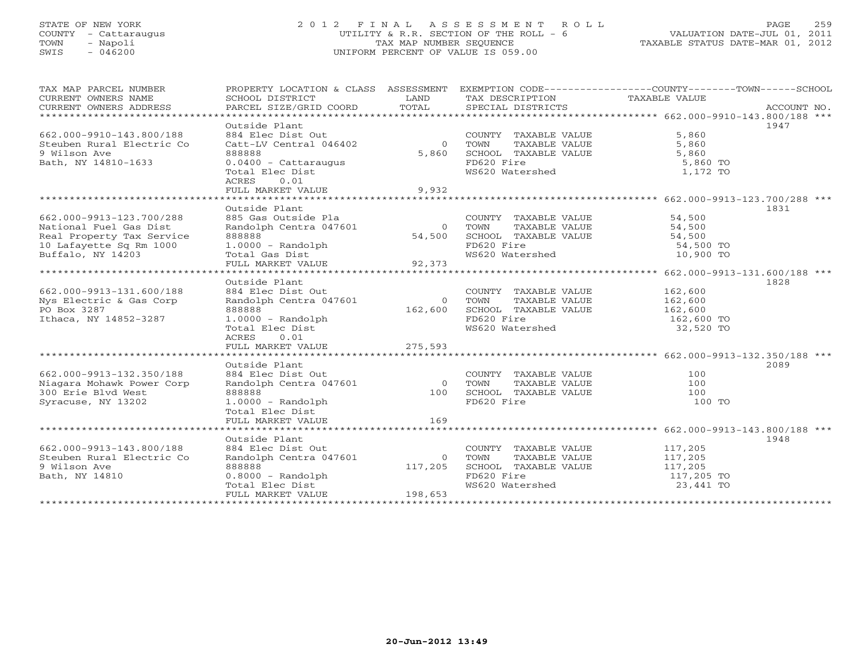## STATE OF NEW YORK 259 2012 FINAL ASSESSMENT ROLL PAGE 259 COUNTY - Cattaraugus UTILITY & R.R. SECTION OF THE ROLL - 6 VALUATION DATE-JUL 01, 2011 TOWN - Napoli TAX MAP NUMBER SEQUENCE TAXABLE STATUS DATE-MAR 01, 2012 SWIS - 046200 UNIFORM PERCENT OF VALUE IS 059.00

| TAX MAP PARCEL NUMBER<br>CURRENT OWNERS NAME<br>CURRENT OWNERS ADDRESS<br>********************                                  | PROPERTY LOCATION & CLASS ASSESSMENT<br>SCHOOL DISTRICT<br>PARCEL SIZE/GRID COORD                                                           | LAND<br>TOTAL                 | TAX DESCRIPTION<br>SPECIAL DISTRICTS                                                                   | EXEMPTION CODE-----------------COUNTY-------TOWN-----SCHOOL<br>TAXABLE VALUE | ACCOUNT NO. |
|---------------------------------------------------------------------------------------------------------------------------------|---------------------------------------------------------------------------------------------------------------------------------------------|-------------------------------|--------------------------------------------------------------------------------------------------------|------------------------------------------------------------------------------|-------------|
| 662.000-9910-143.800/188<br>Steuben Rural Electric Co<br>9 Wilson Ave<br>Bath, NY 14810-1633                                    | Outside Plant<br>884 Elec Dist Out<br>Catt-LV Central 046402<br>888888<br>$0.0400 - \text{Cattaraugus}$<br>Total Elec Dist<br>0.01<br>ACRES | $\circ$<br>5,860              | COUNTY TAXABLE VALUE<br>TAXABLE VALUE<br>TOWN<br>SCHOOL TAXABLE VALUE<br>FD620 Fire<br>WS620 Watershed | 5,860<br>5,860<br>5,860<br>5,860 TO<br>1,172 TO                              | 1947        |
|                                                                                                                                 | FULL MARKET VALUE<br>*******************************                                                                                        | 9,932                         |                                                                                                        | *************** 662.000-9913-123.700/288 ***                                 |             |
| 662.000-9913-123.700/288<br>National Fuel Gas Dist<br>Real Property Tax Service<br>10 Lafayette Sq Rm 1000<br>Buffalo, NY 14203 | Outside Plant<br>885 Gas Outside Pla<br>Randolph Centra 047601<br>888888<br>$1.0000 - Random$<br>Total Gas Dist<br>FULL MARKET VALUE        | $\Omega$<br>54,500<br>92,373  | COUNTY TAXABLE VALUE<br>TOWN<br>TAXABLE VALUE<br>SCHOOL TAXABLE VALUE<br>FD620 Fire<br>WS620 Watershed | 54,500<br>54,500<br>54,500<br>54,500 TO<br>10,900 TO                         | 1831        |
|                                                                                                                                 | <b>++++++++++++++++++</b>                                                                                                                   |                               |                                                                                                        | ************* 662.000-9913-131.600/188 ***                                   |             |
| 662.000-9913-131.600/188<br>Nys Electric & Gas Corp<br>PO Box 3287<br>Ithaca, NY 14852-3287                                     | Outside Plant<br>884 Elec Dist Out<br>Randolph Centra 047601<br>888888<br>$1.0000 - Random$<br>Total Elec Dist<br>ACRES<br>0.01             | $\circ$<br>162,600            | COUNTY TAXABLE VALUE<br>TAXABLE VALUE<br>TOWN<br>SCHOOL TAXABLE VALUE<br>FD620 Fire<br>WS620 Watershed | 162,600<br>162,600<br>162,600<br>162,600 TO<br>32,520 TO                     | 1828        |
|                                                                                                                                 | FULL MARKET VALUE                                                                                                                           | 275,593                       |                                                                                                        |                                                                              |             |
| 662.000-9913-132.350/188<br>Niagara Mohawk Power Corp<br>300 Erie Blvd West<br>Syracuse, NY 13202                               | Outside Plant<br>884 Elec Dist Out<br>Randolph Centra 047601<br>888888<br>$1.0000 - Random$<br>Total Elec Dist<br>FULL MARKET VALUE         | $\circ$<br>100<br>169         | COUNTY TAXABLE VALUE<br>TOWN<br>TAXABLE VALUE<br>SCHOOL TAXABLE VALUE<br>FD620 Fire                    | 100<br>100<br>100<br>100 TO                                                  | 2089        |
|                                                                                                                                 | Outside Plant                                                                                                                               |                               |                                                                                                        |                                                                              | 1948        |
| 662.000-9913-143.800/188<br>Steuben Rural Electric Co<br>9 Wilson Ave<br>Bath, NY 14810                                         | 884 Elec Dist Out<br>Randolph Centra 047601<br>888888<br>$0.8000 - Random$<br>Total Elec Dist<br>FULL MARKET VALUE                          | $\circ$<br>117,205<br>198,653 | COUNTY TAXABLE VALUE<br>TAXABLE VALUE<br>TOWN<br>SCHOOL TAXABLE VALUE<br>FD620 Fire<br>WS620 Watershed | 117,205<br>117,205<br>117,205<br>117,205 TO<br>23,441 TO                     |             |
|                                                                                                                                 |                                                                                                                                             |                               |                                                                                                        |                                                                              |             |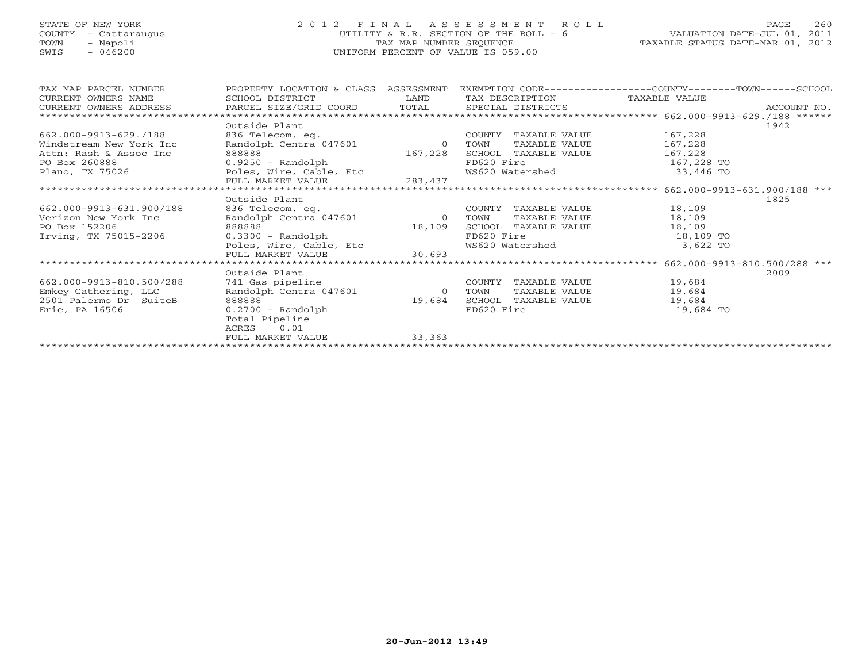## STATE OF NEW YORK 2 0 1 2 F I N A L A S S E S S M E N T R O L L PAGE 260 COUNTY - Cattaraugus UTILITY & R.R. SECTION OF THE ROLL - 6 VALUATION DATE-JUL 01, 2011 TOWN - Napoli TAX MAP NUMBER SEQUENCE TAXABLE STATUS DATE-MAR 01, 2012 SWIS - 046200 UNIFORM PERCENT OF VALUE IS 059.00

| TAX MAP PARCEL NUMBER    | PROPERTY LOCATION & CLASS ASSESSMENT |                | EXEMPTION CODE-----------------COUNTY-------TOWN-----SCHOOL |            |      |
|--------------------------|--------------------------------------|----------------|-------------------------------------------------------------|------------|------|
| CURRENT OWNERS NAME      | SCHOOL DISTRICT                      | LAND           | TAX DESCRIPTION TAXABLE VALUE                               |            |      |
|                          |                                      |                |                                                             |            |      |
|                          |                                      |                |                                                             |            |      |
|                          | Outside Plant                        |                |                                                             |            | 1942 |
| 662.000-9913-629./188    | 836 Telecom. eq.                     |                | COUNTY TAXABLE VALUE                                        | 167,228    |      |
| Windstream New York Inc  | Randolph Centra 047601               | $\overline{0}$ | TOWN<br>TAXABLE VALUE                                       | 167,228    |      |
| Attn: Rash & Assoc Inc   | 888888                               | 167,228        | SCHOOL TAXABLE VALUE                                        | 167,228    |      |
| PO Box 260888            | 0.9250 - Randolph                    |                | FD620 Fire                                                  | 167,228 TO |      |
| Plano, TX 75026          | Poles, Wire, Cable, Etc              |                | WS620 Watershed                                             | 33,446 TO  |      |
|                          | FULL MARKET VALUE                    | 283,437        |                                                             |            |      |
|                          |                                      |                |                                                             |            |      |
|                          | Outside Plant                        |                |                                                             |            | 1825 |
| 662.000-9913-631.900/188 | 836 Telecom. eq.                     |                | COUNTY<br>TAXABLE VALUE                                     | 18,109     |      |
| Verizon New York Inc     | Randolph Centra 047601               | $\overline{0}$ | TOWN<br>TAXABLE VALUE                                       | 18,109     |      |
| PO Box 152206            | 888888                               | 18,109         | SCHOOL TAXABLE VALUE                                        | 18,109     |      |
| Irving, TX 75015-2206    | $0.3300$ - Randolph                  |                | FD620 Fire                                                  | 18,109 TO  |      |
|                          | Poles, Wire, Cable, Etc              |                | WS620 Watershed                                             | 3,622 TO   |      |
|                          | FULL MARKET VALUE                    | 30,693         |                                                             |            |      |
|                          |                                      |                |                                                             |            |      |
|                          | Outside Plant                        |                |                                                             |            | 2009 |
| 662.000-9913-810.500/288 | 741 Gas pipeline                     |                | COUNTY<br>TAXABLE VALUE                                     | 19,684     |      |
| Emkey Gathering, LLC     | Randolph Centra 047601               | $\Omega$       | TAXABLE VALUE<br>TOWN                                       | 19,684     |      |
| 2501 Palermo Dr SuiteB   | 888888                               | 19,684         | SCHOOL TAXABLE VALUE                                        | 19,684     |      |
| Erie, PA 16506           | $0.2700$ - Randolph                  |                | FD620 Fire                                                  | 19,684 TO  |      |
|                          | Total Pipeline                       |                |                                                             |            |      |
|                          | 0.01<br>ACRES                        |                |                                                             |            |      |
|                          | FULL MARKET VALUE                    | 33,363         |                                                             |            |      |
|                          |                                      |                |                                                             |            |      |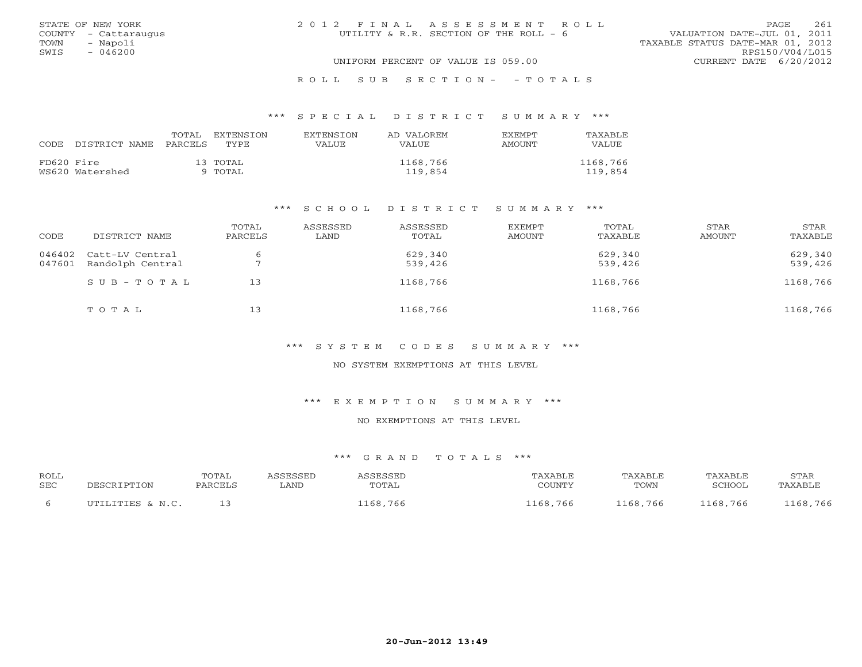|      | STATE OF NEW YORK    | 2012 FINAL ASSESSMENT ROLL             | 261<br>PAGE.                     |
|------|----------------------|----------------------------------------|----------------------------------|
|      | COUNTY - Cattaraugus | UTILITY & R.R. SECTION OF THE ROLL - 6 | VALUATION DATE-JUL 01, 2011      |
| TOWN | - Napoli             |                                        | TAXABLE STATUS DATE-MAR 01, 2012 |
| SWIS | $-046200$            |                                        | RPS150/V04/L015                  |
|      |                      | UNIFORM PERCENT OF VALUE IS 059.00     | CURRENT DATE 6/20/2012           |
|      |                      |                                        |                                  |

## R O L L S U B S E C T I O N - - T O T A L S

#### \*\*\* S P E C I A L D I S T R I C T S U M M A R Y \*\*\*

| CODE       | DISTRICT NAME   | TOTAL<br>PARCELS | EXTENSTON<br>TYPE.  | <b>EXTENSION</b><br>VALUE | AD VALOREM<br><b>VALUE</b> | <b>EXEMPT</b><br>AMOUNT | TAXABLE<br><b>VALUE</b> |
|------------|-----------------|------------------|---------------------|---------------------------|----------------------------|-------------------------|-------------------------|
| FD620 Fire | WS620 Watershed |                  | 13 TOTAL<br>9 TOTAL |                           | 1168,766<br>119,854        |                         | 1168,766<br>119,854     |

#### \*\*\* S C H O O L D I S T R I C T S U M M A R Y \*\*\*

| CODE             | DISTRICT NAME                       | TOTAL<br>PARCELS | ASSESSED<br>LAND | ASSESSED<br>TOTAL  | EXEMPT<br>AMOUNT | TOTAL<br>TAXABLE   | STAR<br>AMOUNT | STAR<br>TAXABLE    |
|------------------|-------------------------------------|------------------|------------------|--------------------|------------------|--------------------|----------------|--------------------|
| 046402<br>047601 | Catt-LV Central<br>Randolph Central |                  |                  | 629,340<br>539,426 |                  | 629,340<br>539,426 |                | 629,340<br>539,426 |
|                  | $SUB - TO T AL$                     | 13               |                  | 1168,766           |                  | 1168,766           |                | 1168,766           |
|                  | TOTAL                               | 13               |                  | 1168,766           |                  | 1168,766           |                | 1168,766           |

#### \*\*\* S Y S T E M C O D E S S U M M A R Y \*\*\*

## NO SYSTEM EXEMPTIONS AT THIS LEVEL

#### \*\*\* E X E M P T I O N S U M M A R Y \*\*\*

## NO EXEMPTIONS AT THIS LEVEL

| <b>ROLL</b><br><b>SEC</b> | PESCRIPTION      | TOTAL<br>PARCELS | <i><b>ISSESSED</b></i><br>∟AND | ASSESSED<br>TOTAL | TAXABLE<br>COUNTY | TAXABLE<br>TOWN | TAXABLE<br>SCHOOL | STAR<br>TAXABLE |
|---------------------------|------------------|------------------|--------------------------------|-------------------|-------------------|-----------------|-------------------|-----------------|
| -6                        | UTILITIES & N.C. |                  |                                | 168,766'          | 1168,766          | 1168,766        | 1168,766          | 1168,766        |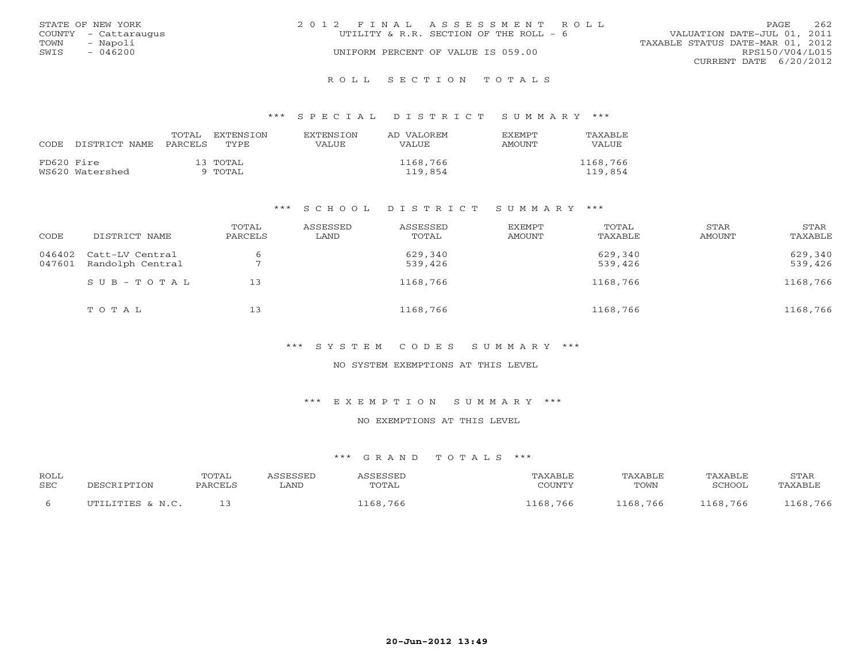|      | STATE OF NEW YORK    | 2012 FINAL ASSESSMENT ROLL                                            | PAGE.                  | 262 |
|------|----------------------|-----------------------------------------------------------------------|------------------------|-----|
|      | COUNTY - Cattaraugus | VALUATION DATE-JUL 01, 2011<br>UTILITY & R.R. SECTION OF THE ROLL - 6 |                        |     |
| TOWN | - Napoli             | TAXABLE STATUS DATE-MAR 01, 2012                                      |                        |     |
| SWIS | $-046200$            | UNIFORM PERCENT OF VALUE IS 059.00                                    | RPS150/V04/L015        |     |
|      |                      |                                                                       | CURRENT DATE 6/20/2012 |     |
|      |                      |                                                                       |                        |     |

#### R O L L S E C T I O N T O T A L S

#### \*\*\* S P E C I A L D I S T R I C T S U M M A R Y \*\*\*

| CODE       | DISTRICT NAME   | TOTAL<br>PARCELS | EXTENSTON<br>TYPE.  | <b>EXTENSION</b><br>VALUE | AD VALOREM<br>VALUE | <b>EXEMPT</b><br><b>AMOUNT</b> | TAXABLE<br>VALUE    |
|------------|-----------------|------------------|---------------------|---------------------------|---------------------|--------------------------------|---------------------|
| FD620 Fire | WS620 Watershed |                  | 13 TOTAL<br>9 TOTAL |                           | 1168,766<br>119,854 |                                | 1168,766<br>119,854 |

#### \*\*\* S C H O O L D I S T R I C T S U M M A R Y \*\*\*

| CODE             | DISTRICT NAME                       | TOTAL<br>PARCELS | ASSESSED<br>LAND | ASSESSED<br>TOTAL  | EXEMPT<br>AMOUNT | TOTAL<br>TAXABLE   | STAR<br>AMOUNT | STAR<br>TAXABLE    |
|------------------|-------------------------------------|------------------|------------------|--------------------|------------------|--------------------|----------------|--------------------|
| 046402<br>047601 | Catt-LV Central<br>Randolph Central |                  |                  | 629,340<br>539,426 |                  | 629,340<br>539,426 |                | 629,340<br>539,426 |
|                  | $SUB - TO T AL$                     | 13               |                  | 1168,766           |                  | 1168,766           |                | 1168,766           |
|                  | TOTAL                               | 13               |                  | 1168,766           |                  | 1168,766           |                | 1168,766           |

#### \*\*\* S Y S T E M C O D E S S U M M A R Y \*\*\*

## NO SYSTEM EXEMPTIONS AT THIS LEVEL

#### \*\*\* E X E M P T I O N S U M M A R Y \*\*\*

## NO EXEMPTIONS AT THIS LEVEL

| <b>ROLL</b> | DESCRIPTION      | <b>TOTAL</b> | <i><b>ASSESSED</b></i> | ASSESSED | TAXABLE  | TAXABLE  | TAXABLE  | STAR     |
|-------------|------------------|--------------|------------------------|----------|----------|----------|----------|----------|
| <b>SEC</b>  |                  | PARCELS      | . AND                  | TOTAL    | COUNTY   | TOWN     | SCHOOL   | TAXABLE  |
|             | UTILITIES & N.C. |              |                        | 1168,766 | 1168,766 | 1168,766 | 1168,766 | 1168,766 |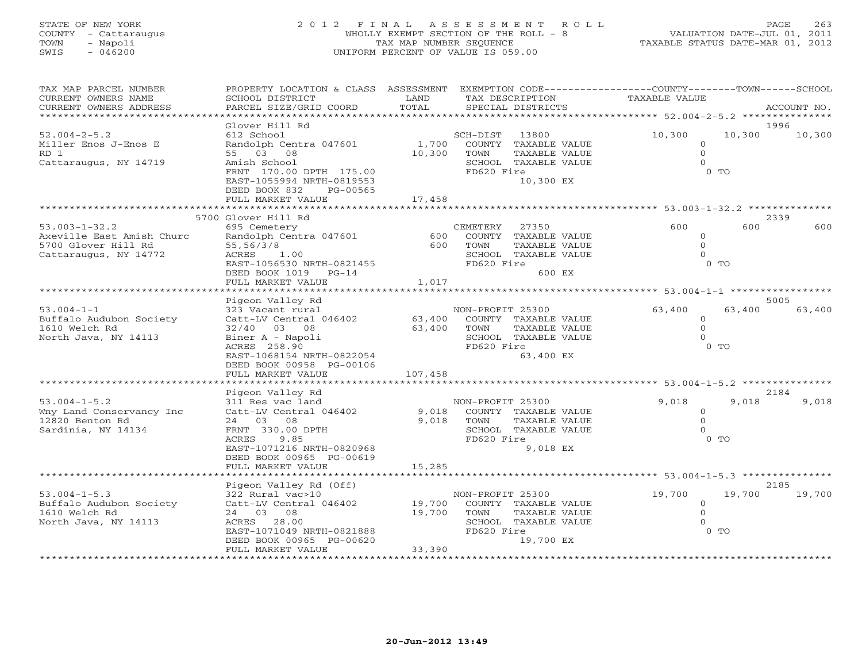# STATE OF NEW YORK 2 0 1 2 F I N A L A S S E S S M E N T R O L L PAGE 263 COUNTY - Cattaraugus WHOLLY EXEMPT SECTION OF THE ROLL - 8 VALUATION DATE-JUL 01, 2011 TOWN - Napoli TAX MAP NUMBER SEQUENCE TAXABLE STATUS DATE-MAR 01, 2012 SWIS - 046200 UNIFORM PERCENT OF VALUE IS 059.00

| TAX MAP PARCEL NUMBER     | PROPERTY LOCATION & CLASS ASSESSMENT        |                         | EXEMPTION CODE----------------COUNTY-------TOWN------SCHOOL   |                |        |             |
|---------------------------|---------------------------------------------|-------------------------|---------------------------------------------------------------|----------------|--------|-------------|
| CURRENT OWNERS NAME       | SCHOOL DISTRICT                             | LAND                    | TAX DESCRIPTION                                               | TAXABLE VALUE  |        |             |
| CURRENT OWNERS ADDRESS    | PARCEL SIZE/GRID COORD                      | TOTAL                   | SPECIAL DISTRICTS                                             |                |        | ACCOUNT NO. |
|                           |                                             |                         |                                                               |                |        |             |
|                           | Glover Hill Rd                              |                         |                                                               |                |        | 1996        |
| $52.004 - 2 - 5.2$        | 612 School                                  |                         | SCH-DIST 13800                                                | 10,300         | 10,300 | 10,300      |
| Miller Enos J-Enos E      | Randolph Centra 047601                      | 1,700                   | COUNTY TAXABLE VALUE                                          | $\circ$        |        |             |
| RD <sub>1</sub>           | 55 03 08                                    | 10,300                  | TOWN<br>TAXABLE VALUE                                         | $\Omega$       |        |             |
|                           | Amish School                                |                         | SCHOOL TAXABLE VALUE                                          | $\Omega$       |        |             |
| Cattaraugus, NY 14719     |                                             |                         | FD620 Fire                                                    |                | $0$ TO |             |
|                           | FRNT 170.00 DPTH 175.00                     |                         |                                                               |                |        |             |
|                           | EAST-1055994 NRTH-0819553                   |                         | 10,300 EX                                                     |                |        |             |
|                           | DEED BOOK 832<br>PG-00565                   |                         |                                                               |                |        |             |
|                           | FULL MARKET VALUE                           | 17,458<br>************* |                                                               |                |        |             |
|                           |                                             |                         | ********************************* 53.003-1-32.2 ************* |                |        |             |
|                           | 5700 Glover Hill Rd                         |                         |                                                               |                |        | 2339        |
| $53.003 - 1 - 32.2$       | 695 Cemetery                                |                         | CEMETERY<br>27350                                             | 600            | 600    | 600         |
| Axeville East Amish Churc | Randolph Centra 047601                      | 600                     | COUNTY TAXABLE VALUE                                          | $\circ$        |        |             |
| 5700 Glover Hill Rd       | 55,56/3/8                                   | 600                     | TAXABLE VALUE<br>TOWN                                         | $\overline{0}$ |        |             |
| Cattaraugus, NY 14772     | ACRES 1.00                                  |                         | SCHOOL TAXABLE VALUE                                          | $\Omega$       |        |             |
|                           | EAST-1056530 NRTH-0821455                   |                         | FD620 Fire                                                    |                | $0$ TO |             |
|                           | DEED BOOK 1019 PG-14                        |                         | 600 EX                                                        |                |        |             |
|                           | FULL MARKET VALUE                           | 1,017                   |                                                               |                |        |             |
|                           |                                             |                         |                                                               |                |        |             |
|                           | Pigeon Valley Rd                            |                         |                                                               |                |        | 5005        |
| $53.004 - 1 - 1$          | 323 Vacant rural                            |                         | NON-PROFIT 25300                                              | 63,400         | 63,400 | 63,400      |
| Buffalo Audubon Society   | Catt-LV Central 046402                      | 63,400                  | COUNTY TAXABLE VALUE                                          | $\Omega$       |        |             |
| 1610 Welch Rd             | 32/40 03 08                                 |                         | 63,400 TOWN<br>TAXABLE VALUE                                  | $\Omega$       |        |             |
| North Java, NY 14113      | Biner A - Napoli                            |                         | SCHOOL TAXABLE VALUE                                          | $\Omega$       |        |             |
|                           | ACRES 258.90                                |                         | FD620 Fire                                                    |                | $0$ TO |             |
|                           | EAST-1068154 NRTH-0822054                   |                         | 63,400 EX                                                     |                |        |             |
|                           |                                             |                         |                                                               |                |        |             |
|                           | DEED BOOK 00958 PG-00106                    |                         |                                                               |                |        |             |
|                           | FULL MARKET VALUE<br>********************** | 107,458                 |                                                               |                |        |             |
|                           |                                             |                         |                                                               |                |        |             |
|                           | Pigeon Valley Rd                            |                         |                                                               |                |        | 2184        |
| $53.004 - 1 - 5.2$        | 311 Res vac land                            |                         | NON-PROFIT 25300                                              | 9,018          | 9,018  | 9,018       |
| Wny Land Conservancy Inc  | Catt-LV Central 046402                      | 9,018                   | COUNTY TAXABLE VALUE                                          | $\Omega$       |        |             |
| 12820 Benton Rd           | 24 03 08                                    | 9,018                   | TOWN<br>TAXABLE VALUE                                         | $\Omega$       |        |             |
| Sardinia, NY 14134        | FRNT 330.00 DPTH                            |                         | SCHOOL TAXABLE VALUE                                          | $\Omega$       |        |             |
|                           | ACRES<br>9.85                               |                         | FD620 Fire                                                    |                | $0$ TO |             |
|                           | EAST-1071216 NRTH-0820968                   |                         | 9,018 EX                                                      |                |        |             |
|                           | DEED BOOK 00965 PG-00619                    |                         |                                                               |                |        |             |
|                           | FULL MARKET VALUE                           | 15,285                  |                                                               |                |        |             |
|                           |                                             |                         |                                                               |                |        |             |
|                           | Pigeon Valley Rd (Off)                      |                         |                                                               |                |        | 2185        |
| $53.004 - 1 - 5.3$        | 322 Rural vac>10                            |                         | NON-PROFIT 25300                                              | 19,700         | 19,700 | 19,700      |
| Buffalo Audubon Society   | Catt-LV Central 046402 19,700               |                         | COUNTY TAXABLE VALUE                                          | $\circ$        |        |             |
| 1610 Welch Rd             | 24 03 08                                    | 19,700                  | TOWN<br>TAXABLE VALUE                                         | $\Omega$       |        |             |
| North Java, NY 14113      | ACRES 28.00                                 |                         | SCHOOL TAXABLE VALUE                                          | $\Omega$       |        |             |
|                           | EAST-1071049 NRTH-0821888                   |                         | FD620 Fire                                                    |                | $0$ TO |             |
|                           | DEED BOOK 00965 PG-00620                    |                         | 19,700 EX                                                     |                |        |             |
|                           | FULL MARKET VALUE                           | 33,390                  |                                                               |                |        |             |
|                           |                                             |                         |                                                               |                |        |             |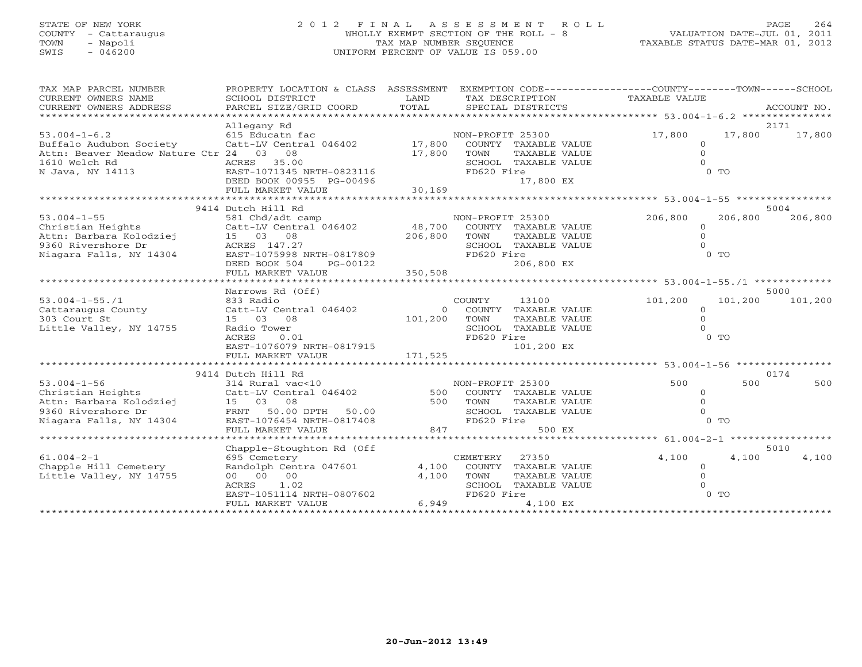## STATE OF NEW YORK 2 0 1 2 F I N A L A S S E S S M E N T R O L L PAGE 264 COUNTY - Cattaraugus WHOLLY EXEMPT SECTION OF THE ROLL - 8 VALUATION DATE-JUL 01, 2011 TOWN - Napoli TAX MAP NUMBER SEQUENCE TAXABLE STATUS DATE-MAR 01, 2012 SWIS - 046200 UNIFORM PERCENT OF VALUE IS 059.00

| TAX MAP PARCEL NUMBER<br>CURRENT OWNERS NAME<br>CURRENT OWNERS ADDRESS   | PROPERTY LOCATION & CLASS ASSESSMENT<br>SCHOOL DISTRICT<br>PARCEL SIZE/GRID COORD | LAND<br>TOTAL |                  | SPECIAL DISTRICTS                            | EXEMPTION CODE-----------------COUNTY-------TOWN------SCHOOL<br>TAX DESCRIPTION TAXABLE VALUE |                | ACCOUNT NO.     |
|--------------------------------------------------------------------------|-----------------------------------------------------------------------------------|---------------|------------------|----------------------------------------------|-----------------------------------------------------------------------------------------------|----------------|-----------------|
|                                                                          |                                                                                   |               |                  |                                              |                                                                                               |                |                 |
|                                                                          | Allegany Rd                                                                       |               |                  |                                              |                                                                                               |                | 2171            |
| $53.004 - 1 - 6.2$                                                       | 615 Educatn fac 17,800<br>Catt-LV Central 046402 17,800                           |               | NON-PROFIT 25300 |                                              | 17,800                                                                                        | 17,800         | 17,800          |
| Buffalo Audubon Society                                                  |                                                                                   |               |                  | COUNTY TAXABLE VALUE                         | $\circ$                                                                                       |                |                 |
| Attn: Beaver Meadow Nature Ctr 24 03 08                                  |                                                                                   | 17,800        | TOWN             | TAXABLE VALUE                                | $\Omega$                                                                                      |                |                 |
| 1610 Welch Rd                                                            | ACRES 35.00                                                                       |               |                  | SCHOOL TAXABLE VALUE                         | $\Omega$                                                                                      |                |                 |
| N Java, NY 14113                                                         | ACRES 35.00<br>EAST-1071345 NRTH-0823116                                          |               | FD620 Fire       |                                              |                                                                                               | $0$ TO         |                 |
|                                                                          | DEED BOOK 00955 PG-00496                                                          |               |                  | 17,800 EX                                    |                                                                                               |                |                 |
|                                                                          |                                                                                   |               |                  |                                              |                                                                                               |                |                 |
|                                                                          |                                                                                   |               |                  |                                              |                                                                                               |                |                 |
|                                                                          | 9414 Dutch Hill Rd                                                                |               |                  |                                              |                                                                                               |                | 5004            |
| $53.004 - 1 - 55$                                                        | 581 Chd/adt camp                                                                  |               | NON-PROFIT 25300 |                                              | 206,800                                                                                       | 206,800        | 206,800         |
| Christian Heights                                                        | Catt-LV Central 046402 48,700                                                     |               |                  | COUNTY TAXABLE VALUE                         | $\circ$                                                                                       |                |                 |
| Attn: Barbara Kolodziej                                                  | 15 03 08                                                                          | 206,800       | TOWN             | TAXABLE VALUE                                | $\Omega$                                                                                      |                |                 |
| 9360 Rivershore Dr                                                       | ACRES 147.27                                                                      |               |                  | SCHOOL TAXABLE VALUE                         | $\cap$                                                                                        |                |                 |
| Niagara Falls, NY 14304                                                  | AURES 147.27<br>EAST-1075998 NRTH-0817809                                         |               | FD620 Fire       |                                              |                                                                                               | 0 <sub>T</sub> |                 |
|                                                                          | DEED BOOK 504<br>PG-00122                                                         |               |                  | 206,800 EX                                   |                                                                                               |                |                 |
|                                                                          |                                                                                   |               |                  |                                              |                                                                                               |                |                 |
|                                                                          |                                                                                   |               |                  |                                              |                                                                                               |                |                 |
|                                                                          | Narrows Rd (Off)                                                                  |               |                  |                                              |                                                                                               |                | 5000            |
| $53.004 - 1 - 55.71$                                                     | 833 Radio                                                                         |               | COUNTY           | 13100                                        | 101,200                                                                                       |                | 101,200 101,200 |
| Cattaraugus County Catt-LV Central 046402                                |                                                                                   | $\Omega$      |                  | COUNTY TAXABLE VALUE                         | $\circ$                                                                                       |                |                 |
| 303 Court St                                                             | 15 03 08                                                                          | 101,200       | TOWN             | TAXABLE VALUE                                | $\Omega$                                                                                      |                |                 |
| Little Valley, NY 14755                                                  | Radio Tower                                                                       |               |                  | SCHOOL TAXABLE VALUE                         | $\Omega$                                                                                      |                |                 |
|                                                                          | ACRES<br>0.01                                                                     |               | FD620 Fire       |                                              |                                                                                               | 0 <sub>0</sub> |                 |
|                                                                          | EAST-1076079 NRTH-0817915                                                         |               |                  | 101,200 EX                                   |                                                                                               |                |                 |
|                                                                          | FULL MARKET VALUE                                                                 | 171,525       |                  |                                              |                                                                                               |                |                 |
|                                                                          |                                                                                   |               |                  |                                              |                                                                                               |                |                 |
|                                                                          | 9414 Dutch Hill Rd                                                                |               |                  |                                              |                                                                                               |                | 0174            |
| $53.004 - 1 - 56$                                                        | 314 Rural vac<10                                                                  |               |                  |                                              | 500                                                                                           | 500            | 500             |
| Christian Heights                                                        | Catt-LV Central 046402                                                            |               |                  | NON-PROFIT 25300<br>500 COUNTY TAXABLE VALUE | $\circ$                                                                                       |                |                 |
|                                                                          | 15 03 08                                                                          | 500           | TOWN             | TAXABLE VALUE                                | $\Omega$                                                                                      |                |                 |
| Attn: Barbara Kolodziej<br>9360 Rivershore Dr<br>Niagara Falls, NY 14304 | FRNT 50.00 DPTH 50.00                                                             |               |                  | SCHOOL TAXABLE VALUE                         | $\Omega$                                                                                      |                |                 |
|                                                                          | EAST-1076454 NRTH-0817408                                                         |               | FD620 Fire       |                                              |                                                                                               | 0 <sub>T</sub> |                 |
|                                                                          | FULL MARKET VALUE                                                                 | 847           |                  | 500 EX                                       |                                                                                               |                |                 |
|                                                                          |                                                                                   |               |                  |                                              |                                                                                               |                |                 |
|                                                                          | Chapple-Stoughton Rd (Off                                                         |               |                  |                                              |                                                                                               |                | 5010            |
| $61.004 - 2 - 1$                                                         | 695 Cemetery                                                                      |               | CEMETERY         | 27350                                        | 4,100                                                                                         | 4,100          | 4,100           |
| Chapple Hill Cemetery                                                    | Randolph Centra 047601 4,100                                                      |               |                  | COUNTY TAXABLE VALUE                         | $\Omega$                                                                                      |                |                 |
| Little Valley, NY 14755                                                  | 00 00 00                                                                          | 4,100         | TOWN             | TAXABLE VALUE                                | $\Omega$                                                                                      |                |                 |
|                                                                          | ACRES 1.02                                                                        |               |                  | SCHOOL TAXABLE VALUE                         |                                                                                               |                |                 |
|                                                                          | EAST-1051114 NRTH-0807602                                                         |               | FD620 Fire       |                                              |                                                                                               | $0$ TO         |                 |
|                                                                          | FULL MARKET VALUE                                                                 | 6,949         |                  | 4,100 EX                                     |                                                                                               |                |                 |
|                                                                          |                                                                                   |               |                  |                                              |                                                                                               |                |                 |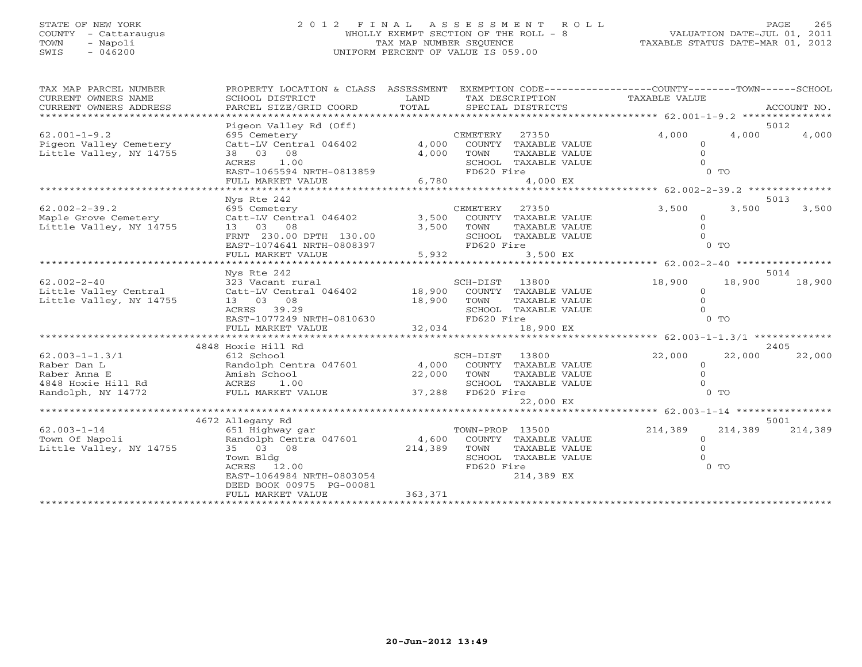## STATE OF NEW YORK 2 0 1 2 F I N A L A S S E S S M E N T R O L L PAGE 265 COUNTY - Cattaraugus WHOLLY EXEMPT SECTION OF THE ROLL - 8 VALUATION DATE-JUL 01, 2011 TOWN - Napoli TAX MAP NUMBER SEQUENCE TAXABLE STATUS DATE-MAR 01, 2012 SWIS - 046200 UNIFORM PERCENT OF VALUE IS 059.00

| 5012<br>Pigeon Valley Rd (Off)<br>4,000<br>4,000<br>$62.001 - 1 - 9.2$<br>695 Cemetery<br>CEMETERY<br>27350<br>4,000<br>Pigeon Valley Cemetery<br>Catt-LV Central 046402<br>4,000<br>COUNTY TAXABLE VALUE<br>$\Omega$<br>Little Valley, NY 14755<br>38 03<br>08<br>4,000<br>TOWN<br>TAXABLE VALUE<br>ACRES<br>1.00<br>SCHOOL TAXABLE VALUE<br>EAST-1065594 NRTH-0813859<br>$0$ TO<br>FD620 Fire<br>4,000 EX<br>FULL MARKET VALUE<br>6,780<br>********** 62.002-2-39.2 **************<br>**********<br>****************<br>5013<br>Nys Rte 242<br>3,500<br>$62.002 - 2 - 39.2$<br>CEMETERY<br>3,500<br>3,500<br>695 Cemetery<br>27350<br>Maple Grove Cemetery<br>Catt-LV Central 046402<br>3,500<br>COUNTY TAXABLE VALUE<br>$\Omega$<br>Little Valley, NY 14755<br>13 03 08<br>3,500<br>TOWN<br>TAXABLE VALUE<br>FRNT 230.00 DPTH 130.00<br>SCHOOL TAXABLE VALUE<br>EAST-1074641 NRTH-0808397<br>FD620 Fire<br>$0$ TO<br>5,932<br>3,500 EX<br>FULL MARKET VALUE<br>*************************<br>********* 62.002-2-40 ************<br>Nys Rte 242<br>5014<br>$62.002 - 2 - 40$<br>18,900<br>323 Vacant rural<br>SCH-DIST<br>13800<br>18,900<br>18,900<br>Little Valley Central<br>Catt-LV Central 046402<br>18,900<br>COUNTY TAXABLE VALUE<br>$\Omega$<br>13 03 08<br>18,900<br>TAXABLE VALUE<br>$\Omega$<br>TOWN<br>ACRES 39.29<br>SCHOOL TAXABLE VALUE<br>EAST-1077249 NRTH-0810630<br>FD620 Fire<br>$0$ TO<br>32,034<br>18,900 EX<br>FULL MARKET VALUE<br>*******************<br>**********<br>********** 62.003-1-1.3/1 **************<br>*******************<br>2405<br>4848 Hoxie Hill Rd<br>22,000<br>22,000<br>SCH-DIST<br>13800<br>22,000<br>612 School<br>Randolph Centra 047601<br>4,000<br>COUNTY TAXABLE VALUE<br>$\circ$<br>Amish School<br>22,000<br>TOWN<br>TAXABLE VALUE<br>4848 Hoxie Hill Rd<br>SCHOOL TAXABLE VALUE<br>ACRES<br>1.00<br>FD620 Fire<br>0 <sub>0</sub><br>FULL MARKET VALUE<br>37,288<br>22,000 EX<br>******** 62.003-1-14 ***********<br>4672 Allegany Rd<br>5001<br>$62.003 - 1 - 14$<br>TOWN-PROP 13500<br>214,389<br>214,389<br>651 Highway gar<br>214,389<br>Town Of Napoli<br>Randolph Centra 047601<br>4,600<br>COUNTY TAXABLE VALUE<br>$\Omega$<br>35 03 08<br>Little Valley, NY 14755<br>214,389<br>TOWN<br>TAXABLE VALUE<br>$\Omega$<br>Town Bldg<br>SCHOOL TAXABLE VALUE<br>$0$ TO<br>ACRES 12.00<br>FD620 Fire<br>214,389 EX<br>EAST-1064984 NRTH-0803054<br>DEED BOOK 00975 PG-00081<br>363,371<br>FULL MARKET VALUE | TAX MAP PARCEL NUMBER<br>PROPERTY LOCATION & CLASS ASSESSMENT<br>CURRENT OWNERS NAME<br>SCHOOL DISTRICT<br>CURRENT OWNERS ADDRESS<br>PARCEL SIZE/GRID COORD<br>***************** |  | LAND<br>TOTAL | TAX DESCRIPTION<br>SPECIAL DISTRICTS | EXEMPTION CODE----------------COUNTY-------TOWN------SCHOOL<br>TAXABLE VALUE | ACCOUNT NO. |
|--------------------------------------------------------------------------------------------------------------------------------------------------------------------------------------------------------------------------------------------------------------------------------------------------------------------------------------------------------------------------------------------------------------------------------------------------------------------------------------------------------------------------------------------------------------------------------------------------------------------------------------------------------------------------------------------------------------------------------------------------------------------------------------------------------------------------------------------------------------------------------------------------------------------------------------------------------------------------------------------------------------------------------------------------------------------------------------------------------------------------------------------------------------------------------------------------------------------------------------------------------------------------------------------------------------------------------------------------------------------------------------------------------------------------------------------------------------------------------------------------------------------------------------------------------------------------------------------------------------------------------------------------------------------------------------------------------------------------------------------------------------------------------------------------------------------------------------------------------------------------------------------------------------------------------------------------------------------------------------------------------------------------------------------------------------------------------------------------------------------------------------------------------------------------------------------------------------------------------------------------------------------------------------------------------------------------------------------------------------------------------------------------------------------------------------------------------------------|----------------------------------------------------------------------------------------------------------------------------------------------------------------------------------|--|---------------|--------------------------------------|------------------------------------------------------------------------------|-------------|
|                                                                                                                                                                                                                                                                                                                                                                                                                                                                                                                                                                                                                                                                                                                                                                                                                                                                                                                                                                                                                                                                                                                                                                                                                                                                                                                                                                                                                                                                                                                                                                                                                                                                                                                                                                                                                                                                                                                                                                                                                                                                                                                                                                                                                                                                                                                                                                                                                                                                    |                                                                                                                                                                                  |  |               |                                      |                                                                              |             |
|                                                                                                                                                                                                                                                                                                                                                                                                                                                                                                                                                                                                                                                                                                                                                                                                                                                                                                                                                                                                                                                                                                                                                                                                                                                                                                                                                                                                                                                                                                                                                                                                                                                                                                                                                                                                                                                                                                                                                                                                                                                                                                                                                                                                                                                                                                                                                                                                                                                                    |                                                                                                                                                                                  |  |               |                                      |                                                                              |             |
|                                                                                                                                                                                                                                                                                                                                                                                                                                                                                                                                                                                                                                                                                                                                                                                                                                                                                                                                                                                                                                                                                                                                                                                                                                                                                                                                                                                                                                                                                                                                                                                                                                                                                                                                                                                                                                                                                                                                                                                                                                                                                                                                                                                                                                                                                                                                                                                                                                                                    |                                                                                                                                                                                  |  |               |                                      |                                                                              |             |
|                                                                                                                                                                                                                                                                                                                                                                                                                                                                                                                                                                                                                                                                                                                                                                                                                                                                                                                                                                                                                                                                                                                                                                                                                                                                                                                                                                                                                                                                                                                                                                                                                                                                                                                                                                                                                                                                                                                                                                                                                                                                                                                                                                                                                                                                                                                                                                                                                                                                    |                                                                                                                                                                                  |  |               |                                      |                                                                              |             |
|                                                                                                                                                                                                                                                                                                                                                                                                                                                                                                                                                                                                                                                                                                                                                                                                                                                                                                                                                                                                                                                                                                                                                                                                                                                                                                                                                                                                                                                                                                                                                                                                                                                                                                                                                                                                                                                                                                                                                                                                                                                                                                                                                                                                                                                                                                                                                                                                                                                                    |                                                                                                                                                                                  |  |               |                                      |                                                                              |             |
|                                                                                                                                                                                                                                                                                                                                                                                                                                                                                                                                                                                                                                                                                                                                                                                                                                                                                                                                                                                                                                                                                                                                                                                                                                                                                                                                                                                                                                                                                                                                                                                                                                                                                                                                                                                                                                                                                                                                                                                                                                                                                                                                                                                                                                                                                                                                                                                                                                                                    |                                                                                                                                                                                  |  |               |                                      |                                                                              |             |
|                                                                                                                                                                                                                                                                                                                                                                                                                                                                                                                                                                                                                                                                                                                                                                                                                                                                                                                                                                                                                                                                                                                                                                                                                                                                                                                                                                                                                                                                                                                                                                                                                                                                                                                                                                                                                                                                                                                                                                                                                                                                                                                                                                                                                                                                                                                                                                                                                                                                    |                                                                                                                                                                                  |  |               |                                      |                                                                              |             |
|                                                                                                                                                                                                                                                                                                                                                                                                                                                                                                                                                                                                                                                                                                                                                                                                                                                                                                                                                                                                                                                                                                                                                                                                                                                                                                                                                                                                                                                                                                                                                                                                                                                                                                                                                                                                                                                                                                                                                                                                                                                                                                                                                                                                                                                                                                                                                                                                                                                                    |                                                                                                                                                                                  |  |               |                                      |                                                                              |             |
|                                                                                                                                                                                                                                                                                                                                                                                                                                                                                                                                                                                                                                                                                                                                                                                                                                                                                                                                                                                                                                                                                                                                                                                                                                                                                                                                                                                                                                                                                                                                                                                                                                                                                                                                                                                                                                                                                                                                                                                                                                                                                                                                                                                                                                                                                                                                                                                                                                                                    |                                                                                                                                                                                  |  |               |                                      |                                                                              |             |
|                                                                                                                                                                                                                                                                                                                                                                                                                                                                                                                                                                                                                                                                                                                                                                                                                                                                                                                                                                                                                                                                                                                                                                                                                                                                                                                                                                                                                                                                                                                                                                                                                                                                                                                                                                                                                                                                                                                                                                                                                                                                                                                                                                                                                                                                                                                                                                                                                                                                    |                                                                                                                                                                                  |  |               |                                      |                                                                              |             |
|                                                                                                                                                                                                                                                                                                                                                                                                                                                                                                                                                                                                                                                                                                                                                                                                                                                                                                                                                                                                                                                                                                                                                                                                                                                                                                                                                                                                                                                                                                                                                                                                                                                                                                                                                                                                                                                                                                                                                                                                                                                                                                                                                                                                                                                                                                                                                                                                                                                                    |                                                                                                                                                                                  |  |               |                                      |                                                                              |             |
|                                                                                                                                                                                                                                                                                                                                                                                                                                                                                                                                                                                                                                                                                                                                                                                                                                                                                                                                                                                                                                                                                                                                                                                                                                                                                                                                                                                                                                                                                                                                                                                                                                                                                                                                                                                                                                                                                                                                                                                                                                                                                                                                                                                                                                                                                                                                                                                                                                                                    |                                                                                                                                                                                  |  |               |                                      |                                                                              |             |
|                                                                                                                                                                                                                                                                                                                                                                                                                                                                                                                                                                                                                                                                                                                                                                                                                                                                                                                                                                                                                                                                                                                                                                                                                                                                                                                                                                                                                                                                                                                                                                                                                                                                                                                                                                                                                                                                                                                                                                                                                                                                                                                                                                                                                                                                                                                                                                                                                                                                    |                                                                                                                                                                                  |  |               |                                      |                                                                              |             |
|                                                                                                                                                                                                                                                                                                                                                                                                                                                                                                                                                                                                                                                                                                                                                                                                                                                                                                                                                                                                                                                                                                                                                                                                                                                                                                                                                                                                                                                                                                                                                                                                                                                                                                                                                                                                                                                                                                                                                                                                                                                                                                                                                                                                                                                                                                                                                                                                                                                                    |                                                                                                                                                                                  |  |               |                                      |                                                                              |             |
|                                                                                                                                                                                                                                                                                                                                                                                                                                                                                                                                                                                                                                                                                                                                                                                                                                                                                                                                                                                                                                                                                                                                                                                                                                                                                                                                                                                                                                                                                                                                                                                                                                                                                                                                                                                                                                                                                                                                                                                                                                                                                                                                                                                                                                                                                                                                                                                                                                                                    |                                                                                                                                                                                  |  |               |                                      |                                                                              |             |
|                                                                                                                                                                                                                                                                                                                                                                                                                                                                                                                                                                                                                                                                                                                                                                                                                                                                                                                                                                                                                                                                                                                                                                                                                                                                                                                                                                                                                                                                                                                                                                                                                                                                                                                                                                                                                                                                                                                                                                                                                                                                                                                                                                                                                                                                                                                                                                                                                                                                    |                                                                                                                                                                                  |  |               |                                      |                                                                              |             |
|                                                                                                                                                                                                                                                                                                                                                                                                                                                                                                                                                                                                                                                                                                                                                                                                                                                                                                                                                                                                                                                                                                                                                                                                                                                                                                                                                                                                                                                                                                                                                                                                                                                                                                                                                                                                                                                                                                                                                                                                                                                                                                                                                                                                                                                                                                                                                                                                                                                                    |                                                                                                                                                                                  |  |               |                                      |                                                                              |             |
|                                                                                                                                                                                                                                                                                                                                                                                                                                                                                                                                                                                                                                                                                                                                                                                                                                                                                                                                                                                                                                                                                                                                                                                                                                                                                                                                                                                                                                                                                                                                                                                                                                                                                                                                                                                                                                                                                                                                                                                                                                                                                                                                                                                                                                                                                                                                                                                                                                                                    |                                                                                                                                                                                  |  |               |                                      |                                                                              |             |
|                                                                                                                                                                                                                                                                                                                                                                                                                                                                                                                                                                                                                                                                                                                                                                                                                                                                                                                                                                                                                                                                                                                                                                                                                                                                                                                                                                                                                                                                                                                                                                                                                                                                                                                                                                                                                                                                                                                                                                                                                                                                                                                                                                                                                                                                                                                                                                                                                                                                    |                                                                                                                                                                                  |  |               |                                      |                                                                              |             |
|                                                                                                                                                                                                                                                                                                                                                                                                                                                                                                                                                                                                                                                                                                                                                                                                                                                                                                                                                                                                                                                                                                                                                                                                                                                                                                                                                                                                                                                                                                                                                                                                                                                                                                                                                                                                                                                                                                                                                                                                                                                                                                                                                                                                                                                                                                                                                                                                                                                                    | Little Valley, NY 14755                                                                                                                                                          |  |               |                                      |                                                                              |             |
|                                                                                                                                                                                                                                                                                                                                                                                                                                                                                                                                                                                                                                                                                                                                                                                                                                                                                                                                                                                                                                                                                                                                                                                                                                                                                                                                                                                                                                                                                                                                                                                                                                                                                                                                                                                                                                                                                                                                                                                                                                                                                                                                                                                                                                                                                                                                                                                                                                                                    |                                                                                                                                                                                  |  |               |                                      |                                                                              |             |
|                                                                                                                                                                                                                                                                                                                                                                                                                                                                                                                                                                                                                                                                                                                                                                                                                                                                                                                                                                                                                                                                                                                                                                                                                                                                                                                                                                                                                                                                                                                                                                                                                                                                                                                                                                                                                                                                                                                                                                                                                                                                                                                                                                                                                                                                                                                                                                                                                                                                    |                                                                                                                                                                                  |  |               |                                      |                                                                              |             |
|                                                                                                                                                                                                                                                                                                                                                                                                                                                                                                                                                                                                                                                                                                                                                                                                                                                                                                                                                                                                                                                                                                                                                                                                                                                                                                                                                                                                                                                                                                                                                                                                                                                                                                                                                                                                                                                                                                                                                                                                                                                                                                                                                                                                                                                                                                                                                                                                                                                                    |                                                                                                                                                                                  |  |               |                                      |                                                                              |             |
|                                                                                                                                                                                                                                                                                                                                                                                                                                                                                                                                                                                                                                                                                                                                                                                                                                                                                                                                                                                                                                                                                                                                                                                                                                                                                                                                                                                                                                                                                                                                                                                                                                                                                                                                                                                                                                                                                                                                                                                                                                                                                                                                                                                                                                                                                                                                                                                                                                                                    |                                                                                                                                                                                  |  |               |                                      |                                                                              |             |
|                                                                                                                                                                                                                                                                                                                                                                                                                                                                                                                                                                                                                                                                                                                                                                                                                                                                                                                                                                                                                                                                                                                                                                                                                                                                                                                                                                                                                                                                                                                                                                                                                                                                                                                                                                                                                                                                                                                                                                                                                                                                                                                                                                                                                                                                                                                                                                                                                                                                    |                                                                                                                                                                                  |  |               |                                      |                                                                              |             |
|                                                                                                                                                                                                                                                                                                                                                                                                                                                                                                                                                                                                                                                                                                                                                                                                                                                                                                                                                                                                                                                                                                                                                                                                                                                                                                                                                                                                                                                                                                                                                                                                                                                                                                                                                                                                                                                                                                                                                                                                                                                                                                                                                                                                                                                                                                                                                                                                                                                                    | $62.003 - 1 - 1.3/1$                                                                                                                                                             |  |               |                                      |                                                                              |             |
|                                                                                                                                                                                                                                                                                                                                                                                                                                                                                                                                                                                                                                                                                                                                                                                                                                                                                                                                                                                                                                                                                                                                                                                                                                                                                                                                                                                                                                                                                                                                                                                                                                                                                                                                                                                                                                                                                                                                                                                                                                                                                                                                                                                                                                                                                                                                                                                                                                                                    | Raber Dan L                                                                                                                                                                      |  |               |                                      |                                                                              |             |
|                                                                                                                                                                                                                                                                                                                                                                                                                                                                                                                                                                                                                                                                                                                                                                                                                                                                                                                                                                                                                                                                                                                                                                                                                                                                                                                                                                                                                                                                                                                                                                                                                                                                                                                                                                                                                                                                                                                                                                                                                                                                                                                                                                                                                                                                                                                                                                                                                                                                    | Raber Anna E                                                                                                                                                                     |  |               |                                      |                                                                              |             |
|                                                                                                                                                                                                                                                                                                                                                                                                                                                                                                                                                                                                                                                                                                                                                                                                                                                                                                                                                                                                                                                                                                                                                                                                                                                                                                                                                                                                                                                                                                                                                                                                                                                                                                                                                                                                                                                                                                                                                                                                                                                                                                                                                                                                                                                                                                                                                                                                                                                                    |                                                                                                                                                                                  |  |               |                                      |                                                                              |             |
|                                                                                                                                                                                                                                                                                                                                                                                                                                                                                                                                                                                                                                                                                                                                                                                                                                                                                                                                                                                                                                                                                                                                                                                                                                                                                                                                                                                                                                                                                                                                                                                                                                                                                                                                                                                                                                                                                                                                                                                                                                                                                                                                                                                                                                                                                                                                                                                                                                                                    | Randolph, NY 14772                                                                                                                                                               |  |               |                                      |                                                                              |             |
|                                                                                                                                                                                                                                                                                                                                                                                                                                                                                                                                                                                                                                                                                                                                                                                                                                                                                                                                                                                                                                                                                                                                                                                                                                                                                                                                                                                                                                                                                                                                                                                                                                                                                                                                                                                                                                                                                                                                                                                                                                                                                                                                                                                                                                                                                                                                                                                                                                                                    |                                                                                                                                                                                  |  |               |                                      |                                                                              |             |
|                                                                                                                                                                                                                                                                                                                                                                                                                                                                                                                                                                                                                                                                                                                                                                                                                                                                                                                                                                                                                                                                                                                                                                                                                                                                                                                                                                                                                                                                                                                                                                                                                                                                                                                                                                                                                                                                                                                                                                                                                                                                                                                                                                                                                                                                                                                                                                                                                                                                    |                                                                                                                                                                                  |  |               |                                      |                                                                              |             |
|                                                                                                                                                                                                                                                                                                                                                                                                                                                                                                                                                                                                                                                                                                                                                                                                                                                                                                                                                                                                                                                                                                                                                                                                                                                                                                                                                                                                                                                                                                                                                                                                                                                                                                                                                                                                                                                                                                                                                                                                                                                                                                                                                                                                                                                                                                                                                                                                                                                                    |                                                                                                                                                                                  |  |               |                                      |                                                                              |             |
|                                                                                                                                                                                                                                                                                                                                                                                                                                                                                                                                                                                                                                                                                                                                                                                                                                                                                                                                                                                                                                                                                                                                                                                                                                                                                                                                                                                                                                                                                                                                                                                                                                                                                                                                                                                                                                                                                                                                                                                                                                                                                                                                                                                                                                                                                                                                                                                                                                                                    |                                                                                                                                                                                  |  |               |                                      |                                                                              |             |
|                                                                                                                                                                                                                                                                                                                                                                                                                                                                                                                                                                                                                                                                                                                                                                                                                                                                                                                                                                                                                                                                                                                                                                                                                                                                                                                                                                                                                                                                                                                                                                                                                                                                                                                                                                                                                                                                                                                                                                                                                                                                                                                                                                                                                                                                                                                                                                                                                                                                    |                                                                                                                                                                                  |  |               |                                      |                                                                              |             |
|                                                                                                                                                                                                                                                                                                                                                                                                                                                                                                                                                                                                                                                                                                                                                                                                                                                                                                                                                                                                                                                                                                                                                                                                                                                                                                                                                                                                                                                                                                                                                                                                                                                                                                                                                                                                                                                                                                                                                                                                                                                                                                                                                                                                                                                                                                                                                                                                                                                                    |                                                                                                                                                                                  |  |               |                                      |                                                                              |             |
|                                                                                                                                                                                                                                                                                                                                                                                                                                                                                                                                                                                                                                                                                                                                                                                                                                                                                                                                                                                                                                                                                                                                                                                                                                                                                                                                                                                                                                                                                                                                                                                                                                                                                                                                                                                                                                                                                                                                                                                                                                                                                                                                                                                                                                                                                                                                                                                                                                                                    |                                                                                                                                                                                  |  |               |                                      |                                                                              |             |
|                                                                                                                                                                                                                                                                                                                                                                                                                                                                                                                                                                                                                                                                                                                                                                                                                                                                                                                                                                                                                                                                                                                                                                                                                                                                                                                                                                                                                                                                                                                                                                                                                                                                                                                                                                                                                                                                                                                                                                                                                                                                                                                                                                                                                                                                                                                                                                                                                                                                    |                                                                                                                                                                                  |  |               |                                      |                                                                              |             |
|                                                                                                                                                                                                                                                                                                                                                                                                                                                                                                                                                                                                                                                                                                                                                                                                                                                                                                                                                                                                                                                                                                                                                                                                                                                                                                                                                                                                                                                                                                                                                                                                                                                                                                                                                                                                                                                                                                                                                                                                                                                                                                                                                                                                                                                                                                                                                                                                                                                                    |                                                                                                                                                                                  |  |               |                                      |                                                                              |             |
|                                                                                                                                                                                                                                                                                                                                                                                                                                                                                                                                                                                                                                                                                                                                                                                                                                                                                                                                                                                                                                                                                                                                                                                                                                                                                                                                                                                                                                                                                                                                                                                                                                                                                                                                                                                                                                                                                                                                                                                                                                                                                                                                                                                                                                                                                                                                                                                                                                                                    |                                                                                                                                                                                  |  |               |                                      |                                                                              |             |
| ******************                                                                                                                                                                                                                                                                                                                                                                                                                                                                                                                                                                                                                                                                                                                                                                                                                                                                                                                                                                                                                                                                                                                                                                                                                                                                                                                                                                                                                                                                                                                                                                                                                                                                                                                                                                                                                                                                                                                                                                                                                                                                                                                                                                                                                                                                                                                                                                                                                                                 |                                                                                                                                                                                  |  |               |                                      |                                                                              |             |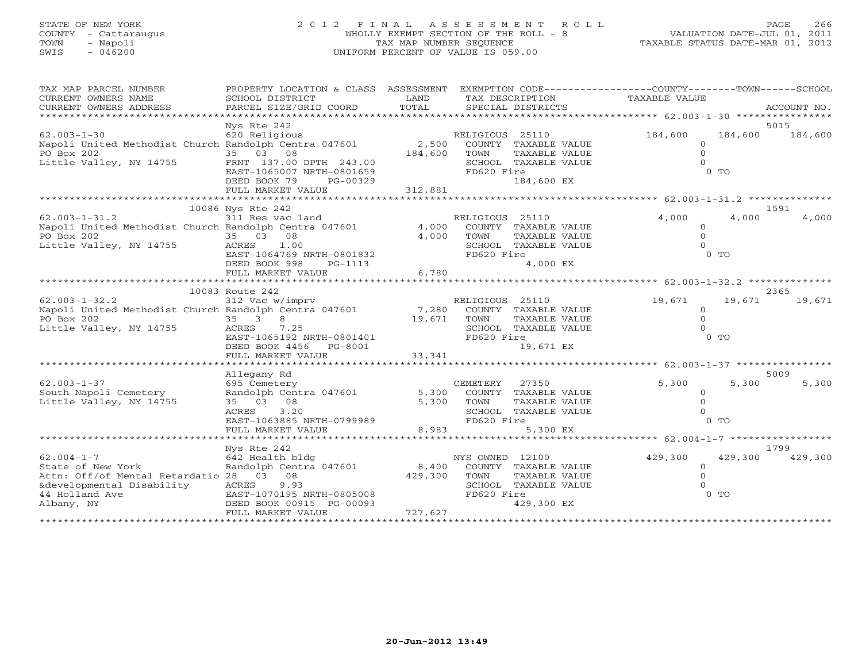# STATE OF NEW YORK 2 0 1 2 F I N A L A S S E S S M E N T R O L L PAGE 266 COUNTY - Cattaraugus WHOLLY EXEMPT SECTION OF THE ROLL - 8 VALUATION DATE-JUL 01, 2011 TOWN - Napoli TAX MAP NUMBER SEQUENCE TAXABLE STATUS DATE-MAR 01, 2012 SWIS - 046200 UNIFORM PERCENT OF VALUE IS 059.00

| TAX MAP PARCEL NUMBER                                                              | PROPERTY LOCATION & CLASS ASSESSMENT          |                |                                               | EXEMPTION CODE-----------------COUNTY-------TOWN------SCHOOL |             |
|------------------------------------------------------------------------------------|-----------------------------------------------|----------------|-----------------------------------------------|--------------------------------------------------------------|-------------|
| CURRENT OWNERS NAME                                                                | SCHOOL DISTRICT                               | LAND           | TAX DESCRIPTION                               | TAXABLE VALUE                                                |             |
| CURRENT OWNERS ADDRESS<br>***********************                                  | PARCEL SIZE/GRID COORD                        | TOTAL          | SPECIAL DISTRICTS                             |                                                              | ACCOUNT NO. |
|                                                                                    | Nys Rte 242                                   |                |                                               |                                                              | 5015        |
| $62.003 - 1 - 30$                                                                  | 620 Religious                                 |                | RELIGIOUS 25110                               | 184,600<br>184,600                                           | 184,600     |
| Napoli United Methodist Church Randolph Centra 047601                              |                                               | 2,500          | COUNTY TAXABLE VALUE                          | $\Omega$                                                     |             |
| PO Box 202                                                                         | 35 03 08                                      | 184,600        | TOWN<br>TAXABLE VALUE                         | $\Omega$                                                     |             |
| Little Valley, NY 14755                                                            | FRNT 137.00 DPTH 243.00                       |                | SCHOOL TAXABLE VALUE                          | $\cap$                                                       |             |
|                                                                                    | EAST-1065007 NRTH-0801659                     |                | FD620 Fire                                    | 0 TO                                                         |             |
|                                                                                    | DEED BOOK 79<br>PG-00329                      |                | 184,600 EX                                    |                                                              |             |
|                                                                                    | FULL MARKET VALUE                             | 312,881        |                                               |                                                              |             |
|                                                                                    | 10086 Nys Rte 242                             |                |                                               |                                                              | 1591        |
| $62.003 - 1 - 31.2$                                                                | 311 Res vac land                              |                | RELIGIOUS 25110                               | 4,000<br>4,000                                               | 4,000       |
| Napoli United Methodist Church Randolph Centra 047601 4,000                        |                                               |                | COUNTY TAXABLE VALUE                          | $\Omega$                                                     |             |
| PO Box 202                                                                         | 35 03 08                                      | 4,000          | TOWN<br>TAXABLE VALUE                         | $\Omega$                                                     |             |
| PO Box 202<br>Little Valley, NY 14755                                              | ACRES<br>1.00                                 |                | SCHOOL TAXABLE VALUE                          |                                                              |             |
|                                                                                    | EAST-1064769 NRTH-0801832                     |                | FD620 Fire                                    | $0$ TO                                                       |             |
|                                                                                    | DEED BOOK 998<br>PG-1113                      |                | 4,000 EX                                      |                                                              |             |
|                                                                                    | FULL MARKET VALUE                             | 6,780          |                                               |                                                              |             |
|                                                                                    |                                               |                |                                               |                                                              |             |
|                                                                                    | 10083 Route 242                               |                |                                               |                                                              | 2365        |
| $62.003 - 1 - 32.2$<br>Napoli United Methodist Church Randolph Centra 047601 7,280 | 312 Vac w/imprv                               |                | RELIGIOUS 25110                               | 19,671<br>19,671                                             | 19,671      |
| PO Box 202                                                                         | 35 3<br>$8 - 1$                               | 19,671         | COUNTY TAXABLE VALUE<br>TOWN<br>TAXABLE VALUE | $\Omega$<br>$\Omega$                                         |             |
| Little Valley, NY 14755                                                            | ACRES<br>7.25                                 |                | SCHOOL TAXABLE VALUE                          |                                                              |             |
|                                                                                    | EAST-1065192 NRTH-0801401                     |                | FD620 Fire                                    | $0$ TO                                                       |             |
|                                                                                    | DEED BOOK 4456 PG-8001                        |                | 19,671 EX                                     |                                                              |             |
|                                                                                    | FULL MARKET VALUE                             | 33,341         |                                               |                                                              |             |
|                                                                                    |                                               |                |                                               |                                                              |             |
|                                                                                    | Allegany Rd                                   |                |                                               |                                                              | 5009        |
| $62.003 - 1 - 37$                                                                  | 695 Cemetery                                  |                | 27350<br>CEMETERY                             | 5,300<br>5,300                                               | 5,300       |
| South Napoli Cemetery                                                              | Randolph Centra 047601                        | 5,300          | COUNTY TAXABLE VALUE                          | $\Omega$                                                     |             |
| Little Valley, NY 14755                                                            | 35 03 08                                      | 5,300          | TOWN<br>TAXABLE VALUE                         | $\Omega$                                                     |             |
|                                                                                    | ACRES<br>3.20<br>EAST-1063885 NRTH-0799989    |                | SCHOOL TAXABLE VALUE<br>FD620 Fire            | $0$ TO                                                       |             |
|                                                                                    | FULL MARKET VALUE                             | 8,983          | 5,300 EX                                      |                                                              |             |
|                                                                                    |                                               |                |                                               | ********** 62.004-1-7 ******************                     |             |
|                                                                                    | Nys Rte 242                                   |                |                                               |                                                              | 1799        |
| $62.004 - 1 - 7$                                                                   | 642 Health bldg                               |                | NYS OWNED 12100                               | 429,300<br>429,300                                           | 429,300     |
| State of New York                                                                  | Randolph Centra 047601                        | 8,400          | COUNTY TAXABLE VALUE                          | $\Omega$                                                     |             |
| Attn: Off/of Mental Retardatio 28 03 08                                            |                                               | 429,300        | TOWN<br>TAXABLE VALUE                         | $\Omega$                                                     |             |
| &developmental Disability                                                          | 9.93<br>ACRES                                 |                | SCHOOL TAXABLE VALUE                          |                                                              |             |
| 44 Holland Ave                                                                     | EAST-1070195 NRTH-0805008                     |                | FD620 Fire                                    | $0$ TO                                                       |             |
| Albany, NY                                                                         | DEED BOOK 00915 PG-00093<br>FULL MARKET VALUE | 727,627        | 429,300 EX                                    |                                                              |             |
|                                                                                    |                                               | ************** |                                               |                                                              |             |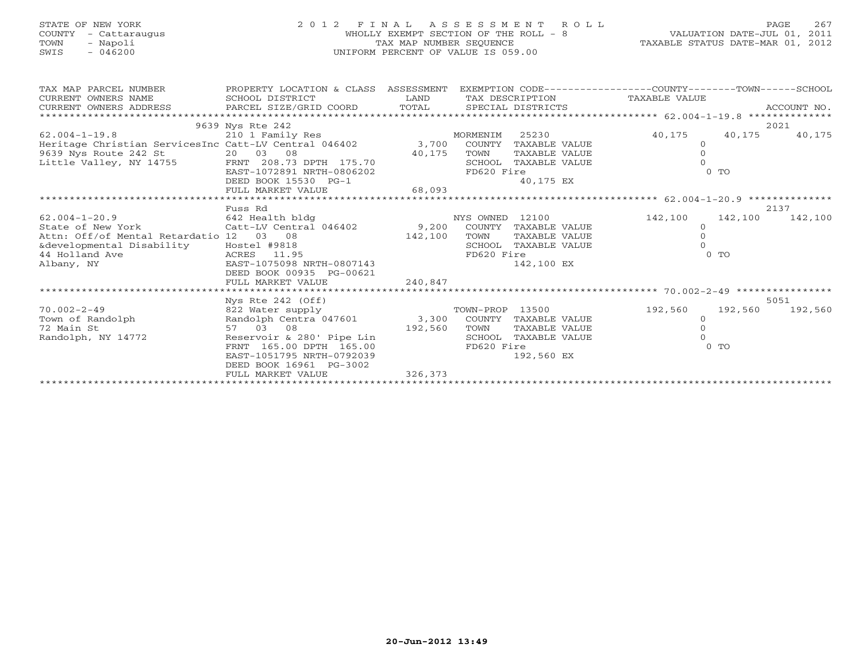| STATE OF NEW YORK |  |               |  |
|-------------------|--|---------------|--|
| <b>COUNTY</b>     |  | - Cattaraugus |  |
| <b>TOWN</b>       |  | - Napoli      |  |
| STMT <sub>S</sub> |  | $-$ 046200    |  |

# STATE OF NEW YORK 2 0 1 2 F I N A L A S S E S S M E N T R O L L PAGE 267 COUNTY - Cattaraugus WHOLLY EXEMPT SECTION OF THE ROLL - 8 VALUATION DATE-JUL 01, 2011 TOWN - Napoli TAX MAP NUMBER SEQUENCE TAXABLE STATUS DATE-MAR 01, 2012 SWIS - 046200 UNIFORM PERCENT OF VALUE IS 059.00

| TAX MAP PARCEL NUMBER                                                            | PROPERTY LOCATION & CLASS ASSESSMENT              |              |                 |                               | EXEMPTION CODE----------------COUNTY-------TOWN------SCHOOL |                |         |
|----------------------------------------------------------------------------------|---------------------------------------------------|--------------|-----------------|-------------------------------|-------------------------------------------------------------|----------------|---------|
| CURRENT OWNERS NAME                                                              | SCHOOL DISTRICT                                   | LAND         |                 | TAX DESCRIPTION TAXABLE VALUE |                                                             |                |         |
|                                                                                  |                                                   |              |                 |                               |                                                             |                |         |
|                                                                                  |                                                   |              |                 |                               |                                                             |                |         |
|                                                                                  | 9639 Nys Rte 242                                  |              |                 |                               |                                                             |                | 2021    |
| $62.004 - 1 - 19.8$                                                              | 210 1 Family Res                                  | MORMENIM     |                 | 25230                         | 40,175                                                      | 40,175         | 40,175  |
| Heritage Christian ServicesInc Catt-LV Central 046402 3,700 COUNTY TAXABLE VALUE |                                                   |              |                 |                               | $\circ$                                                     |                |         |
| 9639 Nys Route 242 St                                                            | 20 03 08                                          | 40,175       | TOWN            | TAXABLE VALUE                 |                                                             |                |         |
| Little Valley, NY 14755                                                          | FRNT 208.73 DPTH 175.70                           |              |                 | SCHOOL TAXABLE VALUE          |                                                             |                |         |
|                                                                                  | EAST-1072891 NRTH-0806202                         |              | FD620 Fire      |                               |                                                             | $0$ TO         |         |
|                                                                                  | DEED BOOK 15530 PG-1<br>FULL MARKET VALUE 68,093  |              |                 | 40,175 EX                     |                                                             |                |         |
|                                                                                  |                                                   |              |                 |                               |                                                             |                |         |
|                                                                                  |                                                   |              |                 |                               |                                                             |                |         |
|                                                                                  | Fuss Rd                                           |              |                 |                               |                                                             |                | 2137    |
| $62.004 - 1 - 20.9$                                                              | 642 Health bldg                                   |              | NYS OWNED 12100 |                               | 142,100                                                     | 142,100        | 142,100 |
| State of New York                                                                | Catt-LV Central 046402                            | 9,200 COUNTY |                 | TAXABLE VALUE                 |                                                             |                |         |
| Attn: Off/of Mental Retardatio 12 03 08                                          |                                                   | 142,100      | TOWN            | TAXABLE VALUE                 |                                                             |                |         |
|                                                                                  |                                                   |              |                 | SCHOOL TAXABLE VALUE          |                                                             |                |         |
|                                                                                  |                                                   |              | FD620 Fire      |                               |                                                             | 0 <sub>T</sub> |         |
|                                                                                  |                                                   |              |                 | 142,100 EX                    |                                                             |                |         |
|                                                                                  | DEED BOOK 00935 PG-00621                          |              |                 |                               |                                                             |                |         |
|                                                                                  | FULL MARKET VALUE                                 | 240,847      |                 |                               |                                                             |                |         |
|                                                                                  |                                                   |              |                 |                               |                                                             |                |         |
|                                                                                  | Nys Rte $242$ (Off)                               |              |                 |                               |                                                             |                | 5051    |
| $70.002 - 2 - 49$                                                                | 822 Water supply                                  |              | TOWN-PROP 13500 |                               | 192,560                                                     | 192,560        | 192,560 |
| Town of Randolph                                                                 | Randolph Centra 047601 3,300 COUNTY TAXABLE VALUE |              |                 |                               | $\circ$                                                     |                |         |
| 72 Main St                                                                       | 57 03 08                                          | 192,560      | TOWN            | TAXABLE VALUE                 | $\Omega$                                                    |                |         |
| Randolph, NY 14772                                                               | Reservoir & 280' Pipe Lin                         |              |                 | SCHOOL TAXABLE VALUE          |                                                             |                |         |
|                                                                                  | FRNT 165.00 DPTH 165.00                           |              | FD620 Fire      |                               |                                                             | $0$ TO         |         |
|                                                                                  | EAST-1051795 NRTH-0792039                         |              |                 | 192,560 EX                    |                                                             |                |         |
|                                                                                  | DEED BOOK 16961 PG-3002                           |              |                 |                               |                                                             |                |         |
|                                                                                  | FULL MARKET VALUE                                 | 326,373      |                 |                               |                                                             |                |         |
|                                                                                  |                                                   |              |                 |                               |                                                             |                |         |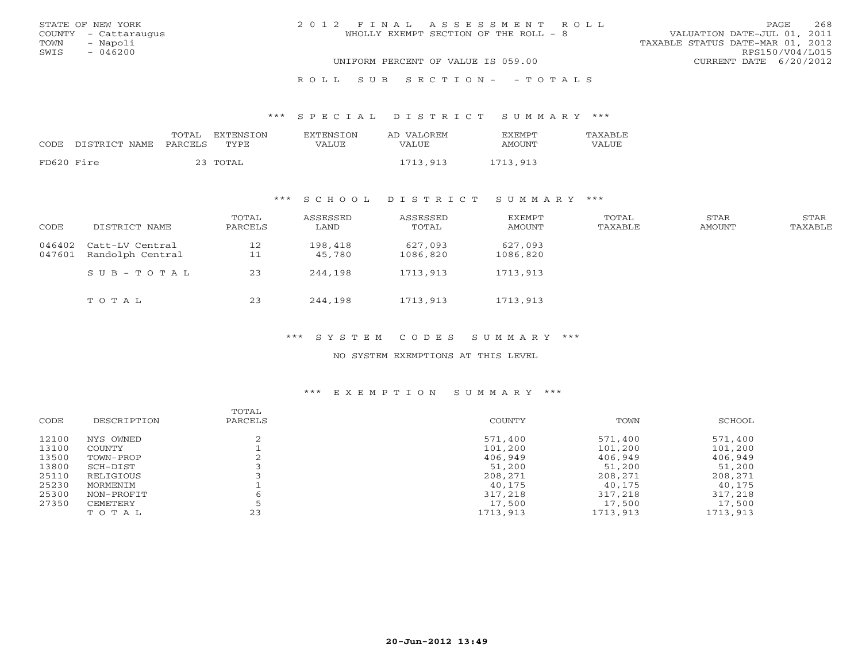|      | STATE OF NEW YORK    | 2012 FINAL ASSESSMENT ROLL                                           | PAGE.           | 268 |
|------|----------------------|----------------------------------------------------------------------|-----------------|-----|
|      | COUNTY - Cattaraugus | VALUATION DATE-JUL 01, 2011<br>WHOLLY EXEMPT SECTION OF THE ROLL - 8 |                 |     |
| TOWN | - Napoli             | TAXABLE STATUS DATE-MAR 01, 2012                                     |                 |     |
| SWIS | $-046200$            |                                                                      | RPS150/V04/L015 |     |
|      |                      | UNIFORM PERCENT OF VALUE IS 059.00<br>CURRENT DATE 6/20/2012         |                 |     |
|      |                      |                                                                      |                 |     |

R O L L S U B S E C T I O N - - T O T A L S

\*\*\* S P E C I A L D I S T R I C T S U M M A R Y \*\*\*

|            |                       | TOTAL | <b>FXTENSTON</b> | <b>EXTENSTON</b> | AD VALOREM | <b>FXFMPT</b> | TAXABLE |
|------------|-----------------------|-------|------------------|------------------|------------|---------------|---------|
| CODE       | DISTRICT NAME PARCELS |       | TYPE.            | VALUE            | VALUE      | AMOUNT        | VALUE   |
| FD620 Fire |                       |       | 23 TOTAL         |                  | 1713,913   | 1713,913      |         |

## \*\*\* S C H O O L D I S T R I C T S U M M A R Y \*\*\*

| CODE             | DISTRICT NAME                       | TOTAL<br>PARCELS | ASSESSED<br>LAND  | ASSESSED<br>TOTAL   | EXEMPT<br>AMOUNT    | TOTAL<br>TAXABLE | STAR<br>AMOUNT | STAR<br>TAXABLE |
|------------------|-------------------------------------|------------------|-------------------|---------------------|---------------------|------------------|----------------|-----------------|
| 046402<br>047601 | Catt-LV Central<br>Randolph Central | 12<br>11         | 198,418<br>45,780 | 627,093<br>1086,820 | 627,093<br>1086,820 |                  |                |                 |
|                  | $SUB - TO T AL$                     | 23               | 244,198           | 1713,913            | 1713,913            |                  |                |                 |
|                  | TOTAL                               | 23               | 244,198           | 1713,913            | 1713,913            |                  |                |                 |

\*\*\* S Y S T E M C O D E S S U M M A R Y \*\*\*

NO SYSTEM EXEMPTIONS AT THIS LEVEL

## \*\*\* E X E M P T I O N S U M M A R Y \*\*\*

| CODE  | DESCRIPTION | TOTAL<br>PARCELS | COUNTY   | TOWN     | SCHOOL   |
|-------|-------------|------------------|----------|----------|----------|
| 12100 | NYS OWNED   |                  | 571,400  | 571,400  | 571,400  |
| 13100 | COUNTY      |                  | 101,200  | 101,200  | 101,200  |
| 13500 | TOWN-PROP   |                  | 406,949  | 406,949  | 406,949  |
| 13800 | SCH-DIST    |                  | 51,200   | 51,200   | 51,200   |
| 25110 | RELIGIOUS   |                  | 208,271  | 208,271  | 208,271  |
| 25230 | MORMENIM    |                  | 40,175   | 40,175   | 40,175   |
| 25300 | NON-PROFIT  | 6                | 317,218  | 317,218  | 317,218  |
| 27350 | CEMETERY    |                  | 17,500   | 17,500   | 17,500   |
|       | TOTAL       | 23               | 1713,913 | 1713,913 | 1713,913 |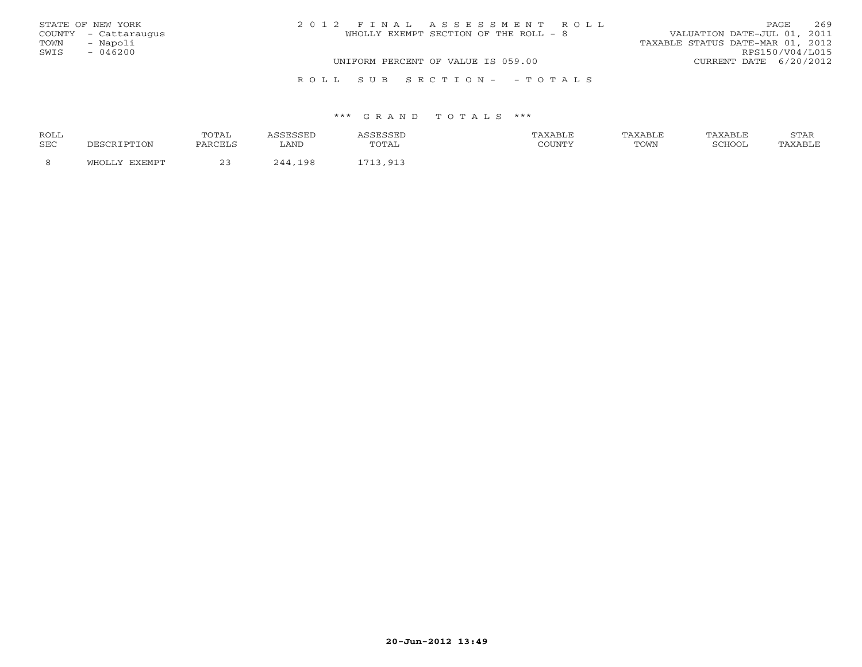|      | STATE OF NEW YORK    | 2012 FINAL ASSESSMENT ROLL            | <b>PAGE</b>                      | 269 |
|------|----------------------|---------------------------------------|----------------------------------|-----|
|      | COUNTY - Cattaraugus | WHOLLY EXEMPT SECTION OF THE ROLL - 8 | VALUATION DATE-JUL 01, 2011      |     |
| TOWN | - Napoli             |                                       | TAXABLE STATUS DATE-MAR 01, 2012 |     |
| SWIS | $-046200$            |                                       | RPS150/V04/L015                  |     |
|      |                      | UNIFORM PERCENT OF VALUE IS 059.00    | CURRENT DATE 6/20/2012           |     |
|      |                      | ROLL SUB SECTION- - TOTALS            |                                  |     |

| <b>ROLL</b> |                 | ጥ∩ጥ Δ΄  |       | .     | ∖XABI F |      | 'AXABLE | <b>CHLAT</b><br>------ |
|-------------|-----------------|---------|-------|-------|---------|------|---------|------------------------|
| <b>SEC</b>  | $\tau_{\rm ON}$ | PARCELS | LAND  | TOTAL | COUNTY  | TOWN | SCHOOT  |                        |
|             |                 | n -     | 1 Q Q | .     |         |      |         |                        |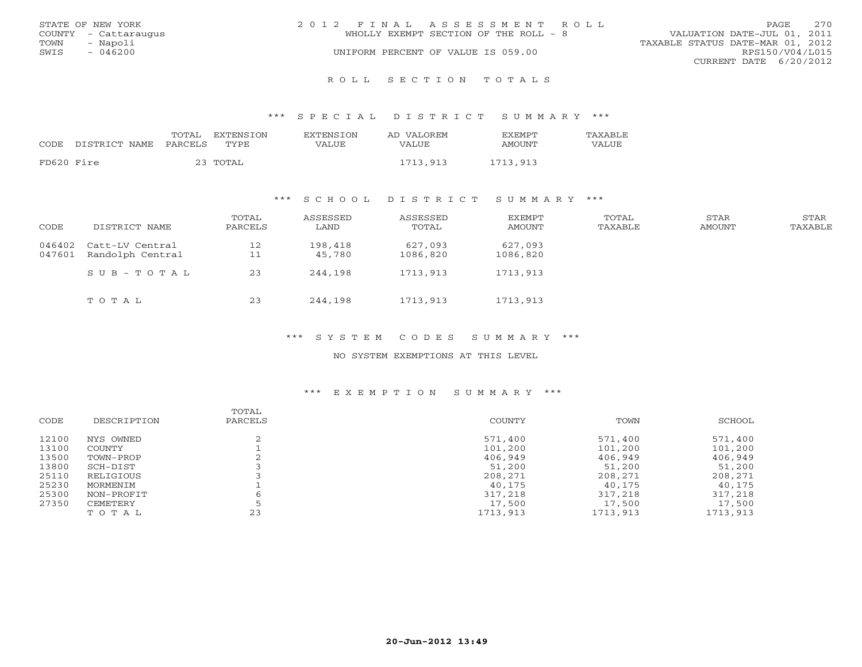|      | STATE OF NEW YORK    | 2012 FINAL ASSESSMENT ROLL |                                       |                                  | PAGE.           | 270 |
|------|----------------------|----------------------------|---------------------------------------|----------------------------------|-----------------|-----|
|      | COUNTY - Cattaraugus |                            | WHOLLY EXEMPT SECTION OF THE ROLL - 8 | VALUATION DATE-JUL 01, 2011      |                 |     |
| TOWN | - Napoli             |                            |                                       | TAXABLE STATUS DATE-MAR 01, 2012 |                 |     |
| SWIS | $-046200$            |                            | UNIFORM PERCENT OF VALUE IS 059.00    |                                  | RPS150/V04/L015 |     |
|      |                      |                            |                                       | CURRENT DATE 6/20/2012           |                 |     |
|      |                      |                            |                                       |                                  |                 |     |

R O L L S E C T I O N T O T A L S

#### \*\*\* S P E C I A L D I S T R I C T S U M M A R Y \*\*\*

| CODE       | DISTRICT NAME PARCELS | TOTAL EXTENSION<br>TYPE. | EXTENSION<br>VALUE | AD VALOREM<br>VALUE | <b>EXEMPT</b><br><b>AMOUNT</b> | TAXABLE<br>VALUE |
|------------|-----------------------|--------------------------|--------------------|---------------------|--------------------------------|------------------|
| FD620 Fire |                       | 23 TOTAL                 |                    | 1713,913            | 1713,913                       |                  |

## \*\*\* S C H O O L D I S T R I C T S U M M A R Y \*\*\*

| CODE             | DISTRICT NAME                       | TOTAL<br>PARCELS | ASSESSED<br>LAND  | ASSESSED<br>TOTAL   | <b>EXEMPT</b><br>AMOUNT | TOTAL<br>TAXABLE | STAR<br>AMOUNT | STAR<br>TAXABLE |
|------------------|-------------------------------------|------------------|-------------------|---------------------|-------------------------|------------------|----------------|-----------------|
| 046402<br>047601 | Catt-LV Central<br>Randolph Central | 12<br>11         | 198,418<br>45,780 | 627,093<br>1086,820 | 627,093<br>1086,820     |                  |                |                 |
|                  | $SUB - TO T AL$                     | 23               | 244,198           | 1713,913            | 1713,913                |                  |                |                 |
|                  | TOTAL                               | 23               | 244,198           | 1713,913            | 1713,913                |                  |                |                 |

\*\*\* S Y S T E M C O D E S S U M M A R Y \*\*\*

NO SYSTEM EXEMPTIONS AT THIS LEVEL

## \*\*\* E X E M P T I O N S U M M A R Y \*\*\*

| CODE  | DESCRIPTION | TOTAL<br>PARCELS | COUNTY   | TOWN     | SCHOOL   |
|-------|-------------|------------------|----------|----------|----------|
| 12100 | NYS OWNED   |                  | 571,400  | 571,400  | 571,400  |
| 13100 | COUNTY      |                  | 101,200  | 101,200  | 101,200  |
| 13500 | TOWN-PROP   |                  | 406,949  | 406,949  | 406,949  |
| 13800 | SCH-DIST    |                  | 51,200   | 51,200   | 51,200   |
| 25110 | RELIGIOUS   |                  | 208,271  | 208,271  | 208,271  |
| 25230 | MORMENIM    |                  | 40,175   | 40,175   | 40,175   |
| 25300 | NON-PROFIT  | 6                | 317,218  | 317,218  | 317,218  |
| 27350 | CEMETERY    |                  | 17,500   | 17,500   | 17,500   |
|       | TOTAL       | 23               | 1713,913 | 1713,913 | 1713,913 |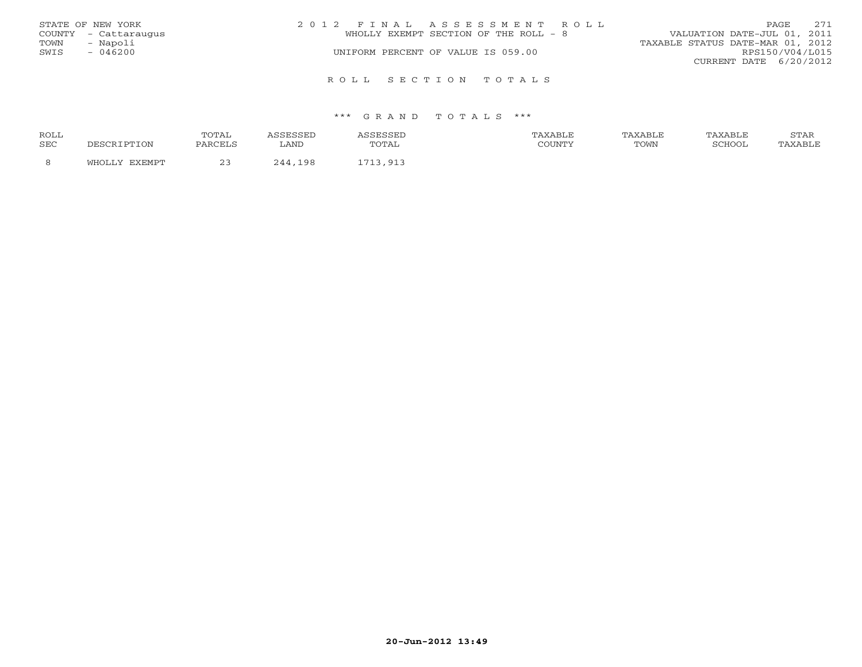|      | STATE OF NEW YORK    | 2012 FINAL ASSESSMENT ROLL            | 271<br>PAGE                      |
|------|----------------------|---------------------------------------|----------------------------------|
|      | COUNTY - Cattaraugus | WHOLLY EXEMPT SECTION OF THE ROLL - 8 | VALUATION DATE-JUL 01, 2011      |
| TOWN | - Napoli             |                                       | TAXABLE STATUS DATE-MAR 01, 2012 |
| SWIS | $-046200$            | UNIFORM PERCENT OF VALUE IS 059.00    | RPS150/V04/L015                  |
|      |                      |                                       | CURRENT DATE $6/20/2012$         |
|      |                      | ROLL SECTION TOTALS                   |                                  |

| ROLL |          | TOTAL                   |              |                          | TAXABLF | ^ ХАВL. | TAXABLE | $cm\pi$<br>י בתיכו |
|------|----------|-------------------------|--------------|--------------------------|---------|---------|---------|--------------------|
| SEC  |          | PARCELS                 | LAND         | $\cdot$ $\sim$<br>سدید ب | COUNTY  | TOWN    | COHOOT  |                    |
|      | · ا—ا ۸، | $\widehat{\phantom{a}}$ | 198<br>, , , | Q1                       |         |         |         |                    |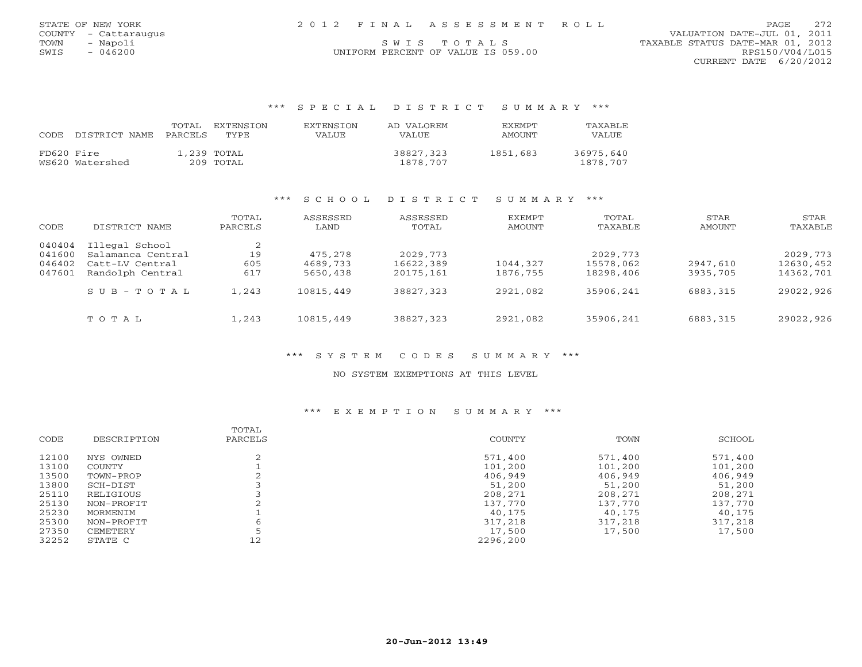|      | STATE OF NEW YORK    |  | 2012 FINAL ASSESSMENT ROLL         |                                  | PAGE            | 272 |
|------|----------------------|--|------------------------------------|----------------------------------|-----------------|-----|
|      | COUNTY - Cattaraugus |  |                                    | VALUATION DATE-JUL 01, 2011      |                 |     |
| TOWN | - Napoli             |  | SWIS TOTALS                        | TAXABLE STATUS DATE-MAR 01, 2012 |                 |     |
| SWIS | $-046200$            |  | UNIFORM PERCENT OF VALUE IS 059.00 |                                  | RPS150/V04/L015 |     |

CURRENT DATE 6/20/2012

## \*\*\* S P E C I A L D I S T R I C T S U M M A R Y \*\*\*

|            | CODE DISTRICT NAME | TOTAL<br>PARCELS | <b>EXTENSION</b><br>TYPE | <b>EXTENSION</b><br>VALUE | AD VALOREM<br>VALUE   | <b>EXEMPT</b><br>AMOUNT | <b>TAXABLF</b><br>VALUE |
|------------|--------------------|------------------|--------------------------|---------------------------|-----------------------|-------------------------|-------------------------|
| FD620 Fire | WS620 Watershed    |                  | 1,239 TOTAL<br>209 TOTAL |                           | 38827,323<br>1878,707 | 1851,683                | 36975,640<br>1878,707   |

## \*\*\* S C H O O L D I S T R I C T S U M M A R Y \*\*\*

| CODE                                 | DISTRICT NAME                                                                                           | TOTAL<br>PARCELS               | ASSESSED<br>LAND                             | ASSESSED<br>TOTAL                                | EXEMPT<br>AMOUNT                 | TOTAL<br>TAXABLE                                 | STAR<br>AMOUNT                   | STAR<br>TAXABLE                                  |
|--------------------------------------|---------------------------------------------------------------------------------------------------------|--------------------------------|----------------------------------------------|--------------------------------------------------|----------------------------------|--------------------------------------------------|----------------------------------|--------------------------------------------------|
| 040404<br>041600<br>046402<br>047601 | Illegal School<br>Salamanca Central<br>Catt-LV Central<br>Randolph Central<br>$S \cup B - T \cup T A L$ | 2<br>19<br>605<br>617<br>1,243 | 475,278<br>4689,733<br>5650,438<br>10815,449 | 2029, 773<br>16622,389<br>20175,161<br>38827,323 | 1044,327<br>1876,755<br>2921,082 | 2029, 773<br>15578,062<br>18298,406<br>35906,241 | 2947,610<br>3935,705<br>6883,315 | 2029, 773<br>12630,452<br>14362,701<br>29022,926 |
|                                      | TOTAL                                                                                                   | 1,243                          | 10815,449                                    | 38827,323                                        | 2921,082                         | 35906,241                                        | 6883,315                         | 29022,926                                        |

## \*\*\* S Y S T E M C O D E S S U M M A R Y \*\*\*

### NO SYSTEM EXEMPTIONS AT THIS LEVEL

### \*\*\* E X E M P T I O N S U M M A R Y \*\*\*

|       |             | TOTAL   |          |         |         |
|-------|-------------|---------|----------|---------|---------|
| CODE  | DESCRIPTION | PARCELS | COUNTY   | TOWN    | SCHOOL  |
| 12100 | NYS OWNED   |         | 571,400  | 571,400 | 571,400 |
| 13100 | COUNTY      |         | 101,200  | 101,200 | 101,200 |
| 13500 | TOWN-PROP   |         | 406,949  | 406,949 | 406,949 |
| 13800 | SCH-DIST    |         | 51,200   | 51,200  | 51,200  |
| 25110 | RELIGIOUS   |         | 208,271  | 208,271 | 208,271 |
| 25130 | NON-PROFIT  |         | 137,770  | 137,770 | 137,770 |
| 25230 | MORMENIM    |         | 40,175   | 40,175  | 40,175  |
| 25300 | NON-PROFIT  |         | 317,218  | 317,218 | 317,218 |
| 27350 | CEMETERY    |         | 17,500   | 17,500  | 17,500  |
| 32252 | STATE C     | 12      | 2296,200 |         |         |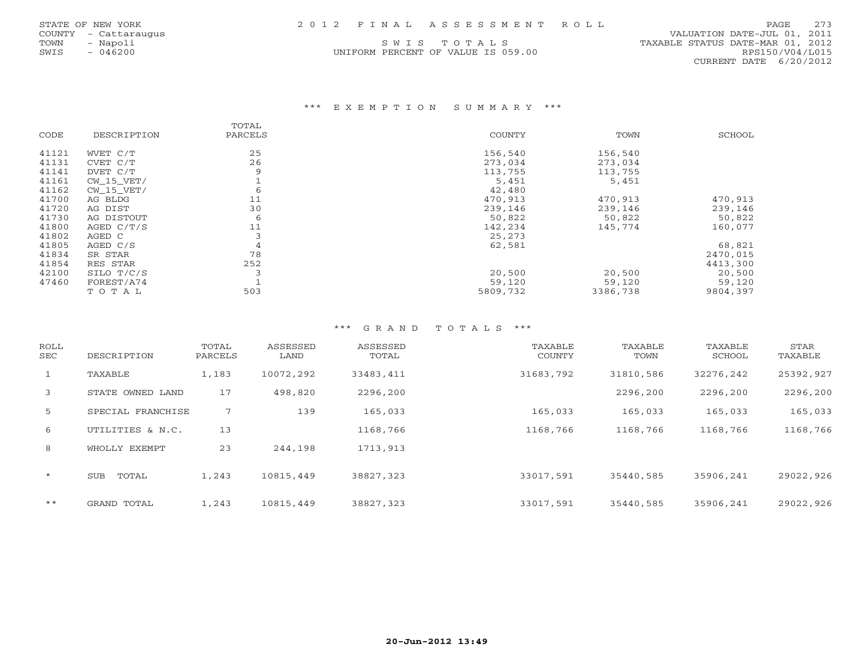UNIFORM PERCENT OF VALUE IS 059.00

 COUNTY - Cattaraugus VALUATION DATE-JUL 01, 2011 TOWN - Napoli S W I S T O T A L S TAXABLE STATUS DATE-MAR 01, 2012 CURRENT DATE 6/20/2012

## \*\*\* E X E M P T I O N S U M M A R Y \*\*\*

|       |             | TOTAL   |               |          |          |
|-------|-------------|---------|---------------|----------|----------|
| CODE  | DESCRIPTION | PARCELS | <b>COUNTY</b> | TOWN     | SCHOOL   |
| 41121 | WVET C/T    | 25      | 156,540       | 156,540  |          |
| 41131 | CVET C/T    | 26      | 273,034       | 273,034  |          |
| 41141 | DVET C/T    | 9       | 113,755       | 113,755  |          |
| 41161 | CW 15 VET/  |         | 5,451         | 5,451    |          |
| 41162 | CW 15 VET/  | 6       | 42,480        |          |          |
| 41700 | AG BLDG     | 11      | 470,913       | 470,913  | 470,913  |
| 41720 | AG DIST     | 30      | 239,146       | 239,146  | 239,146  |
| 41730 | AG DISTOUT  | 6       | 50,822        | 50,822   | 50,822   |
| 41800 | AGED C/T/S  | 11      | 142,234       | 145,774  | 160,077  |
| 41802 | AGED C      |         | 25,273        |          |          |
| 41805 | AGED C/S    | 4       | 62,581        |          | 68,821   |
| 41834 | SR STAR     | 78      |               |          | 2470,015 |
| 41854 | RES STAR    | 252     |               |          | 4413,300 |
| 42100 | SILO T/C/S  |         | 20,500        | 20,500   | 20,500   |
| 47460 | FOREST/A74  |         | 59,120        | 59,120   | 59,120   |
|       | TOTAL       | 503     | 5809,732      | 3386,738 | 9804,397 |

| ROLL<br>SEC  | DESCRIPTION       | TOTAL<br>PARCELS | ASSESSED<br>LAND | ASSESSED<br>TOTAL | TAXABLE<br><b>COUNTY</b> | TAXABLE<br>TOWN | TAXABLE<br>SCHOOL | STAR<br>TAXABLE |
|--------------|-------------------|------------------|------------------|-------------------|--------------------------|-----------------|-------------------|-----------------|
| $\mathbf{1}$ | TAXABLE           | 1,183            | 10072,292        | 33483,411         | 31683,792                | 31810,586       | 32276,242         | 25392,927       |
| 3            | STATE OWNED LAND  | 17               | 498,820          | 2296,200          |                          | 2296,200        | 2296,200          | 2296,200        |
| 5            | SPECIAL FRANCHISE | 7                | 139              | 165,033           | 165,033                  | 165,033         | 165,033           | 165,033         |
| 6            | UTILITIES & N.C.  | 13               |                  | 1168,766          | 1168,766                 | 1168,766        | 1168,766          | 1168,766        |
| 8            | WHOLLY EXEMPT     | 23               | 244,198          | 1713,913          |                          |                 |                   |                 |
| $\star$      | TOTAL<br>SUB      | 1,243            | 10815,449        | 38827,323         | 33017,591                | 35440,585       | 35906,241         | 29022,926       |
| $***$        | GRAND TOTAL       | 1,243            | 10815,449        | 38827,323         | 33017,591                | 35440,585       | 35906,241         | 29022,926       |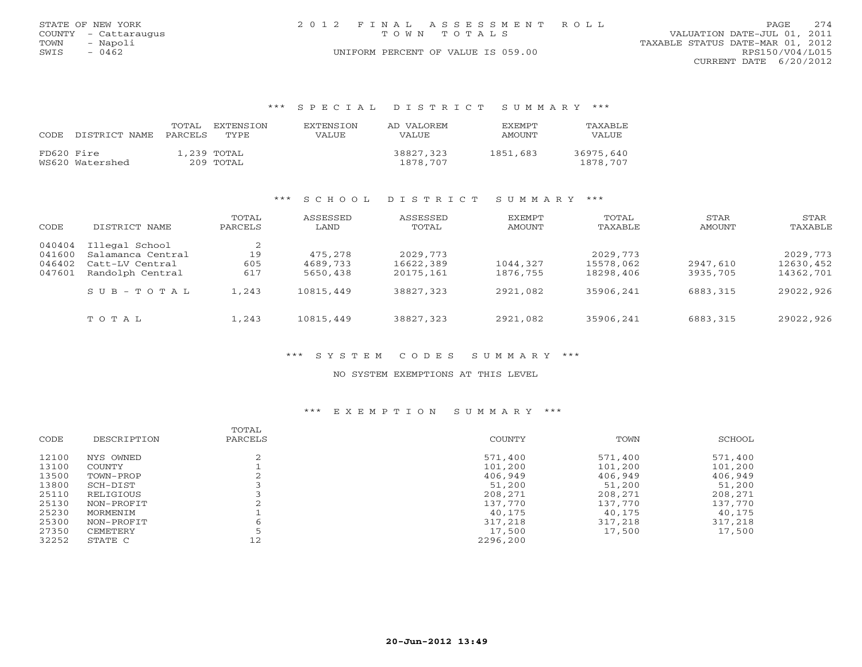|      | STATE OF NEW YORK    | 2012 FINAL ASSESSMENT ROLL                 | PAGE.                  | 274 |
|------|----------------------|--------------------------------------------|------------------------|-----|
|      | COUNTY - Cattaraugus | VALUATION DATE-JUL 01, 2011<br>TOWN TOTALS |                        |     |
| TOWN | - Napoli             | TAXABLE STATUS DATE-MAR 01, 2012           |                        |     |
| SWIS | $-0462$              | UNIFORM PERCENT OF VALUE IS 059.00         | RPS150/V04/L015        |     |
|      |                      |                                            | CURRENT DATE 6/20/2012 |     |

### \*\*\* S P E C I A L D I S T R I C T S U M M A R Y \*\*\*

| CODE.<br>DISTRICT NAME        | EXTENSION<br>TOTAL.<br>PARCELS<br>TYPE. | <b>EXTENSION</b><br>VALUE | AD VALOREM<br><b>VALUE</b> | <b>EXEMPT</b><br>AMOUNT | TAXABLE<br>VALUE      |
|-------------------------------|-----------------------------------------|---------------------------|----------------------------|-------------------------|-----------------------|
| FD620 Fire<br>WS620 Watershed | 1,239 TOTAL<br>209 TOTAL                |                           | 38827,323<br>1878,707      | 1851,683                | 36975,640<br>1878,707 |

## \*\*\* S C H O O L D I S T R I C T S U M M A R Y \*\*\*

| CODE                                 | DISTRICT NAME                                                              | TOTAL<br>PARCELS | ASSESSED<br>LAND                | ASSESSED<br>TOTAL                   | EXEMPT<br>AMOUNT     | TOTAL<br>TAXABLE                    | STAR<br>AMOUNT       | STAR<br>TAXABLE                     |
|--------------------------------------|----------------------------------------------------------------------------|------------------|---------------------------------|-------------------------------------|----------------------|-------------------------------------|----------------------|-------------------------------------|
| 040404<br>041600<br>046402<br>047601 | Illegal School<br>Salamanca Central<br>Catt-LV Central<br>Randolph Central | 19<br>605<br>617 | 475,278<br>4689,733<br>5650,438 | 2029, 773<br>16622,389<br>20175,161 | 1044,327<br>1876,755 | 2029, 773<br>15578,062<br>18298,406 | 2947,610<br>3935,705 | 2029, 773<br>12630,452<br>14362,701 |
|                                      | $S \cup B - T \cup T A$<br>TOTAL                                           | 1,243<br>1,243   | 10815,449<br>10815,449          | 38827,323<br>38827,323              | 2921,082<br>2921,082 | 35906,241<br>35906,241              | 6883,315<br>6883,315 | 29022,926<br>29022,926              |

## \*\*\* S Y S T E M C O D E S S U M M A R Y \*\*\*

### NO SYSTEM EXEMPTIONS AT THIS LEVEL

### \*\*\* E X E M P T I O N S U M M A R Y \*\*\*

|       |             | TOTAL   |          |         |         |
|-------|-------------|---------|----------|---------|---------|
| CODE  | DESCRIPTION | PARCELS | COUNTY   | TOWN    | SCHOOL  |
| 12100 | NYS OWNED   |         | 571,400  | 571,400 | 571,400 |
| 13100 | COUNTY      |         | 101,200  | 101,200 | 101,200 |
| 13500 | TOWN-PROP   |         | 406,949  | 406,949 | 406,949 |
| 13800 | SCH-DIST    |         | 51,200   | 51,200  | 51,200  |
| 25110 | RELIGIOUS   |         | 208,271  | 208,271 | 208,271 |
| 25130 | NON-PROFIT  |         | 137,770  | 137,770 | 137,770 |
| 25230 | MORMENIM    |         | 40,175   | 40,175  | 40,175  |
| 25300 | NON-PROFIT  |         | 317,218  | 317,218 | 317,218 |
| 27350 | CEMETERY    |         | 17,500   | 17,500  | 17,500  |
| 32252 | STATE C     | 12      | 2296,200 |         |         |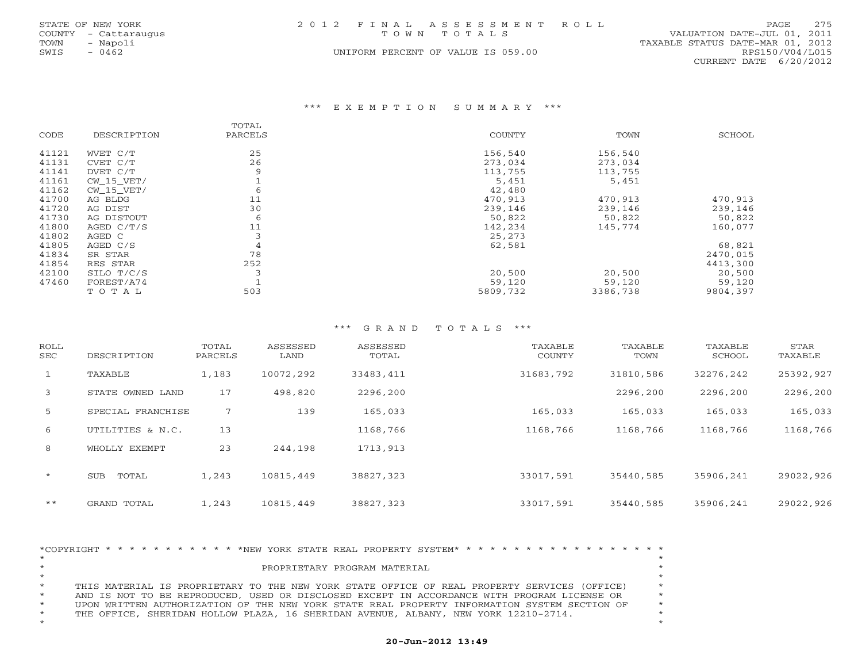|      | STATE OF NEW YORK    |  | 2012 FINAL ASSESSMENT ROLL         |                                  | PAGE | 275 |
|------|----------------------|--|------------------------------------|----------------------------------|------|-----|
|      | COUNTY - Cattaraugus |  | TOWN TOTALS                        | VALUATION DATE-JUL 01, 2011      |      |     |
| TOWN | - Napoli             |  |                                    | TAXABLE STATUS DATE-MAR 01, 2012 |      |     |
| SWIS | 0462                 |  | UNIFORM PERCENT OF VALUE IS 059.00 | RPS150/V04/L015                  |      |     |
|      |                      |  |                                    | CURRENT DATE 6/20/2012           |      |     |

#### \*\*\* E X E M P T I O N S U M M A R Y \*\*\*

|       |              | TOTAL   |          |          |          |
|-------|--------------|---------|----------|----------|----------|
| CODE  | DESCRIPTION  | PARCELS | COUNTY   | TOWN     | SCHOOL   |
| 41121 | WVET C/T     | 25      | 156,540  | 156,540  |          |
| 41131 | CVET C/T     | 26      | 273,034  | 273,034  |          |
| 41141 | DVET C/T     | 9       | 113,755  | 113,755  |          |
| 41161 | $CW_15_VET/$ |         | 5,451    | 5,451    |          |
| 41162 | $CW_15_VET/$ | 6       | 42,480   |          |          |
| 41700 | AG BLDG      | 11      | 470,913  | 470,913  | 470,913  |
| 41720 | AG DIST      | 30      | 239,146  | 239,146  | 239,146  |
| 41730 | AG DISTOUT   | 6       | 50,822   | 50,822   | 50,822   |
| 41800 | AGED $C/T/S$ | 11      | 142,234  | 145,774  | 160,077  |
| 41802 | AGED C       |         | 25,273   |          |          |
| 41805 | AGED C/S     | 4       | 62,581   |          | 68,821   |
| 41834 | SR STAR      | 78      |          |          | 2470,015 |
| 41854 | RES STAR     | 252     |          |          | 4413,300 |
| 42100 | SILO T/C/S   |         | 20,500   | 20,500   | 20,500   |
| 47460 | FOREST/A74   |         | 59,120   | 59,120   | 59,120   |
|       | TOTAL        | 503     | 5809,732 | 3386,738 | 9804,397 |

## \*\*\* G R A N D T O T A L S \*\*\*

| <b>ROLL</b><br>SEC | DESCRIPTION         | TOTAL<br>PARCELS | ASSESSED<br>LAND | ASSESSED<br>TOTAL | TAXABLE<br>COUNTY | TAXABLE<br>TOWN | TAXABLE<br>SCHOOL | STAR<br>TAXABLE |
|--------------------|---------------------|------------------|------------------|-------------------|-------------------|-----------------|-------------------|-----------------|
| $\mathbf{1}$       | TAXABLE             | 1,183            | 10072,292        | 33483,411         | 31683,792         | 31810,586       | 32276,242         | 25392,927       |
| 3                  | STATE OWNED LAND    | 17               | 498,820          | 2296,200          |                   | 2296,200        | 2296,200          | 2296,200        |
| 5                  | SPECIAL FRANCHISE   | 7                | 139              | 165,033           | 165,033           | 165,033         | 165,033           | 165,033         |
| 6                  | UTILITIES & N.C.    | 13               |                  | 1168,766          | 1168,766          | 1168,766        | 1168,766          | 1168,766        |
| 8                  | WHOLLY EXEMPT       | 23               | 244,198          | 1713,913          |                   |                 |                   |                 |
| $\star$            | TOTAL<br><b>SUB</b> | 1,243            | 10815,449        | 38827,323         | 33017,591         | 35440,585       | 35906,241         | 29022,926       |
| $***$              | GRAND TOTAL         | 1,243            | 10815,449        | 38827,323         | 33017,591         | 35440,585       | 35906,241         | 29022,926       |

|         |  |  |  |  |  |  | *COPYRIGHT * * * * * * * * * * * *NEW YORK STATE REAL PROPERTY SYSTEM* * * * * * * * * * * * * * * * * * * |  |  |  |  |  |  |  |         |
|---------|--|--|--|--|--|--|------------------------------------------------------------------------------------------------------------|--|--|--|--|--|--|--|---------|
| $\star$ |  |  |  |  |  |  |                                                                                                            |  |  |  |  |  |  |  |         |
| $\star$ |  |  |  |  |  |  | PROPRIETARY PROGRAM MATERIAL                                                                               |  |  |  |  |  |  |  |         |
| $\star$ |  |  |  |  |  |  |                                                                                                            |  |  |  |  |  |  |  | $\star$ |
| $\star$ |  |  |  |  |  |  | THIS MATERIAL IS PROPRIETARY TO THE NEW YORK STATE OFFICE OF REAL PROPERTY SERVICES (OFFICE)               |  |  |  |  |  |  |  | $\star$ |
| $\star$ |  |  |  |  |  |  | AND IS NOT TO BE REPRODUCED, USED OR DISCLOSED EXCEPT IN ACCORDANCE WITH PROGRAM LICENSE OR                |  |  |  |  |  |  |  | $\star$ |
| $\star$ |  |  |  |  |  |  | UPON WRITTEN AUTHORIZATION OF THE NEW YORK STATE REAL PROPERTY INFORMATION SYSTEM SECTION OF               |  |  |  |  |  |  |  | $\star$ |
| $\star$ |  |  |  |  |  |  | THE OFFICE, SHERIDAN HOLLOW PLAZA, 16 SHERIDAN AVENUE, ALBANY, NEW YORK 12210-2714.                        |  |  |  |  |  |  |  |         |
| $\star$ |  |  |  |  |  |  |                                                                                                            |  |  |  |  |  |  |  |         |

## **20-Jun-2012 13:49**